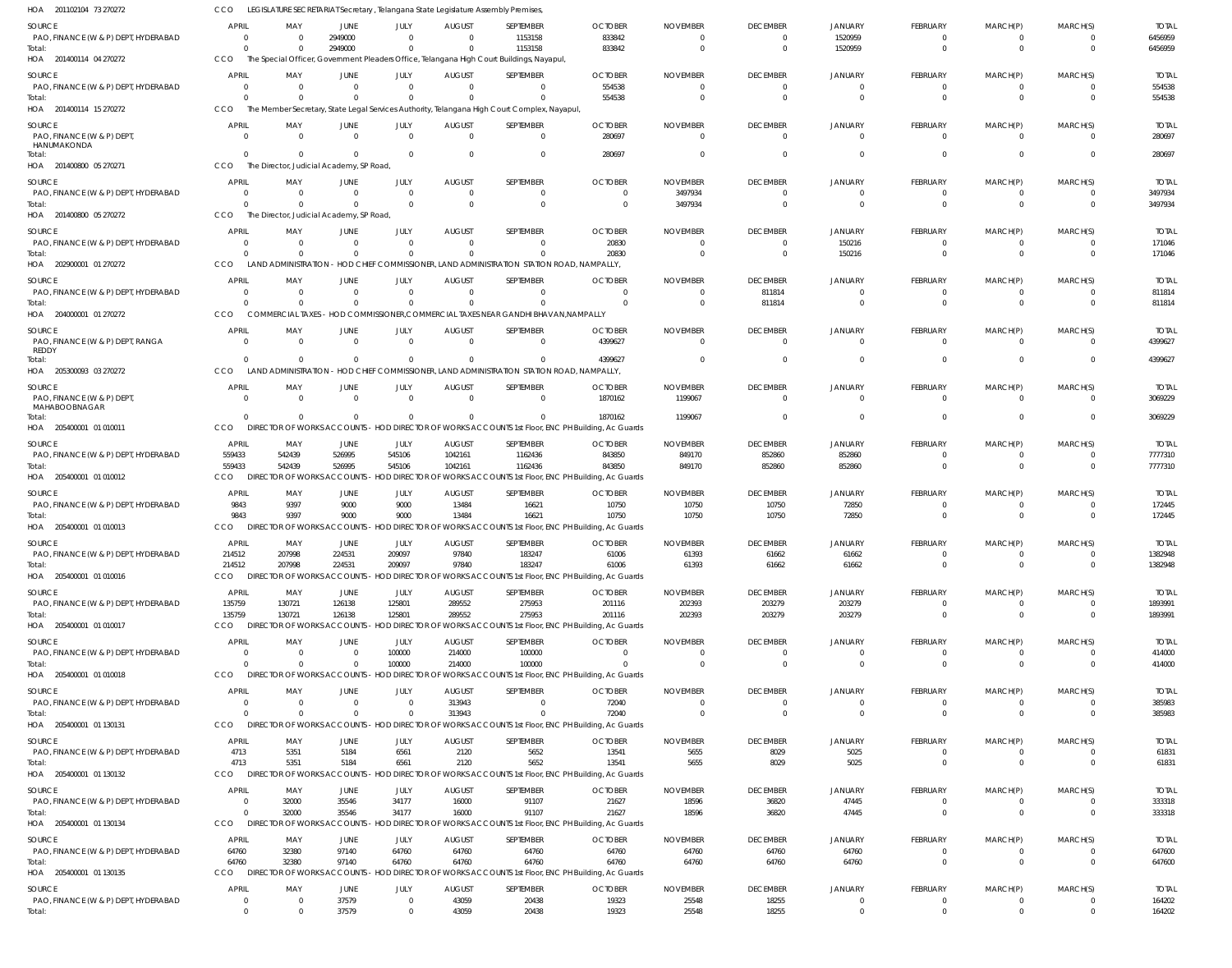| HOA 201102104 73 270272                        | CCO                      |                  |                                         |                               |                            | LEGISLATURE SECRETARIAT Secretary, Telangana State Legislature Assembly Premises,                          |                            |                             |                                   |                               |                                  |                                  |                                  |                        |
|------------------------------------------------|--------------------------|------------------|-----------------------------------------|-------------------------------|----------------------------|------------------------------------------------------------------------------------------------------------|----------------------------|-----------------------------|-----------------------------------|-------------------------------|----------------------------------|----------------------------------|----------------------------------|------------------------|
| <b>SOURCE</b>                                  | <b>APRIL</b>             | MAY              | <b>JUNE</b>                             | JULY                          | <b>AUGUST</b>              | SEPTEMBER                                                                                                  | <b>OCTOBER</b>             | <b>NOVEMBER</b>             | <b>DECEMBER</b>                   | <b>JANUARY</b>                | <b>FEBRUARY</b>                  | MARCH(P)                         | MARCH(S)                         | <b>TOTAL</b>           |
| PAO, FINANCE (W & P) DEPT, HYDERABAD           | 0                        |                  | 2949000                                 | $\mathbf 0$                   | $\Omega$                   | 1153158                                                                                                    | 833842                     | $\Omega$                    | $\overline{0}$                    | 1520959                       | $\Omega$                         | $\Omega$                         | $\mathbf{0}$                     | 6456959                |
| Total:                                         | $\Omega$                 |                  | 2949000                                 | $\Omega$                      | $\Omega$                   | 1153158                                                                                                    | 833842                     | $\Omega$                    | $\overline{0}$                    | 1520959                       | $\Omega$                         | $\Omega$                         | $\overline{0}$                   | 6456959                |
| HOA 201400114 04 270272                        | CCO                      |                  |                                         |                               |                            | The Special Officer, Government Pleaders Office, Telangana High Court Buildings, Nayapul                   |                            |                             |                                   |                               |                                  |                                  |                                  |                        |
| <b>SOURCE</b>                                  | <b>APRIL</b>             | MAY              | JUNE                                    | JULY                          | <b>AUGUST</b>              | SEPTEMBER                                                                                                  | <b>OCTOBER</b>             | <b>NOVEMBER</b>             | <b>DECEMBER</b>                   | <b>JANUARY</b>                | FEBRUARY                         | MARCH(P)                         | MARCH(S)                         | <b>TOTAL</b>           |
| PAO, FINANCE (W & P) DEPT, HYDERABAD           | - 0                      |                  | $\overline{0}$                          | $\mathbf 0$                   | $\overline{0}$             | $\mathbf 0$                                                                                                | 554538                     | $\Omega$                    | $\overline{0}$                    | 0                             | $\Omega$                         | $\overline{0}$                   | $\mathbf{0}$                     | 554538                 |
| Total:<br>HOA 201400114 15 270272              | $\Omega$<br>CCO          |                  | $\Omega$                                | $\Omega$                      | $\Omega$                   | $\Omega$<br>The Member Secretary, State Legal Services Authority, Telangana High Court Complex, Nayapul,   | 554538                     | $\Omega$                    | $\overline{0}$                    | $\mathbf 0$                   | $\Omega$                         | $\Omega$                         | $\Omega$                         | 554538                 |
|                                                |                          |                  |                                         |                               |                            |                                                                                                            |                            |                             |                                   |                               |                                  |                                  |                                  |                        |
| <b>SOURCE</b>                                  | <b>APRIL</b>             | MAY              | <b>JUNE</b>                             | JULY                          | <b>AUGUST</b>              | SEPTEMBER                                                                                                  | <b>OCTOBER</b>             | <b>NOVEMBER</b>             | <b>DECEMBER</b>                   | JANUARY                       | <b>FEBRUARY</b>                  | MARCH(P)                         | MARCH(S)                         | <b>TOTAL</b>           |
| PAO, FINANCE (W & P) DEPT<br>HANUMAKONDA       | $\Omega$                 | $\Omega$         | $\overline{0}$                          | $\overline{0}$                | $\Omega$                   | $\Omega$                                                                                                   | 280697                     | $\Omega$                    | $\overline{0}$                    | $\mathbf 0$                   | $\Omega$                         | $\Omega$                         | $\Omega$                         | 280697                 |
| Total:                                         | $\Omega$                 |                  | $\Omega$                                | $\Omega$                      | $\Omega$                   | $\mathbf 0$                                                                                                | 280697                     | $\Omega$                    | $\overline{0}$                    | 0                             | $\Omega$                         | $\overline{0}$                   | $\overline{0}$                   | 280697                 |
| HOA 201400800 05 270271                        | CCO                      |                  | The Director, Judicial Academy, SP Road |                               |                            |                                                                                                            |                            |                             |                                   |                               |                                  |                                  |                                  |                        |
| <b>SOURCE</b>                                  | <b>APRIL</b>             | MAY              | <b>JUNE</b>                             | JULY                          | <b>AUGUST</b>              | SEPTEMBER                                                                                                  | <b>OCTOBER</b>             | <b>NOVEMBER</b>             | <b>DECEMBER</b>                   | <b>JANUARY</b>                | <b>FEBRUARY</b>                  | MARCH(P)                         | MARCH(S)                         | <b>TOTAL</b>           |
| PAO, FINANCE (W & P) DEPT, HYDERABAD           | 0                        | - 0              | $\overline{0}$                          | $\mathbf 0$                   | $\overline{0}$             | $\mathbf 0$                                                                                                | $\overline{0}$             | 3497934                     | $^{\circ}$                        | 0                             | $\Omega$                         | $\Omega$                         | -0                               | 3497934                |
| Total:                                         | $\Omega$                 |                  | $\Omega$                                | $\Omega$                      | $\Omega$                   | $\mathbf 0$                                                                                                | $\overline{0}$             | 3497934                     | $\overline{0}$                    | $\Omega$                      | $\overline{0}$                   | $\Omega$                         | $\overline{0}$                   | 3497934                |
| HOA 201400800 05 270272                        | CCO                      |                  | The Director, Judicial Academy, SP Road |                               |                            |                                                                                                            |                            |                             |                                   |                               |                                  |                                  |                                  |                        |
| SOURCE                                         | <b>APRIL</b>             | MAY              | <b>JUNE</b>                             | JULY                          | <b>AUGUST</b>              | SEPTEMBER                                                                                                  | <b>OCTOBER</b>             | <b>NOVEMBER</b>             | <b>DECEMBER</b>                   | <b>JANUARY</b>                | FEBRUARY                         | MARCH(P)                         | MARCH(S)                         | <b>TOTAL</b>           |
| PAO, FINANCE (W & P) DEPT, HYDERABAD           | $\Omega$                 | $\Omega$         | $\Omega$                                | $\mathbf 0$                   | $\Omega$                   | $\Omega$                                                                                                   | 20830                      | $\Omega$                    | $\overline{0}$                    | 150216                        | $\Omega$                         | $\Omega$                         | $\overline{0}$                   | 171046                 |
| Total:                                         | $\Omega$                 | $\cap$           | $\Omega$                                | $\Omega$                      | $\Omega$                   | $\Omega$                                                                                                   | 20830                      | $\Omega$                    | $\overline{0}$                    | 150216                        | $\Omega$                         | $\Omega$                         | $\Omega$                         | 171046                 |
| HOA 202900001 01 270272                        | CCO                      |                  |                                         |                               |                            | LAND ADMINISTRATION - HOD CHIEF COMMISSIONER, LAND ADMINISTRATION STATION ROAD, NAMPALLY,                  |                            |                             |                                   |                               |                                  |                                  |                                  |                        |
| <b>SOURCE</b>                                  | <b>APRIL</b>             | MAY              | <b>JUNE</b>                             | JULY                          | <b>AUGUST</b>              | SEPTEMBER                                                                                                  | <b>OCTOBER</b>             | <b>NOVEMBER</b>             | <b>DECEMBER</b>                   | <b>JANUARY</b>                | <b>FEBRUARY</b>                  | MARCH(P)                         | MARCH(S)                         | <b>TOTAL</b>           |
| PAO, FINANCE (W & P) DEPT, HYDERABAD           | 0<br>$\Omega$            |                  | $\overline{0}$<br>$\Omega$              | $\mathbf 0$<br>$\mathbf 0$    | $\overline{0}$<br>$\Omega$ | $\Omega$<br>$\Omega$                                                                                       | $\Omega$<br>$\Omega$       | $\Omega$<br>$\Omega$        | 811814                            | 0<br>$\mathbf 0$              | $\Omega$<br>$\Omega$             | $\Omega$<br>$\Omega$             | $\overline{0}$<br>$\Omega$       | 811814<br>811814       |
| Total:<br>HOA 204000001 01 270272              | <b>CCO</b>               |                  |                                         |                               |                            | COMMERCIAL TAXES - HOD COMMISSIONER, COMMERCIAL TAXES NEAR GANDHI BHAVAN, NAMPALLY                         |                            |                             | 811814                            |                               |                                  |                                  |                                  |                        |
|                                                |                          |                  |                                         |                               |                            |                                                                                                            |                            |                             |                                   |                               |                                  |                                  |                                  |                        |
| SOURCE                                         | <b>APRIL</b><br>$\Omega$ | MAY<br>$\Omega$  | JUNE<br>$\overline{0}$                  | JULY<br>$\Omega$              | <b>AUGUST</b><br>$\Omega$  | SEPTEMBER<br>$\Omega$                                                                                      | <b>OCTOBER</b>             | <b>NOVEMBER</b><br>$\Omega$ | <b>DECEMBER</b><br>$\overline{0}$ | <b>JANUARY</b><br>$\Omega$    | FEBRUARY<br>$\Omega$             | MARCH(P)<br>$\Omega$             | MARCH(S)<br>$\Omega$             | <b>TOTAL</b>           |
| PAO, FINANCE (W & P) DEPT, RANGA<br>REDDY      |                          |                  |                                         |                               |                            |                                                                                                            | 4399627                    |                             |                                   |                               |                                  |                                  |                                  | 4399627                |
| Total:                                         | $\Omega$                 |                  | $\Omega$                                | $\Omega$                      | $\Omega$                   | $\Omega$                                                                                                   | 4399627                    |                             | $\overline{0}$                    | $\mathbf 0$                   | $\Omega$                         | $\Omega$                         | $\Omega$                         | 4399627                |
| HOA 205300093 03 270272                        | <b>CCO</b>               |                  |                                         |                               |                            | LAND ADMINISTRATION - HOD CHIEF COMMISSIONER, LAND ADMINISTRATION STATION ROAD, NAMPALLY,                  |                            |                             |                                   |                               |                                  |                                  |                                  |                        |
| <b>SOURCE</b>                                  | <b>APRIL</b>             | MAY              | <b>JUNE</b>                             | JULY                          | <b>AUGUST</b>              | SEPTEMBER                                                                                                  | <b>OCTOBER</b>             | <b>NOVEMBER</b>             | <b>DECEMBER</b>                   | <b>JANUARY</b>                | FEBRUARY                         | MARCH(P)                         | MARCH(S)                         | <b>TOTAL</b>           |
| PAO, FINANCE (W & P) DEPT                      | $\overline{0}$           | $\Omega$         | $\overline{0}$                          | $\overline{0}$                | $\Omega$                   | $\Omega$                                                                                                   | 1870162                    | 1199067                     | $\overline{0}$                    | $\mathbf 0$                   | $\Omega$                         | $\Omega$                         | $\Omega$                         | 3069229                |
| MAHABOOBNAGAR<br>Total:                        | $\Omega$                 |                  | $\Omega$                                | $\Omega$                      | $\Omega$                   | $\Omega$                                                                                                   | 1870162                    | 1199067                     | $\overline{0}$                    | 0                             | $\Omega$                         | $\Omega$                         | $\overline{0}$                   | 3069229                |
| HOA 205400001 01 010011                        | CCO                      |                  |                                         |                               |                            | DIRECTOR OF WORKS ACCOUNTS - HOD DIRECTOR OF WORKS ACCOUNTS 1st Floor, ENC PH Building, Ac Guards          |                            |                             |                                   |                               |                                  |                                  |                                  |                        |
| SOURCE                                         | <b>APRIL</b>             | MAY              | JUNE                                    | JULY                          | <b>AUGUST</b>              | SEPTEMBER                                                                                                  | <b>OCTOBER</b>             | <b>NOVEMBER</b>             | <b>DECEMBER</b>                   | <b>JANUARY</b>                | FEBRUARY                         | MARCH(P)                         | MARCH(S)                         | <b>TOTAL</b>           |
| PAO, FINANCE (W & P) DEPT, HYDERABAD           | 559433                   | 542439           | 526995                                  | 545106                        | 1042161                    | 1162436                                                                                                    | 843850                     | 849170                      | 852860                            | 852860                        | $\Omega$                         | $\Omega$                         | $\Omega$                         | 7777310                |
| Total:                                         | 559433                   | 542439           | 526995                                  | 545106                        | 1042161                    | 1162436                                                                                                    | 843850                     | 849170                      | 852860                            | 852860                        | $\Omega$                         | $\Omega$                         | $\Omega$                         | 7777310                |
| HOA 205400001 01 010012                        | CCO                      | <b>DIREC</b>     | OR OF WORKS ACCOUNTS                    |                               |                            | HOD DIRECTOR OF WORKS ACCOUNTS 1st Floor, ENC PH Building, Ac Guards                                       |                            |                             |                                   |                               |                                  |                                  |                                  |                        |
| <b>SOURCE</b>                                  | <b>APRIL</b>             | MAY              | JUNE                                    | JULY                          | <b>AUGUST</b>              | SEPTEMBER                                                                                                  | <b>OCTOBER</b>             | <b>NOVEMBER</b>             | <b>DECEMBER</b>                   | <b>JANUARY</b>                | FEBRUARY                         | MARCH(P)                         | MARCH(S)                         | <b>TOTAL</b>           |
| PAO, FINANCE (W & P) DEPT, HYDERABAD           | 9843                     | 9397             | 9000                                    | 9000                          | 13484                      | 16621                                                                                                      | 10750                      | 10750                       | 10750                             | 72850                         | $\overline{0}$                   | $\overline{0}$                   | $\overline{0}$                   | 172445                 |
| Total:                                         | 9843                     | 9397             | 9000                                    | 9000                          | 13484                      | 16621                                                                                                      | 10750                      | 10750                       | 10750                             | 72850                         | $\Omega$                         | $\Omega$                         | $\Omega$                         | 172445                 |
| HOA 205400001 01 010013                        | CCO                      |                  |                                         |                               |                            | DIRECTOR OF WORKS ACCOUNTS - HOD DIRECTOR OF WORKS ACCOUNTS 1st Floor, ENC PH Building, Ac Guards          |                            |                             |                                   |                               |                                  |                                  |                                  |                        |
| SOURCE                                         | <b>APRIL</b>             | MAY              | <b>JUNE</b>                             | JULY                          | <b>AUGUST</b>              | SEPTEMBER                                                                                                  | <b>OCTOBER</b>             | <b>NOVEMBER</b>             | <b>DECEMBER</b>                   | <b>JANUARY</b>                | <b>FEBRUARY</b>                  | MARCH(P)                         | MARCH(S)                         | <b>TOTAL</b>           |
| PAO, FINANCE (W & P) DEPT, HYDERABAD           | 214512                   | 207998           | 224531                                  | 209097                        | 97840                      | 183247                                                                                                     | 61006                      | 61393                       | 61662                             | 61662                         |                                  |                                  | $\Omega$                         | 1382948                |
| Total:                                         | 214512                   | 207998           | 224531                                  | 209097                        | 97840                      | 183247                                                                                                     | 61006                      | 61393                       | 61662                             | 61662                         | $\overline{0}$                   | $\overline{0}$                   | $\overline{0}$                   | 1382948                |
| HOA 205400001 01 010016                        | <b>CCO</b>               |                  |                                         |                               |                            | DIRECTOR OF WORKS ACCOUNTS - HOD DIRECTOR OF WORKS ACCOUNTS 1st Floor, ENC PH Building, Ac Guards          |                            |                             |                                   |                               |                                  |                                  |                                  |                        |
| SOURCE                                         | <b>APRIL</b>             | MAY              | <b>JUNE</b>                             | JULY                          | <b>AUGUST</b>              | SEPTEMBER                                                                                                  | <b>OCTOBER</b>             | <b>NOVEMBER</b>             | <b>DECEMBER</b>                   | <b>JANUARY</b>                | <b>FEBRUARY</b>                  | MARCH(P)                         | MARCH(S)                         | <b>TOTAL</b>           |
| PAO, FINANCE (W & P) DEPT, HYDERABAD           | 135759<br>135759         | 130721<br>130721 | 126138<br>126138                        | 125801<br>125801              | 289552<br>289552           | 275953<br>275953                                                                                           | 201116<br>201116           | 202393<br>202393            | 203279<br>203279                  | 203279<br>203279              | 0<br>$\overline{0}$              | $\overline{0}$<br>$\Omega$       | -0<br>$\overline{0}$             | 1893991<br>1893991     |
| Total:<br>HOA 205400001 01 010017              | CCO                      |                  |                                         |                               |                            | DIRECTOR OF WORKS ACCOUNTS - HOD DIRECTOR OF WORKS ACCOUNTS 1st Floor, ENC PH Building, Ac Guards          |                            |                             |                                   |                               |                                  |                                  |                                  |                        |
|                                                |                          |                  |                                         |                               |                            |                                                                                                            |                            |                             |                                   |                               |                                  |                                  |                                  |                        |
| SOURCE<br>PAO, FINANCE (W & P) DEPT, HYDERABAD | <b>APRIL</b><br>$\Omega$ | MAY<br>$\Omega$  | <b>JUNE</b><br>$\overline{0}$           | JULY<br>100000                | <b>AUGUST</b><br>214000    | SEPTEMBER<br>100000                                                                                        | <b>OCTOBER</b><br>$\Omega$ | <b>NOVEMBER</b><br>$\Omega$ | <b>DECEMBER</b><br>$\overline{0}$ | <b>JANUARY</b><br>$\mathbf 0$ | FEBRUARY<br>$\Omega$             | MARCH(P)<br>$\overline{0}$       | MARCH(S)<br>$\overline{0}$       | <b>TOTAL</b><br>414000 |
| Total:                                         | $\Omega$                 | $\Omega$         | $\Omega$                                | 100000                        | 214000                     | 100000                                                                                                     | $\Omega$                   | $\Omega$                    | $\overline{0}$                    | $\mathbf 0$                   | $\Omega$                         | $\Omega$                         | $\mathbf 0$                      | 414000                 |
| HOA 205400001 01 010018                        | CCO                      |                  |                                         |                               |                            | DIRECTOR OF WORKS ACCOUNTS - HOD DIRECTOR OF WORKS ACCOUNTS 1st Floor, ENC PH Building, Ac Guards          |                            |                             |                                   |                               |                                  |                                  |                                  |                        |
| SOURCE                                         | <b>APRIL</b>             | MAY              | <b>JUNE</b>                             | JULY                          | <b>AUGUST</b>              | SEPTEMBER                                                                                                  | <b>OCTOBER</b>             | <b>NOVEMBER</b>             | <b>DECEMBER</b>                   | <b>JANUARY</b>                | FEBRUARY                         | MARCH(P)                         | MARCH(S)                         | <b>TOTAL</b>           |
| PAO, FINANCE (W & P) DEPT, HYDERABAD           | $\overline{0}$           | $\Omega$         | $\overline{0}$                          | $\overline{0}$                | 313943                     | $\mathbf{0}$                                                                                               | 72040                      | $\Omega$                    | $\overline{0}$                    | $\overline{0}$                | $\overline{0}$                   | $\overline{0}$                   | $\overline{0}$                   | 385983                 |
| Total:                                         | $\Omega$                 |                  | $\mathbf{0}$                            | $\mathbf 0$                   | 313943                     | $\Omega$                                                                                                   | 72040                      | $\Omega$                    | $\overline{0}$                    | $\overline{0}$                | $\overline{0}$                   | $\overline{0}$                   | $\Omega$                         | 385983                 |
| HOA 205400001 01 130131                        | CCO                      |                  |                                         |                               |                            | DIRECTOR OF WORKS ACCOUNTS - HOD DIRECTOR OF WORKS ACCOUNTS 1st Floor, ENC PH Building, Ac Guards          |                            |                             |                                   |                               |                                  |                                  |                                  |                        |
| SOURCE                                         | <b>APRIL</b>             | MAY              | <b>JUNE</b>                             | JULY                          | <b>AUGUST</b>              | SEPTEMBER                                                                                                  | <b>OCTOBER</b>             | <b>NOVEMBER</b>             | <b>DECEMBER</b>                   | JANUARY                       | FEBRUARY                         | MARCH(P)                         | MARCH(S)                         | <b>TOTAL</b>           |
| PAO, FINANCE (W & P) DEPT, HYDERABAD           | 4713                     | 5351             | 5184                                    | 6561                          | 2120                       | 5652                                                                                                       | 13541                      | 5655                        | 8029                              | 5025                          | $\Omega$                         | $\Omega$                         | $\Omega$                         | 61831                  |
| Total:                                         | 4713                     | 5351             | 5184                                    | 6561                          | 2120                       | 5652                                                                                                       | 13541                      | 5655                        | 8029                              | 5025                          | $\overline{0}$                   | $\overline{0}$                   | $\mathbf 0$                      | 61831                  |
| HOA 205400001 01 130132                        | CCO                      |                  |                                         |                               |                            | DIRECTOR OF WORKS ACCOUNTS - HOD DIRECTOR OF WORKS ACCOUNTS 1st Floor, ENC PH Building, Ac Guards          |                            |                             |                                   |                               |                                  |                                  |                                  |                        |
| <b>SOURCE</b>                                  | <b>APRIL</b>             | MAY              | JUNE                                    | JULY                          | <b>AUGUST</b>              | SEPTEMBER                                                                                                  | <b>OCTOBER</b>             | <b>NOVEMBER</b>             | <b>DECEMBER</b>                   | <b>JANUARY</b>                | FEBRUARY                         | MARCH(P)                         | MARCH(S)                         | <b>TOTAL</b>           |
| PAO, FINANCE (W & P) DEPT, HYDERABAD           | 0                        | 32000            | 35546                                   | 34177                         | 16000                      | 91107                                                                                                      | 21627                      | 18596                       | 36820                             | 47445                         | $\overline{0}$                   | $\overline{0}$                   | $\overline{0}$                   | 333318                 |
| Total:                                         | $\Omega$                 | 32000            | 35546                                   | 34177                         | 16000                      | 91107                                                                                                      | 21627                      | 18596                       | 36820                             | 47445                         | $\overline{0}$                   | $\overline{0}$                   | $\overline{0}$                   | 333318                 |
| HOA 205400001 01 130134                        | CCO                      |                  |                                         |                               |                            | DIRECTOR OF WORKS ACCOUNTS - HOD DIRECTOR OF WORKS ACCOUNTS 1st Floor, ENC PH Building, Ac Guards          |                            |                             |                                   |                               |                                  |                                  |                                  |                        |
| SOURCE                                         | <b>APRIL</b>             | MAY              | JUNE                                    | JULY                          | <b>AUGUST</b>              | SEPTEMBER                                                                                                  | <b>OCTOBER</b>             | <b>NOVEMBER</b>             | <b>DECEMBER</b>                   | JANUARY                       | FEBRUARY                         | MARCH(P)                         | MARCH(S)                         | <b>TOTAL</b>           |
| PAO, FINANCE (W & P) DEPT, HYDERABAD           | 64760                    | 32380            | 97140                                   | 64760                         | 64760                      | 64760                                                                                                      | 64760                      | 64760                       | 64760                             | 64760                         | $\Omega$                         | $\Omega$                         | $\overline{0}$                   | 647600                 |
| Total:<br>HOA 205400001 01 130135              | 64760<br>CCO             | 32380            | 97140                                   | 64760                         | 64760                      | 64760<br>DIRECTOR OF WORKS ACCOUNTS - HOD DIRECTOR OF WORKS ACCOUNTS 1st Floor, ENC PH Building, Ac Guards | 64760                      | 64760                       | 64760                             | 64760                         | $\Omega$                         | $\Omega$                         | $\mathbf 0$                      | 647600                 |
|                                                |                          |                  |                                         |                               |                            |                                                                                                            |                            |                             |                                   |                               |                                  |                                  |                                  |                        |
| <b>SOURCE</b>                                  | <b>APRIL</b>             | MAY              | JUNE                                    | JULY                          | <b>AUGUST</b>              | SEPTEMBER                                                                                                  | <b>OCTOBER</b>             | <b>NOVEMBER</b>             | <b>DECEMBER</b>                   | <b>JANUARY</b>                | FEBRUARY                         | MARCH(P)                         | MARCH(S)                         | <b>TOTAL</b>           |
| PAO, FINANCE (W & P) DEPT, HYDERABAD<br>Total: | 0<br>$\mathbf 0$         | - 0              | 37579<br>37579                          | $\overline{0}$<br>$\mathbf 0$ | 43059<br>43059             | 20438<br>20438                                                                                             | 19323<br>19323             | 25548<br>25548              | 18255<br>18255                    | $\mathbf 0$<br>$\overline{0}$ | $\overline{0}$<br>$\overline{0}$ | $\overline{0}$<br>$\overline{0}$ | $\overline{0}$<br>$\overline{0}$ | 164202<br>164202       |
|                                                |                          |                  |                                         |                               |                            |                                                                                                            |                            |                             |                                   |                               |                                  |                                  |                                  |                        |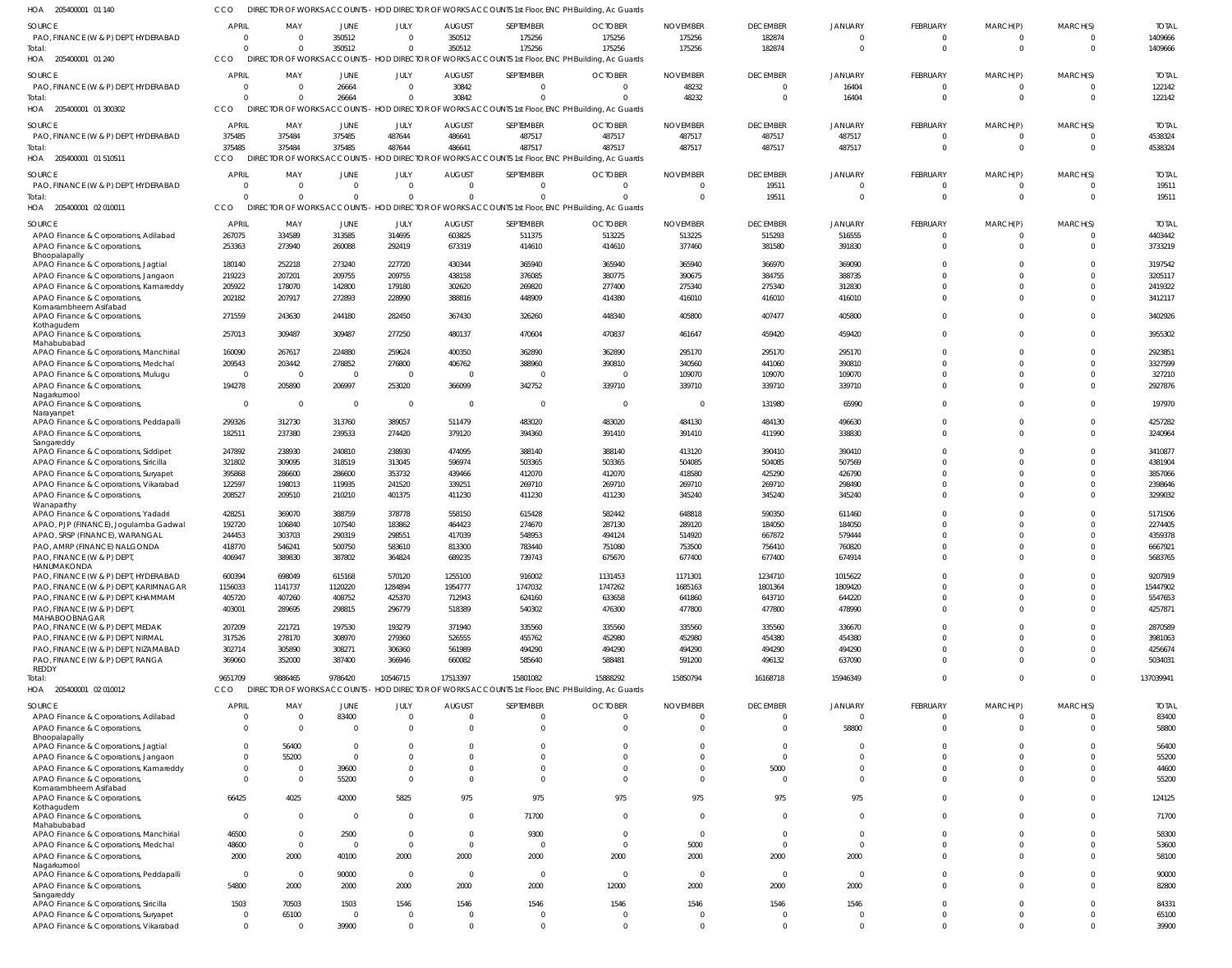| HOA 205400001 01 140                                                            | CCO              |                    |                          |                      |                         | DIRECTOR OF WORKS ACCOUNTS - HOD DIRECTOR OF WORKS ACCOUNTS 1st Floor, ENC PH Building, Ac Guards |                      |                          |                      |                      |                      |                      |                      |                    |
|---------------------------------------------------------------------------------|------------------|--------------------|--------------------------|----------------------|-------------------------|---------------------------------------------------------------------------------------------------|----------------------|--------------------------|----------------------|----------------------|----------------------|----------------------|----------------------|--------------------|
| SOURCE                                                                          | APRIL            | MAY                | JUNE                     | JULY                 | <b>AUGUST</b>           | SEPTEMBER                                                                                         | <b>OCTOBER</b>       | <b>NOVEMBER</b>          | <b>DECEMBER</b>      | <b>JANUARY</b>       | <b>FEBRUARY</b>      | MARCH(P)             | MARCH(S)             | <b>TOTAL</b>       |
| PAO, FINANCE (W & P) DEPT, HYDERABAD                                            | $\Omega$         | $\overline{0}$     | 350512                   | $\Omega$             | 350512                  | 175256                                                                                            | 175256               | 175256                   | 182874               | $\Omega$             | $\mathbf 0$          | -0                   | $\Omega$             | 1409666            |
| Total:                                                                          | $\cap$           | $\Omega$           | 350512                   | $\Omega$             | 350512                  | 175256                                                                                            | 175256               | 175256                   | 182874               | $\Omega$             | $\overline{0}$       | $\overline{0}$       | $\overline{0}$       | 1409666            |
| HOA 205400001 01 240                                                            | CCO              |                    |                          |                      |                         | DIRECTOR OF WORKS ACCOUNTS - HOD DIRECTOR OF WORKS ACCOUNTS 1st Floor, ENC PH Building, Ac Guards |                      |                          |                      |                      |                      |                      |                      |                    |
| <b>SOURCE</b>                                                                   | <b>APRIL</b>     | MAY                | JUNE                     | JULY                 | <b>AUGUST</b>           | SEPTEMBER                                                                                         | <b>OCTOBER</b>       | <b>NOVEMBER</b>          | <b>DECEMBER</b>      | <b>JANUARY</b>       | <b>FEBRUARY</b>      | MARCH(P)             | MARCH(S)             | <b>TOTAL</b>       |
| PAO, FINANCE (W & P) DEPT, HYDERABAD                                            |                  | $\Omega$           | 26664                    | $\Omega$             | 30842                   | $\Omega$                                                                                          | $\Omega$             | 48232                    | $\Omega$             | 16404                | $\Omega$             | $\mathbf 0$          | $\Omega$             | 122142             |
| Total:                                                                          |                  | $\Omega$           | 26664                    | $\Omega$             | 30842                   | $\Omega$                                                                                          | $\sqrt{2}$           | 48232                    | $\Omega$             | 16404                | $\overline{0}$       | $\overline{0}$       | $\Omega$             | 122142             |
| HOA 205400001 01 300302                                                         | CCO.             | DIREC <sup>®</sup> |                          |                      |                         | IOR OF WORKS ACCOUNIS - HOD DIRECTOR OF WORKS ACCOUNIS 1st Floor, ENC PH Building, Ac Guards      |                      |                          |                      |                      |                      |                      |                      |                    |
| SOURCE                                                                          | APRIL            | MAY                | JUNE                     | JULY                 | <b>AUGUST</b>           | SEPTEMBER                                                                                         | <b>OCTOBER</b>       | <b>NOVEMBER</b>          | <b>DECEMBER</b>      | <b>JANUARY</b>       | <b>FEBRUARY</b>      | MARCH(P)             | MARCH(S)             | <b>TOTAL</b>       |
| PAO, FINANCE (W & P) DEPT, HYDERABAD                                            | 375485           | 375484             | 375485                   | 487644               | 486641                  | 487517                                                                                            | 487517               | 487517                   | 487517               | 487517               | $\mathbf 0$          | $^{\circ}$           | $\Omega$             | 4538324            |
| Total:                                                                          | 375485           | 375484             | 375485                   | 487644               | 486641                  | 487517                                                                                            | 487517               | 487517                   | 487517               | 487517               | $\overline{0}$       | $\overline{0}$       | $\overline{0}$       | 4538324            |
| HOA 205400001 01 510511                                                         | CCO              | DIREC <sup>®</sup> |                          |                      |                         | TOR OF WORKS ACCOUNTS - HOD DIRECTOR OF WORKS ACCOUNTS 1st Floor, ENC PH Building, Ac Guards      |                      |                          |                      |                      |                      |                      |                      |                    |
| SOURCE                                                                          | APRIL            | MAY                | <b>JUNE</b>              | JULY                 | <b>AUGUST</b>           | SEPTEMBER                                                                                         | <b>OCTOBER</b>       | <b>NOVEMBER</b>          | <b>DECEMBER</b>      | <b>JANUARY</b>       | FEBRUARY             | MARCH(P)             | MARCH(S)             | <b>TOTAL</b>       |
| PAO, FINANCE (W & P) DEPT, HYDERABAD                                            | $\Omega$         | $\overline{0}$     | $\Omega$                 | $\Omega$             | $\Omega$                | $\Omega$                                                                                          | $\Omega$             | $\Omega$                 | 19511                |                      | $\Omega$             | $\Omega$             | $\Omega$             | 19511              |
| Total:                                                                          |                  | $\Omega$           | $\Omega$                 | $\Omega$             | $\Omega$                | $\Omega$                                                                                          | $\Omega$             | $\overline{0}$           | 19511                | $\Omega$             | $\overline{0}$       | $\overline{0}$       | $\overline{0}$       | 19511              |
| HOA 205400001 02 010011                                                         | CCO              |                    |                          |                      |                         | DIRECTOR OF WORKS ACCOUNTS - HOD DIRECTOR OF WORKS ACCOUNTS 1st Floor, ENC PH Building, Ac Guards |                      |                          |                      |                      |                      |                      |                      |                    |
| SOURCE                                                                          | APRIL            | MAY                | JUNE                     | JULY                 | <b>AUGUST</b>           | SEPTEMBER                                                                                         | <b>OCTOBER</b>       | <b>NOVEMBER</b>          | <b>DECEMBER</b>      | <b>JANUARY</b>       | FEBRUARY             | MARCH(P)             | MARCH(S)             | <b>TOTAL</b>       |
| APAO Finance & Corporations, Adilabad                                           | 267075           | 334589             | 313585                   | 314695               | 603825                  | 511375                                                                                            | 513225               | 513225                   | 515293               | 516555               | $\mathbf 0$          | 0                    | $\Omega$             | 4403442            |
| APAO Finance & Corporations,                                                    | 253363           | 273940             | 260088                   | 292419               | 673319                  | 414610                                                                                            | 414610               | 377460                   | 381580               | 391830               | $\mathbf 0$          | $\mathbf 0$          | $\Omega$             | 3733219            |
| Bhoopalapally<br>APAO Finance & Corporations, Jagtial                           | 180140           | 252218             | 273240                   | 227720               | 430344                  | 365940                                                                                            | 365940               | 365940                   | 366970               | 369090               | $\Omega$             | $\Omega$             | $\Omega$             | 3197542            |
| APAO Finance & Corporations, Jangaon                                            | 219223           | 207201             | 209755                   | 209755               | 438158                  | 376085                                                                                            | 380775               | 390675                   | 384755               | 388735               | $\Omega$             | $\Omega$             | $\Omega$             | 3205117            |
| APAO Finance & Corporations, Kamareddy                                          | 205922           | 178070             | 142800                   | 179180               | 302620                  | 269820                                                                                            | 277400               | 275340                   | 275340               | 312830               | $\Omega$             | $\Omega$             | $\Omega$             | 2419322            |
| APAO Finance & Corporations,                                                    | 202182           | 207917             | 272893                   | 228990               | 388816                  | 448909                                                                                            | 414380               | 416010                   | 416010               | 416010               | $\mathbf 0$          | $\Omega$             | $\Omega$             | 3412117            |
| Komarambheem Asifabad<br>APAO Finance & Corporations,                           | 271559           | 243630             | 244180                   | 282450               | 367430                  | 326260                                                                                            | 448340               | 405800                   | 407477               | 405800               | $\mathbf 0$          | $\mathbf 0$          | $\Omega$             | 3402926            |
| Kothagudem                                                                      |                  |                    |                          |                      |                         |                                                                                                   |                      |                          |                      |                      |                      |                      |                      |                    |
| APAO Finance & Corporations,                                                    | 257013           | 309487             | 309487                   | 277250               | 480137                  | 470604                                                                                            | 470837               | 461647                   | 459420               | 459420               | $\mathbf 0$          | $\Omega$             | $\Omega$             | 3955302            |
| Mahabubabad                                                                     |                  |                    |                          |                      |                         |                                                                                                   |                      |                          |                      |                      | $\mathbf 0$          | $\Omega$             | $\Omega$             |                    |
| APAO Finance & Corporations, Manchirial<br>APAO Finance & Corporations, Medchal | 160090<br>209543 | 267617<br>203442   | 224880<br>278852         | 259624<br>276800     | 400350<br>406762        | 362890<br>388960                                                                                  | 362890<br>390810     | 295170<br>340560         | 295170<br>441060     | 295170<br>390810     | $\Omega$             | $\Omega$             | $\Omega$             | 2923851<br>3327599 |
| APAO Finance & Corporations, Mulugu                                             | $\Omega$         | $\overline{0}$     | $\overline{\phantom{0}}$ | - 0                  | $\overline{0}$          | $\Omega$                                                                                          | C                    | 109070                   | 109070               | 109070               | $\Omega$             | $\Omega$             | $\Omega$             | 327210             |
| APAO Finance & Corporations,                                                    | 194278           | 205890             | 206997                   | 253020               | 366099                  | 342752                                                                                            | 339710               | 339710                   | 339710               | 339710               | $\Omega$             | $\Omega$             | $\Omega$             | 2927876            |
| Nagarkurnool                                                                    |                  |                    |                          |                      |                         |                                                                                                   |                      |                          |                      |                      |                      |                      |                      |                    |
| APAO Finance & Corporations,                                                    | $\Omega$         | $\Omega$           | $\overline{0}$           | $\overline{0}$       | $\overline{\mathbf{0}}$ | $\Omega$                                                                                          | $\overline{0}$       | - 0                      | 131980               | 65990                | $\Omega$             | $\Omega$             | $\Omega$             | 197970             |
| Narayanpet<br>APAO Finance & Corporations, Peddapalli                           | 299326           | 312730             | 313760                   | 389057               | 511479                  | 483020                                                                                            | 483020               | 484130                   | 484130               | 496630               | $\Omega$             | $\Omega$             | $\Omega$             | 4257282            |
| APAO Finance & Corporations,                                                    | 182511           | 237380             | 239533                   | 274420               | 379120                  | 394360                                                                                            | 391410               | 391410                   | 411990               | 338830               | $\Omega$             | $\Omega$             | $\Omega$             | 3240964            |
| Sangareddy                                                                      |                  |                    |                          |                      |                         |                                                                                                   |                      |                          |                      |                      |                      |                      |                      |                    |
| APAO Finance & Corporations, Siddipet                                           | 247892<br>321802 | 238930<br>309095   | 240810<br>318519         | 238930<br>313045     | 474095<br>596974        | 388140<br>503365                                                                                  | 388140<br>503365     | 413120<br>504085         | 390410<br>504085     | 390410<br>507569     | $\Omega$<br>$\Omega$ | $\Omega$<br>$\Omega$ | $\Omega$<br>$\Omega$ | 3410877<br>4381904 |
| APAO Finance & Corporations, Siricilla<br>APAO Finance & Corporations, Suryapet | 395868           | 286600             | 286600                   | 353732               | 439466                  | 412070                                                                                            | 412070               | 418580                   | 425290               | 426790               | $\Omega$             | $\Omega$             | $\Omega$             | 3857066            |
| APAO Finance & Corporations, Vikarabad                                          | 122597           | 198013             | 119935                   | 241520               | 339251                  | 269710                                                                                            | 269710               | 269710                   | 269710               | 298490               | $\Omega$             | $\Omega$             | $\Omega$             | 2398646            |
| APAO Finance & Corporations,                                                    | 208527           | 209510             | 210210                   | 401375               | 411230                  | 411230                                                                                            | 411230               | 345240                   | 345240               | 345240               | $\Omega$             | $\Omega$             | $\Omega$             | 3299032            |
| Wanaparthy                                                                      |                  |                    |                          |                      |                         |                                                                                                   |                      |                          |                      |                      |                      |                      |                      |                    |
| APAO Finance & Corporations, Yadadri                                            | 428251           | 369070             | 388759                   | 378778               | 558150                  | 615428                                                                                            | 582442               | 648818                   | 590350               | 611460               | $\Omega$             | $\Omega$             | $\Omega$             | 5171506            |
| APAO, PJP (FINANCE), Jogulamba Gadwal                                           | 192720<br>244453 | 106840<br>303703   | 107540<br>290319         | 183862<br>298551     | 464423                  | 274670<br>548953                                                                                  | 287130               | 289120<br>514920         | 184050               | 184050<br>579444     | $\Omega$<br>$\Omega$ | $\Omega$<br>$\Omega$ | $\Omega$<br>$\Omega$ | 2274405<br>4359378 |
| APAO, SRSP (FINANCE), WARANGAL<br>PAO, AMRP (FINANCE) NALGONDA                  | 418770           | 546241             | 500750                   | 583610               | 417039<br>813300        | 783440                                                                                            | 494124<br>751080     | 753500                   | 667872<br>756410     | 760820               | $\Omega$             | $\Omega$             | $\Omega$             | 6667921            |
| PAO, FINANCE (W & P) DEPT                                                       | 406947           | 389830             | 387802                   | 364824               | 689235                  | 739743                                                                                            | 675670               | 677400                   | 677400               | 674914               |                      |                      |                      | 5683765            |
| HANUMAKONDA                                                                     |                  |                    |                          |                      |                         |                                                                                                   |                      |                          |                      |                      |                      |                      |                      |                    |
| PAO, FINANCE (W & P) DEPT, HYDERABAD                                            | 600394           | 698049             | 615168                   | 570120               | 1255100                 | 916002                                                                                            | 1131453              | 1171301                  | 1234710              | 1015622              | $\Omega$             | $\Omega$             | $\Omega$             | 9207919            |
| PAO, FINANCE (W & P) DEPT, KARIMNAGAR                                           | 1156033          | 1141737            | 1120220                  | 1284894              | 1954777                 | 1747032                                                                                           | 1747262              | 1685163                  | 1801364              | 1809420              | $\Omega$             | $\Omega$             | $\Omega$             | 15447902           |
| PAO, FINANCE (W & P) DEPT, KHAMMAM<br>PAO, FINANCE (W & P) DEPT,                | 405720<br>403001 | 407260<br>289695   | 408752<br>298815         | 425370<br>296779     | 712943<br>518389        | 624160<br>540302                                                                                  | 633658<br>476300     | 641860<br>477800         | 643710<br>477800     | 644220<br>478990     | $\Omega$<br>$\Omega$ | $\Omega$<br>$\Omega$ | $\Omega$<br>$\Omega$ | 5547653<br>4257871 |
| MAHABOOBNAGAR                                                                   |                  |                    |                          |                      |                         |                                                                                                   |                      |                          |                      |                      |                      |                      |                      |                    |
| PAO, FINANCE (W & P) DEPT, MEDAK                                                | 207209           | 221721             | 197530                   | 193279               | 371940                  | 335560                                                                                            | 335560               | 335560                   | 335560               | 336670               | $\Omega$             | $\Omega$             | $\Omega$             | 2870589            |
| PAO, FINANCE (W & P) DEPT, NIRMAL                                               | 317526           | 278170             | 308970                   | 279360               | 526555                  | 455762                                                                                            | 452980               | 452980                   | 454380               | 454380               | $\Omega$             | $\Omega$             | $\Omega$             | 3981063            |
| PAO, FINANCE (W & P) DEPT, NIZAMABAD                                            | 302714           | 305890             | 308271                   | 306360               | 561989                  | 494290                                                                                            | 494290               | 494290                   | 494290               | 494290               | $\Omega$             | $\Omega$             | $\Omega$             | 4256674            |
| PAO, FINANCE (W & P) DEPT, RANGA<br>REDDY                                       | 369060           | 352000             | 387400                   | 366946               | 660082                  | 585640                                                                                            | 588481               | 591200                   | 496132               | 637090               | $\Omega$             | $\Omega$             | $\Omega$             | 5034031            |
| Total:                                                                          | 9651709          | 9886465            | 9786420                  | 10546715             | 17513397                | 15801082                                                                                          | 15888292             | 15850794                 | 16168718             | 15946349             | $\Omega$             | $\Omega$             | $\Omega$             | 137039941          |
| HOA 205400001 02 010012                                                         | CCO.             |                    |                          |                      |                         | DIRECTOR OF WORKS ACCOUNTS - HOD DIRECTOR OF WORKS ACCOUNTS 1st Floor, ENC PH Building, Ac Guards |                      |                          |                      |                      |                      |                      |                      |                    |
| SOURCE                                                                          | APRIL            | MAY                | JUNE                     | JULY                 | <b>AUGUST</b>           | SEPTEMBER                                                                                         | <b>OCTOBER</b>       | <b>NOVEMBER</b>          | <b>DECEMBER</b>      | <b>JANUARY</b>       | FEBRUARY             | MARCH(P)             | MARCH(S)             | <b>TOTAL</b>       |
| APAO Finance & Corporations, Adilabad                                           |                  | $\overline{0}$     | 83400                    | $\Omega$             | $\overline{0}$          | $\Omega$                                                                                          | $\overline{0}$       | $\mathbf 0$              | $\overline{0}$       | $\Omega$             | $\mathbf 0$          | $\Omega$             | $\overline{0}$       | 83400              |
| APAO Finance & Corporations,                                                    | $\Omega$         | $\Omega$           | $\Omega$                 | $\Omega$             | $\Omega$                | $\Omega$                                                                                          | $\Omega$             | $\Omega$                 | $\Omega$             | 58800                | $\Omega$             | $\Omega$             | $\Omega$             | 58800              |
| Bhoopalapally                                                                   |                  |                    |                          |                      |                         |                                                                                                   |                      |                          |                      |                      |                      |                      |                      |                    |
| APAO Finance & Corporations, Jagtial                                            | $\Omega$         | 56400              | $\Omega$<br>$\Omega$     |                      | $\Omega$<br>$\Omega$    | <sup>0</sup>                                                                                      | $\Omega$             | $\Omega$                 | $\Omega$<br>$\Omega$ |                      | $\Omega$<br>$\Omega$ | $\Omega$<br>$\Omega$ | $\Omega$<br>$\Omega$ | 56400              |
| APAO Finance & Corporations, Jangaon<br>APAO Finance & Corporations, Kamareddy  | $\Omega$         | 55200<br>$\Omega$  | 39600                    | $\Omega$<br>$\Omega$ | $\Omega$                | $\Omega$<br>$\Omega$                                                                              | $\Omega$<br>$\Omega$ | $\Omega$<br>$\Omega$     | 5000                 | $\Omega$<br>$\Omega$ | $\Omega$             | $\Omega$             | $\Omega$             | 55200<br>44600     |
| APAO Finance & Corporations,                                                    | $\Omega$         | $\Omega$           | 55200                    | $\Omega$             | $\Omega$                | $\Omega$                                                                                          | $\Omega$             | $\Omega$                 | $\Omega$             | $\Omega$             | $\Omega$             | $\Omega$             | $\Omega$             | 55200              |
| Komarambheem Asifabad                                                           |                  |                    |                          |                      |                         |                                                                                                   |                      |                          |                      |                      |                      |                      |                      |                    |
| APAO Finance & Corporations,                                                    | 66425            | 4025               | 42000                    | 5825                 | 975                     | 975                                                                                               | 975                  | 975                      | 975                  | 975                  | $\Omega$             | $\Omega$             | $\Omega$             | 124125             |
| Kothagudem<br>APAO Finance & Corporations,                                      | $\Omega$         | $\Omega$           | - 0                      | $\Omega$             | $\Omega$                | 71700                                                                                             | $\Omega$             | $\Omega$                 | $\Omega$             | $\Omega$             | $\Omega$             | $\Omega$             | $\Omega$             | 71700              |
| Mahabubabad                                                                     |                  |                    |                          |                      |                         |                                                                                                   |                      |                          |                      |                      |                      |                      |                      |                    |
| APAO Finance & Corporations, Manchirial                                         | 46500            | $\Omega$           | 2500                     | $\Omega$             | $\overline{0}$          | 9300                                                                                              | $\overline{0}$       | $\Omega$                 | $\Omega$             | $\Omega$             | $\Omega$             | $\Omega$             | $\Omega$             | 58300              |
| APAO Finance & Corporations, Medchal                                            | 48600            | $\Omega$           | $\Omega$                 | $\Omega$             | $\Omega$                | $\Omega$                                                                                          | $\Omega$             | 5000                     | $\Omega$             | $\Omega$             | $\Omega$             | $\Omega$             | $\Omega$             | 53600              |
| APAO Finance & Corporations,<br>Nagarkurnool                                    | 2000             | 2000               | 40100                    | 2000                 | 2000                    | 2000                                                                                              | 2000                 | 2000                     | 2000                 | 2000                 | $\Omega$             | $\Omega$             | $\Omega$             | 58100              |
| APAO Finance & Corporations, Peddapalli                                         | $\Omega$         | $\Omega$           | 90000                    | $\overline{0}$       | $\overline{\mathbf{0}}$ | $\Omega$                                                                                          | $\overline{0}$       | $\overline{\phantom{0}}$ | $\Omega$             | $\Omega$             | $\Omega$             | $\Omega$             | $\Omega$             | 90000              |
| APAO Finance & Corporations,                                                    | 54800            | 2000               | 2000                     | 2000                 | 2000                    | 2000                                                                                              | 12000                | 2000                     | 2000                 | 2000                 | $\Omega$             | $\Omega$             | $\Omega$             | 82800              |
| Sangareddy                                                                      |                  | 70503              |                          | 1546                 |                         |                                                                                                   | 1546                 | 1546                     | 1546                 | 1546                 | $\Omega$             | $\Omega$             | $\Omega$             |                    |
| APAO Finance & Corporations, Siricilla<br>APAO Finance & Corporations, Suryapet | 1503<br>$\Omega$ | 65100              | 1503<br>$\overline{0}$   | - 0                  | 1546<br>$\overline{0}$  | 1546<br>$\Omega$                                                                                  | $\overline{0}$       | $\mathbf 0$              | $\Omega$             | $\Omega$             | $\mathbf 0$          | $\Omega$             | $\overline{0}$       | 84331<br>65100     |
| APAO Finance & Corporations, Vikarabad                                          | $\Omega$         | $\Omega$           | 39900                    |                      | $\Omega$                | $\Omega$                                                                                          | $\Omega$             | $\Omega$                 | $\Omega$             | $\Omega$             | $\Omega$             | $\Omega$             | $\Omega$             | 39900              |
|                                                                                 |                  |                    |                          |                      |                         |                                                                                                   |                      |                          |                      |                      |                      |                      |                      |                    |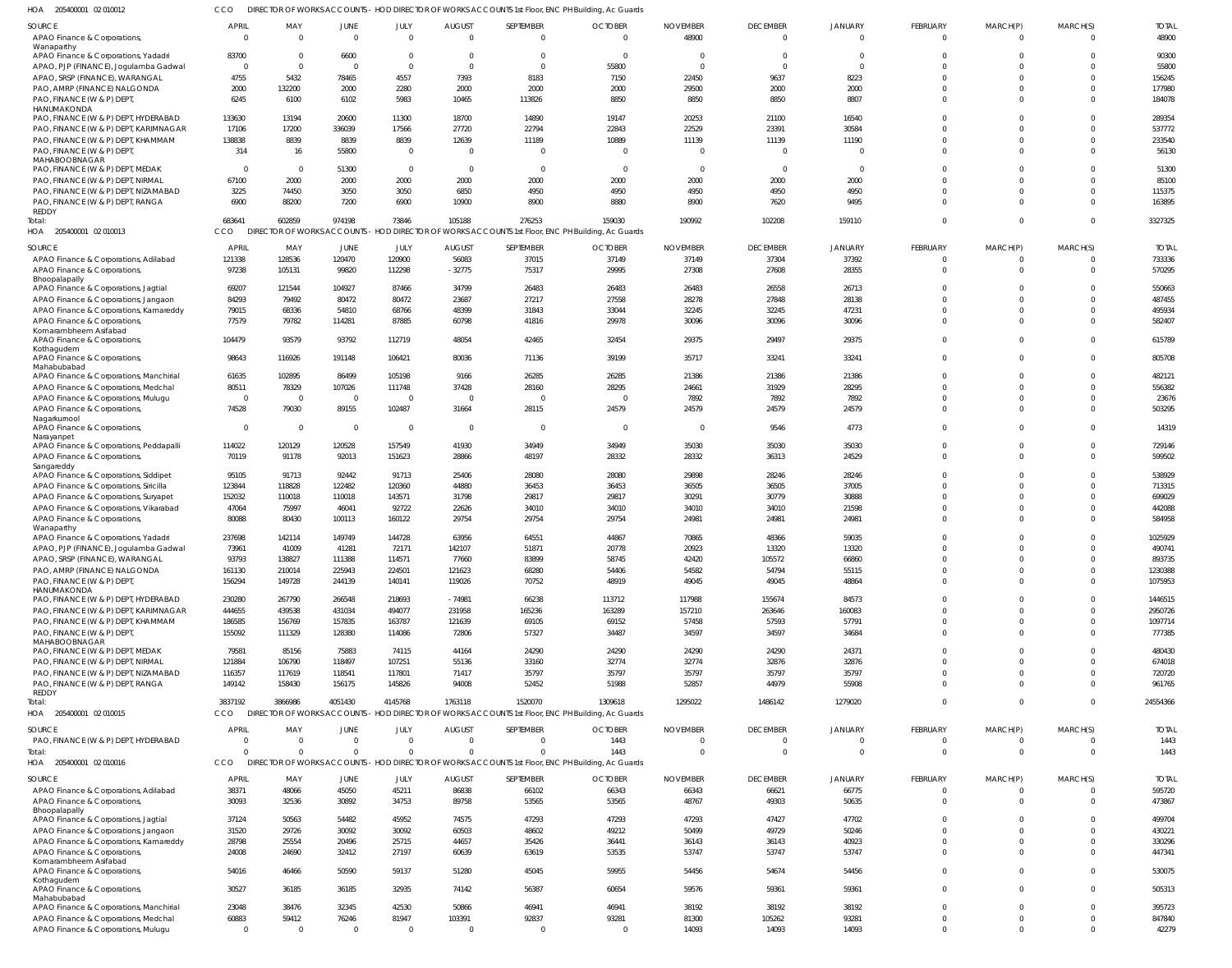CCO DIRECTOR OF WORKS ACCOUNTS - HOD DIRECTOR OF WORKS ACCOUNTS 1st Floor, ENC PH Building, Ac Guards

| HOA<br>205400001 02 010012                                                  |                          |                 |                         |                         |                           |                                                                                                   | DIRECTOR OF WORKS ACCOUNTS - HOD DIRECTOR OF WORKS ACCOUNTS 1st Floor, ENC PH Building, Ac Guards |                          |                             |                            |                            |                      |                      |                       |
|-----------------------------------------------------------------------------|--------------------------|-----------------|-------------------------|-------------------------|---------------------------|---------------------------------------------------------------------------------------------------|---------------------------------------------------------------------------------------------------|--------------------------|-----------------------------|----------------------------|----------------------------|----------------------|----------------------|-----------------------|
| SOURCE<br>APAO Finance & Corporations,                                      | <b>APRIL</b><br>$\Omega$ | MAY<br>$\Omega$ | <b>JUNE</b><br>$\Omega$ | JULY<br>$\Omega$        | <b>AUGUST</b><br>$\Omega$ | SEPTEMBER<br>$\overline{0}$                                                                       | <b>OCTOBER</b><br>$\Omega$                                                                        | <b>NOVEMBER</b><br>48900 | <b>DECEMBER</b><br>$\Omega$ | <b>JANUARY</b><br>$\Omega$ | FEBRUARY<br>$\overline{0}$ | MARCH(P)<br>$\Omega$ | MARCH(S)<br>$\Omega$ | <b>TOTAL</b><br>48900 |
| Wanaparthy<br>APAO Finance & Corporations, Yadadri                          | 83700                    | $\Omega$        | 6600                    | $\overline{0}$          | $\Omega$                  | $\overline{0}$                                                                                    | $\Omega$                                                                                          | $\overline{0}$           | $\Omega$                    | - 0                        | $\Omega$                   | $\Omega$             | $\Omega$             | 90300                 |
| APAO, PJP (FINANCE), Jogulamba Gadwal                                       | $\Omega$                 | $\Omega$        | $\Omega$                | $\mathbf 0$             | $\Omega$                  | $\overline{0}$                                                                                    | 55800                                                                                             | $\mathbf{0}$             | $\Omega$                    | $\Omega$                   | $\Omega$                   |                      | $\Omega$             | 55800                 |
| APAO, SRSP (FINANCE), WARANGAL                                              | 4755                     | 5432            | 78465                   | 4557                    | 7393                      | 8183                                                                                              | 7150                                                                                              | 22450                    | 9637                        | 8223                       | $\Omega$                   | $\Omega$             | $\Omega$             | 156245                |
| PAO, AMRP (FINANCE) NALGONDA                                                | 2000                     | 132200          | 2000                    | 2280                    | 2000                      | 2000                                                                                              | 2000                                                                                              | 29500                    | 2000                        | 2000                       | $\Omega$                   | $\Omega$             | $\Omega$             | 177980                |
| PAO, FINANCE (W & P) DEPT,                                                  | 6245                     | 6100            | 6102                    | 5983                    | 10465                     | 113826                                                                                            | 8850                                                                                              | 8850                     | 8850                        | 8807                       | $\Omega$                   | $\Omega$             | $\Omega$             | 184078                |
| HANUMAKONDA                                                                 |                          |                 |                         |                         |                           |                                                                                                   |                                                                                                   |                          |                             |                            |                            |                      |                      |                       |
| PAO, FINANCE (W & P) DEPT, HYDERABAD                                        | 133630                   | 13194           | 20600                   | 11300                   | 18700                     | 14890                                                                                             | 19147                                                                                             | 20253                    | 21100                       | 16540                      | $\Omega$<br>$\Omega$       |                      | $\Omega$<br>$\Omega$ | 289354                |
| PAO, FINANCE (W & P) DEPT, KARIMNAGAR<br>PAO, FINANCE (W & P) DEPT, KHAMMAM | 17106                    | 17200           | 336039                  | 17566                   | 27720                     | 22794                                                                                             | 22843                                                                                             | 22529                    | 23391                       | 30584                      | $\Omega$                   | $\Omega$             | $\Omega$             | 537772                |
| PAO, FINANCE (W & P) DEPT,                                                  | 138838<br>314            | 8839<br>16      | 8839<br>55800           | 8839<br>$\overline{0}$  | 12639<br>$\Omega$         | 11189<br>$\overline{0}$                                                                           | 10889<br>$\Omega$                                                                                 | 11139<br>$\Omega$        | 11139<br>$\Omega$           | 11190                      | $\Omega$                   | $\Omega$             | $\Omega$             | 233540<br>56130       |
| MAHABOOBNAGAR                                                               |                          |                 |                         |                         |                           |                                                                                                   |                                                                                                   |                          |                             |                            |                            |                      |                      |                       |
| PAO, FINANCE (W & P) DEPT, MEDAK                                            | $\Omega$                 | $\Omega$        | 51300                   | $\overline{0}$          | $\Omega$                  | $\overline{0}$                                                                                    | $\Omega$                                                                                          | $\overline{0}$           | $\Omega$                    | - 0                        | $\Omega$                   |                      | $\Omega$             | 51300                 |
| PAO, FINANCE (W & P) DEPT, NIRMAL                                           | 67100                    | 2000            | 2000                    | 2000                    | 2000                      | 2000                                                                                              | 2000                                                                                              | 2000                     | 2000                        | 2000                       | $\Omega$                   |                      | $\Omega$             | 85100                 |
| PAO, FINANCE (W & P) DEPT, NIZAMABAD                                        | 3225                     | 74450           | 3050                    | 3050                    | 6850                      | 4950                                                                                              | 4950                                                                                              | 4950                     | 4950                        | 4950                       | $\Omega$                   | $\Omega$             | $\Omega$             | 115375                |
| PAO, FINANCE (W & P) DEPT, RANGA                                            | 6900                     | 88200           | 7200                    | 6900                    | 10900                     | 8900                                                                                              | 8880                                                                                              | 8900                     | 7620                        | 9495                       | $\Omega$                   | $\Omega$             | $\Omega$             | 163895                |
| <b>REDDY</b><br>Total:                                                      | 683641                   | 602859          | 974198                  | 73846                   | 105188                    | 276253                                                                                            | 159030                                                                                            | 190992                   | 102208                      | 159110                     | $\Omega$                   | $\Omega$             | $\Omega$             | 3327325               |
| HOA 205400001 02 010013                                                     | CCO                      |                 |                         |                         |                           | DIRECTOR OF WORKS ACCOUNTS - HOD DIRECTOR OF WORKS ACCOUNTS 1st Floor, ENC PH Building, Ac Guards |                                                                                                   |                          |                             |                            |                            |                      |                      |                       |
| SOURCE                                                                      | APRIL                    | MAY             | <b>JUNE</b>             | JULY                    | <b>AUGUST</b>             | SEPTEMBER                                                                                         | <b>OCTOBER</b>                                                                                    | <b>NOVEMBER</b>          | <b>DECEMBER</b>             | <b>JANUARY</b>             | FEBRUARY                   | MARCH(P)             | MARCH(S)             | <b>TOTAL</b>          |
| APAO Finance & Corporations, Adilabad                                       | 121338                   | 128536          | 120470                  | 120900                  | 56083                     | 37015                                                                                             | 37149                                                                                             | 37149                    | 37304                       | 37392                      | $\overline{0}$             |                      | $\Omega$             | 733336                |
| APAO Finance & Corporations,                                                | 97238                    | 105131          | 99820                   | 112298                  | $-32775$                  | 75317                                                                                             | 29995                                                                                             | 27308                    | 27608                       | 28355                      | $\mathbf{0}$               | $\Omega$             | $\overline{0}$       | 570295                |
| Bhoopalapally                                                               |                          |                 |                         |                         |                           |                                                                                                   |                                                                                                   |                          |                             |                            |                            |                      |                      |                       |
| APAO Finance & Corporations, Jagtial                                        | 69207                    | 121544          | 104927                  | 87466                   | 34799                     | 26483                                                                                             | 26483                                                                                             | 26483                    | 26558                       | 26713                      | $\Omega$<br>$\Omega$       |                      | $\Omega$             | 550663                |
| APAO Finance & Corporations, Jangaon                                        | 84293                    | 79492           | 80472                   | 80472                   | 23687                     | 27217                                                                                             | 27558                                                                                             | 28278                    | 27848                       | 28138                      |                            |                      | $\overline{0}$       | 487455                |
| APAO Finance & Corporations, Kamareddy                                      | 79015                    | 68336           | 54810                   | 68766                   | 48399                     | 31843                                                                                             | 33044                                                                                             | 32245<br>30096           | 32245                       | 47231<br>30096             | $\Omega$<br>$\mathbf{0}$   |                      | $\Omega$<br>$\Omega$ | 495934<br>582407      |
| APAO Finance & Corporations,<br>Komarambheem Asifabad                       | 77579                    | 79782           | 114281                  | 87885                   | 60798                     | 41816                                                                                             | 29978                                                                                             |                          | 30096                       |                            |                            |                      |                      |                       |
| APAO Finance & Corporations,                                                | 104479                   | 93579           | 93792                   | 112719                  | 48054                     | 42465                                                                                             | 32454                                                                                             | 29375                    | 29497                       | 29375                      | $\mathbf{0}$               | $\Omega$             | $\Omega$             | 615789                |
| Kothagudem                                                                  |                          |                 |                         |                         |                           |                                                                                                   |                                                                                                   |                          |                             |                            |                            |                      |                      |                       |
| APAO Finance & Corporations,                                                | 98643                    | 116926          | 191148                  | 106421                  | 80036                     | 71136                                                                                             | 39199                                                                                             | 35717                    | 33241                       | 33241                      | $\mathbf{0}$               | $\Omega$             | $\Omega$             | 805708                |
| Mahabubabad<br>APAO Finance & Corporations, Manchirial                      | 61635                    | 102895          | 86499                   | 105198                  | 9166                      | 26285                                                                                             | 26285                                                                                             | 21386                    | 21386                       | 21386                      | $\Omega$                   |                      | $\Omega$             | 482121                |
| APAO Finance & Corporations, Medchal                                        | 80511                    | 78329           | 107026                  | 111748                  | 37428                     | 28160                                                                                             | 28295                                                                                             | 24661                    | 31929                       | 28295                      | $\Omega$                   |                      | $\overline{0}$       | 556382                |
| APAO Finance & Corporations, Mulugu                                         | $\overline{0}$           | $\overline{0}$  | $\overline{\mathbf{0}}$ | $\overline{0}$          | $\Omega$                  | $\overline{0}$                                                                                    | - 0                                                                                               | 7892                     | 7892                        | 7892                       | $\Omega$                   |                      | $\Omega$             | 23676                 |
| APAO Finance & Corporations,                                                | 74528                    | 79030           | 89155                   | 102487                  | 31664                     | 28115                                                                                             | 24579                                                                                             | 24579                    | 24579                       | 24579                      | $\Omega$                   |                      | $\Omega$             | 503295                |
| Nagarkurnool                                                                |                          |                 |                         |                         |                           |                                                                                                   |                                                                                                   |                          |                             |                            |                            |                      |                      |                       |
| APAO Finance & Corporations,                                                | $\overline{0}$           | $\Omega$        | $\overline{0}$          | $\overline{\mathbf{0}}$ | $\Omega$                  | $\overline{0}$                                                                                    | $\Omega$                                                                                          | $\Omega$                 | 9546                        | 4773                       | $\mathbf 0$                | $\Omega$             | $\Omega$             | 14319                 |
| Narayanpet<br>APAO Finance & Corporations, Peddapalli                       | 114022                   | 120129          | 120528                  | 157549                  | 41930                     | 34949                                                                                             | 34949                                                                                             | 35030                    | 35030                       | 35030                      | $\Omega$                   | $\Omega$             | $\Omega$             | 729146                |
| APAO Finance & Corporations,                                                | 70119                    | 91178           | 92013                   | 151623                  | 28866                     | 48197                                                                                             | 28332                                                                                             | 28332                    | 36313                       | 24529                      | $\overline{0}$             | $\Omega$             | $\Omega$             | 599502                |
| Sangareddy                                                                  |                          |                 |                         |                         |                           |                                                                                                   |                                                                                                   |                          |                             |                            |                            |                      |                      |                       |
| APAO Finance & Corporations, Siddipet                                       | 95105                    | 91713           | 92442                   | 91713                   | 25406                     | 28080                                                                                             | 28080                                                                                             | 29898                    | 28246                       | 28246                      | $\Omega$                   |                      | $\Omega$             | 538929                |
| APAO Finance & Corporations, Siricilla                                      | 123844                   | 118828          | 122482                  | 120360                  | 44880                     | 36453                                                                                             | 36453                                                                                             | 36505                    | 36505                       | 37005                      | $\Omega$                   |                      | $\Omega$             | 713315                |
| APAO Finance & Corporations, Suryapet                                       | 152032                   | 110018          | 110018                  | 143571                  | 31798                     | 29817                                                                                             | 29817                                                                                             | 30291                    | 30779                       | 30888                      | $\Omega$                   |                      | $\Omega$             | 699029                |
| APAO Finance & Corporations, Vikarabad                                      | 47064                    | 75997           | 46041                   | 92722                   | 22626                     | 34010                                                                                             | 34010                                                                                             | 34010                    | 34010                       | 21598                      | $\Omega$                   |                      | $\Omega$<br>$\Omega$ | 442088                |
| APAO Finance & Corporations,<br>Wanaparthy                                  | 80088                    | 80430           | 100113                  | 160122                  | 29754                     | 29754                                                                                             | 29754                                                                                             | 24981                    | 24981                       | 24981                      | $\mathbf{0}$               |                      |                      | 584958                |
| APAO Finance & Corporations, Yadadri                                        | 237698                   | 142114          | 149749                  | 144728                  | 63956                     | 64551                                                                                             | 44867                                                                                             | 70865                    | 48366                       | 59035                      | $\Omega$                   |                      | $\Omega$             | 1025929               |
| APAO, PJP (FINANCE), Jogulamba Gadwal                                       | 73961                    | 41009           | 41281                   | 72171                   | 142107                    | 51871                                                                                             | 20778                                                                                             | 20923                    | 13320                       | 13320                      | $\Omega$                   | $\Omega$             | $\Omega$             | 490741                |
| APAO, SRSP (FINANCE), WARANGAL                                              | 93793                    | 138827          | 111388                  | 114571                  | 77660                     | 83899                                                                                             | 58745                                                                                             | 42420                    | 105572                      | 66860                      | $\Omega$                   |                      |                      | 893735                |
| PAO, AMRP (FINANCE) NALGONDA                                                | 161130                   | 210014          | 225943                  | 224501                  | 121623                    | 68280                                                                                             | 54406                                                                                             | 54582                    | 54794                       | 55115                      | $\mathbf 0$                |                      | $\Omega$             | 1230388               |
| PAO, FINANCE (W & P) DEPT,                                                  | 156294                   | 149728          | 244139                  | 140141                  | 119026                    | 70752                                                                                             | 48919                                                                                             | 49045                    |                             |                            |                            |                      |                      | 1075953               |
| HANUMAKONDA<br>PAO, FINANCE (W & P) DEPT, HYDERABAD                         | 230280                   | 267790          |                         |                         |                           |                                                                                                   |                                                                                                   |                          | 49045                       | 48864                      | $\mathbf 0$                | $\Omega$             | $\Omega$             |                       |
| PAO, FINANCE (W & P) DEPT, KARIMNAGAR                                       | 444655                   |                 |                         |                         |                           |                                                                                                   |                                                                                                   |                          |                             |                            |                            |                      |                      |                       |
| PAO, FINANCE (W & P) DEPT, KHAMMAM                                          |                          |                 | 266548                  | 218693                  | $-74981$                  | 66238                                                                                             | 113712                                                                                            | 117988                   | 155674                      | 84573                      | $\mathbf 0$                | $\Omega$             | $\Omega$             | 1446515               |
|                                                                             |                          | 439538          | 431034                  | 494077                  | 231958                    | 165236                                                                                            | 163289                                                                                            | 157210                   | 263646                      | 160083                     | $\Omega$                   | $\Omega$             | $\Omega$             | 2950726               |
|                                                                             | 186585                   | 156769          | 157835                  | 163787                  | 121639                    | 69105                                                                                             | 69152                                                                                             | 57458                    | 57593                       | 57791                      | $\mathbf{0}$               | $\Omega$<br>$\Omega$ | $\Omega$<br>$\Omega$ | 1097714               |
| PAO, FINANCE (W & P) DEPT,<br>MAHABOOBNAGAR                                 | 155092                   | 111329          | 128380                  | 114086                  | 72806                     | 57327                                                                                             | 34487                                                                                             | 34597                    | 34597                       | 34684                      | $\mathbf 0$                |                      |                      | 777385                |
| PAO, FINANCE (W & P) DEPT, MEDAK                                            | 79581                    | 85156           | 75883                   | 74115                   | 44164                     | 24290                                                                                             | 24290                                                                                             | 24290                    | 24290                       | 24371                      | $\Omega$                   | $\Omega$             | $\Omega$             | 480430                |
| PAO, FINANCE (W & P) DEPT, NIRMAL                                           | 121884                   | 106790          | 118497                  | 107251                  | 55136                     | 33160                                                                                             | 32774                                                                                             | 32774                    | 32876                       | 32876                      | $\mathbf{0}$               | $\Omega$             | $\Omega$             | 674018                |
| PAO, FINANCE (W & P) DEPT, NIZAMABAD                                        | 116357                   | 117619          | 118541                  | 117801                  | 71417                     | 35797                                                                                             | 35797                                                                                             | 35797                    | 35797                       | 35797                      | $\mathbf{0}$               | $\Omega$             | $\Omega$             | 720720                |
| PAO, FINANCE (W & P) DEPT, RANGA                                            | 149142                   | 158430          | 156175                  | 145826                  | 94008                     | 52452                                                                                             | 51988                                                                                             | 52857                    | 44979                       | 55908                      | $\Omega$                   | $\Omega$             | $\Omega$             | 961765                |
| REDDY<br>Total:                                                             | 3837192                  | 3866986         | 4051430                 | 4145768                 | 1763118                   | 1520070                                                                                           | 1309618                                                                                           | 1295022                  | 1486142                     | 1279020                    | $\mathbf{0}$               | $\Omega$             | $\overline{0}$       | 24554366              |
| HOA 205400001 02 010015                                                     | CCO                      |                 |                         |                         |                           | DIRECTOR OF WORKS ACCOUNTS - HOD DIRECTOR OF WORKS ACCOUNTS 1st Floor, ENC PH Building, Ac Guards |                                                                                                   |                          |                             |                            |                            |                      |                      |                       |
| SOURCE                                                                      | <b>APRIL</b>             | MAY             | JUNE                    | JULY                    | <b>AUGUST</b>             | SEPTEMBER                                                                                         | <b>OCTOBER</b>                                                                                    | <b>NOVEMBER</b>          | <b>DECEMBER</b>             | <b>JANUARY</b>             | FEBRUARY                   | MARCH(P)             | MARCH(S)             | <b>TOTAL</b>          |
| PAO, FINANCE (W & P) DEPT, HYDERABAD                                        | $\Omega$                 | $\Omega$        | $\overline{0}$          | $\Omega$                | $\Omega$                  | $\overline{0}$                                                                                    | 1443                                                                                              | $\Omega$                 | $\Omega$                    | $\Omega$                   | $\overline{0}$             | $\Omega$             | $\Omega$             | 1443                  |
| Total:                                                                      |                          | $\Omega$        | $\Omega$                | $\Omega$                |                           | $\Omega$                                                                                          | 1443                                                                                              | $\Omega$                 | $\Omega$                    | $\Omega$                   | $\Omega$                   | $\Omega$             | $\Omega$             | 1443                  |
| HOA 205400001 02 010016                                                     | CCO                      |                 |                         |                         |                           | DIRECTOR OF WORKS ACCOUNTS - HOD DIRECTOR OF WORKS ACCOUNTS 1st Floor, ENC PH Building, Ac Guards |                                                                                                   |                          |                             |                            |                            |                      |                      |                       |
| SOURCE                                                                      | <b>APRIL</b>             | MAY             | JUNE                    | JULY                    | <b>AUGUST</b>             | SEPTEMBER                                                                                         | <b>OCTOBER</b>                                                                                    | <b>NOVEMBER</b>          | <b>DECEMBER</b>             | JANUARY                    | FEBRUARY                   | MARCH(P)             | MARCH(S)             | <b>TOTAL</b>          |
| APAO Finance & Corporations, Adilabad                                       | 38371                    | 48066           | 45050                   | 45211                   | 86838                     | 66102                                                                                             | 66343                                                                                             | 66343                    | 66621                       | 66775                      | $\overline{0}$             |                      | $\overline{0}$       | 595720                |
| APAO Finance & Corporations,                                                | 30093                    | 32536           | 30892                   | 34753                   | 89758                     | 53565                                                                                             | 53565                                                                                             | 48767                    | 49303                       | 50635                      | $\mathbf{0}$               | $\Omega$             | $\Omega$             | 473867                |
| Bhoopalapally                                                               |                          |                 |                         |                         |                           |                                                                                                   |                                                                                                   |                          |                             |                            |                            |                      |                      |                       |
| APAO Finance & Corporations, Jagtial                                        | 37124                    | 50563           | 54482                   | 45952                   | 74575                     | 47293                                                                                             | 47293                                                                                             | 47293                    | 47427                       | 47702                      | $\Omega$                   | $\Omega$             | $\Omega$             | 499704                |
| APAO Finance & Corporations, Jangaon                                        | 31520                    | 29726           | 30092                   | 30092                   | 60503                     | 48602                                                                                             | 49212                                                                                             | 50499                    | 49729                       | 50246                      | $\Omega$                   |                      | $\Omega$             | 430221                |
| APAO Finance & Corporations, Kamareddy                                      | 28798                    | 25554           | 20496                   | 25715                   | 44657                     | 35426                                                                                             | 36441                                                                                             | 36143                    | 36143                       | 40923                      | $\mathbf 0$                | $\Omega$<br>$\Omega$ | $\Omega$             | 330296                |
| APAO Finance & Corporations,<br>Komarambheem Asifabad                       | 24008                    | 24690           | 32412                   | 27197                   | 60639                     | 63619                                                                                             | 53535                                                                                             | 53747                    | 53747                       | 53747                      | $\mathbf 0$                |                      | $\Omega$             | 447341                |
| APAO Finance & Corporations,                                                | 54016                    | 46466           | 50590                   | 59137                   | 51280                     | 45045                                                                                             | 59955                                                                                             | 54456                    | 54674                       | 54456                      | $\mathbf{0}$               | $\Omega$             | $\Omega$             | 530075                |
| Kothagudem                                                                  |                          |                 |                         |                         |                           |                                                                                                   |                                                                                                   |                          |                             |                            |                            |                      |                      |                       |
| APAO Finance & Corporations,                                                | 30527                    | 36185           | 36185                   | 32935                   | 74142                     | 56387                                                                                             | 60654                                                                                             | 59576                    | 59361                       | 59361                      | $\mathbf{0}$               | $\Omega$             | $\Omega$             | 505313                |
| Mahabubabad<br>APAO Finance & Corporations, Manchirial                      | 23048                    | 38476           | 32345                   | 42530                   | 50866                     | 46941                                                                                             | 46941                                                                                             | 38192                    | 38192                       | 38192                      | $\mathbf{0}$               | $\Omega$             | $\overline{0}$       | 395723                |
| APAO Finance & Corporations, Medchal                                        | 60883                    | 59412           | 76246                   | 81947                   | 103391                    | 92837                                                                                             | 93281                                                                                             | 81300                    | 105262                      | 93281                      | $\mathbf 0$                | $\Omega$             | $\overline{0}$       | 847840                |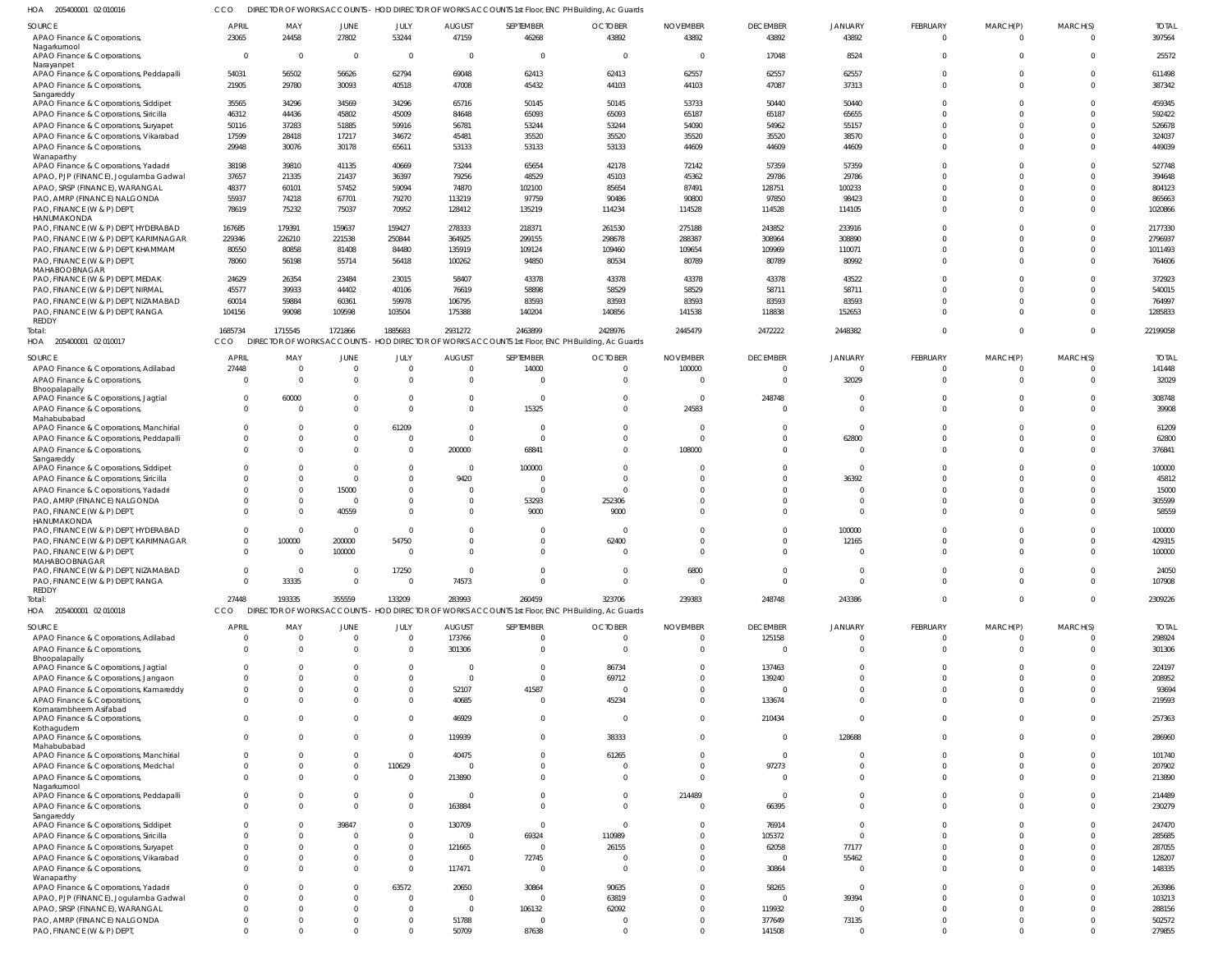205400001 02 010016 HOA CCO DIRECTOR OF WORKS ACCOUNTS - HOD DIRECTOR OF WORKS ACCOUNTS 1st Floor, ENC PH Building, Ac Guards

| השו<br><b>ZUJTUUUU I UZ U IUU IU</b>                       |                      |                                     |                |                |                                  |                         | ion of woms Accounts - hob binection of woms Accounts istribut, enclinibility, Ac oddids |                          |                    |                   |                 |             |          |                  |
|------------------------------------------------------------|----------------------|-------------------------------------|----------------|----------------|----------------------------------|-------------------------|------------------------------------------------------------------------------------------|--------------------------|--------------------|-------------------|-----------------|-------------|----------|------------------|
| SOURCE                                                     | <b>APRIL</b>         | MAY                                 | JUNE           | JULY           | <b>AUGUST</b>                    | SEPTEMBER               | <b>OCTOBER</b>                                                                           | <b>NOVEMBER</b>          | <b>DECEMBER</b>    | <b>JANUARY</b>    | <b>FEBRUARY</b> | MARCH(P)    | MARCH(S) | <b>TOTAL</b>     |
| APAO Finance & Corporations,                               | 23065                | 24458                               | 27802          | 53244          | 47159                            | 46268                   | 43892                                                                                    | 43892                    | 43892              | 43892             | $\Omega$        | $\Omega$    |          | 397564           |
| Nagarkurnool<br>APAO Finance & Corporations,               | $\overline{0}$       | $\overline{0}$                      | $\overline{0}$ | $\overline{0}$ | $\overline{0}$                   | $\overline{0}$          | $\overline{\mathbf{0}}$                                                                  | $\overline{\mathbf{0}}$  | 17048              | 8524              |                 |             | $\Omega$ | 25572            |
| Narayanpet                                                 |                      |                                     |                |                |                                  |                         |                                                                                          |                          |                    |                   |                 |             |          |                  |
| APAO Finance & Corporations, Peddapalli                    | 54031                | 56502                               | 56626          | 62794          | 69048                            | 62413                   | 62413                                                                                    | 62557                    | 62557              | 62557             | $\Omega$        |             | $\Omega$ | 611498           |
| APAO Finance & Corporations,                               | 21905                | 29780                               | 30093          | 40518          | 47008                            | 45432                   | 44103                                                                                    | 44103                    | 47087              | 37313             | $\Omega$        |             |          | 387342           |
| Sangareddy<br>APAO Finance & Corporations, Siddipet        | 35565                | 34296                               | 34569          | 34296          | 65716                            | 50145                   | 50145                                                                                    | 53733                    | 50440              | 50440             |                 |             |          | 459345           |
| APAO Finance & Corporations, Siricilla                     | 46312                | 44436                               | 45802          | 45009          | 84648                            | 65093                   | 65093                                                                                    | 65187                    | 65187              | 65655             |                 |             |          | 592422           |
| APAO Finance & Corporations, Suryapet                      | 50116                | 37283                               | 51885          | 59916          | 56781                            | 53244                   | 53244                                                                                    | 54090                    | 54962              | 55157             |                 |             |          | 526678           |
| APAO Finance & Corporations, Vikarabad                     | 17599                | 28418                               | 17217          | 34672          | 45481                            | 35520                   | 35520                                                                                    | 35520                    | 35520              | 38570             |                 |             |          | 324037           |
| APAO Finance & Corporations,                               | 29948                | 30076                               | 30178          | 65611          | 53133                            | 53133                   | 53133                                                                                    | 44609                    | 44609              | 44609             |                 |             | $\Omega$ | 449039           |
| Wanaparthy                                                 |                      |                                     |                |                |                                  |                         |                                                                                          |                          |                    |                   |                 |             |          |                  |
| APAO Finance & Corporations, Yadadri                       | 38198                | 39810                               | 41135          | 40669          | 73244                            | 65654                   | 42178                                                                                    | 72142                    | 57359              | 57359             |                 |             |          | 527748           |
| APAO, PJP (FINANCE), Jogulamba Gadwal                      | 37657                | 21335                               | 21437          | 36397          | 79256                            | 48529                   | 45103                                                                                    | 45362                    | 29786              | 29786             |                 |             |          | 394648           |
| APAO, SRSP (FINANCE), WARANGAL                             | 48377                | 60101                               | 57452          | 59094          | 74870                            | 102100                  | 85654                                                                                    | 87491                    | 128751             | 100233            |                 |             |          | 804123           |
| PAO, AMRP (FINANCE) NALGONDA                               | 55937                | 74218                               | 67701          | 79270          | 113219                           | 97759                   | 90486                                                                                    | 90800                    | 97850              | 98423             |                 |             |          | 865663           |
| PAO, FINANCE (W & P) DEPT,                                 | 78619                | 75232                               | 75037          | 70952          | 128412                           | 135219                  | 114234                                                                                   | 114528                   | 114528             | 114105            | $\Omega$        |             | $\Omega$ | 1020866          |
| HANUMAKONDA<br>PAO, FINANCE (W & P) DEPT, HYDERABAD        | 167685               | 179391                              | 159637         | 159427         | 278333                           | 218371                  | 261530                                                                                   | 275188                   | 243852             | 233916            |                 |             |          | 2177330          |
| PAO, FINANCE (W & P) DEPT, KARIMNAGAR                      | 229346               | 226210                              | 221538         | 250844         | 364925                           | 299155                  | 298678                                                                                   | 288387                   | 308964             | 308890            |                 |             |          | 2796937          |
| PAO, FINANCE (W & P) DEPT, KHAMMAM                         | 80550                | 80858                               | 81408          | 84480          | 135919                           | 109124                  | 109460                                                                                   | 109654                   | 109969             | 110071            |                 |             |          | 1011493          |
| PAO, FINANCE (W & P) DEPT,                                 | 78060                | 56198                               | 55714          | 56418          | 100262                           | 94850                   | 80534                                                                                    | 80789                    | 80789              | 80992             |                 |             |          | 764606           |
| MAHABOOBNAGAR                                              |                      |                                     |                |                |                                  |                         |                                                                                          |                          |                    |                   |                 |             |          |                  |
| PAO, FINANCE (W & P) DEPT, MEDAK                           | 24629                | 26354                               | 23484          | 23015          | 58407                            | 43378                   | 43378                                                                                    | 43378                    | 43378              | 43522             |                 |             |          | 372923           |
| PAO, FINANCE (W & P) DEPT, NIRMAL                          | 45577                | 39933                               | 44402          | 40106          | 76619                            | 58898                   | 58529                                                                                    | 58529                    | 58711              | 58711             |                 |             |          | 540015           |
| PAO, FINANCE (W & P) DEPT, NIZAMABAD                       | 60014                | 59884                               | 60361          | 59978          | 106795                           | 83593                   | 83593                                                                                    | 83593                    | 83593              | 83593             |                 |             |          | 764997           |
| PAO, FINANCE (W & P) DEPT, RANGA                           | 104156               | 99098                               | 109598         | 103504         | 175388                           | 140204                  | 140856                                                                                   | 141538                   | 118838             | 152653            |                 |             | $\Omega$ | 1285833          |
| REDDY                                                      | 1685734              | 1715545                             | 1721866        | 1885683        | 2931272                          | 2463899                 | 2428976                                                                                  | 2445479                  | 2472222            | 2448382           | $\Omega$        | $\Omega$    | $\Omega$ | 22199058         |
| Total:                                                     | CCO                  | <b>DIRECTOR OF WORKS ACCOUNTS -</b> |                |                |                                  |                         | - HOD DIRECTOR OF WORKS ACCOUNTS 1st Floor, ENC PH Building, Ac Guards                   |                          |                    |                   |                 |             |          |                  |
| HOA 205400001 02 010017                                    |                      |                                     |                |                |                                  |                         |                                                                                          |                          |                    |                   |                 |             |          |                  |
| SOURCE                                                     | APRIL                | MAY                                 | JUNE           | JULY           | <b>AUGUST</b>                    | SEPTEMBER               | <b>OCTOBER</b>                                                                           | <b>NOVEMBER</b>          | <b>DECEMBER</b>    | <b>JANUARY</b>    | <b>FEBRUARY</b> | MARCH(P)    | MARCH(S) | <b>TOTAL</b>     |
| APAO Finance & Corporations, Adilabad                      | 27448                | $\overline{0}$                      | $\overline{0}$ | $\Omega$       | $\overline{0}$                   | 14000                   | $\overline{0}$                                                                           | 100000                   | $\Omega$           | $\Omega$          | $\mathbf 0$     |             | $\Omega$ | 141448           |
| APAO Finance & Corporations,                               | $\Omega$             | $\overline{0}$                      | $\Omega$       | $\Omega$       | $\overline{0}$                   | $\Omega$                | $\Omega$                                                                                 | $\overline{0}$           | $\Omega$           | 32029             | $\Omega$        | $\Omega$    | $\Omega$ | 32029            |
| Bhoopalapally                                              | $\Omega$             |                                     | $\Omega$       | $\Omega$       |                                  |                         |                                                                                          |                          |                    | $\sim$            | $\Omega$        |             | $\cap$   |                  |
| APAO Finance & Corporations, Jagtial                       | $\Omega$             | 60000<br>$\Omega$                   | $\Omega$       | $\cap$         | $\overline{0}$<br>$\overline{0}$ | $\overline{0}$<br>15325 | $\overline{0}$<br>$\Omega$                                                               | $\overline{0}$<br>24583  | 248748<br>$\Omega$ | $\Omega$          |                 |             | $\Omega$ | 308748<br>39908  |
| APAO Finance & Corporations,<br>Mahabubabad                |                      |                                     |                |                |                                  |                         |                                                                                          |                          |                    |                   |                 |             |          |                  |
| APAO Finance & Corporations, Manchirial                    | $\Omega$             | $\overline{0}$                      | $\Omega$       | 61209          | $\overline{0}$                   | $\Omega$                | $\mathbf 0$                                                                              | $\overline{0}$           | $\Omega$           | $\Omega$          | $\Omega$        | U           | $\Omega$ | 61209            |
| APAO Finance & Corporations, Peddapalli                    | $\overline{0}$       | $\mathbf{0}$                        | $\overline{0}$ | - 0            | $\overline{0}$                   | $\Omega$                | $\Omega$                                                                                 | $\overline{\phantom{0}}$ | $\Omega$           | 62800             |                 |             | $\Omega$ | 62800            |
| APAO Finance & Corporations,                               | $\Omega$             | $\Omega$                            | $\Omega$       | $\Omega$       | 200000                           | 68841                   | $\mathbf 0$                                                                              | 108000                   | $\Omega$           | $\Omega$          | $\Omega$        |             | $\Omega$ | 376841           |
| Sangareddy                                                 |                      |                                     |                |                |                                  |                         |                                                                                          |                          |                    |                   |                 |             |          |                  |
| APAO Finance & Corporations, Siddipet                      | $\Omega$             | $\Omega$                            | $\Omega$       | $\Omega$       | $\overline{0}$                   | 100000                  | $\mathbf 0$                                                                              | $\overline{0}$           | $\Omega$           | $\Omega$          |                 |             | $\Omega$ | 100000           |
| APAO Finance & Corporations, Siricilla                     | $\Omega$             | $\Omega$                            | $\Omega$       | $\Omega$       | 9420                             | $\Omega$                | 0                                                                                        | $\Omega$                 | $\Omega$           | 36392             |                 |             | $\Omega$ | 45812            |
| APAO Finance & Corporations, Yadadri                       | $\Omega$             | $\overline{0}$                      | 15000          | $\Omega$       | $\overline{0}$                   | $\Omega$                | $\Omega$                                                                                 | $\Omega$                 | $\Omega$           | - 0               |                 |             | $\Omega$ | 15000            |
| PAO, AMRP (FINANCE) NALGONDA                               | $\Omega$             | $\Omega$                            | $\overline{0}$ | $\Omega$       | $\overline{0}$                   | 53293                   | 252306                                                                                   | $\Omega$                 | $\Omega$           | $\Omega$          |                 |             |          | 305599           |
| PAO, FINANCE (W & P) DEPT,<br>HANUMAKONDA                  | $\Omega$             | $\Omega$                            | 40559          | $\Omega$       | $\Omega$                         | 9000                    | 9000                                                                                     | $\Omega$                 | $\Omega$           | $\Omega$          |                 |             |          | 58559            |
| PAO, FINANCE (W & P) DEPT, HYDERABAD                       | $\Omega$             | $\overline{0}$                      | $\overline{0}$ | $\Omega$       | $\Omega$                         | $\Omega$                | $\overline{\mathbf{0}}$                                                                  | $\Omega$                 | $\Omega$           | 100000            |                 |             |          | 100000           |
| PAO, FINANCE (W & P) DEPT, KARIMNAGAR                      | $\overline{0}$       | 100000                              | 200000         | 54750          | $\Omega$                         | $\Omega$                | 62400                                                                                    | $\Omega$                 | $\Omega$           | 12165             |                 |             | $\Omega$ | 429315           |
| PAO, FINANCE (W & P) DEPT,                                 | $\Omega$             | $\overline{0}$                      | 100000         | $\Omega$       | $\Omega$                         | $\Omega$                | $\overline{0}$                                                                           | $\Omega$                 | $\Omega$           | $\Omega$          | $\Omega$        | $\Omega$    | $\Omega$ | 100000           |
| MAHABOOBNAGAR                                              |                      |                                     |                |                |                                  |                         |                                                                                          |                          |                    |                   |                 |             |          |                  |
| PAO, FINANCE (W & P) DEPT, NIZAMABAD                       | $\overline{0}$       | $\overline{0}$                      | $\Omega$       | 17250          | $\overline{0}$                   | $\mathbf{0}$            | $\overline{0}$                                                                           | 6800                     | $\Omega$           | $\Omega$          |                 |             |          | 24050            |
| PAO, FINANCE (W & P) DEPT, RANGA                           | $\Omega$             | 33335                               | $\Omega$       | $\Omega$       | 74573                            | $\Omega$                | $\overline{0}$                                                                           | $\overline{0}$           | $\Omega$           | $\Omega$          | $\Omega$        | $\Omega$    | $\Omega$ | 107908           |
| REDDY<br>Total:                                            | 27448                | 193335                              | 355559         | 133209         | 283993                           | 260459                  | 323706                                                                                   | 239383                   | 248748             | 243386            | $\mathbf 0$     | $\mathbf 0$ | $\Omega$ | 2309226          |
| HOA 205400001 02 010018                                    | CCO                  | <b>DIRECTOR OF WORKS ACCOUNTS</b>   |                |                |                                  |                         | - HOD DIRECTOR OF WORKS ACCOUNTS 1st Floor, ENC PH Building, Ac Guards                   |                          |                    |                   |                 |             |          |                  |
|                                                            |                      |                                     |                |                |                                  |                         |                                                                                          |                          |                    |                   |                 |             |          |                  |
| SOURCE                                                     | <b>APRIL</b>         | MAY                                 | JUNE           | JULY           | <b>AUGUST</b>                    | SEPTEMBER               | <b>OCTOBER</b>                                                                           | <b>NOVEMBER</b>          | <b>DECEMBER</b>    | <b>JANUARY</b>    | <b>FEBRUARY</b> | MARCH(P)    | MARCH(S) | <b>TOTAL</b>     |
| APAO Finance & Corporations, Adilabad                      | $\Omega$             | $\Omega$                            | $\Omega$       | $\Omega$       | 173766                           | $\overline{0}$          | $\mathbf 0$                                                                              | $\Omega$                 | 125158             | $\Omega$          | $\Omega$        |             |          | 298924           |
| APAO Finance & Corporations,                               | $\Omega$             | $\Omega$                            | $\Omega$       | $\Omega$       | 301306                           | $\Omega$                | $\overline{0}$                                                                           | $\overline{0}$           | $\Omega$           | $\Omega$          | $\Omega$        | $\Omega$    |          | 301306           |
| Bhoopalapally<br>APAO Finance & Corporations, Jagtial      | $\Omega$             | $\Omega$                            | $\Omega$       | $\Omega$       | $\overline{0}$                   | $\Omega$                | 86734                                                                                    | $\Omega$                 | 137463             | $\Omega$          | $\Omega$        |             |          | 224197           |
| APAO Finance & Corporations, Jangaon                       | $\Omega$             | $\Omega$                            | $\Omega$       | $\Omega$       | $\overline{0}$                   | $\Omega$                | 69712                                                                                    | $\Omega$                 | 139240             | $\Omega$          |                 |             |          | 208952           |
| APAO Finance & Corporations, Kamareddy                     | $\Omega$             | $\Omega$                            | $\Omega$       |                | 52107                            | 41587                   | $\overline{0}$                                                                           | $\Omega$                 | $\Omega$           | $\Omega$          |                 |             |          | 93694            |
| APAO Finance & Corporations,                               | $\Omega$             | $\Omega$                            | $\Omega$       | $\Omega$       | 40685                            | $\Omega$                | 45234                                                                                    | $\Omega$                 | 133674             | $\Omega$          |                 |             |          | 219593           |
| Komarambheem Asifabad                                      |                      |                                     |                |                |                                  |                         |                                                                                          |                          |                    |                   |                 |             |          |                  |
| APAO Finance & Corporations,                               | $\Omega$             | $\Omega$                            | $\Omega$       | $\Omega$       | 46929                            | $\Omega$                | $\overline{0}$                                                                           | $\Omega$                 | 210434             | $\Omega$          | $\Omega$        | $\Omega$    |          | 257363           |
| Kothagudem                                                 |                      |                                     |                |                |                                  |                         |                                                                                          |                          |                    |                   |                 |             |          |                  |
| APAO Finance & Corporations,<br>Mahabubabad                | $\Omega$             | $\Omega$                            | $\Omega$       | $\Omega$       | 119939                           | $\Omega$                | 38333                                                                                    | $\Omega$                 | $\Omega$           | 128688            |                 |             |          | 286960           |
| APAO Finance & Corporations, Manchirial                    | $\Omega$             | $\Omega$                            | $\Omega$       | $\Omega$       | 40475                            | $\Omega$                | 61265                                                                                    | $\Omega$                 | $\Omega$           | $\Omega$          | $\Omega$        |             |          | 101740           |
| APAO Finance & Corporations, Medchal                       | $\Omega$             | $\overline{0}$                      | $\Omega$       | 110629         | $\overline{0}$                   | $\Omega$                | $\overline{0}$                                                                           | $\mathbf 0$              | 97273              | $\Omega$          |                 |             |          | 207902           |
| APAO Finance & Corporations,                               | $\Omega$             | $\Omega$                            | $\Omega$       | $\Omega$       | 213890                           | $\Omega$                | $\Omega$                                                                                 | $\Omega$                 | $\Omega$           | $\Omega$          | $\Omega$        | $\Omega$    |          | 213890           |
| Nagarkurnool                                               |                      |                                     |                |                |                                  |                         |                                                                                          |                          |                    |                   |                 |             |          |                  |
| APAO Finance & Corporations, Peddapalli                    | $\Omega$             | $\Omega$                            | $\Omega$       | $\Omega$       | $\overline{0}$                   | $\Omega$                | $\mathbf 0$                                                                              | 214489                   | $\Omega$           | $\Omega$          |                 |             |          | 214489           |
| APAO Finance & Corporations,                               | $\Omega$             | $\Omega$                            | $\Omega$       | $\Omega$       | 163884                           | $\Omega$                | $\Omega$                                                                                 | $\Omega$                 | 66395              | $\Omega$          | $\Omega$        | $\Omega$    |          | 230279           |
| Sangareddy<br>APAO Finance & Corporations, Siddipet        | <sup>0</sup>         | <sup>0</sup>                        | 39847          |                | 130709                           | $\Omega$                | $\overline{0}$                                                                           | $\Omega$                 | 76914              | $\Omega$          |                 |             |          | 247470           |
| APAO Finance & Corporations, Siricilla                     | $\Omega$             | $\Omega$                            | $\Omega$       | $\Omega$       | $\Omega$                         | 69324                   | 110989                                                                                   | $\Omega$                 | 105372             | $\Omega$          |                 |             |          | 285685           |
| APAO Finance & Corporations, Suryapet                      | $\Omega$             | <sup>0</sup>                        | $\Omega$       | $\Omega$       | 121665                           | $\Omega$                | 26155                                                                                    | $\Omega$                 | 62058              | 77177             |                 |             |          | 287055           |
| APAO Finance & Corporations, Vikarabad                     | $\Omega$             | $\Omega$                            | $\Omega$       | $\Omega$       | $\overline{0}$                   | 72745                   | $\Omega$                                                                                 | $\Omega$                 | $\Omega$           | 55462             |                 |             |          | 128207           |
| APAO Finance & Corporations,                               | $\Omega$             | $\Omega$                            | $\Omega$       | $\Omega$       | 117471                           | $\Omega$                | $\overline{0}$                                                                           | $\Omega$                 | 30864              | $\Omega$          |                 |             |          | 148335           |
| Wanaparthy                                                 |                      |                                     |                |                |                                  |                         |                                                                                          |                          |                    |                   |                 |             |          |                  |
| APAO Finance & Corporations, Yadadri                       | $\Omega$             | $\Omega$                            | $\Omega$       | 63572          | 20650                            | 30864                   | 90635                                                                                    | $\Omega$                 | 58265              | $\Omega$          |                 |             |          | 263986           |
| APAO, PJP (FINANCE), Jogulamba Gadwal                      | $\Omega$             | $\Omega$                            | $\Omega$       | $\Omega$       | $\overline{0}$                   | $\Omega$                | 63819                                                                                    | $\Omega$                 | $\Omega$           | 39394             |                 |             |          | 103213           |
| APAO, SRSP (FINANCE), WARANGAL                             |                      |                                     |                |                |                                  |                         |                                                                                          |                          |                    |                   |                 |             |          |                  |
|                                                            | $\Omega$             | $\Omega$                            | $\Omega$       | $\Omega$       | $\overline{0}$                   | 106132                  | 62092                                                                                    | $\Omega$                 | 119932             |                   |                 |             |          | 288156           |
| PAO, AMRP (FINANCE) NALGONDA<br>PAO, FINANCE (W & P) DEPT, | $\Omega$<br>$\Omega$ | 0<br>$\Omega$                       | 0<br>$\Omega$  | $\Omega$       | 51788<br>50709                   | $\Omega$<br>87638       | $\overline{0}$<br>$\mathbf 0$                                                            | $\mathbf 0$<br>$\Omega$  | 377649<br>141508   | 73135<br>$\Omega$ | $\Omega$        | $\Omega$    | $\Omega$ | 502572<br>279855 |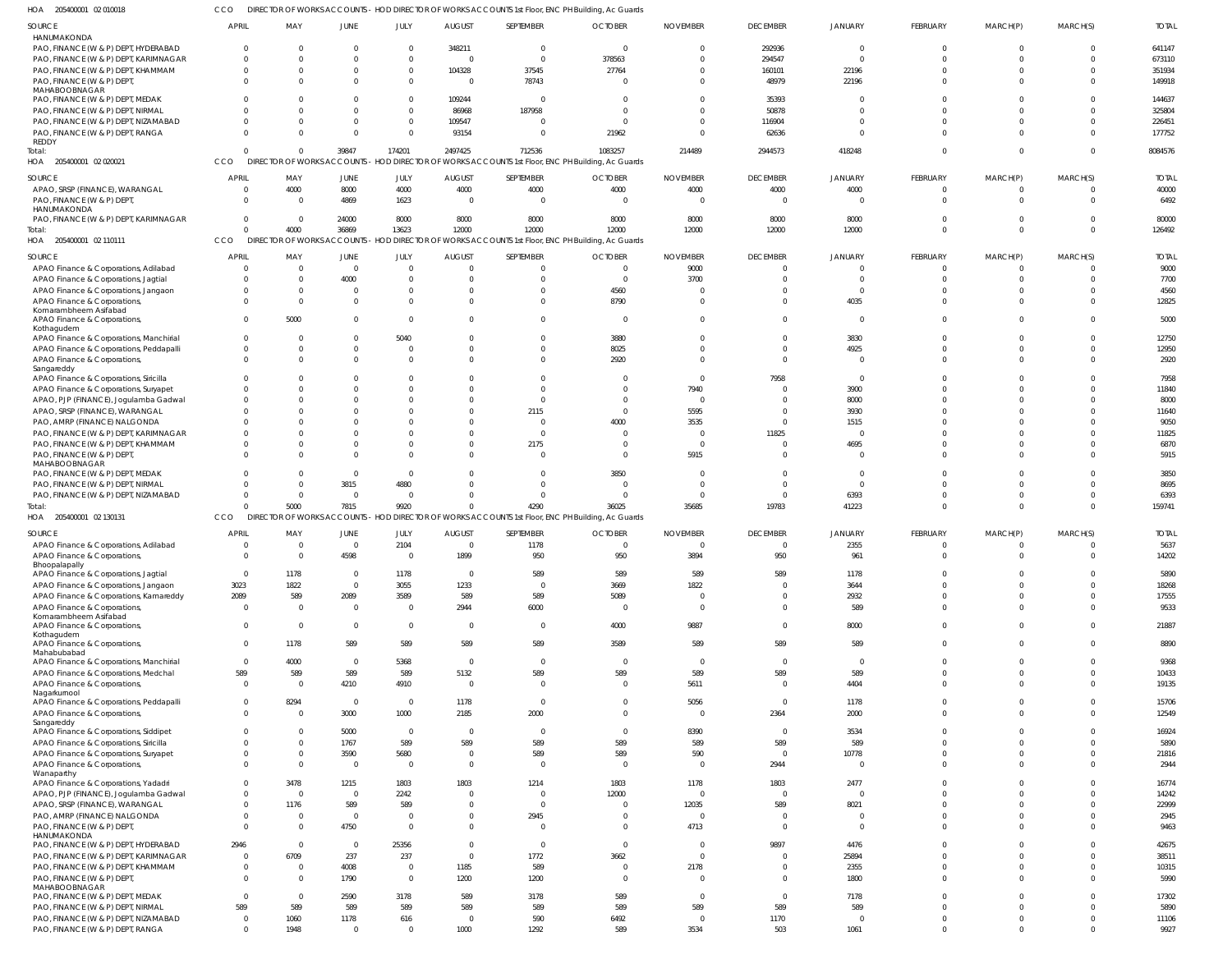205400001 02 010018 HOA CCO DIRECTOR OF WORKS ACCOUNTS - HOD DIRECTOR OF WORKS ACCOUNTS 1st Floor, ENC PH Building, Ac Guards

| SOURCE                                                                        | <b>APRIL</b>                | MAY              | JUNE                       | JULY                 | <b>AUGUST</b>           | SEPTEMBER                                                                                         | <b>OCTOBER</b>  | <b>NOVEMBER</b>        | <b>DECEMBER</b>  | <b>JANUARY</b>    | <b>FEBRUARY</b>      | MARCH(P)       | MARCH(S)                   | <b>TOTAL</b>     |
|-------------------------------------------------------------------------------|-----------------------------|------------------|----------------------------|----------------------|-------------------------|---------------------------------------------------------------------------------------------------|-----------------|------------------------|------------------|-------------------|----------------------|----------------|----------------------------|------------------|
| HANUMAKONDA                                                                   |                             |                  |                            |                      |                         |                                                                                                   |                 |                        |                  |                   |                      |                |                            |                  |
| PAO, FINANCE (W & P) DEPT, HYDERABAD                                          | $\Omega$                    |                  |                            | 0                    | 348211                  | $\Omega$                                                                                          | $\Omega$        | 0                      | 292936           | $\Omega$          | $\Omega$             | $\Omega$       | $\Omega$                   | 641147           |
| PAO, FINANCE (W & P) DEPT, KARIMNAGAR<br>PAO, FINANCE (W & P) DEPT, KHAMMAM   | $\Omega$<br>$\Omega$        |                  |                            | $\Omega$<br>$\Omega$ | - 0<br>104328           | $\mathbf 0$<br>37545                                                                              | 378563<br>27764 | $\Omega$<br>$\Omega$   | 294547<br>160101 | $\Omega$<br>22196 |                      |                | $\Omega$<br>$\Omega$       | 673110<br>351934 |
| PAO, FINANCE (W & P) DEPT,                                                    | $\Omega$                    |                  |                            | $\Omega$             | - 0                     | 78743                                                                                             |                 | $\Omega$               | 48979            | 22196             |                      | <sup>0</sup>   | $\Omega$                   | 149918           |
| MAHABOOBNAGAR                                                                 |                             |                  |                            |                      |                         |                                                                                                   |                 |                        |                  |                   |                      |                |                            |                  |
| PAO, FINANCE (W & P) DEPT, MEDAK                                              |                             |                  |                            |                      | 109244                  | $\Omega$                                                                                          |                 |                        | 35393            |                   |                      |                | $\Omega$                   | 144637           |
| PAO, FINANCE (W & P) DEPT, NIRMAL                                             | 0                           |                  |                            | $\Omega$             | 86968                   | 187958                                                                                            |                 |                        | 50878            | $\Omega$          |                      |                | $\Omega$                   | 325804           |
| PAO, FINANCE (W & P) DEPT, NIZAMABAD                                          |                             |                  |                            |                      | 109547                  | $\Omega$                                                                                          |                 | $\Omega$               | 116904           | $\Omega$          |                      |                | $\Omega$                   | 226451           |
| PAO, FINANCE (W & P) DEPT, RANGA<br>REDDY                                     | $\Omega$                    |                  | $\Omega$                   | $\Omega$             | 93154                   | $\Omega$                                                                                          | 21962           | $\Omega$               | 62636            | $\cap$            |                      |                | $\Omega$                   | 177752           |
| Total:                                                                        | $\Omega$                    |                  | 39847                      | 174201               | 2497425                 | 712536                                                                                            | 1083257         | 214489                 | 2944573          | 418248            |                      | $\Omega$       | $\mathbf 0$                | 8084576          |
| HOA 205400001 02 020021                                                       | <b>CCO</b>                  |                  | DIRECTOR OF WORKS ACCOUNTS |                      |                         | HOD DIRECTOR OF WORKS ACCOUNTS 1st Floor, ENC PH Building, Ac Guards                              |                 |                        |                  |                   |                      |                |                            |                  |
| <b>SOURCE</b>                                                                 | <b>APRIL</b>                | MAY              | JUNE                       | JULY                 | <b>AUGUST</b>           | SEPTEMBER                                                                                         | <b>OCTOBER</b>  | <b>NOVEMBER</b>        | <b>DECEMBER</b>  | <b>JANUARY</b>    | <b>FEBRUARY</b>      | MARCH(P)       | MARCH(S)                   | <b>TOTAL</b>     |
| APAO, SRSP (FINANCE), WARANGAL                                                | $\Omega$                    | 4000             | 8000                       | 4000                 | 4000                    | 4000                                                                                              | 4000            | 4000                   | 4000             | 4000              | $^{\circ}$           | $\overline{0}$ | $\mathbf{0}$               | 40000            |
| PAO, FINANCE (W & P) DEPT,                                                    | $\Omega$                    | $\Omega$         | 4869                       | 1623                 | - 0                     | $\overline{0}$                                                                                    | $\Omega$        | $\Omega$               | $\Omega$         | $\Omega$          | $\Omega$             | $\Omega$       | $\mathbf 0$                | 6492             |
| HANUMAKONDA                                                                   |                             |                  |                            |                      |                         |                                                                                                   |                 |                        |                  |                   |                      |                |                            |                  |
| PAO, FINANCE (W & P) DEPT, KARIMNAGAR                                         | $\mathbf{0}$                | $\Omega$         | 24000                      | 8000                 | 8000                    | 8000                                                                                              | 8000            | 8000                   | 8000             | 8000              |                      |                | $^{\circ}$                 | 80000            |
| Total:                                                                        | $\Omega$                    | 4000             | 36869                      | 13623                | 12000                   | 12000                                                                                             | 12000           | 12000                  | 12000            | 12000             | $\Omega$             | $\Omega$       | $\mathbf 0$                | 126492           |
| HOA 205400001 02 110111                                                       | CCO                         |                  |                            |                      |                         | DIRECTOR OF WORKS ACCOUNTS - HOD DIRECTOR OF WORKS ACCOUNTS 1st Floor, ENC PH Building, Ac Guards |                 |                        |                  |                   |                      |                |                            |                  |
| SOURCE                                                                        | <b>APRIL</b>                | MAY              | JUNE                       | JULY                 | <b>AUGUST</b>           | SEPTEMBER                                                                                         | <b>OCTOBER</b>  | <b>NOVEMBER</b>        | <b>DECEMBER</b>  | <b>JANUARY</b>    | FEBRUARY             | MARCH(P)       | MARCH(S)                   | <b>TOTAL</b>     |
| APAO Finance & Corporations, Adilabad                                         | $\Omega$                    |                  | $\overline{0}$             | $\Omega$             | $\Omega$                | $\mathbf{0}$                                                                                      | $\Omega$        | 9000                   | $\Omega$         | $\Omega$          | $\Omega$             | $\Omega$       | $\mathbf{0}$               | 9000             |
| APAO Finance & Corporations, Jagtial                                          | $\Omega$                    |                  | 4000                       | 0                    |                         | $\Omega$                                                                                          | $\Omega$        | 3700                   |                  | $\cap$            |                      |                | $\Omega$                   | 7700             |
| APAO Finance & Corporations, Jangaon                                          | 0                           |                  |                            |                      |                         | $\Omega$                                                                                          | 4560            | $\Omega$               |                  | $\Omega$          |                      |                | $\Omega$                   | 4560             |
| APAO Finance & Corporations,                                                  | $\Omega$                    |                  | $\Omega$                   |                      |                         | $\Omega$                                                                                          | 8790            | $\Omega$               |                  | 4035              |                      | $\Omega$       | $\Omega$                   | 12825            |
| Komarambheem Asifabad                                                         |                             |                  |                            |                      |                         |                                                                                                   |                 |                        |                  |                   |                      |                |                            |                  |
| APAO Finance & Corporations,                                                  | $\Omega$                    | 5000             |                            |                      |                         | $\Omega$                                                                                          | $\Omega$        | $\Omega$               |                  | $\Omega$          |                      |                | $\Omega$                   | 5000             |
| Kothagudem<br>APAO Finance & Corporations, Manchirial                         | $\mathbf{0}$                |                  | $\Omega$                   | 5040                 |                         | $\Omega$                                                                                          | 3880            | $\Omega$               | $\Omega$         | 3830              |                      |                | $\Omega$                   | 12750            |
| APAO Finance & Corporations, Peddapalli                                       | $\Omega$                    |                  |                            |                      |                         | $\Omega$                                                                                          | 8025            | $\Omega$               | $\Omega$         | 4925              |                      |                | $\Omega$                   | 12950            |
| APAO Finance & Corporations,                                                  | $\Omega$                    |                  |                            |                      |                         | $\Omega$                                                                                          | 2920            | $\Omega$               | $\Omega$         | $\Omega$          | $\Omega$             | $\Omega$       | $\Omega$                   | 2920             |
| Sangareddy                                                                    |                             |                  |                            |                      |                         |                                                                                                   |                 |                        |                  |                   |                      |                |                            |                  |
| APAO Finance & Corporations, Siricilla                                        | $\Omega$                    |                  |                            |                      |                         | $\Omega$                                                                                          |                 | $\Omega$               | 7958             | $\Omega$          |                      |                | $\Omega$                   | 7958             |
| APAO Finance & Corporations, Suryapet                                         | $\Omega$                    |                  |                            |                      |                         | $\Omega$                                                                                          |                 | 7940                   |                  | 3900              |                      |                | $\Omega$                   | 11840            |
| APAO, PJP (FINANCE), Jogulamba Gadwal                                         |                             |                  |                            |                      |                         | $\Omega$                                                                                          |                 | - 0                    |                  | 8000              |                      |                | $\Omega$                   | 8000             |
| APAO, SRSP (FINANCE), WARANGAL                                                | 0                           |                  |                            |                      |                         | 2115                                                                                              | $\Omega$        | 5595                   | $\Omega$         | 3930              |                      |                | $\Omega$                   | 11640            |
| PAO, AMRP (FINANCE) NALGONDA                                                  |                             |                  |                            |                      |                         | $\Omega$                                                                                          | 4000            | 3535                   | $\Omega$         | 1515              |                      |                | $\Omega$                   | 9050             |
| PAO, FINANCE (W & P) DEPT, KARIMNAGAR                                         | 0                           |                  |                            |                      |                         | $\Omega$                                                                                          |                 | - 0                    | 11825            | - 0               |                      |                | $\Omega$                   | 11825            |
| PAO, FINANCE (W & P) DEPT, KHAMMAM                                            |                             |                  |                            |                      |                         | 2175                                                                                              |                 | 0                      | $\Omega$         | 4695              |                      |                | $\Omega$                   | 6870             |
| PAO, FINANCE (W & P) DEPT,                                                    | $\Omega$                    |                  |                            |                      |                         | $\Omega$                                                                                          | $\Omega$        | 5915                   | $\Omega$         | $\Omega$          |                      |                | $\Omega$                   | 5915             |
| MAHABOOBNAGAR<br>PAO, FINANCE (W & P) DEPT, MEDAK                             |                             |                  | $\Omega$                   | 0                    |                         | $\Omega$                                                                                          | 3850            | $\Omega$               |                  | $\Omega$          |                      |                | $\Omega$                   | 3850             |
| PAO, FINANCE (W & P) DEPT, NIRMAL                                             | 0                           |                  | 3815                       | 4880                 |                         | $\Omega$                                                                                          |                 | $\Omega$               | $\Omega$         | $\Omega$          |                      |                | $\Omega$                   | 8695             |
| PAO, FINANCE (W & P) DEPT, NIZAMABAD                                          | $\Omega$                    |                  | 0                          | $\Omega$             |                         | $\Omega$                                                                                          | $\Omega$        | 0                      | $\Omega$         | 6393              |                      |                | $\Omega$                   | 6393             |
| Total:                                                                        | $\Omega$                    | 5000             | 7815                       | 9920                 |                         | 4290                                                                                              | 36025           | 35685                  | 19783            | 41223             |                      | $\Omega$       | $\Omega$                   | 159741           |
| HOA 205400001 02 130131                                                       | CCO                         |                  |                            |                      |                         | DIRECTOR OF WORKS ACCOUNTS - HOD DIRECTOR OF WORKS ACCOUNTS 1st Floor, ENC PH Building, Ac Guards |                 |                        |                  |                   |                      |                |                            |                  |
|                                                                               |                             |                  |                            |                      |                         |                                                                                                   |                 |                        |                  |                   |                      |                |                            |                  |
| SOURCE                                                                        | APRIL                       | MAY              | JUNE                       | JULY                 | <b>AUGUST</b>           | SEPTEMBER                                                                                         | <b>OCTOBER</b>  | <b>NOVEMBER</b>        | <b>DECEMBER</b>  | <b>JANUARY</b>    | <b>FEBRUARY</b>      | MARCH(P)       | MARCH(S)                   | <b>TOTAL</b>     |
| APAO Finance & Corporations, Adilabad                                         | - 0<br>$\Omega$             | - 0<br>$\Omega$  | $\Omega$<br>4598           | 2104<br>$\Omega$     | - 0<br>1899             | 1178<br>950                                                                                       | $\Omega$<br>950 | - 0                    | $\Omega$<br>950  | 2355<br>961       | $\Omega$             | $\Omega$       | $\Omega$<br>$\Omega$       | 5637             |
| APAO Finance & Corporations<br>Bhoopalapally                                  |                             |                  |                            |                      |                         |                                                                                                   |                 | 3894                   |                  |                   |                      |                |                            | 14202            |
| APAO Finance & Corporations, Jagtial                                          | $\overline{0}$              | 1178             | $\Omega$                   | 1178                 | - 0                     | 589                                                                                               | 589             | 589                    | 589              | 1178              | $\Omega$             | $\Omega$       | $^{\circ}$                 | 5890             |
| APAO Finance & Corporations, Jangaon                                          | 3023                        | 1822             | $\Omega$                   | 3055                 | 1233                    | $\overline{0}$                                                                                    | 3669            | 1822                   | $\Omega$         | 3644              | $\Omega$             | $\mathbf 0$    | $\mathbf 0$                | 18268            |
| APAO Finance & Corporations, Kamareddy                                        | 2089                        | 589              | 2089                       | 3589                 | 589                     | 589                                                                                               | 5089            | 0                      | $\Omega$         | 2932              | $\Omega$             | $\Omega$       | $\mathbf 0$                | 17555            |
| APAO Finance & Corporations,                                                  | $\overline{0}$              | $\Omega$         | $\mathbf 0$                | $\Omega$             | 2944                    | 6000                                                                                              | $\overline{0}$  | $\Omega$               | $\Omega$         | 589               | $\Omega$             | $\Omega$       | $\Omega$                   | 9533             |
| Komarambheem Asifabad                                                         |                             |                  |                            |                      |                         |                                                                                                   |                 |                        |                  |                   |                      |                |                            |                  |
| APAO Finance & Corporations,<br>Kothagudem                                    | $\overline{0}$              | $\Omega$         | $\overline{0}$             | $\mathbf 0$          | $\overline{0}$          | $\overline{0}$                                                                                    | 4000            | 9887                   | $\Omega$         | 8000              | $\Omega$             | $\overline{0}$ | $\mathbf 0$                | 21887            |
| APAO Finance & Corporations,                                                  | $\overline{0}$              | 1178             | 589                        | 589                  | 589                     | 589                                                                                               | 3589            | 589                    | 589              | 589               | $\Omega$             | $\mathbf{0}$   | $\overline{0}$             | 8890             |
| Mahabubabad                                                                   |                             |                  |                            |                      |                         |                                                                                                   |                 |                        |                  |                   |                      |                |                            |                  |
| APAO Finance & Corporations, Manchirial                                       | $\overline{0}$              | 4000             | $\Omega$                   | 5368                 | $\overline{0}$          | $\overline{0}$                                                                                    | $\overline{0}$  | $\overline{0}$         | $\overline{0}$   | $\Omega$          | $\Omega$             | $\mathbf{0}$   | $\mathbf{0}$               | 9368             |
| APAO Finance & Corporations, Medchal                                          | 589<br>$\mathbf{0}$         | 589              | 589                        | 589                  | 5132                    | 589                                                                                               | 589             | 589                    | 589              | 589               | $\Omega$<br>$\Omega$ | $\mathbf 0$    | $\mathbf 0$                | 10433            |
| APAO Finance & Corporations,                                                  |                             |                  |                            |                      |                         |                                                                                                   |                 |                        |                  |                   |                      | $\Omega$       | $\mathbf 0$                | 19135            |
| Nagarkurnool                                                                  |                             | - 0              | 4210                       | 4910                 | - 0                     | $\overline{0}$                                                                                    | $\overline{0}$  | 5611                   | $\Omega$         | 4404              |                      |                |                            |                  |
|                                                                               | $\overline{0}$              |                  |                            | $\mathbf 0$          |                         | $\overline{0}$                                                                                    | $\overline{0}$  |                        | $\Omega$         |                   | $\Omega$             | $\mathbf 0$    | $\mathbf 0$                |                  |
| APAO Finance & Corporations, Peddapalli<br>APAO Finance & Corporations,       | $\overline{0}$              | 8294<br>$\Omega$ | $\mathbf 0$<br>3000        | 1000                 | 1178<br>2185            | 2000                                                                                              | $\overline{0}$  | 5056<br>$\overline{0}$ | 2364             | 1178<br>2000      | $\Omega$             | $\overline{0}$ | $\overline{0}$             | 15706<br>12549   |
| Sangareddy                                                                    |                             |                  |                            |                      |                         |                                                                                                   |                 |                        |                  |                   |                      |                |                            |                  |
| APAO Finance & Corporations, Siddipet                                         | $\mathbf 0$                 |                  | 5000                       | $\Omega$             | - 0                     | $\overline{0}$                                                                                    | $\overline{0}$  | 8390                   | $\Omega$         | 3534              | $\Omega$             | $\Omega$       | $\mathbf 0$                | 16924            |
| APAO Finance & Corporations, Siricilla                                        | $\mathbf{0}$                | $\Omega$         | 1767                       | 589                  | 589                     | 589                                                                                               | 589             | 589                    | 589              | 589               | $\Omega$             | $\Omega$       | $\mathbf 0$                | 5890             |
| APAO Finance & Corporations, Suryapet                                         | $\mathbf 0$                 | $\Omega$         | 3590                       | 5680                 | $\Omega$                | 589                                                                                               | 589             | 590                    | $\Omega$         | 10778             | $\Omega$             | $\mathbf{0}$   | $\mathbf 0$                | 21816            |
| APAO Finance & Corporations,                                                  | $\overline{0}$              | $\Omega$         | $\overline{0}$             | $\overline{0}$       | $\overline{0}$          | $\overline{0}$                                                                                    | $\overline{0}$  | $\overline{0}$         | 2944             | $\Omega$          | $\Omega$             | $\Omega$       | $\mathbf 0$                | 2944             |
| Wanaparthy                                                                    |                             |                  |                            |                      |                         |                                                                                                   |                 |                        |                  |                   | $\Omega$             | $\Omega$       |                            |                  |
| APAO Finance & Corporations, Yadadri<br>APAO, PJP (FINANCE), Jogulamba Gadwal | $\mathbf 0$<br>$\mathbf{0}$ | 3478<br>- 0      | 1215<br>$\Omega$           | 1803<br>2242         | 1803<br>$\Omega$        | 1214<br>$\mathbf 0$                                                                               | 1803<br>12000   | 1178<br>0              | 1803<br>$\Omega$ | 2477<br>$\Omega$  | $\Omega$             | $\Omega$       | $\mathbf 0$<br>$\mathbf 0$ | 16774<br>14242   |
| APAO, SRSP (FINANCE), WARANGAL                                                | $\overline{0}$              | 1176             | 589                        | 589                  | - 0                     | $\overline{0}$                                                                                    | $\overline{0}$  | 12035                  | 589              | 8021              | $\Omega$             | $\Omega$       | $\mathbf 0$                | 22999            |
| PAO, AMRP (FINANCE) NALGONDA                                                  | $\mathbf{0}$                | - 0              | $\overline{0}$             | $\Omega$             | $\Omega$                | 2945                                                                                              | $\overline{0}$  | 0                      | $\Omega$         | - 0               | $\Omega$             | $\mathbf{0}$   | $\mathbf 0$                | 2945             |
| PAO, FINANCE (W & P) DEPT,                                                    | $\overline{0}$              | $\Omega$         | 4750                       | $\Omega$             | $\Omega$                | $\overline{0}$                                                                                    | $\overline{0}$  | 4713                   | $\Omega$         | $\Omega$          | $\Omega$             | $\Omega$       | $\Omega$                   | 9463             |
| HANUMAKONDA                                                                   |                             |                  |                            |                      |                         |                                                                                                   |                 |                        |                  |                   |                      |                |                            |                  |
| PAO, FINANCE (W & P) DEPT, HYDERABAD                                          | 2946                        | $\Omega$         | $\Omega$                   | 25356                | $\Omega$                | $\overline{0}$                                                                                    | $\overline{0}$  | $\overline{0}$         | 9897             | 4476              | $\Omega$             | $\mathbf 0$    | $\mathbf 0$                | 42675            |
| PAO, FINANCE (W & P) DEPT, KARIMNAGAR                                         | $\overline{0}$              | 6709             | 237                        | 237                  | $\Omega$                | 1772                                                                                              | 3662            | $\overline{0}$         | $\Omega$         | 25894             | $\Omega$             | $\Omega$       | $\overline{0}$             | 38511            |
| PAO, FINANCE (W & P) DEPT, KHAMMAM                                            | $\mathbf{0}$                | - 0              | 4008                       | $\mathbf 0$          | 1185                    | 589                                                                                               | $\overline{0}$  | 2178                   | $\Omega$         | 2355              | $\Omega$             | $\mathbf 0$    | $\mathbf 0$                | 10315            |
| PAO, FINANCE (W & P) DEPT,                                                    | $\overline{0}$              | $\Omega$         | 1790                       | $\mathbf 0$          | 1200                    | 1200                                                                                              | $\overline{0}$  | $\overline{0}$         | $\Omega$         | 1800              | $\Omega$             | $\Omega$       | $\mathbf 0$                | 5990             |
| MAHABOOBNAGAR                                                                 | $\mathbf{0}$                | $\Omega$         |                            |                      | 589                     | 3178                                                                                              |                 | $\overline{0}$         | $\Omega$         | 7178              | $\Omega$             | $\Omega$       | $\mathbf 0$                |                  |
| PAO, FINANCE (W & P) DEPT, MEDAK<br>PAO, FINANCE (W & P) DEPT, NIRMAL         | 589                         | 589              | 2590<br>589                | 3178<br>589          | 589                     | 589                                                                                               | 589<br>589      | 589                    | 589              | 589               | $\Omega$             | $\Omega$       | $\overline{0}$             | 17302<br>5890    |
| PAO, FINANCE (W & P) DEPT, NIZAMABAD                                          | $\overline{0}$              | 1060             | 1178                       | 616                  | $\overline{\mathbf{0}}$ | 590                                                                                               | 6492            | $\overline{0}$         | 1170             | $\Omega$          | $\mathbf 0$          | $\mathbf 0$    | $\mathbf 0$                | 11106            |
| PAO, FINANCE (W & P) DEPT, RANGA                                              | $\overline{0}$              | 1948             | $\mathbf 0$                | $\Omega$             | 1000                    | 1292                                                                                              | 589             | 3534                   | 503              | 1061              | $\Omega$             | $\Omega$       | $\mathbf 0$                | 9927             |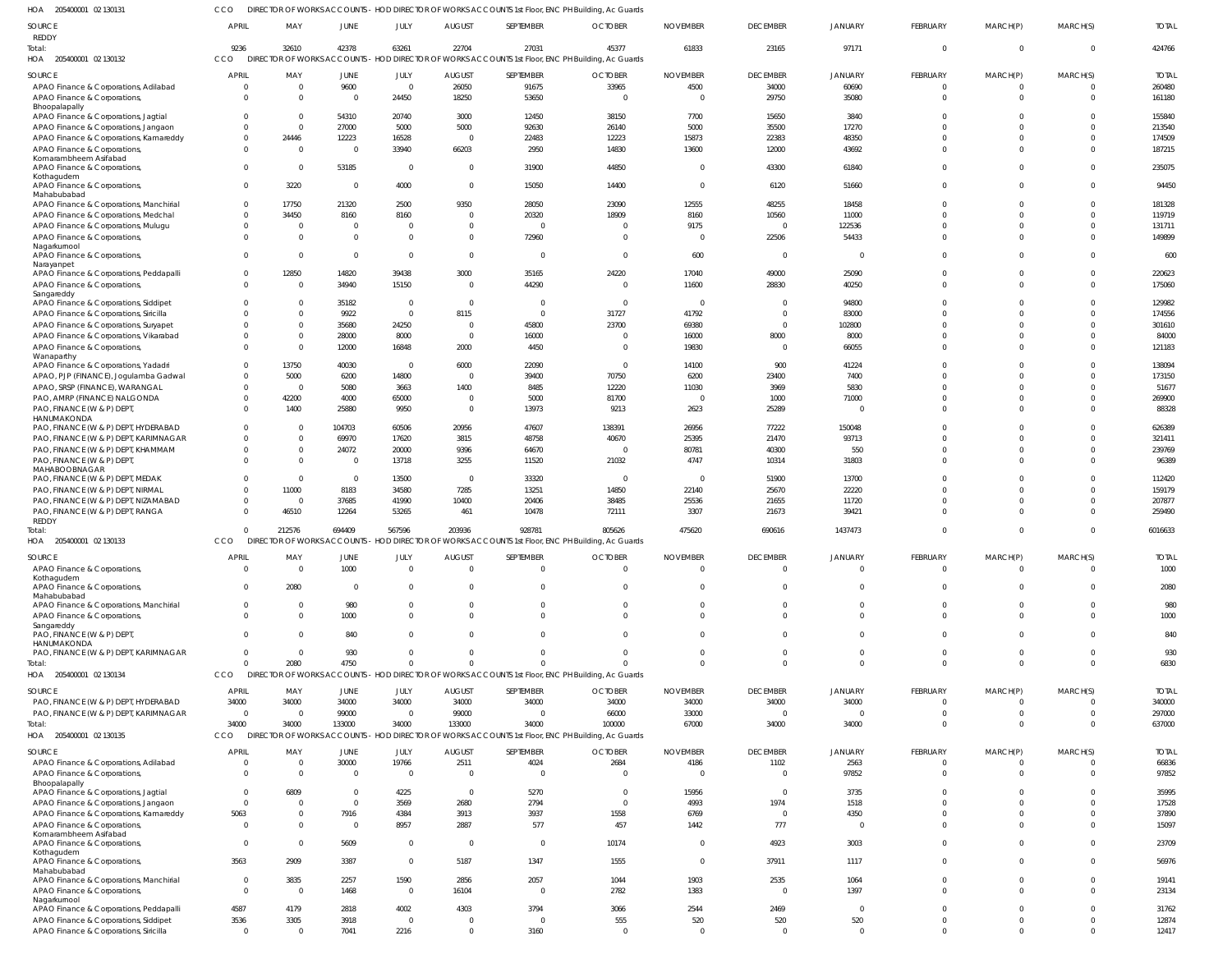205400001 02 130131 HOA CCO DIRECTOR OF WORKS ACCOUNTS - HOD DIRECTOR OF WORKS ACCOUNTS 1st Floor, ENC PH Building, Ac Guards

| SOURCE                                                                           | <b>APRIL</b>                | MAY                     | JUNE                              | JULY                   | <b>AUGUST</b>          | SEPTEMBER            | <b>OCTOBER</b>                                                                                             | <b>NOVEMBER</b>         | <b>DECEMBER</b>          | <b>JANUARY</b>          | <b>FEBRUARY</b>                | MARCH(P)                | MARCH(S)             | <b>TOTAL</b>           |
|----------------------------------------------------------------------------------|-----------------------------|-------------------------|-----------------------------------|------------------------|------------------------|----------------------|------------------------------------------------------------------------------------------------------------|-------------------------|--------------------------|-------------------------|--------------------------------|-------------------------|----------------------|------------------------|
| REDDY                                                                            |                             |                         |                                   |                        |                        |                      |                                                                                                            |                         |                          |                         | $\overline{0}$                 | $\mathbf 0$             | $\Omega$             |                        |
| Total:<br>HOA 205400001 02 130132                                                | 9236<br>CCO                 | 32610                   | 42378                             | 63261                  | 22704                  | 27031                | 45377<br>DIRECTOR OF WORKS ACCOUNTS - HOD DIRECTOR OF WORKS ACCOUNTS 1st Floor, ENC PH Building, Ac Guards | 61833                   | 23165                    | 97171                   |                                |                         |                      | 424766                 |
|                                                                                  |                             |                         |                                   |                        |                        |                      |                                                                                                            |                         |                          |                         |                                |                         |                      |                        |
| SOURCE<br>APAO Finance & Corporations, Adilabad                                  | <b>APRIL</b><br>0           | MAY<br>$\Omega$         | JUNE<br>9600                      | JULY<br>$\overline{0}$ | <b>AUGUST</b><br>26050 | SEPTEMBER<br>91675   | <b>OCTOBER</b><br>33965                                                                                    | <b>NOVEMBER</b><br>4500 | <b>DECEMBER</b><br>34000 | <b>JANUARY</b><br>60690 | FEBRUARY<br>$\Omega$           | MARCH(P)                | MARCH(S)             | <b>TOTAL</b><br>260480 |
| APAO Finance & Corporations,                                                     | $\Omega$                    | $\Omega$                | $\overline{0}$                    | 24450                  | 18250                  | 53650                | $\Omega$                                                                                                   |                         | 29750                    | 35080                   | $\Omega$                       | $\Omega$                | $\Omega$             | 161180                 |
| Bhoopalapally<br>APAO Finance & Corporations, Jagtial                            | 0                           | $\Omega$                | 54310                             | 20740                  | 3000                   | 12450                | 38150                                                                                                      | 7700                    | 15650                    | 3840                    | $\Omega$                       | $\Omega$                |                      | 155840                 |
| APAO Finance & Corporations, Jangaon                                             |                             | $\Omega$                | 27000                             | 5000                   | 5000                   | 92630                | 26140                                                                                                      | 5000                    | 35500                    | 17270                   | $\Omega$                       |                         |                      | 213540                 |
| APAO Finance & Corporations, Kamareddy                                           | $\Omega$                    | 24446                   | 12223                             | 16528                  | $\Omega$               | 22483                | 12223                                                                                                      | 15873                   | 22383                    | 48350                   | $\Omega$                       |                         |                      | 174509                 |
| APAO Finance & Corporations,                                                     | $\Omega$                    | $\Omega$                | $\overline{0}$                    | 33940                  | 66203                  | 2950                 | 14830                                                                                                      | 13600                   | 12000                    | 43692                   | $\Omega$                       | $\Omega$                |                      | 187215                 |
| Komarambheem Asifabad<br>APAO Finance & Corporations,                            | $\Omega$                    | $\Omega$                | 53185                             | $\Omega$               | $\Omega$               | 31900                | 44850                                                                                                      |                         | 43300                    | 61840                   | $\Omega$                       | $\Omega$                |                      | 235075                 |
| Kothagudem                                                                       |                             |                         |                                   |                        |                        |                      |                                                                                                            |                         |                          |                         |                                |                         |                      |                        |
| APAO Finance & Corporations,<br>Mahabubabad                                      | <sup>0</sup>                | 3220                    | $\Omega$                          | 4000                   | $\Omega$               | 15050                | 14400                                                                                                      |                         | 6120                     | 51660                   | $\Omega$                       | $\Omega$                |                      | 94450                  |
| APAO Finance & Corporations, Manchirial                                          | $\Omega$                    | 17750                   | 21320                             | 2500                   | 9350                   | 28050                | 23090                                                                                                      | 12555                   | 48255                    | 18458                   | $\Omega$                       |                         |                      | 181328                 |
| APAO Finance & Corporations, Medchal                                             | $\Omega$                    | 34450                   | 8160                              | 8160                   | $\Omega$               | 20320                | 18909                                                                                                      | 8160                    | 10560                    | 11000                   | $\Omega$                       |                         |                      | 119719                 |
| APAO Finance & Corporations, Mulugu                                              | $\Omega$                    | $\Omega$                | $\overline{0}$                    | - 0                    | $\Omega$               | $\Omega$             | 0                                                                                                          | 9175                    | $\Omega$                 | 122536                  | $\Omega$                       |                         |                      | 131711                 |
| APAO Finance & Corporations,<br>Nagarkurnool                                     | $\Omega$                    | $\Omega$                | $\Omega$                          | $\Omega$               | $\Omega$               | 72960                | $\Omega$                                                                                                   |                         | 22506                    | 54433                   | $\Omega$                       | $\Omega$                |                      | 149899                 |
| APAO Finance & Corporations,                                                     | $\Omega$                    | $\Omega$                | $\Omega$                          | $\Omega$               | $\Omega$               | $\Omega$             | $\Omega$                                                                                                   | 600                     | $\Omega$                 | $\Omega$                | $\Omega$                       | $\Omega$                |                      | 600                    |
| Narayanpet<br>APAO Finance & Corporations, Peddapalli                            |                             | 12850                   | 14820                             | 39438                  | 3000                   | 35165                | 24220                                                                                                      | 17040                   | 49000                    | 25090                   | $\Omega$                       | $\Omega$                |                      | 220623                 |
| APAO Finance & Corporations,                                                     | $\Omega$                    | $\Omega$                | 34940                             | 15150                  | $\Omega$               | 44290                | $\Omega$                                                                                                   | 11600                   | 28830                    | 40250                   | $\Omega$                       | $\Omega$                |                      | 175060                 |
| Sangareddy                                                                       |                             |                         |                                   |                        |                        |                      |                                                                                                            |                         |                          |                         |                                |                         |                      |                        |
| APAO Finance & Corporations, Siddipet<br>APAO Finance & Corporations, Siricilla  |                             | $\Omega$<br>$\Omega$    | 35182<br>9922                     | $\Omega$<br>$\Omega$   | $\Omega$<br>8115       | $\Omega$<br>$\Omega$ | $\Omega$<br>31727                                                                                          | 41792                   | $\Omega$<br>$\Omega$     | 94800<br>83000          | $\Omega$<br>$\Omega$           |                         |                      | 129982<br>174556       |
| APAO Finance & Corporations, Suryapet                                            | <sup>0</sup>                | $\Omega$                | 35680                             | 24250                  | $\Omega$               | 45800                | 23700                                                                                                      | 69380                   | $\Omega$                 | 102800                  | $\Omega$                       |                         |                      | 301610                 |
| APAO Finance & Corporations, Vikarabad                                           |                             | $\Omega$                | 28000                             | 8000                   | $\Omega$               | 16000                | $\Omega$                                                                                                   | 16000                   | 8000                     | 8000                    | $\Omega$                       |                         |                      | 84000                  |
| APAO Finance & Corporations,                                                     | <sup>0</sup>                | $\Omega$                | 12000                             | 16848                  | 2000                   | 4450                 | $\Omega$                                                                                                   | 19830                   | $\mathbf{0}$             | 66055                   | $\Omega$                       | $\Omega$                |                      | 121183                 |
| Wanaparthy<br>APAO Finance & Corporations, Yadadri                               | 0                           | 13750                   | 40030                             | $\Omega$               | 6000                   | 22090                | $\overline{0}$                                                                                             | 14100                   | 900                      | 41224                   | $\Omega$                       |                         |                      | 138094                 |
| APAO, PJP (FINANCE), Jogulamba Gadwal                                            | <sup>0</sup>                | 5000                    | 6200                              | 14800                  | $\Omega$               | 39400                | 70750                                                                                                      | 6200                    | 23400                    | 7400                    | $\Omega$                       |                         |                      | 173150                 |
| APAO, SRSP (FINANCE), WARANGAL                                                   | $\Omega$                    | $\Omega$                | 5080                              | 3663                   | 1400                   | 8485                 | 12220                                                                                                      | 11030                   | 3969                     | 5830                    | $\Omega$                       |                         |                      | 51677                  |
| PAO, AMRP (FINANCE) NALGONDA                                                     | $\Omega$                    | 42200                   | 4000                              | 65000                  | $\Omega$               | 5000                 | 81700                                                                                                      |                         | 1000                     | 71000                   | $\Omega$                       |                         |                      | 269900                 |
| PAO, FINANCE (W & P) DEPT,<br>HANUMAKONDA                                        | $\Omega$                    | 1400                    | 25880                             | 9950                   | $\Omega$               | 13973                | 9213                                                                                                       | 2623                    | 25289                    | $\Omega$                | $\Omega$                       | $\Omega$                |                      | 88328                  |
| PAO, FINANCE (W & P) DEPT, HYDERABAD                                             | $\Omega$                    | $\Omega$                | 104703                            | 60506                  | 20956                  | 47607                | 138391                                                                                                     | 26956                   | 77222                    | 150048                  | $\Omega$                       |                         |                      | 626389                 |
| PAO, FINANCE (W & P) DEPT, KARIMNAGAR                                            | $\Omega$                    | $\overline{0}$          | 69970                             | 17620                  | 3815                   | 48758                | 40670                                                                                                      | 25395                   | 21470                    | 93713                   | $\Omega$                       |                         |                      | 321411                 |
| PAO, FINANCE (W & P) DEPT, KHAMMAM                                               | 0                           | $\Omega$                | 24072                             | 20000                  | 9396                   | 64670                | $\overline{\mathbf{0}}$                                                                                    | 80781                   | 40300                    | 550                     | $\Omega$                       | $\Omega$                |                      | 239769                 |
| PAO, FINANCE (W & P) DEPT,<br>MAHABOOBNAGAR                                      | $\Omega$                    | $\Omega$                | $\overline{0}$                    | 13718                  | 3255                   | 11520                | 21032                                                                                                      | 4747                    | 10314                    | 31803                   | $\Omega$                       | $\Omega$                |                      | 96389                  |
| PAO, FINANCE (W & P) DEPT, MEDAK                                                 | 0                           | $\overline{0}$          | $\overline{0}$                    | 13500                  | $\overline{0}$         | 33320                | $\overline{0}$                                                                                             | $\Omega$                | 51900                    | 13700                   | $\Omega$                       | $\Omega$                |                      | 112420                 |
| PAO, FINANCE (W & P) DEPT, NIRMAL                                                | $\Omega$                    | 11000                   | 8183                              | 34580                  | 7285                   | 13251                | 14850                                                                                                      | 22140                   | 25670                    | 22220                   | $\Omega$                       |                         | $\Omega$             | 159179                 |
| PAO, FINANCE (W & P) DEPT, NIZAMABAD<br>PAO, FINANCE (W & P) DEPT, RANGA         | $\Omega$<br>$\Omega$        | $\overline{0}$<br>46510 | 37685<br>12264                    | 41990<br>53265         | 10400<br>461           | 20406<br>10478       | 38485<br>72111                                                                                             | 25536<br>3307           | 21655<br>21673           | 11720<br>39421          | $\Omega$<br>$\Omega$           | $\Omega$<br>$\Omega$    | $\Omega$             | 207877<br>259490       |
| <b>REDDY</b>                                                                     |                             |                         |                                   |                        |                        |                      |                                                                                                            |                         |                          |                         |                                |                         |                      |                        |
| Total:                                                                           | $\Omega$                    | 212576                  | 694409                            | 567596                 | 203936                 | 928781               | 805626                                                                                                     | 475620                  | 690616                   | 1437473                 | $\Omega$                       | $\Omega$                | $\Omega$             | 6016633                |
| HOA 205400001 02 130133                                                          | <b>CCO</b>                  |                         |                                   |                        |                        |                      | DIRECTOR OF WORKS ACCOUNTS - HOD DIRECTOR OF WORKS ACCOUNTS 1st Floor, ENC PH Building, Ac Guards          |                         |                          |                         |                                |                         |                      |                        |
| SOURCE                                                                           | <b>APRIL</b>                | MAY                     | <b>JUNE</b>                       | JULY                   | <b>AUGUST</b>          | SEPTEMBER            | <b>OCTOBER</b>                                                                                             | <b>NOVEMBER</b>         | <b>DECEMBER</b>          | <b>JANUARY</b>          | <b>FEBRUARY</b>                | MARCH(P)                | MARCH(S)             | <b>TOTAL</b>           |
| APAO Finance & Corporations,<br>Kothagudem                                       |                             |                         | 1000                              |                        |                        |                      |                                                                                                            |                         |                          |                         |                                |                         |                      | 1000                   |
| APAO Finance & Corporations,                                                     |                             | 2080                    | $\overline{0}$                    | $\Omega$               | $\Omega$               | $\Omega$             | $\Omega$                                                                                                   |                         | $\Omega$                 | $\Omega$                | $\mathbf 0$                    | $\Omega$                |                      | 2080                   |
| Mahabubabad                                                                      |                             | $\Omega$                | 980                               |                        | $\Omega$               | $\Omega$             | $\mathbf 0$                                                                                                | $\Omega$                | $\mathbf 0$              | $\Omega$                | $\mathbf 0$                    | $\Omega$                | $\Omega$             |                        |
| APAO Finance & Corporations, Manchirial<br>APAO Finance & Corporations,          | 0<br>$\Omega$               | $\overline{0}$          | 1000                              | $\Omega$               | $\Omega$               | $\Omega$             | $\Omega$                                                                                                   | $\Omega$                | $\Omega$                 | $\Omega$                | $\Omega$                       | $\Omega$                | $\Omega$             | 980<br>1000            |
| Sangareddy                                                                       |                             |                         |                                   |                        |                        |                      |                                                                                                            |                         |                          |                         |                                |                         |                      |                        |
| PAO, FINANCE (W & P) DEPT,<br>HANUMAKONDA                                        | $\Omega$                    | $\Omega$                | 840                               | $\Omega$               | $\Omega$               | $\Omega$             | $\overline{0}$                                                                                             | $\Omega$                | $\Omega$                 | $\Omega$                | $\mathbf 0$                    | $\Omega$                | $\Omega$             | 840                    |
| PAO, FINANCE (W & P) DEPT, KARIMNAGAR                                            | $\Omega$                    | $\overline{0}$          | 930                               | $\Omega$               | $\Omega$               | $\Omega$             | $\Omega$                                                                                                   |                         | $\overline{0}$           | $\overline{0}$          | $\mathbf 0$                    | $\Omega$                | $\Omega$             | 930                    |
| Total:                                                                           | $\Omega$                    | 2080                    | 4750                              | $\Omega$               | $\Omega$               | $\Omega$             | $\Omega$                                                                                                   | $\Omega$                | $\Omega$                 | $\Omega$                | $\Omega$                       | $\Omega$                | $\Omega$             | 6830                   |
| HOA 205400001 02 130134                                                          | CCO                         |                         |                                   |                        |                        |                      | DIRECTOR OF WORKS ACCOUNTS - HOD DIRECTOR OF WORKS ACCOUNTS 1st Floor, ENC PH Building, Ac Guards          |                         |                          |                         |                                |                         |                      |                        |
| SOURCE                                                                           | <b>APRIL</b>                | MAY                     | <b>JUNE</b>                       | JULY                   | <b>AUGUST</b>          | SEPTEMBER            | <b>OCTOBER</b>                                                                                             | <b>NOVEMBER</b>         | <b>DECEMBER</b>          | JANUARY                 | <b>FEBRUARY</b>                | MARCH(P)                | MARCH(S)             | <b>TOTAL</b>           |
| PAO, FINANCE (W & P) DEPT, HYDERABAD                                             | 34000                       | 34000                   | 34000                             | 34000                  | 34000                  | 34000                | 34000                                                                                                      | 34000                   | 34000                    | 34000                   | -0                             | 0                       |                      | 340000                 |
| PAO, FINANCE (W & P) DEPT, KARIMNAGAR                                            | $\mathbf 0$<br>34000        | $\overline{0}$<br>34000 | 99000<br>133000                   | $\Omega$<br>34000      | 99000<br>133000        | $\Omega$<br>34000    | 66000<br>100000                                                                                            | 33000<br>67000          | $\overline{0}$<br>34000  | $\Omega$<br>34000       | $\mathbf 0$<br>$\Omega$        | $\mathbf 0$<br>$\Omega$ | - 0<br>$\Omega$      | 297000<br>637000       |
| Total:<br>HOA 205400001 02 130135                                                | CCO                         |                         | <b>DIRECTOR OF WORKS ACCOUNTS</b> |                        |                        |                      | - HOD DIRECTOR OF WORKS ACCOUNTS 1st Floor, ENC PH Building, Ac Guards                                     |                         |                          |                         |                                |                         |                      |                        |
|                                                                                  |                             |                         |                                   |                        |                        |                      |                                                                                                            |                         |                          |                         |                                |                         |                      |                        |
| SOURCE<br>APAO Finance & Corporations, Adilabad                                  | <b>APRIL</b><br>$\mathbf 0$ | MAY<br>$\overline{0}$   | JUNE<br>30000                     | JULY<br>19766          | <b>AUGUST</b><br>2511  | SEPTEMBER<br>4024    | <b>OCTOBER</b><br>2684                                                                                     | <b>NOVEMBER</b><br>4186 | <b>DECEMBER</b><br>1102  | JANUARY<br>2563         | <b>FEBRUARY</b><br>$\mathbf 0$ | MARCH(P)<br>0           | MARCH(S)             | <b>TOTAL</b><br>66836  |
| APAO Finance & Corporations,                                                     | $\Omega$                    | $\overline{0}$          | $\overline{0}$                    | $\Omega$               | $\Omega$               | $\overline{0}$       | $\overline{0}$                                                                                             | - 0                     | $\overline{0}$           | 97852                   | $\mathbf 0$                    | $\Omega$                | $\Omega$             | 97852                  |
| Bhoopalapally                                                                    |                             |                         |                                   |                        |                        |                      |                                                                                                            |                         |                          |                         |                                |                         |                      |                        |
| APAO Finance & Corporations, Jagtial<br>APAO Finance & Corporations, Jangaon     | $\Omega$<br>$\mathbf 0$     | 6809<br>$\Omega$        | $^{\circ}$<br>$\overline{0}$      | 4225<br>3569           | $\overline{0}$<br>2680 | 5270<br>2794         | $\overline{0}$<br>$\overline{0}$                                                                           | 15956<br>4993           | $\overline{0}$<br>1974   | 3735<br>1518            | $\Omega$<br>$\Omega$           | $\Omega$<br>$\Omega$    | $\Omega$<br>$\Omega$ | 35995<br>17528         |
| APAO Finance & Corporations, Kamareddy                                           | 5063                        | $\overline{0}$          | 7916                              | 4384                   | 3913                   | 3937                 | 1558                                                                                                       | 6769                    | $\overline{0}$           | 4350                    | $\Omega$                       | $\Omega$                | $\Omega$             | 37890                  |
| APAO Finance & Corporations,                                                     | $\mathbf 0$                 | $\Omega$                | $\mathbf 0$                       | 8957                   | 2887                   | 577                  | 457                                                                                                        | 1442                    | 777                      | $\overline{0}$          | $\mathbf 0$                    | $\Omega$                | $\Omega$             | 15097                  |
| Komarambheem Asifabad                                                            | $\mathbf 0$                 | $\overline{0}$          |                                   | $\Omega$               |                        |                      |                                                                                                            |                         |                          |                         | $\mathbf 0$                    | $\Omega$                | $\Omega$             |                        |
| APAO Finance & Corporations,<br>Kothagudem                                       |                             |                         | 5609                              |                        | $\overline{0}$         | $\overline{0}$       | 10174                                                                                                      |                         | 4923                     | 3003                    |                                |                         |                      | 23709                  |
| APAO Finance & Corporations,                                                     | 3563                        | 2909                    | 3387                              | $\Omega$               | 5187                   | 1347                 | 1555                                                                                                       | $\Omega$                | 37911                    | 1117                    | $\mathbf 0$                    | $\Omega$                |                      | 56976                  |
| Mahabubabad<br>APAO Finance & Corporations, Manchirial                           | $\mathbf 0$                 | 3835                    | 2257                              | 1590                   | 2856                   | 2057                 | 1044                                                                                                       | 1903                    | 2535                     | 1064                    | $\Omega$                       | $\Omega$                | $\Omega$             | 19141                  |
| APAO Finance & Corporations,                                                     | $\mathbf 0$                 | $\overline{\mathbf{0}}$ | 1468                              | $\Omega$               | 16104                  | $\overline{0}$       | 2782                                                                                                       | 1383                    | $\overline{0}$           | 1397                    | $\mathbf 0$                    | $\Omega$                | $\Omega$             | 23134                  |
| Nagarkurnool                                                                     |                             |                         |                                   |                        |                        | 3794                 |                                                                                                            |                         |                          | $\overline{\mathbf{0}}$ | $\Omega$                       | $\Omega$                | $\Omega$             |                        |
| APAO Finance & Corporations, Peddapalli<br>APAO Finance & Corporations, Siddipet | 4587<br>3536                | 4179<br>3305            | 2818<br>3918                      | 4002<br>$\Omega$       | 4303<br>$^{\circ}$     | $\overline{0}$       | 3066<br>555                                                                                                | 2544<br>520             | 2469<br>520              | 520                     | $\mathbf 0$                    | $\Omega$                | $\Omega$             | 31762<br>12874         |
| APAO Finance & Corporations, Siricilla                                           | $\mathbf 0$                 | $\overline{0}$          | 7041                              | 2216                   | $\mathbf 0$            | 3160                 | $\overline{0}$                                                                                             | $\Omega$                | $\overline{0}$           | $\overline{0}$          | $\mathbf 0$                    | $\Omega$                | $\Omega$             | 12417                  |
|                                                                                  |                             |                         |                                   |                        |                        |                      |                                                                                                            |                         |                          |                         |                                |                         |                      |                        |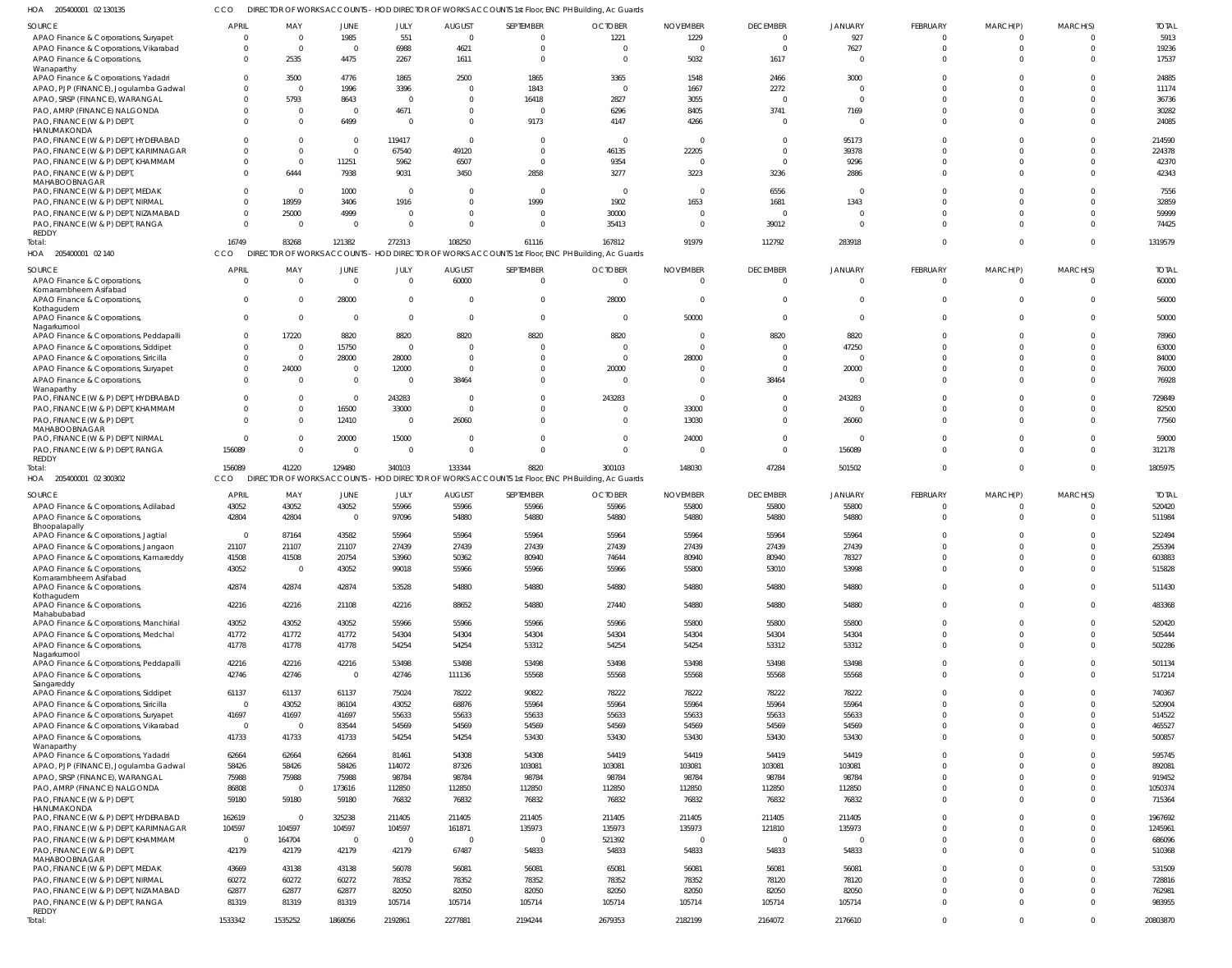|                                                                                 |                |                            |                |                |               |                                                                                                   | DIRECTOR OF WORKS ACCOUNTS - HOD DIRECTOR OF WORKS ACCOUNTS 1st Floor, ENC PH Building, Ac Guards |                          |                 |                |              |                      |                      |              |
|---------------------------------------------------------------------------------|----------------|----------------------------|----------------|----------------|---------------|---------------------------------------------------------------------------------------------------|---------------------------------------------------------------------------------------------------|--------------------------|-----------------|----------------|--------------|----------------------|----------------------|--------------|
| SOURCE                                                                          | <b>APRIL</b>   | MAY                        | <b>JUNE</b>    | JULY           | <b>AUGUST</b> | SEPTEMBER                                                                                         | <b>OCTOBER</b>                                                                                    | <b>NOVEMBER</b>          | <b>DECEMBER</b> | JANUARY        | FEBRUARY     | MARCH(P)             | MARCH(S)             | <b>TOTAL</b> |
| APAO Finance & Corporations, Suryapet                                           | $\overline{0}$ | $\Omega$                   | 1985           | 551            | $\Omega$      | $\Omega$                                                                                          | 1221                                                                                              | 1229                     | $\Omega$        | 927            | $\Omega$     | $\Omega$             | 0                    | 5913         |
| APAO Finance & Corporations, Vikarabad                                          | $\mathbf 0$    | $\Omega$                   | $\Omega$       | 6988           | 4621          | $\Omega$                                                                                          | $\overline{0}$                                                                                    | $\overline{0}$           | $\Omega$        | 7627           | $\Omega$     | $\Omega$             | $\Omega$             | 19236        |
| APAO Finance & Corporations,                                                    | $\mathbf 0$    | 2535                       | 4475           | 2267           | 1611          | $\Omega$                                                                                          | $\overline{0}$                                                                                    | 5032                     | 1617            | $\Omega$       | $\cap$       | $\Omega$             |                      | 17537        |
| Wanaparthy                                                                      |                |                            |                |                |               |                                                                                                   |                                                                                                   |                          |                 |                |              |                      |                      |              |
| APAO Finance & Corporations, Yadadri                                            | $\mathbf 0$    | 3500                       | 4776           | 1865           | 2500          | 1865                                                                                              | 3365                                                                                              | 1548                     | 2466            | 3000           |              |                      |                      | 24885        |
| APAO, PJP (FINANCE), Jogulamba Gadwal                                           | $^{\circ}$     | $\Omega$                   | 1996           | 3396           | - 0           | 1843                                                                                              | $\overline{0}$                                                                                    | 1667                     | 2272            | $\Omega$       |              |                      |                      | 11174        |
| APAO, SRSP (FINANCE), WARANGAL                                                  | $\mathbf 0$    | 5793                       | 8643           | $\Omega$       | $\Omega$      | 16418                                                                                             | 2827                                                                                              | 3055                     | -C              | $\Omega$       |              |                      | $\Omega$             | 36736        |
| PAO, AMRP (FINANCE) NALGONDA                                                    | $^{\circ}$     | - 0                        | $\Omega$       | 4671           |               | $\Omega$                                                                                          | 6296                                                                                              | 8405                     | 3741            | 7169           |              |                      |                      | 30282        |
| PAO, FINANCE (W & P) DEPT,                                                      | $\Omega$       | $\Omega$                   | 6499           | $\Omega$       | $\Omega$      | 9173                                                                                              | 4147                                                                                              | 4266                     |                 | $\Omega$       |              |                      | $\Omega$             | 24085        |
| HANUMAKONDA                                                                     |                |                            |                |                |               |                                                                                                   |                                                                                                   |                          |                 |                |              |                      |                      |              |
| PAO, FINANCE (W & P) DEPT, HYDERABAD                                            | $\Omega$       |                            | $\Omega$       | 119417         | $\Omega$      |                                                                                                   | $\overline{0}$                                                                                    | $\overline{\mathbf{0}}$  |                 | 95173          |              |                      |                      | 214590       |
| PAO, FINANCE (W & P) DEPT, KARIMNAGAR                                           | $\Omega$       | $\Omega$                   | $\Omega$       | 67540          | 49120         | $\Omega$                                                                                          | 46135                                                                                             | 22205                    | $\Omega$        | 39378          |              |                      | $\Omega$             | 224378       |
| PAO, FINANCE (W & P) DEPT, KHAMMAM                                              | $\Omega$       | $\Omega$                   | 11251          | 5962           | 6507          | $\Omega$                                                                                          | 9354                                                                                              | $\overline{0}$           | $\Omega$        | 9296           |              |                      |                      | 42370        |
| PAO, FINANCE (W & P) DEPT,                                                      | $\Omega$       | 6444                       | 7938           | 9031           | 3450          | 2858                                                                                              | 3277                                                                                              | 3223                     | 3236            | 2886           |              |                      | $\Omega$             | 42343        |
| MAHABOOBNAGAR                                                                   |                |                            |                |                |               |                                                                                                   |                                                                                                   |                          |                 |                |              |                      |                      |              |
| PAO, FINANCE (W & P) DEPT, MEDAK                                                | $\mathbf 0$    | $\Omega$                   | 1000           | $\Omega$       | - 0           | $\mathbf 0$                                                                                       | $\overline{0}$                                                                                    | $\overline{\phantom{0}}$ | 6556            | 0              |              |                      |                      | 7556         |
| PAO, FINANCE (W & P) DEPT, NIRMAL                                               | $\Omega$       | 18959                      | 3406           | 1916           | $\Omega$      | 1999                                                                                              | 1902                                                                                              | 1653                     | 1681            | 1343           |              |                      | $\Omega$             | 32859        |
| PAO, FINANCE (W & P) DEPT, NIZAMABAD                                            | $\mathbf{0}$   | 25000                      | 4999           | $\Omega$       | $\Omega$      | $\Omega$                                                                                          | 30000                                                                                             | $\overline{0}$           | $\mathsf{C}$    | $\Omega$       |              |                      |                      | 59999        |
| PAO, FINANCE (W & P) DEPT, RANGA                                                | $\mathbf 0$    | $\Omega$                   | $\Omega$       | $\Omega$       | $\Omega$      | $\Omega$                                                                                          | 35413                                                                                             | $\overline{0}$           | 39012           | $\Omega$       |              |                      | $\Omega$             | 74425        |
| REDDY                                                                           |                |                            |                |                |               |                                                                                                   |                                                                                                   |                          |                 |                |              |                      |                      |              |
| Total:                                                                          | 16749          | 83268                      | 121382         | 272313         | 108250        | 61116                                                                                             | 167812                                                                                            | 91979                    | 112792          | 283918         | $\cap$       | $\Omega$             | $\Omega$             | 1319579      |
| HOA 205400001 02 140                                                            | CCO            |                            |                |                |               | DIRECTOR OF WORKS ACCOUNTS - HOD DIRECTOR OF WORKS ACCOUNTS 1st Floor, ENC PH Building, Ac Guards |                                                                                                   |                          |                 |                |              |                      |                      |              |
|                                                                                 |                |                            |                |                |               |                                                                                                   |                                                                                                   |                          |                 |                |              |                      |                      |              |
| SOURCE                                                                          | APRIL          | MAY                        | JUNE           | JULY           | <b>AUGUST</b> | SEPTEMBER                                                                                         | <b>OCTOBER</b>                                                                                    | <b>NOVEMBER</b>          | <b>DECEMBER</b> | <b>JANUARY</b> | FEBRUARY     | MARCH(P)             | MARCH(S)             | <b>TOTAL</b> |
| APAO Finance & Corporations,                                                    | $\overline{0}$ | $\Omega$                   | $\Omega$       | $\mathbf 0$    | 60000         | $\mathbf 0$                                                                                       | $\overline{0}$                                                                                    | $\overline{0}$           | $\Omega$        | $\mathbf 0$    | $\Omega$     | $\Omega$             | $\Omega$             | 60000        |
| Komarambheem Asifabad                                                           |                |                            |                |                |               |                                                                                                   |                                                                                                   |                          |                 |                |              |                      |                      |              |
| APAO Finance & Corporations,                                                    | $\mathbf 0$    | - 0                        | 28000          | $\overline{0}$ | - 0           | $\mathbf 0$                                                                                       | 28000                                                                                             | $\overline{0}$           | $\Omega$        | $\mathbf 0$    | $\Omega$     | $\Omega$             | $\Omega$             | 56000        |
| Kothagudem<br>APAO Finance & Corporations,                                      | $\mathbf 0$    | $\Omega$                   | $\Omega$       | $\overline{0}$ | $\Omega$      | $\mathbf 0$                                                                                       | $\overline{0}$                                                                                    | 50000                    | $\Omega$        | $\overline{0}$ | $\Omega$     |                      | $\Omega$             | 50000        |
| Nagarkurnool                                                                    |                |                            |                |                |               |                                                                                                   |                                                                                                   |                          |                 |                |              |                      |                      |              |
| APAO Finance & Corporations, Peddapalli                                         | $\mathbf 0$    | 17220                      | 8820           | 8820           | 8820          | 8820                                                                                              | 8820                                                                                              | $\overline{0}$           | 8820            | 8820           |              |                      | $\Omega$             | 78960        |
| APAO Finance & Corporations, Siddipet                                           | $\mathbf 0$    | $\sqrt{ }$                 | 15750          | $\overline{0}$ |               | 0                                                                                                 | $\overline{0}$                                                                                    | $\overline{0}$           | $\Omega$        | 47250          |              |                      | $\Omega$             | 63000        |
| APAO Finance & Corporations, Siricilla                                          | $\mathbf 0$    | $\Omega$                   | 28000          | 28000          | - 0           | $\Omega$                                                                                          | $\overline{0}$                                                                                    | 28000                    | $\Omega$        | $\Omega$       |              |                      | $\Omega$             | 84000        |
|                                                                                 | $\mathbf 0$    |                            |                |                | $\Omega$      | $\Omega$                                                                                          | 20000                                                                                             | $\overline{0}$           | $\Omega$        |                |              |                      | $\Omega$             |              |
| APAO Finance & Corporations, Suryapet                                           |                | 24000                      | $\overline{0}$ | 12000          |               |                                                                                                   |                                                                                                   |                          |                 | 20000          |              |                      |                      | 76000        |
| APAO Finance & Corporations,<br>Wanaparthy                                      | $\Omega$       | - 0                        | $\Omega$       | $\mathbf{0}$   | 38464         | $\Omega$                                                                                          | $\overline{0}$                                                                                    | $\overline{0}$           | 38464           | $\mathbf 0$    |              |                      | $\Omega$             | 76928        |
| PAO, FINANCE (W & P) DEPT, HYDERABAD                                            | $\mathbf 0$    |                            | $\overline{0}$ | 243283         | - 0           | 0                                                                                                 | 243283                                                                                            | $\overline{0}$           | $\Omega$        | 243283         |              |                      | 0                    | 729849       |
| PAO, FINANCE (W & P) DEPT, KHAMMAM                                              | $\Omega$       |                            | 16500          | 33000          | $\Omega$      | $\Omega$                                                                                          | $\overline{0}$                                                                                    | 33000                    | $\Omega$        | $\overline{0}$ |              |                      | $\Omega$             | 82500        |
| PAO, FINANCE (W & P) DEPT,                                                      | $\Omega$       |                            | 12410          | $\overline{0}$ | 26060         | $\Omega$                                                                                          | $\Omega$                                                                                          | 13030                    | $\Omega$        | 26060          |              |                      | $\Omega$             | 77560        |
| MAHABOOBNAGAR                                                                   |                |                            |                |                |               |                                                                                                   |                                                                                                   |                          |                 |                |              |                      |                      |              |
| PAO, FINANCE (W & P) DEPT, NIRMAL                                               | $\overline{0}$ | $\Omega$                   | 20000          | 15000          | - 0           | $\Omega$                                                                                          | $\Omega$                                                                                          | 24000                    | $\Omega$        | $\overline{0}$ | $\cap$       |                      | $\Omega$             | 59000        |
| PAO, FINANCE (W & P) DEPT, RANGA                                                | 156089         | $\Omega$                   | $\overline{0}$ | $\overline{0}$ | $\Omega$      | $\Omega$                                                                                          | $\Omega$                                                                                          | $\overline{0}$           | $\Omega$        | 156089         | $\Omega$     |                      | $\Omega$             | 312178       |
| REDDY                                                                           |                |                            |                |                |               |                                                                                                   |                                                                                                   |                          |                 |                |              |                      |                      |              |
| Total:                                                                          | 156089         | 41220                      | 129480         | 340103         | 133344        | 8820                                                                                              | 300103                                                                                            | 148030                   | 47284           | 501502         | $\Omega$     | $\Omega$             | $\Omega$             | 1805975      |
| HOA 205400001 02 300302                                                         | CCO            | DIRECTOR OF WORKS ACCOUNTS |                |                |               | HOD DIRECTOR OF WORKS ACCOUNTS 1st Floor, ENC PH Building, Ac Guards                              |                                                                                                   |                          |                 |                |              |                      |                      |              |
|                                                                                 |                |                            |                |                |               |                                                                                                   |                                                                                                   |                          |                 |                |              |                      |                      |              |
| SOURCE                                                                          | APRIL          | MAY                        | <b>JUNE</b>    | JULY           | <b>AUGUST</b> | SEPTEMBER                                                                                         | <b>OCTOBER</b>                                                                                    | <b>NOVEMBER</b>          | <b>DECEMBER</b> | JANUARY        | FEBRUARY     | MARCH(P)             | MARCH(S)             | <b>TOTAL</b> |
| APAO Finance & Corporations, Adilabad                                           | 43052          | 43052                      | 43052          | 55966          | 55966         | 55966                                                                                             | 55966                                                                                             | 55800                    | 55800           | 55800          | $\Omega$     |                      | 0                    | 520420       |
| APAO Finance & Corporations,                                                    | 42804          | 42804                      | $\Omega$       | 97096          | 54880         | 54880                                                                                             | 54880                                                                                             | 54880                    | 54880           | 54880          | $\Omega$     | $\Omega$             | $\Omega$             | 511984       |
| Bhoopalapally                                                                   |                |                            |                |                |               |                                                                                                   |                                                                                                   |                          |                 |                |              |                      |                      |              |
| APAO Finance & Corporations, Jagtial                                            |                |                            |                |                |               |                                                                                                   |                                                                                                   |                          |                 | 55964          |              |                      |                      | 522494       |
| APAO Finance & Corporations, Jangaon                                            | $\Omega$       | 87164                      | 43582          | 55964          | 55964         | 55964                                                                                             | 55964                                                                                             | 55964                    | 55964           |                |              |                      |                      |              |
|                                                                                 | 21107          | 21107                      | 21107          | 27439          | 27439         | 27439                                                                                             | 27439                                                                                             | 27439                    | 27439           | 27439          |              |                      | $\Omega$             | 255394       |
| APAO Finance & Corporations, Kamareddy                                          | 41508          | 41508                      | 20754          | 53960          | 50362         | 80940                                                                                             | 74644                                                                                             | 80940                    | 80940           | 78327          |              |                      |                      | 603883       |
| APAO Finance & Corporations,                                                    | 43052          | $\Omega$                   | 43052          | 99018          | 55966         | 55966                                                                                             | 55966                                                                                             | 55800                    | 53010           | 53998          | $\Omega$     |                      | $\Omega$             | 515828       |
| Komarambheem Asifabad                                                           |                |                            |                |                |               |                                                                                                   |                                                                                                   |                          |                 |                |              |                      |                      |              |
| APAO Finance & Corporations,                                                    | 42874          | 42874                      | 42874          | 53528          | 54880         | 54880                                                                                             | 54880                                                                                             | 54880                    | 54880           | 54880          | $\Omega$     | $\Omega$             | $\Omega$             | 511430       |
| Kothagudem                                                                      |                |                            |                |                |               |                                                                                                   |                                                                                                   |                          |                 |                |              |                      |                      |              |
| APAO Finance & Corporations,                                                    | 42216          | 42216                      | 21108          | 42216          | 88652         | 54880                                                                                             | 27440                                                                                             | 54880                    | 54880           | 54880          | $\Omega$     | $\Omega$             | $\Omega$             | 483368       |
| Mahabubabad                                                                     |                |                            |                |                |               |                                                                                                   |                                                                                                   |                          |                 |                |              |                      |                      |              |
| APAO Finance & Corporations, Manchirial                                         | 43052          | 43052                      | 43052          | 55966          | 55966         | 55966                                                                                             | 55966                                                                                             | 55800                    | 55800           | 55800          | $\Omega$     |                      | $\Omega$             | 520420       |
| APAO Finance & Corporations, Medchal                                            | 41772          | 41772                      | 41772          | 54304          | 54304         | 54304                                                                                             | 54304                                                                                             | 54304                    | 54304           | 54304          | $\Omega$     | $\Omega$<br>$\Omega$ | $\Omega$<br>$\Omega$ | 505444       |
| APAO Finance & Corporations,                                                    | 41778          | 41778                      | 41778          | 54254          | 54254         | 53312                                                                                             | 54254                                                                                             | 54254                    | 53312           | 53312          | $\Omega$     |                      |                      | 502286       |
| Nagarkurnool<br>APAO Finance & Corporations, Peddapalli                         | 42216          | 42216                      | 42216          | 53498          | 53498         | 53498                                                                                             | 53498                                                                                             | 53498                    | 53498           | 53498          | $\Omega$     | $\Omega$             | $\Omega$             | 501134       |
|                                                                                 |                |                            | $\overline{0}$ |                |               |                                                                                                   |                                                                                                   |                          |                 |                | $\Omega$     | $\Omega$             | $\Omega$             |              |
| APAO Finance & Corporations,<br>Sangareddy                                      | 42746          | 42746                      |                | 42746          | 111136        | 55568                                                                                             | 55568                                                                                             | 55568                    | 55568           | 55568          |              |                      |                      | 517214       |
| APAO Finance & Corporations, Siddipet                                           | 61137          | 61137                      | 61137          | 75024          | 78222         | 90822                                                                                             | 78222                                                                                             | 78222                    | 78222           | 78222          | $\Omega$     |                      | $\Omega$             | 740367       |
| APAO Finance & Corporations, Siricilla                                          | $\mathbf{0}$   | 43052                      | 86104          | 43052          | 68876         | 55964                                                                                             | 55964                                                                                             | 55964                    | 55964           | 55964          | $\Omega$     |                      | $\Omega$             | 520904       |
|                                                                                 | 41697          | 41697                      | 41697          | 55633          | 55633         | 55633                                                                                             | 55633                                                                                             | 55633                    | 55633           | 55633          | $\Omega$     | $\Omega$             | $\Omega$             | 514522       |
| APAO Finance & Corporations, Suryapet<br>APAO Finance & Corporations, Vikarabad | $\mathbf 0$    | $\overline{0}$             | 83544          | 54569          | 54569         | 54569                                                                                             | 54569                                                                                             | 54569                    | 54569           | 54569          |              |                      | $\Omega$             | 465527       |
|                                                                                 |                |                            |                |                |               |                                                                                                   |                                                                                                   |                          |                 |                | $\Omega$     | $\Omega$             | $\Omega$             |              |
| APAO Finance & Corporations,<br>Wanaparthy                                      | 41733          | 41733                      | 41733          | 54254          | 54254         | 53430                                                                                             | 53430                                                                                             | 53430                    | 53430           | 53430          |              |                      |                      | 500857       |
| APAO Finance & Corporations, Yadadri                                            | 62664          | 62664                      | 62664          | 81461          | 54308         | 54308                                                                                             | 54419                                                                                             | 54419                    | 54419           | 54419          |              |                      |                      | 595745       |
| APAO, PJP (FINANCE), Jogulamba Gadwal                                           | 58426          | 58426                      | 58426          | 114072         | 87326         | 103081                                                                                            | 103081                                                                                            | 103081                   | 103081          | 103081         | $\Omega$     |                      | $\Omega$             | 892081       |
| APAO, SRSP (FINANCE), WARANGAL                                                  | 75988          | 75988                      | 75988          | 98784          | 98784         | 98784                                                                                             | 98784                                                                                             | 98784                    | 98784           | 98784          | $\Omega$     | $\Omega$             | $\Omega$             | 919452       |
| PAO, AMRP (FINANCE) NALGONDA                                                    | 86808          | $\overline{0}$             | 173616         | 112850         | 112850        | 112850                                                                                            | 112850                                                                                            | 112850                   | 112850          | 112850         | $\Omega$     | $\Omega$             | $\Omega$             | 1050374      |
|                                                                                 |                |                            |                |                |               |                                                                                                   |                                                                                                   |                          |                 |                | $\Omega$     | $\Omega$             | $\Omega$             |              |
| PAO, FINANCE (W & P) DEPT,<br>HANUMAKONDA                                       | 59180          | 59180                      | 59180          | 76832          | 76832         | 76832                                                                                             | 76832                                                                                             | 76832                    | 76832           | 76832          |              |                      |                      | 715364       |
| PAO, FINANCE (W & P) DEPT, HYDERABAD                                            | 162619         | - 0                        | 325238         | 211405         | 211405        | 211405                                                                                            | 211405                                                                                            | 211405                   | 211405          | 211405         | $\Omega$     |                      | $\Omega$             | 1967692      |
| PAO, FINANCE (W & P) DEPT, KARIMNAGAR                                           | 104597         | 104597                     | 104597         | 104597         | 161871        | 135973                                                                                            | 135973                                                                                            | 135973                   | 121810          | 135973         |              |                      | $\Omega$             | 1245961      |
| PAO, FINANCE (W & P) DEPT, KHAMMAM                                              | $\overline{0}$ | 164704                     | $\Omega$       | $\Omega$       |               | $\Omega$                                                                                          | 521392                                                                                            | $\overline{0}$           | $\Omega$        | $\Omega$       | $\Omega$     | $\Omega$             | $\Omega$             | 686096       |
|                                                                                 |                |                            |                |                |               |                                                                                                   |                                                                                                   |                          |                 |                | $\Omega$     | $\Omega$             | $\Omega$             |              |
| PAO, FINANCE (W & P) DEPT,<br>MAHABOOBNAGAR                                     | 42179          | 42179                      | 42179          | 42179          | 67487         | 54833                                                                                             | 54833                                                                                             | 54833                    | 54833           | 54833          |              |                      |                      | 510368       |
| PAO, FINANCE (W & P) DEPT, MEDAK                                                | 43669          | 43138                      | 43138          | 56078          | 56081         | 56081                                                                                             | 65081                                                                                             | 56081                    | 56081           | 56081          | $\Omega$     |                      | $\Omega$             | 531509       |
| PAO, FINANCE (W & P) DEPT, NIRMAL                                               | 60272          | 60272                      | 60272          | 78352          | 78352         | 78352                                                                                             | 78352                                                                                             | 78352                    | 78120           | 78120          | $\Omega$     |                      | $\Omega$             | 728816       |
| PAO, FINANCE (W & P) DEPT, NIZAMABAD                                            | 62877          | 62877                      | 62877          | 82050          | 82050         | 82050                                                                                             | 82050                                                                                             | 82050                    | 82050           | 82050          | $\Omega$     | $\Omega$             | $\Omega$             | 762981       |
|                                                                                 |                |                            |                |                |               |                                                                                                   |                                                                                                   |                          |                 |                | $\Omega$     | $\Omega$             | $\Omega$             |              |
| PAO, FINANCE (W & P) DEPT, RANGA<br>REDDY                                       | 81319          | 81319                      | 81319          | 105714         | 105714        | 105714                                                                                            | 105714                                                                                            | 105714                   | 105714          | 105714         |              |                      |                      | 983955       |
| Total:                                                                          | 1533342        | 1535252                    | 1868056        | 2192861        | 2277881       | 2194244                                                                                           | 2679353                                                                                           | 2182199                  | 2164072         | 2176610        | $\mathbf{0}$ | $\Omega$             | $\mathbf 0$          | 20803870     |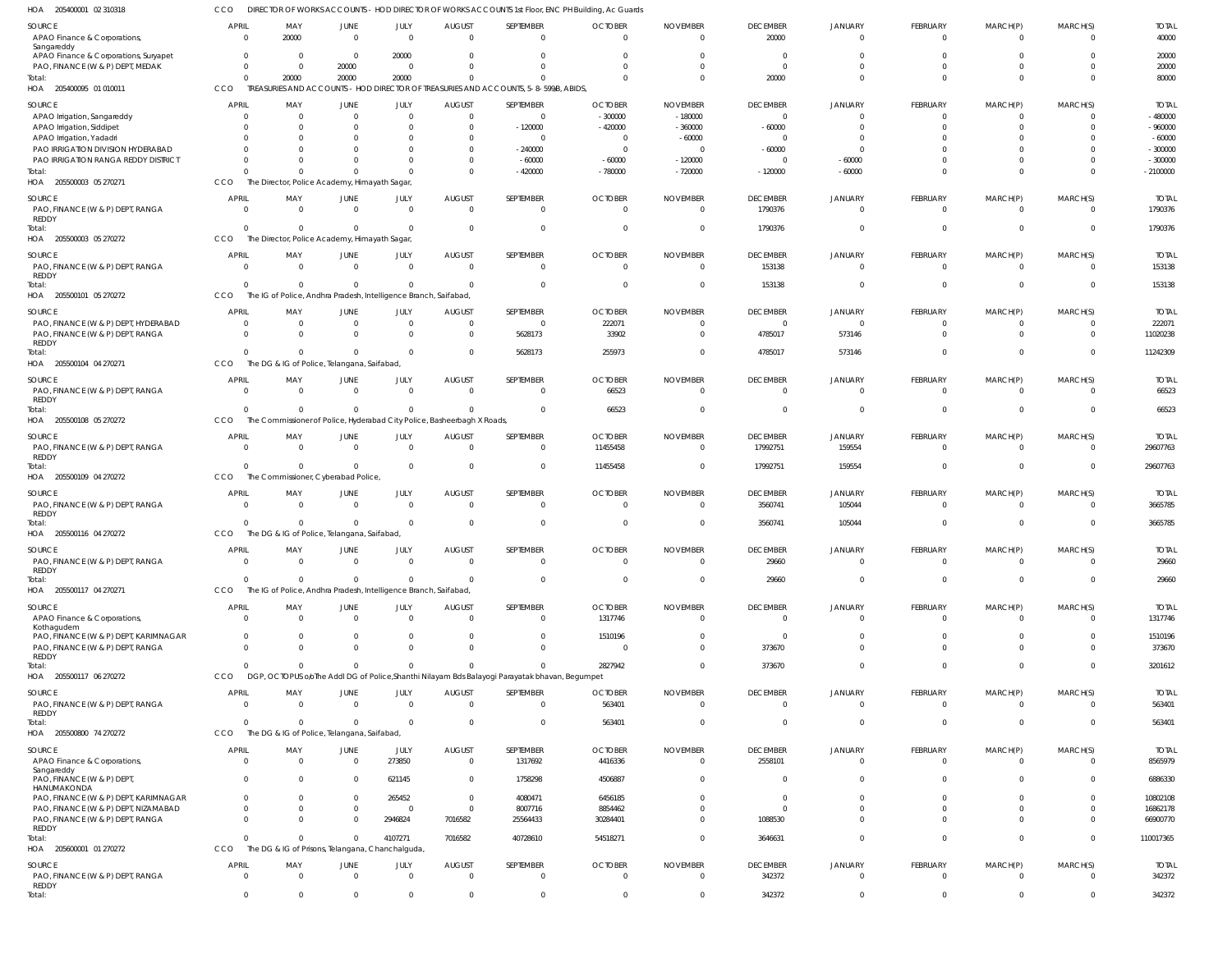205400001 02 310318 HOA 205400095 01 010011 HOA 205500003 05 270271 HOA 205500003 05 270272 HOA 205500101 05 270272 205500104 04 270271 HOA 205500108 05 270272 HOA 205500109 04 270272 205500116 04 270272 HOA 205500117 04 270271 HOA 205500117 06 270272 HOA 205500800 74 270272 HOA 205600001 01 270272 HOA HOA HOA DIRECTOR OF WORKS ACCOUNTS - HOD DIRECTOR OF WORKS ACCOUNTS 1st Floor, ENC PH Building, Ac Guards TREASURIES AND ACCOUNTS - HOD DIRECTOR OF TREASURIES AND ACCOUNTS, 5-8-599/B, ABIDS, The Director, Police Academy, Himayath Sagar, The Director, Police Academy, Himayath Sagar, The IG of Police, Andhra Pradesh, Intelligence Branch, Saifabad, The DG & IG of Police, Telangana, Saifabad, The Commissioner of Police, Hyderabad City Police, Basheerbagh X Roads, The Commissioner, Cyberabad Police, The DG & IG of Police, Telangana, Saifabad The IG of Police, Andhra Pradesh, Intelligence Branch, Saifabad, DGP, OCTOPUS o/oThe Addl DG of Police,Shanthi Nilayam Bds Balayogi Parayatak bhavan, Begumpet The DG & IG of Police, Telangana, Saifabad, The DG & IG of Prisons, Telangana, Chanchalguda CCO CCO. CCO. CCO **CCO CCO CCO CCO CCO** CCO **CCO** CCO CCO 0 0 0 0 0  $\mathfrak{c}$  $\Omega$ 0 0  $\Omega$ 0  $\mathbf 0$ 0 20000 0  $\Omega$ 0 0 0 0 0 0 0 0 0 0 20000 0  $\theta$ 0 0 0  $\Omega$ 0 0  $\Omega$ 0 0 0 20000 0  $\bigcap$ 0  $\Omega$ 0  $\Omega$  $\Omega$ 0 0 0 4107271 0 0 0 0 0 0 0 0 0 0  $\Omega$ 0 7016582 0 0 -420000  $\sqrt{0}$  $\Omega$ 5628173 0  $\Omega$  $\Omega$ 0 0 0 40728610 0 0 -780000 0 0 255973 66523 11455458  $\Omega$ 0 2827942 563401 54518271 0 0 -720000  $\Omega$ 0 0 0  $\Omega$  $\Omega$ 0 0 0 0 0 20000 -120000 1790376 153138 4785017 0 17992751 3560741 29660 373670 0 3646631 342372 0 -60000 0 0 573146 0 159554 105044 0  $\Omega$ 0 0 0 0 0  $\Omega$  $\Omega$  $\Omega$ 0  $\Omega$  $\Omega$ 0 0 0 0 0 0 0 0 0 0 0  $\Omega$ 0 0 0 0 0 0 0 0  $\Omega$ 0  $\Omega$ 0  $\Omega$  $\Omega$ 0 0 0 0 0 80000 -2100000 1790376 153138 11242309 66523 29607763 3665785 29660 3201612 563401 110017365 342372 APAO Finance & Corporations, Sangareddy APAO Finance & Corporations, Suryapet PAO, FINANCE (W & P) DEPT, MEDAK APAO Irrigation, Sangareddy APAO Irrigation, Siddipet APAO Irrigation, Yadadri PAO IRRIGATION DIVISION HYDERABAD PAO IRRIGATION RANGA REDDY DISTRICT PAO, FINANCE (W & P) DEPT, RANGA REDDY PAO, FINANCE (W & P) DEPT, RANGA REDDY PAO, FINANCE (W & P) DEPT, HYDERABAD PAO, FINANCE (W & P) DEPT, RANGA **REDDY** PAO, FINANCE (W & P) DEPT, RANGA REDDY PAO, FINANCE (W & P) DEPT, RANGA REDDY PAO, FINANCE (W & P) DEPT, RANGA REDDY PAO, FINANCE (W & P) DEPT, RANGA REDDY APAO Finance & Corporations, Kothagudem PAO, FINANCE (W & P) DEPT, KARIMNAGAR PAO, FINANCE (W & P) DEPT, RANGA REDDY PAO, FINANCE (W & P) DEPT, RANGA REDDY APAO Finance & Corporations, Sangareddy PAO, FINANCE (W & P) DEPT, HANUMAKONDA PAO, FINANCE (W & P) DEPT, KARIMNAGAR PAO, FINANCE (W & P) DEPT, NIZAMABAD PAO, FINANCE (W & P) DEPT, RANGA REDDY PAO, FINANCE (W & P) DEPT, RANGA REDDY SOURCE **SOURCE SOURCE** SOURCE **SOURCE** SOURCE SOURCE SOURCE SOURCE SOURCE SOURCE SOURCE SOURCE 0 0  $\Omega$ 0  $\Omega$  $\mathfrak{c}$ 0  $\Omega$ 0 0 0  $\Omega$ 0 0  $\Omega$ 0 0 0 0 0 0 0 0 0  $\Omega$ 0 APRIL APRIL **APRIL** APRIL APRIL **APRIL APRIL** APRIL **APRIL** APRIL APRIL **APRIL APRIL** 20000 0  $\Omega$ 0  $\Omega$ 0 0  $\Omega$ 0  $\Omega$ 0  $\Omega$ 0 0  $\Omega$ 0  $\Omega$ 0 0 0 0 0 0 0 0 0 MAY MAY MAY MAY MAY MAY MAY MAY MAY MAY MAY MAY MAY 0 0 20000 0  $\Omega$ 0 0  $\Omega$ 0 0 0 0 0 0  $\Omega$ 0 0  $\Omega$ 0  $\Omega$ 0 0  $\Omega$ 0 0  $\mathbf 0$ JUNE JUNE JUNE JUNE JUNE JUNE **JUNE** JUNE JUNE JUNE JUNE **JUNE JUNE**  $\Omega$ 20000  $\bigcap$ 0  $\Omega$ 0  $\Omega$  $\bigcap$ 0  $\Omega$  $\Omega$  $\Omega$  $\Omega$ 0  $\Omega$ 0  $\Omega$ 0 0 0 273850 621145 265452 0 2946824 0 JULY JULY JULY JULY JULY JULY JULY JULY JULY JULY JULY JULY JULY 0 0 0 0  $\Omega$ 0 0 0 0 0 0 0 0 0  $\Omega$ 0 0 0 0  $\Omega$ 0 0  $\Omega$ 0 7016582 0 AUGUST AUGUST AUGUST AUGUST AUGUST AUGUST **AUGUST** AUGUST AUGUST AUGUST AUGUST AUGUST AUGUST  $\Omega$  $\Omega$  $\Omega$ 0  $-120000$ 0 -240000 -60000 0  $\Omega$  $\Omega$ 5628173 0 0  $\Omega$ 0  $\Omega$ 0 0 0 1317692 1758298 4080471 8007716 25564433 0 SEPTEMBER **SEPTEMBER** SEPTEMBER SEPTEMBER SEPTEMBER SEPTEMBER **SEPTEMBER** SEPTEMBER **SEPTEMBER** SEPTEMBER SEPTEMBER SEPTEMBER SEPTEMBER 0  $\Omega$  $\Omega$ -300000  $-420000$ 0  $\Omega$ -60000 0  $\Omega$ 222071 33902 66523 11455458 0 0 1317746 1510196 0 563401 4416336 4506887 6456185 8854462 30284401 0 **OCTOBER OCTOBER OCTOBER** OCTOBER OCTOBER OCTOBER **OCTOBER** OCTOBER **OCTOBER OCTOBER** OCTOBER **OCTOBER OCTOBER**  $\Omega$  $\Omega$  $\bigcap$ -180000 -360000 -60000  $\Omega$ -120000 0  $\Omega$  $\Omega$  $\Omega$  $\Omega$ 0  $\Omega$ 0  $\Omega$ 0 0 0 0 0 0 0 0 0 NOVEMBER NOVEMBER NOVEMBER NOVEMBER NOVEMBER NOVEMBER NOVEMBER NOVEMBER NOVEMBER NOVEMBER NOVEMBER NOVEMBER NOVEMBER 20000 0  $\bigcap$ 0 -60000 0 -60000  $\bigcap$ 1790376 153138  $\Omega$ 4785017 0 17992751 3560741 29660 0  $\Omega$ 373670 0 2558101 0 0 0 1088530 342372 DECEMBER **DECEMBER** DECEMBER DECEMBER DECEMBER DECEMBER **DECEMBER** DECEMBER **DECEMBER** DECEMBER DECEMBER **DECEMBER DECEMBER** 0 0  $\mathfrak{g}$ 0  $\Omega$  $\mathfrak{c}$ 0 -60000 0 0  $\Omega$ 573146 0 159554 105044 0 0 0  $\mathfrak{c}$  $\Omega$ 0 0 0 0 0 0 JANUARY JANUARY JANUARY JANUARY JANUARY JANUARY JANUARY JANUARY JANUARY JANUARY JANUARY JANUARY JANUARY  $\Omega$ 0  $\Omega$ 0  $\Omega$ 0  $\Omega$  $\bigcap$ 0  $\Omega$  $\Omega$  $\Omega$  $\Omega$ 0  $\Omega$ 0 0  $\Omega$ 0 0 0 0  $\Omega$ 0  $\Omega$ 0 FEBRUARY FEBRUARY FEBRUARY FEBRUARY FEBRUARY FEBRUARY FEBRUARY FEBRUARY FEBRUARY FEBRUARY FEBRUARY FEBRUARY FEBRUARY 0 0 0 0  $\Omega$ 0 0 0 0 0 0 0 0 0  $\Omega$ 0 0 0 0 0 0 0 0 0 0 0 MARCH(P) MARCH(P) MARCH(P) MARCH(P) MARCH(P) MARCH(P) MARCH(P) MARCH(P) MARCH(P) MARCH(P) MARCH(P) MARCH(P) MARCH(P)  $\Omega$  $\Omega$  $\bigcap$ 0  $\Omega$ 0 0  $\Omega$ 0  $\Omega$  $\Omega$  $\Omega$  $\Omega$ 0  $\Omega$ 0  $\Omega$  $\cap$ 0  $\Omega$ 0 0 0 0 0 0 MARCH(S) MARCH(S) MARCH(S) MARCH(S) MARCH(S) MARCH(S) MARCH(S) MARCH(S) MARCH(S) MARCH(S) MARCH(S) MARCH(S) MARCH(S) 40000 20000 20000 -480000 -960000 -60000 -300000 -300000 1790376 153138 222071 11020238 66523 29607763 3665785 29660 1317746 1510196 373670 563401 8565979 6886330 10802108 16862178 66900770 342372 TOTAL TOTAL TOTAL TOTAL TOTAL TOTAL TOTAL TOTAL TOTAL TOTAL TOTAL TOTAL TOTAL Total: Total: Total: Total: Total: Total: Total: Total: Total: Total: Total: Total: Total: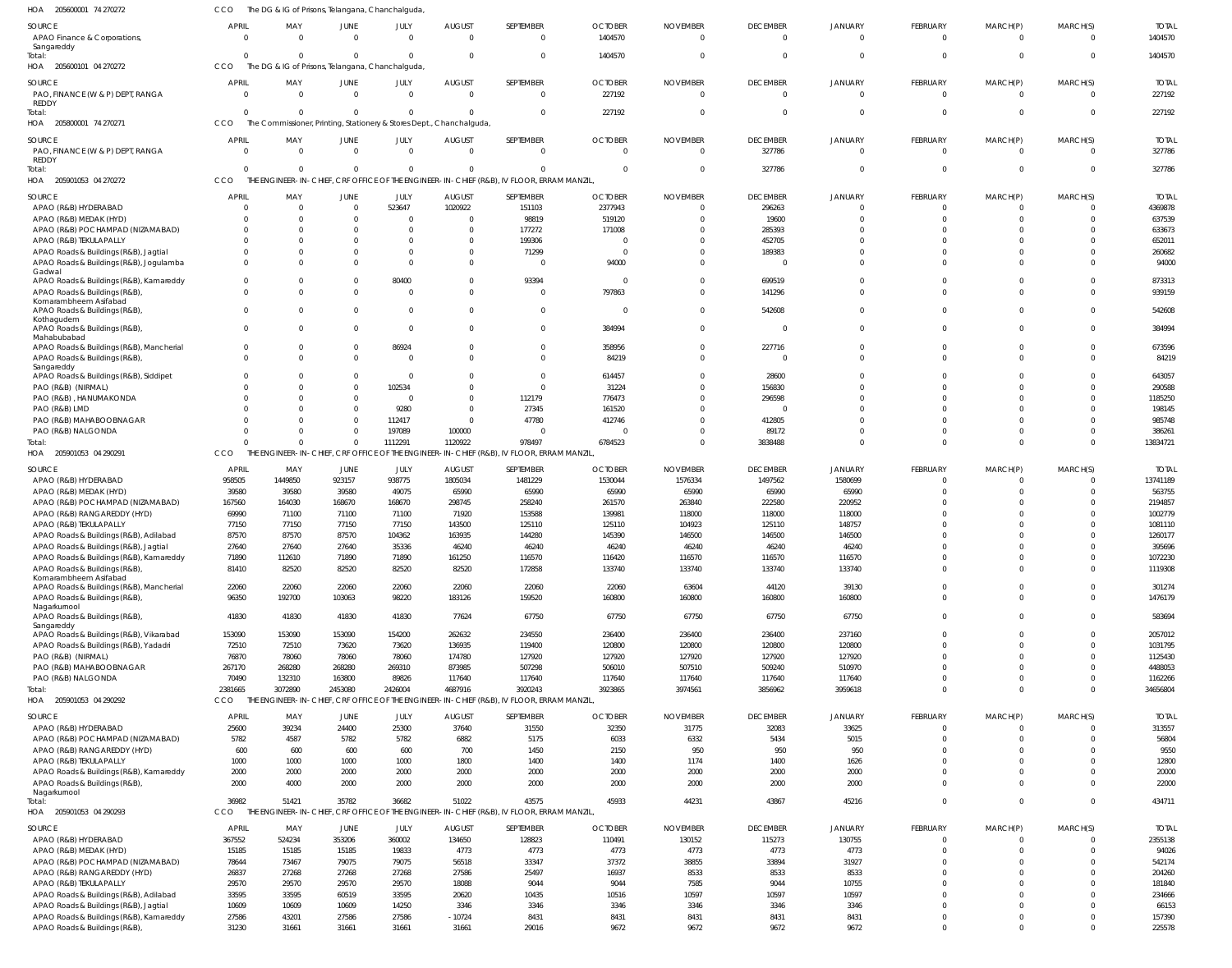| HOA<br>205600001 74 270272                                          | ссо                      | The DG & IG of Prisons, Telangana, Chanchalguda,                                 |                  |                  |                           |                                                                                                   |                           |                             |                                   |                                |                      |                            |                            |                         |
|---------------------------------------------------------------------|--------------------------|----------------------------------------------------------------------------------|------------------|------------------|---------------------------|---------------------------------------------------------------------------------------------------|---------------------------|-----------------------------|-----------------------------------|--------------------------------|----------------------|----------------------------|----------------------------|-------------------------|
| SOURCE<br>APAO Finance & Corporations,<br>Sangareddy                | <b>APRIL</b><br>$\Omega$ | MAY<br>$\Omega$                                                                  | JUNE<br>$\Omega$ | JULY<br>$\Omega$ | <b>AUGUST</b><br>$\Omega$ | SEPTEMBER<br>$\mathbf 0$                                                                          | <b>OCTOBER</b><br>1404570 | <b>NOVEMBER</b><br>$\Omega$ | <b>DECEMBER</b><br>$\overline{0}$ | <b>JANUARY</b><br>$\mathbf{0}$ | FEBRUARY<br>$\Omega$ | MARCH(P)<br>$\Omega$       | MARCH(S)<br>$\overline{0}$ | <b>TOTAL</b><br>1404570 |
| Total:<br>205600101 04 270272<br>HOA                                | $\Omega$<br>CCO          | $\Omega$<br>The DG & IG of Prisons, Telangana, Chanchalguda,                     | $\Omega$         | $\Omega$         |                           | $\mathbf 0$                                                                                       | 1404570                   | $\Omega$                    | $\overline{0}$                    | $\mathbf{0}$                   | $\Omega$             | $\Omega$                   | $\Omega$                   | 1404570                 |
| SOURCE                                                              | <b>APRIL</b>             | MAY                                                                              | JUNE             | JULY             | <b>AUGUST</b>             | SEPTEMBER                                                                                         | <b>OCTOBER</b>            | <b>NOVEMBER</b>             | <b>DECEMBER</b>                   | <b>JANUARY</b>                 | FEBRUARY             |                            |                            | <b>TOTAL</b>            |
| PAO, FINANCE (W & P) DEPT, RANGA<br><b>REDDY</b>                    | $\Omega$                 | $\overline{0}$                                                                   | $\Omega$         | $\mathbf 0$      | $\Omega$                  | $\overline{0}$                                                                                    | 227192                    | $\Omega$                    | $\overline{0}$                    | $\overline{0}$                 | $\Omega$             | MARCH(P)<br>$\overline{0}$ | MARCH(S)<br>$\overline{0}$ | 227192                  |
| Total:<br>205800001 74 270271<br>HOA                                | $\Omega$<br>CCO          | $\Omega$<br>The Commissioner, Printing, Stationery & Stores Dept., Chanchalguda, | $\Omega$         | $\Omega$         |                           | $\mathbf{0}$                                                                                      | 227192                    | $\Omega$                    | $\overline{0}$                    | $\overline{0}$                 | $\Omega$             | $\overline{0}$             | 0                          | 227192                  |
| SOURCE                                                              | <b>APRIL</b>             | MAY                                                                              | JUNE             | JULY             | <b>AUGUST</b>             | SEPTEMBER                                                                                         | <b>OCTOBER</b>            | <b>NOVEMBER</b>             | <b>DECEMBER</b>                   | <b>JANUARY</b>                 | FEBRUARY             | MARCH(P)                   | MARCH(S)                   | <b>TOTAL</b>            |
| PAO, FINANCE (W & P) DEPT, RANGA<br><b>REDDY</b>                    | $\Omega$                 | $\Omega$                                                                         | $\Omega$         | $\Omega$         | $\Omega$                  | $\mathbf{0}$                                                                                      | $\Omega$                  | $\Omega$                    | 327786                            | $\mathbf{0}$                   | $\Omega$             | $\Omega$                   | $\Omega$                   | 327786                  |
| Total:                                                              | $\Omega$                 | $\Omega$                                                                         | $\Omega$         | $\Omega$         |                           | $\Omega$                                                                                          | $\Omega$                  | $\Omega$                    | 327786                            | $\overline{0}$                 | $\Omega$             | $\overline{0}$             | 0                          | 327786                  |
| HOA 205901053 04 270272                                             | CCO                      |                                                                                  |                  |                  |                           | THE ENGINEER-IN-CHIEF, CRF OFFICE OF THE ENGINEER-IN-CHIEF (R&B), IV FLOOR, ERRAM MANZIL          |                           |                             |                                   |                                |                      |                            |                            |                         |
| SOURCE                                                              | <b>APRIL</b>             | MAY                                                                              | JUNE             | JULY             | <b>AUGUST</b>             | SEPTEMBER                                                                                         | <b>OCTOBER</b>            | <b>NOVEMBER</b>             | <b>DECEMBER</b>                   | JANUARY                        | FEBRUARY             | MARCH(P)                   | MARCH(S)                   | <b>TOTAL</b>            |
| APAO (R&B) HYDERABAD                                                | $\overline{0}$           | - 0                                                                              | $\Omega$         | 523647           | 1020922                   | 151103                                                                                            | 2377943                   | $\Omega$                    | 296263                            | 0                              | $\Omega$             | $\Omega$                   | 0                          | 4369878                 |
| APAO (R&B) MEDAK (HYD)                                              | $\Omega$                 | $\Omega$                                                                         |                  |                  |                           | 98819                                                                                             | 519120                    | <sup>0</sup>                | 19600                             | $\Omega$                       | $\Omega$             | $\Omega$                   | $\Omega$                   | 637539                  |
| APAO (R&B) POCHAMPAD (NIZAMABAD)                                    | $\Omega$                 | $\Omega$                                                                         |                  |                  |                           | 177272                                                                                            | 171008                    |                             | 285393                            | 0                              | $\Omega$             | $\Omega$                   | $\Omega$                   | 633673                  |
| APAO (R&B) TEKULAPALLY                                              | $\Omega$                 | -0                                                                               |                  |                  |                           | 199306                                                                                            |                           |                             | 452705                            | 0                              | $\Omega$             | $\Omega$                   | $\Omega$                   | 652011                  |
| APAO Roads & Buildings (R&B), Jagtial                               | $\Omega$                 | $\Omega$                                                                         |                  |                  |                           | 71299                                                                                             | $\Omega$                  | <sup>0</sup>                | 189383                            | 0                              | $\Omega$             | $\Omega$                   | 0                          | 260682                  |
| APAO Roads & Buildings (R&B), Jogulamba                             | $\Omega$                 | $\Omega$                                                                         |                  |                  |                           | $\overline{0}$                                                                                    | 94000                     | $\Omega$                    | C                                 | $\Omega$                       | $\Omega$             | $\Omega$                   | $\Omega$                   | 94000                   |
| Gadwal                                                              |                          |                                                                                  |                  |                  |                           |                                                                                                   |                           |                             |                                   |                                |                      |                            |                            |                         |
| APAO Roads & Buildings (R&B), Kamareddy                             | $\mathbf{0}$             | $\Omega$                                                                         |                  | 80400            |                           | 93394                                                                                             | $\Omega$                  | $\Omega$                    | 699519                            | $\Omega$                       | $\Omega$             | $\overline{0}$             | $\mathbf 0$                | 873313                  |
| APAO Roads & Buildings (R&B)                                        | $\Omega$                 | $\Omega$                                                                         |                  |                  |                           | $\overline{0}$                                                                                    | 797863                    | $\Omega$                    | 141296                            | $\Omega$                       | $\Omega$             | $\Omega$                   | $\Omega$                   | 939159                  |
| Komarambheem Asifabad<br>APAO Roads & Buildings (R&B)<br>Kothagudem | $\Omega$                 | $\Omega$                                                                         | $\Omega$         | 0                |                           | $\mathbf{0}$                                                                                      | $\Omega$                  | $\Omega$                    | 542608                            | $\mathbf 0$                    | $\Omega$             | $\Omega$                   | $\Omega$                   | 542608                  |
| APAO Roads & Buildings (R&B)                                        | $\mathbf{0}$             | $\Omega$                                                                         | $\Omega$         | $\Omega$         |                           | $\mathbf 0$                                                                                       | 384994                    | $\Omega$                    | 0                                 | $\mathbf 0$                    | $\Omega$             | $\Omega$                   | $\Omega$                   | 384994                  |
| Mahabubabad<br>APAO Roads & Buildings (R&B), Mancherial             | $\mathbf{0}$             | 0                                                                                | $\Omega$         | 86924            |                           | $\mathbf{0}$                                                                                      | 358956                    | $\Omega$                    | 227716                            | $\mathbf{0}$                   | $\Omega$             | $\overline{0}$             | $\mathbf 0$                | 673596                  |
| APAO Roads & Buildings (R&B),                                       | $\Omega$                 | $\Omega$                                                                         |                  |                  |                           | $\mathbf 0$                                                                                       | 84219                     | $\Omega$                    | 0                                 | $\mathbf{0}$                   | $\Omega$             | $\Omega$                   | $\Omega$                   | 84219                   |
| Sangareddy                                                          |                          |                                                                                  |                  |                  |                           |                                                                                                   |                           |                             |                                   |                                |                      |                            |                            |                         |
| APAO Roads & Buildings (R&B), Siddipet                              | $\Omega$                 | $\Omega$                                                                         | $\Omega$         | 0                |                           | $\mathbf{0}$                                                                                      | 614457                    | <sup>0</sup>                | 28600                             | $\Omega$                       | $\Omega$             | $\Omega$                   | 0                          | 643057                  |
| PAO (R&B) (NIRMAL)                                                  | $\Omega$                 | $\Omega$                                                                         |                  | 102534           |                           | $\mathbf{0}$                                                                                      | 31224                     | $\Omega$                    | 156830                            | $\Omega$                       | $\Omega$             | $\Omega$                   | $\Omega$                   | 290588                  |
| PAO (R&B), HANUMAKONDA                                              | $\Omega$                 | -0                                                                               |                  | 0                |                           | 112179                                                                                            | 776473                    | $\Omega$                    | 296598                            | 0                              | $\Omega$             | $\Omega$                   | $\Omega$                   | 1185250                 |
| PAO (R&B) LMD                                                       |                          | -0                                                                               |                  | 9280             |                           | 27345                                                                                             | 161520                    |                             | 0                                 | $\Omega$                       | $\Omega$             | $\Omega$                   | -0                         | 198145                  |
| PAO (R&B) MAHABOOBNAGAR                                             | $\Omega$                 | $\Omega$                                                                         |                  | 112417           |                           | 47780                                                                                             | 412746                    | $\Omega$                    | 412805                            | $\Omega$                       | $\Omega$             | $\Omega$                   | $\Omega$                   | 985748                  |
| PAO (R&B) NALGONDA                                                  | $\Omega$                 | $\Omega$                                                                         |                  | 197089           | 100000                    | $\overline{0}$                                                                                    |                           | <sup>0</sup>                | 89172                             | $\Omega$                       | $\Omega$             | $\Omega$                   | 0                          | 38626                   |
| Total:                                                              | $\Omega$                 | $\Omega$                                                                         | $\Omega$         | 1112291          | 1120922                   | 978497                                                                                            | 6784523                   | $\Omega$                    | 3838488                           | $\Omega$                       | $\Omega$             | $\Omega$                   | $\Omega$                   | 13834721                |
| HOA 205901053 04 290291                                             | CCO                      |                                                                                  |                  |                  |                           | THE ENGINEER-IN-CHIEF, CRF OFFICE OF THE ENGINEER-IN-CHIEF (R&B), IV FLOOR, ERRAM MANZIL          |                           |                             |                                   |                                |                      |                            |                            |                         |
| SOURCE                                                              | <b>APRIL</b>             | MAY                                                                              | JUNE             | JULY             | <b>AUGUST</b>             | SEPTEMBER                                                                                         | <b>OCTOBER</b>            | <b>NOVEMBER</b>             | <b>DECEMBER</b>                   | <b>JANUARY</b>                 | FEBRUARY             | MARCH(P)                   | MARCH(S)                   | <b>TOTAL</b>            |
| APAO (R&B) HYDERABAD                                                | 958505                   | 1449850                                                                          | 923157           | 938775           | 1805034                   | 1481229                                                                                           | 1530044                   | 1576334                     | 1497562                           | 1580699                        | $\Omega$             | $\Omega$                   | $\Omega$                   | 13741189                |
| APAO (R&B) MEDAK (HYD)                                              | 39580                    | 39580                                                                            | 39580            | 49075            | 65990                     | 65990                                                                                             | 65990                     | 65990                       | 65990                             | 65990                          | $\Omega$             | $\Omega$                   | $\Omega$                   | 563755                  |
| APAO (R&B) POCHAMPAD (NIZAMABAD)                                    | 167560                   | 164030                                                                           | 168670           | 168670           | 298745                    | 258240                                                                                            | 261570                    | 263840                      | 222580                            | 220952                         |                      | $\Omega$                   | $\Omega$                   | 2194857                 |
| APAO (R&B) RANGAREDDY (HYD)                                         | 69990                    | 71100                                                                            | 71100            | 71100            | 71920                     | 153588                                                                                            | 139981                    | 118000                      | 118000                            | 118000                         | $\Omega$             | $\Omega$                   |                            | 1002779                 |
| APAO (R&B) TEKULAPALLY                                              | 77150                    | 77150                                                                            | 77150            | 77150            | 143500                    | 125110                                                                                            | 125110                    | 104923                      | 125110                            | 148757                         |                      |                            |                            | 1081110                 |
| APAO Roads & Buildings (R&B), Adilabad                              | 87570                    | 87570                                                                            | 87570            | 104362           | 163935                    | 144280                                                                                            | 145390                    | 146500                      | 146500                            | 146500                         |                      |                            |                            | 1260177                 |
| APAO Roads & Buildings (R&B), Jagtial                               | 27640                    | 27640                                                                            | 27640            | 35336            | 46240                     | 46240                                                                                             | 46240                     | 46240                       | 46240                             | 46240                          | $\Omega$             | $\Omega$                   | $\Omega$                   | 395696                  |
| APAO Roads & Buildings (R&B), Kamareddy                             | 71890                    | 112610                                                                           | 71890            | 71890            | 161250                    | 116570                                                                                            | 116420                    | 116570                      | 116570                            | 116570                         |                      |                            |                            | 1072230                 |
| APAO Roads & Buildings (R&B)<br>Komarambheem Asifabad               | 81410                    | 82520                                                                            | 82520            | 82520            | 82520                     | 172858                                                                                            | 133740                    | 133740                      | 133740                            | 133740                         | $\Omega$             | $\Omega$                   | $\Omega$                   | 1119308                 |
| APAO Roads & Buildings (R&B), Mancherial                            | 22060                    | 22060                                                                            | 22060            | 22060            | 22060                     | 22060                                                                                             | 22060                     | 63604                       | 44120                             | 39130                          | $\Omega$<br>$\Omega$ | $\overline{0}$<br>$\Omega$ | $\Omega$<br>$\Omega$       | 301274                  |
| APAO Roads & Buildings (R&B)<br>Nagarkurnool                        | 96350                    | 192700                                                                           | 103063           | 98220            | 183126                    | 159520                                                                                            | 160800                    | 160800                      | 160800                            | 160800                         |                      |                            |                            | 1476179                 |
| APAO Roads & Buildings (R&B)<br>Sangareddy                          | 41830                    | 41830                                                                            | 41830            | 41830            | 77624                     | 67750                                                                                             | 67750                     | 67750                       | 67750                             | 67750                          | $\Omega$             | $\Omega$                   | $\Omega$                   | 583694                  |
| APAO Roads & Buildings (R&B), Vikarabad                             | 153090                   | 153090                                                                           | 153090           | 154200           | 262632                    | 234550                                                                                            | 236400                    | 236400                      | 236400                            | 237160                         | $\Omega$             | $\Omega$                   | $\Omega$                   | 2057012                 |
| APAO Roads & Buildings (R&B), Yadadri                               | 72510                    | 72510                                                                            | 73620            | 73620            | 136935                    | 119400                                                                                            | 120800                    | 120800                      | 120800                            | 120800                         | $\Omega$             | $\Omega$                   | $\Omega$                   | 1031795                 |
| PAO (R&B) (NIRMAL)                                                  | 76870                    | 78060                                                                            | 78060            | 78060            | 174780                    | 127920                                                                                            | 127920                    | 127920                      | 127920                            | 127920                         | $\Omega$             | $\Omega$                   | $\Omega$                   | 1125430                 |
| PAO (R&B) MAHABOOBNAGAR                                             | 267170                   | 268280                                                                           | 268280           | 269310           | 873985                    | 507298                                                                                            | 506010                    | 507510                      | 509240                            | 510970                         | $\Omega$             | $\Omega$                   | $\Omega$                   | 4488053                 |
| PAO (R&B) NALGONDA                                                  | 70490                    | 132310                                                                           | 163800           | 89826            | 117640                    | 117640                                                                                            | 117640                    | 117640                      | 117640                            | 117640                         | $\Omega$             | $\Omega$                   | $\Omega$                   | 1162266                 |
| Total:                                                              | 2381665                  | 3072890                                                                          | 2453080          | 2426004          | 4687916                   | 3920243                                                                                           | 3923865                   | 3974561                     | 3856962                           | 3959618                        | $\Omega$             | $\Omega$                   | $\Omega$                   | 34656804                |
| HOA 205901053 04 290292                                             | CCO                      |                                                                                  |                  |                  |                           | THE ENGINEER-IN-CHIEF, CRF OFFICE OF THE ENGINEER-IN-CHIEF (R&B), IV FLOOR, ERRAM MANZIL          |                           |                             |                                   |                                |                      |                            |                            |                         |
| SOURCE                                                              | <b>APRIL</b>             | MAY                                                                              | JUNE             | JULY             | <b>AUGUST</b>             | SEPTEMBER                                                                                         | <b>OCTOBER</b>            | <b>NOVEMBER</b>             | <b>DECEMBER</b>                   | <b>JANUARY</b>                 | FEBRUARY             | MARCH(P)                   | MARCH(S)                   | <b>TOTAL</b>            |
| APAO (R&B) HYDERABAD                                                | 25600                    | 39234                                                                            | 24400            | 25300            | 37640                     | 31550                                                                                             | 32350                     | 31775                       | 32083                             | 33625                          | $\overline{0}$       | $\Omega$                   | $\mathbf 0$                | 313557                  |
| APAO (R&B) POCHAMPAD (NIZAMABAD)                                    | 5782                     | 4587                                                                             | 5782             | 5782             | 6882                      | 5175                                                                                              | 6033                      | 6332                        | 5434                              | 5015                           | $\Omega$             | $\Omega$                   | $\Omega$                   | 56804                   |
| APAO (R&B) RANGAREDDY (HYD)                                         | 600                      | 600                                                                              | 600              | 600              | 700                       | 1450                                                                                              | 2150                      | 950                         | 950                               | 950                            | $\Omega$             | $\Omega$                   | $\Omega$                   | 9550                    |
| APAO (R&B) TEKULAPALLY                                              | 1000                     | 1000                                                                             | 1000             | 1000             | 1800                      | 1400                                                                                              | 1400                      | 1174                        | 1400                              | 1626                           | $\Omega$             | $\Omega$                   | $\Omega$                   | 12800                   |
| APAO Roads & Buildings (R&B), Kamareddy                             | 2000                     | 2000                                                                             | 2000             | 2000             | 2000                      | 2000                                                                                              | 2000                      | 2000                        | 2000                              | 2000                           | $\Omega$             | $\Omega$                   | $\Omega$                   | 20000                   |
| APAO Roads & Buildings (R&B)<br>Nagarkurnool                        | 2000                     | 4000                                                                             | 2000             | 2000             | 2000                      | 2000                                                                                              | 2000                      | 2000                        | 2000                              | 2000                           | $\Omega$             | $\Omega$                   | $\Omega$                   | 22000                   |
| Total:<br>HOA 205901053 04 290293                                   | 36982<br>CCO             | 51421                                                                            | 35782            | 36682            | 51022                     | 43575<br>THE ENGINEER-IN-CHIEF, CRF OFFICE OF THE ENGINEER-IN-CHIEF (R&B), IV FLOOR, ERRAM MANZIL | 45933                     | 44231                       | 43867                             | 45216                          | $\Omega$             | $\Omega$                   | $\Omega$                   | 434711                  |
|                                                                     |                          |                                                                                  |                  |                  |                           |                                                                                                   |                           |                             |                                   |                                |                      |                            |                            |                         |
| SOURCE                                                              | <b>APRIL</b>             | MAY                                                                              | JUNE             | JULY             | <b>AUGUST</b>             | SEPTEMBER                                                                                         | <b>OCTOBER</b>            | <b>NOVEMBER</b>             | <b>DECEMBER</b>                   | <b>JANUARY</b>                 | FEBRUARY<br>$\Omega$ | MARCH(P)<br>$\Omega$       | MARCH(S)<br>$\Omega$       | <b>TOTAL</b>            |
| APAO (R&B) HYDERABAD                                                | 367552                   | 524234                                                                           | 353206           | 360002           | 134650                    | 128823                                                                                            | 110491                    | 130152                      | 115273                            | 130755                         | $\Omega$             | $\Omega$                   | $\Omega$                   | 2355138<br>94026        |
| APAO (R&B) MEDAK (HYD)<br>APAO (R&B) POCHAMPAD (NIZAMABAD)          | 15185<br>78644           | 15185<br>73467                                                                   | 15185<br>79075   | 19833<br>79075   | 4773<br>56518             | 4773<br>33347                                                                                     | 4773<br>37372             | 4773<br>38855               | 4773<br>33894                     | 4773<br>31927                  | $\Omega$             | $\Omega$                   | $\Omega$                   | 542174                  |
| APAO (R&B) RANGAREDDY (HYD)                                         | 26837                    | 27268                                                                            | 27268            | 27268            | 27586                     | 25497                                                                                             | 16937                     | 8533                        | 8533                              | 8533                           | $\Omega$             | $\Omega$                   | $\Omega$                   | 204260                  |
| APAO (R&B) TEKULAPALLY                                              | 29570                    | 29570                                                                            | 29570            | 29570            | 18088                     | 9044                                                                                              | 9044                      | 7585                        | 9044                              | 10755                          | $\Omega$             | $\Omega$                   | $\Omega$                   | 181840                  |
| APAO Roads & Buildings (R&B), Adilabad                              | 33595                    | 33595                                                                            | 60519            | 33595            | 20620                     | 10435                                                                                             | 10516                     | 10597                       | 10597                             | 10597                          | $\Omega$             | $\Omega$                   | $\Omega$                   | 234666                  |
| APAO Roads & Buildings (R&B), Jagtial                               | 10609                    | 10609                                                                            | 10609            | 14250            | 3346                      | 3346                                                                                              | 3346                      | 3346                        | 3346                              | 3346                           | $\Omega$             | $\Omega$                   | $\Omega$                   | 66153                   |
| APAO Roads & Buildings (R&B), Kamareddy                             | 27586                    | 43201                                                                            | 27586            | 27586            | $-10724$                  | 8431                                                                                              | 8431                      | 8431                        | 8431                              | 8431                           | $\mathbf{0}$         | $\overline{0}$             | $\mathbf 0$                | 157390                  |
| APAO Roads & Buildings (R&B)                                        | 31230                    | 31661                                                                            | 31661            | 31661            | 31661                     | 29016                                                                                             | 9672                      | 9672                        | 9672                              | 9672                           | $\Omega$             | $\Omega$                   | $\Omega$                   | 225578                  |
|                                                                     |                          |                                                                                  |                  |                  |                           |                                                                                                   |                           |                             |                                   |                                |                      |                            |                            |                         |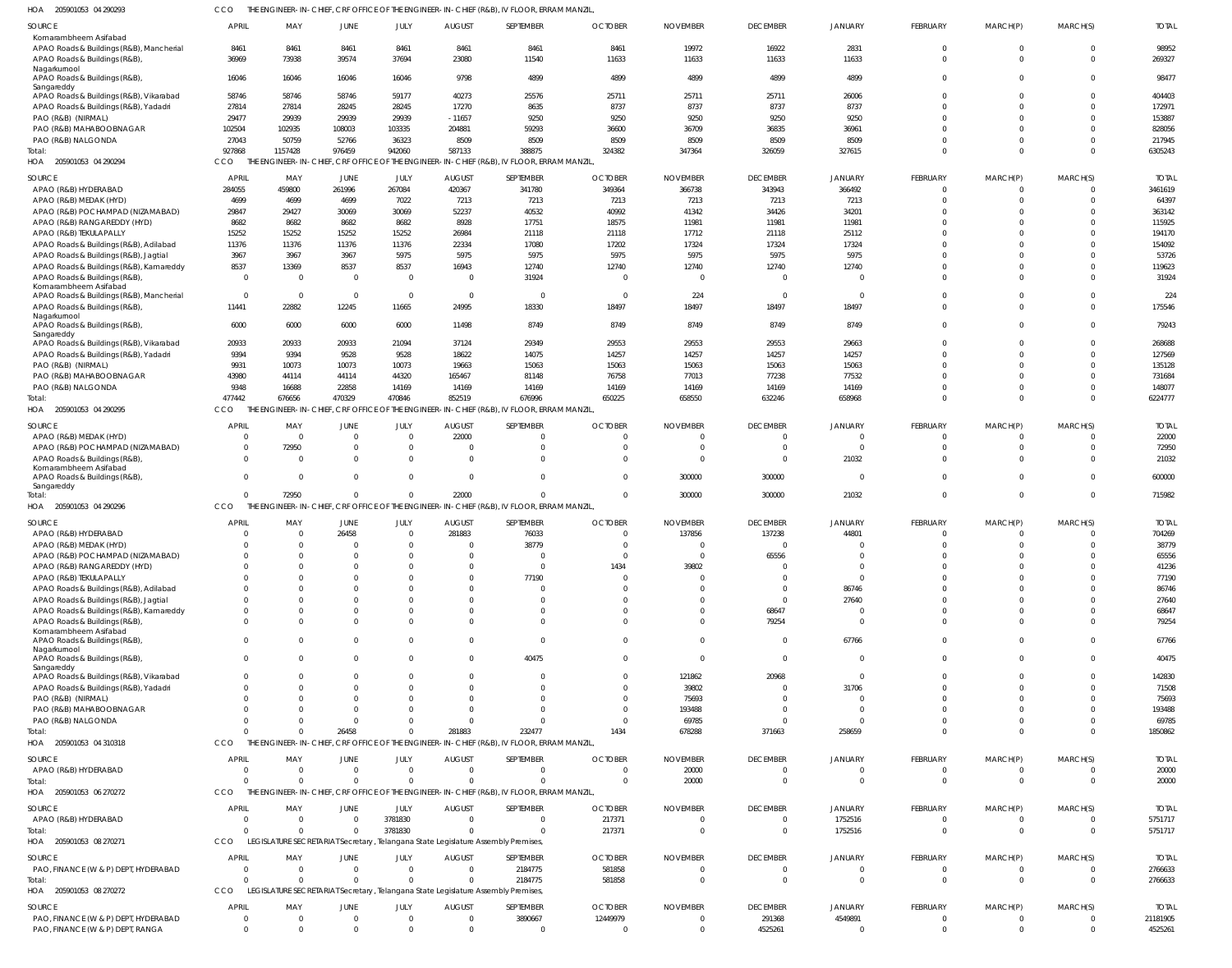205901053 04 290293 HOA CCO THE ENGINEER-IN-CHIEF, CRF OFFICE OF THE ENGINEER-IN-CHIEF (R&B), IV FLOOR, ERRAM MANZIL,

| <b>SOURCE</b><br>Komarambheem Asifabad                                                   | <b>APRIL</b>  | MAY                   | <b>JUNE</b>   | JULY                 | <b>AUGUST</b>            | SEPTEMBER                                                                                          | <b>OCTOBER</b>       | <b>NOVEMBER</b> | <b>DECEMBER</b> | <b>JANUARY</b>       | FEBRUARY                   | MARCH(P)                   | MARCH(S)             | <b>TOTAL</b>    |
|------------------------------------------------------------------------------------------|---------------|-----------------------|---------------|----------------------|--------------------------|----------------------------------------------------------------------------------------------------|----------------------|-----------------|-----------------|----------------------|----------------------------|----------------------------|----------------------|-----------------|
| APAO Roads & Buildings (R&B), Mancherial<br>APAO Roads & Buildings (R&B)<br>Nagarkurnool | 8461<br>36969 | 8461<br>73938         | 8461<br>39574 | 8461<br>37694        | 8461<br>23080            | 8461<br>11540                                                                                      | 8461<br>11633        | 19972<br>11633  | 16922<br>11633  | 2831<br>11633        | $\mathbf 0$<br>$\mathbf 0$ | $\mathbf 0$<br>$\mathbf 0$ | $\Omega$<br>$\Omega$ | 98952<br>269327 |
| APAO Roads & Buildings (R&B),<br>Sangareddy                                              | 16046         | 16046                 | 16046         | 16046                | 9798                     | 4899                                                                                               | 4899                 | 4899            | 4899            | 4899                 | $\mathbf 0$                | $\mathbf 0$                | $\Omega$             | 98477           |
| APAO Roads & Buildings (R&B), Vikarabad                                                  | 58746         | 58746                 | 58746         | 59177                | 40273                    | 25576                                                                                              | 25711                | 25711           | 25711           | 26006                | $\Omega$                   | $\Omega$                   | $\Omega$             | 404403          |
| APAO Roads & Buildings (R&B), Yadadri                                                    | 27814         | 27814                 | 28245         | 28245                | 17270                    | 8635                                                                                               | 8737                 | 8737            | 8737            | 8737                 | $\Omega$                   | $\Omega$                   | $\Omega$             | 172971          |
| PAO (R&B) (NIRMAL)                                                                       | 29477         | 29939                 | 29939         | 29939                | $-11657$                 | 9250                                                                                               | 9250                 | 9250            | 9250            | 9250                 | $\Omega$                   | $\Omega$                   | $\Omega$             | 153887          |
| PAO (R&B) MAHABOOBNAGAR                                                                  | 102504        | 102935                | 108003        | 103335               | 204881                   | 59293                                                                                              | 36600                | 36709           | 36835           | 36961                | $\Omega$                   | $\Omega$                   | $\Omega$<br>$\Omega$ | 828056          |
| PAO (R&B) NALGONDA                                                                       | 27043         | 50759                 | 52766         | 36323                | 8509                     | 8509                                                                                               | 8509                 | 8509            | 8509            | 8509                 | $\Omega$<br>$\Omega$       | $\Omega$<br>$\Omega$       | $\Omega$             | 217945          |
| Total:<br>205901053 04 290294<br>HOA                                                     | 927868<br>CCO | 1157428               | 976459        | 942060               | 587133                   | 388875<br>THE ENGINEER-IN-CHIEF, CRF OFFICE OF THE ENGINEER-IN-CHIEF (R&B), IV FLOOR, ERRAM MANZIL | 324382               | 347364          | 326059          | 327615               |                            |                            |                      | 6305243         |
| SOURCE                                                                                   | <b>APRIL</b>  | MAY                   | <b>JUNE</b>   | JULY                 | <b>AUGUST</b>            | SEPTEMBER                                                                                          | <b>OCTOBER</b>       | <b>NOVEMBER</b> | <b>DECEMBER</b> | <b>JANUARY</b>       | FEBRUARY                   | MARCH(P)                   | MARCH(S)             | <b>TOTAI</b>    |
| APAO (R&B) HYDERABAD                                                                     | 284055        | 459800                | 261996        | 267084               | 420367                   | 341780                                                                                             | 349364               | 366738          | 343943          | 366492               | $\Omega$                   | $\Omega$                   | $\Omega$             | 3461619         |
| APAO (R&B) MEDAK (HYD)                                                                   | 4699          | 4699                  | 4699          | 7022                 | 7213                     | 7213                                                                                               | 7213                 | 7213            | 7213            | 7213                 | $\mathbf 0$                | $\Omega$                   | $\Omega$             | 64397           |
| APAO (R&B) POCHAMPAD (NIZAMABAD)                                                         | 29847         | 29427                 | 30069         | 30069                | 52237                    | 40532                                                                                              | 40992                | 41342           | 34426           | 34201                | $\Omega$                   | $\Omega$                   | $\Omega$             | 363142          |
| APAO (R&B) RANGAREDDY (HYD)                                                              | 8682          | 8682                  | 8682          | 8682                 | 8928                     | 17751                                                                                              | 18575                | 11981           | 11981           | 11981                | $\Omega$                   | $\Omega$                   | $\Omega$             | 115925          |
| APAO (R&B) TEKULAPALLY                                                                   | 15252         | 15252                 | 15252         | 15252                | 26984                    | 21118                                                                                              | 21118                | 17712           | 21118           | 25112                | $\Omega$                   | $\Omega$                   | $\Omega$             | 194170          |
| APAO Roads & Buildings (R&B), Adilabad                                                   | 11376         | 11376                 | 11376         | 11376                | 22334                    | 17080                                                                                              | 17202                | 17324           | 17324           | 17324                | $\Omega$                   | $\Omega$                   | $\Omega$             | 154092          |
| APAO Roads & Buildings (R&B), Jagtial                                                    | 3967          | 3967                  | 3967          | 5975                 | 5975                     | 5975                                                                                               | 5975                 | 5975            | 5975            | 5975                 | $\Omega$                   | $\Omega$                   | $\Omega$             | 53726           |
| APAO Roads & Buildings (R&B), Kamareddy                                                  | 8537          | 13369                 | 8537          | 8537                 | 16943                    | 12740                                                                                              | 12740                | 12740           | 12740           | 12740                | $\Omega$                   | $\Omega$                   | $\Omega$             | 119623          |
| APAO Roads & Buildings (R&B)                                                             | $\Omega$      | $\Omega$              | $\mathbf 0$   | $\overline{0}$       | $\Omega$                 | 31924                                                                                              | $\Omega$             | $\Omega$        | $\Omega$        | $\Omega$             | $\Omega$                   | $\Omega$                   | $\Omega$             | 31924           |
| Komarambheem Asifabad<br>APAO Roads & Buildings (R&B), Mancherial                        | $\Omega$      | $\Omega$              | $\mathbf 0$   | $\overline{0}$       | $\Omega$                 | $\overline{0}$                                                                                     | $\Omega$             | 224             | $\Omega$        | $\Omega$             | $\Omega$                   | $\Omega$                   | $\Omega$             | 224             |
| APAO Roads & Buildings (R&B)                                                             | 11441         | 22882                 | 12245         | 11665                | 24995                    | 18330                                                                                              | 18497                | 18497           | 18497           | 18497                | $\Omega$                   | $\Omega$                   | $\Omega$             | 175546          |
| Nagarkurnool                                                                             |               |                       |               |                      |                          |                                                                                                    |                      |                 |                 |                      |                            |                            |                      |                 |
| APAO Roads & Buildings (R&B)                                                             | 6000          | 6000                  | 6000          | 6000                 | 11498                    | 8749                                                                                               | 8749                 | 8749            | 8749            | 8749                 | $\Omega$                   | $\Omega$                   | $\Omega$             | 79243           |
| Sangareddy                                                                               |               |                       |               |                      |                          |                                                                                                    |                      |                 |                 |                      |                            |                            |                      |                 |
| APAO Roads & Buildings (R&B), Vikarabad                                                  | 20933         | 20933                 | 20933         | 21094                | 37124                    | 29349                                                                                              | 29553                | 29553           | 29553           | 29663                | $\Omega$                   | $\Omega$                   | $\Omega$             | 268688          |
| APAO Roads & Buildings (R&B), Yadadri                                                    | 9394          | 9394                  | 9528          | 9528                 | 18622                    | 14075                                                                                              | 14257                | 14257           | 14257           | 14257                | $\Omega$                   | $\Omega$                   | $\Omega$             | 127569          |
| PAO (R&B) (NIRMAL)                                                                       | 9931          | 10073                 | 10073         | 10073                | 19663                    | 15063                                                                                              | 15063                | 15063           | 15063           | 15063                | $\Omega$                   | $\Omega$                   | $\Omega$             | 135128          |
| PAO (R&B) MAHABOOBNAGAR                                                                  | 43980         | 44114                 | 44114         | 44320                | 165467                   | 81148                                                                                              | 76758                | 77013           | 77238           | 77532                | $\Omega$                   | $\Omega$                   | $\Omega$             | 731684          |
| PAO (R&B) NALGONDA                                                                       | 9348          | 16688                 | 22858         | 14169                | 14169                    | 14169                                                                                              | 14169                | 14169           | 14169           | 14169                | $\Omega$                   | $\Omega$                   | $\Omega$             | 148077          |
| Total:<br>HOA 205901053 04 290295                                                        | 477442<br>CCO | 676656                | 470329        | 470846               | 852519                   | 676996<br>THE ENGINEER-IN-CHIEF, CRF OFFICE OF THE ENGINEER-IN-CHIEF (R&B), IV FLOOR, ERRAM MANZIL | 650225               | 658550          | 632246          | 658968               | $\Omega$                   | $\Omega$                   | $\Omega$             | 6224777         |
| <b>SOURCE</b>                                                                            | <b>APRIL</b>  | MAY                   | <b>JUNE</b>   | JULY                 | <b>AUGUST</b>            | SEPTEMBER                                                                                          | <b>OCTOBER</b>       | <b>NOVEMBER</b> | <b>DECEMBER</b> | <b>JANUARY</b>       | <b>FEBRUARY</b>            | MARCH(P)                   | MARCH(S)             | <b>TOTAL</b>    |
| APAO (R&B) MEDAK (HYD)                                                                   | - 0           | $\Omega$              | $\mathbf 0$   | $\overline{0}$       | 22000                    | $\mathbf{0}$                                                                                       |                      |                 | $\Omega$        | $\Omega$             | $\mathbf 0$                | $\mathbf 0$                | $\Omega$             | 22000           |
| APAO (R&B) POCHAMPAD (NIZAMABAD)                                                         | $\Omega$      | 72950                 | 0             | $\overline{0}$       | $\Omega$                 | $\mathbf 0$                                                                                        | $\Omega$             |                 | $\Omega$        | $\Omega$             | $\mathbf 0$                | $\mathbf 0$                | $\Omega$             | 72950           |
| APAO Roads & Buildings (R&B),                                                            | $\Omega$      | $\Omega$              | $\Omega$      | $\mathbf 0$          | $\Omega$                 | $\mathbf 0$                                                                                        |                      |                 | $\Omega$        | 21032                | $\mathbf 0$                | $\mathbf 0$                | $\Omega$             | 21032           |
| Komarambheem Asifabad                                                                    |               |                       |               |                      |                          |                                                                                                    |                      |                 |                 |                      |                            |                            |                      |                 |
| APAO Roads & Buildings (R&B)                                                             | $\Omega$      | $\Omega$              | $\mathbf 0$   | $\mathbf 0$          | $\Omega$                 | $\mathbf{0}$                                                                                       | $\Omega$             | 300000          | 300000          | $\Omega$             | $\Omega$                   | $\mathbf 0$                | $\Omega$             | 600000          |
| Sangareddy                                                                               |               | 72950                 | $\mathbf 0$   | $\mathbf 0$          | 22000                    | $\mathbf 0$                                                                                        | $\Omega$             | 300000          | 300000          | 21032                | $\overline{0}$             | $\mathbf 0$                | $\Omega$             | 715982          |
| Total:<br>205901053 04 290296                                                            | CCO           |                       |               |                      |                          | THE ENGINEER-IN-CHIEF, CRF OFFICE OF THE ENGINEER-IN-CHIEF (R&B), IV FLOOR, ERRAM MANZIL           |                      |                 |                 |                      |                            |                            |                      |                 |
| HOA                                                                                      |               |                       |               |                      |                          |                                                                                                    |                      |                 |                 |                      |                            |                            |                      |                 |
| <b>SOURCE</b>                                                                            | APRIL         | MAY                   | <b>JUNE</b>   | JULY                 | <b>AUGUST</b>            | SEPTEMBER                                                                                          | <b>OCTOBER</b>       | <b>NOVEMBER</b> | <b>DECEMBER</b> | JANUARY              | <b>FEBRUARY</b>            | MARCH(P)                   | MARCH(S)             | <b>TOTAI</b>    |
| APAO (R&B) HYDERABAD                                                                     |               | $\Omega$              | 26458         | $\overline{0}$       | 281883                   | 76033                                                                                              | $\Omega$             | 137856          | 137238          | 44801                | $\Omega$                   |                            | $\Omega$             | 704269          |
| APAO (R&B) MEDAK (HYD)                                                                   |               | $\Omega$              | 0             | $\overline{0}$       | $\Omega$                 | 38779                                                                                              | - 0                  |                 | $\Omega$        |                      | $\Omega$                   |                            |                      | 38779           |
| APAO (R&B) POCHAMPAD (NIZAMABAD)                                                         |               | $\Omega$              | $\Omega$      | $\Omega$             | $\Omega$                 | $\Omega$                                                                                           | $\Omega$             | $\Omega$        | 65556           | $\Omega$             | $\Omega$                   | $\Omega$                   | $\Omega$             | 65556           |
| APAO (R&B) RANGAREDDY (HYD)                                                              |               |                       |               |                      |                          | 0                                                                                                  | 1434                 | 39802           |                 |                      |                            |                            |                      | 41236           |
| APAO (R&B) TEKULAPALLY                                                                   |               | $\Omega$              |               | $\Omega$             | $\Omega$                 | 77190                                                                                              | $\Omega$             | - 0             |                 | $\Omega$             | $\Omega$                   |                            | $\cap$               | 77190           |
| APAO Roads & Buildings (R&B), Adilabad                                                   |               | $\Omega$              |               | $\Omega$             | $\Omega$                 | $\mathbf{0}$                                                                                       |                      |                 | $\Omega$        | 86746                | $\Omega$                   |                            | $\cap$               | 86746           |
| APAO Roads & Buildings (R&B), Jagtial                                                    |               | $\Omega$              |               | $\Omega$             | $\Omega$                 | $\Omega$                                                                                           |                      |                 | $\Omega$        | 27640                | $\Omega$                   |                            | $\cap$               | 27640           |
| APAO Roads & Buildings (R&B), Kamareddy                                                  |               | $\Omega$              |               | $\Omega$             | $\Omega$                 | $\mathbf 0$                                                                                        |                      |                 | 68647           | $\Omega$             | $\Omega$                   | $\Omega$                   | $\cap$               | 68647           |
| APAO Roads & Buildings (R&B),                                                            |               | $\Omega$              |               | $\Omega$             | $\Omega$                 | $\Omega$                                                                                           |                      |                 | 79254           | $\Omega$             | $\Omega$                   | $\Omega$                   | $\Omega$             | 79254           |
| Komarambheem Asifabad<br>APAO Roads & Buildings (R&B)                                    |               | <sup>0</sup>          | $\Omega$      | $\Omega$             | $\Omega$                 | $\mathbf 0$                                                                                        |                      |                 | $\Omega$        | 67766                | $\Omega$                   | $\Omega$                   | $\Omega$             | 67766           |
| Nagarkurnool                                                                             |               |                       |               |                      |                          |                                                                                                    |                      |                 |                 |                      |                            |                            |                      |                 |
| APAO Roads & Buildings (R&B),                                                            | $\Omega$      | $\Omega$              | $\Omega$      | $\Omega$             | $\Omega$                 | 40475                                                                                              | $\Omega$             | $\Omega$        | $\Omega$        | $\Omega$             | $\Omega$                   | $\Omega$                   | $\Omega$             | 40475           |
| Sangareddy                                                                               |               |                       |               |                      |                          |                                                                                                    |                      |                 |                 |                      |                            |                            |                      |                 |
| APAO Roads & Buildings (R&B), Vikarabad                                                  |               | <sup>0</sup>          |               | $\Omega$             | <sup>0</sup>             | $\Omega$                                                                                           |                      | 121862          | 20968           | $\overline{0}$       | $\Omega$                   |                            | $\Omega$             | 142830          |
| APAO Roads & Buildings (R&B), Yadadri                                                    |               | $\Omega$              |               | $\Omega$             | $\Omega$                 | $\Omega$                                                                                           |                      | 39802           | $\Omega$        | 31706                | $\Omega$                   |                            | $\Omega$             | 71508           |
| PAO (R&B) (NIRMAL)                                                                       |               |                       |               | $\Omega$             |                          | $\Omega$                                                                                           | $\Omega$             | 75693           |                 | $\Omega$             | $\Omega$                   |                            |                      | 75693           |
| PAO (R&B) MAHABOOBNAGAR                                                                  |               |                       |               | $\Omega$<br>$\Omega$ | <sup>0</sup><br>$\Omega$ | $\Omega$<br>$\Omega$                                                                               | $\Omega$<br>$\Omega$ | 193488          | $\Omega$        | $\Omega$<br>$\Omega$ | $\Omega$<br>$\Omega$       | n<br>$\Omega$              | $\cap$               | 193488          |
| PAO (R&B) NALGONDA                                                                       |               |                       | 26458         | $\Omega$             |                          |                                                                                                    |                      | 69785           |                 |                      | $\Omega$                   | $\Omega$                   | $\Omega$             | 69785           |
| Total:<br>HOA<br>205901053 04 310318                                                     | CCO           | THE ENGINEER-IN-CHIEF |               |                      | 281883                   | 232477<br>CRF OFFICE OF THE ENGINEER-IN-CHIEF (R&B), IV FLOOR, ERRAM MANZIL                        | 1434                 | 678288          | 371663          | 258659               |                            |                            |                      | 1850862         |
|                                                                                          |               |                       |               |                      |                          |                                                                                                    |                      |                 |                 |                      |                            |                            |                      |                 |
| <b>SOURCE</b>                                                                            | <b>APRIL</b>  | MAY                   | JUNE          | JULY                 | <b>AUGUST</b>            | SEPTEMBER                                                                                          | <b>OCTOBER</b>       | <b>NOVEMBER</b> | <b>DECEMBER</b> | <b>JANUARY</b>       | <b>FEBRUARY</b>            | MARCH(P)                   | MARCH(S)             | <b>TOTAL</b>    |
| APAO (R&B) HYDERABAD                                                                     | $\Omega$      | $\Omega$              | $\mathbf 0$   | $\overline{0}$       | $\overline{0}$           | $\mathbf{0}$                                                                                       | $\Omega$             | 20000           | $\overline{0}$  | $\overline{0}$       | $\mathbf 0$                | $\mathbf 0$                | $\Omega$             | 20000           |
| Total:                                                                                   |               | $\Omega$              | $\Omega$      | $\overline{0}$       | $\Omega$                 | $\Omega$                                                                                           | $\Omega$             | 20000           | $\Omega$        | $\Omega$             | $\overline{0}$             | $\mathbf 0$                | $\Omega$             | 20000           |
| HOA 205901053 06 270272                                                                  | CCO           |                       |               |                      |                          | THE ENGINEER-IN-CHIEF, CRF OFFICE OF THE ENGINEER-IN-CHIEF (R&B), IV FLOOR, ERRAM MANZIL           |                      |                 |                 |                      |                            |                            |                      |                 |
| SOURCE                                                                                   | APRIL         | MAY                   | JUNE          | JULY                 | <b>AUGUST</b>            | SEPTEMBER                                                                                          | <b>OCTOBER</b>       | <b>NOVEMBER</b> | <b>DECEMBER</b> | <b>JANUARY</b>       | FEBRUARY                   | MARCH(P)                   | MARCH(S)             | <b>TOTAL</b>    |
| APAO (R&B) HYDERABAD                                                                     |               | $\Omega$              | $\Omega$      | 3781830              | $\Omega$                 | $\Omega$                                                                                           | 217371               | - 0             | $\Omega$        | 1752516              | $\Omega$                   | $\Omega$                   | $\Omega$             | 5751717         |
| Total:                                                                                   |               | $\Omega$              | $\Omega$      | 3781830              | $\Omega$                 | $\Omega$                                                                                           | 217371               | $\Omega$        | $\Omega$        | 1752516              | $\Omega$                   | $\mathbf{0}$               | $\Omega$             | 5751717         |
| HOA 205901053 08 270271                                                                  | CCO           |                       |               |                      |                          | LEGISLATURE SECRETARIAT Secretary, Telangana State Legislature Assembly Premises,                  |                      |                 |                 |                      |                            |                            |                      |                 |
|                                                                                          |               |                       |               |                      |                          |                                                                                                    |                      |                 |                 |                      |                            |                            |                      |                 |
| SOURCE                                                                                   | APRIL         | MAY                   | <b>JUNE</b>   | JULY                 | <b>AUGUST</b>            | SEPTEMBER                                                                                          | <b>OCTOBER</b>       | <b>NOVEMBER</b> | <b>DECEMBER</b> | <b>JANUARY</b>       | <b>FEBRUARY</b>            | MARCH(P)                   | MARCH(S)             | <b>TOTAL</b>    |
| PAO, FINANCE (W & P) DEPT, HYDERABAD                                                     | $\Omega$      | $\Omega$              | $\mathbf 0$   | $\overline{0}$       | $\Omega$                 | 2184775                                                                                            | 581858               | $\Omega$        | $\overline{0}$  | $\Omega$             | $\overline{0}$             | $\mathbf 0$                | $\Omega$             | 2766633         |
| Total:                                                                                   |               | $\Omega$              | $\Omega$      | $\Omega$             | $\Omega$                 | 2184775                                                                                            | 581858               | $\Omega$        | $\overline{0}$  | $\Omega$             | $\overline{0}$             | $\mathbf 0$                | $\Omega$             | 2766633         |
| HOA 205901053 08 270272                                                                  | CCO           |                       |               |                      |                          | LEGISLATURE SECRETARIAT Secretary, Telangana State Legislature Assembly Premises,                  |                      |                 |                 |                      |                            |                            |                      |                 |
| <b>SOURCE</b>                                                                            | <b>APRIL</b>  | MAY                   | <b>JUNE</b>   | JULY                 | <b>AUGUST</b>            | SEPTEMBER                                                                                          | <b>OCTOBER</b>       | <b>NOVEMBER</b> | <b>DECEMBER</b> | <b>JANUARY</b>       | <b>FEBRUARY</b>            | MARCH(P)                   | MARCH(S)             | <b>TOTAL</b>    |
| PAO, FINANCE (W & P) DEPT, HYDERABAD                                                     | - 0           | $\Omega$              | 0             | $\overline{0}$       | $\Omega$                 | 3890667                                                                                            | 12449979             |                 | 291368          | 4549891              | $\mathbf 0$                | $\mathbf 0$                | - 0                  | 21181905        |
| PAO, FINANCE (W & P) DEPT, RANGA                                                         | $\mathbf{0}$  | $\Omega$              | $\Omega$      | $\mathbf{0}$         | $\mathbf{0}$             | $\mathbf{0}$                                                                                       | $\Omega$             | $\Omega$        | 4525261         | $\mathbf{0}$         | $\overline{0}$             | $\mathbf{0}$               | $\Omega$             | 4525261         |
|                                                                                          |               |                       |               |                      |                          |                                                                                                    |                      |                 |                 |                      |                            |                            |                      |                 |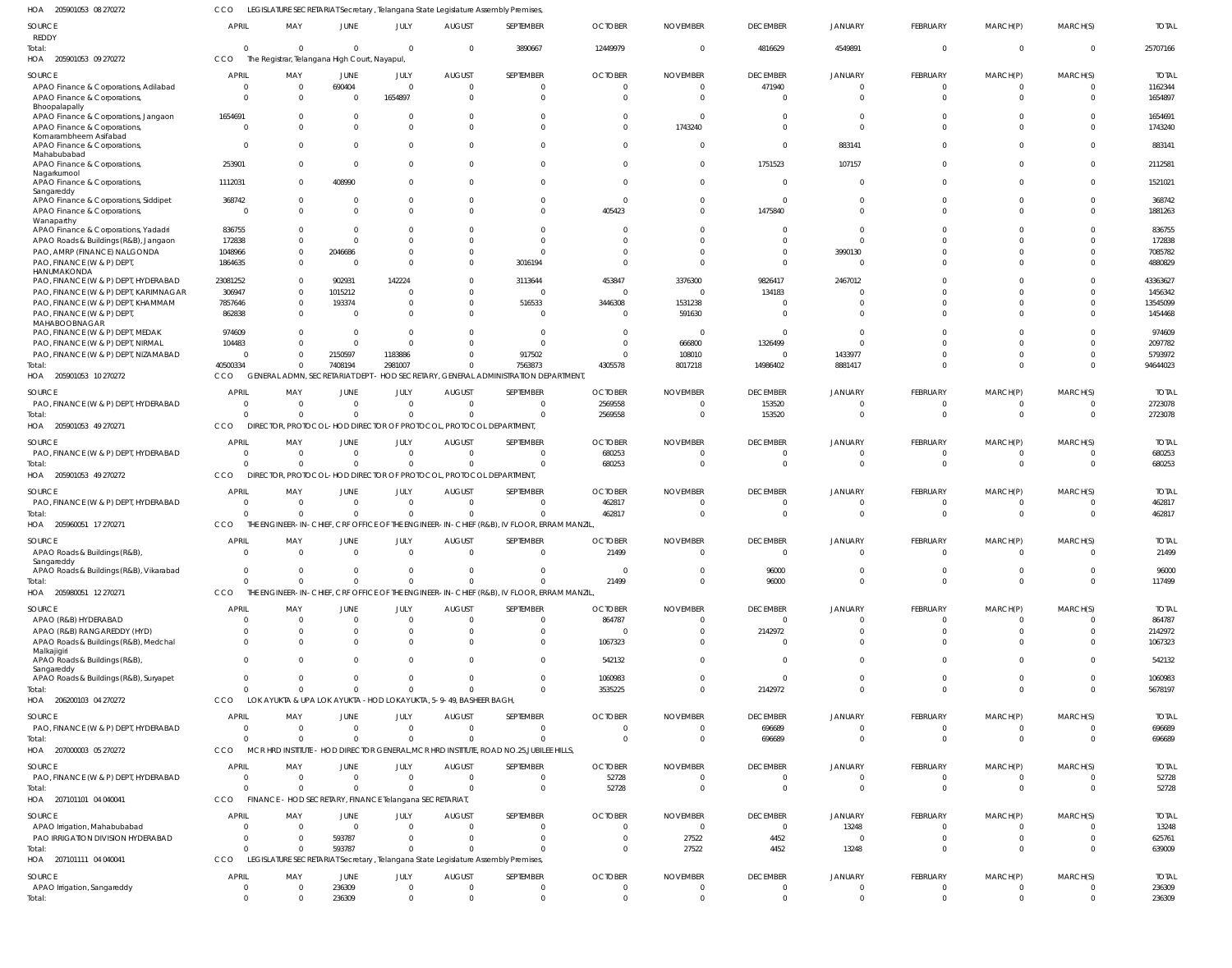205901053 08 270272 HOA LEGISLATURE SECRETARIAT Secretary , Telangana State Legislature Assembly Premises, CCO

| SOURCE                                                                                 | APRIL                      | MAY                                                                               | JUNE                       | JULY                                            | <b>AUGUST</b>                   | SEPTEMBER                                                                                              | <b>OCTOBER</b>                   | <b>NOVEMBER</b>             | <b>DECEMBER</b>                   | JANUARY                  | FEBRUARY             | MARCH(P)             | MARCH(S)                 | <b>TOTAL</b>           |
|----------------------------------------------------------------------------------------|----------------------------|-----------------------------------------------------------------------------------|----------------------------|-------------------------------------------------|---------------------------------|--------------------------------------------------------------------------------------------------------|----------------------------------|-----------------------------|-----------------------------------|--------------------------|----------------------|----------------------|--------------------------|------------------------|
| REDDY                                                                                  |                            |                                                                                   |                            |                                                 |                                 |                                                                                                        |                                  |                             |                                   |                          |                      |                      |                          |                        |
| Total:<br>HOA 205901053 09 270272                                                      | $\Omega$<br>CCO            | $\Omega$<br>The Registrar, Telangana High Court, Nayapul,                         | $\Omega$                   | $\Omega$                                        | $\Omega$                        | 3890667                                                                                                | 12449979                         | $\Omega$                    | 4816629                           | 4549891                  | $\Omega$             | $\Omega$             | $\Omega$                 | 25707166               |
| SOURCE                                                                                 | APRIL                      | MAY                                                                               | JUNE                       | <b>JULY</b>                                     | <b>AUGUST</b>                   | SEPTEMBER                                                                                              | <b>OCTOBER</b>                   | <b>NOVEMBER</b>             | <b>DECEMBER</b>                   | JANUARY                  | FEBRUARY             | MARCH(P)             | MARCH(S)                 | <b>TOTAL</b>           |
| APAO Finance & Corporations, Adilabad                                                  | $\Omega$                   | $\overline{\mathbf{0}}$                                                           | 690404                     | - 0                                             | $\Omega$                        | $\Omega$                                                                                               | $\Omega$                         | $\Omega$                    | 471940                            | $\Omega$                 | $\Omega$             | -0                   |                          | 1162344                |
| APAO Finance & Corporations,                                                           | $\Omega$                   | $\Omega$                                                                          | $\Omega$                   | 1654897                                         | $\Omega$                        | $\Omega$                                                                                               | $\Omega$                         | $\Omega$                    | $\mathbf{0}$                      | $\Omega$                 | $\Omega$             |                      | <sup>0</sup>             | 1654897                |
| Bhoopalapally<br>APAO Finance & Corporations, Jangaon<br>APAO Finance & Corporations,  | 1654691<br>$\Omega$        | $\Omega$<br>$\Omega$                                                              | $\Omega$<br>$\Omega$       | - 0<br>$\Omega$                                 | - 0<br>$\Omega$                 | <sup>0</sup><br><sup>0</sup>                                                                           | $\Omega$<br>$\Omega$             | $\Omega$<br>1743240         | $\Omega$<br>$\Omega$              | $\Omega$<br>$\Omega$     |                      |                      |                          | 1654691<br>1743240     |
| Komarambheem Asifabad<br>APAO Finance & Corporations,                                  | $\Omega$                   | $\Omega$                                                                          | $\Omega$                   | - 0                                             | - 0                             | $\Omega$                                                                                               | $\Omega$                         | $\Omega$                    | $\mathbf 0$                       | 883141                   | $\Omega$             | $\Omega$             | 0                        | 883141                 |
| Mahabubabad<br>APAO Finance & Corporations,                                            | 253901                     | $\Omega$                                                                          | $\overline{0}$             | $\Omega$                                        | $\Omega$                        | $\Omega$                                                                                               | $\Omega$                         | $\Omega$                    | 1751523                           | 107157                   |                      |                      |                          | 2112581                |
| Nagarkurnool<br>APAO Finance & Corporations,                                           | 1112031                    | $\Omega$                                                                          | 408990                     | $\Omega$                                        | $\Omega$                        | $\Omega$                                                                                               | $\Omega$                         | $\Omega$                    | $\mathbf 0$                       | 0                        | $\Omega$             | $\Omega$             |                          | 1521021                |
| Sangareddy<br>APAO Finance & Corporations, Siddipet                                    | 368742                     | - 0                                                                               | $\Omega$                   | - 0                                             | - 0                             | $\Omega$                                                                                               | $\overline{0}$                   | $\Omega$                    | $\overline{0}$                    | $\Omega$                 |                      |                      | 0                        | 368742                 |
| APAO Finance & Corporations,                                                           | $\Omega$                   | $\Omega$                                                                          | $\Omega$                   | $\Omega$                                        | $\Omega$                        | $\Omega$                                                                                               | 405423                           | $\Omega$                    | 1475840                           | $\Omega$                 | $\Omega$             |                      | 0                        | 1881263                |
| Wanaparthy<br>APAO Finance & Corporations, Yadadri                                     | 836755                     | - 0                                                                               | - 0                        | - 0                                             | $\Omega$                        | <sup>0</sup>                                                                                           | $\Omega$                         | <sup>0</sup>                | $\Omega$                          | $\Omega$                 |                      |                      |                          | 836755                 |
| APAO Roads & Buildings (R&B), Jangaon                                                  | 172838                     | $\Omega$                                                                          | $\Omega$                   | $\Omega$                                        | $\Omega$                        |                                                                                                        | $\Omega$                         | $\Omega$                    | $\Omega$                          | $\Omega$                 |                      |                      |                          | 172838                 |
| PAO, AMRP (FINANCE) NALGONDA<br>PAO, FINANCE (W & P) DEPT                              | 1048966<br>1864635         | $\overline{0}$<br>$\Omega$                                                        | 2046686<br>- 0             | - 0<br>$\Omega$                                 | $\Omega$<br>$\Omega$            | $\Omega$<br>3016194                                                                                    | $\Omega$<br>$\Omega$             | <sup>0</sup>                | $\overline{0}$<br>$\mathbf 0$     | 3990130<br>C             |                      |                      | 0                        | 7085782<br>4880829     |
| HANUMAKONDA                                                                            |                            |                                                                                   |                            |                                                 |                                 |                                                                                                        |                                  |                             |                                   |                          |                      |                      |                          |                        |
| PAO, FINANCE (W & P) DEPT, HYDERABAD                                                   | 23081252                   | $\Omega$                                                                          | 902931                     | 142224                                          | $\Omega$                        | 3113644                                                                                                | 453847                           | 3376300                     | 9826417                           | 2467012                  |                      |                      |                          | 43363627               |
| PAO, FINANCE (W & P) DEPT, KARIMNAGAR<br>PAO, FINANCE (W & P) DEPT, KHAMMAM            | 306947<br>7857646          | $\Omega$<br>$\Omega$                                                              | 1015212<br>193374          | - 0<br>- 0                                      | $\Omega$<br>$\overline{0}$      | $\Omega$<br>516533                                                                                     | $\overline{0}$<br>3446308        | $\Omega$<br>1531238         | 134183<br>$\mathbf{0}$            | C<br>$\Omega$            |                      |                      |                          | 1456342<br>13545099    |
| PAO, FINANCE (W & P) DEPT,<br>MAHABOOBNAGAR                                            | 862838                     | $\Omega$                                                                          | - 0                        | $\Omega$                                        | $\Omega$                        | $\Omega$                                                                                               | $\overline{0}$                   | 591630                      | $\overline{0}$                    | $\Omega$                 |                      |                      |                          | 1454468                |
| PAO, FINANCE (W & P) DEPT, MEDAK                                                       | 974609                     | $\Omega$                                                                          | $\Omega$                   | $\Omega$                                        | $\Omega$                        | 0                                                                                                      | $\Omega$                         | - 0                         | $\overline{0}$                    | $\Omega$                 |                      |                      |                          | 974609                 |
| PAO, FINANCE (W & P) DEPT, NIRMAL<br>PAO, FINANCE (W & P) DEPT, NIZAMABAD              | 104483<br>$\Omega$         | $\Omega$<br>$\Omega$                                                              | $\Omega$<br>2150597        | $\Omega$<br>1183886                             | $\Omega$<br>$\Omega$            | $\Omega$<br>917502                                                                                     | $\Omega$<br>$\Omega$             | 666800<br>108010            | 1326499<br>$\mathbf{0}$           | $\mathsf{C}$<br>1433977  |                      |                      | 0                        | 2097782<br>5793972     |
| Total:                                                                                 | 40500334                   | $\Omega$                                                                          | 7408194                    | 2981007                                         | $\Omega$                        | 7563873                                                                                                | 4305578                          | 8017218                     | 14986402                          | 8881417                  |                      |                      | 0                        | 94644023               |
| HOA 205901053 10 270272                                                                | CCO                        |                                                                                   |                            |                                                 |                                 | GENERAL ADMN, SECRETARIAT DEPT - HOD SECRETARY, GENERAL ADMINISTRATION DEPARTMENT,                     |                                  |                             |                                   |                          |                      |                      |                          |                        |
| <b>SOURCE</b>                                                                          | <b>APRIL</b>               | MAY                                                                               | JUNE                       | JULY                                            | <b>AUGUST</b>                   | SEPTEMBER                                                                                              | <b>OCTOBER</b>                   | <b>NOVEMBER</b>             | <b>DECEMBER</b>                   | <b>JANUARY</b>           | FEBRUARY             | MARCH(P)             | MARCH(S)                 | <b>TOTAL</b>           |
| PAO, FINANCE (W & P) DEPT, HYDERABAD                                                   | $\Omega$                   | $\overline{\mathbf{0}}$                                                           | $\overline{0}$             | - 0                                             | $\overline{0}$                  | $\Omega$                                                                                               | 2569558                          | $\Omega$                    | 153520                            | C                        |                      |                      |                          | 2723078                |
| Total:                                                                                 | $\Omega$                   | $\Omega$                                                                          | $\Omega$                   | - 0                                             | $\mathsf{C}$                    | $\Omega$                                                                                               | 2569558                          | $\Omega$                    | 153520                            | $\Omega$                 | $\Omega$             |                      | $\Omega$                 | 2723078                |
| HOA 205901053 49 270271                                                                | <b>CCO</b>                 | <b>DIRECT</b>                                                                     |                            | R, PROTOCOL-HOD DIRECTOR OF PROTOCOL,           |                                 | PROTOCOL DEPARTMENT,                                                                                   |                                  |                             |                                   |                          |                      |                      |                          |                        |
| SOURCE                                                                                 | <b>APRIL</b>               | MAY                                                                               | JUNE                       | JULY                                            | <b>AUGUST</b>                   | SEPTEMBER                                                                                              | <b>OCTOBER</b>                   | <b>NOVEMBER</b>             | <b>DECEMBER</b>                   | <b>JANUARY</b>           | FEBRUARY             | MARCH(P)             | MARCH(S)                 | <b>TOTAL</b>           |
| PAO, FINANCE (W & P) DEPT, HYDERABAD<br>Total:                                         | $\overline{0}$<br>$\Omega$ | $\Omega$<br>$\Omega$                                                              | $\Omega$<br>$\Omega$       | $\Omega$<br>$\Omega$                            | $\Omega$<br>$\Omega$            | $\Omega$<br>$\Omega$                                                                                   | 680253<br>680253                 | $\Omega$<br>$\Omega$        | $\overline{0}$<br>$\overline{0}$  | $\Omega$<br>$\Omega$     | $\Omega$<br>$\Omega$ | $\Omega$             | <sup>0</sup><br>$\Omega$ | 680253<br>680253       |
| HOA 205901053 49 270272                                                                | CCO                        | DIRECTOR, PROTOCOL-HOD DIRECTOR OF PROTOCOL, PROTOCOL DEPARTMENT,                 |                            |                                                 |                                 |                                                                                                        |                                  |                             |                                   |                          |                      |                      |                          |                        |
| SOURCE                                                                                 | <b>APRIL</b>               | MAY                                                                               | JUNE                       | JULY                                            | <b>AUGUST</b>                   | SEPTEMBER                                                                                              | <b>OCTOBER</b>                   | <b>NOVEMBER</b>             | <b>DECEMBER</b>                   | <b>JANUARY</b>           | FEBRUARY             | MARCH(P)             | MARCH(S)                 | <b>TOTAL</b>           |
| PAO, FINANCE (W & P) DEPT, HYDERABAD                                                   | $\Omega$                   | $\overline{0}$                                                                    | $\overline{0}$             | - 0                                             | $\overline{0}$                  | $\Omega$                                                                                               | 462817                           | 0                           | $\mathbf{0}$                      | C                        |                      |                      |                          | 462817                 |
| Total:                                                                                 | $\Omega$                   | $\Omega$                                                                          | $\Omega$                   | $\Omega$                                        | 0                               | $\Omega$                                                                                               | 462817                           | $\Omega$                    | $\mathbf 0$                       | $\Omega$                 | $\Omega$             |                      | $\Omega$                 | 462817                 |
| HOA 205960051 17 270271                                                                | <b>CCO</b>                 |                                                                                   |                            |                                                 |                                 | THE ENGINEER-IN-CHIEF, CRF OFFICE OF THE ENGINEER-IN-CHIEF (R&B), IV FLOOR, ERRAM MANZIL,              |                                  |                             |                                   |                          |                      |                      |                          |                        |
| SOURCE                                                                                 | APRIL                      | MAY                                                                               | JUNE                       | JULY                                            | <b>AUGUST</b>                   | SEPTEMBER                                                                                              | <b>OCTOBER</b>                   | <b>NOVEMBER</b>             | <b>DECEMBER</b>                   | <b>JANUARY</b>           | FEBRUARY             | MARCH(P)             | MARCH(S)                 | <b>TOTAL</b>           |
| APAO Roads & Buildings (R&B),<br>Sangareddy<br>APAO Roads & Buildings (R&B), Vikarabad | $\Omega$<br>$\Omega$       | $\overline{0}$<br>$\Omega$                                                        | $\Omega$<br>$\overline{0}$ | $\overline{0}$                                  | $\Omega$<br>$\Omega$            | 0<br>$\Omega$                                                                                          | 21499<br>$\Omega$                | $\Omega$<br>$\Omega$        | $\Omega$<br>96000                 | $\Omega$<br>$\mathbf{0}$ | $\Omega$<br>$\Omega$ | $\Omega$<br>$\Omega$ | $\Omega$<br>0            | 21499<br>96000         |
| Total:                                                                                 | $\Omega$                   | $\Omega$                                                                          | $\Omega$                   | $\Omega$                                        | $\Omega$                        | $\Omega$                                                                                               | 21499                            | $\Omega$                    | 96000                             | $\mathbf 0$              | $\Omega$             | $\Omega$             | $\Omega$                 | 117499                 |
| HOA 205980051 12 270271                                                                | CCO                        |                                                                                   |                            |                                                 |                                 | THE ENGINEER-IN-CHIEF, CRF OFFICE OF THE ENGINEER-IN-CHIEF (R&B), IV FLOOR, ERRAM MANZIL,              |                                  |                             |                                   |                          |                      |                      |                          |                        |
| <b>SOURCE</b>                                                                          | <b>APRIL</b>               | MAY                                                                               | JUNE                       | JULY                                            | <b>AUGUST</b>                   | SEPTEMBER                                                                                              | <b>OCTOBER</b>                   | <b>NOVEMBER</b>             | <b>DECEMBER</b>                   | <b>JANUARY</b>           | FEBRUARY             | MARCH(P)             | MARCH(S)                 | <b>TOTAL</b>           |
| APAO (R&B) HYDERABAD                                                                   | $\Omega$                   | $\overline{\mathbf{0}}$                                                           | 0                          | - 0                                             | 0                               | $\Omega$                                                                                               | 864787                           | $\Omega$                    | $\overline{0}$                    | C                        |                      |                      |                          | 864787                 |
| APAO (R&B) RANGAREDDY (HYD)                                                            |                            | $\overline{0}$                                                                    | $\Omega$                   | - 0                                             | $\overline{0}$                  | $\Omega$                                                                                               | $\overline{0}$                   | $\mathbf 0$                 | 2142972                           | $\Omega$                 |                      |                      |                          | 2142972                |
| APAO Roads & Buildings (R&B), Medchal<br>Malkajigiri                                   |                            | $\Omega$                                                                          | $\Omega$                   | - 0                                             | - 0                             | $\Omega$                                                                                               | 1067323                          | $\Omega$                    | $\Omega$                          | $\Omega$                 |                      |                      |                          | 1067323                |
| APAO Roads & Buildings (R&B),<br>Sangareddy                                            | $\Omega$                   | $\Omega$                                                                          | $\Omega$                   | $\Omega$                                        | - 0                             | $\Omega$                                                                                               | 542132                           | $\Omega$                    | $\Omega$                          | $\Omega$                 |                      |                      |                          | 542132                 |
| APAO Roads & Buildings (R&B), Suryapet                                                 | $\Omega$                   | $\Omega$                                                                          | $\Omega$                   |                                                 | - 0                             | $\Omega$                                                                                               | 1060983                          | $\Omega$                    | $\overline{0}$                    | $\Omega$                 |                      |                      | 0                        | 1060983                |
| Total:<br>HOA 206200103 04 270272                                                      | $\Omega$<br>CCO            | $\Omega$<br>LOK AYUKTA & UPA LOK AYUKTA - HOD LOKAYUKTA, 5-9-49, BASHEER BAGH,    | $\Omega$                   | $\Omega$                                        | $\Omega$                        | $\Omega$                                                                                               | 3535225                          | $\Omega$                    | 2142972                           | $\Omega$                 |                      |                      | $\Omega$                 | 5678197                |
|                                                                                        |                            |                                                                                   |                            |                                                 |                                 |                                                                                                        |                                  |                             |                                   |                          |                      |                      |                          |                        |
| <b>SOURCE</b><br>PAO, FINANCE (W & P) DEPT, HYDERABAD                                  | <b>APRIL</b><br>$\Omega$   | MAY<br>$\overline{0}$                                                             | JUNE<br>$\overline{0}$     | JULY<br>$\Omega$                                | <b>AUGUST</b><br>$\overline{0}$ | SEPTEMBER<br>$\Omega$                                                                                  | <b>OCTOBER</b><br>$\overline{0}$ | <b>NOVEMBER</b><br>$\Omega$ | <b>DECEMBER</b><br>696689         | <b>JANUARY</b><br>0      | FEBRUARY<br>$\Omega$ | MARCH(P)<br>$\Omega$ | MARCH(S)                 | <b>TOTAL</b><br>696689 |
| Total:<br>HOA 207000003 05 270272                                                      | $\Omega$<br>CCO            | $\Omega$                                                                          | $\overline{0}$             | $\Omega$                                        | $\overline{0}$                  | $\mathbf 0$<br>MCR HRD INSTITUTE - HOD DIRECTOR GENERAL, MCR HRD INSTITUTE, ROAD NO.25, JUBILEE HILLS, | $\overline{0}$                   | $\Omega$                    | 696689                            | $\mathbf 0$              | $\Omega$             | $\Omega$             | $\Omega$                 | 696689                 |
|                                                                                        |                            |                                                                                   |                            |                                                 |                                 |                                                                                                        |                                  |                             |                                   |                          |                      |                      |                          |                        |
| <b>SOURCE</b><br>PAO, FINANCE (W & P) DEPT, HYDERABAD                                  | <b>APRIL</b><br>$\Omega$   | MAY<br>$\overline{0}$                                                             | JUNE<br>$\overline{0}$     | JULY<br>- 0                                     | <b>AUGUST</b><br>$\overline{0}$ | SEPTEMBER<br>0                                                                                         | <b>OCTOBER</b><br>52728          | <b>NOVEMBER</b><br>$\Omega$ | <b>DECEMBER</b><br>$\overline{0}$ | <b>JANUARY</b><br>0      | FEBRUARY<br>$\Omega$ | MARCH(P)<br>-0       | MARCH(S)                 | <b>TOTAL</b><br>52728  |
| Total:                                                                                 | $\Omega$                   | $\Omega$                                                                          | $\Omega$                   | $\Omega$                                        | $\mathsf{C}$                    | $\Omega$                                                                                               | 52728                            | $\Omega$                    | $\Omega$                          | $\Omega$                 | $\Omega$             |                      | $\Omega$                 | 52728                  |
| HOA 207101101 04 040041                                                                | CCO                        | <b>FINANCE</b>                                                                    |                            | - HOD SECRETARY, FINANCE Telangana SECRETARIAT, |                                 |                                                                                                        |                                  |                             |                                   |                          |                      |                      |                          |                        |
| SOURCE                                                                                 | <b>APRIL</b>               | MAY                                                                               | JUNE                       | JULY                                            | <b>AUGUST</b>                   | SEPTEMBER                                                                                              | <b>OCTOBER</b>                   | <b>NOVEMBER</b>             | <b>DECEMBER</b>                   | JANUARY                  | FEBRUARY             | MARCH(P)             | MARCH(S)                 | <b>TOTAL</b>           |
| APAO Irrigation, Mahabubabad                                                           | $\Omega$                   | $\overline{0}$                                                                    | $\overline{0}$             | $\Omega$                                        | $\overline{0}$                  | $\Omega$                                                                                               | $\overline{0}$                   | $\overline{0}$              | $\overline{0}$                    | 13248                    | $\Omega$             | $\Omega$             |                          | 13248                  |
| PAO IRRIGATION DIVISION HYDERABAD                                                      | $\Omega$<br>$\Omega$       | $\overline{0}$<br>$\Omega$                                                        | 593787<br>593787           | - 0<br>$\Omega$                                 | $\Omega$<br>$\Omega$            | $\Omega$                                                                                               | $\overline{0}$<br>$\overline{0}$ | 27522                       | 4452                              | $\mathbf 0$<br>13248     | $\Omega$<br>$\Omega$ | $\Omega$<br>$\Omega$ | $\Omega$<br>$\Omega$     | 625761<br>639009       |
| Total:<br>HOA 207101111 04 040041                                                      | CCO                        | LEGISLATURE SECRETARIAT Secretary, Telangana State Legislature Assembly Premises, |                            |                                                 |                                 |                                                                                                        |                                  | 27522                       | 4452                              |                          |                      |                      |                          |                        |
| <b>SOURCE</b>                                                                          | <b>APRIL</b>               | MAY                                                                               | JUNE                       | JULY                                            | <b>AUGUST</b>                   | SEPTEMBER                                                                                              | <b>OCTOBER</b>                   | <b>NOVEMBER</b>             | <b>DECEMBER</b>                   | <b>JANUARY</b>           | FEBRUARY             | MARCH(P)             | MARCH(S)                 | <b>TOTAL</b>           |
| APAO Irrigation, Sangareddy                                                            | $\overline{0}$             | $\overline{0}$                                                                    | 236309                     | - 0                                             | $\overline{0}$                  | $\Omega$                                                                                               | $\overline{0}$                   | $\Omega$                    | $\overline{0}$                    | 0                        | $\Omega$             | $\Omega$             | 0                        | 236309                 |
| Total:                                                                                 | $\overline{0}$             | $\Omega$                                                                          | 236309                     | - 0                                             | $\overline{0}$                  | $\Omega$                                                                                               | $\overline{0}$                   | $\Omega$                    | $\overline{0}$                    | $\mathbf 0$              | $\Omega$             | $\Omega$             | $\Omega$                 | 236309                 |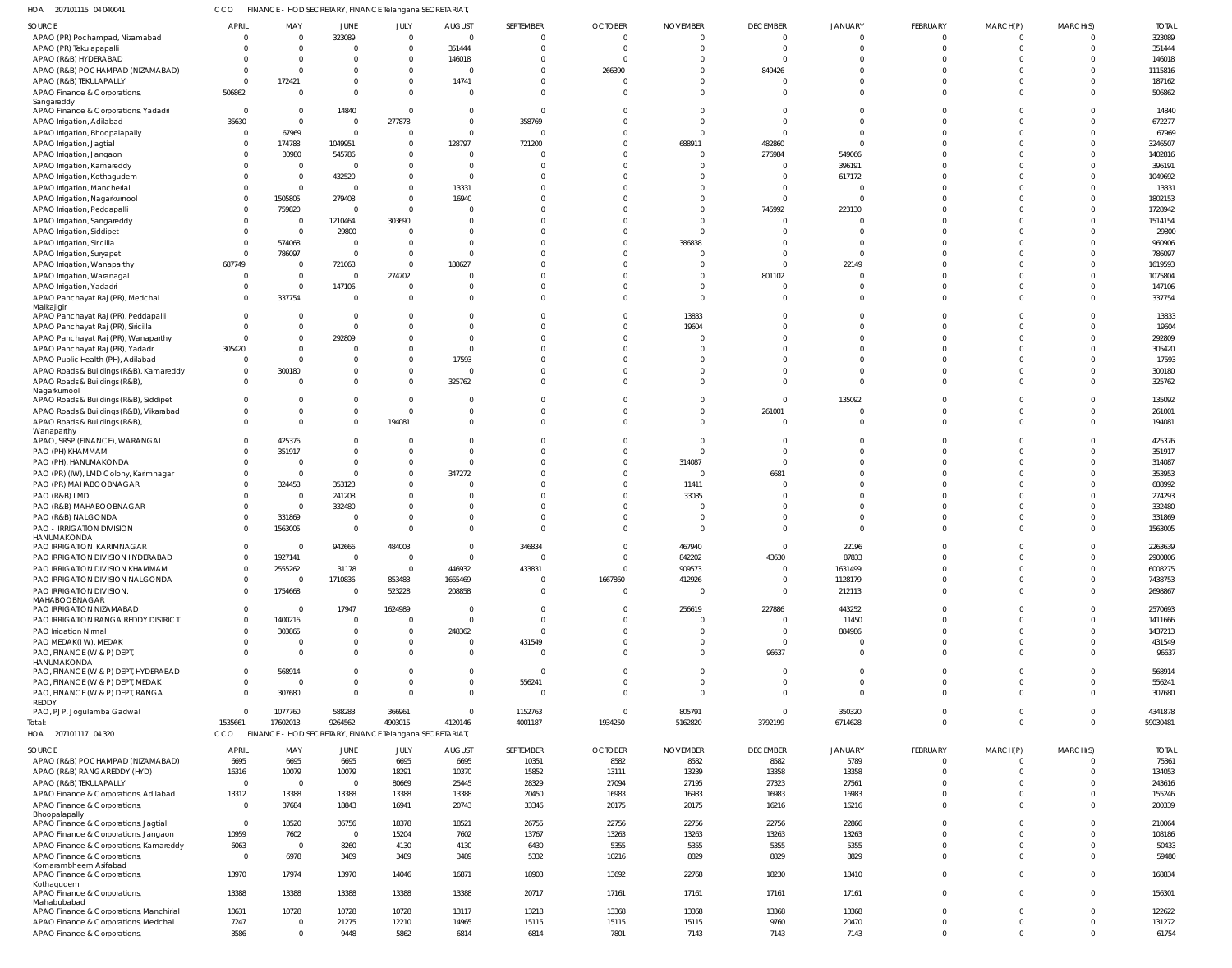| HOA<br>207101115 04 040041                                                        | ссо            |                           |                  | FINANCE - HOD SECRETARY, FINANCE Telangana SECRETARIAT  |                         |                        |                |                  |                                  |                    |                |              |                |                    |
|-----------------------------------------------------------------------------------|----------------|---------------------------|------------------|---------------------------------------------------------|-------------------------|------------------------|----------------|------------------|----------------------------------|--------------------|----------------|--------------|----------------|--------------------|
| SOURCE                                                                            | <b>APRIL</b>   | MAY                       | JUNE             | JULY                                                    | <b>AUGUST</b>           | SEPTEMBER              | <b>OCTOBER</b> | <b>NOVEMBER</b>  | <b>DECEMBER</b>                  | <b>JANUARY</b>     | FEBRUARY       | MARCH(P)     | MARCH(S)       | <b>TOTAL</b>       |
| APAO (PR) Pochampad, Nizamabad                                                    | $\Omega$       | $\overline{0}$            | 323089           | $\overline{0}$                                          | $\overline{0}$          | $\mathbf{0}$           | $\overline{0}$ | 0                | $\overline{0}$                   | $\Omega$           | $\mathbf{0}$   |              | $\overline{0}$ | 323089             |
| APAO (PR) Tekulapapalli                                                           | -0             | $\Omega$                  | $\Omega$         | $\overline{0}$                                          | 351444                  | $\mathbf 0$            | $\overline{0}$ | $\Omega$         | $\overline{0}$                   | $\Omega$           | $\mathbf 0$    | $\Omega$     | $\overline{0}$ | 351444             |
| APAO (R&B) HYDERABAD                                                              | $\Omega$       | $\Omega$                  | n                | $\mathbf{0}$                                            | 146018                  |                        | $\Omega$       | $\Omega$         | $\Omega$                         |                    |                |              | $\Omega$       | 146018             |
| APAO (R&B) POCHAMPAD (NIZAMABAD)                                                  | $\Omega$       | $\Omega$                  | $\Omega$         | $\overline{0}$                                          | $\Omega$                | $\Omega$               | 266390         | $\Omega$         | 849426                           |                    |                |              | $\Omega$       | 1115816            |
| APAO (R&B) TEKULAPALLY                                                            | $\mathbf 0$    | 172421                    | $\Omega$         | $\overline{0}$                                          | 14741                   | <sup>0</sup>           | 0              | $\Omega$         | - 0                              |                    | $\Omega$       |              | $\Omega$       | 187162             |
| APAO Finance & Corporations,                                                      | 506862         | $\Omega$                  | $\Omega$         | $\overline{0}$                                          | $\overline{0}$          | $\Omega$               | $\Omega$       | $\Omega$         | $\Omega$                         |                    | $\Omega$       |              | $\Omega$       | 506862             |
| Sangareddy                                                                        | $\mathbf{0}$   |                           | 14840            | $\circ$                                                 | $\overline{0}$          | $\Omega$               | 0              | C                | $\Omega$                         |                    |                |              | $\Omega$       | 14840              |
| APAO Finance & Corporations, Yadadri<br>APAO Irrigation, Adilabad                 | 35630          | - 0<br>$\Omega$           | $\overline{0}$   | 277878                                                  | $\overline{0}$          | 358769                 | $\Omega$       | $\Omega$         | $\Omega$                         |                    |                |              | $\Omega$       | 672277             |
|                                                                                   | $\mathbf{0}$   | 67969                     | $\overline{0}$   | $\circ$                                                 | $\overline{0}$          | $\Omega$               | 0              | 0                | $\Omega$                         |                    | $\Omega$       |              | $\Omega$       | 67969              |
| APAO Irrigation, Bhoopalapally<br>APAO Irrigation, Jagtial                        |                | 174788                    | 1049951          | $\Omega$                                                | 128797                  | 721200                 | $\Omega$       | 688911           | 482860                           |                    |                |              | $\Omega$       | 3246507            |
| APAO Irrigation, Jangaon                                                          |                | 30980                     | 545786           | - 0                                                     | $\circ$                 |                        | $\Omega$       | $\Omega$         | 276984                           | 549066             |                |              | $\Omega$       | 1402816            |
| APAO Irrigation, Kamareddy                                                        |                | $\overline{0}$            | $\Omega$         | $\mathbf{0}$                                            | $\overline{0}$          |                        | $\Omega$       | ſ                | - 0                              | 396191             |                |              | $\Omega$       | 396191             |
|                                                                                   |                | $\overline{0}$            | 432520           | $\mathbf{0}$                                            | $\overline{0}$          |                        | -C             | $\Omega$         | - 0                              | 617172             |                |              | $\Omega$       | 1049692            |
| APAO Irrigation, Kothagudem<br>APAO Irrigation, Mancherial                        |                | $\Omega$                  | $\overline{0}$   | $\mathbf{0}$                                            | 13331                   |                        | $\Omega$       | $\Omega$         | $\Omega$                         |                    |                |              | $\Omega$       | 13331              |
| APAO Irrigation, Nagarkurnool                                                     | $\Omega$       | 1505805                   | 279408           | $\overline{0}$                                          | 16940                   |                        | $\Omega$       | $\Omega$         | $\Omega$                         |                    |                |              | $\Omega$       | 1802153            |
| APAO Irrigation, Peddapalli                                                       | -0             | 759820                    | $\Omega$         | $\Omega$                                                | $\overline{0}$          |                        | $\Omega$       | $\Omega$         | 745992                           | 223130             |                |              | $\Omega$       | 1728942            |
| APAO Irrigation, Sangareddy                                                       |                | - 0                       | 1210464          | 303690                                                  | $\circ$                 |                        | $\Omega$       | $\Omega$         | $\Omega$                         |                    |                |              | $\Omega$       | 1514154            |
| APAO Irrigation, Siddipet                                                         | - 0            | $\Omega$                  | 29800            | $\circ$                                                 | $\Omega$                |                        | $\Omega$       | $\Omega$         | $\Omega$                         |                    |                |              | $\Omega$       | 29800              |
| APAO Irrigation, Siricilla                                                        | $\Omega$       | 574068                    | $\overline{0}$   | $\circ$                                                 | $\Omega$                |                        | $\Omega$       | 386838           | $\Omega$                         |                    |                |              | $\Omega$       | 960906             |
| APAO Irrigation, Suryapet                                                         | $\Omega$       | 786097                    | $\overline{0}$   | $\circ$                                                 | $\Omega$                |                        | $\Omega$       | $\Omega$         | $\Omega$                         |                    |                |              | $\Omega$       | 786097             |
| APAO Irrigation, Wanaparthy                                                       | 687749         | - 0                       | 721068           | $\circ$                                                 | 188627                  |                        | $\Omega$       | $\Omega$         | $\Omega$                         | 22149              |                |              | $\Omega$       | 1619593            |
| APAO Irrigation, Waranagal                                                        | -0             | $\overline{0}$            | $\overline{0}$   | 274702                                                  | $\Omega$                | <sup>0</sup>           | $\Omega$       | $\Omega$         | 801102                           |                    |                |              | $\Omega$       | 1075804            |
| APAO Irrigation, Yadadri                                                          | $\Omega$       | $\Omega$                  | 147106           | $\Omega$                                                | $\circ$                 | <sup>0</sup>           | $\Omega$       | $\Omega$         | $\Omega$                         |                    | $\Omega$       |              | $\Omega$       | 147106             |
| APAO Panchayat Raj (PR), Medchal                                                  | $\Omega$       | 337754                    | $\Omega$         | $\circ$                                                 | $\Omega$                | $\Omega$               | $\Omega$       | $\Omega$         | $\Omega$                         |                    | $\Omega$       |              | $\Omega$       | 337754             |
| Malkajigiri                                                                       |                |                           |                  |                                                         |                         |                        |                |                  |                                  |                    |                |              |                |                    |
| APAO Panchayat Raj (PR), Peddapalli                                               |                | - 0                       | $\overline{0}$   | $\Omega$                                                | $\circ$                 |                        | $\Omega$       | 13833            |                                  |                    |                |              | $\Omega$       | 13833              |
| APAO Panchayat Raj (PR), Siricilla                                                | $\Omega$       | $\Omega$                  | $\mathbf 0$      | $\Omega$                                                | $\Omega$                | $\Omega$               | $\Omega$       | 19604            | $\Omega$                         |                    |                |              | $\Omega$       | 19604              |
| APAO Panchayat Raj (PR), Wanaparthy                                               | $\mathbf 0$    | - 0                       | 292809           | - 0                                                     | $\overline{0}$          |                        | $\Omega$       | $\mathcal{L}$    | $\Omega$                         |                    |                |              | $\Omega$       | 292809             |
| APAO Panchayat Raj (PR), Yadadri                                                  | 305420         | $\Omega$                  | $\Omega$         | $\Omega$                                                | $\Omega$                |                        | $\Omega$       | ſ                | $\Omega$                         |                    |                |              | $\Omega$       | 305420             |
| APAO Public Health (PH), Adilabad                                                 | $\Omega$       | $\Omega$                  | $\Omega$         | - 0                                                     | 17593                   |                        | $\Omega$       | $\Omega$         | $\Omega$                         |                    |                |              | $\Omega$       | 17593              |
| APAO Roads & Buildings (R&B), Kamareddy                                           | $\mathbf{0}$   | 300180                    | $\Omega$         | $\overline{0}$                                          | $\Omega$                | <sup>0</sup>           | $\Omega$       | $\Omega$         | $\Omega$                         |                    | - 0            |              | $\Omega$       | 300180             |
| APAO Roads & Buildings (R&B),                                                     | $\Omega$       | $\Omega$                  | $\Omega$         | $\overline{0}$                                          | 325762                  | $\Omega$               | $\Omega$       | $\Omega$         | $\Omega$                         | $\cap$             | $\Omega$       | $\Omega$     | $\Omega$       | 325762             |
| Nagarkurnool                                                                      | $\Omega$       | $\Omega$                  | $\mathbf{0}$     | $\overline{0}$                                          |                         | $\Omega$               | $\Omega$       | $\Omega$         | $\overline{0}$                   |                    | $\Omega$       |              | $\Omega$       |                    |
| APAO Roads & Buildings (R&B), Siddipet<br>APAO Roads & Buildings (R&B), Vikarabad | $\Omega$       | $\Omega$                  | $\mathbf{0}$     | $\overline{0}$                                          | - 0<br>$\overline{0}$   | $\Omega$               | $\Omega$       | $\Omega$         | 261001                           | 135092             |                |              | $\Omega$       | 135092<br>261001   |
| APAO Roads & Buildings (R&B),                                                     | $\Omega$       | $\Omega$                  | $\overline{0}$   | 194081                                                  | $\Omega$                | $\Omega$               | $\Omega$       | $\Omega$         | $\overline{\mathbf{0}}$          |                    | $\Omega$       | $\Omega$     | $\Omega$       | 194081             |
| Wanaparthy                                                                        |                |                           |                  |                                                         |                         |                        |                |                  |                                  |                    |                |              |                |                    |
| APAO, SRSP (FINANCE), WARANGAL                                                    | - 0            | 425376                    | $\mathbf{0}$     | - 0                                                     | $\Omega$                |                        | 0              | $\Omega$         | - 0                              |                    |                |              | $\Omega$       | 425376             |
| PAO (PH) KHAMMAM                                                                  | - 0            | 351917                    | $\Omega$         | $\Omega$                                                | $\Omega$                | $\Omega$               | $\Omega$       | $\mathcal{L}$    | $\Omega$                         |                    |                |              | $\Omega$       | 351917             |
| PAO (PH), HANUMAKONDA                                                             | $\Omega$       | $\Omega$                  | $\overline{0}$   | $\overline{0}$                                          | $\Omega$                | <sup>0</sup>           | $\Omega$       | 314087           | $\Omega$                         |                    |                |              | $\Omega$       | 314087             |
| PAO (PR) (IW), LMD Colony, Karimnagar                                             | $\Omega$       | $\Omega$                  | $\Omega$         | $\overline{0}$                                          | 347272                  |                        | $\Omega$       | $\Omega$         | 6681                             |                    |                |              | $\Omega$       | 353953             |
| PAO (PR) MAHABOOBNAGAR                                                            |                | 324458                    | 353123           | - 0                                                     | $\Omega$                |                        | $\Omega$       | 11411            | $\Omega$                         |                    |                |              | $\Omega$       | 688992             |
| PAO (R&B) LMD                                                                     |                | - 0                       | 241208           | $\Omega$                                                | $\Omega$                | <sup>0</sup>           | $\Omega$       | 33085            | $\Omega$                         |                    |                |              | $\Omega$       | 274293             |
| PAO (R&B) MAHABOOBNAGAR                                                           |                | $\overline{0}$            | 332480           | $\Omega$                                                | $\Omega$                |                        | $\Omega$       | ſ                | $\Omega$                         |                    |                |              | $\Omega$       | 332480             |
| PAO (R&B) NALGONDA                                                                |                | 331869                    | $\Omega$         | $\Omega$                                                | $\Omega$                | <sup>0</sup>           | $\Omega$       | $\Omega$         | $\Omega$                         |                    |                |              | $\Omega$       | 331869             |
| PAO - IRRIGATION DIVISION                                                         | $\Omega$       | 1563005                   | $\overline{0}$   | $\Omega$                                                | $\Omega$                | $\Omega$               | $\Omega$       | $\Omega$         | $\Omega$                         |                    | $\Omega$       |              | $\Omega$       | 1563005            |
| HANUMAKONDA                                                                       |                |                           |                  |                                                         |                         |                        |                |                  |                                  |                    | $\Omega$       |              |                |                    |
| PAO IRRIGATION KARIMNAGAR                                                         | $\Omega$       | $\Omega$                  | 942666           | 484003                                                  | $\Omega$                | 346834                 | $\Omega$       | 467940           | $\Omega$                         | 22196              |                |              | $\Omega$       | 2263639            |
| PAO IRRIGATION DIVISION HYDERABAD                                                 | $\Omega$       | 1927141                   | 0                | $\overline{0}$                                          |                         |                        | $\Omega$       | 842202           | 43630<br>$\overline{\mathbf{0}}$ | 8/833              | $\Omega$       |              | $\Omega$       | 2900806            |
| PAO IRRIGATION DIVISION KHAMMAM<br>PAO IRRIGATION DIVISION NALGONDA               | $\Omega$       | 2555262<br>$\overline{0}$ | 31178<br>1710836 | 853483                                                  | 446932<br>1665469       | 433831<br>$\mathbf{0}$ | 1667860        | 909573<br>412926 | $\overline{\mathbf{0}}$          | 1631499<br>1128179 | $\mathbf{0}$   | $\Omega$     | $\mathbf 0$    | 6008275<br>7438753 |
| PAO IRRIGATION DIVISION,                                                          | $\Omega$       | 1754668                   | $\overline{0}$   | 523228                                                  | 208858                  | $\Omega$               | $\overline{0}$ | $\Omega$         | - 0                              | 212113             | $\Omega$       | $\Omega$     | $\Omega$       | 2698867            |
| MAHABOOBNAGAR                                                                     |                |                           |                  |                                                         |                         |                        |                |                  |                                  |                    |                |              |                |                    |
| PAO IRRIGATION NIZAMABAD                                                          | $\Omega$       | - 0                       | 17947            | 1624989                                                 | $\overline{\mathbf{0}}$ | $\Omega$               | $\overline{0}$ | 256619           | 227886                           | 443252             | $\Omega$       |              | $\Omega$       | 2570693            |
| PAO IRRIGATION RANGA REDDY DISTRICT                                               | $\Omega$       | 1400216                   | $\overline{0}$   | $\overline{0}$                                          | $\Omega$                | $\Omega$               | $\Omega$       | $\Omega$         | $\overline{\mathbf{0}}$          | 11450              | $\Omega$       |              | $\Omega$       | 1411666            |
| PAO Irrigation Nirmal                                                             | $\Omega$       | 303865                    | $\mathbf{0}$     | $\overline{0}$                                          | 248362                  | $\Omega$               | $\Omega$       | $\Omega$         | $\overline{\mathbf{0}}$          | 884986             | $\Omega$       | $\Omega$     | $\mathbf 0$    | 1437213            |
| PAO MEDAK(IW), MEDAK                                                              | $\Omega$       | $\Omega$                  | $\mathbf{0}$     | $\overline{0}$                                          | $\overline{0}$          | 431549                 | $\Omega$       | $\Omega$         | - 0                              |                    | $\Omega$       | $\Omega$     | $\Omega$       | 431549             |
| PAO, FINANCE (W & P) DEPT                                                         | $\Omega$       | $\Omega$                  | $\Omega$         | $\Omega$                                                | $\overline{0}$          | $\Omega$               | $\Omega$       | $\Omega$         | 96637                            |                    | $\Omega$       | $\Omega$     | $\Omega$       | 96637              |
| HANUMAKONDA                                                                       |                |                           |                  |                                                         |                         |                        |                |                  |                                  |                    |                |              |                |                    |
| PAO, FINANCE (W & P) DEPT, HYDERABAD                                              | $\Omega$       | 568914                    | $\Omega$         | $\overline{0}$                                          | $\overline{0}$          | $\Omega$               | $\Omega$       | $\Omega$         | $\Omega$                         | $\Omega$           | $\Omega$       |              | $\Omega$       | 568914             |
| PAO, FINANCE (W & P) DEPT, MEDAK                                                  | $\Omega$       | $\Omega$                  | $\mathbf 0$      | $\overline{0}$                                          | $\overline{0}$          | 556241                 | $\mathbf{0}$   | $\mathbf 0$      | $\Omega$                         | $\Omega$           | $\mathbf 0$    | $\Omega$     | $\mathbf 0$    | 556241             |
| PAO, FINANCE (W & P) DEPT, RANGA<br>REDDY                                         | $\Omega$       | 307680                    | $\overline{0}$   | $\Omega$                                                | $\overline{0}$          | $\Omega$               | $\Omega$       | $\Omega$         | - 0                              | $\Omega$           | $\Omega$       | $\Omega$     | $\Omega$       | 307680             |
| PAO, PJP, Jogulamba Gadwal                                                        | $\Omega$       | 1077760                   | 588283           | 366961                                                  | $\overline{0}$          | 1152763                | $\overline{0}$ | 805791           | $\overline{0}$                   | 350320             | $\mathbf 0$    | $\Omega$     | $\mathbf 0$    | 4341878            |
| Total:                                                                            | 1535661        | 17602013                  | 9264562          | 4903015                                                 | 4120146                 | 4001187                | 1934250        | 5162820          | 3792199                          | 6714628            | $\Omega$       | $\Omega$     | $\Omega$       | 59030481           |
| HOA 207101117 04 320                                                              | CCO            |                           |                  | FINANCE - HOD SECRETARY, FINANCE Telangana SECRETARIAT, |                         |                        |                |                  |                                  |                    |                |              |                |                    |
|                                                                                   |                |                           |                  |                                                         |                         |                        |                |                  |                                  |                    |                |              |                |                    |
| SOURCE                                                                            | <b>APRIL</b>   | MAY                       | JUNE             | JULY                                                    | <b>AUGUST</b>           | SEPTEMBER              | <b>OCTOBER</b> | <b>NOVEMBER</b>  | <b>DECEMBER</b>                  | JANUARY            | FEBRUARY       | MARCH(P)     | MARCH(S)       | <b>TOTAL</b>       |
| APAO (R&B) POCHAMPAD (NIZAMABAD)                                                  | 6695           | 6695                      | 6695             | 6695                                                    | 6695                    | 10351                  | 8582           | 8582             | 8582                             | 5789               | $\overline{0}$ | $\Omega$     | $\overline{0}$ | 75361              |
| APAO (R&B) RANGAREDDY (HYD)                                                       | 16316          | 10079                     | 10079            | 18291                                                   | 10370                   | 15852                  | 13111          | 13239            | 13358                            | 13358              | $\mathbf{0}$   | $\Omega$     | $\overline{0}$ | 134053             |
| APAO (R&B) TEKULAPALLY                                                            | $\mathbf 0$    | $\overline{0}$            | $\overline{0}$   | 80669                                                   | 25445                   | 28329                  | 27094          | 27195            | 27323                            | 27561              | $\mathbf 0$    | $\Omega$     | $\Omega$       | 243616             |
| APAO Finance & Corporations, Adilabad                                             | 13312          | 13388                     | 13388            | 13388                                                   | 13388                   | 20450                  | 16983          | 16983            | 16983                            | 16983              | $\mathbf{0}$   | $\Omega$     | $\overline{0}$ | 155246             |
| APAO Finance & Corporations,<br>Bhoopalapally                                     | $\overline{0}$ | 37684                     | 18843            | 16941                                                   | 20743                   | 33346                  | 20175          | 20175            | 16216                            | 16216              | $\mathbf 0$    | $\Omega$     | $\overline{0}$ | 200339             |
| APAO Finance & Corporations, Jagtial                                              | $\overline{0}$ | 18520                     | 36756            | 18378                                                   | 18521                   | 26755                  | 22756          | 22756            | 22756                            | 22866              | $\mathbf{0}$   | $\Omega$     | $\overline{0}$ | 210064             |
| APAO Finance & Corporations, Jangaon                                              | 10959          | 7602                      | $\overline{0}$   | 15204                                                   | 7602                    | 13767                  | 13263          | 13263            | 13263                            | 13263              | $\Omega$       | $\Omega$     | $\overline{0}$ | 108186             |
| APAO Finance & Corporations, Kamareddy                                            | 6063           | $\overline{0}$            | 8260             | 4130                                                    | 4130                    | 6430                   | 5355           | 5355             | 5355                             | 5355               | $\mathbf{0}$   | $\Omega$     | $\overline{0}$ | 50433              |
| APAO Finance & Corporations,                                                      | $\overline{0}$ | 6978                      | 3489             | 3489                                                    | 3489                    | 5332                   | 10216          | 8829             | 8829                             | 8829               | $\mathbf{0}$   | $\Omega$     | $\overline{0}$ | 59480              |
| Komarambheem Asifabad                                                             |                |                           |                  |                                                         |                         |                        |                |                  |                                  |                    |                |              |                |                    |
| APAO Finance & Corporations,                                                      | 13970          | 17974                     | 13970            | 14046                                                   | 16871                   | 18903                  | 13692          | 22768            | 18230                            | 18410              | $\overline{0}$ | $\Omega$     | $\overline{0}$ | 168834             |
| Kothagudem<br>APAO Finance & Corporations,                                        | 13388          | 13388                     | 13388            | 13388                                                   | 13388                   | 20717                  | 17161          | 17161            | 17161                            | 17161              | $\mathbf 0$    | $\Omega$     | $\overline{0}$ | 156301             |
| Mahabubabad                                                                       |                |                           |                  |                                                         |                         |                        |                |                  |                                  |                    |                |              |                |                    |
| APAO Finance & Corporations, Manchirial                                           | 10631          | 10728                     | 10728            | 10728                                                   | 13117                   | 13218                  | 13368          | 13368            | 13368                            | 13368              | $\overline{0}$ | $\mathbf{0}$ | $\overline{0}$ | 122622             |
| APAO Finance & Corporations, Medchal                                              | 7247           | $\overline{0}$            | 21275            | 12210                                                   | 14965                   | 15115                  | 15115          | 15115            | 9760                             | 20470              | $\overline{0}$ | $\Omega$     | $\overline{0}$ | 131272             |
| APAO Finance & Corporations,                                                      | 3586           | $\Omega$                  | 9448             | 5862                                                    | 6814                    | 6814                   | 7801           | 7143             | 7143                             | 7143               | $\Omega$       | $\Omega$     | $\overline{0}$ | 61754              |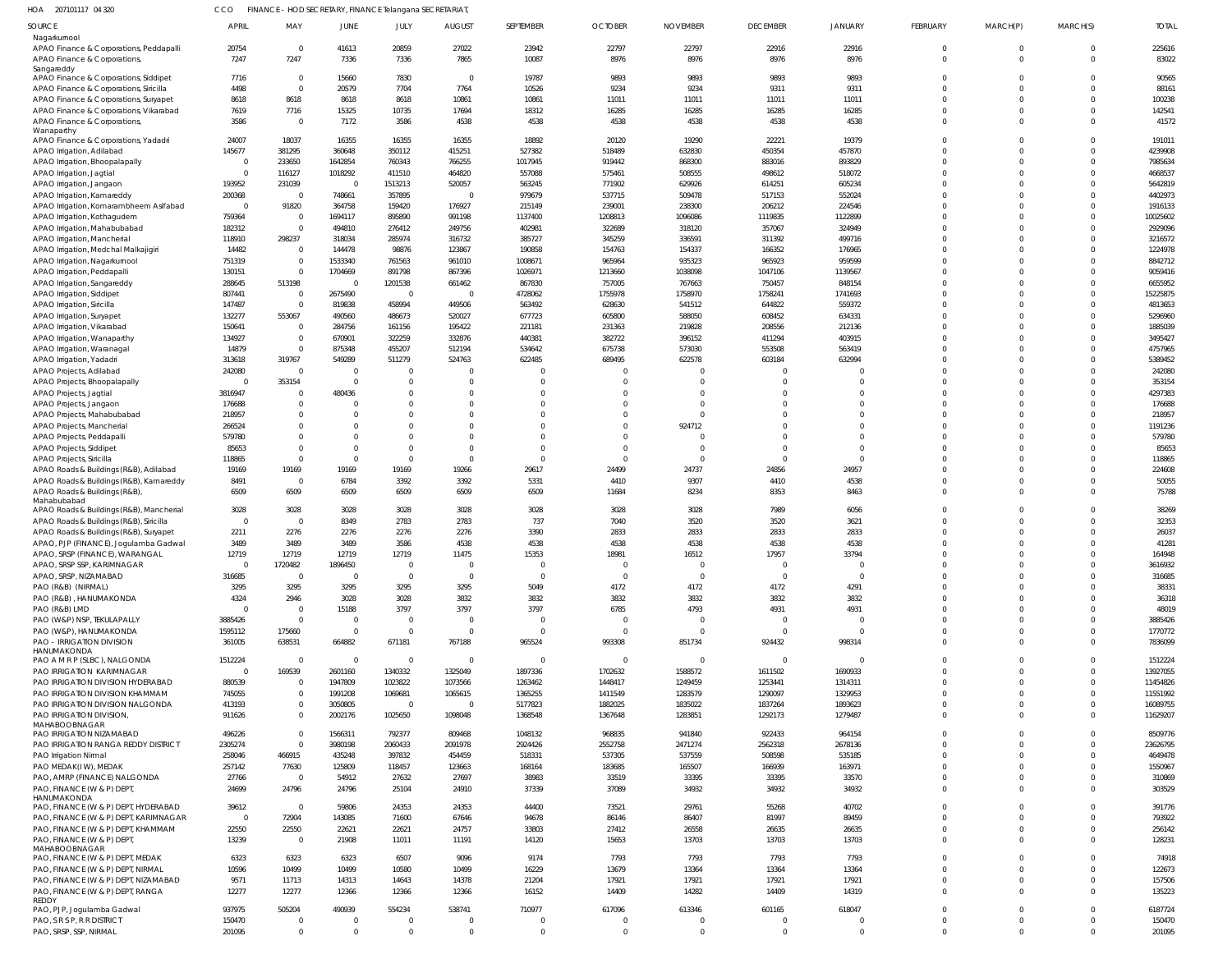| HOA 207101117 04 320 | FINANCE - HOD SECRETARY, FINANCE Telangana SECRETARIAT. |
|----------------------|---------------------------------------------------------|
|                      |                                                         |

| SOURCE                                                                              | <b>APRIL</b>       | MAY                     | JUNE               | JULY             | <b>AUGUST</b>    | SEPTEMBER         | <b>OCTOBER</b>    | <b>NOVEMBER</b>   | <b>DECEMBER</b>      | <b>JANUARY</b>       | FEBRUARY             | MARCH(P)             | MARCH(S)                | <b>TOTAL</b>        |
|-------------------------------------------------------------------------------------|--------------------|-------------------------|--------------------|------------------|------------------|-------------------|-------------------|-------------------|----------------------|----------------------|----------------------|----------------------|-------------------------|---------------------|
| Nagarkurnool                                                                        |                    |                         |                    |                  |                  |                   |                   |                   |                      |                      |                      |                      |                         |                     |
| APAO Finance & Corporations, Peddapalli                                             | 20754              | $\overline{0}$          | 41613              | 20859            | 27022            | 23942             | 22797             | 22797             | 22916                | 22916                |                      |                      | $\mathbf 0$             | 225616              |
| APAO Finance & Corporations,                                                        | 7247               | 7247                    | 7336               | 7336             | 7865             | 10087             | 8976              | 8976              | 8976                 | 8976                 | $\Omega$             | $\Omega$             | $\Omega$                | 83022               |
| Sangareddy<br>APAO Finance & Corporations, Siddipet                                 | 7716               | $\overline{\mathbf{0}}$ | 15660              | 7830             | $\overline{0}$   | 19787             | 9893              | 9893              | 9893                 | 9893                 |                      |                      | $\Omega$                | 90565               |
| APAO Finance & Corporations, Siricilla                                              | 4498               | $\Omega$                | 20579              | 7704             | 7764             | 10526             | 9234              | 9234              | 9311                 | 9311                 |                      |                      | $\Omega$                | 88161               |
| APAO Finance & Corporations, Suryapet                                               | 8618               | 8618                    | 8618               | 8618             | 10861            | 10861             | 11011             | 11011             | 11011                | 11011                |                      |                      | $\Omega$                | 100238              |
| APAO Finance & Corporations, Vikarabad                                              | 7619               | 7716                    | 15325              | 10735            | 17694            | 18312             | 16285             | 16285             | 16285                | 16285                |                      |                      | $\Omega$                | 142541              |
| APAO Finance & Corporations,                                                        | 3586               | $\overline{0}$          | 7172               | 3586             | 4538             | 4538              | 4538              | 4538              | 4538                 | 4538                 | $\Omega$             | $\Omega$             | $\Omega$                | 41572               |
| Wanaparthy                                                                          |                    |                         |                    |                  |                  |                   |                   |                   |                      |                      |                      |                      |                         |                     |
| APAO Finance & Corporations, Yadadri                                                | 24007              | 18037                   | 16355              | 16355            | 16355            | 18892             | 20120             | 19290             | 22221                | 19379                |                      |                      | $\Omega$                | 191011              |
| APAO Irrigation, Adilabad                                                           | 145677             | 381295                  | 360648             | 350112           | 415251           | 527382            | 518489            | 632830            | 450354               | 457870               |                      |                      | $\Omega$                | 4239908             |
| APAO Irrigation, Bhoopalapally                                                      | - 0                | 233650                  | 1642854            | 760343           | 766255           | 1017945           | 919442            | 868300            | 883016               | 893829               |                      |                      | $\Omega$                | 7985634             |
| APAO Irrigation, Jagtial                                                            | $\Omega$           | 116127                  | 1018292            | 411510           | 464820           | 557088            | 575461            | 508555            | 498612               | 518072               |                      |                      | $\Omega$                | 4668537             |
| APAO Irrigation, Jangaon                                                            | 193952             | 231039                  | $\Omega$           | 1513213          | 520057           | 563245            | 771902            | 629926            | 614251               | 605234               |                      |                      | $\Omega$                | 5642819             |
| APAO Irrigation, Kamareddy                                                          | 200368             | $\overline{0}$          | 748661             | 357895           | $\mathbf 0$      | 979679            | 537715            | 509478            | 517153               | 552024               |                      |                      | $\Omega$                | 4402973             |
| APAO Irrigation, Komarambheem Asifabad                                              | $\Omega$<br>759364 | 91820<br>$\overline{0}$ | 364758<br>1694117  | 159420<br>895890 | 176927<br>991198 | 215149<br>1137400 | 239001<br>1208813 | 238300<br>1096086 | 206212<br>1119835    | 224546<br>1122899    |                      |                      | $\Omega$<br>$\Omega$    | 1916133<br>10025602 |
| APAO Irrigation, Kothagudem<br>APAO Irrigation, Mahabubabad                         | 182312             | $\overline{0}$          | 494810             | 276412           | 249756           | 402981            | 322689            | 318120            | 357067               | 324949               |                      |                      | $\Omega$                | 2929096             |
| APAO Irrigation, Mancherial                                                         | 118910             | 298237                  | 318034             | 285974           | 316732           | 385727            | 345259            | 336591            | 311392               | 499716               |                      |                      | $\Omega$                | 3216572             |
| APAO Irrigation, Medchal Malkajigiri                                                | 14482              | $\overline{0}$          | 144478             | 98876            | 123867           | 190858            | 154763            | 154337            | 166352               | 176965               |                      |                      | $\Omega$                | 1224978             |
| APAO Irrigation, Nagarkurnool                                                       | 751319             | $\overline{0}$          | 1533340            | 761563           | 961010           | 1008671           | 965964            | 935323            | 965923               | 959599               |                      |                      | $\Omega$                | 8842712             |
| APAO Irrigation, Peddapalli                                                         | 130151             | $\overline{0}$          | 1704669            | 891798           | 867396           | 1026971           | 1213660           | 1038098           | 1047106              | 1139567              |                      |                      | $\Omega$                | 9059416             |
| APAO Irrigation, Sangareddy                                                         | 288645             | 513198                  | $\overline{0}$     | 1201538          | 661462           | 867830            | 757005            | 767663            | 750457               | 848154               |                      |                      | $\Omega$                | 6655952             |
| APAO Irrigation, Siddipet                                                           | 807441             | $\overline{0}$          | 2675490            | $\overline{0}$   | $\Omega$         | 4728062           | 1755978           | 1758970           | 1758241              | 1741693              |                      |                      | $\Omega$                | 15225875            |
| APAO Irrigation, Siricilla                                                          | 147487             | $\overline{0}$          | 819838             | 458994           | 449506           | 563492            | 628630            | 541512            | 644822               | 559372               |                      |                      | $\Omega$                | 4813653             |
| APAO Irrigation, Suryapet                                                           | 132277             | 553067                  | 490560             | 486673           | 520027           | 677723            | 605800            | 588050            | 608452               | 634331               |                      |                      | $\Omega$                | 5296960             |
| APAO Irrigation, Vikarabad                                                          | 150641             | $\overline{0}$          | 284756             | 161156           | 195422           | 221181            | 231363            | 219828            | 208556               | 212136               |                      |                      | $\Omega$                | 1885039             |
| APAO Irrigation, Wanaparthy                                                         | 134927             | $\overline{0}$          | 670901             | 322259           | 332876           | 440381            | 382722            | 396152            | 411294               | 403915               |                      |                      | $\Omega$                | 3495427             |
| APAO Irrigation, Waranagal                                                          | 14879              | $\overline{0}$          | 875348             | 455207           | 512194           | 534642            | 675738            | 573030            | 553508               | 563419               |                      |                      | $\Omega$                | 4757965             |
| APAO Irrigation, Yadadri                                                            | 313618             | 319767                  | 549289             | 511279           | 524763           | 622485            | 689495            | 622578            | 603184               | 632994               |                      |                      | $\Omega$                | 5389452             |
| APAO Projects, Adilabad                                                             | 242080             | $\Omega$                | $\Omega$           | $\Omega$         |                  |                   |                   |                   | $\Omega$             | ſ                    |                      |                      | $\Omega$                | 242080              |
| APAO Projects, Bhoopalapally                                                        |                    | 353154                  | $\overline{0}$     | $\overline{0}$   | $\Omega$         |                   |                   |                   | $\Omega$             | $\Omega$             |                      |                      | $\Omega$                | 353154              |
| APAO Projects, Jagtial                                                              | 3816947            | $\Omega$<br>$\Omega$    | 480436<br>$\Omega$ | 0<br>$\Omega$    | $\Omega$<br>U    |                   |                   |                   | $\Omega$<br>$\Omega$ | $\Omega$<br>$\Omega$ |                      |                      | $\Omega$<br>$\Omega$    | 4297383             |
| APAO Projects, Jangaon<br>APAO Projects, Mahabubabad                                | 176688<br>218957   | $\Omega$                | $\Omega$           | $\Omega$         |                  |                   |                   |                   | $\Omega$             | $\Omega$             |                      |                      | $\Omega$                | 176688<br>218957    |
| APAO Projects, Mancherial                                                           | 266524             | $\Omega$                | $\Omega$           | $\Omega$         |                  |                   |                   | 924712            | $\Omega$             | $\Omega$             |                      |                      | $\Omega$                | 1191236             |
| APAO Projects, Peddapalli                                                           | 579780             | $\Omega$                | $\Omega$           | $\Omega$         | $\Omega$         |                   |                   |                   | $\Omega$             | $\Omega$             |                      |                      | $\Omega$                | 579780              |
| APAO Projects, Siddipet                                                             | 85653              | $\Omega$                | $\Omega$           | $\overline{0}$   | $\Omega$         |                   |                   | $\Omega$          | $\Omega$             | $\Omega$             |                      |                      | $\Omega$                | 85653               |
| APAO Projects, Siricilla                                                            | 118865             | $\overline{0}$          | $\mathbf 0$        | $\overline{0}$   | $\mathbf 0$      |                   | $\Omega$          | $\Omega$          | $\mathbf 0$          | $\Omega$             |                      |                      | $\Omega$                | 118865              |
| APAO Roads & Buildings (R&B), Adilabad                                              | 19169              | 19169                   | 19169              | 19169            | 19266            | 29617             | 24499             | 24737             | 24856                | 24957                |                      |                      | $\Omega$                | 224608              |
| APAO Roads & Buildings (R&B), Kamareddy                                             | 8491               | $\overline{0}$          | 6784               | 3392             | 3392             | 5331              | 4410              | 9307              | 4410                 | 4538                 |                      |                      | $\mathbf 0$             | 50055               |
| APAO Roads & Buildings (R&B),                                                       | 6509               | 6509                    | 6509               | 6509             | 6509             | 6509              | 11684             | 8234              | 8353                 | 8463                 | $\Omega$             |                      | $\Omega$                | 75788               |
| Mahabubabad                                                                         | 3028               | 3028                    | 3028               | 3028             | 3028             | 3028              | 3028              | 3028              | 7989                 | 6056                 |                      |                      | $\Omega$                | 38269               |
| APAO Roads & Buildings (R&B), Mancherial<br>APAO Roads & Buildings (R&B), Siricilla | $\Omega$           | $\Omega$                | 8349               | 2783             | 2783             | 737               | 7040              | 3520              | 3520                 | 3621                 |                      |                      | $\Omega$                | 32353               |
| APAO Roads & Buildings (R&B), Suryapet                                              | 2211               | 2276                    | 2276               | 2276             | 2276             | 3390              | 2833              | 2833              | 2833                 | 2833                 |                      |                      | $\Omega$                | 26037               |
| APAO, PJP (FINANCE), Jogulamba Gadwal                                               | 3489               | 3489                    | 3489               | 3586             | 4538             | 4538              | 4538              | 4538              | 4538                 | 4538                 |                      |                      | $\Omega$                | 41281               |
| APAO, SRSP (FINANCE), WARANGAL                                                      | 12719              | 12719                   | 12719              | 12719            | 11475            | 15353             | 18981             | 16512             | 17957                | 33794                |                      |                      | $\Omega$                | 164948              |
| APAO, SRSP SSP, KARIMNAGAR                                                          | 0                  | 1720482                 | 1896450            | $\overline{0}$   | $\mathbf 0$      |                   | $\Omega$          | $\overline{0}$    | $\mathbf 0$          |                      |                      |                      | $\mathbf 0$             | 3616932             |
| APAO, SRSP, NIZAMABAD                                                               | 316685             | $\overline{0}$          | $\overline{0}$     | $\overline{0}$   | $\overline{0}$   | $\Omega$          | $\overline{0}$    | $\overline{0}$    | $\mathbf 0$          | $\Omega$             |                      |                      | $\Omega$                | 316685              |
| PAO (R&B) (NIRMAL)                                                                  | 3295               | 3295                    | 3295               | 3295             | 3295             | 5049              | 4172              | 4172              | 4172                 | 4291                 | $\Omega$             | $\Omega$             | $\Omega$                | 38331               |
| PAO (R&B), HANUMAKONDA                                                              | 4324               | 2946                    | 3028               | 3028             | 3832             | 3832              | 3832              | 3832              | 3832                 | 3832                 | $\Omega$             | $\Omega$             | $\Omega$                | 36318               |
| PAO (R&B) LMD                                                                       |                    | $\overline{0}$          | 15188              | 3797             | 3797             | 3797              | 6785              | 4793              | 4931                 | 4931                 | $\Omega$             | $\Omega$             | $\Omega$                | 48019               |
| PAO (W&P) NSP, TEKULAPALLY                                                          | 3885426            | $\overline{0}$          | $\overline{0}$     | $\overline{0}$   | $\overline{0}$   | $\Omega$          | $\overline{0}$    | $\Omega$          | 0                    | $\Omega$             |                      | $\Omega$             | $\Omega$                | 3885426             |
| PAO (W&P), HANUMAKONDA                                                              | 1595112            | 175660                  | $\overline{0}$     | $\overline{0}$   | $\overline{0}$   | $\Omega$          | $\overline{0}$    | $\Omega$          | $\overline{0}$       | $\Omega$             | $\Omega$             | $\Omega$             | $\Omega$                | 1770772             |
| PAO - IRRIGATION DIVISION<br>HANUMAKONDA                                            | 361005             | 638531                  | 664882             | 671181           | 767188           | 965524            | 993308            | 851734            | 924432               | 998314               | $\Omega$             | $\Omega$             | $\Omega$                | 7836099             |
| PAO A M R P (SLBC), NALGONDA                                                        | 1512224            | $\Omega$                | $\overline{0}$     | $\overline{0}$   | $\Omega$         | $\Omega$          | $\Omega$          | $\Omega$          | $\mathbf 0$          | $\Omega$             | $\Omega$             | $\Omega$             | $\Omega$                | 1512224             |
| PAO IRRIGATION KARIMNAGAR                                                           | - 0                | 169539                  | 2601160            | 1340332          | 1325049          | 1897336           | 1702632           | 1588572           | 1611502              | 1690933              |                      |                      | $\mathbf 0$             | 13927055            |
| PAO IRRIGATION DIVISION HYDERABAD                                                   | 880539             | $\overline{0}$          | 1947809            | 1023822          | 1073566          | 1263462           | 1448417           | 1249459           | 1253441              | 1314311              | $\Omega$             | $\Omega$             | $\Omega$                | 11454826            |
| PAO IRRIGATION DIVISION KHAMMAM                                                     | 745055             | $\overline{0}$          | 1991208            | 1069681          | 1065615          | 1365255           | 1411549           | 1283579           | 1290097              | 1329953              |                      |                      | $\Omega$                | 11551992            |
| PAO IRRIGATION DIVISION NALGONDA                                                    | 413193             | $\overline{0}$          | 3050805            | $\overline{0}$   | $\Omega$         | 5177823           | 1882025           | 1835022           | 1837264              | 1893623              | $\Omega$             | $\Omega$             | $\Omega$                | 16089755            |
| PAO IRRIGATION DIVISION,                                                            | 911626             | $\overline{0}$          | 2002176            | 1025650          | 1098048          | 1368548           | 1367648           | 1283851           | 1292173              | 1279487              | $\Omega$             | $\Omega$             | $\Omega$                | 11629207            |
| MAHABOOBNAGAR<br>PAO IRRIGATION NIZAMABAD                                           | 496226             | $\overline{0}$          | 1566311            | 792377           | 809468           | 1048132           | 968835            | 941840            | 922433               | 964154               | $\Omega$             | $\Omega$             | $\Omega$                | 8509776             |
| PAO IRRIGATION RANGA REDDY DISTRICT                                                 | 2305274            | $\overline{0}$          | 3980198            | 2060433          | 2091978          | 2924426           | 2552758           | 2471274           | 2562318              | 2678136              |                      |                      | $\mathbf 0$             | 23626795            |
| PAO Irrigation Nirmal                                                               | 258046             | 466915                  | 435248             | 397832           | 454459           | 518331            | 537305            | 537559            | 508598               | 535185               | $\Omega$             | $\Omega$             | $\Omega$                | 4649478             |
| PAO MEDAK(IW), MEDAK                                                                | 257142             | 77630                   | 125809             | 118457           | 123663           | 168164            | 183685            | 165507            | 166939               | 163971               |                      |                      | $\Omega$                | 1550967             |
| PAO, AMRP (FINANCE) NALGONDA                                                        | 27766              | $\overline{0}$          | 54912              | 27632            | 27697            | 38983             | 33519             | 33395             | 33395                | 33570                | $\Omega$             | $\Omega$             | $\Omega$                | 310869              |
| PAO, FINANCE (W & P) DEPT                                                           | 24699              | 24796                   | 24796              | 25104            | 24910            | 37339             | 37089             | 34932             | 34932                | 34932                | $\Omega$             | $\Omega$             | $\Omega$                | 303529              |
| HANUMAKONDA                                                                         |                    |                         |                    |                  |                  |                   |                   |                   |                      |                      |                      |                      |                         |                     |
| PAO, FINANCE (W & P) DEPT, HYDERABAD                                                | 39612              | $\overline{0}$          | 59806              | 24353            | 24353            | 44400             | 73521             | 29761             | 55268                | 40702                | $\Omega$             | $\Omega$             | $\Omega$                | 391776              |
| PAO, FINANCE (W & P) DEPT, KARIMNAGAR                                               | $\Omega$           | 72904                   | 143085             | 71600            | 67646            | 94678             | 86146             | 86407             | 81997                | 89459                | $\Omega$             | $\Omega$             | $\mathbf 0$             | 793922              |
| PAO, FINANCE (W & P) DEPT, KHAMMAM<br>PAO, FINANCE (W & P) DEPT,                    | 22550<br>13239     | 22550<br>$\overline{0}$ | 22621<br>21908     | 22621<br>11011   | 24757<br>11191   | 33803<br>14120    | 27412<br>15653    | 26558<br>13703    | 26635<br>13703       | 26635<br>13703       | $\Omega$<br>$\Omega$ | $\Omega$<br>$\Omega$ | $\Omega$<br>$\mathbf 0$ | 256142<br>128231    |
| MAHABOOBNAGAR                                                                       |                    |                         |                    |                  |                  |                   |                   |                   |                      |                      |                      |                      |                         |                     |
| PAO, FINANCE (W & P) DEPT, MEDAK                                                    | 6323               | 6323                    | 6323               | 6507             | 9096             | 9174              | 7793              | 7793              | 7793                 | 7793                 | $\Omega$             | $\Omega$             | $\Omega$                | 74918               |
| PAO, FINANCE (W & P) DEPT, NIRMAL                                                   | 10596              | 10499                   | 10499              | 10580            | 10499            | 16229             | 13679             | 13364             | 13364                | 13364                | $\Omega$             | $\Omega$             | $\mathbf 0$             | 122673              |
| PAO, FINANCE (W & P) DEPT, NIZAMABAD                                                | 9571               | 11713                   | 14313              | 14643            | 14378            | 21204             | 17921             | 17921             | 17921                | 17921                | $\Omega$             | $\Omega$             | $\Omega$                | 157506              |
| PAO, FINANCE (W & P) DEPT, RANGA                                                    | 12277              | 12277                   | 12366              | 12366            | 12366            | 16152             | 14409             | 14282             | 14409                | 14319                | $\Omega$             | $\Omega$             | $\Omega$                | 135223              |
| <b>REDDY</b><br>PAO, PJP, Jogulamba Gadwal                                          | 937975             | 505204                  | 490939             | 554234           | 538741           | 710977            | 617096            | 613346            | 601165               | 618047               | $\Omega$             | $\Omega$             | $\Omega$                | 6187724             |
| PAO, S R S P, R R DISTRICT                                                          | 150470             | $\overline{0}$          | $\mathbf 0$        | $\overline{0}$   | $\mathbf 0$      | $\Omega$          | $\mathbf 0$       | $\overline{0}$    | $\mathbf 0$          | $\Omega$             | $\Omega$             | $\Omega$             | $\mathbf 0$             | 150470              |
| PAO, SRSP, SSP, NIRMAL                                                              | 201095             | $\overline{0}$          | $\overline{0}$     | $\mathbf 0$      | $\mathbf 0$      | $\Omega$          | $\overline{0}$    | $\overline{0}$    | $\mathbf 0$          | $\mathbf 0$          | $\overline{0}$       | $\mathbf{0}$         | $\mathbf{0}$            | 201095              |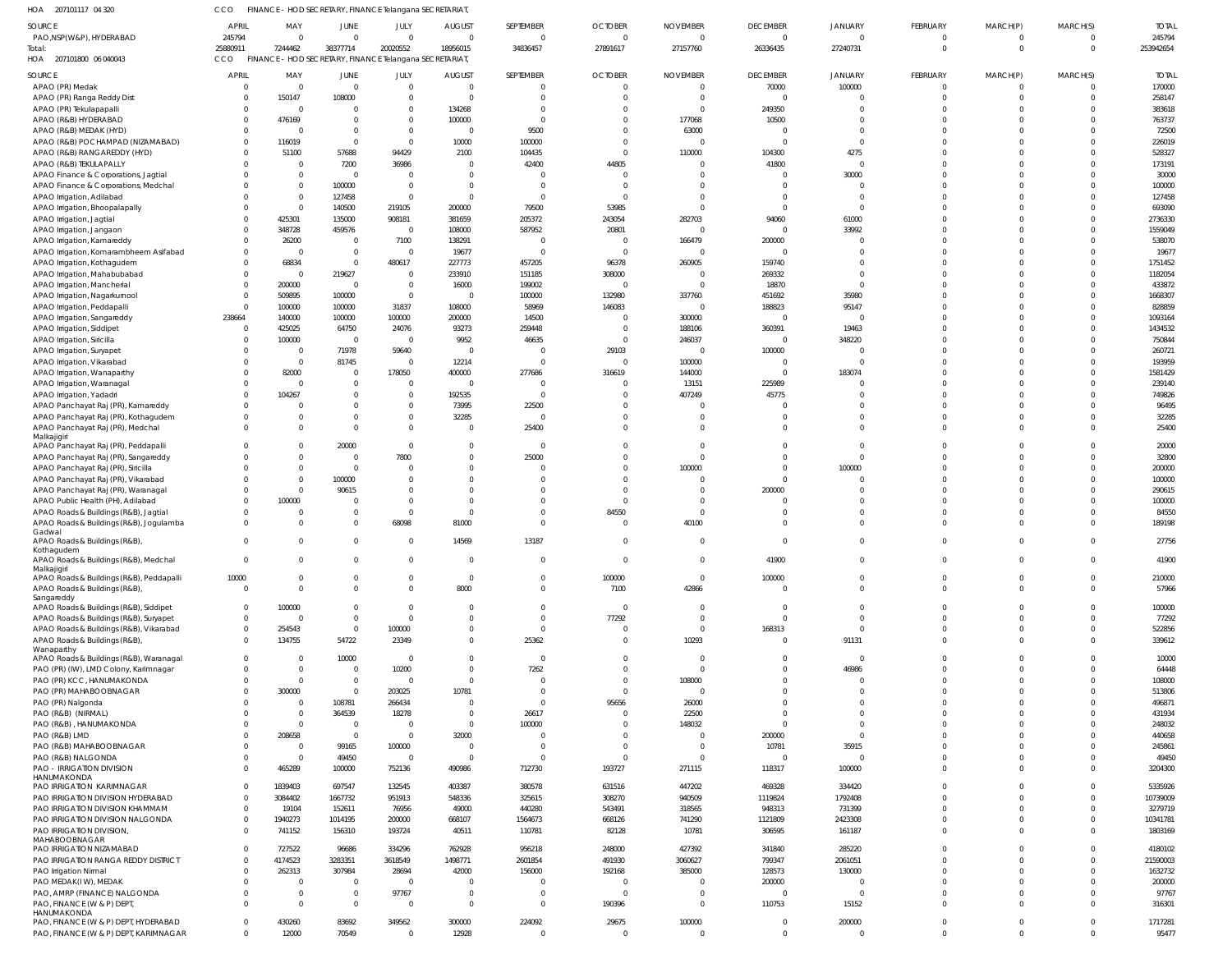207101117 04 320 HOA CCO FINANCE - HOD SECRETARY, FINANCE Telangana SECRETARIAT,

| пUА<br>ZUTIUTITT U43ZU                   |                |                                                         |                | . HOD SECRETART, FINANCE TUATIYATA SECRETARIAT |               |                |                |                 |                 |                |             |              |          |              |
|------------------------------------------|----------------|---------------------------------------------------------|----------------|------------------------------------------------|---------------|----------------|----------------|-----------------|-----------------|----------------|-------------|--------------|----------|--------------|
| SOURCE                                   | <b>APRIL</b>   | MAY                                                     | JUNE           | JULY                                           | <b>AUGUST</b> | SEPTEMBER      | <b>OCTOBER</b> | <b>NOVEMBER</b> | <b>DECEMBER</b> | <b>JANUARY</b> | FEBRUARY    | MARCH(P)     | MARCH(S) | <b>TOTAL</b> |
| PAO, NSP (W&P), HYDERABAD                | 245794         | $\Omega$                                                | $\Omega$       | $\Omega$                                       | $\Omega$      | $\overline{0}$ | $\Omega$       | $\Omega$        | $\overline{0}$  | $\Omega$       | $\mathbf 0$ | $\mathbf{0}$ | $\Omega$ | 245794       |
| Total:                                   | 25880911       | 7244462                                                 | 38377714       | 20020552                                       | 18956015      | 34836457       | 27891617       | 27157760        | 26336435        | 27240731       | $\mathbf 0$ | $\mathbf{0}$ | $\Omega$ | 253942654    |
| HOA 207101800 06 040043                  | CCO            | FINANCE - HOD SECRETARY, FINANCE Telangana SECRETARIAT, |                |                                                |               |                |                |                 |                 |                |             |              |          |              |
|                                          |                |                                                         |                |                                                |               |                |                |                 |                 |                |             |              |          |              |
| SOURCE                                   | APRIL          | MAY                                                     | JUNE           | JULY                                           | <b>AUGUST</b> | SEPTEMBER      | <b>OCTOBER</b> | <b>NOVEMBER</b> | <b>DECEMBER</b> | <b>JANUARY</b> | FEBRUARY    | MARCH(P)     | MARCH(S) | <b>TOTAL</b> |
| APAO (PR) Medak                          | $\Omega$       | $\Omega$                                                | $\Omega$       | $\Omega$                                       |               | $\Omega$       |                |                 | 70000           | 100000         | $\Omega$    | 0            | $\Omega$ | 170000       |
| APAO (PR) Ranga Reddy Dist               | $\Omega$       | 150147                                                  | 108000         | $\Omega$                                       |               | $\Omega$       |                |                 | $\Omega$        | $\Omega$       | $\Omega$    | $\Omega$     | $\Omega$ | 258147       |
| APAO (PR) Tekulapapalli                  | $\Omega$       | - 0                                                     | <sup>0</sup>   | $\Omega$                                       | 134268        | $\Omega$       |                |                 | 249350          |                |             |              |          | 383618       |
|                                          |                |                                                         |                | $\Omega$                                       |               | $\Omega$       |                |                 |                 |                | $\Omega$    |              |          |              |
| APAO (R&B) HYDERABAD                     | $\Omega$       | 476169                                                  |                |                                                | 100000        |                |                | 177068          | 10500           | $\Omega$       |             |              |          | 763737       |
| APAO (R&B) MEDAK (HYD)                   | $\Omega$       | - 0                                                     | $\Omega$       | $\Omega$                                       |               | 9500           |                | 63000           | $\Omega$        | $\Omega$       | $\Omega$    |              |          | 72500        |
| APAO (R&B) POCHAMPAD (NIZAMABAD)         | $\Omega$       | 116019                                                  | $\Omega$       | $\Omega$                                       | 10000         | 100000         |                |                 | $\Omega$        | $\Omega$       |             |              |          | 226019       |
| APAO (R&B) RANGAREDDY (HYD)              | $\Omega$       | 51100                                                   | 57688          | 94429                                          | 2100          | 104435         |                | 110000          | 104300          | 4275           |             |              |          | 528327       |
| APAO (R&B) TEKULAPALLY                   | $\Omega$       | - 0                                                     | 7200           | 36986                                          |               | 42400          | 44805          |                 | 41800           | $\Omega$       |             |              |          | 173191       |
| APAO Finance & Corporations, Jagtial     | $\Omega$       |                                                         | $\Omega$       | $\Omega$                                       |               | $\Omega$       |                |                 | $\Omega$        | 30000          |             |              |          | 30000        |
|                                          |                |                                                         |                |                                                |               |                |                |                 |                 |                |             |              |          |              |
| APAO Finance & Corporations, Medchal     |                | $\Omega$                                                | 100000         | $\Omega$                                       |               | $\Omega$       |                |                 | $\Omega$        | $\Omega$       |             |              |          | 100000       |
| APAO Irrigation, Adilabad                |                | $\Omega$                                                | 127458         | $\Omega$                                       |               | $\Omega$       |                |                 | $\Omega$        | $\Omega$       |             |              |          | 127458       |
| APAO Irrigation, Bhoopalapally           | $\Omega$       | $\Omega$                                                | 140500         | 219105                                         | 200000        | 79500          | 53985          |                 | $\Omega$        | $\Omega$       |             |              |          | 693090       |
| APAO Irrigation, Jagtial                 | $\Omega$       | 425301                                                  | 135000         | 908181                                         | 381659        | 205372         | 243054         | 282703          | 94060           | 61000          |             |              |          | 2736330      |
| APAO Irrigation, Jangaon                 | $\Omega$       | 348728                                                  | 459576         | $\Omega$                                       | 108000        | 587952         | 20801          |                 | $\Omega$        | 33992          |             |              |          | 1559049      |
| APAO Irrigation, Kamareddy               | $\Omega$       | 26200                                                   | $\Omega$       | 7100                                           | 138291        | $\Omega$       | - 0            | 166479          | 200000          |                | $\Omega$    |              |          | 538070       |
|                                          |                |                                                         |                | $\Omega$                                       |               | $\Omega$       |                |                 | $\Omega$        |                | $\Omega$    |              |          |              |
| APAO Irrigation, Komarambheem Asifabad   | $\Omega$       | $\Omega$                                                | $\Omega$       |                                                | 19677         |                | $\Omega$       |                 |                 | $\Omega$       |             |              |          | 19677        |
| APAO Irrigation, Kothagudem              | $\Omega$       | 68834                                                   | $\Omega$       | 480617                                         | 227773        | 457205         | 96378          | 260905          | 159740          | $\Omega$       |             |              |          | 1751452      |
| APAO Irrigation, Mahabubabad             | $\mathbf 0$    | - 0                                                     | 219627         | $\Omega$                                       | 233910        | 151185         | 308000         |                 | 269332          | $\Omega$       |             |              |          | 1182054      |
| APAO Irrigation, Mancherial              | $\Omega$       | 200000                                                  | $\Omega$       | $\Omega$                                       | 16000         | 199002         |                |                 | 18870           | $\Omega$       |             |              |          | 433872       |
| APAO Irrigation, Nagarkurnool            | $\mathbf{0}$   | 509895                                                  | 100000         | $\mathbf{0}$                                   |               | 100000         | 132980         | 337760          | 451692          | 35980          |             |              |          | 1668307      |
| APAO Irrigation, Peddapalli              | $\overline{0}$ | 100000                                                  | 100000         | 31837                                          | 108000        | 58969          | 146083         |                 | 188823          | 95147          |             |              |          | 828859       |
|                                          | 238664         |                                                         |                | 100000                                         |               | 14500          |                |                 | $\Omega$        | $\Omega$       |             |              |          |              |
| APAO Irrigation, Sangareddy              |                | 140000                                                  | 100000         |                                                | 200000        |                |                | 300000          |                 |                |             |              |          | 1093164      |
| APAO Irrigation, Siddipet                | $\overline{0}$ | 425025                                                  | 64750          | 24076                                          | 93273         | 259448         |                | 188106          | 360391          | 19463          |             |              |          | 1434532      |
| APAO Irrigation, Siricilla               | $\Omega$       | 100000                                                  | $\overline{0}$ | $\Omega$                                       | 9952          | 46635          | $\Omega$       | 246037          | $\overline{0}$  | 348220         |             |              |          | 750844       |
| APAO Irrigation, Suryapet                | $\Omega$       | $\Omega$                                                | 71978          | 59640                                          |               | $\Omega$       | 29103          |                 | 100000          |                |             |              |          | 260721       |
| APAO Irrigation, Vikarabad               | $\Omega$       | $\Omega$                                                | 81745          | $\Omega$                                       | 12214         | $\Omega$       |                | 100000          | $\Omega$        |                |             |              |          | 193959       |
| APAO Irrigation, Wanaparthy              | $\Omega$       | 82000                                                   | $\Omega$       | 178050                                         | 400000        | 277686         | 316619         | 144000          | $\Omega$        | 183074         |             |              |          | 1581429      |
|                                          |                | $\Omega$                                                | $\Omega$       | $\Omega$                                       | $\Omega$      | $\Omega$       | $\Omega$       |                 |                 | $\Omega$       | $\Omega$    |              |          |              |
| APAO Irrigation, Waranagal               | $\Omega$       |                                                         |                |                                                |               |                |                | 13151           | 225989          |                |             |              |          | 239140       |
| APAO Irrigation, Yadadri                 | $\Omega$       | 104267                                                  | $\Omega$       | $\Omega$                                       | 192535        | $\Omega$       |                | 407249          | 45775           |                | $\Omega$    |              |          | 749826       |
| APAO Panchayat Raj (PR), Kamareddy       | $\Omega$       |                                                         | <sup>0</sup>   | $\Omega$                                       | 73995         | 22500          |                |                 |                 |                |             |              |          | 96495        |
| APAO Panchayat Raj (PR), Kothagudem      | $\Omega$       |                                                         | $\Omega$       | $\Omega$                                       | 32285         | $\Omega$       |                |                 | $\Omega$        | $\Omega$       | $\Omega$    |              |          | 32285        |
| APAO Panchayat Raj (PR), Medchal         | $\Omega$       |                                                         | $\Omega$       | $\Omega$                                       |               | 25400          |                |                 | $\Omega$        | $\Omega$       | $\Omega$    |              | $\Omega$ | 25400        |
| Malkajigiri                              |                |                                                         |                |                                                |               |                |                |                 |                 |                |             |              |          |              |
| APAO Panchayat Raj (PR), Peddapalli      | $\Omega$       |                                                         | 20000          | $\Omega$                                       |               | $\Omega$       |                |                 | $\Omega$        | $\Omega$       | $\Omega$    |              |          | 20000        |
| APAO Panchayat Raj (PR), Sangareddy      |                |                                                         | $\Omega$       | 7800                                           |               | 25000          |                |                 | $\Omega$        | $\Omega$       |             |              |          | 32800        |
| APAO Panchayat Raj (PR), Siricilla       | $\Omega$       | $\Omega$                                                | $\Omega$       | $\Omega$                                       |               | $\Omega$       |                | 100000          | $\Omega$        | 100000         | $\Omega$    |              | $\Omega$ | 200000       |
|                                          |                |                                                         |                |                                                |               |                |                |                 |                 |                |             |              |          |              |
| APAO Panchayat Raj (PR), Vikarabad       |                |                                                         | 100000         | $\Omega$                                       |               | $\Omega$       |                |                 | $\Omega$        | $\Omega$       |             |              |          | 100000       |
| APAO Panchayat Raj (PR), Waranagal       | $\Omega$       | $\Omega$                                                | 90615          | $\Omega$                                       |               | $\Omega$       |                |                 | 200000          | $\Omega$       |             |              |          | 290615       |
| APAO Public Health (PH), Adilabad        | $\Omega$       | 100000                                                  | $\Omega$       | $\Omega$                                       |               | $\Omega$       |                |                 | $\Omega$        | $\Omega$       | $\Omega$    |              |          | 100000       |
| APAO Roads & Buildings (R&B), Jagtial    | $\Omega$       |                                                         | $\Omega$       | $\Omega$                                       |               | $\Omega$       | 84550          |                 | $\Omega$        | $\Omega$       |             |              |          | 84550        |
| APAO Roads & Buildings (R&B), Jogulamba  | $\Omega$       |                                                         | $\Omega$       | 68098                                          | 81000         | $\Omega$       | $\Omega$       | 40100           | $\Omega$        |                | $\Omega$    |              |          | 189198       |
| Gadwal                                   |                |                                                         |                |                                                |               |                |                |                 |                 |                |             |              |          |              |
| APAO Roads & Buildings (R&B),            | $\Omega$       |                                                         | $\Omega$       | $\Omega$                                       | 14569         | 13187          |                |                 | $\Omega$        | $\Omega$       | $\Omega$    | $\Omega$     | $\Omega$ | 27756        |
| Kothagudem                               |                |                                                         |                |                                                |               |                |                |                 |                 |                |             |              |          |              |
| APAO Roads & Buildings (R&B), Medchal    | $\sim$         | $\sim$                                                  |                | $\bigcap$                                      |               | $\sqrt{ }$     |                |                 | 41900           |                |             |              | $\sim$   | 41900        |
| Malkajigiri                              |                |                                                         |                |                                                |               |                |                |                 |                 |                |             |              |          |              |
| APAO Roads & Buildings (R&B), Peddapalli | 10000          | $\Omega$                                                | $\mathbf 0$    | $\mathbf 0$                                    | $\Omega$      | $\overline{0}$ | 100000         | $\Omega$        | 100000          | $\overline{0}$ | $\mathbf 0$ | $\mathbf{0}$ | $\Omega$ | 210000       |
| APAO Roads & Buildings (R&B),            | $\overline{0}$ | $\Omega$                                                | $\Omega$       | $\Omega$                                       | 8000          | $\Omega$       | 7100           | 42866           | $\overline{0}$  | $\Omega$       | $\Omega$    | $\Omega$     | $\Omega$ | 57966        |
| Sangareddy                               |                |                                                         |                |                                                |               |                |                |                 |                 |                |             |              |          |              |
| APAO Roads & Buildings (R&B), Siddipet   | $\overline{0}$ | 100000                                                  | $\Omega$       | $\Omega$                                       |               | $\Omega$       | $\Omega$       |                 | $\overline{0}$  | $\overline{0}$ | $\Omega$    | $\Omega$     | $\Omega$ | 100000       |
| APAO Roads & Buildings (R&B), Suryapet   | $^{\circ}$     | $\Omega$                                                | $\Omega$       | $\Omega$                                       |               | $\Omega$       | 77292          |                 | $\overline{0}$  | $\Omega$       | $\Omega$    | $\Omega$     | $\Omega$ | 77292        |
|                                          |                |                                                         | $\overline{0}$ | 100000                                         |               | $\Omega$       | $\Omega$       |                 |                 | $\Omega$       | $\Omega$    | $\Omega$     | $\Omega$ | 522856       |
| APAO Roads & Buildings (R&B), Vikarabad  | $\overline{0}$ | 254543                                                  |                |                                                |               |                |                |                 | 168313          |                |             |              |          |              |
| APAO Roads & Buildings (R&B),            | $\mathbf{0}$   | 134755                                                  | 54722          | 23349                                          |               | 25362          | $\Omega$       | 10293           | $\overline{0}$  | 91131          | $\Omega$    | $\Omega$     | $\Omega$ | 339612       |
| Wanaparthy                               |                |                                                         |                |                                                |               |                |                |                 |                 | $\Omega$       |             |              |          |              |
| APAO Roads & Buildings (R&B), Waranagal  | $\mathbf 0$    | - 0                                                     | 10000          | $\overline{0}$                                 |               | $\overline{0}$ |                |                 | $\Omega$        |                | $\Omega$    |              |          | 10000        |
| PAO (PR) (IW), LMD Colony, Karimnagar    | $\Omega$       | - 0                                                     | $\overline{0}$ | 10200                                          |               | 7262           |                |                 | $\Omega$        | 46986          | $\Omega$    |              |          | 64448        |
| PAO (PR) KCC, HANUMAKONDA                | $\Omega$       | $\Omega$                                                | $\Omega$       | $\Omega$                                       | $\Omega$      | $\Omega$       |                | 108000          | $\Omega$        | $\Omega$       | $\Omega$    |              | $\Omega$ | 108000       |
| PAO (PR) MAHABOOBNAGAR                   | $\Omega$       | 300000                                                  | $\overline{0}$ | 203025                                         | 10781         | $\Omega$       |                |                 | $\Omega$        | $\Omega$       | $\Omega$    |              |          | 513806       |
| PAO (PR) Nalgonda                        | $\Omega$       | $\Omega$                                                | 108781         | 266434                                         |               | $\Omega$       | 95656          | 26000           | $\Omega$        | $\Omega$       | $\Omega$    |              |          | 496871       |
| PAO (R&B) (NIRMAL)                       | $\Omega$       | $\Omega$                                                | 364539         | 18278                                          | $\Omega$      | 26617          | $\Omega$       | 22500           | $\Omega$        | $\Omega$       | $\Omega$    |              |          | 431934       |
| PAO (R&B), HANUMAKONDA                   | $\Omega$       | - 0                                                     | $\overline{0}$ | 0                                              | $\Omega$      | 100000         |                | 148032          | $\Omega$        | $\Omega$       | $\Omega$    |              |          | 248032       |
|                                          |                |                                                         |                |                                                |               |                |                |                 |                 |                |             |              |          |              |
| PAO (R&B) LMD                            | $\Omega$       | 208658                                                  | $\overline{0}$ | $\Omega$                                       | 32000         | $\Omega$       |                |                 | 200000          | $\Omega$       | $\Omega$    |              |          | 440658       |
| PAO (R&B) MAHABOOBNAGAR                  | $\Omega$       | - 0                                                     | 99165          | 100000                                         |               | $\Omega$       |                |                 | 10781           | 35915          | $\Omega$    |              |          | 245861       |
| PAO (R&B) NALGONDA                       | $\mathbf{0}$   | $\Omega$                                                | 49450          | $\mathbf 0$                                    |               | $\overline{0}$ | $\Omega$       |                 | $\overline{0}$  | $\Omega$       | $\Omega$    | $\Omega$     |          | 49450        |
| PAO - IRRIGATION DIVISION                | $\Omega$       | 465289                                                  | 100000         | 752136                                         | 490986        | 712730         | 193727         | 271115          | 118317          | 100000         | $\Omega$    | $\Omega$     |          | 3204300      |
| HANUMAKONDA                              |                |                                                         |                |                                                |               |                |                |                 |                 |                |             |              |          |              |
| <b>PAO IRRIGATION KARIMNAGAR</b>         | $\mathbf 0$    | 1839403                                                 | 697547         | 132545                                         | 403387        | 380578         | 631516         | 447202          | 469328          | 334420         | $\Omega$    |              |          | 5335926      |
| PAO IRRIGATION DIVISION HYDERABAD        | $\mathbf 0$    | 3084402                                                 | 1667732        | 951913                                         | 548336        | 325615         | 308270         | 940509          | 1119824         | 1792408        | $\Omega$    |              |          | 10739009     |
| PAO IRRIGATION DIVISION KHAMMAM          | $\mathbf 0$    | 19104                                                   | 152611         | 76956                                          | 49000         | 440280         | 543491         | 318565          | 948313          | 731399         | $\Omega$    | $\Omega$     | $\Omega$ | 3279719      |
| PAO IRRIGATION DIVISION NALGONDA         | $\mathbf 0$    | 1940273                                                 | 1014195        | 200000                                         | 668107        | 1564673        | 668126         | 741290          |                 | 2423308        | $\Omega$    | $\Omega$     | $\Omega$ | 10341781     |
|                                          |                |                                                         |                |                                                |               |                |                |                 | 1121809         |                |             |              |          |              |
| PAO IRRIGATION DIVISION,                 | $\mathbf 0$    | 741152                                                  | 156310         | 193724                                         | 40511         | 110781         | 82128          | 10781           | 306595          | 161187         | $\Omega$    | $\Omega$     | $\Omega$ | 1803169      |
| MAHABOOBNAGAR                            |                |                                                         |                |                                                |               |                |                |                 |                 |                |             |              |          |              |
| PAO IRRIGATION NIZAMABAD                 | $\mathbf 0$    | 727522                                                  | 96686          | 334296                                         | 762928        | 956218         | 248000         | 427392          | 341840          | 285220         | $\Omega$    |              |          | 4180102      |
| PAO IRRIGATION RANGA REDDY DISTRICT      | $\mathbf 0$    | 4174523                                                 | 3283351        | 3618549                                        | 1498771       | 2601854        | 491930         | 3060627         | 799347          | 2061051        | $\Omega$    |              |          | 21590003     |
| PAO Irrigation Nirmal                    | $\mathbf 0$    | 262313                                                  | 307984         | 28694                                          | 42000         | 156000         | 192168         | 385000          | 128573          | 130000         | $\Omega$    |              |          | 1632732      |
| PAO MEDAK(IW), MEDAK                     | $\Omega$       | $\Omega$                                                | $\Omega$       | $\Omega$                                       |               | $\Omega$       | - 0            |                 | 200000          | $\Omega$       | $\Omega$    |              |          | 200000       |
| PAO, AMRP (FINANCE) NALGONDA             | $\Omega$       | $\Omega$                                                | $\mathbf{0}$   | 97767                                          | $\Omega$      | $\Omega$       | $\Omega$       |                 | $\overline{0}$  |                | $\Omega$    | $\Omega$     |          | 97767        |
| PAO, FINANCE (W & P) DEPT,               | $\Omega$       | - 0                                                     | $\overline{0}$ | $\mathbf{0}$                                   | $\Omega$      | $\overline{0}$ | 190396         |                 | 110753          | 15152          | $\Omega$    | $\Omega$     | $\Omega$ | 316301       |
| HANUMAKONDA                              |                |                                                         |                |                                                |               |                |                |                 |                 |                |             |              |          |              |
| PAO, FINANCE (W & P) DEPT, HYDERABAD     | $\overline{0}$ | 430260                                                  | 83692          | 349562                                         | 300000        | 224092         | 29675          | 100000          | $\overline{0}$  | 200000         | $\mathbf 0$ | $\mathbf{0}$ | $\Omega$ | 1717281      |
| PAO, FINANCE (W & P) DEPT, KARIMNAGAR    | $\mathbf{0}$   | 12000                                                   | 70549          | $\mathbf 0$                                    | 12928         | $\overline{0}$ | $\Omega$       | $\Omega$        | $\overline{0}$  | $\overline{0}$ | $\Omega$    | $\Omega$     | $\Omega$ | 95477        |
|                                          |                |                                                         |                |                                                |               |                |                |                 |                 |                |             |              |          |              |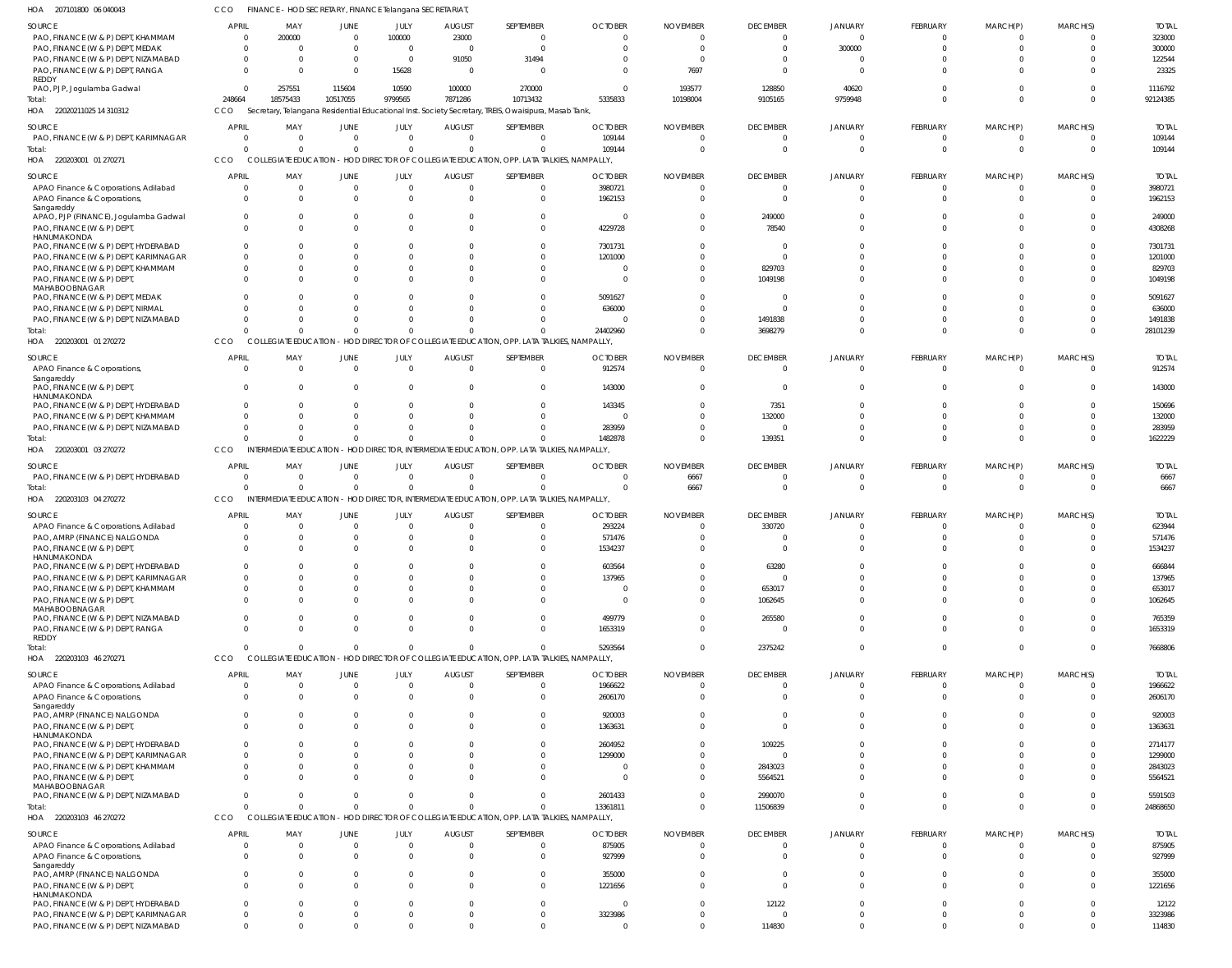| SOURCE<br>PAO, FINANCE (W & P) DEPT, KHAMMAM                                        | <b>APRIL</b><br>- 0       | MAY<br>200000              | JUNE<br>$\overline{\mathbf{0}}$           | JULY<br>100000                   | <b>AUGUST</b><br>23000     | SEPTEMBER<br>0                                                                                                             | <b>OCTOBER</b><br>$\Omega$ | <b>NOVEMBER</b><br>- 0 | <b>DECEMBER</b><br>$\overline{0}$ | JANUARY<br>$\mathbf 0$  | FEBRUARY<br>$\Omega$ | MARCH(P)<br>$\Omega$ | MARCH(S)<br>$\Omega$ | <b>TOTAL</b><br>323000 |
|-------------------------------------------------------------------------------------|---------------------------|----------------------------|-------------------------------------------|----------------------------------|----------------------------|----------------------------------------------------------------------------------------------------------------------------|----------------------------|------------------------|-----------------------------------|-------------------------|----------------------|----------------------|----------------------|------------------------|
| PAO, FINANCE (W & P) DEPT, MEDAK<br>PAO, FINANCE (W & P) DEPT, NIZAMABAD            | $\Omega$                  | $\Omega$<br>$\Omega$       | $\overline{0}$<br>$\overline{\mathbf{0}}$ | $\overline{0}$<br>$\overline{0}$ | $\overline{0}$<br>91050    | $\Omega$<br>31494                                                                                                          | $\Omega$<br>-0             | $\Omega$<br>- 0        | $\Omega$<br>$\Omega$              | 300000<br>$\Omega$      |                      | $\Omega$             | C                    | 300000<br>122544       |
| PAO, FINANCE (W & P) DEPT, RANGA<br>REDDY                                           | $\Omega$                  | $\Omega$                   | $\Omega$                                  | 15628                            | $\overline{0}$             | - 0                                                                                                                        | $\Omega$                   | 7697                   | $\Omega$                          | $\Omega$                |                      | $\Omega$             | $\Omega$             | 23325                  |
| PAO, PJP, Jogulamba Gadwal<br>HOA 22020211025 14 310312                             | $\Omega$<br>248664<br>CCO | 257551<br>18575433         | 115604<br>10517055                        | 10590<br>9799565                 | 100000<br>7871286          | 270000<br>10713432<br>Secretary, Telangana Residential Educational Inst. Society Secretary, TREIS, Owaisipura, Masab Tank, | - 0<br>5335833             | 193577<br>10198004     | 128850<br>9105165                 | 40620<br>9759948        |                      | $\Omega$<br>$\Omega$ | $\Omega$<br>$\Omega$ | 1116792<br>92124385    |
| SOURCE                                                                              | <b>APRIL</b>              | MAY                        | JUNE                                      | JULY                             | <b>AUGUST</b>              | SEPTEMBER                                                                                                                  | <b>OCTOBER</b>             | <b>NOVEMBER</b>        | <b>DECEMBER</b>                   | JANUARY                 | FEBRUARY             | MARCH(P)             | MARCH(S)             | <b>TOTAL</b>           |
| PAO, FINANCE (W & P) DEPT, KARIMNAGAR                                               | - 0                       | $\Omega$                   | $\overline{0}$                            | $\overline{0}$                   | $\Omega$                   | $\Omega$                                                                                                                   | 109144                     | -0                     |                                   |                         |                      | - ( )                | $\Omega$             | 109144                 |
| Total:<br>220203001 01 270271<br>HOA                                                | $\Omega$<br>CCO           | $\Omega$                   | $\Omega$                                  | $\Omega$                         | $\Omega$                   | $\Omega$<br>COLLEGIATE EDUCATION - HOD DIRECTOR OF COLLEGIATE EDUCATION, OPP. LATA TALKIES, NAMPALLY,                      | 109144                     | $\Omega$               | $\Omega$                          | $\Omega$                | $\Omega$             | $\Omega$             | $\Omega$             | 109144                 |
| SOURCE                                                                              | APRIL                     | MAY                        | JUNE                                      | JULY                             | <b>AUGUST</b>              | SEPTEMBER                                                                                                                  | <b>OCTOBER</b>             | <b>NOVEMBER</b>        | <b>DECEMBER</b>                   | JANUARY                 | FEBRUARY             | MARCH(P)             | MARCH(S)             | Total                  |
| APAO Finance & Corporations, Adilabad<br>APAO Finance & Corporations<br>Sangareddy  | $\Omega$<br>$\Omega$      | $\overline{0}$<br>$\Omega$ | $\overline{\mathbf{0}}$<br>$\Omega$       | $\overline{0}$<br>$\Omega$       | $\overline{0}$<br>$\Omega$ | 0<br>$\overline{0}$                                                                                                        | 3980721<br>1962153         | $\Omega$<br>$\Omega$   | $\Omega$<br>$\Omega$              | $\Omega$<br>$\Omega$    | $\Omega$<br>$\Omega$ | $\Omega$<br>$\Omega$ | $\Omega$<br>$\Omega$ | 3980721<br>1962153     |
| APAO, PJP (FINANCE), Jogulamba Gadwal<br>PAO, FINANCE (W & P) DEPT,<br>HANUMAKONDA  | $\Omega$                  | $\Omega$<br>$\Omega$       | $\Omega$<br>$\Omega$                      | $\Omega$<br>$\Omega$             | $\mathbf 0$<br>$\Omega$    | $\overline{0}$<br>$\Omega$                                                                                                 | - 0<br>4229728             | -0<br>$\Omega$         | 249000<br>78540                   |                         | $\Omega$             | $\Omega$<br>$\Omega$ | $\Omega$<br>$\Omega$ | 249000<br>4308268      |
| PAO, FINANCE (W & P) DEPT, HYDERABAD                                                |                           | $\Omega$<br>$\Omega$       | $\Omega$<br>$\Omega$                      |                                  | C.<br>$\cup$               | $\Omega$                                                                                                                   | 7301731                    | - 0                    | - 0<br>$\Omega$                   |                         |                      |                      | -C                   | 7301731                |
| PAO, FINANCE (W & P) DEPT, KARIMNAGAR<br>PAO, FINANCE (W & P) DEPT, KHAMMAM         |                           | $\Omega$                   | $\Omega$                                  |                                  | $\Omega$                   | $\Omega$<br>$\Omega$                                                                                                       | 1201000<br>$\Omega$        | - 0<br>- 0             | 829703                            |                         |                      | $\Omega$             | $\Omega$             | 1201000<br>829703      |
| PAO, FINANCE (W & P) DEPT,<br>MAHABOOBNAGAR                                         |                           | $\Omega$<br>$\Omega$       | $\Omega$<br>$\Omega$                      |                                  | $\cup$<br>$\Omega$         | $\Omega$<br>$\Omega$                                                                                                       | - 0<br>5091627             | - 0<br>-0              | 1049198<br>$\Omega$               |                         |                      | $\Omega$<br>$\Omega$ | $\Omega$<br>$\Omega$ | 1049198<br>5091627     |
| PAO, FINANCE (W & P) DEPT, MEDAK<br>PAO, FINANCE (W & P) DEPT, NIRMAL               |                           | $\Omega$                   | $\Omega$                                  |                                  | $\cup$                     | $\Omega$                                                                                                                   | 636000                     | - 0                    |                                   |                         |                      | $\Omega$             | $\Omega$             | 636000                 |
| PAO, FINANCE (W & P) DEPT, NIZAMABAD                                                |                           | $\Omega$                   | $\Omega$                                  |                                  | $\cup$                     | $\Omega$                                                                                                                   | -0                         |                        | 1491838                           |                         |                      | $\Omega$             | $\Omega$             | 1491838                |
| Total:<br>HOA<br>220203001 01 270272                                                | CCO                       | $\Omega$                   | $\Omega$                                  |                                  | $\cup$                     | $\Omega$<br>COLLEGIATE EDUCATION - HOD DIRECTOR OF COLLEGIATE EDUCATION, OPP. LATA TALKIES, NAMPALLY,                      | 24402960                   | - 0                    | 3698279                           |                         | $\Omega$             | $\Omega$             | $\Omega$             | 28101239               |
| SOURCE                                                                              | <b>APRIL</b>              | MAY                        | JUNE                                      | JULY                             | <b>AUGUST</b>              | SEPTEMBER                                                                                                                  | <b>OCTOBER</b>             | <b>NOVEMBER</b>        | <b>DECEMBER</b>                   | JANUARY                 | FEBRUARY             | MARCH(P)             | MARCH(S)             | total                  |
| APAO Finance & Corporations<br>Sangareddy                                           |                           | $\Omega$                   | $\Omega$                                  | $\Omega$                         | $\Omega$                   | $\overline{0}$                                                                                                             | 912574                     | $\Omega$               | $\Omega$                          | $\Omega$                | $\Omega$             | $\Omega$             | $\Omega$             | 912574                 |
| PAO, FINANCE (W & P) DEPT<br>HANUMAKONDA                                            |                           | $\Omega$                   | $\Omega$                                  | $\Omega$                         | $\Omega$                   | $\Omega$                                                                                                                   | 143000                     |                        | $\Omega$                          | U                       |                      | $\Omega$             | $\Omega$             | 143000                 |
| PAO, FINANCE (W & P) DEPT, HYDERABAD<br>PAO, FINANCE (W & P) DEPT, KHAMMAM          |                           | $\Omega$<br>$\Omega$       | $\Omega$<br>$\Omega$                      |                                  | C.<br>$\cup$               | $\Omega$<br>$\Omega$                                                                                                       | 143345<br>$\sqrt{ }$       | - 0                    | 7351<br>132000                    |                         |                      |                      | $\Omega$<br>$\Omega$ | 150696<br>132000       |
| PAO, FINANCE (W & P) DEPT, NIZAMABAD                                                |                           | $\Omega$                   | $\Omega$                                  |                                  | $\cup$                     |                                                                                                                            | 283959                     |                        | $\Omega$                          |                         |                      | $\Omega$             | $\Omega$             | 283959                 |
| Total<br>220203001 03 270272<br>HOA                                                 | CCO                       | $\Omega$                   | $\Omega$                                  |                                  | $\Omega$                   | INTERMEDIATE EDUCATION - HOD DIRECTOR, INTERMEDIATE EDUCATION, OPP. LATA TALKIES, NAMPALLY,                                | 1482878                    | $\Omega$               | 139351                            |                         |                      | $\Omega$             | $\Omega$             | 1622229                |
| SOURCE                                                                              | APRIL                     | MAY                        | JUNE                                      | JULY                             | <b>AUGUST</b>              | SEPTEMBER                                                                                                                  | <b>OCTOBER</b>             | <b>NOVEMBER</b>        | <b>DECEMBER</b>                   | JANUARY                 | FEBRUARY             | MARCH(P)             | MARCH(S)             | <b>TOTAL</b>           |
| PAO, FINANCE (W & P) DEPT, HYDERABAD                                                | $\Omega$<br>$\Omega$      | $\Omega$<br>$\Omega$       | $\overline{0}$<br>$\Omega$                | $\Omega$                         | $\overline{0}$<br>$\Omega$ | $\Omega$                                                                                                                   | - 0<br>$\Omega$            | 6667<br>6667           | $\Omega$<br>$\Omega$              | $\mathbf 0$<br>$\Omega$ | $\Omega$<br>$\Omega$ | $\Omega$<br>$\Omega$ | - 0<br>$\Omega$      | 6667<br>6667           |
| 220203103 04 270272<br>HOA                                                          | CCO                       |                            |                                           |                                  |                            | INTERMEDIATE EDUCATION - HOD DIRECTOR, INTERMEDIATE EDUCATION, OPP. LATA TALKIES, NAMPALLY,                                |                            |                        |                                   |                         |                      |                      |                      |                        |
| SOURCE                                                                              | APRIL                     | MAY                        | JUNE                                      | JULY                             | <b>AUGUST</b>              | SEPTEMBER                                                                                                                  | <b>OCTOBER</b>             | <b>NOVEMBER</b>        | <b>DECEMBER</b>                   | JANUARY                 | FEBRUARY             | MARCH(P)             | MARCH(S)             | <b>TOTAL</b>           |
| APAO Finance & Corporations, Adilabad<br>PAO, AMRP (FINANCE) NALGONDA               |                           | $\Omega$<br>$\Omega$       | $\Omega$<br>$\Omega$                      | $\mathbf{0}$<br>$\Omega$         | $\Omega$<br>$\Omega$       | $\Omega$<br>$\Omega$                                                                                                       | 293224<br>571476           | - 0<br>- 0             | 330720                            |                         |                      |                      | -C                   | 623944<br>571476       |
| PAO, FINANCE (W & P) DEPT,<br>HANUMAKONDA<br>PAO, FINANCE (W & P) DEPT, HYDERABAD   |                           | $\Omega$                   | $\Omega$                                  |                                  | $\cup$                     | $\Omega$                                                                                                                   | 1534237                    |                        |                                   |                         |                      |                      |                      | 1534237                |
| PAO, FINANCE (W & P) DEPT, KARIMNAGAR                                               |                           | $\Omega$                   | $\Omega$                                  |                                  | $\cup$                     | $\Omega$                                                                                                                   | 603564<br>137965           |                        | 63280<br>$\Omega$                 |                         |                      |                      |                      | 666844<br>137965       |
| PAO, FINANCE (W & P) DEPT, KHAMMAM                                                  |                           | $\Omega$                   | $\Omega$                                  |                                  | $\Omega$                   | $\Omega$                                                                                                                   | - 0                        | - 0                    | 653017                            |                         |                      | $\Omega$             |                      | 653017                 |
| PAO, FINANCE (W & P) DEPT,<br>MAHABOOBNAGAR                                         |                           | $\Omega$                   | $\Omega$                                  |                                  | $\Omega$                   | $\Omega$                                                                                                                   | $\Omega$                   | - 0                    | 1062645                           |                         |                      | $\Omega$             | $\Omega$             | 1062645                |
| PAO, FINANCE (W & P) DEPT, NIZAMABAD<br>PAO, FINANCE (W & P) DEPT, RANGA            |                           | $\Omega$<br>$\Omega$       | $\Omega$<br>$\Omega$                      | $\Omega$                         | $\Omega$<br>$\Omega$       | $\Omega$<br>$\Omega$                                                                                                       | 499779<br>1653319          | $\Omega$<br>$\Omega$   | 265580<br>$\Omega$                |                         |                      | $\Omega$<br>$\Omega$ | $\Omega$<br>$\Omega$ | 765359<br>1653319      |
| REDDY                                                                               | $\Omega$                  |                            | $\Omega$                                  |                                  |                            |                                                                                                                            |                            |                        |                                   |                         |                      |                      |                      |                        |
| Total:<br>HOA 220203103 46 270271                                                   | CCO                       | $\Omega$                   |                                           | $\Omega$                         | $\Omega$                   | $\Omega$<br>COLLEGIATE EDUCATION - HOD DIRECTOR OF COLLEGIATE EDUCATION, OPP. LATA TALKIES, NAMPALLY,                      | 5293564                    | $\Omega$               | 2375242                           | $\Omega$                | - 0                  | $\Omega$             | $\Omega$             | 7668806                |
| SOURCE                                                                              | <b>APRIL</b>              | MAY                        | JUNE                                      | JULY                             | <b>AUGUST</b>              | SEPTEMBER                                                                                                                  | <b>OCTOBER</b>             | <b>NOVEMBER</b>        | <b>DECEMBER</b>                   | JANUARY                 | FEBRUARY             | MARCH(P)             | MARCH(S)             | Total                  |
| APAO Finance & Corporations, Adilabad<br>APAO Finance & Corporations,<br>Sangareddy | $\Omega$<br>$\Omega$      | $\overline{0}$<br>$\Omega$ | $\overline{0}$<br>$\Omega$                | $\overline{0}$<br>$\Omega$       | $\mathbf 0$<br>$\Omega$    | 0<br>$\overline{0}$                                                                                                        | 1966622<br>2606170         | - 0<br>$\Omega$        | 0<br>$\Omega$                     | $\Omega$<br>$\Omega$    | $\Omega$<br>$\Omega$ | $\Omega$<br>$\Omega$ | $\Omega$<br>$\Omega$ | 1966622<br>2606170     |
| PAO, AMRP (FINANCE) NALGONDA<br>PAO, FINANCE (W & P) DEPT,                          | - 0                       | $\overline{0}$<br>$\Omega$ | $\Omega$<br>$\Omega$                      | $\Omega$<br>$\Omega$             | $\mathbf 0$<br>$\Omega$    | 0<br>$\Omega$                                                                                                              | 920003<br>1363631          | -0<br>$\Omega$         | $\Omega$<br>$\Omega$              | 0                       | $\Omega$             | $\Omega$<br>$\Omega$ | $\Omega$<br>$\Omega$ | 920003<br>1363631      |
| HANUMAKONDA<br>PAO, FINANCE (W & P) DEPT, HYDERABAD                                 |                           | $\Omega$                   | $\Omega$                                  |                                  | $\Omega$                   | 0                                                                                                                          | 2604952                    | -0                     | 109225                            |                         |                      | $\Omega$             | $\Omega$             | 2714177                |
| PAO, FINANCE (W & P) DEPT, KARIMNAGAR                                               |                           | $\Omega$<br>$\Omega$       | $\Omega$<br>$\Omega$                      | $\Omega$<br>- 0                  | $\Omega$<br>$\Omega$       | $\Omega$<br>$\Omega$                                                                                                       | 1299000<br>- 0             | $\Omega$<br>-0         | $\Omega$                          |                         |                      | $\Omega$             | $\Omega$<br>$\Omega$ | 1299000<br>2843023     |
| PAO, FINANCE (W & P) DEPT, KHAMMAM<br>PAO, FINANCE (W & P) DEPT,                    |                           | $\Omega$                   | $\Omega$                                  |                                  | $\Omega$                   | $\Omega$                                                                                                                   | - 0                        | $\Omega$               | 2843023<br>5564521                |                         |                      | $\Omega$             | $\Omega$             | 5564521                |
| MAHABOOBNAGAR<br>PAO, FINANCE (W & P) DEPT, NIZAMABAD                               | $\Omega$                  | $\Omega$                   | $\Omega$                                  | $\Omega$                         | $\Omega$                   | $\mathbf 0$                                                                                                                | 2601433                    | $\Omega$               | 2990070                           |                         |                      | $\Omega$             | $\Omega$             | 5591503                |
| Total:<br>HOA<br>220203103 46 270272                                                | $\Omega$<br>CCO           | $\Omega$                   | $\Omega$                                  |                                  | $\Omega$                   | $\Omega$<br>COLLEGIATE EDUCATION - HOD DIRECTOR OF COLLEGIATE EDUCATION, OPP. LATA TALKIES, NAMPALLY,                      | 13361811                   | $\Omega$               | 11506839                          | $\Omega$                | $\Omega$             | $\Omega$             | $\Omega$             | 24868650               |
| SOURCE                                                                              | <b>APRIL</b>              | MAY                        | JUNE                                      | JULY                             | <b>AUGUST</b>              | SEPTEMBER                                                                                                                  | <b>OCTOBER</b>             | <b>NOVEMBER</b>        | <b>DECEMBER</b>                   | JANUARY                 | FEBRUARY             | MARCH(P)             | MARCH(S)             | <b>TOTAL</b>           |
| APAO Finance & Corporations, Adilabad                                               | $\Omega$                  | $\Omega$                   | $\mathbf 0$                               | $\Omega$                         | $\Omega$                   | $\Omega$                                                                                                                   | 875905                     | $\Omega$               | $\Omega$                          | 0                       | - 0                  | $\Omega$             | $\Omega$             | 875905                 |
| APAO Finance & Corporations,<br>Sangareddy<br>PAO, AMRP (FINANCE) NALGONDA          | $\Omega$                  | $\Omega$<br>$\Omega$       | $\Omega$<br>$\Omega$                      | $\Omega$<br>$\Omega$             | $\Omega$<br>$\Omega$       | $\Omega$<br>$\Omega$                                                                                                       | 927999<br>355000           | $\Omega$<br>$\Omega$   | $\Omega$<br>$\Omega$              | U                       | $\Omega$             | $\Omega$<br>$\Omega$ | $\Omega$<br>$\Omega$ | 927999<br>355000       |
| PAO, FINANCE (W & P) DEPT,<br>HANUMAKONDA                                           |                           | $\Omega$                   | $\Omega$                                  |                                  | $\Omega$                   | $\Omega$                                                                                                                   | 1221656                    | $\Omega$               |                                   |                         |                      | $\Omega$             | $\Omega$             | 1221656                |
| PAO, FINANCE (W & P) DEPT, HYDERABAD<br>PAO, FINANCE (W & P) DEPT, KARIMNAGAR       |                           | $\Omega$                   | $\Omega$                                  |                                  | $\Omega$                   |                                                                                                                            |                            |                        |                                   |                         |                      |                      |                      |                        |
|                                                                                     |                           | $\Omega$                   | $\Omega$                                  |                                  | $\Omega$                   | $\Omega$<br>$\Omega$                                                                                                       | - 0<br>3323986             | $\Omega$<br>$\Omega$   | 12122                             | <sup>0</sup>            |                      | $\Omega$             | $\Omega$<br>$\Omega$ | 12122<br>3323986       |

207101800 06 040043 HOA

CCO FINANCE - HOD SECRETARY, FINANCE Telangana SECRETARIAT,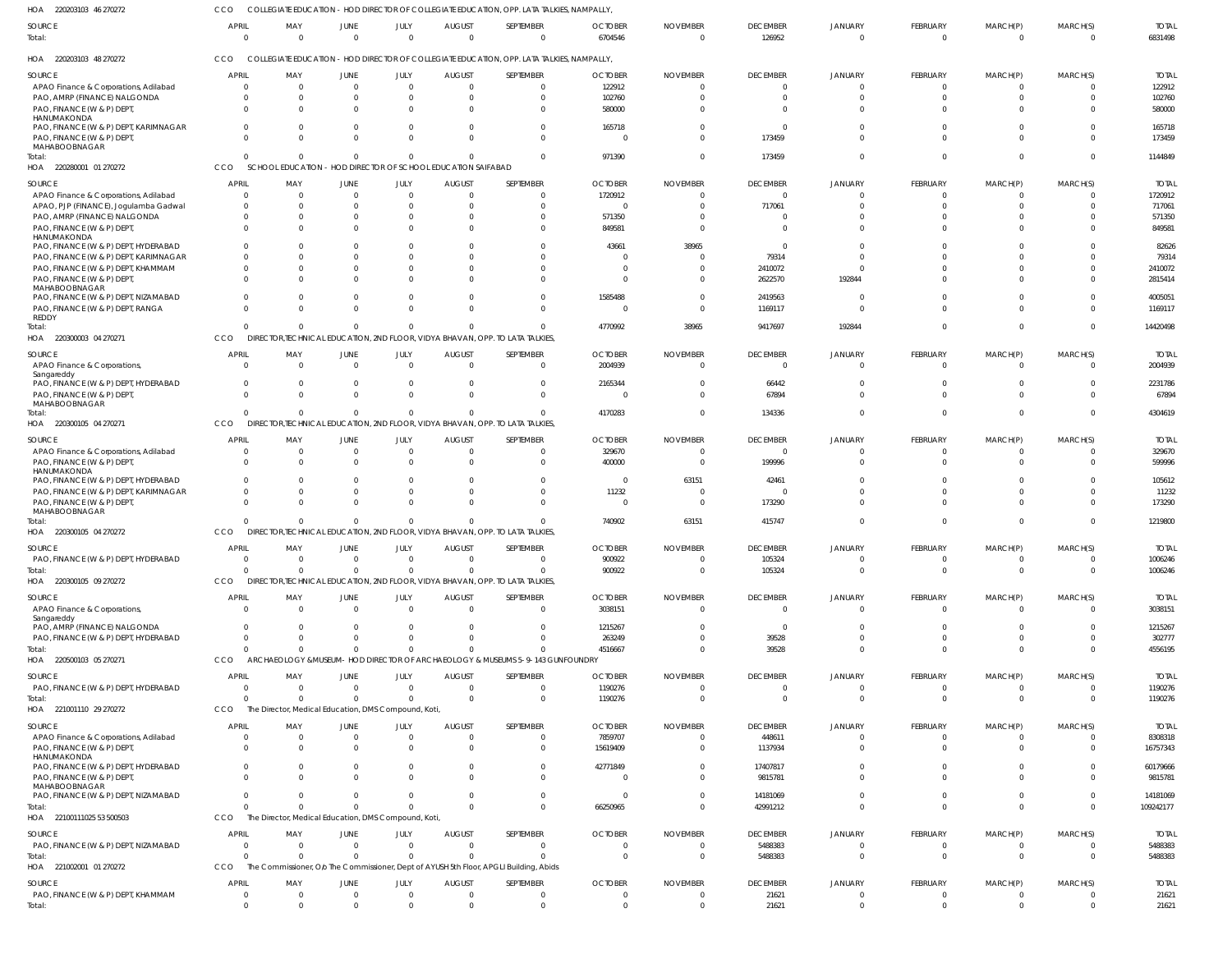| HOA 220203103 46 270272                     | CCO                         |                                                      |                  |                  |                                             | COLLEGIATE EDUCATION - HOD DIRECTOR OF COLLEGIATE EDUCATION, OPP. LATA TALKIES, NAMPALLY  |                           |                             |                           |                            |                      |                      |                            |                         |
|---------------------------------------------|-----------------------------|------------------------------------------------------|------------------|------------------|---------------------------------------------|-------------------------------------------------------------------------------------------|---------------------------|-----------------------------|---------------------------|----------------------------|----------------------|----------------------|----------------------------|-------------------------|
| SOURCE<br>Total:                            | <b>APRIL</b><br>$\mathbf 0$ | MAY<br>$\Omega$                                      | JUNE<br>$\Omega$ | JULY<br>$\Omega$ | <b>AUGUST</b><br>$\Omega$                   | SEPTEMBER<br>$\overline{0}$                                                               | <b>OCTOBER</b><br>6704546 | <b>NOVEMBER</b><br>$\Omega$ | <b>DECEMBER</b><br>126952 | <b>JANUARY</b><br>$\Omega$ | FEBRUARY<br>$\Omega$ | MARCH(P)<br>$\Omega$ | MARCH(S)<br>$\overline{0}$ | <b>TOTAL</b><br>6831498 |
| HOA 220203103 48 270272                     | CCO                         |                                                      |                  |                  |                                             | COLLEGIATE EDUCATION - HOD DIRECTOR OF COLLEGIATE EDUCATION, OPP. LATA TALKIES, NAMPALLY, |                           |                             |                           |                            |                      |                      |                            |                         |
| SOURCE                                      | <b>APRIL</b>                | MAY                                                  | JUNE             | JULY             | <b>AUGUST</b>                               | SEPTEMBER                                                                                 | <b>OCTOBER</b>            | <b>NOVEMBER</b>             | <b>DECEMBER</b>           | <b>JANUARY</b>             | FEBRUARY             | MARCH(P)             | MARCH(S)                   | <b>TOTAL</b>            |
| APAO Finance & Corporations, Adilabad       | $\Omega$                    | $\Omega$                                             | $\Omega$         | $\overline{0}$   | - 0                                         | $\overline{0}$                                                                            | 122912                    | $\Omega$                    | $\overline{\mathbf{0}}$   | $\mathbf 0$                | $\Omega$             | $\Omega$             | $\overline{0}$             | 122912                  |
| PAO, AMRP (FINANCE) NALGONDA                | 0                           | $\Omega$                                             |                  | 0                | - 0                                         | $\overline{0}$                                                                            | 102760                    |                             | $\overline{0}$            | $\Omega$                   | $\Omega$             | $\Omega$             | $\overline{0}$             | 102760                  |
|                                             | $\Omega$                    | $\Omega$                                             |                  |                  |                                             | $\Omega$                                                                                  |                           |                             | $\Omega$                  | $\Omega$                   | $\Omega$             | $\Omega$             | $\Omega$                   |                         |
| PAO, FINANCE (W & P) DEPT,<br>HANUMAKONDA   |                             |                                                      | $\Omega$         | $\Omega$         | - 0                                         |                                                                                           | 580000                    |                             |                           |                            |                      |                      |                            | 580000                  |
| PAO, FINANCE (W & P) DEPT, KARIMNAGAR       | $\Omega$                    | $\Omega$                                             | $\Omega$         | $\Omega$         | $\Omega$                                    | $\overline{0}$                                                                            | 165718                    |                             | $\overline{\mathbf{0}}$   | $\Omega$                   | $\Omega$             | $\Omega$             | $\Omega$                   | 165718                  |
| PAO, FINANCE (W & P) DEPT,                  | $\Omega$                    | $\Omega$                                             | $\cap$           | $\Omega$         | $\Omega$                                    | $\Omega$                                                                                  | - 0                       |                             | 173459                    | $\Omega$                   | $\Omega$             | $\Omega$             | $\Omega$                   | 173459                  |
| MAHABOOBNAGAR                               |                             |                                                      |                  |                  |                                             |                                                                                           |                           |                             |                           |                            |                      |                      |                            |                         |
| Total:                                      | $\Omega$                    | $\Omega$                                             | $\Omega$         | $\Omega$         | $\Omega$                                    | $\overline{0}$                                                                            | 971390                    |                             | 173459                    | $\Omega$                   | $\Omega$             | $\Omega$             | $\Omega$                   | 1144849                 |
| HOA 220280001 01 270272                     | CCO                         | <b>SCHOOL EDUCATION</b>                              |                  |                  | - HOD DIRECTOR OF SCHOOL EDUCATION SAIFABAD |                                                                                           |                           |                             |                           |                            |                      |                      |                            |                         |
|                                             |                             |                                                      |                  |                  |                                             |                                                                                           |                           |                             |                           |                            |                      |                      |                            |                         |
| SOURCE                                      | <b>APRIL</b>                | MAY                                                  | JUNE             | JULY             | <b>AUGUST</b>                               | SEPTEMBER                                                                                 | <b>OCTOBER</b>            | <b>NOVEMBER</b>             | <b>DECEMBER</b>           | JANUARY                    | <b>FEBRUARY</b>      | MARCH(P)             | MARCH(S)                   | <b>TOTAL</b>            |
| APAO Finance & Corporations, Adilabad       | 0                           | - 0                                                  | $\Omega$         | $\Omega$         | - 0                                         | $\Omega$                                                                                  | 1720912                   |                             | $\Omega$                  | $\Omega$                   | - ( )                | - ( )                | $\Omega$                   | 1720912                 |
| APAO, PJP (FINANCE), Jogulamba Gadwal       | <sup>0</sup>                | $\Omega$                                             | $\Omega$         | $\Omega$         | - 0                                         | $\Omega$                                                                                  | - 0                       |                             | 717061                    | $\Omega$                   | $\Omega$             | $\Omega$             | $\Omega$                   | 717061                  |
| PAO, AMRP (FINANCE) NALGONDA                | <sup>0</sup>                | $\Omega$                                             |                  | $\Omega$         |                                             | $\Omega$                                                                                  | 571350                    |                             | $\Omega$                  | $\Omega$                   | $\Omega$             | $\Omega$             | $\Omega$                   | 571350                  |
| PAO, FINANCE (W & P) DEPT,                  | <sup>0</sup>                | $\Omega$                                             |                  | $\Omega$         |                                             | $\Omega$                                                                                  | 849581                    |                             | $\Omega$                  | $\Omega$                   | $\Omega$             | $\Omega$             | $\Omega$                   | 849581                  |
| HANUMAKONDA                                 |                             |                                                      |                  |                  |                                             |                                                                                           |                           |                             |                           |                            |                      |                      |                            |                         |
| PAO, FINANCE (W & P) DEPT, HYDERABAD        | <sup>0</sup>                | $\Omega$                                             |                  | $\Omega$         |                                             | $\Omega$                                                                                  | 43661                     | 38965                       | $\Omega$                  | $\Omega$                   | $\cap$               | $\Omega$             | $\Omega$                   | 82626                   |
| PAO, FINANCE (W & P) DEPT, KARIMNAGAR       |                             | $\Omega$                                             |                  | $\Omega$         |                                             | $\Omega$                                                                                  | - 0                       |                             | 79314                     | $\Omega$                   |                      | $\cap$               | n                          | 79314                   |
| PAO, FINANCE (W & P) DEPT, KHAMMAM          | 0                           | $\Omega$                                             |                  | $\Omega$         |                                             | $\Omega$                                                                                  |                           |                             | 2410072                   | $\Omega$                   | $\Omega$             | $\Omega$             | $\Omega$                   | 2410072                 |
| PAO, FINANCE (W & P) DEPT,                  |                             | $\cap$                                               |                  |                  |                                             | $\Omega$                                                                                  | - 0                       |                             | 2622570                   | 192844                     | $\Omega$             | $\Omega$             | $\Omega$                   | 2815414                 |
| MAHABOOBNAGAR                               |                             |                                                      |                  |                  |                                             |                                                                                           |                           |                             |                           |                            |                      |                      |                            |                         |
| PAO, FINANCE (W & P) DEPT, NIZAMABAD        | <sup>0</sup>                | $\Omega$                                             | $\Omega$         | $\Omega$         | - 0                                         | $\Omega$                                                                                  | 1585488                   |                             | 2419563                   | $\Omega$                   | $\Omega$             | $\Omega$             | $\Omega$                   | 4005051                 |
| PAO, FINANCE (W & P) DEPT, RANGA            | $\Omega$                    | $\Omega$                                             |                  | $\Omega$         |                                             | $\Omega$                                                                                  | $\Omega$                  |                             | 1169117                   | $\Omega$                   | $\Omega$             | $\Omega$             | $\Omega$                   | 1169117                 |
| <b>REDDY</b>                                |                             |                                                      |                  |                  |                                             |                                                                                           |                           |                             |                           |                            |                      |                      |                            |                         |
| Total:                                      | $\Omega$                    | $\Omega$                                             | $\Omega$         | $\Omega$         |                                             | $\Omega$                                                                                  | 4770992                   | 38965                       | 9417697                   | 192844                     | $\Omega$             | $\Omega$             | $\Omega$                   | 14420498                |
| HOA 220300003 04 270271                     | CCO                         |                                                      |                  |                  |                                             | DIRECTOR, TECHNICAL EDUCATION, 2ND FLOOR, VIDYA BHAVAN, OPP. TO LATA TALKIES,             |                           |                             |                           |                            |                      |                      |                            |                         |
|                                             |                             |                                                      |                  |                  |                                             |                                                                                           |                           |                             |                           |                            |                      |                      |                            |                         |
| SOURCE                                      | <b>APRIL</b>                | MAY                                                  | JUNE             | JULY             | <b>AUGUST</b>                               | SEPTEMBER                                                                                 | <b>OCTOBER</b>            | <b>NOVEMBER</b>             | <b>DECEMBER</b>           | <b>JANUARY</b>             | <b>FEBRUARY</b>      | MARCH(P)             | MARCH(S)                   | <b>TOTAL</b>            |
| APAO Finance & Corporations,                | $\Omega$                    | $\Omega$                                             | $\Omega$         | $\overline{0}$   | $\Omega$                                    | $\overline{0}$                                                                            | 2004939                   | $\Omega$                    | $\overline{\mathbf{0}}$   | $\mathbf 0$                | $\Omega$             | $\Omega$             | $\Omega$                   | 2004939                 |
| Sangareddy                                  |                             |                                                      |                  |                  |                                             |                                                                                           |                           |                             |                           |                            |                      |                      |                            |                         |
| PAO, FINANCE (W & P) DEPT, HYDERABAD        | $\mathbf 0$                 | $\Omega$                                             | $\Omega$         | $\overline{0}$   | $\Omega$                                    | $\overline{0}$                                                                            | 2165344                   |                             | 66442                     | $\mathbf 0$                | $\Omega$             | $\Omega$             | $\Omega$                   | 2231786                 |
| PAO, FINANCE (W & P) DEPT,                  | $\Omega$                    | $\Omega$                                             | $\Omega$         | $\Omega$         | $\Omega$                                    | $\mathbf 0$                                                                               | - 0                       |                             | 67894                     | $\Omega$                   | $\Omega$             | $\Omega$             | $\Omega$                   | 67894                   |
| MAHABOOBNAGAR                               |                             |                                                      |                  |                  |                                             |                                                                                           |                           |                             |                           |                            |                      |                      |                            |                         |
| Total:                                      | $\Omega$                    | $\Omega$                                             | $\Omega$         | $\Omega$         |                                             | $\Omega$                                                                                  | 4170283                   |                             | 134336                    | $\Omega$                   | $\Omega$             | $\Omega$             | $\Omega$                   | 4304619                 |
| HOA 220300105 04 270271                     | CCO                         |                                                      |                  |                  |                                             | DIRECTOR, TECHNICAL EDUCATION, 2ND FLOOR, VIDYA BHAVAN, OPP. TO LATA TALKIES,             |                           |                             |                           |                            |                      |                      |                            |                         |
| SOURCE                                      | <b>APRIL</b>                | MAY                                                  | JUNE             | JULY             | <b>AUGUST</b>                               | SEPTEMBER                                                                                 | <b>OCTOBER</b>            | <b>NOVEMBER</b>             | <b>DECEMBER</b>           | <b>JANUARY</b>             | <b>FEBRUARY</b>      | MARCH(P)             | MARCH(S)                   | <b>TOTAL</b>            |
| APAO Finance & Corporations, Adilabad       | 0                           | - 0                                                  | $\Omega$         | $\mathbf 0$      | - 0                                         | $\Omega$                                                                                  | 329670                    | - 0                         | $\overline{0}$            | $\Omega$                   | - ( )                | - ( )                | $\Omega$                   | 329670                  |
|                                             | $\Omega$                    | $\Omega$                                             | $\Omega$         | $\Omega$         | $\Omega$                                    | $\Omega$                                                                                  |                           | $\Omega$                    |                           | $\Omega$                   | $\Omega$             | $\Omega$             | $\Omega$                   |                         |
| PAO, FINANCE (W & P) DEPT,<br>HANUMAKONDA   |                             |                                                      |                  |                  |                                             |                                                                                           | 400000                    |                             | 199996                    |                            |                      |                      |                            | 599996                  |
| PAO, FINANCE (W & P) DEPT, HYDERABAD        | 0                           | $\Omega$                                             |                  | $\Omega$         |                                             | $\Omega$                                                                                  | $\Omega$                  | 63151                       | 42461                     | $\Omega$                   |                      | - 0                  | $\Omega$                   | 105612                  |
| PAO, FINANCE (W & P) DEPT, KARIMNAGAR       |                             | $\Omega$                                             |                  | $\Omega$         | $\Omega$                                    | $\Omega$                                                                                  | 11232                     |                             | $\Omega$                  | $\Omega$                   | $\Omega$             | $\Omega$             | $\Omega$                   | 11232                   |
|                                             |                             | $\Omega$                                             |                  | $\Omega$         |                                             | $\Omega$                                                                                  | $\Omega$                  |                             |                           | $\Omega$                   | $\Omega$             | $\Omega$             | $\Omega$                   | 173290                  |
| PAO, FINANCE (W & P) DEPT,<br>MAHABOOBNAGAR |                             |                                                      |                  |                  |                                             |                                                                                           |                           |                             | 173290                    |                            |                      |                      |                            |                         |
| Total:                                      |                             | $\Omega$                                             | $\Omega$         | $\Omega$         |                                             | $\Omega$                                                                                  | 740902                    | 63151                       | 415747                    | $\Omega$                   | $\Omega$             | $\Omega$             | $\Omega$                   | 1219800                 |
| HOA 220300105 04 270272                     | CCO                         |                                                      |                  |                  |                                             | DIRECTOR, TECHNICAL EDUCATION, 2ND FLOOR, VIDYA BHAVAN, OPP. TO LATA TALKIES,             |                           |                             |                           |                            |                      |                      |                            |                         |
|                                             |                             |                                                      |                  |                  |                                             |                                                                                           |                           |                             |                           |                            |                      |                      |                            |                         |
| <b>SOURCE</b>                               | <b>APRII</b>                | MAY                                                  | <b>JUNF</b>      | JULY.            | <b>AUGUST</b>                               | <b>SEPTEMBER</b>                                                                          | <b>OCTOBER</b>            | <b>NOVEMBER</b>             | <b>DECEMBER</b>           | <b>JANUARY</b>             | <b>FFBRUARY</b>      | MARCH(P)             | MARCH(S)                   | <b>TOTAI</b>            |
| PAO, FINANCE (W & P) DEPT, HYDERABAD        | $\Omega$                    | - 0                                                  |                  | $\Omega$         | $\Omega$                                    | $\overline{0}$                                                                            | 900922                    | $\Omega$                    | 105324                    | $\overline{0}$             | $\Omega$             | $\Omega$             | $\Omega$                   | 1006246                 |
| Total:                                      | $\Omega$                    | $\Omega$                                             | $\Omega$         | $\Omega$         | $\Omega$                                    | $\Omega$                                                                                  | 900922                    | $\Omega$                    | 105324                    | $\Omega$                   | $\Omega$             | $\Omega$             | $\Omega$                   | 1006246                 |
| HOA 220300105 09 270272                     | CCO                         |                                                      |                  |                  |                                             | DIRECTOR, TECHNICAL EDUCATION, 2ND FLOOR, VIDYA BHAVAN, OPP. TO LATA TALKIES,             |                           |                             |                           |                            |                      |                      |                            |                         |
|                                             |                             |                                                      |                  |                  |                                             |                                                                                           |                           |                             |                           |                            |                      |                      |                            |                         |
| SOURCE                                      | <b>APRIL</b>                | MAY                                                  | JUNE             | JULY             | <b>AUGUST</b>                               | SEPTEMBER                                                                                 | <b>OCTOBER</b>            | <b>NOVEMBER</b>             | <b>DECEMBER</b>           | <b>JANUARY</b>             | <b>FEBRUARY</b>      | MARCH(P)             | MARCH(S)                   | <b>TOTAL</b>            |
| APAO Finance & Corporations,                | $\Omega$                    | $\Omega$                                             | $\Omega$         | $\Omega$         | $\Omega$                                    | $\overline{0}$                                                                            | 3038151                   | $\Omega$                    | $\overline{\mathbf{0}}$   | $\Omega$                   | $\Omega$             | $\Omega$             | $\Omega$                   | 3038151                 |
| Sangareddy                                  |                             |                                                      |                  |                  |                                             |                                                                                           |                           |                             |                           |                            |                      |                      |                            |                         |
| PAO, AMRP (FINANCE) NALGONDA                | $\Omega$                    | - 0                                                  | - 0              | $\Omega$         | $\Omega$                                    | $\Omega$                                                                                  | 1215267                   |                             | $\Omega$                  | $\Omega$                   | $\Omega$             | $\Omega$             | $\Omega$                   | 1215267                 |
| PAO, FINANCE (W & P) DEPT, HYDERABAD        | 0                           | $\Omega$                                             |                  | $\Omega$         |                                             | $\Omega$                                                                                  | 263249                    |                             | 39528                     | $\Omega$                   | $\Omega$             | $\Omega$             | $\Omega$                   | 302777                  |
| Total:                                      | $\Omega$                    | $\Omega$                                             | $\Omega$         | $\Omega$         |                                             | $\Omega$                                                                                  | 4516667                   |                             | 39528                     | $\Omega$                   | $\Omega$             | $\Omega$             | $\Omega$                   | 4556195                 |
| HOA 220500103 05 270271                     | CCO                         |                                                      |                  |                  |                                             | ARCHAEOLOGY & MUSEUM- HOD DIRECTOR OF ARCHAEOLOGY & MUSEUMS 5-9-143 GUNFOUNDRY            |                           |                             |                           |                            |                      |                      |                            |                         |
|                                             |                             |                                                      |                  |                  |                                             |                                                                                           |                           |                             |                           |                            |                      |                      |                            |                         |
| SOURCE                                      | <b>APRIL</b>                | MAY                                                  | JUNE             | JULY             | <b>AUGUST</b>                               | SEPTEMBER                                                                                 | <b>OCTOBER</b>            | <b>NOVEMBER</b>             | <b>DECEMBER</b>           | <b>JANUARY</b>             | <b>FEBRUARY</b>      | MARCH(P)             | MARCH(S)                   | <b>TOTAL</b>            |
| PAO, FINANCE (W & P) DEPT, HYDERABAD        | $\Omega$                    | $\Omega$                                             | $\Omega$         | $\overline{0}$   | $\overline{0}$                              | $\overline{0}$                                                                            | 1190276                   | $\Omega$                    | $\overline{\mathbf{0}}$   | $\overline{0}$             | $\Omega$             | $\Omega$             | $\overline{0}$             | 1190276                 |
| Total:                                      | $\Omega$                    | $\Omega$                                             | $\Omega$         | $\Omega$         | $\Omega$                                    | $\overline{0}$                                                                            | 1190276                   | $\Omega$                    | $\overline{0}$            | $\Omega$                   | $\Omega$             | $\Omega$             | $\Omega$                   | 1190276                 |
| HOA 221001110 29 270272                     | CCO                         | The Director, Medical Education, DMS Compound, Koti, |                  |                  |                                             |                                                                                           |                           |                             |                           |                            |                      |                      |                            |                         |
|                                             |                             |                                                      |                  |                  |                                             |                                                                                           |                           |                             |                           |                            |                      |                      |                            |                         |
| SOURCE                                      | <b>APRIL</b>                | MAY                                                  | <b>JUNE</b>      | JULY             | <b>AUGUST</b>                               | SEPTEMBER                                                                                 | <b>OCTOBER</b>            | <b>NOVEMBER</b>             | <b>DECEMBER</b>           | <b>JANUARY</b>             | <b>FEBRUARY</b>      | MARCH(P)             | MARCH(S)                   | <b>TOTAL</b>            |
| APAO Finance & Corporations, Adilabad       | $\Omega$                    | - 0                                                  | $\Omega$         | $\Omega$         | $\Omega$                                    | $\Omega$                                                                                  | 7859707                   |                             | 448611                    | $\Omega$                   | - 0                  | - ( )                | $\Omega$                   | 8308318                 |
| PAO, FINANCE (W & P) DEPT,                  | $\Omega$                    | $\Omega$                                             | $\Omega$         | $\Omega$         | $\Omega$                                    | $\Omega$                                                                                  | 15619409                  |                             | 1137934                   | $\Omega$                   | $\Omega$             | $\Omega$             | $\Omega$                   | 16757343                |
| HANUMAKONDA                                 |                             |                                                      |                  |                  |                                             |                                                                                           |                           |                             |                           |                            |                      |                      |                            |                         |
| PAO, FINANCE (W & P) DEPT, HYDERABAD        | 0                           | $\Omega$                                             | $\Omega$         | $\Omega$         |                                             | $\Omega$                                                                                  | 42771849                  |                             | 17407817                  | $\Omega$                   | $\Omega$             | $\Omega$             | $\Omega$                   | 60179666                |
| PAO, FINANCE (W & P) DEPT,                  |                             | $\Omega$                                             |                  | $\Omega$         |                                             | $\Omega$                                                                                  | $\Omega$                  |                             | 9815781                   | $\Omega$                   | $\Omega$             | $\Omega$             | $\Omega$                   | 9815781                 |
| MAHABOOBNAGAR                               |                             |                                                      |                  |                  |                                             |                                                                                           |                           |                             |                           |                            |                      |                      |                            |                         |
| PAO, FINANCE (W & P) DEPT, NIZAMABAD        | <sup>0</sup>                | $\Omega$                                             |                  |                  |                                             | $\Omega$                                                                                  | $\Omega$                  |                             | 14181069                  | $\Omega$                   | $\Omega$             | $\Omega$             | $\Omega$                   | 14181069                |
| Total:                                      | $\Omega$                    | $\Omega$                                             | $\Omega$         | $\Omega$         |                                             | $\Omega$                                                                                  | 66250965                  |                             | 42991212                  | $\Omega$                   | $\Omega$             | $\Omega$             | $\Omega$                   | 109242177               |
| HOA 22100111025 53 500503                   | CCO                         | The Director, Medical Education, DMS Compound, Koti, |                  |                  |                                             |                                                                                           |                           |                             |                           |                            |                      |                      |                            |                         |
|                                             | <b>APRIL</b>                |                                                      |                  |                  |                                             |                                                                                           |                           |                             |                           |                            |                      |                      |                            |                         |
| SOURCE                                      |                             | MAY                                                  | JUNE             | JULY             | <b>AUGUST</b>                               | SEPTEMBER                                                                                 | <b>OCTOBER</b>            | <b>NOVEMBER</b>             | <b>DECEMBER</b>           | <b>JANUARY</b>             | <b>FEBRUARY</b>      | MARCH(P)             | MARCH(S)                   | <b>TOTAL</b>            |
| PAO, FINANCE (W & P) DEPT, NIZAMABAD        | $\Omega$                    | $\Omega$                                             | $\Omega$         | $\overline{0}$   | - 0                                         | $\overline{0}$                                                                            | $\Omega$                  | $\Omega$                    | 5488383                   | $\Omega$                   | $\Omega$             | $\Omega$             | $\overline{0}$             | 5488383                 |
| Total:                                      | $\Omega$                    | $\Omega$                                             | $\Omega$         | $\Omega$         | $\Omega$                                    | $\Omega$                                                                                  | $\Omega$                  | $\Omega$                    | 5488383                   | $\Omega$                   | $\Omega$             | $\Omega$             | $\Omega$                   | 5488383                 |
| HOA 221002001 01 270272                     | CCO                         |                                                      |                  |                  |                                             | The Commissioner, Olo The Commissioner, Dept of AYUSH 5th Floor, APGLI Building, Abids    |                           |                             |                           |                            |                      |                      |                            |                         |
| <b>SOURCE</b>                               | <b>APRIL</b>                | MAY                                                  | JUNE             | JULY             | <b>AUGUST</b>                               | SEPTEMBER                                                                                 | <b>OCTOBER</b>            | <b>NOVEMBER</b>             | <b>DECEMBER</b>           | JANUARY                    | FEBRUARY             | MARCH(P)             | MARCH(S)                   | <b>TOTAL</b>            |
|                                             |                             |                                                      |                  | $\Omega$         | $\Omega$                                    | $\Omega$                                                                                  | $\Omega$                  |                             |                           |                            |                      |                      | $\Omega$                   |                         |
| PAO, FINANCE (W & P) DEPT, KHAMMAM          | $\mathbf 0$                 | - 0                                                  | $\Omega$         |                  |                                             |                                                                                           |                           | $\Omega$                    | 21621                     | $\mathbf 0$                | $\Omega$             | $\Omega$             |                            | 21621                   |
| Total:                                      | $\Omega$                    | $\Omega$                                             |                  |                  |                                             | $\Omega$                                                                                  |                           |                             | 21621                     | $\Omega$                   | $\Omega$             |                      | $\Omega$                   | 21621                   |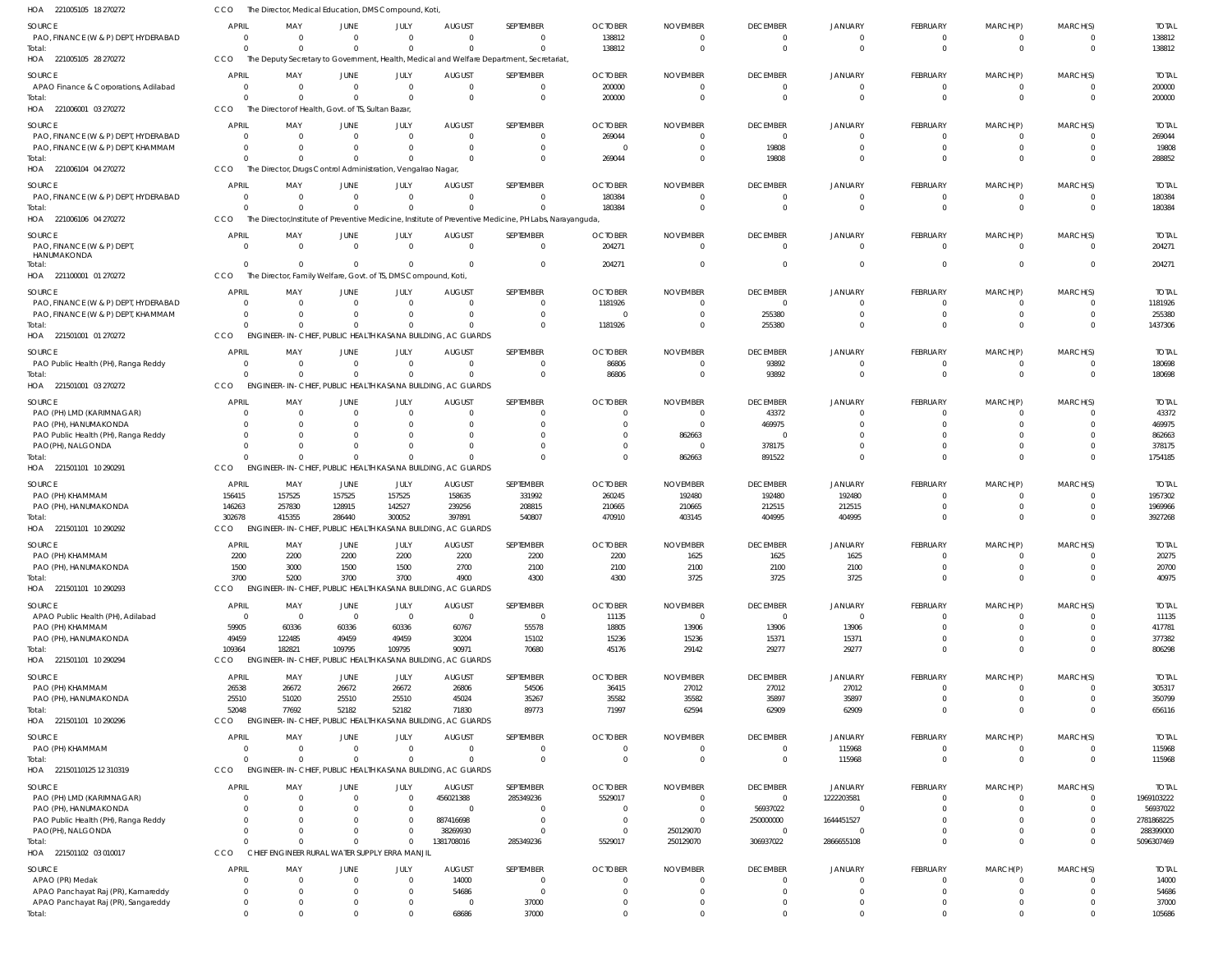| HOA 221005105 18 270272                                                    | <b>CCO</b>                   |                          | The Director, Medical Education, DMS Compound, Koti            |                      |                                                                                                                     |                        |                           |                             |                                  |                                  |                      |                             |                      |                            |
|----------------------------------------------------------------------------|------------------------------|--------------------------|----------------------------------------------------------------|----------------------|---------------------------------------------------------------------------------------------------------------------|------------------------|---------------------------|-----------------------------|----------------------------------|----------------------------------|----------------------|-----------------------------|----------------------|----------------------------|
| SOURCE                                                                     | <b>APRIL</b>                 | MAY                      | <b>JUNE</b>                                                    | JULY                 | <b>AUGUST</b>                                                                                                       | SEPTEMBER              | <b>OCTOBER</b>            | <b>NOVEMBER</b>             | <b>DECEMBER</b>                  | <b>JANUARY</b>                   | FEBRUARY             | MARCH(P)                    | MARCH(S)             | <b>TOTAL</b>               |
| PAO, FINANCE (W & P) DEPT, HYDERABAD                                       | $\Omega$                     | $\Omega$                 | $\Omega$                                                       | $\Omega$             | $\Omega$                                                                                                            | $\Omega$               | 138812                    | $\Omega$                    | 0                                | $\Omega$                         |                      | $\Omega$                    | $\Omega$             | 138812                     |
| Total:                                                                     | $\Omega$                     | $\Omega$                 | $\Omega$                                                       | $\Omega$             | $\Omega$                                                                                                            | $\Omega$               | 138812                    | $\Omega$                    | $\overline{0}$                   | $\Omega$                         | $\Omega$             | $\Omega$                    | $\Omega$             | 138812                     |
| HOA 221005105 28 270272                                                    | CCO                          |                          |                                                                |                      | The Deputy Secretary to Government, Health, Medical and Welfare Department, Secretariat,                            |                        |                           |                             |                                  |                                  |                      |                             |                      |                            |
| SOURCE                                                                     | <b>APRIL</b>                 | MAY                      | <b>JUNE</b>                                                    | JULY                 | <b>AUGUST</b>                                                                                                       | SEPTEMBER              | <b>OCTOBER</b>            | <b>NOVEMBER</b>             | <b>DECEMBER</b>                  | <b>JANUARY</b>                   | FEBRUARY             | MARCH(P)                    | MARCH(S)             | <b>TOTAL</b>               |
| APAO Finance & Corporations, Adilabad                                      | $\Omega$<br>$\Omega$         | $\Omega$<br>$\Omega$     | $\mathbf{0}$<br>$\Omega$                                       | $\Omega$<br>$\Omega$ | $\mathbf 0$<br>$\Omega$                                                                                             | $\Omega$<br>$\Omega$   | 200000<br>200000          | $\Omega$<br>$\Omega$        | $\overline{0}$<br>$\overline{0}$ | $\overline{0}$<br>$\Omega$       | $\Omega$<br>$\Omega$ | $\mathbf{0}$<br>$\mathbf 0$ | $\Omega$<br>$\Omega$ | 200000<br>200000           |
| Total<br>HOA 221006001 03 270272                                           | <b>CCO</b>                   |                          | The Director of Health, Govt. of TS, Sultan Bazar,             |                      |                                                                                                                     |                        |                           |                             |                                  |                                  |                      |                             |                      |                            |
| SOURCE                                                                     | <b>APRIL</b>                 | MAY                      | <b>JUNE</b>                                                    | JULY                 | <b>AUGUST</b>                                                                                                       | <b>SEPTEMBER</b>       | <b>OCTOBER</b>            | <b>NOVEMBER</b>             | <b>DECEMBER</b>                  | <b>JANUARY</b>                   | <b>FEBRUARY</b>      | MARCH(P)                    | MARCH(S)             | <b>TOTAL</b>               |
| PAO, FINANCE (W & P) DEPT, HYDERABAD                                       | $\Omega$                     | 0                        | $\Omega$                                                       |                      | $\Omega$                                                                                                            | $\Omega$               | 269044                    | $\Omega$                    | $\overline{0}$                   | $\Omega$                         |                      | $\Omega$                    | $\Omega$             | 269044                     |
| PAO, FINANCE (W & P) DEPT, KHAMMAM                                         | $\Omega$                     | $\Omega$                 | $\Omega$                                                       | $\Omega$             | $\Omega$                                                                                                            | $\Omega$               |                           |                             | 19808                            | $\Omega$                         | $\Omega$             | $\Omega$                    | $\Omega$             | 19808                      |
| Total:                                                                     | $\Omega$                     | $\Omega$                 | $\Omega$                                                       |                      | $\Omega$                                                                                                            | $\Omega$               | 269044                    |                             | 19808                            | $\Omega$                         | $\Omega$             | $\Omega$                    | $\Omega$             | 288852                     |
| HOA 221006104 04 270272                                                    | CCO                          |                          | The Director, Drugs Control Administration, Vengalrao Nagar    |                      |                                                                                                                     |                        |                           |                             |                                  |                                  |                      |                             |                      |                            |
| SOURCE                                                                     | <b>APRIL</b>                 | MAY                      | JUNE                                                           | JULY                 | <b>AUGUST</b>                                                                                                       | SEPTEMBER              | <b>OCTOBER</b>            | <b>NOVEMBER</b>             | <b>DECEMBER</b>                  | JANUARY                          | FEBRUARY             | MARCH(P)                    | MARCH(S)             | <b>TOTAL</b>               |
| PAO, FINANCE (W & P) DEPT, HYDERABAD                                       | $\Omega$                     | $\Omega$                 | $\mathbf{0}$                                                   | $\Omega$             | $\Omega$                                                                                                            | $\Omega$               | 180384                    | $\Omega$                    | $\overline{0}$                   | $\Omega$                         | $\Omega$             | $\mathbf{0}$                | $\Omega$             | 180384                     |
| Total<br>HOA 221006106 04 270272                                           | $\Omega$<br><b>CCO</b>       | $\Omega$                 | $\Omega$                                                       | $\Omega$             | $\Omega$<br>The Director, Institute of Preventive Medicine, Institute of Preventive Medicine, PH Labs, Narayanguda, | $\Omega$               | 180384                    | $\Omega$                    | $\overline{0}$                   | $\Omega$                         | $\Omega$             | $\mathbf 0$                 | $\Omega$             | 180384                     |
|                                                                            |                              |                          |                                                                |                      |                                                                                                                     |                        |                           |                             |                                  |                                  |                      |                             |                      |                            |
| SOURCE<br>PAO, FINANCE (W & P) DEPT,                                       | <b>APRIL</b><br>$\Omega$     | MAY<br>$\Omega$          | JUNE<br>$\Omega$                                               | JULY<br>$\Omega$     | <b>AUGUST</b><br>$\Omega$                                                                                           | SEPTEMBER<br>$\Omega$  | <b>OCTOBER</b><br>204271  | <b>NOVEMBER</b><br>$\Omega$ | <b>DECEMBER</b><br>$\mathbf 0$   | <b>JANUARY</b><br>$\overline{0}$ | FEBRUARY<br>$\Omega$ | MARCH(P)<br>$\Omega$        | MARCH(S)<br>$\Omega$ | <b>TOTAL</b><br>204271     |
| HANUMAKONDA                                                                |                              |                          |                                                                |                      |                                                                                                                     |                        |                           |                             |                                  |                                  |                      |                             |                      |                            |
| Total:                                                                     | $\Omega$                     | $\Omega$                 | $\Omega$                                                       | $\Omega$             | $\Omega$                                                                                                            | $\Omega$               | 204271                    | $\Omega$                    | $\Omega$                         | $\Omega$                         | $\Omega$             | $\Omega$                    | $\Omega$             | 204271                     |
| HOA 221100001 01 270272                                                    | <b>CCO</b>                   |                          | The Director, Family Welfare, Govt. of TS, DMS Compound, Koti, |                      |                                                                                                                     |                        |                           |                             |                                  |                                  |                      |                             |                      |                            |
| SOURCE                                                                     | <b>APRIL</b>                 | MAY                      | JUNE                                                           | JULY                 | <b>AUGUST</b>                                                                                                       | SEPTEMBER              | <b>OCTOBER</b>            | <b>NOVEMBER</b>             | <b>DECEMBER</b>                  | JANUARY                          | FEBRUARY             | MARCH(P)                    | MARCH(S)             | <b>TOTAL</b>               |
| PAO, FINANCE (W & P) DEPT, HYDERABAD<br>PAO, FINANCE (W & P) DEPT, KHAMMAM | $\Omega$<br>$\overline{0}$   | $\Omega$<br>$\Omega$     | $\Omega$<br>$\mathbf{0}$                                       | $\Omega$<br>$\Omega$ | $\Omega$<br>$\mathbf 0$                                                                                             | $\Omega$<br>$\Omega$   | 1181926<br>0              | $\Omega$<br>$\Omega$        | $\overline{0}$<br>255380         | $\Omega$<br>$\Omega$             | $\Omega$<br>$\Omega$ | $\Omega$<br>$\mathbf{0}$    | $\Omega$<br>$\Omega$ | 1181926<br>255380          |
| Total                                                                      | $\Omega$                     | $\Omega$                 | $\Omega$                                                       | $\Omega$             | $\Omega$                                                                                                            | $\Omega$               | 1181926                   | $\Omega$                    | 255380                           | $\Omega$                         | $\Omega$             | $\Omega$                    | $\Omega$             | 1437306                    |
| HOA 221501001 01 270272                                                    | CCO                          |                          |                                                                |                      | ENGINEER-IN-CHIEF, PUBLIC HEALTH KASANA BUILDING, AC GUARDS                                                         |                        |                           |                             |                                  |                                  |                      |                             |                      |                            |
| SOURCE                                                                     | <b>APRIL</b>                 | MAY                      | JUNE                                                           | JULY                 | <b>AUGUST</b>                                                                                                       | SEPTEMBER              | <b>OCTOBER</b>            | <b>NOVEMBER</b>             | <b>DECEMBER</b>                  | <b>JANUARY</b>                   | FEBRUARY             | MARCH(P)                    | MARCH(S)             | <b>TOTAL</b>               |
| PAO Public Health (PH), Ranga Reddy                                        | $\Omega$                     | 0                        | $\Omega$                                                       | $\Omega$             | $\Omega$                                                                                                            | $\Omega$               | 86806                     | $\Omega$                    | 93892                            | $\Omega$                         | $\Omega$             | $\Omega$                    | $\Omega$             | 180698                     |
| Total:                                                                     | $\Omega$                     | $\Omega$                 | $\Omega$                                                       | $\Omega$             | $\Omega$                                                                                                            | $\Omega$               | 86806                     | $\Omega$                    | 93892                            | $\Omega$                         | $\Omega$             | $\Omega$                    | $\Omega$             | 180698                     |
| HOA<br>221501001 03 270272                                                 | CCO                          |                          |                                                                |                      | ENGINEER-IN-CHIEF, PUBLIC HEALTH KASANA BUILDING, AC GUARDS                                                         |                        |                           |                             |                                  |                                  |                      |                             |                      |                            |
| SOURCE                                                                     | <b>APRIL</b>                 | MAY                      | JUNE                                                           | JULY                 | <b>AUGUST</b>                                                                                                       | SEPTEMBER              | <b>OCTOBER</b>            | <b>NOVEMBER</b>             | <b>DECEMBER</b>                  | <b>JANUARY</b>                   | FEBRUARY             | MARCH(P)                    | MARCH(S)             | <b>TOTAL</b>               |
| PAO (PH) LMD (KARIMNAGAR)                                                  | $\Omega$                     | $\Omega$                 | $\Omega$                                                       | $\Omega$             | $\Omega$                                                                                                            | $\Omega$               | 0                         | $\Omega$                    | 43372                            | $\Omega$                         | $\Omega$             | $\Omega$                    | $\Omega$             | 43372                      |
| PAO (PH), HANUMAKONDA                                                      | $\Omega$<br><sup>0</sup>     | $\Omega$<br>0            | $\Omega$<br>$\Omega$                                           | $\Omega$             | $\Omega$<br>$\Omega$                                                                                                | $\Omega$<br>$\Omega$   | <sup>0</sup><br>0         | $\Omega$                    | 469975<br>$\overline{0}$         | $\Omega$<br>$\Omega$             | $\Omega$             | $\Omega$<br>$\Omega$        | $\Omega$             | 469975                     |
| PAO Public Health (PH), Ranga Reddy<br>PAO(PH), NALGONDA                   | $\Omega$                     | $\Omega$                 | $\Omega$                                                       | $\Omega$             | $\Omega$                                                                                                            | $\Omega$               | <sup>0</sup>              | 862663<br>- 0               | 378175                           | $\Omega$                         | $\Omega$             | $\Omega$                    | $\Omega$             | 862663<br>378175           |
| Total                                                                      | $\Omega$                     | $\Omega$                 | $\Omega$                                                       | $\Omega$             | $\Omega$                                                                                                            | $\Omega$               | $\Omega$                  | 862663                      | 891522                           | $\Omega$                         | $\Omega$             | $\Omega$                    | $\Omega$             | 1754185                    |
| HOA 221501101 10 290291                                                    | <b>CCO</b>                   |                          |                                                                |                      | ENGINEER-IN-CHIEF, PUBLIC HEALTH KASANA BUILDING, AC GUARDS                                                         |                        |                           |                             |                                  |                                  |                      |                             |                      |                            |
| SOURCE                                                                     | APRIL                        | MAY                      | JUNE                                                           | JULY                 | <b>AUGUST</b>                                                                                                       | SEPTEMBER              | <b>OCTOBER</b>            | <b>NOVEMBER</b>             | <b>DECEMBER</b>                  | <b>JANUARY</b>                   | FEBRUARY             | MARCH(P)                    | MARCH(S)             | <b>TOTAL</b>               |
| PAO (PH) KHAMMAM                                                           | 156415                       | 157525                   | 157525                                                         | 157525               | 158635                                                                                                              | 331992                 | 260245                    | 192480                      | 192480                           | 192480                           |                      | $\Omega$                    | $\Omega$             | 1957302                    |
| PAO (PH), HANUMAKONDA                                                      | 146263                       | 257830                   | 128915                                                         | 142527               | 239256                                                                                                              | 208815                 | 210665                    | 210665                      | 212515                           | 212515                           | $\Omega$             | $\Omega$                    | $\Omega$             | 1969966                    |
| Total:<br>HOA 221501101 10 290292                                          | 302678<br>CCO                | 415355                   | 286440                                                         | 300052               | 397891<br>ENGINEER-IN-CHIEF, PUBLIC HEALTH KASANA BUILDING, AC GUARDS                                               | 540807                 | 470910                    | 403145                      | 404995                           | 404995                           | $\Omega$             | $\Omega$                    | $\Omega$             | 3927268                    |
|                                                                            |                              |                          |                                                                |                      |                                                                                                                     |                        |                           |                             |                                  |                                  |                      |                             |                      |                            |
| SOURCE<br>PAO (PH) KHAMMAM                                                 | <b>APRIL</b><br>2200         | MAY<br>2200              | JUNE<br>2200                                                   | JULY<br>2200         | <b>AUGUST</b><br>2200                                                                                               | SEPTEMBER<br>2200      | <b>OCTOBER</b>            | <b>NOVEMBER</b><br>1625     | <b>DECEMBER</b>                  | <b>JANUARY</b>                   | FEBRUARY             | MARCH(P)                    | MARCH(S)             | <b>TOTAL</b>               |
| PAO (PH), HANUMAKONDA                                                      | 1500                         | 3000                     | 1500                                                           | 1500                 | 2700                                                                                                                | 2100                   | 2200<br>2100              | 2100                        | 1625<br>2100                     | 1625<br>2100                     | $\Omega$             | $\mathbf 0$                 | $\Omega$             | 20275<br>20700             |
| Total:                                                                     | 3700                         | 5200                     | 3700                                                           | 3700                 | 4900                                                                                                                | 4300                   | 4300                      | 3725                        | 3725                             | 3725                             | $\mathbf{0}$         | $\mathbf 0$                 | $\Omega$             | 40975                      |
| HOA 221501101 10 290293                                                    | CCO                          |                          |                                                                |                      | ENGINEER-IN-CHIEF, PUBLIC HEALTH KASANA BUILDING, AC GUARDS                                                         |                        |                           |                             |                                  |                                  |                      |                             |                      |                            |
| SOURCE                                                                     | <b>APRIL</b>                 | MAY                      | JUNE                                                           | JULY                 | <b>AUGUST</b>                                                                                                       | SEPTEMBER              | <b>OCTOBER</b>            | <b>NOVEMBER</b>             | <b>DECEMBER</b>                  | <b>JANUARY</b>                   | FEBRUARY             | MARCH(P)                    | MARCH(S)             | <b>TOTAL</b>               |
| APAO Public Health (PH), Adilabad                                          | $\Omega$                     | $\Omega$                 | $\overline{0}$                                                 | $\Omega$             | $\Omega$                                                                                                            | $\Omega$               | 11135                     | $\Omega$                    | $\mathbf 0$                      | $\overline{0}$                   |                      |                             |                      | 11135                      |
| PAO (PH) KHAMMAM                                                           | 59905                        | 60336                    | 60336                                                          | 60336                | 60767                                                                                                               | 55578                  | 18805                     | 13906                       | 13906                            | 13906                            |                      | $\Omega$                    |                      | 417781                     |
| PAO (PH), HANUMAKONDA<br>Total:                                            | 49459<br>109364              | 122485<br>182821         | 49459<br>109795                                                | 49459<br>109795      | 30204<br>90971                                                                                                      | 15102<br>70680         | 15236<br>45176            | 15236<br>29142              | 15371<br>29277                   | 15371<br>29277                   | $\Omega$             | $\Omega$<br>$\Omega$        | $\Omega$<br>$\Omega$ | 377382<br>806298           |
| HOA 221501101 10 290294                                                    | CCO                          | <b>ENGINEER-IN-CHIEF</b> |                                                                |                      | PUBLIC HEALTH KASANA BUILDING, AC GUARDS                                                                            |                        |                           |                             |                                  |                                  |                      |                             |                      |                            |
| SOURCE                                                                     | APRIL                        | MAY                      | JUNE                                                           | JULY                 | <b>AUGUST</b>                                                                                                       | SEPTEMBER              | <b>OCTOBER</b>            | <b>NOVEMBER</b>             | <b>DECEMBER</b>                  | <b>JANUARY</b>                   | FEBRUARY             | MARCH(P)                    | MARCH(S)             | <b>TOTAL</b>               |
| PAO (PH) KHAMMAM                                                           | 26538                        | 26672                    | 26672                                                          | 26672                | 26806                                                                                                               | 54506                  | 36415                     | 27012                       | 27012                            | 27012                            | $\Omega$             | $^{\circ}$                  | $\Omega$             | 305317                     |
| PAO (PH), HANUMAKONDA                                                      | 25510                        | 51020                    | 25510                                                          | 25510                | 45024                                                                                                               | 35267                  | 35582                     | 35582                       | 35897                            | 35897                            | $\Omega$             | $\mathbf 0$                 | $\overline{0}$       | 350799                     |
| Total:                                                                     | 52048                        | 77692                    | 52182                                                          | 52182                | 71830                                                                                                               | 89773                  | 71997                     | 62594                       | 62909                            | 62909                            | $\Omega$             | $\Omega$                    | $\Omega$             | 656116                     |
| HOA 221501101 10 290296                                                    | <b>CCO</b>                   |                          |                                                                |                      | ENGINEER-IN-CHIEF, PUBLIC HEALTH KASANA BUILDING, AC GUARDS                                                         |                        |                           |                             |                                  |                                  |                      |                             |                      |                            |
| SOURCE                                                                     | <b>APRIL</b>                 | MAY                      | JUNE                                                           | JULY                 | <b>AUGUST</b>                                                                                                       | SEPTEMBER              | <b>OCTOBER</b>            | <b>NOVEMBER</b>             | <b>DECEMBER</b>                  | <b>JANUARY</b>                   | FEBRUARY             | MARCH(P)                    | MARCH(S)             | <b>TOTAL</b>               |
| PAO (PH) KHAMMAM                                                           | $\Omega$<br>$\Omega$         | $\Omega$<br>$\Omega$     | $\Omega$<br>$\Omega$                                           | $\Omega$<br>$\Omega$ | $\Omega$<br>$\Omega$                                                                                                | $\Omega$<br>$\Omega$   | 0<br>$\Omega$             | $\Omega$<br>$\Omega$        | $\overline{0}$                   | 115968                           |                      | - 0<br>$\mathbf 0$          | $\Omega$             | 115968                     |
| Total:<br>HOA 22150110125 12 310319                                        | CCO                          |                          |                                                                |                      | ENGINEER-IN-CHIEF, PUBLIC HEALTH KASANA BUILDING, AC GUARDS                                                         |                        |                           |                             | $\mathbf 0$                      | 115968                           | $\mathbf{0}$         |                             | $\overline{0}$       | 115968                     |
|                                                                            |                              |                          |                                                                |                      |                                                                                                                     |                        |                           |                             |                                  |                                  |                      |                             |                      |                            |
| SOURCE<br>PAO (PH) LMD (KARIMNAGAR)                                        | <b>APRIL</b><br>$\mathbf{0}$ | MAY<br>$\Omega$          | JUNE<br>$\mathbf{0}$                                           | JULY<br>$\Omega$     | <b>AUGUST</b><br>456021388                                                                                          | SEPTEMBER<br>285349236 | <b>OCTOBER</b><br>5529017 | <b>NOVEMBER</b><br>$\Omega$ | <b>DECEMBER</b><br>$\mathbf 0$   | JANUARY<br>1222203581            | FEBRUARY             | MARCH(P)<br>$\Omega$        | MARCH(S)<br>$\Omega$ | <b>TOTAL</b><br>1969103222 |
| PAO (PH), HANUMAKONDA                                                      | $\Omega$                     | $\Omega$                 | $\Omega$                                                       | $\Omega$             | $\Omega$                                                                                                            | $\Omega$               |                           | $\Omega$                    | 56937022                         | $\circ$                          |                      | $\Omega$                    | $\Omega$             | 56937022                   |
| PAO Public Health (PH), Ranga Reddy                                        | $\Omega$                     | $\Omega$                 | $\Omega$                                                       | $\Omega$             | 887416698                                                                                                           | $\Omega$               | 0                         |                             | 250000000                        | 1644451527                       |                      | $\Omega$                    | $\Omega$             | 2781868225                 |
| PAO(PH), NALGONDA                                                          | $\Omega$                     | $\Omega$                 | $\Omega$                                                       | $\Omega$             | 38269930                                                                                                            | $\Omega$               | $\mathbf 0$               | 250129070                   | $\mathbf 0$                      | $\Omega$                         |                      | $\mathbf 0$                 | $\Omega$             | 288399000                  |
| Total:<br>HOA 221501102 03 010017                                          | $\Omega$<br>CCO              | $\Omega$                 | $\Omega$<br>CHIEF ENGINEER RURAL WATER SUPPLY ERRA MANJIL      | $\overline{0}$       | 1381708016                                                                                                          | 285349236              | 5529017                   | 250129070                   | 306937022                        | 2866655108                       | $\Omega$             | $\Omega$                    | $\Omega$             | 5096307469                 |
|                                                                            |                              |                          |                                                                |                      |                                                                                                                     |                        |                           |                             |                                  |                                  |                      |                             |                      |                            |
| SOURCE                                                                     | <b>APRIL</b><br>0            | MAY<br>0                 | <b>JUNE</b><br>$\Omega$                                        | JULY<br>$\Omega$     | <b>AUGUST</b><br>14000                                                                                              | SEPTEMBER<br>$\Omega$  | <b>OCTOBER</b>            | <b>NOVEMBER</b><br>0        | <b>DECEMBER</b><br>$\Omega$      | <b>JANUARY</b><br>$\Omega$       | <b>FEBRUARY</b>      | MARCH(P)                    | MARCH(S)             | <b>TOTAL</b><br>14000      |
| APAO (PR) Medak<br>APAO Panchayat Raj (PR), Kamareddy                      | $\Omega$                     | $\Omega$                 | $\Omega$                                                       |                      | 54686                                                                                                               | $\Omega$               |                           | $\Omega$                    | $\Omega$                         | $\Omega$                         | $\Omega$             |                             |                      | 54686                      |
| APAO Panchayat Raj (PR), Sangareddy                                        | $\mathbf{0}$                 | 0                        | $\Omega$                                                       |                      | $\mathbf 0$                                                                                                         | 37000                  |                           | 0                           | 0                                | $\overline{0}$                   | $\Omega$             | $\Omega$                    |                      | 37000                      |
| Total:                                                                     | $\mathbf 0$                  | $\Omega$                 | $\Omega$                                                       |                      | 68686                                                                                                               | 37000                  |                           | $\Omega$                    | $\Omega$                         | $\Omega$                         | $\Omega$             | $\Omega$                    | $\Omega$             | 105686                     |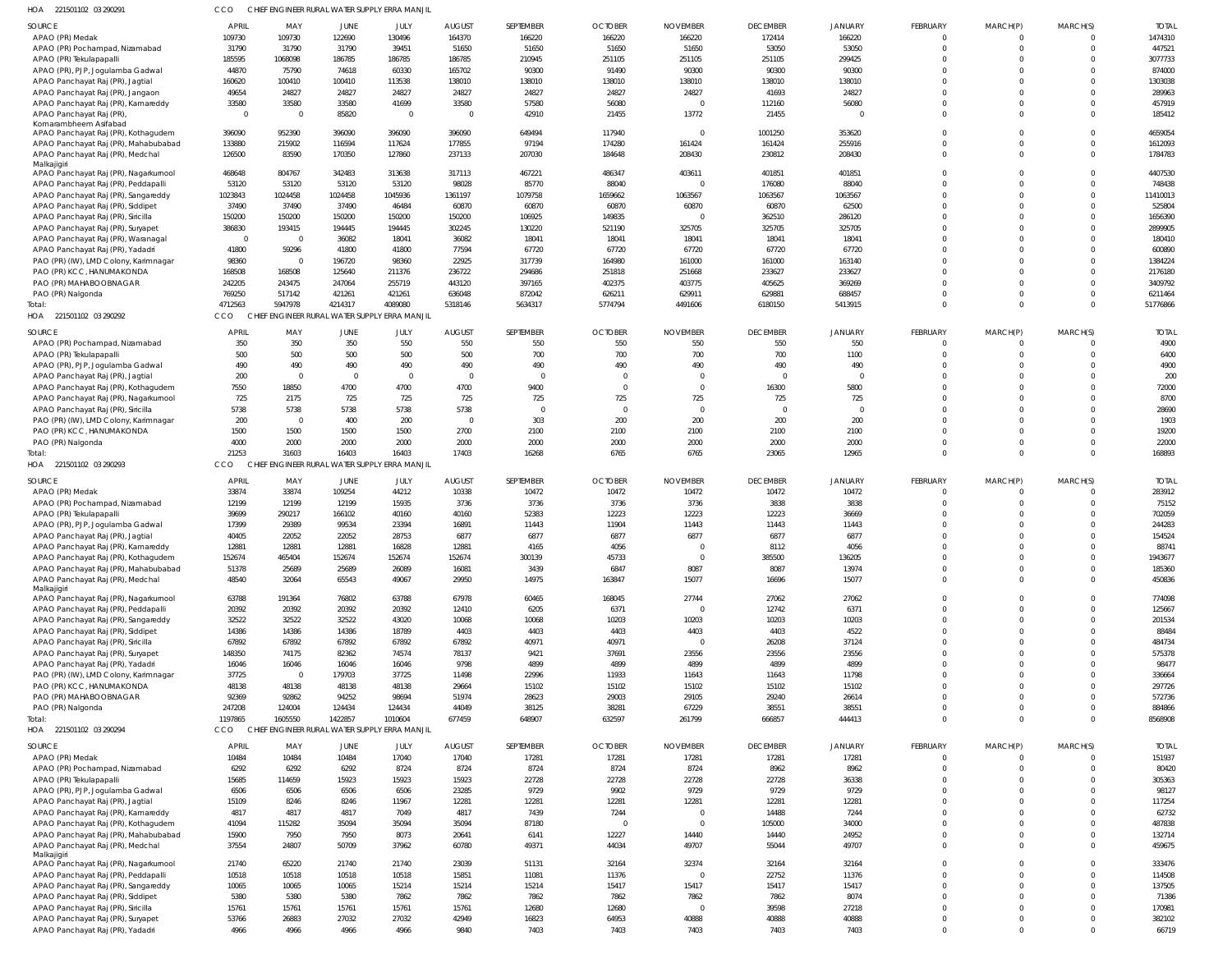| HOA<br>221501102 03 290291                                                   |                   |                         |                            | CHIEF ENGINEER RURAL WATER SUPPLY ERRA MANJIL |                   |                |                |                   |                          |                |                            |                             |                                |                  |
|------------------------------------------------------------------------------|-------------------|-------------------------|----------------------------|-----------------------------------------------|-------------------|----------------|----------------|-------------------|--------------------------|----------------|----------------------------|-----------------------------|--------------------------------|------------------|
| <b>SOURCE</b>                                                                | APRIL             | MAY                     | <b>JUNE</b>                | JULY                                          | <b>AUGUST</b>     | SEPTEMBER      | <b>OCTOBER</b> | <b>NOVEMBER</b>   | <b>DECEMBER</b>          | <b>JANUARY</b> | FEBRUARY                   | MARCH(P)                    | MARCH(S)                       | <b>TOTAL</b>     |
| APAO (PR) Medak                                                              | 109730            | 109730                  | 122690                     | 130496                                        | 164370            | 166220         | 166220         | 166220            | 172414                   | 166220         | $\mathbf 0$                | 0                           | $\overline{0}$                 | 1474310          |
| APAO (PR) Pochampad, Nizamabad                                               | 31790             | 31790                   | 31790                      | 39451                                         | 51650             | 51650          | 51650          | 51650             | 53050                    | 53050          | $\mathbf 0$                | $\mathbf 0$                 | $\overline{0}$                 | 447521           |
| APAO (PR) Tekulapapalli                                                      | 185595            | 1068098                 | 186785                     | 186785                                        | 186785            | 210945         | 251105         | 251105            | 251105                   | 299425         | $\Omega$                   | $\mathbf 0$                 | $\Omega$                       | 3077733          |
| APAO (PR), PJP, Jogulamba Gadwal                                             | 44870             | 75790                   | 74618                      | 60330                                         | 165702            | 90300          | 91490          | 90300             | 90300                    | 90300          | $\Omega$                   | $\Omega$                    | $\Omega$                       | 874000           |
| APAO Panchayat Raj (PR), Jagtial                                             | 160620            | 100410                  | 100410                     | 113538                                        | 138010            | 138010         | 138010         | 138010            | 138010                   | 138010         | $\Omega$                   | $\Omega$                    | $\Omega$                       | 1303038          |
| APAO Panchayat Raj (PR), Jangaon                                             | 49654             | 24827                   | 24827                      | 24827                                         | 24827             | 24827          | 24827          | 24827             | 41693                    | 24827          | $\Omega$                   | $\Omega$                    | $\Omega$                       | 289963           |
| APAO Panchayat Raj (PR), Kamareddy                                           | 33580<br>$\Omega$ | 33580<br>$\Omega$       | 33580<br>85820             | 41699<br>$\overline{0}$                       | 33580<br>$\Omega$ | 57580<br>42910 | 56080          | $\Omega$<br>13772 | 112160                   | 56080          | $\mathbf 0$<br>$\Omega$    | $\mathbf 0$<br>$\Omega$     | $\overline{0}$<br>$\Omega$     | 457919<br>185412 |
| APAO Panchayat Raj (PR)<br>Komarambheem Asifabad                             |                   |                         |                            |                                               |                   |                | 21455          |                   | 21455                    |                |                            |                             |                                |                  |
| APAO Panchayat Raj (PR), Kothagudem                                          | 396090            | 952390                  | 396090                     | 396090                                        | 396090            | 649494         | 117940         |                   | 1001250                  | 353620         | $\Omega$                   | $\Omega$                    | $\Omega$                       | 4659054          |
| APAO Panchayat Raj (PR), Mahabubabad                                         | 133880            | 215902                  | 116594                     | 117624                                        | 177855            | 97194          | 174280         | 161424            | 161424                   | 255916         | $\Omega$                   | $\mathbf 0$                 | $\overline{0}$                 | 1612093          |
| APAO Panchayat Raj (PR), Medchal                                             | 126500            | 83590                   | 170350                     | 127860                                        | 237133            | 207030         | 184648         | 208430            | 230812                   | 208430         | $\mathbf 0$                | $\Omega$                    | $\mathbf{0}$                   | 1784783          |
| Malkajigiri                                                                  | 468648            | 804767                  | 342483                     | 313638                                        | 317113            | 467221         | 486347         | 403611            | 401851                   | 401851         | $\mathbf 0$                | $\Omega$                    | $\Omega$                       | 4407530          |
| APAO Panchayat Raj (PR), Nagarkurnool<br>APAO Panchayat Raj (PR), Peddapalli | 53120             | 53120                   | 53120                      | 53120                                         | 98028             | 85770          | 88040          |                   | 176080                   | 88040          | $\mathbf 0$                | $\Omega$                    | $\Omega$                       | 748438           |
| APAO Panchayat Raj (PR), Sangareddy                                          | 1023843           | 1024458                 | 1024458                    | 1045936                                       | 1361197           | 1079758        | 1659662        | 1063567           | 1063567                  | 1063567        | $\Omega$                   | $\Omega$                    | $\Omega$                       | 11410013         |
| APAO Panchayat Raj (PR), Siddipet                                            | 37490             | 37490                   | 37490                      | 46484                                         | 60870             | 60870          | 60870          | 60870             | 60870                    | 62500          | $\mathbf 0$                | $\Omega$                    | $\Omega$                       | 525804           |
| APAO Panchayat Raj (PR), Siricilla                                           | 150200            | 150200                  | 150200                     | 150200                                        | 150200            | 106925         | 149835         |                   | 362510                   | 286120         | $\Omega$                   | $\Omega$                    | $\Omega$                       | 1656390          |
| APAO Panchayat Raj (PR), Suryapet                                            | 386830            | 193415                  | 194445                     | 194445                                        | 302245            | 130220         | 521190         | 325705            | 325705                   | 325705         | $\Omega$                   | $\Omega$                    | $\Omega$                       | 2899905          |
| APAO Panchayat Raj (PR), Waranagal                                           | $\Omega$          | $\Omega$                | 36082                      | 18041                                         | 36082             | 18041          | 18041          | 18041             | 18041                    | 18041          | $\Omega$                   | $\Omega$                    | $\Omega$                       | 180410           |
| APAO Panchayat Raj (PR), Yadadri                                             | 41800             | 59296                   | 41800                      | 41800                                         | 77594             | 67720          | 67720          | 67720             | 67720                    | 67720          | $\mathbf 0$                | $\mathbf 0$                 | $\Omega$                       | 600890           |
| PAO (PR) (IW), LMD Colony, Karimnagar                                        | 98360             |                         | 196720                     | 98360                                         | 22925             | 317739         | 164980         | 161000            | 161000                   | 163140         | $\Omega$                   | $\Omega$                    | $\Omega$                       | 1384224          |
| PAO (PR) KCC, HANUMAKONDA                                                    | 168508            | 168508                  | 125640                     | 211376                                        | 236722            | 294686         | 251818         | 251668            | 233627                   | 233627         | $\Omega$                   | $\mathbf 0$                 | $\Omega$                       | 2176180          |
| PAO (PR) MAHABOOBNAGAR                                                       | 242205            | 243475                  | 247064                     | 255719                                        | 443120            | 397165         | 402375         | 403775            | 405625                   | 369269         | $\Omega$                   | $\Omega$                    | $\Omega$                       | 3409792          |
| PAO (PR) Nalgonda                                                            | 769250            | 517142                  | 421261                     | 421261                                        | 636048            | 872042         | 626211         | 629911            | 629881                   | 688457         | $\mathbf 0$                | $\mathbf 0$                 | $\overline{0}$                 | 6211464          |
| Total:                                                                       | 4712563           | 5947978                 | 4214317                    | 4089080                                       | 5318146           | 5634317        | 5774794        | 4491606           | 6180150                  | 5413915        | $\Omega$                   | $\mathbf 0$                 | $\Omega$                       | 51776866         |
| HOA 221501102 03 290292                                                      | CCO               | <b>CHIEF</b>            |                            | ENGINEER RURAL WATER SUPPLY ERRA MANJIL       |                   |                |                |                   |                          |                |                            |                             |                                |                  |
| SOURCE                                                                       | <b>APRIL</b>      | MAY                     | JUNE                       | JULY                                          | <b>AUGUST</b>     | SEPTEMBER      | <b>OCTOBER</b> | <b>NOVEMBER</b>   | <b>DECEMBER</b>          | <b>JANUARY</b> | FEBRUARY                   | MARCH(P)                    | MARCH(S)                       | <b>TOTAL</b>     |
| APAO (PR) Pochampad, Nizamabad                                               | 350               | 350                     | 350                        | 550                                           | 550               | 550            | 550            | 550               | 550                      | 550            | $\mathbf 0$                | $\mathbf 0$                 | $\overline{0}$                 | 4900             |
| APAO (PR) Tekulapapalli                                                      | 500               | 500                     | 500                        | 500                                           | 500               | 700            | 700            | 700               | 700                      | 1100           | $\mathbf 0$                | $\mathbf 0$                 | $\overline{0}$                 | 6400             |
| APAO (PR), PJP, Jogulamba Gadwal                                             | 490               | 490                     | 490                        | 490                                           | 490               | 490            | 490            | 490               | 490                      | 490            | $\mathbf 0$                | $\mathbf 0$                 | $\Omega$                       | 4900             |
| APAO Panchayat Raj (PR), Jagtial                                             | 200               | $\overline{0}$          | $\mathbf{0}$               | $\overline{0}$                                | $\Omega$          | $\mathbf{0}$   | $\Omega$       |                   | $\overline{\phantom{0}}$ | $\Omega$       | $\mathbf 0$                | $\mathbf 0$                 | $\Omega$                       | 200              |
| APAO Panchayat Raj (PR), Kothagudem                                          | 7550              | 18850                   | 4700                       | 4700                                          | 4700              | 9400           | $\Omega$       |                   | 16300                    | 5800           | $\Omega$                   | $\mathbf 0$                 | $\Omega$                       | 72000            |
| APAO Panchayat Raj (PR), Nagarkurnool                                        | 725               | 2175                    | 725                        | 725                                           | 725               | 725            | 725            | 725               | 725                      | 725            | $\mathbf 0$                | $\mathbf 0$                 | $\Omega$                       | 8700             |
| APAO Panchayat Raj (PR), Siricilla                                           | 5738              | 5738                    | 5738                       | 5738                                          | 5738              | $\overline{0}$ | $\Omega$       | $\Omega$          | $\overline{0}$           | $\overline{0}$ | $\mathbf 0$                | $\mathbf 0$                 | $\Omega$                       | 28690            |
| PAO (PR) (IW), LMD Colony, Karimnagar                                        | 200               | $\overline{\mathbf{0}}$ | 400                        | 200                                           | $\overline{0}$    | 303            | 200            | 200               | 200                      | 200            | $\mathbf 0$                | $\mathbf 0$                 | $\Omega$                       | 1903             |
| PAO (PR) KCC, HANUMAKONDA                                                    | 1500              | 1500                    | 1500                       | 1500                                          | 2700              | 2100           | 2100           | 2100              | 2100                     | 2100           | $\mathbf 0$                | $\mathbf 0$                 | $\Omega$                       | 19200            |
| PAO (PR) Nalgonda                                                            | 4000              | 2000                    | 2000                       | 2000                                          | 2000              | 2000           | 2000           | 2000              | 2000                     | 2000           | $\mathbf 0$                | $\mathbf 0$                 | $\Omega$                       | 22000            |
| Total:                                                                       | 21253             | 31603                   | 16403                      | 16403                                         | 17403             | 16268          | 6765           | 6765              | 23065                    | 12965          | $\mathbf 0$                | $\mathbf 0$                 | $\Omega$                       | 168893           |
| HOA 221501102 03 290293                                                      | CCO               | <b>CHIEF</b>            | NGINEER RURAL WATER SUPPLY | <b>ERRA MANJIL</b>                            |                   |                |                |                   |                          |                |                            |                             |                                |                  |
| <b>SOURCE</b>                                                                | <b>APRIL</b>      | MAY                     | JUNE                       | JULY                                          | <b>AUGUST</b>     | SEPTEMBER      | <b>OCTOBER</b> | <b>NOVEMBER</b>   | <b>DECEMBER</b>          | <b>JANUARY</b> | FEBRUARY                   | MARCH(P)                    | MARCH(S)                       | <b>TOTAL</b>     |
| APAO (PR) Medak                                                              | 33874             | 33874                   | 109254                     | 44212                                         | 10338             | 10472          | 10472          | 10472             | 10472                    | 10472          | $\mathbf 0$                | 0                           | $\overline{0}$                 | 283912           |
| APAO (PR) Pochampad, Nizamabad                                               | 12199             | 12199                   | 12199                      | 15935                                         | 3736              | 3736           | 3736           | 3736              | 3838                     | 3838           | $\mathbf 0$                | $\mathbf 0$                 | $\Omega$                       | 75152            |
| APAO (PR) Tekulapapalli                                                      | 39699             | 290217                  | 166102                     | 40160                                         | 40160             | 52383          | 12223          | 12223             | 12223                    | 36669          | $\Omega$                   | $\Omega$                    | $\Omega$                       | 702059           |
| APAO (PR), PJP, Jogulamba Gadwal                                             | 17399             | 29389                   | 99534                      | 23394                                         | 16891             | 11443          | 11904          | 11443             | 11443                    | 11443          | $\Omega$                   | $\Omega$                    | $\Omega$                       | 244283           |
| APAO Panchayat Raj (PR), Jagtial                                             | 40405             | 22052                   | 22052                      | 28753                                         | 6877              | 6877           | 6877           | 6877              | 6877                     | 6877           | $\Omega$                   | $\Omega$                    | $\Omega$                       | 154524           |
| APAO Panchayat Raj (PR), Kamareddy                                           | 12881             | 12881                   | 12881                      | 16828                                         | 12881             | 4165           | 4056           |                   | 8112                     | 4056           | $\Omega$                   | $\Omega$                    | $\Omega$                       | 88741            |
| APAO Panchayat Raj (PR), Kothagudem                                          | 152674            | 465404                  | 152674                     | 152674                                        | 152674            | 300139         | 45733          |                   | 385500                   | 136205         |                            |                             |                                | 1943677          |
| APAO Panchayat Raj (PR), Mahabubabad                                         | 51378             | 25689                   | 25689                      | 26089                                         | 16081             | 3439           | 6847           | 8087              | 8087                     | 13974          | $\mathbf 0$                | $\mathbf 0$                 | $\overline{0}$                 | 185360           |
| APAO Panchayat Raj (PR), Medchal                                             | 48540             | 32064                   | 65543                      | 49067                                         | 29950             | 14975          | 163847         | 15077             | 16696                    | 15077          | $\mathbf 0$                | $\mathbf 0$                 | $\overline{0}$                 | 450836           |
| Malkajigiri                                                                  |                   |                         |                            |                                               |                   |                |                |                   |                          |                | $\mathbf 0$                |                             | $\mathbf{0}$                   |                  |
| APAO Panchayat Raj (PR), Nagarkurnool<br>APAO Panchayat Raj (PR), Peddapalli | 63788<br>20392    | 191364<br>20392         | 76802<br>20392             | 63788<br>20392                                | 67978<br>12410    | 60465<br>6205  | 168045<br>6371 | 27744<br>$\Omega$ | 27062<br>12742           | 27062<br>6371  | $\mathbf 0$                | $\mathbf{0}$<br>$\mathbf 0$ | $\overline{0}$                 | 774098<br>125667 |
| APAO Panchayat Raj (PR), Sangareddy                                          | 32522             | 32522                   | 32522                      | 43020                                         | 10068             | 10068          | 10203          | 10203             | 10203                    | 10203          | $\mathbf 0$                | $\mathbf{0}$                | $\Omega$                       | 201534           |
| APAO Panchayat Raj (PR), Siddipet                                            | 14386             | 14386                   | 14386                      | 18789                                         | 4403              | 4403           | 4403           | 4403              | 4403                     | 4522           | $\mathbf 0$                | $\mathbf 0$                 | $\Omega$                       | 88484            |
| APAO Panchayat Raj (PR), Siricilla                                           | 67892             | 67892                   | 67892                      | 67892                                         | 67892             | 40971          | 40971          | $\Omega$          | 26208                    | 37124          | $\Omega$                   | $\Omega$                    | $\Omega$                       | 484734           |
| APAO Panchayat Raj (PR), Suryapet                                            | 148350            | 74175                   | 82362                      | 74574                                         | 78137             | 9421           | 37691          | 23556             | 23556                    | 23556          | $\mathbf 0$                | $\mathbf 0$                 | $\Omega$                       | 575378           |
| APAO Panchayat Raj (PR), Yadadri                                             | 16046             | 16046                   | 16046                      | 16046                                         | 9798              | 4899           | 4899           | 4899              | 4899                     | 4899           | $\Omega$                   | $\Omega$                    | $\Omega$                       | 98477            |
| PAO (PR) (IW), LMD Colony, Karimnagar                                        | 37725             | $\overline{0}$          | 179703                     | 37725                                         | 11498             | 22996          | 11933          | 11643             | 11643                    | 11798          | $\mathbf 0$                | $\mathbf 0$                 | $\Omega$                       | 336664           |
| PAO (PR) KCC, HANUMAKONDA                                                    | 48138             | 48138                   | 48138                      | 48138                                         | 29664             | 15102          | 15102          | 15102             | 15102                    | 15102          | $\Omega$                   | $\Omega$                    | $\Omega$                       | 297726           |
| PAO (PR) MAHABOOBNAGAR                                                       | 92369             | 92862                   | 94252                      | 98694                                         | 51974             | 28623          | 29003          | 29105             | 29240                    | 26614          | $\mathbf 0$                | $\mathbf 0$                 | $\Omega$                       | 572736           |
| PAO (PR) Nalgonda                                                            | 247208            | 124004                  | 124434                     | 124434                                        | 44049             | 38125          | 38281          | 67229             | 38551                    | 38551          | $\mathbf 0$                | $\mathbf 0$                 | $\overline{0}$                 | 884866           |
| Total:                                                                       | 1197865           | 1605550                 | 1422857                    | 1010604                                       | 677459            | 648907         | 632597         | 261799            | 666857                   | 444413         | $\mathbf 0$                | $\mathbf 0$                 | $\Omega$                       | 8568908          |
| HOA 221501102 03 290294                                                      | CCO               |                         |                            | CHIEF ENGINEER RURAL WATER SUPPLY ERRA MANJIL |                   |                |                |                   |                          |                |                            |                             |                                |                  |
| SOURCE                                                                       | <b>APRIL</b>      | MAY                     | JUNE                       | JULY                                          | <b>AUGUST</b>     | SEPTEMBER      | <b>OCTOBER</b> | <b>NOVEMBER</b>   | <b>DECEMBER</b>          | <b>JANUARY</b> | FEBRUARY                   | MARCH(P)                    | MARCH(S)                       | <b>TOTAL</b>     |
| APAO (PR) Medak                                                              | 10484             | 10484                   | 10484                      | 17040                                         | 17040             | 17281          | 17281          | 17281             | 17281                    | 17281          | $\mathbf 0$                | $\mathbf 0$                 | $\overline{0}$                 | 151937           |
| APAO (PR) Pochampad, Nizamabad                                               | 6292              | 6292                    | 6292                       | 8724                                          | 8724              | 8724           | 8724           | 8724              | 8962                     | 8962           | $\mathbf 0$                | $\mathbf 0$                 | $\Omega$                       | 80420            |
| APAO (PR) Tekulapapalli                                                      | 15685             | 114659                  | 15923                      | 15923                                         | 15923             | 22728          | 22728          | 22728             | 22728                    | 36338          | $\mathbf 0$                | $\mathbf 0$                 | $\overline{0}$                 | 305363           |
| APAO (PR), PJP, Jogulamba Gadwal                                             | 6506              | 6506                    | 6506                       | 6506                                          | 23285             | 9729           | 9902           | 9729              | 9729                     | 9729           | $\mathbf 0$                | $\mathbf 0$                 | $\Omega$                       | 98127            |
| APAO Panchayat Raj (PR), Jagtial                                             | 15109             | 8246                    | 8246                       | 11967                                         | 12281             | 12281          | 12281          | 12281             | 12281                    | 12281          | $\mathbf 0$                | $\mathbf 0$                 | $\Omega$                       | 117254           |
| APAO Panchayat Raj (PR), Kamareddy                                           | 4817              | 4817                    | 4817                       | 7049                                          | 4817              | 7439           | 7244           |                   | 14488                    | 7244           | $\mathbf 0$                | $\mathbf 0$                 | $\Omega$                       | 62732            |
| APAO Panchayat Raj (PR), Kothagudem                                          | 41094             | 115282                  | 35094                      | 35094                                         | 35094             | 87180          | $\overline{0}$ | $\Omega$          | 105000                   | 34000          | $\mathbf 0$                | $\mathbf{0}$                | $\Omega$                       | 487838           |
| APAO Panchayat Raj (PR), Mahabubabad                                         | 15900             | 7950                    | 7950                       | 8073                                          | 20641             | 6141           | 12227          | 14440             | 14440                    | 24952          | $\mathbf 0$                | $\mathbf 0$                 | $\overline{0}$                 | 132714           |
| APAO Panchayat Raj (PR), Medchal                                             | 37554             | 24807                   | 50709                      | 37962                                         | 60780             | 49371          | 44034          | 49707             | 55044                    | 49707          | $\mathbf 0$                | $\mathbf 0$                 | $\Omega$                       | 459675           |
| Malkajigiri                                                                  |                   |                         |                            |                                               |                   |                |                |                   |                          |                |                            |                             |                                |                  |
| APAO Panchayat Raj (PR), Nagarkurnool                                        | 21740             | 65220                   | 21740                      | 21740                                         | 23039             | 51131          | 32164          | 32374             | 32164                    | 32164          | $\mathbf 0$                | $\mathbf 0$                 | $\Omega$                       | 333476           |
| APAO Panchayat Raj (PR), Peddapalli                                          | 10518             | 10518                   | 10518                      | 10518                                         | 15851             | 11081          | 11376          | $\Omega$          | 22752                    | 11376          | $\mathbf 0$                | $\mathbf 0$                 | $\overline{0}$                 | 114508           |
| APAO Panchayat Raj (PR), Sangareddy                                          | 10065             | 10065                   | 10065                      | 15214                                         | 15214             | 15214          | 15417          | 15417             | 15417                    | 15417          | $\mathbf 0$                | $\mathbf 0$                 | $\Omega$                       | 137505           |
| APAO Panchayat Raj (PR), Siddipet                                            | 5380              | 5380                    | 5380                       | 7862                                          | 7862              | 7862           | 7862           | 7862              | 7862                     | 8074           | $\mathbf 0$                | $\mathbf{0}$                | $\Omega$                       | 71386            |
| APAO Panchayat Raj (PR), Siricilla                                           | 15761             | 15761                   | 15761                      | 15761                                         | 15761             | 12680          | 12680          | $\Omega$          | 39598                    | 27218          | $\mathbf 0$                | $\mathbf 0$                 | $\overline{0}$                 | 170981           |
| APAO Panchayat Raj (PR), Suryapet                                            | 53766             | 26883                   | 27032                      | 27032                                         | 42949             | 16823          | 64953          | 40888             | 40888                    | 40888          | $\mathbf 0$<br>$\mathbf 0$ | $\mathbf 0$<br>$\mathbf 0$  | $\overline{0}$<br>$\mathbf{0}$ | 382102           |
| APAO Panchayat Raj (PR), Yadadri                                             | 4966              | 4966                    | 4966                       | 4966                                          | 9840              | 7403           | 7403           | 7403              | 7403                     | 7403           |                            |                             |                                | 66719            |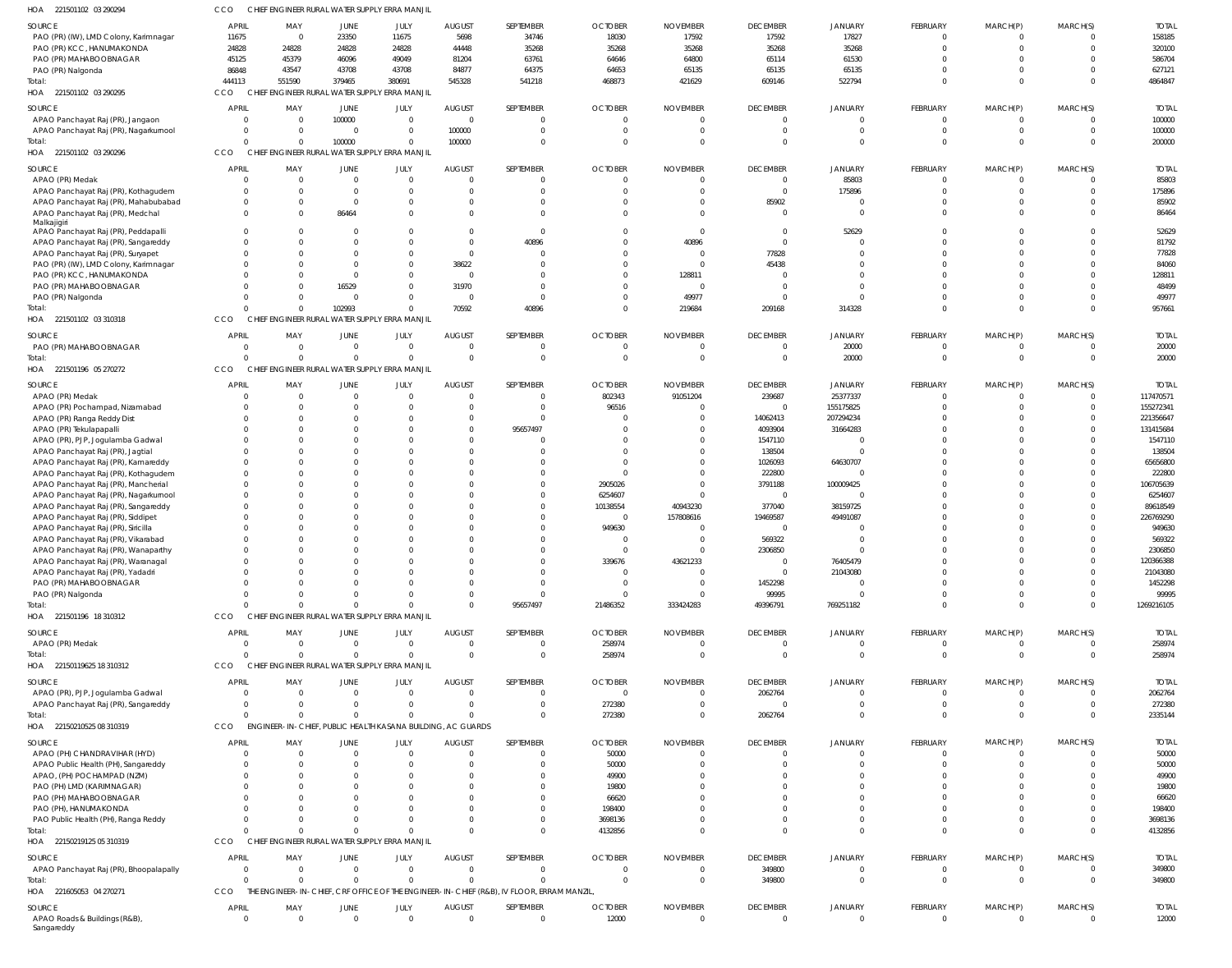| HOA 221501102 03 290294                            | ссо                  | CHIEF ENGINEER RURAL WATER SUPPLY ERRA MANJIL               |                          |                      |               |                                                                                           |                      |                 |                  |                      |                         |                         |                                  |                    |
|----------------------------------------------------|----------------------|-------------------------------------------------------------|--------------------------|----------------------|---------------|-------------------------------------------------------------------------------------------|----------------------|-----------------|------------------|----------------------|-------------------------|-------------------------|----------------------------------|--------------------|
| SOURCE                                             | <b>APRIL</b>         | MAY                                                         | JUNE                     | JULY                 | <b>AUGUST</b> | SEPTEMBER                                                                                 | <b>OCTOBER</b>       | <b>NOVEMBER</b> | <b>DECEMBER</b>  | <b>JANUARY</b>       | FEBRUARY                | MARCH(P)                | MARCH(S)                         | <b>TOTAL</b>       |
| PAO (PR) (IW), LMD Colony, Karimnagar              | 11675                | $\overline{0}$                                              | 23350                    | 11675                | 5698          | 34746                                                                                     | 18030                | 17592           | 17592            | 17827                | $\overline{0}$          | 0                       | $\overline{0}$                   | 158185             |
| PAO (PR) KCC, HANUMAKONDA                          | 24828                | 24828                                                       | 24828                    | 24828                | 44448         | 35268                                                                                     | 35268                | 35268           | 35268            | 35268                | $\mathbf 0$             | $\mathbf 0$             | $\overline{0}$                   | 320100             |
| PAO (PR) MAHABOOBNAGAR                             | 45125                | 45379                                                       | 46096                    | 49049                | 81204         | 63761                                                                                     | 64646                | 64800           | 65114            | 61530                | $\Omega$                | $\Omega$                | $\Omega$                         | 586704             |
| PAO (PR) Nalgonda                                  | 86848                | 43547                                                       | 43708                    | 43708                | 84877         | 64375                                                                                     | 64653                | 65135           | 65135            | 65135                | $\mathbf 0$             | $\Omega$                | $\Omega$                         | 627121             |
| Total:                                             | 444113               | 551590                                                      | 379465                   | 380691               | 545328        | 541218                                                                                    | 468873               | 421629          | 609146           | 522794               | $\mathbf 0$             | $\mathbf{0}$            | $\Omega$                         | 4864847            |
| HOA 221501102 03 290295                            | CCO                  | CHIEF ENGINEER RURAL WATER SUPPLY                           |                          | <b>ERRA MANJIL</b>   |               |                                                                                           |                      |                 |                  |                      |                         |                         |                                  |                    |
| SOURCE                                             | APRIL                | MAY                                                         | JUNE                     | JULY                 | <b>AUGUST</b> | SEPTEMBER                                                                                 | <b>OCTOBER</b>       | <b>NOVEMBER</b> | <b>DECEMBER</b>  | <b>JANUARY</b>       | FEBRUARY                | MARCH(P)                | MARCH(S)                         | <b>TOTAL</b>       |
| APAO Panchayat Raj (PR), Jangaon                   | 0                    | - 0                                                         | 100000                   | $\overline{0}$       | $\Omega$      | $\mathbf 0$                                                                               |                      |                 | $\mathbf 0$      | 0                    | $\overline{0}$          | $\mathbf 0$             | $\Omega$                         | 100000             |
| APAO Panchayat Raj (PR), Nagarkurnool              | $\Omega$             | $\Omega$                                                    | $\overline{0}$           | $\mathbf{0}$         | 100000        | $\mathbf 0$                                                                               | $\Omega$             | - 0             | $\Omega$         | $\Omega$             | $\mathbf{0}$            | $\mathbf 0$             | $\overline{0}$                   | 100000             |
| Total:                                             | $\Omega$             |                                                             | 100000                   | $\Omega$             | 100000        | $\mathbf{0}$                                                                              |                      |                 | $\Omega$         | $\Omega$             | $\Omega$                | $\mathbf{0}$            | $\Omega$                         | 200000             |
| HOA 221501102 03 290296                            | CCO                  | CHIEF ENGINEER RURAL WATER SUPPLY ERRA MANJIL               |                          |                      |               |                                                                                           |                      |                 |                  |                      |                         |                         |                                  |                    |
| SOURCE                                             | <b>APRIL</b>         | MAY                                                         | JUNE                     | JULY                 | <b>AUGUST</b> | SEPTEMBER                                                                                 | <b>OCTOBER</b>       | <b>NOVEMBER</b> | <b>DECEMBER</b>  | <b>JANUARY</b>       | FEBRUARY                | MARCH(P)                | MARCH(S)                         | <b>TOTAL</b>       |
| APAO (PR) Medak                                    | $\overline{0}$       | $\Omega$                                                    | $\overline{0}$           | $\mathbf{0}$         | $\Omega$      | $\Omega$                                                                                  | $\cap$               | - 0             | $\mathbf 0$      | 85803                | 0                       | $\Omega$                | $\overline{0}$                   | 85803              |
| APAO Panchayat Raj (PR), Kothagudem                | $\Omega$             | $\Omega$                                                    | $\Omega$                 | $\overline{0}$       |               | $\mathbf 0$                                                                               |                      | $\Omega$        | $\mathbf 0$      | 175896               | $\mathbf 0$             | $\mathbf 0$             | $\overline{0}$                   | 175896             |
| APAO Panchayat Raj (PR), Mahabubabad               |                      | $\Omega$                                                    | $\Omega$                 | $\Omega$             | $\Omega$      | $\Omega$                                                                                  |                      | $\Omega$        | 85902            |                      | $\mathbf 0$             | $\Omega$                | $\Omega$                         | 85902              |
| APAO Panchayat Raj (PR), Medchal                   |                      | $\mathbf 0$                                                 | 86464                    | $\Omega$             |               | $\Omega$<br>$\Omega$                                                                      |                      |                 | $\mathbf 0$      | $\Omega$             | $\mathbf 0$             | $\Omega$                | $\Omega$                         | 86464              |
| Malkajigiri<br>APAO Panchayat Raj (PR), Peddapalli |                      | $\Omega$                                                    | $\Omega$                 | $\Omega$             |               | $\mathbf{0}$                                                                              |                      | - 0             | $\overline{0}$   | 52629                | $\mathbf 0$             | $\Omega$                | $\Omega$                         | 52629              |
| APAO Panchayat Raj (PR), Sangareddy                | $\Omega$             |                                                             | $\Omega$                 | $\Omega$             | $\Omega$      | 40896                                                                                     |                      | 40896           | $\mathbf 0$      |                      | $\Omega$                | $\Omega$                | $\Omega$                         | 81792              |
| APAO Panchayat Raj (PR), Suryapet                  |                      | $\Omega$                                                    | <sup>0</sup>             | $\Omega$             | $\Omega$      | $\Omega$                                                                                  |                      | - 0             | 77828            | $\Omega$             | $\Omega$                | $\Omega$                | $\Omega$                         | 77828              |
| PAO (PR) (IW), LMD Colony, Karimnagar              | 0                    |                                                             | $\Omega$                 | $\mathbf 0$          | 38622         | $\Omega$                                                                                  |                      | - 0             | 45438            |                      | $\Omega$                | $\Omega$                | $\Omega$                         | 84060              |
| PAO (PR) KCC, HANUMAKONDA                          |                      | $\Omega$                                                    | $\Omega$                 | $\Omega$             |               | $\Omega$                                                                                  | $\cap$               | 128811          |                  |                      | $\Omega$                | $\Omega$                | $\Omega$                         | 128811             |
| PAO (PR) MAHABOOBNAGAR                             | $\Omega$             |                                                             | 16529                    | $\mathbf 0$          | 31970         | $\Omega$                                                                                  |                      | ſ               |                  |                      | $\Omega$                | $\Omega$                | $\Omega$                         | 48499              |
| PAO (PR) Nalgonda                                  | $\Omega$             |                                                             | $\Omega$                 | $\Omega$             |               | $\Omega$                                                                                  | $\Omega$             | 49977           | $\Omega$         |                      | $\Omega$                | $\Omega$                | $\Omega$                         | 49977              |
| Total:                                             | $\Omega$             | $\Omega$                                                    | 102993                   | $\mathbf 0$          | 70592         | 40896                                                                                     |                      | 219684          | 209168           | 314328               | $\mathbf 0$             | $\mathbf 0$             | $\Omega$                         | 957661             |
| HOA 221501102 03 310318                            | CCO                  | CHIEF ENGINEER RURAL WATER SUPPLY ERRA MANJIL               |                          |                      |               |                                                                                           |                      |                 |                  |                      |                         |                         |                                  |                    |
| SOURCE                                             | <b>APRIL</b>         | MAY                                                         | <b>JUNE</b>              | JULY                 | <b>AUGUST</b> | SEPTEMBER                                                                                 | <b>OCTOBER</b>       | <b>NOVEMBER</b> | <b>DECEMBER</b>  | <b>JANUARY</b>       | FEBRUARY                | MARCH(P)                | MARCH(S)                         | <b>TOTAL</b>       |
| PAO (PR) MAHABOOBNAGAR                             | 0                    | - 0                                                         | $\overline{0}$           | $\mathbf{0}$         |               | $\mathbf 0$                                                                               |                      |                 | $\mathbf 0$      | 20000                | $\overline{0}$          | 0                       | $\overline{0}$                   | 20000              |
| Total:                                             | $\Omega$             |                                                             | $\mathbf 0$              | $\mathbf 0$          | $\Omega$      | $\mathbf{0}$                                                                              |                      |                 | $\overline{0}$   | 20000                | $\overline{0}$          | $\mathbf 0$             | $\overline{0}$                   | 20000              |
| HOA 221501196 05 270272                            | CCO                  | CHIEF ENGINEER RURAL WATER SUPPLY ERRA MANJIL               |                          |                      |               |                                                                                           |                      |                 |                  |                      |                         |                         |                                  |                    |
| SOURCE                                             | APRIL                | MAY                                                         | <b>JUNE</b>              | JULY                 | <b>AUGUST</b> | SEPTEMBER                                                                                 | <b>OCTOBER</b>       | <b>NOVEMBER</b> | <b>DECEMBER</b>  | <b>JANUARY</b>       | FEBRUARY                | MARCH(P)                | MARCH(S)                         | <b>TOTAL</b>       |
| APAO (PR) Medak                                    | $\Omega$             | $\Omega$                                                    | $\overline{0}$           | $\mathbf{0}$         | $\Omega$      | $\mathbf 0$                                                                               | 802343               | 91051204        | 239687           | 25377337             | $\mathbf 0$             | 0                       | $\overline{0}$                   | 117470571          |
| APAO (PR) Pochampad, Nizamabad                     | $\Omega$             | $\Omega$                                                    | $\Omega$                 | $\Omega$             | $\Omega$      | $\mathbf 0$                                                                               | 96516                |                 | $\mathbf 0$      | 155175825            | $\mathbf 0$             | $\mathbf 0$             | $\overline{0}$                   | 155272341          |
| APAO (PR) Ranga Reddy Dist                         |                      | $\Omega$                                                    | $\Omega$                 | $\Omega$             |               | $\mathbf 0$<br>$\Omega$                                                                   | - 0                  |                 | 14062413         | 207294234            | $\mathbf 0$             | $\Omega$                | $\Omega$                         | 221356647          |
| APAO (PR) Tekulapapalli                            | $\Omega$             |                                                             | $\Omega$                 | $\Omega$             | $\Omega$      | 95657497                                                                                  | $\Omega$             |                 | 4093904          | 31664283             | $\Omega$                | $\Omega$                | $\Omega$                         | 131415684          |
| APAO (PR), PJP, Jogulamba Gadwal                   | $\Omega$             |                                                             | $\Omega$                 | $\Omega$             |               | 0                                                                                         |                      |                 | 1547110          |                      | $\Omega$                | $\Omega$                | $\Omega$                         | 1547110            |
| APAO Panchayat Raj (PR), Jagtial                   |                      | $\Omega$                                                    | $\Omega$                 | $\Omega$             |               | $\Omega$                                                                                  |                      |                 | 138504           |                      | $\Omega$                | $\Omega$                | $\Omega$                         | 138504             |
| APAO Panchayat Raj (PR), Kamareddy                 |                      | $\Omega$                                                    | <sup>0</sup>             | $\Omega$             |               | $\Omega$                                                                                  |                      |                 | 1026093          | 64630707             | $\Omega$                | $\Omega$                | $\Omega$                         | 65656800           |
| APAO Panchayat Raj (PR), Kothagudem                |                      | $\Omega$                                                    | $\Omega$                 | $\Omega$             |               | $\Omega$                                                                                  |                      |                 | 222800           |                      | $\Omega$                | $\Omega$                | $\Omega$                         | 222800             |
| APAO Panchayat Raj (PR), Mancherial                |                      | $\Omega$                                                    |                          | $\Omega$             |               | $\Omega$                                                                                  | 2905026              |                 | 3791188          | 100009425            | $\mathbf 0$             | $\Omega$                | $\Omega$                         | 106705639          |
| APAO Panchayat Raj (PR), Nagarkurnool              |                      | $\Omega$                                                    | <sup>0</sup>             | $\Omega$             |               | $\Omega$                                                                                  | 6254607              |                 | $\mathbf 0$      |                      | $\Omega$                | $\Omega$                | $\Omega$                         | 6254607            |
| APAO Panchayat Raj (PR), Sangareddy                | $\Omega$             |                                                             |                          | $\Omega$             |               | $\Omega$                                                                                  | 10138554             | 40943230        | 377040           | 38159725             | $\Omega$                | $\Omega$                | $\Omega$                         | 89618549           |
| APAO Panchayat Raj (PR), Siddipet                  |                      | $\Omega$                                                    | <sup>0</sup>             | $\Omega$             |               | $\Omega$                                                                                  |                      | 157808616       | 19469587         | 49491087             | $\Omega$                | $\Omega$                | $\Omega$                         | 226769290          |
| APAO Panchayat Raj (PR), Siricilla                 | 0                    |                                                             |                          | $\Omega$             |               | $\mathbf 0$                                                                               | 949630               |                 | $\mathbf 0$      |                      | $\mathbf 0$             | $\Omega$                | $\Omega$                         | 949630             |
| APAO Panchayat Raj (PR), Vikarabad                 | $\Omega$             |                                                             | $\Omega$                 | $\Omega$             |               | $\Omega$                                                                                  | - 0                  |                 | 569322           |                      | $\Omega$                | $\Omega$                | $\Omega$                         | 569322             |
| APAO Panchayat Raj (PR), Wanaparthy                |                      | $\Omega$                                                    | $\Omega$                 | $\Omega$             |               | $\Omega$<br>$\Omega$                                                                      | $\Omega$             | $\cap$          | 2306850          | $\Omega$             | $\Omega$                | $\Omega$                | $\Omega$                         | 2306850            |
| APAO Panchayat Raj (PR), Waranagal                 |                      | $^{\circ}$                                                  | $\Omega$                 | $\Omega$             |               | $\mathbf{0}$                                                                              | 339676               | 43621233        | $\mathbf 0$      | 76405479             | $\overline{0}$          | $\mathbf 0$             | $\overline{0}$                   | 120366388          |
| APAO Panchayat Raj (PR), Yadadri                   | $\Omega$<br>$\Omega$ |                                                             | $\Omega$<br><sup>0</sup> | $\Omega$<br>$\Omega$ | $\Omega$      | $\mathbf 0$<br>$\mathbf 0$                                                                | $\Omega$<br>$\Omega$ | $\Omega$        | $\mathbf 0$      | 21043080<br>$\Omega$ | $\mathbf 0$<br>$\Omega$ | $\mathbf 0$<br>$\Omega$ | $\Omega$<br>$\Omega$             | 21043080           |
| PAO (PR) MAHABOOBNAGAR<br>PAO (PR) Nalgonda        | $\Omega$             |                                                             | $\Omega$                 | $\Omega$             |               | $\mathbf{0}$<br>$\Omega$                                                                  | $\Omega$             | $\Omega$        | 1452298<br>99995 | $\Omega$             | $\mathbf 0$             | $\mathbf 0$             | $\Omega$                         | 1452298<br>99995   |
| Total:                                             | $\Omega$             |                                                             | $\Omega$                 | $\Omega$             |               | 95657497<br>$\Omega$                                                                      | 21486352             | 333424283       | 49396791         | 769251182            | $\mathbf 0$             | $\overline{0}$          | $\Omega$                         | 1269216105         |
| HOA 221501196 18 310312                            | CCO                  | CHIEF ENGINEER RURAL WATER SUPPLY ERRA MANJIL               |                          |                      |               |                                                                                           |                      |                 |                  |                      |                         |                         |                                  |                    |
|                                                    |                      |                                                             |                          |                      |               |                                                                                           |                      |                 |                  |                      |                         |                         |                                  |                    |
| SOURCE                                             | <b>APRIL</b>         | MAY                                                         | <b>JUNE</b>              | JULY                 | <b>AUGUST</b> | SEPTEMBER                                                                                 | <b>OCTOBER</b>       | <b>NOVEMBER</b> | <b>DECEMBER</b>  | <b>JANUARY</b>       | FEBRUARY                | MARCH(P)                | MARCH(S)                         | <b>TOTAL</b>       |
| APAO (PR) Medak                                    | $\overline{0}$       | $\Omega$                                                    | $\overline{0}$           | $\mathbf{0}$         | $\Omega$      | $\mathbf{0}$                                                                              | 258974               | $\Omega$        | $\mathbf 0$      | $\mathbf 0$          | $\overline{0}$          | $\mathbf{0}$            | $\overline{0}$<br>$\overline{0}$ | 258974             |
| Total:<br>HOA 22150119625 18 310312                | $\Omega$<br>CCO      | CHIEF ENGINEER RURAL WATER SUPPLY ERRA MANJIL               | $\Omega$                 | $\mathbf{0}$         | $\Omega$      | $\mathbf{0}$                                                                              | 258974               | - 0             | $\Omega$         | $\Omega$             | $\overline{0}$          | $\mathbf{0}$            |                                  | 258974             |
|                                                    |                      |                                                             |                          |                      |               |                                                                                           |                      |                 |                  |                      |                         |                         |                                  |                    |
| SOURCE                                             | <b>APRIL</b>         | MAY                                                         | <b>JUNE</b>              | JULY                 | <b>AUGUST</b> | SEPTEMBER                                                                                 | <b>OCTOBER</b>       | <b>NOVEMBER</b> | <b>DECEMBER</b>  | <b>JANUARY</b>       | FEBRUARY                | MARCH(P)                | MARCH(S)                         | <b>TOTAL</b>       |
| APAO (PR), PJP, Jogulamba Gadwal                   | 0                    | $\Omega$                                                    | $\overline{0}$           | $\mathbf{0}$         | $\Omega$      | $\overline{0}$                                                                            | - 0                  | - 0             | 2062764          | 0                    | 0                       | 0                       | $\overline{0}$                   | 2062764            |
| APAO Panchayat Raj (PR), Sangareddy                | 0                    | $\Omega$                                                    | $\mathbf 0$              | $\mathbf{0}$         | $\Omega$      | $\mathbf 0$                                                                               | 272380               |                 | $\mathbf 0$      |                      | $\mathbf 0$             | $\mathbf 0$             | $\overline{0}$                   | 272380             |
| Total:                                             | $\Omega$             | $\Omega$                                                    | $\Omega$                 | $\Omega$             |               | $\mathbf 0$<br>$\Omega$                                                                   | 272380               | $\Omega$        | 2062764          | $\Omega$             | $\mathbf 0$             | $\mathbf 0$             | $\Omega$                         | 2335144            |
| HOA 22150210525 08 310319                          | <b>CCO</b>           | ENGINEER-IN-CHIEF, PUBLIC HEALTH KASANA BUILDING, AC GUARDS |                          |                      |               |                                                                                           |                      |                 |                  |                      |                         |                         |                                  |                    |
| SOURCE                                             | <b>APRIL</b>         | MAY                                                         | <b>JUNE</b>              | JULY                 | <b>AUGUST</b> | SEPTEMBER                                                                                 | <b>OCTOBER</b>       | <b>NOVEMBER</b> | <b>DECEMBER</b>  | <b>JANUARY</b>       | FEBRUARY                | MARCH(P)                | MARCH(S)                         | <b>TOTAL</b>       |
| APAO (PH) CHANDRAVIHAR (HYD)                       | 0                    | - 0                                                         | $\overline{0}$           | $\mathbf{0}$         | $\Omega$      | $\overline{0}$                                                                            | 50000                | - 0             | $\Omega$         | $\Omega$             | $\overline{0}$          | $\overline{0}$          | $\overline{0}$                   | 50000              |
| APAO Public Health (PH), Sangareddy                | 0                    |                                                             | $\Omega$                 | $\mathbf{0}$         |               | $\overline{0}$                                                                            | 50000                |                 | $\Omega$         |                      | $\overline{0}$          | $\mathbf 0$             | $\Omega$                         | 50000              |
| APAO, (PH) POCHAMPAD (NZM)                         | $\Omega$             |                                                             |                          | $\Omega$             |               | $\mathbf 0$                                                                               | 49900                |                 |                  |                      | $\mathbf 0$             | $\mathbf 0$             | $\Omega$                         | 49900              |
| PAO (PH) LMD (KARIMNAGAR)                          |                      | $\Omega$                                                    | 0                        | $\Omega$             |               | $\mathbf 0$                                                                               | 19800                |                 |                  |                      | $\mathbf 0$             | $\mathbf 0$             | $\Omega$                         | 19800              |
| PAO (PH) MAHABOOBNAGAR                             | $\Omega$             |                                                             |                          |                      |               | $\mathbf 0$                                                                               | 66620                |                 |                  |                      | $\mathbf 0$             | $\Omega$                |                                  | 66620              |
| PAO (PH), HANUMAKONDA                              | $\Omega$             |                                                             | <sup>0</sup>             | $\Omega$             |               | $\Omega$                                                                                  | 198400               |                 |                  |                      | $\Omega$                | $\Omega$                | $\Omega$                         | 198400             |
| PAO Public Health (PH), Ranga Reddy                | $\Omega$<br>$\Omega$ |                                                             | $\Omega$                 | $\Omega$             |               | $\mathbf 0$                                                                               | 3698136              |                 | $\Omega$         | $\Omega$<br>$\Omega$ | $\mathbf 0$<br>$\Omega$ | $\mathbf 0$             | $\Omega$<br>$\Omega$             | 3698136<br>4132856 |
| Total:<br>HOA 22150219125 05 310319                | CCO                  | CHIEF ENGINEER RURAL WATER SUPPLY ERRA MANJIL               | $\Omega$                 | $\Omega$             |               | $\Omega$<br><sup>0</sup>                                                                  | 4132856              |                 | $\Omega$         |                      |                         | $\mathbf 0$             |                                  |                    |
|                                                    |                      |                                                             |                          |                      |               |                                                                                           |                      |                 |                  |                      |                         |                         |                                  |                    |
| SOURCE                                             | <b>APRIL</b>         | MAY                                                         | JUNE                     | JULY                 | <b>AUGUST</b> | SEPTEMBER                                                                                 | <b>OCTOBER</b>       | <b>NOVEMBER</b> | <b>DECEMBER</b>  | <b>JANUARY</b>       | FEBRUARY                | MARCH(P)                | MARCH(S)                         | <b>TOTAL</b>       |
| APAO Panchayat Raj (PR), Bhoopalapally             | $\overline{0}$       | $\Omega$                                                    | $\mathbf{0}$             | $\mathbf{0}$         | $\Omega$      | $\overline{0}$                                                                            | - 0                  | - 0             | 349800           | $\mathbf 0$          | 0                       | 0                       | $^{\circ}$                       | 349800             |
| Total:                                             | $\Omega$             | $\Omega$                                                    | $\Omega$                 | $\Omega$             |               | $\Omega$<br>$\Omega$                                                                      | $\Omega$             | $\Omega$        | 349800           | $\Omega$             | $\overline{0}$          | $\mathbf{0}$            | $\overline{0}$                   | 349800             |
| HOA 221605053 04 270271                            | CCO                  |                                                             |                          |                      |               | THE ENGINEER-IN-CHIEF, CRF OFFICE OF THE ENGINEER-IN-CHIEF (R&B), IV FLOOR, ERRAM MANZIL, |                      |                 |                  |                      |                         |                         |                                  |                    |
| SOURCE                                             | <b>APRIL</b>         | MAY                                                         | <b>JUNE</b>              | JULY                 | <b>AUGUST</b> | SEPTEMBER                                                                                 | <b>OCTOBER</b>       | <b>NOVEMBER</b> | <b>DECEMBER</b>  | <b>JANUARY</b>       | FEBRUARY                | MARCH(P)                | MARCH(S)                         | <b>TOTAL</b>       |
| APAO Roads & Buildings (R&B),<br>Sangareddy        | $\overline{0}$       | $\Omega$                                                    | $\overline{0}$           | $\overline{0}$       | $\Omega$      | $\mathbf{0}$                                                                              | 12000                | $\Omega$        | $\mathbf{0}$     | $\mathbf 0$          | $\overline{0}$          | $\mathbf{0}$            | $\overline{0}$                   | 12000              |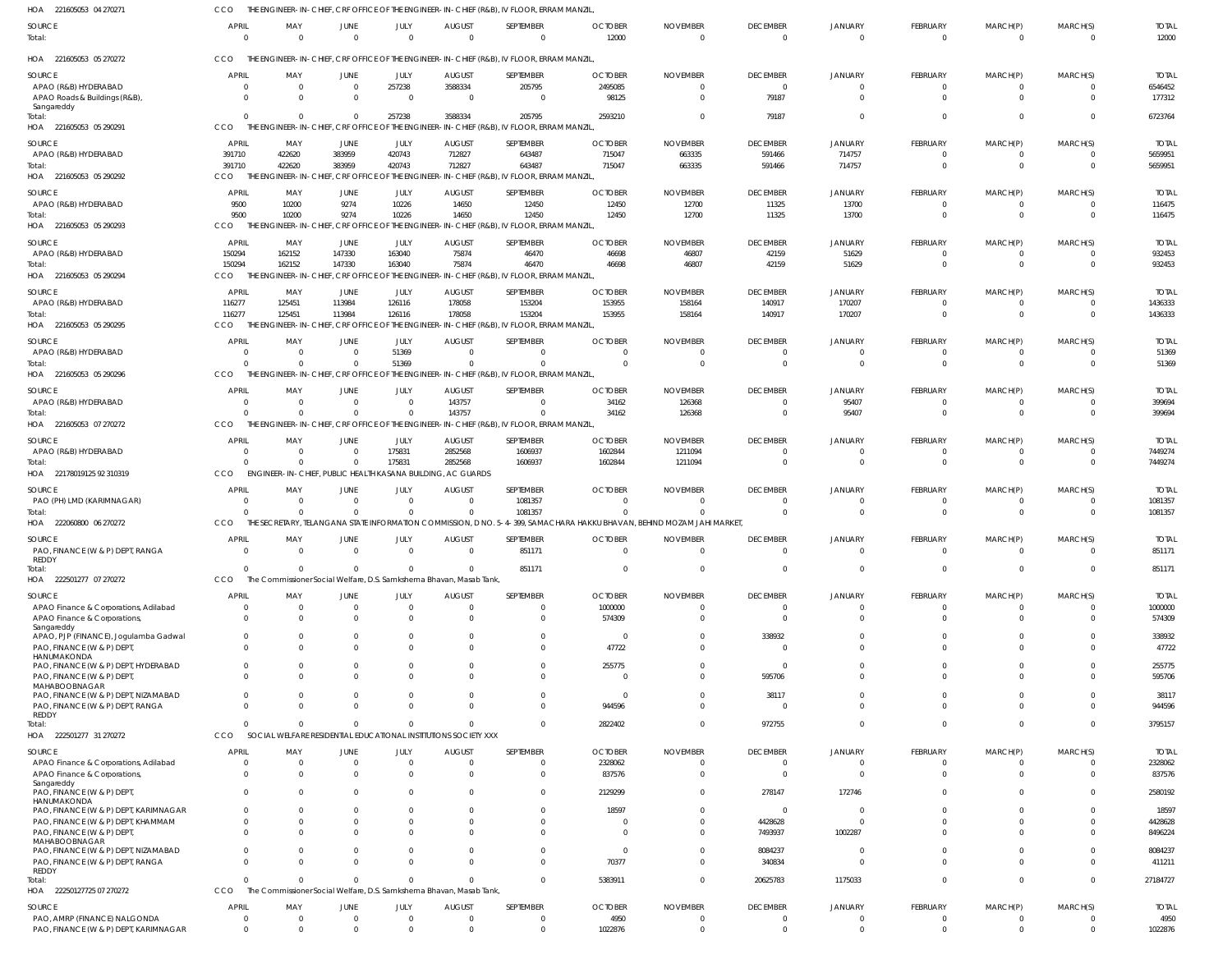221605053 04 270271 HOA CCO THE ENGINEER-IN-CHIEF, CRF OFFICE OF THE ENGINEER-IN-CHIEF (R&B), IV FLOOR, ERRAM MANZIL,

| SOURCE<br>Total:                                                            | APRIL<br>$\Omega$          | MAY<br>$\Omega$                                                     | JUNE<br>$\Omega$           | JULY<br>$\overline{0}$ | AUGUST<br>$\Omega$        | SEPTEMBER<br>$\overline{0}$                                                                                             | <b>OCTOBER</b><br>12000          | <b>NOVEMBER</b><br>$\overline{0}$ | <b>DECEMBER</b><br>$\Omega$ | JANUARY<br>$\mathbf 0$   | <b>FEBRUARY</b><br>$\overline{0}$ | MARCH(P)<br>$\overline{0}$ | MARCH(S)<br>$\mathbf 0$      | <b>TOTAL</b><br>12000   |
|-----------------------------------------------------------------------------|----------------------------|---------------------------------------------------------------------|----------------------------|------------------------|---------------------------|-------------------------------------------------------------------------------------------------------------------------|----------------------------------|-----------------------------------|-----------------------------|--------------------------|-----------------------------------|----------------------------|------------------------------|-------------------------|
| HOA 221605053 05 270272                                                     | CCO                        |                                                                     |                            |                        |                           | THE ENGINEER-IN-CHIEF, CRF OFFICE OF THE ENGINEER-IN-CHIEF (R&B), IV FLOOR, ERRAM MANZIL                                |                                  |                                   |                             |                          |                                   |                            |                              |                         |
| SOURCE                                                                      | <b>APRIL</b>               | MAY                                                                 | JUNE                       | JULY                   | <b>AUGUST</b>             | SEPTEMBER                                                                                                               | <b>OCTOBER</b>                   | <b>NOVEMBER</b>                   | <b>DECEMBER</b>             | <b>JANUARY</b>           | FEBRUARY                          | MARCH(P)                   | MARCH(S)                     | <b>TOTAL</b>            |
| APAO (R&B) HYDERABAD<br>APAO Roads & Buildings (R&B),                       | $\overline{0}$<br>$\Omega$ | $\overline{0}$<br>$\Omega$                                          | $\overline{0}$<br>$\Omega$ | 257238<br>$\Omega$     | 3588334<br>$\overline{0}$ | 205795<br>$\Omega$                                                                                                      | 2495085<br>98125                 | $\Omega$<br>$\overline{0}$        | $\Omega$<br>79187           |                          | $\mathbf{0}$<br>$\Omega$          | 0<br>$\Omega$              | 0<br>$\Omega$                | 6546452<br>177312       |
| Sangareddy<br>Total:<br>HOA 221605053 05 290291                             | $\Omega$<br>CCO            | $\Omega$                                                            | $\Omega$                   | 257238                 | 3588334                   | 205795<br>THE ENGINEER-IN-CHIEF, CRF OFFICE OF THE ENGINEER-IN-CHIEF (R&B), IV FLOOR, ERRAM MANZIL                      | 2593210                          | $\Omega$                          | 79187                       | $\Omega$                 | $\Omega$                          | $\Omega$                   | $\Omega$                     | 6723764                 |
|                                                                             |                            |                                                                     |                            |                        |                           |                                                                                                                         |                                  |                                   |                             |                          |                                   |                            |                              |                         |
| SOURCE<br>APAO (R&B) HYDERABAD                                              | APRIL<br>391710            | MAY<br>422620                                                       | JUNE<br>383959             | JULY<br>420743         | <b>AUGUST</b><br>712827   | SEPTEMBER<br>643487                                                                                                     | <b>OCTOBER</b><br>715047         | <b>NOVEMBER</b><br>663335         | <b>DECEMBER</b><br>591466   | <b>JANUARY</b><br>714757 | <b>FEBRUARY</b><br>$\overline{0}$ | MARCH(P)<br>$\overline{0}$ | MARCH(S)<br>$\mathbf{0}$     | <b>TOTAL</b><br>5659951 |
| Total:                                                                      | 391710                     | 422620                                                              | 383959                     | 420743                 | 712827                    | 643487                                                                                                                  | 715047                           | 663335                            | 591466                      | 714757                   | $\overline{0}$                    | $\Omega$                   | $\mathbf 0$                  | 5659951                 |
| HOA 221605053 05 290292                                                     | CCO                        |                                                                     |                            |                        |                           | THE ENGINEER-IN-CHIEF, CRF OFFICE OF THE ENGINEER-IN-CHIEF (R&B), IV FLOOR, ERRAM MANZIL                                |                                  |                                   |                             |                          |                                   |                            |                              |                         |
| SOURCE                                                                      | APRIL                      | MAY                                                                 | JUNE                       | JULY                   | <b>AUGUST</b>             | SEPTEMBER                                                                                                               | <b>OCTOBER</b>                   | <b>NOVEMBER</b>                   | <b>DECEMBER</b>             | <b>JANUARY</b>           | <b>FEBRUARY</b>                   | MARCH(P)                   | MARCH(S)                     | <b>TOTAL</b>            |
| APAO (R&B) HYDERABAD                                                        | 9500                       | 10200                                                               | 9274                       | 10226                  | 14650                     | 12450                                                                                                                   | 12450                            | 12700                             | 11325                       | 13700                    | $\mathbf{0}$                      | 0                          | $\Omega$                     | 116475                  |
| Total:                                                                      | 9500                       | 10200                                                               | 9274                       | 10226                  | 14650                     | 12450                                                                                                                   | 12450                            | 12700                             | 11325                       | 13700                    | $\mathbf{0}$                      | $\Omega$                   | $\Omega$                     | 116475                  |
| HOA 221605053 05 290293                                                     | CCO                        | THE ENGINEER-IN-CHIEF                                               | CRF OFFICE OF              |                        |                           | THE ENGINEER-IN-CHIEF (R&B), IV FLOOR, ERRAM MANZIL                                                                     |                                  |                                   |                             |                          |                                   |                            |                              |                         |
| SOURCE                                                                      | APRIL                      | MAY                                                                 | JUNE                       | JULY                   | <b>AUGUST</b>             | SEPTEMBER                                                                                                               | <b>OCTOBER</b>                   | <b>NOVEMBER</b>                   | <b>DECEMBER</b>             | <b>JANUARY</b>           | FEBRUARY                          | MARCH(P)                   | MARCH(S)                     | <b>TOTAL</b>            |
| APAO (R&B) HYDERABAD                                                        | 150294                     | 162152                                                              | 147330                     | 163040                 | 75874                     | 46470                                                                                                                   | 46698                            | 46807                             | 42159                       | 51629                    | $\mathbf{0}$                      | 0                          | 0                            | 932453                  |
| Total:                                                                      | 150294                     | 162152                                                              | 147330                     | 163040                 | 75874                     | 46470                                                                                                                   | 46698                            | 46807                             | 42159                       | 51629                    | $\Omega$                          | $\Omega$                   | $\mathbf 0$                  | 932453                  |
| HOA 221605053 05 290294                                                     | CCO                        |                                                                     |                            |                        |                           | THE ENGINEER-IN-CHIEF, CRF OFFICE OF THE ENGINEER-IN-CHIEF (R&B), IV FLOOR, ERRAM MANZIL                                |                                  |                                   |                             |                          |                                   |                            |                              |                         |
| SOURCE                                                                      | APRIL                      | MAY                                                                 | JUNE                       | JULY                   | <b>AUGUST</b>             | SEPTEMBER                                                                                                               | <b>OCTOBER</b>                   | <b>NOVEMBER</b>                   | <b>DECEMBER</b>             | <b>JANUARY</b>           | <b>FEBRUARY</b>                   | MARCH(P)                   | MARCH(S)                     | <b>TOTAL</b>            |
| APAO (R&B) HYDERABAD                                                        | 116277                     | 125451                                                              | 113984                     | 126116                 | 178058                    | 153204                                                                                                                  | 153955                           | 158164                            | 140917                      | 170207                   | $\Omega$                          | $\Omega$                   | $\Omega$                     | 1436333                 |
| Total:<br>HOA 221605053 05 290295                                           | 116277<br>CCO              | 125451<br>THF                                                       | 113984                     | 126116                 | 178058                    | 153204<br>ENGINEER-IN-CHIEF, CRF OFFICE OF THE ENGINEER-IN-CHIEF (R&B), IV FLOOR, ERRAM MANZIL                          | 153955                           | 158164                            | 140917                      | 170207                   | $\Omega$                          | $\Omega$                   | $\Omega$                     | 1436333                 |
|                                                                             |                            |                                                                     |                            |                        |                           |                                                                                                                         |                                  |                                   |                             |                          |                                   |                            |                              |                         |
| SOURCE                                                                      | APRIL                      | MAY                                                                 | <b>JUNE</b>                | JULY                   | <b>AUGUST</b>             | SEPTEMBER                                                                                                               | <b>OCTOBER</b>                   | <b>NOVEMBER</b>                   | <b>DECEMBER</b>             | JANUARY                  | FEBRUARY                          | MARCH(P)                   | MARCH(S)                     | <b>TOTAL</b>            |
| APAO (R&B) HYDERABAD<br>Total:                                              | $\Omega$<br>$\Omega$       | $\Omega$<br>$\Omega$                                                | $\overline{0}$<br>$\Omega$ | 51369<br>51369         | $\Omega$<br>$\Omega$      | $\Omega$<br>$\Omega$                                                                                                    | $\Omega$<br>$\overline{0}$       | $\Omega$<br>$\Omega$              | $\Omega$<br>$\Omega$        | $\Omega$<br>$\Omega$     | $\overline{0}$<br>$\Omega$        | $\overline{0}$<br>$\Omega$ | $\mathbf{0}$<br>$\Omega$     | 51369<br>51369          |
| HOA 221605053 05 290296                                                     | CCO                        | THE ENGINEER-IN-CHIEF, CRF OFFICE OF                                |                            |                        |                           | THE ENGINEER-IN-CHIEF (R&B), IV FLOOR, ERRAM MANZIL                                                                     |                                  |                                   |                             |                          |                                   |                            |                              |                         |
|                                                                             | APRIL                      | MAY                                                                 |                            |                        |                           | SEPTEMBER                                                                                                               | <b>OCTOBER</b>                   |                                   |                             |                          |                                   |                            |                              |                         |
| SOURCE<br>APAO (R&B) HYDERABAD                                              | $\Omega$                   | $\Omega$                                                            | JUNE<br>$\Omega$           | JULY<br>$\Omega$       | <b>AUGUST</b><br>143757   | $\Omega$                                                                                                                | 34162                            | <b>NOVEMBER</b><br>126368         | <b>DECEMBER</b>             | JANUARY<br>95407         | <b>FEBRUARY</b><br>$\mathbf{0}$   | MARCH(P)<br>$\Omega$       | MARCH(S)<br>$\Omega$         | <b>TOTAL</b><br>399694  |
| Total:                                                                      | $\Omega$                   | $\Omega$                                                            | $\Omega$                   | $\Omega$               | 143757                    | $\Omega$                                                                                                                | 34162                            | 126368                            |                             | 95407                    | $\Omega$                          | $\Omega$                   | $\Omega$                     | 399694                  |
| HOA 221605053 07 270272                                                     | CCO                        |                                                                     |                            |                        |                           | THE ENGINEER-IN-CHIEF, CRF OFFICE OF THE ENGINEER-IN-CHIEF (R&B), IV FLOOR, ERRAM MANZIL                                |                                  |                                   |                             |                          |                                   |                            |                              |                         |
| SOURCE                                                                      | <b>APRIL</b>               | MAY                                                                 | JUNE                       | JULY                   | <b>AUGUST</b>             | SEPTEMBER                                                                                                               | <b>OCTOBER</b>                   | <b>NOVEMBER</b>                   | <b>DECEMBER</b>             | <b>JANUARY</b>           | FEBRUARY                          | MARCH(P)                   | MARCH(S)                     | <b>TOTAL</b>            |
| APAO (R&B) HYDERABAD                                                        | $\Omega$                   | $\Omega$                                                            | $\overline{0}$             | 175831                 | 2852568                   | 1606937                                                                                                                 | 1602844                          | 1211094                           |                             | $\Omega$                 | $\overline{0}$                    | $\Omega$                   | $\Omega$                     | 7449274                 |
| Total:                                                                      | $\Omega$                   | $\Omega$                                                            | $\Omega$                   | 175831                 | 2852568                   | 1606937                                                                                                                 | 1602844                          | 1211094                           | $\Omega$                    | $\Omega$                 | $\overline{0}$                    | $\Omega$                   | $\mathbf 0$                  | 7449274                 |
| HOA 22178019125 92 310319                                                   | CCO                        | ENGINEER-IN-CHIEF, PUBLIC HEALTH KASANA BUILDING, AC GUARDS         |                            |                        |                           |                                                                                                                         |                                  |                                   |                             |                          |                                   |                            |                              |                         |
| SOURCE                                                                      | APRIL                      | MAY                                                                 | JUNE                       | JULY                   | <b>AUGUST</b>             | SEPTEMBER                                                                                                               | <b>OCTOBER</b>                   | <b>NOVEMBER</b>                   | <b>DECEMBER</b>             | JANUARY                  | FEBRUARY                          | MARCH(P)                   | MARCH(S)                     | <b>TOTAL</b>            |
| PAO (PH) LMD (KARIMNAGAR)                                                   | $\Omega$                   | $\overline{0}$                                                      | $\mathbf{0}$               | $\Omega$               | $\overline{0}$            | 1081357                                                                                                                 | $\Omega$                         | $\Omega$                          |                             |                          | $\mathbf{0}$                      | $\Omega$                   | 0                            | 1081357                 |
| Total:                                                                      | $\Omega$                   | $\Omega$                                                            | $\Omega$                   | $\Omega$               | $\Omega$                  | 1081357                                                                                                                 | $\Omega$                         | $\Omega$                          | $\Omega$                    |                          | $\Omega$                          | $\Omega$                   | $\Omega$                     | 1081357                 |
| HOA 222060800 06 270272                                                     | CCO                        |                                                                     |                            |                        |                           | THE SECRETARY, TELANGANA STATE INFORMATION COMMISSION, D NO. 5-4-399, SAMACHARA HAKKU BHAVAN, BEHIND MOZAM JAHI MARKET, |                                  |                                   |                             |                          |                                   |                            |                              |                         |
| SOURCE                                                                      | APRIL                      | MAY                                                                 | JUNE                       | JULY                   | <b>AUGUST</b>             | SEPTEMBER                                                                                                               | <b>OCTOBER</b>                   | <b>NOVEMBER</b>                   | <b>DECEMBER</b>             | <b>JANUARY</b>           | <b>FEBRUARY</b>                   | MARCH(P)                   | MARCH(S)                     | <b>TOTAL</b>            |
| PAO, FINANCE (W & P) DEPT, RANGA<br>REDDY                                   | $\Omega$                   | $\Omega$                                                            | $\Omega$                   | $\overline{0}$         | $\overline{0}$            | 851171                                                                                                                  | - 0                              | $\Omega$                          | $\Omega$                    | $\Omega$                 | $\Omega$                          | $\Omega$                   | $\Omega$                     | 851171                  |
| Total:                                                                      | $\Omega$                   |                                                                     | $\Omega$                   |                        | $\Omega$                  | 851171                                                                                                                  |                                  |                                   |                             |                          |                                   |                            | $\Omega$                     | 851171                  |
| HOA 222501277 07 270272                                                     | CCO                        | The Commissioner Social Welfare, D.S. Samkshema Bhavan, Masab Tank, |                            |                        |                           |                                                                                                                         |                                  |                                   |                             |                          |                                   |                            |                              |                         |
| SOURCE                                                                      | <b>APRIL</b>               | MAY                                                                 | JUNE                       | JULY                   | <b>AUGUST</b>             | SEPTEMBER                                                                                                               | <b>OCTOBER</b>                   | <b>NOVEMBER</b>                   | <b>DECEMBER</b>             | <b>JANUARY</b>           | FEBRUARY                          | MARCH(P)                   | MARCH(S)                     | <b>TOTAL</b>            |
| APAO Finance & Corporations, Adilabad                                       | $\Omega$                   | $\overline{0}$                                                      | $\Omega$                   | $\Omega$               | $\Omega$                  | $\Omega$                                                                                                                | 1000000                          | $\Omega$                          |                             |                          | $\Omega$                          | 0                          | 0                            | 1000000                 |
| APAO Finance & Corporations,                                                | $\Omega$                   | $\Omega$                                                            | $\Omega$                   | $\Omega$               | $\Omega$                  | $\Omega$                                                                                                                | 574309                           | $\Omega$                          | $\Omega$                    |                          | $\Omega$                          | $\Omega$                   | $\Omega$                     | 574309                  |
| Sangareddy<br>APAO, PJP (FINANCE), Jogulamba Gadwal                         | $\Omega$                   | $\Omega$                                                            | $\Omega$                   | $\Omega$               | $\Omega$                  | $\Omega$                                                                                                                | $\overline{\mathbf{0}}$          | $\Omega$                          | 338932                      |                          | $\Omega$                          | <sup>0</sup>               | $\Omega$                     | 338932                  |
| PAO, FINANCE (W & P) DEPT,                                                  | $\Omega$                   | $\Omega$                                                            | $\Omega$                   |                        | $\Omega$                  | $\Omega$                                                                                                                | 47722                            | $\Omega$                          |                             |                          | $\Omega$                          | <sup>0</sup>               | $\Omega$                     | 47722                   |
| HANUMAKONDA                                                                 |                            |                                                                     |                            |                        |                           |                                                                                                                         |                                  | $\Omega$                          | -C                          |                          |                                   |                            |                              |                         |
| PAO, FINANCE (W & P) DEPT, HYDERABAD<br>PAO, FINANCE (W & P) DEPT,          | $\Omega$<br>$\Omega$       | $\Omega$<br>$\Omega$                                                | $\Omega$<br>$\Omega$       | $\Omega$               | $\Omega$<br>$\Omega$      | $\Omega$<br>$\Omega$                                                                                                    | 255775<br>$\Omega$               | $\Omega$                          | 595706                      |                          | $\Omega$<br>$\Omega$              | <sup>0</sup>               | $\Omega$<br>$\Omega$         | 255775<br>595706        |
| MAHABOOBNAGAR                                                               |                            |                                                                     |                            |                        |                           |                                                                                                                         |                                  |                                   |                             |                          |                                   |                            |                              |                         |
| PAO, FINANCE (W & P) DEPT, NIZAMABAD                                        | $\Omega$                   | $\Omega$                                                            | $\Omega$                   |                        | $\Omega$                  | $\Omega$                                                                                                                | - 0                              | $\Omega$                          | 38117                       |                          | $\Omega$                          | 0                          | $\Omega$                     | 38117                   |
| PAO, FINANCE (W & P) DEPT, RANGA<br>REDDY                                   | $\Omega$                   | $\Omega$                                                            | $\Omega$                   | $\Omega$               | $\Omega$                  | $\Omega$                                                                                                                | 944596                           | $\Omega$                          |                             |                          | $\Omega$                          | 0                          | $\Omega$                     | 944596                  |
| Total:                                                                      | $\Omega$                   | $\Omega$                                                            | $\Omega$                   | $\Omega$               | $\Omega$                  | $\Omega$                                                                                                                | 2822402                          | $\Omega$                          | 972755                      | $\Omega$                 | $\Omega$                          | $\Omega$                   | $\Omega$                     | 3795157                 |
| HOA 222501277 31 270272                                                     | CCO                        | SOCIAL WELFARE RESIDENTIAL EDUCATIONAL INSTITUTIONS SOCIETY XXX     |                            |                        |                           |                                                                                                                         |                                  |                                   |                             |                          |                                   |                            |                              |                         |
| SOURCE                                                                      | <b>APRIL</b>               | MAY                                                                 | JUNE                       | JULY                   | <b>AUGUST</b>             | SEPTEMBER                                                                                                               | <b>OCTOBER</b>                   | <b>NOVEMBER</b>                   | <b>DECEMBER</b>             | JANUARY                  | FEBRUARY                          | MARCH(P)                   | MARCH(S)                     | <b>TOTAL</b>            |
| APAO Finance & Corporations, Adilabad                                       | $\Omega$                   | $\overline{0}$                                                      | $\overline{0}$             | $\Omega$               | $\overline{0}$            | $\Omega$                                                                                                                | 2328062                          | $\overline{0}$                    |                             | $\Omega$                 | $\Omega$                          | $\Omega$                   | $\mathbf{0}$                 | 2328062                 |
| APAO Finance & Corporations,                                                | $\Omega$                   | $\Omega$                                                            | $\Omega$                   | $\Omega$               | $\Omega$                  | $\overline{0}$                                                                                                          | 837576                           | $\Omega$                          | $\Omega$                    | $\Omega$                 | $\Omega$                          | $\Omega$                   | $\mathbf{0}$                 | 837576                  |
| Sangareddy<br>PAO, FINANCE (W & P) DEPT,                                    | $\Omega$                   | $\Omega$                                                            | $\Omega$                   | $\Omega$               | $\Omega$                  | $\overline{0}$                                                                                                          | 2129299                          | $\overline{0}$                    | 278147                      | 172746                   | $\mathbf{0}$                      | $\Omega$                   | $^{\circ}$                   | 2580192                 |
| HANUMAKONDA                                                                 |                            |                                                                     |                            |                        |                           |                                                                                                                         |                                  |                                   |                             |                          |                                   |                            |                              |                         |
| PAO, FINANCE (W & P) DEPT, KARIMNAGAR<br>PAO, FINANCE (W & P) DEPT, KHAMMAM | $\Omega$<br>$\Omega$       | 0<br>$\mathbf{0}$                                                   | 0<br>$\Omega$              | $\Omega$               | $\Omega$<br>$\Omega$      | $\mathbf{0}$<br>$\Omega$                                                                                                | 18597<br>- 0                     | 0<br>$\overline{0}$               | $\Omega$<br>4428628         | $\Omega$<br>$\Omega$     | $\Omega$<br>$\Omega$              |                            | $\mathbf{0}$<br>$\mathbf{0}$ | 18597<br>4428628        |
| PAO, FINANCE (W & P) DEPT,                                                  | $\Omega$                   | $\Omega$                                                            | $\Omega$                   |                        | C                         | $\Omega$                                                                                                                | $\overline{0}$                   | $\Omega$                          | 7493937                     | 1002287                  | $\Omega$                          | 0                          | $\Omega$                     | 8496224                 |
| MAHABOOBNAGAR                                                               |                            |                                                                     |                            |                        |                           |                                                                                                                         |                                  |                                   |                             |                          |                                   |                            |                              |                         |
| PAO, FINANCE (W & P) DEPT, NIZAMABAD<br>PAO, FINANCE (W & P) DEPT, RANGA    | $\Omega$<br>$\Omega$       | $\Omega$<br>$\Omega$                                                | $\Omega$<br>$\Omega$       | $\Omega$<br>$\Omega$   | $\Omega$<br>$\Omega$      | $\Omega$<br>$\Omega$                                                                                                    | $\overline{\mathbf{0}}$<br>70377 | $\Omega$<br>$\overline{0}$        | 8084237<br>340834           | -0<br>$\Omega$           | $\Omega$<br>$\Omega$              | $\Omega$<br>$\Omega$       | $\Omega$<br>$\Omega$         | 8084237<br>411211       |
| REDDY                                                                       |                            |                                                                     |                            |                        |                           |                                                                                                                         |                                  |                                   |                             |                          |                                   |                            |                              |                         |
| Total:                                                                      | $\Omega$                   | $\Omega$                                                            | $\Omega$                   |                        | $\Omega$                  | $\Omega$                                                                                                                | 5383911                          | $\overline{0}$                    | 20625783                    | 1175033                  | $\Omega$                          | $\Omega$                   | $^{\circ}$                   | 27184727                |
| HOA 22250127725 07 270272                                                   | CCO                        | The Commissioner Social Welfare, D.S. Samkshema Bhavan, Masab Tank, |                            |                        |                           |                                                                                                                         |                                  |                                   |                             |                          |                                   |                            |                              |                         |
| <b>SOURCE</b>                                                               | <b>APRIL</b>               | MAY                                                                 | JUNE                       | JULY                   | <b>AUGUST</b>             | SEPTEMBER                                                                                                               | <b>OCTOBER</b>                   | <b>NOVEMBER</b>                   | <b>DECEMBER</b>             | <b>JANUARY</b>           | FEBRUARY                          | MARCH(P)                   | MARCH(S)                     | <b>TOTAL</b>            |
| PAO, AMRP (FINANCE) NALGONDA                                                | $\overline{0}$             | $\overline{0}$                                                      | $\mathbf{0}$               | $\Omega$               | 0                         | $\mathbf{0}$                                                                                                            | 4950                             | 0                                 | $\Omega$                    | $\Omega$                 | $\mathbf{0}$                      | 0                          | 0                            | 4950                    |
| PAO, FINANCE (W & P) DEPT, KARIMNAGAR                                       | $\overline{0}$             | $\overline{0}$                                                      | $\mathbf 0$                | $\Omega$               | $\overline{0}$            | $\mathbf{0}$                                                                                                            | 1022876                          | $\overline{0}$                    | $\Omega$                    | $\Omega$                 | $\mathbf{0}$                      | $\mathbf{0}$               | $\mathbf 0$                  | 1022876                 |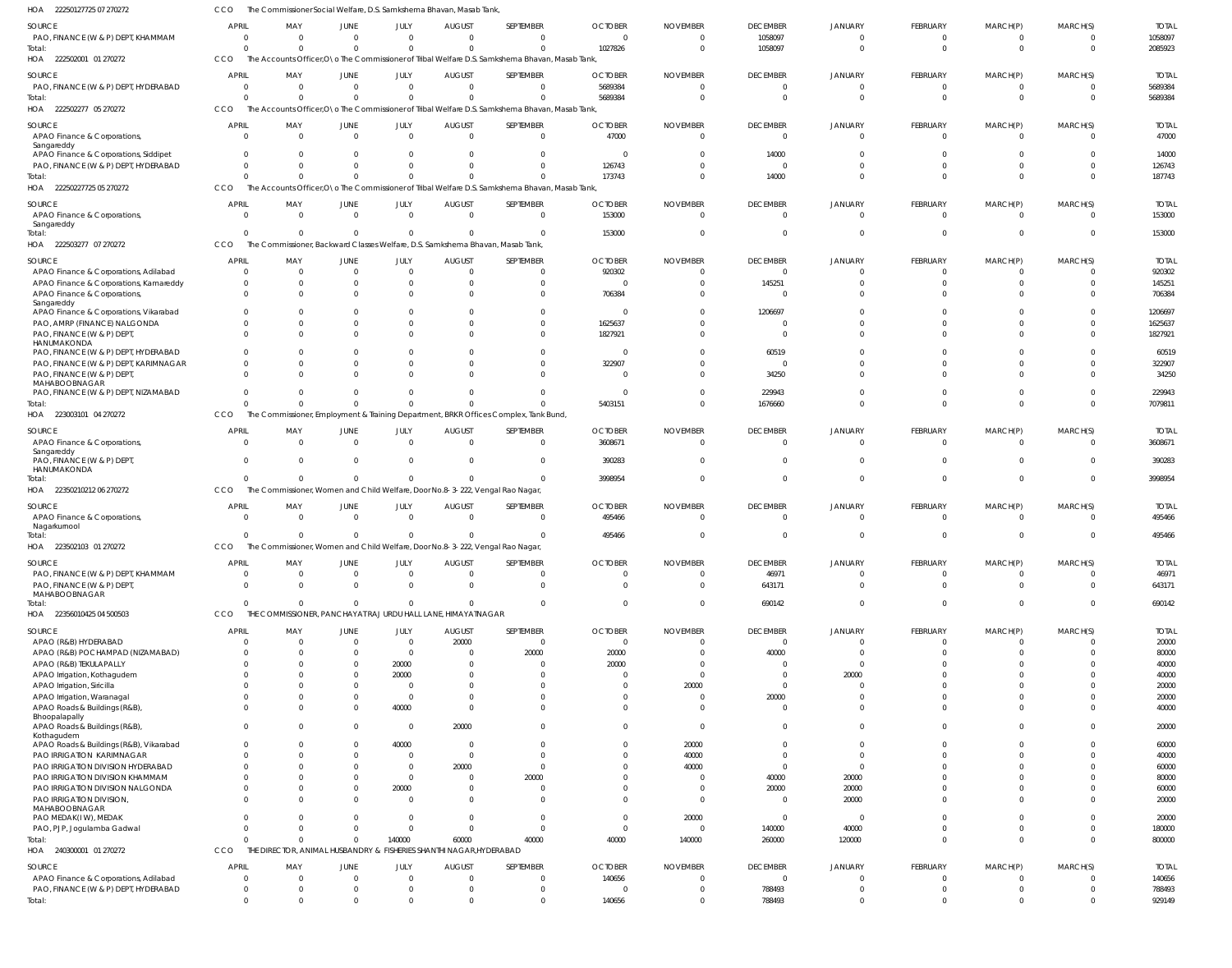22250127725 07 270272 HOA 222502001 01 270272 HOA 222502277 05 270272 22250227725 05 270272 HOA 222503277 07 270272 223003101 04 270272 HOA 22350210212 06 270272 HOA 223502103 01 270272 HOA 22356010425 04 500503 HOA 240300001 01 270272 HOA HOA HOA The Commissioner Social Welfare, D.S. Samkshema Bhavan, Masab Tank, The Accounts Officer O\o The Commissioner of Tribal Welfare D.S. Samkshema Bhavan, Masab Tank The Accounts Officer,O\o The Commissioner of Tribal Welfare D.S. Samkshema Bhavan, Masab Tank, The Accounts Officer,O\o The Commissioner of Tribal Welfare D.S. Samkshema Bhavan, Masab Tank, The Commissioner, Backward Classes Welfare, D.S. Samkshema Bhavan, Masab Tank, The Commissioner, Employment & Training Department, BRKR Offices Complex, Tank Bund, The Commissioner, Women and Child Welfare, Door No.8-3-222, Vengal Rao Nagar, The Commissioner, Women and Child Welfare, Door No.8-3-222, Vengal Rao Nagar, THE COMMISSIONER, PANCHAYAT RAJ URDU HALL LANE, HIMAYATNAGAR THE DIRECTOR, ANIMAL HUSBANDRY & FISHERIES SHANTHI NAGAR,HYDERABAD CCO CCO **CCO** CCO **CCO CCO CCO CCO CCO** CCO 0 0 0  $\Omega$  $\Omega$  $\Omega$ 0  $\Omega$  $\Omega$ 0 0 0 0  $\Omega$  $\Omega$ 0  $\,$  0  $\,$ 0 0 0 0 0 0  $\theta$  $\Omega$  $\Omega$ 0 0  $\Omega$ 0 0 0  $\Omega$  $\Omega$ 0  $\Omega$  $\theta$ 0 140000  $\Omega$ 0 0 0  $\Omega$ 0  $\Omega$  $\,$  0  $\,$ 0 60000 0 0 0 0  $\sqrt{2}$  $\Omega$  $\Omega$ 0 0 40000 0 1027826 5689384 173743 153000 5403151 3998954 495466 0 40000 140656 0 0  $\Omega$  $\Omega$  $\Omega$  $\Omega$  $\theta$ 0 140000 0 1058097 0 14000  $\Omega$ 1676660  $\Omega$  $\theta$ 690142 260000 788493 0 0 0  $\Omega$  $\Omega$  $\Omega$ 0 0 120000 0 0 0 0  $\Omega$ 0  $\Omega$  $\Omega$ 0  $\Omega$ 0 0 0 0  $\Omega$ 0  $\Omega$ 0 0  $\Omega$ 0 0 0 0  $\Omega$ 0  $\Omega$ 0  $\Omega$ 0  $\Omega$ 2085923 5689384 187743 153000 7079811 3998954 495466 690142 800000 929149 PAO, FINANCE (W & P) DEPT, KHAMMAM PAO, FINANCE (W & P) DEPT, HYDERABAD APAO Finance & Corporations, Sangareddy APAO Finance & Corporations, Siddipet PAO, FINANCE (W & P) DEPT, HYDERABAD APAO Finance & Corporations, Sangareddy APAO Finance & Corporations, Adilabad APAO Finance & Corporations, Kamareddy APAO Finance & Corporations, Sangareddy APAO Finance & Corporations, Vikarabad PAO, AMRP (FINANCE) NALGONDA PAO, FINANCE (W & P) DEPT, HANUMAKONDA PAO, FINANCE (W & P) DEPT, HYDERABAD PAO, FINANCE (W & P) DEPT, KARIMNAGAR PAO, FINANCE (W & P) DEPT, MAHABOOBNAGAR PAO, FINANCE (W & P) DEPT, NIZAMABAD APAO Finance & Corporations, Sangareddy PAO, FINANCE (W & P) DEPT HANUMAKONDA APAO Finance & Corporations, Nagarkurnool PAO, FINANCE (W & P) DEPT, KHAMMAM PAO, FINANCE (W & P) DEPT MAHABOOBNAGAR APAO (R&B) HYDERABAD APAO (R&B) POCHAMPAD (NIZAMABAD) APAO (R&B) TEKULAPALLY APAO Irrigation, Kothagudem APAO Irrigation, Siricilla APAO Irrigation, Waranagal APAO Roads & Buildings (R&B), Bhoopalapally APAO Roads & Buildings (R&B), Kothagudem APAO Roads & Buildings (R&B), Vikarabad PAO IRRIGATION KARIMNAGAR PAO IRRIGATION DIVISION HYDERABAD PAO IRRIGATION DIVISION KHAMMAM PAO IRRIGATION DIVISION NALGONDA PAO IRRIGATION DIVISION, MAHABOOBNAGAR PAO MEDAK(I W), MEDAK PAO, PJP, Jogulamba Gadwal APAO Finance & Corporations, Adilabad PAO, FINANCE (W & P) DEPT, HYDERABAD **SOURCE** SOURCE SOURCE **SOURCE** SOURCE SOURCE SOURCE SOURCE SOURCE SOURCE 0 0 0 0  $\Omega$ 0 0 0  $\Omega$ 0 0  $\Omega$ 0  $\mathfrak{g}$  $\Omega$ 0 0 0  $\Omega$ 0  $\Omega$ 0  $\Omega$ 0 0  $\mathfrak{g}$  $\Omega$ 0 0 0 0 0  $\Omega$  $\Omega$ 0  $\Omega$ 0 0 0 APRIL APRIL **APRIL** APRIL APRIL **APRIL** APRIL APRIL **APRIL** APRIL 0 0 0 0  $\Omega$ 0 0 0 0 0  $\Omega$  $\Omega$  $\Omega$ 0  $\Omega$ 0  $\Omega$ 0  $\Omega$ 0  $\Omega$ 0 0 0 0  $\Omega$ 0 0  $\Omega$ 0 0 0  $\Omega$  $\Omega$ 0  $\Omega$ 0 0 0 MAY MAY MAY MAY MAY MAY MAY MAY MAY MAY 0 0 0 0  $\Omega$ 0 0 0 0 0 0 0 0  $\mathfrak{g}$  $\Omega$ 0 0 0  $\Omega$ 0  $\Omega$ 0  $\Omega$ 0 0 0 0 0 0  $\mathbf 0$ 0 0  $\Omega$  $\Omega$ 0  $\theta$ 0  $\Omega$ 0 JUNE JUNE JUNE JUNE JUNE JUNE JUNE JUNE JUNE JUNE  $\Omega$ 0 0 0  $\Omega$ 0 0  $\Omega$  $\Omega$ 0  $\Omega$  $\bigcap$ 0 0 0 0  $\Omega$ 0  $\Omega$ 0  $\Omega$ 0 0 20000 20000 0 0 40000 0 40000 0 0 0 20000 0  $\Omega$ 0 0 0 JULY JULY JULY JULY JULY JULY JULY JULY JULY JULY 0 0 0 0  $\Omega$ 0 0 0 0 0 0 0 0 0 0 0 0 0  $\Omega$ 0  $\Omega$ 20000  $\Omega$ 0 0 0 0 0 20000 0 0 20000 0 0 0  $\Omega$ 0  $\Omega$ 0 AUGUST AUGUST AUGUST AUGUST AUGUST AUGUST AUGUST AUGUST AUGUST AUGUST  $\Omega$ 0  $\Omega$ 0  $\Omega$  $\Omega$  $\Omega$ 0  $\Omega$ 0 0 0  $\Omega$  $\Omega$  $\Omega$ 0  $\Omega$ 0  $\Omega$ 0  $\Omega$ 0 20000 0 0 0 0 0 0 0 0 0 20000 0 0  $\sqrt{2}$ 0 0 0 SEPTEMBER SEPTEMBER SEPTEMBER SEPTEMBER SEPTEMBER SEPTEMBER SEPTEMBER SEPTEMBER SEPTEMBER SEPTEMBER  $\Omega$ 5689384 47000 0 126743 153000 920302  $\sqrt{2}$ 706384 0 1625637 1827921 0 322907 0 0 3608671 390283 495466 0  $\Omega$ 0 20000 20000 0 0  $\Omega$  $\Omega$  $\Omega$ 0  $\Omega$ 0  $\Omega$  $\Omega$ 0  $\Omega$ 0 140656 0 OCTOBER **OCTOBER** OCTOBER **OCTOBER** OCTOBER **OCTOBER** OCTOBER **OCTOBER** OCTOBER OCTOBER  $\Omega$ 0 0 0  $\Omega$  $\Omega$  $\Omega$ 0  $\Omega$ 0 0  $\Omega$  $\Omega$ 0  $\Omega$ 0  $\Omega$ 0  $\Omega$ 0  $\Omega$ 0  $\Omega$ 0 0 20000  $\Omega$  $\Omega$  $\Omega$ 20000 40000 40000 0  $\Omega$ 0 20000 0  $\Omega$ 0 NOVEMBER NOVEMBER NOVEMBER NOVEMBER NOVEMBER NOVEMBER NOVEMBER NOVEMBER NOVEMBER NOVEMBER 1058097 0 0 14000  $\Omega$ 0  $\Omega$ 145251  $\Omega$ 1206697  $\Omega$  $\bigcap$ 60519 0 34250 229943  $\Omega$ 0  $\Omega$ 46971 643171 0 40000 0 0 0 20000 0  $\Omega$ 0 0 0 40000 20000 0  $\Omega$ 140000 0 788493 DECEMBER DECEMBER DECEMBER DECEMBER DECEMBER DECEMBER DECEMBER **DECEMBER** DECEMBER DECEMBER 0  $\mathbf{C}$ 0 0  $\Omega$ 0 0 0 0 0 0 0 0  $\mathfrak{g}$  $\Omega$ 0  $\Omega$  $\mathfrak{c}$  $\Omega$  $\mathbf{C}$  $\Omega$ 0 0  $\mathbf 0$ 20000 0  $\Omega$ 0 0  $\mathbf 0$ 0  $\Omega$ 20000 20000 20000  $\sqrt{2}$ 40000 0 0 JANUARY JANUARY JANUARY JANUARY JANUARY JANUARY JANUARY JANUARY JANUARY JANUARY 0 0 0 0  $\Omega$ 0 0 0 0 0 0  $\Omega$  $\Omega$ 0  $\Omega$ 0  $\Omega$ 0  $\Omega$ 0  $\Omega$ 0  $\Omega$ 0 0 0  $\Omega$  $\Omega$ 0 0 0 0 0  $\sqrt{2}$ 0  $\Omega$ 0 0 0 FEBRUARY FEBRUARY FEBRUARY FEBRUARY FEBRUARY FEBRUARY FEBRUARY FEBRUARY FEBRUARY FEBRUARY  $\Omega$ 0 0 0  $\Omega$ 0 0 0 0 0 0 0 0  $\Omega$ 0 0  $\Omega$ 0  $\Omega$ 0 0 0  $\Omega$ 0  $\Omega$  $\Omega$ 0 0  $\Omega$  $\theta$ 0 0  $\Omega$  $\Omega$ 0  $\Omega$ 0 0 0 MARCH(P) MARCH(P) MARCH(P) MARCH(P) MARCH(P) MARCH(P) MARCH(P) MARCH(P) MARCH(P) MARCH(P)  $\Omega$ 0  $\Omega$ 0  $\Omega$ 0  $\Omega$ 0  $\Omega$ 0  $\Omega$  $\Omega$  $\Omega$ 0  $\Omega$ 0 0 0  $\cap$ 0  $\Omega$ 0 0 0  $\Omega$ 0  $\Omega$  $\Omega$ 0 0 0 0 0  $\Omega$ 0  $\Omega$ 0  $\Omega$ 0 MARCH(S) MARCH(S) MARCH(S) MARCH(S) MARCH(S) MARCH(S) MARCH(S) MARCH(S) MARCH(S) MARCH(S) 1058097 5689384 47000 14000 126743 153000 920302 145251 706384 1206697 1625637 1827921 60519 322907 34250 229943 3608671 390283 495466 46971 643171 20000 80000 40000 40000 20000 20000 40000 20000 60000 40000 60000 80000 60000 20000 20000 180000 140656 788493 TOTAL TOTAL TOTAL TOTAL TOTAL TOTAL TOTAL TOTAL TOTAL TOTAL Total: Total: Total: Total: Total: Total: Total: Total: Total: Total: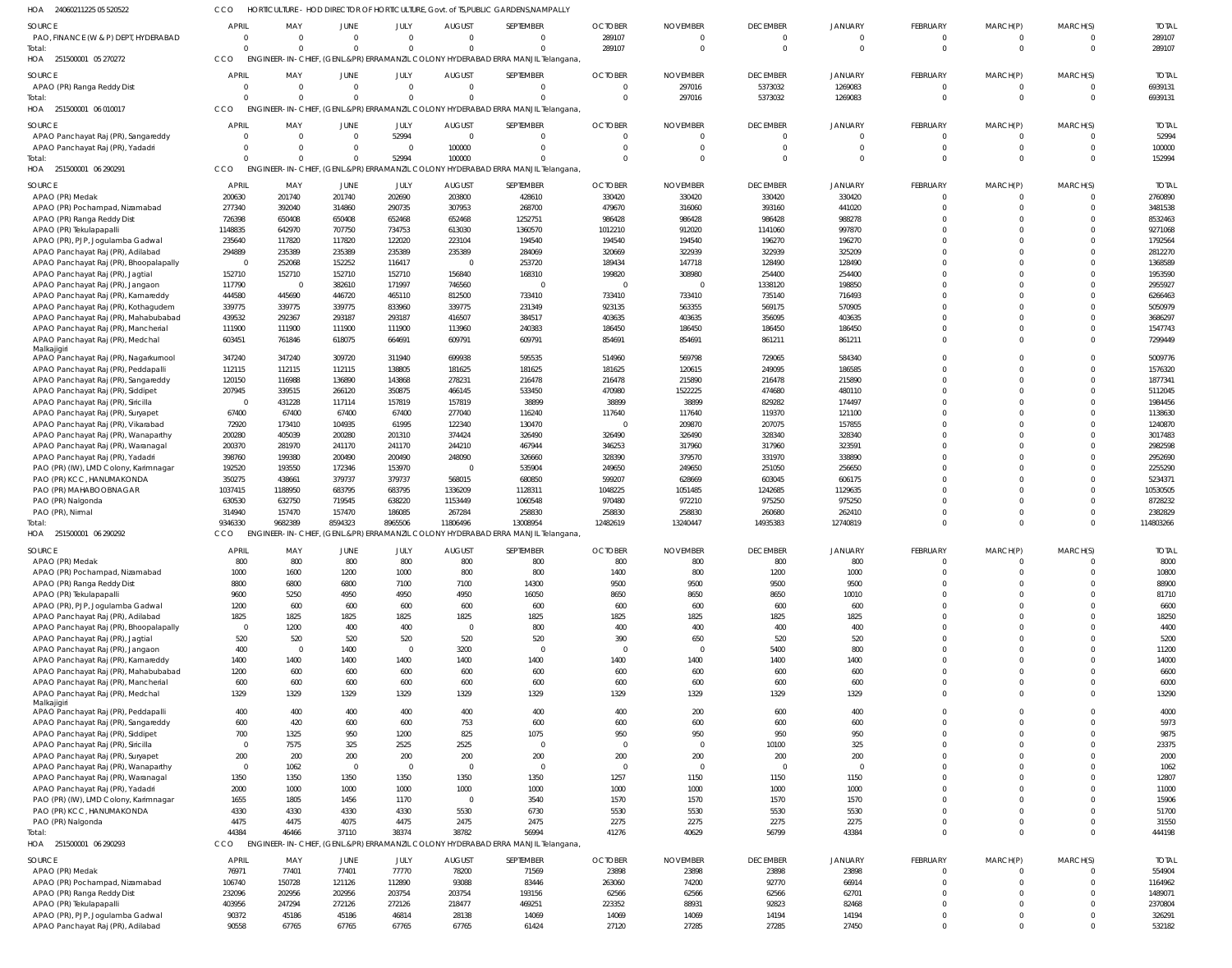| <b>HOA</b><br>24060211225 05 520522  | co.   |     |             |      |        | HORTICULTURE - HOD DIRECTOR OF HORTICULTURE, Govt. of TS, PUBLIC GARDENS, NAMPALLY |         |                 |                 |  |
|--------------------------------------|-------|-----|-------------|------|--------|------------------------------------------------------------------------------------|---------|-----------------|-----------------|--|
| <b>SOURCE</b>                        | APRIL | MA' | <b>IUNE</b> | JULY | AUGUST | SEPTEMBER                                                                          | OCIOBFR | <b>NOVEMBER</b> | <b>DECEMBER</b> |  |
| PAO, FINANCE (W & P) DEPT, HYDERABAD |       |     |             |      |        |                                                                                    | 28910   |                 |                 |  |

| SOURCE                                                                      | APRIL            | MAY              | JUNE                    | JULY                  | <b>AUGUST</b>           | SEPTEMBER                                                                        | <b>OCTOBER</b>        | <b>NOVEMBER</b>  | <b>DECEMBER</b>   | <b>JANUARY</b>    | FEBRUARY                | MARCH(P)             | MARCH(S) | <b>TOTAL</b>       |
|-----------------------------------------------------------------------------|------------------|------------------|-------------------------|-----------------------|-------------------------|----------------------------------------------------------------------------------|-----------------------|------------------|-------------------|-------------------|-------------------------|----------------------|----------|--------------------|
| PAO, FINANCE (W & P) DEPT, HYDERABAD                                        | $\Omega$         | $\Omega$         | $\Omega$                | $\Omega$              | $\Omega$                |                                                                                  | 289107                |                  | $\Omega$          |                   | $\mathbf{0}$            | $\Omega$             |          | 289107             |
| Total:                                                                      | $\Omega$         | $\Omega$         | $\Omega$                | $\Omega$              | $\Omega$                |                                                                                  | 289107                | $\Omega$         | $\Omega$          | $\Omega$          | $\mathbf{0}$            | $\Omega$             | $\Omega$ | 289107             |
| HOA 251500001 05 270272                                                     | <b>CCO</b>       |                  |                         |                       |                         | ENGINEER-IN-CHIEF, (GENL.&PR) ERRAMANZIL COLONY HYDERABAD ERRA MANJIL Telangana, |                       |                  |                   |                   |                         |                      |          |                    |
| SOURCE                                                                      | <b>APRIL</b>     | MAY              | <b>JUNE</b>             | JULY                  | <b>AUGUST</b>           | SEPTEMBER                                                                        | <b>OCTOBER</b>        | <b>NOVEMBER</b>  | <b>DECEMBER</b>   | <b>JANUARY</b>    | FEBRUARY                | MARCH(P)             | MARCH(S) | <b>TOTAI</b>       |
| APAO (PR) Ranga Reddy Dist                                                  | $\Omega$         | $\Omega$         | $\overline{\mathbf{0}}$ | $\overline{0}$        | $\overline{\mathbf{0}}$ |                                                                                  | $\overline{0}$        | 297016           | 5373032           | 1269083           | $\overline{0}$          | 0                    |          | 6939131            |
| Total                                                                       | $\Omega$         | $\Omega$         | $\Omega$                | $\Omega$              | $\Omega$                |                                                                                  | $\Omega$              | 297016           | 5373032           | 1269083           | $\Omega$                | $\Omega$             | $\Omega$ | 6939131            |
| HOA 251500001 06 010017                                                     | CCO              |                  |                         |                       |                         | ENGINEER-IN-CHIEF, (GENL.&PR) ERRAMANZIL COLONY HYDERABAD ERRA MANJIL Telangana, |                       |                  |                   |                   |                         |                      |          |                    |
| SOURCE                                                                      | <b>APRIL</b>     | MAY              | <b>JUNE</b>             | JULY                  | <b>AUGUST</b>           | SEPTEMBER                                                                        | <b>OCTOBER</b>        | <b>NOVEMBER</b>  | <b>DECEMBER</b>   | <b>JANUARY</b>    | <b>FEBRUARY</b>         | MARCH(P)             | MARCH(S) | <b>TOTAI</b>       |
| APAO Panchayat Raj (PR), Sangareddy                                         | $\Omega$         | $\Omega$         | $\Omega$                | 52994                 | $\Omega$                |                                                                                  | $\Omega$              | $\Omega$         | $\Omega$          | $\Omega$          | $\overline{0}$          | 0                    |          | 52994              |
| APAO Panchayat Raj (PR), Yadadr                                             | $\Omega$         | $\Omega$         | $\Omega$                | - 0                   | 100000                  |                                                                                  | $\Omega$              | $\Omega$         | $\Omega$          | $\Omega$          | $\mathbf 0$             | $\Omega$             |          | 100000             |
| Total                                                                       | $\Omega$         | $\Omega$         | $\Omega$                | 52994                 | 100000                  |                                                                                  | $\Omega$              | $\Omega$         | $\Omega$          | $\Omega$          | $\Omega$                | $\Omega$             |          | 152994             |
| 251500001 06 290291<br>HOA                                                  | CCO              |                  |                         |                       |                         | ENGINEER-IN-CHIEF, (GENL.&PR) ERRAMANZIL COLONY HYDERABAD ERRA MANJIL Telangana, |                       |                  |                   |                   |                         |                      |          |                    |
| SOURCE                                                                      | <b>APRIL</b>     | MAY              | JUNE                    | JULY                  | <b>AUGUST</b>           | SEPTEMBER                                                                        | <b>OCTOBER</b>        | <b>NOVEMBER</b>  | <b>DECEMBER</b>   | <b>JANUARY</b>    | FEBRUARY                | MARCH(P)             | MARCH(S) | <b>TOTAI</b>       |
| APAO (PR) Medak                                                             | 200630           | 201740           | 201740                  | 202690                | 203800                  | 428610                                                                           | 330420                | 330420           | 330420            | 330420            | $\mathbf{0}$            | $\Omega$             |          | 2760890            |
| APAO (PR) Pochampad, Nizamabad                                              | 277340           | 392040           | 314860                  | 290735                | 307953                  | 268700                                                                           | 479670                | 316060           | 393160            | 441020            | $\Omega$                | $\Omega$             | $\Omega$ | 3481538            |
| APAO (PR) Ranga Reddy Dist                                                  | 726398           | 650408           | 650408                  | 652468                | 652468                  | 1252751                                                                          | 986428                | 986428           | 986428            | 988278            | $\Omega$                | $\Omega$             |          | 8532463            |
| APAO (PR) Tekulapapalli                                                     | 1148835          | 642970           | 707750                  | 734753                | 613030                  | 1360570                                                                          | 1012210               | 912020           | 1141060           | 997870            | $\Omega$                | $\Omega$             |          | 9271068            |
| APAO (PR), PJP, Jogulamba Gadwal                                            | 235640<br>294889 | 117820<br>235389 | 117820<br>235389        | 122020                | 223104<br>235389        | 194540                                                                           | 194540                | 194540<br>322939 | 196270            | 196270<br>325209  | $\Omega$<br>$\Omega$    | $\Omega$<br>$\Omega$ |          | 1792564            |
| APAO Panchayat Raj (PR), Adilabad<br>APAO Panchayat Raj (PR), Bhoopalapally | $\overline{0}$   | 252068           | 152252                  | 235389<br>116417      | $\overline{\mathbf{0}}$ | 284069<br>253720                                                                 | 320669<br>189434      | 147718           | 322939<br>128490  | 128490            | $\Omega$                | $\Omega$             |          | 2812270<br>1368589 |
| APAO Panchayat Raj (PR), Jagtial                                            | 152710           | 152710           | 152710                  | 152710                | 156840                  | 168310                                                                           | 199820                | 308980           | 254400            | 254400            | $\Omega$                | $\Omega$             |          | 1953590            |
| APAO Panchayat Raj (PR), Jangaon                                            | 117790           | $\overline{0}$   | 382610                  | 171997                | 746560                  | - 0                                                                              | $\Omega$              | $\Omega$         | 1338120           | 198850            | $\Omega$                | $\Omega$             |          | 2955927            |
| APAO Panchayat Raj (PR), Kamareddy                                          | 444580           | 445690           | 446720                  | 465110                | 812500                  | 733410                                                                           | 733410                | 733410           | 735140            | 716493            | $\Omega$                | $\Omega$             |          | 6266463            |
| APAO Panchayat Raj (PR), Kothagudem                                         | 339775           | 339775           | 339775                  | 833960                | 339775                  | 231349                                                                           | 923135                | 563355           | 569175            | 570905            | $\Omega$                | $\Omega$             |          | 5050979            |
| APAO Panchayat Raj (PR), Mahabubabad                                        | 439532           | 292367           | 293187                  | 293187                | 416507                  | 384517                                                                           | 403635                | 403635           | 356095            | 403635            | $\Omega$                | $\Omega$             |          | 3686297            |
| APAO Panchayat Raj (PR), Mancherial                                         | 111900           | 111900           | 111900                  | 111900                | 113960                  | 240383                                                                           | 186450                | 186450           | 186450            | 186450            | $\Omega$                | $\Omega$             | $\Omega$ | 1547743            |
| APAO Panchayat Raj (PR), Medchal                                            | 603451           | 761846           | 618075                  | 664691                | 609791                  | 609791                                                                           | 854691                | 854691           | 861211            | 861211            | $\Omega$                | $\Omega$             | $\Omega$ | 7299449            |
| Malkajigiri<br>APAO Panchayat Raj (PR), Nagarkurnool                        | 347240           | 347240           | 309720                  | 311940                | 699938                  | 595535                                                                           | 514960                | 569798           | 729065            | 584340            | $\Omega$                | $\Omega$             | $\Omega$ | 5009776            |
| APAO Panchayat Raj (PR), Peddapalli                                         | 112115           | 112115           | 112115                  | 138805                | 181625                  | 181625                                                                           | 181625                | 120615           | 249095            | 186585            | $\Omega$                | $\Omega$             | $\Omega$ | 1576320            |
| APAO Panchayat Raj (PR), Sangareddy                                         | 120150           | 116988           | 136890                  | 143868                | 278231                  | 216478                                                                           | 216478                | 215890           | 216478            | 215890            | $\Omega$                | $\Omega$             | $\Omega$ | 1877341            |
| APAO Panchayat Raj (PR), Siddipet                                           | 207945           | 339515           | 266120                  | 350875                | 466145                  | 533450                                                                           | 470980                | 1522225          | 474680            | 480110            | $\Omega$                | $\Omega$             |          | 5112045            |
| APAO Panchayat Raj (PR), Siricilla                                          | $\overline{0}$   | 431228           | 117114                  | 157819                | 157819                  | 38899                                                                            | 38899                 | 38899            | 829282            | 174497            | $\Omega$                | $\Omega$             |          | 1984456            |
| APAO Panchayat Raj (PR), Suryapet                                           | 67400            | 67400            | 67400                   | 67400                 | 277040                  | 116240                                                                           | 117640                | 117640           | 119370            | 121100            | $\Omega$                | $\Omega$             |          | 1138630            |
| APAO Panchayat Raj (PR), Vikarabad                                          | 72920            | 173410           | 104935                  | 61995                 | 122340                  | 130470                                                                           | $\Omega$              | 209870           | 207075            | 157855            | $\Omega$                | $\Omega$             |          | 1240870            |
| APAO Panchayat Raj (PR), Wanaparthy                                         | 200280           | 405039           | 200280                  | 201310                | 374424                  | 326490                                                                           | 326490                | 326490           | 328340            | 328340            | $\Omega$                | $\Omega$             |          | 3017483            |
| APAO Panchayat Raj (PR), Waranagal                                          | 200370<br>398760 | 281970<br>199380 | 241170<br>200490        | 241170<br>200490      | 244210<br>248090        | 467944<br>326660                                                                 | 346253<br>328390      | 317960<br>379570 | 317960<br>331970  | 323591<br>338890  | $\Omega$<br>$\Omega$    | $\Omega$             |          | 2982598<br>2952690 |
| APAO Panchayat Raj (PR), Yadadr<br>PAO (PR) (IW), LMD Colony, Karimnagar    | 192520           | 193550           | 172346                  | 153970                | $\overline{\mathbf{0}}$ | 535904                                                                           | 249650                | 249650           | 251050            | 256650            | $\Omega$                | $\Omega$             |          | 2255290            |
| PAO (PR) KCC, HANUMAKONDA                                                   | 350275           | 438661           | 379737                  | 379737                | 568015                  | 680850                                                                           | 599207                | 628669           | 603045            | 606175            | <sup>0</sup>            | $\Omega$             |          | 5234371            |
|                                                                             |                  |                  |                         |                       |                         |                                                                                  |                       |                  |                   |                   |                         |                      |          |                    |
|                                                                             | 1037415          | 1188950          |                         | 683795                | 1336209                 |                                                                                  |                       | 1051485          |                   |                   | $\Omega$                | $\Omega$             |          | 10530505           |
| PAO (PR) MAHABOOBNAGAR<br>PAO (PR) Nalgonda                                 | 630530           | 632750           | 683795<br>719545        | 638220                | 1153449                 | 1128311<br>1060548                                                               | 1048225<br>970480     | 972210           | 1242685<br>975250 | 1129635<br>975250 | $\Omega$                | $\Omega$             | $\Omega$ | 8728232            |
| PAO (PR), Nirmal                                                            | 314940           | 157470           | 157470                  | 186085                | 267284                  | 258830                                                                           | 258830                | 258830           | 260680            | 262410            | $\mathbf 0$             | $\Omega$             | $\Omega$ | 2382829            |
| otal:                                                                       | 9346330          | 9682389          | 8594323                 | 8965506               | 11806496                | 13008954                                                                         | 12482619              | 13240447         | 14935383          | 12740819          | $\Omega$                | $\Omega$             | $\Omega$ | 114803266          |
| HOA 251500001 06 290292                                                     | CCO              |                  |                         |                       |                         | ENGINEER-IN-CHIEF, (GENL.&PR) ERRAMANZIL COLONY HYDERABAD ERRA MANJIL Telangana, |                       |                  |                   |                   |                         |                      |          |                    |
| SOURCE                                                                      | APRIL            | MAY              | <b>JUNE</b>             | JULY                  | <b>AUGUST</b>           | SEPTEMBER                                                                        | <b>OCTOBER</b>        | <b>NOVEMBER</b>  | <b>DECEMBER</b>   | JANUARY           | FEBRUARY                | MARCH(P)             | MARCH(S) | <b>TOTAI</b>       |
| APAO (PR) Medak                                                             | 800              | 800              | 800                     | 800                   | 800                     | 800                                                                              | 800                   | 800              | 800               | 800               | $\overline{0}$          | $\Omega$             | $\Omega$ | 8000               |
| APAO (PR) Pochampad, Nizamabad                                              | 1000             | 1600             | 1200                    | 1000                  | 800                     | 800                                                                              | 1400                  | 800              | 1200              | 1000              | 0                       | $\Omega$             |          | 10800              |
| APAO (PR) Ranga Reddy Dist                                                  | 8800             | 6800             | 6800                    | 7100                  | 7100                    | 14300                                                                            | 9500                  | 9500             | 9500              | 9500              | $\Omega$                | $\Omega$             |          | 88900              |
| APAO (PR) Tekulapapalli                                                     | 9600             | 5250             | 4950                    | 4950                  | 4950                    | 16050                                                                            | 8650                  | 8650             | 8650              | 10010             | $\Omega$                | $\Omega$             |          | 81710              |
| APAO (PR), PJP, Jogulamba Gadwal                                            | 1200             | 600              | 600                     | 600                   | 600                     | 600                                                                              | 600                   | 600              | 600               | 600               | $\Omega$                | $\Omega$             |          | 6600               |
| APAO Panchayat Raj (PR), Adilabad                                           | 1825             | 1825             | 1825                    | 1825                  | 1825                    | 1825                                                                             | 1825                  | 1825             | 1825              | 1825              | $\Omega$                | $\Omega$             |          | 18250              |
| APAO Panchayat Raj (PR), Bhoopalapally                                      | $\overline{0}$   | 1200             | 400                     | 400                   | $\overline{\mathbf{0}}$ | 800                                                                              | 400                   | 400              | 400               | 400               | $\Omega$                | $\Omega$             |          | 4400               |
| APAO Panchayat Raj (PR), Jagtial                                            | 520              | 520<br>$\Omega$  | 520                     | 520<br>$\overline{0}$ | 520                     | 520<br>$\mathsf{C}$                                                              | 390<br>$\overline{0}$ | 650<br>$\Omega$  | 520               | 520<br>800        | $\Omega$<br>$\Omega$    | $\Omega$<br>$\Omega$ |          | 5200               |
| APAO Panchayat Raj (PR), Jangaon<br>APAO Panchayat Raj (PR), Kamareddy      | 400<br>1400      | 1400             | 1400<br>1400            | 1400                  | 3200<br>1400            | 1400                                                                             | 1400                  | 1400             | 5400<br>1400      | 1400              | $\Omega$                | $\Omega$             |          | 11200<br>14000     |
| APAO Panchayat Raj (PR), Mahabubabad                                        | 1200             | 600              | 600                     | 600                   | 600                     | 600                                                                              | 600                   | 600              | 600               | 600               | $\Omega$                | $\Omega$             |          | 6600               |
| APAO Panchayat Raj (PR), Mancherial                                         | 600              | 600              | 600                     | 600                   | 600                     | 600                                                                              | 600                   | 600              | 600               | 600               | $\Omega$                | $\Omega$             |          | 6000               |
| APAO Panchayat Raj (PR), Medchal                                            | 1329             | 1329             | 1329                    | 1329                  | 1329                    | 1329                                                                             | 1329                  | 1329             | 1329              | 1329              | $\Omega$                | $\Omega$             | $\Omega$ | 13290              |
| Malkajigiri                                                                 |                  |                  |                         |                       |                         |                                                                                  |                       |                  |                   |                   |                         |                      |          |                    |
| APAO Panchayat Raj (PR), Peddapalli                                         | 400              | 400              | 400                     | 400                   | 400                     | 400                                                                              | 400                   | 200              | 600               | 400               | 0<br>$\Omega$           | $\Omega$<br>$\Omega$ |          | 4000               |
| APAO Panchayat Raj (PR), Sangareddy                                         | 600              | 420              | 600                     | 600                   | 753                     | 600                                                                              | 600                   | 600              | 600               | 600               | $\Omega$                | $\Omega$             |          | 5973               |
| APAO Panchayat Raj (PR), Siddipet<br>APAO Panchayat Raj (PR), Siricilla     | 700<br>$\Omega$  | 1325<br>7575     | 950<br>325              | 1200<br>2525          | 825<br>2525             | 1075                                                                             | 950<br>$\overline{0}$ | 950<br>$\Omega$  | 950<br>10100      | 950<br>325        | $\Omega$                | $\Omega$             |          | 9875<br>23375      |
| APAO Panchayat Raj (PR), Suryapet                                           | 200              | 200              | 200                     | 200                   | 200                     | 200                                                                              | 200                   | 200              | 200               | 200               | $\Omega$                | $\Omega$             |          | 2000               |
| APAO Panchayat Raj (PR), Wanaparthy                                         | $\overline{0}$   | 1062             | $\overline{0}$          | $\overline{0}$        | $\overline{0}$          | $\mathsf{C}$                                                                     | $\overline{0}$        | $\overline{0}$   | $\overline{0}$    | $\Omega$          | $\Omega$                | $\Omega$             |          | 1062               |
| APAO Panchayat Raj (PR), Waranagal                                          | 1350             | 1350             | 1350                    | 1350                  | 1350                    | 1350                                                                             | 1257                  | 1150             | 1150              | 1150              | $\Omega$                | $\Omega$             |          | 12807              |
| APAO Panchayat Raj (PR), Yadadri                                            | 2000             | 1000             | 1000                    | 1000                  | 1000                    | 1000                                                                             | 1000                  | 1000             | 1000              | 1000              | $\Omega$                | $\Omega$             |          | 11000              |
| PAO (PR) (IW), LMD Colony, Karimnagar                                       | 1655             | 1805             | 1456                    | 1170                  | $\overline{\mathbf{0}}$ | 3540                                                                             | 1570                  | 1570             | 1570              | 1570              | $\Omega$                | $\Omega$             |          | 15906              |
| PAO (PR) KCC, HANUMAKONDA                                                   | 4330             | 4330             | 4330                    | 4330                  | 5530                    | 6730                                                                             | 5530                  | 5530             | 5530              | 5530              | $\Omega$                | $\Omega$             |          | 51700              |
| PAO (PR) Nalgonda                                                           | 4475             | 4475             | 4075                    | 4475                  | 2475                    | 2475                                                                             | 2275                  | 2275             | 2275              | 2275              | $\Omega$                | $\mathbf 0$          |          | 31550              |
| 251500001 06 290293                                                         | 44384<br>CCO     | 46466            | 37110                   | 38374                 | 38782                   | 56994                                                                            | 41276                 | 40629            | 56799             | 43384             | $\mathbf{0}$            | $\mathbf 0$          | $\Omega$ | 444198             |
|                                                                             |                  |                  |                         |                       |                         | ENGINEER-IN-CHIEF, (GENL.&PR) ERRAMANZIL COLONY HYDERABAD ERRA MANJIL Telangana, |                       |                  |                   |                   |                         |                      |          |                    |
|                                                                             | <b>APRIL</b>     | MAY              | JUNE                    | JULY                  | <b>AUGUST</b>           | SEPTEMBER                                                                        | <b>OCTOBER</b>        | <b>NOVEMBER</b>  | <b>DECEMBER</b>   | <b>JANUARY</b>    | FEBRUARY                | MARCH(P)             | MARCH(S) | <b>TOTAL</b>       |
| APAO (PR) Medak                                                             | 76971            | 77401            | 77401                   | 77770                 | 78200                   | 71569                                                                            | 23898                 | 23898            | 23898             | 23898             | $\overline{0}$          | 0                    |          | 554904             |
| Total:<br>HOA<br>SOURCE<br>APAO (PR) Pochampad, Nizamabad                   | 106740           | 150728           | 121126                  | 112890                | 93088                   | 83446                                                                            | 263060                | 74200            | 92770             | 66914             | $\mathbf{0}$            | $\mathbf 0$          | $\Omega$ | 1164962            |
| APAO (PR) Ranga Reddy Dist                                                  | 232096           | 202956           | 202956                  | 203754                | 203754                  | 193156                                                                           | 62566                 | 62566            | 62566             | 62701             | $\mathbf 0$<br>$\Omega$ | $\Omega$<br>$\Omega$ | $\Omega$ | 1489071            |
| APAO (PR) Tekulapapalli<br>APAO (PR), PJP, Jogulamba Gadwal                 | 403956<br>90372  | 247294<br>45186  | 272126<br>45186         | 272126<br>46814       | 218477<br>28138         | 469251<br>14069                                                                  | 223352<br>14069       | 88931<br>14069   | 92823<br>14194    | 82468<br>14194    | 0                       | $\mathbf 0$          | $\Omega$ | 2370804<br>326291  |
| APAO Panchayat Raj (PR), Adilabad                                           | 90558            | 67765            | 67765                   | 67765                 | 67765                   | 61424                                                                            | 27120                 | 27285            | 27285             | 27450             | $\Omega$                | $\Omega$             | $\Omega$ | 532182             |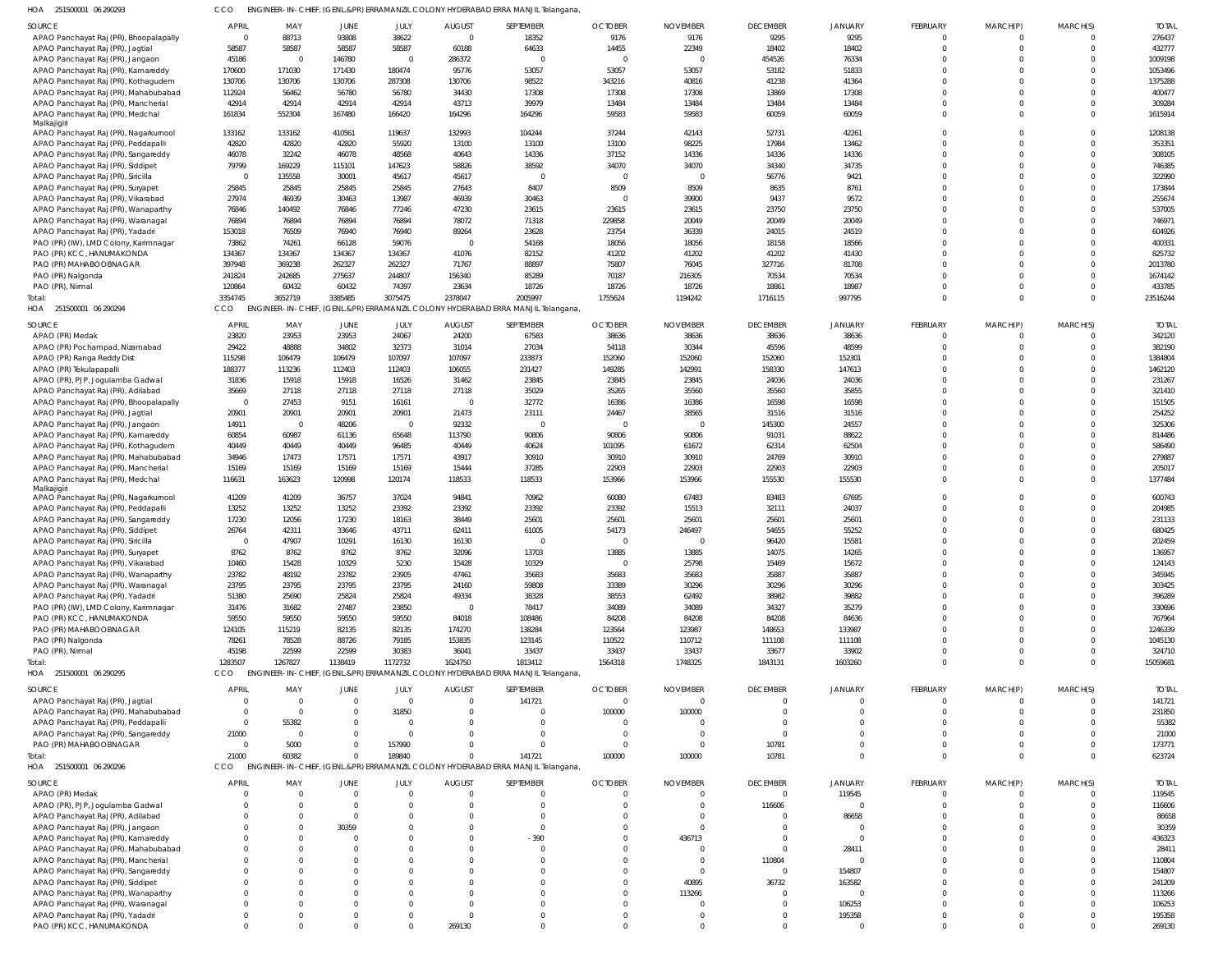| SOURCE                                               | <b>APRIL</b>            | MAY            | JUNE     | JULY         | <b>AUGUST</b>  | SEPTEMBER                                                                        | <b>OCTOBER</b> | <b>NOVEMBER</b> | <b>DECEMBER</b> | <b>JANUARY</b> | <b>FEBRUARY</b> | MARCH(P)<br>$\Omega$ | MARCH(S) | <b>TOTAL</b> |
|------------------------------------------------------|-------------------------|----------------|----------|--------------|----------------|----------------------------------------------------------------------------------|----------------|-----------------|-----------------|----------------|-----------------|----------------------|----------|--------------|
| APAO Panchayat Raj (PR), Bhoopalapally               | $\overline{0}$          | 88713          | 93808    | 38622        | $\Omega$       | 18352                                                                            | 9176           | 9176            | 9295            | 9295           | $\Omega$        |                      |          | 276437       |
| APAO Panchayat Raj (PR), Jagtial                     | 58587                   | 58587          | 58587    | 58587        | 60188          | 64633                                                                            | 14455          | 22349           | 18402           | 18402          | $\Omega$        | $\Omega$             | $\Omega$ | 432777       |
| APAO Panchayat Raj (PR), Jangaon                     | 45186                   | $\mathsf{C}$   | 146780   | $\Omega$     | 286372         | $\Omega$                                                                         | $\Omega$       | $\Omega$        | 454526          | 76334          | $\Omega$        |                      | $\Omega$ | 1009198      |
| APAO Panchayat Raj (PR), Kamareddy                   | 170600                  | 171030         | 171430   | 180474       | 95776          | 53057                                                                            | 53057          | 53057           | 53182           | 51833          | $\Omega$        |                      |          | 1053496      |
| APAO Panchayat Raj (PR), Kothagudem                  | 130706                  | 130706         | 130706   | 287308       | 130706         | 98522                                                                            | 343216         | 40816           | 41238           | 41364          | $\Omega$        |                      |          | 1375288      |
| APAO Panchayat Raj (PR), Mahabubabad                 | 112924                  | 56462          | 56780    | 56780        | 34430          | 17308                                                                            | 17308          | 17308           | 13869           | 17308          | $\Omega$        |                      | $\cap$   | 400477       |
| APAO Panchayat Raj (PR), Mancherial                  | 42914                   | 42914          | 42914    | 42914        | 43713          | 39979                                                                            | 13484          | 13484           | 13484           | 13484          | $\Omega$        | $\Omega$             | $\Omega$ | 309284       |
| APAO Panchayat Raj (PR), Medchal                     | 161834                  | 552304         | 167480   | 166420       | 164296         | 164296                                                                           | 59583          | 59583           | 60059           | 60059          | $\Omega$        | $\Omega$             | $\Omega$ | 1615914      |
| Malkajigiri<br>APAO Panchayat Raj (PR), Nagarkurnool | 133162                  | 133162         | 410561   | 119637       | 132993         | 104244                                                                           | 37244          | 42143           | 52731           | 42261          | $\Omega$        |                      | $\Omega$ | 1208138      |
|                                                      |                         |                |          |              |                |                                                                                  |                |                 |                 |                | $\Omega$        |                      | $\Omega$ |              |
| APAO Panchayat Raj (PR), Peddapalli                  | 42820                   | 42820          | 42820    | 55920        | 13100          | 13100                                                                            | 13100          | 98225           | 17984           | 13462          |                 |                      |          | 353351       |
| APAO Panchayat Raj (PR), Sangareddy                  | 46078                   | 32242          | 46078    | 48568        | 40643          | 14336                                                                            | 37152          | 14336           | 14336           | 14336          | $\Omega$        | $\Omega$             | $\Omega$ | 308105       |
| APAO Panchayat Raj (PR), Siddipet                    | 79799                   | 169229         | 115101   | 147623       | 58826          | 38592                                                                            | 34070          | 34070           | 34340           | 34735          | $\Omega$        | $\Omega$             | $\Omega$ | 746385       |
| APAO Panchayat Raj (PR), Siricilla                   | $\overline{0}$          | 135558         | 30001    | 45617        | 45617          | $\Omega$                                                                         | $\Omega$       | $\Omega$        | 56776           | 9421           | $\Omega$        |                      |          | 322990       |
| APAO Panchayat Raj (PR), Suryapet                    | 25845                   | 25845          | 25845    | 25845        | 27643          | 8407                                                                             | 8509           | 8509            | 8635            | 8761           | $\Omega$        |                      | $\Omega$ | 173844       |
| APAO Panchayat Raj (PR), Vikarabad                   | 27974                   | 46939          | 30463    | 13987        | 46939          | 30463                                                                            | 0              | 39900           | 9437            | 9572           | $\Omega$        |                      | $\Omega$ | 255674       |
| APAO Panchayat Raj (PR), Wanaparthy                  | 76846                   | 140492         | 76846    | 77246        | 47230          | 23615                                                                            | 23615          | 23615           | 23750           | 23750          | $\Omega$        |                      | $\Omega$ | 537005       |
| APAO Panchayat Raj (PR), Waranagal                   | 76894                   | 76894          | 76894    | 76894        | 78072          | 71318                                                                            | 229858         | 20049           | 20049           | 20049          | $\Omega$        |                      |          | 746971       |
| APAO Panchayat Raj (PR), Yadadri                     | 153018                  | 76509          | 76940    | 76940        | 89264          | 23628                                                                            | 23754          | 36339           | 24015           | 24519          | $\Omega$        |                      |          | 604926       |
| PAO (PR) (IW), LMD Colony, Karimnagar                | 73862                   | 74261          | 66128    | 59076        | $\Omega$       | 54168                                                                            | 18056          | 18056           | 18158           | 18566          | $\Omega$        |                      | $\Omega$ | 400331       |
| PAO (PR) KCC, HANUMAKONDA                            | 134367                  | 134367         | 134367   | 134367       | 41076          | 82152                                                                            | 41202          | 41202           | 41202           | 41430          | $\Omega$        |                      | $\Omega$ | 825732       |
| PAO (PR) MAHABOOBNAGAR                               | 397948                  | 369238         | 262327   | 262327       | 71767          | 88897                                                                            | 75807          | 76045           | 327716          | 81708          | $\Omega$        |                      |          | 2013780      |
| PAO (PR) Nalgonda                                    | 241824                  | 242685         | 275637   | 244807       | 156340         | 85289                                                                            | 70187          | 216305          | 70534           | 70534          | $\Omega$        |                      | $\Omega$ | 1674142      |
| PAO (PR), Nirmal                                     | 120864                  | 60432          | 60432    | 74397        | 23634          | 18726                                                                            | 18726          | 18726           | 18861           | 18987          | $\Omega$        | $\Omega$             | $\Omega$ | 433785       |
| Total:                                               | 3354745                 | 3652719        | 3385485  | 3075475      | 2378047        | 2005997                                                                          | 1755624        | 1194242         | 1716115         | 997795         | $\Omega$        | $\Omega$             | $\Omega$ | 23516244     |
| HOA 251500001 06 290294                              | CCO                     |                |          |              |                | ENGINEER-IN-CHIEF, (GENL.&PR) ERRAMANZIL COLONY HYDERABAD ERRA MANJIL Telangana, |                |                 |                 |                |                 |                      |          |              |
| SOURCE                                               | <b>APRIL</b>            | MAY            | JUNE     | JULY         | <b>AUGUST</b>  | SEPTEMBER                                                                        | <b>OCTOBER</b> | <b>NOVEMBER</b> | <b>DECEMBER</b> | <b>JANUARY</b> | <b>FEBRUARY</b> | MARCH(P)             | MARCH(S) | <b>TOTAI</b> |
| APAO (PR) Medak                                      | 23820                   | 23953          | 23953    | 24067        | 24200          | 67583                                                                            | 38636          | 38636           | 38636           | 38636          | $\mathbf 0$     | $\mathbf 0$          | $\Omega$ | 342120       |
|                                                      |                         |                |          |              |                |                                                                                  |                |                 |                 |                | $\mathbf 0$     | $\Omega$             | $\Omega$ |              |
| APAO (PR) Pochampad, Nizamabad                       | 29422                   | 48888          | 34802    | 32373        | 31014          | 27034                                                                            | 54118          | 30344           | 45596           | 48599          | $\Omega$        |                      | $\Omega$ | 382190       |
| APAO (PR) Ranga Reddy Dist                           | 115298                  | 106479         | 106479   | 107097       | 107097         | 233873                                                                           | 152060         | 152060          | 152060          | 152301         |                 | $\Omega$             |          | 1384804      |
| APAO (PR) Tekulapapalli                              | 188377                  | 113236         | 112403   | 112403       | 106055         | 231427                                                                           | 149285         | 142991          | 158330          | 147613         | $\Omega$        | $\Omega$             | $\Omega$ | 1462120      |
| APAO (PR), PJP, Jogulamba Gadwal                     | 31836                   | 15918          | 15918    | 16526        | 31462          | 23845                                                                            | 23845          | 23845           | 24036           | 24036          | $\Omega$        | $\Omega$             | $\Omega$ | 231267       |
| APAO Panchayat Raj (PR), Adilabad                    | 35669                   | 27118          | 27118    | 27118        | 27118          | 35029                                                                            | 35265          | 35560           | 35560           | 35855          | $\Omega$        | $\Omega$             | $\Omega$ | 321410       |
| APAO Panchayat Raj (PR), Bhoopalapally               | $\overline{\mathbf{0}}$ | 27453          | 9151     | 16161        | $\overline{0}$ | 32772                                                                            | 16386          | 16386           | 16598           | 16598          | $\Omega$        | $\Omega$             | $\Omega$ | 151505       |
| APAO Panchayat Raj (PR), Jagtial                     | 20901                   | 20901          | 20901    | 20901        | 21473          | 23111                                                                            | 24467          | 38565           | 31516           | 31516          | $\Omega$        | $\Omega$             | $\Omega$ | 254252       |
| APAO Panchayat Raj (PR), Jangaon                     | 14911                   | $\overline{0}$ | 48206    | $\mathbf 0$  | 92332          | $\Omega$                                                                         | 0              | $\overline{0}$  | 145300          | 24557          | $\Omega$        | $\Omega$             | $\Omega$ | 325306       |
| APAO Panchayat Raj (PR), Kamareddy                   | 60854                   | 60987          | 61136    | 65648        | 113790         | 90806                                                                            | 90806          | 90806           | 91031           | 88622          | $\Omega$        | $\Omega$             | $\Omega$ | 814486       |
| APAO Panchayat Raj (PR), Kothagudem                  | 40449                   | 40449          | 40449    | 96485        | 40449          | 40624                                                                            | 101095         | 61672           | 62314           | 62504          | $\Omega$        | $\Omega$             | $\Omega$ | 586490       |
| APAO Panchayat Raj (PR), Mahabubabad                 | 34946                   | 17473          | 17571    | 17571        | 43917          | 30910                                                                            | 30910          | 30910           | 24769           | 30910          | $\Omega$        | $\Omega$             | $\Omega$ | 279887       |
| APAO Panchayat Raj (PR), Mancherial                  | 15169                   | 15169          | 15169    | 15169        | 15444          | 37285                                                                            | 22903          | 22903           | 22903           | 22903          | $\Omega$        | $\Omega$             | $\Omega$ | 205017       |
| APAO Panchayat Raj (PR), Medchal                     | 116631                  | 163623         | 120998   | 120174       | 118533         | 118533                                                                           | 153966         | 153966          | 155530          | 155530         | $\Omega$        | $\Omega$             | $\Omega$ | 1377484      |
| Malkajigiri                                          |                         |                | 36757    | 37024        |                | 70962                                                                            |                | 67483           |                 |                | $\Omega$        | $\Omega$             | $\Omega$ |              |
| APAO Panchayat Raj (PR), Nagarkurnool                | 41209                   | 41209          |          |              | 94841          |                                                                                  | 60080          |                 | 83483           | 67695          | $\Omega$        | $\Omega$             | $\Omega$ | 600743       |
| APAO Panchayat Raj (PR), Peddapalli                  | 13252                   | 13252          | 13252    | 23392        | 23392          | 23392                                                                            | 23392          | 15513           | 32111           | 24037          | $\Omega$        | $\Omega$             | $\Omega$ | 204985       |
| APAO Panchayat Raj (PR), Sangareddy                  | 17230                   | 12056          | 17230    | 18163        | 38449          | 25601                                                                            | 25601          | 25601           | 25601           | 25601          |                 |                      | $\Omega$ | 231133       |
| APAO Panchayat Raj (PR), Siddipet                    | 26764                   | 42311          | 33646    | 43711        | 62411          | 61005                                                                            | 54173          | 246497          | 54655           | 55252          | $\Omega$        |                      |          | 680425       |
| APAO Panchayat Raj (PR), Siricilla                   | $\mathsf{C}$            | 47907          | 10291    | 16130        | 16130          | $\Omega$                                                                         |                | $\Omega$        | 96420           | 15581          | $\Omega$        |                      | $\Omega$ | 202459       |
| APAO Panchayat Raj (PR), Suryapet                    | 8762                    | 8762           | 8762     | 8762         | 32096          | 13703                                                                            | 13885          | 13885           | 14075           | 14265          | $\Omega$        | $\Omega$             | $\Omega$ | 136957       |
| APAO Panchayat Raj (PR), Vikarabad                   | 10460                   | 15428          | 10329    | 5230         | 15428          | 10329                                                                            |                | 25798           | 15469           | 15672          |                 |                      | $\cap$   | 124143       |
| APAO Panchayat Raj (PR), Wanaparthy                  | 23782                   | 48192          | 23782    | 23905        | 47461          | 35683                                                                            | 35683          | 35683           | 35887           | 35887          |                 |                      |          | 345945       |
| APAO Panchayat Raj (PR), Waranagal                   | 23795                   | 23795          | 23795    | 23795        | 24160          | 59808                                                                            | 33389          | 30296           | 30296           | 30296          | $\Omega$        |                      | $\Omega$ | 303425       |
| APAO Panchayat Raj (PR), Yadadri                     | 51380                   | 25690          | 25824    | 25824        | 49334          | 38328                                                                            | 38553          | 62492           | 38982           | 39882          | $\Omega$        |                      |          | 396289       |
| PAO (PR) (IW), LMD Colony, Karimnagar                | 31476                   | 31682          | 27487    | 23850        | $\overline{0}$ | 78417                                                                            | 34089          | 34089           | 34327           | 35279          | $\Omega$        |                      |          | 330696       |
| PAO (PR) KCC, HANUMAKONDA                            | 59550                   | 59550          | 59550    | 59550        | 84018          | 108486                                                                           | 84208          | 84208           | 84208           | 84636          | $\Omega$        |                      |          | 767964       |
| PAO (PR) MAHABOOBNAGAR                               | 124105                  | 115219         | 82135    | 82135        | 174270         | 138284                                                                           | 123564         | 123987          | 148653          | 133987         | $\Omega$        |                      |          | 1246339      |
| PAO (PR) Nalgonda                                    | 78261                   | 78528          | 88726    | 79185        | 153835         | 123145                                                                           | 110522         | 110712          | 111108          | 111108         | $\Omega$        |                      |          | 1045130      |
| PAO (PR), Nirmal                                     | 45198                   | 22599          | 22599    | 30383        | 36041          | 33437                                                                            | 33437          | 33437           | 33677           | 33902          | $\Omega$        | $\Omega$             | $\Omega$ | 324710       |
| Total:                                               | 1283507                 | 1267827        | 1138419  | 1172732      | 1624750        | 1813412                                                                          | 1564318        | 1748325         | 1843131         | 1603260        | $\Omega$        | $\Omega$             | $\Omega$ | 15059681     |
| HOA 251500001 06 290295                              | CCO                     |                |          |              |                | ENGINEER-IN-CHIEF, (GENL.&PR) ERRAMANZIL COLONY HYDERABAD ERRA MANJIL Telangana, |                |                 |                 |                |                 |                      |          |              |
| SOURCE                                               | <b>APRIL</b>            | MAY            | JUNE     | JULY         | <b>AUGUST</b>  | SEPTEMBER                                                                        | <b>OCTOBER</b> | <b>NOVEMBER</b> | <b>DECEMBER</b> | <b>JANUARY</b> | <b>FEBRUARY</b> | MARCH(P)             | MARCH(S) | <b>TOTAL</b> |
| APAO Panchayat Raj (PR), Jagtial                     | $\Omega$                | -C             | $\Omega$ | $\Omega$     | $\Omega$       | 141721                                                                           | $\Omega$       | $\Omega$        | $\Omega$        | $\Omega$       | $\Omega$        |                      |          | 141721       |
| APAO Panchayat Raj (PR), Mahabubabad                 | $\overline{0}$          | $\Omega$       | $\Omega$ | 31850        |                | $\Omega$                                                                         | 100000         | 100000          | $\Omega$        | $\Omega$       | $\Omega$        |                      |          | 231850       |
| APAO Panchayat Raj (PR), Peddapalli                  | $\overline{0}$          | 55382          | $\Omega$ | $\Omega$     |                | $\Omega$                                                                         |                |                 | $\Omega$        | $\Omega$       |                 |                      |          | 55382        |
| APAO Panchayat Raj (PR), Sangareddy                  | 21000                   | $\Omega$       | $\Omega$ | $\Omega$     |                | $\Omega$                                                                         |                | $\Omega$        | $\Omega$        | $\Omega$       | $\Omega$        |                      |          | 21000        |
| PAO (PR) MAHABOOBNAGAR                               | $\overline{0}$          | 5000           | $\Omega$ | 157990       |                | $\Omega$                                                                         | $\cup$         | $\Omega$        | 10781           | $\Omega$       | $\Omega$        |                      |          | 173771       |
| Total:                                               | 21000                   | 60382          | $\Omega$ | 189840       |                | 141721                                                                           | 100000         | 100000          | 10781           | $\Omega$       | $\Omega$        | $\Omega$             | $\Omega$ | 623724       |
| HOA 251500001 06 290296                              | CCO                     |                |          |              |                | ENGINEER-IN-CHIEF, (GENL.&PR) ERRAMANZIL COLONY HYDERABAD ERRA MANJIL Telangana, |                |                 |                 |                |                 |                      |          |              |
|                                                      |                         |                |          |              |                |                                                                                  |                |                 |                 |                |                 |                      |          |              |
| SOURCE                                               | <b>APRIL</b>            | MAY            | JUNE     | JULY         | <b>AUGUST</b>  | SEPTEMBER                                                                        | <b>OCTOBER</b> | <b>NOVEMBER</b> | <b>DECEMBER</b> | <b>JANUARY</b> | FEBRUARY        | MARCH(P)             | MARCH(S) | <b>TOTAL</b> |
| APAO (PR) Medak                                      | $\mathsf{C}$            | -C             | $\Omega$ | $\mathbf 0$  | $\Omega$       | $\overline{0}$                                                                   |                | $\Omega$        | $\overline{0}$  | 119545         | $\mathbf 0$     | 0                    | $\Omega$ | 119545       |
| APAO (PR), PJP, Jogulamba Gadwal                     | C                       |                |          | $\Omega$     |                | $\Omega$                                                                         |                | -0              | 116606          | $\Omega$       | $\Omega$        | $\Omega$             | $\Omega$ | 116606       |
| APAO Panchayat Raj (PR), Adilabad                    | $\Omega$                |                | $\Omega$ |              |                | $\Omega$                                                                         |                | $\Omega$        | $\Omega$        | 86658          | $\Omega$        |                      | $\Omega$ | 86658        |
| APAO Panchayat Raj (PR), Jangaon                     | $\Omega$                |                | 30359    |              |                | $\Omega$                                                                         |                | $\Omega$        | $\Omega$        | $\Omega$       | $\Omega$        |                      | $\Omega$ | 30359        |
| APAO Panchayat Raj (PR), Kamareddy                   | $\Omega$                |                |          |              |                | $-390$                                                                           |                | 436713          | $\Omega$        | $\Omega$       | $\Omega$        |                      |          | 436323       |
| APAO Panchayat Raj (PR), Mahabubabad                 | $\Omega$                |                |          |              |                | $\Omega$                                                                         |                | $\Omega$        | $\Omega$        | 28411          | $\Omega$        |                      |          | 28411        |
| APAO Panchayat Raj (PR), Mancherial                  | $\Omega$                |                |          |              |                | $\Omega$                                                                         |                | $\Omega$        | 110804          | $\Omega$       | $\Omega$        |                      | $\Omega$ | 110804       |
| APAO Panchayat Raj (PR), Sangareddy                  | $\Omega$                |                |          |              |                | $\Omega$                                                                         |                | $\Omega$        | $\overline{0}$  | 154807         | $\Omega$        |                      |          | 154807       |
| APAO Panchayat Raj (PR), Siddipet                    | $\Omega$                |                |          |              |                | $\Omega$                                                                         |                | 40895           | 36732           | 163582         | $\Omega$        |                      | $\Omega$ | 241209       |
| APAO Panchayat Raj (PR), Wanaparthy                  | $\Omega$                |                |          |              |                | $\Omega$                                                                         |                | 113266          | $\Omega$        | $\Omega$       | $\Omega$        |                      | $\cap$   | 113266       |
| APAO Panchayat Raj (PR), Waranagal                   | $\Omega$                |                |          |              | - 0            | $\Omega$                                                                         |                | $\Omega$        | $\Omega$        | 106253         | $\Omega$        |                      | $\Omega$ | 106253       |
| APAO Panchayat Raj (PR), Yadadri                     | $\Omega$                |                |          | <sup>0</sup> | $\Omega$       | $\Omega$                                                                         |                | $\Omega$        | $\Omega$        | 195358         | 0               |                      | $\Omega$ | 195358       |
| PAO (PR) KCC, HANUMAKONDA                            | $\Omega$                |                | $\Omega$ | $\Omega$     | 269130         | $\Omega$                                                                         |                | $\Omega$        | $\Omega$        | $\overline{0}$ | $\Omega$        | $\Omega$             | $\Omega$ | 269130       |
|                                                      |                         |                |          |              |                |                                                                                  |                |                 |                 |                |                 |                      |          |              |

CCO ENGINEER-IN-CHIEF, (GENL.&PR) ERRAMANZIL COLONY HYDERABAD ERRA MANJIL Telangana,

251500001 06 290293 HOA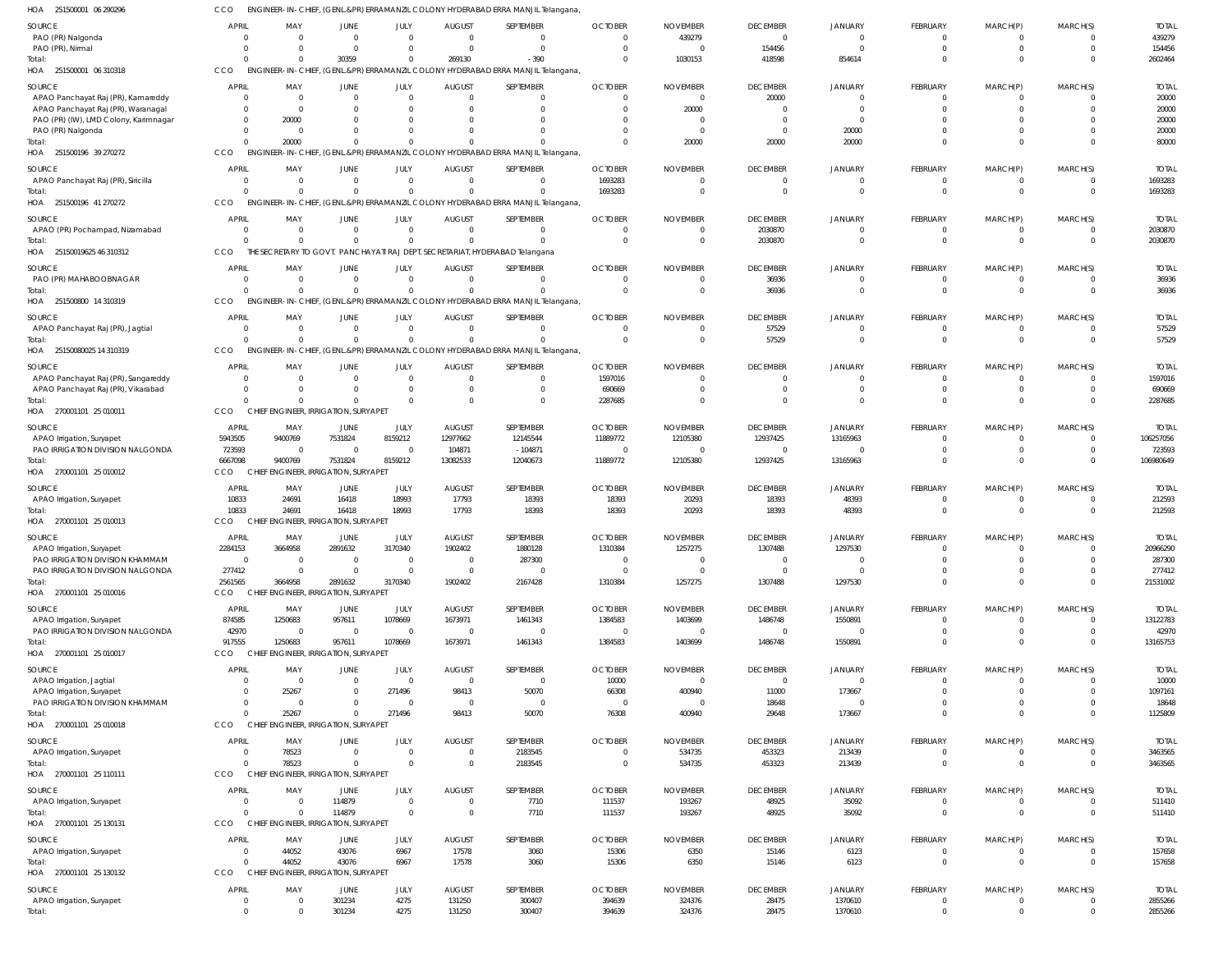251500001 06 290296 HOA CCO ENGINEER-IN-CHIEF, (GENL.&PR) ERRAMANZIL COLONY HYDERABAD ERRA MANJIL Telangana,

| SOURCE                                                                    | <b>APRIL</b>                   | MAY                                             | JUNE                 | JULY                   | <b>AUGUST</b>                 | <b>SEPTEMBER</b>                                                                           | <b>OCTOBER</b>                | <b>NOVEMBER</b>             | <b>DECEMBER</b>                   | <b>JANUARY</b>             | FEBRUARY                   | MARCH(P)                | MARCH(S)             | <b>TOTAL</b>            |
|---------------------------------------------------------------------------|--------------------------------|-------------------------------------------------|----------------------|------------------------|-------------------------------|--------------------------------------------------------------------------------------------|-------------------------------|-----------------------------|-----------------------------------|----------------------------|----------------------------|-------------------------|----------------------|-------------------------|
| PAO (PR) Nalgonda                                                         | $\overline{0}$                 | $\Omega$                                        | $\overline{0}$       | $\overline{0}$         | $\overline{0}$                | $\overline{\phantom{0}}$                                                                   | $\Omega$                      | 439279                      | $\mathbf{0}$                      | $\overline{0}$             | $\mathbf{0}$               | $\Omega$                | $\Omega$             | 439279                  |
| PAO (PR), Nirmal                                                          | $\Omega$                       | $\Omega$                                        | $\Omega$             | $\Omega$               | $\Omega$                      | $\overline{0}$                                                                             | $\Omega$                      | $\Omega$                    | 154456                            | $\Omega$                   | $\mathbf{0}$               | $\mathbf 0$             | $\Omega$             | 154456                  |
| Total:<br>HOA 251500001 06 310318                                         | $\Omega$<br>CCO                | $\Omega$                                        | 30359                | $\Omega$               | 269130                        | $-390$<br>ENGINEER-IN-CHIEF, (GENL.&PR) ERRAMANZIL COLONY HYDERABAD ERRA MANJIL Telangana, | $\Omega$                      | 1030153                     | 418598                            | 854614                     | $\mathbf 0$                | $\Omega$                | $\Omega$             | 2602464                 |
|                                                                           |                                |                                                 |                      |                        |                               |                                                                                            |                               |                             |                                   |                            |                            |                         |                      |                         |
| <b>SOURCE</b><br>APAO Panchayat Raj (PR), Kamareddy                       | <b>APRIL</b><br>$\overline{0}$ | MAY<br>$\Omega$                                 | JUNE<br>$\Omega$     | JULY<br>$\overline{0}$ | <b>AUGUST</b><br>$\Omega$     | SEPTEMBER<br>$\Omega$                                                                      | <b>OCTOBER</b><br>$\Omega$    | <b>NOVEMBER</b><br>$\Omega$ | <b>DECEMBER</b><br>20000          | <b>JANUARY</b><br>$\Omega$ | FEBRUARY<br>$\Omega$       | MARCH(P)<br>0           | MARCH(S)             | <b>TOTAI</b><br>20000   |
| APAO Panchayat Raj (PR), Waranagal                                        | $\Omega$                       | $\Omega$                                        | $\Omega$             | $\Omega$               | $\Omega$                      | $\Omega$                                                                                   | $\Omega$                      | 20000                       | $\Omega$                          | $\Omega$                   | $\Omega$                   | $\Omega$                | $\Omega$             | 20000                   |
| PAO (PR) (IW), LMD Colony, Karimnagar                                     | $\Omega$                       | 20000                                           | $\Omega$             | $\Omega$               | $\Omega$                      | $\Omega$                                                                                   |                               |                             | $\Omega$                          | $\Omega$                   | $\Omega$                   |                         |                      | 20000                   |
| PAO (PR) Nalgonda                                                         | $\Omega$                       | $\Omega$                                        | $\Omega$             | $\Omega$               | $\Omega$                      | $\Omega$                                                                                   |                               |                             | $\Omega$                          | 20000                      | $\Omega$                   | $\Omega$                | $\Omega$             | 20000                   |
| Total:<br>HOA 251500196 39 270272                                         | $\Omega$<br>CCO                | 20000                                           | $\Omega$             | $\Omega$               |                               | ENGINEER-IN-CHIEF, (GENL.&PR) ERRAMANZIL COLONY HYDERABAD ERRA MANJIL Telangana,           | $\Omega$                      | 20000                       | 20000                             | 20000                      | $\Omega$                   | $\Omega$                | $\Omega$             | 80000                   |
|                                                                           |                                |                                                 |                      |                        |                               |                                                                                            |                               |                             |                                   |                            |                            |                         |                      |                         |
| SOURCE<br>APAO Panchayat Raj (PR), Siricilla                              | <b>APRIL</b><br>$\Omega$       | MAY<br>$\Omega$                                 | JUNE<br>$\Omega$     | JULY<br>$\Omega$       | <b>AUGUST</b><br>$\mathbf{0}$ | SEPTEMBER<br>$\Omega$                                                                      | <b>OCTOBER</b><br>1693283     | <b>NOVEMBER</b><br>$\Omega$ | <b>DECEMBER</b><br>$\overline{0}$ | <b>JANUARY</b><br>$\Omega$ | FEBRUARY<br>$\mathbf{0}$   | MARCH(P)<br>$^{\circ}$  | MARCH(S)<br>$\Omega$ | <b>TOTAI</b><br>1693283 |
| Total:                                                                    | $\Omega$                       | $\Omega$                                        | $\Omega$             | $\Omega$               | $\Omega$                      | $\Omega$                                                                                   | 1693283                       | $\Omega$                    | $\Omega$                          | $\Omega$                   | $\mathbf{0}$               | $\mathbf 0$             | $\Omega$             | 1693283                 |
| HOA 251500196 41 270272                                                   | CCO                            |                                                 |                      |                        |                               | ENGINEER-IN-CHIEF, (GENL.&PR) ERRAMANZIL COLONY HYDERABAD ERRA MANJIL Telangana,           |                               |                             |                                   |                            |                            |                         |                      |                         |
| SOURCE                                                                    | APRIL                          | MAY                                             | JUNE                 | JULY                   | <b>AUGUST</b>                 | SEPTEMBER                                                                                  | <b>OCTOBER</b>                | <b>NOVEMBER</b>             | <b>DECEMBER</b>                   | <b>JANUARY</b>             | FEBRUARY                   | MARCH(P)                | MARCH(S)             | <b>TOTAI</b>            |
| APAO (PR) Pochampad, Nizamabad                                            | $\Omega$                       | $\Omega$                                        | $\Omega$             | $\overline{0}$         | $\Omega$                      | $\Omega$                                                                                   | $\Omega$                      |                             | 2030870                           | $\Omega$                   | $\Omega$                   | $\Omega$                | $\Omega$             | 2030870                 |
| Total:<br>HOA 25150019625 46 310312                                       | $\Omega$<br>CCO                |                                                 | $\Omega$             | $\overline{0}$         | $\Omega$                      | $\Omega$<br>THE SECRETARY TO GOVT. PANCHAYATI RAJ DEPT. SECRETARIAT, HYDERABAD Telangana   | $\Omega$                      | $\Omega$                    | 2030870                           | $\Omega$                   | $\overline{0}$             | $\mathbf 0$             | $\Omega$             | 2030870                 |
|                                                                           |                                |                                                 |                      |                        |                               |                                                                                            |                               |                             |                                   |                            |                            |                         |                      |                         |
| <b>SOURCE</b><br>PAO (PR) MAHABOOBNAGAR                                   | <b>APRIL</b><br>$\mathbf{0}$   | MAY<br>$\Omega$                                 | JUNE<br>$\Omega$     | JULY<br>$\Omega$       | <b>AUGUST</b><br>$\Omega$     | SEPTEMBER<br>$\overline{0}$                                                                | <b>OCTOBER</b><br>$\Omega$    | <b>NOVEMBER</b><br>$\Omega$ | <b>DECEMBER</b><br>36936          | JANUARY<br>$\Omega$        | FEBRUARY<br>$\mathbf{0}$   | MARCH(P)<br>$^{\circ}$  | MARCH(S)<br>$\Omega$ | <b>TOTAL</b><br>36936   |
| Total:                                                                    | $\Omega$                       | $\Omega$                                        | $\Omega$             | $\Omega$               | $\Omega$                      | $\overline{0}$                                                                             | $\Omega$                      | $\Omega$                    | 36936                             | $\Omega$                   | $\mathbf 0$                | $\mathbf 0$             | $\Omega$             | 36936                   |
| HOA 251500800 14 310319                                                   | CCO                            |                                                 |                      |                        |                               | ENGINEER-IN-CHIEF, (GENL.&PR) ERRAMANZIL COLONY HYDERABAD ERRA MANJIL Telangana,           |                               |                             |                                   |                            |                            |                         |                      |                         |
| SOURCE                                                                    | <b>APRIL</b>                   | MAY                                             | JUNE                 | JULY                   | <b>AUGUST</b>                 | SEPTEMBER                                                                                  | <b>OCTOBER</b>                | <b>NOVEMBER</b>             | <b>DECEMBER</b>                   | <b>JANUARY</b>             | FEBRUARY                   | MARCH(P)                | MARCH(S)             | <b>TOTAI</b>            |
| APAO Panchayat Raj (PR), Jagtial                                          | $\Omega$                       |                                                 | $\Omega$             | $\Omega$               | $\Omega$                      | $\Omega$                                                                                   | $\Omega$                      | $\Omega$                    | 57529                             | $\Omega$                   | $\Omega$                   | $\Omega$                | $\Omega$             | 57529                   |
| Total:                                                                    | $\Omega$                       | $\Omega$                                        | $\Omega$             | $\Omega$               | $\Omega$                      | $\Omega$                                                                                   | $\Omega$                      | $\Omega$                    | 57529                             | $\Omega$                   | $\Omega$                   | $\Omega$                | $\Omega$             | 57529                   |
| 25150080025 14 310319<br>HOA                                              | CCO                            |                                                 |                      |                        |                               | ENGINEER-IN-CHIEF, (GENL.&PR) ERRAMANZIL COLONY HYDERABAD ERRA MANJIL Telangana,           |                               |                             |                                   |                            |                            |                         |                      |                         |
| <b>SOURCE</b>                                                             | <b>APRIL</b>                   | MAY                                             | JUNE                 | JULY                   | <b>AUGUST</b>                 | SEPTEMBER                                                                                  | <b>OCTOBER</b>                | <b>NOVEMBER</b>             | <b>DECEMBER</b>                   | <b>JANUARY</b>             | FEBRUARY                   | MARCH(P)                | MARCH(S)             | <b>TOTAI</b>            |
| APAO Panchayat Raj (PR), Sangareddy<br>APAO Panchayat Raj (PR), Vikarabad | $\Omega$<br>$\overline{0}$     | $\Omega$<br>$\Omega$                            | $\Omega$<br>$\Omega$ | $\Omega$<br>$\Omega$   | $\Omega$<br>$\mathbf 0$       | $\Omega$<br>$\overline{0}$                                                                 | 1597016<br>690669             | $\Omega$                    | $\Omega$<br>$\overline{0}$        | $\Omega$<br>$\overline{0}$ | $\Omega$<br>$\mathbf 0$    | $\Omega$<br>$\mathbf 0$ | $\Omega$<br>$\Omega$ | 1597016<br>690669       |
| Total:                                                                    | $\Omega$                       |                                                 | $\Omega$             | $\Omega$               | $\Omega$                      | $\Omega$                                                                                   | 2287685                       |                             | $\Omega$                          | $\Omega$                   | $\mathbf 0$                | $\Omega$                | $\Omega$             | 2287685                 |
| HOA 270001101 25 010011                                                   | CCO                            | CHIEF ENGINEER, IRRIGATION, SURYAPET            |                      |                        |                               |                                                                                            |                               |                             |                                   |                            |                            |                         |                      |                         |
| <b>SOURCE</b>                                                             | APRIL                          | MAY                                             | <b>JUNE</b>          | JULY                   | <b>AUGUST</b>                 | <b>SEPTEMBER</b>                                                                           | <b>OCTOBER</b>                | <b>NOVEMBER</b>             | <b>DECEMBER</b>                   | JANUARY                    | FEBRUARY                   | MARCH(P)                | MARCH(S)             | <b>TOTAI</b>            |
| APAO Irrigation, Suryapet                                                 | 5943505                        | 9400769                                         | 7531824              | 8159212                | 12977662                      | 12145544                                                                                   | 11889772                      | 12105380                    | 12937425                          | 13165963                   | $\Omega$                   | $\Omega$                | $\Omega$             | 106257056               |
| PAO IRRIGATION DIVISION NALGONDA                                          | 723593                         | $\Omega$                                        | $\Omega$             | $\Omega$               | 104871                        | $-104871$                                                                                  | $\Omega$                      |                             | $\mathbf{0}$                      | $\Omega$                   | $\Omega$                   | $\Omega$                | $\Omega$             | 723593                  |
| Total:<br>HOA 270001101 25 010012                                         | 6667098<br>CCO                 | 9400769<br>CHIEF ENGINEER, IRRIGATION, SURYAPET | 7531824              | 8159212                | 13082533                      | 12040673                                                                                   | 11889772                      | 12105380                    | 12937425                          | 13165963                   | $\Omega$                   | $\Omega$                | $\Omega$             | 106980649               |
|                                                                           |                                |                                                 |                      |                        |                               |                                                                                            |                               |                             |                                   |                            |                            |                         |                      |                         |
| SOURCE<br>APAO Irrigation, Suryapet                                       | <b>APRIL</b><br>10833          | MAY<br>24691                                    | JUNE<br>16418        | JULY<br>18993          | <b>AUGUST</b><br>17793        | SEPTEMBER<br>18393                                                                         | <b>OCTOBER</b><br>18393       | <b>NOVEMBER</b><br>20293    | <b>DECEMBER</b><br>18393          | JANUARY<br>48393           | FEBRUARY<br>$\overline{0}$ | MARCH(P)<br>-0          | MARCH(S)<br>$\Omega$ | <b>TOTAL</b><br>212593  |
| Total:                                                                    | 10833                          | 24691                                           | 16418                | 18993                  | 17793                         | 18393                                                                                      | 18393                         | 20293                       | 18393                             | 48393                      | $\mathbf 0$                | $\mathbf 0$             | $\Omega$             | 212593                  |
| HOA 270001101 25 010013                                                   | CCO                            | CHIEF ENGINEER, IRRIGATION, SURYAPET            |                      |                        |                               |                                                                                            |                               |                             |                                   |                            |                            |                         |                      |                         |
| SOURCE                                                                    | APRIL                          | MAY                                             | JUNE                 | JULY                   | <b>AUGUST</b>                 | SEPTEMBER                                                                                  | <b>OCTOBER</b>                | <b>NOVEMBER</b>             | <b>DECEMBER</b>                   | <b>JANUARY</b>             | FEBRUARY                   | MARCH(P)                | MARCH(S)             | <b>TOTAI</b>            |
| APAO Irrigation, Suryapet                                                 | 2284153                        | 3664958                                         | 2891632              | 3170340                | 1902402                       | 1880128                                                                                    | 1310384                       | 1257275                     | 1307488                           | 1297530                    | $\Omega$                   | $\Omega$                | $\Omega$             | 20966290                |
| PAO IRRIGATION DIVISION KHAMMAM<br>PAO IRRIGATION DIVISION NALGONDA       | $\Omega$<br>277412             | $\Omega$                                        | $\Omega$<br>$\Omega$ | $\Omega$<br>$\Omega$   | $\Omega$<br>$\Omega$          | 287300<br>$\overline{0}$                                                                   | $\Omega$<br>$\Omega$          | $\Omega$                    | $\Omega$<br>$\mathbf{0}$          | $\Omega$<br>$\mathbf 0$    | $\Omega$<br>$\mathbf 0$    | $\Omega$<br>$\Omega$    | $\Omega$             | 287300<br>277412        |
| Total:                                                                    | 2561565                        | 3664958                                         | 2891632              | 3170340                | 1902402                       | 2167428                                                                                    | 1310384                       | 1257275                     | 1307488                           | 1297530                    | $\mathbf 0$                | $\overline{0}$          | $\Omega$             | 21531002                |
| HOA 270001101 25 010016                                                   | CCO                            | CHIEF ENGINEER, IRRIGATION, SURYAPET            |                      |                        |                               |                                                                                            |                               |                             |                                   |                            |                            |                         |                      |                         |
| <b>SOURCE</b>                                                             | APRIL                          | MAY                                             | JUNE                 | JULY                   | <b>AUGUST</b>                 | <b>SEPTEMBER</b>                                                                           | <b>OCTOBER</b>                | <b>NOVEMBER</b>             | <b>DECEMBER</b>                   | <b>JANUARY</b>             | FEBRUARY                   | MARCH(P)                | MARCH(S)             | <b>TOTAL</b>            |
| APAO Irrigation, Suryapet                                                 | 874585                         | 1250683                                         | 957611               | 1078669                | 1673971                       | 1461343                                                                                    | 1384583                       | 1403699                     | 1486748                           | 1550891                    | $\mathbf{0}$               | $^{\circ}$              | $\Omega$             | 13122783                |
| PAO IRRIGATION DIVISION NALGONDA                                          | 42970                          | $\Omega$                                        | $\overline{0}$       | $\overline{0}$         | $\overline{0}$                | $\overline{0}$                                                                             | $\overline{0}$                | $\Omega$                    | $\mathbf 0$                       | $\overline{0}$             | $\mathbf 0$                | $\mathbf 0$             | $\Omega$             | 42970                   |
| Total:<br>HOA 270001101 25 010017                                         | 917555<br>CCO                  | 1250683<br>CHIEF ENGINEER, IRRIGATION, SURYAPET | 957611               | 1078669                | 1673971                       | 1461343                                                                                    | 1384583                       | 1403699                     | 1486748                           | 1550891                    | $\mathbf 0$                | $\Omega$                | $\Omega$             | 13165753                |
| <b>SOURCE</b>                                                             | <b>APRIL</b>                   | MAY                                             | JUNE                 | JULY                   | AUGUST                        | SEPTEMBER                                                                                  | <b>OCTOBER</b>                | <b>NOVEMBER</b>             | <b>DECEMBER</b>                   | JANUARY                    | FEBRUARY                   | MARCH(P)                | MARCH(S)             | <b>TOTAL</b>            |
| APAO Irrigation, Jagtial                                                  | $\Omega$                       | $\Omega$                                        | $\Omega$             | $\overline{0}$         | $\mathbf{0}$                  | $\overline{0}$                                                                             | 10000                         | $\Omega$                    | $\mathbf{0}$                      | $\overline{0}$             | $\Omega$                   | $\Omega$                | $\Omega$             | 10000                   |
| APAO Irrigation, Suryapet                                                 | $\mathbf 0$                    | 25267                                           | $\Omega$             | 271496                 | 98413                         | 50070                                                                                      | 66308                         | 400940                      | 11000                             | 173667                     | $\Omega$                   | $\Omega$                | $\Omega$             | 1097161                 |
| PAO IRRIGATION DIVISION KHAMMAM                                           | $\Omega$                       | $\Omega$                                        | $\Omega$             | $\overline{0}$         | $\overline{0}$                | $\overline{0}$                                                                             | 0                             | $\Omega$                    | 18648                             | $\overline{0}$             | $\Omega$                   | $\mathbf 0$             |                      | 18648                   |
| Total:<br>HOA 270001101 25 010018                                         | $\Omega$<br>CCO                | 25267<br>CHIEF ENGINEER, IRRIGATION, SURYAPET   | $\Omega$             | 271496                 | 98413                         | 50070                                                                                      | 76308                         | 400940                      | 29648                             | 173667                     | $\Omega$                   | $\Omega$                | $\Omega$             | 1125809                 |
|                                                                           |                                |                                                 |                      |                        |                               |                                                                                            |                               |                             |                                   |                            |                            |                         |                      |                         |
| <b>SOURCE</b><br>APAO Irrigation, Suryapet                                | <b>APRIL</b><br>$\overline{0}$ | MAY<br>78523                                    | JUNE<br>$\Omega$     | JULY<br>$\overline{0}$ | <b>AUGUST</b><br>$\mathbf 0$  | <b>SEPTEMBER</b><br>2183545                                                                | <b>OCTOBER</b><br>$\mathbf 0$ | <b>NOVEMBER</b><br>534735   | <b>DECEMBER</b><br>453323         | <b>JANUARY</b><br>213439   | FEBRUARY<br>$\mathbf{0}$   | MARCH(P)<br>$^{\circ}$  | MARCH(S)<br>$\Omega$ | <b>TOTAL</b><br>3463565 |
| Total:                                                                    | $\Omega$                       | 78523                                           | $\Omega$             | $\Omega$               | $\mathbf 0$                   | 2183545                                                                                    | $\mathbf 0$                   | 534735                      | 453323                            | 213439                     | $\mathbf 0$                | $\mathbf 0$             | $\Omega$             | 3463565                 |
| HOA 270001101 25 110111                                                   | CCO                            | CHIEF ENGINEER, IRRIGATION, SURYAPET            |                      |                        |                               |                                                                                            |                               |                             |                                   |                            |                            |                         |                      |                         |
| <b>SOURCE</b>                                                             | APRIL                          | MAY                                             | JUNE                 | JULY                   | <b>AUGUST</b>                 | <b>SEPTEMBER</b>                                                                           | <b>OCTOBER</b>                | <b>NOVEMBER</b>             | <b>DECEMBER</b>                   | <b>JANUARY</b>             | FEBRUARY                   | MARCH(P)                | MARCH(S)             | <b>TOTAL</b>            |
| APAO Irrigation, Suryapet                                                 | $\overline{0}$                 |                                                 | 114879               | $\overline{0}$         | $\overline{0}$                | 7710                                                                                       | 111537                        | 193267                      | 48925                             | 35092                      | 0                          | -0                      | $\Omega$             | 511410                  |
| Total:                                                                    | $\Omega$<br>CCO                | CHIEF ENGINEER, IRRIGATION, SURYAPET            | 114879               | $\Omega$               | $\Omega$                      | 7710                                                                                       | 111537                        | 193267                      | 48925                             | 35092                      | $\mathbf 0$                | $\mathbf 0$             | $\Omega$             | 511410                  |
| HOA 270001101 25 130131                                                   |                                |                                                 |                      |                        |                               |                                                                                            |                               |                             |                                   |                            |                            |                         |                      |                         |
| SOURCE                                                                    | <b>APRIL</b><br>$\overline{0}$ | MAY<br>44052                                    | JUNE<br>43076        | JULY<br>6967           | <b>AUGUST</b><br>17578        | SEPTEMBER                                                                                  | <b>OCTOBER</b>                | <b>NOVEMBER</b>             | <b>DECEMBER</b>                   | <b>JANUARY</b>             | FEBRUARY<br>$\mathbf 0$    | MARCH(P)<br>-0          | MARCH(S)<br>$\Omega$ | <b>TOTAL</b><br>157658  |
| APAO Irrigation, Suryapet<br>Total:                                       | $\Omega$                       | 44052                                           | 43076                | 6967                   | 17578                         | 3060<br>3060                                                                               | 15306<br>15306                | 6350<br>6350                | 15146<br>15146                    | 6123<br>6123               | $\mathbf 0$                | $\mathbf 0$             | $\Omega$             | 157658                  |
| HOA 270001101 25 130132                                                   | CCO                            | CHIEF ENGINEER, IRRIGATION, SURYAPET            |                      |                        |                               |                                                                                            |                               |                             |                                   |                            |                            |                         |                      |                         |
| SOURCE                                                                    | <b>APRIL</b>                   | MAY                                             | JUNE                 | JULY                   | <b>AUGUST</b>                 | SEPTEMBER                                                                                  | <b>OCTOBER</b>                | <b>NOVEMBER</b>             | <b>DECEMBER</b>                   | <b>JANUARY</b>             | FEBRUARY                   | MARCH(P)                | MARCH(S)             | <b>TOTAL</b>            |
| APAO Irrigation, Suryapet                                                 | $\overline{0}$                 |                                                 | 301234               | 4275                   | 131250                        | 300407                                                                                     | 394639                        | 324376                      | 28475                             | 1370610                    | $\overline{0}$             | $\mathbf 0$             | $\Omega$             | 2855266                 |
| Total:                                                                    | $\Omega$                       | $\Omega$                                        | 301234               | 4275                   | 131250                        | 300407                                                                                     | 394639                        | 324376                      | 28475                             | 1370610                    | $\mathbf 0$                | $\mathbf{0}$            | $\Omega$             | 2855266                 |
|                                                                           |                                |                                                 |                      |                        |                               |                                                                                            |                               |                             |                                   |                            |                            |                         |                      |                         |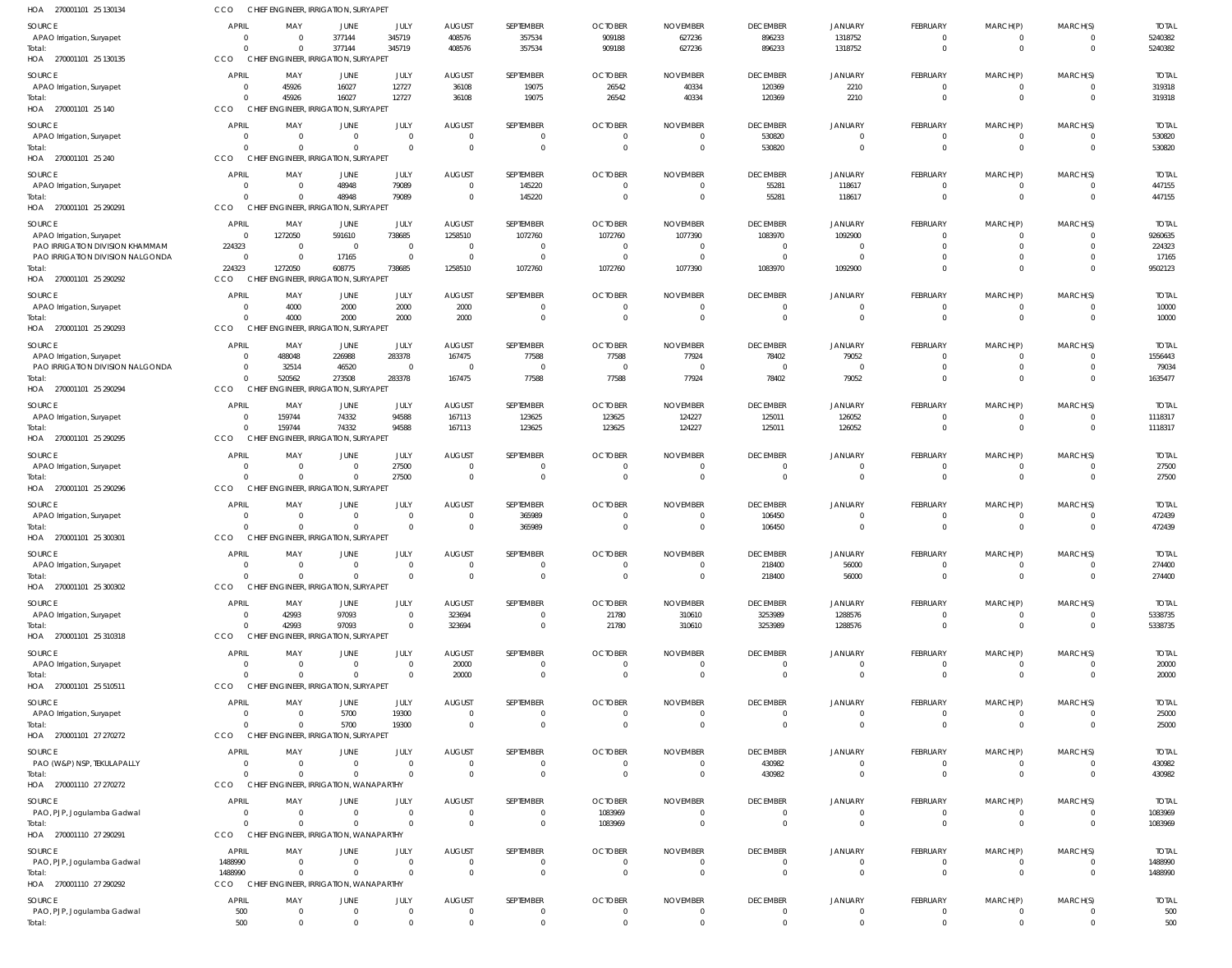| HOA 270001101 25 130134                                             | CCO                                | CHIEF ENGINEER, IRRIGATION, SURYAPET                                     |                                           |                                                 |                                                                     |                                   |                                                    |                                                     |                                     |                                      |                                           |                                              |                                     |                                    |
|---------------------------------------------------------------------|------------------------------------|--------------------------------------------------------------------------|-------------------------------------------|-------------------------------------------------|---------------------------------------------------------------------|-----------------------------------|----------------------------------------------------|-----------------------------------------------------|-------------------------------------|--------------------------------------|-------------------------------------------|----------------------------------------------|-------------------------------------|------------------------------------|
| SOURCE<br>APAO Irrigation, Suryapet<br>Total:                       | APRIL<br>$\Omega$<br>$\Omega$      | MAY<br>$\overline{0}$<br>$\overline{0}$                                  | JUNE<br>377144<br>377144                  | JULY<br>345719<br>345719                        | <b>AUGUST</b><br>408576<br>408576                                   | SEPTEMBER<br>357534<br>357534     | <b>OCTOBER</b><br>909188<br>909188                 | <b>NOVEMBER</b><br>627236<br>627236                 | <b>DECEMBER</b><br>896233<br>896233 | <b>JANUARY</b><br>1318752<br>1318752 | FEBRUARY<br>$^{\circ}$<br>$\overline{0}$  | MARCH(P)<br>$^{\circ}$<br>$\overline{0}$     | MARCH(S)<br>$\Omega$<br>$\mathbf 0$ | <b>TOTAL</b><br>5240382<br>5240382 |
| HOA 270001101 25 130135                                             | CCO                                | CHIEF ENGINEER, IRRIGATION, SURYAPET                                     |                                           |                                                 |                                                                     |                                   |                                                    |                                                     |                                     |                                      |                                           |                                              |                                     |                                    |
| SOURCE<br>APAO Irrigation, Suryapet<br>Total:                       | APRIL<br>$\Omega$<br>$\Omega$      | MAY<br>45926<br>45926                                                    | JUNE<br>16027<br>16027                    | JULY<br>12727<br>12727                          | <b>AUGUST</b><br>36108<br>36108                                     | SEPTEMBER<br>19075<br>19075       | <b>OCTOBER</b><br>26542<br>26542                   | <b>NOVEMBER</b><br>40334<br>40334                   | <b>DECEMBER</b><br>120369<br>120369 | <b>JANUARY</b><br>2210<br>2210       | FEBRUARY<br>$\overline{0}$<br>$\Omega$    | MARCH(P)<br>$\overline{0}$<br>$\Omega$       | MARCH(S)<br>$\Omega$<br>$\Omega$    | <b>TOTAL</b><br>319318<br>319318   |
| HOA 270001101 25 140                                                | CCO                                | CHIEF ENGINEER, IRRIGATION, SURYAPET                                     |                                           |                                                 |                                                                     |                                   |                                                    |                                                     |                                     |                                      |                                           |                                              |                                     |                                    |
| SOURCE<br>APAO Irrigation, Suryapet<br>Total:                       | <b>APRIL</b><br>$\Omega$<br>$\cap$ | MAY<br>$\overline{0}$<br>$\overline{0}$                                  | JUNE<br>$\overline{0}$<br>$\overline{0}$  | <b>JULY</b><br>$\overline{0}$<br>$\overline{0}$ | <b>AUGUST</b><br>$\overline{\mathbf{0}}$<br>$\overline{\mathbf{0}}$ | SEPTEMBER<br>$\Omega$<br>$\Omega$ | <b>OCTOBER</b><br>$\overline{0}$<br>$\overline{0}$ | <b>NOVEMBER</b><br>$\overline{0}$<br>$\overline{0}$ | <b>DECEMBER</b><br>530820<br>530820 | JANUARY<br>$\mathbf 0$<br>$\Omega$   | FEBRUARY<br>$\overline{0}$<br>$\mathbf 0$ | MARCH(P)<br>$\overline{0}$<br>$\overline{0}$ | MARCH(S)<br>$\mathbf 0$<br>$\Omega$ | <b>TOTAL</b><br>530820<br>530820   |
| HOA 270001101 25 240                                                | CCO                                | CHIEF ENGINEER, IRRIGATION, SURYAPET                                     |                                           |                                                 |                                                                     |                                   |                                                    |                                                     |                                     |                                      |                                           |                                              |                                     |                                    |
| SOURCE<br>APAO Irrigation, Suryapet                                 | <b>APRIL</b><br>$\Omega$           | MAY<br>$\overline{0}$                                                    | JUNE<br>48948                             | JULY<br>79089                                   | <b>AUGUST</b><br>$\overline{0}$                                     | SEPTEMBER<br>145220               | <b>OCTOBER</b><br>$\overline{0}$                   | <b>NOVEMBER</b><br>$\overline{0}$                   | <b>DECEMBER</b><br>55281            | <b>JANUARY</b><br>118617             | FEBRUARY<br>$^{\circ}$                    | MARCH(P)<br>$^{\circ}$                       | MARCH(S)<br>-0                      | <b>TOTAL</b><br>447155             |
| Total:<br>HOA 270001101 25 290291                                   | $\cap$<br>CCO                      | $\Omega$<br>CHIEF ENGINEER, IRRIGATION, SURYAPET                         | 48948                                     | 79089                                           | $\overline{\mathbf{0}}$                                             | 145220                            | $\overline{0}$                                     | $\overline{0}$                                      | 55281                               | 118617                               | $\mathbf 0$                               | $\overline{0}$                               | $\Omega$                            | 447155                             |
| SOURCE                                                              | APRIL                              | MAY                                                                      | JUNE                                      | JULY                                            | <b>AUGUST</b>                                                       | SEPTEMBER                         | <b>OCTOBER</b>                                     | <b>NOVEMBER</b>                                     | <b>DECEMBER</b>                     | <b>JANUARY</b>                       | FEBRUARY                                  | MARCH(P)                                     | MARCH(S)                            | <b>TOTAL</b>                       |
| APAO Irrigation, Suryapet                                           | $\Omega$                           | 1272050                                                                  | 591610                                    | 738685                                          | 1258510                                                             | 1072760                           | 1072760                                            | 1077390                                             | 1083970                             | 1092900                              | $^{\circ}$                                | $^{\circ}$                                   | $\Omega$                            | 9260635                            |
| PAO IRRIGATION DIVISION KHAMMAM<br>PAO IRRIGATION DIVISION NALGONDA | 224323<br>$\Omega$                 | $\overline{0}$<br>$\overline{0}$                                         | $\overline{\mathbf{0}}$<br>17165          | $\overline{0}$<br>$\overline{0}$                | $\overline{\mathbf{0}}$<br>$\overline{\mathbf{0}}$                  | $\Omega$<br>- 0                   | $\overline{0}$<br>$\overline{0}$                   | $\overline{0}$<br>$^{\circ}$                        | $\Omega$<br>$\Omega$                | $\Omega$<br>$\Omega$                 | $\Omega$<br>$\mathbf 0$                   | $\mathbf 0$<br>$\mathbf 0$                   | $\Omega$<br>$\Omega$                | 224323<br>17165                    |
| Total:<br>HOA 270001101 25 290292                                   | 224323<br>CCO                      | 1272050<br>CHIEF ENGINEER, IRRIGATION, SURYAPET                          | 608775                                    | 738685                                          | 1258510                                                             | 1072760                           | 1072760                                            | 1077390                                             | 1083970                             | 1092900                              | $\Omega$                                  | $\mathbf 0$                                  | $\Omega$                            | 9502123                            |
| SOURCE                                                              | <b>APRIL</b>                       | MAY                                                                      | JUNE                                      | JULY                                            | <b>AUGUST</b>                                                       | SEPTEMBER                         | <b>OCTOBER</b>                                     | <b>NOVEMBER</b>                                     | <b>DECEMBER</b>                     | <b>JANUARY</b>                       | FEBRUARY                                  | MARCH(P)                                     | MARCH(S)                            | <b>TOTAL</b>                       |
| APAO Irrigation, Suryapet<br>Total:<br>HOA 270001101 25 290293      | $\Omega$<br>$\cap$<br>CCO          | 4000<br>4000<br>CHIEF ENGINEER, IRRIGATION, SURYAPET                     | 2000<br>2000                              | 2000<br>2000                                    | 2000<br>2000                                                        | $\Omega$<br>$\Omega$              | $\overline{0}$<br>$\overline{0}$                   | $\overline{0}$<br>$\overline{0}$                    | $\Omega$<br>$\Omega$                | -0<br>$\Omega$                       | $\overline{0}$<br>$\overline{0}$          | $\overline{0}$<br>$\overline{0}$             | $\Omega$<br>$\Omega$                | 10000<br>10000                     |
|                                                                     | <b>APRIL</b>                       |                                                                          |                                           | JULY                                            | <b>AUGUST</b>                                                       | SEPTEMBER                         | <b>OCTOBER</b>                                     |                                                     | <b>DECEMBER</b>                     |                                      |                                           |                                              |                                     | <b>TOTAL</b>                       |
| SOURCE<br>APAO Irrigation, Suryapet                                 | $\Omega$                           | MAY<br>488048                                                            | JUNE<br>226988                            | 283378                                          | 167475                                                              | 77588                             | 77588                                              | <b>NOVEMBER</b><br>77924                            | 78402                               | <b>JANUARY</b><br>79052              | FEBRUARY<br>$\overline{0}$                | MARCH(P)<br>$\overline{0}$                   | MARCH(S)<br>$\mathbf 0$             | 1556443                            |
| PAO IRRIGATION DIVISION NALGONDA                                    | $\Omega$                           | 32514                                                                    | 46520                                     | $\overline{0}$                                  | $\overline{\mathbf{0}}$                                             | $\Omega$                          | $\overline{0}$                                     | $\overline{0}$                                      | $\Omega$                            | $\mathbf 0$                          | $\mathbf 0$                               | $\overline{0}$                               | $\mathbf 0$                         | 79034                              |
| Total:<br>HOA 270001101 25 290294                                   | $\Omega$<br>CCO                    | 520562<br>CHIEF ENGINEER, IRRIGATION, SURYAPET                           | 273508                                    | 283378                                          | 167475                                                              | 77588                             | 77588                                              | 77924                                               | 78402                               | 79052                                | $\Omega$                                  | $\Omega$                                     | $\Omega$                            | 1635477                            |
| SOURCE                                                              | APRIL                              | MAY                                                                      | JUNE                                      | JULY                                            | <b>AUGUST</b>                                                       | SEPTEMBER                         | <b>OCTOBER</b>                                     | <b>NOVEMBER</b>                                     | <b>DECEMBER</b>                     | <b>JANUARY</b>                       | FEBRUARY                                  | MARCH(P)                                     | MARCH(S)                            | <b>TOTAL</b>                       |
| APAO Irrigation, Suryapet<br>Total:                                 | $\Omega$<br>$\cap$                 | 159744<br>159744                                                         | 74332<br>74332                            | 94588<br>94588                                  | 167113<br>167113                                                    | 123625<br>123625                  | 123625<br>123625                                   | 124227<br>124227                                    | 125011<br>125011                    | 126052<br>126052                     | $\mathbf 0$<br>$\overline{0}$             | $\overline{0}$<br>$\overline{0}$             | -0<br>$\mathbf{0}$                  | 1118317<br>1118317                 |
| HOA 270001101 25 290295                                             | CCO                                | CHIEF ENGINEER, IRRIGATION, SURYAPET                                     |                                           |                                                 |                                                                     |                                   |                                                    |                                                     |                                     |                                      |                                           |                                              |                                     |                                    |
| SOURCE<br>APAO Irrigation, Suryapet                                 | <b>APRIL</b><br>$\Omega$           | MAY<br>$\overline{0}$                                                    | JUNE<br>$\overline{0}$                    | JULY<br>27500                                   | <b>AUGUST</b><br>$\overline{\mathbf{0}}$                            | SEPTEMBER                         | <b>OCTOBER</b><br>$\overline{0}$                   | <b>NOVEMBER</b><br>$\overline{0}$                   | <b>DECEMBER</b><br>$\Omega$         | <b>JANUARY</b><br>$\mathbf 0$        | FEBRUARY<br>$\overline{0}$                | MARCH(P)<br>$\overline{0}$                   | MARCH(S)<br>$\mathbf 0$             | <b>TOTAL</b><br>27500              |
| Total:                                                              | $\cap$                             | $\Omega$                                                                 | $\overline{0}$                            | 27500                                           | $\overline{\mathbf{0}}$                                             | $\Omega$                          | $\overline{0}$                                     | $\overline{0}$                                      | $\Omega$                            | $\Omega$                             | $\overline{0}$                            | $\overline{0}$                               | $\Omega$                            | 27500                              |
| HOA 270001101 25 290296                                             | CCO                                | <b>CHIEF</b>                                                             | <b>ENGINEER, IRRIGATION, SURYAPET</b>     |                                                 |                                                                     |                                   |                                                    |                                                     |                                     |                                      |                                           |                                              |                                     |                                    |
| SOURCE<br>APAO Irrigation, Suryapet                                 | APRIL<br>$\Omega$                  | MAY<br>$\overline{0}$                                                    | JUNE<br>$\overline{0}$                    | JULY<br>$\overline{0}$                          | <b>AUGUST</b><br>$\overline{0}$                                     | SEPTEMBER<br>365989               | <b>OCTOBER</b><br>$\overline{0}$                   | <b>NOVEMBER</b><br>$\overline{0}$                   | <b>DECEMBER</b><br>106450           | <b>JANUARY</b><br>-0                 | FEBRUARY<br>$\Omega$                      | MARCH(P)<br>$\Omega$                         | MARCH(S)<br>-0                      | <b>TOTAL</b><br>472439             |
| Total:<br>HOA 270001101 25 300301                                   | $\cap$<br>CCO                      | $\Omega$<br>CHIEF ENGINEER, IRRIGATION, SURYAPET                         | $\Omega$                                  | $\overline{0}$                                  | $\overline{\mathbf{0}}$                                             | 365989                            | $\overline{0}$                                     | $\overline{0}$                                      | 106450                              | $\Omega$                             | $\mathbf 0$                               | $\overline{0}$                               | $\Omega$                            | 472439                             |
| SOURCE                                                              | <b>APRIL</b>                       | MAY                                                                      | JUNE                                      | <b>JULY</b>                                     | <b>AUGUST</b>                                                       | SEPTEMBER                         | <b>OCTOBER</b>                                     | <b>NOVEMBER</b>                                     | <b>DECEMBER</b>                     | <b>JANUARY</b>                       | <b>FEBRUARY</b>                           | MARCH(P)                                     | MARCH(S)                            | <b>TOTAL</b>                       |
| APAO Irrigation, Suryapet                                           | $\Omega$<br>$\Omega$               | $\overline{0}$<br>$\Omega$                                               | $\overline{\mathbf{0}}$<br>$\overline{0}$ | $\overline{0}$<br>$\Omega$                      | $\overline{\mathbf{0}}$<br>$\overline{0}$                           | $\Omega$                          | $\overline{0}$<br>$\overline{0}$                   | $\mathbf{0}$<br>$\overline{0}$                      | 218400                              | 56000                                | $^{\circ}$<br>$\mathbf 0$                 | $^{\circ}$                                   | -0<br>$\Omega$                      | 274400                             |
| Total:<br>HOA 270001101 25 300302                                   | CCO                                | CHIEF ENGINEER, IRRIGATION, SURYAPET                                     |                                           |                                                 |                                                                     |                                   |                                                    |                                                     | 218400                              | 56000                                |                                           | $\overline{0}$                               |                                     | 274400                             |
| SOURCE                                                              | APRIL                              | MAY                                                                      | JUNE                                      | JULY                                            | <b>AUGUST</b>                                                       | SEPTEMBER                         | <b>OCTOBER</b>                                     | <b>NOVEMBER</b>                                     | <b>DECEMBER</b>                     | <b>JANUARY</b>                       | FEBRUARY                                  | MARCH(P)                                     | MARCH(S)                            | <b>TOTAL</b>                       |
| APAO Irrigation, Suryapet<br>Total:<br>HOA 270001101 25 310318      | $\Omega$<br>$\Omega$<br><b>CCO</b> | 42993<br>42993<br>CHIEF ENGINEER, IRRIGATION, SURYAPET                   | 97093<br>97093                            | $\overline{0}$<br>$\Omega$                      | 323694<br>323694                                                    | $\Omega$<br>$\Omega$              | 21780<br>21780                                     | 310610<br>310610                                    | 3253989<br>3253989                  | 1288576<br>1288576                   | $\mathbf 0$<br>$\Omega$                   | $\mathbf 0$<br>$\overline{0}$                | $\Omega$                            | 5338735<br>5338735                 |
| SOURCE                                                              | <b>APRIL</b>                       | MAY                                                                      | JUNE                                      | <b>JULY</b>                                     | <b>AUGUST</b>                                                       | SEPTEMBER                         | <b>OCTOBER</b>                                     | <b>NOVEMBER</b>                                     | <b>DECEMBER</b>                     | <b>JANUARY</b>                       | FEBRUARY                                  | MARCH(P)                                     | MARCH(S)                            | <b>TOTAL</b>                       |
| APAO Irrigation, Suryapet                                           | $\Omega$                           | $\overline{0}$                                                           | $\overline{0}$                            | $\overline{0}$                                  | 20000                                                               |                                   | $\overline{0}$                                     | $\overline{0}$                                      | $\Omega$                            | $\Omega$                             | $\overline{0}$                            | $\overline{0}$                               | $^{\circ}$                          | 20000                              |
| Total:<br>HOA 270001101 25 510511                                   | $\cap$<br>CCO                      | $\overline{0}$<br>CHIEF ENGINEER, IRRIGATION, SURYAPET                   | $\overline{0}$                            | $\overline{0}$                                  | 20000                                                               |                                   | $\overline{0}$                                     | $\overline{0}$                                      | $\Omega$                            | $\Omega$                             | $\overline{0}$                            | $\overline{0}$                               | $\Omega$                            | 20000                              |
| SOURCE                                                              | APRIL                              | MAY                                                                      | <b>JUNE</b>                               | JULY                                            | <b>AUGUST</b>                                                       | SEPTEMBER                         | <b>OCTOBER</b>                                     | <b>NOVEMBER</b>                                     | <b>DECEMBER</b>                     | <b>JANUARY</b>                       | FEBRUARY                                  | MARCH(P)                                     | MARCH(S)                            | <b>TOTAL</b>                       |
| APAO Irrigation, Suryapet<br>Total:<br>HOA 270001101 27 270272      | $\Omega$<br>$\Omega$<br>CCO        | $\overline{0}$<br>$\overline{0}$<br>CHIEF ENGINEER, IRRIGATION, SURYAPET | 5700<br>5700                              | 19300<br>19300                                  | $\overline{\mathbf{0}}$<br>$\overline{\mathbf{0}}$                  | $\Omega$                          | $\overline{0}$<br>$\overline{0}$                   | $\overline{0}$<br>$\overline{0}$                    | $\Omega$<br>$\Omega$                | $\Omega$                             | $^{\circ}$<br>$\overline{0}$              | $^{\circ}$<br>$\overline{0}$                 | -0<br>$\Omega$                      | 25000<br>25000                     |
| SOURCE                                                              | APRIL                              | MAY                                                                      | JUNE                                      | JULY                                            | <b>AUGUST</b>                                                       | SEPTEMBER                         | <b>OCTOBER</b>                                     | <b>NOVEMBER</b>                                     | <b>DECEMBER</b>                     | <b>JANUARY</b>                       | FEBRUARY                                  | MARCH(P)                                     | MARCH(S)                            | <b>TOTAL</b>                       |
| PAO (W&P) NSP, TEKULAPALLY                                          | $\Omega$                           | $\overline{0}$                                                           | $\overline{0}$                            | $\overline{0}$                                  | $\overline{0}$                                                      |                                   | $\overline{0}$                                     | $\overline{0}$                                      | 430982                              |                                      | $^{\circ}$                                | $^{\circ}$                                   | -0                                  | 430982                             |
| Total:<br>HOA 270001110 27 270272                                   | $\Omega$<br>CCO                    | $\overline{0}$<br>CHIEF ENGINEER, IRRIGATION, WANAPARTHY                 | $\overline{0}$                            | $\Omega$                                        | $\overline{\mathbf{0}}$                                             | $\Omega$                          | $\overline{0}$                                     | $\overline{0}$                                      | 430982                              | $\Omega$                             | $\overline{0}$                            | $\overline{0}$                               | $\Omega$                            | 430982                             |
| SOURCE                                                              | <b>APRIL</b>                       | MAY                                                                      | JUNE                                      | JULY                                            | <b>AUGUST</b>                                                       | SEPTEMBER                         | <b>OCTOBER</b>                                     | <b>NOVEMBER</b>                                     | <b>DECEMBER</b>                     | <b>JANUARY</b>                       | FEBRUARY                                  | MARCH(P)                                     | MARCH(S)                            | <b>TOTAL</b>                       |
| PAO, PJP, Jogulamba Gadwal<br>Total:<br>HOA 270001110 27 290291     | $\Omega$<br>$\cap$<br>CCO          | $\overline{0}$<br>$\Omega$<br>CHIEF ENGINEER, IRRIGATION, WANAPARTHY     | $\overline{\mathbf{0}}$<br>$\Omega$       | $\overline{0}$<br>$\Omega$                      | $\overline{\mathbf{0}}$<br>$\overline{\mathbf{0}}$                  | $\Omega$<br>$\Omega$              | 1083969<br>1083969                                 | $\overline{0}$<br>$\overline{0}$                    | $\Omega$<br>$\Omega$                | $\Omega$                             | $\overline{0}$<br>$\overline{0}$          | $\overline{0}$<br>$\overline{0}$             | $\Omega$                            | 1083969<br>1083969                 |
| SOURCE                                                              | <b>APRIL</b>                       | MAY                                                                      | JUNE                                      | JULY                                            | <b>AUGUST</b>                                                       | SEPTEMBER                         | <b>OCTOBER</b>                                     | <b>NOVEMBER</b>                                     | <b>DECEMBER</b>                     | <b>JANUARY</b>                       | FEBRUARY                                  | MARCH(P)                                     | MARCH(S)                            | <b>TOTAL</b>                       |
| PAO, PJP, Jogulamba Gadwal                                          | 1488990                            | $\overline{0}$                                                           | $\overline{0}$                            | $\overline{0}$                                  | $\overline{\phantom{0}}$                                            |                                   | $\overline{0}$                                     | $^{\circ}$                                          | $\Omega$                            | 0                                    | $\overline{0}$                            | $\overline{0}$                               | $\mathbf 0$                         | 1488990                            |
| Total:<br>HOA 270001110 27 290292                                   | 1488990<br>CCO                     | $\overline{0}$<br>CHIEF ENGINEER, IRRIGATION, WANAPARTHY                 | $\overline{0}$                            | $\overline{0}$                                  | $\overline{\mathbf{0}}$                                             | $\Omega$                          | $\overline{0}$                                     | $\overline{0}$                                      | $\Omega$                            | $\Omega$                             | $\overline{0}$                            | $\mathbf 0$                                  | $\Omega$                            | 1488990                            |
| SOURCE                                                              | <b>APRIL</b>                       | MAY                                                                      | JUNE                                      | JULY                                            | <b>AUGUST</b>                                                       | SEPTEMBER                         | <b>OCTOBER</b>                                     | <b>NOVEMBER</b>                                     | <b>DECEMBER</b>                     | <b>JANUARY</b>                       | FEBRUARY                                  | MARCH(P)                                     | MARCH(S)                            | <b>TOTAL</b>                       |
| PAO, PJP, Jogulamba Gadwal                                          | 500                                | $\overline{0}$                                                           | $\overline{0}$                            | $\overline{0}$                                  | $\overline{\phantom{0}}$                                            | $\Omega$                          | $\overline{0}$                                     | $\overline{0}$                                      | $\Omega$                            | -0                                   | $^{\circ}$                                | $^{\circ}$                                   |                                     | 500                                |
| Total:                                                              | 500                                | $\overline{0}$                                                           | $\overline{0}$                            | $\overline{0}$                                  | $\overline{0}$                                                      | $\overline{0}$                    | $\overline{0}$                                     | $\overline{0}$                                      | $\Omega$                            | $\Omega$                             | $\mathbf 0$                               | $\overline{0}$                               | $\mathbf{0}$                        | 500                                |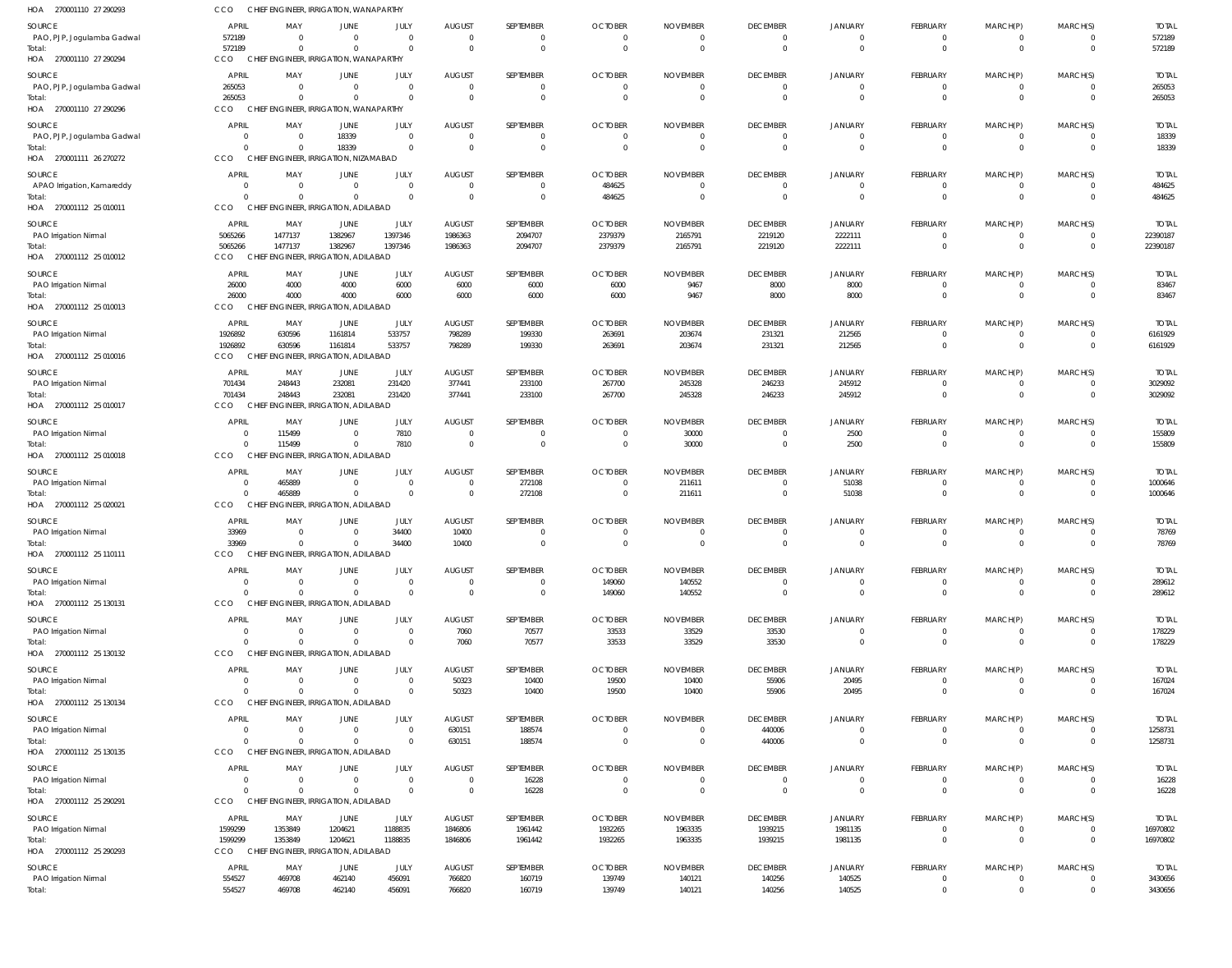| 270001110 27 290293<br>HOA           | CCO                     |                      | CHIEF ENGINEER, IRRIGATION, WANAPARTHY          |                                  |                                  |                      |                                  |                                  |                                   |                            |                      |                      |                          |                         |
|--------------------------------------|-------------------------|----------------------|-------------------------------------------------|----------------------------------|----------------------------------|----------------------|----------------------------------|----------------------------------|-----------------------------------|----------------------------|----------------------|----------------------|--------------------------|-------------------------|
| SOURCE                               | <b>APRIL</b>            | MAY                  | <b>JUNE</b>                                     | JULY                             | <b>AUGUST</b>                    | SEPTEMBER            | <b>OCTOBER</b>                   | <b>NOVEMBER</b>                  | <b>DECEMBER</b>                   | <b>JANUARY</b>             | FEBRUARY             | MARCH(P)             | MARCH(S)                 | <b>TOTAL</b>            |
| PAO, PJP, Jogulamba Gadwal           | 572189                  | $\Omega$             | $\overline{0}$                                  | $\overline{0}$                   | $\overline{0}$                   | 0                    | $\overline{0}$                   | $\overline{0}$                   | $\overline{0}$                    | 0                          | $\Omega$             |                      | 0                        | 572189                  |
|                                      | 572189                  | $\Omega$             | $\Omega$                                        | $\overline{0}$                   | $\overline{0}$                   | $\Omega$             | $\Omega$                         | $\overline{0}$                   | $\Omega$                          | $\mathbf 0$                | $\Omega$             | $\Omega$             | $\Omega$                 | 572189                  |
| HOA 270001110 27 290294              | CCO                     |                      | CHIEF ENGINEER, IRRIGATION, WANAPARTHY          |                                  |                                  |                      |                                  |                                  |                                   |                            |                      |                      |                          |                         |
| SOURCE                               | <b>APRIL</b>            | MAY                  | <b>JUNE</b>                                     | JULY                             | <b>AUGUST</b>                    | SEPTEMBER            | <b>OCTOBER</b>                   | <b>NOVEMBER</b>                  | <b>DECEMBER</b>                   | <b>JANUARY</b>             | FEBRUARY             | MARCH(P)             | MARCH(S)                 | <b>TOTAL</b>            |
| PAO, PJP, Jogulamba Gadwal           | 265053<br>265053        | $\Omega$<br>$\Omega$ | $\overline{0}$<br>$\Omega$                      | $\overline{0}$<br>$\overline{0}$ | $\overline{0}$<br>$\overline{0}$ | 0<br>$\overline{0}$  | $\overline{0}$<br>$\Omega$       | $\overline{0}$<br>$\overline{0}$ | $\mathbf 0$<br>$\mathbf 0$        | $\mathbf 0$<br>$\mathbf 0$ | $\Omega$<br>$\Omega$ | - 0<br>$\Omega$      | 0<br>$\mathbf 0$         | 265053<br>265053        |
| HOA 270001110 27 290296              | CCO                     |                      | CHIEF ENGINEER, IRRIGATION, WANAPARTHY          |                                  |                                  |                      |                                  |                                  |                                   |                            |                      |                      |                          |                         |
| SOURCE                               | <b>APRIL</b>            | MAY                  | <b>JUNE</b>                                     | JULY                             | <b>AUGUST</b>                    | SEPTEMBER            | <b>OCTOBER</b>                   | <b>NOVEMBER</b>                  | <b>DECEMBER</b>                   | <b>JANUARY</b>             | <b>FEBRUARY</b>      | MARCH(P)             | MARCH(S)                 | <b>TOTAL</b>            |
| PAO, PJP, Jogulamba Gadwal           | 0                       | $\Omega$             | 18339                                           | $\overline{0}$                   | $\overline{0}$                   | 0                    | $\overline{0}$                   | $\overline{0}$                   | 0                                 | 0                          | - 0                  |                      | $\Omega$                 | 18339                   |
| Total:                               | $\Omega$                | $\Omega$             | 18339                                           | $\overline{0}$                   | $\overline{0}$                   | $\overline{0}$       | $\overline{0}$                   | $\overline{0}$                   | $\mathbf 0$                       | $\mathbf 0$                | $\Omega$             | $\Omega$             | $\mathbf 0$              | 18339                   |
| HOA 270001111 26 270272              | CCO                     |                      | CHIEF ENGINEER, IRRIGATION, NIZAMABAD           |                                  |                                  |                      |                                  |                                  |                                   |                            |                      |                      |                          |                         |
| SOURCE                               | <b>APRIL</b>            | MAY                  | <b>JUNE</b>                                     | JULY                             | AUGUST                           | SEPTEMBER            | <b>OCTOBER</b>                   | <b>NOVEMBER</b>                  | <b>DECEMBER</b>                   | <b>JANUARY</b>             | FEBRUARY             | MARCH(P)             | MARCH(S)                 | <b>TOTAL</b>            |
| APAO Irrigation, Kamareddy<br>Total: | $\Omega$<br>$\Omega$    | $\Omega$<br>$\Omega$ | $\overline{0}$<br>$\Omega$                      | $\overline{0}$<br>$\overline{0}$ | $\overline{0}$<br>$\overline{0}$ | 0<br>$\Omega$        | 484625<br>484625                 | $\overline{0}$<br>$\overline{0}$ | $\mathbf 0$<br>$\mathbf{0}$       | $\mathbf 0$<br>$\mathbf 0$ | $\Omega$<br>$\Omega$ | - 0<br>$\Omega$      | 0<br>$\mathbf{0}$        | 484625<br>484625        |
| HOA 270001112 25 010011              | CCO                     |                      | CHIEF ENGINEER, IRRIGATION, ADILABAD            |                                  |                                  |                      |                                  |                                  |                                   |                            |                      |                      |                          |                         |
| SOURCE                               | <b>APRIL</b>            | MAY                  | JUNE                                            | JULY                             | <b>AUGUST</b>                    | SEPTEMBER            | <b>OCTOBER</b>                   | <b>NOVEMBER</b>                  | <b>DECEMBER</b>                   | <b>JANUARY</b>             | FEBRUARY             | MARCH(P)             | MARCH(S)                 | <b>TOTAL</b>            |
| PAO Irrigation Nirmal                | 5065266                 | 1477137              | 1382967                                         | 1397346                          | 1986363                          | 2094707              | 2379379                          | 2165791                          | 2219120                           | 2222111                    | $\Omega$             | $\Omega$             | $\overline{0}$           | 22390187                |
| Total:                               | 5065266                 | 1477137              | 1382967                                         | 1397346                          | 1986363                          | 2094707              | 2379379                          | 2165791                          | 2219120                           | 2222111                    | $\Omega$             | $\Omega$             | $\mathbf 0$              | 22390187                |
| HOA 270001112 25 010012              | CCO                     |                      | CHIEF ENGINEER, IRRIGATION, ADILABAD            |                                  |                                  |                      |                                  |                                  |                                   |                            |                      |                      |                          |                         |
| SOURCE                               | <b>APRIL</b>            | MAY                  | <b>JUNE</b>                                     | JULY                             | <b>AUGUST</b>                    | SEPTEMBER            | <b>OCTOBER</b>                   | <b>NOVEMBER</b>                  | <b>DECEMBER</b>                   | <b>JANUARY</b>             | <b>FEBRUARY</b>      | MARCH(P)             | MARCH(S)                 | <b>TOTAL</b>            |
| <b>PAO Irrigation Nirmal</b>         | 26000                   | 4000                 | 4000                                            | 6000                             | 6000                             | 6000                 | 6000                             | 9467                             | 8000                              | 8000                       | - 0                  |                      | $\Omega$                 | 83467                   |
| Total<br>HOA 270001112 25 010013     | 26000<br><b>CCO</b>     | 4000                 | 4000<br>CHIEF ENGINEER, IRRIGATION, ADILABAD    | 6000                             | 6000                             | 6000                 | 6000                             | 9467                             | 8000                              | 8000                       | $\Omega$             | $\Omega$             | $\mathbf{0}$             | 83467                   |
|                                      |                         |                      |                                                 |                                  |                                  |                      |                                  |                                  |                                   |                            |                      |                      |                          |                         |
| SOURCE<br>PAO Irrigation Nirmal      | <b>APRIL</b><br>1926892 | MAY<br>630596        | JUNE<br>1161814                                 | JULY<br>533757                   | <b>AUGUST</b><br>798289          | SEPTEMBER<br>199330  | <b>OCTOBER</b><br>263691         | <b>NOVEMBER</b><br>203674        | <b>DECEMBER</b><br>231321         | <b>JANUARY</b><br>212565   | FEBRUARY<br>$\Omega$ | MARCH(P)             | MARCH(S)<br>$\Omega$     | <b>TOTAL</b><br>6161929 |
| Total:                               | 1926892                 | 630596               | 1161814                                         | 533757                           | 798289                           | 199330               | 263691                           | 203674                           | 231321                            | 212565                     | $\Omega$             | $\Omega$             | $\mathbf 0$              | 6161929                 |
| HOA 270001112 25 010016              | CCO                     |                      | CHIEF ENGINEER, IRRIGATION, ADILABAD            |                                  |                                  |                      |                                  |                                  |                                   |                            |                      |                      |                          |                         |
| SOURCE                               | <b>APRIL</b>            | MAY                  | <b>JUNE</b>                                     | JULY                             | AUGUST                           | SEPTEMBER            | <b>OCTOBER</b>                   | <b>NOVEMBER</b>                  | <b>DECEMBER</b>                   | <b>JANUARY</b>             | <b>FEBRUARY</b>      | MARCH(P)             | MARCH(S)                 | <b>TOTAL</b>            |
| PAO Irrigation Nirmal                | 701434                  | 248443               | 232081                                          | 231420                           | 377441                           | 233100               | 267700                           | 245328                           | 246233                            | 245912                     | $\Omega$             | $\Omega$             | 0                        | 3029092                 |
| Total:<br>HOA 270001112 25 010017    | 701434<br>CCO           | 248443               | 232081<br>CHIEF ENGINEER, IRRIGATION, ADILABAD  | 231420                           | 377441                           | 233100               | 267700                           | 245328                           | 246233                            | 245912                     | $\Omega$             | $\Omega$             | $\mathbf 0$              | 3029092                 |
|                                      |                         |                      |                                                 |                                  |                                  |                      |                                  |                                  |                                   |                            |                      |                      |                          |                         |
| SOURCE<br>PAO Irrigation Nirmal      | <b>APRIL</b><br>0       | MAY<br>115499        | <b>JUNE</b><br>$\overline{0}$                   | JULY<br>7810                     | AUGUST<br>$\overline{0}$         | SEPTEMBER<br>0       | <b>OCTOBER</b><br>$\overline{0}$ | <b>NOVEMBER</b><br>30000         | <b>DECEMBER</b><br>$\overline{0}$ | <b>JANUARY</b><br>2500     | FEBRUARY<br>$\Omega$ | MARCH(P)             | MARCH(S)<br>0            | <b>TOTAL</b><br>155809  |
| otal:                                | $\Omega$                | 115499               | $\overline{0}$                                  | 7810                             | $\overline{0}$                   | $\Omega$             | $\overline{0}$                   | 30000                            | $\mathbf 0$                       | 2500                       | $\Omega$             | $\Omega$             | $\Omega$                 | 155809                  |
| HOA 270001112 25 010018              | CCO<br><b>CHIEF</b>     |                      | ENGINEER, IRRIGATION, ADILABAD                  |                                  |                                  |                      |                                  |                                  |                                   |                            |                      |                      |                          |                         |
| SOURCE                               | <b>APRIL</b>            | MAY                  | <b>JUNE</b>                                     | JULY                             | AUGUST                           | SEPTEMBER            | <b>OCTOBER</b>                   | <b>NOVEMBER</b>                  | <b>DECEMBER</b>                   | <b>JANUARY</b>             | FEBRUARY             | MARCH(P)             | MARCH(S)                 | <b>TOTAL</b>            |
| PAO Irrigation Nirmal                | $\Omega$                | 465889               | $\overline{0}$                                  | $\overline{0}$                   | $\overline{0}$                   | 272108               | $\overline{0}$                   | 211611                           | $\mathbf 0$                       | 51038                      | $\Omega$             | - 0                  | 0                        | 1000646                 |
| Total:                               | $\Omega$                | 465889               | $\overline{0}$                                  | $\overline{0}$                   | $\overline{0}$                   | 272108               | $\overline{0}$                   | 211611                           | $\mathbf{0}$                      | 51038                      | $\Omega$             | $\Omega$             | $\mathbf 0$              | 1000646                 |
| HOA 270001112 25 020021              | CCO                     |                      | CHIEF ENGINEER, IRRIGATION, ADILABAD            |                                  |                                  |                      |                                  |                                  |                                   |                            |                      |                      |                          |                         |
| SOURCE                               | <b>APRIL</b>            | MAY                  | <b>JUNE</b>                                     | JULY                             | <b>AUGUST</b>                    | SEPTEMBER            | <b>OCTOBER</b>                   | <b>NOVEMBER</b>                  | <b>DECEMBER</b>                   | <b>JANUARY</b>             | <b>FEBRUARY</b>      | MARCH(P)             | MARCH(S)                 | <b>TOTAL</b>            |
| PAO Irrigation Nirmal<br>Total:      | 33969<br>33969          | $\Omega$<br>$\Omega$ | $\overline{0}$<br>$\overline{0}$                | 34400<br>34400                   | 10400<br>10400                   | $\Omega$<br>$\Omega$ | $\Omega$<br>$\Omega$             | $\Omega$<br>$\Omega$             | $\Omega$<br>$\Omega$              | $\Omega$<br>$\Omega$       | $\Omega$             | $\Omega$             | $\Omega$                 | 78769<br>78769          |
| HOA 270001112 25 110111              | CCO                     |                      | CHIEF ENGINEER, IRRIGATION, ADILABAD            |                                  |                                  |                      |                                  |                                  |                                   |                            |                      |                      |                          |                         |
| SOURCE                               | <b>APRIL</b>            | MAY                  | <b>JUNE</b>                                     | JULY                             | <b>AUGUST</b>                    | SEPTEMBER            | <b>OCTOBER</b>                   | <b>NOVEMBER</b>                  | <b>DECEMBER</b>                   | <b>JANUARY</b>             | <b>FEBRUARY</b>      | MARCH(P)             | MARCH(S)                 | <b>TOTAL</b>            |
| PAO Irrigation Nirmal                | $\Omega$                | $\Omega$             | $\overline{0}$                                  | $\overline{0}$                   | $\overline{0}$                   | 0                    | 149060                           | 140552                           | $\mathbf{0}$                      | $\overline{0}$             | $\Omega$             | $\Omega$             | 0                        | 289612                  |
| Total:                               | $\Omega$                | $\Omega$             | $\overline{0}$                                  | $\overline{0}$                   | $\overline{0}$                   | $\overline{0}$       | 149060                           | 140552                           | $\mathbf 0$                       | $\mathbf 0$                | $\Omega$             | $\Omega$             | $\mathbf 0$              | 289612                  |
| HOA 270001112 25 130131              | CCO                     |                      | CHIEF ENGINEER, IRRIGATION, ADILABAD            |                                  |                                  |                      |                                  |                                  |                                   |                            |                      |                      |                          |                         |
| SOURCE                               | <b>APRIL</b>            | MAY                  | <b>JUNE</b>                                     | JULY                             | <b>AUGUST</b>                    | SEPTEMBER            | <b>OCTOBER</b>                   | <b>NOVEMBER</b>                  | <b>DECEMBER</b>                   | <b>JANUARY</b>             | FEBRUARY             | MARCH(P)             | MARCH(S)                 | <b>TOTAL</b>            |
| PAO Irrigation Nirmal<br>Total:      | $\Omega$<br>$\Omega$    | $\Omega$<br>$\Omega$ | $\overline{0}$<br>$\Omega$                      | $\overline{0}$<br>$\overline{0}$ | 7060<br>7060                     | 70577<br>70577       | 33533<br>33533                   | 33529<br>33529                   | 33530<br>33530                    | 0<br>$\overline{0}$        | $\Omega$<br>$\Omega$ | $\Omega$<br>$\Omega$ | 0<br>$\mathbf 0$         | 178229<br>178229        |
| HOA 270001112 25 130132              | CCO                     |                      | CHIEF ENGINEER, IRRIGATION, ADILABAD            |                                  |                                  |                      |                                  |                                  |                                   |                            |                      |                      |                          |                         |
| SOURCE                               | <b>APRIL</b>            | MAY                  | <b>JUNE</b>                                     | JULY                             | <b>AUGUST</b>                    | SEPTEMBER            | <b>OCTOBER</b>                   | <b>NOVEMBER</b>                  | <b>DECEMBER</b>                   | <b>JANUARY</b>             | FEBRUARY             | MARCH(P)             | MARCH(S)                 | <b>TOTAL</b>            |
| PAO Irrigation Nirmal                | $\Omega$                | $\Omega$             | $\overline{0}$                                  | $\overline{0}$                   | 50323                            | 10400                | 19500                            | 10400                            | 55906                             | 20495                      | $\Omega$             | - 0                  | 0                        | 167024                  |
| Total:                               | $\Omega$                | $\Omega$             | $\Omega$                                        | $\overline{0}$                   | 50323                            | 10400                | 19500                            | 10400                            | 55906                             | 20495                      | $\Omega$             | $\Omega$             | $\mathbf 0$              | 167024                  |
| HOA 270001112 25 130134              | CCO                     |                      | CHIEF ENGINEER, IRRIGATION, ADILABAD            |                                  |                                  |                      |                                  |                                  |                                   |                            |                      |                      |                          |                         |
| SOURCE                               | <b>APRIL</b>            | MAY                  | <b>JUNE</b>                                     | JULY                             | <b>AUGUST</b>                    | SEPTEMBER            | <b>OCTOBER</b>                   | <b>NOVEMBER</b>                  | <b>DECEMBER</b>                   | <b>JANUARY</b>             | FEBRUARY             | MARCH(P)             | MARCH(S)                 | <b>TOTAL</b>            |
| PAO Irrigation Nirmal                | $\Omega$<br>$\Omega$    | $\Omega$<br>$\Omega$ | $\overline{0}$<br>$\overline{0}$                | $\overline{0}$<br>$\overline{0}$ | 630151                           | 188574               | $\overline{0}$<br>$\overline{0}$ | $\overline{0}$<br>$\overline{0}$ | 440006                            | 0<br>$\mathbf 0$           | $\Omega$<br>$\Omega$ | - 0<br>$\Omega$      | $\Omega$<br>$\mathbf 0$  | 1258731<br>1258731      |
| Total:<br>HOA 270001112 25 130135    | CCO                     |                      | CHIEF ENGINEER, IRRIGATION, ADILABAD            |                                  | 630151                           | 188574               |                                  |                                  | 440006                            |                            |                      |                      |                          |                         |
| SOURCE                               | <b>APRIL</b>            | MAY                  | <b>JUNE</b>                                     | JULY                             | <b>AUGUST</b>                    | SEPTEMBER            | <b>OCTOBER</b>                   | <b>NOVEMBER</b>                  | <b>DECEMBER</b>                   | <b>JANUARY</b>             | FEBRUARY             | MARCH(P)             | MARCH(S)                 | <b>TOTAL</b>            |
| PAO Irrigation Nirmal                | $\Omega$                | $\Omega$             | $\overline{0}$                                  | $\overline{0}$                   | $\overline{0}$                   | 16228                | $\overline{0}$                   | $\overline{0}$                   | $\mathbf 0$                       | 0                          | $\Omega$             | - 0                  | 0                        | 16228                   |
| Total:                               | $\Omega$                | $\Omega$             | $\overline{0}$                                  | $\overline{0}$                   | $\overline{0}$                   | 16228                | $\overline{0}$                   | $\overline{0}$                   | $\mathbf 0$                       | $\mathbf 0$                | $\Omega$             | $\Omega$             | $\mathbf 0$              | 16228                   |
| HOA 270001112 25 290291              | CCO                     |                      | CHIEF ENGINEER, IRRIGATION, ADILABAD            |                                  |                                  |                      |                                  |                                  |                                   |                            |                      |                      |                          |                         |
| SOURCE                               | <b>APRIL</b>            | MAY                  | JUNE                                            | JULY                             | <b>AUGUST</b>                    | SEPTEMBER            | <b>OCTOBER</b>                   | <b>NOVEMBER</b>                  | <b>DECEMBER</b>                   | <b>JANUARY</b>             | FEBRUARY             | MARCH(P)             | MARCH(S)                 | <b>TOTAL</b>            |
| PAO Irrigation Nirmal                | 1599299                 | 1353849              | 1204621                                         | 1188835                          | 1846806                          | 1961442              | 1932265                          | 1963335                          | 1939215                           | 1981135                    | $\Omega$             | $\Omega$             | $\mathbf 0$              | 16970802                |
| Total:<br>HOA 270001112 25 290293    | 1599299<br>CCO          | 1353849              | 1204621<br>CHIEF ENGINEER, IRRIGATION, ADILABAD | 1188835                          | 1846806                          | 1961442              | 1932265                          | 1963335                          | 1939215                           | 1981135                    | $\Omega$             | $\Omega$             | $\mathbf 0$              | 16970802                |
|                                      |                         |                      |                                                 |                                  |                                  |                      |                                  |                                  |                                   |                            |                      |                      |                          |                         |
| SOURCE<br>PAO Irrigation Nirmal      | <b>APRIL</b><br>554527  | MAY<br>469708        | JUNE<br>462140                                  | JULY<br>456091                   | <b>AUGUST</b><br>766820          | SEPTEMBER<br>160719  | <b>OCTOBER</b><br>139749         | <b>NOVEMBER</b><br>140121        | <b>DECEMBER</b><br>140256         | <b>JANUARY</b><br>140525   | FEBRUARY<br>$\Omega$ | MARCH(P)<br>- 0      | MARCH(S)<br>$\mathbf{0}$ | <b>TOTAL</b><br>3430656 |
| Total:                               | 554527                  | 469708               | 462140                                          | 456091                           | 766820                           | 160719               | 139749                           | 140121                           | 140256                            | 140525                     | $\Omega$             | $\Omega$             | $\mathbf{0}$             | 3430656                 |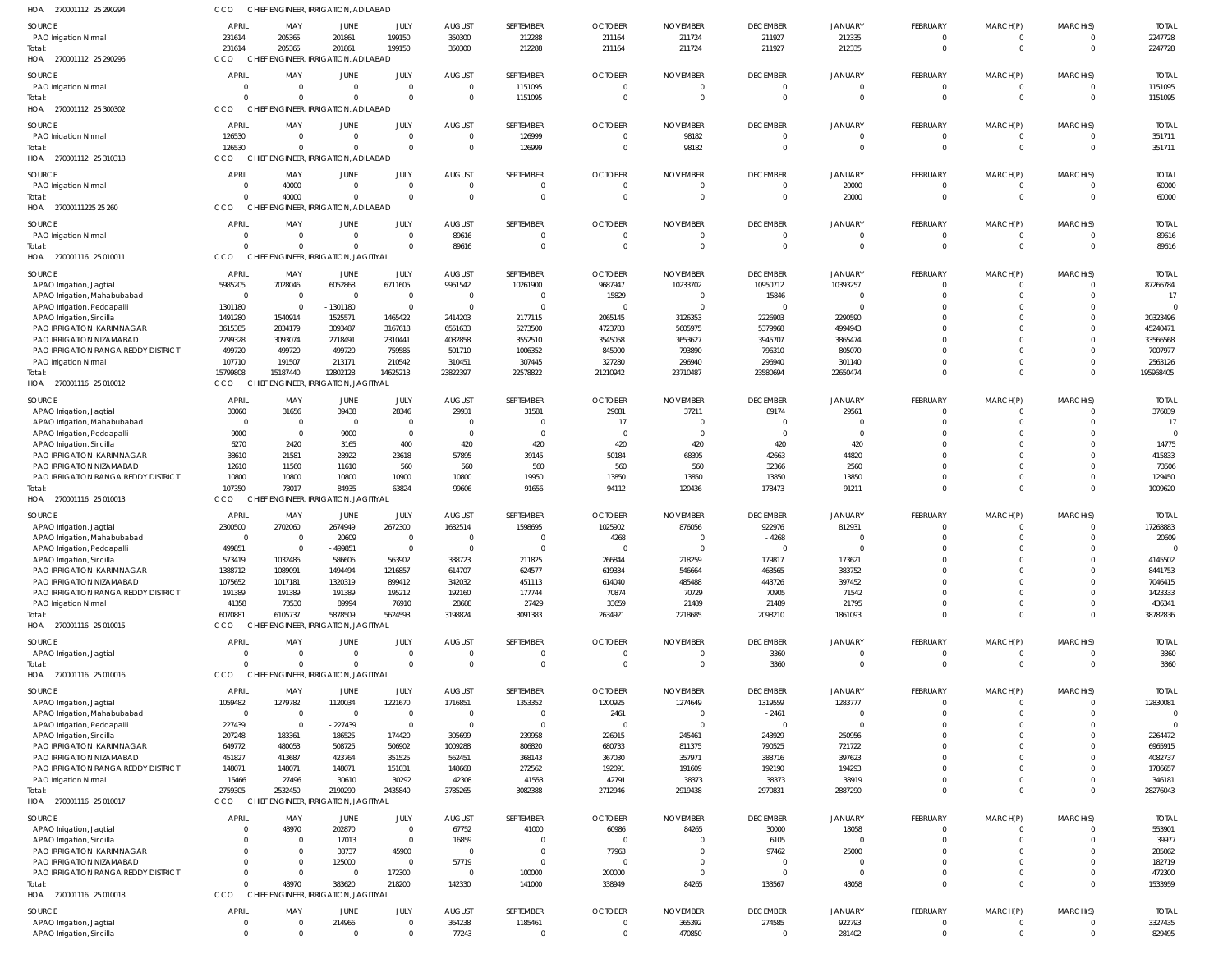| HOA<br>270001112 25 290294                                      | cco                        | CHIEF ENGINEER, IRRIGATION, ADILABAD             |                             |                            |                          |                            |                           |                           |                                  |                                |                            |                            |                          |                          |
|-----------------------------------------------------------------|----------------------------|--------------------------------------------------|-----------------------------|----------------------------|--------------------------|----------------------------|---------------------------|---------------------------|----------------------------------|--------------------------------|----------------------------|----------------------------|--------------------------|--------------------------|
| <b>SOURCE</b>                                                   | <b>APRIL</b>               | MAY                                              | <b>JUNE</b>                 | JULY                       | <b>AUGUST</b>            | SEPTEMBER                  | <b>OCTOBER</b>            | <b>NOVEMBER</b>           | <b>DECEMBER</b>                  | <b>JANUARY</b>                 | FEBRUARY                   | MARCH(P)                   | MARCH(S)                 | <b>TOTAL</b>             |
| PAO Irrigation Nirmal                                           | 231614                     | 205365                                           | 201861                      | 199150                     | 350300                   | 212288                     | 211164                    | 211724                    | 211927                           | 212335                         | $\overline{0}$             | $\overline{0}$             | $\overline{0}$           | 2247728                  |
| Total:                                                          | 231614                     | 205365                                           | 201861                      | 199150                     | 350300                   | 212288                     | 211164                    | 211724                    | 211927                           | 212335                         | $\Omega$                   | $\overline{0}$             | $\mathbf{0}$             | 2247728                  |
| HOA 270001112 25 290296                                         | CCO                        | CHIEF ENGINEER, IRRIGATION, ADILABAD             |                             |                            |                          |                            |                           |                           |                                  |                                |                            |                            |                          |                          |
| SOURCE                                                          | <b>APRIL</b>               | MAY                                              | JUNE                        | JULY                       | <b>AUGUST</b>            | SEPTEMBER                  | <b>OCTOBER</b>            | <b>NOVEMBER</b>           | <b>DECEMBER</b>                  | <b>JANUARY</b>                 | FEBRUARY                   | MARCH(P)                   | MARCH(S)                 | <b>TOTAL</b>             |
| PAO Irrigation Nirmal                                           | $\circ$                    |                                                  | $\mathbf 0$                 | $\mathbf 0$                | $\overline{0}$           | 1151095                    | $\mathbf 0$               | $\overline{0}$            | $\overline{0}$                   | $\overline{0}$                 | $\overline{0}$             | $\overline{0}$             | $\mathbf{0}$             | 1151095                  |
| Total:                                                          | $\Omega$                   |                                                  | $\Omega$                    | $\mathbf 0$                | $\mathbf 0$              | 1151095                    | $\Omega$                  | $\Omega$                  | $\mathbf{0}$                     | $\mathbf{0}$                   | $\Omega$                   | $\Omega$                   | $\mathbf{0}$             | 1151095                  |
| HOA 270001112 25 300302                                         | CCO                        | CHIEF ENGINEER, IRRIGATION, ADILABAD             |                             |                            |                          |                            |                           |                           |                                  |                                |                            |                            |                          |                          |
| SOURCE                                                          | <b>APRIL</b>               | MAY                                              | JUNE                        | JULY                       | <b>AUGUST</b>            | SEPTEMBER                  | <b>OCTOBER</b>            | <b>NOVEMBER</b>           | <b>DECEMBER</b>                  | <b>JANUARY</b>                 | FEBRUARY                   | MARCH(P)                   | MARCH(S)                 | <b>TOTAL</b>             |
| PAO Irrigation Nirmal                                           | 126530                     | $\Omega$                                         | $\mathbf 0$                 | $\mathbf 0$                | $\Omega$                 | 126999                     | $\Omega$                  | 98182                     | $\overline{0}$                   | $\mathbf 0$                    | $\Omega$                   | $\Omega$                   | $\Omega$                 | 351711                   |
| Total:                                                          | 126530                     | $\Omega$                                         | $\Omega$                    | $\mathbf 0$                | $\Omega$                 | 126999                     | $\mathbf 0$               | 98182                     | $\overline{0}$                   | $\mathbf{0}$                   | $\overline{0}$             | $\overline{0}$             | $\overline{0}$           | 351711                   |
| HOA 270001112 25 310318                                         | CCO                        | CHIEF ENGINEER, IRRIGATION, ADILABAD             |                             |                            |                          |                            |                           |                           |                                  |                                |                            |                            |                          |                          |
| SOURCE                                                          | <b>APRIL</b>               | MAY                                              | <b>JUNE</b>                 | JULY                       | <b>AUGUST</b>            | SEPTEMBER                  | <b>OCTOBER</b>            | <b>NOVEMBER</b>           | <b>DECEMBER</b>                  | <b>JANUARY</b>                 | FEBRUARY                   | MARCH(P)                   | MARCH(S)                 | <b>TOTAL</b>             |
| PAO Irrigation Nirmal                                           | - 0                        | 40000                                            | $\mathbf 0$                 | $\overline{0}$             | $\mathbf 0$              | $\Omega$                   | 0                         | 0                         | $\mathbf 0$                      | 20000                          | $\overline{0}$             | $\overline{0}$             | 0                        | 60000                    |
| Total:                                                          | $\Omega$                   | 40000                                            | $\Omega$                    | $\mathbf 0$                | $\mathbf 0$              | $\mathbf{0}$               | $\mathbf 0$               | $\overline{0}$            | $\overline{0}$                   | 20000                          | $\overline{0}$             | $\overline{0}$             | $\mathbf{0}$             | 60000                    |
| HOA 27000111225 25 260                                          | CCO                        | CHIEF ENGINEER, IRRIGATION, ADILABAD             |                             |                            |                          |                            |                           |                           |                                  |                                |                            |                            |                          |                          |
| SOURCE                                                          | <b>APRIL</b>               | MAY                                              | <b>JUNE</b>                 | JULY                       | <b>AUGUST</b>            | SEPTEMBER                  | <b>OCTOBER</b>            | <b>NOVEMBER</b>           | <b>DECEMBER</b>                  | <b>JANUARY</b>                 | FEBRUARY                   | MARCH(P)                   | MARCH(S)                 | <b>TOTAL</b>             |
| PAO Irrigation Nirmal                                           | $\circ$                    | $\Omega$                                         | $\mathbf{0}$                | $\mathbf 0$                | 89616                    | $\Omega$                   | $\Omega$                  | $\Omega$                  | $\overline{0}$                   | $\overline{0}$                 | $\overline{0}$             | $\overline{0}$             | $\overline{0}$           | 89616                    |
| Total:                                                          | $\Omega$                   | $\Omega$                                         | $\Omega$                    | $\mathbf 0$                | 89616                    | $\Omega$                   | $\Omega$                  | $\Omega$                  | $\mathbf 0$                      | $\mathbf{0}$                   | $\Omega$                   | $\Omega$                   | $\mathbf{0}$             | 89616                    |
| HOA 270001116 25 010011                                         | CCO                        | CHIEF ENGINEER, IRRIGATION, JAGITIYAL            |                             |                            |                          |                            |                           |                           |                                  |                                |                            |                            |                          |                          |
| SOURCE                                                          | <b>APRIL</b>               | MAY                                              | <b>JUNE</b>                 | JULY                       | <b>AUGUST</b>            | SEPTEMBER                  | <b>OCTOBER</b>            | <b>NOVEMBER</b>           | <b>DECEMBER</b>                  | <b>JANUARY</b>                 | FEBRUARY                   | MARCH(P)                   | MARCH(S)                 | <b>TOTAL</b>             |
| APAO Irrigation, Jagtial                                        | 5985205                    | 7028046                                          | 6052868                     | 6711605                    | 9961542                  | 10261900                   | 9687947                   | 10233702                  | 10950712                         | 10393257                       | $\Omega$                   | $\Omega$                   | $\mathbf{0}$             | 87266784                 |
| APAO Irrigation, Mahabubabad                                    | $\overline{0}$             | $\Omega$                                         | $\overline{0}$              | $\mathbf{0}$               | $\Omega$                 | $\Omega$                   | 15829                     |                           | $-15846$                         | $\mathbf 0$                    | $\Omega$                   | $\Omega$                   | $\mathbf 0$              | $-17$                    |
| APAO Irrigation, Peddapall                                      | 1301180                    | - 0                                              | $-1301180$                  | $\mathbf 0$                | $\Omega$                 | $\Omega$                   |                           |                           | 0                                | 0                              | $\Omega$                   | $\Omega$                   | $\Omega$                 |                          |
| APAO Irrigation, Siricilla                                      | 1491280                    | 1540914                                          | 1525571                     | 1465422                    | 2414203                  | 2177115                    | 2065145                   | 3126353                   | 2226903                          | 2290590                        | $\Omega$                   | $\Omega$                   | $\Omega$                 | 20323496                 |
| PAO IRRIGATION KARIMNAGAR<br>PAO IRRIGATION NIZAMABAD           | 3615385<br>2799328         | 2834179<br>3093074                               | 3093487<br>2718491          | 3167618<br>2310441         | 6551633<br>4082858       | 5273500<br>3552510         | 4723783<br>3545058        | 5605975<br>3653627        | 5379968<br>3945707               | 4994943<br>3865474             | $\Omega$<br>$\Omega$       | $\Omega$<br>$\Omega$       | $\Omega$<br>$\Omega$     | 45240471<br>33566568     |
| PAO IRRIGATION RANGA REDDY DISTRICT                             | 499720                     | 499720                                           | 499720                      | 759585                     | 501710                   | 1006352                    | 845900                    | 793890                    | 796310                           | 805070                         | $\Omega$                   | $\Omega$                   | $\Omega$                 | 7007977                  |
| PAO Irrigation Nirmal                                           | 107710                     | 191507                                           | 213171                      | 210542                     | 310451                   | 307445                     | 327280                    | 296940                    | 296940                           | 301140                         | $\Omega$                   | $\Omega$                   | $\mathbf 0$              | 2563126                  |
| Total:                                                          | 15799808                   | 15187440                                         | 12802128                    | 14625213                   | 23822397                 | 22578822                   | 21210942                  | 23710487                  | 23580694                         | 22650474                       | $\overline{0}$             | $\overline{0}$             | $\mathbf 0$              | 195968405                |
| HOA 270001116 25 010012                                         | CCO                        | CHIEF ENGINEER, IRRIGATION, JAGITIYAL            |                             |                            |                          |                            |                           |                           |                                  |                                |                            |                            |                          |                          |
| SOURCE                                                          | <b>APRIL</b>               | MAY                                              | <b>JUNE</b>                 | JULY                       | <b>AUGUST</b>            | SEPTEMBER                  | <b>OCTOBER</b>            | <b>NOVEMBER</b>           | <b>DECEMBER</b>                  | <b>JANUARY</b>                 | FEBRUARY                   | MARCH(P)                   | MARCH(S)                 | <b>TOTAL</b>             |
| APAO Irrigation, Jagtial                                        | 30060                      | 31656                                            | 39438                       | 28346                      | 29931                    | 31581                      | 29081                     | 37211                     | 89174                            | 29561                          | $\Omega$                   | $\Omega$                   | $\mathbf 0$              | 376039                   |
| APAO Irrigation, Mahabubabad                                    | $\overline{0}$             | $\overline{0}$                                   | $\overline{0}$              | $\overline{0}$             | $\Omega$                 | $\Omega$                   | 17                        | $\Omega$                  | $\overline{0}$                   | 0                              | $\Omega$                   | $\Omega$                   | $\Omega$                 | 17                       |
| APAO Irrigation, Peddapalli                                     | 9000                       | $\overline{0}$                                   | $-9000$                     | $\mathbf{0}$               | $\Omega$                 | $\overline{0}$             | $\Omega$                  | $\Omega$                  | $\overline{0}$                   | 0                              | $\Omega$                   | $\Omega$                   | $\Omega$                 |                          |
| APAO Irrigation, Siricilla                                      | 6270                       | 2420                                             | 3165                        | 400                        | 420                      | 420                        | 420                       | 420                       | 420                              | 420                            | $\Omega$                   | $\Omega$                   | $\Omega$                 | 14775                    |
| PAO IRRIGATION KARIMNAGAR                                       | 38610                      | 21581                                            | 28922                       | 23618                      | 57895                    | 39145                      | 50184                     | 68395                     | 42663                            | 44820                          | $\Omega$                   | $\Omega$                   | $\Omega$                 | 415833                   |
| PAO IRRIGATION NIZAMABAD                                        | 12610                      | 11560                                            | 11610                       | 560                        | 560                      | 560                        | 560                       | 560                       | 32366                            | 2560                           | $\Omega$<br>$\Omega$       | $\Omega$<br>$\Omega$       | $\Omega$<br>$\Omega$     | 73506                    |
| PAO IRRIGATION RANGA REDDY DISTRICT<br>Total:                   | 10800<br>107350            | 10800<br>78017                                   | 10800<br>84935              | 10900<br>63824             | 10800<br>99606           | 19950<br>91656             | 13850<br>94112            | 13850<br>120436           | 13850<br>178473                  | 13850<br>91211                 | $\Omega$                   | $\Omega$                   | $\Omega$                 | 129450<br>1009620        |
| HOA 270001116 25 010013                                         | CCO                        | CHIEF ENGINEER, IRRIGATION, JAGITIYAL            |                             |                            |                          |                            |                           |                           |                                  |                                |                            |                            |                          |                          |
|                                                                 |                            |                                                  |                             |                            |                          |                            |                           |                           |                                  |                                |                            |                            |                          |                          |
| SOURCE                                                          | <b>APRIL</b><br>2300500    | MAY<br>2702060                                   | <b>JUNE</b><br>2674949      | JULY<br>2672300            | <b>AUGUST</b><br>1682514 | SEPTEMBER<br>1598695       | <b>OCTOBER</b><br>1025902 | <b>NOVEMBER</b><br>876056 | <b>DECEMBER</b>                  | <b>JANUARY</b><br>812931       | FEBRUARY<br>$\Omega$       | MARCH(P)<br>$\Omega$       | MARCH(S)<br>$\mathbf{0}$ | <b>TOTAL</b><br>17268883 |
| APAO Irrigation, Jagtial<br>APAO Irrigation, Mahabubabad        | $\circ$                    |                                                  | 20609                       | $\mathbf 0$                |                          | - 0                        | 4268                      |                           | 922976<br>$-4268$                | $\Omega$                       | $\Omega$                   | $\Omega$                   | 0                        | 20609                    |
| APAO Irrigation, Peddapall                                      | 499851                     |                                                  | $-499851$                   | $\mathbf 0$                | $\Omega$                 | $\Omega$                   | $\Omega$                  | $\Omega$                  | $\overline{0}$                   | $\mathbf 0$                    | $\Omega$                   | $\Omega$                   | $\Omega$                 | $\overline{0}$           |
| APAO Irrigation, Siricilla                                      | 573419                     | 1032486                                          | 586606                      | 563902                     | 338723                   | 211825                     | 266844                    | 218259                    | 179817                           | 173621                         | $\Omega$                   |                            | $\Omega$                 | 4145502                  |
| PAO IRRIGATION KARIMNAGAR                                       | 1388712                    | 1089091                                          | 1494494                     | 1216857                    | 614707                   | 624577                     | 619334                    | 546664                    | 463565                           | 383752                         | $\Omega$                   | $\Omega$                   | $\Omega$                 | 8441753                  |
| PAO IRRIGATION NIZAMABAD                                        | 1075652                    | 1017181                                          | 1320319                     | 899412                     | 342032                   | 451113                     | 614040                    | 485488                    | 443726                           | 397452                         | $\Omega$                   | $\Omega$                   | $\Omega$                 | 7046415                  |
| PAO IRRIGATION RANGA REDDY DISTRICT                             | 191389                     | 191389                                           | 191389                      | 195212                     | 192160                   | 177744                     | 70874                     | 70729                     | 70905                            | 71542                          | $\Omega$                   | $\Omega$                   | $\Omega$                 | 1423333                  |
| PAO Irrigation Nirmal                                           | 41358                      | 73530                                            | 89994                       | 76910                      | 28688                    | 27429                      | 33659                     | 21489                     | 21489                            | 21795                          | $\Omega$                   | $\Omega$                   | $\Omega$                 | 436341                   |
| Total:<br>HOA 270001116 25 010015                               | 6070881<br>CCO             | 6105737<br>CHIEF ENGINEER, IRRIGATION, JAGITIYAL | 5878509                     | 5624593                    | 3198824                  | 3091383                    | 2634921                   | 2218685                   | 2098210                          | 1861093                        | $\overline{0}$             | $\Omega$                   | $\Omega$                 | 38782836                 |
|                                                                 |                            |                                                  |                             |                            |                          |                            |                           |                           |                                  |                                |                            |                            |                          |                          |
| SOURCE                                                          | <b>APRIL</b>               | MAY                                              | <b>JUNE</b>                 | JULY                       | <b>AUGUST</b>            | SEPTEMBER                  | <b>OCTOBER</b>            | <b>NOVEMBER</b>           | <b>DECEMBER</b>                  | <b>JANUARY</b>                 | FEBRUARY                   | MARCH(P)                   | MARCH(S)                 | <b>TOTAL</b>             |
| APAO Irrigation, Jagtial                                        | $\overline{0}$<br>$\Omega$ | $\Omega$<br>$\Omega$                             | $\mathbf{0}$<br>$\Omega$    | $\mathbf 0$<br>$\Omega$    | $\Omega$<br>$\Omega$     | $\overline{0}$<br>$\Omega$ | $\mathbf 0$<br>$\Omega$   | $\Omega$<br>$\Omega$      | 3360                             | $\mathbf 0$                    | $\overline{0}$<br>$\Omega$ | $\overline{0}$<br>$\Omega$ | $\mathbf{0}$             | 3360                     |
| Total:<br>HOA 270001116 25 010016                               | CCO                        | CHIEF ENGINEER, IRRIGATION, JAGITIYAL            |                             |                            |                          |                            |                           |                           | 3360                             | $\mathbf{0}$                   |                            |                            | $\mathbf 0$              | 3360                     |
|                                                                 |                            |                                                  |                             |                            |                          |                            |                           |                           |                                  |                                |                            |                            |                          |                          |
| SOURCE                                                          | <b>APRIL</b>               | MAY                                              | <b>JUNE</b>                 | JULY                       | <b>AUGUST</b>            | SEPTEMBER                  | <b>OCTOBER</b>            | <b>NOVEMBER</b>           | <b>DECEMBER</b>                  | <b>JANUARY</b>                 | FEBRUARY                   | MARCH(P)                   | MARCH(S)                 | <b>TOTAL</b>             |
| APAO Irrigation, Jagtial                                        | 1059482                    | 1279782                                          | 1120034                     | 1221670                    | 1716851                  | 1353352                    | 1200925                   | 1274649                   | 1319559                          | 1283777                        | $\Omega$                   | $\Omega$                   | $\mathbf{0}$             | 12830081                 |
| APAO Irrigation, Mahabubabad<br>APAO Irrigation, Peddapalli     | $\overline{0}$<br>227439   | $\Omega$<br>- 0                                  | $\overline{0}$<br>$-227439$ | $\mathbf 0$<br>$\mathbf 0$ | $\mathbf{0}$<br>$\Omega$ | $\overline{0}$<br>$\Omega$ | 2461                      | $\Omega$                  | $-2461$<br>$\overline{0}$        | $\mathbf{0}$<br>$\overline{0}$ | $\Omega$<br>$\Omega$       | $\Omega$<br>$\Omega$       | $\mathbf 0$<br>$\Omega$  | $\Omega$                 |
| APAO Irrigation, Siricilla                                      | 207248                     | 183361                                           | 186525                      | 174420                     | 305699                   | 239958                     | 226915                    | 245461                    | 243929                           | 250956                         | $\Omega$                   | $\Omega$                   | $\Omega$                 | 2264472                  |
| PAO IRRIGATION KARIMNAGAR                                       | 649772                     | 480053                                           | 508725                      | 506902                     | 1009288                  | 806820                     | 680733                    | 811375                    | 790525                           | 721722                         | $\Omega$                   | $\Omega$                   | $\Omega$                 | 6965915                  |
| PAO IRRIGATION NIZAMABAD                                        | 451827                     | 413687                                           | 423764                      | 351525                     | 562451                   | 368143                     | 367030                    | 357971                    | 388716                           | 397623                         | $\Omega$                   | $\Omega$                   | $\Omega$                 | 4082737                  |
| PAO IRRIGATION RANGA REDDY DISTRICT                             | 148071                     | 148071                                           | 148071                      | 151031                     | 148668                   | 272562                     | 192091                    | 191609                    | 192190                           | 194293                         | $\Omega$                   | $\Omega$                   | $\Omega$                 | 1786657                  |
| PAO Irrigation Nirmal                                           | 15466                      | 27496                                            | 30610                       | 30292                      | 42308                    | 41553                      | 42791                     | 38373                     | 38373                            | 38919                          | $\Omega$                   | $\Omega$                   | $\Omega$                 | 346181                   |
| Total:                                                          | 2759305                    | 2532450                                          | 2190290                     | 2435840                    | 3785265                  | 3082388                    | 2712946                   | 2919438                   | 2970831                          | 2887290                        | $\overline{0}$             | $\overline{0}$             | $\mathbf 0$              | 28276043                 |
| HOA 270001116 25 010017                                         | CCO                        | CHIEF ENGINEER, IRRIGATION, JAGITIYAL            |                             |                            |                          |                            |                           |                           |                                  |                                |                            |                            |                          |                          |
| SOURCE                                                          | <b>APRIL</b>               | MAY                                              | <b>JUNE</b>                 | JULY                       | <b>AUGUST</b>            | SEPTEMBER                  | <b>OCTOBER</b>            | <b>NOVEMBER</b>           | <b>DECEMBER</b>                  | <b>JANUARY</b>                 | FEBRUARY                   | MARCH(P)                   | MARCH(S)                 | <b>TOTAL</b>             |
| APAO Irrigation, Jagtial                                        | $\overline{0}$             | 48970                                            | 202870                      | $\mathbf 0$                | 67752                    | 41000                      | 60986                     | 84265                     | 30000                            | 18058                          | $\Omega$                   | $\Omega$                   | $\mathbf 0$              | 553901                   |
| APAO Irrigation, Siricilla                                      | - 0                        | $\Omega$                                         | 17013                       | $\mathbf 0$                | 16859                    | - 0                        | $\Omega$                  |                           | 6105                             | $\mathbf 0$                    | $\Omega$                   | $\Omega$                   | $\Omega$                 | 39977                    |
| PAO IRRIGATION KARIMNAGAR                                       | $\Omega$<br>$\Omega$       | $\Omega$<br>$\Omega$                             | 38737                       | 45900<br>$\overline{0}$    | $\Omega$                 | $\overline{0}$<br>$\Omega$ | 77963                     | $\Omega$<br>$\Omega$      | 97462                            | 25000                          | $\Omega$<br>$\Omega$       | $\Omega$<br>$\Omega$       | $\Omega$<br>$\Omega$     | 285062                   |
| PAO IRRIGATION NIZAMABAD<br>PAO IRRIGATION RANGA REDDY DISTRICT | $\Omega$                   | $\Omega$                                         | 125000<br>$\overline{0}$    | 172300                     | 57719<br>$\overline{0}$  | 100000                     | 200000                    | $\Omega$                  | $\overline{0}$<br>$\overline{0}$ | $\mathbf 0$<br>$\mathbf{0}$    | $\Omega$                   | $\overline{0}$             | $\mathbf 0$              | 182719<br>472300         |
| Total:                                                          | $\Omega$                   | 48970                                            | 383620                      | 218200                     | 142330                   | 141000                     | 338949                    | 84265                     | 133567                           | 43058                          | $\Omega$                   | $\Omega$                   | $\Omega$                 | 1533959                  |
| HOA 270001116 25 010018                                         | CCO                        | CHIEF ENGINEER, IRRIGATION, JAGITIYAL            |                             |                            |                          |                            |                           |                           |                                  |                                |                            |                            |                          |                          |
| SOURCE                                                          | <b>APRIL</b>               | MAY                                              | <b>JUNE</b>                 | JULY                       | <b>AUGUST</b>            | SEPTEMBER                  | <b>OCTOBER</b>            | <b>NOVEMBER</b>           | <b>DECEMBER</b>                  | <b>JANUARY</b>                 | FEBRUARY                   |                            |                          | <b>TOTAL</b>             |
| APAO Irrigation, Jagtial                                        | $\overline{0}$             |                                                  | 214966                      | $\mathbf 0$                | 364238                   | 1185461                    | $\mathbf{0}$              | 365392                    | 274585                           | 922793                         | $\overline{0}$             | MARCH(P)<br>$\overline{0}$ | MARCH(S)<br>$\mathbf 0$  | 3327435                  |
| APAO Irrigation, Siricilla                                      | $\Omega$                   | $\Omega$                                         | $\mathbf 0$                 | $\mathbf{0}$               | 77243                    | $\Omega$                   | $\mathbf 0$               | 470850                    | $\overline{0}$                   | 281402                         | $\overline{0}$             | $\Omega$                   | $\mathbf 0$              | 829495                   |
|                                                                 |                            |                                                  |                             |                            |                          |                            |                           |                           |                                  |                                |                            |                            |                          |                          |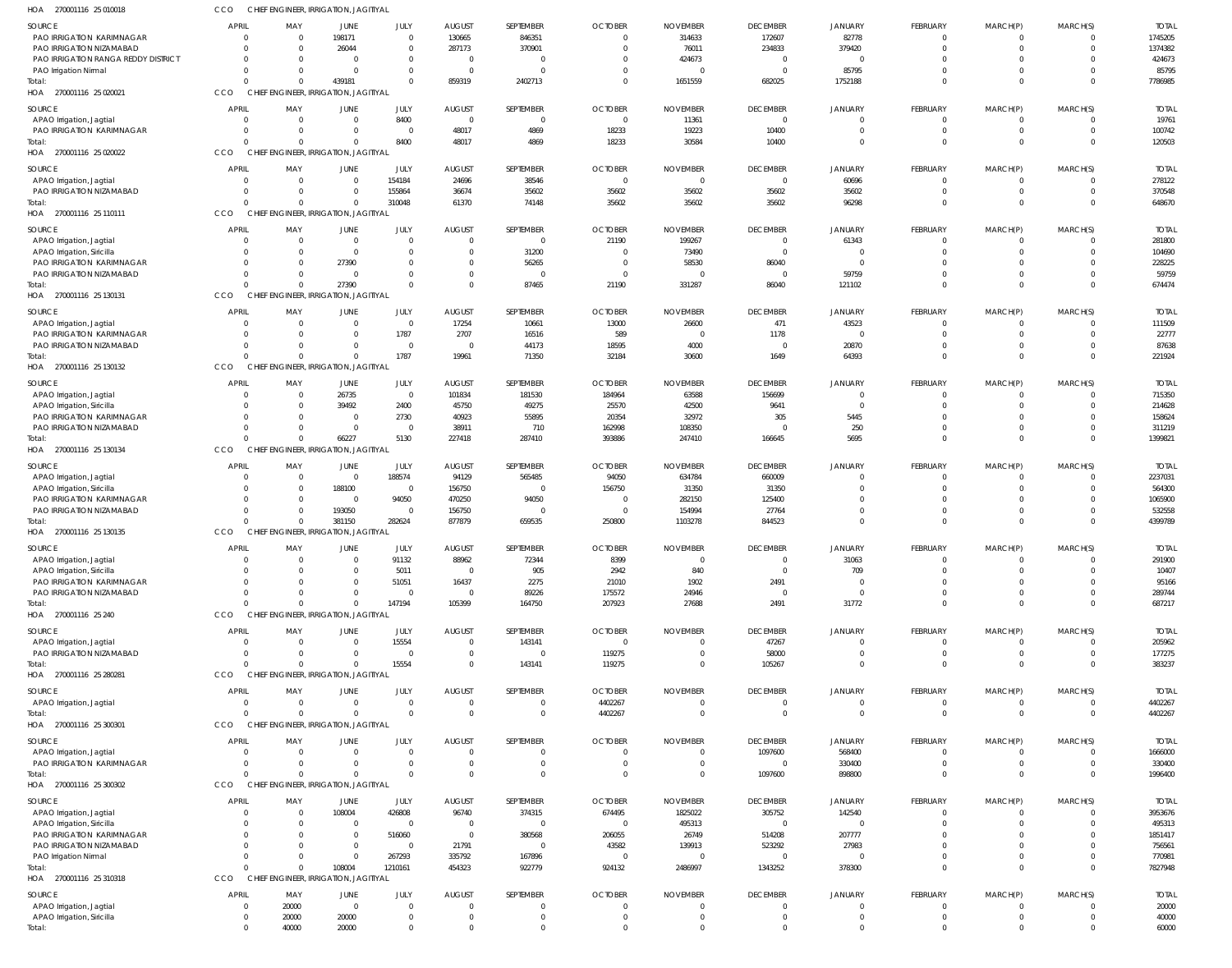|                                                        |                                |                            | CHIEF ENGINEER, IRRIGATION, JAGITIYAL |                         |                                  |                            |                    |                                   |                                   |                                  |                                 |                               |                            |                    |
|--------------------------------------------------------|--------------------------------|----------------------------|---------------------------------------|-------------------------|----------------------------------|----------------------------|--------------------|-----------------------------------|-----------------------------------|----------------------------------|---------------------------------|-------------------------------|----------------------------|--------------------|
| <b>SOURCE</b>                                          | <b>APRIL</b>                   | MAY                        | JUNE                                  | JULY                    | <b>AUGUST</b>                    | SEPTEMBER                  | <b>OCTOBER</b>     | <b>NOVEMBER</b>                   | <b>DECEMBER</b>                   | <b>JANUARY</b>                   | FEBRUARY                        | MARCH(P)                      | MARCH(S)                   | <b>TOTAL</b>       |
| PAO IRRIGATION KARIMNAGAR                              | $\Omega$                       | $\mathbf 0$                | 198171                                | $\Omega$                | 130665                           | 846351                     | $\Omega$           | 314633                            | 172607                            | 82778                            | - 0                             | $^{\circ}$                    | $\Omega$                   | 1745205            |
| PAO IRRIGATION NIZAMABAD                               | $\Omega$                       | $\Omega$                   | 26044                                 | $\Omega$                | 287173                           | 370901                     | $\Omega$           | 76011                             | 234833                            | 379420                           | $\Omega$                        | $\mathbf 0$                   | $\Omega$                   | 1374382            |
| PAO IRRIGATION RANGA REDDY DISTRICT                    | $\Omega$                       | $\Omega$                   | $\overline{0}$                        | $\Omega$                | $\overline{0}$                   | $\Omega$                   | 0                  | 424673                            | $\overline{0}$                    | $\overline{0}$                   |                                 | $^{\circ}$                    | $\Omega$                   | 424673             |
| PAO Irrigation Nirmal                                  | $\Omega$                       | $\mathbf 0$                | $\overline{0}$                        | $\Omega$                | $\overline{0}$                   | $\Omega$                   | 0                  |                                   | - 0                               | 85795                            |                                 | $\mathbf 0$                   | $\Omega$                   | 85795              |
| Total:                                                 | O                              | $\Omega$                   | 439181                                | $\Omega$                | 859319                           | 2402713                    | $\Omega$           | 1651559                           | 682025                            | 1752188                          | $\Omega$                        | $\mathbf 0$                   | $\Omega$                   | 7786985            |
| HOA 270001116 25 020021                                | CCO                            |                            | CHIEF ENGINEER, IRRIGATION, JAGITIYAL |                         |                                  |                            |                    |                                   |                                   |                                  |                                 |                               |                            |                    |
| SOURCE                                                 | <b>APRIL</b>                   | MAY                        | <b>JUNE</b>                           | JULY                    | <b>AUGUST</b>                    | SEPTEMBER                  | <b>OCTOBER</b>     | <b>NOVEMBER</b>                   | <b>DECEMBER</b>                   | <b>JANUARY</b>                   | <b>FEBRUARY</b>                 | MARCH(P)                      | MARCH(S)                   | <b>TOTAL</b>       |
| APAO Irrigation, Jagtial                               |                                | $\overline{0}$             | $\overline{0}$                        | 8400                    | $\overline{0}$                   | $\Omega$                   | $\mathbf{0}$       | 11361                             | $\overline{0}$                    | $\overline{0}$                   | $\Omega$                        | $^{\circ}$                    | $\Omega$                   | 19761              |
| PAO IRRIGATION KARIMNAGAR                              | $\Omega$                       | $\Omega$                   | $\overline{0}$                        | $\Omega$                | 48017                            | 4869                       | 18233              | 19223                             | 10400                             | $\overline{0}$                   | $\overline{0}$                  | $\mathbf 0$                   | $\overline{0}$             | 100742             |
| Total:                                                 |                                | $\Omega$                   | $\overline{0}$                        | 8400                    | 48017                            | 4869                       | 18233              | 30584                             | 10400                             | $\Omega$                         | $\Omega$                        | $\mathbf 0$                   | $\Omega$                   | 120503             |
| 270001116 25 020022<br>HOA                             | CCO                            |                            | CHIEF ENGINEER, IRRIGATION, JAGITIYAL |                         |                                  |                            |                    |                                   |                                   |                                  |                                 |                               |                            |                    |
| <b>SOURCE</b>                                          | <b>APRIL</b>                   | MAY                        | <b>JUNE</b>                           | JULY                    | <b>AUGUST</b>                    | SEPTEMBER                  | <b>OCTOBER</b>     | <b>NOVEMBER</b>                   | <b>DECEMBER</b>                   | <b>JANUARY</b>                   | FEBRUARY                        | MARCH(P)                      | MARCH(S)                   | <b>TOTAL</b>       |
| APAO Irrigation, Jagtial                               | $\Omega$                       | $\overline{0}$             | $\overline{0}$                        | 154184                  | 24696                            | 38546                      | $\mathbf{0}$       | $\Omega$                          | $\overline{0}$                    | 60696                            |                                 | $^{\circ}$                    | $\Omega$                   | 278122             |
| PAO IRRIGATION NIZAMABAD                               | $\Omega$                       | $\mathbf 0$                | $\overline{0}$                        | 155864                  | 36674                            | 35602                      | 35602              | 35602                             | 35602                             | 35602                            | 0                               | $\mathbf 0$                   | $\overline{0}$             | 370548             |
| Total:                                                 |                                | $\Omega$                   | $\mathbf 0$                           | 310048                  | 61370                            | 74148                      | 35602              | 35602                             | 35602                             | 96298                            | $\Omega$                        | $\Omega$                      | $\Omega$                   | 648670             |
| 270001116 25 110111<br>HOA                             | CCO                            |                            | CHIEF ENGINEER, IRRIGATION, JAGITIYAL |                         |                                  |                            |                    |                                   |                                   |                                  |                                 |                               |                            |                    |
|                                                        |                                |                            |                                       |                         |                                  |                            |                    |                                   |                                   |                                  |                                 |                               |                            |                    |
| <b>SOURCE</b>                                          | <b>APRIL</b>                   | MAY                        | JUNE<br>$\mathbf{0}$                  | <b>JULY</b><br>$\Omega$ | <b>AUGUST</b>                    | SEPTEMBER<br>$\Omega$      | <b>OCTOBER</b>     | <b>NOVEMBER</b>                   | <b>DECEMBER</b>                   | <b>JANUARY</b>                   | FEBRUARY<br>$\Omega$            | MARCH(P)                      | MARCH(S)<br>$\Omega$       | <b>TOTAL</b>       |
| APAO Irrigation, Jagtial<br>APAO Irrigation, Siricilla | $\overline{0}$<br>$\Omega$     | $\mathbf 0$<br>$\mathbf 0$ | $\overline{0}$                        | $\Omega$                | $\overline{0}$<br>$\overline{0}$ | 31200                      | 21190<br>0         | 199267<br>73490                   | $\overline{0}$<br>$\overline{0}$  | 61343<br>$\circ$                 | $\Omega$                        | $\overline{0}$<br>$\mathbf 0$ | $\Omega$                   | 281800<br>104690   |
| PAO IRRIGATION KARIMNAGAR                              | $\Omega$                       | $\mathbf 0$                | 27390                                 | $\Omega$                | $\Omega$                         | 56265                      | $\mathbf{0}$       | 58530                             | 86040                             | $\overline{0}$                   | $\Omega$                        | $\mathbf 0$                   | $\Omega$                   | 228225             |
| PAO IRRIGATION NIZAMABAD                               | $\Omega$                       | $\mathbf 0$                | $\overline{0}$                        | $\Omega$                | $\overline{0}$                   | $\Omega$                   | $\mathbf{0}$       |                                   | 0                                 | 59759                            | $\Omega$                        | $\overline{0}$                | $\Omega$                   | 59759              |
| Total                                                  | O                              | $\Omega$                   | 27390                                 | $\Omega$                | $\Omega$                         | 87465                      | 21190              | 331287                            | 86040                             | 121102                           | $\Omega$                        | $\mathbf 0$                   | $\Omega$                   | 674474             |
| HOA 270001116 25 130131                                | CCO                            |                            | CHIEF ENGINEER, IRRIGATION, JAGITIYAL |                         |                                  |                            |                    |                                   |                                   |                                  |                                 |                               |                            |                    |
|                                                        |                                |                            |                                       |                         |                                  |                            |                    |                                   |                                   |                                  |                                 |                               |                            |                    |
| SOURCE                                                 | <b>APRIL</b>                   | MAY                        | <b>JUNE</b>                           | JULY                    | <b>AUGUST</b>                    | SEPTEMBER                  | <b>OCTOBER</b>     | <b>NOVEMBER</b>                   | <b>DECEMBER</b>                   | <b>JANUARY</b>                   | FEBRUARY                        | MARCH(P)                      | MARCH(S)                   | <b>TOTAL</b>       |
| APAO Irrigation, Jagtial                               | $\Omega$                       | $\mathbf 0$                | $\overline{0}$                        | $\Omega$                | 17254                            | 10661                      | 13000              | 26600                             | 471                               | 43523                            | - 0                             | $^{\circ}$                    | $\Omega$                   | 111509             |
| PAO IRRIGATION KARIMNAGAR                              | $\Omega$                       | $\Omega$                   | $\mathbf 0$                           | 1787                    | 2707                             | 16516                      | 589                | $\Omega$                          | 1178                              | $\Omega$                         | $\Omega$                        | $\mathbf 0$                   | $\Omega$                   | 22777              |
| PAO IRRIGATION NIZAMABAD                               | $\Omega$                       | $\Omega$<br>$\Omega$       | $\mathbf 0$<br>$\Omega$               | $\Omega$                | $\overline{0}$                   | 44173                      | 18595              | 4000                              | $\overline{0}$                    | 20870                            | $\Omega$<br>$\Omega$            | $\mathbf 0$                   | $\Omega$                   | 87638              |
| Total:<br>HOA 270001116 25 130132                      | CCO                            |                            | CHIEF ENGINEER, IRRIGATION, JAGITIYAL | 1787                    | 19961                            | 71350                      | 32184              | 30600                             | 1649                              | 64393                            |                                 | $\Omega$                      | $\Omega$                   | 221924             |
|                                                        |                                |                            |                                       |                         |                                  |                            |                    |                                   |                                   |                                  |                                 |                               |                            |                    |
| <b>SOURCE</b>                                          | <b>APRIL</b>                   | MAY                        | JUNE                                  | JULY                    | <b>AUGUST</b>                    | SEPTEMBER                  | <b>OCTOBER</b>     | <b>NOVEMBER</b>                   | <b>DECEMBER</b>                   | <b>JANUARY</b>                   | FEBRUARY                        | MARCH(P)                      | MARCH(S)                   | <b>TOTAL</b>       |
| APAO Irrigation, Jagtial                               | $\overline{0}$                 | $\mathbf 0$                | 26735                                 | $\overline{0}$          | 101834                           | 181530                     | 184964             | 63588                             | 156699                            | $\overline{0}$                   | $\Omega$                        | $\overline{0}$                | $\Omega$                   | 715350             |
| APAO Irrigation, Siricilla                             | $\Omega$                       | $\mathbf 0$                | 39492                                 | 2400                    | 45750                            | 49275                      | 25570              | 42500                             | 9641                              | $\overline{0}$                   | $\Omega$                        | $\mathbf 0$                   | $\Omega$                   | 214628             |
| PAO IRRIGATION KARIMNAGAR                              | $\Omega$                       | $\Omega$                   | $\overline{0}$                        | 2730                    | 40923                            | 55895                      | 20354              | 32972                             | 305                               | 5445                             | $\Omega$                        | $\mathbf 0$                   | $\Omega$                   | 158624             |
| PAO IRRIGATION NIZAMABAD                               | $\Omega$                       | $\Omega$                   | $\overline{0}$                        | $\Omega$                | 38911                            | 710                        | 162998             | 108350                            | 0                                 | 250                              | $\Omega$                        | $\mathbf 0$                   | $\Omega$                   | 311219             |
| Total                                                  | O                              | $\Omega$                   | 66227                                 | 5130                    | 227418                           | 287410                     | 393886             | 247410                            | 166645                            | 5695                             | $\Omega$                        | $\mathbf 0$                   | $\Omega$                   | 1399821            |
| HOA 270001116 25 130134                                | CCO                            |                            | CHIEF ENGINEER, IRRIGATION, JAGITIYAL |                         |                                  |                            |                    |                                   |                                   |                                  |                                 |                               |                            |                    |
| SOURCE                                                 | <b>APRIL</b>                   | MAY                        | JUNE                                  | JULY                    | <b>AUGUST</b>                    | SEPTEMBER                  | <b>OCTOBER</b>     | <b>NOVEMBER</b>                   | <b>DECEMBER</b>                   | <b>JANUARY</b>                   | <b>FEBRUARY</b>                 | MARCH(P)                      | MARCH(S)                   | <b>TOTAL</b>       |
| APAO Irrigation, Jagtial                               |                                | 0                          | $\overline{0}$                        | 188574                  | 94129                            | 565485                     | 94050              | 634784                            | 660009                            | $\overline{0}$                   | - 0                             | $^{\circ}$                    | $\Omega$                   | 2237031            |
| APAO Irrigation, Siricilla                             | $\Omega$                       | $\mathbf 0$                | 188100                                | $\Omega$                | 156750                           | $\Omega$                   | 156750             | 31350                             | 31350                             | $\overline{0}$                   | $\bigcap$                       | $\mathbf 0$                   | $\Omega$                   | 564300             |
| PAO IRRIGATION KARIMNAGAR                              | $\Omega$                       | $\mathbf 0$                | $\overline{0}$                        | 94050                   | 470250                           | 94050                      | 0                  | 282150                            | 125400                            | $\Omega$                         |                                 | $^{\circ}$                    | $\Omega$                   | 1065900            |
| PAO IRRIGATION NIZAMABAD                               | $\Omega$                       | $\mathbf 0$                | 193050                                | $\Omega$                | 156750                           | $\Omega$                   | $\Omega$           | 154994                            | 27764                             | $\Omega$                         | $\Omega$                        | $\mathbf 0$                   | $\Omega$                   | 532558             |
| Total:                                                 |                                | $\Omega$                   | 381150                                | 282624                  | 877879                           | 659535                     | 250800             | 1103278                           | 844523                            | $\Omega$                         | $\Omega$                        | $\Omega$                      | $\Omega$                   | 4399789            |
| HOA 270001116 25 130135                                |                                |                            |                                       |                         |                                  |                            |                    |                                   |                                   |                                  |                                 |                               |                            |                    |
|                                                        | CCO                            |                            | CHIEF ENGINEER, IRRIGATION, JAGITIYAL |                         |                                  |                            |                    |                                   |                                   |                                  |                                 |                               |                            |                    |
| SOURCE                                                 | <b>APRIL</b>                   | MAY                        | <b>JUNE</b>                           | JULY                    | <b>AUGUST</b>                    | SEPTEMBER                  | <b>OCTOBER</b>     | <b>NOVEMBER</b>                   | <b>DECEMBER</b>                   | <b>JANUARY</b>                   | <b>FEBRUARY</b>                 | MARCH(P)                      | MARCH(S)                   | <b>TOTAL</b>       |
| APAO Irrigation, Jagtial                               |                                |                            | 0                                     | 91132                   | 88962                            | 72344                      | 8399               |                                   | - 0                               | 31063                            |                                 | $^{\circ}$                    |                            | 291900             |
| APAO Irrigation, Siricilla                             | $\Omega$                       | $\Omega$                   | $\mathbf 0$                           | 5011                    | $\overline{0}$                   | 905                        | 2942               | 840                               | $\overline{0}$                    | 709                              | $\Omega$                        | $\mathbf 0$                   | $\Omega$                   | 10407              |
| PAO IRRIGATION KARIMNAGAR                              | $\Omega$                       | $\Omega$                   | $\mathbf 0$                           | 51051                   | 16437                            | 2275                       | 21010              | 1902                              | 2491                              | $\overline{0}$                   | $\Omega$                        | $\mathbf 0$                   | $\Omega$                   | 95166              |
| PAO IRRIGATION NIZAMABAD                               | $\Omega$                       | $\Omega$                   | $\mathbf 0$                           | $\Omega$                | $\overline{0}$                   | 89226                      | 175572             | 24946                             | $\overline{0}$                    | $\overline{0}$                   | $\Omega$                        | $\mathbf 0$                   | $\Omega$                   | 289744             |
| Total:                                                 | $\Omega$                       | $\Omega$                   | $\mathbf 0$                           | 147194                  | 105399                           | 164750                     | 207923             | 27688                             | 2491                              | 31772                            | $\Omega$                        | $\mathbf 0$                   | $\Omega$                   | 687217             |
| HOA 270001116 25 240                                   | CCO                            |                            | CHIEF ENGINEER, IRRIGATION, JAGITIYAL |                         |                                  |                            |                    |                                   |                                   |                                  |                                 |                               |                            |                    |
| SOURCE                                                 | <b>APRIL</b>                   | MAY                        | JUNE                                  | JULY                    | <b>AUGUST</b>                    | SEPTEMBER                  | <b>OCTOBER</b>     | <b>NOVEMBER</b>                   | <b>DECEMBER</b>                   | <b>JANUARY</b>                   | FEBRUARY                        | MARCH(P)                      | MARCH(S)                   | <b>TOTAL</b>       |
| APAO Irrigation, Jagtial                               | $\overline{0}$                 | $\overline{0}$             | $\overline{0}$                        | 15554                   | $\overline{0}$                   | 143141                     | $\mathbf 0$        | $\Omega$                          | 47267                             | $\overline{0}$                   | - 0                             | $^{\circ}$                    | $\Omega$                   | 205962             |
| PAO IRRIGATION NIZAMABAD                               | $\Omega$                       | $\mathbf 0$                | $\overline{0}$                        | $\Omega$                | $\overline{0}$                   | $\overline{0}$             | 119275             | $\Omega$                          | 58000                             | $\overline{0}$                   | $\mathbf{0}$                    | $\mathbf 0$                   | $\overline{0}$             | 177275             |
| Total:                                                 |                                | $\Omega$                   | $\mathbf 0$                           | 15554                   | $\mathbf 0$                      | 143141                     | 119275             | $\Omega$                          | 105267                            | $\Omega$                         | $\Omega$                        | $\Omega$                      | $\Omega$                   | 383237             |
| HOA 270001116 25 280281                                | CCO                            |                            | CHIEF ENGINEER, IRRIGATION, JAGITIYAL |                         |                                  |                            |                    |                                   |                                   |                                  |                                 |                               |                            |                    |
|                                                        |                                |                            |                                       |                         |                                  |                            |                    |                                   |                                   |                                  |                                 |                               |                            |                    |
| SOURCE                                                 | <b>APRIL</b><br>$\overline{0}$ | MAY<br>$\overline{0}$      | JUNE<br>$\overline{0}$                | <b>JULY</b><br>$\Omega$ | <b>AUGUST</b><br>$\overline{0}$  | SEPTEMBER<br>$\Omega$      | <b>OCTOBER</b>     | <b>NOVEMBER</b><br>$\overline{0}$ | <b>DECEMBER</b><br>$\overline{0}$ | <b>JANUARY</b><br>$\overline{0}$ | <b>FEBRUARY</b><br>$\mathbf{0}$ | MARCH(P)<br>$\overline{0}$    | MARCH(S)<br>$\overline{0}$ | <b>TOTAL</b>       |
| APAO Irrigation, Jagtial<br>Total:                     | $\Omega$                       | $\Omega$                   | $\overline{0}$                        | $\Omega$                | $\mathbf 0$                      | $\Omega$                   | 4402267<br>4402267 | $\Omega$                          | $\overline{0}$                    | $\overline{0}$                   | $\Omega$                        | $\mathbf 0$                   | $\Omega$                   | 4402267<br>4402267 |
| HOA 270001116 25 300301                                | CCO                            |                            | CHIEF ENGINEER, IRRIGATION, JAGITIYAL |                         |                                  |                            |                    |                                   |                                   |                                  |                                 |                               |                            |                    |
|                                                        |                                |                            |                                       |                         |                                  |                            |                    |                                   |                                   |                                  |                                 |                               |                            |                    |
| SOURCE                                                 | <b>APRIL</b>                   | MAY                        | JUNE                                  | JULY                    | <b>AUGUST</b>                    | SEPTEMBER                  | <b>OCTOBER</b>     | <b>NOVEMBER</b>                   | <b>DECEMBER</b>                   | <b>JANUARY</b>                   | FEBRUARY                        | MARCH(P)                      | MARCH(S)                   | <b>TOTAL</b>       |
| APAO Irrigation, Jagtial                               | $\Omega$                       | 0                          | $\overline{0}$                        | $\Omega$                | $\overline{0}$                   | $\Omega$                   | 0                  | $\Omega$                          | 1097600                           | 568400                           | - 0                             | $^{\circ}$                    | $\Omega$                   | 1666000            |
| PAO IRRIGATION KARIMNAGAR                              | $\overline{0}$<br>$\Omega$     | $\mathbf 0$                | $\overline{0}$                        | $\Omega$<br>$\Omega$    | $\overline{0}$                   | $\overline{0}$             | $\mathbf{0}$       | $\Omega$                          | $\overline{0}$                    | 330400                           | $\Omega$                        | $\mathbf 0$                   | $\Omega$                   | 330400             |
| Total:                                                 |                                | $\Omega$                   | $\mathbf 0$                           |                         | $\mathbf 0$                      | $\Omega$                   | $\Omega$           | $\Omega$                          | 1097600                           | 898800                           | $\Omega$                        | $\mathbf 0$                   | $\Omega$                   | 1996400            |
| HOA 270001116 25 300302                                | CCO                            |                            | CHIEF ENGINEER, IRRIGATION, JAGITIYAL |                         |                                  |                            |                    |                                   |                                   |                                  |                                 |                               |                            |                    |
| SOURCE                                                 | <b>APRIL</b>                   | MAY                        | JUNE                                  | JULY                    | <b>AUGUST</b>                    | SEPTEMBER                  | <b>OCTOBER</b>     | <b>NOVEMBER</b>                   | <b>DECEMBER</b>                   | <b>JANUARY</b>                   | <b>FEBRUARY</b>                 | MARCH(P)                      | MARCH(S)                   | <b>TOTAL</b>       |
| APAO Irrigation, Jagtial                               | $\overline{0}$                 | 0                          | 108004                                | 426808                  | 96740                            | 374315                     | 674495             | 1825022                           | 305752                            | 142540                           | $\Omega$                        | $\overline{0}$                | $\Omega$                   | 3953676            |
| APAO Irrigation, Siricilla                             | $\Omega$                       | $\mathbf 0$                | $\overline{0}$                        | $\Omega$                | $\overline{0}$                   | $\Omega$                   | $\overline{0}$     | 495313                            | $\overline{0}$                    | $\overline{0}$                   | $\Omega$                        | $\mathbf 0$                   | $\Omega$                   | 495313             |
| PAO IRRIGATION KARIMNAGAR                              | $\Omega$                       | $\Omega$                   | $\overline{0}$                        | 516060                  | $\mathbf 0$                      | 380568                     | 206055             | 26749                             | 514208                            | 207777                           | $\Omega$                        | $\mathbf 0$                   | $\Omega$                   | 1851417            |
| PAO IRRIGATION NIZAMABAD                               | $\Omega$                       | $\mathbf 0$                | $\overline{0}$                        | $\overline{0}$          | 21791                            | $\overline{0}$             | 43582              | 139913                            | 523292                            | 27983                            | $\Omega$                        | $\mathbf 0$                   | $\Omega$                   | 756561             |
| PAO Irrigation Nirmal                                  | U                              | $\Omega$<br>$\Omega$       | $\overline{0}$                        | 267293                  | 335792                           | 167896                     | $\mathbf{0}$       | $\overline{0}$                    | $\overline{0}$                    | $\overline{0}$                   | $\Omega$<br>$\Omega$            | $\mathbf{0}$                  | $\Omega$<br>$\Omega$       | 770981             |
| Total:                                                 |                                |                            | 108004                                | 1210161                 | 454323                           | 922779                     | 924132             | 2486997                           | 1343252                           | 378300                           |                                 | $\mathbf 0$                   |                            | 7827948            |
| HOA 270001116 25 310318                                | CCO                            |                            | CHIEF ENGINEER, IRRIGATION, JAGITIYAL |                         |                                  |                            |                    |                                   |                                   |                                  |                                 |                               |                            |                    |
| SOURCE                                                 | <b>APRIL</b>                   | MAY                        | JUNE                                  | <b>JULY</b>             | <b>AUGUST</b>                    | SEPTEMBER                  | <b>OCTOBER</b>     | <b>NOVEMBER</b>                   | <b>DECEMBER</b>                   | <b>JANUARY</b>                   | <b>FEBRUARY</b>                 | MARCH(P)                      | MARCH(S)                   | <b>TOTAL</b>       |
| APAO Irrigation, Jagtial                               | $\overline{0}$                 | 20000                      | $\overline{0}$                        | $\Omega$                | $\overline{0}$                   | $\Omega$                   | $\overline{0}$     | $\Omega$                          | $\overline{0}$                    | $\overline{0}$                   | - 0                             | $\Omega$                      | $\Omega$                   | 20000              |
| APAO Irrigation, Siricilla<br>Total:                   | $\overline{0}$<br>$\mathbf 0$  | 20000<br>40000             | 20000<br>20000                        | $\Omega$<br>$\Omega$    | $\overline{0}$<br>$\mathbf 0$    | $\overline{0}$<br>$\Omega$ | 0<br>$\Omega$      | $\Omega$<br>$\Omega$              | $\overline{0}$<br>$\Omega$        | $\overline{0}$<br>$\Omega$       | $\mathbf{0}$<br>$\Omega$        | $\mathbf 0$<br>$\Omega$       | $\Omega$<br>$\Omega$       | 40000<br>60000     |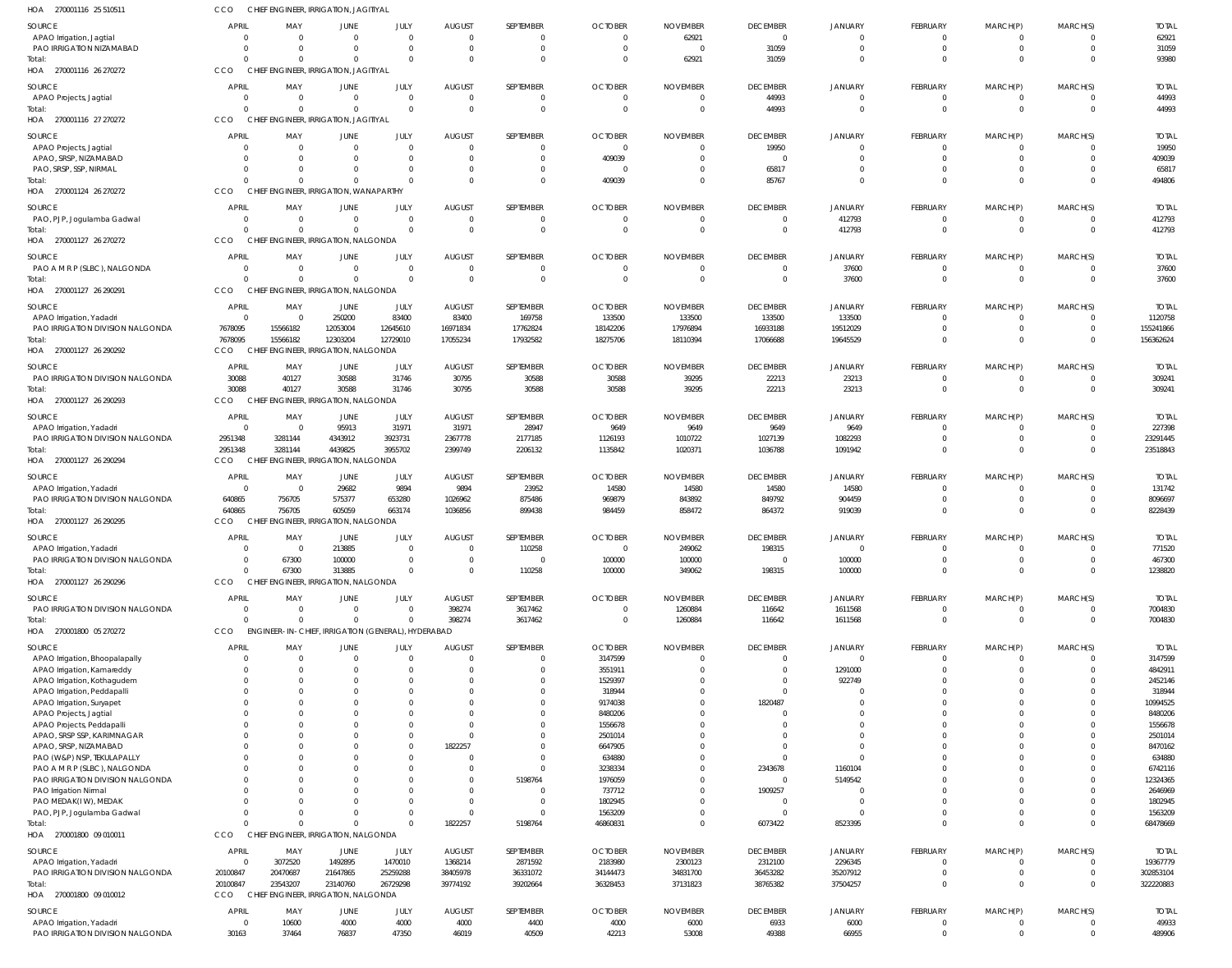| HOA 270001116 25 510511                                      | CCO                            | CHIEF ENGINEER, IRRIGATION, JAGITIYAL                   |                          |                      |                                 |                                |                               |                           |                                   |                                  |                             |                              |                                  |                         |
|--------------------------------------------------------------|--------------------------------|---------------------------------------------------------|--------------------------|----------------------|---------------------------------|--------------------------------|-------------------------------|---------------------------|-----------------------------------|----------------------------------|-----------------------------|------------------------------|----------------------------------|-------------------------|
| SOURCE<br>APAO Irrigation, Jagtial                           | <b>APRIL</b><br>$\Omega$       | MAY<br>$\overline{\mathbf{0}}$                          | JUNE<br>- 0              | JULY<br>$\Omega$     | <b>AUGUST</b><br>$\overline{0}$ | SEPTEMBER<br>$\mathbf{0}$      | <b>OCTOBER</b><br>$\mathbf 0$ | <b>NOVEMBER</b><br>62921  | <b>DECEMBER</b><br>$\overline{0}$ | <b>JANUARY</b><br>$\overline{0}$ | FEBRUARY<br>$^{\circ}$      | MARCH(P)<br>$^{\circ}$       | MARCH(S)<br>$\Omega$             | <b>TOTAL</b><br>62921   |
| PAO IRRIGATION NIZAMABAD                                     | $\Omega$                       | $\Omega$                                                | $\Omega$                 | $\Omega$             | $\overline{0}$                  | $\mathbf 0$                    | $\overline{0}$                | $\overline{0}$            | 31059                             | $\overline{0}$                   | $\mathbf 0$                 | $\mathbf 0$                  | $\overline{0}$                   | 31059                   |
| Total:<br>HOA 270001116 26 270272                            | $\Omega$<br>CCO                | $\Omega$<br>CHIEF ENGINEER, IRRIGATION, JAGITIYAL       | $\Omega$                 | $\Omega$             | $\Omega$                        | $\Omega$                       | $\Omega$                      | 62921                     | 31059                             | $\Omega$                         | $\Omega$                    | $\mathbf 0$                  | $\Omega$                         | 93980                   |
| SOURCE                                                       | <b>APRIL</b>                   | MAY                                                     | JUNE                     | JULY                 | <b>AUGUST</b>                   | SEPTEMBER                      | <b>OCTOBER</b>                | <b>NOVEMBER</b>           | <b>DECEMBER</b>                   | <b>JANUARY</b>                   | FEBRUARY                    | MARCH(P)                     | MARCH(S)                         | <b>TOTAL</b>            |
| APAO Projects, Jagtial                                       | $\overline{0}$                 | $\overline{\mathbf{0}}$                                 | - 0                      | $\Omega$             | $^{\circ}$                      | 0                              | 0                             | -0                        | 44993                             | $\overline{0}$                   | $\mathbf 0$                 | $\mathbf{0}$                 | $\Omega$                         | 44993                   |
| Total:<br>HOA 270001116 27 270272                            | $\Omega$<br>CCO                | $\overline{0}$<br>CHIEF ENGINEER, IRRIGATION, JAGITIYAL | $\Omega$                 | $\Omega$             | $\Omega$                        | $\mathbf 0$                    | $\mathsf{C}$                  | $\overline{0}$            | 44993                             | $\Omega$                         | $\mathbf 0$                 | $\mathbf{0}$                 | $\overline{0}$                   | 44993                   |
| SOURCE                                                       | <b>APRIL</b>                   | MAY                                                     | JUNE                     | JULY                 | <b>AUGUST</b>                   | SEPTEMBER                      | <b>OCTOBER</b>                | <b>NOVEMBER</b>           | <b>DECEMBER</b>                   | <b>JANUARY</b>                   | FEBRUARY                    | MARCH(P)                     | MARCH(S)                         | <b>TOTAL</b>            |
| APAO Projects, Jagtial                                       | $\Omega$                       | $\overline{\mathbf{0}}$                                 | $\Omega$                 | $\Omega$             | $\overline{0}$                  | 0                              | $\overline{0}$                | $\Omega$                  | 19950                             | $\Omega$                         | 0                           | $^{\circ}$                   |                                  | 19950                   |
| APAO, SRSP, NIZAMABAD                                        | $\Omega$                       | $\Omega$                                                | -0                       | $\Omega$             | $\Omega$                        | $\Omega$                       | 409039                        | $\Omega$                  | $\Omega$                          | $\Omega$                         | $\Omega$                    | $\mathbf 0$                  | $\Omega$                         | 409039                  |
| PAO, SRSP, SSP, NIRMAL                                       | $\Omega$<br>$\Omega$           | $\overline{0}$<br>$\Omega$                              | - 0<br>$\Omega$          | $\Omega$<br>$\Omega$ | $\mathbf 0$<br>$\Omega$         | 0<br>$\Omega$                  | 0                             | 0                         | 65817                             | $\Omega$<br>$\Omega$             | $\mathbf 0$<br>$\Omega$     | $\mathbf 0$<br>$\Omega$      | $\Omega$                         | 65817                   |
| Total:<br>HOA 270001124 26 270272                            | CCO                            | CHIEF ENGINEER, IRRIGATION, WANAPARTHY                  |                          |                      |                                 |                                | 409039                        |                           | 85767                             |                                  |                             |                              |                                  | 494806                  |
| <b>SOURCE</b>                                                | <b>APRIL</b>                   | MAY                                                     | JUNE                     | JULY                 | <b>AUGUST</b>                   | SEPTEMBER                      | <b>OCTOBER</b>                | <b>NOVEMBER</b>           | <b>DECEMBER</b>                   | <b>JANUARY</b>                   | FEBRUARY                    | MARCH(P)                     | MARCH(S)                         | <b>TOTAL</b>            |
| PAO, PJP, Jogulamba Gadwal                                   | $\overline{0}$                 | $\overline{\mathbf{0}}$                                 | $\Omega$                 | $\Omega$             | $\overline{0}$                  | $\mathbf{0}$                   | 0                             | $\Omega$                  | $\overline{0}$                    | 412793                           | $\mathbf{0}$                | $\mathbf{0}$                 | $\Omega$                         | 412793                  |
| Total:<br>HOA 270001127 26 270272                            | $\Omega$<br>CCO                | $\Omega$<br>CHIEF ENGINEER, IRRIGATION, NALGONDA        | $\Omega$                 | $\Omega$             | $\Omega$                        | $\mathbf 0$                    | - 0                           |                           | $\overline{0}$                    | 412793                           | $\mathbf 0$                 | $\mathbf{0}$                 | $\Omega$                         | 412793                  |
| SOURCE                                                       | <b>APRIL</b>                   | MAY                                                     | JUNE                     | JULY                 | <b>AUGUST</b>                   | SEPTEMBER                      | <b>OCTOBER</b>                | <b>NOVEMBER</b>           | <b>DECEMBER</b>                   | <b>JANUARY</b>                   | FEBRUARY                    | MARCH(P)                     | MARCH(S)                         | <b>TOTAL</b>            |
| PAO A M R P (SLBC), NALGONDA                                 | $\overline{0}$                 | $\overline{\mathbf{0}}$                                 | $\overline{0}$           | $\Omega$             | $^{\circ}$                      | 0                              | $^{\circ}$                    | $\Omega$                  | $\overline{0}$                    | 37600                            | 0                           | 0                            | $\Omega$                         | 37600                   |
| Total:<br>HOA 270001127 26 290291                            | $\Omega$<br>CCO                | $\overline{0}$<br>CHIEF ENGINEER, IRRIGATION, NALGONDA  | $\Omega$                 | $\Omega$             | $\Omega$                        | $\mathbf 0$                    | $\Omega$                      | - 0                       | $\overline{0}$                    | 37600                            | $\mathbf 0$                 | $\mathbf 0$                  | $\Omega$                         | 37600                   |
|                                                              |                                |                                                         |                          |                      |                                 |                                |                               |                           |                                   |                                  |                             |                              |                                  |                         |
| SOURCE<br>APAO Irrigation, Yadadri                           | <b>APRIL</b><br>$\Omega$       | MAY<br>$\overline{\mathbf{0}}$                          | JUNE<br>250200           | JULY<br>83400        | <b>AUGUST</b><br>83400          | SEPTEMBER<br>169758            | <b>OCTOBER</b><br>133500      | <b>NOVEMBER</b><br>133500 | <b>DECEMBER</b><br>133500         | <b>JANUARY</b><br>133500         | FEBRUARY<br>$\mathbf 0$     | MARCH(P)<br>0                | MARCH(S)<br>$\Omega$             | <b>TOTAI</b><br>1120758 |
| PAO IRRIGATION DIVISION NALGONDA                             | 7678095                        | 15566182                                                | 12053004                 | 12645610             | 16971834                        | 17762824                       | 18142206                      | 17976894                  | 16933188                          | 19512029                         | $\mathbf 0$                 | $\mathbf 0$                  | $\Omega$                         | 155241866               |
| Total:                                                       | 7678095                        | 15566182                                                | 12303204                 | 12729010             | 17055234                        | 17932582                       | 18275706                      | 18110394                  | 17066688                          | 19645529                         | $\mathbf 0$                 | $\mathbf 0$                  | $\Omega$                         | 156362624               |
| HOA 270001127 26 290292                                      | <b>CCO</b>                     | CHIEF ENGINEER, IRRIGATION, NALGONDA                    |                          |                      |                                 |                                |                               |                           |                                   |                                  |                             |                              |                                  |                         |
| SOURCE                                                       | <b>APRIL</b>                   | MAY                                                     | JUNE                     | JULY                 | <b>AUGUST</b>                   | SEPTEMBER                      | <b>OCTOBER</b>                | <b>NOVEMBER</b>           | <b>DECEMBER</b>                   | <b>JANUARY</b>                   | FEBRUARY                    | MARCH(P)                     | MARCH(S)                         | <b>TOTAL</b>            |
| PAO IRRIGATION DIVISION NALGONDA                             | 30088                          | 40127                                                   | 30588                    | 31746                | 30795                           | 30588                          | 30588                         | 39295                     | 22213                             | 23213                            | 0                           | 0                            | $\Omega$                         | 309241                  |
| Total:<br>HOA 270001127 26 290293                            | 30088<br>CCO                   | 40127<br>CHIEF ENGINEER, IRRIGATION, NALGONDA           | 30588                    | 31746                | 30795                           | 30588                          | 30588                         | 39295                     | 22213                             | 23213                            | $\mathbf{0}$                | $\mathbf 0$                  | $\Omega$                         | 309241                  |
| SOURCE                                                       | <b>APRIL</b>                   | MAY                                                     | JUNE                     | JULY                 | <b>AUGUST</b>                   | SEPTEMBER                      | <b>OCTOBER</b>                | <b>NOVEMBER</b>           | <b>DECEMBER</b>                   | <b>JANUARY</b>                   | FEBRUARY                    | MARCH(P)                     | MARCH(S)                         | <b>TOTAL</b>            |
| APAO Irrigation, Yadadri                                     | $\overline{0}$                 | $\overline{\mathbf{0}}$                                 | 95913                    | 31971                | 31971                           | 28947                          | 9649                          | 9649                      | 9649                              | 9649                             | 0                           | 0                            | $\Omega$                         | 227398                  |
| PAO IRRIGATION DIVISION NALGONDA<br>Total:                   | 2951348<br>2951348             | 3281144<br>3281144                                      | 4343912<br>4439825       | 3923731<br>3955702   | 2367778<br>2399749              | 2177185<br>2206132             | 1126193<br>1135842            | 1010722<br>1020371        | 1027139<br>1036788                | 1082293<br>1091942               | $\mathbf 0$<br>$\mathbf 0$  | $\mathbf 0$<br>$\mathbf{0}$  | $\Omega$<br>$\Omega$             | 23291445<br>23518843    |
| HOA 270001127 26 290294                                      | CCO                            | CHIEF ENGINEER, IRRIGATION, NALGONDA                    |                          |                      |                                 |                                |                               |                           |                                   |                                  |                             |                              |                                  |                         |
| SOURCE                                                       | <b>APRIL</b>                   | MAY                                                     | JUNE                     | JULY                 | <b>AUGUST</b>                   | SEPTEMBER                      | <b>OCTOBER</b>                | <b>NOVEMBER</b>           | <b>DECEMBER</b>                   | <b>JANUARY</b>                   | <b>FEBRUARY</b>             | MARCH(P)                     | MARCH(S)                         | <b>TOTAL</b>            |
| APAO Irrigation, Yadadri                                     | $\Omega$                       | $\overline{\mathbf{0}}$                                 | 29682                    | 9894                 | 9894                            | 23952                          | 14580                         | 14580                     | 14580                             | 14580                            | $\Omega$                    | $^{\circ}$                   | $\Omega$                         | 131742                  |
| PAO IRRIGATION DIVISION NALGONDA                             | 640865                         | 756705                                                  | 575377                   | 653280               | 1026962                         | 875486                         | 969879                        | 843892                    | 849792                            | 904459                           | $\mathbf 0$                 | $\mathbf{0}$                 | $\Omega$                         | 8096697                 |
| Total:<br>HOA 270001127 26 290295                            | 640865<br>CCO                  | 756705<br>CHIEF ENGINEER, IRRIGATION, NALGONDA          | 605059                   | 663174               | 1036856                         | 899438                         | 984459                        | 858472                    | 864372                            | 919039                           | $\mathbf 0$                 | $\mathbf 0$                  | $\Omega$                         | 8228439                 |
|                                                              |                                |                                                         |                          |                      |                                 |                                |                               |                           |                                   |                                  |                             |                              |                                  |                         |
| SOURCE<br>APAO Irrigation, Yadadri                           | <b>APRIL</b><br>$\overline{0}$ | MAY<br>$\overline{\mathbf{0}}$                          | JUNE<br>213885           | JULY<br>$\Omega$     | <b>AUGUST</b><br>$\overline{0}$ | SEPTEMBER<br>110258            | <b>OCTOBER</b><br>$\mathbf 0$ | <b>NOVEMBER</b><br>249062 | <b>DECEMBER</b><br>198315         | <b>JANUARY</b><br>$\overline{0}$ | FEBRUARY<br>$\overline{0}$  | MARCH(P)<br>$\overline{0}$   | MARCH(S)<br>$\Omega$             | <b>TOTAL</b><br>771520  |
| PAO IRRIGATION DIVISION NALGONDA                             | $\Omega$                       | 67300                                                   | 100000                   |                      |                                 | $\Omega$                       | 100000                        | 100000                    | $\Omega$                          | 100000                           | $^{\circ}$                  | 0                            |                                  | 467300                  |
| Total:                                                       | $\Omega$                       | 67300                                                   | 313885                   | $\Omega$             | $\Omega$                        | 110258                         | 100000                        | 349062                    | 198315                            | 100000                           | $\mathbf{0}$                | $\mathbf{0}$                 | $\Omega$                         | 1238820                 |
| HOA 270001127 26 290296                                      | CCO                            | CHIEF ENGINEER, IRRIGATION, NALGONDA                    |                          |                      |                                 |                                |                               |                           |                                   |                                  |                             |                              |                                  |                         |
| SOURCE                                                       | <b>APRIL</b>                   | MAY                                                     | JUNE                     | JULY                 | <b>AUGUST</b>                   | SEPTEMBER                      | <b>OCTOBER</b>                | <b>NOVEMBER</b>           | <b>DECEMBER</b>                   | <b>JANUARY</b>                   | <b>FEBRUARY</b>             | MARCH(P)                     | MARCH(S)                         | <b>TOTAL</b>            |
| PAO IRRIGATION DIVISION NALGONDA<br>Total:                   | $\overline{0}$<br>$\Omega$     | $\overline{\mathbf{0}}$<br>$\Omega$                     | $\mathbf{0}$<br>$\Omega$ | $\Omega$<br>$\Omega$ | 398274<br>398274                | 3617462<br>3617462             | $\mathbf 0$<br>$\Omega$       | 1260884<br>1260884        | 116642<br>116642                  | 1611568<br>1611568               | $\mathbf 0$<br>$\mathbf 0$  | $\mathbf{0}$<br>$\mathbf{0}$ | $\Omega$<br>$\Omega$             | 7004830<br>7004830      |
| HOA 270001800 05 270272                                      | CCO                            | ENGINEER-IN-CHIEF, IRRIGATION (GENERAL), HYDERABAD      |                          |                      |                                 |                                |                               |                           |                                   |                                  |                             |                              |                                  |                         |
| SOURCE                                                       | <b>APRIL</b>                   | MAY                                                     | JUNE                     | JULY                 | <b>AUGUST</b>                   | SEPTEMBER                      | <b>OCTOBER</b>                | <b>NOVEMBER</b>           | <b>DECEMBER</b>                   | JANUARY                          | <b>FEBRUARY</b>             | MARCH(P)                     | MARCH(S)                         | <b>TOTAL</b>            |
| APAO Irrigation, Bhoopalapally                               | $\Omega$                       | $\overline{0}$                                          | $\overline{0}$           | $\Omega$             | $^{\circ}$                      | $\mathbf{0}$                   | 3147599                       | 0                         | $\overline{0}$                    | $\Omega$                         | $\mathbf{0}$                | $\mathbf{0}$                 | $\Omega$                         | 3147599                 |
| APAO Irrigation, Kamareddy                                   | $\Omega$<br>$\Omega$           | $\overline{0}$<br>$\overline{0}$                        |                          |                      | $\Omega$<br>-0                  | $\mathbf{0}$<br>$\Omega$       | 3551911<br>1529397            |                           | $\Omega$<br>$\Omega$              | 1291000<br>922749                | $\mathbf 0$<br>$\mathbf 0$  | $\mathbf{0}$<br>$\mathbf 0$  | $\Omega$                         | 4842911<br>2452146      |
| APAO Irrigation, Kothagudem<br>APAO Irrigation, Peddapalli   | $\Omega$                       | $\Omega$                                                |                          |                      | - 0                             | 0                              | 318944                        |                           | $\Omega$                          |                                  | $\mathbf 0$                 | $\mathbf 0$                  |                                  | 318944                  |
| APAO Irrigation, Suryapet                                    | $\Omega$                       | $\Omega$                                                |                          |                      | - 0                             | $\Omega$                       | 9174038                       |                           | 1820487                           | $\Omega$                         | $\mathbf 0$                 | $\Omega$                     |                                  | 10994525                |
| APAO Projects, Jagtial                                       | $\Omega$                       | $\Omega$                                                |                          |                      | $\Omega$                        | $\Omega$                       | 8480206                       |                           |                                   |                                  | $\mathbf 0$                 | $\Omega$                     |                                  | 8480206                 |
| APAO Projects, Peddapalli                                    | <sup>0</sup><br>$\Omega$       | $\Omega$<br>$\Omega$                                    |                          |                      | -0<br>$\Omega$                  | 0<br>$\Omega$                  | 1556678                       |                           | $\Omega$                          | $\Omega$<br>$\Omega$             | $\Omega$<br>$\mathbf 0$     | $\Omega$<br>$\Omega$         |                                  | 1556678                 |
| APAO, SRSP SSP, KARIMNAGAR<br>APAO, SRSP, NIZAMABAD          | $\Omega$                       | $\Omega$                                                |                          |                      | 1822257                         | $\Omega$                       | 2501014<br>6647905            |                           | $\Omega$                          | $\Omega$                         | $\Omega$                    | $\Omega$                     |                                  | 2501014<br>8470162      |
| PAO (W&P) NSP, TEKULAPALLY                                   | $\Omega$                       | $\Omega$                                                |                          |                      | $\Omega$                        | $\Omega$                       | 634880                        |                           | $\Omega$                          | $\Omega$                         | $\Omega$                    | $\Omega$                     |                                  | 634880                  |
| PAO A M R P (SLBC), NALGONDA                                 | <sup>0</sup>                   | $\Omega$                                                |                          |                      | -0                              | $\Omega$                       | 3238334                       |                           | 2343678                           | 1160104                          | $\Omega$                    | $\Omega$                     |                                  | 6742116                 |
| PAO IRRIGATION DIVISION NALGONDA                             | $\Omega$                       | $\Omega$<br>$\Omega$                                    |                          |                      | -0                              | 5198764                        | 1976059                       |                           | $\Omega$                          | 5149542                          | $\Omega$                    | $\mathbf 0$                  | $\Omega$                         | 12324365                |
| PAO Irrigation Nirmal<br>PAO MEDAK(IW), MEDAK                | $\Omega$                       | $\Omega$                                                |                          |                      | $\Omega$<br>$\Omega$            | $\overline{0}$<br>$\mathbf{0}$ | 737712<br>1802945             |                           | 1909257<br>$\Omega$               | $\Omega$                         | $\Omega$<br>$\mathbf 0$     | $\Omega$<br>$\mathbf 0$      |                                  | 2646969<br>1802945      |
| PAO, PJP, Jogulamba Gadwal                                   | $\Omega$                       | $\Omega$                                                |                          |                      | $^{\circ}$                      | $\mathbf 0$                    | 1563209                       | $\Omega$                  | $\Omega$                          | $\Omega$                         | $\mathbf 0$                 | $\mathbf 0$                  |                                  | 1563209                 |
| Total:<br>HOA 270001800 09 010011                            | $\cap$<br>CCO                  | $\Omega$<br>CHIEF ENGINEER, IRRIGATION, NALGONDA        | $\cap$                   | $\Omega$             | 1822257                         | 5198764                        | 46860831                      |                           | 6073422                           | 8523395                          | $\mathbf 0$                 | $\mathbf{0}$                 | $\Omega$                         | 68478669                |
|                                                              | <b>APRIL</b>                   | MAY                                                     | JUNE                     | JULY                 | <b>AUGUST</b>                   | SEPTEMBER                      | <b>OCTOBER</b>                | <b>NOVEMBER</b>           | <b>DECEMBER</b>                   | <b>JANUARY</b>                   | FEBRUARY                    | MARCH(P)                     | MARCH(S)                         | <b>TOTAL</b>            |
| SOURCE<br>APAO Irrigation, Yadadri                           | $\Omega$                       | 3072520                                                 | 1492895                  | 1470010              | 1368214                         | 2871592                        | 2183980                       | 2300123                   | 2312100                           | 2296345                          | 0                           | 0                            | $\Omega$                         | 19367779                |
| PAO IRRIGATION DIVISION NALGONDA                             | 20100847                       | 20470687                                                | 21647865                 | 25259288             | 38405978                        | 36331072                       | 34144473                      | 34831700                  | 36453282                          | 35207912                         | $\mathbf 0$                 | $\mathbf{0}$                 | $\Omega$                         | 302853104               |
| Total:                                                       | 20100847                       | 23543207                                                | 23140760                 | 26729298             | 39774192                        | 39202664                       | 36328453                      | 37131823                  | 38765382                          | 37504257                         | $\mathbf 0$                 | $\mathbf 0$                  | $\Omega$                         | 322220883               |
| HOA 270001800 09 010012                                      | <b>CCO</b>                     | CHIEF ENGINEER, IRRIGATION, NALGONDA                    |                          |                      |                                 |                                |                               |                           |                                   |                                  |                             |                              |                                  |                         |
| SOURCE                                                       | <b>APRIL</b>                   | MAY                                                     | JUNE                     | JULY                 | <b>AUGUST</b>                   | SEPTEMBER                      | <b>OCTOBER</b>                | <b>NOVEMBER</b>           | <b>DECEMBER</b>                   | <b>JANUARY</b>                   | <b>FEBRUARY</b>             | MARCH(P)                     | MARCH(S)                         | <b>TOTAL</b>            |
| APAO Irrigation, Yadadri<br>PAO IRRIGATION DIVISION NALGONDA | $\overline{0}$<br>30163        | 10600<br>37464                                          | 4000<br>76837            | 4000<br>47350        | 4000<br>46019                   | 4400<br>40509                  | 4000<br>42213                 | 6000<br>53008             | 6933<br>49388                     | 6000<br>66955                    | $\mathbf{0}$<br>$\mathbf 0$ | $\mathbf{0}$<br>$\mathbf{0}$ | $\overline{0}$<br>$\overline{0}$ | 49933<br>489906         |
|                                                              |                                |                                                         |                          |                      |                                 |                                |                               |                           |                                   |                                  |                             |                              |                                  |                         |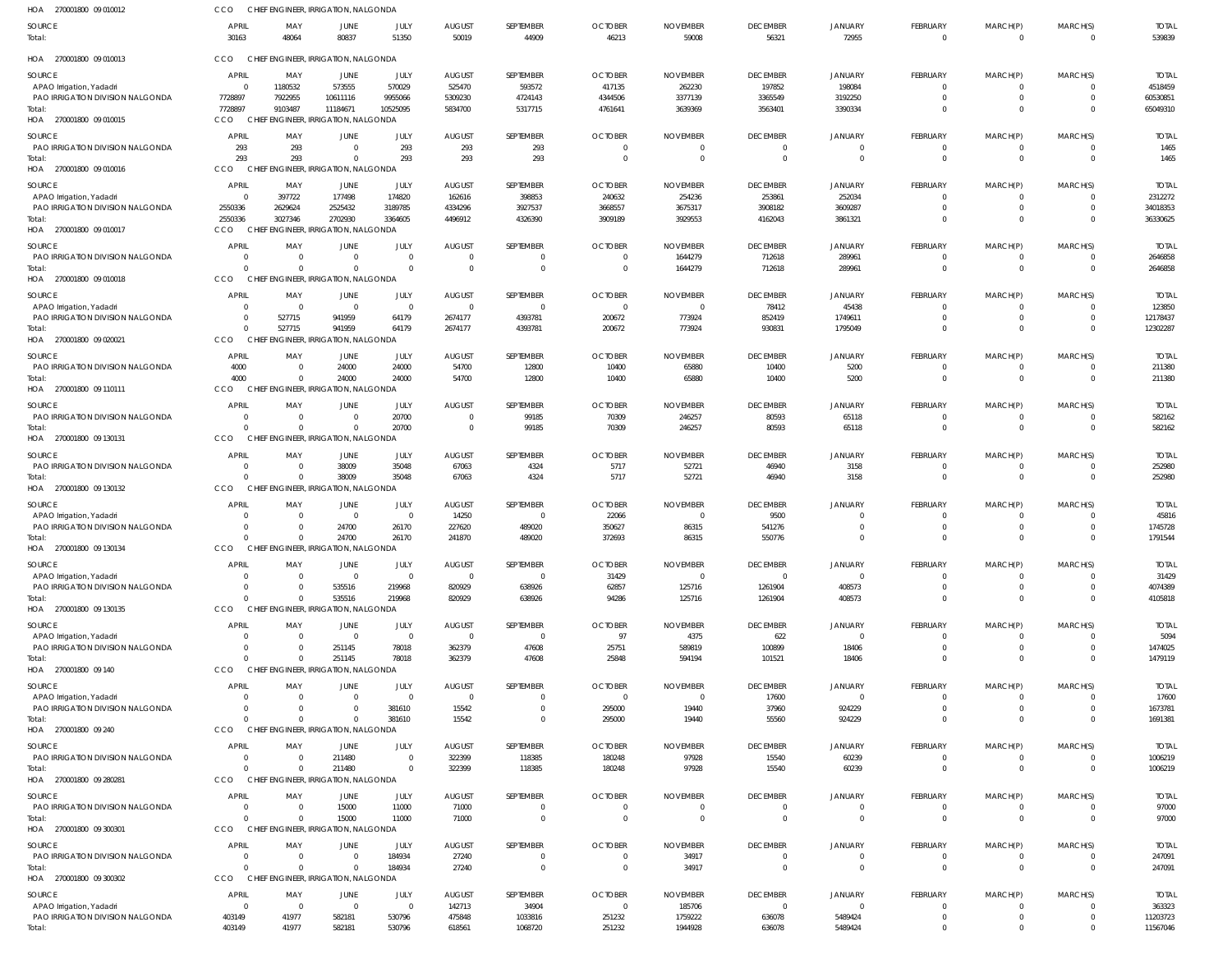| HOA 270001800 09 010012                                               | CCO                        | CHIEF ENGINEER, IRRIGATION, NALGONDA                       |                                |                      |                            |                         |                                  |                           |                                  |                            |                            |                              |                      |                         |
|-----------------------------------------------------------------------|----------------------------|------------------------------------------------------------|--------------------------------|----------------------|----------------------------|-------------------------|----------------------------------|---------------------------|----------------------------------|----------------------------|----------------------------|------------------------------|----------------------|-------------------------|
| SOURCE<br>Total:                                                      | <b>APRIL</b><br>30163      | MAY<br>48064                                               | JUNE<br>80837                  | JULY<br>51350        | <b>AUGUST</b><br>50019     | SEPTEMBER<br>44909      | <b>OCTOBER</b><br>46213          | <b>NOVEMBER</b><br>59008  | <b>DECEMBER</b><br>56321         | <b>JANUARY</b><br>72955    | FEBRUARY<br>$\mathbf 0$    | MARCH(P)<br>$\mathbf 0$      | MARCH(S)<br>$\Omega$ | <b>TOTAL</b><br>539839  |
| HOA 270001800 09 010013                                               | CCO                        | CHIEF ENGINEER, IRRIGATION, NALGONDA                       |                                |                      |                            |                         |                                  |                           |                                  |                            |                            |                              |                      |                         |
| SOURCE<br>APAO Irrigation, Yadadri                                    | <b>APRIL</b><br>$\Omega$   | MAY<br>1180532                                             | JUNE<br>573555                 | JULY<br>570029       | <b>AUGUST</b><br>525470    | SEPTEMBER<br>593572     | <b>OCTOBER</b><br>417135         | <b>NOVEMBER</b><br>262230 | <b>DECEMBER</b><br>197852        | <b>JANUARY</b><br>198084   | FEBRUARY<br>-0             | MARCH(P)<br>-0               | MARCH(S)             | <b>TOTAI</b><br>4518459 |
| PAO IRRIGATION DIVISION NALGONDA<br>Total:<br>HOA 270001800 09 010015 | 7728897<br>7728897<br>CCO  | 7922955<br>9103487<br>CHIEF ENGINEER, IRRIGATION, NALGONDA | 10611116<br>11184671           | 9955066<br>10525095  | 5309230<br>5834700         | 4724143<br>5317715      | 4344506<br>4761641               | 3377139<br>3639369        | 3365549<br>3563401               | 3192250<br>3390334         | $\Omega$<br>$\Omega$       | $\mathbf 0$<br>$\Omega$      | $\Omega$<br>$\Omega$ | 60530851<br>65049310    |
| SOURCE                                                                | <b>APRIL</b>               | MAY                                                        | JUNE                           | JULY                 | <b>AUGUST</b>              | SEPTEMBER               | <b>OCTOBER</b>                   | <b>NOVEMBER</b>           | <b>DECEMBER</b>                  | <b>JANUARY</b>             | FEBRUARY                   | MARCH(P)                     | MARCH(S)             | <b>TOTAL</b>            |
| PAO IRRIGATION DIVISION NALGONDA<br>Total:<br>HOA 270001800 09 010016 | 293<br>293<br>CCO          | 293<br>293<br>CHIEF ENGINEER, IRRIGATION, NALGONDA         | $\Omega$<br>$\Omega$           | 293<br>293           | 293<br>293                 | 293<br>293              | $\overline{0}$<br>$\overline{0}$ | - 0<br>$\overline{0}$     | $\Omega$<br>$\overline{0}$       | $\Omega$<br>$\Omega$       | $\mathbf 0$<br>$\mathbf 0$ | $^{\circ}$<br>$\overline{0}$ | $\Omega$<br>$\Omega$ | 1465<br>1465            |
| SOURCE                                                                | <b>APRIL</b>               | MAY                                                        | JUNE                           | JULY                 | <b>AUGUST</b>              | SEPTEMBER               | <b>OCTOBER</b>                   | <b>NOVEMBER</b>           | <b>DECEMBER</b>                  | <b>JANUARY</b>             | FEBRUARY                   | MARCH(P)                     | MARCH(S)             | <b>TOTAI</b>            |
| APAO Irrigation, Yadadri                                              | $\Omega$                   | 397722                                                     | 177498                         | 174820               | 162616                     | 398853                  | 240632                           | 254236                    | 253861                           | 252034                     | $\Omega$                   | -0                           | $\Omega$             | 2312272                 |
| PAO IRRIGATION DIVISION NALGONDA<br>Total:                            | 2550336<br>2550336         | 2629624<br>3027346                                         | 2525432<br>2702930             | 3189785<br>3364605   | 4334296<br>4496912         | 3927537<br>4326390      | 3668557<br>3909189               | 3675317<br>3929553        | 3908182<br>4162043               | 3609287<br>3861321         | $\Omega$<br>$\Omega$       | $\mathbf 0$<br>$\Omega$      | $\Omega$<br>$\Omega$ | 34018353<br>36330625    |
| HOA 270001800 09 010017                                               | CCO                        | CHIEF ENGINEER, IRRIGATION, NALGONDA                       |                                |                      |                            |                         |                                  |                           |                                  |                            |                            |                              |                      |                         |
| <b>SOURCE</b>                                                         | APRIL                      | MAY                                                        | JUNE                           | JULY                 | <b>AUGUST</b>              | SEPTEMBER               | <b>OCTOBER</b>                   | <b>NOVEMBER</b>           | <b>DECEMBER</b>                  | <b>JANUARY</b>             | FEBRUARY                   | MARCH(P)                     | MARCH(S)             | <b>TOTAL</b>            |
| PAO IRRIGATION DIVISION NALGONDA                                      | $\Omega$<br>$\Omega$       | $\overline{0}$<br>$\Omega$                                 | $\Omega$<br>$\Omega$           | $\Omega$<br>$\Omega$ | $\overline{0}$<br>$\Omega$ | 0<br>$\Omega$           | $\overline{0}$                   | 1644279                   | 712618                           | 289961                     | $\mathbf 0$                | $^{\circ}$                   | $\Omega$             | 2646858                 |
| Total:<br>HOA 270001800 09 010018                                     | CCO                        | CHIEF ENGINEER, IRRIGATION, NALGONDA                       |                                |                      |                            |                         | $\overline{0}$                   | 1644279                   | 712618                           | 289961                     | $\mathbf 0$                | $\mathbf 0$                  | $\Omega$             | 2646858                 |
| SOURCE                                                                | APRIL                      | MAY                                                        | JUNE                           | JULY                 | <b>AUGUST</b>              | SEPTEMBER               | <b>OCTOBER</b>                   | <b>NOVEMBER</b>           | <b>DECEMBER</b>                  | <b>JANUARY</b>             | FEBRUARY                   | MARCH(P)                     | MARCH(S)             | <b>TOTAI</b>            |
| APAO Irrigation, Yadadri                                              | $\Omega$                   | - 0                                                        | $\Omega$                       | $\Omega$             | $\overline{0}$             | $\Omega$                | $\overline{0}$                   | $\Omega$                  | 78412                            | 45438                      | $\Omega$                   | $\Omega$                     |                      | 123850                  |
| PAO IRRIGATION DIVISION NALGONDA<br>Total:                            | $\Omega$<br>$\Omega$       | 527715<br>527715                                           | 941959<br>941959               | 64179<br>64179       | 2674177<br>2674177         | 4393781<br>4393781      | 200672<br>200672                 | 773924<br>773924          | 852419<br>930831                 | 1749611<br>1795049         | $\mathbf 0$<br>$\Omega$    | $\mathbf 0$<br>$\Omega$      | $\Omega$<br>$\Omega$ | 12178437<br>12302287    |
| HOA 270001800 09 020021                                               | CCO                        | CHIEI                                                      | ENGINEER, IRRIGATION, NALGONDA |                      |                            |                         |                                  |                           |                                  |                            |                            |                              |                      |                         |
| SOURCE                                                                | APRIL                      | MAY                                                        | JUNE                           | JULY                 | <b>AUGUST</b>              | SEPTEMBER               | <b>OCTOBER</b>                   | <b>NOVEMBER</b>           | <b>DECEMBER</b>                  | <b>JANUARY</b>             | FEBRUARY                   | MARCH(P)                     | MARCH(S)             | <b>TOTAL</b>            |
| PAO IRRIGATION DIVISION NALGONDA                                      | 4000                       | $\overline{0}$                                             | 24000                          | 24000                | 54700                      | 12800                   | 10400                            | 65880                     | 10400                            | 5200                       | $\mathbf 0$                | $^{\circ}$                   | $\Omega$             | 211380                  |
| Total:<br>HOA 270001800 09 110111                                     | 4000<br>CCO                | $\Omega$<br>CHIEF ENGINEER, IRRIGATION, NALGONDA           | 24000                          | 24000                | 54700                      | 12800                   | 10400                            | 65880                     | 10400                            | 5200                       | $\mathbf 0$                | $\mathbf 0$                  | $\Omega$             | 211380                  |
| SOURCE                                                                | APRIL                      | MAY                                                        | JUNE                           | JULY                 | <b>AUGUST</b>              | SEPTEMBER               | <b>OCTOBER</b>                   | <b>NOVEMBER</b>           | <b>DECEMBER</b>                  | <b>JANUARY</b>             | FEBRUARY                   | MARCH(P)                     | MARCH(S)             | <b>TOTAL</b>            |
| PAO IRRIGATION DIVISION NALGONDA                                      | $\Omega$                   | - 0                                                        | $\Omega$                       | 20700                | $\overline{0}$             | 99185                   | 70309                            | 246257                    | 80593                            | 65118                      | $\Omega$                   | -0                           |                      | 582162                  |
| Total:<br>HOA 270001800 09 130131                                     | $\Omega$<br>CCO            | $\Omega$<br>CHIEF ENGINEER, IRRIGATION, NALGONDA           |                                | 20700                | $\circ$                    | 99185                   | 70309                            | 246257                    | 80593                            | 65118                      | $\mathbf 0$                | $\mathbf 0$                  | $\overline{0}$       | 582162                  |
| SOURCE                                                                | APRIL                      | MAY                                                        | JUNE                           | JULY                 | <b>AUGUST</b>              | <b>SEPTEMBER</b>        | <b>OCTOBER</b>                   | <b>NOVEMBER</b>           | <b>DECEMBER</b>                  | <b>JANUARY</b>             | <b>FEBRUARY</b>            | MARCH(P)                     | MARCH(S)             | <b>TOTAL</b>            |
| PAO IRRIGATION DIVISION NALGONDA                                      | $\overline{0}$             | $\overline{\mathbf{0}}$                                    | 38009                          | 35048                | 67063                      | 4324                    | 5717                             | 52721                     | 46940                            | 3158                       | $^{\circ}$                 | -0                           |                      | 252980                  |
| Total:<br>HOA 270001800 09 130132                                     | $\Omega$<br>CCO            | $\Omega$<br>CHIEF ENGINEER, IRRIGATION, NALGONDA           | 38009                          | 35048                | 67063                      | 4324                    | 5717                             | 52721                     | 46940                            | 3158                       | $\mathbf 0$                | $\mathbf 0$                  | $\Omega$             | 252980                  |
|                                                                       |                            |                                                            |                                |                      |                            |                         |                                  |                           |                                  |                            |                            |                              |                      |                         |
| SOURCE<br>APAO Irrigation, Yadadri                                    | <b>APRIL</b>               | MAY<br>$\Omega$                                            | JUNE<br>$\Omega$               | JULY<br>$\Omega$     | <b>AUGUST</b><br>14250     | SEPTEMBER<br>0          | <b>OCTOBER</b><br>22066          | <b>NOVEMBER</b><br>- 0    | <b>DECEMBER</b><br>9500          | <b>JANUARY</b><br>$\Omega$ | FEBRUARY<br>$\Omega$       | MARCH(P)<br>$\Omega$         | MARCH(S)<br>$\Omega$ | <b>TOTAI</b><br>45816   |
| PAO IRRIGATION DIVISION NALGONDA                                      | $\Omega$                   | $\Omega$                                                   | 24700                          | 26170                | 227620                     | 489020                  | 350627                           | 86315                     | 541276                           |                            | $\Omega$                   | $\Omega$                     | $\Omega$             | 1745728                 |
| Total:<br>HOA 270001800 09 130134                                     | CCO                        | $\Omega$<br>CHIEF ENGINEER, IRRIGATION, NALGONDA           | 24700                          | 26170                | 241870                     | 489020                  | 372693                           | 86315                     | 550776                           | $\Omega$                   | $\Omega$                   | $\Omega$                     | $\Omega$             | 1791544                 |
| SOURCE                                                                | <b>APRIL</b>               | MAY                                                        | JUNE                           | JULY                 | <b>AUGUST</b>              | SEPTEMBER               | <b>OCTOBER</b>                   | <b>NOVEMBER</b>           | <b>DECEMBER</b>                  | JANUARY                    | FEBRUARY                   | MARCH(P)                     | MARCH(S)             | <b>TOTAL</b>            |
| APAO Irrigation, Yadadri<br>PAO IRRIGATION DIVISION NALGONDA          | $\Omega$<br>$\Omega$       | $\overline{\mathbf{0}}$<br>$\Omega$                        | $\Omega$<br>535516             | $\Omega$<br>219968   | $\overline{0}$<br>820929   | $\mathbf 0$<br>638926   | 31429<br>62857                   | $\Omega$<br>125716        | $\Omega$<br>1261904              | $\Omega$<br>408573         | $\mathbf 0$<br>$\mathbf 0$ | -0<br>$\mathbf 0$            | $\Omega$             | 31429<br>4074389        |
| Total:                                                                | $\Omega$                   | $\Omega$                                                   | 535516                         | 219968               | 820929                     | 638926                  | 94286                            | 125716                    | 1261904                          | 408573                     | $\mathbf 0$                | $\mathbf 0$                  | $\Omega$             | 4105818                 |
| HOA 270001800 09 130135                                               | CCO                        | CHIEF ENGINEER, IRRIGATION, NALGONDA                       |                                |                      |                            |                         |                                  |                           |                                  |                            |                            |                              |                      |                         |
| SOURCE                                                                | <b>APRIL</b>               | MAY                                                        | JUNE                           | JULY                 | <b>AUGUST</b>              | <b>SEPTEMBER</b>        | <b>OCTOBER</b>                   | <b>NOVEMBER</b>           | <b>DECEMBER</b>                  | <b>JANUARY</b>             | FEBRUARY                   | MARCH(P)                     | MARCH(S)             | <b>TOTAI</b>            |
| APAO Irrigation, Yadadri<br>PAO IRRIGATION DIVISION NALGONDA          | $\Omega$<br>$\Omega$       | $\overline{\mathbf{0}}$<br>$\Omega$                        | $\Omega$<br>251145             | $\Omega$<br>78018    | $\overline{0}$<br>362379   | $\Omega$<br>47608       | 97<br>25751                      | 4375<br>589819            | 622<br>100899                    | $\Omega$<br>18406          | -0<br>$\Omega$             | 0<br>$\mathbf 0$             | $\Omega$             | 5094<br>1474025         |
| Total:                                                                | $\Omega$                   |                                                            | 251145                         | 78018                | 362379                     | 47608                   | 25848                            | 594194                    | 101521                           | 18406                      | $\Omega$                   | $\Omega$                     | $\Omega$             | 1479119                 |
| HOA 270001800 09 140                                                  | CCO                        | CHIEF ENGINEER, IRRIGATION, NALGONDA                       |                                |                      |                            |                         |                                  |                           |                                  |                            |                            |                              |                      |                         |
| SOURCE                                                                | <b>APRIL</b>               | MAY                                                        | JUNE                           | JULY                 | <b>AUGUST</b>              | SEPTEMBER               | <b>OCTOBER</b>                   | <b>NOVEMBER</b>           | <b>DECEMBER</b>                  | <b>JANUARY</b>             | FEBRUARY                   | MARCH(P)                     | MARCH(S)             | <b>TOTAL</b>            |
| APAO Irrigation, Yadadri<br>PAO IRRIGATION DIVISION NALGONDA          | $\Omega$<br>$\Omega$       | $\Omega$<br>$\Omega$                                       | $\Omega$<br>$\Omega$           | $\Omega$<br>381610   | $\overline{0}$<br>15542    | $\Omega$<br>$\mathbf 0$ | $\overline{0}$<br>295000         | $\overline{0}$<br>19440   | 17600<br>37960                   | $\Omega$<br>924229         | $\mathbf 0$<br>$\mathbf 0$ | $^{\circ}$<br>$\mathbf 0$    | $\Omega$<br>$\Omega$ | 17600<br>1673781        |
| Total:                                                                | $\Omega$                   | $\Omega$                                                   | $\Omega$                       | 381610               | 15542                      | $\Omega$                | 295000                           | 19440                     | 55560                            | 924229                     | $\Omega$                   | $\Omega$                     | $\Omega$             | 1691381                 |
| HOA 270001800 09 240                                                  | CCO                        | CHIEF ENGINEER, IRRIGATION, NALGONDA                       |                                |                      |                            |                         |                                  |                           |                                  |                            |                            |                              |                      |                         |
| SOURCE                                                                | <b>APRIL</b>               | MAY                                                        | JUNE                           | JULY                 | <b>AUGUST</b>              | SEPTEMBER               | <b>OCTOBER</b>                   | <b>NOVEMBER</b>           | <b>DECEMBER</b>                  | <b>JANUARY</b>             | <b>FEBRUARY</b>            | MARCH(P)                     | MARCH(S)             | <b>TOTAI</b>            |
| PAO IRRIGATION DIVISION NALGONDA<br>Total:                            | $\Omega$<br>$\Omega$       | $\Omega$<br>$\Omega$                                       | 211480<br>211480               | $\Omega$<br>$\Omega$ | 322399<br>322399           | 118385<br>118385        | 180248<br>180248                 | 97928<br>97928            | 15540<br>15540                   | 60239<br>60239             | $\Omega$<br>$\mathbf 0$    | $\mathbf 0$<br>$\mathbf 0$   | $\Omega$<br>$\Omega$ | 1006219<br>1006219      |
| HOA 270001800 09 280281                                               | CCO                        | CHIEF ENGINEER, IRRIGATION, NALGONDA                       |                                |                      |                            |                         |                                  |                           |                                  |                            |                            |                              |                      |                         |
| <b>SOURCE</b>                                                         | APRIL                      | MAY                                                        | JUNE                           | JULY                 | <b>AUGUST</b>              | SEPTEMBER               | <b>OCTOBER</b>                   | <b>NOVEMBER</b>           | <b>DECEMBER</b>                  | <b>JANUARY</b>             | FEBRUARY                   | MARCH(P)                     | MARCH(S)             | <b>TOTAL</b>            |
| PAO IRRIGATION DIVISION NALGONDA                                      | $\overline{0}$<br>$\Omega$ | $\overline{\mathbf{0}}$<br>$\Omega$                        | 15000                          | 11000                | 71000                      | 0                       | $\overline{0}$                   | - 0                       | $\overline{0}$<br>$\overline{0}$ | $\overline{0}$             | $^{\circ}$                 | -0                           |                      | 97000                   |
| Total:<br>HOA 270001800 09 300301                                     | CCO                        | CHIEF ENGINEER, IRRIGATION, NALGONDA                       | 15000                          | 11000                | 71000                      | 0                       | $\overline{0}$                   | $\overline{0}$            |                                  | $\overline{0}$             | $\mathbf 0$                | $\mathbf 0$                  | $\Omega$             | 97000                   |
| SOURCE                                                                | APRIL                      | MAY                                                        | JUNE                           | JULY                 | <b>AUGUST</b>              | SEPTEMBER               | <b>OCTOBER</b>                   | <b>NOVEMBER</b>           | <b>DECEMBER</b>                  | <b>JANUARY</b>             | FEBRUARY                   | MARCH(P)                     | MARCH(S)             | <b>TOTAL</b>            |
| PAO IRRIGATION DIVISION NALGONDA                                      | $\Omega$                   | $\Omega$                                                   | $\Omega$                       | 184934               | 27240                      | 0                       | $\overline{0}$                   | 34917                     | $\Omega$                         | $\Omega$                   | $\Omega$                   | $\Omega$                     | $\Omega$             | 247091                  |
| Total:<br>HOA 270001800 09 300302                                     | $\Omega$<br>CCO            | $\Omega$<br>CHIEF ENGINEER, IRRIGATION, NALGONDA           | $\Omega$                       | 184934               | 27240                      | $\Omega$                | $\overline{0}$                   | 34917                     | $\overline{0}$                   | $\Omega$                   | $\mathbf 0$                | $\mathbf 0$                  | $\overline{0}$       | 247091                  |
| <b>SOURCE</b>                                                         | <b>APRIL</b>               | MAY                                                        | JUNE                           | JULY                 | <b>AUGUST</b>              | SEPTEMBER               | <b>OCTOBER</b>                   | <b>NOVEMBER</b>           | <b>DECEMBER</b>                  | <b>JANUARY</b>             | FEBRUARY                   | MARCH(P)                     | MARCH(S)             | <b>TOTAL</b>            |
| APAO Irrigation, Yadadri                                              | $\Omega$                   | $\overline{\mathbf{0}}$                                    | $\overline{0}$                 | $\Omega$             | 142713                     | 34904                   | $\overline{0}$                   | 185706                    | $\overline{0}$                   | $\Omega$                   | $\mathbf 0$                | $^{\circ}$                   |                      | 363323                  |
| PAO IRRIGATION DIVISION NALGONDA                                      | 403149                     | 41977                                                      | 582181                         | 530796               | 475848                     | 1033816                 | 251232                           | 1759222                   | 636078                           | 5489424                    | $\mathbf 0$                | $\mathbf 0$                  | $\Omega$             | 11203723                |
| Total:                                                                | 403149                     | 41977                                                      | 582181                         | 530796               | 618561                     | 1068720                 | 251232                           | 1944928                   | 636078                           | 5489424                    | $\mathbf 0$                | $\Omega$                     | $\Omega$             | 11567046                |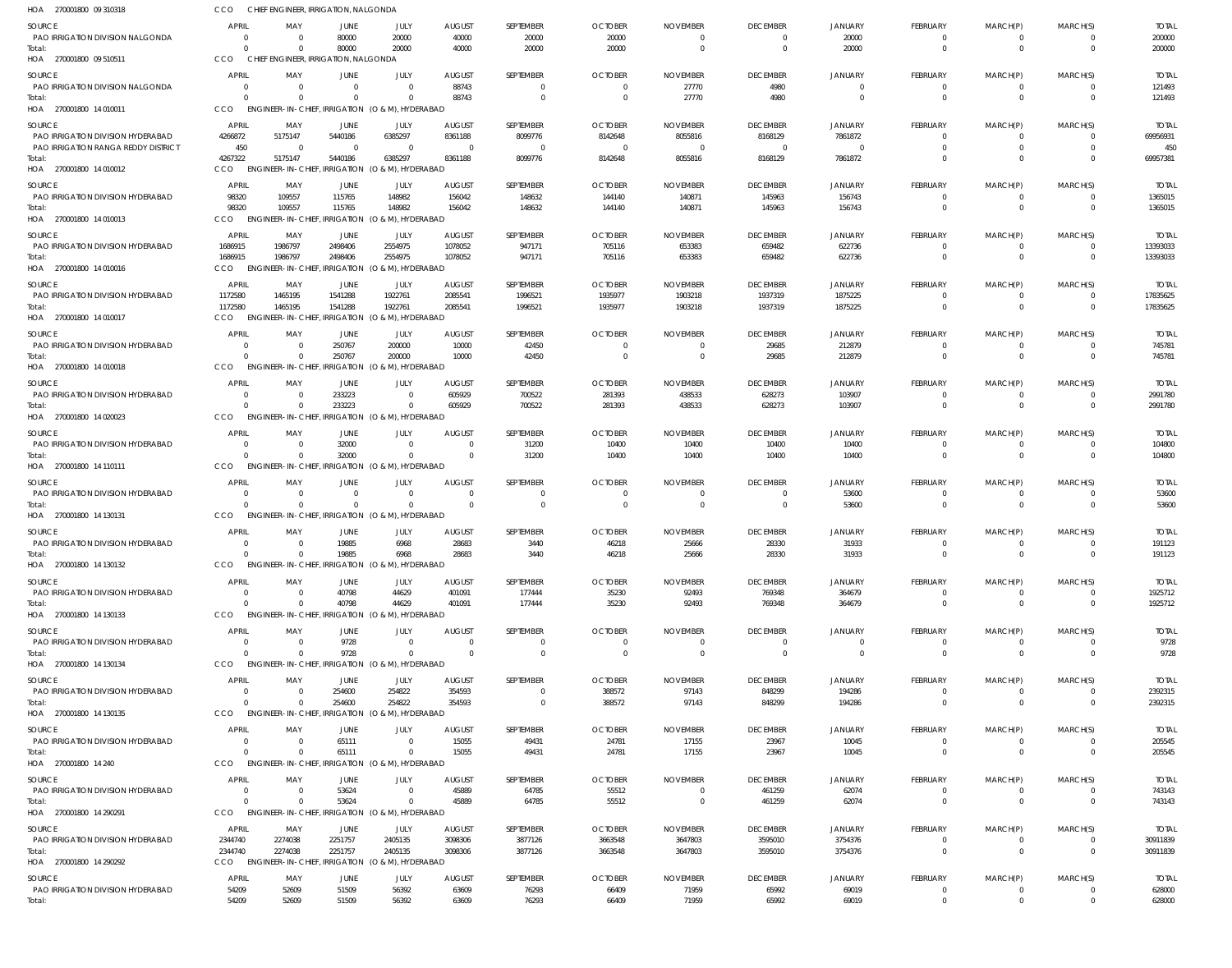| HOA 270001800 09 310318                            | CCO                            | CHIEF ENGINEER, IRRIGATION, NALGONDA                         |                               |                            |                                 |                             |                                  |                                   |                            |                                  |                                   |                                  |                              |                          |
|----------------------------------------------------|--------------------------------|--------------------------------------------------------------|-------------------------------|----------------------------|---------------------------------|-----------------------------|----------------------------------|-----------------------------------|----------------------------|----------------------------------|-----------------------------------|----------------------------------|------------------------------|--------------------------|
| <b>SOURCE</b>                                      | <b>APRIL</b>                   | MAY                                                          | <b>JUNE</b>                   | JULY                       | <b>AUGUST</b>                   | SEPTEMBER                   | <b>OCTOBER</b>                   | <b>NOVEMBER</b>                   | <b>DECEMBER</b>            | <b>JANUARY</b>                   | <b>FEBRUARY</b>                   | MARCH(P)                         | MARCH(S)                     | <b>TOTAL</b>             |
| PAO IRRIGATION DIVISION NALGONDA                   | $\Omega$                       | - 0                                                          | 80000                         | 20000                      | 40000                           | 20000                       | 20000                            | - 0                               |                            | 20000                            | $\Omega$                          | $\overline{0}$                   | $\mathbf{0}$                 | 200000                   |
| Total:<br>HOA 270001800 09 510511                  | $\Omega$<br>CCO                | $\Omega$<br>CHIEF ENGINEER, IRRIGATION, NALGONDA             | 80000                         | 20000                      | 40000                           | 20000                       | 20000                            | $\overline{0}$                    | $\mathbf{0}$               | 20000                            | $\mathbf{0}$                      | $\overline{0}$                   | $\mathbf{0}$                 | 200000                   |
|                                                    |                                |                                                              |                               |                            |                                 |                             |                                  |                                   |                            |                                  |                                   |                                  |                              |                          |
| <b>SOURCE</b><br>PAO IRRIGATION DIVISION NALGONDA  | <b>APRIL</b><br>$\Omega$       | MAY<br>$\overline{0}$                                        | <b>JUNE</b><br>$\overline{0}$ | JULY<br>$\Omega$           | <b>AUGUST</b><br>88743          | SEPTEMBER<br>$\overline{0}$ | <b>OCTOBER</b><br>$\overline{0}$ | <b>NOVEMBER</b><br>27770          | <b>DECEMBER</b><br>4980    | <b>JANUARY</b><br>$\overline{0}$ | FEBRUARY<br>$\overline{0}$        | MARCH(P)<br>$\overline{0}$       | MARCH(S)<br>$\overline{0}$   | <b>TOTAL</b><br>121493   |
| Total:                                             | $\Omega$                       | $\Omega$                                                     | $\Omega$                      | $\cap$                     | 88743                           | $\overline{0}$              | $\overline{\mathbf{0}}$          | 27770                             | 4980                       | $\mathbf 0$                      | $\overline{0}$                    | $\overline{0}$                   | $\mathbf 0$                  | 121493                   |
| HOA 270001800 14 010011                            | CCO                            | ENGINEER-IN-CHIEF, IRRIGATION (O & M), HYDERABAD             |                               |                            |                                 |                             |                                  |                                   |                            |                                  |                                   |                                  |                              |                          |
| SOURCE                                             | APRIL                          | MAY                                                          | JUNE                          | JULY                       | <b>AUGUST</b>                   | SEPTEMBER                   | <b>OCTOBER</b>                   | <b>NOVEMBER</b>                   | <b>DECEMBER</b>            | JANUARY                          | FEBRUARY                          | MARCH(P)                         | MARCH(S)                     | <b>TOTAL</b>             |
| PAO IRRIGATION DIVISION HYDERABAD                  | 4266872                        | 5175147                                                      | 5440186                       | 6385297                    | 8361188                         | 8099776                     | 8142648                          | 8055816                           | 8168129                    | 7861872                          | $\Omega$                          | $\Omega$                         | $\Omega$                     | 69956931                 |
| PAO IRRIGATION RANGA REDDY DISTRICT                | 450                            | - 0                                                          | $\overline{0}$                | $\Omega$                   | $\overline{0}$                  | $\overline{0}$              | $\overline{\mathbf{0}}$          | $\overline{0}$                    | $\Omega$                   | $\Omega$                         | $\Omega$                          | $\Omega$                         | $\mathbf{0}$                 | 450                      |
| Total:                                             | 4267322                        | 5175147                                                      | 5440186                       | 6385297                    | 8361188                         | 8099776                     | 8142648                          | 8055816                           | 8168129                    | 7861872                          | $\Omega$                          | $\Omega$                         | $\Omega$                     | 69957381                 |
| HOA 270001800 14 010012                            | CCO                            | ENGINEER-IN-CHIEF, IRRIGATION (O & M), HYDERABAD             |                               |                            |                                 |                             |                                  |                                   |                            |                                  |                                   |                                  |                              |                          |
| SOURCE                                             | APRIL                          | MAY                                                          | JUNE                          | JULY                       | <b>AUGUST</b>                   | SEPTEMBER                   | <b>OCTOBER</b>                   | <b>NOVEMBER</b>                   | <b>DECEMBER</b>            | <b>JANUARY</b>                   | FEBRUARY                          | MARCH(P)                         | MARCH(S)                     | <b>TOTAL</b>             |
| PAO IRRIGATION DIVISION HYDERABAD                  | 98320                          | 109557                                                       | 115765                        | 148982                     | 156042                          | 148632                      | 144140                           | 140871                            | 145963                     | 156743                           | $\overline{0}$                    | $\overline{0}$                   | $\overline{0}$               | 1365015                  |
| Total:<br>HOA 270001800 14 010013                  | 98320<br>CCO                   | 109557<br>ENGINEER-IN-CHIEF, IRRIGATION (O & M), HYDERABAD   | 115765                        | 148982                     | 156042                          | 148632                      | 144140                           | 140871                            | 145963                     | 156743                           | $\overline{0}$                    | $\overline{0}$                   | $\overline{0}$               | 1365015                  |
|                                                    |                                |                                                              |                               |                            |                                 |                             |                                  |                                   |                            |                                  |                                   |                                  |                              |                          |
| SOURCE                                             | APRIL                          | MAY                                                          | <b>JUNE</b>                   | JULY                       | <b>AUGUST</b>                   | SEPTEMBER                   | <b>OCTOBER</b>                   | <b>NOVEMBER</b>                   | <b>DECEMBER</b>            | <b>JANUARY</b>                   | <b>FEBRUARY</b>                   | MARCH(P)                         | MARCH(S)                     | <b>TOTAL</b>             |
| PAO IRRIGATION DIVISION HYDERABAD<br>Total:        | 1686915<br>1686915             | 1986797<br>1986797                                           | 2498406<br>2498406            | 2554975<br>2554975         | 1078052<br>1078052              | 947171<br>947171            | 705116<br>705116                 | 653383<br>653383                  | 659482<br>659482           | 622736<br>622736                 | $\Omega$<br>$\overline{0}$        | $\overline{0}$<br>$\overline{0}$ | $\mathbf 0$<br>$\mathbf{0}$  | 13393033<br>13393033     |
| HOA 270001800 14 010016                            | CCO                            | ENGINEER-IN-CHIEF, IRRIGATION (O & M), HYDERABAD             |                               |                            |                                 |                             |                                  |                                   |                            |                                  |                                   |                                  |                              |                          |
| <b>SOURCE</b>                                      | APRIL                          | MAY                                                          | JUNE                          | JULY                       | <b>AUGUST</b>                   | SEPTEMBER                   | <b>OCTOBER</b>                   | <b>NOVEMBER</b>                   | <b>DECEMBER</b>            | <b>JANUARY</b>                   | <b>FEBRUARY</b>                   | MARCH(P)                         | MARCH(S)                     | <b>TOTAL</b>             |
| PAO IRRIGATION DIVISION HYDERABAD                  | 1172580                        | 1465195                                                      | 1541288                       | 1922761                    | 2085541                         | 1996521                     | 1935977                          | 1903218                           | 1937319                    | 1875225                          | $\overline{0}$                    |                                  | $\mathbf{0}$                 | 17835625                 |
| Total:                                             | 1172580                        | 1465195                                                      | 1541288                       | 1922761                    | 2085541                         | 1996521                     | 1935977                          | 1903218                           | 1937319                    | 1875225                          | $\overline{0}$                    | $\overline{0}$                   | $\mathbf{0}$                 | 17835625                 |
| HOA 270001800 14 010017                            | CCO                            | ENGINEER-IN-CHIEF, IRRIGATION (O & M), HYDERABAD             |                               |                            |                                 |                             |                                  |                                   |                            |                                  |                                   |                                  |                              |                          |
| <b>SOURCE</b>                                      | APRIL                          | MAY                                                          | JUNE                          | JULY                       | <b>AUGUST</b>                   | SEPTEMBER                   | <b>OCTOBER</b>                   | <b>NOVEMBER</b>                   | <b>DECEMBER</b>            | JANUARY                          | <b>FEBRUARY</b>                   | MARCH(P)                         | MARCH(S)                     | <b>TOTAL</b>             |
| PAO IRRIGATION DIVISION HYDERABAD                  | $\Omega$                       | - 0                                                          | 250767                        | 200000                     | 10000                           | 42450                       | $\overline{0}$                   | - 0                               | 29685                      | 212879                           | $\Omega$                          | $\overline{0}$                   | $\mathbf{0}$                 | 745781                   |
| Total:                                             | $\Omega$                       | $\Omega$                                                     | 250767                        | 200000                     | 10000                           | 42450                       | $\overline{0}$                   | $\overline{0}$                    | 29685                      | 212879                           | $\Omega$                          | $\Omega$                         | $\mathbf 0$                  | 745781                   |
| HOA 270001800 14 010018                            | CCO                            | ENGINEER-IN-CHIEF, IRRIGATION (O & M), HYDERABAD             |                               |                            |                                 |                             |                                  |                                   |                            |                                  |                                   |                                  |                              |                          |
| <b>SOURCE</b>                                      | <b>APRIL</b>                   | MAY                                                          | JUNE                          | JULY                       | <b>AUGUST</b>                   | SEPTEMBER                   | <b>OCTOBER</b>                   | <b>NOVEMBER</b>                   | <b>DECEMBER</b>            | <b>JANUARY</b>                   | <b>FEBRUARY</b>                   | MARCH(P)                         | MARCH(S)                     | <b>TOTAL</b>             |
| PAO IRRIGATION DIVISION HYDERABAD                  | $\Omega$                       | $\overline{0}$                                               | 233223                        | $\Omega$                   | 605929                          | 700522                      | 281393                           | 438533                            | 628273                     | 103907                           | $\overline{0}$                    | $\overline{0}$                   | $\overline{0}$               | 2991780                  |
| Total:                                             | $\Omega$<br>CCO                | $\Omega$<br>ENGINEER-IN-CHIEF, IRRIGATION (O & M), HYDERABAD | 233223                        | $\Omega$                   | 605929                          | 700522                      | 281393                           | 438533                            | 628273                     | 103907                           | $\overline{0}$                    | $\overline{0}$                   | $\mathbf 0$                  | 2991780                  |
| HOA 270001800 14 020023                            |                                |                                                              |                               |                            |                                 |                             |                                  |                                   |                            |                                  |                                   |                                  |                              |                          |
| SOURCE                                             | <b>APRIL</b>                   | MAY                                                          | <b>JUNE</b>                   | JULY                       | <b>AUGUST</b>                   | SEPTEMBER                   | <b>OCTOBER</b>                   | <b>NOVEMBER</b>                   | <b>DECEMBER</b>            | <b>JANUARY</b>                   | FEBRUARY                          | MARCH(P)                         | MARCH(S)                     | <b>TOTAL</b>             |
| PAO IRRIGATION DIVISION HYDERABAD<br>Total:        | $\Omega$<br>$\Omega$           | $\overline{0}$<br>$\Omega$                                   | 32000<br>32000                | $\overline{0}$<br>$\Omega$ | $\Omega$<br>$\overline{0}$      | 31200<br>31200              | 10400<br>10400                   | 10400<br>10400                    | 10400<br>10400             | 10400<br>10400                   | $\Omega$<br>$\overline{0}$        | $\Omega$<br>$\overline{0}$       | $\mathbf{0}$<br>$\mathbf{0}$ | 104800<br>104800         |
| HOA 270001800 14 110111                            | CCO                            | ENGINEER-IN-CHIEF, IRRIGATION (O & M), HYDERABAD             |                               |                            |                                 |                             |                                  |                                   |                            |                                  |                                   |                                  |                              |                          |
| <b>SOURCE</b>                                      | <b>APRIL</b>                   | MAY                                                          | <b>JUNE</b>                   | JULY                       | <b>AUGUST</b>                   | SEPTEMBER                   | <b>OCTOBER</b>                   | <b>NOVEMBER</b>                   | <b>DECEMBER</b>            | <b>JANUARY</b>                   | <b>FEBRUARY</b>                   | MARCH(P)                         | MARCH(S)                     | <b>TOTAL</b>             |
| PAO IRRIGATION DIVISION HYDERABAD                  | $\Omega$                       | $\overline{0}$                                               | $\overline{0}$                | - 0                        | $\overline{0}$                  | 0                           | $\overline{0}$                   | - 0                               |                            | 53600                            | $\overline{0}$                    | 0                                | $\mathbf{0}$                 | 53600                    |
| Total:                                             | $\Omega$                       | $\Omega$                                                     | $\Omega$                      | $\Omega$                   | $\Omega$                        | $\overline{0}$              | $\overline{0}$                   | $\overline{0}$                    | $\mathbf 0$                | 53600                            | $\overline{0}$                    | $\overline{0}$                   | $\mathbf 0$                  | 53600                    |
| HOA 270001800 14 130131                            | <b>CCO</b>                     | ENGINEER-IN-CHIEF, IRRIGATION (O & M), HYDERABAD             |                               |                            |                                 |                             |                                  |                                   |                            |                                  |                                   |                                  |                              |                          |
| <b>SOURCE</b>                                      | <b>APRIL</b>                   | MAY                                                          | <b>JUNE</b>                   | JULY                       | <b>AUGUST</b>                   | SEPTEMBER                   | <b>OCTOBER</b>                   | <b>NOVEMBER</b>                   | <b>DECEMBER</b>            | <b>JANUARY</b>                   | FEBRUARY                          | MARCH(P)                         | MARCH(S)                     | <b>TOTAL</b>             |
| PAO IRRIGATION DIVISION HYDERABAD                  | $\overline{0}$                 | $\overline{0}$                                               | 19885                         | 6968                       | 28683                           | 3440                        | 46218                            | 25666                             | 28330                      | 31933                            | $\Omega$                          | $\Omega$                         | $\Omega$                     | 191123                   |
| Total:                                             | $\overline{0}$                 | $\overline{0}$                                               | 19885                         | 6968                       | 28683                           | 3440                        | 46218                            | 25666                             | 28330                      | 31933                            | $\overline{0}$                    | $\overline{0}$                   | $\mathbf{0}$                 | 191123                   |
| HOA 270001800 14 130132                            | <b>CCO</b>                     | ENGINEER-IN-CHIEF, IRRIGATION (O & M), HYDERABAD             |                               |                            |                                 |                             |                                  |                                   |                            |                                  |                                   |                                  |                              |                          |
| <b>SOURCE</b>                                      | <b>APRIL</b>                   | MAY                                                          | JUNE                          | JULY                       | <b>AUGUST</b>                   | SEPTEMBER                   | <b>OCTOBER</b>                   | <b>NOVEMBER</b>                   | <b>DECEMBER</b>            | JANUARY                          | <b>FEBRUARY</b>                   | MARCH(P)                         | MARCH(S)                     | <b>TOTAL</b>             |
| PAO IRRIGATION DIVISION HYDERABAD                  | $\Omega$                       | $\overline{0}$                                               | 40798                         | 44629                      | 401091                          | 177444                      | 35230                            | 92493                             | 769348                     | 364679                           | $\overline{0}$                    | $\overline{0}$                   | $\overline{0}$               | 1925712                  |
| Total:<br>HOA 270001800 14 130133                  | $\Omega$<br>CCO                | - 0<br>ENGINEER-IN-CHIEF, IRRIGATION (O & M), HYDERABAD      | 40798                         | 44629                      | 401091                          | 177444                      | 35230                            | 92493                             | 769348                     | 364679                           | $\overline{0}$                    | $\overline{0}$                   | $\overline{0}$               | 1925712                  |
|                                                    |                                |                                                              |                               |                            |                                 |                             |                                  |                                   |                            |                                  |                                   |                                  |                              |                          |
| SOURCE<br>PAO IRRIGATION DIVISION HYDERABAD        | <b>APRIL</b><br>$\overline{0}$ | MAY<br>$\overline{0}$                                        | <b>JUNE</b><br>9728           | JULY<br>$\Omega$           | <b>AUGUST</b><br>$\overline{0}$ | SEPTEMBER<br>$\overline{0}$ | <b>OCTOBER</b><br>$\overline{0}$ | <b>NOVEMBER</b><br>$\overline{0}$ | <b>DECEMBER</b><br>- 0     | <b>JANUARY</b><br>-0             | FEBRUARY<br>$\overline{0}$        | MARCH(P)<br>- 0                  | MARCH(S)<br>$\mathbf{0}$     | <b>TOTAL</b><br>9728     |
| Total:                                             | $\Omega$                       | $\overline{0}$                                               | 9728                          | $\Omega$                   | $\overline{0}$                  | $\overline{0}$              | $\overline{\mathbf{0}}$          | $\overline{0}$                    | $\mathbf{0}$               | $\mathbf 0$                      | $\overline{0}$                    | $\overline{0}$                   | $\mathbf{0}$                 | 9728                     |
| HOA 270001800 14 130134                            | CCO                            | ENGINEER-IN-CHIEF, IRRIGATION (O & M), HYDERABAD             |                               |                            |                                 |                             |                                  |                                   |                            |                                  |                                   |                                  |                              |                          |
| <b>SOURCE</b>                                      | <b>APRIL</b>                   | MAY                                                          | JUNE                          | JULY                       | <b>AUGUST</b>                   | SEPTEMBER                   | <b>OCTOBER</b>                   | <b>NOVEMBER</b>                   | <b>DECEMBER</b>            | <b>JANUARY</b>                   | <b>FEBRUARY</b>                   | MARCH(P)                         | MARCH(S)                     | <b>TOTAL</b>             |
| PAO IRRIGATION DIVISION HYDERABAD                  | $\Omega$                       | $\overline{0}$                                               | 254600                        | 254822                     | 354593                          | $\overline{0}$              | 388572                           | 97143                             | 848299                     | 194286                           | $\overline{0}$                    |                                  | $\mathbf{0}$                 | 2392315                  |
| Total:                                             | $\Omega$                       | $\overline{0}$                                               | 254600                        | 254822                     | 354593                          | $\overline{0}$              | 388572                           | 97143                             | 848299                     | 194286                           | $\overline{0}$                    | $\overline{0}$                   | $\mathbf{0}$                 | 2392315                  |
| HOA 270001800 14 130135                            | CCO                            | ENGINEER-IN-CHIEF, IRRIGATION (O & M), HYDERABAD             |                               |                            |                                 |                             |                                  |                                   |                            |                                  |                                   |                                  |                              |                          |
| SOURCE                                             | <b>APRIL</b>                   | MAY                                                          | JUNE                          | JULY                       | <b>AUGUST</b>                   | SEPTEMBER                   | <b>OCTOBER</b>                   | <b>NOVEMBER</b>                   | <b>DECEMBER</b>            | <b>JANUARY</b>                   | <b>FEBRUARY</b>                   | MARCH(P)                         | MARCH(S)                     | <b>TOTAL</b>             |
| PAO IRRIGATION DIVISION HYDERABAD                  | $\Omega$                       | $\overline{0}$                                               | 65111                         | $\Omega$                   | 15055                           | 49431                       | 24781                            | 17155                             | 23967                      | 10045                            | $\mathbf{0}$                      | $\overline{0}$                   | $\mathbf{0}$                 | 205545                   |
| Total:                                             | $\Omega$                       | $\Omega$                                                     | 65111                         | $\Omega$                   | 15055                           | 49431                       | 24781                            | 17155                             | 23967                      | 10045                            | $\mathbf{0}$                      | $\overline{0}$                   | $\overline{0}$               | 205545                   |
| HOA 270001800 14 240                               | CCO                            | ENGINEER-IN-CHIEF, IRRIGATION (O & M), HYDERABAD             |                               |                            |                                 |                             |                                  |                                   |                            |                                  |                                   |                                  |                              |                          |
| SOURCE                                             | <b>APRIL</b>                   | MAY                                                          | JUNE                          | JULY                       | <b>AUGUST</b>                   | SEPTEMBER                   | <b>OCTOBER</b>                   | <b>NOVEMBER</b>                   | <b>DECEMBER</b>            | <b>JANUARY</b>                   | <b>FEBRUARY</b>                   | MARCH(P)                         | MARCH(S)                     | <b>TOTAL</b>             |
| PAO IRRIGATION DIVISION HYDERABAD                  | $\overline{0}$                 | $\overline{0}$                                               | 53624                         | $\Omega$                   | 45889                           | 64785                       | 55512                            | $\overline{0}$                    | 461259                     | 62074                            | $\overline{0}$                    | $\overline{0}$                   | $\overline{0}$               | 743143                   |
| Total:<br>HOA 270001800 14 290291                  | $\Omega$<br>CCO                | $\Omega$<br>ENGINEER-IN-CHIEF, IRRIGATION (O & M), HYDERABAD | 53624                         | $\Omega$                   | 45889                           | 64785                       | 55512                            | $\overline{0}$                    | 461259                     | 62074                            | $\mathbf{0}$                      | $\overline{0}$                   | $\overline{0}$               | 743143                   |
|                                                    |                                |                                                              |                               |                            |                                 |                             |                                  |                                   |                            |                                  |                                   |                                  |                              |                          |
| <b>SOURCE</b><br>PAO IRRIGATION DIVISION HYDERABAD | APRIL<br>2344740               | MAY<br>2274038                                               | JUNE<br>2251757               | JULY<br>2405135            | <b>AUGUST</b><br>3098306        | SEPTEMBER<br>3877126        | <b>OCTOBER</b><br>3663548        | <b>NOVEMBER</b><br>3647803        | <b>DECEMBER</b><br>3595010 | <b>JANUARY</b><br>3754376        | <b>FEBRUARY</b><br>$\overline{0}$ | MARCH(P)<br>$\Omega$             | MARCH(S)<br>$^{\circ}$       | <b>TOTAL</b><br>30911839 |
| Total:                                             | 2344740                        | 2274038                                                      | 2251757                       | 2405135                    | 3098306                         | 3877126                     | 3663548                          | 3647803                           | 3595010                    | 3754376                          | $\overline{0}$                    | $\overline{0}$                   | $\mathbf{0}$                 | 30911839                 |
| HOA 270001800 14 290292                            | CCO                            | ENGINEER-IN-CHIEF, IRRIGATION (O & M), HYDERABAD             |                               |                            |                                 |                             |                                  |                                   |                            |                                  |                                   |                                  |                              |                          |
| <b>SOURCE</b>                                      | <b>APRIL</b>                   | MAY                                                          | JUNE                          | JULY                       | <b>AUGUST</b>                   | SEPTEMBER                   | <b>OCTOBER</b>                   | <b>NOVEMBER</b>                   | <b>DECEMBER</b>            | <b>JANUARY</b>                   | FEBRUARY                          | MARCH(P)                         | MARCH(S)                     | <b>TOTAL</b>             |
| PAO IRRIGATION DIVISION HYDERABAD                  | 54209                          | 52609                                                        | 51509                         | 56392                      | 63609                           | 76293                       | 66409                            | 71959                             | 65992                      | 69019                            | $\overline{0}$                    |                                  | $\mathbf{0}$                 | 628000                   |
| Total:                                             | 54209                          | 52609                                                        | 51509                         | 56392                      | 63609                           | 76293                       | 66409                            | 71959                             | 65992                      | 69019                            | $\overline{0}$                    | $\mathbf{0}$                     | $\overline{0}$               | 628000                   |
|                                                    |                                |                                                              |                               |                            |                                 |                             |                                  |                                   |                            |                                  |                                   |                                  |                              |                          |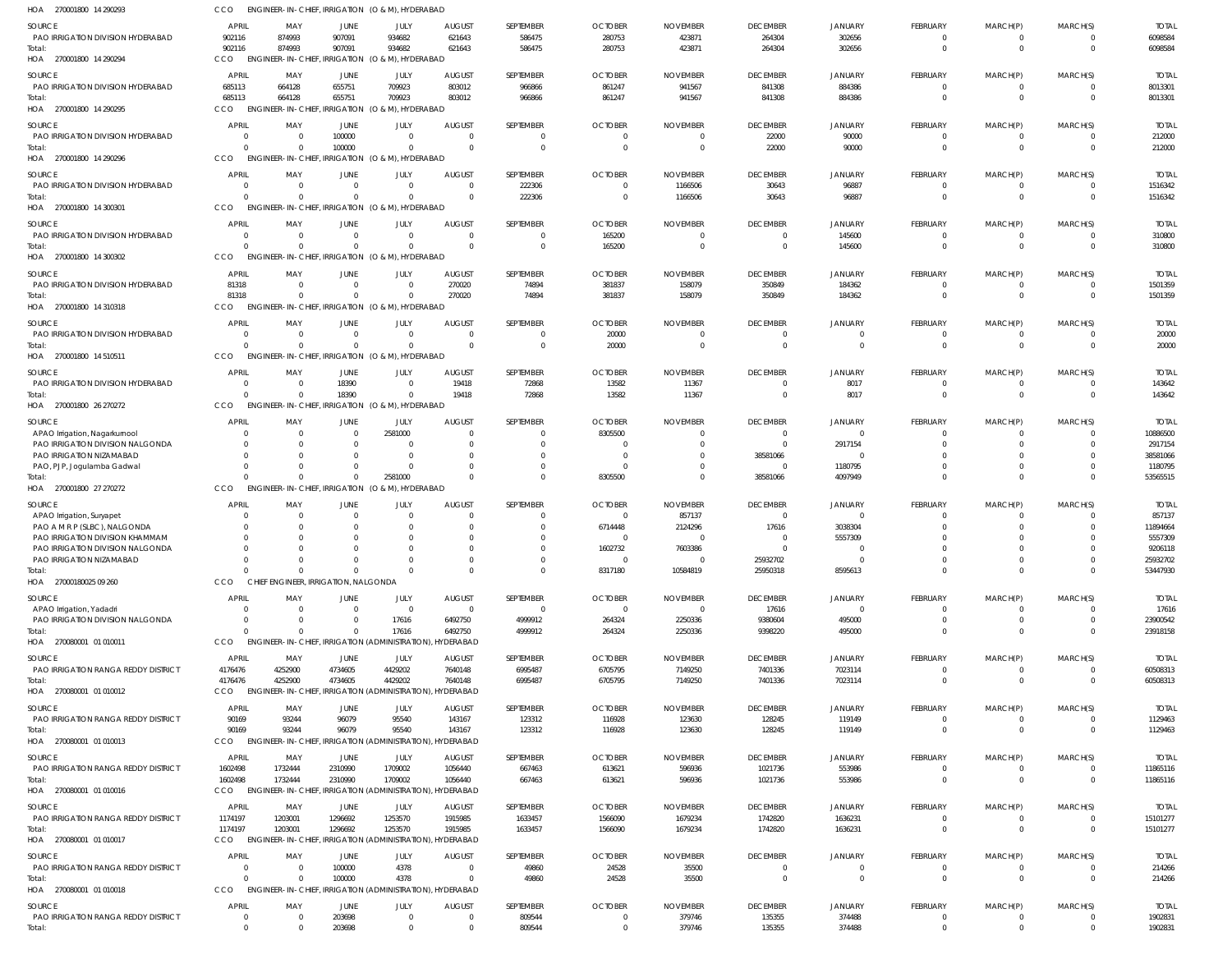| HOA 270001800 14 290293                                      |                             |                           | ENGINEER-IN-CHIEF, IRRIGATION (O & M), HYDERABAD                    |                               |                           |                             |                                  |                           |                            |                          |                                  |                                |                                  |                          |
|--------------------------------------------------------------|-----------------------------|---------------------------|---------------------------------------------------------------------|-------------------------------|---------------------------|-----------------------------|----------------------------------|---------------------------|----------------------------|--------------------------|----------------------------------|--------------------------------|----------------------------------|--------------------------|
| <b>SOURCE</b>                                                | <b>APRIL</b>                | MAY                       | <b>JUNE</b>                                                         | JULY                          | <b>AUGUST</b>             | SEPTEMBER                   | <b>OCTOBER</b>                   | <b>NOVEMBER</b>           | <b>DECEMBER</b>            | <b>JANUARY</b>           | FEBRUARY                         | MARCH(P)                       | MARCH(S)                         | <b>TOTAL</b>             |
| PAO IRRIGATION DIVISION HYDERABAD                            | 902116                      | 874993                    | 907091                                                              | 934682                        | 621643                    | 586475                      | 280753                           | 423871                    | 264304                     | 302656                   | 0                                | $^{\circ}$                     | $\overline{\mathbf{0}}$          | 6098584                  |
| Total:                                                       | 902116                      | 874993                    | 907091                                                              | 934682                        | 621643                    | 586475                      | 280753                           | 423871                    | 264304                     | 302656                   | $\mathbf 0$                      | $\overline{0}$                 | $\overline{0}$                   | 6098584                  |
| HOA 270001800 14 290294                                      | CCO                         | <b>ENGINEER-IN-CHIEF,</b> |                                                                     | IRRIGATION (O & M), HYDERABAD |                           |                             |                                  |                           |                            |                          |                                  |                                |                                  |                          |
| SOURCE                                                       | <b>APRIL</b>                | MAY                       | JUNE                                                                | JULY                          | <b>AUGUST</b>             | SEPTEMBER                   | <b>OCTOBER</b>                   | <b>NOVEMBER</b>           | <b>DECEMBER</b>            | <b>JANUARY</b>           | FEBRUARY                         | MARCH(P)                       | MARCH(S)                         | <b>TOTAL</b>             |
| PAO IRRIGATION DIVISION HYDERABAD<br>Total:                  | 685113<br>685113            | 664128<br>664128          | 655751<br>655751                                                    | 709923<br>709923              | 803012<br>803012          | 966866<br>966866            | 861247<br>861247                 | 941567<br>941567          | 841308<br>841308           | 884386<br>884386         | $\overline{0}$<br>$\overline{0}$ | $\mathbf{0}$<br>$\overline{0}$ | $\overline{0}$<br>$\Omega$       | 8013301<br>8013301       |
| HOA 270001800 14 290295                                      | CCO                         |                           | ENGINEER-IN-CHIEF, IRRIGATION (O & M), HYDERABAD                    |                               |                           |                             |                                  |                           |                            |                          |                                  |                                |                                  |                          |
| SOURCE                                                       | <b>APRIL</b>                | MAY                       | <b>JUNE</b>                                                         | JULY                          | <b>AUGUST</b>             | SEPTEMBER                   | <b>OCTOBER</b>                   | <b>NOVEMBER</b>           | <b>DECEMBER</b>            | <b>JANUARY</b>           | FEBRUARY                         | MARCH(P)                       | MARCH(S)                         | <b>TOTAL</b>             |
| PAO IRRIGATION DIVISION HYDERABAD                            | $\Omega$                    | $\Omega$                  | 100000                                                              | $\mathbf{0}$                  | $\Omega$                  | $\mathbf{0}$                |                                  | - 0                       | 22000                      | 90000                    | 0                                | 0                              | $\overline{0}$                   | 212000                   |
| Total:                                                       | $\Omega$                    | $\Omega$                  | 100000                                                              | $\mathbf 0$                   | $\Omega$                  | $\overline{0}$              | $\Omega$                         | $\Omega$                  | 22000                      | 90000                    | $\mathbf 0$                      | $\mathbf{0}$                   | $\overline{0}$                   | 212000                   |
| HOA 270001800 14 290296                                      | CCO                         |                           | ENGINEER-IN-CHIEF, IRRIGATION (O & M), HYDERABAD                    |                               |                           |                             |                                  |                           |                            |                          |                                  |                                |                                  |                          |
| SOURCE                                                       | APRIL                       | MAY                       | <b>JUNE</b>                                                         | JULY                          | <b>AUGUST</b>             | SEPTEMBER                   | <b>OCTOBER</b>                   | <b>NOVEMBER</b>           | <b>DECEMBER</b>            | <b>JANUARY</b>           | FEBRUARY                         | MARCH(P)                       | MARCH(S)                         | <b>TOTAL</b>             |
| PAO IRRIGATION DIVISION HYDERABAD                            | $\Omega$                    | $\Omega$                  | $\overline{0}$                                                      | $\mathbf{0}$                  | $\Omega$                  | 222306                      |                                  | 1166506                   | 30643                      | 96887                    | $\mathbf 0$                      | 0                              | $\overline{0}$                   | 1516342                  |
| Total:                                                       | $\Omega$                    | $\cap$                    | $\Omega$                                                            | $\Omega$                      | $\Omega$                  | 222306                      | $\Omega$                         | 1166506                   | 30643                      | 96887                    | $\overline{0}$                   | $\mathbf{0}$                   | $\overline{0}$                   | 1516342                  |
| HOA 270001800 14 300301                                      | <b>CCO</b>                  |                           | ENGINEER-IN-CHIEF, IRRIGATION (O & M), HYDERABAD                    |                               |                           |                             |                                  |                           |                            |                          |                                  |                                |                                  |                          |
| <b>SOURCE</b>                                                | <b>APRIL</b>                | MAY                       | <b>JUNE</b>                                                         | JULY                          | <b>AUGUST</b><br>$\Omega$ | SEPTEMBER                   | <b>OCTOBER</b>                   | <b>NOVEMBER</b>           | <b>DECEMBER</b>            | <b>JANUARY</b>           | FEBRUARY                         | MARCH(P)                       | MARCH(S)                         | <b>TOTAL</b>             |
| PAO IRRIGATION DIVISION HYDERABAD<br>Total:                  | 0<br>$\Omega$               | $\Omega$<br>$\cap$        | $\overline{0}$<br>$\Omega$                                          | $\mathbf{0}$<br>$\Omega$      | $\Omega$                  | $\mathbf{0}$<br>$\mathbf 0$ | 165200<br>165200                 | - 0<br>$\Omega$           | 0<br>$\overline{0}$        | 145600<br>145600         | 0<br>$\mathbf 0$                 | $\overline{0}$<br>$\mathbf{0}$ | $\overline{0}$<br>$\overline{0}$ | 310800<br>310800         |
| HOA 270001800 14 300302                                      | CCO                         |                           | ENGINEER-IN-CHIEF, IRRIGATION (O & M), HYDERABAD                    |                               |                           |                             |                                  |                           |                            |                          |                                  |                                |                                  |                          |
| SOURCE                                                       | <b>APRIL</b>                | MAY                       | JUNE                                                                | JULY                          | <b>AUGUST</b>             | SEPTEMBER                   | <b>OCTOBER</b>                   | <b>NOVEMBER</b>           | <b>DECEMBER</b>            | <b>JANUARY</b>           | FEBRUARY                         | MARCH(P)                       | MARCH(S)                         | <b>TOTAL</b>             |
| PAO IRRIGATION DIVISION HYDERABAD                            | 81318                       | $\Omega$                  | $\overline{0}$                                                      | $\mathbf{0}$                  | 270020                    | 74894                       | 381837                           | 158079                    | 350849                     | 184362                   | $\overline{0}$                   | $\mathbf{0}$                   | $\overline{0}$                   | 1501359                  |
| Total:                                                       | 81318                       | $\cap$                    | $\Omega$                                                            | $\Omega$                      | 270020                    | 74894                       | 381837                           | 158079                    | 350849                     | 184362                   | $\overline{0}$                   | $\overline{0}$                 | $\overline{0}$                   | 1501359                  |
| HOA 270001800 14 310318                                      | CCO                         |                           | ENGINEER-IN-CHIEF, IRRIGATION (O & M), HYDERABAD                    |                               |                           |                             |                                  |                           |                            |                          |                                  |                                |                                  |                          |
| SOURCE                                                       | <b>APRIL</b>                | MAY                       | <b>JUNE</b>                                                         | JULY                          | <b>AUGUST</b>             | SEPTEMBER                   | <b>OCTOBER</b>                   | <b>NOVEMBER</b>           | <b>DECEMBER</b>            | <b>JANUARY</b>           | FEBRUARY                         | MARCH(P)                       | MARCH(S)                         | <b>TOTAL</b>             |
| PAO IRRIGATION DIVISION HYDERABAD                            | $\Omega$                    | $\Omega$                  | $\overline{0}$                                                      | $\Omega$                      | $\Omega$                  | $\mathbf 0$                 | 20000                            | - 0                       | $\overline{0}$             |                          | 0                                | 0                              | $\overline{0}$                   | 20000                    |
| Total:                                                       | $\Omega$                    | $\cap$                    | $\Omega$                                                            | $\Omega$                      | $\Omega$                  | $\mathbf{0}$                | 20000                            | - 0                       | $\overline{0}$             | $\Omega$                 | $\mathbf 0$                      | $\overline{0}$                 | $\overline{0}$                   | 20000                    |
| HOA 270001800 14 510511                                      | CCO                         |                           | ENGINEER-IN-CHIEF, IRRIGATION (O & M), HYDERABAD                    |                               |                           |                             |                                  |                           |                            |                          |                                  |                                |                                  |                          |
| SOURCE                                                       | APRIL                       | MAY                       | <b>JUNE</b>                                                         | JULY                          | <b>AUGUST</b>             | SEPTEMBER                   | <b>OCTOBER</b>                   | <b>NOVEMBER</b>           | <b>DECEMBER</b>            | JANUARY                  | FEBRUARY                         | MARCH(P)                       | MARCH(S)                         | <b>TOTAL</b>             |
| PAO IRRIGATION DIVISION HYDERABAD                            | 0                           | $\Omega$                  | 18390                                                               | $\overline{0}$                | 19418                     | 72868                       | 13582                            | 11367                     | $\mathbf{0}$               | 8017                     | $\mathbf 0$                      | 0                              | $\Omega$                         | 143642                   |
| Total:<br>HOA 270001800 26 270272                            | $\Omega$<br>CCO             | $\Omega$                  | 18390<br>ENGINEER-IN-CHIEF, IRRIGATION (O & M), HYDERABAD           | $\mathbf{0}$                  | 19418                     | 72868                       | 13582                            | 11367                     | $\overline{0}$             | 8017                     | $\overline{0}$                   | $\overline{0}$                 | $\overline{0}$                   | 143642                   |
|                                                              |                             |                           |                                                                     |                               |                           |                             |                                  |                           |                            |                          |                                  |                                |                                  |                          |
| SOURCE<br>APAO Irrigation, Nagarkurnool                      | APRIL<br>-0                 | MAY                       | <b>JUNE</b><br>$\overline{0}$                                       | JULY<br>2581000               | <b>AUGUST</b>             | SEPTEMBER<br>$\mathbf{0}$   | <b>OCTOBER</b><br>8305500        | <b>NOVEMBER</b>           | <b>DECEMBER</b><br>0       | JANUARY<br>$\Omega$      | FEBRUARY<br>0                    | MARCH(P)<br>0                  | MARCH(S)<br>$\overline{0}$       | <b>TOTAL</b><br>10886500 |
| PAO IRRIGATION DIVISION NALGONDA                             | 0                           |                           | $\Omega$                                                            | $\Omega$                      | $\Omega$                  | $\Omega$                    |                                  |                           | $\Omega$                   | 2917154                  | $\Omega$                         | $\Omega$                       | $\Omega$                         | 2917154                  |
| PAO IRRIGATION NIZAMABAD                                     | 0                           |                           | $\Omega$                                                            | $\Omega$                      |                           | $\mathbf{0}$                | - 0                              |                           | 38581066                   |                          | 0                                | 0                              | $\Omega$                         | 38581066                 |
| PAO, PJP, Jogulamba Gadwal                                   | $\Omega$                    |                           | $\Omega$                                                            | $\Omega$                      |                           | $\mathbf 0$                 |                                  |                           | $\overline{0}$             | 1180795                  | $\mathbf 0$                      | $\mathbf 0$                    | $\Omega$                         | 1180795                  |
| Total:                                                       | $\Omega$                    | $\cap$                    | $\Omega$                                                            | 2581000                       | $\Omega$                  | $\mathbf 0$                 | 8305500                          |                           | 38581066                   | 4097949                  | $\mathbf 0$                      | $\mathbf 0$                    | $\Omega$                         | 53565515                 |
| HOA 270001800 27 270272                                      | CCO                         |                           | ENGINEER-IN-CHIEF, IRRIGATION (O & M), HYDERABAD                    |                               |                           |                             |                                  |                           |                            |                          |                                  |                                |                                  |                          |
| SOURCE                                                       | <b>APRIL</b>                | MAY                       | JUNE                                                                | JULY                          | <b>AUGUST</b>             | SEPTEMBER                   | <b>OCTOBER</b>                   | <b>NOVEMBER</b>           | <b>DECEMBER</b>            | JANUARY                  | FEBRUARY                         | MARCH(P)                       | MARCH(S)                         | <b>TOTAL</b>             |
| APAO Irrigation, Suryapet<br>PAO A M R P (SLBC), NALGONDA    | 0<br>0                      | - 0                       | $\overline{0}$<br>$\Omega$                                          | 0<br>$\Omega$                 |                           | $\mathbf{0}$<br>$\mathbf 0$ | $\Omega$<br>6714448              | 857137<br>2124296         | $\overline{0}$<br>17616    | $\Omega$<br>3038304      | 0<br>$\mathbf 0$                 | $\Omega$<br>$\mathbf 0$        | $\Omega$<br>$\Omega$             | 857137<br>11894664       |
| PAO IRRIGATION DIVISION KHAMMAM                              | 0                           |                           | $\Omega$                                                            | $\Omega$                      |                           | $\mathbf{0}$                |                                  |                           | 0                          | 5557309                  | $\mathbf 0$                      | 0                              | $\Omega$                         | 5557309                  |
| PAO IRRIGATION DIVISION NALGONDA                             | $\Omega$                    |                           | $\Omega$                                                            | $\Omega$                      |                           | $\Omega$                    | 1602732                          | 7603386                   | $\Omega$                   | $\Omega$                 | $\Omega$                         | $\Omega$                       | $\Omega$                         | 9206118                  |
| PAO IRRIGATION NIZAMABAD                                     | 0                           |                           | 0                                                                   |                               |                           | $\mathbf{0}$                |                                  |                           | 25932702                   |                          | $\mathbf{0}$                     | $\mathbf 0$                    | $^{\circ}$                       | 25932702                 |
| Total:<br>HOA 27000180025 09 260                             | $\Omega$<br>CCO             | $\cap$                    | $\Omega$<br>CHIEF ENGINEER, IRRIGATION, NALGONDA                    | $\Omega$                      | $\Omega$                  | $\overline{0}$              | 8317180                          | 10584819                  | 25950318                   | 8595613                  | $\overline{0}$                   | $\overline{0}$                 | $\Omega$                         | 53447930                 |
|                                                              |                             |                           |                                                                     |                               |                           |                             |                                  |                           |                            |                          |                                  |                                |                                  |                          |
| SOURCE                                                       | <b>APRIL</b>                | MAY                       | <b>JUNE</b>                                                         | JULY                          | <b>AUGUST</b><br>$\Omega$ | SEPTEMBER                   | <b>OCTOBER</b>                   | <b>NOVEMBER</b>           | <b>DECEMBER</b>            | <b>JANUARY</b>           | FEBRUARY                         | MARCH(P)                       | MARCH(S)                         | <b>TOTAL</b>             |
| APAO Irrigation, Yadadri<br>PAO IRRIGATION DIVISION NALGONDA | $\Omega$<br>$\Omega$        | $\Omega$<br>$\Omega$      | $\Omega$<br>$\Omega$                                                | $\overline{0}$<br>17616       | 6492750                   | $\overline{0}$<br>4999912   | $\Omega$<br>264324               | $\Omega$<br>2250336       | 17616<br>9380604           | $\Omega$<br>495000       | $\mathbf 0$<br>$\mathbf 0$       | 0<br>$\mathbf 0$               | $\Omega$<br>$\overline{0}$       | 17616<br>23900542        |
| Total:                                                       | $\Omega$                    |                           | $\Omega$                                                            | 17616                         | 6492750                   | 4999912                     | 264324                           | 2250336                   | 9398220                    | 495000                   | $\mathbf 0$                      | $\mathbf 0$                    | $\overline{0}$                   | 23918158                 |
| HOA 270080001 01 010011                                      | CCO                         |                           | ENGINEER-IN-CHIEF, IRRIGATION (ADMINISTRATION), HYDERABAD           |                               |                           |                             |                                  |                           |                            |                          |                                  |                                |                                  |                          |
| SOURCE                                                       | <b>APRIL</b>                | MAY                       | JUNE                                                                | JULY                          | <b>AUGUST</b>             | SEPTEMBER                   | <b>OCTOBER</b>                   | <b>NOVEMBER</b>           | <b>DECEMBER</b>            | <b>JANUARY</b>           | FEBRUARY                         | MARCH(P)                       | MARCH(S)                         | <b>TOTAL</b>             |
| PAO IRRIGATION RANGA REDDY DISTRICT                          | 4176476                     | 4252900                   | 4734605                                                             | 4429202                       | 7640148                   | 6995487                     | 6705795                          | 7149250                   | 7401336                    | 7023114                  | $\mathbf 0$                      | $\mathbf 0$                    | $\overline{0}$                   | 60508313                 |
| Total:                                                       | 4176476                     | 4252900                   | 4734605                                                             | 4429202                       | 7640148                   | 6995487                     | 6705795                          | 7149250                   | 7401336                    | 7023114                  | $\overline{0}$                   | $\overline{0}$                 | $\overline{0}$                   | 60508313                 |
| HOA 270080001 01 010012                                      | CCO                         |                           | ENGINEER-IN-CHIEF, IRRIGATION (ADMINISTRATION),                     |                               | HYDERABAD                 |                             |                                  |                           |                            |                          |                                  |                                |                                  |                          |
| SOURCE                                                       | <b>APRIL</b>                | MAY                       | JUNE                                                                | JULY                          | <b>AUGUST</b>             | SEPTEMBER                   | <b>OCTOBER</b>                   | <b>NOVEMBER</b>           | <b>DECEMBER</b>            | <b>JANUARY</b>           | FEBRUARY                         | MARCH(P)                       | MARCH(S)                         | <b>TOTAL</b>             |
| PAO IRRIGATION RANGA REDDY DISTRICT                          | 90169                       | 93244                     | 96079                                                               | 95540                         | 143167                    | 123312                      | 116928                           | 123630                    | 128245                     | 119149                   | 0                                | 0                              | $\overline{0}$                   | 1129463                  |
| Total:<br>HOA 270080001 01 010013                            | 90169<br>CCO                | 93244                     | 96079<br>ENGINEER-IN-CHIEF, IRRIGATION (ADMINISTRATION), HYDERABAD  | 95540                         | 143167                    | 123312                      | 116928                           | 123630                    | 128245                     | 119149                   | $\overline{0}$                   | $\overline{0}$                 | $\overline{0}$                   | 1129463                  |
|                                                              |                             |                           |                                                                     |                               |                           |                             |                                  |                           |                            |                          |                                  |                                |                                  |                          |
| SOURCE<br>PAO IRRIGATION RANGA REDDY DISTRICT                | APRIL<br>1602498            | MAY<br>1732444            | JUNE<br>2310990                                                     | JULY<br>1709002               | <b>AUGUST</b><br>1056440  | SEPTEMBER<br>667463         | <b>OCTOBER</b><br>613621         | <b>NOVEMBER</b><br>596936 | <b>DECEMBER</b><br>1021736 | <b>JANUARY</b><br>553986 | FEBRUARY<br>$\overline{0}$       | MARCH(P)<br>$\mathbf{0}$       | MARCH(S)<br>$\overline{0}$       | <b>TOTAL</b><br>11865116 |
| Total:                                                       | 1602498                     | 1732444                   | 2310990                                                             | 1709002                       | 1056440                   | 667463                      | 613621                           | 596936                    | 1021736                    | 553986                   | $\overline{0}$                   | $\overline{0}$                 | $\overline{0}$                   | 11865116                 |
| HOA 270080001 01 010016                                      | CCO                         |                           | ENGINEER-IN-CHIEF, IRRIGATION (ADMINISTRATION), HYDERABAD           |                               |                           |                             |                                  |                           |                            |                          |                                  |                                |                                  |                          |
| SOURCE                                                       | APRIL                       | MAY                       | JUNE                                                                | JULY                          | <b>AUGUST</b>             | SEPTEMBER                   | <b>OCTOBER</b>                   | <b>NOVEMBER</b>           | <b>DECEMBER</b>            | <b>JANUARY</b>           | FEBRUARY                         | MARCH(P)                       | MARCH(S)                         | <b>TOTAL</b>             |
| PAO IRRIGATION RANGA REDDY DISTRICT                          | 1174197                     | 1203001                   | 1296692                                                             | 1253570                       | 1915985                   | 1633457                     | 1566090                          | 1679234                   | 1742820                    | 1636231                  | 0                                | 0                              | $\overline{0}$                   | 15101277                 |
| Total:                                                       | 1174197                     | 1203001                   | 1296692                                                             | 1253570                       | 1915985                   | 1633457                     | 1566090                          | 1679234                   | 1742820                    | 1636231                  | $\mathbf 0$                      | $\mathbf{0}$                   | $\overline{0}$                   | 15101277                 |
| HOA 270080001 01 010017                                      | CCO                         |                           | ENGINEER-IN-CHIEF, IRRIGATION (ADMINISTRATION), HYDERABAD           |                               |                           |                             |                                  |                           |                            |                          |                                  |                                |                                  |                          |
| SOURCE                                                       | <b>APRIL</b>                | MAY                       | JUNE                                                                | JULY                          | <b>AUGUST</b>             | SEPTEMBER                   | <b>OCTOBER</b>                   | <b>NOVEMBER</b>           | <b>DECEMBER</b>            | JANUARY                  | FEBRUARY                         | MARCH(P)                       | MARCH(S)                         | <b>TOTAL</b>             |
| PAO IRRIGATION RANGA REDDY DISTRICT                          | $\Omega$                    |                           | 100000                                                              | 4378                          | - 0                       | 49860                       | 24528                            | 35500                     | $\overline{0}$             | 0                        | $\mathbf 0$                      | 0                              | $^{\circ}$                       | 214266                   |
| Total:<br>HOA 270080001 01 010018                            | $\Omega$<br>CCO             | $\Omega$                  | 100000<br>ENGINEER-IN-CHIEF, IRRIGATION (ADMINISTRATION), HYDERABAD | 4378                          | $\Omega$                  | 49860                       | 24528                            | 35500                     | $\overline{0}$             | $\mathbf 0$              | $\overline{0}$                   | $\overline{0}$                 | $\overline{0}$                   | 214266                   |
|                                                              |                             |                           |                                                                     |                               |                           |                             |                                  |                           |                            |                          |                                  |                                |                                  |                          |
| <b>SOURCE</b><br>PAO IRRIGATION RANGA REDDY DISTRICT         | <b>APRIL</b><br>$\mathbf 0$ | MAY<br>$\Omega$           | JUNE<br>203698                                                      | JULY<br>$\mathbf{0}$          | AUGUST<br>$\overline{0}$  | SEPTEMBER<br>809544         | <b>OCTOBER</b><br>$\overline{0}$ | <b>NOVEMBER</b><br>379746 | <b>DECEMBER</b><br>135355  | JANUARY<br>374488        | FEBRUARY<br>$\mathbf 0$          | MARCH(P)<br>$\mathbf{0}$       | MARCH(S)<br>$\overline{0}$       | <b>TOTAL</b><br>1902831  |
| Total:                                                       | $\mathbf 0$                 | $\Omega$                  | 203698                                                              | $\mathbf 0$                   | $\overline{0}$            | 809544                      | $\overline{0}$                   | 379746                    | 135355                     | 374488                   | $\mathbf 0$                      | $\mathbf 0$                    | $\mathbf{0}$                     | 1902831                  |
|                                                              |                             |                           |                                                                     |                               |                           |                             |                                  |                           |                            |                          |                                  |                                |                                  |                          |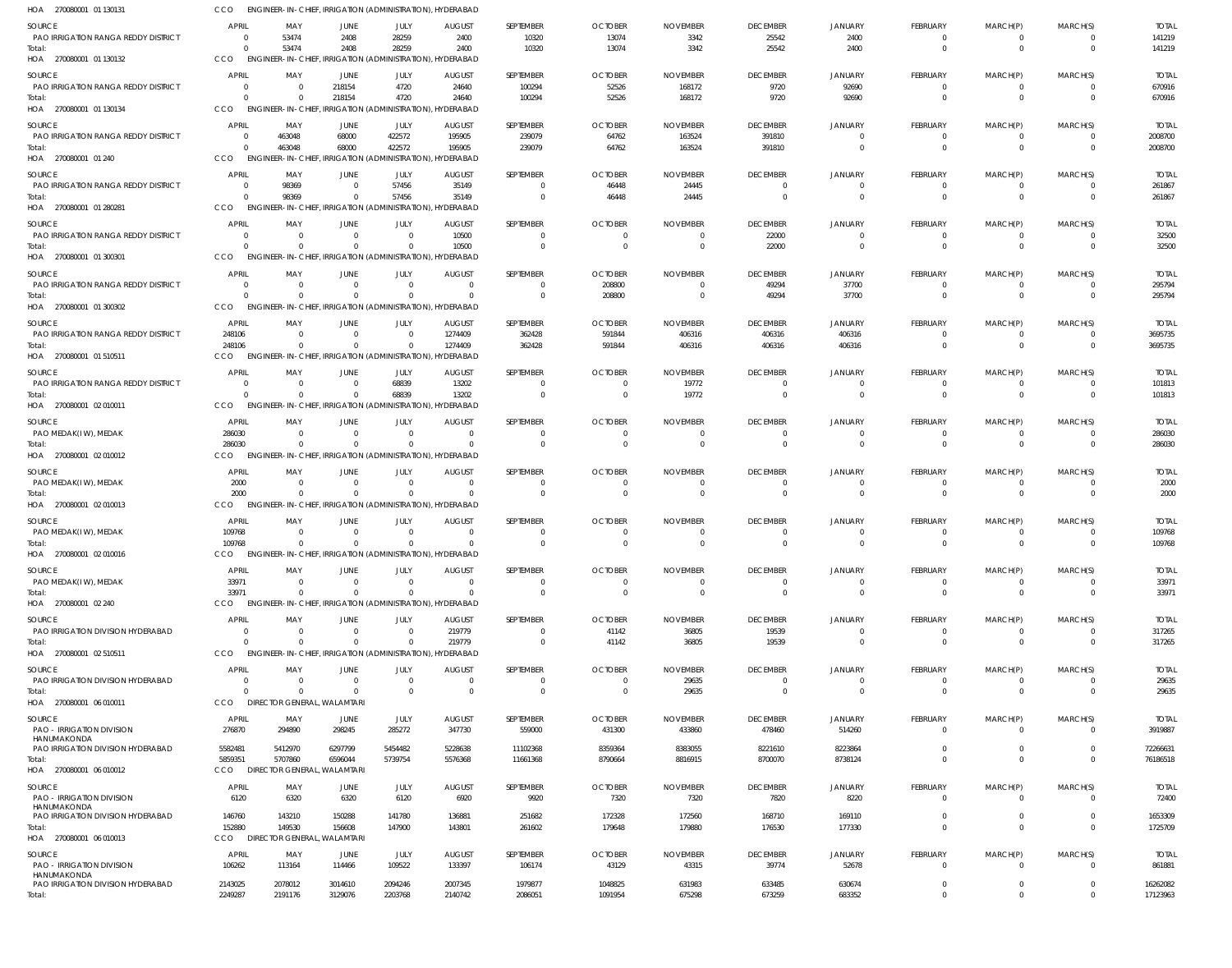| HOA 270080001 01 130131                              | ссо                        | ENGINEER-IN-CHIEF, IRRIGATION (ADMINISTRATION), HYDERABAD             |                               |                                        |                           |                               |                            |                             |                                   |                            |                         |                         |                      |                         |
|------------------------------------------------------|----------------------------|-----------------------------------------------------------------------|-------------------------------|----------------------------------------|---------------------------|-------------------------------|----------------------------|-----------------------------|-----------------------------------|----------------------------|-------------------------|-------------------------|----------------------|-------------------------|
| <b>SOURCE</b>                                        | <b>APRIL</b>               | MAY                                                                   | <b>JUNE</b>                   | JULY                                   | <b>AUGUST</b>             | SEPTEMBER                     | <b>OCTOBER</b>             | <b>NOVEMBER</b>             | <b>DECEMBER</b>                   | <b>JANUARY</b>             | FEBRUARY                | MARCH(P)                | MARCH(S)             | <b>TOTAL</b>            |
| PAO IRRIGATION RANGA REDDY DISTRICT                  | - 0                        | 53474                                                                 | 2408                          | 28259                                  | 2400                      | 10320                         | 13074                      | 3342                        | 25542                             | 2400                       | 0                       | 0                       |                      | 141219                  |
| Total:<br>HOA 270080001 01 130132                    | $\Omega$<br>CCO            | 53474<br>ENGINEER-IN-CHIEF, IRRIGATION (ADMINISTRATION), HYDERABAD    | 2408                          | 28259                                  | 2400                      | 10320                         | 13074                      | 3342                        | 25542                             | 2400                       | $\overline{0}$          | $\mathbf{0}$            | $\Omega$             | 141219                  |
|                                                      | <b>APRIL</b>               |                                                                       |                               |                                        |                           |                               |                            |                             |                                   |                            |                         |                         |                      |                         |
| <b>SOURCE</b><br>PAO IRRIGATION RANGA REDDY DISTRICT | $\Omega$                   | MAY<br>$\Omega$                                                       | JUNE<br>218154                | JULY<br>4720                           | <b>AUGUST</b><br>24640    | SEPTEMBER<br>100294           | <b>OCTOBER</b><br>52526    | <b>NOVEMBER</b><br>168172   | <b>DECEMBER</b><br>9720           | <b>JANUARY</b><br>92690    | FEBRUARY<br>$\mathbf 0$ | MARCH(P)<br>$\mathbf 0$ | MARCH(S)<br>$\Omega$ | <b>TOTAL</b><br>670916  |
| Total:                                               | $\Omega$                   |                                                                       | 218154                        | 4720                                   | 24640                     | 100294                        | 52526                      | 168172                      | 9720                              | 92690                      | $\Omega$                | $\Omega$                | $\Omega$             | 670916                  |
| HOA 270080001 01 130134                              | CCO                        | <b>ENGINEER-IN-CHIEF,</b>                                             |                               | IRRIGATION (ADMINISTRATION), HYDERABAD |                           |                               |                            |                             |                                   |                            |                         |                         |                      |                         |
| SOURCE                                               | <b>APRIL</b>               | MAY                                                                   | <b>JUNE</b>                   | JULY                                   | <b>AUGUST</b>             | SEPTEMBER                     | <b>OCTOBER</b>             | <b>NOVEMBER</b>             | <b>DECEMBER</b>                   | <b>JANUARY</b>             | FEBRUARY                | MARCH(P)                | MARCH(S)             | <b>TOTAL</b>            |
| <b>PAO IRRIGATION RANGA REDDY DISTRICT</b>           | $\overline{0}$<br>$\Omega$ | 463048                                                                | 68000                         | 422572                                 | 195905                    | 239079                        | 64762                      | 163524                      | 391810                            | $\Omega$<br>$\Omega$       | 0                       | $\Omega$<br>$\mathbf 0$ | $\Omega$<br>$\Omega$ | 2008700                 |
| Total:<br>HOA 270080001 01 240                       | CCO                        | 463048<br>ENGINEER-IN-CHIEF, IRRIGATION (ADMINISTRATION), HYDERABAD   | 68000                         | 422572                                 | 195905                    | 239079                        | 64762                      | 163524                      | 391810                            |                            | $^{\circ}$              |                         |                      | 2008700                 |
| <b>SOURCE</b>                                        | <b>APRIL</b>               | MAY                                                                   | <b>JUNE</b>                   | JULY                                   | <b>AUGUST</b>             | SEPTEMBER                     | <b>OCTOBER</b>             | <b>NOVEMBER</b>             | <b>DECEMBER</b>                   | <b>JANUARY</b>             | FEBRUARY                | MARCH(P)                | MARCH(S)             | <b>TOTAL</b>            |
| PAO IRRIGATION RANGA REDDY DISTRICT                  | $\Omega$                   | 98369                                                                 | $\Omega$                      | 57456                                  | 35149                     | $\Omega$                      | 46448                      | 24445                       | $\overline{0}$                    |                            | 0                       | 0                       |                      | 261867                  |
| Total:                                               | $\Omega$                   | 98369                                                                 | $\Omega$                      | 57456                                  | 35149                     | $\mathbf 0$                   | 46448                      | 24445                       | $\overline{0}$                    | $\Omega$                   | $\mathbf 0$             | $\mathbf 0$             | $\Omega$             | 261867                  |
| HOA 270080001 01 280281                              | CCO                        | ENGINEER-IN-CHIEF, IRRIGATION (ADMINISTRATION), HYDERABAD             |                               |                                        |                           |                               |                            |                             |                                   |                            |                         |                         |                      |                         |
| SOURCE                                               | <b>APRIL</b>               | MAY                                                                   | <b>JUNE</b>                   | JULY                                   | <b>AUGUST</b>             | SEPTEMBER                     | <b>OCTOBER</b>             | <b>NOVEMBER</b>             | <b>DECEMBER</b>                   | <b>JANUARY</b>             | FEBRUARY                | MARCH(P)                | MARCH(S)             | <b>TOTAL</b>            |
| PAO IRRIGATION RANGA REDDY DISTRICT<br>Total:        | - 0<br>$\Omega$            | $\Omega$<br>$\Omega$                                                  | $\overline{0}$<br>$\Omega$    | $\overline{0}$<br>$\mathbf 0$          | 10500<br>10500            | $\mathbf 0$<br>$\overline{0}$ | $\Omega$<br>$\Omega$       | $\Omega$<br>$\Omega$        | 22000<br>22000                    | $\Omega$<br>$\Omega$       | 0<br>$\mathbf 0$        | 0<br>$\Omega$           | $\Omega$             | 32500<br>32500          |
| HOA 270080001 01 300301                              | CCO                        | ENGINEER-IN-CHIEF, IRRIGATION (ADMINISTRATION), HYDERABAD             |                               |                                        |                           |                               |                            |                             |                                   |                            |                         |                         |                      |                         |
| SOURCE                                               | <b>APRIL</b>               | MAY                                                                   | <b>JUNE</b>                   | JULY                                   | <b>AUGUST</b>             | SEPTEMBER                     | <b>OCTOBER</b>             | <b>NOVEMBER</b>             | <b>DECEMBER</b>                   | <b>JANUARY</b>             | FEBRUARY                | MARCH(P)                | MARCH(S)             | <b>TOTAL</b>            |
| <b>PAO IRRIGATION RANGA REDDY DISTRICT</b>           | $\Omega$                   |                                                                       | $\overline{0}$                | $\Omega$                               | $\Omega$                  | $\mathbf 0$                   | 208800                     | $\Omega$                    | 49294                             | 37700                      | $\mathbf 0$             | 0                       | $\Omega$             | 295794                  |
| Total:                                               | $\Omega$                   |                                                                       | $\Omega$                      | $\Omega$                               |                           | $\Omega$                      | 208800                     | $\Omega$                    | 49294                             | 37700                      | $\mathbf 0$             | $\Omega$                | $\Omega$             | 295794                  |
| HOA 270080001 01 300302                              | CCO                        | ENGINEER-IN-CHIEF, IRRIGATION (ADMINISTRATION), HYDERABAD             |                               |                                        |                           |                               |                            |                             |                                   |                            |                         |                         |                      |                         |
| SOURCE<br>PAO IRRIGATION RANGA REDDY DISTRICT        | APRIL<br>248106            | MAY<br>$\Omega$                                                       | <b>JUNE</b><br>$\Omega$       | JULY<br>$\mathbf{0}$                   | <b>AUGUST</b><br>1274409  | SEPTEMBER<br>362428           | <b>OCTOBER</b><br>591844   | <b>NOVEMBER</b><br>406316   | <b>DECEMBER</b><br>406316         | <b>JANUARY</b><br>406316   | FEBRUARY<br>0           | MARCH(P)<br>0           | MARCH(S)<br>$\Omega$ | <b>TOTAL</b><br>3695735 |
| Total:                                               | 248106                     | $\Omega$                                                              | $\Omega$                      | $\Omega$                               | 1274409                   | 362428                        | 591844                     | 406316                      | 406316                            | 406316                     | $\mathbf 0$             | $\mathbf 0$             | $\Omega$             | 3695735                 |
| HOA 270080001 01 510511                              | CCO                        | ENGINEER-IN-CHIEF, IRRIGATION (ADMINISTRATION), HYDERABAD             |                               |                                        |                           |                               |                            |                             |                                   |                            |                         |                         |                      |                         |
| <b>SOURCE</b>                                        | APRIL                      | MAY                                                                   | <b>JUNE</b>                   | JULY                                   | <b>AUGUST</b>             | SEPTEMBER                     | <b>OCTOBER</b>             | <b>NOVEMBER</b>             | <b>DECEMBER</b>                   | <b>JANUARY</b>             | FEBRUARY                | MARCH(P)                | MARCH(S)             | <b>TOTAL</b>            |
| PAO IRRIGATION RANGA REDDY DISTRICT                  | 0                          | $\Omega$                                                              | $\Omega$                      | 68839                                  | 13202                     | $\Omega$                      |                            | 19772                       | $\mathbf{0}$                      |                            | $\Omega$                | $\Omega$                |                      | 101813                  |
| Total:<br>HOA 270080001 02 010011                    | $\Omega$<br>CCO            | $\Omega$<br>ENGINEER-IN-CHIEF, IRRIGATION (ADMINISTRATION), HYDERABAD | $\overline{0}$                | 68839                                  | 13202                     | $\overline{0}$                | $\Omega$                   | 19772                       | $\overline{0}$                    | $\Omega$                   | $\mathbf 0$             | $\mathbf 0$             | $\Omega$             | 101813                  |
|                                                      |                            |                                                                       |                               |                                        |                           |                               |                            |                             |                                   |                            |                         |                         |                      |                         |
| <b>SOURCE</b><br>PAO MEDAK(IW), MEDAK                | APRIL<br>286030            | MAY<br>$\Omega$                                                       | <b>JUNE</b><br>$\overline{0}$ | JULY<br>$\mathbf{0}$                   | <b>AUGUST</b><br>$\Omega$ | SEPTEMBER<br>$^{\circ}$       | <b>OCTOBER</b><br>$\Omega$ | <b>NOVEMBER</b><br>$\Omega$ | <b>DECEMBER</b><br>$\overline{0}$ | <b>JANUARY</b>             | FEBRUARY<br>0           | MARCH(P)<br>0           | MARCH(S)             | <b>TOTAL</b><br>286030  |
| Total:                                               | 286030                     | $\Omega$                                                              | $\Omega$                      | $\Omega$                               | $\Omega$                  | $\overline{0}$                | $\Omega$                   | $\Omega$                    | $\overline{0}$                    | $\Omega$                   | $\overline{0}$          | $\mathbf 0$             | $\Omega$             | 286030                  |
| HOA 270080001 02 010012                              | <b>CCO</b>                 | ENGINEER-IN-CHIEF, IRRIGATION (ADMINISTRATION), HYDERABAD             |                               |                                        |                           |                               |                            |                             |                                   |                            |                         |                         |                      |                         |
| SOURCE                                               | <b>APRIL</b>               | MAY                                                                   | <b>JUNE</b>                   | JULY                                   | <b>AUGUST</b>             | SEPTEMBER                     | <b>OCTOBER</b>             | <b>NOVEMBER</b>             | <b>DECEMBER</b>                   | <b>JANUARY</b>             | FEBRUARY                | MARCH(P)                | MARCH(S)             | <b>TOTAL</b>            |
| PAO MEDAK(IW), MEDAK                                 | 2000                       | $\Omega$                                                              | $\overline{0}$<br>$\Omega$    | $\mathbf{0}$<br>$\Omega$               | $\Omega$                  | $^{\circ}$<br>$\Omega$        | $\Omega$                   |                             | $\overline{0}$<br>$\Omega$        | $\Omega$<br>$\Omega$       | 0<br>$\mathbf 0$        | 0<br>$\Omega$           | $\Omega$             | 2000                    |
| Total:<br>HOA 270080001 02 010013                    | 2000<br>CCO                | ENGINEER-IN-CHIEF, IRRIGATION (ADMINISTRATION), HYDERABAD             |                               |                                        |                           |                               |                            |                             |                                   |                            |                         |                         |                      | 2000                    |
| SOURCE                                               | APRIL                      | MAY                                                                   | <b>JUNE</b>                   | JULY                                   | <b>AUGUST</b>             | SEPTEMBER                     | <b>OCTOBER</b>             | <b>NOVEMBER</b>             | <b>DECEMBER</b>                   | <b>JANUARY</b>             | FEBRUARY                | MARCH(P)                | MARCH(S)             | <b>TOTAI</b>            |
| PAO MEDAK(IW), MEDAK                                 | 109768                     | $\Omega$                                                              | $\Omega$                      | $\Omega$                               | $\Omega$                  | $\Omega$                      |                            | $\Omega$                    | $\Omega$                          |                            | 0                       | $\Omega$                |                      | 109768                  |
| Total:                                               | 109768                     |                                                                       | $\Omega$                      | $\Omega$                               |                           | $\Omega$                      | $\Omega$                   | $\Omega$                    | $\Omega$                          | $\Omega$                   | $\Omega$                | $\Omega$                | $\Omega$             | 109768                  |
| HOA 270080001 02 010016                              | CCO.                       | ENGINEER-IN-CHIEF, IRRIGATION (ADMINISTRATION), HYDERABAD             |                               |                                        |                           |                               |                            |                             |                                   |                            |                         |                         |                      |                         |
| <b>SOURCE</b>                                        | APRIL                      | MAY                                                                   | JUNE                          | JULY                                   | <b>AUGUST</b>             | SEPTEMBER                     | <b>OCTOBER</b>             | <b>NOVEMBER</b>             | <b>DECEMBER</b>                   | <b>JANUARY</b>             | FEBRUARY                | MARCH(P)                | MARCH(S)             | <b>TOTAL</b>            |
| PAO MEDAK(I W), MEDAK<br>Total:                      | 33971<br>33971             | $\Omega$<br>$\Omega$                                                  | $\Omega$<br>$\Omega$          | $\Omega$<br>$\Omega$                   | $\Omega$                  | $\Omega$<br>$\overline{0}$    |                            | $\Omega$                    | $\overline{0}$<br>$\overline{0}$  | $\Omega$<br>$\Omega$       | 0<br>$\mathbf 0$        | $\Omega$<br>$\mathbf 0$ | $\Omega$             | 33971<br>33971          |
| HOA 270080001 02 240                                 | CCO                        | ENGINEER-IN-CHIEF, IRRIGATION (ADMINISTRATION), HYDERABAD             |                               |                                        |                           |                               |                            |                             |                                   |                            |                         |                         |                      |                         |
| <b>SOURCE</b>                                        | <b>APRIL</b>               | MAY                                                                   | JUNE                          | JULY                                   | <b>AUGUST</b>             | SEPTEMBER                     | <b>OCTOBER</b>             | <b>NOVEMBER</b>             | <b>DECEMBER</b>                   | <b>JANUARY</b>             | FEBRUARY                | MARCH(P)                | MARCH(S)             | <b>TOTAL</b>            |
| PAO IRRIGATION DIVISION HYDERABAD                    | - 0                        | $\Omega$                                                              | $\overline{0}$                | $\mathbf{0}$                           | 219779                    | $\mathbf 0$                   | 41142                      | 36805                       | 19539                             | $\Omega$                   | 0                       | 0                       |                      | 317265                  |
| Total:                                               | $\Omega$<br>CCO            | $\Omega$<br>ENGINEER-IN-CHIEF, IRRIGATION (ADMINISTRATION), HYDERABAD | $\Omega$                      | $\Omega$                               | 219779                    | $\mathbf 0$                   | 41142                      | 36805                       | 19539                             | $\Omega$                   | $\overline{0}$          | $\mathbf 0$             | $\Omega$             | 317265                  |
| HOA 270080001 02 510511                              |                            |                                                                       |                               |                                        |                           |                               |                            |                             |                                   |                            |                         |                         |                      |                         |
| <b>SOURCE</b><br>PAO IRRIGATION DIVISION HYDERABAD   | APRIL<br>0                 | MAY                                                                   | <b>JUNE</b><br>$\overline{0}$ | JULY<br>$\mathbf 0$                    | <b>AUGUST</b><br>$\Omega$ | SEPTEMBER<br>$^{\circ}$       | <b>OCTOBER</b><br>$\Omega$ | <b>NOVEMBER</b><br>29635    | <b>DECEMBER</b><br>$\overline{0}$ | <b>JANUARY</b><br>$\Omega$ | FEBRUARY<br>0           | MARCH(P)<br>0           | MARCH(S)             | <b>TOTAL</b><br>29635   |
| Total:                                               | $\Omega$                   |                                                                       | $\Omega$                      | $\Omega$                               |                           | $\Omega$                      | $\Omega$                   | 29635                       | $\overline{0}$                    | $\Omega$                   | $\Omega$                | $\Omega$                | $\Omega$             | 29635                   |
| HOA 270080001 06 010011                              | CCO                        | <b>DIRECTOR GENERAL, WALAMTARI</b>                                    |                               |                                        |                           |                               |                            |                             |                                   |                            |                         |                         |                      |                         |
| <b>SOURCE</b>                                        | APRIL                      | MAY                                                                   | JUNE                          | JULY                                   | <b>AUGUST</b>             | SEPTEMBER                     | <b>OCTOBER</b>             | <b>NOVEMBER</b>             | <b>DECEMBER</b>                   | <b>JANUARY</b>             | FEBRUARY                | MARCH(P)                | MARCH(S)             | <b>TOTAL</b>            |
| <b>PAO - IRRIGATION DIVISION</b><br>HANUMAKONDA      | 276870                     | 294890                                                                | 298245                        | 285272                                 | 347730                    | 559000                        | 431300                     | 433860                      | 478460                            | 514260                     | $^{\circ}$              | 0                       | $\Omega$             | 3919887                 |
| PAO IRRIGATION DIVISION HYDERABAD                    | 5582481                    | 5412970                                                               | 6297799                       | 5454482                                | 5228638                   | 11102368                      | 8359364                    | 8383055                     | 8221610                           | 8223864                    | 0                       | 0                       | $\Omega$             | 72266631                |
| Total:                                               | 5859351                    | 5707860                                                               | 6596044                       | 5739754                                | 5576368                   | 11661368                      | 8790664                    | 8816915                     | 8700070                           | 8738124                    | $\Omega$                | $\Omega$                | $\Omega$             | 76186518                |
| HOA 270080001 06 010012                              | CCO                        | DIRECTOR GENERAL, WALAMTARI                                           |                               |                                        |                           |                               |                            |                             |                                   |                            |                         |                         |                      |                         |
| <b>SOURCE</b>                                        | <b>APRIL</b>               | MAY                                                                   | JUNE                          | JULY                                   | <b>AUGUST</b>             | SEPTEMBER                     | <b>OCTOBER</b>             | <b>NOVEMBER</b>             | <b>DECEMBER</b>                   | <b>JANUARY</b>             | FEBRUARY                | MARCH(P)                | MARCH(S)             | <b>TOTAL</b>            |
| <b>PAO - IRRIGATION DIVISION</b><br>HANUMAKONDA      | 6120                       | 6320                                                                  | 6320                          | 6120                                   | 6920                      | 9920                          | 7320                       | 7320                        | 7820                              | 8220                       | $^{\circ}$              | $\mathbf 0$             | $\Omega$             | 72400                   |
| PAO IRRIGATION DIVISION HYDERABAD                    | 146760                     | 143210                                                                | 150288                        | 141780                                 | 136881                    | 251682                        | 172328                     | 172560                      | 168710                            | 169110                     | $\mathbf 0$<br>$\Omega$ | $\mathbf 0$<br>$\Omega$ | $\Omega$             | 1653309                 |
| Total:<br>HOA 270080001 06 010013                    | 152880<br>CCO              | 149530<br>DIRECTOR GENERAL, WALAMTARI                                 | 156608                        | 147900                                 | 143801                    | 261602                        | 179648                     | 179880                      | 176530                            | 177330                     |                         |                         | $\Omega$             | 1725709                 |
| <b>SOURCE</b>                                        | APRIL                      | MAY                                                                   | JUNE                          | JULY                                   | <b>AUGUST</b>             | SEPTEMBER                     | <b>OCTOBER</b>             | <b>NOVEMBER</b>             | <b>DECEMBER</b>                   | <b>JANUARY</b>             | FEBRUARY                | MARCH(P)                | MARCH(S)             | TOTAL                   |
| <b>PAO - IRRIGATION DIVISION</b>                     | 106262                     | 113164                                                                | 114466                        | 109522                                 | 133397                    | 106174                        | 43129                      | 43315                       | 39774                             | 52678                      | $^{\circ}$              | $\Omega$                |                      | 861881                  |
| HANUMAKONDA<br>PAO IRRIGATION DIVISION HYDERABAD     | 2143025                    | 2078012                                                               | 3014610                       | 2094246                                | 2007345                   | 1979877                       | 1048825                    | 631983                      | 633485                            | 630674                     | $\mathbf 0$             | $\mathbf 0$             | $\Omega$             | 16262082                |
|                                                      | 2249287                    | 2191176                                                               | 3129076                       | 2203768                                | 2140742                   | 2086051                       | 1091954                    | 675298                      | 673259                            | 683352                     | $\mathbf 0$             | $\Omega$                | $\Omega$             | 17123963                |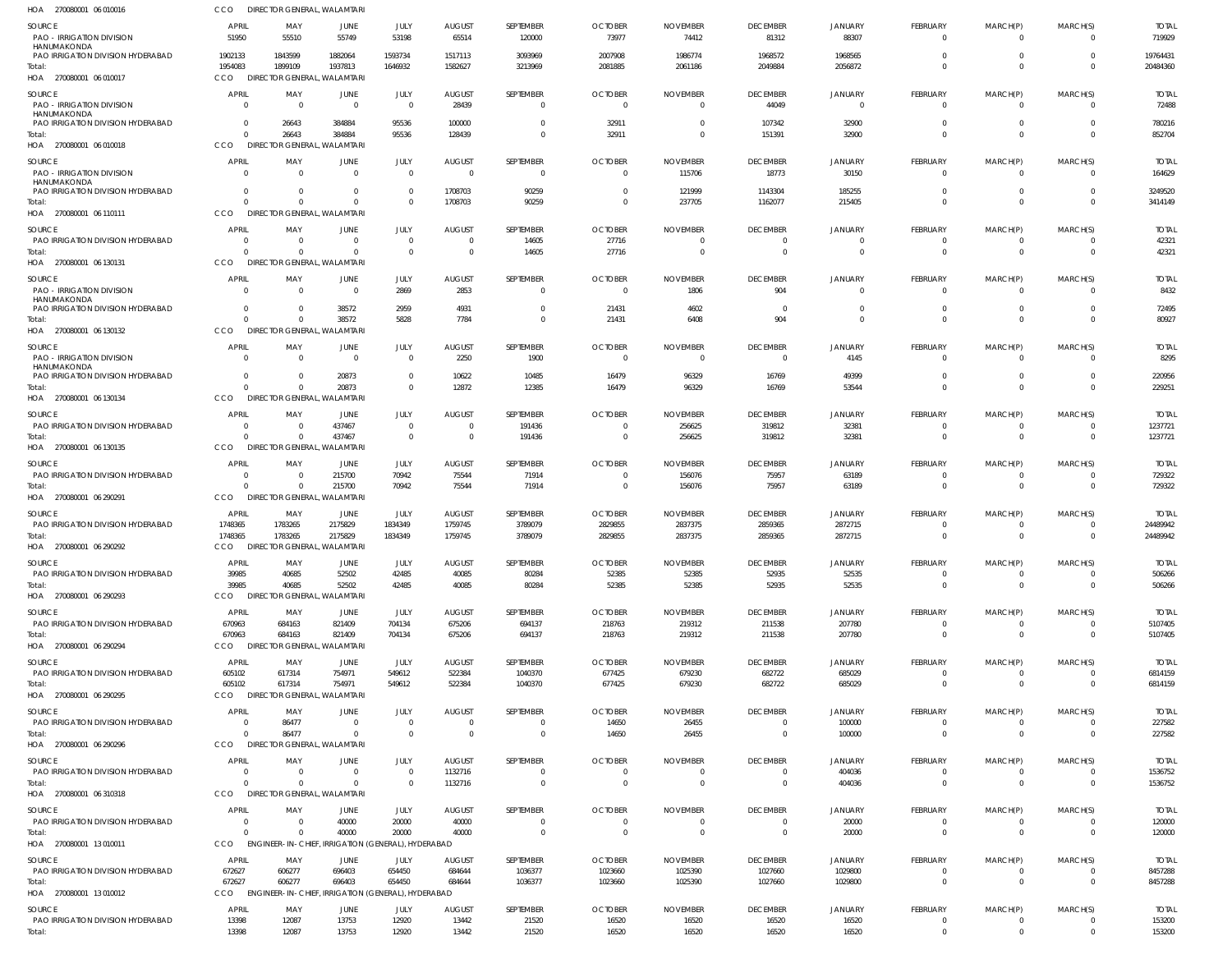| HOA 270080001 06 010016                                                               | CCO                                | DIRECTOR GENERAL, WALAMTARI                                    |                         |                                           |                            |                          |                                  |                                 |                             |                            |                                |                         |                      |                        |
|---------------------------------------------------------------------------------------|------------------------------------|----------------------------------------------------------------|-------------------------|-------------------------------------------|----------------------------|--------------------------|----------------------------------|---------------------------------|-----------------------------|----------------------------|--------------------------------|-------------------------|----------------------|------------------------|
| <b>SOURCE</b><br><b>PAO - IRRIGATION DIVISION</b>                                     | <b>APRIL</b><br>51950              | MAY<br>55510                                                   | <b>JUNE</b><br>55749    | JULY<br>53198                             | <b>AUGUST</b><br>65514     | SEPTEMBER<br>120000      | <b>OCTOBER</b><br>73977          | <b>NOVEMBER</b><br>74412        | <b>DECEMBER</b><br>81312    | <b>JANUARY</b><br>88307    | <b>FEBRUARY</b><br>0           | MARCH(P)<br>$\Omega$    | MARCH(S)<br>$\Omega$ | <b>TOTAL</b><br>719929 |
| HANUMAKONDA<br>PAO IRRIGATION DIVISION HYDERABAD<br>Total:<br>HOA 270080001 06 010017 | 1902133<br>1954083<br>CCO          | 1843599<br>1899109<br><b>DIRECTOR GENERAL, WALAMTARI</b>       | 1882064<br>1937813      | 1593734<br>1646932                        | 1517113<br>1582627         | 3093969<br>3213969       | 2007908<br>2081885               | 1986774<br>2061186              | 1968572<br>2049884          | 1968565<br>2056872         | $\Omega$<br>$\Omega$           | $\Omega$                | $\Omega$<br>$\Omega$ | 19764431<br>20484360   |
| SOURCE<br><b>PAO - IRRIGATION DIVISION</b>                                            | <b>APRIL</b><br>$\Omega$           | MAY<br>$\Omega$                                                | JUNE<br>$\Omega$        | JULY<br>$\overline{0}$                    | <b>AUGUST</b><br>28439     | SEPTEMBER<br>0           | <b>OCTOBER</b><br>$\overline{0}$ | <b>NOVEMBER</b><br>$\mathbf{0}$ | <b>DECEMBER</b><br>44049    | <b>JANUARY</b><br>$\Omega$ | <b>FEBRUARY</b><br>$\mathbf 0$ | MARCH(P)<br>0           | MARCH(S)<br>$\Omega$ | <b>TOTAL</b><br>72488  |
| HANUMAKONDA<br>PAO IRRIGATION DIVISION HYDERABAD<br>Total:                            | $\Omega$<br>$\Omega$               | 26643<br>26643                                                 | 384884<br>384884        | 95536<br>95536                            | 100000<br>128439           | $\Omega$<br>$\Omega$     | 32911<br>32911                   | $\Omega$<br>0                   | 107342<br>151391            | 32900<br>32900             | $\Omega$<br>$\Omega$           | 0<br>$\Omega$           | $\Omega$<br>$\Omega$ | 780216<br>852704       |
| HOA 270080001 06 010018                                                               | CCO                                | <b>DIRECTOR GENERAL, WALAMTARI</b>                             |                         |                                           |                            |                          |                                  |                                 |                             |                            |                                |                         |                      |                        |
| <b>SOURCE</b><br><b>PAO - IRRIGATION DIVISION</b><br>HANUMAKONDA                      | <b>APRIL</b><br>$\Omega$           | MAY<br>$\Omega$                                                | <b>JUNE</b><br>$\Omega$ | JULY<br>$\overline{0}$                    | <b>AUGUST</b><br>$\Omega$  | SEPTEMBER<br>$\mathbf 0$ | <b>OCTOBER</b><br>$\overline{0}$ | <b>NOVEMBER</b><br>115706       | <b>DECEMBER</b><br>18773    | <b>JANUARY</b><br>30150    | <b>FEBRUARY</b><br>$\mathbf 0$ | MARCH(P)<br>$\Omega$    | MARCH(S)<br>- 0      | <b>TOTAL</b><br>164629 |
| PAO IRRIGATION DIVISION HYDERABAD<br>Total:<br>HOA 270080001 06 110111                | $\Omega$<br>$\Omega$<br><b>CCO</b> | $\Omega$<br>$\Omega$<br><b>DIRECTOR GENERAL, WALAMTARI</b>     | $\Omega$<br>$\Omega$    | $\Omega$<br>$\Omega$                      | 1708703<br>1708703         | 90259<br>90259           | -0<br>$\overline{0}$             | 121999<br>237705                | 1143304<br>1162077          | 185255<br>215405           | $\Omega$<br>$\Omega$           | 0<br>$\Omega$           | $\Omega$<br>$\Omega$ | 3249520<br>3414149     |
| <b>SOURCE</b>                                                                         | <b>APRIL</b>                       | MAY                                                            | JUNE                    | <b>JULY</b>                               | <b>AUGUST</b>              | SEPTEMBER                | <b>OCTOBER</b>                   | <b>NOVEMBER</b>                 | <b>DECEMBER</b>             | <b>JANUARY</b>             | <b>FEBRUARY</b>                | MARCH(P)                | MARCH(S)             | <b>TOTAL</b>           |
| PAO IRRIGATION DIVISION HYDERABAD                                                     | $\Omega$                           | - 0                                                            |                         | $\overline{0}$                            | $\Omega$                   | 14605                    | 27716                            | 0                               |                             |                            | 0                              | 0                       |                      | 42321                  |
| Total:<br>HOA 270080001 06 130131                                                     | $\Omega$<br><b>CCO</b>             | $\Omega$<br><b>DIRECTOR GENERAL, WALAMTARI</b>                 | $\Omega$                | $\Omega$                                  | $\mathsf{C}$               | 14605                    | 27716                            | $\overline{0}$                  | $\Omega$                    | $\Omega$                   | $\mathbf 0$                    | $\mathbf 0$             | $\Omega$             | 42321                  |
| <b>SOURCE</b>                                                                         | <b>APRIL</b>                       | MAY                                                            | JUNE                    | JULY                                      | <b>AUGUST</b>              | SEPTEMBER                | <b>OCTOBER</b>                   | <b>NOVEMBER</b>                 | <b>DECEMBER</b>             | <b>JANUARY</b>             | <b>FEBRUARY</b>                | MARCH(P)                | MARCH(S)             | <b>TOTAL</b>           |
| <b>PAO - IRRIGATION DIVISION</b><br>HANUMAKONDA<br>PAO IRRIGATION DIVISION HYDERABAD  | $\Omega$<br>$\Omega$               | $\Omega$<br>$\Omega$                                           | $\Omega$<br>38572       | 2869<br>2959                              | 2853<br>4931               | $\mathbf 0$<br>$\Omega$  | $\Omega$<br>21431                | 1806<br>4602                    | 904<br>$\Omega$             | $\Omega$                   | $\mathbf 0$<br>$\Omega$        | $\Omega$<br>0           | $\Omega$             | 8432<br>72495          |
| Total:<br>HOA 270080001 06 130132                                                     | $\Omega$<br>CCO                    | $\Omega$<br>DIRECTOR GENERAL, WALAMTARI                        | 38572                   | 5828                                      | 7784                       | $\Omega$                 | 21431                            | 6408                            | 904                         | $\Omega$                   | $\Omega$                       | $\Omega$                | $\Omega$             | 80927                  |
| <b>SOURCE</b><br><b>PAO - IRRIGATION DIVISION</b><br>HANUMAKONDA                      | <b>APRIL</b><br>$\Omega$           | MAY<br>- 0                                                     | JUNE<br>$\Omega$        | JULY<br>$\overline{0}$                    | <b>AUGUST</b><br>2250      | SEPTEMBER<br>1900        | <b>OCTOBER</b><br>- 0            | <b>NOVEMBER</b><br>$\Omega$     | <b>DECEMBER</b><br>$\Omega$ | <b>JANUARY</b><br>4145     | <b>FEBRUARY</b><br>0           | MARCH(P)<br>$\Omega$    | MARCH(S)             | <b>TOTAL</b><br>8295   |
| PAO IRRIGATION DIVISION HYDERABAD                                                     | $\Omega$                           | $\Omega$                                                       | 20873                   | $\Omega$                                  | 10622                      | 10485                    | 16479                            | 96329                           | 16769                       | 49399                      | $\Omega$                       | 0                       |                      | 220956                 |
| Total:<br>HOA 270080001 06 130134                                                     | $\Omega$<br><b>CCO</b>             | $\Omega$<br><b>DIRECTOR GENERAL, WALAMTARI</b>                 | 20873                   | $\Omega$                                  | 12872                      | 12385                    | 16479                            | 96329                           | 16769                       | 53544                      | $\mathbf 0$                    | $\Omega$                | $\Omega$             | 229251                 |
| <b>SOURCE</b>                                                                         | <b>APRIL</b>                       | MAY                                                            | JUNE                    | JULY                                      | <b>AUGUST</b>              | SEPTEMBER                | <b>OCTOBER</b>                   | <b>NOVEMBER</b>                 | <b>DECEMBER</b>             | <b>JANUARY</b>             | <b>FEBRUARY</b>                | MARCH(P)                | MARCH(S)             | <b>TOTAL</b>           |
| PAO IRRIGATION DIVISION HYDERABAD<br>Total:<br>HOA 270080001 06 130135                | $\Omega$<br>$\Omega$<br>CCO        | - 0<br>$\Omega$<br><b>DIRECTOR GENERAL, WALAMTARI</b>          | 437467<br>437467        | $\Omega$<br>$\Omega$                      | $\Omega$<br>$\Omega$       | 191436<br>191436         | - 0<br>$\overline{0}$            | 256625<br>256625                | 319812<br>319812            | 32381<br>32381             | $\Omega$<br>$\mathbf 0$        | 0<br>$\mathbf 0$        | $\Omega$<br>$\Omega$ | 1237721<br>1237721     |
| <b>SOURCE</b>                                                                         | <b>APRIL</b>                       | MAY                                                            | JUNE                    | JULY                                      | <b>AUGUST</b>              | SEPTEMBER                | <b>OCTOBER</b>                   | <b>NOVEMBER</b>                 | <b>DECEMBER</b>             | <b>JANUARY</b>             | <b>FEBRUARY</b>                | MARCH(P)                | MARCH(S)             | <b>TOTAL</b>           |
| PAO IRRIGATION DIVISION HYDERABAD                                                     | $\Omega$                           | - 0                                                            | 215700                  | 70942                                     | 75544                      | 71914                    | -0                               | 156076                          | 75957                       | 63189                      | 0                              | 0                       |                      | 729322                 |
| Total:<br>HOA 270080001 06 290291                                                     | $\Omega$<br><b>CCO</b>             | $\Omega$<br><b>DIRECTOR GENERAL, WALAMTARI</b>                 | 215700                  | 70942                                     | 75544                      | 71914                    | $\overline{0}$                   | 156076                          | 75957                       | 63189                      | $\mathbf 0$                    | $\mathbf 0$             | $\Omega$             | 729322                 |
| <b>SOURCE</b>                                                                         | APRIL                              | MAY                                                            | <b>JUNE</b>             | JULY                                      | <b>AUGUST</b>              | SEPTEMBER                | <b>OCTOBER</b>                   | <b>NOVEMBER</b>                 | <b>DECEMBER</b>             | <b>JANUARY</b>             | <b>FEBRUARY</b>                | MARCH(P)                | MARCH(S)             | TOTAL                  |
| PAO IRRIGATION DIVISION HYDERABAD<br>Total:                                           | 1748365<br>1748365                 | 1783265<br>1783265                                             | 2175829<br>2175829      | 1834349<br>1834349                        | 1759745<br>1759745         | 3789079<br>3789079       | 2829855<br>2829855               | 2837375<br>2837375              | 2859365<br>2859365          | 2872715<br>2872715         | 0<br>$\mathbf 0$               | $\Omega$                | $\Omega$             | 24489942<br>24489942   |
| HOA 270080001 06 290292                                                               | CCO                                | <b>DIRECTOR GENERAL, WALAMTARI</b>                             |                         |                                           |                            |                          |                                  |                                 |                             |                            |                                |                         |                      |                        |
| <b>SOURCE</b>                                                                         | <b>APRIL</b>                       | MAY                                                            | JUNE                    | JULY                                      | <b>AUGUST</b>              | <b>SEPTEMBER</b>         | <b>OCTOBER</b>                   | <b>NOVEMBER</b>                 | <b>DECEMBER</b>             | <b>JANUARY</b>             | <b>FEBRUARY</b>                | MARCH(P)                | MARCH(S)             | <b>TOTAL</b>           |
| PAO IRRIGATION DIVISION HYDERABAD<br>Total:                                           | 39985<br>39985                     | 40685<br>40685                                                 | 52502<br>52502          | 42485<br>42485                            | 40085<br>40085             | 80284<br>80284           | 52385<br>52385                   | 52385<br>52385                  | 52935<br>52935              | 52535<br>52535             | $\Omega$<br>$\mathbf 0$        | 0<br>$\mathbf 0$        | - 0<br>$\Omega$      | 506266<br>506266       |
| HOA 270080001 06 290293                                                               | CCO                                | DIRECTOR GENERAL, WALAMTARI                                    |                         |                                           |                            |                          |                                  |                                 |                             |                            |                                |                         |                      |                        |
| <b>SOURCE</b>                                                                         | <b>APRIL</b>                       | MAY                                                            | <b>JUNE</b>             | JULY                                      | <b>AUGUST</b>              | SEPTEMBER                | <b>OCTOBER</b>                   | <b>NOVEMBER</b>                 | <b>DECEMBER</b>             | <b>JANUARY</b>             | <b>FEBRUARY</b>                | MARCH(P)                | MARCH(S)             | <b>TOTAL</b>           |
| PAO IRRIGATION DIVISION HYDERABAD<br>Total:                                           | 670963<br>670963                   | 684163<br>684163                                               | 821409<br>821409        | 704134<br>704134                          | 675206<br>675206           | 694137<br>694137         | 218763<br>218763                 | 219312<br>219312                | 211538<br>211538            | 207780<br>207780           | 0<br>$\mathbf 0$               | $\Omega$<br>$\mathbf 0$ | $\Omega$<br>$\Omega$ | 5107405<br>5107405     |
| HOA 270080001 06 290294                                                               | CCO                                | DIRECTOR GENERAL, WALAMTARI                                    |                         |                                           |                            |                          |                                  |                                 |                             |                            |                                |                         |                      |                        |
| SOURCE                                                                                | <b>APRIL</b>                       | MAY                                                            | JUNE                    | JULY                                      | <b>AUGUST</b>              | <b>SEPTEMBER</b>         | <b>OCTOBER</b>                   | <b>NOVEMBER</b>                 | <b>DECEMBER</b>             | <b>JANUARY</b>             | <b>FEBRUARY</b>                | MARCH(P)                | MARCH(S)             | <b>TOTAL</b>           |
| PAO IRRIGATION DIVISION HYDERABAD<br>Total:                                           | 605102<br>605102                   | 617314<br>617314                                               | 754971<br>754971        | 549612<br>549612                          | 522384<br>522384           | 1040370<br>1040370       | 677425<br>677425                 | 679230<br>679230                | 682722<br>682722            | 685029<br>685029           | 0<br>$\mathbf 0$               | 0<br>$\mathbf 0$        | $\Omega$             | 6814159<br>6814159     |
| HOA 270080001 06 290295                                                               | CCO                                | DIRECTOR GENERAL, WALAMTARI                                    |                         |                                           |                            |                          |                                  |                                 |                             |                            |                                |                         |                      |                        |
| <b>SOURCE</b>                                                                         | <b>APRIL</b>                       | MAY                                                            | <b>JUNE</b>             | JULY                                      | <b>AUGUST</b>              | SEPTEMBER                | <b>OCTOBER</b>                   | <b>NOVEMBER</b>                 | <b>DECEMBER</b>             | <b>JANUARY</b>             | FEBRUARY                       | MARCH(P)                | MARCH(S)             | <b>TOTAL</b>           |
| PAO IRRIGATION DIVISION HYDERABAD<br>Total:                                           | $\Omega$<br>$\Omega$               | 86477<br>86477                                                 | $\Omega$<br>$\Omega$    | $\overline{0}$<br>$\overline{0}$          | $\overline{0}$<br>$\Omega$ | 0<br>$\mathbf 0$         | 14650<br>14650                   | 26455<br>26455                  | $\Omega$<br>$\overline{0}$  | 100000<br>100000           | $\mathbf 0$<br>$\mathbf 0$     | 0<br>$\mathbf 0$        | $\Omega$<br>$\Omega$ | 227582<br>227582       |
| HOA 270080001 06 290296                                                               | CCO                                | <b>DIRECTOR GENERAL, WALAMTARI</b>                             |                         |                                           |                            |                          |                                  |                                 |                             |                            |                                |                         |                      |                        |
| <b>SOURCE</b>                                                                         | <b>APRIL</b>                       | MAY                                                            | <b>JUNE</b>             | JULY                                      | <b>AUGUST</b>              | SEPTEMBER                | <b>OCTOBER</b>                   | <b>NOVEMBER</b>                 | <b>DECEMBER</b>             | <b>JANUARY</b>             | <b>FEBRUARY</b>                | MARCH(P)                | MARCH(S)             | <b>TOTAL</b>           |
| PAO IRRIGATION DIVISION HYDERABAD                                                     | $\overline{0}$                     | 0                                                              | $\Omega$                | $\overline{0}$                            | 1132716                    | 0                        | $\overline{0}$                   | 0                               | $\Omega$                    | 404036                     | 0                              | 0                       | $\Omega$             | 1536752                |
| Total:<br>HOA 270080001 06 310318                                                     | $\Omega$<br>CCO                    | $\Omega$<br>DIRECTOR GENERAL, WALAMTARI                        | $\Omega$                | $\Omega$                                  | 1132716                    | $\mathbf 0$              | $\Omega$                         | $\overline{0}$                  | $\overline{0}$              | 404036                     | $\mathbf{0}$                   | $\mathbf 0$             | $\Omega$             | 1536752                |
| <b>SOURCE</b>                                                                         | <b>APRIL</b>                       | MAY                                                            | <b>JUNE</b>             | JULY                                      | <b>AUGUST</b>              | SEPTEMBER                | <b>OCTOBER</b>                   | <b>NOVEMBER</b>                 | <b>DECEMBER</b>             | <b>JANUARY</b>             | <b>FEBRUARY</b>                | MARCH(P)                | MARCH(S)             | <b>TOTAL</b>           |
| PAO IRRIGATION DIVISION HYDERABAD                                                     | $\Omega$                           | - 0                                                            | 40000                   | 20000                                     | 40000                      | 0                        | $\overline{0}$                   | $\overline{0}$                  | $\overline{0}$              | 20000                      | 0                              |                         | $\Omega$             | 120000                 |
| Total:<br>HOA 270080001 13 010011                                                     | $\Omega$<br>CCO                    | $\Omega$<br>ENGINEER-IN-CHIEF, IRRIGATION (GENERAL), HYDERABAD | 40000                   | 20000                                     | 40000                      | $\mathbf 0$              | $\overline{0}$                   | $\overline{0}$                  | $\overline{0}$              | 20000                      | $\mathbf{0}$                   | $\mathbf 0$             | $\Omega$             | 120000                 |
| <b>SOURCE</b>                                                                         | <b>APRIL</b>                       | MAY                                                            | JUNE                    | JULY                                      | <b>AUGUST</b>              | SEPTEMBER                | <b>OCTOBER</b>                   | <b>NOVEMBER</b>                 | <b>DECEMBER</b>             | <b>JANUARY</b>             | FEBRUARY                       | MARCH(P)                | MARCH(S)             | <b>TOTAL</b>           |
| PAO IRRIGATION DIVISION HYDERABAD                                                     | 672627                             | 606277                                                         | 696403                  | 654450                                    | 684644                     | 1036377                  | 1023660                          | 1025390                         | 1027660                     | 1029800                    | 0                              | 0                       |                      | 8457288                |
| Total:<br>HOA 270080001 13 010012                                                     | 672627<br>CCO                      | 606277<br><b>ENGINEER-IN-CHIEF,</b>                            | 696403                  | 654450<br>IRRIGATION (GENERAL), HYDERABAD | 684644                     | 1036377                  | 1023660                          | 1025390                         | 1027660                     | 1029800                    | $\mathbf{0}$                   | $\mathbf 0$             | $\Omega$             | 8457288                |
| <b>SOURCE</b>                                                                         | <b>APRIL</b>                       | MAY                                                            | <b>JUNE</b>             | JULY                                      | <b>AUGUST</b>              | SEPTEMBER                | <b>OCTOBER</b>                   | <b>NOVEMBER</b>                 | <b>DECEMBER</b>             | <b>JANUARY</b>             | FEBRUARY                       | MARCH(P)                | MARCH(S)             | <b>TOTAL</b>           |
| PAO IRRIGATION DIVISION HYDERABAD                                                     | 13398                              | 12087                                                          | 13753                   | 12920                                     | 13442                      | 21520                    | 16520                            | 16520                           | 16520                       | 16520                      | 0                              | 0                       | $\Omega$             | 153200                 |
| Total:                                                                                | 13398                              | 12087                                                          | 13753                   | 12920                                     | 13442                      | 21520                    | 16520                            | 16520                           | 16520                       | 16520                      | $\mathbf{0}$                   | $\mathbf 0$             | $\mathbf{0}$         | 153200                 |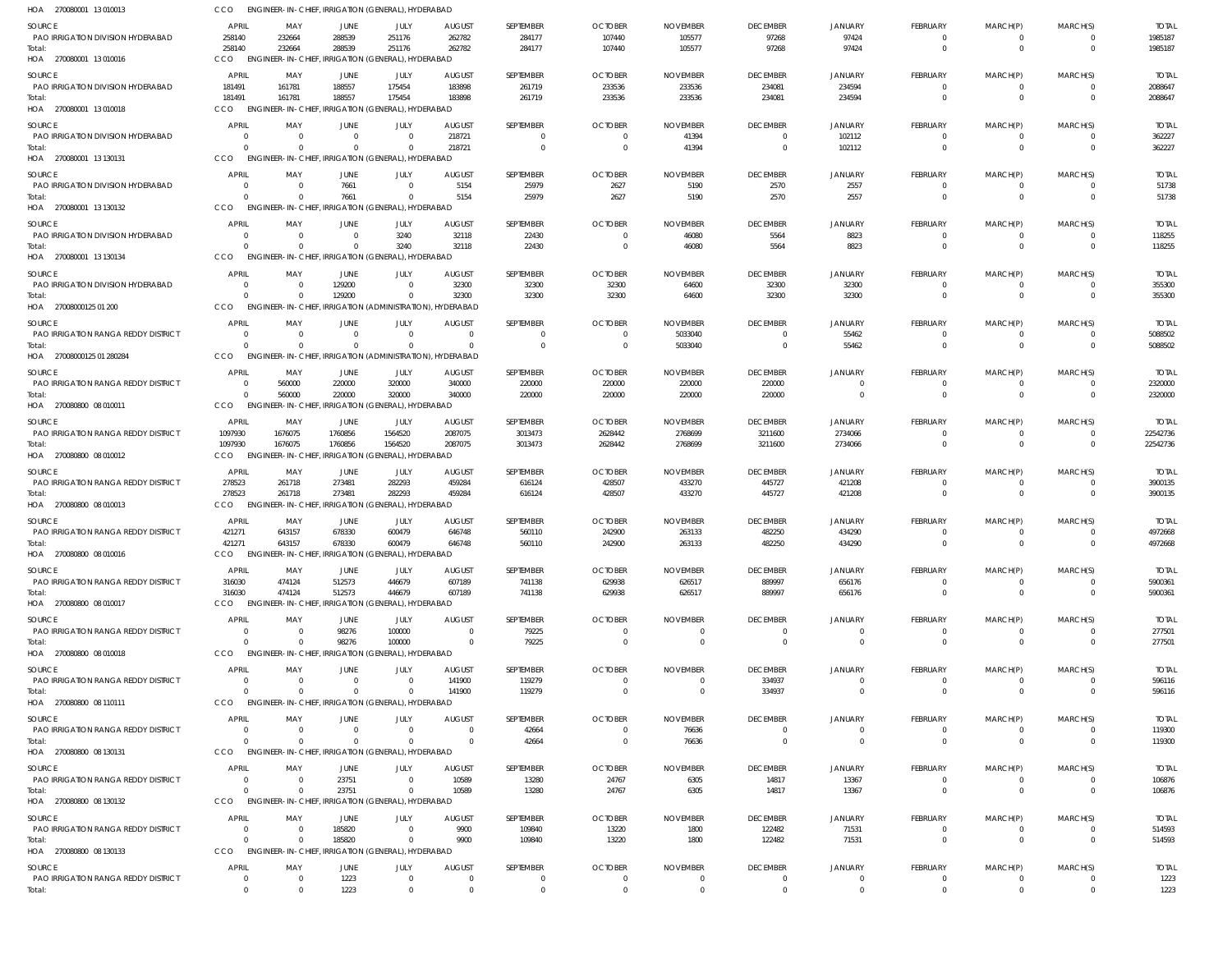| HOA 270080001 13 010013                              | CCO.                             | ENGINEER-IN-CHIEF, IRRIGATION (GENERAL), HYDERABAD                    |                  |                                   |                            |                      |                                  |                            |                                   |                            |                                |                               |                            |                          |
|------------------------------------------------------|----------------------------------|-----------------------------------------------------------------------|------------------|-----------------------------------|----------------------------|----------------------|----------------------------------|----------------------------|-----------------------------------|----------------------------|--------------------------------|-------------------------------|----------------------------|--------------------------|
| <b>SOURCE</b>                                        | APRIL                            | MAY                                                                   | <b>JUNE</b>      | JULY                              | <b>AUGUST</b>              | SEPTEMBER            | <b>OCTOBER</b>                   | <b>NOVEMBER</b>            | <b>DECEMBER</b>                   | <b>JANUARY</b>             | <b>FEBRUARY</b>                | MARCH(P)                      | MARCH(S)                   | <b>TOTAL</b>             |
| PAO IRRIGATION DIVISION HYDERABAD                    | 258140                           | 232664                                                                | 288539           | 251176                            | 262782                     | 284177               | 107440                           | 105577                     | 97268                             | 97424                      | $^{\circ}$                     | $\overline{0}$                | $\Omega$                   | 1985187                  |
| Total:<br>HOA 270080001 13 010016                    | 258140<br>CCO                    | 232664<br>ENGINEER-IN-CHIEF, IRRIGATION (GENERAL), HYDERABAD          | 288539           | 251176                            | 262782                     | 284177               | 107440                           | 105577                     | 97268                             | 97424                      | $\overline{0}$                 | $\overline{0}$                | $\overline{0}$             | 1985187                  |
| <b>SOURCE</b>                                        | APRIL                            | MAY                                                                   | JUNE             | JULY                              | <b>AUGUST</b>              | SEPTEMBER            | <b>OCTOBER</b>                   | <b>NOVEMBER</b>            | <b>DECEMBER</b>                   | <b>JANUARY</b>             | FEBRUARY                       | MARCH(P)                      | MARCH(S)                   | <b>TOTAL</b>             |
| PAO IRRIGATION DIVISION HYDERABAD                    | 181491                           | 161781                                                                | 188557           | 175454                            | 183898                     | 261719               | 233536                           | 233536                     | 234081                            | 234594                     | $\overline{0}$                 | $\overline{0}$                | $\Omega$                   | 2088647                  |
| Total:<br>HOA 270080001 13 010018                    | 181491<br>CCO                    | 161781<br>ENGINEER-IN-CHIEF, IRRIGATION (GENERAL), HYDERABAD          | 188557           | 175454                            | 183898                     | 261719               | 233536                           | 233536                     | 234081                            | 234594                     | $\overline{0}$                 | $\overline{0}$                | $\Omega$                   | 2088647                  |
| SOURCE                                               | <b>APRIL</b>                     | MAY                                                                   | JUNE             | JULY                              | <b>AUGUST</b>              | SEPTEMBER            | <b>OCTOBER</b>                   | <b>NOVEMBER</b>            | <b>DECEMBER</b>                   | JANUARY                    | <b>FEBRUARY</b>                | MARCH(P)                      | MARCH(S)                   | <b>TOTAL</b>             |
| PAO IRRIGATION DIVISION HYDERABAD                    | $\overline{0}$                   | $\overline{\mathbf{0}}$                                               | $\Omega$         | $\Omega$                          | 218721                     | 0                    | $\overline{0}$                   | 41394                      | $\overline{0}$                    | 102112                     | $^{\circ}$                     | $^{\circ}$                    | $\Omega$                   | 362227                   |
| Total:<br>HOA 270080001 13 130131                    | $\Omega$<br>CCO                  | - 0<br>ENGINEER-IN-CHIEF, IRRIGATION (GENERAL), HYDERABAD             | $\Omega$         | $\Omega$                          | 218721                     | $\mathbf 0$          | $\overline{0}$                   | 41394                      | $\overline{0}$                    | 102112                     | $\overline{0}$                 | $\overline{0}$                | $\overline{0}$             | 362227                   |
| <b>SOURCE</b>                                        | <b>APRIL</b>                     | MAY                                                                   | JUNE             | JULY                              | <b>AUGUST</b>              | SEPTEMBER            | <b>OCTOBER</b>                   | <b>NOVEMBER</b>            | <b>DECEMBER</b>                   | JANUARY                    | <b>FEBRUARY</b>                | MARCH(P)                      | MARCH(S)                   | <b>TOTAL</b>             |
| PAO IRRIGATION DIVISION HYDERABAD                    | $\Omega$                         | $\overline{\mathbf{0}}$                                               | 7661             | $\Omega$                          | 5154                       | 25979                | 2627                             | 5190                       | 2570                              | 2557                       | $^{\circ}$                     | $^{\circ}$                    | $\Omega$                   | 51738                    |
| Total:<br>HOA 270080001 13 130132                    | $\Omega$<br>CCO                  | $\Omega$<br>ENGINEER-IN-CHIEF, IRRIGATION (GENERAL), HYDERABAD        | 7661             | $\Omega$                          | 5154                       | 25979                | 2627                             | 5190                       | 2570                              | 2557                       | $\overline{0}$                 | $\overline{0}$                | $\Omega$                   | 51738                    |
|                                                      | <b>APRIL</b>                     |                                                                       |                  |                                   |                            |                      |                                  |                            |                                   |                            |                                |                               |                            |                          |
| <b>SOURCE</b><br>PAO IRRIGATION DIVISION HYDERABAD   | $\Omega$                         | MAY<br>$\overline{\mathbf{0}}$                                        | JUNE<br>$\Omega$ | JULY<br>3240                      | <b>AUGUST</b><br>32118     | SEPTEMBER<br>22430   | <b>OCTOBER</b><br>$\overline{0}$ | <b>NOVEMBER</b><br>46080   | <b>DECEMBER</b><br>5564           | JANUARY<br>8823            | <b>FEBRUARY</b><br>$\mathbf 0$ | MARCH(P)<br>$\overline{0}$    | MARCH(S)<br>$\Omega$       | <b>TOTAL</b><br>118255   |
| Total:                                               | $\Omega$                         | $\Omega$                                                              | $\Omega$         | 3240                              | 32118                      | 22430                | $\overline{0}$                   | 46080                      | 5564                              | 8823                       | $\overline{0}$                 | $\overline{0}$                | $\Omega$                   | 118255                   |
| HOA 270080001 13 130134                              | CCO                              | ENGINEER-IN-CHIEF, IRRIGATION (GENERAL), HYDERABAD                    |                  |                                   |                            |                      |                                  |                            |                                   |                            |                                |                               |                            |                          |
| SOURCE                                               | <b>APRIL</b>                     | MAY                                                                   | JUNE             | JULY                              | <b>AUGUST</b>              | SEPTEMBER            | <b>OCTOBER</b>                   | <b>NOVEMBER</b>            | <b>DECEMBER</b>                   | <b>JANUARY</b>             | <b>FEBRUARY</b>                | MARCH(P)                      | MARCH(S)                   | <b>TOTAL</b>             |
| PAO IRRIGATION DIVISION HYDERABAD<br>Total:          | $\Omega$<br>$\Omega$             | $\overline{\mathbf{0}}$<br>$\Omega$                                   | 129200<br>129200 | $\Omega$<br>$\Omega$              | 32300<br>32300             | 32300<br>32300       | 32300<br>32300                   | 64600<br>64600             | 32300<br>32300                    | 32300<br>32300             | $\mathbf 0$<br>$\overline{0}$  | $\mathbf 0$<br>$\overline{0}$ | $\Omega$<br>$\Omega$       | 355300<br>355300         |
| HOA 27008000125 01 200                               | CCO                              | ENGINEER-IN-CHIEF, IRRIGATION (ADMINISTRATION), HYDERABAD             |                  |                                   |                            |                      |                                  |                            |                                   |                            |                                |                               |                            |                          |
| SOURCE                                               | APRIL                            | MAY                                                                   | JUNE             | JULY                              | <b>AUGUST</b>              | SEPTEMBER            | <b>OCTOBER</b>                   | <b>NOVEMBER</b>            | <b>DECEMBER</b>                   | JANUARY                    | FEBRUARY                       | MARCH(P)                      | MARCH(S)                   | <b>TOTAL</b>             |
| PAO IRRIGATION RANGA REDDY DISTRICT                  | $\Omega$                         | $\overline{\mathbf{0}}$                                               | $\Omega$         | $\Omega$                          | - 0                        | 0                    | $\overline{0}$                   | 5033040                    | $\overline{0}$                    | 55462                      | $^{\circ}$                     | $^{\circ}$                    | $\Omega$                   | 5088502                  |
| Total:<br>HOA 27008000125 01 280284                  | $\Omega$<br>CCO                  | $\Omega$<br>ENGINEER-IN-CHIEF, IRRIGATION (ADMINISTRATION), HYDERABAD | $\Omega$         | $\Omega$                          | $\Omega$                   | $\Omega$             | $\overline{0}$                   | 5033040                    | $\overline{0}$                    | 55462                      | $\overline{0}$                 | $\overline{0}$                | $\Omega$                   | 5088502                  |
| <b>SOURCE</b>                                        | <b>APRIL</b>                     | MAY                                                                   | JUNE             | JULY                              | <b>AUGUST</b>              | SEPTEMBER            | <b>OCTOBER</b>                   | <b>NOVEMBER</b>            | <b>DECEMBER</b>                   | <b>JANUARY</b>             | FEBRUARY                       | MARCH(P)                      | MARCH(S)                   | <b>TOTAL</b>             |
| PAO IRRIGATION RANGA REDDY DISTRICT                  | $\overline{0}$                   | 560000                                                                | 220000           | 320000                            | 340000                     | 220000               | 220000                           | 220000                     | 220000                            | $\Omega$                   | $\mathbf 0$                    | -0                            | $\Omega$                   | 2320000                  |
| Total:                                               | $\Omega$                         | 560000                                                                | 220000           | 320000                            | 340000                     | 220000               | 220000                           | 220000                     | 220000                            | $\overline{0}$             | $\overline{0}$                 | $\overline{0}$                | $\overline{0}$             | 2320000                  |
| HOA 270080800 08 010011                              | CCO                              | <b>ENGINEER-IN-CHIEF</b>                                              |                  | , IRRIGATION (GENERAL), HYDERABAD |                            |                      |                                  |                            |                                   |                            |                                |                               |                            |                          |
| <b>SOURCE</b><br>PAO IRRIGATION RANGA REDDY DISTRICT | <b>APRIL</b><br>1097930          | MAY<br>1676075                                                        | JUNE<br>1760856  | JULY<br>1564520                   | <b>AUGUST</b><br>2087075   | SEPTEMBER<br>3013473 | <b>OCTOBER</b><br>2628442        | <b>NOVEMBER</b><br>2768699 | <b>DECEMBER</b><br>3211600        | JANUARY<br>2734066         | <b>FEBRUARY</b><br>$^{\circ}$  | MARCH(P)<br>$^{\circ}$        | MARCH(S)<br>$\overline{0}$ | <b>TOTAI</b><br>22542736 |
| Total:                                               | 1097930                          | 1676075                                                               | 1760856          | 1564520                           | 2087075                    | 3013473              | 2628442                          | 2768699                    | 3211600                           | 2734066                    | $\overline{0}$                 | $\overline{0}$                | $\Omega$                   | 22542736                 |
| HOA 270080800 08 010012                              | CCO                              | ENGINEER-IN-CHIEF, IRRIGATION (GENERAL), HYDERABAD                    |                  |                                   |                            |                      |                                  |                            |                                   |                            |                                |                               |                            |                          |
| <b>SOURCE</b>                                        | APRIL                            | MAY                                                                   | JUNE             | JULY                              | <b>AUGUST</b>              | SEPTEMBER            | <b>OCTOBER</b>                   | <b>NOVEMBER</b>            | <b>DECEMBER</b>                   | <b>JANUARY</b>             | <b>FEBRUARY</b>                | MARCH(P)                      | MARCH(S)                   | <b>TOTAL</b>             |
| PAO IRRIGATION RANGA REDDY DISTRICT                  | 278523                           | 261718                                                                | 273481           | 282293                            | 459284                     | 616124               | 428507                           | 433270                     | 445727                            | 421208                     | $\overline{0}$                 | $\mathbf 0$                   | $\Omega$                   | 3900135                  |
| Total:<br>HOA 270080800 08 010013                    | 278523<br>CCO                    | 261718<br>ENGINEER-IN-CHIEF, IRRIGATION (GENERAL), HYDERABAD          | 273481           | 282293                            | 459284                     | 616124               | 428507                           | 433270                     | 445727                            | 421208                     | $\overline{0}$                 | $\overline{0}$                | $\Omega$                   | 3900135                  |
| SOURCE                                               | APRIL                            | MAY                                                                   | JUNE             | JULY                              | <b>AUGUST</b>              | SEPTEMBER            | <b>OCTOBER</b>                   | <b>NOVEMBER</b>            | <b>DECEMBER</b>                   | JANUARY                    | <b>FEBRUARY</b>                | MARCH(P)                      | MARCH(S)                   | <b>TOTAL</b>             |
| PAO IRRIGATION RANGA REDDY DISTRICT                  | 421271                           | 643157                                                                | 678330           | 600479                            | 646748                     | 560110               | 242900                           | 263133                     | 482250                            | 434290                     | $^{\circ}$                     | -0                            | $\Omega$                   | 4972668                  |
| Total:                                               | 421271                           | 643157                                                                | 678330           | 600479                            | 646748                     | 560110               | 242900                           | 263133                     | 482250                            | 434290                     | $\overline{0}$                 | $\overline{0}$                | $\Omega$                   | 4972668                  |
| HOA 270080800 08 010016                              | CCO                              | <b>ENGINEER-IN-CHIEF</b>                                              |                  | IRRIGATION (GENERAL), HYDERABAD   |                            |                      |                                  |                            |                                   |                            |                                |                               |                            |                          |
| SOURCE                                               | <b>APRIL</b>                     | MAY                                                                   | JUNE             | JULY                              | <b>AUGUST</b>              | SEPTEMBER            | <b>OCTOBER</b>                   | <b>NOVEMBER</b>            | <b>DECEMBER</b>                   | <b>JANUARY</b>             | <b>FEBRUARY</b>                | MARCH(P)                      | MARCH(S)                   | <b>TOTAL</b>             |
| PAO IRRIGATION RANGA REDDY DISTRICT                  | 316030                           | 474124<br>474124                                                      | 512573<br>512573 | 446679<br>446679                  | 607189<br>607189           | 741138               | 629938                           | 626517                     | 889997                            | 656176                     | -0<br>$\overline{0}$           | -0<br>$\overline{0}$          | $\Omega$                   | 5900361                  |
| Total:<br>HOA 270080800 08 010017                    | 316030<br>CCO                    | ENGINEER-IN-CHIEF, IRRIGATION (GENERAL), HYDERABAD                    |                  |                                   |                            | 741138               | 629938                           | 626517                     | 889997                            | 656176                     |                                |                               |                            | 5900361                  |
| SOURCE                                               | <b>APRIL</b>                     | MAY                                                                   | JUNE             | JULY                              | <b>AUGUST</b>              | SEPTEMBER            | <b>OCTOBER</b>                   | <b>NOVEMBER</b>            | <b>DECEMBER</b>                   | <b>JANUARY</b>             | <b>FEBRUARY</b>                | MARCH(P)                      | MARCH(S)                   | <b>TOTAL</b>             |
| PAO IRRIGATION RANGA REDDY DISTRICT                  | $\Omega$                         | $\overline{\mathbf{0}}$                                               | 98276            | 100000                            | $\Omega$                   | 79225                | $\overline{0}$                   | $\overline{0}$             | $\overline{0}$                    | $\Omega$                   | $^{\circ}$                     | $^{\circ}$                    | $\Omega$                   | 277501                   |
| Total:<br>HOA 270080800 08 010018                    | $\Omega$<br>CCO                  | - 0<br>ENGINEER-IN-CHIEF, IRRIGATION (GENERAL), HYDERABAD             | 98276            | 100000                            | $\Omega$                   | 79225                | $\overline{0}$                   | $\overline{0}$             | $\overline{0}$                    | $\Omega$                   | $\overline{0}$                 | $\overline{0}$                | $\Omega$                   | 277501                   |
| <b>SOURCE</b>                                        | <b>APRIL</b>                     | MAY                                                                   | JUNE             | JULY                              | <b>AUGUST</b>              | SEPTEMBER            | <b>OCTOBER</b>                   | <b>NOVEMBER</b>            | <b>DECEMBER</b>                   | JANUARY                    | FEBRUARY                       | MARCH(P)                      | MARCH(S)                   | <b>TOTAL</b>             |
| PAO IRRIGATION RANGA REDDY DISTRICT                  | $\overline{0}$                   | $\overline{0}$                                                        | $\Omega$         |                                   | 141900                     | 119279               | $\overline{0}$                   | $\overline{0}$             | 334937                            | $\overline{0}$             | $\overline{0}$                 | -0                            | $\Omega$                   | 596116                   |
| Total:                                               | $\Omega$                         | $\Omega$                                                              |                  |                                   | 141900                     | 119279               | $\overline{0}$                   | $\overline{0}$             | 334937                            | $\overline{0}$             | $\overline{0}$                 | $\overline{0}$                | $\Omega$                   | 596116                   |
| HOA 270080800 08 110111                              | CCO                              | ENGINEER-IN-CHIEF, IRRIGATION (GENERAL), HYDERABAD                    |                  |                                   |                            |                      |                                  |                            |                                   |                            |                                |                               |                            |                          |
| SOURCE<br>PAO IRRIGATION RANGA REDDY DISTRICT        | <b>APRIL</b><br>$\overline{0}$   | MAY<br>$\overline{\mathbf{0}}$                                        | JUNE<br>$\Omega$ | JULY<br>$\Omega$                  | <b>AUGUST</b><br>$\Omega$  | SEPTEMBER<br>42664   | <b>OCTOBER</b><br>$\overline{0}$ | <b>NOVEMBER</b><br>76636   | <b>DECEMBER</b><br>$\overline{0}$ | JANUARY<br>$\overline{0}$  | <b>FEBRUARY</b><br>$^{\circ}$  | MARCH(P)<br>$^{\circ}$        | MARCH(S)<br>$\overline{0}$ | <b>TOTAL</b><br>119300   |
| Total:                                               | $\Omega$                         | - 0                                                                   | $\Omega$         | $\Omega$                          | $\overline{0}$             | 42664                | $\overline{0}$                   | 76636                      | $\overline{0}$                    | $\Omega$                   | $\overline{0}$                 | $\overline{0}$                | $\overline{0}$             | 119300                   |
| HOA 270080800 08 130131                              | CCO                              | ENGINEER-IN-CHIEF, IRRIGATION (GENERAL), HYDERABAD                    |                  |                                   |                            |                      |                                  |                            |                                   |                            |                                |                               |                            |                          |
| SOURCE                                               | <b>APRIL</b>                     | MAY                                                                   | JUNE             | JULY                              | <b>AUGUST</b>              | SEPTEMBER            | <b>OCTOBER</b>                   | <b>NOVEMBER</b>            | <b>DECEMBER</b>                   | JANUARY                    | FEBRUARY                       | MARCH(P)                      | MARCH(S)                   | <b>TOTAL</b>             |
| PAO IRRIGATION RANGA REDDY DISTRICT                  | $\Omega$                         | $\overline{\mathbf{0}}$                                               | 23751            | $\Omega$                          | 10589                      | 13280                | 24767                            | 6305                       | 14817                             | 13367                      | $^{\circ}$                     | -0                            | $\Omega$                   | 106876                   |
| Total:<br>HOA 270080800 08 130132                    | $\Omega$<br>CCO                  | - 0<br>ENGINEER-IN-CHIEF, IRRIGATION (GENERAL), HYDERABAD             | 23751            | $\Omega$                          | 10589                      | 13280                | 24767                            | 6305                       | 14817                             | 13367                      | $\overline{0}$                 | $\overline{0}$                | $\overline{0}$             | 106876                   |
| <b>SOURCE</b>                                        | <b>APRIL</b>                     | MAY                                                                   | <b>JUNE</b>      | JULY                              | <b>AUGUST</b>              | SEPTEMBER            | <b>OCTOBER</b>                   | <b>NOVEMBER</b>            | <b>DECEMBER</b>                   | JANUARY                    | <b>FEBRUARY</b>                | MARCH(P)                      | MARCH(S)                   | <b>TOTAL</b>             |
| PAO IRRIGATION RANGA REDDY DISTRICT                  | $\Omega$                         | $\overline{\mathbf{0}}$                                               | 185820           | $\overline{0}$                    | 9900                       | 109840               | 13220                            | 1800                       | 122482                            | 71531                      | $^{\circ}$                     | $^{\circ}$                    | $\Omega$                   | 514593                   |
| Total:                                               | $\Omega$                         | $\Omega$                                                              | 185820           | $\Omega$                          | 9900                       | 109840               | 13220                            | 1800                       | 122482                            | 71531                      | $\overline{0}$                 | $\overline{0}$                | $\Omega$                   | 514593                   |
| HOA 270080800 08 130133                              | CCO                              | ENGINEER-IN-CHIEF, IRRIGATION (GENERAL), HYDERABAD                    |                  |                                   |                            |                      |                                  |                            |                                   |                            |                                |                               |                            |                          |
| SOURCE                                               | <b>APRIL</b>                     | MAY                                                                   | JUNE             | JULY                              | <b>AUGUST</b>              | SEPTEMBER            | <b>OCTOBER</b>                   | <b>NOVEMBER</b>            | <b>DECEMBER</b>                   | <b>JANUARY</b>             | FEBRUARY                       | MARCH(P)                      | MARCH(S)                   | <b>TOTAL</b>             |
| PAO IRRIGATION RANGA REDDY DISTRICT<br>Total:        | $\overline{0}$<br>$\overline{0}$ | $\overline{0}$<br>$\Omega$                                            | 1223<br>1223     | $\mathbf 0$<br>$\Omega$           | $\overline{0}$<br>$\Omega$ | 0                    | $\overline{0}$<br>$\Omega$       | $\overline{0}$<br>$\Omega$ | $\overline{0}$<br>$\Omega$        | $\overline{0}$<br>$\Omega$ | $\mathbf 0$<br>$\Omega$        | $\mathbf 0$<br>$\Omega$       | $\overline{0}$<br>$\Omega$ | 1223<br>1223             |
|                                                      |                                  |                                                                       |                  |                                   |                            |                      |                                  |                            |                                   |                            |                                |                               |                            |                          |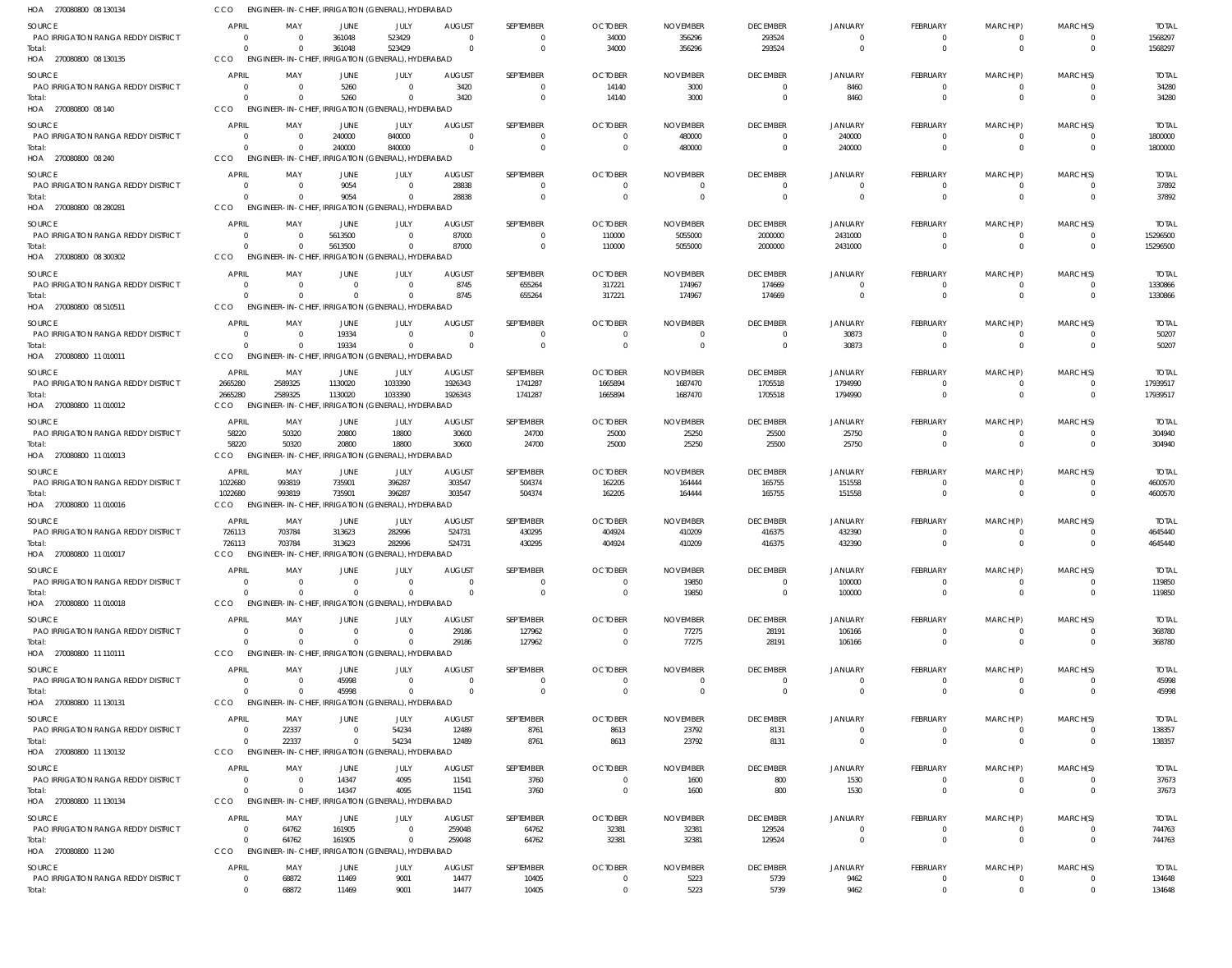| HOA 270080800 08 130134                              | CCO                            | ENGINEER-IN-CHIEF, IRRIGATION (GENERAL), HYDERABAD             |                      |                                 |                        |                       |                                  |                             |                             |                        |                          |                      |                      |                       |
|------------------------------------------------------|--------------------------------|----------------------------------------------------------------|----------------------|---------------------------------|------------------------|-----------------------|----------------------------------|-----------------------------|-----------------------------|------------------------|--------------------------|----------------------|----------------------|-----------------------|
| <b>SOURCE</b>                                        | <b>APRIL</b>                   | MAY                                                            | <b>JUNE</b>          | JULY                            | <b>AUGUST</b>          | SEPTEMBER             | <b>OCTOBER</b>                   | <b>NOVEMBER</b>             | <b>DECEMBER</b>             | <b>JANUARY</b>         | <b>FEBRUARY</b>          | MARCH(P)             | MARCH(S)             | <b>TOTAL</b>          |
| <b>PAO IRRIGATION RANGA REDDY DISTRICT</b>           | $\Omega$                       | $\Omega$                                                       | 361048               | 523429                          |                        | $\Omega$              | 34000                            | 356296                      | 293524                      | $\Omega$               | 0                        | 0                    | $\Omega$             | 1568297               |
| Total:                                               | $\Omega$                       | - 0                                                            | 361048               | 523429                          | $\Omega$               | $\mathbf 0$           | 34000                            | 356296                      | 293524                      | $\Omega$               | $\mathbf 0$              | $\mathbf 0$          | $\Omega$             | 1568297               |
| HOA 270080800 08 130135                              | CCO                            | ENGINEER-IN-CHIEF, IRRIGATION (GENERAL), HYDERABAD             |                      |                                 |                        |                       |                                  |                             |                             |                        |                          |                      |                      |                       |
| <b>SOURCE</b>                                        | <b>APRIL</b>                   | MAY                                                            | <b>JUNE</b>          | JULY                            | <b>AUGUST</b>          | SEPTEMBER             | <b>OCTOBER</b>                   | <b>NOVEMBER</b>             | <b>DECEMBER</b>             | <b>JANUARY</b>         | <b>FEBRUARY</b>          | MARCH(P)             | MARCH(S)             | <b>TOTAL</b>          |
| <b>PAO IRRIGATION RANGA REDDY DISTRICT</b><br>Total: | $\Omega$<br>$\Omega$           | - 0<br>$\Omega$                                                | 5260<br>5260         | $\Omega$<br>$\Omega$            | 3420<br>3420           | $\Omega$<br>$\Omega$  | 14140<br>14140                   | 3000<br>3000                | $\Omega$<br>$\Omega$        | 8460<br>8460           | $\Omega$<br>$\Omega$     | 0<br>$\Omega$        | $\Omega$<br>$\Omega$ | 34280<br>34280        |
| HOA 270080800 08 140                                 | CCO                            | ENGINEER-IN-CHIEF, IRRIGATION (GENERAL), HYDERABAD             |                      |                                 |                        |                       |                                  |                             |                             |                        |                          |                      |                      |                       |
| SOURCE                                               | <b>APRIL</b>                   | MAY                                                            | JUNE                 | JULY                            | <b>AUGUST</b>          | SEPTEMBER             | <b>OCTOBER</b>                   | <b>NOVEMBER</b>             | <b>DECEMBER</b>             | JANUARY                | <b>FEBRUARY</b>          | MARCH(P)             | MARCH(S)             | <b>TOTAL</b>          |
| <b>PAO IRRIGATION RANGA REDDY DISTRICT</b>           | $\Omega$                       | $\Omega$                                                       | 240000               | 840000                          | $\mathsf{C}$           | $\Omega$              | $\overline{0}$                   | 480000                      | $\Omega$                    | 240000                 | $\mathbf 0$              | $\Omega$             | $\Omega$             | 1800000               |
| Total:                                               | $\Omega$                       | $\Omega$                                                       | 240000               | 840000                          | $\Omega$               | $\Omega$              | $\overline{0}$                   | 480000                      | $\Omega$                    | 240000                 | $\mathbf{0}$             | $\mathbf 0$          | $\Omega$             | 1800000               |
| HOA 270080800 08 240                                 | CCO                            | ENGINEER-IN-CHIEF, IRRIGATION (GENERAL), HYDERABAD             |                      |                                 |                        |                       |                                  |                             |                             |                        |                          |                      |                      |                       |
| SOURCE                                               | <b>APRIL</b>                   | MAY                                                            | JUNE                 | JULY                            | <b>AUGUST</b>          | SEPTEMBER             | <b>OCTOBER</b>                   | <b>NOVEMBER</b>             | <b>DECEMBER</b>             | <b>JANUARY</b>         | <b>FEBRUARY</b>          | MARCH(P)             | MARCH(S)             | <b>TOTAL</b>          |
| PAO IRRIGATION RANGA REDDY DISTRICT                  | $\Omega$<br>$\Omega$           | - 0                                                            | 9054                 | $\Omega$<br>$\Omega$            | 28838                  | 0<br>$\Omega$         | $\Omega$                         | $\Omega$                    | $\Omega$                    |                        | $\Omega$                 | $\Omega$             | $\Omega$             | 37892                 |
| Total:<br>HOA 270080800 08 280281                    | CCO                            | $\Omega$<br>ENGINEER-IN-CHIEF, IRRIGATION (GENERAL), HYDERABAD | 9054                 |                                 | 28838                  |                       | $\overline{0}$                   | $\overline{0}$              | $\overline{0}$              | $\Omega$               | $\mathbf{0}$             | $\mathbf 0$          |                      | 37892                 |
| <b>SOURCE</b>                                        | <b>APRIL</b>                   | MAY                                                            | <b>JUNE</b>          | JULY                            | <b>AUGUST</b>          | SEPTEMBER             | <b>OCTOBER</b>                   | <b>NOVEMBER</b>             | <b>DECEMBER</b>             | <b>JANUARY</b>         | <b>FEBRUARY</b>          |                      | MARCH(S)             | <b>TOTAL</b>          |
| PAO IRRIGATION RANGA REDDY DISTRICT                  | $\Omega$                       | - 0                                                            | 5613500              | $\Omega$                        | 87000                  | 0                     | 110000                           | 5055000                     | 2000000                     | 2431000                | 0                        | MARCH(P)<br>0        |                      | 15296500              |
| Total:                                               | $\Omega$                       | $\Omega$                                                       | 5613500              | $\mathbf{0}$                    | 87000                  | $\mathbf 0$           | 110000                           | 5055000                     | 2000000                     | 2431000                | $\mathbf 0$              | $\mathbf 0$          | $\Omega$             | 15296500              |
| HOA 270080800 08 300302                              | CCO                            | ENGINEER-IN-CHIEF, IRRIGATION (GENERAL), HYDERABAD             |                      |                                 |                        |                       |                                  |                             |                             |                        |                          |                      |                      |                       |
| SOURCE                                               | <b>APRIL</b>                   | MAY                                                            | JUNE                 | JULY                            | <b>AUGUST</b>          | SEPTEMBER             | <b>OCTOBER</b>                   | <b>NOVEMBER</b>             | <b>DECEMBER</b>             | <b>JANUARY</b>         | <b>FEBRUARY</b>          | MARCH(P)             | MARCH(S)             | <b>TOTAL</b>          |
| <b>PAO IRRIGATION RANGA REDDY DISTRICT</b>           | $\Omega$                       | - 0                                                            |                      | $\Omega$                        | 8745                   | 655264                | 317221                           | 174967                      | 174669                      | $\Omega$               | 0                        | 0                    | $\Omega$             | 1330866               |
| Total:<br>HOA 270080800 08 510511                    | $\Omega$<br>CCO                | $\Omega$<br>ENGINEER-IN-CHIEF, IRRIGATION (GENERAL), HYDERABAD |                      | $\Omega$                        | 8745                   | 655264                | 317221                           | 174967                      | 174669                      | $\Omega$               | $\Omega$                 | $\Omega$             | $\Omega$             | 1330866               |
|                                                      |                                |                                                                |                      |                                 |                        |                       |                                  |                             |                             |                        |                          |                      |                      |                       |
| SOURCE<br><b>PAO IRRIGATION RANGA REDDY DISTRICT</b> | <b>APRIL</b><br>$\Omega$       | MAY<br>- 0                                                     | JUNE<br>19334        | JULY<br>$\Omega$                | <b>AUGUST</b><br>- 0   | SEPTEMBER<br>$\Omega$ | <b>OCTOBER</b><br>$\overline{0}$ | <b>NOVEMBER</b><br>$\Omega$ | <b>DECEMBER</b><br>$\Omega$ | JANUARY<br>30873       | <b>FEBRUARY</b><br>0     | MARCH(P)<br>0        | MARCH(S)<br>$\Omega$ | <b>TOTAL</b><br>50207 |
| Total:                                               | $\Omega$                       | $\Omega$                                                       | 19334                | $\Omega$                        | $\Omega$               | $\Omega$              | $\Omega$                         | $\overline{0}$              | $\overline{0}$              | 30873                  | $\mathbf{0}$             | $\mathbf 0$          | $\Omega$             | 50207                 |
| HOA 270080800 11 010011                              | CCO                            | ENGINEER-IN-CHIEF, IRRIGATION (GENERAL), HYDERABAD             |                      |                                 |                        |                       |                                  |                             |                             |                        |                          |                      |                      |                       |
| SOURCE                                               | APRIL                          | MAY                                                            | JUNE                 | JULY                            | <b>AUGUST</b>          | SEPTEMBER             | <b>OCTOBER</b>                   | <b>NOVEMBER</b>             | <b>DECEMBER</b>             | <b>JANUARY</b>         | <b>FEBRUARY</b>          | MARCH(P)             | MARCH(S)             | <b>TOTAL</b>          |
| <b>PAO IRRIGATION RANGA REDDY DISTRICT</b>           | 2665280                        | 2589325                                                        | 1130020              | 1033390                         | 1926343                | 1741287               | 1665894                          | 1687470                     | 1705518                     | 1794990                | 0                        |                      |                      | 17939517              |
| Total:                                               | 2665280                        | 2589325                                                        | 1130020              | 1033390                         | 1926343                | 1741287               | 1665894                          | 1687470                     | 1705518                     | 1794990                | $\mathbf{0}$             | $\mathbf 0$          | $\Omega$             | 17939517              |
| HOA 270080800 11 010012                              | CCO                            | ENGINEER-IN-CHIEF, IRRIGATION (GENERAL), HYDERABAD             |                      |                                 |                        |                       |                                  |                             |                             |                        |                          |                      |                      |                       |
| SOURCE                                               | <b>APRIL</b>                   | MAY                                                            | JUNE                 | JULY                            | <b>AUGUST</b>          | SEPTEMBER             | <b>OCTOBER</b>                   | <b>NOVEMBER</b>             | <b>DECEMBER</b>             | <b>JANUARY</b>         | <b>FEBRUARY</b>          | MARCH(P)             | MARCH(S)             | <b>TOTAL</b>          |
| PAO IRRIGATION RANGA REDDY DISTRICT<br>Total:        | 58220<br>58220                 | 50320<br>50320                                                 | 20800<br>20800       | 18800<br>18800                  | 30600<br>30600         | 24700<br>24700        | 25000<br>25000                   | 25250<br>25250              | 25500<br>25500              | 25750<br>25750         | 0<br>$\mathbf{0}$        | 0<br>$\mathbf 0$     | $\Omega$<br>$\Omega$ | 304940<br>304940      |
| HOA 270080800 11 010013                              | CCO                            | ENGINEER-IN-CHIEF, IRRIGATION (GENERAL), HYDERABAD             |                      |                                 |                        |                       |                                  |                             |                             |                        |                          |                      |                      |                       |
| SOURCE                                               | APRIL                          | MAY                                                            | JUNE                 | JULY                            | <b>AUGUST</b>          | SEPTEMBER             | <b>OCTOBER</b>                   | <b>NOVEMBER</b>             | <b>DECEMBER</b>             | JANUARY                | <b>FEBRUARY</b>          | MARCH(P)             | MARCH(S)             | <b>TOTAL</b>          |
| <b>PAO IRRIGATION RANGA REDDY DISTRICT</b>           | 1022680                        | 993819                                                         | 735901               | 396287                          | 303547                 | 504374                | 162205                           | 164444                      | 165755                      | 151558                 | $\Omega$                 | $\Omega$             | $\Omega$             | 4600570               |
| Total:                                               | 1022680                        | 993819                                                         | 735901               | 396287                          | 303547                 | 504374                | 162205                           | 164444                      | 165755                      | 151558                 | $\mathbf{0}$             | $\Omega$             | $\Omega$             | 4600570               |
| HOA 270080800 11 010016                              | CCO                            | ENGINEER-IN-CHIEF, IRRIGATION (GENERAL), HYDERABAD             |                      |                                 |                        |                       |                                  |                             |                             |                        |                          |                      |                      |                       |
| SOURCE                                               | APRIL                          | MAY                                                            | JUNE                 | JULY                            | <b>AUGUST</b>          | SEPTEMBER             | <b>OCTOBER</b>                   | <b>NOVEMBER</b>             | <b>DECEMBER</b>             | JANUARY                | <b>FEBRUARY</b>          | MARCH(P)             | MARCH(S)             | <b>TOTAL</b>          |
| PAO IRRIGATION RANGA REDDY DISTRICT<br>Total:        | 726113<br>726113               | 703784<br>703784                                               | 313623<br>313623     | 282996<br>282996                | 524731<br>524731       | 430295<br>430295      | 404924<br>404924                 | 410209<br>410209            | 416375<br>416375            | 432390<br>432390       | $\Omega$<br>$\mathbf{0}$ | $\Omega$<br>$\Omega$ | $\Omega$<br>$\Omega$ | 4645440<br>4645440    |
| HOA 270080800 11 010017                              | CCO                            | <b>ENGINEER-IN-CHIEF</b>                                       |                      | IRRIGATION (GENERAL), HYDERABAD |                        |                       |                                  |                             |                             |                        |                          |                      |                      |                       |
| <b>SOURCE</b>                                        | <b>APRIL</b>                   | MAY                                                            | JUNE                 | JULY                            | <b>AUGUST</b>          | SEPTEMBER             | <b>OCTOBER</b>                   | <b>NOVEMBER</b>             | <b>DECEMBER</b>             | <b>JANUARY</b>         | <b>FEBRUARY</b>          | MARCH(P)             | MARCH(S)             | <b>TOTAL</b>          |
| PAO IRRIGATION RANGA REDDY DISTRICT                  | $\Omega$                       | - 0                                                            |                      | $\Omega$                        |                        | 0                     | $\Omega$                         | 19850                       | $\Omega$                    | 100000                 | 0                        |                      |                      | 119850                |
| Total:                                               | $\Omega$                       | $\Omega$                                                       |                      | $\Omega$                        |                        | $\Omega$              | $\Omega$                         | 19850                       | $\Omega$                    | 100000                 | $\mathbf{0}$             | $\Omega$             | $\Omega$             | 119850                |
| HOA 270080800 11 010018                              | CCO                            | ENGINEER-IN-CHIEF, IRRIGATION (GENERAL), HYDERABAD             |                      |                                 |                        |                       |                                  |                             |                             |                        |                          |                      |                      |                       |
| SOURCE                                               | <b>APRIL</b>                   | MAY                                                            | JUNE                 | JULY                            | <b>AUGUST</b>          | SEPTEMBER             | <b>OCTOBER</b>                   | <b>NOVEMBER</b>             | <b>DECEMBER</b>             | JANUARY                | FEBRUARY                 | MARCH(P)             | MARCH(S)             | <b>TOTAL</b>          |
| <b>PAO IRRIGATION RANGA REDDY DISTRICT</b>           | $\Omega$<br>$\Omega$           | $\Omega$<br>$\Omega$                                           | $\Omega$<br>$\Omega$ | $\Omega$<br>$\Omega$            | 29186<br>29186         | 127962<br>127962      | $\Omega$<br>$\overline{0}$       | 77275                       | 28191                       | 106166                 | 0<br>$\mathbf{0}$        | $\mathbf 0$          | $\Omega$             | 368780                |
| Total:<br>HOA 270080800 11 110111                    | CCO                            | ENGINEER-IN-CHIEF, IRRIGATION (GENERAL), HYDERABAD             |                      |                                 |                        |                       |                                  | 77275                       | 28191                       | 106166                 |                          |                      |                      | 368780                |
| SOURCE                                               | <b>APRIL</b>                   | MAY                                                            | JUNE                 | JULY                            | <b>AUGUST</b>          | SEPTEMBER             | <b>OCTOBER</b>                   | <b>NOVEMBER</b>             | <b>DECEMBER</b>             | <b>JANUARY</b>         | FEBRUARY                 | MARCH(P)             | MARCH(S)             | <b>TOTAL</b>          |
| PAO IRRIGATION RANGA REDDY DISTRICT                  | $\Omega$                       | $\Omega$                                                       | 45998                | $\Omega$                        | $\mathsf{C}$           | $\Omega$              | $\Omega$                         | $\Omega$                    | $\Omega$                    | $\Omega$               | $\Omega$                 | $\Omega$             | $\Omega$             | 45998                 |
| Total:                                               | $\Omega$                       | $\Omega$                                                       | 45998                | $\Omega$                        |                        | $\Omega$              | $\Omega$                         | $\Omega$                    | $\Omega$                    | $\Omega$               | $\Omega$                 | $\Omega$             | $\Omega$             | 45998                 |
| HOA 270080800 11 130131                              | CCO                            | ENGINEER-IN-CHIEF, IRRIGATION (GENERAL), HYDERABAD             |                      |                                 |                        |                       |                                  |                             |                             |                        |                          |                      |                      |                       |
| SOURCE                                               | <b>APRIL</b>                   | MAY                                                            | JUNE                 | JULY                            | <b>AUGUST</b>          | SEPTEMBER             | <b>OCTOBER</b>                   | <b>NOVEMBER</b>             | <b>DECEMBER</b>             | <b>JANUARY</b>         | <b>FEBRUARY</b>          | MARCH(P)             | MARCH(S)             | <b>TOTAL</b>          |
| <b>PAO IRRIGATION RANGA REDDY DISTRICT</b>           | $\overline{0}$                 | 22337                                                          | $\overline{0}$       | 54234                           | 12489                  | 8761                  | 8613                             | 23792                       | 8131                        | $\Omega$               | 0                        | 0                    | $\Omega$             | 138357                |
| Total:<br>HOA 270080800 11 130132                    | $\Omega$<br>CCO                | 22337<br>ENGINEER-IN-CHIEF, IRRIGATION (GENERAL), HYDERABAD    | $\Omega$             | 54234                           | 12489                  | 8761                  | 8613                             | 23792                       | 8131                        | $\Omega$               | $\mathbf 0$              | $\mathbf 0$          | $\Omega$             | 138357                |
|                                                      |                                |                                                                |                      |                                 |                        |                       |                                  |                             |                             |                        |                          |                      |                      |                       |
| SOURCE<br><b>PAO IRRIGATION RANGA REDDY DISTRICT</b> | <b>APRIL</b><br>$\Omega$       | MAY<br>- 0                                                     | JUNE<br>14347        | JULY<br>4095                    | <b>AUGUST</b><br>11541 | SEPTEMBER<br>3760     | <b>OCTOBER</b><br>$\Omega$       | <b>NOVEMBER</b><br>1600     | <b>DECEMBER</b><br>800      | <b>JANUARY</b><br>1530 | <b>FEBRUARY</b><br>0     | MARCH(P)             | MARCH(S)             | <b>TOTAL</b><br>37673 |
| Total:                                               | $\Omega$                       | $\Omega$                                                       | 14347                | 4095                            | 11541                  | 3760                  | $\overline{0}$                   | 1600                        | 800                         | 1530                   | $\mathbf{0}$             | $\Omega$             | $\Omega$             | 37673                 |
| HOA 270080800 11 130134                              | CCO                            | ENGINEER-IN-CHIEF, IRRIGATION (GENERAL), HYDERABAD             |                      |                                 |                        |                       |                                  |                             |                             |                        |                          |                      |                      |                       |
| <b>SOURCE</b>                                        | <b>APRIL</b>                   | MAY                                                            | JUNE                 | JULY                            | <b>AUGUST</b>          | SEPTEMBER             | <b>OCTOBER</b>                   | <b>NOVEMBER</b>             | <b>DECEMBER</b>             | <b>JANUARY</b>         | FEBRUARY                 | MARCH(P)             | MARCH(S)             | TOTAL                 |
| <b>PAO IRRIGATION RANGA REDDY DISTRICT</b>           | $\Omega$                       | 64762                                                          | 161905               | $\Omega$                        | 259048                 | 64762                 | 32381                            | 32381                       | 129524                      | $\Omega$               | $\mathbf 0$              | $\Omega$             | $\Omega$             | 744763                |
| Total:                                               | $\Omega$                       | 64762                                                          | 161905               | $\overline{0}$                  | 259048                 | 64762                 | 32381                            | 32381                       | 129524                      | $\Omega$               | $\mathbf 0$              | $\mathbf 0$          | $\Omega$             | 744763                |
| HOA 270080800 11 240                                 | CCO                            | ENGINEER-IN-CHIEF, IRRIGATION (GENERAL), HYDERABAD             |                      |                                 |                        |                       |                                  |                             |                             |                        |                          |                      |                      |                       |
| <b>SOURCE</b><br>PAO IRRIGATION RANGA REDDY DISTRICT | <b>APRIL</b><br>$\overline{0}$ | MAY                                                            | JUNE<br>11469        | JULY                            | <b>AUGUST</b>          | SEPTEMBER             | <b>OCTOBER</b><br>$\overline{0}$ | <b>NOVEMBER</b>             | <b>DECEMBER</b>             | <b>JANUARY</b>         | <b>FEBRUARY</b>          | MARCH(P)<br>$\Omega$ | MARCH(S)<br>$\Omega$ | <b>TOTAL</b>          |
| Total:                                               | $\mathbf{0}$                   | 68872<br>68872                                                 | 11469                | 9001<br>9001                    | 14477<br>14477         | 10405<br>10405        | $\overline{0}$                   | 5223<br>5223                | 5739<br>5739                | 9462<br>9462           | 0<br>$\Omega$            | $\Omega$             |                      | 134648<br>134648      |
|                                                      |                                |                                                                |                      |                                 |                        |                       |                                  |                             |                             |                        |                          |                      |                      |                       |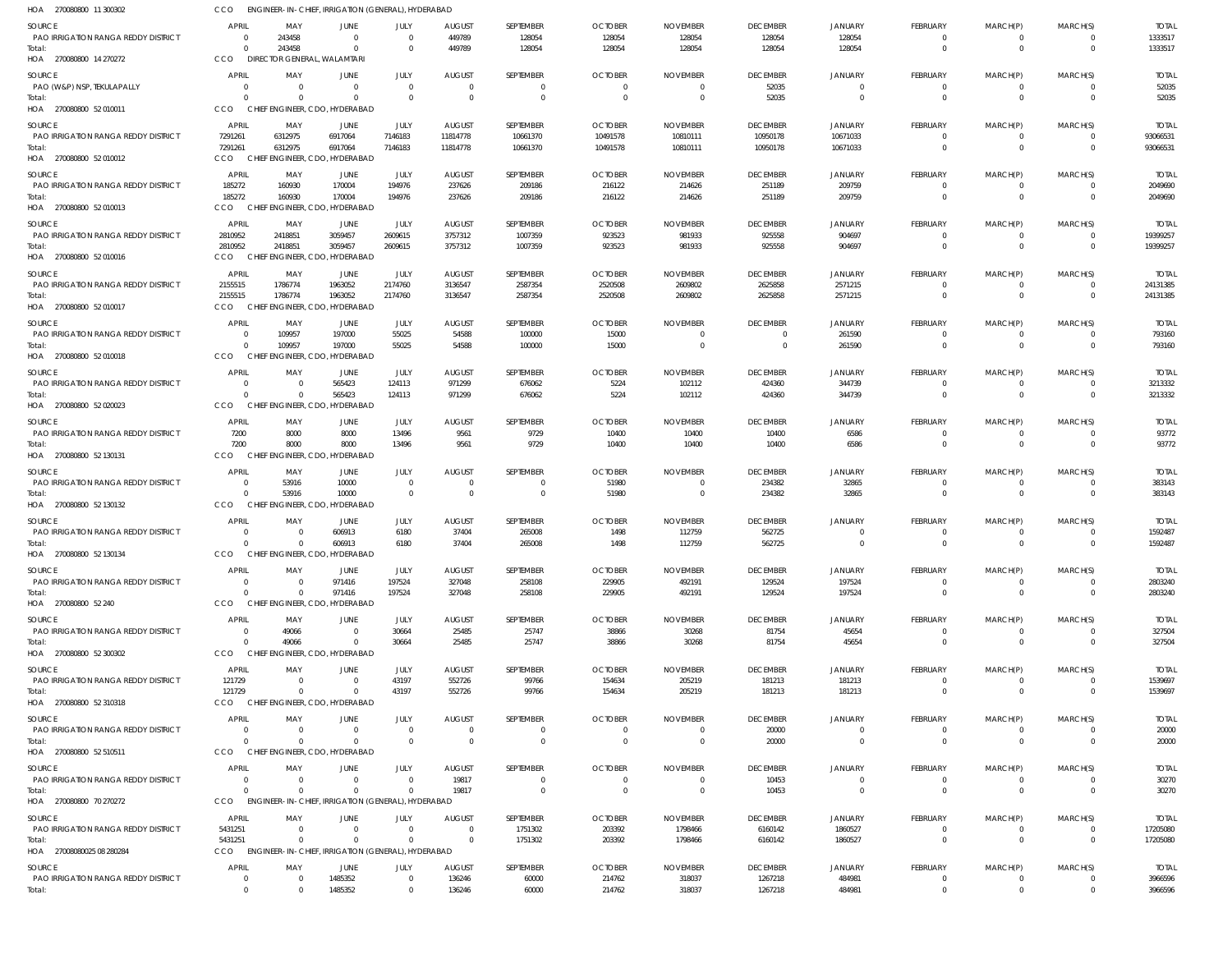| HOA 270080800 11 300302                                     | CCO                      | ENGINEER-IN-CHIEF, IRRIGATION (GENERAL), HYDERABAD             |                                 |                      |                         |                     |                          |                           |                           |                            |                      |                      |                            |                         |
|-------------------------------------------------------------|--------------------------|----------------------------------------------------------------|---------------------------------|----------------------|-------------------------|---------------------|--------------------------|---------------------------|---------------------------|----------------------------|----------------------|----------------------|----------------------------|-------------------------|
| <b>SOURCE</b>                                               | APRIL                    | MAY                                                            | <b>JUNE</b>                     | JULY                 | <b>AUGUST</b>           | SEPTEMBER           | <b>OCTOBER</b>           | <b>NOVEMBER</b>           | <b>DECEMBER</b>           | <b>JANUARY</b>             | FEBRUARY             | MARCH(P)             | MARCH(S)                   | <b>TOTAL</b>            |
| PAO IRRIGATION RANGA REDDY DISTRICT                         | $\Omega$<br>$\Omega$     | 243458                                                         | $\overline{0}$<br>$\Omega$      | $\Omega$<br>$\Omega$ | 449789                  | 128054              | 128054                   | 128054                    | 128054                    | 128054                     | 0<br>$\overline{0}$  | 0<br>$\overline{0}$  | $\Omega$<br>$\overline{0}$ | 1333517                 |
| Total:<br>HOA 270080800 14 270272                           | <b>CCO</b>               | 243458<br>DIRECTOR GENERAL, WALAMTARI                          |                                 |                      | 449789                  | 128054              | 128054                   | 128054                    | 128054                    | 128054                     |                      |                      |                            | 1333517                 |
| SOURCE                                                      | APRIL                    | MAY                                                            | JUNE                            | JULY                 | <b>AUGUST</b>           | SEPTEMBER           | <b>OCTOBER</b>           | <b>NOVEMBER</b>           | <b>DECEMBER</b>           | <b>JANUARY</b>             | FEBRUARY             | MARCH(P)             | MARCH(S)                   | <b>TOTAL</b>            |
| PAO (W&P) NSP, TEKULAPALLY                                  |                          | $\Omega$                                                       | $\Omega$                        | $\Omega$             | $\overline{0}$          | $\overline{0}$      | $\overline{0}$           | $\overline{0}$            | 52035                     | $\Omega$                   | 0                    | $\mathbf 0$          | $\Omega$                   | 52035                   |
| Total:<br>HOA 270080800 52 010011                           | $\Omega$<br>CCO          | CHIEF ENGINEER, CDO, HYDERABAD                                 | $\Omega$                        | $\Omega$             | $\Omega$                | $\Omega$            | $\Omega$                 | $\Omega$                  | 52035                     | $\Omega$                   | $\Omega$             | $\Omega$             | $\Omega$                   | 52035                   |
| SOURCE                                                      | APRIL                    | MAY                                                            | JUNE                            | JULY                 | <b>AUGUST</b>           | SEPTEMBER           | <b>OCTOBER</b>           | <b>NOVEMBER</b>           | <b>DECEMBER</b>           | JANUARY                    | FEBRUARY             | MARCH(P)             | MARCH(S)                   | <b>TOTAL</b>            |
| PAO IRRIGATION RANGA REDDY DISTRICT                         | 7291261                  | 6312975                                                        | 6917064                         | 7146183              | 11814778                | 10661370            | 10491578                 | 10810111                  | 10950178                  | 10671033                   | $\overline{0}$       | $\mathbf 0$          | $\Omega$                   | 93066531                |
| Total:<br>HOA 270080800 52 010012                           | 7291261<br><b>CCO</b>    | 6312975<br>CHIEF ENGINEER, CDO, HYDERABAD                      | 6917064                         | 7146183              | 11814778                | 10661370            | 10491578                 | 10810111                  | 10950178                  | 10671033                   | $\mathbf 0$          | $\overline{0}$       | $\Omega$                   | 93066531                |
| SOURCE                                                      | APRIL                    | MAY                                                            | JUNE                            | JULY                 | <b>AUGUST</b>           | SEPTEMBER           | <b>OCTOBER</b>           | <b>NOVEMBER</b>           | <b>DECEMBER</b>           | <b>JANUARY</b>             | FEBRUARY             | MARCH(P)             | MARCH(S)                   | <b>TOTAL</b>            |
| PAO IRRIGATION RANGA REDDY DISTRICT                         | 185272                   | 160930                                                         | 170004                          | 194976               | 237626                  | 209186              | 216122                   | 214626                    | 251189                    | 209759                     | $\Omega$             | 0                    | - 0                        | 2049690                 |
| Total:<br>HOA 270080800 52 010013                           | 185272<br>CCO            | 160930<br>CHIEF ENGINEER, CDO, HYDERABAD                       | 170004                          | 194976               | 237626                  | 209186              | 216122                   | 214626                    | 251189                    | 209759                     | $\mathbf 0$          | $\overline{0}$       | $\overline{0}$             | 2049690                 |
| SOURCE                                                      | APRIL                    | MAY                                                            | JUNE                            | JULY                 | <b>AUGUST</b>           | SEPTEMBER           | <b>OCTOBER</b>           | <b>NOVEMBER</b>           | <b>DECEMBER</b>           | JANUARY                    | FEBRUARY             | MARCH(P)             | MARCH(S)                   | <b>TOTAL</b>            |
| PAO IRRIGATION RANGA REDDY DISTRICT                         | 2810952                  | 2418851                                                        | 3059457                         | 2609615              | 3757312                 | 1007359             | 923523                   | 981933                    | 925558                    | 904697                     | $\overline{0}$       | $\overline{0}$       | $\Omega$                   | 19399257                |
| Total:<br>HOA 270080800 52 010016                           | 2810952<br>CCO           | 2418851<br>CHIEF ENGINEER, CDO, HYDERABAD                      | 3059457                         | 2609615              | 3757312                 | 1007359             | 923523                   | 981933                    | 925558                    | 904697                     | $\overline{0}$       | $\mathbf 0$          | $\Omega$                   | 19399257                |
| SOURCE                                                      | APRIL                    | MAY                                                            | JUNE                            | JULY                 | <b>AUGUST</b>           | SEPTEMBER           | <b>OCTOBER</b>           | <b>NOVEMBER</b>           | <b>DECEMBER</b>           | <b>JANUARY</b>             | FEBRUARY             | MARCH(P)             | MARCH(S)                   | <b>TOTAI</b>            |
| PAO IRRIGATION RANGA REDDY DISTRICT                         | 2155515                  | 1786774                                                        | 1963052                         | 2174760              | 3136547                 | 2587354             | 2520508                  | 2609802                   | 2625858                   | 2571215                    | $\Omega$             | $\mathbf 0$          | $\Omega$                   | 24131385                |
| Total:<br>HOA 270080800 52 010017                           | 2155515<br>CCO           | 1786774<br>CHIEF ENGINEER, CDO, HYDERABAD                      | 1963052                         | 2174760              | 3136547                 | 2587354             | 2520508                  | 2609802                   | 2625858                   | 2571215                    | $\mathbf 0$          | $\mathbf 0$          | $\Omega$                   | 24131385                |
| <b>SOURCE</b>                                               | APRIL                    | MAY                                                            | JUNE                            | JULY                 | <b>AUGUST</b>           | SEPTEMBER           | <b>OCTOBER</b>           | <b>NOVEMBER</b>           | <b>DECEMBER</b>           | JANUARY                    | FEBRUARY             | MARCH(P)             | MARCH(S)                   | <b>TOTAL</b>            |
| PAO IRRIGATION RANGA REDDY DISTRICT                         | $\Omega$                 | 109957                                                         | 197000                          | 55025                | 54588                   | 100000              | 15000                    | $\overline{0}$            | $\Omega$                  | 261590                     | 0                    | $\mathbf 0$          | $\Omega$                   | 793160                  |
| Total:<br>HOA 270080800 52 010018                           | $\Omega$<br>CCO          | 109957<br>CHIEF ENGINEER, CDO, HYDERABAD                       | 197000                          | 55025                | 54588                   | 100000              | 15000                    | $\overline{0}$            | $\Omega$                  | 261590                     | $\mathbf 0$          | $\overline{0}$       | $\Omega$                   | 793160                  |
| SOURCE                                                      | APRIL                    | MAY                                                            | JUNE                            | JULY                 | <b>AUGUST</b>           | SEPTEMBER           | <b>OCTOBER</b>           | <b>NOVEMBER</b>           | <b>DECEMBER</b>           | <b>JANUARY</b>             | FEBRUARY             | MARCH(P)             | MARCH(S)                   | <b>TOTAL</b>            |
| PAO IRRIGATION RANGA REDDY DISTRICT                         | $\Omega$                 | $\Omega$                                                       | 565423                          | 124113               | 971299                  | 676062              | 5224                     | 102112                    | 424360                    | 344739                     | $\Omega$             | $\Omega$             |                            | 3213332                 |
| Total:<br>HOA 270080800 52 020023                           | $\Omega$<br><b>CCO</b>   | $\Omega$<br>CHIEF ENGINEER, CDO, HYDERABAD                     | 565423                          | 124113               | 971299                  | 676062              | 5224                     | 102112                    | 424360                    | 344739                     | $\mathbf 0$          | $\mathbf 0$          | $\overline{0}$             | 3213332                 |
| <b>SOURCE</b>                                               | APRIL                    | MAY                                                            | JUNE                            | JULY                 | <b>AUGUST</b>           | SEPTEMBER           | <b>OCTOBER</b>           | <b>NOVEMBER</b>           | <b>DECEMBER</b>           | <b>JANUARY</b>             | FEBRUARY             | MARCH(P)             | MARCH(S)                   | <b>TOTAL</b>            |
| PAO IRRIGATION RANGA REDDY DISTRICT                         | 7200                     | 8000                                                           | 8000                            | 13496                | 9561                    | 9729                | 10400                    | 10400                     | 10400                     | 6586                       | 0                    | 0                    | $\Omega$                   | 93772                   |
| Total:<br>HOA 270080800 52 130131                           | 7200<br>CCO              | 8000<br>CHIEF ENGINEER, CDO, HYDERABAD                         | 8000                            | 13496                | 9561                    | 9729                | 10400                    | 10400                     | 10400                     | 6586                       | $\overline{0}$       | $\overline{0}$       | $\Omega$                   | 93772                   |
| SOURCE                                                      | APRIL                    | MAY                                                            | JUNE                            | JULY                 | <b>AUGUST</b>           | SEPTEMBER           | <b>OCTOBER</b>           | <b>NOVEMBER</b>           | <b>DECEMBER</b>           | <b>JANUARY</b>             | FEBRUARY             | MARCH(P)             | MARCH(S)                   | <b>TOTAL</b>            |
| <b>PAO IRRIGATION RANGA REDDY DISTRICT</b>                  | $\Omega$                 | 53916                                                          | 10000                           | $\overline{0}$       | $\overline{0}$          | $\overline{0}$      | 51980                    | $\Omega$                  | 234382                    | 32865                      | 0                    | $\mathbf 0$          | $\Omega$                   | 383143                  |
| Total:<br>HOA 270080800 52 130132                           | $\Omega$<br><b>CCO</b>   | 53916<br>CHIEF E                                               | 10000<br>GINEER, CDO, HYDERABAD | $\Omega$             | $\Omega$                | $\overline{0}$      | 51980                    | 0                         | 234382                    | 32865                      | $\mathbf 0$          | $\mathbf 0$          | $\Omega$                   | 383143                  |
|                                                             |                          |                                                                |                                 |                      |                         |                     |                          |                           |                           |                            |                      |                      |                            |                         |
| <b>SOURCE</b><br><b>PAO IRRIGATION RANGA REDDY DISTRICT</b> | APRIL<br>$\Omega$        | MAY<br>$\Omega$                                                | JUNE<br>606913                  | JULY<br>6180         | <b>AUGUST</b><br>37404  | SEPTEMBER<br>265008 | <b>OCTOBER</b><br>1498   | <b>NOVEMBER</b><br>112759 | <b>DECEMBER</b><br>562725 | <b>JANUARY</b><br>$\Omega$ | FEBRUARY<br>$\Omega$ | MARCH(P)<br>$\Omega$ | MARCH(S)<br>$\Omega$       | <b>TOTAL</b><br>1592487 |
| Total:                                                      | $\Omega$<br>CCO          | $\Omega$<br>CHIFF FNGINFFR. CDO.                               | 606913<br>HYDFRABAD             | 6180                 | 37404                   | 265008              | 1498                     | 112759                    | 562725                    | $\Omega$                   | $\Omega$             | $\Omega$             | $\Omega$                   | 1592487                 |
| HOA 270080800 52 130134                                     |                          |                                                                |                                 |                      |                         |                     |                          |                           |                           |                            |                      |                      |                            |                         |
| SOURCE<br>PAO IRRIGATION RANGA REDDY DISTRICT               | <b>APRIL</b><br>$\Omega$ | MAY<br>$\Omega$                                                | JUNE<br>971416                  | JULY<br>197524       | <b>AUGUST</b><br>327048 | SEPTEMBER<br>258108 | <b>OCTOBER</b><br>229905 | <b>NOVEMBER</b><br>492191 | <b>DECEMBER</b><br>129524 | <b>JANUARY</b><br>197524   | FEBRUARY<br>$\Omega$ | MARCH(P)<br>$\Omega$ | MARCH(S)                   | <b>TOTAL</b><br>2803240 |
| Total:                                                      | $\Omega$                 | $\Omega$                                                       | 971416                          | 197524               | 327048                  | 258108              | 229905                   | 492191                    | 129524                    | 197524                     | $\mathbf 0$          | $\mathbf 0$          | $\Omega$                   | 2803240                 |
| HOA 270080800 52 240                                        | <b>CCO</b>               | CHIEF ENGINEER, CDO, HYDERABAD                                 |                                 |                      |                         |                     |                          |                           |                           |                            |                      |                      |                            |                         |
| SOURCE                                                      | APRIL                    | MAY                                                            | JUNE                            | JULY                 | <b>AUGUST</b>           | SEPTEMBER           | <b>OCTOBER</b>           | <b>NOVEMBER</b>           | <b>DECEMBER</b>           | <b>JANUARY</b>             | FEBRUARY             | MARCH(P)             | MARCH(S)                   | <b>TOTAL</b>            |
| PAO IRRIGATION RANGA REDDY DISTRICT<br>Total:               | $\Omega$<br>$\Omega$     | 49066<br>49066                                                 | $\overline{0}$<br>$\mathbf{0}$  | 30664<br>30664       | 25485<br>25485          | 25747<br>25747      | 38866<br>38866           | 30268<br>30268            | 81754<br>81754            | 45654<br>45654             | 0<br>$\overline{0}$  | 0<br>$\overline{0}$  | $\Omega$<br>$\Omega$       | 327504<br>327504        |
| HOA 270080800 52 300302                                     | <b>CCO</b>               | CHIEF ENGINEER, CDO, HYDERABAD                                 |                                 |                      |                         |                     |                          |                           |                           |                            |                      |                      |                            |                         |
| SOURCE                                                      | APRIL                    | MAY                                                            | JUNE                            | JULY                 | <b>AUGUST</b>           | SEPTEMBER           | <b>OCTOBER</b>           | <b>NOVEMBER</b>           | <b>DECEMBER</b>           | <b>JANUARY</b>             | FEBRUARY             | MARCH(P)             | MARCH(S)                   | <b>TOTAL</b>            |
| PAO IRRIGATION RANGA REDDY DISTRICT                         | 121729                   | $\Omega$                                                       | $\Omega$                        | 43197                | 552726                  | 99766               | 154634                   | 205219                    | 181213                    | 181213                     | $\Omega$             | 0                    | $\Omega$                   | 1539697                 |
| Total:<br>HOA 270080800 52 310318                           | 121729<br><b>CCO</b>     | $\Omega$<br>CHIEF ENGINEER, CDO, HYDERABAD                     | $\Omega$                        | 43197                | 552726                  | 99766               | 154634                   | 205219                    | 181213                    | 181213                     | $\mathbf 0$          | $\mathbf 0$          | $\Omega$                   | 1539697                 |
| SOURCE                                                      | APRIL                    | MAY                                                            | JUNE                            | JULY                 | <b>AUGUST</b>           | SEPTEMBER           | <b>OCTOBER</b>           | <b>NOVEMBER</b>           | <b>DECEMBER</b>           | JANUARY                    | FEBRUARY             | MARCH(P)             | MARCH(S)                   | <b>TOTAL</b>            |
| PAO IRRIGATION RANGA REDDY DISTRICT                         | $\Omega$                 | $\Omega$                                                       | $\overline{0}$                  | $\overline{0}$       | $\overline{0}$          | $\overline{0}$      | $\overline{0}$           | $\overline{0}$            | 20000                     | $\Omega$                   | $\overline{0}$       | 0                    | $\Omega$                   | 20000                   |
| Total:<br>HOA 270080800 52 510511                           | $\Omega$<br>CCO          | $\Omega$<br>CHIEF ENGINEER, CDO, HYDERABAD                     | $\Omega$                        | $\overline{0}$       | $\Omega$                | $\overline{0}$      | $\Omega$                 | $\overline{0}$            | 20000                     | $\Omega$                   | $\overline{0}$       | $\overline{0}$       | $\Omega$                   | 20000                   |
| SOURCE                                                      | <b>APRIL</b>             | MAY                                                            | JUNE                            | JULY                 | <b>AUGUST</b>           | SEPTEMBER           | <b>OCTOBER</b>           | <b>NOVEMBER</b>           | <b>DECEMBER</b>           | <b>JANUARY</b>             | FEBRUARY             | MARCH(P)             | MARCH(S)                   | <b>TOTAL</b>            |
| PAO IRRIGATION RANGA REDDY DISTRICT                         | $\Omega$                 | $\Omega$                                                       | $\Omega$                        | $\Omega$             | 19817                   | $\Omega$            | - 0                      | $\Omega$                  | 10453                     |                            | $\Omega$             | 0                    |                            | 30270                   |
| Total:<br>HOA 270080800 70 270272                           | $\Omega$<br>CCO          | $\Omega$<br>ENGINEER-IN-CHIEF, IRRIGATION (GENERAL), HYDERABAD | $\Omega$                        | $\Omega$             | 19817                   | $\mathbf{0}$        | $\overline{0}$           | $\mathbf 0$               | 10453                     | $\overline{0}$             | $\overline{0}$       | $\overline{0}$       | $\Omega$                   | 30270                   |
| SOURCE                                                      | APRIL                    | MAY                                                            | <b>JUNE</b>                     | JULY                 | <b>AUGUST</b>           | SEPTEMBER           | <b>OCTOBER</b>           | <b>NOVEMBER</b>           | <b>DECEMBER</b>           | <b>JANUARY</b>             | FEBRUARY             | MARCH(P)             | MARCH(S)                   | <b>TOTAL</b>            |
| PAO IRRIGATION RANGA REDDY DISTRICT                         | 5431251                  | $\overline{0}$                                                 | $\overline{0}$                  | $\overline{0}$       | $\overline{0}$          | 1751302             | 203392                   | 1798466                   | 6160142                   | 1860527                    | 0                    | 0                    |                            | 17205080                |
| Total:<br>HOA 27008080025 08 280284                         | 5431251<br>CCO           | $\Omega$<br>ENGINEER-IN-CHIEF, IRRIGATION (GENERAL), HYDERABAD | $\Omega$                        | $\Omega$             | $\Omega$                | 1751302             | 203392                   | 1798466                   | 6160142                   | 1860527                    | $\overline{0}$       | $\overline{0}$       | $\Omega$                   | 17205080                |
| SOURCE                                                      | APRIL                    | MAY                                                            | JUNE                            | JULY                 | <b>AUGUST</b>           | SEPTEMBER           | <b>OCTOBER</b>           | <b>NOVEMBER</b>           | <b>DECEMBER</b>           | <b>JANUARY</b>             | FEBRUARY             | MARCH(P)             | MARCH(S)                   | <b>TOTAL</b>            |
| PAO IRRIGATION RANGA REDDY DISTRICT                         | $\Omega$                 | $\Omega$                                                       | 1485352                         | $\Omega$             | 136246                  | 60000               | 214762                   | 318037                    | 1267218                   | 484981                     | $\mathbf 0$          | $\mathbf 0$          | $\Omega$                   | 3966596                 |
| Total:                                                      |                          | $\mathbf 0$<br>$\Omega$                                        | 1485352                         | $\Omega$             | 136246                  | 60000               | 214762                   | 318037                    | 1267218                   | 484981                     | $\mathbf 0$          | $\mathbf 0$          | $\Omega$                   | 3966596                 |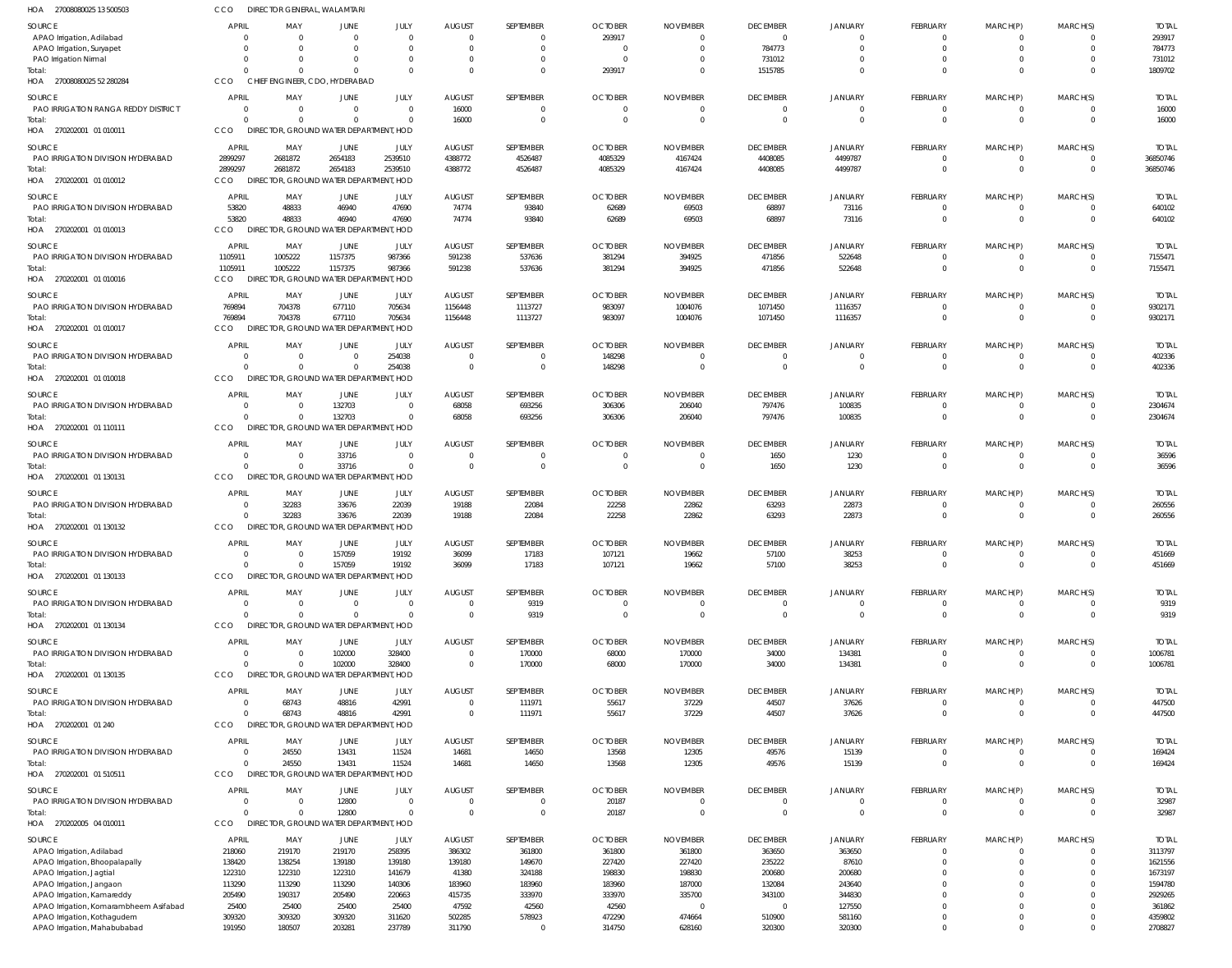| HOA<br>27008080025 13 500503                |                            | DIRECTOR GENERAL, WALAMTARI                     |                    |                        |                  |                  |                  |                  |                         |                        |                            |                           |                            |                       |
|---------------------------------------------|----------------------------|-------------------------------------------------|--------------------|------------------------|------------------|------------------|------------------|------------------|-------------------------|------------------------|----------------------------|---------------------------|----------------------------|-----------------------|
| <b>SOURCE</b>                               | <b>APRIL</b>               | MAY                                             | <b>JUNE</b>        | JULY                   | <b>AUGUST</b>    | SEPTEMBER        | <b>OCTOBER</b>   | <b>NOVEMBER</b>  | <b>DECEMBER</b>         | JANUARY                | <b>FEBRUARY</b>            | MARCH(P)                  | MARCH(S)                   | <b>TOTAI</b>          |
| APAO Irrigation, Adilabad                   | $\Omega$                   | $\Omega$                                        | $\Omega$           | $\overline{0}$         | $\Omega$         | 0                | 293917           | -0               | $\overline{\mathbf{0}}$ | $\Omega$               | 0                          | $^{\circ}$                | $\Omega$                   | 293917                |
| APAO Irrigation, Suryapet                   | $\Omega$                   | $\Omega$                                        |                    | $\Omega$               | $\Omega$         | $\mathbf 0$      | - 0              | $\Omega$         | 784773                  | $\Omega$               | $\overline{0}$             | $\mathbf 0$               | $\Omega$                   | 784773                |
| PAO Irrigation Nirmal                       | $\Omega$                   | $\Omega$                                        | $\Omega$           | $\Omega$               | $\Omega$         | $\mathbf 0$      | $\Omega$         |                  | 731012                  | $\Omega$               | $\mathbf 0$                | $\mathbf 0$               | $\Omega$                   | 731012                |
| Total:                                      | $\cap$                     | $\Omega$                                        | $\Omega$           | $\Omega$               | $\cap$           | $\Omega$         | 293917           | $\Omega$         | 1515785                 | $\Omega$               | $\Omega$                   | $\mathbf 0$               | $\Omega$                   | 1809702               |
| HOA 27008080025 52 280284                   | CCO                        | CHIEF ENGINEER, CDO, HYDERABAD                  |                    |                        |                  |                  |                  |                  |                         |                        |                            |                           |                            |                       |
| SOURCE                                      | <b>APRIL</b>               | MAY                                             | JUNE               | JULY                   | <b>AUGUST</b>    | SEPTEMBER        | <b>OCTOBER</b>   | <b>NOVEMBER</b>  | <b>DECEMBER</b>         | JANUARY                | FEBRUARY                   | MARCH(P)                  | MARCH(S)                   | <b>TOTAL</b>          |
| PAO IRRIGATION RANGA REDDY DISTRICT         | $\overline{0}$             | 0                                               | $\Omega$           | $\overline{0}$         | 16000            | $\mathbf 0$      | - 0              | $\Omega$         | $\overline{\mathbf{0}}$ | $\overline{0}$         | $\mathbf 0$                | $\mathbf 0$               | $\Omega$                   | 16000                 |
| Total:                                      | $\Omega$                   | $\Omega$                                        | $\Omega$           | $\Omega$               | 16000            | $\mathbf 0$      |                  | $\Omega$         | $\overline{0}$          | $\Omega$               | $\mathbf 0$                | $\mathbf 0$               | $\Omega$                   | 16000                 |
| HOA 270202001 01 010011                     | CCO                        | DIRECTOR, GROUND WATER DEPARTMENT, HOD          |                    |                        |                  |                  |                  |                  |                         |                        |                            |                           |                            |                       |
| SOURCE                                      | <b>APRIL</b>               | MAY                                             | JUNE               | JULY                   | <b>AUGUST</b>    | SEPTEMBER        | <b>OCTOBER</b>   | <b>NOVEMBER</b>  | <b>DECEMBER</b>         | JANUARY                | FEBRUARY                   | MARCH(P)                  | MARCH(S)                   | <b>TOTAL</b>          |
| PAO IRRIGATION DIVISION HYDERABAD           | 2899297                    | 2681872                                         | 2654183            | 2539510                | 4388772          | 4526487          | 4085329          | 4167424          | 4408085                 | 4499787                | $\mathbf 0$                | $^{\circ}$                | $\Omega$                   | 36850746              |
| Total:                                      | 2899297                    | 2681872                                         | 2654183            | 2539510                | 4388772          | 4526487          | 4085329          | 4167424          | 4408085                 | 4499787                | $\mathbf{0}$               | $\overline{0}$            | $\overline{0}$             | 36850746              |
| HOA 270202001 01 010012                     | CCO                        | DIRECTOR, GROUND WATER DEPARTMENT, HOD          |                    |                        |                  |                  |                  |                  |                         |                        |                            |                           |                            |                       |
| <b>SOURCE</b>                               | <b>APRIL</b>               | MAY                                             | <b>JUNE</b>        | JULY                   | <b>AUGUST</b>    | SEPTEMBER        | <b>OCTOBER</b>   | <b>NOVEMBER</b>  | <b>DECEMBER</b>         | <b>JANUARY</b>         | <b>FEBRUARY</b>            | MARCH(P)                  | MARCH(S)                   | <b>TOTAL</b>          |
| PAO IRRIGATION DIVISION HYDERABAD           | 53820                      | 48833                                           | 46940              | 47690                  | 74774            | 93840            | 62689            | 69503            | 68897                   | 73116                  | 0                          | -0                        | $\Omega$                   | 640102                |
| Total:                                      | 53820                      | 48833                                           | 46940              | 47690                  | 74774            | 93840            | 62689            | 69503            | 68897                   | 73116                  | $\mathbf 0$                | $\mathbf 0$               | $\overline{0}$             | 640102                |
| HOA 270202001 01 010013                     | CCO                        | DIRECTOR, GROUND WATER DEPARTMENT, HOD          |                    |                        |                  |                  |                  |                  |                         |                        |                            |                           |                            |                       |
|                                             |                            |                                                 |                    |                        |                  |                  |                  |                  |                         |                        |                            |                           |                            |                       |
| SOURCE                                      | <b>APRIL</b>               | MAY                                             | JUNE               | JULY                   | <b>AUGUST</b>    | SEPTEMBER        | <b>OCTOBER</b>   | <b>NOVEMBER</b>  | <b>DECEMBER</b>         | <b>JANUARY</b>         | FEBRUARY                   | MARCH(P)                  | MARCH(S)                   | <b>TOTAI</b>          |
| PAO IRRIGATION DIVISION HYDERABAD<br>Total: | 1105911<br>1105911         | 1005222<br>1005222                              | 1157375<br>1157375 | 987366<br>987366       | 591238<br>591238 | 537636<br>537636 | 381294<br>381294 | 394925<br>394925 | 471856<br>471856        | 522648<br>522648       | $\mathbf 0$<br>$\mathbf 0$ | $^{\circ}$<br>$\mathbf 0$ | $\overline{0}$<br>$\Omega$ | 7155471<br>7155471    |
| HOA 270202001 01 010016                     | CCO                        | DIRECTOR, GROUND WATER DEPARTMENT, HOD          |                    |                        |                  |                  |                  |                  |                         |                        |                            |                           |                            |                       |
|                                             |                            |                                                 |                    |                        |                  |                  |                  |                  |                         |                        |                            |                           |                            |                       |
| SOURCE                                      | <b>APRIL</b>               | MAY                                             | JUNE               | JULY                   | <b>AUGUST</b>    | SEPTEMBER        | <b>OCTOBER</b>   | <b>NOVEMBER</b>  | <b>DECEMBER</b>         | <b>JANUARY</b>         | FEBRUARY                   | MARCH(P)                  | MARCH(S)                   | <b>TOTAL</b>          |
| PAO IRRIGATION DIVISION HYDERABAD           | 769894                     | 704378                                          | 677110             | 705634                 | 1156448          | 1113727          | 983097           | 1004076          | 1071450                 | 1116357                | $\mathbf 0$                | $\mathbf 0$               | $\Omega$                   | 9302171               |
| Total:                                      | 769894                     | 704378                                          | 677110             | 705634                 | 1156448          | 1113727          | 983097           | 1004076          | 1071450                 | 1116357                | $\mathbf{0}$               | $\overline{0}$            | $\Omega$                   | 9302171               |
| HOA 270202001 01 010017                     | CCO                        | DIRECTOR, GROUND WATER DEPARTMENT, HOD          |                    |                        |                  |                  |                  |                  |                         |                        |                            |                           |                            |                       |
| SOURCE                                      | <b>APRIL</b>               | MAY                                             | JUNE               | JULY                   | <b>AUGUST</b>    | SEPTEMBER        | <b>OCTOBER</b>   | <b>NOVEMBER</b>  | <b>DECEMBER</b>         | <b>JANUARY</b>         | <b>FEBRUARY</b>            | MARCH(P)                  | MARCH(S)                   | <b>TOTAL</b>          |
| PAO IRRIGATION DIVISION HYDERABAD           | $\overline{0}$             | $\Omega$                                        | $\Omega$           | 254038                 | $\Omega$         | $\Omega$         | 148298           | -0               | $\overline{0}$          | $\Omega$               | 0                          | $^{\circ}$                | $\Omega$                   | 402336                |
| Total:                                      | $\Omega$                   | $\Omega$                                        | $\Omega$           | 254038                 | $\Omega$         | $\mathbf 0$      | 148298           | $\Omega$         | $\overline{0}$          | $\Omega$               | $\mathbf 0$                | $\mathbf 0$               | $\Omega$                   | 402336                |
| HOA 270202001 01 010018                     | CCO                        | DIRECTOR, GROUND WATER DEPARTMENT, HOD          |                    |                        |                  |                  |                  |                  |                         |                        |                            |                           |                            |                       |
| SOURCE                                      | <b>APRIL</b>               | MAY                                             | JUNE               | JULY                   | <b>AUGUST</b>    | SEPTEMBER        | <b>OCTOBER</b>   | <b>NOVEMBER</b>  | <b>DECEMBER</b>         | <b>JANUARY</b>         | FEBRUARY                   | MARCH(P)                  | MARCH(S)                   | <b>TOTAI</b>          |
| PAO IRRIGATION DIVISION HYDERABAD           | 0                          | - 0                                             | 132703             | $\overline{0}$         | 68058            | 693256           | 306306           | 206040           | 797476                  | 100835                 | $\mathbf 0$                | -0                        | $\Omega$                   | 2304674               |
| Total:                                      | $\Omega$                   | $\Omega$                                        | 132703             | $\Omega$               | 68058            | 693256           | 306306           | 206040           | 797476                  | 100835                 | $\mathbf 0$                | $\overline{0}$            | $\overline{0}$             | 2304674               |
| HOA 270202001 01 110111                     | CCO                        | DIRECTOR, GROUND WATER DEPARTMENT, HOD          |                    |                        |                  |                  |                  |                  |                         |                        |                            |                           |                            |                       |
| <b>SOURCE</b>                               | <b>APRIL</b>               | MAY                                             | <b>JUNE</b>        |                        | <b>AUGUST</b>    |                  | <b>OCTOBER</b>   | <b>NOVEMBER</b>  |                         |                        |                            |                           | MARCH(S)                   |                       |
| PAO IRRIGATION DIVISION HYDERABAD           | - 0                        | 0                                               | 33716              | JULY<br>$\overline{0}$ | $\Omega$         | SEPTEMBER<br>0   | $\Omega$         | $\Omega$         | <b>DECEMBER</b><br>1650 | <b>JANUARY</b><br>1230 | FEBRUARY<br>0              | MARCH(P)<br>$^{\circ}$    | $\Omega$                   | <b>TOTAL</b><br>36596 |
| Total:                                      | $\Omega$                   | $\Omega$                                        | 33716              | $\Omega$               | $\Omega$         | $\mathbf 0$      | $\Omega$         | $\overline{0}$   | 1650                    | 1230                   | $\mathbf 0$                | $\mathbf 0$               | $\Omega$                   | 36596                 |
| HOA 270202001 01 130131                     | CCO                        | DIRECTOR, GROUND WATER DEPARTMENT, HOD          |                    |                        |                  |                  |                  |                  |                         |                        |                            |                           |                            |                       |
|                                             |                            |                                                 |                    |                        |                  |                  |                  |                  |                         |                        |                            |                           |                            |                       |
| SOURCE                                      | <b>APRIL</b>               | MAY                                             | JUNE               | JULY                   | <b>AUGUST</b>    | SEPTEMBER        | <b>OCTOBER</b>   | <b>NOVEMBER</b>  | <b>DECEMBER</b>         | <b>JANUARY</b>         | FEBRUARY                   | MARCH(P)                  | MARCH(S)                   | <b>TOTAL</b>          |
| PAO IRRIGATION DIVISION HYDERABAD           | 0                          | 32283                                           | 33676              | 22039                  | 19188            | 22084            | 22258            | 22862            | 63293                   | 22873                  | $\mathbf 0$                | $\mathbf 0$               | $\overline{0}$             | 260556                |
| Total:                                      | $\Omega$                   | 32283                                           | 33676              | 22039                  | 19188            | 22084            | 22258            | 22862            | 63293                   | 22873                  | $\mathbf 0$                | $\mathbf 0$               | $\Omega$                   | 260556                |
| HOA 270202001 01 130132                     | CCO                        | DIRECTOR, GROUND WATER DEPARTMENT, HOD          |                    |                        |                  |                  |                  |                  |                         |                        |                            |                           |                            |                       |
| SOURCE                                      | <b>APRIL</b>               | MAY                                             | <b>JUNE</b>        | JULY                   | <b>AUGUST</b>    | SEPTEMBER        | <b>OCTOBER</b>   | <b>NOVEMBER</b>  | <b>DECEMBER</b>         | JANUARY                | FEBRUARY                   | MARCH(P)                  | MARCH(S)                   | <b>TOTAL</b>          |
| PAO IRRIGATION DIVISION HYDERABAD           | 0                          | $\mathbf 0$                                     | 157059             | 19192                  | 36099            | 17183            | 107121           | 19662            | 57100                   | 38253                  |                            |                           | 0                          | 451669                |
| Total:                                      | $\Omega$                   | $\mathbf{0}$                                    | 157059             | 19192                  | 36099            | 17183            | 107121           | 19662            | 57100                   | 38253                  | $\mathbf 0$                | $\overline{0}$            | $\overline{0}$             | 451669                |
| HOA 270202001 01 130133                     | <b>CCO</b>                 | DIRECTOR, GROUND WATER DEPARTMENT, HOD          |                    |                        |                  |                  |                  |                  |                         |                        |                            |                           |                            |                       |
| <b>SOURCE</b>                               | <b>APRIL</b>               | MAY                                             | JUNE               | JULY                   | <b>AUGUST</b>    | SEPTEMBER        | <b>OCTOBER</b>   | <b>NOVEMBER</b>  | <b>DECEMBER</b>         | <b>JANUARY</b>         | <b>FEBRUARY</b>            | MARCH(P)                  | MARCH(S)                   | <b>TOTAL</b>          |
| PAO IRRIGATION DIVISION HYDERABAD           | 0                          | $\overline{0}$                                  | $\Omega$           | $\overline{0}$         | $\Omega$         | 9319             |                  | -0               | $\overline{0}$          | $\overline{0}$         | $\mathbf 0$                | -0                        | $\Omega$                   | 9319                  |
| Total:                                      | $\Omega$                   | $\Omega$                                        | $\Omega$           | $\Omega$               | $\Omega$         | 9319             | $\Omega$         | 0                | $\overline{0}$          | $\overline{0}$         | $\mathbf 0$                | $\mathbf 0$               | $\overline{0}$             | 9319                  |
| HOA 270202001 01 130134                     | CCO                        | DIRECTOR, GROUND WATER DEPARTMENT, HOD          |                    |                        |                  |                  |                  |                  |                         |                        |                            |                           |                            |                       |
| <b>SOURCE</b>                               | <b>APRIL</b>               | MAY                                             | JUNE               | JULY                   | <b>AUGUST</b>    | SEPTEMBER        | <b>OCTOBER</b>   | <b>NOVEMBER</b>  | <b>DECEMBER</b>         | <b>JANUARY</b>         | FEBRUARY                   | MARCH(P)                  | MARCH(S)                   | <b>TOTAL</b>          |
| PAO IRRIGATION DIVISION HYDERABAD           | $\Omega$                   | $\overline{0}$                                  | 102000             | 328400                 | $\Omega$         | 170000           | 68000            | 170000           | 34000                   | 134381                 | $\mathbf 0$                | $\mathbf 0$               | $\Omega$                   | 1006781               |
| Total:                                      | $\Omega$                   | $\Omega$                                        | 102000             | 328400                 | $\Omega$         | 170000           | 68000            | 170000           | 34000                   | 134381                 | $\mathbf 0$                | $\overline{0}$            | $\Omega$                   | 1006781               |
| HOA 270202001 01 130135                     | CCO                        | DIRECTOR, GROUND WATER DEPARTMENT, HOD          |                    |                        |                  |                  |                  |                  |                         |                        |                            |                           |                            |                       |
|                                             |                            |                                                 |                    |                        |                  |                  |                  |                  |                         |                        |                            |                           |                            |                       |
| <b>SOURCE</b>                               | <b>APRIL</b>               | MAY                                             | <b>JUNE</b>        | JULY                   | <b>AUGUST</b>    | SEPTEMBER        | <b>OCTOBER</b>   | <b>NOVEMBER</b>  | <b>DECEMBER</b>         | <b>JANUARY</b>         | FEBRUARY                   | MARCH(P)                  | MARCH(S)                   | <b>TOTAL</b>          |
| PAO IRRIGATION DIVISION HYDERABAD           | $\overline{0}$<br>$\Omega$ | 68743                                           | 48816              | 42991                  | $\Omega$         | 111971           | 55617            | 37229            | 44507                   | 37626                  | $\mathbf 0$                | $\mathbf 0$               | $\overline{0}$             | 447500                |
| Total:<br>HOA 270202001 01 240              | CCO                        | 68743<br>DIRECTOR, GROUND WATER DEPARTMENT, HOD | 48816              | 42991                  | $\Omega$         | 111971           | 55617            | 37229            | 44507                   | 37626                  | $\mathbf 0$                | $\mathbf 0$               | $\overline{0}$             | 447500                |
|                                             |                            |                                                 |                    |                        |                  |                  |                  |                  |                         |                        |                            |                           |                            |                       |
| <b>SOURCE</b>                               | <b>APRIL</b>               | MAY                                             | <b>JUNE</b>        | JULY                   | <b>AUGUST</b>    | SEPTEMBER        | <b>OCTOBER</b>   | <b>NOVEMBER</b>  | <b>DECEMBER</b>         | JANUARY                | <b>FEBRUARY</b>            | MARCH(P)                  | MARCH(S)                   | <b>TOTAL</b>          |
| PAO IRRIGATION DIVISION HYDERABAD           | 0                          | 24550                                           | 13431              | 11524                  | 14681            | 14650            | 13568            | 12305            | 49576                   | 15139                  | $\mathbf 0$                | $^{\circ}$                | $\mathbf{0}$               | 169424                |
| Total:                                      | $\Omega$                   | 24550                                           | 13431              | 11524                  | 14681            | 14650            | 13568            | 12305            | 49576                   | 15139                  | $\mathbf 0$                | $\overline{0}$            | $\Omega$                   | 169424                |
| HOA 270202001 01 510511                     | CCO                        | DIRECTOR, GROUND WATER DEPARTMENT, HOD          |                    |                        |                  |                  |                  |                  |                         |                        |                            |                           |                            |                       |
| <b>SOURCE</b>                               | <b>APRIL</b>               | MAY                                             | JUNE               | JULY                   | <b>AUGUST</b>    | SEPTEMBER        | <b>OCTOBER</b>   | <b>NOVEMBER</b>  | <b>DECEMBER</b>         | <b>JANUARY</b>         | FEBRUARY                   | MARCH(P)                  | MARCH(S)                   | <b>TOTAL</b>          |
| PAO IRRIGATION DIVISION HYDERABAD           | 0                          | 0                                               | 12800              | $\overline{0}$         | $\Omega$         | $\mathbf 0$      | 20187            | - (              | $\overline{\mathbf{0}}$ | $\overline{0}$         | $\mathbf 0$                | -0                        | $\Omega$                   | 32987                 |
| Total:                                      | $\Omega$                   | 0                                               | 12800              | $\Omega$               | $\Omega$         | $\mathbf 0$      | 20187            | $\Omega$         | $\overline{0}$          | $\Omega$               | $\mathbf 0$                | $\mathbf 0$               | $\overline{0}$             | 32987                 |
| HOA 270202005 04 010011                     | CCO                        | DIRECTOR, GROUND WATER DEPARTMENT, HOD          |                    |                        |                  |                  |                  |                  |                         |                        |                            |                           |                            |                       |
| <b>SOURCE</b>                               | <b>APRIL</b>               | MAY                                             | JUNE               | JULY                   | <b>AUGUST</b>    | SEPTEMBER        | <b>OCTOBER</b>   | <b>NOVEMBER</b>  | <b>DECEMBER</b>         | <b>JANUARY</b>         | FEBRUARY                   | MARCH(P)                  | MARCH(S)                   | <b>TOTAI</b>          |
| APAO Irrigation, Adilabad                   | 218060                     | 219170                                          | 219170             | 258395                 | 386302           | 361800           | 361800           | 361800           | 363650                  | 363650                 | $\mathbf 0$                | $^{\circ}$                | $\Omega$                   | 3113797               |
| APAO Irrigation, Bhoopalapally              | 138420                     | 138254                                          | 139180             | 139180                 | 139180           | 149670           | 227420           | 227420           | 235222                  | 87610                  | $\overline{0}$             | $\mathbf 0$               | $\Omega$                   | 1621556               |
| APAO Irrigation, Jagtial                    | 122310                     | 122310                                          | 122310             | 141679                 | 41380            | 324188           | 198830           | 198830           | 200680                  | 200680                 | $\Omega$                   | $\Omega$                  | $\Omega$                   | 1673197               |
| APAO Irrigation, Jangaon                    | 113290                     | 113290                                          | 113290             | 140306                 | 183960           | 183960           | 183960           | 187000           | 132084                  | 243640                 | $\Omega$                   | $\Omega$                  | $\Omega$                   | 1594780               |
| APAO Irrigation, Kamareddy                  | 205490                     | 190317                                          | 205490             | 220663                 | 415735           | 333970           | 333970           | 335700           | 343100                  | 344830                 | $\Omega$                   | $\Omega$                  | $\Omega$                   | 2929265               |
| APAO Irrigation, Komarambheem Asifabad      | 25400                      | 25400                                           | 25400              | 25400                  | 47592            | 42560            | 42560            | $\Omega$         | $\overline{\mathbf{0}}$ | 127550                 | $\Omega$                   | $\Omega$                  | $\Omega$                   | 361862                |
| APAO Irrigation, Kothagudem                 | 309320                     | 309320                                          | 309320             | 311620                 | 502285           | 578923           | 472290           | 474664           | 510900                  | 581160                 | $\overline{0}$             | $\mathbf 0$               | $\Omega$                   | 4359802               |
| APAO Irrigation, Mahabubabad                | 191950                     | 180507                                          | 203281             | 237789                 | 311790           | $\mathbf 0$      | 314750           | 628160           | 320300                  | 320300                 | $\Omega$                   | $\mathbf 0$               | $\Omega$                   | 2708827               |
|                                             |                            |                                                 |                    |                        |                  |                  |                  |                  |                         |                        |                            |                           |                            |                       |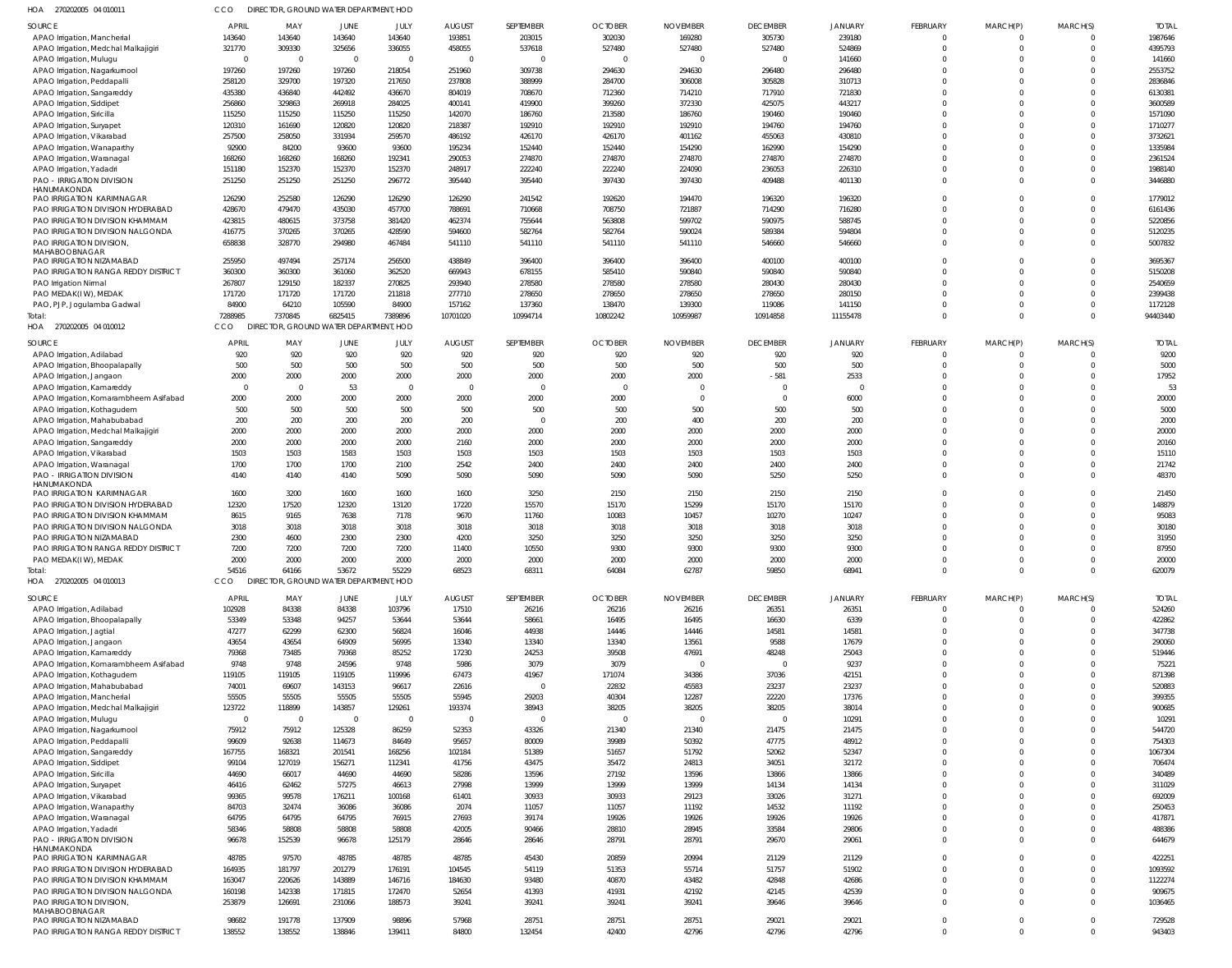| SOURCE<br><b>APRIL</b><br>MAY<br><b>JUNE</b><br>JULY<br><b>AUGUST</b><br>SEPTEMBER<br><b>OCTOBER</b><br><b>NOVEMBER</b><br><b>DECEMBER</b><br><b>JANUARY</b><br>FEBRUARY<br>MARCH(P)<br>143640<br>143640<br>143640<br>143640<br>193851<br>203015<br>302030<br>169280<br>305730<br>239180<br>APAO Irrigation, Mancherial<br>$\Omega$<br>321770<br>309330<br>325656<br>336055<br>458055<br>537618<br>527480<br>527480<br>527480<br>524869<br>APAO Irrigation, Medchal Malkajigiri<br>$\Omega$<br>$\overline{0}$<br>APAO Irrigation, Mulugu<br>$\overline{0}$<br>$\overline{\mathbf{0}}$<br>$\overline{0}$<br>$\overline{0}$<br>141660<br>0<br>$\Omega$<br>- 0<br>- 0<br>197260<br>197260<br>197260<br>218054<br>251960<br>309738<br>294630<br>294630<br>296480<br>296480<br>APAO Irrigation, Nagarkurnool<br>$\Omega$<br>258120<br>329700<br>197320<br>217650<br>237808<br>388999<br>284700<br>306008<br>305828<br>310713<br>APAO Irrigation, Peddapalli<br>$\Omega$<br>435380<br>436840<br>442492<br>436670<br>804019<br>708670<br>712360<br>714210<br>717910<br>721830<br>APAO Irrigation, Sangareddy<br>$\cap$<br>256860<br>329863<br>269918<br>284025<br>400141<br>419900<br>399260<br>372330<br>425075<br>443217<br>APAO Irrigation, Siddipet<br>115250<br>115250<br>115250<br>115250<br>142070<br>186760<br>213580<br>186760<br>190460<br>190460<br>APAO Irrigation, Siricilla<br>120310<br>161690<br>120820<br>120820<br>218387<br>192910<br>192910<br>192910<br>194760<br>194760<br>APAO Irrigation, Suryapet<br>257500<br>258050<br>331934<br>259570<br>486192<br>426170<br>426170<br>401162<br>455063<br>430810<br>APAO Irrigation, Vikarabad<br>92900<br>84200<br>93600<br>93600<br>195234<br>152440<br>152440<br>154290<br>162990<br>154290<br>APAO Irrigation, Wanaparthy<br>168260<br>168260<br>168260<br>192341<br>290053<br>274870<br>274870<br>274870<br>274870<br>274870<br>APAO Irrigation, Waranagal<br>151180<br>152370<br>152370<br>152370<br>248917<br>222240<br>222240<br>224090<br>236053<br>226310<br>APAO Irrigation, Yadadri<br>$\Omega$<br><b>PAO - IRRIGATION DIVISION</b><br>251250<br>251250<br>251250<br>296772<br>395440<br>395440<br>397430<br>397430<br>409488<br>401130<br>$\Omega$<br>HANUMAKONDA<br>126290<br>252580<br>126290<br>126290<br>126290<br>241542<br>192620<br>194470<br>196320<br>196320<br>PAO IRRIGATION KARIMNAGAR<br>428670<br>479470<br>435030<br>457700<br>788691<br>710668<br>708750<br>721887<br>714290<br>716280<br>PAO IRRIGATION DIVISION HYDERABAD<br>PAO IRRIGATION DIVISION KHAMMAM<br>423815<br>480615<br>373758<br>381420<br>462374<br>755644<br>563808<br>599702<br>590975<br>588745<br>$\Omega$<br>PAO IRRIGATION DIVISION NALGONDA<br>416775<br>370265<br>370265<br>428590<br>594600<br>582764<br>582764<br>590024<br>589384<br>594804<br>$\Omega$<br>PAO IRRIGATION DIVISION,<br>658838<br>328770<br>294980<br>467484<br>541110<br>541110<br>541110<br>541110<br>546660<br>546660<br>$\Omega$<br>MAHABOOBNAGAR<br>255950<br>497494<br>257174<br>256500<br>438849<br>396400<br>396400<br>396400<br>400100<br>400100<br>PAO IRRIGATION NIZAMABAD<br>PAO IRRIGATION RANGA REDDY DISTRICT<br>360300<br>360300<br>361060<br>362520<br>669943<br>678155<br>585410<br>590840<br>590840<br>590840<br>$\Omega$<br>267807<br>129150<br>182337<br>270825<br>293940<br>278580<br>278580<br>278580<br>280430<br>280430<br>PAO Irrigation Nirmal<br>171720<br>171720<br>211818<br>277710<br>278650<br>278650<br>278650<br>278650<br>280150<br>PAO MEDAK(IW), MEDAK<br>171720<br>$\Omega$<br>84900<br>64210<br>105590<br>84900<br>157162<br>137360<br>138470<br>139300<br>119086<br>141150<br>PAO, PJP, Jogulamba Gadwal<br>7288985<br>7370845<br>6825415<br>7389896<br>10701020<br>10994714<br>10802242<br>10959987<br>10914858<br>11155478<br>Total:<br>$\Omega$<br><b>CCO</b><br>DIRECTOR, GROUND WATER DEPARTMENT, HOD<br>HOA 270202005 04 010012<br>SOURCE<br><b>APRIL</b><br>MAY<br>JUNE<br>JULY<br><b>AUGUST</b><br>SEPTEMBER<br><b>OCTOBER</b><br><b>NOVEMBER</b><br><b>DECEMBER</b><br>JANUARY<br>FEBRUARY<br>920<br>920<br>920<br>920<br>920<br>920<br>920<br>920<br>920<br>920<br>APAO Irrigation, Adilabad<br>- 0<br>500<br>500<br>500<br>500<br>500<br>500<br>500<br>500<br>APAO Irrigation, Bhoopalapally<br>500<br>500<br>$\Omega$<br>2000<br>2000<br>2000<br>2000<br>2000<br>2000<br>2000<br>2000<br>$-581$<br>2533<br>$\Omega$<br>APAO Irrigation, Jangaon<br>$\overline{0}$<br>53<br>$\overline{0}$<br>$\Omega$<br>$\overline{0}$<br>- 0<br>$\Omega$<br>$\Omega$<br>APAO Irrigation, Kamareddy<br>- 0<br>- 0<br>2000<br>2000<br>2000<br>2000<br>2000<br>2000<br>2000<br>$\overline{0}$<br>6000<br>APAO Irrigation, Komarambheem Asifabad<br>$\Omega$<br>- 0<br>500<br>500<br>500<br>500<br>500<br>500<br>500<br>500<br>500<br>APAO Irrigation, Kothagudem<br>500<br>$\cap$<br>200<br>200<br>200<br>200<br>200<br>$\overline{0}$<br>200<br>400<br>200<br>200<br>APAO Irrigation, Mahabubabad<br>$\Omega$<br>2000<br>2000<br>2000<br>2000<br>2000<br>2000<br>2000<br>2000<br>2000<br>2000<br>APAO Irrigation, Medchal Malkajigiri<br>$\Omega$<br>2000<br>2000<br>2000<br>2000<br>2160<br>2000<br>2000<br>2000<br>2000<br>2000<br>APAO Irrigation, Sangareddy<br>$\Omega$<br>1503<br>1503<br>1503<br>1583<br>1503<br>1503<br>1503<br>1503<br>1503<br>1503<br>APAO Irrigation, Vikarabad<br>$\Omega$<br>1700<br>1700<br>1700<br>2100<br>2542<br>2400<br>2400<br>2400<br>2400<br>2400<br>$\Omega$<br>APAO Irrigation, Waranagal<br>PAO - IRRIGATION DIVISION<br>4140<br>4140<br>4140<br>5090<br>5090<br>5090<br>5090<br>5090<br>5250<br>5250<br>$\Omega$<br>HANUMAKONDA<br>1600<br>3200<br>1600<br>1600<br>1600<br>3250<br>2150<br>2150<br>2150<br>2150<br>PAO IRRIGATION KARIMNAGAR<br>$\Omega$<br>12320<br>17520<br>12320<br>13120<br>17220<br>15570<br>15170<br>15299<br>15170<br>15170<br>PAO IRRIGATION DIVISION HYDERABAD<br>$\Omega$<br>PAO IRRIGATION DIVISION KHAMMAM<br>8615<br>9165<br>7638<br>7178<br>9670<br>11760<br>10083<br>10457<br>10270<br>10247<br>PAO IRRIGATION DIVISION NALGONDA<br>3018<br>3018<br>3018<br>3018<br>3018<br>3018<br>3018<br>3018<br>3018<br>3018<br>2300<br>4600<br>2300<br>2300<br>4200<br>3250<br>3250<br>3250<br>3250<br>3250<br>PAO IRRIGATION NIZAMABAD<br>PAO IRRIGATION RANGA REDDY DISTRICT<br>7200<br>7200<br>7200<br>7200<br>11400<br>10550<br>9300<br>9300<br>9300<br>9300<br>$\Omega$<br>PAO MEDAK(IW), MEDAK<br>2000<br>2000<br>2000<br>2000<br>2000<br>2000<br>2000<br>2000<br>2000<br>2000<br>55229<br>68523<br>64084<br>62787<br>Total:<br>54516<br>64166<br>53672<br>68311<br>59850<br>68941<br>$\Omega$<br>HOA 270202005 04 010013<br><b>CCO</b><br>DIRECTOR, GROUND WATER DEPARTMENT, HOD<br>FEBRUARY<br>SOURCE<br><b>APRIL</b><br>MAY<br>JUNE<br>JULY<br><b>AUGUST</b><br>SEPTEMBER<br><b>OCTOBER</b><br><b>NOVEMBER</b><br><b>DECEMBER</b><br><b>JANUARY</b><br>102928<br>84338<br>84338<br>103796<br>17510<br>26216<br>26216<br>26216<br>26351<br>26351<br>APAO Irrigation, Adilabad<br>$\Omega$<br>53349<br>53348<br>94257<br>53644<br>53644<br>58661<br>16495<br>16495<br>16630<br>6339<br>APAO Irrigation, Bhoopalapally<br>$\Omega$<br>47277<br>62299<br>62300<br>56824<br>16046<br>44938<br>14446<br>14446<br>14581<br>14581<br>APAO Irrigation, Jagtial<br>$\Omega$<br>43654<br>43654<br>64909<br>56995<br>13340<br>13340<br>13340<br>13561<br>9588<br>17679<br>APAO Irrigation, Jangaon<br>$\Omega$<br>79368<br>73485<br>79368<br>85252<br>17230<br>24253<br>39508<br>47691<br>48248<br>25043<br>APAO Irrigation, Kamareddy<br>$\Omega$<br>9748<br>9748<br>24596<br>9748<br>5986<br>3079<br>3079<br>9237<br>APAO Irrigation, Komarambheem Asifabad<br>$\overline{\mathbf{0}}$<br>$\Omega$<br>$\Omega$<br>41967<br>171074<br>34386<br>42151<br>119105<br>119105<br>119105<br>119996<br>67473<br>37036<br>APAO Irrigation, Kothagudem<br>$\Omega$ |                              |       |        |        |        |        |                |       |       |       |       |          |                      |                               |                    |
|----------------------------------------------------------------------------------------------------------------------------------------------------------------------------------------------------------------------------------------------------------------------------------------------------------------------------------------------------------------------------------------------------------------------------------------------------------------------------------------------------------------------------------------------------------------------------------------------------------------------------------------------------------------------------------------------------------------------------------------------------------------------------------------------------------------------------------------------------------------------------------------------------------------------------------------------------------------------------------------------------------------------------------------------------------------------------------------------------------------------------------------------------------------------------------------------------------------------------------------------------------------------------------------------------------------------------------------------------------------------------------------------------------------------------------------------------------------------------------------------------------------------------------------------------------------------------------------------------------------------------------------------------------------------------------------------------------------------------------------------------------------------------------------------------------------------------------------------------------------------------------------------------------------------------------------------------------------------------------------------------------------------------------------------------------------------------------------------------------------------------------------------------------------------------------------------------------------------------------------------------------------------------------------------------------------------------------------------------------------------------------------------------------------------------------------------------------------------------------------------------------------------------------------------------------------------------------------------------------------------------------------------------------------------------------------------------------------------------------------------------------------------------------------------------------------------------------------------------------------------------------------------------------------------------------------------------------------------------------------------------------------------------------------------------------------------------------------------------------------------------------------------------------------------------------------------------------------------------------------------------------------------------------------------------------------------------------------------------------------------------------------------------------------------------------------------------------------------------------------------------------------------------------------------------------------------------------------------------------------------------------------------------------------------------------------------------------------------------------------------------------------------------------------------------------------------------------------------------------------------------------------------------------------------------------------------------------------------------------------------------------------------------------------------------------------------------------------------------------------------------------------------------------------------------------------------------------------------------------------------------------------------------------------------------------------------------------------------------------------------------------------------------------------------------------------------------------------------------------------------------------------------------------------------------------------------------------------------------------------------------------------------------------------------------------------------------------------------------------------------------------------------------------------------------------------------------------------------------------------------------------------------------------------------------------------------------------------------------------------------------------------------------------------------------------------------------------------------------------------------------------------------------------------------------------------------------------------------------------------------------------------------------------------------------------------------------------------------------------------------------------------------------------------------------------------------------------------------------------------------------------------------------------------------------------------------------------------------------------------------------------------------------------------------------------------------------------------------------------------------------------------------------------------------------------------------------------------------------------------------------------------------------------------------------------------------------------------------------------------------------------------------------------------------------------------------------------------------------------------------------------------------------------------------------------------------------------------------------------------------------------------------------------------------------------------------------------------------------------------------------------------------------------------------------------------------------------------------------------------------------------------------------------------------------------------------------------------------------------------------------------------------------------------------------------------------------------------------------------------------------------------------------------------------------------------------------------------------------------------------------------------------------------------------------------------------------------------------------------------------------------------------------------------------------------------------------------------------------------------------------------------------------------------------------------------------------------------------------------------------------------------------------------------------------------------------------------------------------------------------------------------------------------------------------------------------------------------------------------------------------------------------------------------------------------------------------------------------------------------------------------------------------------------------------------------------------------------------------------------------------------------------------------------------------------------------------------------------------------------------------------------|------------------------------|-------|--------|--------|--------|--------|----------------|-------|-------|-------|-------|----------|----------------------|-------------------------------|--------------------|
|                                                                                                                                                                                                                                                                                                                                                                                                                                                                                                                                                                                                                                                                                                                                                                                                                                                                                                                                                                                                                                                                                                                                                                                                                                                                                                                                                                                                                                                                                                                                                                                                                                                                                                                                                                                                                                                                                                                                                                                                                                                                                                                                                                                                                                                                                                                                                                                                                                                                                                                                                                                                                                                                                                                                                                                                                                                                                                                                                                                                                                                                                                                                                                                                                                                                                                                                                                                                                                                                                                                                                                                                                                                                                                                                                                                                                                                                                                                                                                                                                                                                                                                                                                                                                                                                                                                                                                                                                                                                                                                                                                                                                                                                                                                                                                                                                                                                                                                                                                                                                                                                                                                                                                                                                                                                                                                                                                                                                                                                                                                                                                                                                                                                                                                                                                                                                                                                                                                                                                                                                                                                                                                                                                                                                                                                                                                                                                                                                                                                                                                                                                                                                                                                                                                                                                                                                                                                                                                                                                                                                                                                                                                                                                                                                                                                                                                                                                                                                                                                                                                                                                                                                                                                                                                                                                                                                                                                                        |                              |       |        |        |        |        |                |       |       |       |       |          |                      | MARCH(S)                      | <b>TOTAI</b>       |
|                                                                                                                                                                                                                                                                                                                                                                                                                                                                                                                                                                                                                                                                                                                                                                                                                                                                                                                                                                                                                                                                                                                                                                                                                                                                                                                                                                                                                                                                                                                                                                                                                                                                                                                                                                                                                                                                                                                                                                                                                                                                                                                                                                                                                                                                                                                                                                                                                                                                                                                                                                                                                                                                                                                                                                                                                                                                                                                                                                                                                                                                                                                                                                                                                                                                                                                                                                                                                                                                                                                                                                                                                                                                                                                                                                                                                                                                                                                                                                                                                                                                                                                                                                                                                                                                                                                                                                                                                                                                                                                                                                                                                                                                                                                                                                                                                                                                                                                                                                                                                                                                                                                                                                                                                                                                                                                                                                                                                                                                                                                                                                                                                                                                                                                                                                                                                                                                                                                                                                                                                                                                                                                                                                                                                                                                                                                                                                                                                                                                                                                                                                                                                                                                                                                                                                                                                                                                                                                                                                                                                                                                                                                                                                                                                                                                                                                                                                                                                                                                                                                                                                                                                                                                                                                                                                                                                                                                                        |                              |       |        |        |        |        |                |       |       |       |       |          | $\Omega$             | $\overline{0}$                | 1987646            |
|                                                                                                                                                                                                                                                                                                                                                                                                                                                                                                                                                                                                                                                                                                                                                                                                                                                                                                                                                                                                                                                                                                                                                                                                                                                                                                                                                                                                                                                                                                                                                                                                                                                                                                                                                                                                                                                                                                                                                                                                                                                                                                                                                                                                                                                                                                                                                                                                                                                                                                                                                                                                                                                                                                                                                                                                                                                                                                                                                                                                                                                                                                                                                                                                                                                                                                                                                                                                                                                                                                                                                                                                                                                                                                                                                                                                                                                                                                                                                                                                                                                                                                                                                                                                                                                                                                                                                                                                                                                                                                                                                                                                                                                                                                                                                                                                                                                                                                                                                                                                                                                                                                                                                                                                                                                                                                                                                                                                                                                                                                                                                                                                                                                                                                                                                                                                                                                                                                                                                                                                                                                                                                                                                                                                                                                                                                                                                                                                                                                                                                                                                                                                                                                                                                                                                                                                                                                                                                                                                                                                                                                                                                                                                                                                                                                                                                                                                                                                                                                                                                                                                                                                                                                                                                                                                                                                                                                                                        |                              |       |        |        |        |        |                |       |       |       |       |          | $\Omega$<br>$\Omega$ | $\overline{0}$<br>$\Omega$    | 4395793<br>141660  |
|                                                                                                                                                                                                                                                                                                                                                                                                                                                                                                                                                                                                                                                                                                                                                                                                                                                                                                                                                                                                                                                                                                                                                                                                                                                                                                                                                                                                                                                                                                                                                                                                                                                                                                                                                                                                                                                                                                                                                                                                                                                                                                                                                                                                                                                                                                                                                                                                                                                                                                                                                                                                                                                                                                                                                                                                                                                                                                                                                                                                                                                                                                                                                                                                                                                                                                                                                                                                                                                                                                                                                                                                                                                                                                                                                                                                                                                                                                                                                                                                                                                                                                                                                                                                                                                                                                                                                                                                                                                                                                                                                                                                                                                                                                                                                                                                                                                                                                                                                                                                                                                                                                                                                                                                                                                                                                                                                                                                                                                                                                                                                                                                                                                                                                                                                                                                                                                                                                                                                                                                                                                                                                                                                                                                                                                                                                                                                                                                                                                                                                                                                                                                                                                                                                                                                                                                                                                                                                                                                                                                                                                                                                                                                                                                                                                                                                                                                                                                                                                                                                                                                                                                                                                                                                                                                                                                                                                                                        |                              |       |        |        |        |        |                |       |       |       |       |          | $\Omega$             | $\Omega$                      | 2553752            |
|                                                                                                                                                                                                                                                                                                                                                                                                                                                                                                                                                                                                                                                                                                                                                                                                                                                                                                                                                                                                                                                                                                                                                                                                                                                                                                                                                                                                                                                                                                                                                                                                                                                                                                                                                                                                                                                                                                                                                                                                                                                                                                                                                                                                                                                                                                                                                                                                                                                                                                                                                                                                                                                                                                                                                                                                                                                                                                                                                                                                                                                                                                                                                                                                                                                                                                                                                                                                                                                                                                                                                                                                                                                                                                                                                                                                                                                                                                                                                                                                                                                                                                                                                                                                                                                                                                                                                                                                                                                                                                                                                                                                                                                                                                                                                                                                                                                                                                                                                                                                                                                                                                                                                                                                                                                                                                                                                                                                                                                                                                                                                                                                                                                                                                                                                                                                                                                                                                                                                                                                                                                                                                                                                                                                                                                                                                                                                                                                                                                                                                                                                                                                                                                                                                                                                                                                                                                                                                                                                                                                                                                                                                                                                                                                                                                                                                                                                                                                                                                                                                                                                                                                                                                                                                                                                                                                                                                                                        |                              |       |        |        |        |        |                |       |       |       |       |          | $\Omega$             | $\Omega$                      | 2836846            |
|                                                                                                                                                                                                                                                                                                                                                                                                                                                                                                                                                                                                                                                                                                                                                                                                                                                                                                                                                                                                                                                                                                                                                                                                                                                                                                                                                                                                                                                                                                                                                                                                                                                                                                                                                                                                                                                                                                                                                                                                                                                                                                                                                                                                                                                                                                                                                                                                                                                                                                                                                                                                                                                                                                                                                                                                                                                                                                                                                                                                                                                                                                                                                                                                                                                                                                                                                                                                                                                                                                                                                                                                                                                                                                                                                                                                                                                                                                                                                                                                                                                                                                                                                                                                                                                                                                                                                                                                                                                                                                                                                                                                                                                                                                                                                                                                                                                                                                                                                                                                                                                                                                                                                                                                                                                                                                                                                                                                                                                                                                                                                                                                                                                                                                                                                                                                                                                                                                                                                                                                                                                                                                                                                                                                                                                                                                                                                                                                                                                                                                                                                                                                                                                                                                                                                                                                                                                                                                                                                                                                                                                                                                                                                                                                                                                                                                                                                                                                                                                                                                                                                                                                                                                                                                                                                                                                                                                                                        |                              |       |        |        |        |        |                |       |       |       |       |          | $\Omega$             | $\Omega$                      | 6130381            |
|                                                                                                                                                                                                                                                                                                                                                                                                                                                                                                                                                                                                                                                                                                                                                                                                                                                                                                                                                                                                                                                                                                                                                                                                                                                                                                                                                                                                                                                                                                                                                                                                                                                                                                                                                                                                                                                                                                                                                                                                                                                                                                                                                                                                                                                                                                                                                                                                                                                                                                                                                                                                                                                                                                                                                                                                                                                                                                                                                                                                                                                                                                                                                                                                                                                                                                                                                                                                                                                                                                                                                                                                                                                                                                                                                                                                                                                                                                                                                                                                                                                                                                                                                                                                                                                                                                                                                                                                                                                                                                                                                                                                                                                                                                                                                                                                                                                                                                                                                                                                                                                                                                                                                                                                                                                                                                                                                                                                                                                                                                                                                                                                                                                                                                                                                                                                                                                                                                                                                                                                                                                                                                                                                                                                                                                                                                                                                                                                                                                                                                                                                                                                                                                                                                                                                                                                                                                                                                                                                                                                                                                                                                                                                                                                                                                                                                                                                                                                                                                                                                                                                                                                                                                                                                                                                                                                                                                                                        |                              |       |        |        |        |        |                |       |       |       |       |          | $\Omega$             | $\Omega$                      | 3600589            |
|                                                                                                                                                                                                                                                                                                                                                                                                                                                                                                                                                                                                                                                                                                                                                                                                                                                                                                                                                                                                                                                                                                                                                                                                                                                                                                                                                                                                                                                                                                                                                                                                                                                                                                                                                                                                                                                                                                                                                                                                                                                                                                                                                                                                                                                                                                                                                                                                                                                                                                                                                                                                                                                                                                                                                                                                                                                                                                                                                                                                                                                                                                                                                                                                                                                                                                                                                                                                                                                                                                                                                                                                                                                                                                                                                                                                                                                                                                                                                                                                                                                                                                                                                                                                                                                                                                                                                                                                                                                                                                                                                                                                                                                                                                                                                                                                                                                                                                                                                                                                                                                                                                                                                                                                                                                                                                                                                                                                                                                                                                                                                                                                                                                                                                                                                                                                                                                                                                                                                                                                                                                                                                                                                                                                                                                                                                                                                                                                                                                                                                                                                                                                                                                                                                                                                                                                                                                                                                                                                                                                                                                                                                                                                                                                                                                                                                                                                                                                                                                                                                                                                                                                                                                                                                                                                                                                                                                                                        |                              |       |        |        |        |        |                |       |       |       |       |          | $\Omega$             | $\Omega$                      | 1571090            |
|                                                                                                                                                                                                                                                                                                                                                                                                                                                                                                                                                                                                                                                                                                                                                                                                                                                                                                                                                                                                                                                                                                                                                                                                                                                                                                                                                                                                                                                                                                                                                                                                                                                                                                                                                                                                                                                                                                                                                                                                                                                                                                                                                                                                                                                                                                                                                                                                                                                                                                                                                                                                                                                                                                                                                                                                                                                                                                                                                                                                                                                                                                                                                                                                                                                                                                                                                                                                                                                                                                                                                                                                                                                                                                                                                                                                                                                                                                                                                                                                                                                                                                                                                                                                                                                                                                                                                                                                                                                                                                                                                                                                                                                                                                                                                                                                                                                                                                                                                                                                                                                                                                                                                                                                                                                                                                                                                                                                                                                                                                                                                                                                                                                                                                                                                                                                                                                                                                                                                                                                                                                                                                                                                                                                                                                                                                                                                                                                                                                                                                                                                                                                                                                                                                                                                                                                                                                                                                                                                                                                                                                                                                                                                                                                                                                                                                                                                                                                                                                                                                                                                                                                                                                                                                                                                                                                                                                                                        |                              |       |        |        |        |        |                |       |       |       |       |          | $\Omega$             | $\Omega$                      | 1710277            |
|                                                                                                                                                                                                                                                                                                                                                                                                                                                                                                                                                                                                                                                                                                                                                                                                                                                                                                                                                                                                                                                                                                                                                                                                                                                                                                                                                                                                                                                                                                                                                                                                                                                                                                                                                                                                                                                                                                                                                                                                                                                                                                                                                                                                                                                                                                                                                                                                                                                                                                                                                                                                                                                                                                                                                                                                                                                                                                                                                                                                                                                                                                                                                                                                                                                                                                                                                                                                                                                                                                                                                                                                                                                                                                                                                                                                                                                                                                                                                                                                                                                                                                                                                                                                                                                                                                                                                                                                                                                                                                                                                                                                                                                                                                                                                                                                                                                                                                                                                                                                                                                                                                                                                                                                                                                                                                                                                                                                                                                                                                                                                                                                                                                                                                                                                                                                                                                                                                                                                                                                                                                                                                                                                                                                                                                                                                                                                                                                                                                                                                                                                                                                                                                                                                                                                                                                                                                                                                                                                                                                                                                                                                                                                                                                                                                                                                                                                                                                                                                                                                                                                                                                                                                                                                                                                                                                                                                                                        |                              |       |        |        |        |        |                |       |       |       |       |          | $\Omega$             | $\Omega$                      | 3732621            |
|                                                                                                                                                                                                                                                                                                                                                                                                                                                                                                                                                                                                                                                                                                                                                                                                                                                                                                                                                                                                                                                                                                                                                                                                                                                                                                                                                                                                                                                                                                                                                                                                                                                                                                                                                                                                                                                                                                                                                                                                                                                                                                                                                                                                                                                                                                                                                                                                                                                                                                                                                                                                                                                                                                                                                                                                                                                                                                                                                                                                                                                                                                                                                                                                                                                                                                                                                                                                                                                                                                                                                                                                                                                                                                                                                                                                                                                                                                                                                                                                                                                                                                                                                                                                                                                                                                                                                                                                                                                                                                                                                                                                                                                                                                                                                                                                                                                                                                                                                                                                                                                                                                                                                                                                                                                                                                                                                                                                                                                                                                                                                                                                                                                                                                                                                                                                                                                                                                                                                                                                                                                                                                                                                                                                                                                                                                                                                                                                                                                                                                                                                                                                                                                                                                                                                                                                                                                                                                                                                                                                                                                                                                                                                                                                                                                                                                                                                                                                                                                                                                                                                                                                                                                                                                                                                                                                                                                                                        |                              |       |        |        |        |        |                |       |       |       |       |          | $\Omega$             | $\mathbf 0$                   | 1335984            |
|                                                                                                                                                                                                                                                                                                                                                                                                                                                                                                                                                                                                                                                                                                                                                                                                                                                                                                                                                                                                                                                                                                                                                                                                                                                                                                                                                                                                                                                                                                                                                                                                                                                                                                                                                                                                                                                                                                                                                                                                                                                                                                                                                                                                                                                                                                                                                                                                                                                                                                                                                                                                                                                                                                                                                                                                                                                                                                                                                                                                                                                                                                                                                                                                                                                                                                                                                                                                                                                                                                                                                                                                                                                                                                                                                                                                                                                                                                                                                                                                                                                                                                                                                                                                                                                                                                                                                                                                                                                                                                                                                                                                                                                                                                                                                                                                                                                                                                                                                                                                                                                                                                                                                                                                                                                                                                                                                                                                                                                                                                                                                                                                                                                                                                                                                                                                                                                                                                                                                                                                                                                                                                                                                                                                                                                                                                                                                                                                                                                                                                                                                                                                                                                                                                                                                                                                                                                                                                                                                                                                                                                                                                                                                                                                                                                                                                                                                                                                                                                                                                                                                                                                                                                                                                                                                                                                                                                                                        |                              |       |        |        |        |        |                |       |       |       |       |          | $\Omega$             | $\Omega$                      | 2361524            |
|                                                                                                                                                                                                                                                                                                                                                                                                                                                                                                                                                                                                                                                                                                                                                                                                                                                                                                                                                                                                                                                                                                                                                                                                                                                                                                                                                                                                                                                                                                                                                                                                                                                                                                                                                                                                                                                                                                                                                                                                                                                                                                                                                                                                                                                                                                                                                                                                                                                                                                                                                                                                                                                                                                                                                                                                                                                                                                                                                                                                                                                                                                                                                                                                                                                                                                                                                                                                                                                                                                                                                                                                                                                                                                                                                                                                                                                                                                                                                                                                                                                                                                                                                                                                                                                                                                                                                                                                                                                                                                                                                                                                                                                                                                                                                                                                                                                                                                                                                                                                                                                                                                                                                                                                                                                                                                                                                                                                                                                                                                                                                                                                                                                                                                                                                                                                                                                                                                                                                                                                                                                                                                                                                                                                                                                                                                                                                                                                                                                                                                                                                                                                                                                                                                                                                                                                                                                                                                                                                                                                                                                                                                                                                                                                                                                                                                                                                                                                                                                                                                                                                                                                                                                                                                                                                                                                                                                                                        |                              |       |        |        |        |        |                |       |       |       |       |          | $\Omega$<br>$\Omega$ | $\mathbf 0$<br>$\Omega$       | 1988140<br>3446880 |
|                                                                                                                                                                                                                                                                                                                                                                                                                                                                                                                                                                                                                                                                                                                                                                                                                                                                                                                                                                                                                                                                                                                                                                                                                                                                                                                                                                                                                                                                                                                                                                                                                                                                                                                                                                                                                                                                                                                                                                                                                                                                                                                                                                                                                                                                                                                                                                                                                                                                                                                                                                                                                                                                                                                                                                                                                                                                                                                                                                                                                                                                                                                                                                                                                                                                                                                                                                                                                                                                                                                                                                                                                                                                                                                                                                                                                                                                                                                                                                                                                                                                                                                                                                                                                                                                                                                                                                                                                                                                                                                                                                                                                                                                                                                                                                                                                                                                                                                                                                                                                                                                                                                                                                                                                                                                                                                                                                                                                                                                                                                                                                                                                                                                                                                                                                                                                                                                                                                                                                                                                                                                                                                                                                                                                                                                                                                                                                                                                                                                                                                                                                                                                                                                                                                                                                                                                                                                                                                                                                                                                                                                                                                                                                                                                                                                                                                                                                                                                                                                                                                                                                                                                                                                                                                                                                                                                                                                                        |                              |       |        |        |        |        |                |       |       |       |       |          |                      |                               |                    |
|                                                                                                                                                                                                                                                                                                                                                                                                                                                                                                                                                                                                                                                                                                                                                                                                                                                                                                                                                                                                                                                                                                                                                                                                                                                                                                                                                                                                                                                                                                                                                                                                                                                                                                                                                                                                                                                                                                                                                                                                                                                                                                                                                                                                                                                                                                                                                                                                                                                                                                                                                                                                                                                                                                                                                                                                                                                                                                                                                                                                                                                                                                                                                                                                                                                                                                                                                                                                                                                                                                                                                                                                                                                                                                                                                                                                                                                                                                                                                                                                                                                                                                                                                                                                                                                                                                                                                                                                                                                                                                                                                                                                                                                                                                                                                                                                                                                                                                                                                                                                                                                                                                                                                                                                                                                                                                                                                                                                                                                                                                                                                                                                                                                                                                                                                                                                                                                                                                                                                                                                                                                                                                                                                                                                                                                                                                                                                                                                                                                                                                                                                                                                                                                                                                                                                                                                                                                                                                                                                                                                                                                                                                                                                                                                                                                                                                                                                                                                                                                                                                                                                                                                                                                                                                                                                                                                                                                                                        |                              |       |        |        |        |        |                |       |       |       |       |          | $\Omega$             | $\Omega$                      | 1779012            |
|                                                                                                                                                                                                                                                                                                                                                                                                                                                                                                                                                                                                                                                                                                                                                                                                                                                                                                                                                                                                                                                                                                                                                                                                                                                                                                                                                                                                                                                                                                                                                                                                                                                                                                                                                                                                                                                                                                                                                                                                                                                                                                                                                                                                                                                                                                                                                                                                                                                                                                                                                                                                                                                                                                                                                                                                                                                                                                                                                                                                                                                                                                                                                                                                                                                                                                                                                                                                                                                                                                                                                                                                                                                                                                                                                                                                                                                                                                                                                                                                                                                                                                                                                                                                                                                                                                                                                                                                                                                                                                                                                                                                                                                                                                                                                                                                                                                                                                                                                                                                                                                                                                                                                                                                                                                                                                                                                                                                                                                                                                                                                                                                                                                                                                                                                                                                                                                                                                                                                                                                                                                                                                                                                                                                                                                                                                                                                                                                                                                                                                                                                                                                                                                                                                                                                                                                                                                                                                                                                                                                                                                                                                                                                                                                                                                                                                                                                                                                                                                                                                                                                                                                                                                                                                                                                                                                                                                                                        |                              |       |        |        |        |        |                |       |       |       |       |          | $\Omega$             | $\overline{0}$                | 6161436            |
|                                                                                                                                                                                                                                                                                                                                                                                                                                                                                                                                                                                                                                                                                                                                                                                                                                                                                                                                                                                                                                                                                                                                                                                                                                                                                                                                                                                                                                                                                                                                                                                                                                                                                                                                                                                                                                                                                                                                                                                                                                                                                                                                                                                                                                                                                                                                                                                                                                                                                                                                                                                                                                                                                                                                                                                                                                                                                                                                                                                                                                                                                                                                                                                                                                                                                                                                                                                                                                                                                                                                                                                                                                                                                                                                                                                                                                                                                                                                                                                                                                                                                                                                                                                                                                                                                                                                                                                                                                                                                                                                                                                                                                                                                                                                                                                                                                                                                                                                                                                                                                                                                                                                                                                                                                                                                                                                                                                                                                                                                                                                                                                                                                                                                                                                                                                                                                                                                                                                                                                                                                                                                                                                                                                                                                                                                                                                                                                                                                                                                                                                                                                                                                                                                                                                                                                                                                                                                                                                                                                                                                                                                                                                                                                                                                                                                                                                                                                                                                                                                                                                                                                                                                                                                                                                                                                                                                                                                        |                              |       |        |        |        |        |                |       |       |       |       |          | $\Omega$             | $\mathbf 0$                   | 5220856            |
|                                                                                                                                                                                                                                                                                                                                                                                                                                                                                                                                                                                                                                                                                                                                                                                                                                                                                                                                                                                                                                                                                                                                                                                                                                                                                                                                                                                                                                                                                                                                                                                                                                                                                                                                                                                                                                                                                                                                                                                                                                                                                                                                                                                                                                                                                                                                                                                                                                                                                                                                                                                                                                                                                                                                                                                                                                                                                                                                                                                                                                                                                                                                                                                                                                                                                                                                                                                                                                                                                                                                                                                                                                                                                                                                                                                                                                                                                                                                                                                                                                                                                                                                                                                                                                                                                                                                                                                                                                                                                                                                                                                                                                                                                                                                                                                                                                                                                                                                                                                                                                                                                                                                                                                                                                                                                                                                                                                                                                                                                                                                                                                                                                                                                                                                                                                                                                                                                                                                                                                                                                                                                                                                                                                                                                                                                                                                                                                                                                                                                                                                                                                                                                                                                                                                                                                                                                                                                                                                                                                                                                                                                                                                                                                                                                                                                                                                                                                                                                                                                                                                                                                                                                                                                                                                                                                                                                                                                        |                              |       |        |        |        |        |                |       |       |       |       |          | $\Omega$<br>$\Omega$ | $\mathbf 0$<br>$\Omega$       | 5120235            |
|                                                                                                                                                                                                                                                                                                                                                                                                                                                                                                                                                                                                                                                                                                                                                                                                                                                                                                                                                                                                                                                                                                                                                                                                                                                                                                                                                                                                                                                                                                                                                                                                                                                                                                                                                                                                                                                                                                                                                                                                                                                                                                                                                                                                                                                                                                                                                                                                                                                                                                                                                                                                                                                                                                                                                                                                                                                                                                                                                                                                                                                                                                                                                                                                                                                                                                                                                                                                                                                                                                                                                                                                                                                                                                                                                                                                                                                                                                                                                                                                                                                                                                                                                                                                                                                                                                                                                                                                                                                                                                                                                                                                                                                                                                                                                                                                                                                                                                                                                                                                                                                                                                                                                                                                                                                                                                                                                                                                                                                                                                                                                                                                                                                                                                                                                                                                                                                                                                                                                                                                                                                                                                                                                                                                                                                                                                                                                                                                                                                                                                                                                                                                                                                                                                                                                                                                                                                                                                                                                                                                                                                                                                                                                                                                                                                                                                                                                                                                                                                                                                                                                                                                                                                                                                                                                                                                                                                                                        |                              |       |        |        |        |        |                |       |       |       |       |          |                      |                               | 5007832            |
|                                                                                                                                                                                                                                                                                                                                                                                                                                                                                                                                                                                                                                                                                                                                                                                                                                                                                                                                                                                                                                                                                                                                                                                                                                                                                                                                                                                                                                                                                                                                                                                                                                                                                                                                                                                                                                                                                                                                                                                                                                                                                                                                                                                                                                                                                                                                                                                                                                                                                                                                                                                                                                                                                                                                                                                                                                                                                                                                                                                                                                                                                                                                                                                                                                                                                                                                                                                                                                                                                                                                                                                                                                                                                                                                                                                                                                                                                                                                                                                                                                                                                                                                                                                                                                                                                                                                                                                                                                                                                                                                                                                                                                                                                                                                                                                                                                                                                                                                                                                                                                                                                                                                                                                                                                                                                                                                                                                                                                                                                                                                                                                                                                                                                                                                                                                                                                                                                                                                                                                                                                                                                                                                                                                                                                                                                                                                                                                                                                                                                                                                                                                                                                                                                                                                                                                                                                                                                                                                                                                                                                                                                                                                                                                                                                                                                                                                                                                                                                                                                                                                                                                                                                                                                                                                                                                                                                                                                        |                              |       |        |        |        |        |                |       |       |       |       |          | $\Omega$             | $\Omega$                      | 3695367            |
|                                                                                                                                                                                                                                                                                                                                                                                                                                                                                                                                                                                                                                                                                                                                                                                                                                                                                                                                                                                                                                                                                                                                                                                                                                                                                                                                                                                                                                                                                                                                                                                                                                                                                                                                                                                                                                                                                                                                                                                                                                                                                                                                                                                                                                                                                                                                                                                                                                                                                                                                                                                                                                                                                                                                                                                                                                                                                                                                                                                                                                                                                                                                                                                                                                                                                                                                                                                                                                                                                                                                                                                                                                                                                                                                                                                                                                                                                                                                                                                                                                                                                                                                                                                                                                                                                                                                                                                                                                                                                                                                                                                                                                                                                                                                                                                                                                                                                                                                                                                                                                                                                                                                                                                                                                                                                                                                                                                                                                                                                                                                                                                                                                                                                                                                                                                                                                                                                                                                                                                                                                                                                                                                                                                                                                                                                                                                                                                                                                                                                                                                                                                                                                                                                                                                                                                                                                                                                                                                                                                                                                                                                                                                                                                                                                                                                                                                                                                                                                                                                                                                                                                                                                                                                                                                                                                                                                                                                        |                              |       |        |        |        |        |                |       |       |       |       |          | $\Omega$             | $\mathbf 0$                   | 5150208            |
|                                                                                                                                                                                                                                                                                                                                                                                                                                                                                                                                                                                                                                                                                                                                                                                                                                                                                                                                                                                                                                                                                                                                                                                                                                                                                                                                                                                                                                                                                                                                                                                                                                                                                                                                                                                                                                                                                                                                                                                                                                                                                                                                                                                                                                                                                                                                                                                                                                                                                                                                                                                                                                                                                                                                                                                                                                                                                                                                                                                                                                                                                                                                                                                                                                                                                                                                                                                                                                                                                                                                                                                                                                                                                                                                                                                                                                                                                                                                                                                                                                                                                                                                                                                                                                                                                                                                                                                                                                                                                                                                                                                                                                                                                                                                                                                                                                                                                                                                                                                                                                                                                                                                                                                                                                                                                                                                                                                                                                                                                                                                                                                                                                                                                                                                                                                                                                                                                                                                                                                                                                                                                                                                                                                                                                                                                                                                                                                                                                                                                                                                                                                                                                                                                                                                                                                                                                                                                                                                                                                                                                                                                                                                                                                                                                                                                                                                                                                                                                                                                                                                                                                                                                                                                                                                                                                                                                                                                        |                              |       |        |        |        |        |                |       |       |       |       |          | $\Omega$             | $\Omega$                      | 2540659            |
|                                                                                                                                                                                                                                                                                                                                                                                                                                                                                                                                                                                                                                                                                                                                                                                                                                                                                                                                                                                                                                                                                                                                                                                                                                                                                                                                                                                                                                                                                                                                                                                                                                                                                                                                                                                                                                                                                                                                                                                                                                                                                                                                                                                                                                                                                                                                                                                                                                                                                                                                                                                                                                                                                                                                                                                                                                                                                                                                                                                                                                                                                                                                                                                                                                                                                                                                                                                                                                                                                                                                                                                                                                                                                                                                                                                                                                                                                                                                                                                                                                                                                                                                                                                                                                                                                                                                                                                                                                                                                                                                                                                                                                                                                                                                                                                                                                                                                                                                                                                                                                                                                                                                                                                                                                                                                                                                                                                                                                                                                                                                                                                                                                                                                                                                                                                                                                                                                                                                                                                                                                                                                                                                                                                                                                                                                                                                                                                                                                                                                                                                                                                                                                                                                                                                                                                                                                                                                                                                                                                                                                                                                                                                                                                                                                                                                                                                                                                                                                                                                                                                                                                                                                                                                                                                                                                                                                                                                        |                              |       |        |        |        |        |                |       |       |       |       |          | $\Omega$             | $\mathbf 0$                   | 2399438            |
|                                                                                                                                                                                                                                                                                                                                                                                                                                                                                                                                                                                                                                                                                                                                                                                                                                                                                                                                                                                                                                                                                                                                                                                                                                                                                                                                                                                                                                                                                                                                                                                                                                                                                                                                                                                                                                                                                                                                                                                                                                                                                                                                                                                                                                                                                                                                                                                                                                                                                                                                                                                                                                                                                                                                                                                                                                                                                                                                                                                                                                                                                                                                                                                                                                                                                                                                                                                                                                                                                                                                                                                                                                                                                                                                                                                                                                                                                                                                                                                                                                                                                                                                                                                                                                                                                                                                                                                                                                                                                                                                                                                                                                                                                                                                                                                                                                                                                                                                                                                                                                                                                                                                                                                                                                                                                                                                                                                                                                                                                                                                                                                                                                                                                                                                                                                                                                                                                                                                                                                                                                                                                                                                                                                                                                                                                                                                                                                                                                                                                                                                                                                                                                                                                                                                                                                                                                                                                                                                                                                                                                                                                                                                                                                                                                                                                                                                                                                                                                                                                                                                                                                                                                                                                                                                                                                                                                                                                        |                              |       |        |        |        |        |                |       |       |       |       |          | $\Omega$             | $\mathbf 0$                   | 1172128            |
|                                                                                                                                                                                                                                                                                                                                                                                                                                                                                                                                                                                                                                                                                                                                                                                                                                                                                                                                                                                                                                                                                                                                                                                                                                                                                                                                                                                                                                                                                                                                                                                                                                                                                                                                                                                                                                                                                                                                                                                                                                                                                                                                                                                                                                                                                                                                                                                                                                                                                                                                                                                                                                                                                                                                                                                                                                                                                                                                                                                                                                                                                                                                                                                                                                                                                                                                                                                                                                                                                                                                                                                                                                                                                                                                                                                                                                                                                                                                                                                                                                                                                                                                                                                                                                                                                                                                                                                                                                                                                                                                                                                                                                                                                                                                                                                                                                                                                                                                                                                                                                                                                                                                                                                                                                                                                                                                                                                                                                                                                                                                                                                                                                                                                                                                                                                                                                                                                                                                                                                                                                                                                                                                                                                                                                                                                                                                                                                                                                                                                                                                                                                                                                                                                                                                                                                                                                                                                                                                                                                                                                                                                                                                                                                                                                                                                                                                                                                                                                                                                                                                                                                                                                                                                                                                                                                                                                                                                        |                              |       |        |        |        |        |                |       |       |       |       |          | $\Omega$             | $\Omega$                      | 94403440           |
|                                                                                                                                                                                                                                                                                                                                                                                                                                                                                                                                                                                                                                                                                                                                                                                                                                                                                                                                                                                                                                                                                                                                                                                                                                                                                                                                                                                                                                                                                                                                                                                                                                                                                                                                                                                                                                                                                                                                                                                                                                                                                                                                                                                                                                                                                                                                                                                                                                                                                                                                                                                                                                                                                                                                                                                                                                                                                                                                                                                                                                                                                                                                                                                                                                                                                                                                                                                                                                                                                                                                                                                                                                                                                                                                                                                                                                                                                                                                                                                                                                                                                                                                                                                                                                                                                                                                                                                                                                                                                                                                                                                                                                                                                                                                                                                                                                                                                                                                                                                                                                                                                                                                                                                                                                                                                                                                                                                                                                                                                                                                                                                                                                                                                                                                                                                                                                                                                                                                                                                                                                                                                                                                                                                                                                                                                                                                                                                                                                                                                                                                                                                                                                                                                                                                                                                                                                                                                                                                                                                                                                                                                                                                                                                                                                                                                                                                                                                                                                                                                                                                                                                                                                                                                                                                                                                                                                                                                        |                              |       |        |        |        |        |                |       |       |       |       |          |                      |                               |                    |
|                                                                                                                                                                                                                                                                                                                                                                                                                                                                                                                                                                                                                                                                                                                                                                                                                                                                                                                                                                                                                                                                                                                                                                                                                                                                                                                                                                                                                                                                                                                                                                                                                                                                                                                                                                                                                                                                                                                                                                                                                                                                                                                                                                                                                                                                                                                                                                                                                                                                                                                                                                                                                                                                                                                                                                                                                                                                                                                                                                                                                                                                                                                                                                                                                                                                                                                                                                                                                                                                                                                                                                                                                                                                                                                                                                                                                                                                                                                                                                                                                                                                                                                                                                                                                                                                                                                                                                                                                                                                                                                                                                                                                                                                                                                                                                                                                                                                                                                                                                                                                                                                                                                                                                                                                                                                                                                                                                                                                                                                                                                                                                                                                                                                                                                                                                                                                                                                                                                                                                                                                                                                                                                                                                                                                                                                                                                                                                                                                                                                                                                                                                                                                                                                                                                                                                                                                                                                                                                                                                                                                                                                                                                                                                                                                                                                                                                                                                                                                                                                                                                                                                                                                                                                                                                                                                                                                                                                                        |                              |       |        |        |        |        |                |       |       |       |       |          | MARCH(P)             | MARCH(S)                      | <b>TOTAL</b>       |
|                                                                                                                                                                                                                                                                                                                                                                                                                                                                                                                                                                                                                                                                                                                                                                                                                                                                                                                                                                                                                                                                                                                                                                                                                                                                                                                                                                                                                                                                                                                                                                                                                                                                                                                                                                                                                                                                                                                                                                                                                                                                                                                                                                                                                                                                                                                                                                                                                                                                                                                                                                                                                                                                                                                                                                                                                                                                                                                                                                                                                                                                                                                                                                                                                                                                                                                                                                                                                                                                                                                                                                                                                                                                                                                                                                                                                                                                                                                                                                                                                                                                                                                                                                                                                                                                                                                                                                                                                                                                                                                                                                                                                                                                                                                                                                                                                                                                                                                                                                                                                                                                                                                                                                                                                                                                                                                                                                                                                                                                                                                                                                                                                                                                                                                                                                                                                                                                                                                                                                                                                                                                                                                                                                                                                                                                                                                                                                                                                                                                                                                                                                                                                                                                                                                                                                                                                                                                                                                                                                                                                                                                                                                                                                                                                                                                                                                                                                                                                                                                                                                                                                                                                                                                                                                                                                                                                                                                                        |                              |       |        |        |        |        |                |       |       |       |       |          | $\Omega$             | $^{\circ}$                    | 9200               |
|                                                                                                                                                                                                                                                                                                                                                                                                                                                                                                                                                                                                                                                                                                                                                                                                                                                                                                                                                                                                                                                                                                                                                                                                                                                                                                                                                                                                                                                                                                                                                                                                                                                                                                                                                                                                                                                                                                                                                                                                                                                                                                                                                                                                                                                                                                                                                                                                                                                                                                                                                                                                                                                                                                                                                                                                                                                                                                                                                                                                                                                                                                                                                                                                                                                                                                                                                                                                                                                                                                                                                                                                                                                                                                                                                                                                                                                                                                                                                                                                                                                                                                                                                                                                                                                                                                                                                                                                                                                                                                                                                                                                                                                                                                                                                                                                                                                                                                                                                                                                                                                                                                                                                                                                                                                                                                                                                                                                                                                                                                                                                                                                                                                                                                                                                                                                                                                                                                                                                                                                                                                                                                                                                                                                                                                                                                                                                                                                                                                                                                                                                                                                                                                                                                                                                                                                                                                                                                                                                                                                                                                                                                                                                                                                                                                                                                                                                                                                                                                                                                                                                                                                                                                                                                                                                                                                                                                                                        |                              |       |        |        |        |        |                |       |       |       |       |          | $\Omega$<br>$\Omega$ | $\overline{0}$<br>$\mathbf 0$ | 5000<br>17952      |
|                                                                                                                                                                                                                                                                                                                                                                                                                                                                                                                                                                                                                                                                                                                                                                                                                                                                                                                                                                                                                                                                                                                                                                                                                                                                                                                                                                                                                                                                                                                                                                                                                                                                                                                                                                                                                                                                                                                                                                                                                                                                                                                                                                                                                                                                                                                                                                                                                                                                                                                                                                                                                                                                                                                                                                                                                                                                                                                                                                                                                                                                                                                                                                                                                                                                                                                                                                                                                                                                                                                                                                                                                                                                                                                                                                                                                                                                                                                                                                                                                                                                                                                                                                                                                                                                                                                                                                                                                                                                                                                                                                                                                                                                                                                                                                                                                                                                                                                                                                                                                                                                                                                                                                                                                                                                                                                                                                                                                                                                                                                                                                                                                                                                                                                                                                                                                                                                                                                                                                                                                                                                                                                                                                                                                                                                                                                                                                                                                                                                                                                                                                                                                                                                                                                                                                                                                                                                                                                                                                                                                                                                                                                                                                                                                                                                                                                                                                                                                                                                                                                                                                                                                                                                                                                                                                                                                                                                                        |                              |       |        |        |        |        |                |       |       |       |       |          | $\Omega$             | $\overline{0}$                | 53                 |
|                                                                                                                                                                                                                                                                                                                                                                                                                                                                                                                                                                                                                                                                                                                                                                                                                                                                                                                                                                                                                                                                                                                                                                                                                                                                                                                                                                                                                                                                                                                                                                                                                                                                                                                                                                                                                                                                                                                                                                                                                                                                                                                                                                                                                                                                                                                                                                                                                                                                                                                                                                                                                                                                                                                                                                                                                                                                                                                                                                                                                                                                                                                                                                                                                                                                                                                                                                                                                                                                                                                                                                                                                                                                                                                                                                                                                                                                                                                                                                                                                                                                                                                                                                                                                                                                                                                                                                                                                                                                                                                                                                                                                                                                                                                                                                                                                                                                                                                                                                                                                                                                                                                                                                                                                                                                                                                                                                                                                                                                                                                                                                                                                                                                                                                                                                                                                                                                                                                                                                                                                                                                                                                                                                                                                                                                                                                                                                                                                                                                                                                                                                                                                                                                                                                                                                                                                                                                                                                                                                                                                                                                                                                                                                                                                                                                                                                                                                                                                                                                                                                                                                                                                                                                                                                                                                                                                                                                                        |                              |       |        |        |        |        |                |       |       |       |       |          | $\Omega$             | $\mathbf 0$                   | 20000              |
|                                                                                                                                                                                                                                                                                                                                                                                                                                                                                                                                                                                                                                                                                                                                                                                                                                                                                                                                                                                                                                                                                                                                                                                                                                                                                                                                                                                                                                                                                                                                                                                                                                                                                                                                                                                                                                                                                                                                                                                                                                                                                                                                                                                                                                                                                                                                                                                                                                                                                                                                                                                                                                                                                                                                                                                                                                                                                                                                                                                                                                                                                                                                                                                                                                                                                                                                                                                                                                                                                                                                                                                                                                                                                                                                                                                                                                                                                                                                                                                                                                                                                                                                                                                                                                                                                                                                                                                                                                                                                                                                                                                                                                                                                                                                                                                                                                                                                                                                                                                                                                                                                                                                                                                                                                                                                                                                                                                                                                                                                                                                                                                                                                                                                                                                                                                                                                                                                                                                                                                                                                                                                                                                                                                                                                                                                                                                                                                                                                                                                                                                                                                                                                                                                                                                                                                                                                                                                                                                                                                                                                                                                                                                                                                                                                                                                                                                                                                                                                                                                                                                                                                                                                                                                                                                                                                                                                                                                        |                              |       |        |        |        |        |                |       |       |       |       |          | $\Omega$             | $\Omega$                      | 5000               |
|                                                                                                                                                                                                                                                                                                                                                                                                                                                                                                                                                                                                                                                                                                                                                                                                                                                                                                                                                                                                                                                                                                                                                                                                                                                                                                                                                                                                                                                                                                                                                                                                                                                                                                                                                                                                                                                                                                                                                                                                                                                                                                                                                                                                                                                                                                                                                                                                                                                                                                                                                                                                                                                                                                                                                                                                                                                                                                                                                                                                                                                                                                                                                                                                                                                                                                                                                                                                                                                                                                                                                                                                                                                                                                                                                                                                                                                                                                                                                                                                                                                                                                                                                                                                                                                                                                                                                                                                                                                                                                                                                                                                                                                                                                                                                                                                                                                                                                                                                                                                                                                                                                                                                                                                                                                                                                                                                                                                                                                                                                                                                                                                                                                                                                                                                                                                                                                                                                                                                                                                                                                                                                                                                                                                                                                                                                                                                                                                                                                                                                                                                                                                                                                                                                                                                                                                                                                                                                                                                                                                                                                                                                                                                                                                                                                                                                                                                                                                                                                                                                                                                                                                                                                                                                                                                                                                                                                                                        |                              |       |        |        |        |        |                |       |       |       |       |          | $\Omega$             | $\mathbf 0$                   | 2000               |
|                                                                                                                                                                                                                                                                                                                                                                                                                                                                                                                                                                                                                                                                                                                                                                                                                                                                                                                                                                                                                                                                                                                                                                                                                                                                                                                                                                                                                                                                                                                                                                                                                                                                                                                                                                                                                                                                                                                                                                                                                                                                                                                                                                                                                                                                                                                                                                                                                                                                                                                                                                                                                                                                                                                                                                                                                                                                                                                                                                                                                                                                                                                                                                                                                                                                                                                                                                                                                                                                                                                                                                                                                                                                                                                                                                                                                                                                                                                                                                                                                                                                                                                                                                                                                                                                                                                                                                                                                                                                                                                                                                                                                                                                                                                                                                                                                                                                                                                                                                                                                                                                                                                                                                                                                                                                                                                                                                                                                                                                                                                                                                                                                                                                                                                                                                                                                                                                                                                                                                                                                                                                                                                                                                                                                                                                                                                                                                                                                                                                                                                                                                                                                                                                                                                                                                                                                                                                                                                                                                                                                                                                                                                                                                                                                                                                                                                                                                                                                                                                                                                                                                                                                                                                                                                                                                                                                                                                                        |                              |       |        |        |        |        |                |       |       |       |       |          | $\Omega$             | $\overline{0}$                | 20000              |
|                                                                                                                                                                                                                                                                                                                                                                                                                                                                                                                                                                                                                                                                                                                                                                                                                                                                                                                                                                                                                                                                                                                                                                                                                                                                                                                                                                                                                                                                                                                                                                                                                                                                                                                                                                                                                                                                                                                                                                                                                                                                                                                                                                                                                                                                                                                                                                                                                                                                                                                                                                                                                                                                                                                                                                                                                                                                                                                                                                                                                                                                                                                                                                                                                                                                                                                                                                                                                                                                                                                                                                                                                                                                                                                                                                                                                                                                                                                                                                                                                                                                                                                                                                                                                                                                                                                                                                                                                                                                                                                                                                                                                                                                                                                                                                                                                                                                                                                                                                                                                                                                                                                                                                                                                                                                                                                                                                                                                                                                                                                                                                                                                                                                                                                                                                                                                                                                                                                                                                                                                                                                                                                                                                                                                                                                                                                                                                                                                                                                                                                                                                                                                                                                                                                                                                                                                                                                                                                                                                                                                                                                                                                                                                                                                                                                                                                                                                                                                                                                                                                                                                                                                                                                                                                                                                                                                                                                                        |                              |       |        |        |        |        |                |       |       |       |       |          | $\Omega$             | $\mathbf 0$                   | 20160              |
|                                                                                                                                                                                                                                                                                                                                                                                                                                                                                                                                                                                                                                                                                                                                                                                                                                                                                                                                                                                                                                                                                                                                                                                                                                                                                                                                                                                                                                                                                                                                                                                                                                                                                                                                                                                                                                                                                                                                                                                                                                                                                                                                                                                                                                                                                                                                                                                                                                                                                                                                                                                                                                                                                                                                                                                                                                                                                                                                                                                                                                                                                                                                                                                                                                                                                                                                                                                                                                                                                                                                                                                                                                                                                                                                                                                                                                                                                                                                                                                                                                                                                                                                                                                                                                                                                                                                                                                                                                                                                                                                                                                                                                                                                                                                                                                                                                                                                                                                                                                                                                                                                                                                                                                                                                                                                                                                                                                                                                                                                                                                                                                                                                                                                                                                                                                                                                                                                                                                                                                                                                                                                                                                                                                                                                                                                                                                                                                                                                                                                                                                                                                                                                                                                                                                                                                                                                                                                                                                                                                                                                                                                                                                                                                                                                                                                                                                                                                                                                                                                                                                                                                                                                                                                                                                                                                                                                                                                        |                              |       |        |        |        |        |                |       |       |       |       |          | $\Omega$             | $\overline{0}$                | 15110              |
|                                                                                                                                                                                                                                                                                                                                                                                                                                                                                                                                                                                                                                                                                                                                                                                                                                                                                                                                                                                                                                                                                                                                                                                                                                                                                                                                                                                                                                                                                                                                                                                                                                                                                                                                                                                                                                                                                                                                                                                                                                                                                                                                                                                                                                                                                                                                                                                                                                                                                                                                                                                                                                                                                                                                                                                                                                                                                                                                                                                                                                                                                                                                                                                                                                                                                                                                                                                                                                                                                                                                                                                                                                                                                                                                                                                                                                                                                                                                                                                                                                                                                                                                                                                                                                                                                                                                                                                                                                                                                                                                                                                                                                                                                                                                                                                                                                                                                                                                                                                                                                                                                                                                                                                                                                                                                                                                                                                                                                                                                                                                                                                                                                                                                                                                                                                                                                                                                                                                                                                                                                                                                                                                                                                                                                                                                                                                                                                                                                                                                                                                                                                                                                                                                                                                                                                                                                                                                                                                                                                                                                                                                                                                                                                                                                                                                                                                                                                                                                                                                                                                                                                                                                                                                                                                                                                                                                                                                        |                              |       |        |        |        |        |                |       |       |       |       |          | $\Omega$             | $\overline{0}$                | 21742              |
|                                                                                                                                                                                                                                                                                                                                                                                                                                                                                                                                                                                                                                                                                                                                                                                                                                                                                                                                                                                                                                                                                                                                                                                                                                                                                                                                                                                                                                                                                                                                                                                                                                                                                                                                                                                                                                                                                                                                                                                                                                                                                                                                                                                                                                                                                                                                                                                                                                                                                                                                                                                                                                                                                                                                                                                                                                                                                                                                                                                                                                                                                                                                                                                                                                                                                                                                                                                                                                                                                                                                                                                                                                                                                                                                                                                                                                                                                                                                                                                                                                                                                                                                                                                                                                                                                                                                                                                                                                                                                                                                                                                                                                                                                                                                                                                                                                                                                                                                                                                                                                                                                                                                                                                                                                                                                                                                                                                                                                                                                                                                                                                                                                                                                                                                                                                                                                                                                                                                                                                                                                                                                                                                                                                                                                                                                                                                                                                                                                                                                                                                                                                                                                                                                                                                                                                                                                                                                                                                                                                                                                                                                                                                                                                                                                                                                                                                                                                                                                                                                                                                                                                                                                                                                                                                                                                                                                                                                        |                              |       |        |        |        |        |                |       |       |       |       |          | $\Omega$             | $\overline{0}$                | 48370              |
|                                                                                                                                                                                                                                                                                                                                                                                                                                                                                                                                                                                                                                                                                                                                                                                                                                                                                                                                                                                                                                                                                                                                                                                                                                                                                                                                                                                                                                                                                                                                                                                                                                                                                                                                                                                                                                                                                                                                                                                                                                                                                                                                                                                                                                                                                                                                                                                                                                                                                                                                                                                                                                                                                                                                                                                                                                                                                                                                                                                                                                                                                                                                                                                                                                                                                                                                                                                                                                                                                                                                                                                                                                                                                                                                                                                                                                                                                                                                                                                                                                                                                                                                                                                                                                                                                                                                                                                                                                                                                                                                                                                                                                                                                                                                                                                                                                                                                                                                                                                                                                                                                                                                                                                                                                                                                                                                                                                                                                                                                                                                                                                                                                                                                                                                                                                                                                                                                                                                                                                                                                                                                                                                                                                                                                                                                                                                                                                                                                                                                                                                                                                                                                                                                                                                                                                                                                                                                                                                                                                                                                                                                                                                                                                                                                                                                                                                                                                                                                                                                                                                                                                                                                                                                                                                                                                                                                                                                        |                              |       |        |        |        |        |                |       |       |       |       |          | $\Omega$             | $\overline{0}$                | 21450              |
|                                                                                                                                                                                                                                                                                                                                                                                                                                                                                                                                                                                                                                                                                                                                                                                                                                                                                                                                                                                                                                                                                                                                                                                                                                                                                                                                                                                                                                                                                                                                                                                                                                                                                                                                                                                                                                                                                                                                                                                                                                                                                                                                                                                                                                                                                                                                                                                                                                                                                                                                                                                                                                                                                                                                                                                                                                                                                                                                                                                                                                                                                                                                                                                                                                                                                                                                                                                                                                                                                                                                                                                                                                                                                                                                                                                                                                                                                                                                                                                                                                                                                                                                                                                                                                                                                                                                                                                                                                                                                                                                                                                                                                                                                                                                                                                                                                                                                                                                                                                                                                                                                                                                                                                                                                                                                                                                                                                                                                                                                                                                                                                                                                                                                                                                                                                                                                                                                                                                                                                                                                                                                                                                                                                                                                                                                                                                                                                                                                                                                                                                                                                                                                                                                                                                                                                                                                                                                                                                                                                                                                                                                                                                                                                                                                                                                                                                                                                                                                                                                                                                                                                                                                                                                                                                                                                                                                                                                        |                              |       |        |        |        |        |                |       |       |       |       |          | $\Omega$             | $\overline{0}$                | 148879             |
|                                                                                                                                                                                                                                                                                                                                                                                                                                                                                                                                                                                                                                                                                                                                                                                                                                                                                                                                                                                                                                                                                                                                                                                                                                                                                                                                                                                                                                                                                                                                                                                                                                                                                                                                                                                                                                                                                                                                                                                                                                                                                                                                                                                                                                                                                                                                                                                                                                                                                                                                                                                                                                                                                                                                                                                                                                                                                                                                                                                                                                                                                                                                                                                                                                                                                                                                                                                                                                                                                                                                                                                                                                                                                                                                                                                                                                                                                                                                                                                                                                                                                                                                                                                                                                                                                                                                                                                                                                                                                                                                                                                                                                                                                                                                                                                                                                                                                                                                                                                                                                                                                                                                                                                                                                                                                                                                                                                                                                                                                                                                                                                                                                                                                                                                                                                                                                                                                                                                                                                                                                                                                                                                                                                                                                                                                                                                                                                                                                                                                                                                                                                                                                                                                                                                                                                                                                                                                                                                                                                                                                                                                                                                                                                                                                                                                                                                                                                                                                                                                                                                                                                                                                                                                                                                                                                                                                                                                        |                              |       |        |        |        |        |                |       |       |       |       |          | $\Omega$             | $\mathbf 0$                   | 95083              |
|                                                                                                                                                                                                                                                                                                                                                                                                                                                                                                                                                                                                                                                                                                                                                                                                                                                                                                                                                                                                                                                                                                                                                                                                                                                                                                                                                                                                                                                                                                                                                                                                                                                                                                                                                                                                                                                                                                                                                                                                                                                                                                                                                                                                                                                                                                                                                                                                                                                                                                                                                                                                                                                                                                                                                                                                                                                                                                                                                                                                                                                                                                                                                                                                                                                                                                                                                                                                                                                                                                                                                                                                                                                                                                                                                                                                                                                                                                                                                                                                                                                                                                                                                                                                                                                                                                                                                                                                                                                                                                                                                                                                                                                                                                                                                                                                                                                                                                                                                                                                                                                                                                                                                                                                                                                                                                                                                                                                                                                                                                                                                                                                                                                                                                                                                                                                                                                                                                                                                                                                                                                                                                                                                                                                                                                                                                                                                                                                                                                                                                                                                                                                                                                                                                                                                                                                                                                                                                                                                                                                                                                                                                                                                                                                                                                                                                                                                                                                                                                                                                                                                                                                                                                                                                                                                                                                                                                                                        |                              |       |        |        |        |        |                |       |       |       |       |          | $\Omega$             | $\overline{0}$                | 30180              |
|                                                                                                                                                                                                                                                                                                                                                                                                                                                                                                                                                                                                                                                                                                                                                                                                                                                                                                                                                                                                                                                                                                                                                                                                                                                                                                                                                                                                                                                                                                                                                                                                                                                                                                                                                                                                                                                                                                                                                                                                                                                                                                                                                                                                                                                                                                                                                                                                                                                                                                                                                                                                                                                                                                                                                                                                                                                                                                                                                                                                                                                                                                                                                                                                                                                                                                                                                                                                                                                                                                                                                                                                                                                                                                                                                                                                                                                                                                                                                                                                                                                                                                                                                                                                                                                                                                                                                                                                                                                                                                                                                                                                                                                                                                                                                                                                                                                                                                                                                                                                                                                                                                                                                                                                                                                                                                                                                                                                                                                                                                                                                                                                                                                                                                                                                                                                                                                                                                                                                                                                                                                                                                                                                                                                                                                                                                                                                                                                                                                                                                                                                                                                                                                                                                                                                                                                                                                                                                                                                                                                                                                                                                                                                                                                                                                                                                                                                                                                                                                                                                                                                                                                                                                                                                                                                                                                                                                                                        |                              |       |        |        |        |        |                |       |       |       |       |          | $\Omega$             | $\Omega$                      | 31950              |
|                                                                                                                                                                                                                                                                                                                                                                                                                                                                                                                                                                                                                                                                                                                                                                                                                                                                                                                                                                                                                                                                                                                                                                                                                                                                                                                                                                                                                                                                                                                                                                                                                                                                                                                                                                                                                                                                                                                                                                                                                                                                                                                                                                                                                                                                                                                                                                                                                                                                                                                                                                                                                                                                                                                                                                                                                                                                                                                                                                                                                                                                                                                                                                                                                                                                                                                                                                                                                                                                                                                                                                                                                                                                                                                                                                                                                                                                                                                                                                                                                                                                                                                                                                                                                                                                                                                                                                                                                                                                                                                                                                                                                                                                                                                                                                                                                                                                                                                                                                                                                                                                                                                                                                                                                                                                                                                                                                                                                                                                                                                                                                                                                                                                                                                                                                                                                                                                                                                                                                                                                                                                                                                                                                                                                                                                                                                                                                                                                                                                                                                                                                                                                                                                                                                                                                                                                                                                                                                                                                                                                                                                                                                                                                                                                                                                                                                                                                                                                                                                                                                                                                                                                                                                                                                                                                                                                                                                                        |                              |       |        |        |        |        |                |       |       |       |       |          | $\Omega$             | $\Omega$<br>$\Omega$          | 87950<br>20000     |
|                                                                                                                                                                                                                                                                                                                                                                                                                                                                                                                                                                                                                                                                                                                                                                                                                                                                                                                                                                                                                                                                                                                                                                                                                                                                                                                                                                                                                                                                                                                                                                                                                                                                                                                                                                                                                                                                                                                                                                                                                                                                                                                                                                                                                                                                                                                                                                                                                                                                                                                                                                                                                                                                                                                                                                                                                                                                                                                                                                                                                                                                                                                                                                                                                                                                                                                                                                                                                                                                                                                                                                                                                                                                                                                                                                                                                                                                                                                                                                                                                                                                                                                                                                                                                                                                                                                                                                                                                                                                                                                                                                                                                                                                                                                                                                                                                                                                                                                                                                                                                                                                                                                                                                                                                                                                                                                                                                                                                                                                                                                                                                                                                                                                                                                                                                                                                                                                                                                                                                                                                                                                                                                                                                                                                                                                                                                                                                                                                                                                                                                                                                                                                                                                                                                                                                                                                                                                                                                                                                                                                                                                                                                                                                                                                                                                                                                                                                                                                                                                                                                                                                                                                                                                                                                                                                                                                                                                                        |                              |       |        |        |        |        |                |       |       |       |       |          | $\Omega$             | $\overline{0}$                | 620079             |
|                                                                                                                                                                                                                                                                                                                                                                                                                                                                                                                                                                                                                                                                                                                                                                                                                                                                                                                                                                                                                                                                                                                                                                                                                                                                                                                                                                                                                                                                                                                                                                                                                                                                                                                                                                                                                                                                                                                                                                                                                                                                                                                                                                                                                                                                                                                                                                                                                                                                                                                                                                                                                                                                                                                                                                                                                                                                                                                                                                                                                                                                                                                                                                                                                                                                                                                                                                                                                                                                                                                                                                                                                                                                                                                                                                                                                                                                                                                                                                                                                                                                                                                                                                                                                                                                                                                                                                                                                                                                                                                                                                                                                                                                                                                                                                                                                                                                                                                                                                                                                                                                                                                                                                                                                                                                                                                                                                                                                                                                                                                                                                                                                                                                                                                                                                                                                                                                                                                                                                                                                                                                                                                                                                                                                                                                                                                                                                                                                                                                                                                                                                                                                                                                                                                                                                                                                                                                                                                                                                                                                                                                                                                                                                                                                                                                                                                                                                                                                                                                                                                                                                                                                                                                                                                                                                                                                                                                                        |                              |       |        |        |        |        |                |       |       |       |       |          |                      |                               |                    |
|                                                                                                                                                                                                                                                                                                                                                                                                                                                                                                                                                                                                                                                                                                                                                                                                                                                                                                                                                                                                                                                                                                                                                                                                                                                                                                                                                                                                                                                                                                                                                                                                                                                                                                                                                                                                                                                                                                                                                                                                                                                                                                                                                                                                                                                                                                                                                                                                                                                                                                                                                                                                                                                                                                                                                                                                                                                                                                                                                                                                                                                                                                                                                                                                                                                                                                                                                                                                                                                                                                                                                                                                                                                                                                                                                                                                                                                                                                                                                                                                                                                                                                                                                                                                                                                                                                                                                                                                                                                                                                                                                                                                                                                                                                                                                                                                                                                                                                                                                                                                                                                                                                                                                                                                                                                                                                                                                                                                                                                                                                                                                                                                                                                                                                                                                                                                                                                                                                                                                                                                                                                                                                                                                                                                                                                                                                                                                                                                                                                                                                                                                                                                                                                                                                                                                                                                                                                                                                                                                                                                                                                                                                                                                                                                                                                                                                                                                                                                                                                                                                                                                                                                                                                                                                                                                                                                                                                                                        |                              |       |        |        |        |        |                |       |       |       |       |          |                      |                               |                    |
|                                                                                                                                                                                                                                                                                                                                                                                                                                                                                                                                                                                                                                                                                                                                                                                                                                                                                                                                                                                                                                                                                                                                                                                                                                                                                                                                                                                                                                                                                                                                                                                                                                                                                                                                                                                                                                                                                                                                                                                                                                                                                                                                                                                                                                                                                                                                                                                                                                                                                                                                                                                                                                                                                                                                                                                                                                                                                                                                                                                                                                                                                                                                                                                                                                                                                                                                                                                                                                                                                                                                                                                                                                                                                                                                                                                                                                                                                                                                                                                                                                                                                                                                                                                                                                                                                                                                                                                                                                                                                                                                                                                                                                                                                                                                                                                                                                                                                                                                                                                                                                                                                                                                                                                                                                                                                                                                                                                                                                                                                                                                                                                                                                                                                                                                                                                                                                                                                                                                                                                                                                                                                                                                                                                                                                                                                                                                                                                                                                                                                                                                                                                                                                                                                                                                                                                                                                                                                                                                                                                                                                                                                                                                                                                                                                                                                                                                                                                                                                                                                                                                                                                                                                                                                                                                                                                                                                                                                        |                              |       |        |        |        |        |                |       |       |       |       |          | MARCH(P)             | MARCH(S)<br>$\Omega$          | <b>TOTAL</b>       |
|                                                                                                                                                                                                                                                                                                                                                                                                                                                                                                                                                                                                                                                                                                                                                                                                                                                                                                                                                                                                                                                                                                                                                                                                                                                                                                                                                                                                                                                                                                                                                                                                                                                                                                                                                                                                                                                                                                                                                                                                                                                                                                                                                                                                                                                                                                                                                                                                                                                                                                                                                                                                                                                                                                                                                                                                                                                                                                                                                                                                                                                                                                                                                                                                                                                                                                                                                                                                                                                                                                                                                                                                                                                                                                                                                                                                                                                                                                                                                                                                                                                                                                                                                                                                                                                                                                                                                                                                                                                                                                                                                                                                                                                                                                                                                                                                                                                                                                                                                                                                                                                                                                                                                                                                                                                                                                                                                                                                                                                                                                                                                                                                                                                                                                                                                                                                                                                                                                                                                                                                                                                                                                                                                                                                                                                                                                                                                                                                                                                                                                                                                                                                                                                                                                                                                                                                                                                                                                                                                                                                                                                                                                                                                                                                                                                                                                                                                                                                                                                                                                                                                                                                                                                                                                                                                                                                                                                                                        |                              |       |        |        |        |        |                |       |       |       |       |          | $\Omega$<br>$\Omega$ | $\overline{0}$                | 524260<br>422862   |
|                                                                                                                                                                                                                                                                                                                                                                                                                                                                                                                                                                                                                                                                                                                                                                                                                                                                                                                                                                                                                                                                                                                                                                                                                                                                                                                                                                                                                                                                                                                                                                                                                                                                                                                                                                                                                                                                                                                                                                                                                                                                                                                                                                                                                                                                                                                                                                                                                                                                                                                                                                                                                                                                                                                                                                                                                                                                                                                                                                                                                                                                                                                                                                                                                                                                                                                                                                                                                                                                                                                                                                                                                                                                                                                                                                                                                                                                                                                                                                                                                                                                                                                                                                                                                                                                                                                                                                                                                                                                                                                                                                                                                                                                                                                                                                                                                                                                                                                                                                                                                                                                                                                                                                                                                                                                                                                                                                                                                                                                                                                                                                                                                                                                                                                                                                                                                                                                                                                                                                                                                                                                                                                                                                                                                                                                                                                                                                                                                                                                                                                                                                                                                                                                                                                                                                                                                                                                                                                                                                                                                                                                                                                                                                                                                                                                                                                                                                                                                                                                                                                                                                                                                                                                                                                                                                                                                                                                                        |                              |       |        |        |        |        |                |       |       |       |       |          | $\Omega$             | $\Omega$                      | 347738             |
|                                                                                                                                                                                                                                                                                                                                                                                                                                                                                                                                                                                                                                                                                                                                                                                                                                                                                                                                                                                                                                                                                                                                                                                                                                                                                                                                                                                                                                                                                                                                                                                                                                                                                                                                                                                                                                                                                                                                                                                                                                                                                                                                                                                                                                                                                                                                                                                                                                                                                                                                                                                                                                                                                                                                                                                                                                                                                                                                                                                                                                                                                                                                                                                                                                                                                                                                                                                                                                                                                                                                                                                                                                                                                                                                                                                                                                                                                                                                                                                                                                                                                                                                                                                                                                                                                                                                                                                                                                                                                                                                                                                                                                                                                                                                                                                                                                                                                                                                                                                                                                                                                                                                                                                                                                                                                                                                                                                                                                                                                                                                                                                                                                                                                                                                                                                                                                                                                                                                                                                                                                                                                                                                                                                                                                                                                                                                                                                                                                                                                                                                                                                                                                                                                                                                                                                                                                                                                                                                                                                                                                                                                                                                                                                                                                                                                                                                                                                                                                                                                                                                                                                                                                                                                                                                                                                                                                                                                        |                              |       |        |        |        |        |                |       |       |       |       |          | $\Omega$             | $\Omega$                      | 290060             |
|                                                                                                                                                                                                                                                                                                                                                                                                                                                                                                                                                                                                                                                                                                                                                                                                                                                                                                                                                                                                                                                                                                                                                                                                                                                                                                                                                                                                                                                                                                                                                                                                                                                                                                                                                                                                                                                                                                                                                                                                                                                                                                                                                                                                                                                                                                                                                                                                                                                                                                                                                                                                                                                                                                                                                                                                                                                                                                                                                                                                                                                                                                                                                                                                                                                                                                                                                                                                                                                                                                                                                                                                                                                                                                                                                                                                                                                                                                                                                                                                                                                                                                                                                                                                                                                                                                                                                                                                                                                                                                                                                                                                                                                                                                                                                                                                                                                                                                                                                                                                                                                                                                                                                                                                                                                                                                                                                                                                                                                                                                                                                                                                                                                                                                                                                                                                                                                                                                                                                                                                                                                                                                                                                                                                                                                                                                                                                                                                                                                                                                                                                                                                                                                                                                                                                                                                                                                                                                                                                                                                                                                                                                                                                                                                                                                                                                                                                                                                                                                                                                                                                                                                                                                                                                                                                                                                                                                                                        |                              |       |        |        |        |        |                |       |       |       |       |          | $\Omega$             | $\Omega$                      | 519446             |
|                                                                                                                                                                                                                                                                                                                                                                                                                                                                                                                                                                                                                                                                                                                                                                                                                                                                                                                                                                                                                                                                                                                                                                                                                                                                                                                                                                                                                                                                                                                                                                                                                                                                                                                                                                                                                                                                                                                                                                                                                                                                                                                                                                                                                                                                                                                                                                                                                                                                                                                                                                                                                                                                                                                                                                                                                                                                                                                                                                                                                                                                                                                                                                                                                                                                                                                                                                                                                                                                                                                                                                                                                                                                                                                                                                                                                                                                                                                                                                                                                                                                                                                                                                                                                                                                                                                                                                                                                                                                                                                                                                                                                                                                                                                                                                                                                                                                                                                                                                                                                                                                                                                                                                                                                                                                                                                                                                                                                                                                                                                                                                                                                                                                                                                                                                                                                                                                                                                                                                                                                                                                                                                                                                                                                                                                                                                                                                                                                                                                                                                                                                                                                                                                                                                                                                                                                                                                                                                                                                                                                                                                                                                                                                                                                                                                                                                                                                                                                                                                                                                                                                                                                                                                                                                                                                                                                                                                                        |                              |       |        |        |        |        |                |       |       |       |       |          | $\Omega$             | $\Omega$                      | 75221              |
|                                                                                                                                                                                                                                                                                                                                                                                                                                                                                                                                                                                                                                                                                                                                                                                                                                                                                                                                                                                                                                                                                                                                                                                                                                                                                                                                                                                                                                                                                                                                                                                                                                                                                                                                                                                                                                                                                                                                                                                                                                                                                                                                                                                                                                                                                                                                                                                                                                                                                                                                                                                                                                                                                                                                                                                                                                                                                                                                                                                                                                                                                                                                                                                                                                                                                                                                                                                                                                                                                                                                                                                                                                                                                                                                                                                                                                                                                                                                                                                                                                                                                                                                                                                                                                                                                                                                                                                                                                                                                                                                                                                                                                                                                                                                                                                                                                                                                                                                                                                                                                                                                                                                                                                                                                                                                                                                                                                                                                                                                                                                                                                                                                                                                                                                                                                                                                                                                                                                                                                                                                                                                                                                                                                                                                                                                                                                                                                                                                                                                                                                                                                                                                                                                                                                                                                                                                                                                                                                                                                                                                                                                                                                                                                                                                                                                                                                                                                                                                                                                                                                                                                                                                                                                                                                                                                                                                                                                        |                              |       |        |        |        |        |                |       |       |       |       |          | $\Omega$             | $\Omega$                      | 871398             |
|                                                                                                                                                                                                                                                                                                                                                                                                                                                                                                                                                                                                                                                                                                                                                                                                                                                                                                                                                                                                                                                                                                                                                                                                                                                                                                                                                                                                                                                                                                                                                                                                                                                                                                                                                                                                                                                                                                                                                                                                                                                                                                                                                                                                                                                                                                                                                                                                                                                                                                                                                                                                                                                                                                                                                                                                                                                                                                                                                                                                                                                                                                                                                                                                                                                                                                                                                                                                                                                                                                                                                                                                                                                                                                                                                                                                                                                                                                                                                                                                                                                                                                                                                                                                                                                                                                                                                                                                                                                                                                                                                                                                                                                                                                                                                                                                                                                                                                                                                                                                                                                                                                                                                                                                                                                                                                                                                                                                                                                                                                                                                                                                                                                                                                                                                                                                                                                                                                                                                                                                                                                                                                                                                                                                                                                                                                                                                                                                                                                                                                                                                                                                                                                                                                                                                                                                                                                                                                                                                                                                                                                                                                                                                                                                                                                                                                                                                                                                                                                                                                                                                                                                                                                                                                                                                                                                                                                                                        | APAO Irrigation, Mahabubabad | 74001 | 69607  | 143153 | 96617  | 22616  | $\overline{0}$ | 22832 | 45583 | 23237 | 23237 | $\Omega$ | $\Omega$             | $\Omega$                      | 520883             |
| 55945<br>29203<br>40304<br>55505<br>55505<br>55505<br>55505<br>12287<br>22220<br>17376<br>APAO Irrigation, Mancherial<br>$\Omega$                                                                                                                                                                                                                                                                                                                                                                                                                                                                                                                                                                                                                                                                                                                                                                                                                                                                                                                                                                                                                                                                                                                                                                                                                                                                                                                                                                                                                                                                                                                                                                                                                                                                                                                                                                                                                                                                                                                                                                                                                                                                                                                                                                                                                                                                                                                                                                                                                                                                                                                                                                                                                                                                                                                                                                                                                                                                                                                                                                                                                                                                                                                                                                                                                                                                                                                                                                                                                                                                                                                                                                                                                                                                                                                                                                                                                                                                                                                                                                                                                                                                                                                                                                                                                                                                                                                                                                                                                                                                                                                                                                                                                                                                                                                                                                                                                                                                                                                                                                                                                                                                                                                                                                                                                                                                                                                                                                                                                                                                                                                                                                                                                                                                                                                                                                                                                                                                                                                                                                                                                                                                                                                                                                                                                                                                                                                                                                                                                                                                                                                                                                                                                                                                                                                                                                                                                                                                                                                                                                                                                                                                                                                                                                                                                                                                                                                                                                                                                                                                                                                                                                                                                                                                                                                                                      |                              |       |        |        |        |        |                |       |       |       |       |          | $\Omega$             | $\mathbf 0$                   | 399355             |
| 123722<br>118899<br>143857<br>129261<br>193374<br>38943<br>38205<br>38205<br>38205<br>38014<br>APAO Irrigation, Medchal Malkajigiri<br>$\Omega$                                                                                                                                                                                                                                                                                                                                                                                                                                                                                                                                                                                                                                                                                                                                                                                                                                                                                                                                                                                                                                                                                                                                                                                                                                                                                                                                                                                                                                                                                                                                                                                                                                                                                                                                                                                                                                                                                                                                                                                                                                                                                                                                                                                                                                                                                                                                                                                                                                                                                                                                                                                                                                                                                                                                                                                                                                                                                                                                                                                                                                                                                                                                                                                                                                                                                                                                                                                                                                                                                                                                                                                                                                                                                                                                                                                                                                                                                                                                                                                                                                                                                                                                                                                                                                                                                                                                                                                                                                                                                                                                                                                                                                                                                                                                                                                                                                                                                                                                                                                                                                                                                                                                                                                                                                                                                                                                                                                                                                                                                                                                                                                                                                                                                                                                                                                                                                                                                                                                                                                                                                                                                                                                                                                                                                                                                                                                                                                                                                                                                                                                                                                                                                                                                                                                                                                                                                                                                                                                                                                                                                                                                                                                                                                                                                                                                                                                                                                                                                                                                                                                                                                                                                                                                                                                        |                              |       |        |        |        |        |                |       |       |       |       |          | $\Omega$             | $\Omega$                      | 900685             |
| $\overline{0}$<br>$\overline{0}$<br>$\overline{0}$<br>$\overline{0}$<br>10291<br>APAO Irrigation, Mulugu<br>$\overline{0}$<br>$\Omega$<br>$\Omega$<br>- 0<br>$\Omega$<br>$\Omega$<br>86259<br>52353<br>21340<br>21475<br>$\Omega$                                                                                                                                                                                                                                                                                                                                                                                                                                                                                                                                                                                                                                                                                                                                                                                                                                                                                                                                                                                                                                                                                                                                                                                                                                                                                                                                                                                                                                                                                                                                                                                                                                                                                                                                                                                                                                                                                                                                                                                                                                                                                                                                                                                                                                                                                                                                                                                                                                                                                                                                                                                                                                                                                                                                                                                                                                                                                                                                                                                                                                                                                                                                                                                                                                                                                                                                                                                                                                                                                                                                                                                                                                                                                                                                                                                                                                                                                                                                                                                                                                                                                                                                                                                                                                                                                                                                                                                                                                                                                                                                                                                                                                                                                                                                                                                                                                                                                                                                                                                                                                                                                                                                                                                                                                                                                                                                                                                                                                                                                                                                                                                                                                                                                                                                                                                                                                                                                                                                                                                                                                                                                                                                                                                                                                                                                                                                                                                                                                                                                                                                                                                                                                                                                                                                                                                                                                                                                                                                                                                                                                                                                                                                                                                                                                                                                                                                                                                                                                                                                                                                                                                                                                                      |                              |       |        |        |        |        |                |       |       |       |       |          | $\Omega$<br>$\Omega$ | $\mathbf 0$<br>$\Omega$       | 10291              |
| 75912<br>75912<br>125328<br>43326<br>21340<br>21475<br>APAO Irrigation, Nagarkurnool<br>99609<br>114673<br>84649<br>95657<br>80009<br>39989<br>50392<br>47775<br>48912<br>APAO Irrigation, Peddapalli<br>92638<br>$\Omega$                                                                                                                                                                                                                                                                                                                                                                                                                                                                                                                                                                                                                                                                                                                                                                                                                                                                                                                                                                                                                                                                                                                                                                                                                                                                                                                                                                                                                                                                                                                                                                                                                                                                                                                                                                                                                                                                                                                                                                                                                                                                                                                                                                                                                                                                                                                                                                                                                                                                                                                                                                                                                                                                                                                                                                                                                                                                                                                                                                                                                                                                                                                                                                                                                                                                                                                                                                                                                                                                                                                                                                                                                                                                                                                                                                                                                                                                                                                                                                                                                                                                                                                                                                                                                                                                                                                                                                                                                                                                                                                                                                                                                                                                                                                                                                                                                                                                                                                                                                                                                                                                                                                                                                                                                                                                                                                                                                                                                                                                                                                                                                                                                                                                                                                                                                                                                                                                                                                                                                                                                                                                                                                                                                                                                                                                                                                                                                                                                                                                                                                                                                                                                                                                                                                                                                                                                                                                                                                                                                                                                                                                                                                                                                                                                                                                                                                                                                                                                                                                                                                                                                                                                                                             |                              |       |        |        |        |        |                |       |       |       |       |          | $\Omega$             | $\mathbf 0$                   | 544720<br>754303   |
| 51792<br>167755<br>168321<br>201541<br>168256<br>102184<br>51389<br>51657<br>52062<br>52347<br>APAO Irrigation, Sangareddy<br>$\Omega$                                                                                                                                                                                                                                                                                                                                                                                                                                                                                                                                                                                                                                                                                                                                                                                                                                                                                                                                                                                                                                                                                                                                                                                                                                                                                                                                                                                                                                                                                                                                                                                                                                                                                                                                                                                                                                                                                                                                                                                                                                                                                                                                                                                                                                                                                                                                                                                                                                                                                                                                                                                                                                                                                                                                                                                                                                                                                                                                                                                                                                                                                                                                                                                                                                                                                                                                                                                                                                                                                                                                                                                                                                                                                                                                                                                                                                                                                                                                                                                                                                                                                                                                                                                                                                                                                                                                                                                                                                                                                                                                                                                                                                                                                                                                                                                                                                                                                                                                                                                                                                                                                                                                                                                                                                                                                                                                                                                                                                                                                                                                                                                                                                                                                                                                                                                                                                                                                                                                                                                                                                                                                                                                                                                                                                                                                                                                                                                                                                                                                                                                                                                                                                                                                                                                                                                                                                                                                                                                                                                                                                                                                                                                                                                                                                                                                                                                                                                                                                                                                                                                                                                                                                                                                                                                                 |                              |       |        |        |        |        |                |       |       |       |       |          | $\Omega$             | $\Omega$                      | 1067304            |
| 99104<br>127019<br>156271<br>112341<br>41756<br>43475<br>35472<br>24813<br>34051<br>32172<br>APAO Irrigation, Siddipet<br>$\Omega$                                                                                                                                                                                                                                                                                                                                                                                                                                                                                                                                                                                                                                                                                                                                                                                                                                                                                                                                                                                                                                                                                                                                                                                                                                                                                                                                                                                                                                                                                                                                                                                                                                                                                                                                                                                                                                                                                                                                                                                                                                                                                                                                                                                                                                                                                                                                                                                                                                                                                                                                                                                                                                                                                                                                                                                                                                                                                                                                                                                                                                                                                                                                                                                                                                                                                                                                                                                                                                                                                                                                                                                                                                                                                                                                                                                                                                                                                                                                                                                                                                                                                                                                                                                                                                                                                                                                                                                                                                                                                                                                                                                                                                                                                                                                                                                                                                                                                                                                                                                                                                                                                                                                                                                                                                                                                                                                                                                                                                                                                                                                                                                                                                                                                                                                                                                                                                                                                                                                                                                                                                                                                                                                                                                                                                                                                                                                                                                                                                                                                                                                                                                                                                                                                                                                                                                                                                                                                                                                                                                                                                                                                                                                                                                                                                                                                                                                                                                                                                                                                                                                                                                                                                                                                                                                                     |                              |       |        |        |        |        |                |       |       |       |       |          | $\Omega$             | $\mathbf 0$                   | 706474             |
| 13596<br>44690<br>66017<br>44690<br>44690<br>58286<br>13596<br>27192<br>13866<br>13866<br>APAO Irrigation, Siricilla<br>$\Omega$                                                                                                                                                                                                                                                                                                                                                                                                                                                                                                                                                                                                                                                                                                                                                                                                                                                                                                                                                                                                                                                                                                                                                                                                                                                                                                                                                                                                                                                                                                                                                                                                                                                                                                                                                                                                                                                                                                                                                                                                                                                                                                                                                                                                                                                                                                                                                                                                                                                                                                                                                                                                                                                                                                                                                                                                                                                                                                                                                                                                                                                                                                                                                                                                                                                                                                                                                                                                                                                                                                                                                                                                                                                                                                                                                                                                                                                                                                                                                                                                                                                                                                                                                                                                                                                                                                                                                                                                                                                                                                                                                                                                                                                                                                                                                                                                                                                                                                                                                                                                                                                                                                                                                                                                                                                                                                                                                                                                                                                                                                                                                                                                                                                                                                                                                                                                                                                                                                                                                                                                                                                                                                                                                                                                                                                                                                                                                                                                                                                                                                                                                                                                                                                                                                                                                                                                                                                                                                                                                                                                                                                                                                                                                                                                                                                                                                                                                                                                                                                                                                                                                                                                                                                                                                                                                       |                              |       |        |        |        |        |                |       |       |       |       |          | $\Omega$             | $\Omega$                      | 340489             |
| 46416<br>62462<br>57275<br>46613<br>27998<br>13999<br>13999<br>13999<br>14134<br>14134<br>APAO Irrigation, Suryapet<br>$\Omega$                                                                                                                                                                                                                                                                                                                                                                                                                                                                                                                                                                                                                                                                                                                                                                                                                                                                                                                                                                                                                                                                                                                                                                                                                                                                                                                                                                                                                                                                                                                                                                                                                                                                                                                                                                                                                                                                                                                                                                                                                                                                                                                                                                                                                                                                                                                                                                                                                                                                                                                                                                                                                                                                                                                                                                                                                                                                                                                                                                                                                                                                                                                                                                                                                                                                                                                                                                                                                                                                                                                                                                                                                                                                                                                                                                                                                                                                                                                                                                                                                                                                                                                                                                                                                                                                                                                                                                                                                                                                                                                                                                                                                                                                                                                                                                                                                                                                                                                                                                                                                                                                                                                                                                                                                                                                                                                                                                                                                                                                                                                                                                                                                                                                                                                                                                                                                                                                                                                                                                                                                                                                                                                                                                                                                                                                                                                                                                                                                                                                                                                                                                                                                                                                                                                                                                                                                                                                                                                                                                                                                                                                                                                                                                                                                                                                                                                                                                                                                                                                                                                                                                                                                                                                                                                                                        |                              |       |        |        |        |        |                |       |       |       |       |          | $\Omega$             | $\mathbf 0$                   | 311029             |
| 99365<br>99578<br>176211<br>100168<br>61401<br>30933<br>30933<br>29123<br>33026<br>31271<br>APAO Irrigation, Vikarabad<br>$\Omega$                                                                                                                                                                                                                                                                                                                                                                                                                                                                                                                                                                                                                                                                                                                                                                                                                                                                                                                                                                                                                                                                                                                                                                                                                                                                                                                                                                                                                                                                                                                                                                                                                                                                                                                                                                                                                                                                                                                                                                                                                                                                                                                                                                                                                                                                                                                                                                                                                                                                                                                                                                                                                                                                                                                                                                                                                                                                                                                                                                                                                                                                                                                                                                                                                                                                                                                                                                                                                                                                                                                                                                                                                                                                                                                                                                                                                                                                                                                                                                                                                                                                                                                                                                                                                                                                                                                                                                                                                                                                                                                                                                                                                                                                                                                                                                                                                                                                                                                                                                                                                                                                                                                                                                                                                                                                                                                                                                                                                                                                                                                                                                                                                                                                                                                                                                                                                                                                                                                                                                                                                                                                                                                                                                                                                                                                                                                                                                                                                                                                                                                                                                                                                                                                                                                                                                                                                                                                                                                                                                                                                                                                                                                                                                                                                                                                                                                                                                                                                                                                                                                                                                                                                                                                                                                                                     |                              |       |        |        |        |        |                |       |       |       |       |          | $\Omega$             | $\Omega$                      | 692009             |
| 84703<br>32474<br>36086<br>36086<br>2074<br>11057<br>11057<br>11192<br>14532<br>11192<br>APAO Irrigation, Wanaparthy<br>$\Omega$                                                                                                                                                                                                                                                                                                                                                                                                                                                                                                                                                                                                                                                                                                                                                                                                                                                                                                                                                                                                                                                                                                                                                                                                                                                                                                                                                                                                                                                                                                                                                                                                                                                                                                                                                                                                                                                                                                                                                                                                                                                                                                                                                                                                                                                                                                                                                                                                                                                                                                                                                                                                                                                                                                                                                                                                                                                                                                                                                                                                                                                                                                                                                                                                                                                                                                                                                                                                                                                                                                                                                                                                                                                                                                                                                                                                                                                                                                                                                                                                                                                                                                                                                                                                                                                                                                                                                                                                                                                                                                                                                                                                                                                                                                                                                                                                                                                                                                                                                                                                                                                                                                                                                                                                                                                                                                                                                                                                                                                                                                                                                                                                                                                                                                                                                                                                                                                                                                                                                                                                                                                                                                                                                                                                                                                                                                                                                                                                                                                                                                                                                                                                                                                                                                                                                                                                                                                                                                                                                                                                                                                                                                                                                                                                                                                                                                                                                                                                                                                                                                                                                                                                                                                                                                                                                       |                              |       |        |        |        |        |                |       |       |       |       |          | $\Omega$             | $\Omega$                      | 250453             |
| 64795<br>64795<br>64795<br>76915<br>27693<br>39174<br>19926<br>19926<br>19926<br>19926<br>APAO Irrigation, Waranagal<br>$\Omega$                                                                                                                                                                                                                                                                                                                                                                                                                                                                                                                                                                                                                                                                                                                                                                                                                                                                                                                                                                                                                                                                                                                                                                                                                                                                                                                                                                                                                                                                                                                                                                                                                                                                                                                                                                                                                                                                                                                                                                                                                                                                                                                                                                                                                                                                                                                                                                                                                                                                                                                                                                                                                                                                                                                                                                                                                                                                                                                                                                                                                                                                                                                                                                                                                                                                                                                                                                                                                                                                                                                                                                                                                                                                                                                                                                                                                                                                                                                                                                                                                                                                                                                                                                                                                                                                                                                                                                                                                                                                                                                                                                                                                                                                                                                                                                                                                                                                                                                                                                                                                                                                                                                                                                                                                                                                                                                                                                                                                                                                                                                                                                                                                                                                                                                                                                                                                                                                                                                                                                                                                                                                                                                                                                                                                                                                                                                                                                                                                                                                                                                                                                                                                                                                                                                                                                                                                                                                                                                                                                                                                                                                                                                                                                                                                                                                                                                                                                                                                                                                                                                                                                                                                                                                                                                                                       |                              |       |        |        |        |        |                |       |       |       |       |          | $\Omega$             | $\Omega$                      | 417871             |
| 42005<br>90466<br>28945<br>29806<br>58346<br>58808<br>58808<br>58808<br>28810<br>33584<br>APAO Irrigation, Yadadri<br>$\Omega$                                                                                                                                                                                                                                                                                                                                                                                                                                                                                                                                                                                                                                                                                                                                                                                                                                                                                                                                                                                                                                                                                                                                                                                                                                                                                                                                                                                                                                                                                                                                                                                                                                                                                                                                                                                                                                                                                                                                                                                                                                                                                                                                                                                                                                                                                                                                                                                                                                                                                                                                                                                                                                                                                                                                                                                                                                                                                                                                                                                                                                                                                                                                                                                                                                                                                                                                                                                                                                                                                                                                                                                                                                                                                                                                                                                                                                                                                                                                                                                                                                                                                                                                                                                                                                                                                                                                                                                                                                                                                                                                                                                                                                                                                                                                                                                                                                                                                                                                                                                                                                                                                                                                                                                                                                                                                                                                                                                                                                                                                                                                                                                                                                                                                                                                                                                                                                                                                                                                                                                                                                                                                                                                                                                                                                                                                                                                                                                                                                                                                                                                                                                                                                                                                                                                                                                                                                                                                                                                                                                                                                                                                                                                                                                                                                                                                                                                                                                                                                                                                                                                                                                                                                                                                                                                                         |                              |       |        |        |        |        |                |       |       |       |       |          | $\Omega$             | $\mathbf 0$                   | 488386             |
| <b>PAO - IRRIGATION DIVISION</b><br>96678<br>96678<br>125179<br>28646<br>28646<br>28791<br>28791<br>29670<br>29061<br>152539<br>$\Omega$<br>HANUMAKONDA                                                                                                                                                                                                                                                                                                                                                                                                                                                                                                                                                                                                                                                                                                                                                                                                                                                                                                                                                                                                                                                                                                                                                                                                                                                                                                                                                                                                                                                                                                                                                                                                                                                                                                                                                                                                                                                                                                                                                                                                                                                                                                                                                                                                                                                                                                                                                                                                                                                                                                                                                                                                                                                                                                                                                                                                                                                                                                                                                                                                                                                                                                                                                                                                                                                                                                                                                                                                                                                                                                                                                                                                                                                                                                                                                                                                                                                                                                                                                                                                                                                                                                                                                                                                                                                                                                                                                                                                                                                                                                                                                                                                                                                                                                                                                                                                                                                                                                                                                                                                                                                                                                                                                                                                                                                                                                                                                                                                                                                                                                                                                                                                                                                                                                                                                                                                                                                                                                                                                                                                                                                                                                                                                                                                                                                                                                                                                                                                                                                                                                                                                                                                                                                                                                                                                                                                                                                                                                                                                                                                                                                                                                                                                                                                                                                                                                                                                                                                                                                                                                                                                                                                                                                                                                                                |                              |       |        |        |        |        |                |       |       |       |       |          | $\Omega$             | $\Omega$                      | 644679             |
| 48785<br>97570<br>48785<br>48785<br>48785<br>45430<br>20859<br>20994<br>21129<br>21129<br>PAO IRRIGATION KARIMNAGAR<br>$\Omega$                                                                                                                                                                                                                                                                                                                                                                                                                                                                                                                                                                                                                                                                                                                                                                                                                                                                                                                                                                                                                                                                                                                                                                                                                                                                                                                                                                                                                                                                                                                                                                                                                                                                                                                                                                                                                                                                                                                                                                                                                                                                                                                                                                                                                                                                                                                                                                                                                                                                                                                                                                                                                                                                                                                                                                                                                                                                                                                                                                                                                                                                                                                                                                                                                                                                                                                                                                                                                                                                                                                                                                                                                                                                                                                                                                                                                                                                                                                                                                                                                                                                                                                                                                                                                                                                                                                                                                                                                                                                                                                                                                                                                                                                                                                                                                                                                                                                                                                                                                                                                                                                                                                                                                                                                                                                                                                                                                                                                                                                                                                                                                                                                                                                                                                                                                                                                                                                                                                                                                                                                                                                                                                                                                                                                                                                                                                                                                                                                                                                                                                                                                                                                                                                                                                                                                                                                                                                                                                                                                                                                                                                                                                                                                                                                                                                                                                                                                                                                                                                                                                                                                                                                                                                                                                                                        |                              |       |        |        |        |        |                |       |       |       |       |          | $\Omega$             | $\mathbf 0$                   | 422251             |
| 51353<br>55714<br>51902<br>PAO IRRIGATION DIVISION HYDERABAD<br>164935<br>181797<br>201279<br>176191<br>104545<br>54119<br>51757<br>$\Omega$                                                                                                                                                                                                                                                                                                                                                                                                                                                                                                                                                                                                                                                                                                                                                                                                                                                                                                                                                                                                                                                                                                                                                                                                                                                                                                                                                                                                                                                                                                                                                                                                                                                                                                                                                                                                                                                                                                                                                                                                                                                                                                                                                                                                                                                                                                                                                                                                                                                                                                                                                                                                                                                                                                                                                                                                                                                                                                                                                                                                                                                                                                                                                                                                                                                                                                                                                                                                                                                                                                                                                                                                                                                                                                                                                                                                                                                                                                                                                                                                                                                                                                                                                                                                                                                                                                                                                                                                                                                                                                                                                                                                                                                                                                                                                                                                                                                                                                                                                                                                                                                                                                                                                                                                                                                                                                                                                                                                                                                                                                                                                                                                                                                                                                                                                                                                                                                                                                                                                                                                                                                                                                                                                                                                                                                                                                                                                                                                                                                                                                                                                                                                                                                                                                                                                                                                                                                                                                                                                                                                                                                                                                                                                                                                                                                                                                                                                                                                                                                                                                                                                                                                                                                                                                                                           |                              |       |        |        |        |        |                |       |       |       |       |          | $\Omega$             | $\overline{0}$                | 1093592            |
|                                                                                                                                                                                                                                                                                                                                                                                                                                                                                                                                                                                                                                                                                                                                                                                                                                                                                                                                                                                                                                                                                                                                                                                                                                                                                                                                                                                                                                                                                                                                                                                                                                                                                                                                                                                                                                                                                                                                                                                                                                                                                                                                                                                                                                                                                                                                                                                                                                                                                                                                                                                                                                                                                                                                                                                                                                                                                                                                                                                                                                                                                                                                                                                                                                                                                                                                                                                                                                                                                                                                                                                                                                                                                                                                                                                                                                                                                                                                                                                                                                                                                                                                                                                                                                                                                                                                                                                                                                                                                                                                                                                                                                                                                                                                                                                                                                                                                                                                                                                                                                                                                                                                                                                                                                                                                                                                                                                                                                                                                                                                                                                                                                                                                                                                                                                                                                                                                                                                                                                                                                                                                                                                                                                                                                                                                                                                                                                                                                                                                                                                                                                                                                                                                                                                                                                                                                                                                                                                                                                                                                                                                                                                                                                                                                                                                                                                                                                                                                                                                                                                                                                                                                                                                                                                                                                                                                                                                        |                              |       | 220626 | 143889 | 146716 | 184630 | 93480          | 40870 | 43482 | 42848 | 42686 | $\Omega$ | $\Omega$             | $\overline{0}$                | 1122274            |
| PAO IRRIGATION DIVISION KHAMMAM<br>163047                                                                                                                                                                                                                                                                                                                                                                                                                                                                                                                                                                                                                                                                                                                                                                                                                                                                                                                                                                                                                                                                                                                                                                                                                                                                                                                                                                                                                                                                                                                                                                                                                                                                                                                                                                                                                                                                                                                                                                                                                                                                                                                                                                                                                                                                                                                                                                                                                                                                                                                                                                                                                                                                                                                                                                                                                                                                                                                                                                                                                                                                                                                                                                                                                                                                                                                                                                                                                                                                                                                                                                                                                                                                                                                                                                                                                                                                                                                                                                                                                                                                                                                                                                                                                                                                                                                                                                                                                                                                                                                                                                                                                                                                                                                                                                                                                                                                                                                                                                                                                                                                                                                                                                                                                                                                                                                                                                                                                                                                                                                                                                                                                                                                                                                                                                                                                                                                                                                                                                                                                                                                                                                                                                                                                                                                                                                                                                                                                                                                                                                                                                                                                                                                                                                                                                                                                                                                                                                                                                                                                                                                                                                                                                                                                                                                                                                                                                                                                                                                                                                                                                                                                                                                                                                                                                                                                                              |                              |       | 142338 | 171815 | 172470 | 52654  | 41393          | 41931 | 42192 | 42145 | 42539 | $\Omega$ | $\Omega$             | $\overline{0}$                | 909675             |
| PAO IRRIGATION DIVISION NALGONDA<br>160198                                                                                                                                                                                                                                                                                                                                                                                                                                                                                                                                                                                                                                                                                                                                                                                                                                                                                                                                                                                                                                                                                                                                                                                                                                                                                                                                                                                                                                                                                                                                                                                                                                                                                                                                                                                                                                                                                                                                                                                                                                                                                                                                                                                                                                                                                                                                                                                                                                                                                                                                                                                                                                                                                                                                                                                                                                                                                                                                                                                                                                                                                                                                                                                                                                                                                                                                                                                                                                                                                                                                                                                                                                                                                                                                                                                                                                                                                                                                                                                                                                                                                                                                                                                                                                                                                                                                                                                                                                                                                                                                                                                                                                                                                                                                                                                                                                                                                                                                                                                                                                                                                                                                                                                                                                                                                                                                                                                                                                                                                                                                                                                                                                                                                                                                                                                                                                                                                                                                                                                                                                                                                                                                                                                                                                                                                                                                                                                                                                                                                                                                                                                                                                                                                                                                                                                                                                                                                                                                                                                                                                                                                                                                                                                                                                                                                                                                                                                                                                                                                                                                                                                                                                                                                                                                                                                                                                             |                              |       |        |        |        |        |                |       |       |       |       |          |                      |                               |                    |
| PAO IRRIGATION DIVISION,<br>253879<br>231066<br>188573<br>39241<br>39241<br>39241<br>39241<br>39646<br>39646<br>126691<br>$\Omega$                                                                                                                                                                                                                                                                                                                                                                                                                                                                                                                                                                                                                                                                                                                                                                                                                                                                                                                                                                                                                                                                                                                                                                                                                                                                                                                                                                                                                                                                                                                                                                                                                                                                                                                                                                                                                                                                                                                                                                                                                                                                                                                                                                                                                                                                                                                                                                                                                                                                                                                                                                                                                                                                                                                                                                                                                                                                                                                                                                                                                                                                                                                                                                                                                                                                                                                                                                                                                                                                                                                                                                                                                                                                                                                                                                                                                                                                                                                                                                                                                                                                                                                                                                                                                                                                                                                                                                                                                                                                                                                                                                                                                                                                                                                                                                                                                                                                                                                                                                                                                                                                                                                                                                                                                                                                                                                                                                                                                                                                                                                                                                                                                                                                                                                                                                                                                                                                                                                                                                                                                                                                                                                                                                                                                                                                                                                                                                                                                                                                                                                                                                                                                                                                                                                                                                                                                                                                                                                                                                                                                                                                                                                                                                                                                                                                                                                                                                                                                                                                                                                                                                                                                                                                                                                                                     |                              |       |        |        |        |        |                |       |       |       |       |          | $\Omega$             | $\overline{0}$                | 1036465            |
| MAHABOOBNAGAR<br>98682<br>137909<br>57968<br>28751<br>28751<br>28751<br>29021<br>29021<br>PAO IRRIGATION NIZAMABAD<br>191778<br>98896<br>$\Omega$                                                                                                                                                                                                                                                                                                                                                                                                                                                                                                                                                                                                                                                                                                                                                                                                                                                                                                                                                                                                                                                                                                                                                                                                                                                                                                                                                                                                                                                                                                                                                                                                                                                                                                                                                                                                                                                                                                                                                                                                                                                                                                                                                                                                                                                                                                                                                                                                                                                                                                                                                                                                                                                                                                                                                                                                                                                                                                                                                                                                                                                                                                                                                                                                                                                                                                                                                                                                                                                                                                                                                                                                                                                                                                                                                                                                                                                                                                                                                                                                                                                                                                                                                                                                                                                                                                                                                                                                                                                                                                                                                                                                                                                                                                                                                                                                                                                                                                                                                                                                                                                                                                                                                                                                                                                                                                                                                                                                                                                                                                                                                                                                                                                                                                                                                                                                                                                                                                                                                                                                                                                                                                                                                                                                                                                                                                                                                                                                                                                                                                                                                                                                                                                                                                                                                                                                                                                                                                                                                                                                                                                                                                                                                                                                                                                                                                                                                                                                                                                                                                                                                                                                                                                                                                                                      |                              |       |        |        |        |        |                |       |       |       |       |          | $\Omega$             | $\overline{0}$                | 729528             |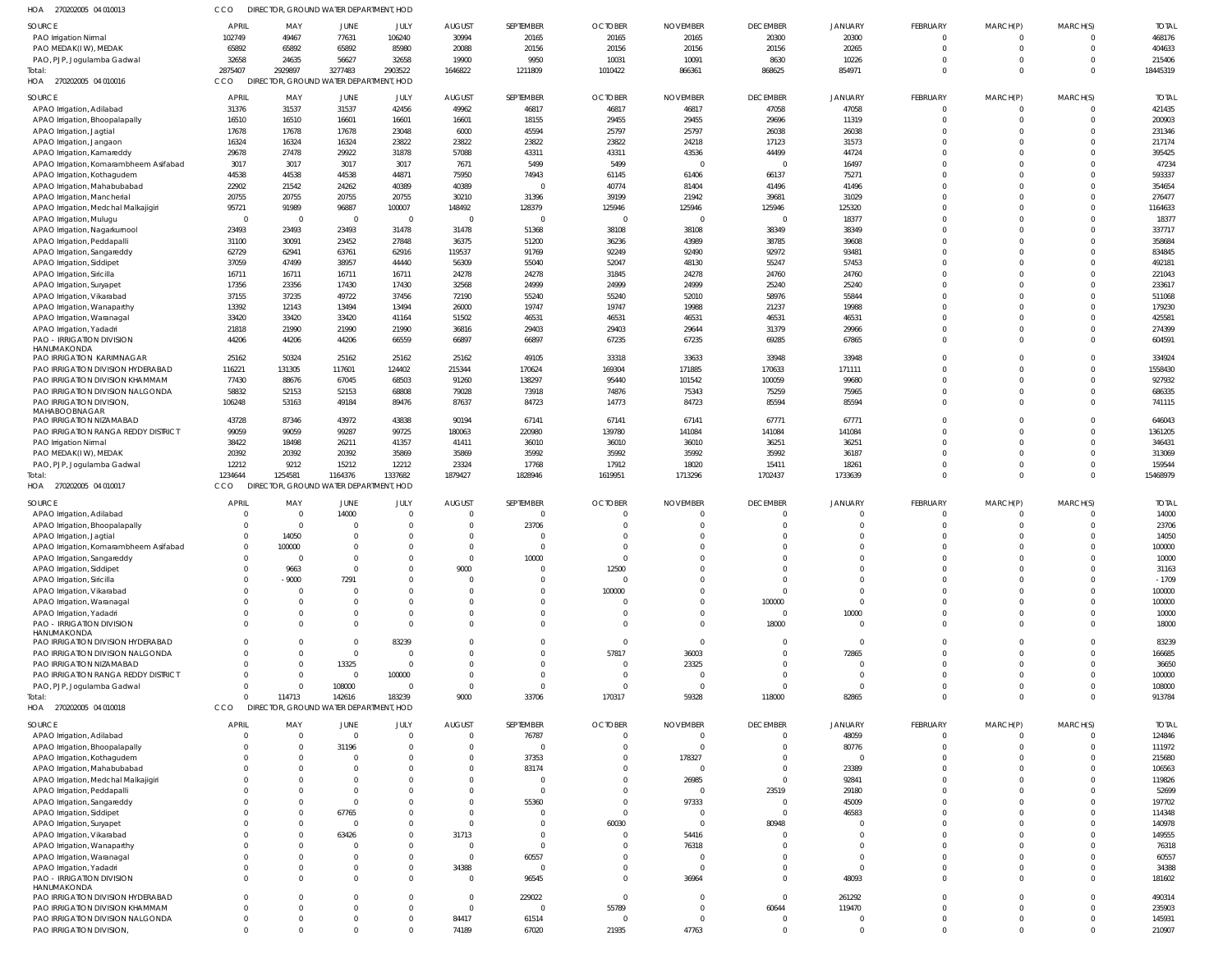270202005 04 010013 HOA 270202005 04 010016 HOA 270202005 04 010017 HOA 270202005 04 010018 HOA DIRECTOR, GROUND WATER DEPARTMENT, HOD DIRECTOR, GROUND WATER DEPARTMENT, HOD DIRECTOR, GROUND WATER DEPARTMENT, HOD DIRECTOR, GROUND WATER DEPARTMENT, HOD CCO CCO **CCO CCO**   $\Omega$   $\sqrt{2}$  $\Omega$   $\Omega$   $\Omega$  $\Omega$  PAO Irrigation Nirmal PAO MEDAK(I W), MEDAK PAO, PJP, Jogulamba Gadwal APAO Irrigation, Adilabad APAO Irrigation, Bhoopalapally APAO Irrigation, Jagtial APAO Irrigation, Jangaon APAO Irrigation, Kamareddy APAO Irrigation, Komarambheem Asifabad APAO Irrigation, Kothagudem APAO Irrigation, Mahabubabad APAO Irrigation, Mancherial APAO Irrigation, Medchal Malkajigiri APAO Irrigation, Mulugu APAO Irrigation, Nagarkurnool APAO Irrigation, Peddapalli APAO Irrigation, Sangareddy APAO Irrigation, Siddipet APAO Irrigation, Siricilla APAO Irrigation, Suryapet APAO Irrigation, Vikarabad APAO Irrigation, Wanaparthy APAO Irrigation, Waranagal APAO Irrigation, Yadadri PAO - IRRIGATION DIVISION HANUMAKONDA PAO IRRIGATION KARIMNAGAR PAO IRRIGATION DIVISION HYDERABAD PAO IRRIGATION DIVISION KHAMMAM PAO IRRIGATION DIVISION NALGONDA PAO IRRIGATION DIVISION, MAHABOOBNAGAR PAO IRRIGATION NIZAMABAD PAO IRRIGATION RANGA REDDY DISTRICT PAO Irrigation Nirmal PAO MEDAK(I W), MEDAK PAO, PJP, Jogulamba Gadwal APAO Irrigation, Adilabad APAO Irrigation, Bhoopalapally APAO Irrigation, Jagtial APAO Irrigation, Komarambheem Asifabad APAO Irrigation, Sangareddy APAO Irrigation, Siddipet APAO Irrigation, Siricilla APAO Irrigation, Vikarabad APAO Irrigation, Waranagal APAO Irrigation, Yadadri PAO - IRRIGATION DIVISION HANUMAKONDA PAO IRRIGATION DIVISION HYDERABAD PAO IRRIGATION DIVISION NALGONDA PAO IRRIGATION NIZAMABAD PAO IRRIGATION RANGA REDDY DISTRICT PAO, PJP, Jogulamba Gadwal APAO Irrigation, Adilabad APAO Irrigation, Bhoopalapally APAO Irrigation, Kothagudem APAO Irrigation, Mahabubabad APAO Irrigation, Medchal Malkajigiri APAO Irrigation, Peddapalli APAO Irrigation, Sangareddy APAO Irrigation, Siddipet APAO Irrigation, Survapet APAO Irrigation, Vikarabad APAO Irrigation, Wanaparthy APAO Irrigation, Waranagal APAO Irrigation, Yadadri PAO - IRRIGATION DIVISION HANUMAKONDA PAO IRRIGATION DIVISION HYDERABAD PAO IRRIGATION DIVISION KHAMMAM PAO IRRIGATION DIVISION NALGONDA PAO IRRIGATION DIVISION, SOURCE SOURCE SOURCE **SOURCE**   $\Omega$   $\Omega$  $\mathfrak{c}$  $\Omega$   $\Omega$   $\Omega$  $\mathfrak{c}$   $\Omega$  $\Omega$   $\Omega$   $\Omega$   $\Omega$   $\Omega$ APRIL APRIL APRIL APRIL -9000  $\Omega$   $\Omega$   $\Omega$   $\Omega$   $\Omega$  $\Omega$   $\Omega$   $\Omega$  MAY MAY MAY MAY  $\Omega$  $\Omega$   $\Omega$   $\Omega$   $\Omega$   $\mathbf{C}$   $\overline{0}$   $\Omega$  $\Omega$   $\Omega$   $\Omega$   $\Omega$  JUNE JUNE JUNE JUNE  $\Omega$  $\Omega$  $\Omega$   $\Omega$   $\Omega$  $\Omega$   $\sqrt{2}$   $\Omega$   $\Omega$   $\Omega$  $\bigcap$   $\Omega$   $\Omega$  $\Omega$   $\bigcap$   $\Omega$   $\Omega$ JULY JULY JULY JULY  $\Omega$   $\Omega$   $\Omega$   $\Omega$  $\Omega$   $\Omega$   $\Omega$  AUGUST AUGUST AUGUST AUGUST  $\Omega$   $\Omega$   $\Omega$  $\Omega$   $\Omega$   $\Omega$   $\Omega$   $\Omega$   $\Omega$   $\Omega$   $\Omega$   $\Omega$  SEPTEMBER SEPTEMBER SEPTEMBER SEPTEMBER  $\Omega$  $\Omega$  $\Omega$   $\Omega$   $\Omega$   $\Omega$   $\Omega$   $\Omega$  $\Omega$   $\Omega$   $\Omega$  $\Omega$   $\Omega$  OCTOBER **OCTOBER** OCTOBER **OCTOBER**   $\Omega$   $\Omega$  $\Omega$   $\Omega$   $\Omega$   $\Omega$   $\Omega$   $\Omega$   $\Omega$   $\Omega$   $\Omega$   $\Omega$  NOVEMBER NOVEMBER NOVEMBER NOVEMBER  $\Omega$   $\Omega$   $\Omega$   $\Omega$   $\Omega$   $\Omega$   $\Omega$   $\Omega$  DECEMBER DECEMBER DECEMBER DECEMBER  $\Omega$  $\Omega$   $\Omega$   $\Omega$   $\Omega$   $\mathfrak{g}$   $\Omega$   $\mathfrak{c}$  JANUARY JANUARY JANUARY JANUARY  $\Omega$   $\Omega$  $\Omega$   $\Omega$   $\Omega$  $\Omega$   $\Omega$   $\Omega$  $\Omega$   $\Omega$   $\Omega$  $\Omega$  $\Omega$  $\Omega$   $\Omega$   $\Omega$  $\Omega$  $\Omega$   $\Omega$  $\Omega$   $\Omega$  $\Omega$   $\Omega$   $\Omega$  $\Omega$   $\Omega$   $\Omega$   $\Omega$   $\Omega$  $\Omega$  $\Omega$   $\Omega$  $\Omega$   $\Omega$   $\Omega$   $\Omega$ FEBRUARY FEBRUARY FEBRUARY FEBRUARY  $\Omega$   $\Omega$   $\Omega$  $\Omega$   $\Omega$   $\Omega$  $\Omega$   $\Omega$   $\Omega$   $\Omega$   $\Omega$  $\Omega$   $\Omega$   $\Omega$  $\Omega$   $\Omega$  $\Omega$   $\Omega$   $\Omega$   $\Omega$   $\Omega$   $\Omega$   $\Omega$  $\Omega$   $\Omega$   $\Omega$   $\Omega$  MARCH(P) MARCH(P) MARCH(P) MARCH(P)  $\Omega$   $\Omega$   $\Omega$   $\Omega$  $\Omega$   $\Omega$   $\Omega$  $\Omega$   $\Omega$   $\Omega$  $\Omega$  $\Omega$   $\Omega$   $\Omega$   $\Omega$   $\Omega$  $\Omega$   $\Omega$  $\Omega$  $\Omega$  $\Omega$   $\Omega$   $\Omega$  $\Omega$   $\Omega$   $\Omega$   $\Omega$   $\Omega$  $\Omega$   $\Omega$   $\Omega$  $\Omega$  $\Omega$   $\Omega$   $\Omega$  MARCH(S) MARCH(S) MARCH(S) MARCH(S)  $-1709$  TOTAL TOTAL TOTAL TOTAL **Total** Total: **Total**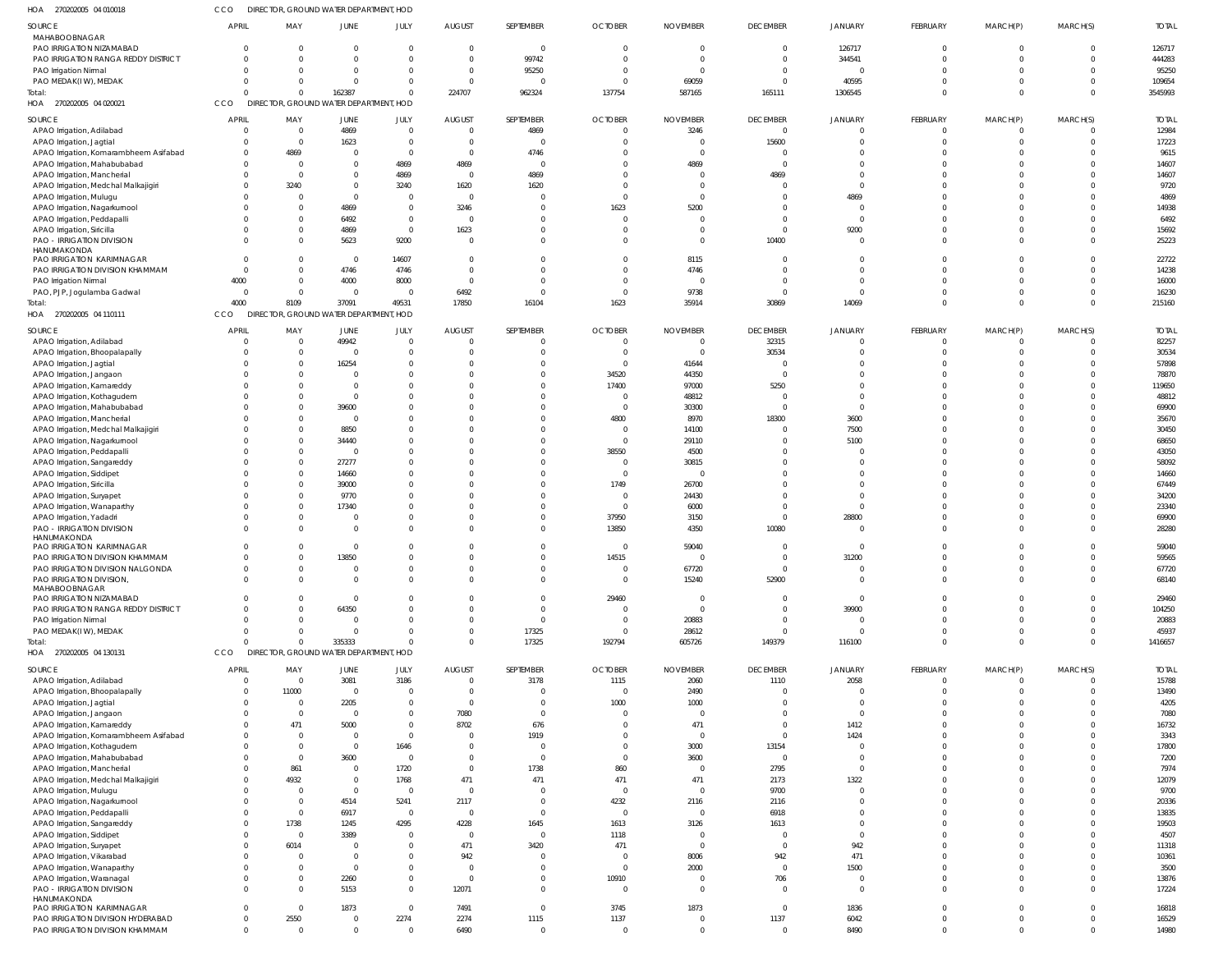| HOA 270202005 04 010018                                               | cco                            |                    | DIRECTOR, GROUND WATER DEPARTMENT, HOD           |                                  |                                 |                      |                                |                         |                                   |                            |                            |                            |                |                       |
|-----------------------------------------------------------------------|--------------------------------|--------------------|--------------------------------------------------|----------------------------------|---------------------------------|----------------------|--------------------------------|-------------------------|-----------------------------------|----------------------------|----------------------------|----------------------------|----------------|-----------------------|
| SOURCE                                                                | <b>APRIL</b>                   | MAY                | JUNE                                             | JULY                             | <b>AUGUST</b>                   | SEPTEMBER            | <b>OCTOBER</b>                 | <b>NOVEMBER</b>         | <b>DECEMBER</b>                   | <b>JANUARY</b>             | FEBRUARY                   | MARCH(P)                   | MARCH(S)       | <b>TOTAL</b>          |
| MAHABOOBNAGAR<br>PAO IRRIGATION NIZAMABAD                             | $\Omega$                       | - 0                | $\overline{0}$                                   | $\overline{0}$                   | $\overline{0}$                  | $\mathbf{0}$         | $\Omega$                       |                         | $\mathbf 0$                       | 126717                     | $\overline{0}$             | $\overline{0}$             | $\Omega$       | 126717                |
| PAO IRRIGATION RANGA REDDY DISTRICT                                   | $\Omega$                       |                    | $\Omega$                                         | $\overline{0}$                   | $\Omega$                        | 99742                |                                |                         | $\mathbf{0}$                      | 344541                     | $\Omega$                   | $\Omega$                   |                | 444283                |
| PAO Irrigation Nirmal                                                 | $\Omega$                       |                    | $\Omega$                                         | $\overline{0}$                   | $\overline{0}$                  | 95250                |                                |                         | $\overline{0}$                    |                            | $\Omega$                   | $\Omega$                   | $\Omega$       | 95250                 |
| PAO MEDAK(IW), MEDAK                                                  | $\Omega$                       |                    | $\Omega$                                         | $\overline{0}$                   | $\Omega$                        | $\Omega$             |                                | 69059                   | - 0                               | 40595                      | $\overline{0}$             | $\Omega$                   |                | 109654                |
| Total:<br>HOA 270202005 04 020021                                     | $\Omega$<br>CCO                | $\cap$             | 162387<br>DIRECTOR, GROUND WATER DEPARTMENT, HOD | $\overline{0}$                   | 224707                          | 962324               | 137754                         | 587165                  | 165111                            | 1306545                    | $\Omega$                   | $\Omega$                   | $\Omega$       | 3545993               |
|                                                                       |                                |                    |                                                  |                                  |                                 |                      |                                |                         |                                   |                            |                            |                            |                |                       |
| SOURCE<br>APAO Irrigation, Adilabad                                   | <b>APRIL</b><br>$\overline{0}$ | MAY<br>$\Omega$    | JUNE<br>4869                                     | JULY<br>$\overline{0}$           | <b>AUGUST</b><br>$\overline{0}$ | SEPTEMBER<br>4869    | <b>OCTOBER</b><br>$\mathbf{0}$ | <b>NOVEMBER</b><br>3246 | <b>DECEMBER</b><br>$\overline{0}$ | <b>JANUARY</b><br>- 0      | FEBRUARY<br>$\overline{0}$ | MARCH(P)<br>$\overline{0}$ | MARCH(S)       | <b>TOTAL</b><br>12984 |
| APAO Irrigation, Jagtial                                              | $\Omega$                       | $\Omega$           | 1623                                             | $\overline{0}$                   | $\Omega$                        | $\mathbf 0$          |                                |                         | 15600                             |                            | $\Omega$                   | $\Omega$                   |                | 17223                 |
| APAO Irrigation, Komarambheem Asifabad                                | $\Omega$                       | 4869               | $\overline{0}$                                   | $\Omega$                         | $\Omega$                        | 4746                 |                                |                         | $\circ$                           |                            | $\Omega$                   | $\Omega$                   |                | 9615                  |
| APAO Irrigation, Mahabubabad                                          | 0                              | $\Omega$           | $\mathbf 0$                                      | 4869                             | 4869                            | $\overline{0}$       |                                | 4869                    | $\Omega$                          |                            | $\Omega$                   | $\Omega$                   |                | 14607                 |
| APAO Irrigation, Mancherial<br>APAO Irrigation, Medchal Malkajigiri   | $\Omega$<br>$\Omega$           | $\Omega$<br>3240   | $\Omega$<br>$\mathbf 0$                          | 4869<br>3240                     | $\Omega$<br>1620                | 4869<br>1620         |                                |                         | 4869<br>$\Omega$                  | $\Omega$                   | $\Omega$<br>$\Omega$       | $\Omega$<br>$\Omega$       |                | 14607<br>9720         |
| APAO Irrigation, Mulugu                                               | $\Omega$                       |                    | $\Omega$                                         | $\Omega$                         | $\Omega$                        | $\Omega$             |                                |                         | - 0                               | 4869                       | $\Omega$                   | $\Omega$                   |                | 4869                  |
| APAO Irrigation, Nagarkurnool                                         | $\Omega$                       |                    | 4869                                             | $\overline{0}$                   | 3246                            | $\Omega$             | 1623                           | 5200                    |                                   | $\sqrt{ }$                 | $\Omega$                   | $\Omega$                   |                | 14938                 |
| APAO Irrigation, Peddapalli                                           | $\Omega$                       |                    | 6492                                             | $\overline{0}$                   | $\Omega$                        |                      |                                |                         | -0                                | $\Omega$                   | $\Omega$                   | $\Omega$                   |                | 6492                  |
| APAO Irrigation, Siricilla<br>PAO - IRRIGATION DIVISION               | $\Omega$<br>$\Omega$           |                    | 4869<br>5623                                     | $\overline{0}$<br>9200           | 1623                            | $\Omega$<br>$\Omega$ |                                |                         | $\Omega$<br>10400                 | 9200<br>- 0                | $\Omega$<br>$\Omega$       | $\Omega$<br>$\Omega$       |                | 15692<br>25223        |
| HANUMAKONDA                                                           |                                |                    |                                                  |                                  |                                 |                      |                                |                         |                                   |                            |                            |                            |                |                       |
| PAO IRRIGATION KARIMNAGAR                                             | $\overline{0}$                 |                    | $\overline{0}$                                   | 14607                            | $\Omega$                        | $\Omega$             |                                | 8115                    | $\Omega$                          | -0                         | $\Omega$                   | $\overline{0}$             |                | 22722                 |
| PAO IRRIGATION DIVISION KHAMMAM<br>PAO Irrigation Nirmal              | $\overline{0}$<br>4000         | $\cap$<br>$\Omega$ | 4746<br>4000                                     | 4746<br>8000                     | $\Omega$<br>$\Omega$            | $\Omega$<br>$\Omega$ | $\Omega$                       | 4746                    | $\Omega$<br>$\Omega$              | $\Omega$<br>-0             | $\Omega$<br>$\Omega$       | $\Omega$<br>$\Omega$       |                | 14238<br>16000        |
| PAO, PJP, Jogulamba Gadwal                                            | $\overline{0}$                 | $\Omega$           | $\overline{0}$                                   | $\overline{0}$                   | 6492                            | $\Omega$             | $\Omega$                       | 9738                    | - 0                               | $\Omega$                   | $\Omega$                   | $\overline{0}$             |                | 16230                 |
| Total:                                                                | 4000                           | 8109               | 37091                                            | 49531                            | 17850                           | 16104                | 1623                           | 35914                   | 30869                             | 14069                      | $\Omega$                   | $\Omega$                   |                | 215160                |
| HOA 270202005 04 110111                                               | <b>CCO</b>                     |                    | DIRECTOR, GROUND WATER DEPARTMENT, HOD           |                                  |                                 |                      |                                |                         |                                   |                            |                            |                            |                |                       |
| SOURCE                                                                | <b>APRIL</b>                   | MAY                | JUNE                                             | JULY                             | <b>AUGUST</b>                   | SEPTEMBER            | <b>OCTOBER</b>                 | <b>NOVEMBER</b>         | <b>DECEMBER</b>                   | <b>JANUARY</b>             | FEBRUARY                   | MARCH(P)                   | MARCH(S)       | <b>TOTAL</b>          |
| APAO Irrigation, Adilabad                                             | 0                              | $\Omega$           | 49942                                            | $\overline{0}$                   | $\Omega$                        |                      |                                |                         | 32315                             | $\Omega$                   | $\overline{0}$             | $\Omega$                   |                | 82257                 |
| APAO Irrigation, Bhoopalapally                                        | $\Omega$                       | $\Omega$           | $\overline{\mathbf{0}}$                          | $\overline{0}$                   | $\Omega$                        | $\Omega$             |                                | $\Omega$                | 30534                             | -0                         | $\overline{0}$             | $\Omega$                   |                | 30534                 |
| APAO Irrigation, Jagtial<br>APAO Irrigation, Jangaon                  | $\Omega$<br>$\Omega$           |                    | 16254<br>$\Omega$                                | $\Omega$<br>$\Omega$             |                                 |                      | 34520                          | 41644<br>44350          | $\circ$<br>$\circ$                | -0                         | $\Omega$<br>$\Omega$       | $\Omega$<br>$\Omega$       |                | 57898<br>78870        |
| APAO Irrigation, Kamareddy                                            | $\Omega$                       |                    | $\Omega$                                         | $\Omega$                         |                                 |                      | 17400                          | 97000                   | 5250                              | $\Omega$                   | $\Omega$                   | $\Omega$                   |                | 119650                |
| APAO Irrigation, Kothagudem                                           |                                |                    | $\overline{0}$                                   | $\Omega$                         |                                 |                      | $\overline{0}$                 | 48812                   | $\circ$                           | $\Omega$                   | $\Omega$                   | $\Omega$                   |                | 48812                 |
| APAO Irrigation, Mahabubabad                                          | $\Omega$                       |                    | 39600                                            | $\Omega$                         |                                 |                      | $\Omega$                       | 30300                   | - 0                               | $\overline{0}$             | $\Omega$                   | $\Omega$                   |                | 69900                 |
| APAO Irrigation, Mancherial                                           | -C                             |                    | $\overline{0}$                                   | $\Omega$                         |                                 |                      | 4800                           | 8970                    | 18300                             | 3600                       | $\Omega$                   | $\Omega$<br>$\Omega$       |                | 35670                 |
| APAO Irrigation, Medchal Malkajigiri<br>APAO Irrigation, Nagarkurnool | $\Omega$<br>$\Omega$           |                    | 8850<br>34440                                    | $\Omega$<br>$\Omega$             |                                 |                      | $\Omega$<br>$\Omega$           | 14100<br>29110          | $\Omega$<br>$\Omega$              | 7500<br>5100               | $\Omega$<br>$\Omega$       | $\Omega$                   |                | 30450<br>68650        |
| APAO Irrigation, Peddapalli                                           | $\Omega$                       | $\Omega$           | 0                                                | $\Omega$                         |                                 |                      | 38550                          | 4500                    | -0                                |                            | $\Omega$                   | $\Omega$                   |                | 43050                 |
| APAO Irrigation, Sangareddy                                           | $\Omega$                       |                    | 27277                                            | $\Omega$                         |                                 |                      | $\mathbf 0$                    | 30815                   | $\Omega$                          |                            | $\Omega$                   | $\Omega$                   |                | 58092                 |
| APAO Irrigation, Siddipet                                             | $\Omega$                       |                    | 14660                                            | $\Omega$                         |                                 |                      |                                |                         | $\Omega$                          | - 0                        | $\Omega$                   | $\Omega$                   |                | 14660                 |
| APAO Irrigation, Siricilla                                            | $\Omega$<br>$\Omega$           |                    | 39000<br>9770                                    | $\Omega$<br>$\Omega$             |                                 | $\Omega$             | 1749<br>$\Omega$               | 26700<br>24430          | $\Omega$<br>$\Omega$              | $\Omega$<br>$\Omega$       | $\Omega$<br>$\Omega$       | $\Omega$<br>$\Omega$       |                | 67449<br>34200        |
| APAO Irrigation, Suryapet<br>APAO Irrigation, Wanaparthy              | $\Omega$                       |                    | 17340                                            | $\Omega$                         |                                 |                      | $\overline{0}$                 | 6000                    | $\Omega$                          | $\Omega$                   | $\Omega$                   | $\Omega$                   |                | 23340                 |
| APAO Irrigation, Yadadri                                              | $\Omega$                       |                    | $\Omega$                                         | $\Omega$                         |                                 |                      | 37950                          | 3150                    | $\overline{0}$                    | 28800                      | $\Omega$                   | $\Omega$                   |                | 69900                 |
| <b>PAO - IRRIGATION DIVISION</b>                                      | $\Omega$                       |                    | $\mathbf 0$                                      | $\Omega$                         | $\Omega$                        | $\Omega$             | 13850                          | 4350                    | 10080                             | $\overline{0}$             | $\Omega$                   | $\Omega$                   |                | 28280                 |
| HANUMAKONDA<br>PAO IRRIGATION KARIMNAGAR                              | $\Omega$                       | $\Omega$           | $\Omega$                                         | $\Omega$                         | $\Omega$                        | $\Omega$             | $\Omega$                       | 59040                   | $\Omega$                          | $\Omega$                   | $\Omega$                   | $\Omega$                   |                | 59040                 |
| PAO IRRIGATION DIVISION KHAMMAM                                       |                                |                    |                                                  |                                  |                                 |                      | 14515                          |                         |                                   | 31200                      |                            |                            |                | 59565                 |
| PAO IRRIGATION DIVISION NALGONDA                                      | $\Omega$                       |                    | $\mathbf 0$                                      | $\Omega$                         |                                 |                      | 0                              | 67720                   | $\mathbf 0$                       | -0                         | $\Omega$                   | $\Omega$                   |                | 67720                 |
| PAO IRRIGATION DIVISION,<br>MAHABOOBNAGAR                             | $\Omega$                       |                    | $\mathbf 0$                                      | $\overline{0}$                   | $\Omega$                        | $\Omega$             | $\overline{0}$                 | 15240                   | 52900                             | $\overline{0}$             | $\overline{0}$             | $\Omega$                   | $\Omega$       | 68140                 |
| PAO IRRIGATION NIZAMABAD                                              | $\Omega$                       |                    | $\overline{0}$                                   | $\Omega$                         |                                 |                      | 29460                          | 0                       | $\overline{0}$                    | $\overline{0}$             | $\Omega$                   | $\Omega$                   |                | 29460                 |
| PAO IRRIGATION RANGA REDDY DISTRICT                                   | $\Omega$                       |                    | 64350                                            | $\Omega$                         |                                 | $\Omega$             |                                | $\Omega$                | $\overline{0}$                    | 39900                      | $\Omega$                   | $\Omega$                   |                | 104250                |
| PAO Irrigation Nirmal<br>PAO MEDAK(IW), MEDAK                         | $\Omega$<br>$\Omega$           |                    | $\overline{0}$<br>$\overline{0}$                 | $\Omega$<br>$\Omega$             | $\Omega$                        | $\Omega$<br>17325    | $\Omega$<br>$\Omega$           | 20883<br>28612          | $\overline{0}$<br>$\overline{0}$  | $\overline{0}$<br>$\Omega$ | $\Omega$<br>$\overline{0}$ | $\Omega$<br>$\overline{0}$ |                | 20883<br>45937        |
| Total:                                                                | $\Omega$                       | $\cap$             | 335333                                           | $\Omega$                         | $\Omega$                        | 17325                | 192794                         | 605726                  | 149379                            | 116100                     | $\Omega$                   | $\Omega$                   | $\Omega$       | 1416657               |
| HOA 270202005 04 130131                                               | CCO                            |                    | DIRECTOR, GROUND WATER DEPARTMENT, HOD           |                                  |                                 |                      |                                |                         |                                   |                            |                            |                            |                |                       |
| SOURCE                                                                | <b>APRIL</b>                   | MAY                | JUNE                                             | JULY                             | <b>AUGUST</b>                   | SEPTEMBER            | <b>OCTOBER</b>                 | <b>NOVEMBER</b>         | <b>DECEMBER</b>                   | JANUARY                    | FEBRUARY                   | MARCH(P)                   | MARCH(S)       | <b>TOTAL</b>          |
| APAO Irrigation, Adilabad                                             | $\overline{0}$                 | $\overline{0}$     | 3081                                             | 3186                             | $\overline{0}$                  | 3178                 | 1115                           | 2060                    | 1110                              | 2058                       | $\overline{0}$             | $\overline{0}$             |                | 15788                 |
| APAO Irrigation, Bhoopalapally                                        | 0                              | 11000              | $\overline{0}$                                   | $\overline{0}$                   | $\overline{0}$                  | $\Omega$             | $\mathbf 0$                    | 2490                    | - 0                               |                            | $\Omega$                   | $\Omega$                   |                | 13490                 |
| APAO Irrigation, Jagtial<br>APAO Irrigation, Jangaon                  | 0<br>$\Omega$                  | - 0<br>$\Omega$    | 2205<br>$\overline{0}$                           | $\overline{0}$<br>$\overline{0}$ | $\Omega$<br>7080                | $\Omega$<br>$\Omega$ | 1000                           | 1000                    | $\mathbf{0}$<br>$\Omega$          | $\Omega$<br>$\circ$        | $\Omega$<br>$\Omega$       | $\Omega$<br>$\Omega$       |                | 4205<br>7080          |
| APAO Irrigation, Kamareddy                                            | $\Omega$                       | 471                | 5000                                             | $\mathbf{0}$                     | 8702                            | 676                  | 0                              | 471                     | $\mathbf{0}$                      | 1412                       | $\Omega$                   | $\Omega$                   |                | 16732                 |
| APAO Irrigation, Komarambheem Asifabad                                | 0                              | - 0                | $\overline{0}$                                   | $\overline{0}$                   |                                 | 1919                 |                                | $\mathbf 0$             | $\overline{0}$                    | 1424                       | $\Omega$                   | $\Omega$                   |                | 3343                  |
| APAO Irrigation, Kothagudem                                           | $\Omega$                       |                    | $\overline{0}$                                   | 1646                             |                                 | $\Omega$             |                                | 3000                    | 13154                             | $\Omega$                   | $\Omega$                   | $\Omega$                   |                | 17800                 |
| APAO Irrigation, Mahabubabad                                          | $\Omega$                       | $\Omega$           | 3600                                             | $\overline{0}$                   |                                 | $\mathbf 0$          | 0                              | 3600                    | $\overline{0}$                    | $\Omega$                   | $\Omega$                   | $\Omega$<br>$\Omega$       |                | 7200                  |
| APAO Irrigation, Mancherial<br>APAO Irrigation, Medchal Malkajigiri   | $\Omega$<br>$\Omega$           | 861<br>4932        | $\overline{0}$<br>$\mathbf 0$                    | 1720<br>1768                     | $\Omega$<br>471                 | 1738<br>471          | 860<br>471                     | 471                     | 2795<br>2173                      | $\overline{0}$<br>1322     | $\Omega$<br>$\Omega$       | $\Omega$                   |                | 7974<br>12079         |
| APAO Irrigation, Mulugu                                               | $\Omega$                       | - 0                | $\overline{0}$                                   | $\overline{0}$                   | $\Omega$                        | $\Omega$             | $\Omega$                       |                         | 9700                              | $\Omega$                   | $\Omega$                   | $\Omega$                   |                | 9700                  |
| APAO Irrigation, Nagarkurnool                                         | $\Omega$                       | $\Omega$           | 4514                                             | 5241                             | 2117                            | $\mathbf{0}$         | 4232                           | 2116                    | 2116                              |                            | $\Omega$                   | $\Omega$                   |                | 20336                 |
| APAO Irrigation, Peddapalli                                           | $\Omega$                       | $\Omega$           | 6917                                             | $\overline{0}$                   | $\overline{0}$                  | $\Omega$             | $\mathbf 0$                    |                         | 6918                              |                            | $\Omega$                   | $\Omega$                   |                | 13835                 |
| APAO Irrigation, Sangareddy                                           | 0                              | 1738               | 1245                                             | 4295                             | 4228                            | 1645                 | 1613                           | 3126                    | 1613                              | -0                         | $\Omega$                   | $\Omega$                   |                | 19503                 |
| APAO Irrigation, Siddipet<br>APAO Irrigation, Suryapet                | 0<br>0                         | $\Omega$<br>6014   | 3389<br>0                                        | $\overline{0}$<br>$\Omega$       | $\Omega$<br>471                 | $\mathbf 0$<br>3420  | 1118<br>471                    | $\Omega$                | $\circ$<br>- 0                    | $\overline{0}$<br>942      | $\Omega$<br>$\Omega$       | $\Omega$<br>$\Omega$       |                | 4507<br>11318         |
| APAO Irrigation, Vikarabad                                            | 0                              |                    | $\Omega$                                         | $\Omega$                         | 942                             | $\Omega$             | $\overline{0}$                 | 8006                    | 942                               | 471                        | $\Omega$                   | $\Omega$                   |                | 10361                 |
| APAO Irrigation, Wanaparthy                                           | $\Omega$                       |                    | $\overline{0}$                                   | $\Omega$                         | $\Omega$                        | $\Omega$             | $\mathbf 0$                    | 2000                    | $\overline{0}$                    | 1500                       | $\Omega$                   | $\Omega$                   |                | 3500                  |
| APAO Irrigation, Waranagal                                            | $\Omega$                       |                    | 2260                                             | $\overline{0}$                   | $\Omega$                        | $\Omega$             | 10910                          | 0                       | 706                               | $\overline{0}$             | $\overline{0}$             | $\Omega$                   |                | 13876                 |
| PAO - IRRIGATION DIVISION<br>HANUMAKONDA                              | $\Omega$                       | $\Omega$           | 5153                                             | $\overline{0}$                   | 12071                           | $\Omega$             | $\mathbf 0$                    | $\Omega$                | $\Omega$                          | $\Omega$                   | $\Omega$                   | $\Omega$                   |                | 17224                 |
| PAO IRRIGATION KARIMNAGAR                                             | $\mathbf{0}$                   | $\Omega$           | 1873                                             | $\overline{0}$                   | 7491                            | $\mathbf 0$          | 3745                           | 1873                    | $\overline{0}$                    | 1836                       | $\overline{0}$             | $\Omega$                   | $\Omega$       | 16818                 |
| PAO IRRIGATION DIVISION HYDERABAD                                     | $\mathbf{0}$                   | 2550               | $\overline{0}$                                   | 2274                             | 2274                            | 1115                 | 1137                           |                         | 1137                              | 6042                       | $\overline{0}$             | $\overline{0}$             | $\Omega$       | 16529                 |
| PAO IRRIGATION DIVISION KHAMMAM                                       | $\mathbf{0}$                   | $\overline{0}$     | $\mathbf{0}$                                     | $\mathbf 0$                      | 6490                            | $\mathbf{0}$         | $\mathbf 0$                    | $\mathbf 0$             | $\overline{0}$                    | 8490                       | $\mathbf{0}$               | $\mathbf{0}$               | $\overline{0}$ | 14980                 |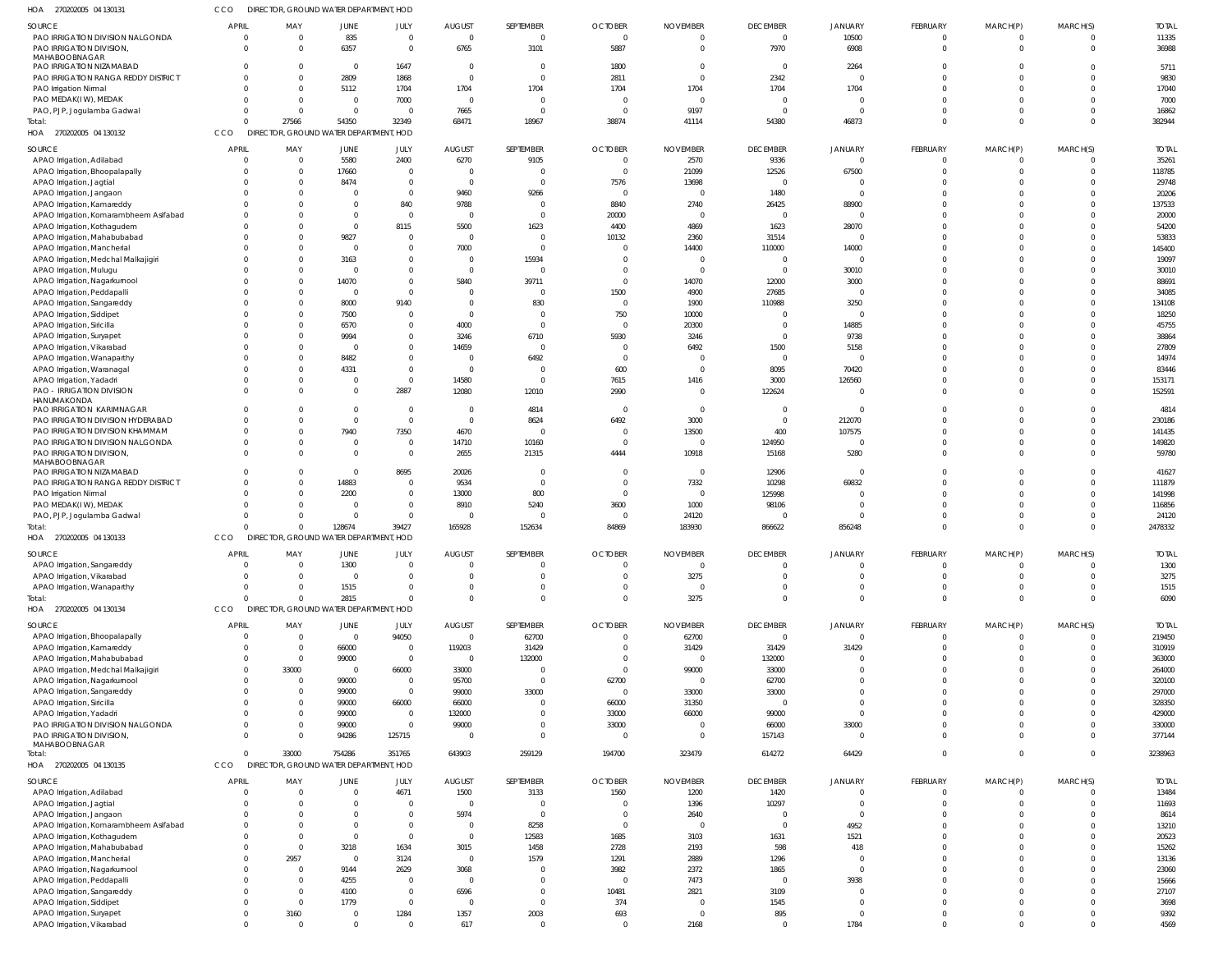| HOA 270202005 04 130131                                      | cco            | DIRECTOR, GROUND WATER DEPARTMENT, HOD |                |              |                         |                |                |                 |                   |                   |                 |             |          |              |
|--------------------------------------------------------------|----------------|----------------------------------------|----------------|--------------|-------------------------|----------------|----------------|-----------------|-------------------|-------------------|-----------------|-------------|----------|--------------|
| SOURCE                                                       | <b>APRIL</b>   | MAY                                    | <b>JUNE</b>    | JULY         | <b>AUGUST</b>           | SEPTEMBER      | <b>OCTOBER</b> | <b>NOVEMBER</b> | <b>DECEMBER</b>   | <b>JANUARY</b>    | FEBRUARY        | MARCH(P)    | MARCH(S) | <b>TOTAL</b> |
| PAO IRRIGATION DIVISION NALGONDA                             | $\overline{0}$ | $\Omega$                               | 835            | $\mathbf 0$  | $\Omega$                | $\overline{0}$ | $\mathbf 0$    | $\Omega$        | $\overline{0}$    | 10500             | $\mathbf 0$     | $\mathbf 0$ | $\Omega$ | 11335        |
| PAO IRRIGATION DIVISION,                                     | $\Omega$       |                                        | 6357           | $\mathbf 0$  | 6765                    | 3101           | 5887           | $\overline{0}$  | 7970              | 6908              | $\mathbf 0$     | $\mathbf 0$ | $\Omega$ | 36988        |
| MAHABOOBNAGAR                                                |                |                                        |                |              |                         |                |                |                 |                   |                   |                 |             |          |              |
| PAO IRRIGATION NIZAMABAD                                     | $\Omega$       |                                        | $\Omega$       | 1647         | $\overline{\mathbf{0}}$ | $\overline{0}$ | 1800           | -0              | $\overline{0}$    | 2264              |                 |             | $\Omega$ | 5711         |
| PAO IRRIGATION RANGA REDDY DISTRICT                          | $\Omega$       |                                        | 2809           | 1868         | $\Omega$                | $\Omega$       | 2811           | $\overline{0}$  | 2342              |                   |                 |             | $\Omega$ | 9830         |
| PAO Irrigation Nirmal                                        | $\Omega$       |                                        | 5112           | 1704         | 1704                    | 1704           | 1704           | 1704            | 1704              | 1704              | $\Omega$        |             | $\Omega$ | 17040        |
| PAO MEDAK(I W), MEDAK                                        | $\Omega$       |                                        | $\Omega$       | 7000         | - 0                     | $\overline{0}$ | 0              | $\overline{0}$  | $\Omega$          |                   | $\Omega$        |             | $\Omega$ | 7000         |
| PAO, PJP, Jogulamba Gadwal                                   | $\Omega$       | $\Omega$                               | $\Omega$       | $\Omega$     | 7665                    | $\overline{0}$ | $\overline{0}$ | 9197            | $\Omega$          | $\Omega$          | $\Omega$        |             | $\Omega$ | 16862        |
| Total:                                                       | $\Omega$       | 27566                                  | 54350          | 32349        | 68471                   | 18967          | 38874          | 41114           | 54380             | 46873             | $\Omega$        | $\Omega$    | $\Omega$ | 382944       |
| HOA 270202005 04 130132                                      | <b>CCO</b>     | DIRECTOR, GROUND WATER DEPARTMENT, HOD |                |              |                         |                |                |                 |                   |                   |                 |             |          |              |
| SOURCE                                                       | <b>APRIL</b>   | MAY                                    | <b>JUNE</b>    | JULY         | <b>AUGUST</b>           | SEPTEMBER      | <b>OCTOBER</b> | <b>NOVEMBER</b> | <b>DECEMBER</b>   | <b>JANUARY</b>    | <b>FEBRUARY</b> | MARCH(P)    | MARCH(S) | <b>TOTAL</b> |
| APAO Irrigation, Adilabad                                    | 0              |                                        | 5580           | 2400         | 6270                    | 9105           | 0              | 2570            | 9336              | $\Omega$          | $\mathbf 0$     | 0           | $\Omega$ | 35261        |
|                                                              | $\Omega$       |                                        |                | $\mathbf 0$  | $\epsilon$              | $\overline{0}$ | $\Omega$       |                 |                   |                   | $\mathbf 0$     | $\Omega$    | $\Omega$ | 118785       |
| APAO Irrigation, Bhoopalapally                               |                |                                        | 17660          | $\Omega$     | $\Omega$                |                |                | 21099           | 12526<br>$\Omega$ | 67500<br>$\Omega$ | $\Omega$        |             | $\Omega$ |              |
| APAO Irrigation, Jagtial                                     | $\Omega$       |                                        | 8474           |              |                         | $\overline{0}$ | 7576           | 13698           |                   | $\Omega$          |                 |             | $\Omega$ | 29748        |
| APAO Irrigation, Jangaon                                     | $\Omega$       |                                        |                | $\Omega$     | 9460                    | 9266           | 0              | $\overline{0}$  | 1480              |                   |                 |             |          | 20206        |
| APAO Irrigation, Kamareddy                                   | $\Omega$       |                                        |                | 840          | 9788                    | $\overline{0}$ | 8840           | 2740            | 26425             | 88900             | $\Omega$        |             | $\Omega$ | 137533       |
| APAO Irrigation, Komarambheem Asifabad                       | $\Omega$       |                                        |                | $\Omega$     | $\Omega$                | $\Omega$       | 20000          | $\overline{0}$  | $\Omega$          | $\Omega$          | $\Omega$        |             | $\Omega$ | 20000        |
| APAO Irrigation, Kothagudem                                  | $\Omega$       |                                        | $\Omega$       | 8115         | 5500                    | 1623           | 4400           | 4869            | 1623              | 28070             | $\Omega$        |             | $\Omega$ | 54200        |
| APAO Irrigation, Mahabubabad                                 | $\Omega$       |                                        | 9827           |              | $\Omega$                | $\overline{0}$ | 10132          | 2360            | 31514             | $\Omega$          | $\Omega$        |             | $\cap$   | 53833        |
| APAO Irrigation, Mancherial                                  |                |                                        | $\Omega$       |              | 7000                    | $\overline{0}$ | 0              | 14400           | 110000            | 14000             | $\Omega$        |             | $\Omega$ | 145400       |
| APAO Irrigation, Medchal Malkajigiri                         | $\Omega$       |                                        | 3163           | 0            | $\Omega$                | 15934          |                | - 0             | $\Omega$          | $\Omega$          | $\Omega$        |             | $\Omega$ | 19097        |
| APAO Irrigation, Mulugu                                      |                |                                        | $\Omega$       |              | $\Omega$                | $\overline{0}$ |                | $\overline{0}$  | $\overline{0}$    | 30010             | $\Omega$        |             | $\cap$   | 30010        |
| APAO Irrigation, Nagarkurnool                                | $\Omega$       |                                        | 14070          | $\Omega$     | 5840                    | 39711          | $\Omega$       | 14070           | 12000             | 3000              | $\Omega$        |             | $\Omega$ | 88691        |
| APAO Irrigation, Peddapalli                                  | $\Omega$       |                                        | - 0            | $\Omega$     | - C                     | $\circ$        | 1500           | 4900            | 27685             | $\Omega$          | $\Omega$        |             | $\Omega$ | 34085        |
| APAO Irrigation, Sangareddy                                  | $\Omega$       |                                        | 8000           | 9140         | - 0                     | 830            | 0              | 1900            | 110988            | 3250              | $\Omega$        |             | $\Omega$ | 134108       |
| APAO Irrigation, Siddipet                                    | -C             |                                        | 7500           |              | - 0                     | $\overline{0}$ | 750            | 10000           | $\Omega$          | $\Omega$          | $\Omega$        |             | $\Omega$ | 18250        |
| APAO Irrigation, Siricilla                                   | $\Omega$       |                                        | 6570           | $\Omega$     | 4000                    | $\overline{0}$ | - 0            | 20300           | $\Omega$          | 14885             | $\Omega$        |             | $\cap$   | 45755        |
| APAO Irrigation, Suryapet                                    | C              |                                        | 9994           | 0            | 3246                    | 6710           | 5930           | 3246            | $\Omega$          | 9738              | $\Omega$        |             | $\Omega$ | 38864        |
| APAO Irrigation, Vikarabad                                   | $\Omega$       |                                        |                | 0            | 14659                   | $\overline{0}$ | $\Omega$       | 6492            | 1500              | 5158              | $\Omega$        |             | $\Omega$ | 27809        |
| APAO Irrigation, Wanaparthy                                  | C              |                                        | 8482           | $\Omega$     | $\epsilon$              | 6492           | $\Omega$       | $\overline{0}$  | $\Omega$          |                   | $\Omega$        |             | $\Omega$ | 14974        |
| APAO Irrigation, Waranagal                                   | $\Omega$       |                                        | 4331           | $\Omega$     | $\Omega$                | $\circ$        | 600            | - 0             | 8095              | 70420             | $\Omega$        |             | $\Omega$ | 83446        |
| APAO Irrigation, Yadadri                                     | $\Omega$       |                                        | $\Omega$       | $\mathbf 0$  | 14580                   | $\overline{0}$ | 7615           | 1416            | 3000              | 126560            | $\Omega$        |             | $\Omega$ | 153171       |
| <b>PAO - IRRIGATION DIVISION</b>                             | $\Omega$       |                                        | $\Omega$       | 2887         | 12080                   | 12010          | 2990           | $\Omega$        | 122624            |                   | $\Omega$        | $\Omega$    | $\Omega$ | 152591       |
| HANUMAKONDA                                                  |                |                                        |                |              |                         |                |                |                 |                   | $\Omega$          | $\Omega$        |             | $\Omega$ |              |
| PAO IRRIGATION KARIMNAGAR                                    | $\Omega$       |                                        | $\Omega$       | $\Omega$     | $\Omega$<br>$\Omega$    | 4814           | - 0            | $\overline{0}$  | $\overline{0}$    |                   |                 |             | $\Omega$ | 4814         |
| PAO IRRIGATION DIVISION HYDERABAD                            | $\Omega$       |                                        | $\Omega$       | $\mathbf 0$  |                         | 8624           | 6492           | 3000            | $\overline{0}$    | 212070            | $\Omega$        |             |          | 230186       |
| PAO IRRIGATION DIVISION KHAMMAM                              | $\Omega$       |                                        | 7940           | 7350         | 4670                    | $\overline{0}$ | 0              | 13500           | 400               | 107575            | $\Omega$        |             | $\Omega$ | 141435       |
| PAO IRRIGATION DIVISION NALGONDA                             | $\Omega$       |                                        | $\Omega$       | $\Omega$     | 14710                   | 10160          | $\Omega$       | $\overline{0}$  | 124950            |                   | $\Omega$        |             | $\Omega$ | 149820       |
| PAO IRRIGATION DIVISION,<br>MAHABOOBNAGAR                    | $\Omega$       |                                        | $\Omega$       | $\mathbf 0$  | 2655                    | 21315          | 4444           | 10918           | 15168             | 5280              | $\Omega$        | $\Omega$    | $\Omega$ | 59780        |
| PAO IRRIGATION NIZAMABAD                                     | $\Omega$       |                                        | $\Omega$       | 8695         | 20026                   | $\overline{0}$ | $\Omega$       | $\overline{0}$  | 12906             | $\Omega$          | $\Omega$        |             | $\Omega$ | 41627        |
| PAO IRRIGATION RANGA REDDY DISTRICT                          | $\Omega$       |                                        | 14883          | 0            | 9534                    | $\overline{0}$ | $\Omega$       | 7332            | 10298             | 69832             | $\Omega$        |             | $\Omega$ | 111879       |
| PAO Irrigation Nirmal                                        | $\Omega$       |                                        | 2200           | $\mathbf{0}$ | 13000                   | 800            | $\cup$         | $\overline{0}$  | 125998            |                   | $\Omega$        |             | $\Omega$ | 141998       |
| PAO MEDAK(IW), MEDAK                                         | C              |                                        |                | $\Omega$     | 8910                    | 5240           | 3600           | 1000            | 98106             | $\cap$            | $\Omega$        |             | $\Omega$ | 116856       |
| PAO, PJP, Jogulamba Gadwal                                   | $\Omega$       |                                        | $\Omega$       | $\mathbf{0}$ | $\Omega$                | $\circ$        | 0              | 24120           | $\Omega$          | $\Omega$          | $\Omega$        |             | $\Omega$ | 24120        |
| Total:                                                       | C              |                                        | 128674         | 39427        | 165928                  | 152634         | 84869          | 183930          | 866622            | 856248            | $\Omega$        | $\Omega$    | $\Omega$ | 2478332      |
| HOA 270202005 04 130133                                      | CCO            | DIRECTOR, GROUND WATER DEPARTMENT, HOD |                |              |                         |                |                |                 |                   |                   |                 |             |          |              |
|                                                              |                |                                        |                |              |                         |                |                |                 |                   |                   |                 |             |          |              |
| SOURCE                                                       | <b>APRIL</b>   | MAY                                    | JUNE           | JULY         | <b>AUGUST</b>           | SEPTEMBER      | <b>OCTOBER</b> | <b>NOVEMBER</b> | <b>DECEMBER</b>   | <b>JANUARY</b>    | <b>FEBRUARY</b> | MARCH(P)    | MARCH(S) | <b>TOTAL</b> |
| APAO Irrigation, Sangareddy                                  | $\Omega$       |                                        | 1300           |              |                         | $\Omega$       |                | $\overline{0}$  | $\Omega$          | $\Omega$          | $\Omega$        | $\Omega$    | $\Omega$ | 1300         |
| APAO Irrigation, Vikarabad                                   | $\overline{0}$ | $\Omega$                               | $\Omega$       | $\Omega$     | $\Omega$                | $\Omega$       | $\Omega$       | 3275            | $\overline{0}$    | $\Omega$          | $\mathbf 0$     | $\Omega$    | $\Omega$ | 3275         |
| APAO Irrigation, Wanaparthy                                  | $\Omega$       |                                        | 1515           | $\Omega$     | $\Omega$                | $\overline{0}$ | $\mathbf 0$    | $\overline{0}$  | $\Omega$          | $\Omega$          | $\mathbf 0$     | $\Omega$    | $\Omega$ | 1515         |
| Total:                                                       | $\Omega$       |                                        | 2815           | $\Omega$     | $\Omega$                | $\Omega$       | $\Omega$       | 3275            | $\Omega$          | $\Omega$          | $\Omega$        | $\Omega$    | $\Omega$ | 6090         |
| HOA 270202005 04 130134                                      | <b>CCO</b>     | DIRECTOR, GROUND WATER DEPARTMENT, HOD |                |              |                         |                |                |                 |                   |                   |                 |             |          |              |
| SOURCE                                                       | <b>APRIL</b>   | MAY                                    | <b>JUNE</b>    | JULY         | <b>AUGUST</b>           | SEPTEMBER      | <b>OCTOBER</b> | <b>NOVEMBER</b> | <b>DECEMBER</b>   | <b>JANUARY</b>    | <b>FEBRUARY</b> | MARCH(P)    | MARCH(S) | <b>TOTAL</b> |
| APAO Irrigation, Bhoopalapally                               | $\overline{0}$ | - 0                                    | $\overline{0}$ | 94050        | $\overline{0}$          | 62700          | $\Omega$       | 62700           | $\overline{0}$    | $\overline{0}$    | $\mathbf 0$     | $\mathbf 0$ | $\Omega$ | 219450       |
| APAO Irrigation, Kamareddy                                   | 0              |                                        | 66000          | $\mathbf{0}$ | 119203                  | 31429          |                | 31429           | 31429             | 31429             | $\mathbf 0$     | 0           | $\Omega$ | 310919       |
| APAO Irrigation, Mahabubabad                                 | 0              | - 0                                    | 99000          | $\mathbf 0$  | $\overline{0}$          | 132000         | $\Omega$       | $\overline{0}$  | 132000            | $\Omega$          | 0               | $\Omega$    | $\Omega$ | 363000       |
| APAO Irrigation, Medchal Malkajigiri                         | $\mathbf 0$    | 33000                                  | $\overline{0}$ | 66000        | 33000                   | $\overline{0}$ | $\Omega$       | 99000           | 33000             | $\Omega$          | $\Omega$        |             | $\Omega$ | 264000       |
| APAO Irrigation, Nagarkurnool                                | 0              | - 0                                    | 99000          | $\mathbf{0}$ | 95700                   | $\overline{0}$ | 62700          | $\overline{0}$  | 62700             | $\Omega$          | $\Omega$        |             | $\Omega$ | 320100       |
| APAO Irrigation, Sangareddy                                  | $\mathbf 0$    |                                        | 99000          | $\mathbf 0$  | 99000                   | 33000          | 0              | 33000           | 33000             | $\Omega$          | $\Omega$        |             | $\Omega$ | 297000       |
|                                                              | $\Omega$       |                                        | 99000          | 66000        | 66000                   | $\overline{0}$ | 66000          | 31350           | $\overline{0}$    | $\Omega$          | $\Omega$        |             | $\Omega$ | 328350       |
| APAO Irrigation, Siricilla                                   | $\Omega$       |                                        | 99000          | $\mathbf{0}$ | 132000                  | $\overline{0}$ | 33000          | 66000           | 99000             | $\Omega$          | $\Omega$        | $\Omega$    | $\Omega$ | 429000       |
| APAO Irrigation, Yadadri<br>PAO IRRIGATION DIVISION NALGONDA | 0              |                                        | 99000          | $\mathbf 0$  | 99000                   | $\overline{0}$ | 33000          | $\overline{0}$  | 66000             | 33000             | 0               | $\Omega$    | $\Omega$ | 330000       |
| PAO IRRIGATION DIVISION,                                     | $\Omega$       |                                        | 94286          | 125715       | $\Omega$                | $\overline{0}$ | $\Omega$       | $\Omega$        | 157143            | $\Omega$          | $\Omega$        | $\Omega$    | $\Omega$ | 377144       |
| MAHABOOBNAGAR                                                |                |                                        |                |              |                         |                |                |                 |                   |                   |                 |             |          |              |
| Total:                                                       | $\Omega$       | 33000                                  | 754286         | 351765       | 643903                  | 259129         | 194700         | 323479          | 614272            | 64429             | $\mathbf 0$     | $\mathbf 0$ | $\Omega$ | 3238963      |
| HOA 270202005 04 130135                                      | <b>CCO</b>     | DIRECTOR, GROUND WATER DEPARTMENT, HOD |                |              |                         |                |                |                 |                   |                   |                 |             |          |              |
|                                                              |                |                                        |                |              |                         |                |                |                 |                   |                   |                 |             |          |              |
| SOURCE                                                       | <b>APRIL</b>   | MAY                                    | <b>JUNE</b>    | JULY         | <b>AUGUST</b>           | SEPTEMBER      | <b>OCTOBER</b> | <b>NOVEMBER</b> | <b>DECEMBER</b>   | <b>JANUARY</b>    | FEBRUARY        | MARCH(P)    | MARCH(S) | <b>TOTAL</b> |
| APAO Irrigation, Adilabad                                    | $\Omega$       | $\Omega$                               | $\Omega$       | 4671         | 1500                    | 3133           | 1560           | 1200            | 1420              | $\Omega$          | $\mathbf 0$     | $\Omega$    | $\Omega$ | 13484        |
| APAO Irrigation, Jagtial                                     | $\Omega$       | $\Omega$                               | $\Omega$       | $\Omega$     | $\Omega$                | $\overline{0}$ | 0              | 1396            | 10297             | $\Omega$          | $\mathbf 0$     | $\mathbf 0$ | $\Omega$ | 11693        |
| APAO Irrigation, Jangaon                                     | $\Omega$       | $\Omega$                               | $\Omega$       | $\Omega$     | 5974                    | $\overline{0}$ | $\overline{0}$ | 2640            | $\overline{0}$    | $\Omega$          | $\Omega$        |             | $\Omega$ | 8614         |
| APAO Irrigation, Komarambheem Asifabad                       | $\Omega$       | $\Omega$                               | $\Omega$       | $\Omega$     | $\overline{0}$          | 8258           | $\overline{0}$ | $\overline{0}$  | $\Omega$          | 4952              | $\Omega$        |             | $\Omega$ | 13210        |
| APAO Irrigation, Kothagudem                                  | $\Omega$       | $\Omega$                               | $\Omega$       | $\mathbf 0$  | $\overline{0}$          | 12583          | 1685           | 3103            | 1631              | 1521              | $\Omega$        |             | $\Omega$ | 20523        |
| APAO Irrigation, Mahabubabad                                 | $\Omega$       | $\Omega$                               | 3218           | 1634         | 3015                    | 1458           | 2728           | 2193            | 598               | 418               | $\Omega$        |             | $\Omega$ | 15262        |
| APAO Irrigation, Mancherial                                  | $\Omega$       | 2957                                   | $\overline{0}$ | 3124         | $\Omega$                | 1579           | 1291           | 2889            | 1296              | $\Omega$          | $\Omega$        |             | $\Omega$ | 13136        |
| APAO Irrigation, Nagarkurnool                                | $\mathbf 0$    | $\Omega$                               | 9144           | 2629         | 3068                    | $\overline{0}$ | 3982           | 2372            | 1865              | $\Omega$          | $\Omega$        |             | $\Omega$ | 23060        |
| APAO Irrigation, Peddapalli                                  | $\Omega$       | $\Omega$                               | 4255           | 0            | $\Omega$                | $\overline{0}$ | $\overline{0}$ | 7473            | $\Omega$          | 3938              | $\Omega$        |             | $\Omega$ | 15666        |
| APAO Irrigation, Sangareddy                                  | $\Omega$       | $\Omega$                               | 4100           | $\mathbf 0$  | 6596                    | $\Omega$       | 10481          | 2821            | 3109              | $\Omega$          | $\Omega$        |             | $\Omega$ | 27107        |
| APAO Irrigation, Siddipet                                    | $\Omega$       | $\Omega$                               | 1779           | $\Omega$     | $\Omega$                | $\overline{0}$ | 374            | $\overline{0}$  | 1545              | $\Omega$          | $\Omega$        |             | $\Omega$ | 3698         |
| APAO Irrigation, Suryapet                                    | $\mathbf{0}$   | 3160                                   | $\overline{0}$ | 1284         | 1357                    | 2003           | 693            | $\overline{0}$  | 895               | $\Omega$          | $\mathbf 0$     | $\Omega$    | $\Omega$ | 9392         |
| APAO Irrigation, Vikarabad                                   | $\Omega$       |                                        | $\Omega$       | $\Omega$     | 617                     | $\overline{0}$ | $\Omega$       | 2168            | $\Omega$          | 1784              | 0               | $\Omega$    | $\Omega$ | 4569         |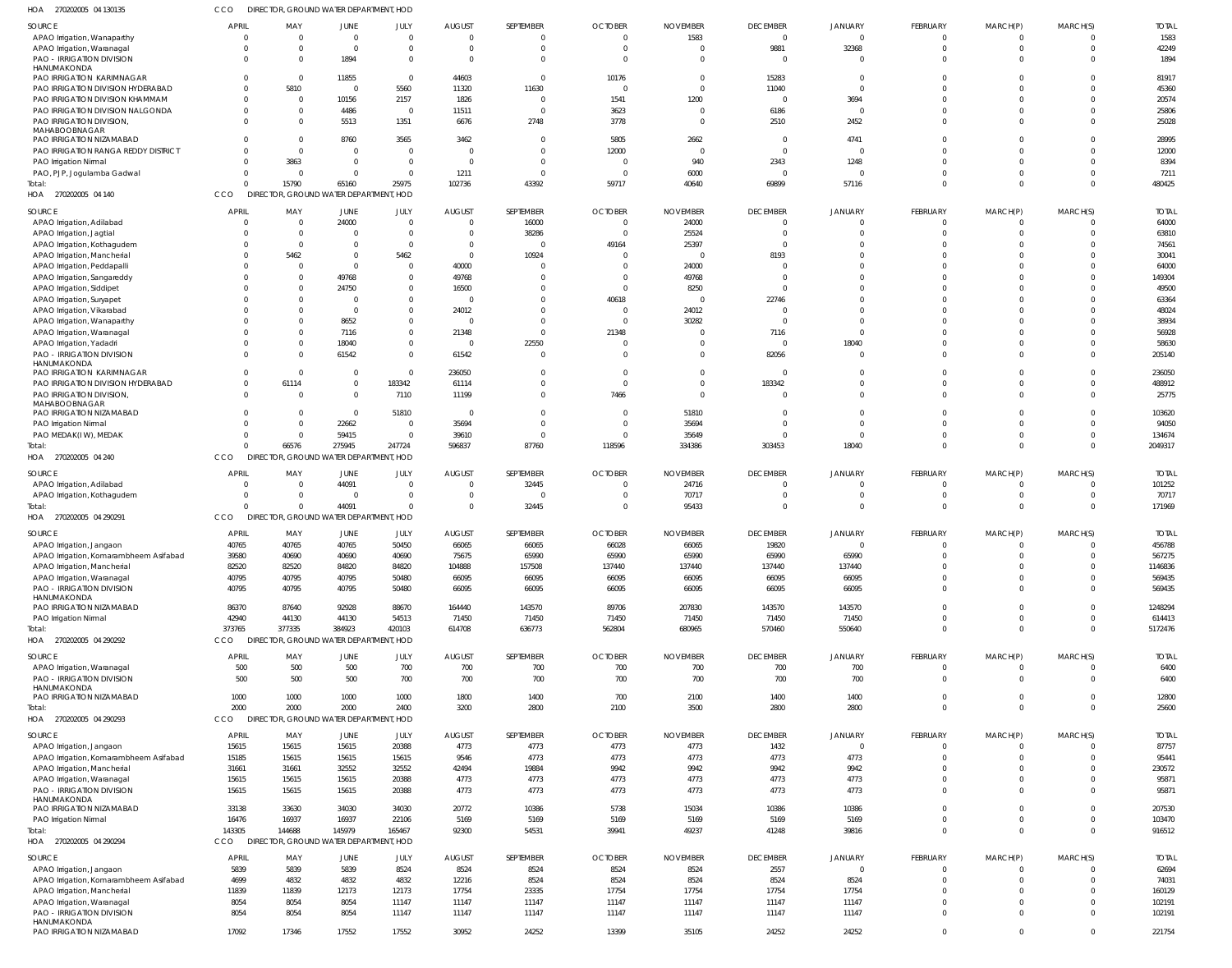| HOA 270202005 04 130135                         | cco          | DIRECTOR, GROUND WATER DEPARTMENT, HOD |                |                |               |           |                |                 |                 |                |                 |                |                |              |
|-------------------------------------------------|--------------|----------------------------------------|----------------|----------------|---------------|-----------|----------------|-----------------|-----------------|----------------|-----------------|----------------|----------------|--------------|
| <b>SOURCE</b>                                   | <b>APRIL</b> | MAY                                    | JUNE           | JULY           | AUGUST        | SEPTEMBER | <b>OCTOBER</b> | <b>NOVEMBER</b> | <b>DECEMBER</b> | <b>JANUARY</b> | FEBRUARY        | MARCH(P)       | MARCH(S)       | <b>TOTAL</b> |
| APAO Irrigation, Wanaparthy                     |              | $\Omega$                               | $\mathbf 0$    | $\mathbf{0}$   | $\Omega$      | $\Omega$  | $\Omega$       | 1583            | $\overline{0}$  | $\overline{0}$ | $\Omega$        | $\Omega$       | $\overline{0}$ | 1583         |
| APAO Irrigation, Waranagal                      |              | $\Omega$                               | $\Omega$       | $\mathbf{0}$   | $\Omega$      | $\Omega$  | $\Omega$       |                 | 9881            | 32368          | $\Omega$        | $\Omega$       | $\overline{0}$ | 42249        |
| <b>PAO - IRRIGATION DIVISION</b>                |              | $\Omega$                               | 1894           | $\mathbf 0$    | $\Omega$      | $\Omega$  | $\Omega$       |                 | $\overline{0}$  | 0              | $\Omega$        | $\Omega$       | $\Omega$       | 1894         |
| HANUMAKONDA<br>PAO IRRIGATION KARIMNAGAR        |              | $\Omega$                               | 11855          | $\overline{0}$ | 44603         | $\Omega$  | 10176          | $\Omega$        | 15283           | 0              |                 | $\Omega$       | $\Omega$       | 81917        |
| PAO IRRIGATION DIVISION HYDERABAD               |              | 5810                                   | $\mathbf 0$    | 5560           | 11320         | 11630     |                |                 | 11040           | $\overline{0}$ |                 |                | $\Omega$       | 45360        |
| PAO IRRIGATION DIVISION KHAMMAM                 |              | $\Omega$                               | 10156          | 2157           | 1826          | $\Omega$  | 1541           | 1200            | 0               | 3694           |                 | $\Omega$       | $\Omega$       | 20574        |
| PAO IRRIGATION DIVISION NALGONDA                |              | $\Omega$                               | 4486           | $\overline{0}$ | 11511         | $\Omega$  | 3623           |                 | 6186            | $\Omega$       |                 | $\Omega$       | $\Omega$       | 25806        |
| PAO IRRIGATION DIVISION,                        |              | $\Omega$                               | 5513           | 1351           | 6676          | 2748      | 3778           | $\Omega$        | 2510            | 2452           | $\Omega$        | $\Omega$       | $\Omega$       | 25028        |
| MAHABOOBNAGAR                                   |              |                                        |                |                |               |           |                |                 |                 |                |                 |                |                |              |
| PAO IRRIGATION NIZAMABAD                        |              | $\Omega$                               | 8760           | 3565           | 3462          | - 0       | 5805           | 2662            | 0               | 4741           |                 | $\Omega$       | 0              | 28995        |
| PAO IRRIGATION RANGA REDDY DISTRICT             |              | $\Omega$                               | $\Omega$       | $\overline{0}$ | $\Omega$      | $\Omega$  | 12000          | $\Omega$        | $\overline{0}$  | $\overline{0}$ |                 | $\Omega$       | $\Omega$       | 12000        |
| PAO Irrigation Nirmal                           |              | 3863                                   | $\Omega$       | $\mathbf{0}$   | $\Omega$      | $\Omega$  | $\Omega$       | 940             | 2343            | 1248           |                 | $\Omega$       | $\Omega$       | 8394         |
| PAO, PJP, Jogulamba Gadwal                      |              | $\Omega$                               | $\Omega$       | $\mathbf 0$    | 1211          | $\Omega$  | $\Omega$       | 6000            | 0               | $\Omega$       |                 | $\Omega$       | $\overline{0}$ | 7211         |
| Total:                                          |              | 15790                                  | 65160          | 25975          | 102736        | 43392     | 59717          | 40640           | 69899           | 57116          | $\Omega$        | $\Omega$       | $\Omega$       | 480425       |
| HOA 270202005 04 140                            | CCO          | DIRECTOR, GROUND WATER DEPARTMENT, HOD |                |                |               |           |                |                 |                 |                |                 |                |                |              |
| SOURCE                                          | <b>APRIL</b> | MAY                                    | JUNE           | JULY           | <b>AUGUST</b> | SEPTEMBER | <b>OCTOBER</b> | <b>NOVEMBER</b> | <b>DECEMBER</b> | <b>JANUARY</b> | FEBRUARY        | MARCH(P)       | MARCH(S)       | <b>TOTAL</b> |
| APAO Irrigation, Adilabad                       |              |                                        | 24000          | $\overline{0}$ | 0             | 16000     | 0              | 24000           | 0               | 0              |                 |                | C              | 64000        |
| APAO Irrigation, Jagtial                        |              |                                        | 0              | $\mathbf{0}$   |               | 38286     | $\Omega$       | 25524           | 0               | $\Omega$       | $\Omega$        | $\Omega$       | $\Omega$       | 63810        |
| APAO Irrigation, Kothagudem                     |              | $\Omega$                               | $\Omega$       | $\Omega$       | $\Omega$      | $\Omega$  | 49164          | 25397           | $\Omega$        | -0             |                 | $\Omega$       | $\Omega$       | 74561        |
| APAO Irrigation, Mancherial                     |              | 5462                                   |                | 5462           | $\Omega$      | 10924     |                |                 | 8193            |                |                 |                | $\Omega$       | 30041        |
| APAO Irrigation, Peddapalli                     |              |                                        | $\Omega$       | $\mathbf{0}$   | 40000         |           |                | 24000           | C.              |                |                 |                | $\Omega$       | 64000        |
| APAO Irrigation, Sangareddy                     |              |                                        | 49768          | $\mathbf{0}$   | 49768         |           |                | 49768           | $\Omega$        |                |                 |                | $\Omega$       | 149304       |
| APAO Irrigation, Siddipet                       |              |                                        | 24750          | $\Omega$       | 16500         |           |                | 8250            | C.              |                |                 | $\Omega$       | $\Omega$       | 49500        |
| APAO Irrigation, Suryapet                       |              |                                        | $\Omega$       | $\Omega$       |               |           | 40618          |                 | 22746           |                |                 |                | $\Omega$       | 63364        |
| APAO Irrigation, Vikarabad                      |              |                                        | $\Omega$       | $\mathbf 0$    | 24012         |           |                | 24012           | C.              | 0              |                 |                | $\Omega$       | 48024        |
| APAO Irrigation, Wanaparthy                     |              |                                        | 8652           | $\mathbf 0$    |               |           | $\Omega$       | 30282           | $\Omega$        | $\Omega$       |                 | $\Omega$       | $\Omega$       | 38934        |
| APAO Irrigation, Waranagal                      |              |                                        | 7116           | $\mathbf 0$    | 21348         | $\Omega$  | 21348          |                 | 7116            | $\Omega$       |                 | $\Omega$       | $\Omega$       | 56928        |
| APAO Irrigation, Yadadri                        |              |                                        | 18040          | $\mathbf 0$    |               | 22550     |                |                 | $\overline{0}$  | 18040          |                 | $\Omega$       | $\Omega$       | 58630        |
| PAO - IRRIGATION DIVISION                       |              |                                        | 61542          | $\mathbf 0$    | 61542         | - 0       |                |                 | 82056           | $\Omega$       | $\Omega$        | $\Omega$       | $\Omega$       | 205140       |
| HANUMAKONDA                                     |              |                                        |                |                |               |           |                |                 |                 |                |                 |                |                |              |
| PAO IRRIGATION KARIMNAGAR                       |              | $\Omega$                               | $\Omega$       | $\mathbf{0}$   | 236050        |           |                |                 | $\Omega$        | $\Omega$       |                 | $\Omega$       | $\Omega$       | 236050       |
| PAO IRRIGATION DIVISION HYDERABAD               |              | 61114                                  | $\mathbf 0$    | 183342         | 61114         |           |                | $\Omega$        | 183342          | $\Omega$       |                 | $\Omega$       | $\Omega$       | 488912       |
| PAO IRRIGATION DIVISION,                        |              |                                        | $\Omega$       | 7110           | 11199         | $\Omega$  | 7466           |                 | $\Omega$        | $\Omega$       | $\Omega$        | $\Omega$       | $\Omega$       | 25775        |
| MAHABOOBNAGAR                                   |              |                                        |                |                |               |           |                |                 |                 |                |                 |                |                |              |
| PAO IRRIGATION NIZAMABAD                        |              |                                        | $\overline{0}$ | 51810          | $\Omega$      | $\Omega$  | $\Omega$       | 51810           | $\Omega$        | $\Omega$       |                 | $\Omega$       | $\Omega$       | 103620       |
| PAO Irrigation Nirmal                           |              | $\Omega$                               | 22662          | $\overline{0}$ | 35694         | $\Omega$  |                | 35694           | $\Omega$        | $\Omega$       | $\Omega$        | $\Omega$       | $\Omega$       | 94050        |
| PAO MEDAK(IW), MEDAK                            |              | $\Omega$                               | 59415          | $\mathbf{0}$   | 39610         | $\Omega$  |                | 35649           | $\Omega$        | $\Omega$       |                 | $\Omega$       | $\overline{0}$ | 134674       |
| Total:                                          |              | 66576                                  | 275945         | 247724         | 596837        | 87760     | 118596         | 334386          | 303453          | 18040          | $\Omega$        | $\Omega$       | $\Omega$       | 2049317      |
| HOA 270202005 04 240                            | CCO          | DIRECTOR, GROUND WATER DEPARTMENT, HOD |                |                |               |           |                |                 |                 |                |                 |                |                |              |
| SOURCE                                          | <b>APRIL</b> | MAY                                    | <b>JUNE</b>    | JULY           | <b>AUGUST</b> | SEPTEMBER | <b>OCTOBER</b> | <b>NOVEMBER</b> | <b>DECEMBER</b> | JANUARY        | FEBRUARY        | MARCH(P)       | MARCH(S)       | <b>TOTAL</b> |
| APAO Irrigation, Adilabad                       |              |                                        | 44091          | $\mathbf{0}$   | $\Omega$      | 32445     |                | 24716           | 0               | 0              | $\Omega$        | $\Omega$       | $\Omega$       | 101252       |
| APAO Irrigation, Kothagudem                     |              | $\Omega$                               | 0              | $\mathbf 0$    | 0             | - 0       | $\Omega$       | 70717           | 0               | 0              | $\Omega$        | $\Omega$       | $\overline{0}$ | 70717        |
| Total:                                          |              | $\Omega$                               | 44091          | $\mathbf 0$    | $\Omega$      | 32445     | $\Omega$       | 95433           | $\Omega$        | $\Omega$       | $\Omega$        | $\Omega$       | $\Omega$       | 171969       |
| HOA 270202005 04 290291                         | CCO          | DIRECTOR, GROUND WATER DEPARTMENT, HOD |                |                |               |           |                |                 |                 |                |                 |                |                |              |
|                                                 |              |                                        |                |                |               |           |                |                 |                 |                |                 |                |                |              |
| <b>SOURCE</b>                                   | <b>APRIL</b> | MAY                                    | JUNE           | JULY           | <b>AUGUST</b> | SEPTEMBER | <b>OCTOBER</b> | <b>NOVEMBER</b> | <b>DECEMBER</b> | <b>JANUARY</b> | <b>FEBRUARY</b> | MARCH(P)       | MARCH(S)       | <b>TOTAI</b> |
| APAO Irrigation, Jangaon                        | 40765        | 40765                                  | 40765          | 50450          | 66065         | 66065     | 66028          | 66065           | 19820           | $\Omega$       | $\Omega$        | $\Omega$       | $\Omega$       | 456788       |
| APAO Irrigation, Komarambheem Asifabad          | 39580        | 40690                                  | 40690          | 40690          | 75675         | 65990     | 65990          | 65990           | 65990           | 65990          | $\bigcap$       | $\bigcap$      | $\sqrt{ }$     | 567275       |
| APAO Irrigation, Mancherial                     | 82520        | 82520                                  | 84820          | 84820          | 104888        | 157508    | 137440         | 137440          | 137440          | 137440         | $\Omega$        | $\Omega$       | $\Omega$       | 1146836      |
| APAO Irrigation, Waranagal                      | 40795        | 40795                                  | 40795          | 50480          | 66095         | 66095     | 66095          | 66095           | 66095           | 66095          | $\overline{0}$  | $\Omega$       | $\overline{0}$ | 569435       |
| <b>PAO - IRRIGATION DIVISION</b><br>HANUMAKONDA | 40795        | 40795                                  | 40795          | 50480          | 66095         | 66095     | 66095          | 66095           | 66095           | 66095          | $\Omega$        | $\Omega$       | $\mathbf 0$    | 569435       |
| PAO IRRIGATION NIZAMABAD                        | 86370        | 87640                                  | 92928          | 88670          | 164440        | 143570    | 89706          | 207830          | 143570          | 143570         | $\Omega$        | $\Omega$       | $\Omega$       | 1248294      |
| PAO Irrigation Nirmal                           | 42940        | 44130                                  | 44130          | 54513          | 71450         | 71450     | 71450          | 71450           | 71450           | 71450          | $\Omega$        | $\Omega$       | $\mathbf 0$    | 614413       |
| Total:                                          | 373765       | 377335                                 | 384923         | 420103         | 614708        | 636773    | 562804         | 680965          | 570460          | 550640         | $\overline{0}$  | $\Omega$       | $\mathbf 0$    | 5172476      |
| HOA 270202005 04 290292                         | CCO          | DIRECTOR, GROUND WATER DEPARTMENT, HOD |                |                |               |           |                |                 |                 |                |                 |                |                |              |
|                                                 |              |                                        |                |                |               |           |                |                 |                 |                |                 |                |                |              |
| <b>SOURCE</b>                                   | <b>APRIL</b> | MAY                                    | JUNE           | JULY           | AUGUST        | SEPTEMBER | <b>OCTOBER</b> | <b>NOVEMBER</b> | <b>DECEMBER</b> | JANUARY        | FEBRUARY        | MARCH(P)       | MARCH(S)       | <b>TOTAL</b> |
| APAO Irrigation, Waranagal                      | 500          | 500                                    | 500            | 700            | 700           | 700       | 700            | 700             | 700             | 700            | $\overline{0}$  | $\Omega$       | $\overline{0}$ | 6400         |
| PAO - IRRIGATION DIVISION                       | 500          | 500                                    | 500            | 700            | 700           | 700       | 700            | 700             | 700             | 700            | $\overline{0}$  | $\Omega$       | $\overline{0}$ | 6400         |
| HANUMAKONDA<br>PAO IRRIGATION NIZAMABAD         | 1000         | 1000                                   | 1000           | 1000           | 1800          | 1400      | 700            | 2100            | 1400            | 1400           | $\overline{0}$  | $\overline{0}$ | $\overline{0}$ | 12800        |
| Total:                                          | 2000         | 2000                                   | 2000           | 2400           | 3200          | 2800      | 2100           | 3500            | 2800            | 2800           | $\Omega$        | $\Omega$       | $\Omega$       | 25600        |
| HOA 270202005 04 290293                         | <b>CCO</b>   | DIRECTOR, GROUND WATER DEPARTMENT, HOD |                |                |               |           |                |                 |                 |                |                 |                |                |              |
|                                                 |              |                                        |                |                |               |           |                |                 |                 |                |                 |                |                |              |
| SOURCE                                          | <b>APRIL</b> | MAY                                    | <b>JUNE</b>    | JULY           | <b>AUGUST</b> | SEPTEMBER | <b>OCTOBER</b> | <b>NOVEMBER</b> | <b>DECEMBER</b> | <b>JANUARY</b> | FEBRUARY        | MARCH(P)       | MARCH(S)       | <b>TOTAL</b> |
| APAO Irrigation, Jangaon                        | 15615        | 15615                                  | 15615          | 20388          | 4773          | 4773      | 4773           | 4773            | 1432            | $\overline{0}$ | $\Omega$        | $\Omega$       | $\overline{0}$ | 87757        |
| APAO Irrigation, Komarambheem Asifabad          | 15185        | 15615                                  | 15615          | 15615          | 9546          | 4773      | 4773           | 4773            | 4773            | 4773           | $\Omega$        | $\Omega$       | $\overline{0}$ | 95441        |
| APAO Irrigation, Mancherial                     | 31661        | 31661                                  | 32552          | 32552          | 42494         | 19884     | 9942           | 9942            | 9942            | 9942           | $\Omega$        | $\Omega$       | $\Omega$       | 230572       |
| APAO Irrigation, Waranagal                      | 15615        | 15615                                  | 15615          | 20388          | 4773          | 4773      | 4773           | 4773            | 4773            | 4773           | $\Omega$        | $\Omega$       | $\mathbf 0$    | 95871        |
| PAO - IRRIGATION DIVISION                       | 15615        | 15615                                  | 15615          | 20388          | 4773          | 4773      | 4773           | 4773            | 4773            | 4773           | $\Omega$        | $\Omega$       | $\Omega$       | 95871        |
| HANUMAKONDA                                     |              |                                        |                |                |               |           |                |                 |                 |                |                 |                |                |              |
|                                                 |              |                                        |                | 34030          | 20772         | 10386     | 5738<br>5169   | 15034           | 10386           | 10386          | $\Omega$        | $\Omega$       | $\mathbf 0$    | 207530       |
| PAO IRRIGATION NIZAMABAD                        | 33138        | 33630                                  | 34030          |                |               |           |                | 5169            | 5169            | 5169           | $\Omega$        | $\Omega$       | $\overline{0}$ | 103470       |
| PAO Irrigation Nirmal                           | 16476        | 16937                                  | 16937          | 22106          | 5169          | 5169      |                |                 |                 |                |                 |                |                |              |
| Total:                                          | 143305       | 144688                                 | 145979         | 165467         | 92300         | 54531     | 39941          | 49237           | 41248           | 39816          | $\Omega$        | $\Omega$       | $\mathbf 0$    | 916512       |
| HOA 270202005 04 290294                         | <b>CCO</b>   | DIRECTOR, GROUND WATER DEPARTMENT, HOD |                |                |               |           |                |                 |                 |                |                 |                |                |              |
| SOURCE                                          | <b>APRIL</b> | MAY                                    | JUNE           | JULY           | <b>AUGUST</b> | SEPTEMBER | <b>OCTOBER</b> | <b>NOVEMBER</b> | <b>DECEMBER</b> | JANUARY        | FEBRUARY        | MARCH(P)       | MARCH(S)       | <b>TOTAL</b> |
| APAO Irrigation, Jangaon                        | 5839         | 5839                                   | 5839           | 8524           | 8524          | 8524      | 8524           | 8524            | 2557            | $\overline{0}$ | $\Omega$        | $\Omega$       | $\Omega$       | 62694        |
| APAO Irrigation, Komarambheem Asifabad          | 4699         | 4832                                   | 4832           | 4832           | 12216         | 8524      | 8524           | 8524            | 8524            | 8524           | $\Omega$        | $\Omega$       | $\Omega$       | 74031        |
| APAO Irrigation, Mancherial                     | 11839        | 11839                                  | 12173          | 12173          | 17754         | 23335     | 17754          | 17754           | 17754           | 17754          | $\Omega$        | $\Omega$       | $\Omega$       | 160129       |
| APAO Irrigation, Waranagal                      | 8054         | 8054                                   | 8054           | 11147          | 11147         | 11147     | 11147          | 11147           | 11147           | 11147          | $\Omega$        | $\Omega$       | $\overline{0}$ | 102191       |
| <b>PAO - IRRIGATION DIVISION</b>                | 8054         | 8054                                   | 8054           | 11147          | 11147         | 11147     | 11147          | 11147           | 11147           | 11147          | $\Omega$        | $\Omega$       | $\Omega$       | 102191       |
| HANUMAKONDA<br>PAO IRRIGATION NIZAMABAD         | 17092        | 17346                                  | 17552          | 17552          | 30952         | 24252     | 13399          | 35105           | 24252           | 24252          | $\overline{0}$  | $\Omega$       | $\mathbf 0$    | 221754       |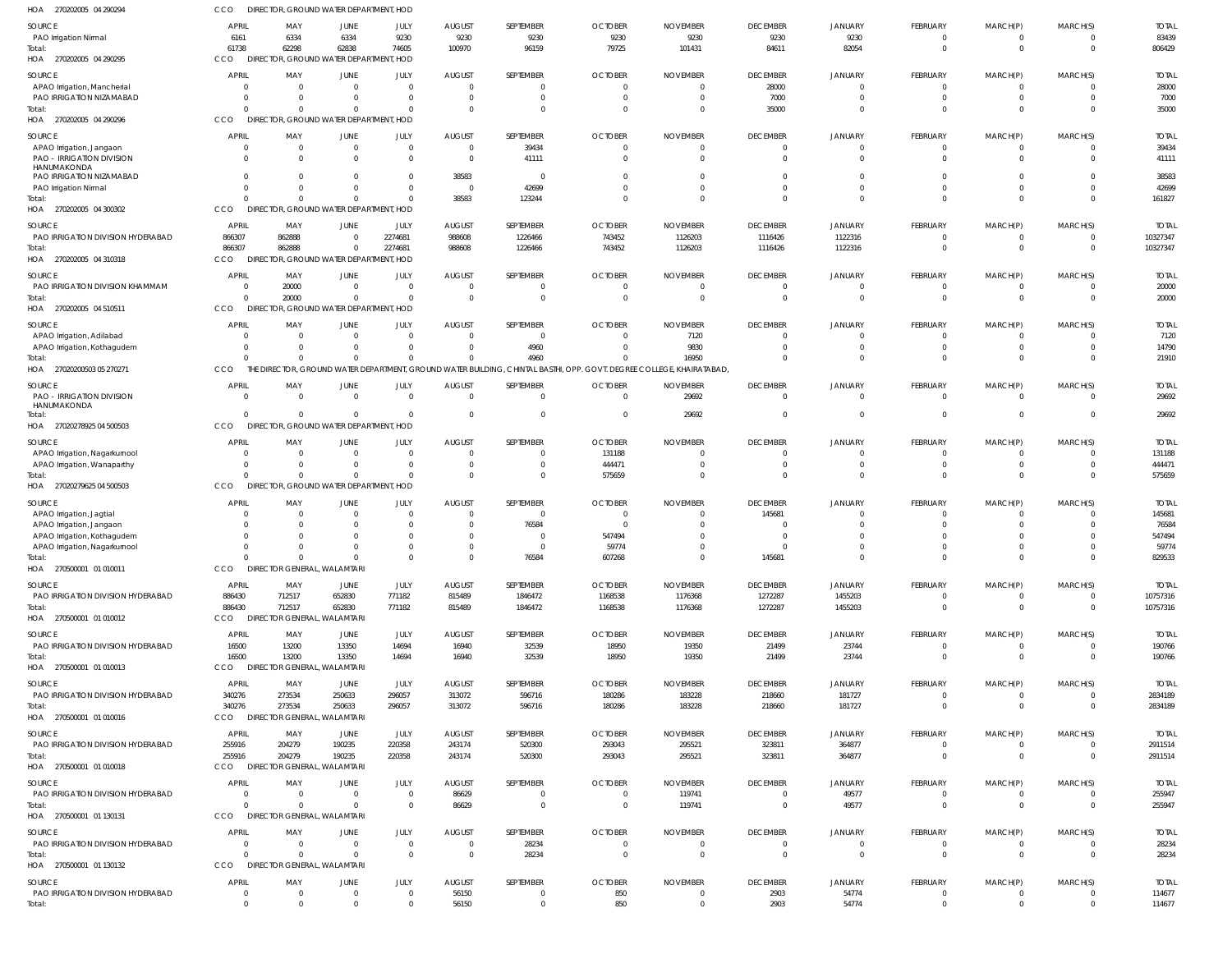| HOA 270202005 04 290294                                      | <b>CCO</b>                     | DIRECTOR, GROUND WATER DEPARTMENT, HOD          |                            |                      |                                  |                          |                                                                                                                       |                                   |                             |                           |                             |                              |                      |                          |
|--------------------------------------------------------------|--------------------------------|-------------------------------------------------|----------------------------|----------------------|----------------------------------|--------------------------|-----------------------------------------------------------------------------------------------------------------------|-----------------------------------|-----------------------------|---------------------------|-----------------------------|------------------------------|----------------------|--------------------------|
| SOURCE                                                       | <b>APRIL</b>                   | MAY                                             | JUNE                       | JULY                 | <b>AUGUST</b>                    | SEPTEMBER                | <b>OCTOBER</b>                                                                                                        | <b>NOVEMBER</b>                   | <b>DECEMBER</b>             | <b>JANUARY</b>            | <b>FEBRUARY</b>             | MARCH(P)                     | MARCH(S)             | <b>TOTAL</b>             |
| PAO Irrigation Nirmal                                        | 6161                           | 6334                                            | 6334                       | 9230                 | 9230                             | 9230                     | 9230                                                                                                                  | 9230                              | 9230                        | 9230                      | $^{\circ}$                  | 0                            |                      | 83439                    |
| Total:<br>HOA 270202005 04 290295                            | 61738<br><b>CCO</b>            | 62298<br>DIRECTOR, GROUND WATER DEPARTMENT, HOD | 62838                      | 74605                | 100970                           | 96159                    | 79725                                                                                                                 | 101431                            | 84611                       | 82054                     | $\mathbf{0}$                | $\Omega$                     | $\Omega$             | 806429                   |
| SOURCE                                                       | APRIL                          | MAY                                             | <b>JUNE</b>                | JULY                 | <b>AUGUST</b>                    | SEPTEMBER                | <b>OCTOBER</b>                                                                                                        | <b>NOVEMBER</b>                   | <b>DECEMBER</b>             | <b>JANUARY</b>            | <b>FEBRUARY</b>             | MARCH(P)                     | MARCH(S)             | <b>TOTAL</b>             |
| APAO Irrigation, Mancherial<br>PAO IRRIGATION NIZAMABAD      |                                | $\Omega$<br>$\Omega$                            | $\Omega$<br>$\Omega$       | - 0<br>$\Omega$      | $\overline{0}$<br>$\overline{0}$ | 0<br>$\Omega$            | $\mathbf 0$<br>$\Omega$                                                                                               | $\Omega$<br>$\Omega$              | 28000<br>7000               |                           | $\Omega$<br>$\Omega$        | $\Omega$<br>$\Omega$         |                      | 28000<br>7000            |
| Total:                                                       |                                | $\Omega$                                        | $\Omega$                   |                      | $\Omega$                         | 0                        | $\Omega$                                                                                                              | $^{\circ}$                        | 35000                       |                           |                             |                              |                      | 35000                    |
| HOA 270202005 04 290296                                      | CCO                            | DIRECTOR, GROUND WATER DEPARTMENT, HOD          |                            |                      |                                  |                          |                                                                                                                       |                                   |                             |                           |                             |                              |                      |                          |
| SOURCE<br>APAO Irrigation, Jangaon                           | <b>APRIL</b>                   | MAY<br>$\overline{0}$                           | JUNE<br>$\overline{0}$     | JULY<br>$\Omega$     | <b>AUGUST</b><br>$\overline{0}$  | SEPTEMBER<br>39434       | <b>OCTOBER</b><br>$\overline{0}$                                                                                      | <b>NOVEMBER</b><br>$\overline{0}$ | <b>DECEMBER</b><br>$\Omega$ | <b>JANUARY</b>            | <b>FEBRUARY</b><br>0        | MARCH(P)<br>0                | MARCH(S)             | <b>TOTAL</b><br>39434    |
| PAO - IRRIGATION DIVISION                                    | $\Omega$                       | $\Omega$                                        | $\Omega$                   | $\Omega$             | $\overline{\mathbf{0}}$          | 41111                    | $\overline{0}$                                                                                                        | $\Omega$                          | $\Omega$                    | $\Omega$                  | $\Omega$                    | $\mathbf 0$                  | $\Omega$             | 41111                    |
| HANUMAKONDA<br>PAO IRRIGATION NIZAMABAD                      | $\Omega$                       | $\Omega$                                        | $\Omega$                   | $\Omega$             | 38583                            | $\Omega$                 | - 0                                                                                                                   | $\overline{0}$                    | $\Omega$                    |                           |                             |                              |                      | 38583                    |
| PAO Irrigation Nirmal                                        | $\Omega$                       | $\Omega$                                        | $\Omega$                   | $\Omega$             | $\overline{0}$                   | 42699                    | $\Omega$                                                                                                              | $\Omega$                          | $\Omega$                    | $\Omega$                  | $\Omega$                    | $\Omega$                     | $\Omega$             | 42699                    |
| Total:                                                       | $\Omega$                       | $\Omega$                                        | $\Omega$                   |                      | 38583                            | 123244                   | $\Omega$                                                                                                              | $\Omega$                          | $\Omega$                    | $\Omega$                  | $\Omega$                    | $\Omega$                     | $\Omega$             | 161827                   |
| HOA 270202005 04 300302                                      | <b>CCO</b>                     | DIRECTOR, GROUND WATER DEPARTMENT, HOD          |                            |                      |                                  |                          |                                                                                                                       |                                   |                             |                           |                             |                              |                      |                          |
| SOURCE<br>PAO IRRIGATION DIVISION HYDERABAD                  | <b>APRIL</b><br>866307         | MAY<br>862888                                   | <b>JUNE</b><br>$\Omega$    | JULY<br>2274681      | <b>AUGUST</b><br>988608          | SEPTEMBER<br>1226466     | <b>OCTOBER</b><br>743452                                                                                              | <b>NOVEMBER</b><br>1126203        | <b>DECEMBER</b><br>1116426  | <b>JANUARY</b><br>1122316 | <b>FEBRUARY</b><br>$\Omega$ | MARCH(P)<br>0                | MARCH(S)             | <b>TOTAI</b><br>10327347 |
| Total:                                                       | 866307                         | 862888                                          | $\overline{0}$             | 2274681              | 988608                           | 1226466                  | 743452                                                                                                                | 1126203                           | 1116426                     | 1122316                   | $\Omega$                    | $\Omega$                     | $\Omega$             | 10327347                 |
| HOA 270202005 04 310318                                      | CCO                            | DIRECTOR, GROUND WATER DEPARTMENT, HOD          |                            |                      |                                  |                          |                                                                                                                       |                                   |                             |                           |                             |                              |                      |                          |
| SOURCE                                                       | APRIL                          | MAY                                             | JUNE                       | JULY                 | <b>AUGUST</b>                    | SEPTEMBER                | <b>OCTOBER</b>                                                                                                        | <b>NOVEMBER</b>                   | <b>DECEMBER</b>             | <b>JANUARY</b>            | FEBRUARY                    | MARCH(P)                     | MARCH(S)             | <b>TOTAL</b>             |
| PAO IRRIGATION DIVISION KHAMMAM                              | $\Omega$                       | 20000                                           | $\overline{0}$             | $\overline{0}$       | $\overline{0}$                   | $\Omega$                 | $\overline{0}$                                                                                                        | $\overline{0}$                    | $\Omega$                    |                           | $^{\circ}$                  |                              |                      | 20000                    |
| Total:<br>HOA 270202005 04 510511                            | $\Omega$<br>CCO                | 20000<br>DIRECTOR, GROUND WATER DEPARTMENT, HOD | $\overline{0}$             | $\Omega$             | $\overline{0}$                   | $\Omega$                 | $\Omega$                                                                                                              | $\overline{0}$                    | $\Omega$                    | $\Omega$                  | $\Omega$                    | $\Omega$                     | $\Omega$             | 20000                    |
|                                                              |                                |                                                 |                            |                      |                                  |                          |                                                                                                                       |                                   |                             |                           |                             |                              |                      |                          |
| SOURCE<br>APAO Irrigation, Adilabad                          | APRIL                          | MAY<br>$\Omega$                                 | <b>JUNE</b><br>$\Omega$    | JULY                 | <b>AUGUST</b><br>$\Omega$        | SEPTEMBER<br>$\Omega$    | <b>OCTOBER</b><br>$\Omega$                                                                                            | <b>NOVEMBER</b><br>7120           | <b>DECEMBER</b>             | <b>JANUARY</b>            | <b>FEBRUARY</b><br>$\Omega$ | MARCH(P)<br>$\Omega$         | MARCH(S)             | <b>TOTAL</b><br>7120     |
| APAO Irrigation, Kothagudem                                  |                                | $\Omega$                                        | $\Omega$                   |                      | $\Omega$                         | 4960                     | $\Omega$                                                                                                              | 9830                              |                             |                           | 0                           | $\Omega$                     |                      | 14790                    |
| Total:                                                       |                                | $\Omega$                                        | $\Omega$                   |                      | $\Omega$                         | 4960                     | $\Omega$                                                                                                              | 16950                             |                             |                           | <sup>0</sup>                |                              |                      | 21910                    |
| HOA 27020200503 05 270271                                    | CCO                            |                                                 |                            |                      |                                  |                          | THE DIRECTOR, GROUND WATER DEPARTMENT, GROUND WATER BUILDING, CHINTAL BASTHI, OPP. GOVT. DEGREE COLLEGE, KHAIRATABAD, |                                   |                             |                           |                             |                              |                      |                          |
| SOURCE                                                       | <b>APRIL</b>                   | MAY                                             | JUNE                       | JULY                 | <b>AUGUST</b>                    | SEPTEMBER                | <b>OCTOBER</b>                                                                                                        | <b>NOVEMBER</b>                   | <b>DECEMBER</b>             | <b>JANUARY</b>            | FEBRUARY                    | MARCH(P)                     | MARCH(S)             | <b>TOTAL</b>             |
| <b>PAO - IRRIGATION DIVISION</b><br>HANUMAKONDA<br>Total:    | $\Omega$                       | $\Omega$<br>$\Omega$                            | $\Omega$<br>$\mathbf 0$    | $\Omega$<br>$\Omega$ | $\Omega$<br>$\overline{0}$       | $\Omega$<br>$\Omega$     | $\overline{0}$<br>$\overline{0}$                                                                                      | 29692<br>29692                    | $\Omega$<br>$\Omega$        | $\Omega$                  | $\mathbf 0$<br>$\Omega$     | $^{\circ}$<br>$\Omega$       | $\Omega$             | 29692<br>29692           |
| HOA 27020278925 04 500503                                    | CCO                            | DIRECTOR, GROUND WATER DEPARTMENT, HOD          |                            |                      |                                  |                          |                                                                                                                       |                                   |                             |                           |                             |                              |                      |                          |
| SOURCE                                                       | APRIL                          | MAY                                             | JUNE                       | JULY                 | <b>AUGUST</b>                    | SEPTEMBER                | <b>OCTOBER</b>                                                                                                        | <b>NOVEMBER</b>                   | <b>DECEMBER</b>             | <b>JANUARY</b>            | <b>FEBRUARY</b>             | MARCH(P)                     | MARCH(S)             | <b>TOTAI</b>             |
| APAO Irrigation, Nagarkurnool                                |                                | $\Omega$                                        | $\Omega$                   | -C                   | $\overline{0}$                   | $\Omega$                 | 131188                                                                                                                | $^{\circ}$                        | $\Omega$                    |                           | $\Omega$                    | $\Omega$                     |                      | 131188                   |
| APAO Irrigation, Wanaparthy                                  |                                | $\Omega$<br>$\Omega$                            | $\Omega$<br>$\Omega$       | $\Omega$             | $\overline{0}$<br>$\Omega$       | 0<br>$\Omega$            | 444471                                                                                                                | $\Omega$<br>$\Omega$              | $\Omega$                    |                           | 0<br>$\Omega$               | $\Omega$                     |                      | 444471<br>575659         |
| Total:<br>HOA 27020279625 04 500503                          | CCO                            | DIRECTOR, GROUND WATER DEPARTMENT, HOD          |                            |                      |                                  |                          | 575659                                                                                                                |                                   |                             |                           |                             |                              |                      |                          |
| SOURCE                                                       | <b>APRIL</b>                   | MAY                                             | JUNE                       | JULY                 | <b>AUGUST</b>                    | SEPTEMBER                | <b>OCTOBER</b>                                                                                                        | <b>NOVEMBER</b>                   | <b>DECEMBER</b>             | <b>JANUARY</b>            | <b>FEBRUARY</b>             | MARCH(P)                     | MARCH(S)             | <b>TOTAL</b>             |
| APAO Irrigation, Jagtial                                     |                                | $\Omega$                                        | $\Omega$                   | $\Omega$             | $\overline{0}$                   | 0                        | $\overline{0}$                                                                                                        | $\Omega$                          | 145681                      |                           | $\Omega$                    |                              |                      | 145681                   |
| APAO Irrigation, Jangaon                                     |                                | $\Omega$                                        | C                          | $\Omega$             | $\overline{0}$                   | 76584                    | $\Omega$                                                                                                              | $\Omega$                          | $\Omega$                    |                           |                             |                              |                      | 76584                    |
| APAO Irrigation, Kothagudem<br>APAO Irrigation, Nagarkurnool |                                | $\Omega$                                        | $\Omega$                   |                      | $\Omega$                         | $\Omega$                 | 547494<br>59774                                                                                                       |                                   |                             |                           |                             |                              |                      | 547494<br>59774          |
| Total:                                                       | $\Omega$                       | $\Omega$                                        | $\Omega$                   | $\Omega$             | $\overline{0}$                   | 76584                    | 607268                                                                                                                | $\overline{0}$                    | 145681                      | $\Omega$                  | $\mathbf 0$                 | $\mathbf 0$                  | $\Omega$             | 829533                   |
| HOA 270500001 01 010011                                      | CCO                            | DIRECTOR GENERAL, WALAMTARI                     |                            |                      |                                  |                          |                                                                                                                       |                                   |                             |                           |                             |                              |                      |                          |
| SOURCE                                                       | APRIL                          | MAY                                             | JUNE                       | JULY                 | <b>AUGUST</b>                    | SEPTEMBER                | <b>OCTOBER</b>                                                                                                        | <b>NOVEMBER</b>                   | <b>DECEMBER</b>             | <b>JANUARY</b>            | <b>FEBRUARY</b>             | MARCH(P)                     | MARCH(S)             | <b>TOTAL</b>             |
| PAO IRRIGATION DIVISION HYDERABAD                            | 886430                         | 712517                                          | 652830                     | 771182               | 815489                           | 1846472                  | 1168538                                                                                                               | 1176368                           | 1272287                     | 1455203                   | $\Omega$                    | $\Omega$                     |                      | 10757316                 |
| Total:<br>HOA 270500001 01 010012                            | 886430<br>CCO                  | 712517<br><b>DIRECTOR GENERAL, WALAMTARI</b>    | 652830                     | 771182               | 815489                           | 1846472                  | 1168538                                                                                                               | 1176368                           | 1272287                     | 1455203                   | $\mathbf 0$                 | $\overline{0}$               | $\Omega$             | 10757316                 |
|                                                              | APRIL                          | MAY                                             |                            | JULY                 | <b>AUGUST</b>                    | SEPTEMBER                | <b>OCTOBER</b>                                                                                                        | <b>NOVEMBER</b>                   | <b>DECEMBER</b>             | <b>JANUARY</b>            | FEBRUARY                    | MARCH(P)                     | MARCH(S)             | <b>TOTAL</b>             |
| SOURCE<br>PAO IRRIGATION DIVISION HYDERABAD                  | 16500                          | 13200                                           | JUNE<br>13350              | 14694                | 16940                            | 32539                    | 18950                                                                                                                 | 19350                             | 21499                       | 23744                     | $^{\circ}$                  |                              |                      | 190766                   |
| Total:                                                       | 16500                          | 13200                                           | 13350                      | 14694                | 16940                            | 32539                    | 18950                                                                                                                 | 19350                             | 21499                       | 23744                     | $\mathbf 0$                 | $\mathbf 0$                  | $\Omega$             | 190766                   |
| HOA 270500001 01 010013                                      | CCO                            | DIRECTOR GENERAL, WALAMTARI                     |                            |                      |                                  |                          |                                                                                                                       |                                   |                             |                           |                             |                              |                      |                          |
| SOURCE                                                       | APRIL                          | MAY                                             | JUNE                       | JULY                 | <b>AUGUST</b>                    | SEPTEMBER                | <b>OCTOBER</b>                                                                                                        | <b>NOVEMBER</b>                   | <b>DECEMBER</b>             | <b>JANUARY</b>            | FEBRUARY                    | MARCH(P)                     | MARCH(S)             | <b>TOTAL</b>             |
| PAO IRRIGATION DIVISION HYDERABAD<br>Total:                  | 340276<br>340276               | 273534<br>273534                                | 250633<br>250633           | 296057<br>296057     | 313072<br>313072                 | 596716<br>596716         | 180286<br>180286                                                                                                      | 183228<br>183228                  | 218660<br>218660            | 181727<br>181727          | $^{\circ}$<br>$\mathbf 0$   | $^{\circ}$<br>$\overline{0}$ | $\Omega$             | 2834189<br>2834189       |
| HOA 270500001 01 010016                                      | CCO                            | DIRECTOR GENERAL, WALAMTARI                     |                            |                      |                                  |                          |                                                                                                                       |                                   |                             |                           |                             |                              |                      |                          |
| SOURCE                                                       | APRIL                          | MAY                                             | JUNE                       | JULY                 | <b>AUGUST</b>                    | SEPTEMBER                | <b>OCTOBER</b>                                                                                                        | <b>NOVEMBER</b>                   | <b>DECEMBER</b>             | JANUARY                   | <b>FEBRUARY</b>             | MARCH(P)                     | MARCH(S)             | <b>TOTAL</b>             |
| PAO IRRIGATION DIVISION HYDERABAD                            | 255916                         | 204279                                          | 190235                     | 220358               | 243174                           | 520300                   | 293043                                                                                                                | 295521                            | 323811                      | 364877                    | $^{\circ}$                  | 0                            |                      | 2911514                  |
| Total:                                                       | 255916                         | 204279                                          | 190235                     | 220358               | 243174                           | 520300                   | 293043                                                                                                                | 295521                            | 323811                      | 364877                    | $\mathbf 0$                 | $\overline{0}$               | $\Omega$             | 2911514                  |
| HOA 270500001 01 010018                                      | CCO                            | <b>DIRECTOR GENERAL, WALAMTARI</b>              |                            |                      |                                  |                          |                                                                                                                       |                                   |                             |                           |                             |                              |                      |                          |
| SOURCE                                                       | APRIL                          | MAY                                             | JUNE                       | JULY                 | <b>AUGUST</b>                    | SEPTEMBER                | <b>OCTOBER</b>                                                                                                        | <b>NOVEMBER</b>                   | <b>DECEMBER</b>             | <b>JANUARY</b>            | <b>FEBRUARY</b>             | MARCH(P)                     | MARCH(S)             | <b>TOTAL</b>             |
| PAO IRRIGATION DIVISION HYDERABAD<br>Total:                  | $\Omega$<br>$\Omega$           | $\Omega$<br>$\Omega$                            | $\overline{0}$<br>$\Omega$ | $\Omega$<br>$\Omega$ | 86629<br>86629                   | $\Omega$<br>$\mathbf{0}$ | $\overline{0}$<br>$\overline{\phantom{0}}$                                                                            | 119741<br>119741                  | $\Omega$<br>$\overline{0}$  | 49577<br>49577            | $\Omega$<br>$\mathbf 0$     | $\Omega$<br>$\mathbf 0$      | $\Omega$             | 255947<br>255947         |
| HOA 270500001 01 130131                                      | <b>CCO</b>                     | DIRECTOR GENERAL, WALAMTARI                     |                            |                      |                                  |                          |                                                                                                                       |                                   |                             |                           |                             |                              |                      |                          |
| SOURCE                                                       | APRIL                          | MAY                                             | JUNE                       | JULY                 | <b>AUGUST</b>                    | SEPTEMBER                | <b>OCTOBER</b>                                                                                                        | <b>NOVEMBER</b>                   | <b>DECEMBER</b>             | <b>JANUARY</b>            | FEBRUARY                    | MARCH(P)                     | MARCH(S)             | <b>TOTAL</b>             |
| PAO IRRIGATION DIVISION HYDERABAD                            | $\Omega$                       | $\overline{0}$                                  | $\overline{0}$             | $\overline{0}$       | $\overline{0}$                   | 28234                    | $\overline{0}$                                                                                                        | $\overline{0}$                    | $\Omega$                    | $\Omega$                  | 0                           | $^{\circ}$                   |                      | 28234                    |
| Total:                                                       | $\Omega$                       | $\Omega$                                        | $\Omega$                   | $\Omega$             | $\overline{\mathbf{0}}$          | 28234                    | $\overline{\mathbf{0}}$                                                                                               | $\overline{0}$                    | $\mathbf{0}$                | $\Omega$                  | $\overline{0}$              | $\overline{0}$               | $\Omega$             | 28234                    |
| HOA 270500001 01 130132                                      | CCO                            | DIRECTOR GENERAL, WALAMTARI                     |                            |                      |                                  |                          |                                                                                                                       |                                   |                             |                           |                             |                              |                      |                          |
| SOURCE<br>PAO IRRIGATION DIVISION HYDERABAD                  | <b>APRIL</b><br>$\overline{0}$ | MAY<br>$\overline{0}$                           | JUNE<br>$\overline{0}$     | JULY<br>$\mathbf{0}$ | <b>AUGUST</b><br>56150           | SEPTEMBER<br>0           | <b>OCTOBER</b><br>850                                                                                                 | <b>NOVEMBER</b><br>$\overline{0}$ | <b>DECEMBER</b><br>2903     | <b>JANUARY</b><br>54774   | FEBRUARY<br>$\overline{0}$  | MARCH(P)<br>$^{\circ}$       | MARCH(S)<br>$\Omega$ | <b>TOTAL</b><br>114677   |
| Total:                                                       | $\Omega$                       | $\Omega$                                        | $\Omega$                   | $\Omega$             | 56150                            | $\mathbf 0$              | 850                                                                                                                   | $\overline{0}$                    | 2903                        | 54774                     | $\mathbf 0$                 | $\Omega$                     | $\Omega$             | 114677                   |
|                                                              |                                |                                                 |                            |                      |                                  |                          |                                                                                                                       |                                   |                             |                           |                             |                              |                      |                          |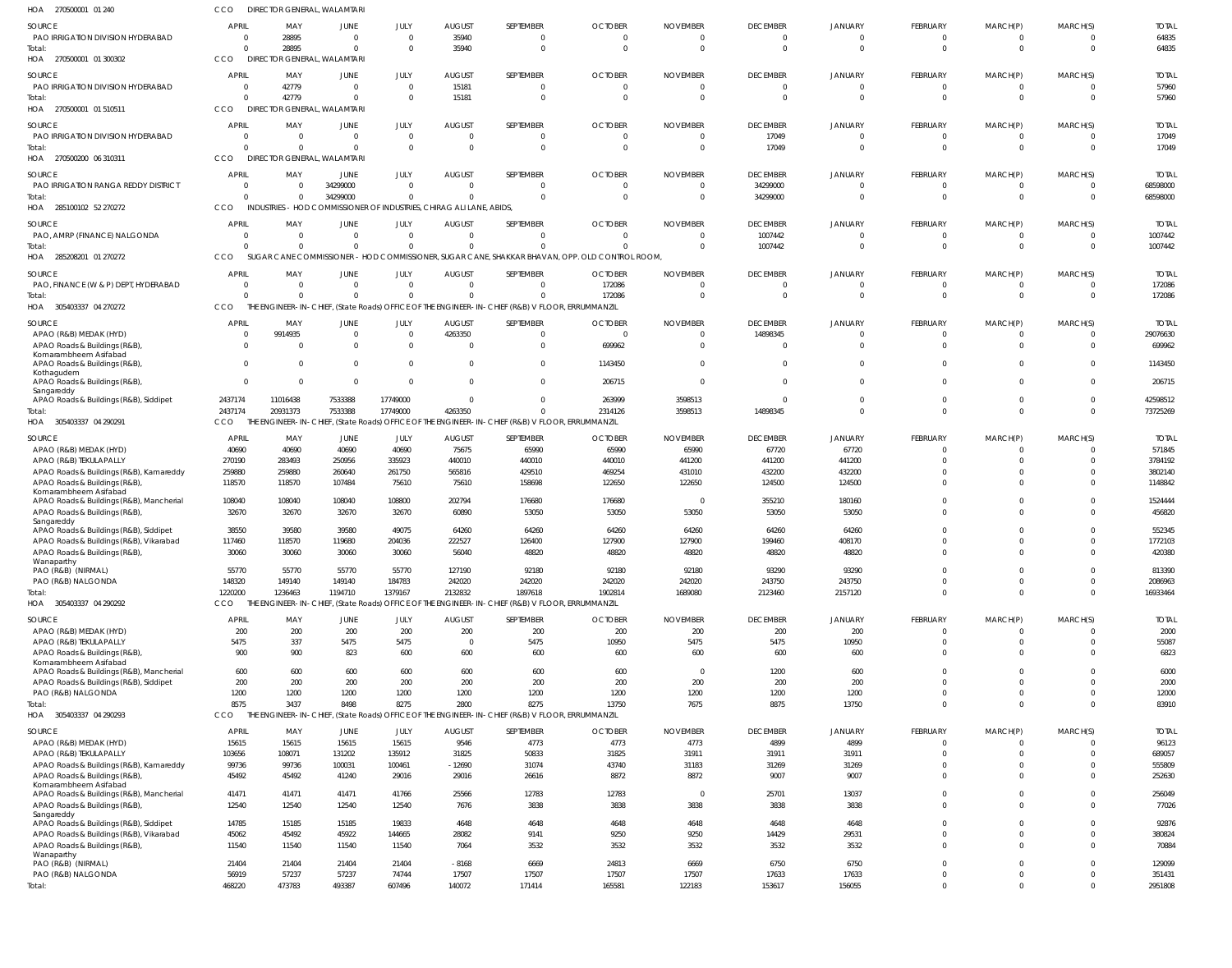| HOA<br>270500001 01 240                                                  | CCO                        | DIRECTOR GENERAL, WALAMTARI                                          |                         |                            |                           |                                                                                                 |                                                                                                |                             |                             |                            |                            |                            |                                  |                        |
|--------------------------------------------------------------------------|----------------------------|----------------------------------------------------------------------|-------------------------|----------------------------|---------------------------|-------------------------------------------------------------------------------------------------|------------------------------------------------------------------------------------------------|-----------------------------|-----------------------------|----------------------------|----------------------------|----------------------------|----------------------------------|------------------------|
| SOURCE                                                                   | <b>APRIL</b>               | MAY                                                                  | <b>JUNE</b>             | JULY                       | <b>AUGUST</b>             | SEPTEMBER                                                                                       | <b>OCTOBER</b>                                                                                 | <b>NOVEMBER</b>             | <b>DECEMBER</b>             | <b>JANUARY</b>             | FEBRUARY                   | MARCH(P)                   | MARCH(S)                         | <b>TOTAL</b>           |
| PAO IRRIGATION DIVISION HYDERABAD                                        | $\Omega$                   | 28895                                                                | $\Omega$                | $\overline{0}$             | 35940                     | 0                                                                                               |                                                                                                |                             | $\overline{0}$              | $\Omega$                   | 0                          | 0                          | $\overline{0}$                   | 64835                  |
| Total                                                                    | $\Omega$                   | 28895                                                                | $\Omega$                | $\overline{0}$             | 35940                     | $\mathbf{0}$                                                                                    | $\Omega$                                                                                       |                             | $\overline{0}$              | $\Omega$                   | $\mathbf 0$                | $\mathbf 0$                | $\overline{0}$                   | 64835                  |
| HOA 270500001 01 300302                                                  | <b>CCO</b>                 | DIRECTOR GENERAL, WALAMTARI                                          |                         |                            |                           |                                                                                                 |                                                                                                |                             |                             |                            |                            |                            |                                  |                        |
| SOURCE                                                                   | <b>APRIL</b>               | MAY                                                                  | <b>JUNE</b>             | JULY                       | <b>AUGUST</b>             | SEPTEMBER                                                                                       | <b>OCTOBER</b>                                                                                 | <b>NOVEMBER</b>             | <b>DECEMBER</b>             | <b>JANUARY</b>             | FEBRUARY                   | MARCH(P)                   | MARCH(S)                         | <b>TOTAL</b>           |
| PAO IRRIGATION DIVISION HYDERABAD                                        | $\overline{0}$             | 42779<br>$\Omega$                                                    | $\Omega$<br>$\Omega$    | $\overline{0}$<br>$\Omega$ | 15181                     | $\mathbf{0}$<br>$\mathbf 0$                                                                     | - 0<br>$\Omega$                                                                                | $\Omega$<br>$\Omega$        | $\overline{0}$<br>$\Omega$  | $\Omega$<br>$\Omega$       | 0<br>$\mathbf 0$           | 0<br>$\mathbf 0$           | $\overline{0}$<br>$\Omega$       | 57960                  |
| Total<br>HOA<br>270500001 01 510511                                      | CCO                        | 42779<br><b>DIREC</b>                                                | DR GENERAL, WALAMTARI   |                            | 15181                     |                                                                                                 |                                                                                                |                             |                             |                            |                            |                            |                                  | 57960                  |
|                                                                          | <b>APRIL</b>               |                                                                      |                         |                            |                           |                                                                                                 |                                                                                                |                             |                             |                            |                            |                            |                                  |                        |
| SOURCE<br>PAO IRRIGATION DIVISION HYDERABAD                              | $\Omega$                   | MAY<br>$\overline{0}$                                                | JUNE<br>$\Omega$        | JULY<br>$\overline{0}$     | <b>AUGUST</b><br>$\Omega$ | SEPTEMBER<br>$\mathbf{0}$                                                                       | <b>OCTOBER</b>                                                                                 | <b>NOVEMBER</b><br>$\Omega$ | <b>DECEMBER</b><br>17049    | <b>JANUARY</b><br>$\Omega$ | FEBRUARY<br>$\overline{0}$ | MARCH(P)<br>$\overline{0}$ | MARCH(S)<br>$\overline{0}$       | <b>TOTAL</b><br>17049  |
| Total                                                                    | $\Omega$                   | $\overline{0}$                                                       | $\Omega$                | $\overline{0}$             | $\Omega$                  | $\mathbf 0$                                                                                     |                                                                                                |                             | 17049                       | $\Omega$                   | $\mathbf 0$                | $\mathbf 0$                | $\overline{0}$                   | 17049                  |
| HOA 270500200 06 310311                                                  | CCO                        | DIRECTOR GENERAL, WALAMTARI                                          |                         |                            |                           |                                                                                                 |                                                                                                |                             |                             |                            |                            |                            |                                  |                        |
| SOURCE                                                                   | <b>APRIL</b>               | MAY                                                                  | <b>JUNE</b>             | JULY                       | <b>AUGUST</b>             | SEPTEMBER                                                                                       | <b>OCTOBER</b>                                                                                 | <b>NOVEMBER</b>             | <b>DECEMBER</b>             | JANUARY                    | <b>FEBRUARY</b>            | MARCH(P)                   | MARCH(S)                         | <b>TOTAL</b>           |
| PAO IRRIGATION RANGA REDDY DISTRICT                                      | $\Omega$                   | $\Omega$                                                             | 34299000                | $\overline{0}$             | - 0                       | $\mathbf{0}$                                                                                    |                                                                                                |                             | 34299000                    | $\Omega$                   | 0                          | 0                          | $\overline{0}$                   | 68598000               |
| Total                                                                    | $\Omega$                   | $\Omega$                                                             | 34299000                | $\overline{0}$             |                           | $\mathbf 0$                                                                                     | - 0                                                                                            | $\Omega$                    | 34299000                    | $\Omega$                   | $\mathbf 0$                | $\mathbf 0$                | $\overline{0}$                   | 68598000               |
| HOA 285100102 52 270272                                                  | CCO                        | INDUSTRIES - HOD COMMISSIONER OF INDUSTRIES, CHIRAG ALI LANE, ABIDS, |                         |                            |                           |                                                                                                 |                                                                                                |                             |                             |                            |                            |                            |                                  |                        |
| SOURCE                                                                   | <b>APRIL</b>               | MAY                                                                  | JUNE                    | JULY                       | <b>AUGUST</b>             | SEPTEMBER                                                                                       | <b>OCTOBER</b>                                                                                 | <b>NOVEMBER</b>             | <b>DECEMBER</b>             | <b>JANUARY</b>             | FEBRUARY                   | MARCH(P)                   | MARCH(S)                         | <b>TOTAL</b>           |
| PAO, AMRP (FINANCE) NALGONDA                                             | $\overline{0}$<br>$\Omega$ | $\overline{0}$<br>$\Omega$                                           | $\Omega$<br>$\Omega$    | $\overline{0}$<br>$\Omega$ | $\Omega$                  | $\mathbf{0}$<br>$\Omega$                                                                        |                                                                                                |                             | 1007442                     | $\Omega$<br>$\Omega$       | $\mathbf 0$<br>$\mathbf 0$ | 0<br>$\mathbf 0$           | $\overline{0}$<br>$\overline{0}$ | 1007442                |
| Total<br>HOA 285208201 01 270272                                         | CCO                        |                                                                      |                         |                            |                           |                                                                                                 | SUGAR CANE COMMISSIONER - HOD COMMISSIONER, SUGAR CANE, SHAKKAR BHAVAN, OPP. OLD CONTROL ROOM, |                             | 1007442                     |                            |                            |                            |                                  | 1007442                |
|                                                                          |                            |                                                                      |                         |                            |                           |                                                                                                 |                                                                                                |                             |                             |                            |                            |                            |                                  |                        |
| SOURCE<br>PAO, FINANCE (W & P) DEPT, HYDERABAD                           | <b>APRIL</b><br>$\Omega$   | MAY<br>$\Omega$                                                      | <b>JUNE</b><br>$\Omega$ | JULY<br>$\Omega$           | <b>AUGUST</b><br>$\cap$   | SEPTEMBER<br>$\mathbf{0}$                                                                       | <b>OCTOBER</b><br>172086                                                                       | <b>NOVEMBER</b>             | <b>DECEMBER</b><br>$\Omega$ | JANUARY<br>$\Omega$        | FEBRUARY<br>0              | MARCH(P)<br>0              | MARCH(S)<br>$\overline{0}$       | <b>TOTAL</b><br>172086 |
| Total                                                                    | $\Omega$                   | $\Omega$                                                             | $\Omega$                | $\Omega$                   | $\cap$                    | $\Omega$                                                                                        | 172086                                                                                         | $\Omega$                    | $\overline{0}$              | $\Omega$                   | $\mathbf 0$                | $\mathbf 0$                | $\overline{0}$                   | 172086                 |
| HOA<br>305403337 04 270272                                               | CCO                        |                                                                      |                         |                            |                           | THE ENGINEER-IN-CHIEF, (State Roads) OFFICE OF THE ENGINEER-IN-CHIEF (R&B) V FLOOR, ERRUMMANZIL |                                                                                                |                             |                             |                            |                            |                            |                                  |                        |
| SOURCE                                                                   | <b>APRIL</b>               | MAY                                                                  | JUNE                    | JULY                       | <b>AUGUST</b>             | SEPTEMBER                                                                                       | <b>OCTOBER</b>                                                                                 | <b>NOVEMBER</b>             | <b>DECEMBER</b>             | JANUARY                    | FEBRUARY                   | MARCH(P)                   | MARCH(S)                         | <b>TOTAL</b>           |
| APAO (R&B) MEDAK (HYD)                                                   | $\overline{0}$             | 9914935                                                              | $\Omega$                | $\overline{0}$             | 4263350                   | $\mathbf{0}$                                                                                    | - 0                                                                                            |                             | 14898345                    | $\Omega$                   | $\mathbf 0$                | 0                          | $\overline{0}$                   | 29076630               |
| APAO Roads & Buildings (R&B),                                            | $\Omega$                   | - 0                                                                  | $\Omega$                | $\overline{0}$             |                           | $\mathbf{0}$                                                                                    | 699962                                                                                         |                             | $\Omega$                    | $\Omega$                   | $\mathbf 0$                | $\mathbf 0$                | $\Omega$                         | 699962                 |
| Komarambheem Asifabad<br>APAO Roads & Buildings (R&B)                    |                            | $\Omega$<br>- 0                                                      | $\Omega$                | $\overline{0}$             | $\Omega$                  | $\mathbf{0}$                                                                                    | 1143450                                                                                        |                             | $\Omega$                    | $\Omega$                   | $\Omega$                   | $\Omega$                   | $\Omega$                         | 1143450                |
| Kothagudem                                                               |                            |                                                                      |                         |                            |                           |                                                                                                 |                                                                                                |                             |                             |                            |                            |                            |                                  |                        |
| APAO Roads & Buildings (R&B),<br>Sangareddy                              |                            | $\Omega$<br>$\Omega$                                                 | $\Omega$                | $\Omega$                   |                           | $\mathbf{0}$                                                                                    | 206715                                                                                         |                             | $\Omega$                    | $\Omega$                   | $\mathbf 0$                | $\mathbf 0$                | $\Omega$                         | 206715                 |
| APAO Roads & Buildings (R&B), Siddipet                                   | 2437174                    | 11016438                                                             | 7533388                 | 17749000                   |                           | $\Omega$                                                                                        | 263999                                                                                         | 3598513                     | $\Omega$                    | $\Omega$                   | $\mathbf 0$                | $\mathbf 0$                | $\Omega$                         | 42598512               |
| Total:                                                                   | 2437174                    | 20931373                                                             | 7533388                 | 17749000                   | 4263350                   | $\Omega$                                                                                        | 2314126                                                                                        | 3598513                     | 14898345                    | $\Omega$                   | $\mathbf 0$                | $\mathbf 0$                | $\Omega$                         | 73725269               |
| 305403337 04 290291<br>HOA                                               | CCO                        |                                                                      |                         |                            |                           | THE ENGINEER-IN-CHIEF, (State Roads) OFFICE OF THE ENGINEER-IN-CHIEF (R&B) V FLOOR, ERRUMMANZIL |                                                                                                |                             |                             |                            |                            |                            |                                  |                        |
| SOURCE                                                                   | <b>APRIL</b>               | MAY                                                                  | JUNE                    | JULY                       | <b>AUGUST</b>             | SEPTEMBER                                                                                       | <b>OCTOBER</b>                                                                                 | <b>NOVEMBER</b>             | <b>DECEMBER</b>             | <b>JANUARY</b>             | <b>FEBRUARY</b>            | MARCH(P)                   | MARCH(S)                         | <b>TOTAL</b>           |
| APAO (R&B) MEDAK (HYD)                                                   | 40690                      | 40690                                                                | 40690                   | 40690                      | 75675                     | 65990                                                                                           | 65990                                                                                          | 65990                       | 67720                       | 67720                      | $\Omega$                   | $\Omega$                   | $\Omega$                         | 571845                 |
| APAO (R&B) TEKULAPALLY<br>APAO Roads & Buildings (R&B), Kamareddy        | 270190<br>259880           | 283493<br>259880                                                     | 250956<br>260640        | 335923<br>261750           | 440010<br>565816          | 440010<br>429510                                                                                | 440010<br>469254                                                                               | 441200<br>431010            | 441200<br>432200            | 441200<br>432200           | $\Omega$<br>$\Omega$       | $\Omega$<br>$\Omega$       | $\Omega$<br>$\Omega$             | 3784192<br>3802140     |
| APAO Roads & Buildings (R&B)                                             | 118570                     | 118570                                                               | 107484                  | 75610                      | 75610                     | 158698                                                                                          | 122650                                                                                         | 122650                      | 124500                      | 124500                     | $\Omega$                   | $\Omega$                   | $\Omega$                         | 1148842                |
| Komarambheem Asifabad                                                    |                            |                                                                      |                         |                            |                           |                                                                                                 |                                                                                                |                             |                             |                            |                            |                            |                                  |                        |
| APAO Roads & Buildings (R&B), Mancherial<br>APAO Roads & Buildings (R&B) | 108040<br>32670            | 108040<br>32670                                                      | 108040<br>32670         | 108800<br>32670            | 202794<br>60890           | 176680<br>53050                                                                                 | 176680<br>53050                                                                                | - 0<br>53050                | 355210<br>53050             | 180160<br>53050            | $\Omega$<br>$\Omega$       | $\Omega$<br>$\Omega$       | $\Omega$<br>$\Omega$             | 1524444<br>456820      |
| Sangareddy                                                               |                            |                                                                      |                         |                            |                           |                                                                                                 |                                                                                                |                             |                             |                            |                            |                            |                                  |                        |
| APAO Roads & Buildings (R&B), Siddipet                                   | 38550                      | 39580                                                                | 39580                   | 49075                      | 64260                     | 64260                                                                                           | 64260                                                                                          | 64260                       | 64260                       | 64260                      | $\Omega$                   | $\Omega$                   | $\Omega$                         | 552345                 |
| APAO Roads & Buildings (R&B), Vikarabad<br>APAO Roads & Buildings (R&B), | 117460<br>30060            | 118570<br>30060                                                      | 119680<br>30060         | 204036<br>30060            | 222527<br>56040           | 126400<br>48820                                                                                 | 127900<br>48820                                                                                | 127900<br>48820             | 199460<br>48820             | 408170<br>48820            | $\Omega$                   |                            | $\Omega$<br>$\overline{0}$       | 1772103<br>420380      |
| Wanaparthy                                                               |                            |                                                                      |                         |                            |                           |                                                                                                 |                                                                                                |                             |                             |                            |                            |                            |                                  |                        |
| PAO (R&B) (NIRMAL)                                                       | 55770                      | 55770                                                                | 55770                   | 55770                      | 127190                    | 92180                                                                                           | 92180                                                                                          | 92180                       | 93290                       | 93290                      | $\mathbf 0$                | $\mathbf 0$                | $\overline{0}$                   | 813390                 |
| PAO (R&B) NALGONDA                                                       | 148320<br>1220200          | 149140<br>1236463                                                    | 149140<br>1194710       | 184783<br>1379167          | 242020<br>2132832         | 242020<br>1897618                                                                               | 242020<br>1902814                                                                              | 242020<br>1689080           | 243750                      | 243750                     | $\mathbf 0$<br>$\mathbf 0$ | $\mathbf 0$<br>$\mathbf 0$ | $\overline{0}$<br>$\overline{0}$ | 2086963                |
| Total:<br>HOA 305403337 04 290292                                        | CCO                        |                                                                      |                         |                            |                           | THE ENGINEER-IN-CHIEF, (State Roads) OFFICE OF THE ENGINEER-IN-CHIEF (R&B) V FLOOR, ERRUMMANZIL |                                                                                                |                             | 2123460                     | 2157120                    |                            |                            |                                  | 16933464               |
|                                                                          |                            |                                                                      |                         |                            |                           |                                                                                                 |                                                                                                |                             |                             |                            |                            |                            |                                  |                        |
| SOURCE<br>APAO (R&B) MEDAK (HYD)                                         | <b>APRIL</b><br>200        | MAY<br>200                                                           | JUNE<br>200             | JULY<br>200                | <b>AUGUST</b><br>200      | SEPTEMBER<br>200                                                                                | <b>OCTOBER</b><br>200                                                                          | <b>NOVEMBER</b><br>200      | <b>DECEMBER</b><br>200      | <b>JANUARY</b><br>200      | FEBRUARY<br>$\overline{0}$ | MARCH(P)<br>$\mathbf 0$    | MARCH(S)<br>$\Omega$             | <b>TOTAL</b><br>2000   |
| APAO (R&B) TEKULAPALLY                                                   | 5475                       | 337                                                                  | 5475                    | 5475                       | $\Omega$                  | 5475                                                                                            | 10950                                                                                          | 5475                        | 5475                        | 10950                      | $\mathbf 0$                | $\mathbf 0$                | $\Omega$                         | 55087                  |
| APAO Roads & Buildings (R&B),                                            | 900                        | 900                                                                  | 823                     | 600                        | 600                       | 600                                                                                             | 600                                                                                            | 600                         | 600                         | 600                        | $\mathbf 0$                | $\mathbf 0$                | $\Omega$                         | 6823                   |
| Komarambheem Asifabad<br>APAO Roads & Buildings (R&B), Mancherial        | 600                        | 600                                                                  | 600                     | 600                        | 600                       | 600                                                                                             | 600                                                                                            | - 0                         | 1200                        | 600                        | $\mathbf 0$                | $\mathbf 0$                | $\Omega$                         | 6000                   |
| APAO Roads & Buildings (R&B), Siddipet                                   | 200                        | 200                                                                  | 200                     | 200                        | 200                       | 200                                                                                             | 200                                                                                            | 200                         | 200                         | 200                        | $\mathbf 0$                | $\mathbf 0$                | $\Omega$                         | 2000                   |
| PAO (R&B) NALGONDA                                                       | 1200                       | 1200                                                                 | 1200                    | 1200                       | 1200                      | 1200                                                                                            | 1200                                                                                           | 1200                        | 1200                        | 1200                       | $\mathbf 0$                | $\mathbf 0$                | $\overline{0}$                   | 12000                  |
| Total:                                                                   | 8575                       | 3437                                                                 | 8498                    | 8275                       | 2800                      | 8275                                                                                            | 13750                                                                                          | 7675                        | 8875                        | 13750                      | $\mathbf 0$                | $\mathbf 0$                | $\Omega$                         | 83910                  |
| HOA<br>305403337 04 290293                                               | CCO                        |                                                                      |                         |                            |                           | THE ENGINEER-IN-CHIEF, (State Roads) OFFICE OF THE ENGINEER-IN-CHIEF (R&B) V FLOOR, ERRUMMANZIL |                                                                                                |                             |                             |                            |                            |                            |                                  |                        |
| SOURCE                                                                   | <b>APRIL</b>               | MAY                                                                  | <b>JUNE</b>             | JULY                       | <b>AUGUST</b>             | SEPTEMBER                                                                                       | <b>OCTOBER</b>                                                                                 | <b>NOVEMBER</b>             | <b>DECEMBER</b>             | <b>JANUARY</b>             | FEBRUARY                   | MARCH(P)                   | MARCH(S)                         | <b>TOTAL</b>           |
| APAO (R&B) MEDAK (HYD)                                                   | 15615                      | 15615                                                                | 15615                   | 15615                      | 9546                      | 4773                                                                                            | 4773                                                                                           | 4773                        | 4899                        | 4899                       | $\Omega$                   | $\Omega$                   | $\Omega$<br>$\Omega$             | 96123                  |
| APAO (R&B) TEKULAPALLY<br>APAO Roads & Buildings (R&B), Kamareddy        | 103656<br>99736            | 108071<br>99736                                                      | 131202<br>100031        | 135912<br>100461           | 31825<br>$-12690$         | 50833<br>31074                                                                                  | 31825<br>43740                                                                                 | 31911<br>31183              | 31911<br>31269              | 31911<br>31269             | $\mathbf 0$<br>$\mathbf 0$ | $\mathbf 0$<br>$\mathbf 0$ | $\Omega$                         | 689057<br>555809       |
| APAO Roads & Buildings (R&B)                                             | 45492                      | 45492                                                                | 41240                   | 29016                      | 29016                     | 26616                                                                                           | 8872                                                                                           | 8872                        | 9007                        | 9007                       | $\mathbf 0$                | $\Omega$                   | $\Omega$                         | 252630                 |
| Komarambheem Asifabad                                                    |                            |                                                                      |                         |                            |                           |                                                                                                 |                                                                                                |                             |                             |                            | $\mathbf 0$                | $\mathbf 0$                | $\mathbf{0}$                     |                        |
| APAO Roads & Buildings (R&B), Mancherial<br>APAO Roads & Buildings (R&B) | 41471<br>12540             | 41471<br>12540                                                       | 41471<br>12540          | 41766<br>12540             | 25566<br>7676             | 12783<br>3838                                                                                   | 12783<br>3838                                                                                  | $\overline{0}$<br>3838      | 25701<br>3838               | 13037<br>3838              | $\mathbf 0$                | $\mathbf 0$                | $\overline{0}$                   | 256049<br>77026        |
| Sangareddy                                                               |                            |                                                                      |                         |                            |                           |                                                                                                 |                                                                                                |                             |                             |                            |                            |                            |                                  |                        |
| APAO Roads & Buildings (R&B), Siddipet                                   | 14785                      | 15185                                                                | 15185                   | 19833                      | 4648                      | 4648                                                                                            | 4648                                                                                           | 4648                        | 4648                        | 4648                       | $\Omega$                   | $\Omega$                   | $\Omega$                         | 92876                  |
| APAO Roads & Buildings (R&B), Vikarabad<br>APAO Roads & Buildings (R&B)  | 45062<br>11540             | 45492<br>11540                                                       | 45922<br>11540          | 144665<br>11540            | 28082<br>7064             | 9141<br>3532                                                                                    | 9250<br>3532                                                                                   | 9250<br>3532                | 14429<br>3532               | 29531<br>3532              | $\Omega$<br>$\Omega$       | $\Omega$<br>$\Omega$       | $\mathbf{0}$<br>$\Omega$         | 380824<br>70884        |
| Wanaparthy                                                               |                            |                                                                      |                         |                            |                           |                                                                                                 |                                                                                                |                             |                             |                            |                            |                            |                                  |                        |
| PAO (R&B) (NIRMAL)                                                       | 21404                      | 21404                                                                | 21404                   | 21404                      | $-8168$                   | 6669                                                                                            | 24813                                                                                          | 6669                        | 6750                        | 6750                       | $\Omega$                   | $\Omega$                   | $\Omega$                         | 129099                 |
| PAO (R&B) NALGONDA<br>Total:                                             | 56919<br>468220            | 57237<br>473783                                                      | 57237<br>493387         | 74744<br>607496            | 17507<br>140072           | 17507<br>171414                                                                                 | 17507<br>165581                                                                                | 17507<br>122183             | 17633<br>153617             | 17633<br>156055            | $\mathbf 0$<br>$\Omega$    | $\mathbf 0$<br>$\Omega$    | $\overline{0}$<br>$\Omega$       | 351431<br>2951808      |
|                                                                          |                            |                                                                      |                         |                            |                           |                                                                                                 |                                                                                                |                             |                             |                            |                            |                            |                                  |                        |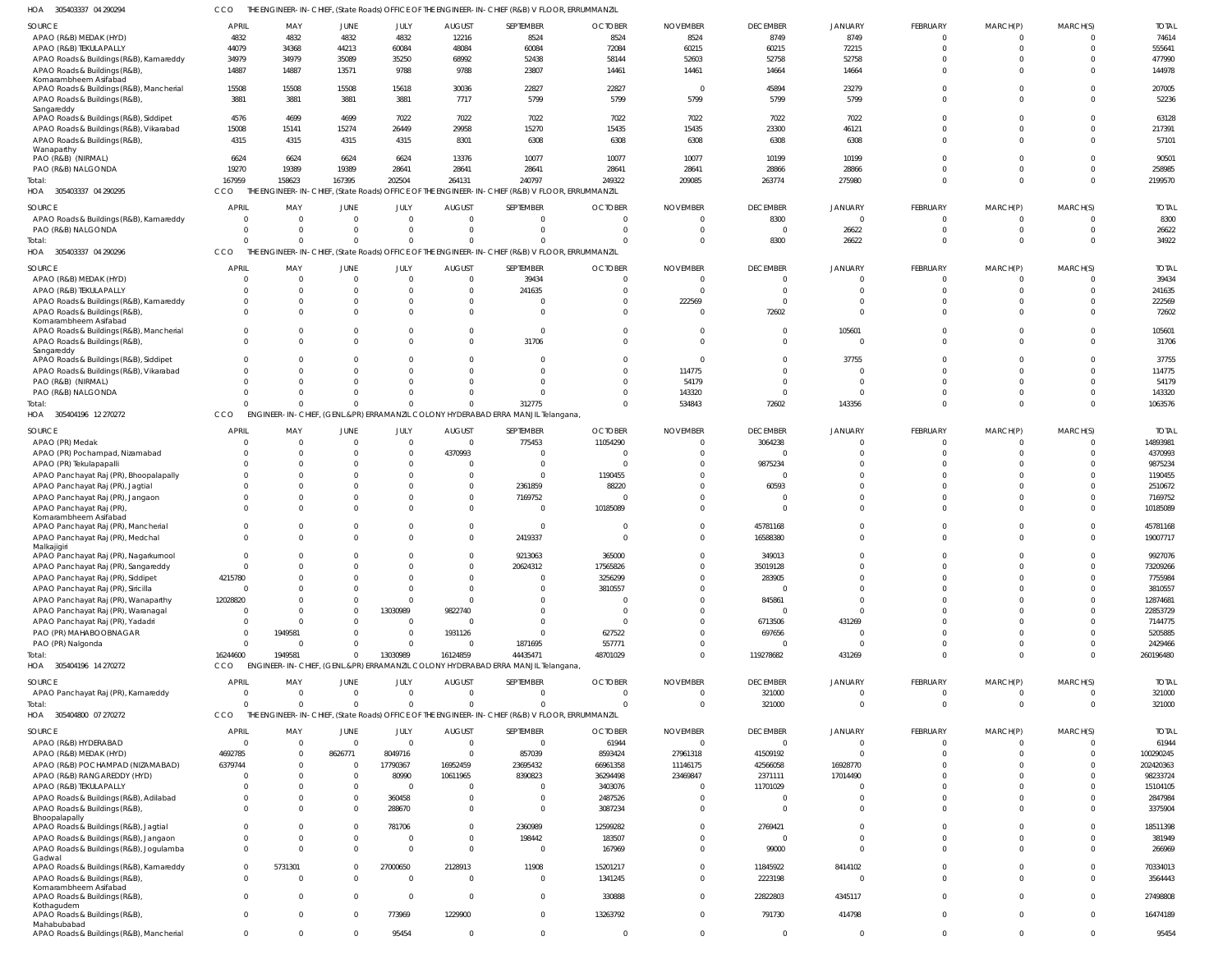305403337 04 290294 HOA CCO THE ENGINEER-IN-CHIEF, (State Roads) OFFICE OF THE ENGINEER-IN-CHIEF (R&B) V FLOOR, ERRUMMANZIL

| 1077<br><b>JUJTUJJJI UT ZIUZI</b>                       | 〜〜〜                        |                      |                |                |                | THE ENORMEENT INTO THEIR (STATE NOGGS) OF FIGE OF THE ENORMEENT INTO THEIR (NOD) VILLOON, ENNORMMENTE |                |                 |                      |                |                 |                |                |                      |
|---------------------------------------------------------|----------------------------|----------------------|----------------|----------------|----------------|-------------------------------------------------------------------------------------------------------|----------------|-----------------|----------------------|----------------|-----------------|----------------|----------------|----------------------|
| <b>SOURCE</b>                                           | <b>APRIL</b>               | MAY                  | JUNE           | JULY           | <b>AUGUST</b>  | SEPTEMBER                                                                                             | <b>OCTOBER</b> | <b>NOVEMBER</b> | <b>DECEMBER</b>      | JANUARY        | FEBRUARY        | MARCH(P)       | MARCH(S)       | <b>TOTAL</b>         |
| APAO (R&B) MEDAK (HYD)                                  | 4832                       | 4832                 | 4832           | 4832           | 12216          | 8524                                                                                                  | 8524           | 8524            | 8749                 | 8749           | $\mathbf 0$     | $\Omega$       | $\Omega$       | 74614                |
| APAO (R&B) TEKULAPALLY                                  | 44079                      | 34368                | 44213          | 60084          | 48084          | 60084                                                                                                 | 72084          | 60215           | 60215                | 72215          | $\mathbf 0$     | $\mathbf 0$    | $\Omega$       | 555641               |
| APAO Roads & Buildings (R&B), Kamareddy                 | 34979                      | 34979                | 35089          | 35250          | 68992          | 52438                                                                                                 | 58144          | 52603           | 52758                | 52758          | $\Omega$        | $\Omega$       | $\Omega$       | 477990               |
| APAO Roads & Buildings (R&B)                            | 14887                      | 14887                | 13571          | 9788           | 9788           | 23807                                                                                                 | 14461          | 14461           | 14664                | 14664          | $\Omega$        | $\Omega$       | $\Omega$       | 144978               |
| Komarambheem Asifabad                                   |                            |                      |                |                |                |                                                                                                       |                |                 |                      |                |                 |                |                |                      |
| APAO Roads & Buildings (R&B), Mancherial                | 15508                      | 15508                | 15508          | 15618          | 30036          | 22827                                                                                                 | 22827          | $\Omega$        | 45894                | 23279          | $\mathbf 0$     | $\Omega$       | $\Omega$       | 207005               |
| APAO Roads & Buildings (R&B)                            | 3881                       | 3881                 | 3881           | 3881           | 7717           | 5799                                                                                                  | 5799           | 5799            | 5799                 | 5799           | $\Omega$        | $\Omega$       | $\Omega$       | 52236                |
| Sangareddy<br>APAO Roads & Buildings (R&B), Siddipet    | 4576                       | 4699                 | 4699           | 7022           | 7022           | 7022                                                                                                  | 7022           | 7022            | 7022                 | 7022           | $\Omega$        | $\Omega$       | $\Omega$       | 63128                |
| APAO Roads & Buildings (R&B), Vikarabad                 | 15008                      | 15141                | 15274          | 26449          | 29958          | 15270                                                                                                 | 15435          | 15435           | 23300                | 46121          | $\mathbf 0$     | $\Omega$       | $\Omega$       | 217391               |
| APAO Roads & Buildings (R&B),                           | 4315                       | 4315                 | 4315           | 4315           | 8301           | 6308                                                                                                  | 6308           | 6308            | 6308                 | 6308           | $\Omega$        | $\Omega$       | $\Omega$       | 57101                |
| Wanaparthy                                              |                            |                      |                |                |                |                                                                                                       |                |                 |                      |                |                 |                |                |                      |
| PAO (R&B) (NIRMAL)                                      | 6624                       | 6624                 | 6624           | 6624           | 13376          | 10077                                                                                                 | 10077          | 10077           | 10199                | 10199          | $\Omega$        | $\Omega$       | $\Omega$       | 90501                |
| PAO (R&B) NALGONDA                                      | 19270                      | 19389                | 19389          | 28641          | 28641          | 28641                                                                                                 | 28641          | 28641           | 28866                | 28866          | $\Omega$        | $\Omega$       | $\Omega$       | 258985               |
| Total:                                                  | 167959                     | 158623               | 167395         | 202504         | 264131         | 240797                                                                                                | 249322         | 209085          | 263774               | 275980         | $\Omega$        | $\mathbf 0$    | $\Omega$       | 2199570              |
| HOA 305403337 04 290295                                 | CCO                        |                      |                |                |                | THE ENGINEER-IN-CHIEF, (State Roads) OFFICE OF THE ENGINEER-IN-CHIEF (R&B) V FLOOR, ERRUMMANZIL       |                |                 |                      |                |                 |                |                |                      |
| SOURCE                                                  | <b>APRIL</b>               | MAY                  | <b>JUNE</b>    | JULY           | <b>AUGUST</b>  | SEPTEMBER                                                                                             | <b>OCTOBER</b> | <b>NOVEMBER</b> | <b>DECEMBER</b>      | JANUARY        | <b>FEBRUARY</b> | MARCH(P)       | MARCH(S)       | <b>TOTAL</b>         |
| APAO Roads & Buildings (R&B), Kamareddy                 | - 0                        | $\cap$               | $\overline{0}$ | $\overline{0}$ | $\Omega$       | $\overline{0}$                                                                                        |                |                 | 8300                 | $\mathbf 0$    | $\overline{0}$  | 0              | $\overline{0}$ | 8300                 |
| PAO (R&B) NALGONDA                                      | $\circ$                    | $\cap$               | $\Omega$       | $\overline{0}$ | $\Omega$       | $\overline{0}$                                                                                        |                |                 | $\overline{0}$       | 26622          | $\mathbf 0$     | $\mathbf 0$    | $\Omega$       | 26622                |
| Total:                                                  | $\Omega$                   |                      | $\Omega$       | $\Omega$       | $\Omega$       | $\Omega$                                                                                              |                |                 | 8300                 | 26622          | $\mathbf 0$     | $\overline{0}$ | $\Omega$       | 34922                |
| 305403337 04 290296<br>HOA                              | CCO                        |                      |                |                |                | THE ENGINEER-IN-CHIEF, (State Roads) OFFICE OF THE ENGINEER-IN-CHIEF (R&B) V FLOOR, ERRUMMANZIL       |                |                 |                      |                |                 |                |                |                      |
|                                                         |                            |                      |                |                |                |                                                                                                       |                |                 |                      |                |                 |                |                |                      |
| SOURCE                                                  | <b>APRIL</b>               | MAY                  | <b>JUNE</b>    | JULY           | <b>AUGUST</b>  | SEPTEMBER                                                                                             | <b>OCTOBER</b> | <b>NOVEMBER</b> | <b>DECEMBER</b>      | JANUARY        | FEBRUARY        | MARCH(P)       | MARCH(S)       | <b>TOTAL</b>         |
| APAO (R&B) MEDAK (HYD)                                  | $\Omega$                   | $\Omega$             | $\Omega$       | $\overline{0}$ | $\Omega$       | 39434                                                                                                 |                | - 0             | $\mathbf{0}$         | $\Omega$       | $^{\circ}$      | $\Omega$       | $\Omega$       | 39434                |
| APAO (R&B) TEKULAPALLY                                  | $\Omega$                   | $\Omega$             | $\Omega$       | $\Omega$       | $\Omega$       | 241635                                                                                                |                | $\Omega$        | $\Omega$             | $\Omega$       | $\mathbf 0$     | $\Omega$       | $\Omega$       | 241635               |
| APAO Roads & Buildings (R&B), Kamareddy                 | $\Omega$                   |                      | $\Omega$       | $\Omega$       | $\Omega$       | $\mathbf 0$                                                                                           |                | 222569          | $\Omega$             | $\Omega$       | $\Omega$        | $\Omega$       | $\Omega$       | 222569               |
| APAO Roads & Buildings (R&B)                            | $\Omega$                   |                      | $\Omega$       | $\Omega$       | $\Omega$       | $\mathbf 0$                                                                                           |                | $\cap$          | 72602                | $\Omega$       | $\Omega$        | $\Omega$       | $\Omega$       | 72602                |
| Komarambheem Asifabad                                   |                            |                      |                |                |                |                                                                                                       |                |                 |                      |                |                 |                |                |                      |
| APAO Roads & Buildings (R&B), Mancherial                | $\Omega$                   |                      | $\Omega$       | $\Omega$       | $\Omega$       | $\overline{0}$                                                                                        |                |                 | $\overline{0}$       | 105601         | $\Omega$        | $\Omega$       | $\Omega$       | 105601               |
| APAO Roads & Buildings (R&B)<br>Sangareddy              | $\Omega$                   |                      | O              | $\Omega$       | $\Omega$       | 31706                                                                                                 |                |                 | $\Omega$             | $\Omega$       | $\Omega$        | $\Omega$       | $\Omega$       | 31706                |
| APAO Roads & Buildings (R&B), Siddipet                  | $\Omega$                   |                      |                | $\Omega$       | $\Omega$       | $\mathbf 0$                                                                                           |                |                 | $\Omega$             | 37755          | $\Omega$        | $\Omega$       | $\Omega$       | 37755                |
| APAO Roads & Buildings (R&B), Vikarabad                 | $\Omega$                   |                      |                | $\Omega$       | $\Omega$       | $\Omega$                                                                                              |                | 114775          | $\Omega$             | $\Omega$       | $\Omega$        | $\Omega$       | $\Omega$       | 114775               |
| PAO (R&B) (NIRMAL)                                      | $\Omega$                   |                      |                | $\Omega$       | $\Omega$       | $\Omega$                                                                                              |                | 54179           | $\Omega$             | $\Omega$       | $\Omega$        | $\Omega$       | $\Omega$       | 54179                |
| PAO (R&B) NALGONDA                                      | $\Omega$                   | $\Omega$             |                | $\Omega$       | $\Omega$       | $\Omega$                                                                                              |                | 143320          | $\Omega$             | $\Omega$       | $\mathbf 0$     | $\Omega$       | $\Omega$       | 143320               |
| Total:                                                  | $\cap$                     | $\Omega$             | $\Omega$       | $\Omega$       | $\Omega$       | 312775                                                                                                | $\Omega$       | 534843          | 72602                | 143356         | $\Omega$        | $\Omega$       | $\Omega$       | 1063576              |
| HOA 305404196 12 270272                                 | CCO                        |                      |                |                |                | ENGINEER-IN-CHIEF, (GENL.&PR) ERRAMANZIL COLONY HYDERABAD ERRA MANJIL Telangana                       |                |                 |                      |                |                 |                |                |                      |
|                                                         |                            |                      |                |                |                |                                                                                                       |                |                 |                      |                |                 |                |                |                      |
| SOURCE                                                  | <b>APRIL</b>               | MAY                  | <b>JUNE</b>    | JULY           | <b>AUGUST</b>  | SEPTEMBER                                                                                             | <b>OCTOBER</b> | <b>NOVEMBER</b> | <b>DECEMBER</b>      | JANUARY        | FEBRUARY        | MARCH(P)       | MARCH(S)       | <b>TOTAL</b>         |
| APAO (PR) Medak                                         | $\Omega$                   | - 0                  | $\Omega$       | $\overline{0}$ | $\overline{0}$ | 775453                                                                                                | 11054290       |                 | 3064238              | $\overline{0}$ | $\overline{0}$  | $\mathbf 0$    | $\Omega$       | 14893981             |
| APAO (PR) Pochampad, Nizamabad                          | $\Omega$                   |                      |                | $\overline{0}$ | 4370993        | $\overline{0}$                                                                                        |                |                 | $\mathbf{0}$         | $\Omega$       | $\mathbf{0}$    | $\mathbf 0$    | $\Omega$       | 4370993              |
| APAO (PR) Tekulapapalli                                 |                            |                      |                | $\Omega$       | <sup>0</sup>   | $\overline{0}$                                                                                        |                |                 | 9875234              | $\Omega$       | $\mathbf 0$     | $\Omega$       | $\Omega$       | 9875234              |
| APAO Panchayat Raj (PR), Bhoopalapally                  |                            |                      |                | $\Omega$       | $\Omega$       | $\overline{0}$                                                                                        | 1190455        |                 | $\Omega$             |                | $\mathbf 0$     | $\Omega$       | $\Omega$       | 1190455              |
| APAO Panchayat Raj (PR), Jagtial                        |                            |                      |                | $\Omega$       | $\Omega$       | 2361859                                                                                               | 88220          |                 | 60593                | $\Omega$       | $\mathbf 0$     | $\Omega$       | $\Omega$       | 2510672              |
| APAO Panchayat Raj (PR), Jangaon                        | $\Omega$                   |                      | $\Omega$       | $\Omega$       | $\Omega$       | 7169752                                                                                               |                |                 | $\Omega$             | $\Omega$       | $\mathbf 0$     | $\Omega$       | $\Omega$       | 7169752              |
| APAO Panchayat Raj (PR)                                 |                            |                      |                | $\Omega$       | $\Omega$       | $\mathbf{0}$                                                                                          | 10185089       |                 | $\Omega$             | $\Omega$       | $\Omega$        | $\Omega$       | $\Omega$       | 10185089             |
| Komarambheem Asifabad                                   |                            |                      | $\mathbf 0$    | $\overline{0}$ | $\Omega$       | $\mathbf{0}$                                                                                          |                |                 |                      | $\Omega$       | $\mathbf{0}$    | $\mathbf 0$    | $\Omega$       |                      |
| APAO Panchayat Raj (PR), Mancherial                     | $\overline{0}$<br>$\Omega$ |                      | $\Omega$       | $\Omega$       | $\Omega$       | 2419337                                                                                               |                |                 | 45781168<br>16588380 | $\Omega$       | $\mathbf 0$     | $\Omega$       | $\Omega$       | 45781168<br>19007717 |
| APAO Panchayat Raj (PR), Medchal<br>Malkajigiri         |                            |                      |                |                |                |                                                                                                       |                |                 |                      |                |                 |                |                |                      |
| APAO Panchayat Raj (PR), Nagarkurnool                   | $\Omega$                   |                      | $\cap$         | $\Omega$       | $\Omega$       | 9213063                                                                                               | 365000         |                 | 349013               | $\Omega$       | $\Omega$        | $\Omega$       | $\Omega$       | 9927076              |
| APAO Panchayat Raj (PR), Sangareddy                     | $\overline{0}$             |                      |                | $\Omega$       | $\Omega$       | 20624312                                                                                              | 17565826       |                 | 35019128             | $\Omega$       | $\mathbf 0$     | $\Omega$       | $\Omega$       | 73209266             |
| APAO Panchayat Raj (PR), Siddipet                       | 4215780                    |                      |                | $\Omega$       | $\Omega$       | $\mathbf{0}$                                                                                          | 3256299        |                 | 283905               | $\Omega$       | $\mathbf 0$     | $\mathbf 0$    | $\Omega$       | 7755984              |
| APAO Panchayat Raj (PR), Siricilla                      | $\overline{0}$             |                      |                | $\Omega$       | $\Omega$       | $\overline{0}$                                                                                        | 3810557        |                 | $\overline{0}$       | $\Omega$       | $\mathbf 0$     | $\Omega$       | $\Omega$       | 3810557              |
| APAO Panchayat Raj (PR), Wanaparthy                     | 12028820                   |                      |                | $\overline{0}$ | $\Omega$       | $\mathbf 0$                                                                                           |                |                 | 845861               | $\mathbf 0$    | $\mathbf 0$     | $\Omega$       | $\Omega$       | 12874681             |
| APAO Panchayat Raj (PR), Waranagal                      | $\circ$                    |                      | $\Omega$       | 13030989       | 9822740        | $\mathbf 0$                                                                                           | - 0            |                 | $\overline{0}$       | $\overline{0}$ | $\mathbf 0$     | $\Omega$       | $\Omega$       | 22853729             |
| APAO Panchayat Raj (PR), Yadadri                        | - 0                        |                      |                | $\overline{0}$ | <sup>0</sup>   | $\overline{0}$                                                                                        |                |                 | 6713506              | 431269         | $\mathbf 0$     | $\mathbf 0$    | $\Omega$       | 7144775              |
| PAO (PR) MAHABOOBNAGAR                                  | - 0                        | 1949581              |                | $\overline{0}$ | 1931126        | $\overline{0}$                                                                                        | 627522         |                 | 697656               | $\overline{0}$ | $\mathbf 0$     | $\mathbf 0$    | $\Omega$       | 5205885              |
| PAO (PR) Nalgonda                                       | $\overline{0}$             | - 0                  | $\Omega$       | $\overline{0}$ | $\Omega$       | 1871695                                                                                               | 557771         |                 | $\overline{0}$       | $\Omega$       | $\mathbf 0$     | $\mathbf 0$    | $\Omega$       | 2429466              |
| Total:                                                  | 16244600                   | 1949581              | $\Omega$       | 13030989       | 16124859       | 44435471                                                                                              | 48701029       |                 | 119278682            | 431269         | $\mathbf 0$     | $\overline{0}$ | $\Omega$       | 260196480            |
| HOA 305404196 14 270272                                 | CCO                        |                      |                |                |                | ENGINEER-IN-CHIEF, (GENL.&PR) ERRAMANZIL COLONY HYDERABAD ERRA MANJIL Telangana,                      |                |                 |                      |                |                 |                |                |                      |
|                                                         |                            |                      |                |                |                |                                                                                                       |                |                 |                      |                |                 |                |                |                      |
| SOURCE                                                  | <b>APRIL</b>               | MAY                  | <b>JUNE</b>    | JULY           | <b>AUGUST</b>  | SEPTEMBER                                                                                             | <b>OCTOBER</b> | <b>NOVEMBER</b> | <b>DECEMBER</b>      | JANUARY        | FEBRUARY        | MARCH(P)       | MARCH(S)       | <b>TOTAL</b>         |
| APAO Panchayat Raj (PR), Kamareddy                      | $\Omega$                   | $\Omega$<br>$\Omega$ | $\overline{0}$ | $\overline{0}$ | $\Omega$       | $\overline{0}$                                                                                        | $\Omega$       | $\cap$          | 321000               | $\mathbf 0$    | $\overline{0}$  | $\mathbf{0}$   | $\overline{0}$ | 321000               |
| Total:<br>305404800 07 270272                           | $\Omega$                   |                      | $\Omega$       | $\Omega$       | $\Omega$       | $\mathbf 0$                                                                                           | $\Omega$       | $\Omega$        | 321000               | $\Omega$       | $\overline{0}$  | $\mathbf 0$    | $\Omega$       | 321000               |
| HOA                                                     | CCO                        |                      |                |                |                | THE ENGINEER-IN-CHIEF, (State Roads) OFFICE OF THE ENGINEER-IN-CHIEF (R&B) V FLOOR, ERRUMMANZIL       |                |                 |                      |                |                 |                |                |                      |
| SOURCE                                                  | <b>APRIL</b>               | MAY                  | <b>JUNE</b>    | JULY           | <b>AUGUST</b>  | SEPTEMBER                                                                                             | <b>OCTOBER</b> | <b>NOVEMBER</b> | <b>DECEMBER</b>      | JANUARY        | FEBRUARY        | MARCH(P)       | MARCH(S)       | <b>TOTAL</b>         |
| APAO (R&B) HYDERABAD                                    | $\overline{0}$             | $\Omega$             | $\overline{0}$ | $\overline{0}$ | $\overline{0}$ | $\overline{0}$                                                                                        | 61944          | $\Omega$        | $\overline{0}$       | $\mathbf 0$    | $\mathbf{0}$    | $\mathbf{0}$   | $\overline{0}$ | 61944                |
| APAO (R&B) MEDAK (HYD)                                  | 4692785                    |                      | 8626771        | 8049716        | $\Omega$       | 857039                                                                                                | 8593424        | 27961318        | 41509192             | $\mathbf 0$    | $\mathbf{0}$    | $\mathbf 0$    | $\Omega$       | 100290245            |
| APAO (R&B) POCHAMPAD (NIZAMABAD)                        | 6379744                    |                      | $\overline{0}$ | 17790367       | 16952459       | 23695432                                                                                              | 66961358       | 11146175        | 42566058             | 16928770       | $\mathbf 0$     | $\mathbf 0$    | $\Omega$       | 202420363            |
| APAO (R&B) RANGAREDDY (HYD)                             | - 0                        |                      | $\overline{0}$ | 80990          | 10611965       | 8390823                                                                                               | 36294498       | 23469847        | 2371111              | 17014490       | $\mathbf 0$     | $\mathbf 0$    | $\Omega$       | 98233724             |
| APAO (R&B) TEKULAPALLY                                  | $\Omega$                   |                      | $\Omega$       | $\Omega$       | $\Omega$       | $\mathbf{0}$                                                                                          | 3403076        |                 | 11701029             | $\overline{0}$ | $\mathbf 0$     | $\Omega$       |                | 15104105             |
| APAO Roads & Buildings (R&B), Adilabad                  | $\overline{0}$             |                      | $\mathbf 0$    | 360458         | $\Omega$       | $\mathbf{0}$                                                                                          | 2487526        |                 | $\overline{0}$       | $\mathbf 0$    | $\mathbf 0$     | $\mathbf 0$    | $\Omega$       | 2847984              |
| APAO Roads & Buildings (R&B)                            | $\Omega$                   |                      | $\Omega$       | 288670         | $\Omega$       | $\overline{0}$                                                                                        | 3087234        |                 | $\overline{0}$       | $\overline{0}$ | $\mathbf 0$     | $\mathbf 0$    | $\Omega$       | 3375904              |
| Bhoopalapally                                           |                            |                      |                |                |                |                                                                                                       |                |                 |                      |                |                 |                |                |                      |
| APAO Roads & Buildings (R&B), Jagtial                   | $\mathbf{0}$               |                      | $\mathbf 0$    | 781706         | $\Omega$       | 2360989                                                                                               | 12599282       |                 | 2769421              | $\mathbf 0$    | $\mathbf 0$     | $\mathbf 0$    | $\Omega$       | 18511398             |
| APAO Roads & Buildings (R&B), Jangaon                   | $\overline{0}$             |                      | $\Omega$       | $\circ$        | $\Omega$       | 198442                                                                                                | 183507         |                 | $\overline{0}$       | $\mathbf 0$    | $\mathbf 0$     | $\mathbf 0$    | $\Omega$       | 381949               |
| APAO Roads & Buildings (R&B), Jogulamba<br>Gadwal       | $\Omega$                   |                      | $\Omega$       | $\overline{0}$ | $\Omega$       | $\mathbf{0}$                                                                                          | 167969         |                 | 99000                | $\Omega$       | $\mathbf 0$     | $\Omega$       | $\Omega$       | 266969               |
| APAO Roads & Buildings (R&B), Kamareddy                 | $\mathbf 0$                | 5731301              | $\Omega$       | 27000650       | 2128913        | 11908                                                                                                 | 15201217       |                 | 11845922             | 8414102        | $\mathbf 0$     | $\Omega$       | $\Omega$       | 70334013             |
| APAO Roads & Buildings (R&B),                           | $\Omega$                   |                      | $\Omega$       | $\Omega$       | $\Omega$       | $\overline{0}$                                                                                        | 1341245        |                 | 2223198              | $\Omega$       | $\mathbf 0$     | $\Omega$       | $\Omega$       | 3564443              |
| Komarambheem Asifabad                                   |                            |                      |                |                |                |                                                                                                       |                |                 |                      |                |                 |                |                |                      |
| APAO Roads & Buildings (R&B)                            | $\mathbf 0$                | $\Omega$             | $\Omega$       | $\overline{0}$ | $\mathbf{0}$   | $\overline{0}$                                                                                        | 330888         | $\Omega$        | 22822803             | 4345117        | $\mathbf 0$     | $\Omega$       | $\Omega$       | 27498808             |
| Kothagudem                                              |                            |                      |                |                |                |                                                                                                       |                |                 |                      |                |                 |                |                |                      |
| APAO Roads & Buildings (R&B),                           | $\Omega$                   |                      | $\Omega$       | 773969         | 1229900        | $\overline{0}$                                                                                        | 13263792       | $\Omega$        | 791730               | 414798         | $\mathbf 0$     | $\mathbf 0$    | $\Omega$       | 16474189             |
| Mahabubabad<br>APAO Roads & Buildings (R&B), Mancherial | $\overline{0}$             | $\Omega$             | $\mathbf 0$    | 95454          | $\mathbf{0}$   | $\overline{0}$                                                                                        | $\overline{0}$ | $\Omega$        | $\overline{0}$       | $\overline{0}$ | $\mathbf 0$     | $\mathbf{0}$   | $\overline{0}$ | 95454                |
|                                                         |                            |                      |                |                |                |                                                                                                       |                |                 |                      |                |                 |                |                |                      |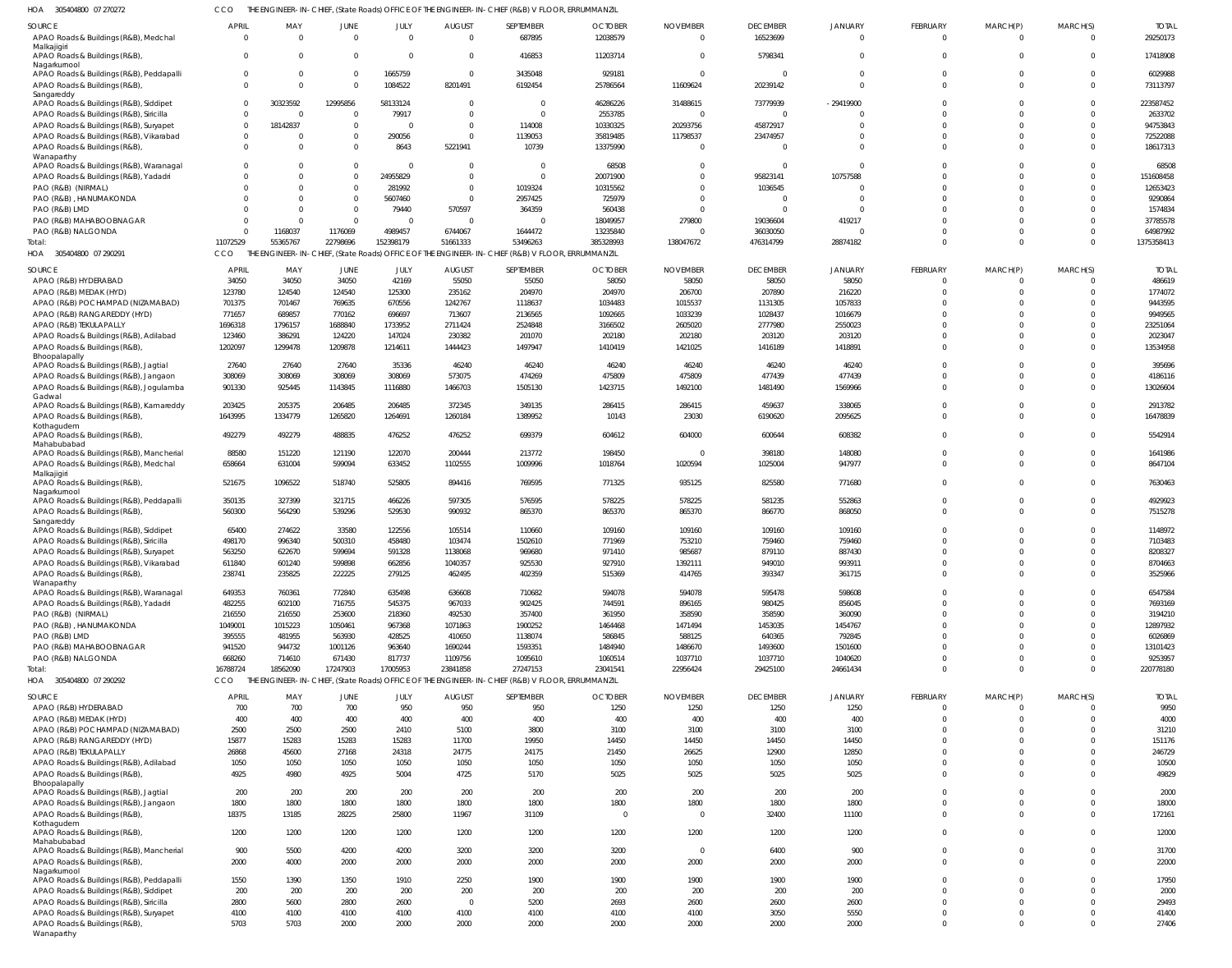305404800 07 270272 HOA CCO THE ENGINEER-IN-CHIEF, (State Roads) OFFICE OF THE ENGINEER-IN-CHIEF (R&B) V FLOOR, ERRUMMANZIL

| <b>SOURCE</b>                                                                     | <b>APRIL</b>                     | MAY                  | JUNE                 | JULY                                           | <b>AUGUST</b>           | SEPTEMBER                                                                                       | <b>OCTOBER</b>        | <b>NOVEMBER</b>         | <b>DECEMBER</b>       | <b>JANUARY</b><br>$\cap$ | FEBRUARY                      | MARCH(P)                         | MARCH(S)                   | <b>TOTAL</b>           |
|-----------------------------------------------------------------------------------|----------------------------------|----------------------|----------------------|------------------------------------------------|-------------------------|-------------------------------------------------------------------------------------------------|-----------------------|-------------------------|-----------------------|--------------------------|-------------------------------|----------------------------------|----------------------------|------------------------|
| APAO Roads & Buildings (R&B), Medchal<br>Malkajigiri                              | $\overline{0}$                   | $\Omega$             | $\Omega$             | $\overline{0}$                                 | $\overline{0}$          | 687895                                                                                          | 12038579              | $\Omega$                | 16523699              |                          | $\overline{0}$                | $\mathbf{0}$                     | $\mathbf 0$                | 29250173               |
| APAO Roads & Buildings (R&B),<br>Nagarkurnool                                     | $\overline{0}$                   | $\Omega$             | $\Omega$             | $\overline{0}$                                 | 0                       | 416853                                                                                          | 11203714              | $\mathbf 0$             | 5798341               | $\Omega$                 | $\overline{0}$                | $\mathbf{0}$                     | $\mathbf{0}$               | 17418908               |
| APAO Roads & Buildings (R&B), Peddapalli<br>APAO Roads & Buildings (R&B)          | $\overline{0}$<br>$\overline{0}$ | 0<br>$\Omega$        | $\Omega$<br>$\Omega$ | 1665759<br>1084522                             | 0<br>8201491            | 3435048<br>6192454                                                                              | 929181<br>25786564    | $\mathbf 0$<br>11609624 | $\Omega$<br>20239142  | $\Omega$<br>$\Omega$     | $\mathbf 0$<br>$\mathbf 0$    | $\Omega$<br>$\Omega$             | $\mathbf 0$<br>$\mathbf 0$ | 6029988<br>73113797    |
| Sangareddy<br>APAO Roads & Buildings (R&B), Siddipet                              | $\overline{0}$                   | 30323592             | 12995856             | 58133124                                       | $\Omega$                | $\mathbf 0$                                                                                     | 46286226              | 31488615                | 73779939              | $-29419900$              | $\Omega$                      | $\Omega$                         | $\mathbf 0$                | 223587452              |
| APAO Roads & Buildings (R&B), Siricilla                                           | $\overline{0}$                   | $\overline{0}$       | $\Omega$             | 79917                                          | $\Omega$                | $\Omega$                                                                                        | 2553785               | $\overline{0}$          | $\Omega$              |                          | $\Omega$                      | $\Omega$                         | $\mathbf 0$                | 2633702                |
| APAO Roads & Buildings (R&B), Suryapet<br>APAO Roads & Buildings (R&B), Vikarabad | $\overline{0}$<br>$\overline{0}$ | 18142837<br>0        | $\Omega$<br>$\Omega$ | $\Omega$<br>290056                             | $\Omega$<br>$\mathbf 0$ | 114008<br>1139053                                                                               | 10330325<br>35819485  | 20293756<br>11798537    | 45872917<br>23474957  | $\Omega$                 | $\Omega$<br>$\Omega$          | <sup>0</sup><br><sup>0</sup>     | $\Omega$<br>$\mathbf 0$    | 94753843<br>72522088   |
| APAO Roads & Buildings (R&B)                                                      | $\Omega$                         | $\Omega$             | $\Omega$             | 8643                                           | 5221941                 | 10739                                                                                           | 13375990              | $\Omega$                | $\Omega$              | $\cap$                   | $\Omega$                      | $\Omega$                         | $\Omega$                   | 18617313               |
| Wanaparthy<br>APAO Roads & Buildings (R&B), Waranagal                             | $\Omega$                         | $\Omega$             | $\Omega$             | $\Omega$                                       | $\Omega$                | $\Omega$                                                                                        | 68508                 | $\Omega$                | $\Omega$              | $\cap$                   | $\Omega$                      | $\Omega$                         | $\Omega$                   | 68508                  |
| APAO Roads & Buildings (R&B), Yadadri                                             | $\Omega$                         | $\Omega$             | $\Omega$             | 24955829                                       | $\Omega$                | $\Omega$                                                                                        | 20071900              | $\Omega$                | 95823141              | 10757588                 | $\Omega$                      | $\Omega$                         | $\mathbf 0$                | 151608458              |
| PAO (R&B) (NIRMAL)                                                                | $\Omega$                         | $\Omega$             | $\Omega$             | 281992                                         | $\mathbf 0$             | 1019324                                                                                         | 10315562              | $\Omega$                | 1036545               | $\cap$                   | $\Omega$                      |                                  | $\Omega$                   | 12653423               |
| PAO (R&B), HANUMAKONDA<br>PAO (R&B) LMD                                           | $\Omega$<br>$\Omega$             | $\Omega$<br>$\Omega$ | $\Omega$<br>$\Omega$ | 5607460<br>79440                               | $\mathbf 0$<br>570597   | 2957425<br>364359                                                                               | 725979<br>560438      | $\Omega$<br>0           | $\Omega$<br>$\Omega$  | $\cap$                   | $\Omega$                      | <sup>0</sup>                     | $\Omega$<br>$\Omega$       | 9290864<br>1574834     |
| PAO (R&B) MAHABOOBNAGAR                                                           | $\Omega$                         | $\Omega$             | $\Omega$             | $\Omega$                                       | $\Omega$                | 0                                                                                               | 18049957              | 279800                  | 19036604              | 419217                   | $\Omega$                      | <sup>0</sup>                     | $\Omega$                   | 37785578               |
| PAO (R&B) NALGONDA<br>Total:                                                      | $\Omega$<br>11072529             | 1168037<br>55365767  | 1176069<br>22798696  | 4989457<br>152398179                           | 6744067<br>51661333     | 1644472<br>53496263                                                                             | 13235840<br>385328993 | 0<br>138047672          | 36030050<br>476314799 | 28874182                 | $\Omega$<br>$\Omega$          | <sup>0</sup><br>$\Omega$         | $\mathbf 0$<br>$\mathbf 0$ | 64987992<br>1375358413 |
| 305404800 07 290291<br>HOA                                                        | CCO                              |                      |                      | THE ENGINEER-IN-CHIEF, (State Roads) OFFICE OF |                         | THE ENGINEER-IN-CHIEF (R&B) V FLOOR, ERRUMMANZIL                                                |                       |                         |                       |                          |                               |                                  |                            |                        |
| SOURCE                                                                            | <b>APRIL</b>                     | MAY                  | JUNE                 | JULY                                           | <b>AUGUST</b>           | SEPTEMBER                                                                                       | <b>OCTOBER</b>        | <b>NOVEMBER</b>         | <b>DECEMBER</b>       | JANUARY                  | FEBRUARY                      | MARCH(P)                         | MARCH(S)                   | <b>TOTAL</b>           |
| APAO (R&B) HYDERABAD                                                              | 34050                            | 34050                | 34050                | 42169                                          | 55050                   | 55050                                                                                           | 58050                 | 58050                   | 58050                 | 58050                    | $\Omega$                      |                                  | $\Omega$                   | 486619                 |
| APAO (R&B) MEDAK (HYD)<br>APAO (R&B) POCHAMPAD (NIZAMABAD)                        | 123780<br>701375                 | 124540<br>701467     | 124540<br>769635     | 125300<br>670556                               | 235162<br>1242767       | 204970<br>1118637                                                                               | 204970<br>1034483     | 206700<br>1015537       | 207890<br>1131305     | 216220<br>1057833        | $\Omega$<br>$\Omega$          | $\Omega$<br><sup>0</sup>         | $\Omega$<br>$\Omega$       | 1774072<br>9443595     |
| APAO (R&B) RANGAREDDY (HYD)                                                       | 771657                           | 689857               | 770162               | 696697                                         | 713607                  | 2136565                                                                                         | 1092665               | 1033239                 | 1028437               | 1016679                  | O                             | $\Omega$                         | $\Omega$                   | 9949565                |
| APAO (R&B) TEKULAPALLY                                                            | 1696318                          | 1796157              | 1688840              | 1733952                                        | 2711424                 | 2524848                                                                                         | 3166502               | 2605020                 | 2777980               | 2550023                  | $\Omega$                      | $\cap$                           | $\Omega$                   | 23251064               |
| APAO Roads & Buildings (R&B), Adilabad<br>APAO Roads & Buildings (R&B)            | 123460<br>1202097                | 386291<br>1299478    | 124220<br>1209878    | 147024<br>1214611                              | 230382<br>1444423       | 201070<br>1497947                                                                               | 202180<br>1410419     | 202180<br>1421025       | 203120<br>1416189     | 203120<br>1418891        | $\Omega$<br>$\Omega$          | $\Omega$<br>$\Omega$             | $\Omega$<br>$\Omega$       | 2023047<br>13534958    |
| Bhoopalapally                                                                     |                                  |                      |                      |                                                |                         |                                                                                                 |                       |                         |                       |                          |                               |                                  |                            |                        |
| APAO Roads & Buildings (R&B), Jagtial<br>APAO Roads & Buildings (R&B), Jangaon    | 27640<br>308069                  | 27640<br>308069      | 27640<br>308069      | 35336<br>308069                                | 46240<br>573075         | 46240<br>474269                                                                                 | 46240<br>475809       | 46240<br>475809         | 46240<br>477439       | 46240<br>477439          | $\Omega$<br>$\Omega$          | <sup>0</sup><br>$\Omega$         | $\Omega$<br>$\Omega$       | 395696<br>4186116      |
| APAO Roads & Buildings (R&B), Jogulamba                                           | 901330                           | 925445               | 1143845              | 1116880                                        | 1466703                 | 1505130                                                                                         | 1423715               | 1492100                 | 1481490               | 1569966                  | $\Omega$                      | $\Omega$                         | $\Omega$                   | 13026604               |
| Gadwal<br>APAO Roads & Buildings (R&B), Kamareddy                                 | 203425                           | 205375               | 206485               | 206485                                         | 372345                  | 349135                                                                                          | 286415                | 286415                  | 459637                | 338065                   | $\Omega$                      | $\Omega$                         | $\Omega$                   | 2913782                |
| APAO Roads & Buildings (R&B)                                                      | 1643995                          | 1334779              | 1265820              | 1264691                                        | 1260184                 | 1389952                                                                                         | 10143                 | 23030                   | 6190620               | 2095625                  | $\Omega$                      | $\Omega$                         | $\Omega$                   | 16478839               |
| Kothagudem<br>APAO Roads & Buildings (R&B)<br>Mahabubabad                         | 492279                           | 492279               | 488835               | 476252                                         | 476252                  | 699379                                                                                          | 604612                | 604000                  | 600644                | 608382                   | $\Omega$                      | $\Omega$                         | $\Omega$                   | 5542914                |
| APAO Roads & Buildings (R&B), Mancherial                                          | 88580                            | 151220               | 121190               | 122070                                         | 200444                  | 213772                                                                                          | 198450                | - 0                     | 398180                | 148080                   | $\Omega$                      | $\Omega$                         | $\mathbf 0$                | 1641986                |
| APAO Roads & Buildings (R&B), Medchal<br>Malkajigiri                              | 658664                           | 631004               | 599094               | 633452                                         | 1102555                 | 1009996                                                                                         | 1018764               | 1020594                 | 1025004               | 947977                   | $\Omega$                      | $\Omega$                         | $\mathbf 0$                | 8647104                |
| APAO Roads & Buildings (R&B)<br>Nagarkurnool                                      | 521675                           | 1096522              | 518740               | 525805                                         | 894416                  | 769595                                                                                          | 771325                | 935125                  | 825580                | 771680                   | $\Omega$                      | $\Omega$                         | $\Omega$                   | 7630463                |
| APAO Roads & Buildings (R&B), Peddapalli                                          | 350135                           | 327399               | 321715               | 466226                                         | 597305                  | 576595                                                                                          | 578225                | 578225                  | 581235                | 552863                   | $\Omega$                      | $\Omega$                         | $\Omega$                   | 4929923                |
| APAO Roads & Buildings (R&B)<br>Sangareddy                                        | 560300                           | 564290               | 539296               | 529530                                         | 990932                  | 865370                                                                                          | 865370                | 865370                  | 866770                | 868050                   | $\Omega$                      | $\Omega$                         | $\Omega$                   | 7515278                |
| APAO Roads & Buildings (R&B), Siddipet                                            | 65400                            | 274622               | 33580                | 122556                                         | 105514                  | 110660                                                                                          | 109160                | 109160                  | 109160                | 109160                   | $\Omega$                      | <sup>0</sup>                     | $\Omega$                   | 1148972                |
| APAO Roads & Buildings (R&B), Siricilla<br>APAO Roads & Buildings (R&B), Suryapet | 498170<br>563250                 | 996340<br>622670     | 500310<br>599694     | 458480<br>591328                               | 103474<br>1138068       | 1502610<br>969680                                                                               | 771969<br>971410      | 753210<br>985687        | 759460<br>879110      | 759460<br>887430         | $\Omega$                      | $\Omega$                         | $\Omega$<br>$\Omega$       | 7103483<br>8208327     |
| APAO Roads & Buildings (R&B), Vikarabad                                           | 611840                           | 601240               | 599898               | 662856                                         | 1040357                 | 925530                                                                                          | 927910                | 1392111                 | 949010                | 99391                    |                               |                                  |                            | 8704663                |
| APAO Roads & Buildings (R&B)<br>Wanaparthy                                        | 238741                           | 235825               | 222225               | 279125                                         | 462495                  | 402359                                                                                          | 515369                | 414765                  | 393347                | 361715                   | $\Omega$                      | $\Omega$                         | $\Omega$                   | 3525966                |
| APAO Roads & Buildings (R&B), Waranagal                                           | 649353                           | 760361               | 772840               | 635498                                         | 636608                  | 710682                                                                                          | 594078                | 594078                  | 595478                | 598608                   | $\Omega$                      | $\Omega$                         | $\Omega$                   | 6547584                |
| APAO Roads & Buildings (R&B), Yadadri<br>PAO (R&B) (NIRMAL)                       | 482255<br>216550                 | 602100<br>216550     | 716755<br>253600     | 545375<br>218360                               | 967033<br>492530        | 902425<br>357400                                                                                | 744591<br>361950      | 896165<br>358590        | 980425<br>358590      | 856045<br>360090         | $\Omega$<br>$\Omega$          | $\Omega$<br>$\Omega$             | $\Omega$<br>$\Omega$       | 7693169<br>3194210     |
| PAO (R&B), HANUMAKONDA                                                            | 1049001                          | 1015223              | 1050461              | 967368                                         | 1071863                 | 1900252                                                                                         | 1464468               | 1471494                 | 1453035               | 1454767                  | $\Omega$                      | $\Omega$                         | $\Omega$                   | 12897932               |
| PAO (R&B) LMD                                                                     | 395555                           | 481955               | 563930               | 428525                                         | 410650                  | 1138074                                                                                         | 586845                | 588125                  | 640365                | 792845                   | $\Omega$                      | $\Omega$                         | $\Omega$                   | 6026869                |
| PAO (R&B) MAHABOOBNAGAR<br>PAO (R&B) NALGONDA                                     | 941520<br>668260                 | 944732<br>714610     | 1001126<br>671430    | 963640<br>817737                               | 1690244<br>1109756      | 1593351<br>1095610                                                                              | 1484940<br>1060514    | 1486670<br>1037710      | 1493600<br>1037710    | 1501600<br>1040620       | $\Omega$<br>$\Omega$          | $\Omega$<br>$\Omega$             | $\Omega$<br>$\Omega$       | 13101423<br>9253957    |
| Total:                                                                            | 16788724                         | 18562090             | 17247903             | 17005953                                       | 23841858                | 27247153                                                                                        | 23041541              | 22956424                | 29425100              | 24661434                 | $\Omega$                      | $\Omega$                         | $\Omega$                   | 220778180              |
| HOA 305404800 07 290292                                                           | CCO                              |                      |                      |                                                |                         | THE ENGINEER-IN-CHIEF, (State Roads) OFFICE OF THE ENGINEER-IN-CHIEF (R&B) V FLOOR, ERRUMMANZIL |                       |                         |                       |                          |                               |                                  |                            |                        |
| SOURCE                                                                            | <b>APRIL</b>                     | MAY                  | JUNE                 | JULY                                           | <b>AUGUST</b>           | SEPTEMBER                                                                                       | <b>OCTOBER</b>        | <b>NOVEMBER</b>         | <b>DECEMBER</b>       | <b>JANUARY</b>           | FEBRUARY                      | MARCH(P)                         | MARCH(S)                   | <b>TOTAL</b>           |
| APAO (R&B) HYDERABAD<br>APAO (R&B) MEDAK (HYD)                                    | 700<br>400                       | 700<br>400           | 700<br>400           | 950<br>400                                     | 950<br>400              | 950<br>400                                                                                      | 1250<br>400           | 1250<br>400             | 1250<br>400           | 1250<br>400              | $\overline{0}$<br>$\mathbf 0$ | $\overline{0}$<br>$\overline{0}$ | $\mathbf 0$<br>$\Omega$    | 9950<br>4000           |
| APAO (R&B) POCHAMPAD (NIZAMABAD)                                                  | 2500                             | 2500                 | 2500                 | 2410                                           | 5100                    | 3800                                                                                            | 3100                  | 3100                    | 3100                  | 3100                     | $\Omega$                      | $\Omega$                         | $\Omega$                   | 31210                  |
| APAO (R&B) RANGAREDDY (HYD)                                                       | 15877                            | 15283                | 15283                | 15283                                          | 11700                   | 19950                                                                                           | 14450                 | 14450                   | 14450                 | 14450                    | $\Omega$                      | $\Omega$                         | $\Omega$                   | 151176                 |
| APAO (R&B) TEKULAPALLY<br>APAO Roads & Buildings (R&B), Adilabad                  | 26868<br>1050                    | 45600<br>1050        | 27168<br>1050        | 24318<br>1050                                  | 24775<br>1050           | 24175<br>1050                                                                                   | 21450<br>1050         | 26625<br>1050           | 12900<br>1050         | 12850<br>1050            | $\Omega$<br>0                 | $\Omega$<br>$\mathbf 0$          | $\Omega$<br>$\Omega$       | 246729<br>10500        |
| APAO Roads & Buildings (R&B)                                                      | 4925                             | 4980                 | 4925                 | 5004                                           | 4725                    | 5170                                                                                            | 5025                  | 5025                    | 5025                  | 5025                     | $\mathbf 0$                   | $\mathbf{0}$                     | $\mathbf 0$                | 49829                  |
| Bhoopalapally<br>APAO Roads & Buildings (R&B), Jagtial                            | 200                              | 200                  | 200                  | 200                                            | 200                     | 200                                                                                             | 200                   | 200                     | 200                   | 200                      | 0                             | $\mathbf 0$                      | $\mathbf{0}$               | 2000                   |
| APAO Roads & Buildings (R&B), Jangaon                                             | 1800                             | 1800                 | 1800                 | 1800                                           | 1800                    | 1800                                                                                            | 1800                  | 1800                    | 1800                  | 1800                     | $\mathbf 0$                   | $\mathbf 0$                      | $\mathbf 0$                | 18000                  |
| APAO Roads & Buildings (R&B),<br>Kothagudem                                       | 18375                            | 13185                | 28225                | 25800                                          | 11967                   | 31109                                                                                           | $\overline{0}$        | $\overline{0}$          | 32400                 | 11100                    | $\mathbf 0$                   | $\mathbf 0$                      | $\Omega$                   | 172161                 |
| APAO Roads & Buildings (R&B),<br>Mahabubabad                                      | 1200                             | 1200                 | 1200                 | 1200                                           | 1200                    | 1200                                                                                            | 1200                  | 1200                    | 1200                  | 1200                     | $\mathbf{0}$                  | $\mathbf 0$                      | $\mathbf 0$                | 12000                  |
| APAO Roads & Buildings (R&B), Mancherial                                          | 900                              | 5500                 | 4200                 | 4200                                           | 3200                    | 3200                                                                                            | 3200                  | $\overline{0}$          | 6400                  | 900                      | $\mathbf 0$                   | $\mathbf 0$                      | $\mathbf{0}$               | 31700                  |
| APAO Roads & Buildings (R&B)<br>Nagarkurnool                                      | 2000                             | 4000                 | 2000                 | 2000                                           | 2000                    | 2000                                                                                            | 2000                  | 2000                    | 2000                  | 2000                     | $\mathbf 0$                   | $\mathbf 0$                      | $\mathbf 0$                | 22000                  |
| APAO Roads & Buildings (R&B), Peddapalli                                          | 1550                             | 1390                 | 1350                 | 1910                                           | 2250                    | 1900                                                                                            | 1900                  | 1900                    | 1900                  | 1900                     | 0                             | $\Omega$                         | $\mathbf{0}$               | 17950                  |
| APAO Roads & Buildings (R&B), Siddipet                                            | 200                              | 200                  | 200                  | 200                                            | 200                     | 200                                                                                             | 200                   | 200                     | 200                   | 200                      | $\Omega$                      | $\Omega$                         | $\Omega$                   | 2000                   |
| APAO Roads & Buildings (R&B), Siricilla<br>APAO Roads & Buildings (R&B), Suryapet | 2800<br>4100                     | 5600<br>4100         | 2800<br>4100         | 2600<br>4100                                   | $\mathsf{C}$<br>4100    | 5200<br>4100                                                                                    | 2693<br>4100          | 2600<br>4100            | 2600<br>3050          | 2600<br>5550             | $\Omega$<br>0                 | $\Omega$<br>$\mathbf 0$          | $\Omega$<br>$\mathbf 0$    | 29493<br>41400         |
| APAO Roads & Buildings (R&B),<br>Wanaparthy                                       | 5703                             | 5703                 | 2000                 | 2000                                           | 2000                    | 2000                                                                                            | 2000                  | 2000                    | 2000                  | 2000                     | $\mathbf 0$                   | $\Omega$                         | $\Omega$                   | 27406                  |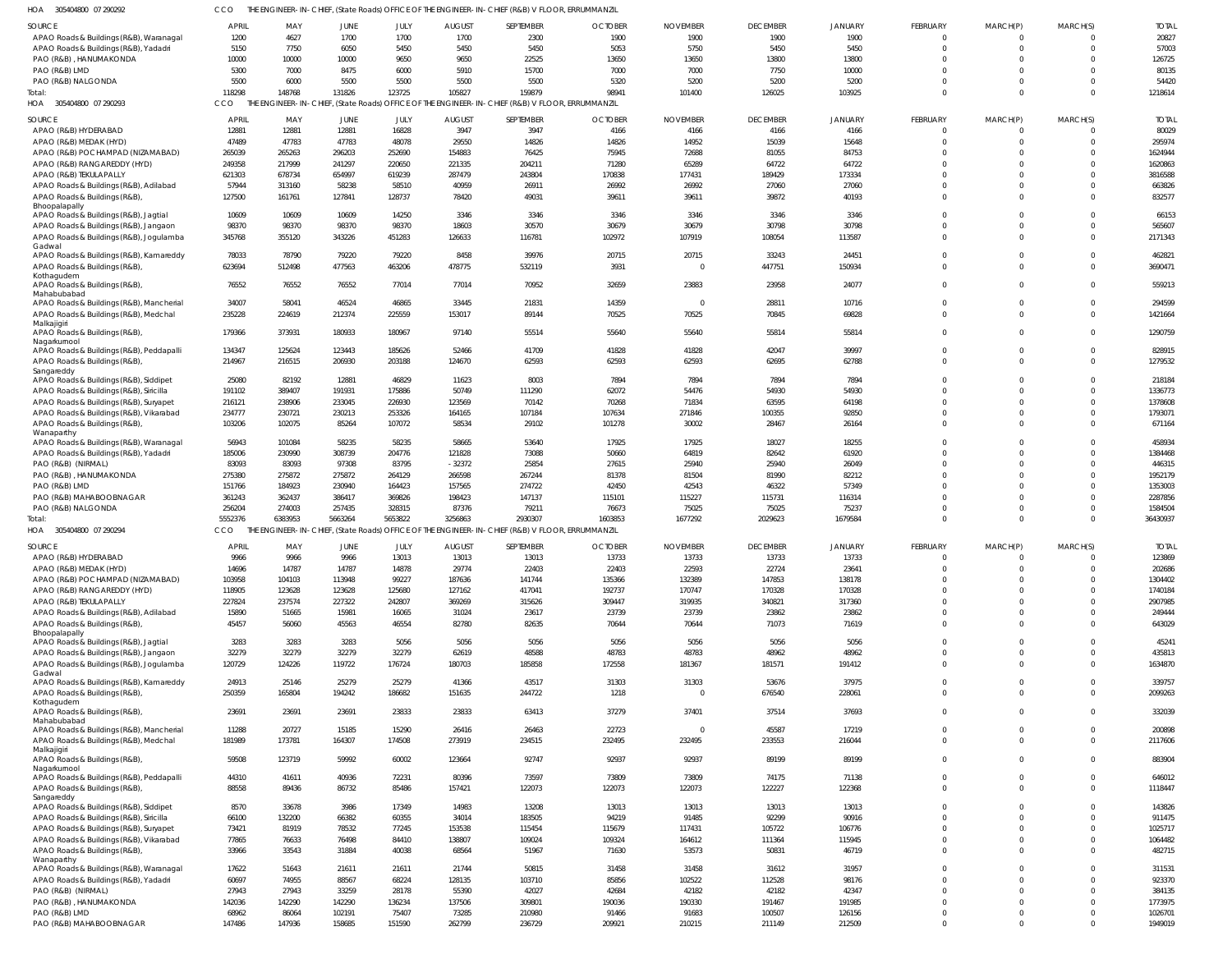305404800 07 290292 HOA CCO THE ENGINEER-IN-CHIEF, (State Roads) OFFICE OF THE ENGINEER-IN-CHIEF (R&B) V FLOOR, ERRUMMANZIL

| $300 + 0 + 000$ 01 270272                         |                 |                 |                  |                 |                 | The envelopment in $\sigma$ and $\mu$ (state hours) of fibers of the enomiestic in $\sigma$ only (hap) $\tau$ record, enhomogeneous |                 |                 |                  |                  |                      |                      |                         |                    |
|---------------------------------------------------|-----------------|-----------------|------------------|-----------------|-----------------|-------------------------------------------------------------------------------------------------------------------------------------|-----------------|-----------------|------------------|------------------|----------------------|----------------------|-------------------------|--------------------|
| SOURCE                                            | <b>APRIL</b>    | MAY             | JUNE             | JULY            | <b>AUGUST</b>   | SEPTEMBER                                                                                                                           | <b>OCTOBER</b>  | <b>NOVEMBER</b> | <b>DECEMBER</b>  | <b>JANUARY</b>   | <b>FEBRUARY</b>      | MARCH(P)             | MARCH(S)                | <b>TOTAL</b>       |
| APAO Roads & Buildings (R&B), Waranagal           | 1200            | 4627            | 1700             | 1700            | 1700            | 2300                                                                                                                                | 1900            | 1900            | 1900             | 1900             | $\Omega$             | - 0                  | $\Omega$                | 20827              |
| APAO Roads & Buildings (R&B), Yadadri             | 5150            | 7750            | 6050             | 5450            | 5450            | 5450                                                                                                                                | 5053            | 5750            | 5450             | 5450             | $\Omega$             | $\Omega$             | $\Omega$                | 57003              |
| PAO (R&B), HANUMAKONDA                            | 10000           | 10000           | 10000            | 9650            | 9650            | 22525                                                                                                                               | 13650           | 13650           | 13800            | 13800            | <sup>0</sup>         | $\cap$               | $\Omega$                | 126725             |
| PAO (R&B) LMD                                     | 5300            | 7000            | 8475             | 6000            | 5910            | 15700                                                                                                                               | 7000            | 7000            | 7750             | 10000            | $\Omega$             | $\Omega$             |                         | 80135              |
| PAO (R&B) NALGONDA                                | 5500            | 6000            | 5500             | 5500            | 5500            | 5500                                                                                                                                | 5320            | 5200            | 5200             | 5200             | <sup>0</sup>         | $\Omega$             | $\Omega$                | 54420              |
|                                                   |                 |                 |                  |                 |                 |                                                                                                                                     |                 |                 |                  |                  |                      |                      |                         |                    |
| Total:                                            | 118298          | 148768          | 131826           | 123725          | 105827          | 159879                                                                                                                              | 98941           | 101400          | 126025           | 103925           | $\Omega$             | $\Omega$             | $\Omega$                | 1218614            |
| HOA 305404800 07 290293                           | CCO             |                 |                  |                 |                 | THE ENGINEER-IN-CHIEF, (State Roads) OFFICE OF THE ENGINEER-IN-CHIEF (R&B) V FLOOR, ERRUMMANZIL                                     |                 |                 |                  |                  |                      |                      |                         |                    |
| <b>SOURCE</b>                                     | <b>APRIL</b>    | MAY             | JUNE             | JULY            | <b>AUGUST</b>   | SEPTEMBER                                                                                                                           | <b>OCTOBER</b>  | <b>NOVEMBER</b> | <b>DECEMBER</b>  | <b>JANUARY</b>   | FEBRUARY             | MARCH(P)             | MARCH(S)                | <b>TOTAL</b>       |
| APAO (R&B) HYDERABAD                              | 12881           | 12881           | 12881            | 16828           | 3947            | 3947                                                                                                                                | 4166            | 4166            | 4166             | 4166             | $\Omega$             | $\Omega$             | $\Omega$                | 80029              |
|                                                   |                 |                 |                  |                 |                 |                                                                                                                                     |                 |                 |                  |                  |                      |                      |                         |                    |
| APAO (R&B) MEDAK (HYD)                            | 47489           | 47783           | 47783            | 48078           | 29550           | 14826                                                                                                                               | 14826           | 14952           | 15039            | 15648            | $\Omega$             | $\Omega$             | $\Omega$                | 295974             |
| APAO (R&B) POCHAMPAD (NIZAMABAD)                  | 265039          | 265263          | 296203           | 252690          | 154883          | 76425                                                                                                                               | 75945           | 72688           | 81055            | 84753            | <sup>0</sup>         | - 0                  | $\Omega$                | 1624944            |
| APAO (R&B) RANGAREDDY (HYD)                       | 249358          | 217999          | 241297           | 220650          | 221335          | 204211                                                                                                                              | 71280           | 65289           | 64722            | 64722            |                      | - 0                  | $\Omega$                | 1620863            |
| APAO (R&B) TEKULAPALLY                            | 621303          | 678734          | 654997           | 619239          | 287479          | 243804                                                                                                                              | 170838          | 177431          | 189429           | 173334           | <sup>0</sup>         |                      | $\Omega$                | 3816588            |
| APAO Roads & Buildings (R&B), Adilabad            | 57944           | 313160          | 58238            | 58510           | 40959           | 26911                                                                                                                               | 26992           | 26992           | 27060            | 27060            | <sup>0</sup>         |                      | $\Omega$                | 663826             |
| APAO Roads & Buildings (R&B)                      | 127500          | 161761          | 127841           | 128737          | 78420           | 49031                                                                                                                               | 39611           | 39611           | 39872            | 40193            | $\Omega$             | $\Omega$             | $\Omega$                | 832577             |
| Bhoopalapally                                     |                 |                 |                  |                 |                 |                                                                                                                                     |                 |                 |                  |                  |                      |                      |                         |                    |
| APAO Roads & Buildings (R&B), Jagtial             | 10609           | 10609           | 10609            | 14250           | 3346            | 3346                                                                                                                                | 3346            | 3346            | 3346             | 3346             | $\Omega$             | $\Omega$             | $\Omega$                | 66153              |
| APAO Roads & Buildings (R&B), Jangaon             | 98370           | 98370           | 98370            | 98370           | 18603           | 30570                                                                                                                               | 30679           | 30679           | 30798            | 30798            | <sup>0</sup>         | $\cap$               | $\Omega$                | 565607             |
|                                                   |                 |                 |                  |                 |                 |                                                                                                                                     |                 |                 |                  |                  |                      |                      |                         |                    |
| APAO Roads & Buildings (R&B), Jogulamba           | 345768          | 355120          | 343226           | 451283          | 126633          | 116781                                                                                                                              | 102972          | 107919          | 108054           | 113587           | $\Omega$             | $\Omega$             | $\Omega$                | 2171343            |
| Gadwal<br>APAO Roads & Buildings (R&B), Kamareddy | 78033           | 78790           | 79220            | 79220           | 8458            | 39976                                                                                                                               | 20715           | 20715           | 33243            | 24451            | $\Omega$             | $\Omega$             | $\Omega$                | 462821             |
|                                                   |                 |                 |                  |                 |                 |                                                                                                                                     |                 |                 |                  |                  |                      |                      |                         |                    |
| APAO Roads & Buildings (R&B)                      | 623694          | 512498          | 477563           | 463206          | 478775          | 532119                                                                                                                              | 3931            | $\Omega$        | 447751           | 150934           | $\Omega$             | $\Omega$             | $\Omega$                | 3690471            |
| Kothagudem                                        |                 |                 |                  |                 |                 |                                                                                                                                     |                 |                 |                  |                  | $\Omega$             | $\Omega$             | $\Omega$                | 559213             |
| APAO Roads & Buildings (R&B),<br>Mahabubabad      | 76552           | 76552           | 76552            | 77014           | 77014           | 70952                                                                                                                               | 32659           | 23883           | 23958            | 24077            |                      |                      |                         |                    |
|                                                   | 34007           | 58041           | 46524            | 46865           | 33445           | 21831                                                                                                                               | 14359           | $\overline{0}$  | 28811            | 10716            | $\Omega$             | $\Omega$             | $\Omega$                | 294599             |
| APAO Roads & Buildings (R&B), Mancherial          |                 |                 |                  |                 |                 |                                                                                                                                     |                 |                 |                  |                  |                      |                      |                         |                    |
| APAO Roads & Buildings (R&B), Medchal             | 235228          | 224619          | 212374           | 225559          | 153017          | 89144                                                                                                                               | 70525           | 70525           | 70845            | 69828            | $\Omega$             | $\Omega$             | $\Omega$                | 1421664            |
| Malkajigiri                                       |                 |                 |                  |                 |                 |                                                                                                                                     |                 |                 |                  |                  | $\Omega$             | $\Omega$             | $\Omega$                |                    |
| APAO Roads & Buildings (R&B),<br>Nagarkurnool     | 179366          | 373931          | 180933           | 180967          | 97140           | 55514                                                                                                                               | 55640           | 55640           | 55814            | 55814            |                      |                      |                         | 1290759            |
| APAO Roads & Buildings (R&B), Peddapalli          | 134347          | 125624          | 123443           | 185626          | 52466           | 41709                                                                                                                               | 41828           | 41828           | 42047            | 39997            | $\Omega$             | $\Omega$             | $\Omega$                | 828915             |
|                                                   |                 |                 |                  |                 |                 |                                                                                                                                     |                 |                 |                  |                  |                      |                      |                         |                    |
| APAO Roads & Buildings (R&B)                      | 214967          | 216515          | 206930           | 203188          | 124670          | 62593                                                                                                                               | 62593           | 62593           | 62695            | 62788            | $\Omega$             | $\Omega$             | $\Omega$                | 1279532            |
| Sangareddy                                        |                 |                 |                  |                 |                 |                                                                                                                                     |                 |                 |                  |                  | <sup>0</sup>         | $\cap$               | $\Omega$                |                    |
| APAO Roads & Buildings (R&B), Siddipet            | 25080           | 82192           | 12881            | 46829           | 11623           | 8003                                                                                                                                | 7894            | 7894            | 7894             | 7894             |                      |                      |                         | 218184             |
| APAO Roads & Buildings (R&B), Siricilla           | 191102          | 389407          | 191931           | 175886          | 50749           | 111290                                                                                                                              | 62072           | 54476           | 54930            | 54930            | $\Omega$             |                      | $\Omega$                | 1336773            |
| APAO Roads & Buildings (R&B), Suryapet            | 216121          | 238906          | 233045           | 226930          | 123569          | 70142                                                                                                                               | 70268           | 71834           | 63595            | 64198            | <sup>0</sup>         | $\Omega$             | $\Omega$                | 1378608            |
| APAO Roads & Buildings (R&B), Vikarabad           | 234777          | 230721          | 230213           | 253326          | 164165          | 107184                                                                                                                              | 107634          | 271846          | 100355           | 92850            | <sup>0</sup>         | $\cap$               | $\Omega$                | 1793071            |
| APAO Roads & Buildings (R&B)                      | 103206          | 102075          | 85264            | 107072          | 58534           | 29102                                                                                                                               | 101278          | 30002           | 28467            | 26164            | $\Omega$             | $\cap$               | $\Omega$                | 671164             |
| Wanaparthy                                        |                 |                 |                  |                 |                 |                                                                                                                                     |                 |                 |                  |                  |                      |                      |                         |                    |
| APAO Roads & Buildings (R&B), Waranagal           | 56943           | 101084          | 58235            | 58235           | 58665           | 53640                                                                                                                               | 17925           | 17925           | 18027            | 18255            | $\Omega$             | $\cap$               | $\Omega$                | 458934             |
| APAO Roads & Buildings (R&B), Yadadri             | 185006          | 230990          | 308739           | 204776          | 121828          | 73088                                                                                                                               | 50660           | 64819           | 82642            | 61920            | <sup>0</sup>         |                      | $\Omega$                | 1384468            |
| PAO (R&B) (NIRMAL)                                | 83093           | 83093           | 97308            | 83795           | $-32372$        | 25854                                                                                                                               | 27615           | 25940           | 25940            | 26049            | <sup>0</sup>         |                      | $\Omega$                | 446315             |
|                                                   |                 |                 |                  |                 |                 |                                                                                                                                     |                 |                 |                  |                  |                      |                      |                         |                    |
|                                                   |                 |                 |                  |                 |                 |                                                                                                                                     |                 |                 |                  |                  |                      |                      |                         |                    |
| PAO (R&B), HANUMAKONDA                            | 275380          | 275872          | 275872           | 264129          | 266598          | 267244                                                                                                                              | 81378           | 81504           | 81990            | 82212            | <sup>0</sup>         |                      | $\Omega$                | 1952179            |
| PAO (R&B) LMD                                     | 151766          | 184923          | 230940           | 164423          | 157565          | 274722                                                                                                                              | 42450           | 42543           | 46322            | 57349            | U                    |                      | $\Omega$                | 1353003            |
| PAO (R&B) MAHABOOBNAGAR                           | 361243          | 362437          | 386417           | 369826          | 198423          | 147137                                                                                                                              | 115101          | 115227          | 115731           | 116314           | <sup>0</sup>         | $\cap$               | $\Omega$                | 2287856            |
| PAO (R&B) NALGONDA                                | 256204          | 274003          | 257435           | 328315          | 87376           | 79211                                                                                                                               | 76673           | 75025           | 75025            | 75237            | <sup>0</sup>         |                      | $\Omega$                | 1584504            |
| Total:                                            | 5552376         | 6383953         | 5663264          | 5653822         | 3256863         | 2930307                                                                                                                             | 1603853         | 1677292         | 2029623          | 1679584          | $\Omega$             |                      | $\Omega$                | 36430937           |
| HOA<br>305404800 07 290294                        | CCO             |                 |                  |                 |                 | THE ENGINEER-IN-CHIEF, (State Roads) OFFICE OF THE ENGINEER-IN-CHIEF (R&B) V FLOOR, ERRUMMANZIL                                     |                 |                 |                  |                  |                      |                      |                         |                    |
|                                                   |                 |                 |                  |                 |                 |                                                                                                                                     |                 |                 |                  |                  |                      |                      |                         |                    |
| <b>SOURCE</b>                                     | <b>APRIL</b>    | MAY             | JUNE             | JULY            | <b>AUGUST</b>   | SEPTEMBER                                                                                                                           | <b>OCTOBER</b>  | <b>NOVEMBER</b> | <b>DECEMBER</b>  | <b>JANUARY</b>   | <b>FEBRUARY</b>      | MARCH(P)             | MARCH(S)                | <b>TOTAL</b>       |
| APAO (R&B) HYDERABAD                              | 9966            | 9966            | 9966             | 13013           | 13013           | 13013                                                                                                                               | 13733           | 13733           | 13733            | 13733            | $\Omega$             |                      | $\Omega$                | 123869             |
| APAO (R&B) MEDAK (HYD)                            | 14696           | 14787           | 14787            | 14878           | 29774           | 22403                                                                                                                               | 22403           | 22593           | 22724            | 23641            | <sup>0</sup>         |                      | $\Omega$                | 202686             |
| APAO (R&B) POCHAMPAD (NIZAMABAD)                  | 103958          | 104103          | 113948           | 99227           | 187636          | 141744                                                                                                                              | 135366          | 132389          | 147853           | 138178           | $\Omega$             | $\Omega$             | $\Omega$                | 1304402            |
|                                                   |                 |                 |                  |                 |                 |                                                                                                                                     |                 |                 |                  |                  | $\Omega$             | $\Omega$             | $\Omega$                |                    |
| APAO (R&B) RANGAREDDY (HYD)                       | 118905          | 123628          | 123628           | 125680          | 127162          | 417041                                                                                                                              | 192737          | 170747          | 170328           | 170328           |                      | $\Omega$             | $\Omega$                | 1740184            |
| APAO (R&B) TEKULAPALLY                            | 227824          | 237574          | 227322           | 242807          | 369269          | 315626                                                                                                                              | 309447          | 319935          | 340821           | 317360           | $\Omega$             |                      |                         | 2907985            |
| APAO Roads & Buildings (R&B), Adilabad            | 15890           | 51665           | 15981            | 16065           | 31024           | 23617                                                                                                                               | 23739           | 23739           | 23862            | 23862            | $\Omega$             | $\Omega$             | $\Omega$                | 249444             |
| APAO Roads & Buildings (R&B)                      | 45457           | 56060           | 45563            | 46554           | 82780           | 82635                                                                                                                               | 70644           | 70644           | 71073            | 71619            | $\Omega$             | $\Omega$             | $\Omega$                | 643029             |
| Bhoopalapally                                     |                 |                 |                  |                 |                 |                                                                                                                                     |                 |                 |                  |                  |                      |                      |                         |                    |
| APAO Roads & Buildings (R&B), Jagtial             | 3283            | 3283            | 3283             | 5056            | 5056            | 5056                                                                                                                                | 5056            | 5056            | 5056             | 5056             | $\Omega$             | $\Omega$             | $\Omega$                | 45241              |
| APAO Roads & Buildings (R&B), Jangaon             | 32279           | 32279           | 32279            | 32279           | 62619           | 48588                                                                                                                               | 48783           | 48783           | 48962            | 48962            | $\Omega$             | $\Omega$             | $\Omega$                | 435813             |
| APAO Roads & Buildings (R&B), Jogulamba           | 120729          | 124226          | 119722           | 176724          | 180703          | 185858                                                                                                                              | 172558          | 181367          | 181571           | 191412           | $\Omega$             | $\Omega$             | $\Omega$                | 1634870            |
| Gadwal                                            |                 |                 |                  |                 |                 |                                                                                                                                     |                 |                 |                  |                  |                      |                      |                         |                    |
| APAO Roads & Buildings (R&B), Kamareddy           | 24913           | 25146           | 25279            | 25279           | 41366           | 43517                                                                                                                               | 31303           | 31303           | 53676            | 37975            | $\Omega$             | $\Omega$             | $\Omega$                | 339757             |
| APAO Roads & Buildings (R&B),                     | 250359          | 165804          | 194242           | 186682          | 151635          | 244722                                                                                                                              | 1218            | $\overline{0}$  | 676540           | 228061           | $\Omega$             | $\Omega$             | $\Omega$                | 2099263            |
| Kothagudem                                        |                 |                 |                  |                 |                 |                                                                                                                                     |                 |                 |                  |                  |                      |                      |                         |                    |
| APAO Roads & Buildings (R&B),                     | 23691           | 23691           | 23691            | 23833           | 23833           | 63413                                                                                                                               | 37279           | 37401           | 37514            | 37693            | $\Omega$             | $\Omega$             | $\Omega$                | 332039             |
| Mahabubabad                                       |                 |                 |                  |                 |                 |                                                                                                                                     |                 |                 |                  |                  |                      |                      |                         |                    |
| APAO Roads & Buildings (R&B), Mancherial          | 11288           | 20727           | 15185            | 15290           | 26416           | 26463                                                                                                                               | 22723           | $\overline{0}$  | 45587            | 17219            | $\Omega$             | $\Omega$             | $\Omega$                | 200898             |
| APAO Roads & Buildings (R&B), Medchal             | 181989          | 173781          | 164307           | 174508          | 273919          | 234515                                                                                                                              | 232495          | 232495          | 233553           | 216044           | $\Omega$             | $\Omega$             | $\Omega$                | 2117606            |
| Malkajigiri                                       |                 |                 |                  |                 |                 |                                                                                                                                     |                 |                 |                  |                  |                      |                      |                         |                    |
| APAO Roads & Buildings (R&B),                     | 59508           | 123719          | 59992            | 60002           | 123664          | 92747                                                                                                                               | 92937           | 92937           | 89199            | 89199            | $\Omega$             | $\Omega$             | $\Omega$                | 883904             |
| Nagarkurnool                                      |                 |                 |                  |                 |                 |                                                                                                                                     |                 |                 |                  |                  |                      |                      |                         |                    |
| APAO Roads & Buildings (R&B), Peddapalli          | 44310           | 41611           | 40936            | 72231           | 80396           | 73597                                                                                                                               | 73809           | 73809           | 74175            | 71138            | $\Omega$             | $\Omega$             | $\Omega$                | 646012             |
| APAO Roads & Buildings (R&B),                     | 88558           | 89436           | 86732            | 85486           | 157421          | 122073                                                                                                                              | 122073          | 122073          | 122227           | 122368           | $\Omega$             | $\Omega$             | $\Omega$                | 1118447            |
| Sangareddy                                        |                 |                 |                  |                 |                 |                                                                                                                                     |                 |                 |                  |                  |                      |                      |                         |                    |
| APAO Roads & Buildings (R&B), Siddipet            | 8570            | 33678           | 3986             | 17349           | 14983           | 13208                                                                                                                               | 13013           | 13013           | 13013            | 13013            | $\Omega$             | $\Omega$             | $\Omega$                | 143826             |
| APAO Roads & Buildings (R&B), Siricilla           | 66100           | 132200          | 66382            | 60355           | 34014           | 183505                                                                                                                              | 94219           | 91485           | 92299            | 90916            | <sup>0</sup>         | $\Omega$             | $\Omega$                | 911475             |
| APAO Roads & Buildings (R&B), Suryapet            | 73421           | 81919           | 78532            | 77245           | 153538          | 115454                                                                                                                              | 115679          | 117431          | 105722           | 106776           | $\Omega$             | $\Omega$             | $\Omega$                | 1025717            |
| APAO Roads & Buildings (R&B), Vikarabad           | 77865           | 76633           | 76498            | 84410           | 138807          | 109024                                                                                                                              | 109324          | 164612          | 111364           | 115945           | $\Omega$             | $\Omega$             | $\Omega$                | 1064482            |
| APAO Roads & Buildings (R&B),                     | 33966           | 33543           | 31884            | 40038           | 68564           | 51967                                                                                                                               | 71630           | 53573           | 50831            | 46719            | $\Omega$             | $\Omega$             | $\Omega$                | 482715             |
| Wanaparthy                                        |                 |                 |                  |                 |                 |                                                                                                                                     |                 |                 |                  |                  |                      |                      |                         |                    |
| APAO Roads & Buildings (R&B), Waranagal           | 17622           | 51643           | 21611            | 21611           | 21744           | 50815                                                                                                                               | 31458           | 31458           | 31612            | 31957            | $\Omega$             | $\Omega$             | $\Omega$                | 311531             |
| APAO Roads & Buildings (R&B), Yadadri             | 60697           | 74955           | 88567            | 68224           | 128135          | 103710                                                                                                                              | 85856           | 102522          | 112528           | 98176            | $\Omega$             | $\Omega$             | $\Omega$                | 923370             |
|                                                   |                 |                 |                  |                 |                 |                                                                                                                                     |                 |                 |                  |                  | $\Omega$             | $\Omega$             | $\Omega$                |                    |
| PAO (R&B) (NIRMAL)                                | 27943           | 27943           | 33259            | 28178           | 55390           | 42027                                                                                                                               | 42684           | 42182           | 42182            | 42347            |                      |                      |                         | 384135             |
| PAO (R&B), HANUMAKONDA                            | 142036          | 142290          | 142290           | 136234          | 137506          | 309801                                                                                                                              | 190036          | 190330          | 191467           | 191985           | $\Omega$             | $\Omega$             | $\Omega$                | 1773975            |
| PAO (R&B) LMD<br>PAO (R&B) MAHABOOBNAGAR          | 68962<br>147486 | 86064<br>147936 | 102191<br>158685 | 75407<br>151590 | 73285<br>262799 | 210980<br>236729                                                                                                                    | 91466<br>209921 | 91683<br>210215 | 100507<br>211149 | 126156<br>212509 | $\Omega$<br>$\Omega$ | $\Omega$<br>$\Omega$ | $\Omega$<br>$\mathbf 0$ | 1026701<br>1949019 |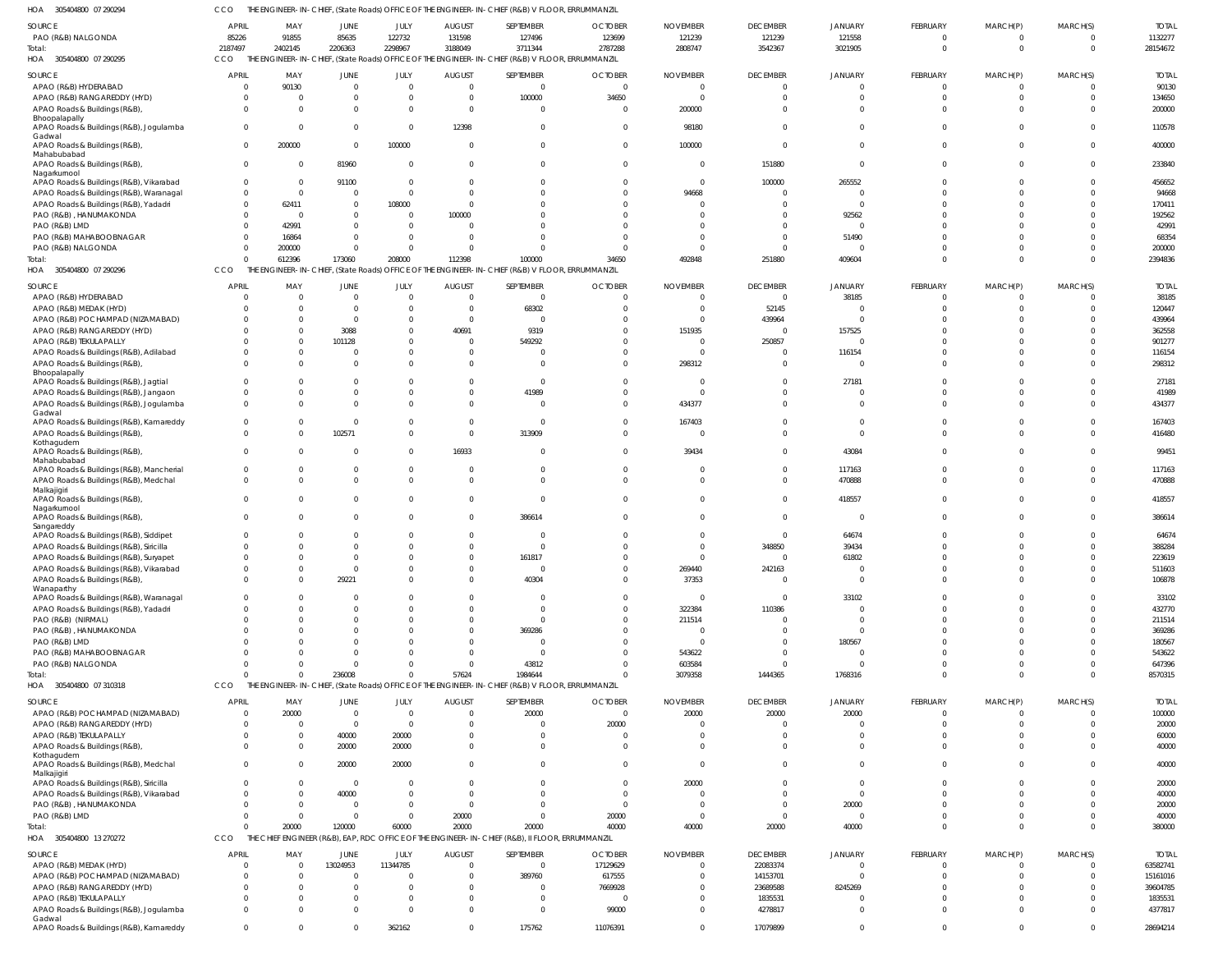305404800 07 290294 HOA CCO THE ENGINEER-IN-CHIEF, (State Roads) OFFICE OF THE ENGINEER-IN-CHIEF (R&B) V FLOOR, ERRUMMANZIL

| SOURCE                                            |                      |          |                |                      |                      | THE ENORMEENT INTO THEIR (STATE NOGGS) OF HOLD OF THE ENORMEENT INTO THEIR (NOO) VILLOON, ENNONIMENTAL |                          |                 |                    |                |             |              |             |              |
|---------------------------------------------------|----------------------|----------|----------------|----------------------|----------------------|--------------------------------------------------------------------------------------------------------|--------------------------|-----------------|--------------------|----------------|-------------|--------------|-------------|--------------|
|                                                   | <b>APRIL</b>         | MAY      | <b>JUNE</b>    | JULY                 | <b>AUGUST</b>        | SEPTEMBER                                                                                              | <b>OCTOBER</b>           | <b>NOVEMBER</b> | <b>DECEMBER</b>    | <b>JANUARY</b> | FEBRUARY    | MARCH(P)     | MARCH(S)    | <b>TOTAL</b> |
| PAO (R&B) NALGONDA                                | 85226                | 91855    | 85635          | 122732               | 131598               | 127496                                                                                                 | 123699                   | 121239          | 121239             | 121558         | $\Omega$    | 0            | $\Omega$    | 1132277      |
| Total:                                            | 2187497              | 2402145  | 2206363        | 2298967              | 3188049              | 3711344                                                                                                | 2787288                  | 2808747         | 3542367            | 3021905        | $\Omega$    | $\Omega$     | $\Omega$    | 28154672     |
| HOA 305404800 07 290295                           | CCO                  |          |                |                      |                      | THE ENGINEER-IN-CHIEF, (State Roads) OFFICE OF THE ENGINEER-IN-CHIEF (R&B) V FLOOR, ERRUMMANZIL        |                          |                 |                    |                |             |              |             |              |
|                                                   |                      |          |                |                      |                      |                                                                                                        |                          |                 |                    |                |             |              |             |              |
| SOURCE                                            | <b>APRIL</b>         | MAY      | <b>JUNE</b>    | JULY                 | <b>AUGUST</b>        | SEPTEMBER                                                                                              | <b>OCTOBER</b>           | <b>NOVEMBER</b> | <b>DECEMBER</b>    | JANUARY        | FEBRUARY    | MARCH(P)     | MARCH(S)    | <b>TOTAL</b> |
| APAO (R&B) HYDERABAD                              | $\sqrt{ }$           | 90130    | $\mathbf{0}$   | $\overline{0}$       | $\overline{0}$       | $\overline{0}$                                                                                         | $\mathbf{0}$             |                 | $\overline{0}$     | $\mathbf 0$    | $\mathbf 0$ | $\mathbf 0$  | $\Omega$    | 90130        |
| APAO (R&B) RANGAREDDY (HYD)                       | -0                   |          | 0              | $\overline{0}$       | $\Omega$             | 100000                                                                                                 | 34650                    |                 | $\overline{0}$     | $\mathbf 0$    | $\Omega$    | $\mathbf 0$  | $\Omega$    | 134650       |
| APAO Roads & Buildings (R&B),                     | $\Omega$             |          | $\Omega$       | $\overline{0}$       | $\Omega$             | $\overline{0}$                                                                                         | $\Omega$                 | 200000          | $\Omega$           | $\Omega$       | $\Omega$    | $\Omega$     | $\Omega$    | 200000       |
| Bhoopalapally                                     |                      |          |                |                      |                      |                                                                                                        |                          |                 |                    |                |             |              |             |              |
| APAO Roads & Buildings (R&B), Jogulamba           | $\Omega$             |          | $\mathbf{0}$   | $\overline{0}$       | 12398                | $\mathbf 0$                                                                                            | $\Omega$                 | 98180           | $\Omega$           | $\Omega$       | $\Omega$    | $\Omega$     | $\Omega$    | 110578       |
| Gadwal                                            |                      |          |                |                      |                      |                                                                                                        |                          |                 |                    |                |             |              |             |              |
| APAO Roads & Buildings (R&B),                     | $\Omega$             | 200000   | $\mathbf 0$    | 100000               | $\Omega$             | $\mathbf 0$                                                                                            | $\Omega$                 | 100000          | $\overline{0}$     | $\Omega$       | $\Omega$    | $\mathbf 0$  | $\Omega$    | 400000       |
| Mahabubabad                                       | $\mathbf 0$          | - 0      |                | $\overline{0}$       | $\Omega$             | $\mathbf{0}$                                                                                           | $\Omega$                 |                 |                    | $\overline{0}$ | $\Omega$    | $\Omega$     | $\Omega$    |              |
| APAO Roads & Buildings (R&B),<br>Nagarkurnool     |                      |          | 81960          |                      |                      |                                                                                                        |                          |                 | 151880             |                |             |              |             | 233840       |
| APAO Roads & Buildings (R&B), Vikarabad           | -0                   |          | 91100          | $\overline{0}$       | $\Omega$             | $\Omega$                                                                                               |                          |                 | 100000             | 265552         | $\Omega$    | $\Omega$     | $\Omega$    | 456652       |
| APAO Roads & Buildings (R&B), Waranagal           | $\Omega$             | $\Omega$ | $\Omega$       | $\overline{0}$       | $\Omega$             | $\Omega$                                                                                               |                          | 94668           | $\overline{0}$     | $^{\circ}$     |             | $\Omega$     |             | 94668        |
| APAO Roads & Buildings (R&B), Yadadri             | $\mathbf{0}$         | 62411    | $\Omega$       | 108000               | $\Omega$             | $\Omega$                                                                                               |                          |                 | $\Omega$           | $\Omega$       |             | $\Omega$     | $\Omega$    | 170411       |
|                                                   |                      | - 0      |                | $\overline{0}$       |                      | $\Omega$                                                                                               |                          |                 | $\Omega$           |                |             | $\Omega$     |             | 192562       |
| PAO (R&B), HANUMAKONDA                            |                      |          |                |                      | 100000               |                                                                                                        |                          |                 |                    | 92562          |             |              |             |              |
| PAO (R&B) LMD                                     |                      | 42991    |                | $\overline{0}$       |                      | $\Omega$                                                                                               |                          |                 | $\Omega$           | $\Omega$       |             | $\cap$       |             | 42991        |
| PAO (R&B) MAHABOOBNAGAR                           |                      | 16864    |                | $\Omega$             | $\Omega$             | $\Omega$                                                                                               |                          |                 | $\Omega$           | 51490          |             | $\Omega$     |             | 68354        |
| PAO (R&B) NALGONDA                                |                      | 200000   | <sup>0</sup>   | $\Omega$             | $\Omega$             | $\Omega$                                                                                               |                          |                 | $\Omega$           | $\Omega$       |             | $\Omega$     |             | 200000       |
| Total:                                            | - 0                  | 612396   | 173060         | 208000               | 112398               | 100000                                                                                                 | 34650                    | 492848          | 251880             | 409604         | $\Omega$    | $\Omega$     | $\Omega$    | 2394836      |
| HOA 305404800 07 290296                           | CCO                  |          |                |                      |                      | THE ENGINEER-IN-CHIEF, (State Roads) OFFICE OF THE ENGINEER-IN-CHIEF (R&B) V FLOOR, ERRUMMANZIL        |                          |                 |                    |                |             |              |             |              |
|                                                   |                      |          |                |                      |                      | SEPTEMBER                                                                                              |                          |                 |                    |                |             |              |             | <b>TOTAL</b> |
| SOURCE                                            | <b>APRIL</b>         | MAY      | <b>JUNE</b>    | JULY                 | <b>AUGUST</b>        |                                                                                                        | <b>OCTOBER</b>           | <b>NOVEMBER</b> | <b>DECEMBER</b>    | <b>JANUARY</b> | FEBRUARY    | MARCH(P)     | MARCH(S)    |              |
| APAO (R&B) HYDERABAD                              | $\Omega$             |          | $\Omega$       | $\overline{0}$       | $\Omega$             | $\overline{0}$                                                                                         | $\Omega$                 |                 | $\overline{0}$     | 38185          | -0          | $\Omega$     |             | 38185        |
| APAO (R&B) MEDAK (HYD)                            |                      |          | $\Omega$       | $\Omega$             | $\Omega$             | 68302                                                                                                  | $\Omega$                 |                 | 52145              | $\Omega$       | $\Omega$    | $\Omega$     | $\Omega$    | 120447       |
| APAO (R&B) POCHAMPAD (NIZAMABAD)                  |                      |          | $\Omega$       | $\Omega$             | $\Omega$             | $\Omega$                                                                                               | $\Omega$                 |                 | 439964             | $\Omega$       |             |              |             | 439964       |
| APAO (R&B) RANGAREDDY (HYD)                       |                      |          | 3088           | $\Omega$             | 40691                | 9319                                                                                                   | $\Omega$                 | 151935          | $\overline{0}$     | 157525         |             |              |             | 362558       |
| APAO (R&B) TEKULAPALLY                            |                      |          | 101128         | $\Omega$             | $\Omega$             | 549292                                                                                                 |                          |                 | 250857             | $\mathbf 0$    |             |              |             | 901277       |
| APAO Roads & Buildings (R&B), Adilabad            |                      |          |                | $\Omega$             | $\Omega$             | $\Omega$                                                                                               |                          |                 | $\overline{0}$     | 116154         |             | $\cap$       |             | 116154       |
| APAO Roads & Buildings (R&B),                     | $\Omega$             |          |                | $\Omega$             | $\Omega$             | $\Omega$                                                                                               | $\Omega$                 | 298312          | $\Omega$           | $\Omega$       | $\Omega$    | $\Omega$     |             | 298312       |
| Bhoopalapally                                     |                      |          |                |                      |                      |                                                                                                        |                          |                 |                    |                |             |              |             |              |
| APAO Roads & Buildings (R&B), Jagtial             | $\Omega$             |          |                | $\Omega$             | $\Omega$             | $\mathbf 0$                                                                                            | $\Omega$                 |                 | $\Omega$           | 27181          |             | $\Omega$     |             | 27181        |
| APAO Roads & Buildings (R&B), Jangaon             | $\Omega$             | $\Omega$ |                | $\Omega$             | $\Omega$             | 41989                                                                                                  | $\Omega$                 |                 | $\Omega$           | $\Omega$       | $\Omega$    | $\Omega$     |             | 41989        |
| APAO Roads & Buildings (R&B), Jogulamba           | $\Omega$             |          | $\Omega$       | $\Omega$             | $\Omega$             | $\Omega$                                                                                               | $\Omega$                 | 434377          | $\Omega$           | $\mathbf 0$    | $\Omega$    | $\Omega$     | $\Omega$    | 434377       |
| Gadwal                                            |                      |          |                |                      |                      |                                                                                                        |                          |                 |                    |                |             |              |             |              |
| APAO Roads & Buildings (R&B), Kamareddy           | $\Omega$             |          | 0              | $\Omega$             | $\Omega$             | - 0                                                                                                    | $\Omega$                 | 167403          | $\Omega$           | $\Omega$       |             | $\Omega$     |             | 167403       |
| APAO Roads & Buildings (R&B),                     | $\Omega$             |          | 102571         | $\overline{0}$       | $\Omega$             | 313909                                                                                                 | $\Omega$                 |                 | $\Omega$           | $\Omega$       | $\Omega$    | $\Omega$     | $\Omega$    | 416480       |
| Kothagudem                                        |                      |          |                |                      |                      |                                                                                                        |                          |                 |                    |                |             |              |             |              |
| APAO Roads & Buildings (R&B),                     | $\Omega$             |          |                | $\Omega$             | 16933                | $\Omega$                                                                                               | <sup>0</sup>             | 39434           | $\Omega$           | 43084          |             |              |             | 99451        |
| Mahabubabad                                       | $\Omega$             |          | $\Omega$       | $\Omega$             | $\Omega$             | $\Omega$                                                                                               | $\Omega$                 |                 | $\Omega$           |                |             | $\Omega$     | $\Omega$    |              |
| APAO Roads & Buildings (R&B), Mancherial          |                      |          |                |                      |                      |                                                                                                        |                          |                 |                    | 117163         |             |              |             | 117163       |
| APAO Roads & Buildings (R&B), Medchal             | $\Omega$             | $\Omega$ | $\Omega$       | $\Omega$             | $\Omega$             | $\Omega$                                                                                               | $\Omega$                 |                 | $\Omega$           | 470888         | $\Omega$    | $\Omega$     | $\Omega$    | 470888       |
| Malkajigiri                                       | $\Omega$             |          | $\Omega$       | $\Omega$             | $\Omega$             | $\Omega$                                                                                               | <sup>0</sup>             |                 | $\Omega$           | 418557         |             | $\Omega$     | $\Omega$    | 418557       |
| APAO Roads & Buildings (R&B),<br>Nagarkurnool     |                      |          |                |                      |                      |                                                                                                        |                          |                 |                    |                |             |              |             |              |
| APAO Roads & Buildings (R&B),                     |                      |          |                |                      |                      | 386614                                                                                                 |                          |                 |                    | $\overline{0}$ |             |              |             |              |
|                                                   |                      |          |                |                      |                      |                                                                                                        |                          |                 |                    |                |             |              |             |              |
|                                                   | $\Omega$             |          | <sup>0</sup>   | $\Omega$             | $\Omega$             |                                                                                                        |                          |                 | $\Omega$           |                |             |              | $\Omega$    | 386614       |
| Sangareddy                                        |                      |          |                | $\Omega$             | $\Omega$             | $\Omega$                                                                                               |                          |                 | $\Omega$           | 64674          |             |              |             | 64674        |
| APAO Roads & Buildings (R&B), Siddipet            |                      | $\Omega$ |                | $\Omega$             | $\Omega$             | $\Omega$                                                                                               | <sup>0</sup>             |                 |                    |                |             |              |             |              |
| APAO Roads & Buildings (R&B), Siricilla           |                      |          |                | $\Omega$             | $\Omega$             |                                                                                                        | <sup>0</sup>             |                 | 348850<br>$\Omega$ | 39434          |             |              |             | 388284       |
| APAO Roads & Buildings (R&B), Suryapet            |                      |          |                |                      |                      | 161817                                                                                                 |                          |                 |                    | 61802          |             |              |             | 223619       |
| APAO Roads & Buildings (R&B), Vikarabad           | $\Omega$             |          | $\mathbf 0$    | $\Omega$             | $\Omega$             | $\mathbf 0$                                                                                            | $\Omega$                 | 269440          | 242163             | $\mathbf 0$    |             | $\Omega$     |             | 511603       |
| APAO Roads & Buildings (R&B),                     | $\Omega$             | $\Omega$ | 29221          | $\overline{0}$       | $\Omega$             | 40304                                                                                                  | $\Omega$                 | 37353           | $\overline{0}$     | $\mathbf 0$    | $\Omega$    | $\Omega$     | $\Omega$    | 106878       |
| Wanaparthy                                        |                      |          |                |                      |                      |                                                                                                        |                          |                 |                    |                |             |              |             |              |
| APAO Roads & Buildings (R&B), Waranagal           | $\Omega$<br>$\Omega$ | $\Omega$ |                | $\Omega$<br>$\Omega$ | $\Omega$<br>$\Omega$ | $\Omega$                                                                                               | <sup>0</sup><br>$\Omega$ | $\Omega$        | $\overline{0}$     | 33102          |             | $\Omega$     | $\Omega$    | 33102        |
| APAO Roads & Buildings (R&B), Yadadri             |                      |          |                |                      |                      | $\Omega$                                                                                               |                          | 322384          | 110386             | $\Omega$       |             |              |             | 432770       |
| PAO (R&B) (NIRMAL)                                |                      |          |                | $\Omega$             | $\Omega$             | $\overline{0}$                                                                                         |                          | 211514          | $\overline{0}$     | $\Omega$       | $\Omega$    | $\Omega$     |             | 211514       |
| PAO (R&B), HANUMAKONDA                            |                      |          |                | $\Omega$             | $\Omega$             | 369286                                                                                                 |                          |                 | $\Omega$           | $\Omega$       |             | $\Omega$     |             | 369286       |
| PAO (R&B) LMD                                     |                      |          |                | $\Omega$             | $\Omega$             | - 0                                                                                                    |                          | $\Omega$        | $\Omega$           | 180567         |             | $\Omega$     |             | 180567       |
| PAO (R&B) MAHABOOBNAGAR                           |                      |          |                | $\Omega$             | $\Omega$             | $\Omega$                                                                                               | <sup>0</sup>             | 543622          | $\Omega$           | $\Omega$       |             | $\Omega$     |             | 543622       |
| PAO (R&B) NALGONDA                                |                      |          |                | $\Omega$             | $\Omega$             | 43812                                                                                                  | <sup>0</sup>             | 603584          | $\Omega$           | $\Omega$       |             | $\Omega$     |             | 647396       |
| Total:                                            |                      |          | 236008         | $\Omega$             | 57624                | 1984644                                                                                                | $\Omega$                 | 3079358         | 1444365            | 1768316        | $\Omega$    | $\Omega$     | $\Omega$    | 8570315      |
| HOA 305404800 07 310318                           | CCO                  |          |                |                      |                      | THE ENGINEER-IN-CHIEF, (State Roads) OFFICE OF THE ENGINEER-IN-CHIEF (R&B) V FLOOR, ERRUMMANZIL        |                          |                 |                    |                |             |              |             |              |
|                                                   |                      |          |                |                      |                      |                                                                                                        |                          |                 |                    |                |             |              |             |              |
| SOURCE                                            | <b>APRIL</b>         | MAY      | <b>JUNE</b>    | JULY                 | <b>AUGUST</b>        | SEPTEMBER                                                                                              | <b>OCTOBER</b>           | <b>NOVEMBER</b> | <b>DECEMBER</b>    | JANUARY        | FEBRUARY    | MARCH(P)     | MARCH(S)    | <b>TOTAL</b> |
| APAO (R&B) POCHAMPAD (NIZAMABAD)                  | - 0                  | 20000    | $\overline{0}$ | $\overline{0}$       | $\overline{0}$       | 20000                                                                                                  | $\overline{0}$           | 20000           | 20000              | 20000          | $\mathbf 0$ | $\mathbf 0$  | $\mathbf 0$ | 100000       |
| APAO (R&B) RANGAREDDY (HYD)                       | $\Omega$             | $\Omega$ | $\mathbf 0$    | $\overline{0}$       | $\Omega$             | $\overline{0}$                                                                                         | 20000                    |                 | $\overline{0}$     | $\mathbf 0$    | $\mathbf 0$ | $\mathbf 0$  | $\mathbf 0$ | 20000        |
| APAO (R&B) TEKULAPALLY                            | $\Omega$             | - 0      | 40000          | 20000                | $\Omega$             | $\mathbf 0$                                                                                            | $\overline{0}$           |                 | $\overline{0}$     | $\mathbf 0$    | $\Omega$    | $\mathbf 0$  | $\Omega$    | 60000        |
| APAO Roads & Buildings (R&B),                     | $\Omega$             | $\Omega$ | 20000          | 20000                | $\Omega$             | $\mathbf{0}$                                                                                           | $\Omega$                 |                 | $\Omega$           | $\mathbf 0$    | $\Omega$    | $\Omega$     | $\Omega$    | 40000        |
| Kothagudem                                        |                      |          |                |                      |                      |                                                                                                        |                          |                 |                    |                |             |              |             |              |
| APAO Roads & Buildings (R&B), Medchal             | $\Omega$             |          | 20000          | 20000                | $\Omega$             | $\mathbf{0}$                                                                                           | $\Omega$                 | $\Omega$        | $\overline{0}$     | $\overline{0}$ | $\Omega$    | $\Omega$     | $\Omega$    | 40000        |
| Malkajigiri                                       |                      |          |                |                      |                      |                                                                                                        |                          |                 |                    |                |             |              |             |              |
| APAO Roads & Buildings (R&B), Siricilla           | $\Omega$             |          | $\overline{0}$ | $\overline{0}$       | $\Omega$             | $\mathbf{0}$                                                                                           | $\Omega$                 | 20000           | $\overline{0}$     | $\overline{0}$ | $\Omega$    | $\mathbf{0}$ | $\mathbf 0$ | 20000        |
| APAO Roads & Buildings (R&B), Vikarabad           | $\Omega$             |          | 40000          | $\overline{0}$       | $\Omega$             | $\Omega$                                                                                               | $\Omega$                 |                 | $\overline{0}$     | $\overline{0}$ | $\Omega$    | $\Omega$     | $\Omega$    | 40000        |
| PAO (R&B), HANUMAKONDA                            | $\Omega$             | $\Omega$ | $\overline{0}$ | $\overline{0}$       | $\overline{0}$       | $\Omega$                                                                                               | $\Omega$                 |                 | $\overline{0}$     | 20000          | $\Omega$    | $\Omega$     | $\Omega$    | 20000        |
| PAO (R&B) LMD                                     | - 0                  |          | $\mathbf{0}$   | $\overline{0}$       | 20000                | $\mathbf 0$                                                                                            | 20000                    |                 | $\overline{0}$     | $\mathbf 0$    | $\Omega$    | $\mathbf{0}$ | $\Omega$    | 40000        |
| Total:                                            | $\Omega$             | 20000    | 120000         | 60000                | 20000                | 20000                                                                                                  | 40000                    | 40000           | 20000              | 40000          | $\Omega$    | $\mathbf 0$  | $\Omega$    | 380000       |
| 305404800 13 270272<br>HOA                        | CCO                  |          |                |                      |                      | THE CHIEF ENGINEER (R&B), EAP, RDC OFFICE OF THE ENGINEER-IN-CHIEF (R&B), II FLOOR, ERRUMMANZIL        |                          |                 |                    |                |             |              |             |              |
|                                                   |                      |          |                |                      |                      |                                                                                                        |                          |                 |                    |                |             |              |             |              |
| SOURCE                                            | <b>APRIL</b>         | MAY      | JUNE           | <b>JULY</b>          | <b>AUGUST</b>        | SEPTEMBER                                                                                              | <b>OCTOBER</b>           | <b>NOVEMBER</b> | <b>DECEMBER</b>    | <b>JANUARY</b> | FEBRUARY    | MARCH(P)     | MARCH(S)    | <b>TOTAL</b> |
| APAO (R&B) MEDAK (HYD)                            | $\overline{0}$       | $\Omega$ | 13024953       | 11344785             | $\Omega$             | $\overline{0}$                                                                                         | 17129629                 | $\Omega$        | 22083374           | $\mathbf 0$    |             | -0           | $\Omega$    | 63582741     |
| APAO (R&B) POCHAMPAD (NIZAMABAD)                  | - 0                  | $\Omega$ | $\Omega$       | $\Omega$             | $\Omega$             | 389760                                                                                                 | 617555                   | $\Omega$        | 14153701           | $\Omega$       |             | $\Omega$     |             | 15161016     |
| APAO (R&B) RANGAREDDY (HYD)                       | $\Omega$             |          | $\Omega$       | $\Omega$             | $\Omega$             | $\overline{0}$                                                                                         | 7669928                  |                 | 23689588           | 8245269        |             | - 0          |             | 39604785     |
| APAO (R&B) TEKULAPALLY                            | $\Omega$             | $\Omega$ |                | $\Omega$             | $\Omega$             | $\overline{0}$                                                                                         | $\Omega$                 | <sup>0</sup>    | 1835531            | $\Omega$       | $\Omega$    | $\Omega$     |             | 1835531      |
| APAO Roads & Buildings (R&B), Jogulamba           | $\Omega$             | $\Omega$ | $\Omega$       | $\Omega$             | $\Omega$             | $\mathbf 0$                                                                                            | 99000                    | $\Omega$        | 4278817            | $\Omega$       | $\Omega$    | $\Omega$     |             | 4377817      |
| Gadwal<br>APAO Roads & Buildings (R&B), Kamareddy | $\mathbf 0$          | $\Omega$ | $\Omega$       | 362162               | 0                    | 175762                                                                                                 | 11076391                 | $\Omega$        | 17079899           | $\mathbf 0$    | $\Omega$    | $\mathbf 0$  | $\mathbf 0$ | 28694214     |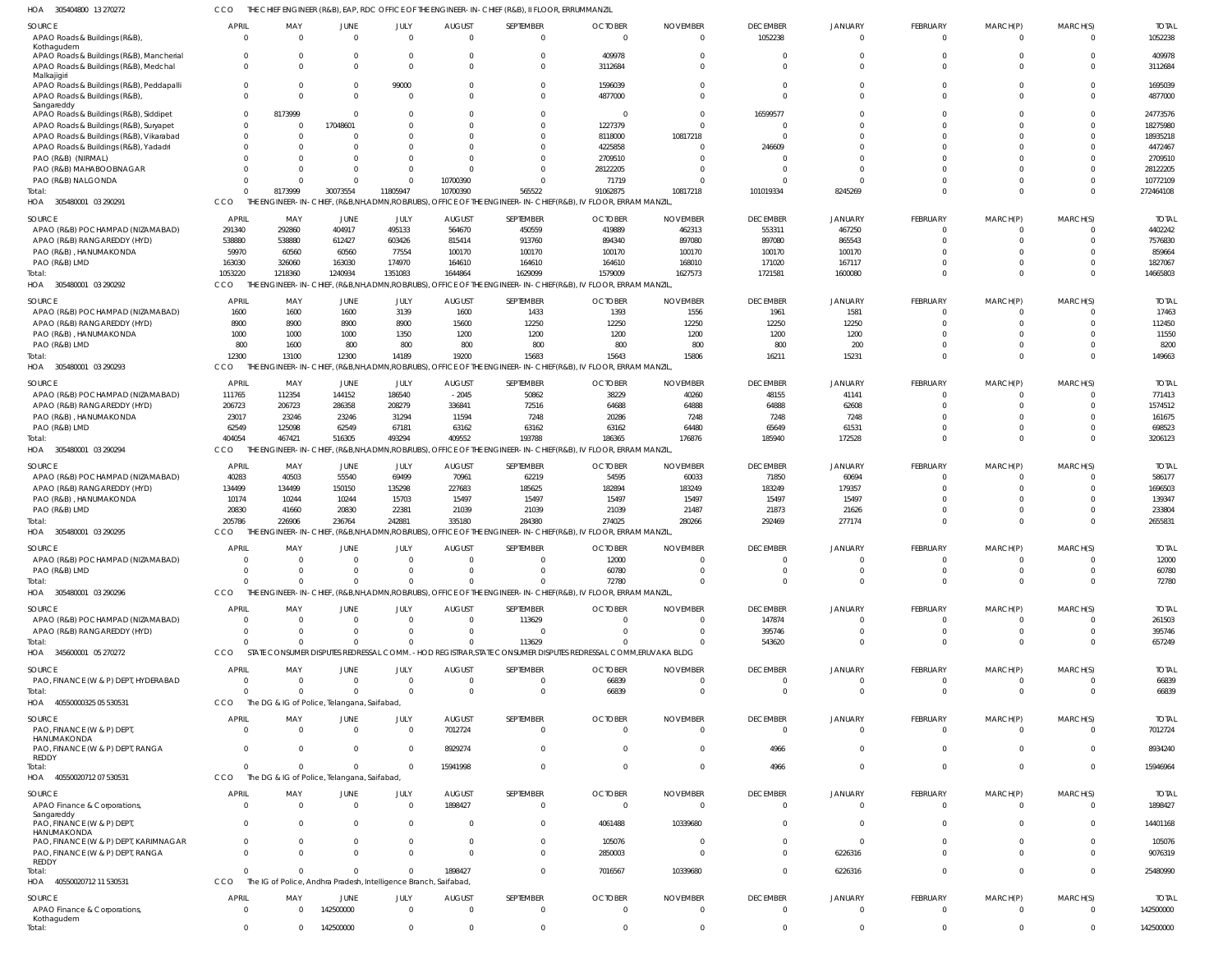305404800 13 270272 HOA CCO THE CHIEF ENGINEER (R&B), EAP, RDC OFFICE OF THE ENGINEER-IN-CHIEF (R&B), II FLOOR, ERRUMMANZIL

| ⋯<br><b>SISSIME</b> UUTUTUTU                                                      |                            | LIVOIIVLEN (NGD), LAT, NDC OITICL OF                             |                      |                      | $\overline{\phantom{a}}$ . The envolvements $\overline{\phantom{a}}$ and $\overline{\phantom{a}}$ , $\overline{\phantom{a}}$ , $\overline{\phantom{a}}$ , $\overline{\phantom{a}}$ , $\overline{\phantom{a}}$ , $\overline{\phantom{a}}$ , $\overline{\phantom{a}}$ , $\overline{\phantom{a}}$ , $\overline{\phantom{a}}$ , $\overline{\phantom{a}}$ , $\overline{\phantom{a}}$ , $\overline{\phantom{a}}$ , $\overline{\phant$ |                                                                                                                         |                      |                      |                      |                      |                         |                      |          |                   |
|-----------------------------------------------------------------------------------|----------------------------|------------------------------------------------------------------|----------------------|----------------------|---------------------------------------------------------------------------------------------------------------------------------------------------------------------------------------------------------------------------------------------------------------------------------------------------------------------------------------------------------------------------------------------------------------------------------|-------------------------------------------------------------------------------------------------------------------------|----------------------|----------------------|----------------------|----------------------|-------------------------|----------------------|----------|-------------------|
| SOURCE                                                                            | <b>APRIL</b>               | MAY                                                              | JUNE                 | JULY                 | <b>AUGUST</b>                                                                                                                                                                                                                                                                                                                                                                                                                   | SEPTEMBER                                                                                                               | <b>OCTOBER</b>       | <b>NOVEMBER</b>      | <b>DECEMBER</b>      | <b>JANUARY</b>       | <b>FEBRUARY</b>         | MARCH(P)             | MARCH(S) | <b>TOTAI</b>      |
| APAO Roads & Buildings (R&B),                                                     | $\Omega$                   | $\Omega$                                                         | $\Omega$             | $\Omega$             | $\Omega$                                                                                                                                                                                                                                                                                                                                                                                                                        | $\mathbf{0}$                                                                                                            | $\Omega$             | $\Omega$             | 1052238              | $\Omega$             | $\mathbf 0$             | $\Omega$             | $\Omega$ | 1052238           |
| Kothagudem                                                                        |                            |                                                                  |                      |                      |                                                                                                                                                                                                                                                                                                                                                                                                                                 |                                                                                                                         |                      |                      |                      |                      |                         |                      |          |                   |
| APAO Roads & Buildings (R&B), Mancherial<br>APAO Roads & Buildings (R&B), Medchal | $\overline{0}$<br>$\Omega$ | - 0<br>$\Omega$                                                  | - 0<br>$\Omega$      | $\Omega$<br>$\Omega$ |                                                                                                                                                                                                                                                                                                                                                                                                                                 | 0<br>$\Omega$                                                                                                           | 409978<br>3112684    | - 0<br>$\Omega$      | $\Omega$<br>$\Omega$ | $\Omega$             | $\Omega$<br>$\Omega$    |                      | $\Omega$ | 409978<br>3112684 |
| Malkajigiri                                                                       |                            |                                                                  |                      |                      |                                                                                                                                                                                                                                                                                                                                                                                                                                 |                                                                                                                         |                      |                      |                      |                      |                         |                      |          |                   |
| APAO Roads & Buildings (R&B), Peddapalli                                          | $\overline{0}$             | $\Omega$                                                         | $\Omega$             | 99000                |                                                                                                                                                                                                                                                                                                                                                                                                                                 | $\mathbf 0$                                                                                                             | 1596039              | $\Omega$             | $\Omega$             |                      | $\Omega$                |                      |          | 1695039           |
| APAO Roads & Buildings (R&B),                                                     | $\Omega$                   | $\Omega$                                                         | $\Omega$             | $\Omega$             |                                                                                                                                                                                                                                                                                                                                                                                                                                 | $\Omega$                                                                                                                | 4877000              | $\Omega$             | $\Omega$             | $\Omega$             | $\Omega$                |                      | $\Omega$ | 4877000           |
| Sangareddy<br>APAO Roads & Buildings (R&B), Siddipet                              | $\overline{0}$             | 8173999                                                          | $\Omega$             |                      |                                                                                                                                                                                                                                                                                                                                                                                                                                 | $\Omega$                                                                                                                | -0                   | $\Omega$             | 16599577             |                      |                         |                      |          | 24773576          |
| APAO Roads & Buildings (R&B), Suryapet                                            | $\overline{0}$             | - 0                                                              | 17048601             | $\Omega$             |                                                                                                                                                                                                                                                                                                                                                                                                                                 | $\Omega$                                                                                                                | 1227379              | $\Omega$             | $\Omega$             |                      |                         |                      |          | 18275980          |
| APAO Roads & Buildings (R&B), Vikarabad                                           | $\Omega$                   | $\Omega$                                                         | - 0                  |                      |                                                                                                                                                                                                                                                                                                                                                                                                                                 | $\Omega$                                                                                                                | 8118000              | 10817218             | $\Omega$             | $\Omega$             |                         |                      |          | 18935218          |
| APAO Roads & Buildings (R&B), Yadadri                                             | $\Omega$                   | $\Omega$                                                         |                      | $\Omega$             |                                                                                                                                                                                                                                                                                                                                                                                                                                 | $\Omega$                                                                                                                | 4225858              | $\Omega$             | 246609               |                      |                         |                      |          | 4472467           |
| PAO (R&B) (NIRMAL)                                                                | $\Omega$                   | $\Omega$                                                         |                      |                      |                                                                                                                                                                                                                                                                                                                                                                                                                                 | $\Omega$                                                                                                                | 2709510              | $\Omega$             |                      |                      |                         |                      |          | 2709510           |
| PAO (R&B) MAHABOOBNAGAR                                                           | $\Omega$                   | $\Omega$                                                         |                      | $\Omega$             |                                                                                                                                                                                                                                                                                                                                                                                                                                 | $\Omega$                                                                                                                | 28122205             | $\Omega$             | $\Omega$             | $\cap$               |                         |                      |          | 28122205          |
| PAO (R&B) NALGONDA                                                                | $\Omega$                   | $\Omega$                                                         | $\Omega$             | $\Omega$             | 10700390                                                                                                                                                                                                                                                                                                                                                                                                                        | $\Omega$                                                                                                                | 71719                | $\Omega$             | $\Omega$             | $\Omega$             | $\Omega$                |                      |          | 10772109          |
| Total:                                                                            | $\Omega$                   | 8173999                                                          | 30073554             | 11805947             | 10700390                                                                                                                                                                                                                                                                                                                                                                                                                        | 565522                                                                                                                  | 91062875             | 10817218             | 101019334            | 8245269              | $\Omega$                | $\Omega$             | $\Omega$ | 272464108         |
| 305480001 03 290291<br>HOA                                                        | CCO                        | THE ENGINEER-IN-CHIEF, (R&B,NH,ADMN,ROBRUBS),                    |                      |                      |                                                                                                                                                                                                                                                                                                                                                                                                                                 | OFFICE OF THE ENGINEER-IN-CHIEF(R&B), IV FLOOR, ERRAM MANZIL                                                            |                      |                      |                      |                      |                         |                      |          |                   |
| SOURCE                                                                            | <b>APRIL</b>               | MAY                                                              | JUNE                 | JULY                 | <b>AUGUST</b>                                                                                                                                                                                                                                                                                                                                                                                                                   | SEPTEMBER                                                                                                               | <b>OCTOBER</b>       | <b>NOVEMBER</b>      | <b>DECEMBER</b>      | <b>JANUARY</b>       | <b>FEBRUARY</b>         | MARCH(P)             | MARCH(S) | <b>TOTAI</b>      |
| APAO (R&B) POCHAMPAD (NIZAMABAD)                                                  | 291340                     | 292860                                                           | 404917               | 495133               | 564670                                                                                                                                                                                                                                                                                                                                                                                                                          | 450559                                                                                                                  | 419889               | 462313               | 553311               | 467250               | $\mathbf 0$             |                      | $\Omega$ | 4402242           |
| APAO (R&B) RANGAREDDY (HYD)                                                       | 538880                     | 538880                                                           | 612427               | 603426               | 815414                                                                                                                                                                                                                                                                                                                                                                                                                          | 913760                                                                                                                  | 894340               | 897080               | 897080               | 865543               | $\Omega$                |                      | $\cap$   | 7576830           |
| PAO (R&B), HANUMAKONDA                                                            | 59970                      | 60560                                                            | 60560                | 77554                | 100170                                                                                                                                                                                                                                                                                                                                                                                                                          | 100170                                                                                                                  | 100170               | 100170               | 100170               | 100170               | $\Omega$                |                      |          | 859664            |
| PAO (R&B) LMD                                                                     | 163030                     | 326060                                                           | 163030               | 174970               | 164610                                                                                                                                                                                                                                                                                                                                                                                                                          | 164610                                                                                                                  | 164610               | 168010               | 171020               | 167117               | $\Omega$                |                      | $\Omega$ | 1827067           |
| Total:                                                                            | 1053220                    | 1218360                                                          | 1240934              | 1351083              | 1644864                                                                                                                                                                                                                                                                                                                                                                                                                         | 1629099                                                                                                                 | 1579009              | 1627573              | 1721581              | 1600080              | $\Omega$                | $\Omega$             | $\Omega$ | 14665803          |
| HOA 305480001 03 290292                                                           | CCO                        |                                                                  |                      |                      |                                                                                                                                                                                                                                                                                                                                                                                                                                 | THE ENGINEER-IN-CHIEF, (R&B,NH,ADMN,ROBRUBS), OFFICE OF THE ENGINEER-IN-CHIEF(R&B), IV FLOOR, ERRAM MANZIL              |                      |                      |                      |                      |                         |                      |          |                   |
| <b>SOURCE</b>                                                                     | <b>APRIL</b>               | MAY                                                              | JUNE                 | JULY                 | <b>AUGUST</b>                                                                                                                                                                                                                                                                                                                                                                                                                   | SEPTEMBER                                                                                                               | <b>OCTOBER</b>       | <b>NOVEMBER</b>      | <b>DECEMBER</b>      | <b>JANUARY</b>       | <b>FEBRUARY</b>         | MARCH(P)             | MARCH(S) | <b>TOTAI</b>      |
| APAO (R&B) POCHAMPAD (NIZAMABAD)                                                  | 1600                       | 1600                                                             | 1600                 | 3139                 | 1600                                                                                                                                                                                                                                                                                                                                                                                                                            | 1433                                                                                                                    | 1393                 | 1556                 | 1961                 | 1581                 | $\Omega$                |                      |          | 17463             |
| APAO (R&B) RANGAREDDY (HYD)                                                       | 8900                       | 8900                                                             | 8900                 | 8900                 | 15600                                                                                                                                                                                                                                                                                                                                                                                                                           | 12250                                                                                                                   | 12250                | 12250                | 12250                | 12250                | $\Omega$                |                      | $\Omega$ | 112450            |
| PAO (R&B), HANUMAKONDA                                                            | 1000                       | 1000                                                             | 1000                 | 1350                 | 1200                                                                                                                                                                                                                                                                                                                                                                                                                            | 1200                                                                                                                    | 1200                 | 1200                 | 1200                 | 1200                 |                         |                      |          | 11550             |
| PAO (R&B) LMD                                                                     | 800                        | 1600                                                             | 800                  | 800                  | 800                                                                                                                                                                                                                                                                                                                                                                                                                             | 800                                                                                                                     | 800                  | 800                  | 800                  | 200                  | $\Omega$                |                      | $\Omega$ | 8200              |
| Total:                                                                            | 12300                      | 13100                                                            | 12300                | 14189                | 19200                                                                                                                                                                                                                                                                                                                                                                                                                           | 15683                                                                                                                   | 15643                | 15806                | 16211                | 15231                | $\Omega$                | $\Omega$             | $\Omega$ | 149663            |
| HOA 305480001 03 290293                                                           | CCO                        | THE ENGINEER-IN-CHIEF,                                           |                      |                      |                                                                                                                                                                                                                                                                                                                                                                                                                                 | , (R&B,NH,ADMN,ROB/RUBS), OFFICE OF THE ENGINEER-IN-CHIEF(R&B), IV FLOOR, ERRAM MANZIL                                  |                      |                      |                      |                      |                         |                      |          |                   |
| SOURCE                                                                            | APRIL                      | MAY                                                              | JUNE                 | JULY                 | <b>AUGUST</b>                                                                                                                                                                                                                                                                                                                                                                                                                   | SEPTEMBER                                                                                                               | <b>OCTOBER</b>       | <b>NOVEMBER</b>      | <b>DECEMBER</b>      | <b>JANUARY</b>       | <b>FEBRUARY</b>         | MARCH(P)             | MARCH(S) | <b>TOTAI</b>      |
| APAO (R&B) POCHAMPAD (NIZAMABAD)                                                  | 111765                     | 112354                                                           | 144152               | 186540               | $-2045$                                                                                                                                                                                                                                                                                                                                                                                                                         | 50862                                                                                                                   | 38229                | 40260                | 48155                | 41141                | 0                       |                      |          | 771413            |
| APAO (R&B) RANGAREDDY (HYD)                                                       | 206723                     | 206723                                                           | 286358               | 208279               | 336841                                                                                                                                                                                                                                                                                                                                                                                                                          | 72516                                                                                                                   | 64688                | 64888                | 64888                | 62608                | $\Omega$                |                      | $\cap$   | 1574512           |
| PAO (R&B), HANUMAKONDA                                                            | 23017                      | 23246                                                            | 23246                | 31294                | 11594                                                                                                                                                                                                                                                                                                                                                                                                                           | 7248                                                                                                                    | 20286                | 7248                 | 7248                 | 7248                 | $\Omega$                |                      | $\cap$   | 161675            |
| PAO (R&B) LMD                                                                     | 62549                      | 125098                                                           | 62549                | 67181                | 63162                                                                                                                                                                                                                                                                                                                                                                                                                           | 63162                                                                                                                   | 63162                | 64480                | 65649                | 61531                | $\Omega$                |                      | $\Omega$ | 698523            |
| Total:                                                                            | 404054                     | 467421                                                           | 516305               | 493294               | 409552                                                                                                                                                                                                                                                                                                                                                                                                                          | 193788                                                                                                                  | 186365               | 176876               | 185940               | 172528               | $\Omega$                | $\Omega$             | $\cap$   | 3206123           |
| 305480001 03 290294<br>HOA                                                        | CCO                        |                                                                  |                      |                      |                                                                                                                                                                                                                                                                                                                                                                                                                                 | THE ENGINEER-IN-CHIEF, (R&B,NH,ADMN,ROB/RUBS), OFFICE OF THE ENGINEER-IN-CHIEF(R&B), IV FLOOR, ERRAM MANZIL             |                      |                      |                      |                      |                         |                      |          |                   |
| SOURCE                                                                            | <b>APRIL</b>               | MAY                                                              | JUNE                 | JULY                 | <b>AUGUST</b>                                                                                                                                                                                                                                                                                                                                                                                                                   | SEPTEMBER                                                                                                               | <b>OCTOBER</b>       | <b>NOVEMBER</b>      | <b>DECEMBER</b>      | <b>JANUARY</b>       | <b>FEBRUARY</b>         | MARCH(P)             | MARCH(S) | <b>TOTAL</b>      |
| APAO (R&B) POCHAMPAD (NIZAMABAD)                                                  | 40283                      | 40503                                                            | 55540                | 69499                | 70961                                                                                                                                                                                                                                                                                                                                                                                                                           | 62219                                                                                                                   | 54595                | 60033                | 71850                | 60694                | $\Omega$                |                      |          | 586177            |
| APAO (R&B) RANGAREDDY (HYD)                                                       | 134499                     | 134499                                                           | 150150               | 135298               | 227683                                                                                                                                                                                                                                                                                                                                                                                                                          | 185625                                                                                                                  | 182894               | 183249               | 183249               | 179357               | $\Omega$                |                      |          | 1696503           |
| PAO (R&B), HANUMAKONDA                                                            | 10174                      | 10244                                                            | 10244                | 15703                | 15497                                                                                                                                                                                                                                                                                                                                                                                                                           | 15497                                                                                                                   | 15497                | 15497                | 15497                | 15497                |                         |                      |          | 139347            |
| PAO (R&B) LMD                                                                     | 20830                      | 41660                                                            | 20830                | 22381                | 21039                                                                                                                                                                                                                                                                                                                                                                                                                           | 21039                                                                                                                   | 21039                | 21487                | 21873                | 21626                | $\Omega$                |                      |          | 233804            |
| Total:                                                                            | 205786                     | 226906                                                           | 236764               | 242881               | 335180                                                                                                                                                                                                                                                                                                                                                                                                                          | 284380                                                                                                                  | 274025               | 280266               | 292469               | 277174               | $\Omega$                | $\Omega$             | $\Omega$ | 2655831           |
| HOA 305480001 03 290295                                                           | CCO                        |                                                                  |                      |                      |                                                                                                                                                                                                                                                                                                                                                                                                                                 | THE ENGINEER-IN-CHIEF, (R&B,NH,ADMN,ROB/RUBS), OFFICE OF THE ENGINEER-IN-CHIEF(R&B), IV FLOOR, ERRAM MANZIL             |                      |                      |                      |                      |                         |                      |          |                   |
| SOURCE                                                                            | <b>APRIL</b>               | MAY                                                              | JUNE                 | JULY                 | <b>AUGUST</b>                                                                                                                                                                                                                                                                                                                                                                                                                   | SEPTEMBER                                                                                                               | <b>OCTOBER</b>       | <b>NOVEMBER</b>      | <b>DECEMBER</b>      | <b>JANUARY</b>       | <b>FEBRUARY</b>         | MARCH(P)             | MARCH(S) | <b>TOTAI</b>      |
| APAO (R&B) POCHAMPAD (NIZAMABAD)                                                  |                            | $\cap$                                                           |                      | $\Omega$             | $\cap$                                                                                                                                                                                                                                                                                                                                                                                                                          |                                                                                                                         | 12000                |                      |                      |                      |                         |                      |          | 12000             |
| PAO (R&B) LMD                                                                     | - 0                        | -0                                                               |                      | $\Omega$             |                                                                                                                                                                                                                                                                                                                                                                                                                                 | $\mathbf{0}$                                                                                                            | 60780                | $\Omega$             | $\Omega$             |                      | $\mathbf 0$             |                      | $\Omega$ | 60780             |
| Total:                                                                            | $\Omega$                   | $\Omega$                                                         | $\Omega$             | $\Omega$             |                                                                                                                                                                                                                                                                                                                                                                                                                                 |                                                                                                                         |                      |                      |                      |                      |                         |                      |          | 72780             |
| HOA 305480001 03 290296                                                           | <b>CCO</b>                 |                                                                  |                      |                      |                                                                                                                                                                                                                                                                                                                                                                                                                                 | $\Omega$                                                                                                                | 72780                | $\mathbf 0$          | $\Omega$             | $\Omega$             | $\mathbf 0$             | $\mathbf 0$          | $\Omega$ |                   |
| SOURCE                                                                            |                            |                                                                  |                      |                      |                                                                                                                                                                                                                                                                                                                                                                                                                                 | THE ENGINEER-IN-CHIEF, (R&B,NH,ADMN,ROB/RUBS), OFFICE OF THE ENGINEER-IN-CHIEF(R&B), IV FLOOR, ERRAM MANZIL,            |                      |                      |                      |                      |                         |                      |          |                   |
| APAO (R&B) POCHAMPAD (NIZAMABAD)                                                  |                            |                                                                  |                      |                      |                                                                                                                                                                                                                                                                                                                                                                                                                                 |                                                                                                                         |                      |                      |                      |                      |                         |                      |          |                   |
|                                                                                   | <b>APRIL</b>               | MAY                                                              | JUNE                 | JULY                 | <b>AUGUST</b>                                                                                                                                                                                                                                                                                                                                                                                                                   | SEPTEMBER                                                                                                               | <b>OCTOBER</b>       | <b>NOVEMBER</b>      | <b>DECEMBER</b>      | <b>JANUARY</b>       | <b>FEBRUARY</b>         | MARCH(P)             | MARCH(S) | <b>TOTAL</b>      |
|                                                                                   | $\overline{\mathbf{0}}$    | $\Omega$                                                         | $\Omega$<br>$\Omega$ | $\Omega$             | $\Omega$<br>$\Omega$                                                                                                                                                                                                                                                                                                                                                                                                            | 113629                                                                                                                  | $\Omega$             | $\Omega$             | 147874               | $\Omega$<br>$\Omega$ | $\mathbf 0$             | $\Omega$             | $\Omega$ | 261503            |
| APAO (R&B) RANGAREDDY (HYD)                                                       | $\Omega$<br>$\Omega$       | $\Omega$<br>$\Omega$                                             | $\Omega$             | $\Omega$<br>$\Omega$ | $\Omega$                                                                                                                                                                                                                                                                                                                                                                                                                        | $\Omega$                                                                                                                | $\Omega$<br>$\Omega$ | $\Omega$<br>$\Omega$ | 395746               | $\Omega$             | $\mathbf 0$<br>$\Omega$ | $\Omega$<br>$\Omega$ | $\Omega$ | 395746            |
| Total:<br>HOA 345600001 05 270272                                                 | CCO                        |                                                                  |                      |                      |                                                                                                                                                                                                                                                                                                                                                                                                                                 | 113629<br>STATE CONSUMER DISPUTES REDRESSAL COMM. - HOD REGISTRAR, STATE CONSUMER DISPUTES REDRESSAL COMM, ERUVAKA BLDG |                      |                      | 543620               |                      |                         |                      |          | 657249            |
|                                                                                   |                            |                                                                  |                      |                      |                                                                                                                                                                                                                                                                                                                                                                                                                                 |                                                                                                                         |                      |                      |                      |                      |                         |                      |          |                   |
| SOURCE                                                                            | <b>APRIL</b>               | MAY                                                              | JUNE                 | JULY                 | <b>AUGUST</b>                                                                                                                                                                                                                                                                                                                                                                                                                   | SEPTEMBER                                                                                                               | <b>OCTOBER</b>       | <b>NOVEMBER</b>      | <b>DECEMBER</b>      | <b>JANUARY</b>       | FEBRUARY                | MARCH(P)             | MARCH(S) | <b>TOTAL</b>      |
| PAO, FINANCE (W & P) DEPT, HYDERABAD                                              | $\overline{0}$             | $\overline{0}$                                                   | $\Omega$<br>$\Omega$ | $\Omega$             | $\Omega$<br>$\Omega$                                                                                                                                                                                                                                                                                                                                                                                                            | $\mathbf{0}$                                                                                                            | 66839                | $\Omega$             | $\Omega$             | $\Omega$<br>$\Omega$ | $\mathbf 0$             | 0                    |          | 66839             |
| Total:                                                                            | $\Omega$                   | $\Omega$                                                         |                      | $\Omega$             |                                                                                                                                                                                                                                                                                                                                                                                                                                 | $\mathbf 0$                                                                                                             | 66839                | $\overline{0}$       | $\Omega$             |                      | $\mathbf 0$             | $\mathbf 0$          | $\Omega$ | 66839             |
| HOA 40550000325 05 530531                                                         | CCO                        | The DG & IG of Police, Telangana, Saifabad,                      |                      |                      |                                                                                                                                                                                                                                                                                                                                                                                                                                 |                                                                                                                         |                      |                      |                      |                      |                         |                      |          |                   |
| SOURCE                                                                            | <b>APRIL</b>               | MAY                                                              | JUNE                 | JULY                 | <b>AUGUST</b>                                                                                                                                                                                                                                                                                                                                                                                                                   | SEPTEMBER                                                                                                               | <b>OCTOBER</b>       | <b>NOVEMBER</b>      | <b>DECEMBER</b>      | <b>JANUARY</b>       | <b>FEBRUARY</b>         | MARCH(P)             | MARCH(S) | <b>TOTAL</b>      |
| PAO, FINANCE (W & P) DEPT                                                         | $\overline{\mathbf{0}}$    | $\Omega$                                                         | $\Omega$             | $\Omega$             | 7012724                                                                                                                                                                                                                                                                                                                                                                                                                         | $\mathbf{0}$                                                                                                            | $\Omega$             | $\Omega$             | $\Omega$             | $\Omega$             | $\mathbf 0$             | $\mathbf 0$          | $\Omega$ | 7012724           |
| HANUMAKONDA<br>PAO, FINANCE (W & P) DEPT, RANGA                                   | $\Omega$                   | $\Omega$                                                         | $\Omega$             | $\Omega$             | 8929274                                                                                                                                                                                                                                                                                                                                                                                                                         | $\mathbf 0$                                                                                                             | $\Omega$             | $\circ$              | 4966                 | $\Omega$             | $\mathbf 0$             | $\Omega$             | $\Omega$ | 8934240           |
| REDDY                                                                             |                            |                                                                  |                      |                      |                                                                                                                                                                                                                                                                                                                                                                                                                                 |                                                                                                                         |                      |                      |                      |                      |                         |                      |          |                   |
| Total:                                                                            | $\Omega$                   | $\Omega$                                                         | $\Omega$             | $\Omega$             | 15941998                                                                                                                                                                                                                                                                                                                                                                                                                        | $\Omega$                                                                                                                | $\Omega$             | $\overline{0}$       | 4966                 | $\Omega$             | $\mathbf{0}$            | $\mathbf 0$          | $\Omega$ | 15946964          |
| HOA 40550020712 07 530531                                                         | CCO                        | The DG & IG of Police, Telangana, Saifabad,                      |                      |                      |                                                                                                                                                                                                                                                                                                                                                                                                                                 |                                                                                                                         |                      |                      |                      |                      |                         |                      |          |                   |
| SOURCE                                                                            | <b>APRIL</b>               | MAY                                                              | JUNE                 | JULY                 | <b>AUGUST</b>                                                                                                                                                                                                                                                                                                                                                                                                                   | SEPTEMBER                                                                                                               | <b>OCTOBER</b>       | <b>NOVEMBER</b>      | <b>DECEMBER</b>      | <b>JANUARY</b>       | <b>FEBRUARY</b>         | MARCH(P)             | MARCH(S) | <b>TOTAL</b>      |
| APAO Finance & Corporations,                                                      | $\overline{\mathbf{0}}$    | $\overline{0}$                                                   | $\Omega$             | $\Omega$             | 1898427                                                                                                                                                                                                                                                                                                                                                                                                                         | $\overline{0}$                                                                                                          | $\Omega$             | $\Omega$             | $\overline{0}$       | $\Omega$             | $\mathbf 0$             | $\mathbf 0$          | $\Omega$ | 1898427           |
| Sangareddy                                                                        |                            |                                                                  |                      |                      |                                                                                                                                                                                                                                                                                                                                                                                                                                 |                                                                                                                         |                      |                      |                      |                      |                         |                      |          |                   |
| PAO, FINANCE (W & P) DEPT,<br>HANUMAKONDA                                         | $\overline{0}$             | $\Omega$                                                         | $\Omega$             | $\overline{0}$       | - 0                                                                                                                                                                                                                                                                                                                                                                                                                             | $\mathbf{0}$                                                                                                            | 4061488              | 10339680             | $\Omega$             | $\Omega$             | $\mathbf 0$             | $\Omega$             | $\Omega$ | 14401168          |
| PAO, FINANCE (W & P) DEPT, KARIMNAGAR                                             | $\overline{0}$             | $\overline{0}$                                                   | $\Omega$             | $\overline{0}$       | $\Omega$                                                                                                                                                                                                                                                                                                                                                                                                                        | $\mathbf 0$                                                                                                             | 105076               | - 0                  | $\Omega$             | $\Omega$             | $\mathbf 0$             | 0                    | $\cap$   | 105076            |
| PAO, FINANCE (W & P) DEPT, RANGA                                                  | $\Omega$                   | $\Omega$                                                         |                      | $\Omega$             | $\Omega$                                                                                                                                                                                                                                                                                                                                                                                                                        | $\mathbf 0$                                                                                                             | 2850003              | $\Omega$             | $\Omega$             | 6226316              | $\Omega$                | $\Omega$             | $\Omega$ | 9076319           |
| REDDY                                                                             |                            |                                                                  |                      |                      |                                                                                                                                                                                                                                                                                                                                                                                                                                 |                                                                                                                         |                      |                      |                      |                      |                         |                      |          |                   |
| Total:                                                                            | $\Omega$                   | $\Omega$                                                         | $\Omega$             | $\Omega$             | 1898427                                                                                                                                                                                                                                                                                                                                                                                                                         | $\mathbf 0$                                                                                                             | 7016567              | 10339680             | $\Omega$             | 6226316              | $\mathbf 0$             | $\mathbf 0$          | $\Omega$ | 25480990          |
| 40550020712 11 530531<br>HOA                                                      | CCO                        | The IG of Police, Andhra Pradesh, Intelligence Branch, Saifabad, |                      |                      |                                                                                                                                                                                                                                                                                                                                                                                                                                 |                                                                                                                         |                      |                      |                      |                      |                         |                      |          |                   |
| SOURCE                                                                            | <b>APRIL</b>               | MAY                                                              | JUNE                 | JULY                 | <b>AUGUST</b>                                                                                                                                                                                                                                                                                                                                                                                                                   | SEPTEMBER                                                                                                               | <b>OCTOBER</b>       | <b>NOVEMBER</b>      | <b>DECEMBER</b>      | <b>JANUARY</b>       | <b>FEBRUARY</b>         | MARCH(P)             | MARCH(S) | <b>TOTAL</b>      |
| APAO Finance & Corporations,                                                      | $\overline{0}$             | $\Omega$                                                         | 142500000            | $\Omega$             | $\Omega$                                                                                                                                                                                                                                                                                                                                                                                                                        | $\Omega$                                                                                                                | $\Omega$             | $\Omega$             | $\Omega$             | $\Omega$             | $\Omega$                | $\Omega$             | $\Omega$ | 142500000         |
| Kothagudem<br>Total:                                                              | $\overline{0}$             | $\Omega$                                                         | 142500000            | $\mathbf 0$          | $\Omega$                                                                                                                                                                                                                                                                                                                                                                                                                        | $\mathbf{0}$                                                                                                            | $\Omega$             | $^{\circ}$           | $\overline{0}$       | $\Omega$             | $\mathbf{0}$            | $\mathbf 0$          | $\Omega$ | 142500000         |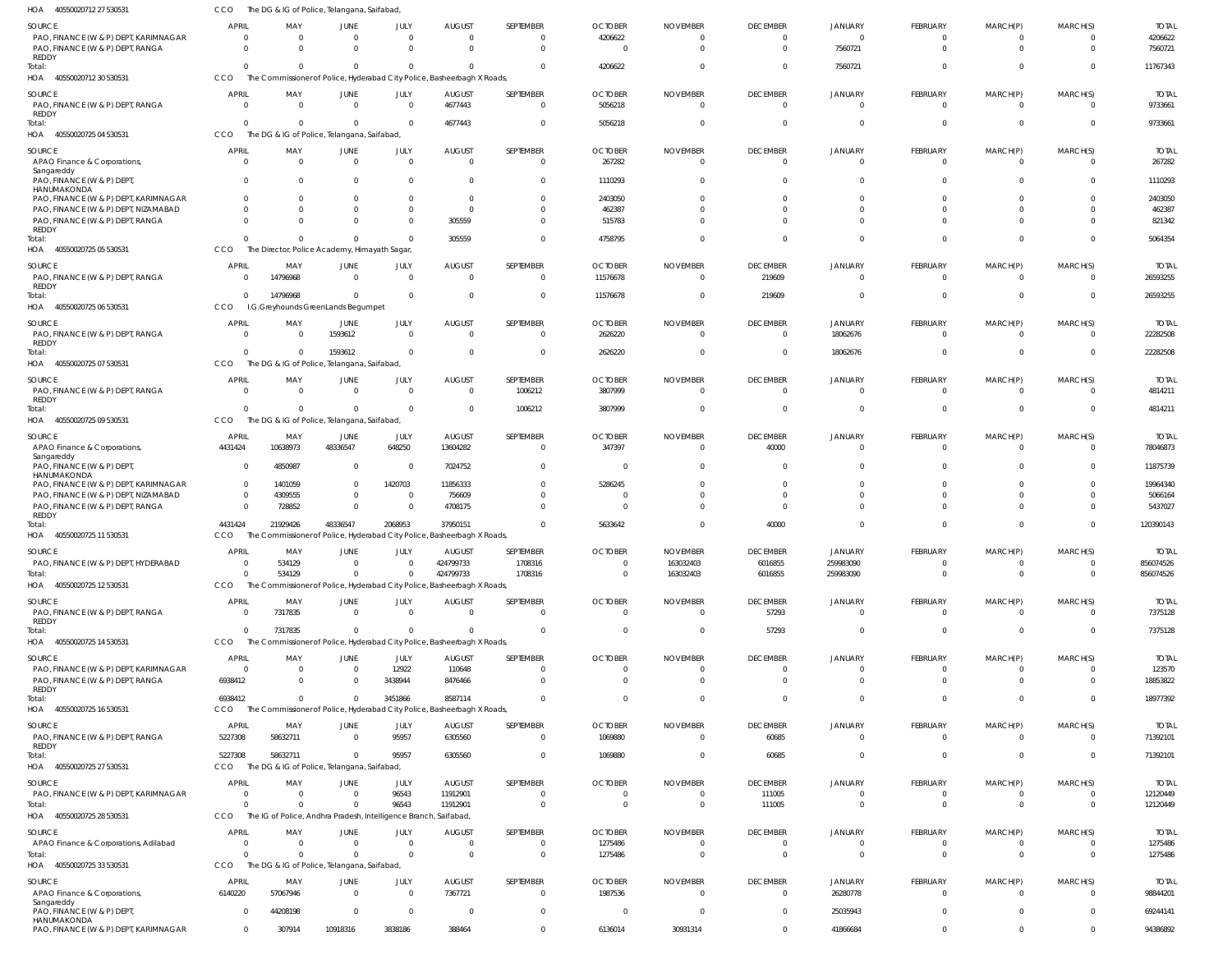| .<br><b>HOODOOLOT</b> ILL LI DOODO                   |                   |                                                                  | io or r olice, relatigatia, saliabaa |                  |                                                                                     |                       |                                           |                                   |                             |                         |                                   |                         |                          |                           |
|------------------------------------------------------|-------------------|------------------------------------------------------------------|--------------------------------------|------------------|-------------------------------------------------------------------------------------|-----------------------|-------------------------------------------|-----------------------------------|-----------------------------|-------------------------|-----------------------------------|-------------------------|--------------------------|---------------------------|
| SOURCE                                               | <b>APRIL</b>      | MAY                                                              | JUNE                                 | JULY             | <b>AUGUST</b>                                                                       | SEPTEMBER             | <b>OCTOBER</b>                            | <b>NOVEMBER</b>                   | <b>DECEMBER</b>             | JANUARY                 | <b>FEBRUARY</b>                   | MARCH(P)                | MARCH(S)                 | <b>TOTAL</b>              |
| PAO, FINANCE (W & P) DEPT, KARIMNAGAR                | $\Omega$          | $\Omega$                                                         | $\Omega$                             | $\Omega$         | $\Omega$                                                                            | $\Omega$              | 4206622                                   | $\Omega$                          | - 0                         | $\Omega$                | $\Omega$                          | $\Omega$                | $\Omega$                 | 4206622                   |
| PAO, FINANCE (W & P) DEPT, RANGA<br>REDDY            | $\Omega$          | $\Omega$                                                         | $\Omega$                             | $\Omega$         | $\Omega$                                                                            | $\Omega$              | $\Omega$                                  | $\Omega$                          | $\Omega$                    | 7560721                 | $\Omega$                          | $\Omega$                | $\Omega$                 | 7560721                   |
| Total:                                               | $\Omega$          | $\Omega$                                                         | $\Omega$                             | $\Omega$         | $\Omega$                                                                            | $\Omega$              | 4206622                                   | $\Omega$                          | $\Omega$                    | 7560721                 | $\Omega$                          | $\Omega$                | $\Omega$                 | 11767343                  |
| HOA 40550020712 30 530531                            | CCO               |                                                                  |                                      |                  | The Commissioner of Police, Hyderabad City Police, Basheerbagh X Roads              |                       |                                           |                                   |                             |                         |                                   |                         |                          |                           |
| SOURCE                                               | <b>APRIL</b>      | MAY                                                              | JUNE                                 | JULY             | <b>AUGUST</b>                                                                       | SEPTEMBER             | <b>OCTOBER</b>                            | <b>NOVEMBER</b>                   | <b>DECEMBER</b>             | JANUARY                 | <b>FEBRUARY</b>                   | MARCH(P)                | MARCH(S)                 | <b>TOTAL</b>              |
| PAO, FINANCE (W & P) DEPT, RANGA                     | $\Omega$          | $\overline{0}$                                                   | $\mathbf 0$                          | $\Omega$         | 4677443                                                                             | $\Omega$              | 5056218                                   | $\overline{0}$                    | $\mathbf 0$                 | $\mathbf 0$             | $\overline{0}$                    | $\overline{\mathbf{0}}$ | $\overline{0}$           | 9733661                   |
| REDDY                                                |                   |                                                                  |                                      |                  |                                                                                     |                       |                                           |                                   |                             |                         |                                   |                         |                          |                           |
| Total:<br>HOA 40550020725 04 530531                  | $\Omega$<br>CCO   | $\Omega$<br>The DG & IG of Police, Telangana, Saifabad           | $\Omega$                             | -C               | 4677443                                                                             | $\Omega$              | 5056218                                   | $\overline{0}$                    | $\Omega$                    | $\Omega$                | $\Omega$                          | $\Omega$                | $\mathbf 0$              | 9733661                   |
|                                                      |                   |                                                                  |                                      |                  |                                                                                     |                       |                                           |                                   |                             |                         |                                   |                         |                          |                           |
| SOURCE                                               | <b>APRIL</b>      | MAY                                                              | JUNE                                 | JULY             | <b>AUGUST</b>                                                                       | SEPTEMBER             | <b>OCTOBER</b>                            | <b>NOVEMBER</b>                   | <b>DECEMBER</b>             | JANUARY                 | <b>FEBRUARY</b>                   | MARCH(P)                | MARCH(S)                 | <b>TOTAL</b>              |
| APAO Finance & Corporations,<br>Sangareddy           | $\Omega$          | $\Omega$                                                         | $\Omega$                             | $\Omega$         | - 0                                                                                 | $\Omega$              | 267282                                    | $\Omega$                          | $\Omega$                    | $\Omega$                | $\Omega$                          | $\Omega$                | $\Omega$                 | 267282                    |
| PAO, FINANCE (W & P) DEPT                            | $\Omega$          | $\Omega$                                                         | $\Omega$                             | $\Omega$         | $\Omega$                                                                            | $\Omega$              | 1110293                                   | $\Omega$                          |                             | - 0                     | $\Omega$                          | $\Omega$                | $\Omega$                 | 1110293                   |
| HANUMAKONDA<br>PAO, FINANCE (W & P) DEPT, KARIMNAGAR | $\Omega$          | $\Omega$                                                         | $\Omega$                             | $\Omega$         | $\overline{0}$                                                                      | $\Omega$              | 2403050                                   | $\Omega$                          |                             | - 0                     | <sup>0</sup>                      |                         | $\Omega$                 | 2403050                   |
| PAO, FINANCE (W & P) DEPT, NIZAMABAD                 |                   | $\Omega$                                                         | $\Omega$                             | $\Omega$         | $\overline{0}$                                                                      |                       | 462387                                    | $\Omega$                          |                             | $\Omega$                |                                   |                         | $\Omega$                 | 462387                    |
| PAO, FINANCE (W & P) DEPT, RANGA                     | $\Omega$          | $\Omega$                                                         | $\Omega$                             | $\Omega$         | 305559                                                                              | $\Omega$              | 515783                                    | $\Omega$                          |                             | $\Omega$                | $\Omega$                          | $\Omega$                | $\Omega$                 | 821342                    |
| REDDY<br>Total:                                      | $\Omega$          | $\Omega$                                                         | $\Omega$                             |                  | 305559                                                                              | $\Omega$              | 4758795                                   | $\Omega$                          |                             | $\Omega$                | $\Omega$                          | $\Omega$                | $\Omega$                 | 5064354                   |
| HOA 40550020725 05 530531                            | CCO               | The Director, Police Academy, Himayath Sagar,                    |                                      |                  |                                                                                     |                       |                                           |                                   |                             |                         |                                   |                         |                          |                           |
|                                                      |                   |                                                                  |                                      |                  |                                                                                     |                       |                                           |                                   |                             |                         |                                   |                         |                          |                           |
| SOURCE<br>PAO, FINANCE (W & P) DEPT, RANGA           | APRIL<br>$\Omega$ | MAY<br>14796968                                                  | JUNE<br>$\Omega$                     | JULY<br>$\Omega$ | <b>AUGUST</b><br>$\overline{\mathbf{0}}$                                            | SEPTEMBER<br>$\Omega$ | <b>OCTOBER</b><br>11576678                | <b>NOVEMBER</b><br>$\overline{0}$ | <b>DECEMBER</b><br>219609   | JANUARY<br>$\Omega$     | <b>FEBRUARY</b><br>$\overline{0}$ | MARCH(P)<br>0           | MARCH(S)<br>$\Omega$     | Total<br>26593255         |
| <b>REDDY</b>                                         |                   |                                                                  |                                      |                  |                                                                                     |                       |                                           |                                   |                             |                         |                                   |                         |                          |                           |
| Total:                                               | $\Omega$          | 14796968                                                         | $\Omega$                             | $\Omega$         | $\overline{0}$                                                                      | $\Omega$              | 11576678                                  | $\overline{0}$                    | 219609                      | $\Omega$                | $\Omega$                          | $\Omega$                | $\overline{0}$           | 26593255                  |
| HOA 40550020725 06 530531                            | CCO               | I.G.Greyhounds GreenLands Begumpet                               |                                      |                  |                                                                                     |                       |                                           |                                   |                             |                         |                                   |                         |                          |                           |
| SOURCE                                               | <b>APRIL</b>      | MAY                                                              | JUNE                                 | JULY             | <b>AUGUST</b>                                                                       | SEPTEMBER             | <b>OCTOBER</b>                            | <b>NOVEMBER</b>                   | <b>DECEMBER</b>             | <b>JANUARY</b>          | <b>FEBRUARY</b>                   | MARCH(P)                | MARCH(S)                 | <b>TOTAL</b>              |
| PAO, FINANCE (W & P) DEPT, RANGA                     | $\Omega$          | $\Omega$                                                         | 1593612                              | $\Omega$         | $\Omega$                                                                            | $\Omega$              | 2626220                                   | $\Omega$                          | $\mathbf{0}$                | 18062676                | $\Omega$                          | $\Omega$                | $\Omega$                 | 22282508                  |
| REDDY<br>Total:                                      | $\Omega$          | $\Omega$                                                         | 1593612                              | $\Omega$         | $\Omega$                                                                            | $\Omega$              | 2626220                                   | $\Omega$                          | $\Omega$                    | 18062676                | $\Omega$                          | $\Omega$                | $\Omega$                 | 22282508                  |
| HOA<br>40550020725 07 530531                         | CCO               | The DG & IG of Police, Telangana, Saifabad                       |                                      |                  |                                                                                     |                       |                                           |                                   |                             |                         |                                   |                         |                          |                           |
| SOURCE                                               | APRIL             | MAY                                                              | JUNE                                 | JULY             | <b>AUGUST</b>                                                                       | SEPTEMBER             | <b>OCTOBER</b>                            | <b>NOVEMBER</b>                   | <b>DECEMBER</b>             | JANUARY                 | <b>FEBRUARY</b>                   | MARCH(P)                | MARCH(S)                 | <b>TOTAL</b>              |
| PAO, FINANCE (W & P) DEPT, RANGA                     | $\Omega$          | $\Omega$                                                         | $\overline{0}$                       | $\Omega$         | $\overline{0}$                                                                      | 1006212               | 3807999                                   | $\overline{0}$                    | $\mathbf 0$                 | $\overline{0}$          | $\overline{0}$                    | 0                       | $\overline{0}$           | 4814211                   |
| REDDY                                                |                   |                                                                  |                                      |                  |                                                                                     |                       |                                           |                                   |                             |                         |                                   |                         |                          |                           |
| Total:<br>HOA 40550020725 09 530531                  | $\Omega$<br>CCO   | $\Omega$<br>The DG & IG of Police, Telangana, Saifabad,          | $\Omega$                             | $\Omega$         | $\overline{0}$                                                                      | 1006212               | 3807999                                   | $\overline{0}$                    | $\mathbf 0$                 | $^{\circ}$              | $\Omega$                          | 0                       | $\overline{0}$           | 4814211                   |
|                                                      |                   |                                                                  |                                      |                  |                                                                                     |                       |                                           |                                   |                             |                         |                                   |                         |                          |                           |
| SOURCE                                               | APRIL             | MAY<br>10638973                                                  | JUNE<br>48336547                     | JULY<br>648250   | <b>AUGUST</b>                                                                       | SEPTEMBER<br>$\Omega$ | <b>OCTOBER</b>                            | <b>NOVEMBER</b><br>$\Omega$       | <b>DECEMBER</b>             | JANUARY<br>$\Omega$     | <b>FEBRUARY</b><br>$\Omega$       | MARCH(P)<br>$\Omega$    | MARCH(S)<br>$\Omega$     | <b>TOTAL</b><br>78046873  |
| APAO Finance & Corporations,<br>Sangareddy           | 4431424           |                                                                  |                                      |                  | 13604282                                                                            |                       | 347397                                    |                                   | 40000                       |                         |                                   |                         |                          |                           |
| PAO, FINANCE (W & P) DEPT,                           | $\Omega$          | 4850987                                                          | $\Omega$                             | - 0              | 7024752                                                                             | $\Omega$              | - 0                                       | $\Omega$                          |                             | $\Omega$                | <sup>0</sup>                      |                         | $\Omega$                 | 11875739                  |
| HANUMAKONDA<br>PAO, FINANCE (W & P) DEPT, KARIMNAGAR | $\Omega$          | 1401059                                                          | $\mathbf 0$                          | 1420703          | 11856333                                                                            | $\Omega$              | 5286245                                   | $\Omega$                          | $\Omega$                    | $\Omega$                | $\Omega$                          | <sup>0</sup>            | $\Omega$                 | 19964340                  |
| PAO, FINANCE (W & P) DEPT, NIZAMABAD                 | $\Omega$          | 4309555                                                          | 0                                    |                  | 756609                                                                              |                       | $\Omega$                                  | $\Omega$                          |                             | $\Omega$                |                                   |                         | $\Omega$                 | 5066164                   |
| PAO, FINANCE (W & P) DEPT, RANGA                     | $\Omega$          | 728852                                                           | $\Omega$                             | -C               | 4708175                                                                             | $\Omega$              | $\Omega$                                  | $\Omega$                          |                             | $\Omega$                | $\Omega$                          | <sup>0</sup>            | $\Omega$                 | 5437027                   |
| REDDY<br>Total:                                      | 4431424           | 21929426                                                         | 48336547                             | 2068953          | 37950151                                                                            | $\Omega$              | 5633642                                   | $\Omega$                          | 40000                       | $\Omega$                | $\Omega$                          | 0                       | $\Omega$                 | 120390143                 |
| HOA 40550020725 11 530531                            | CCO               |                                                                  |                                      |                  | The Commissioner of Police, Hyderabad City Police, Basheerbagh X Roads,             |                       |                                           |                                   |                             |                         |                                   |                         |                          |                           |
|                                                      |                   |                                                                  |                                      |                  |                                                                                     |                       |                                           |                                   |                             |                         |                                   |                         |                          |                           |
| SOURCE<br>PAO, FINANCE (W & P) DEPT, HYDERABAD       | <b>APRIL</b>      | MAY<br>534129                                                    | JUNE<br>$\Omega$                     | JULY             | <b>AUGUST</b><br>424799733                                                          | SEPTEMBER<br>1708316  | <b>OCTOBER</b><br>$\overline{\mathbf{0}}$ | <b>NOVEMBER</b><br>163032403      | <b>DECEMBER</b><br>6016855  | JANUARY<br>259983090    | FEBRUARY<br>$\mathbf{0}$          | MARCH(P)<br>-0          | MARCH(S)<br>$\Omega$     | <b>TOTAL</b><br>856074526 |
| Total:                                               | $\Omega$          | 534129                                                           | $\Omega$                             |                  | 424799733                                                                           | 1708316               | $\overline{0}$                            | 163032403                         | 6016855                     | 259983090               | $\mathbf 0$                       | $\Omega$                | $\mathbf{0}$             | 856074526                 |
| HOA 40550020725 12 530531                            | CCO               |                                                                  |                                      |                  | The Commissioner of Police, Hyderabad City Police, Basheerbagh X Roads,             |                       |                                           |                                   |                             |                         |                                   |                         |                          |                           |
| SOURCE                                               | APRIL             | MAY                                                              | JUNE                                 | JULY             | <b>AUGUST</b>                                                                       | SEPTEMBER             | <b>OCTOBER</b>                            | <b>NOVEMBER</b>                   | <b>DECEMBER</b>             | JANUARY                 | FEBRUARY                          | MARCH(P)                | MARCH(S)                 | <b>TOTAL</b>              |
| PAO, FINANCE (W & P) DEPT, RANGA                     | $\Omega$          | 7317835                                                          | $\Omega$                             | $\Omega$         | $\overline{0}$                                                                      | $\Omega$              | $\overline{0}$                            | $\overline{0}$                    | 57293                       | $\Omega$                | $\overline{0}$                    | 0                       | $\Omega$                 | 7375128                   |
| REDDY                                                |                   |                                                                  |                                      |                  |                                                                                     |                       |                                           |                                   |                             |                         |                                   |                         |                          |                           |
| Total:<br>HOA 40550020725 14 530531                  | $\Omega$<br>CCO   | 7317835                                                          | $\mathbf 0$                          | $\Omega$         | $\Omega$<br>The Commissioner of Police, Hyderabad City Police, Basheerbagh X Roads, | $\Omega$              | $\Omega$                                  | $\overline{0}$                    | 57293                       | $\Omega$                | $\Omega$                          | $\Omega$                | $\Omega$                 | 7375128                   |
|                                                      |                   |                                                                  |                                      |                  |                                                                                     |                       |                                           |                                   |                             |                         |                                   |                         |                          |                           |
| SOURCE<br>PAO, FINANCE (W & P) DEPT, KARIMNAGAR      | APRIL<br>$\Omega$ | MAY<br>$\overline{0}$                                            | JUNE<br>$\overline{0}$               | JULY<br>12922    | AUGUST<br>110648                                                                    | SEPTEMBER<br>$\Omega$ | <b>OCTOBER</b><br>$\overline{0}$          | <b>NOVEMBER</b><br>$\overline{0}$ | <b>DECEMBER</b><br>$\Omega$ | JANUARY<br>$\mathbf{0}$ | <b>FEBRUARY</b><br>$\overline{0}$ | MARCH(P)<br>$\Omega$    | MARCH(S)<br>$\mathbf{0}$ | <b>TOTAL</b><br>123570    |
| PAO, FINANCE (W & P) DEPT, RANGA                     | 6938412           | $\Omega$                                                         | $\mathbf 0$                          | 3438944          | 8476466                                                                             | $\Omega$              | $\Omega$                                  | $\Omega$                          | $\Omega$                    | $\mathbf 0$             | $\Omega$                          | $\Omega$                | $\mathbf{0}$             | 18853822                  |
| REDDY                                                |                   |                                                                  |                                      |                  |                                                                                     |                       |                                           |                                   |                             |                         |                                   |                         |                          |                           |
| Total:                                               | 6938412           | $\Omega$                                                         | $\mathbf 0$                          | 3451866          | 8587114                                                                             | $\Omega$              | $\overline{0}$                            | $\mathbf{0}$                      | $\Omega$                    | $\mathbf 0$             | $\Omega$                          | $\mathbf{0}$            | $\overline{0}$           | 18977392                  |
| HOA 40550020725 16 530531                            | <b>CCO</b>        |                                                                  |                                      |                  | The Commissioner of Police, Hyderabad City Police, Basheerbagh X Roads,             |                       |                                           |                                   |                             |                         |                                   |                         |                          |                           |
| SOURCE                                               | APRIL             | MAY                                                              | <b>JUNE</b>                          | JULY             | <b>AUGUST</b>                                                                       | SEPTEMBER             | <b>OCTOBER</b>                            | <b>NOVEMBER</b>                   | <b>DECEMBER</b>             | JANUARY                 | FEBRUARY                          | MARCH(P)                | MARCH(S)                 | <b>TOTAL</b>              |
| PAO, FINANCE (W & P) DEPT, RANGA<br>REDDY            | 5227308           | 58632711                                                         | $\mathbf 0$                          | 95957            | 6305560                                                                             | $\overline{0}$        | 1069880                                   | $\overline{0}$                    | 60685                       | $\Omega$                | $\overline{0}$                    | 0                       | $\overline{0}$           | 71392101                  |
| Total:                                               | 5227308           | 58632711                                                         | $\Omega$                             | 95957            | 6305560                                                                             | $\Omega$              | 1069880                                   | $\overline{0}$                    | 60685                       | $\Omega$                | $\Omega$                          | $\Omega$                | $\Omega$                 | 71392101                  |
| HOA 40550020725 27 530531                            | <b>CCO</b>        | The DG & IG of Police, Telangana, Saifabad,                      |                                      |                  |                                                                                     |                       |                                           |                                   |                             |                         |                                   |                         |                          |                           |
| SOURCE                                               | APRIL             | MAY                                                              | JUNE                                 | JULY             | <b>AUGUST</b>                                                                       | SEPTEMBER             | <b>OCTOBER</b>                            | <b>NOVEMBER</b>                   | <b>DECEMBER</b>             | JANUARY                 | <b>FEBRUARY</b>                   | MARCH(P)                | MARCH(S)                 | <b>TOTAL</b>              |
| PAO, FINANCE (W & P) DEPT, KARIMNAGAR                | $\Omega$          | $\Omega$                                                         | $\overline{0}$                       | 96543            | 11912901                                                                            | $\Omega$              | $\overline{0}$                            | $\overline{0}$                    | 111005                      | $\overline{0}$          | $\overline{0}$                    | 0                       | $\overline{0}$           | 12120449                  |
| Total:                                               | $\Omega$          | $\Omega$                                                         | $\Omega$                             | 96543            | 11912901                                                                            | $\Omega$              | $\overline{0}$                            | $\overline{0}$                    | 111005                      | $\mathbf 0$             | $\overline{0}$                    | $\mathbf 0$             | $\overline{0}$           | 12120449                  |
| HOA 40550020725 28 530531                            | CCO               | The IG of Police, Andhra Pradesh, Intelligence Branch, Saifabad, |                                      |                  |                                                                                     |                       |                                           |                                   |                             |                         |                                   |                         |                          |                           |
| SOURCE                                               | <b>APRIL</b>      | MAY                                                              | <b>JUNE</b>                          | JULY             | <b>AUGUST</b>                                                                       | SEPTEMBER             | <b>OCTOBER</b>                            | <b>NOVEMBER</b>                   | <b>DECEMBER</b>             | JANUARY                 | FEBRUARY                          | MARCH(P)                | MARCH(S)                 | <b>TOTAL</b>              |
| APAO Finance & Corporations, Adilabad                | $\Omega$          | $\overline{0}$                                                   | $\overline{0}$                       | $\Omega$         | $\overline{0}$                                                                      | $\Omega$              | 1275486                                   | 0                                 | -0                          | $\Omega$                | $\mathbf{0}$                      | $\Omega$                | $\Omega$                 | 1275486                   |
| Total:                                               | $\Omega$          | $\Omega$                                                         | $\Omega$                             |                  | $\overline{0}$                                                                      | $\Omega$              | 1275486                                   | $\overline{0}$                    | $\Omega$                    | $\Omega$                | $\Omega$                          | $\Omega$                | $\Omega$                 | 1275486                   |
| HOA 40550020725 33 530531                            | CCO               | The DG & IG of Police, Telangana, Saifabad,                      |                                      |                  |                                                                                     |                       |                                           |                                   |                             |                         |                                   |                         |                          |                           |
| SOURCE                                               | APRIL             | MAY                                                              | JUNE                                 | JULY             | <b>AUGUST</b>                                                                       | SEPTEMBER             | <b>OCTOBER</b>                            | <b>NOVEMBER</b>                   | <b>DECEMBER</b>             | JANUARY                 | FEBRUARY                          | MARCH(P)                | MARCH(S)                 | <b>TOTAL</b>              |
| APAO Finance & Corporations,<br>Sangareddy           | 6140220           | 57067946                                                         | $\overline{0}$                       | $\Omega$         | 7367721                                                                             | $\overline{0}$        | 1987536                                   | - 0                               | $\mathbf{0}$                | 26280778                | $\overline{0}$                    | $\Omega$                | $\mathbf{0}$             | 98844201                  |
| PAO, FINANCE (W & P) DEPT,                           | $\Omega$          | 44208198                                                         | $\overline{0}$                       | $\overline{0}$   | $\overline{\mathbf{0}}$                                                             | $\overline{0}$        | $\overline{0}$                            | $\overline{0}$                    | $\mathbf{0}$                | 25035943                | $\overline{0}$                    | $\mathbf{0}$            | $\overline{0}$           | 69244141                  |
| HANUMAKONDA<br>PAO, FINANCE (W & P) DEPT, KARIMNAGAR | $\mathbf{0}$      | 307914                                                           | 10918316                             | 3838186          | 388464                                                                              | $\overline{0}$        | 6136014                                   | 30931314                          | $\mathbf{0}$                | 41866684                | $\mathbf 0$                       | $\mathbf 0$             | $\mathbf{0}$             | 94386892                  |
|                                                      |                   |                                                                  |                                      |                  |                                                                                     |                       |                                           |                                   |                             |                         |                                   |                         |                          |                           |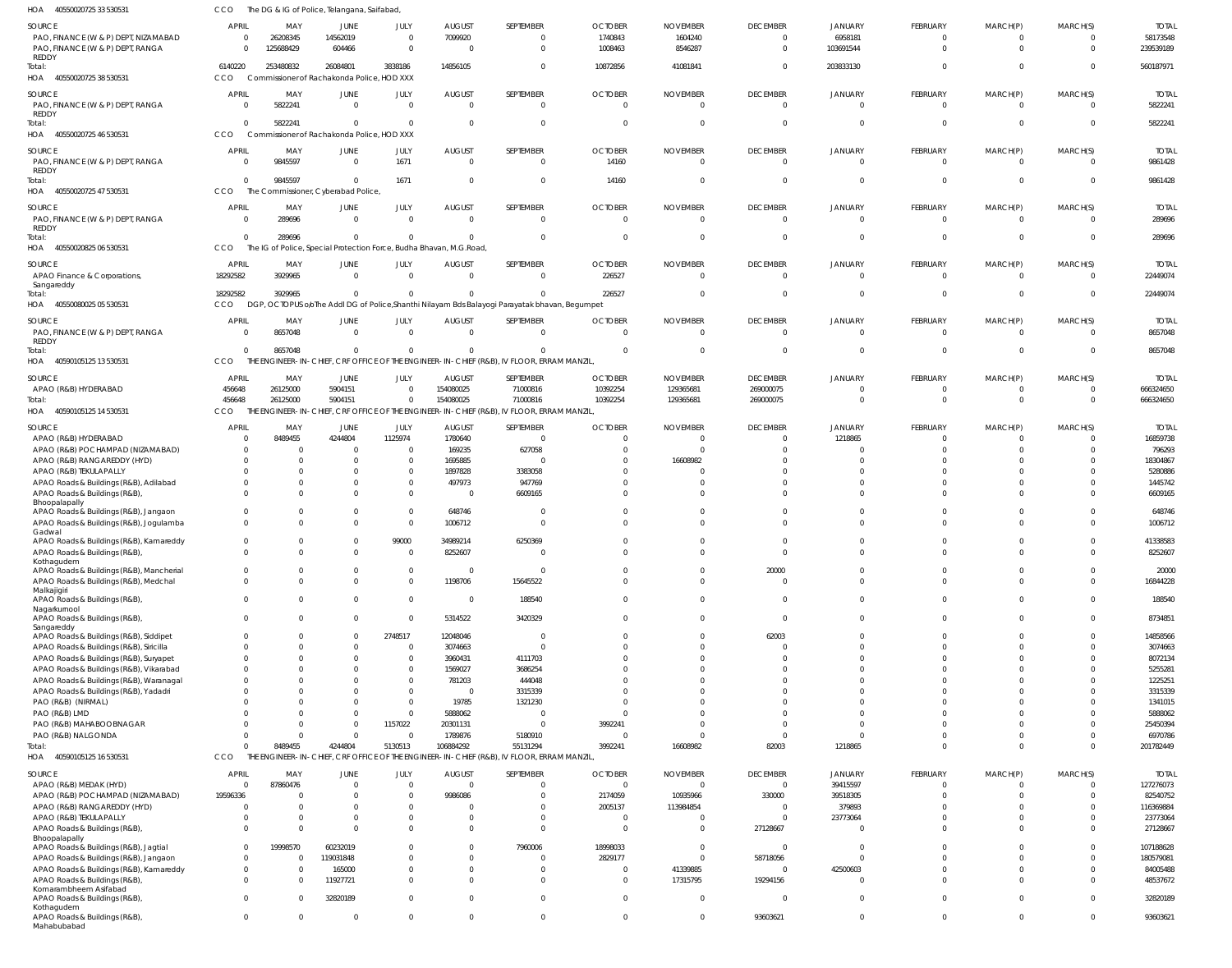| HOA<br>40550020725 33 530531                                                      | ссо          | The DG & IG of Police, Telangana, Saifabad,                                                     |                      |                         |                    |                                                                                                |                |                 |                         |                      |                      |                      |                      |                    |
|-----------------------------------------------------------------------------------|--------------|-------------------------------------------------------------------------------------------------|----------------------|-------------------------|--------------------|------------------------------------------------------------------------------------------------|----------------|-----------------|-------------------------|----------------------|----------------------|----------------------|----------------------|--------------------|
| SOURCE                                                                            | <b>APRIL</b> | MAY                                                                                             | JUNE                 | JULY                    | <b>AUGUST</b>      | SEPTEMBER                                                                                      | <b>OCTOBER</b> | <b>NOVEMBER</b> | <b>DECEMBER</b>         | <b>JANUARY</b>       | FEBRUARY             | MARCH(P)             | MARCH(S)             | <b>TOTAI</b>       |
| PAO, FINANCE (W & P) DEPT, NIZAMABAD                                              |              | 26208345<br>$\mathbf 0$                                                                         | 14562019             | $\overline{0}$          | 7099920            | $^{\circ}$                                                                                     | 1740843        | 1604240         | 0                       | 6958181              | -0                   | $^{\circ}$           |                      | 58173548           |
| PAO, FINANCE (W & P) DEPT, RANGA                                                  |              | 125688429<br>$\Omega$                                                                           | 604466               | $\overline{0}$          | $\Omega$           | $\overline{0}$                                                                                 | 1008463        | 8546287         | $\overline{0}$          | 103691544            | $\mathbf 0$          | $\mathbf 0$          | $\Omega$             | 239539189          |
| REDDY<br>Total:                                                                   | 6140220      | 253480832                                                                                       | 26084801             | 3838186                 | 14856105           | $\mathbf 0$                                                                                    | 10872856       | 41081841        | $\overline{0}$          | 203833130            |                      | $\Omega$             | $\Omega$             | 560187971          |
| HOA 40550020725 38 530531                                                         | CCO          | Commissioner of Rachakonda Police, HOD XXX                                                      |                      |                         |                    |                                                                                                |                |                 |                         |                      |                      |                      |                      |                    |
|                                                                                   |              |                                                                                                 |                      |                         |                    |                                                                                                |                |                 |                         |                      |                      |                      |                      |                    |
| SOURCE                                                                            | <b>APRIL</b> | MAY                                                                                             | JUNE                 | JULY                    | <b>AUGUST</b>      | SEPTEMBER                                                                                      | <b>OCTOBER</b> | <b>NOVEMBER</b> | <b>DECEMBER</b>         | <b>JANUARY</b>       | FEBRUARY             | MARCH(P)             | MARCH(S)             | <b>TOTAL</b>       |
| PAO, FINANCE (W & P) DEPT, RANGA<br>REDDY                                         |              | 5822241<br>$\overline{0}$                                                                       | $\overline{0}$       | $\overline{0}$          | $\overline{0}$     | $\mathbf{0}$                                                                                   | $\Omega$       |                 | $\overline{0}$          | $\overline{0}$       | $\mathbf 0$          | $\overline{0}$       | $\Omega$             | 5822241            |
| Total:                                                                            |              | 5822241<br>$\mathbf{0}$                                                                         | $\mathbf{0}$         | $\mathbf 0$             | $\Omega$           | $\mathbf{0}$                                                                                   |                |                 | $\overline{0}$          | $\overline{0}$       | $\Omega$             | $\mathbf 0$          | $\mathbf 0$          | 5822241            |
| HOA 40550020725 46 530531                                                         | CCO          | Commissioner of Rachakonda Police, HOD XXX                                                      |                      |                         |                    |                                                                                                |                |                 |                         |                      |                      |                      |                      |                    |
| SOURCE                                                                            | <b>APRIL</b> | MAY                                                                                             | JUNE                 | JULY                    | <b>AUGUST</b>      | SEPTEMBER                                                                                      | <b>OCTOBER</b> | <b>NOVEMBER</b> | <b>DECEMBER</b>         | <b>JANUARY</b>       | FEBRUARY             | MARCH(P)             | MARCH(S)             | <b>TOTAL</b>       |
| PAO, FINANCE (W & P) DEPT, RANGA                                                  |              | 9845597<br>0                                                                                    | $\overline{0}$       | 1671                    | $\Omega$           | $\overline{0}$                                                                                 | 14160          | $\Omega$        | $\overline{\mathbf{0}}$ | $\mathbf 0$          | $\mathbf 0$          | $\mathbf 0$          | $\Omega$             | 9861428            |
| REDDY                                                                             |              |                                                                                                 |                      |                         |                    |                                                                                                |                |                 |                         |                      |                      |                      |                      |                    |
| Total:                                                                            |              | 9845597<br>$\Omega$                                                                             | $\Omega$             | 1671                    | $\Omega$           | $\overline{0}$                                                                                 | 14160          |                 | $\overline{0}$          | $\Omega$             | $\Omega$             | $\Omega$             | $\Omega$             | 9861428            |
| 40550020725 47 530531<br>HOA                                                      | CCO          | The Commissioner, Cyberabad Police                                                              |                      |                         |                    |                                                                                                |                |                 |                         |                      |                      |                      |                      |                    |
| SOURCE                                                                            | <b>APRIL</b> | MAY                                                                                             | JUNE                 | JULY                    | <b>AUGUST</b>      | SEPTEMBER                                                                                      | <b>OCTOBER</b> | <b>NOVEMBER</b> | <b>DECEMBER</b>         | <b>JANUARY</b>       | FEBRUARY             | MARCH(P)             | MARCH(S)             | <b>TOTAL</b>       |
| PAO, FINANCE (W & P) DEPT, RANGA                                                  |              | 289696<br>0                                                                                     | $\overline{0}$       | $\overline{0}$          | $\overline{0}$     | $\mathbf{0}$                                                                                   | $\Omega$       | $\Omega$        | $\overline{0}$          | $\mathbf 0$          | $\mathbf 0$          | $\overline{0}$       | $\Omega$             | 289696             |
| REDDY                                                                             |              |                                                                                                 |                      |                         |                    |                                                                                                |                |                 |                         |                      |                      |                      |                      |                    |
| Total:<br>40550020825 06 530531<br>HOA                                            | CCO          | 289696<br>$\overline{0}$<br>The IG of Police, Special Protection Force, Budha Bhavan, M.G.Road, | $\overline{0}$       | $\mathbf 0$             | $\mathbf 0$        | $\overline{0}$                                                                                 |                |                 | $\overline{0}$          | $\overline{0}$       | $\mathbf 0$          | $\mathbf 0$          | $\Omega$             | 289696             |
|                                                                                   |              |                                                                                                 |                      |                         |                    |                                                                                                |                |                 |                         |                      |                      |                      |                      |                    |
| SOURCE                                                                            | <b>APRIL</b> | MAY                                                                                             | JUNE                 | JULY                    | <b>AUGUST</b>      | SEPTEMBER                                                                                      | <b>OCTOBER</b> | <b>NOVEMBER</b> | <b>DECEMBER</b>         | <b>JANUARY</b>       | FEBRUARY             | MARCH(P)             | MARCH(S)             | <b>TOTAI</b>       |
| APAO Finance & Corporations,                                                      | 18292582     | 3929965                                                                                         | $\mathbf{0}$         | $\mathbf 0$             | $\Omega$           | $\overline{0}$                                                                                 | 226527         | $\Omega$        | $\overline{0}$          | $\Omega$             | $^{\circ}$           | $\mathbf 0$          | $\Omega$             | 22449074           |
| Sangareddy<br>Total:                                                              | 18292582     | 3929965                                                                                         | $\mathbf{0}$         | $\mathbf{0}$            | $\Omega$           | $\Omega$                                                                                       | 226527         |                 | $\overline{0}$          | $\Omega$             | $\Omega$             | $\Omega$             | $\Omega$             | 22449074           |
| HOA 40550080025 05 530531                                                         | CCO          |                                                                                                 |                      |                         |                    | DGP, OCTOPUS oloThe Addl DG of Police, Shanthi Nilayam Bds Balayogi Parayatak bhavan, Begumpet |                |                 |                         |                      |                      |                      |                      |                    |
|                                                                                   |              |                                                                                                 |                      |                         |                    |                                                                                                |                |                 |                         |                      |                      |                      |                      |                    |
| SOURCE                                                                            | <b>APRIL</b> | MAY                                                                                             | JUNE                 | JULY                    | <b>AUGUST</b>      | SEPTEMBER                                                                                      | <b>OCTOBER</b> | <b>NOVEMBER</b> | <b>DECEMBER</b>         | <b>JANUARY</b>       | FEBRUARY             | MARCH(P)             | MARCH(S)             | <b>TOTAL</b>       |
| PAO, FINANCE (W & P) DEPT, RANGA<br>REDDY                                         |              | 8657048<br>$\overline{0}$                                                                       | $\overline{0}$       | $\overline{0}$          | $\overline{0}$     | $\mathbf{0}$                                                                                   | $\Omega$       |                 | $\overline{0}$          | $\mathbf 0$          | $\mathbf 0$          | $\mathbf 0$          | $\Omega$             | 8657048            |
| Total:                                                                            |              | 8657048<br>$\Omega$                                                                             | $\overline{0}$       | $\mathbf 0$             | $\overline{0}$     | $\mathbf{0}$                                                                                   |                |                 | $\overline{0}$          | $\overline{0}$       | $\mathbf 0$          | $\mathbf 0$          | $\Omega$             | 8657048            |
| HOA<br>40590105125 13 530531                                                      | CCO          |                                                                                                 |                      |                         |                    | THE ENGINEER-IN-CHIEF, CRF OFFICE OF THE ENGINEER-IN-CHIEF (R&B), IV FLOOR, ERRAM MANZIL,      |                |                 |                         |                      |                      |                      |                      |                    |
| SOURCE                                                                            | <b>APRIL</b> | MAY                                                                                             | JUNE                 | JULY                    | <b>AUGUST</b>      | SEPTEMBER                                                                                      | <b>OCTOBER</b> | <b>NOVEMBER</b> | <b>DECEMBER</b>         | <b>JANUARY</b>       | FEBRUARY             | MARCH(P)             | MARCH(S)             | <b>TOTAI</b>       |
| APAO (R&B) HYDERABAD                                                              | 456648       | 26125000                                                                                        | 5904151              | $\mathbf 0$             | 154080025          | 71000816                                                                                       | 10392254       | 129365681       | 269000075               | $\Omega$             | 0                    | $^{\circ}$           | $\Omega$             | 666324650          |
| Total:                                                                            | 456648       | 26125000                                                                                        | 5904151              | $\mathbf 0$             | 154080025          | 71000816                                                                                       | 10392254       | 129365681       | 269000075               | $\Omega$             | $\Omega$             | $\Omega$             | $\Omega$             | 666324650          |
| HOA 40590105125 14 530531                                                         | CCO          |                                                                                                 |                      |                         |                    | THE ENGINEER-IN-CHIEF, CRF OFFICE OF THE ENGINEER-IN-CHIEF (R&B), IV FLOOR, ERRAM MANZIL       |                |                 |                         |                      |                      |                      |                      |                    |
| SOURCE                                                                            | <b>APRIL</b> | MAY                                                                                             | JUNE                 | JULY                    | <b>AUGUST</b>      | SEPTEMBER                                                                                      | <b>OCTOBER</b> | <b>NOVEMBER</b> | <b>DECEMBER</b>         | <b>JANUARY</b>       | FEBRUARY             | MARCH(P)             | MARCH(S)             | <b>TOTAL</b>       |
| APAO (R&B) HYDERABAD                                                              |              | 8489455<br>$\overline{0}$                                                                       | 4244804              | 1125974                 | 1780640            | $\mathbf{0}$                                                                                   |                |                 | $\overline{0}$          | 1218865              | $\mathbf 0$          | $^{\circ}$           | $\Omega$             | 16859738           |
| APAO (R&B) POCHAMPAD (NIZAMABAD)                                                  |              | 0<br>- 0                                                                                        | 0                    | $\mathbf 0$             | 169235             | 627058                                                                                         |                |                 | 0                       | $\Omega$             | $\Omega$             | $\Omega$             |                      | 796293             |
| APAO (R&B) RANGAREDDY (HYD)                                                       |              | $\Omega$                                                                                        | $\Omega$             | $\mathbf 0$             | 1695885            | $\overline{0}$                                                                                 |                | 16608982        | $\Omega$                |                      | $\Omega$             | $\Omega$             |                      | 18304867           |
| APAO (R&B) TEKULAPALLY                                                            |              | $\Omega$                                                                                        | 0                    | $\mathbf 0$             | 1897828            | 3383058                                                                                        |                |                 | $\Omega$                |                      | $\Omega$             | $\Omega$             |                      | 5280886            |
| APAO Roads & Buildings (R&B), Adilabad                                            |              | $\Omega$                                                                                        |                      | $\mathbf 0$             | 497973             | 947769                                                                                         |                |                 | $\Omega$                | $\Omega$             | $\Omega$             | $\Omega$             |                      | 1445742            |
| APAO Roads & Buildings (R&B),                                                     |              | $\Omega$                                                                                        | $\Omega$             | $\mathbf 0$             | $\Omega$           | 6609165                                                                                        |                |                 | $\Omega$                | $\Omega$             | $\Omega$             | $\Omega$             |                      | 6609165            |
| Bhoopalapally<br>APAO Roads & Buildings (R&B), Jangaon                            |              | $\mathbf 0$<br>$\cap$                                                                           | $\Omega$             | $\mathbf 0$             | 648746             | $\overline{0}$                                                                                 |                |                 | $\Omega$                |                      | $\Omega$             | $\Omega$             |                      | 648746             |
| APAO Roads & Buildings (R&B), Jogulamba                                           |              | $\mathbf 0$<br>$\cap$                                                                           | $\mathbf 0$          | $\mathbf 0$             | 1006712            | $\mathbf{0}$                                                                                   |                |                 | $\Omega$                | $\Omega$             | $\Omega$             | $\Omega$             |                      | 1006712            |
| Gadwal                                                                            |              |                                                                                                 |                      |                         |                    |                                                                                                |                |                 |                         |                      |                      |                      |                      |                    |
| APAO Roads & Buildings (R&B), Kamareddy                                           |              | $\mathbf 0$                                                                                     | $\mathbf 0$          | 99000                   | 34989214           | 6250369                                                                                        |                |                 | $\Omega$                |                      | $\Omega$             | $\Omega$             | $\Omega$             | 41338583           |
| APAO Roads & Buildings (R&B)                                                      |              | $\Omega$<br>$\cap$                                                                              | $\Omega$             | $\Omega$                | 8252607            | $\Omega$                                                                                       |                |                 | $\cap$                  | $\Omega$             | $\Omega$             | $\Omega$             |                      | 8252607            |
| Kothagudem<br>APAO Roads & Buildings (R&B), Mancherial                            |              | $\mathbf{0}$<br>$\Omega$                                                                        | $\mathbf 0$          | $\mathbf 0$             | $\Omega$           | $\mathbf{0}$                                                                                   |                |                 | 20000                   | $\mathbf 0$          | $\mathbf 0$          | $\mathbf 0$          | $\Omega$             | 20000              |
| APAO Roads & Buildings (R&B), Medchal                                             |              | $\Omega$<br>$\Omega$                                                                            | $\Omega$             | $\mathbf 0$             | 1198706            | 15645522                                                                                       | $\Omega$       | $\Omega$        | $\Omega$                | $\mathbf{0}$         | $\mathbf 0$          | $\mathbf 0$          | $\Omega$             | 16844228           |
| Malkajigiri                                                                       |              |                                                                                                 |                      |                         |                    |                                                                                                |                |                 |                         |                      |                      |                      |                      |                    |
| APAO Roads & Buildings (R&B)<br>Nagarkurnool                                      |              | $\overline{0}$<br>$\Omega$                                                                      | $\Omega$             | $\mathbf 0$             | $\overline{0}$     | 188540                                                                                         | $\Omega$       |                 | $\overline{0}$          | $\mathbf 0$          | $\Omega$             | $\Omega$             | $\Omega$             | 188540             |
| APAO Roads & Buildings (R&B),                                                     |              | $\mathbf 0$<br>$\Omega$                                                                         | $\Omega$             | $\Omega$                | 5314522            | 3420329                                                                                        | $\Omega$       |                 | $\overline{0}$          | $\Omega$             | $\mathbf{0}$         | $\mathbf{0}$         | $\Omega$             | 8734851            |
| Sangareddy                                                                        |              |                                                                                                 |                      |                         |                    |                                                                                                |                |                 |                         |                      |                      |                      |                      |                    |
| APAO Roads & Buildings (R&B), Siddipet                                            |              | $\Omega$<br>$\Omega$                                                                            | $\Omega$             | 2748517                 | 12048046           | $\overline{0}$                                                                                 |                |                 | 62003                   | $\Omega$             | $\Omega$             | $\Omega$             | $\Omega$             | 14858566           |
| APAO Roads & Buildings (R&B), Siricilla                                           |              | $\Omega$<br>$\Omega$                                                                            | $\mathbf 0$          | $\mathbf 0$             | 3074663            | $\mathbf{0}$                                                                                   |                |                 | $\Omega$                | $\Omega$             | $\Omega$             | $\Omega$             | $\Omega$             | 3074663            |
| APAO Roads & Buildings (R&B), Suryapet<br>APAO Roads & Buildings (R&B), Vikarabad |              | $\Omega$<br>$\Omega$<br>$\Omega$<br>$\Omega$                                                    | $\Omega$<br>$\Omega$ | $\mathbf 0$<br>$\Omega$ | 3960431<br>1569027 | 4111703<br>3686254                                                                             |                |                 | $\Omega$<br>$\Omega$    | $\Omega$<br>$\Omega$ | $\Omega$<br>$\Omega$ | $\Omega$<br>$\Omega$ | $\Omega$<br>$\Omega$ | 8072134<br>5255281 |
| APAO Roads & Buildings (R&B), Waranagal                                           |              | $\Omega$                                                                                        | $\Omega$             | $\Omega$                | 781203             | 444048                                                                                         |                |                 | $\Omega$                | $\Omega$             | $\Omega$             | $\Omega$             | $\Omega$             | 1225251            |
| APAO Roads & Buildings (R&B), Yadadri                                             |              | $\Omega$<br>$\Omega$                                                                            | $\Omega$             | $\Omega$                | $\Omega$           | 3315339                                                                                        |                |                 | $\Omega$                | $\Omega$             | $\Omega$             | $\Omega$             | $\Omega$             | 3315339            |
| PAO (R&B) (NIRMAL)                                                                |              | $\Omega$                                                                                        | $\Omega$             | $\Omega$                | 19785              | 1321230                                                                                        |                |                 | $\Omega$                | $\Omega$             | $\Omega$             | $\Omega$             | $\Omega$             | 1341015            |
| PAO (R&B) LMD                                                                     |              | $\Omega$<br>$\Omega$                                                                            | $\Omega$             | $\Omega$                | 5888062            | $\overline{0}$                                                                                 |                |                 | $\Omega$                | $\Omega$             | $\Omega$             | $\Omega$             | $\Omega$             | 5888062            |
| PAO (R&B) MAHABOOBNAGAR                                                           |              | $\Omega$<br>$\cap$                                                                              | $\Omega$             | 1157022                 | 20301131           | $\mathbf{0}$                                                                                   | 3992241        |                 | $\Omega$                | $\Omega$             | $\Omega$             | $\Omega$             | $\Omega$             | 25450394           |
| PAO (R&B) NALGONDA                                                                |              | $\Omega$<br>$\Omega$                                                                            | $\Omega$             | $\mathbf 0$             | 1789876            | 5180910                                                                                        |                |                 | $\Omega$                | $\Omega$             | $\Omega$             | $\mathbf{0}$         | $\Omega$             | 6970786            |
| Total:                                                                            |              | 8489455<br>$\Omega$                                                                             | 4244804              | 5130513                 | 106884292          | 55131294                                                                                       | 3992241        | 16608982        | 82003                   | 1218865              | $\Omega$             | $\mathbf{0}$         | $\Omega$             | 201782449          |
| HOA 40590105125 16 530531                                                         | CCO          |                                                                                                 |                      |                         |                    | THE ENGINEER-IN-CHIEF, CRF OFFICE OF THE ENGINEER-IN-CHIEF (R&B), IV FLOOR, ERRAM MANZIL       |                |                 |                         |                      |                      |                      |                      |                    |
| SOURCE                                                                            | APRIL        | MAY                                                                                             | <b>JUNE</b>          | JULY                    | <b>AUGUST</b>      | SEPTEMBER                                                                                      | <b>OCTOBER</b> | <b>NOVEMBER</b> | <b>DECEMBER</b>         | <b>JANUARY</b>       | FEBRUARY             | MARCH(P)             | MARCH(S)             | <b>TOTAL</b>       |
| APAO (R&B) MEDAK (HYD)                                                            |              | 87860476<br>$\overline{0}$                                                                      | $\Omega$             | $\Omega$                | $\Omega$           | $\mathbf{0}$                                                                                   | $\Omega$       | $\Omega$        | $\overline{\mathbf{0}}$ | 39415597             | $\Omega$             | $\mathbf 0$          | $\Omega$             | 127276073          |
| APAO (R&B) POCHAMPAD (NIZAMABAD)                                                  | 19596336     |                                                                                                 | $\Omega$             | $\Omega$                | 9986086            | $\Omega$                                                                                       | 2174059        | 10935966        | 330000                  | 39518305             | $\Omega$             | $\Omega$             | $\Omega$             | 82540752           |
| APAO (R&B) RANGAREDDY (HYD)                                                       |              | $\Omega$<br>- 0                                                                                 | $\Omega$             | $\Omega$                | <sup>0</sup>       | $\Omega$                                                                                       | 2005137        | 113984854       | $\overline{0}$          | 379893               | $\cup$               | $\Omega$             |                      | 116369884          |
| APAO (R&B) TEKULAPALLY                                                            |              | $\Omega$                                                                                        | $\Omega$             | $\Omega$                | <sup>0</sup>       | $\mathbf 0$                                                                                    |                |                 | $\Omega$                | 23773064             | $\Omega$             | $\Omega$             |                      | 23773064           |
| APAO Roads & Buildings (R&B),<br>Bhoopalapally                                    |              | $\Omega$<br>$\cap$                                                                              | $\Omega$             | $\Omega$                | $\Omega$           | $\Omega$                                                                                       | $\Omega$       |                 | 27128667                | $\mathbf 0$          | $\Omega$             | $\Omega$             |                      | 27128667           |
| APAO Roads & Buildings (R&B), Jagtial                                             |              | 19998570<br>$\mathbf 0$                                                                         | 60232019             | $\Omega$                | $\Omega$           | 7960006                                                                                        | 18998033       |                 | $\overline{0}$          | $\mathbf 0$          | $\Omega$             | $\Omega$             |                      | 107188628          |
| APAO Roads & Buildings (R&B), Jangaon                                             |              | $\Omega$                                                                                        | 119031848            | $\Omega$                | $\Omega$           | 0                                                                                              | 2829177        | $\Omega$        | 58718056                | $\mathbf 0$          | $\Omega$             | $\Omega$             |                      | 180579081          |
| APAO Roads & Buildings (R&B), Kamareddy                                           |              | $\mathbf 0$<br>$\Omega$                                                                         | 165000               | $\Omega$                | <sup>0</sup>       | $\overline{0}$                                                                                 |                | 41339885        | $\Omega$                | 42500603             | $\Omega$             | $\Omega$             |                      | 84005488           |
| APAO Roads & Buildings (R&B),                                                     |              | $\Omega$<br>- 0                                                                                 | 11927721             | $\Omega$                | $\Omega$           | $\mathbf 0$                                                                                    | $\Omega$       | 17315795        | 19294156                | $\mathbf 0$          | $\Omega$             | $\Omega$             |                      | 48537672           |
| Komarambheem Asifabad<br>APAO Roads & Buildings (R&B),                            |              | $\Omega$<br>$\Omega$                                                                            | 32820189             | $\Omega$                | $\Omega$           | $\overline{0}$                                                                                 | $\Omega$       | $\Omega$        | $\overline{0}$          | $\mathbf 0$          | $\Omega$             | $\Omega$             | $\Omega$             | 32820189           |
| Kothagudem                                                                        |              |                                                                                                 |                      |                         |                    |                                                                                                |                |                 |                         |                      |                      |                      |                      |                    |
| APAO Roads & Buildings (R&B),<br>Mahabubabad                                      |              | $\overline{0}$<br>$\Omega$                                                                      | $\overline{0}$       | $\mathbf 0$             | $\mathbf 0$        | $\mathbf 0$                                                                                    | $\overline{0}$ | $\Omega$        | 93603621                | $\mathbf 0$          | $\mathbf 0$          | $\mathbf 0$          | $\mathbf 0$          | 93603621           |
|                                                                                   |              |                                                                                                 |                      |                         |                    |                                                                                                |                |                 |                         |                      |                      |                      |                      |                    |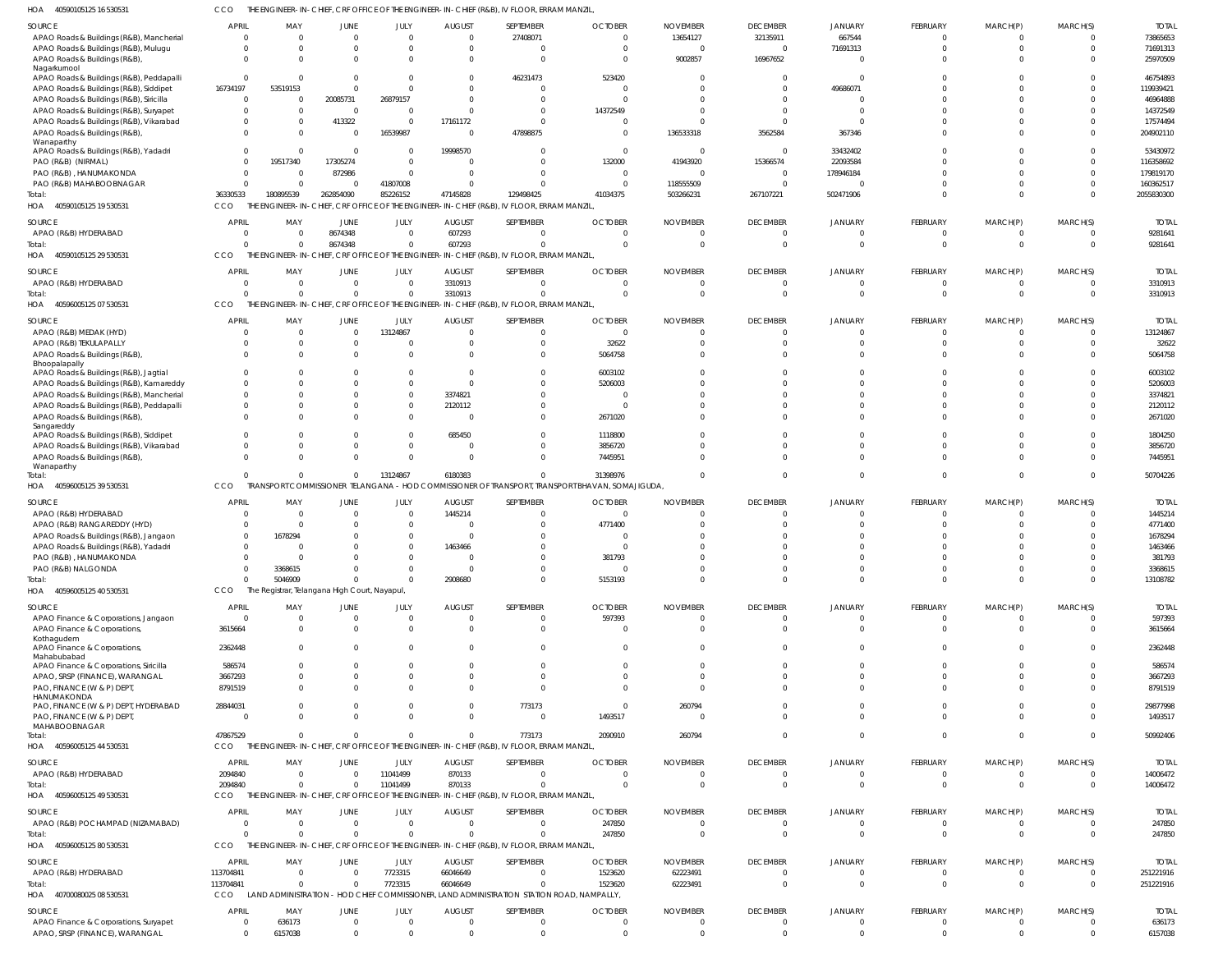40590105125 16 530531 HOA CCO THE ENGINEER-IN-CHIEF, CRF OFFICE OF THE ENGINEER-IN-CHIEF (R&B), IV FLOOR, ERRAM MANZIL,

| SOURCE<br>APAO Roads & Buildings (R&B), Mancherial<br>APAO Roads & Buildings (R&B), Mulugu | <b>APRIL</b><br>$\Omega$ | MAY<br>$\Omega$<br>$\Omega$                   | JUNE<br>$\Omega$<br>$\Omega$ | JULY<br>$\Omega$<br>$\Omega$  | <b>AUGUST</b><br>$\Omega$ | SEPTEMBER<br>27408071<br>$\Omega$                                                                     | <b>OCTOBER</b><br>$\Omega$<br>$\Omega$                                                       | <b>NOVEMBER</b><br>13654127 | <b>DECEMBER</b><br>32135911<br>$\Omega$ | <b>JANUARY</b><br>667544<br>71691313 | FEBRUARY<br>$\Omega$<br>$\Omega$ | MARCH(P)<br>$\Omega$<br>$\Omega$ | MARCH(S)<br>$\Omega$<br>$\Omega$ | <b>TOTAI</b><br>73865653<br>71691313 |
|--------------------------------------------------------------------------------------------|--------------------------|-----------------------------------------------|------------------------------|-------------------------------|---------------------------|-------------------------------------------------------------------------------------------------------|----------------------------------------------------------------------------------------------|-----------------------------|-----------------------------------------|--------------------------------------|----------------------------------|----------------------------------|----------------------------------|--------------------------------------|
| APAO Roads & Buildings (R&B),<br>Nagarkurnool                                              |                          |                                               | $\Omega$                     | $\Omega$                      |                           | $\Omega$                                                                                              | $\Omega$                                                                                     | 9002857                     | 16967652                                |                                      | $\Omega$                         | $\Omega$                         |                                  | 25970509                             |
| APAO Roads & Buildings (R&B), Peddapalli<br>APAO Roads & Buildings (R&B), Siddipet         | $\Omega$<br>16734197     | <sup>0</sup><br>53519153                      | $\Omega$<br>$\Omega$         | $\Omega$<br>$\Omega$          |                           | 46231473                                                                                              | 523420<br><sup>0</sup>                                                                       |                             | $\Omega$<br>$\Omega$                    | 49686071                             | $\Omega$<br>$\Omega$             |                                  |                                  | 46754893<br>119939421                |
| APAO Roads & Buildings (R&B), Siricilla                                                    | $\Omega$                 | <sup>0</sup>                                  | 20085731                     | 26879157                      |                           |                                                                                                       |                                                                                              |                             |                                         |                                      |                                  |                                  |                                  | 46964888                             |
| APAO Roads & Buildings (R&B), Suryapet<br>APAO Roads & Buildings (R&B), Vikarabad          |                          | <sup>0</sup><br>$\Omega$                      | $\mathbf{0}$<br>413322       | $\Omega$<br>$\Omega$          | 17161172                  |                                                                                                       | 14372549                                                                                     |                             | $\Omega$                                |                                      | $\Omega$<br>$\Omega$             |                                  |                                  | 14372549<br>17574494                 |
| APAO Roads & Buildings (R&B),                                                              |                          | <sup>0</sup>                                  | $\Omega$                     | 16539987                      |                           | 47898875                                                                                              | $\Omega$                                                                                     | 136533318                   | 3562584                                 | 367346                               | $\Omega$                         | $\Omega$                         |                                  | 204902110                            |
| Wanaparthy<br>APAO Roads & Buildings (R&B), Yadadri                                        | $\Omega$                 | <sup>0</sup>                                  | $\Omega$                     | $\Omega$                      | 19998570                  |                                                                                                       | $\Omega$                                                                                     |                             | $\Omega$                                | 33432402                             | $\Omega$                         | $\Omega$                         | $\Omega$                         | 53430972                             |
| PAO (R&B) (NIRMAL)                                                                         |                          | 19517340                                      | 17305274                     | $\Omega$                      |                           |                                                                                                       | 132000                                                                                       | 41943920                    | 15366574                                | 22093584                             |                                  |                                  |                                  | 116358692                            |
| PAO (R&B), HANUMAKONDA                                                                     | $\Omega$                 | $\Omega$                                      | 872986                       | $\Omega$                      |                           |                                                                                                       | $\Omega$                                                                                     |                             | $\Omega$                                | 178946184                            | $\Omega$                         | $\Omega$                         |                                  | 179819170                            |
| PAO (R&B) MAHABOOBNAGAR                                                                    |                          | $\Omega$                                      | $\Omega$                     | 41807008                      |                           |                                                                                                       | $\Omega$                                                                                     | 118555509                   | $\mathbf 0$                             |                                      | $\Omega$                         | $\Omega$                         |                                  | 160362517                            |
| Total:<br>40590105125 19 530531<br>HOA                                                     | 36330533<br>CCO          | 180895539<br>THE ENGINEER-IN-                 | 262854090                    | 85226152                      | 47145828                  | 129498425<br>- CHIEF, CRF OFFICE OF THE ENGINEER-IN-CHIEF (R&B), IV FLOOR, ERRAM MANZIL,              | 41034375                                                                                     | 503266231                   | 267107221                               | 502471906                            | $\Omega$                         | $\Omega$                         | $\Omega$                         | 2055830300                           |
| SOURCE                                                                                     | APRIL                    | MAY                                           | JUNE                         | JULY                          | <b>AUGUST</b>             | SEPTEMBER                                                                                             | <b>OCTOBER</b>                                                                               | <b>NOVEMBER</b>             | <b>DECEMBER</b>                         | <b>JANUARY</b>                       | FEBRUARY                         | MARCH(P)                         | MARCH(S)                         | <b>TOTAL</b>                         |
| APAO (R&B) HYDERABAD                                                                       | - 0                      | $\Omega$                                      | 8674348                      | $\overline{0}$                | 607293                    | $\Omega$                                                                                              | $\Omega$                                                                                     |                             | $\overline{0}$                          |                                      | $\overline{0}$                   | 0                                | $\Omega$                         | 9281641                              |
| Total:<br>40590105125 29 530531<br>HOA                                                     | CCO                      | $\Omega$                                      | 8674348                      | $\Omega$                      | 607293                    | $\Omega$<br>THE ENGINEER-IN-CHIEF, CRF OFFICE OF THE ENGINEER-IN-CHIEF (R&B), IV FLOOR, ERRAM MANZIL, | $\Omega$                                                                                     |                             | $\Omega$                                | $\Omega$                             | $\Omega$                         | $\Omega$                         | $\Omega$                         | 9281641                              |
| SOURCE                                                                                     | APRIL                    | MAY                                           | JUNE                         | JULY                          | <b>AUGUST</b>             | SEPTEMBER                                                                                             | <b>OCTOBER</b>                                                                               | <b>NOVEMBER</b>             | <b>DECEMBER</b>                         | <b>JANUARY</b>                       | FEBRUARY                         | MARCH(P)                         | MARCH(S)                         | <b>TOTAI</b>                         |
| APAO (R&B) HYDERABAD                                                                       |                          | $\Omega$                                      | $\Omega$                     | $\Omega$                      | 3310913                   | $\Omega$                                                                                              | $\Omega$                                                                                     |                             | $\Omega$                                |                                      | $\Omega$                         | $\Omega$                         | $\Omega$                         | 3310913                              |
| Total:                                                                                     |                          | $\Omega$                                      | $\Omega$                     | $\Omega$                      | 3310913                   | $\Omega$                                                                                              | $\Omega$                                                                                     |                             | $\Omega$                                |                                      | $\Omega$                         | $\Omega$                         | $\Omega$                         | 3310913                              |
| HOA 40596005125 07 530531                                                                  | CCO                      |                                               |                              |                               |                           | THE ENGINEER-IN-CHIEF, CRF OFFICE OF THE ENGINEER-IN-CHIEF (R&B), IV FLOOR, ERRAM MANZIL,             |                                                                                              |                             |                                         |                                      |                                  |                                  |                                  |                                      |
| SOURCE                                                                                     | <b>APRIL</b>             | MAY                                           | JUNE                         | JULY                          | <b>AUGUST</b>             | SEPTEMBER                                                                                             | <b>OCTOBER</b>                                                                               | <b>NOVEMBER</b>             | <b>DECEMBER</b>                         | JANUARY                              | FEBRUARY                         | MARCH(P)                         | MARCH(S)                         | <b>TOTAI</b>                         |
| APAO (R&B) MEDAK (HYD)<br>APAO (R&B) TEKULAPALLY                                           | - 0                      | $\Omega$<br>$\Omega$                          | $\mathbf{0}$<br>$\Omega$     | 13124867<br>0                 | $\Omega$                  | $\Omega$<br>$\Omega$                                                                                  | $\Omega$<br>32622                                                                            |                             | $\Omega$<br>$\Omega$                    |                                      | $\overline{0}$<br>$\Omega$       | $\Omega$<br>$\Omega$             | $\Omega$<br>$\Omega$             | 13124867<br>32622                    |
| APAO Roads & Buildings (R&B),                                                              |                          | $\Omega$                                      | $\Omega$                     | $\Omega$                      |                           | $\Omega$                                                                                              | 5064758                                                                                      |                             | $\Omega$                                |                                      | $\Omega$                         | $\Omega$                         |                                  | 5064758                              |
| Bhoopalapally                                                                              |                          |                                               |                              |                               |                           |                                                                                                       |                                                                                              |                             |                                         |                                      |                                  |                                  |                                  |                                      |
| APAO Roads & Buildings (R&B), Jagtial<br>APAO Roads & Buildings (R&B), Kamareddy           |                          | $\Omega$<br>$\Omega$                          | $\Omega$<br>$\Omega$         | $\Omega$<br>$\Omega$          |                           | $\Omega$<br>$\Omega$                                                                                  | 6003102<br>5206003                                                                           |                             | $\Omega$<br>$\Omega$                    |                                      | $\Omega$<br>$\Omega$             |                                  |                                  | 6003102<br>5206003                   |
| APAO Roads & Buildings (R&B), Mancherial                                                   |                          | $\Omega$                                      | $\Omega$                     | $\Omega$                      | 3374821                   | $\Omega$                                                                                              | $\Omega$                                                                                     |                             | $\Omega$                                |                                      | $\Omega$                         |                                  |                                  | 3374821                              |
| APAO Roads & Buildings (R&B), Peddapalli                                                   |                          | $\Omega$                                      | $\Omega$                     | $\mathbf 0$                   | 2120112                   | $\Omega$                                                                                              | $\Omega$                                                                                     |                             | $\Omega$                                |                                      | $\Omega$                         | $\Omega$                         | $\Omega$                         | 2120112                              |
| APAO Roads & Buildings (R&B),<br>Sangareddy                                                |                          | <sup>0</sup>                                  | $\Omega$                     | $\Omega$                      |                           |                                                                                                       | 2671020                                                                                      |                             | $\Omega$                                |                                      | $\Omega$                         | $\Omega$                         |                                  | 2671020                              |
| APAO Roads & Buildings (R&B), Siddipet                                                     |                          | $\Omega$                                      | $\Omega$                     | $\mathbf 0$                   | 685450                    | - 0                                                                                                   | 1118800                                                                                      |                             | $\Omega$                                |                                      | $\Omega$                         | $\Omega$                         | $\Omega$                         | 1804250                              |
| APAO Roads & Buildings (R&B), Vikarabad                                                    |                          | $\Omega$                                      | $\Omega$                     | $\mathbf 0$                   | $\Omega$                  | $\Omega$                                                                                              | 3856720                                                                                      |                             | $\Omega$                                |                                      | $\Omega$                         | $\Omega$                         | $\Omega$                         | 3856720                              |
| APAO Roads & Buildings (R&B),<br>Wanaparthy                                                | $\Omega$                 | $\Omega$                                      | $\Omega$                     | $\Omega$                      |                           | $\Omega$                                                                                              | 7445951                                                                                      |                             | $\Omega$                                |                                      | $\Omega$                         | $\Omega$                         | $\Omega$                         | 7445951                              |
| Total:                                                                                     |                          | $\Omega$                                      | $\Omega$                     | 13124867                      | 6180383                   | $\Omega$                                                                                              | 31398976                                                                                     |                             | $\Omega$                                | $\Omega$                             | $\Omega$                         | $\Omega$                         | $\Omega$                         | 50704226                             |
| HOA<br>40596005125 39 530531                                                               | CCO                      | <b>TRAI</b>                                   |                              |                               |                           |                                                                                                       | ISPORT COMMISSIONER TELANGANA – HOD COMMISSIONER OF TRANSPORT, TRANSPORT BHAVAN, SOMAJIGUDA, |                             |                                         |                                      |                                  |                                  |                                  |                                      |
| SOURCE                                                                                     | <b>APRIL</b>             | MAY                                           | <b>JUNE</b>                  | JULY                          | <b>AUGUST</b>             | SEPTEMBER                                                                                             | <b>OCTOBER</b>                                                                               | <b>NOVEMBER</b>             | <b>DECEMBER</b>                         | <b>JANUARY</b>                       | FEBRUARY                         | MARCH(P)                         | MARCH(S)                         | <b>TOTAI</b>                         |
| APAO (R&B) HYDERABAD<br>APAO (R&B) RANGAREDDY (HYD)                                        |                          | $\Omega$                                      | $\Omega$<br>$\Omega$         | $\Omega$<br>$\Omega$          | 1445214                   |                                                                                                       | $\Omega$<br>4771400                                                                          |                             | $\Omega$<br>$\Omega$                    |                                      | $\Omega$<br>$\Omega$             | $\Omega$                         | $\Omega$                         | 1445214<br>4771400                   |
| APAO Roads & Buildings (R&B), Jangaon                                                      |                          | 1678294                                       |                              | $\Omega$                      |                           |                                                                                                       |                                                                                              |                             |                                         |                                      | $\sqrt{ }$                       |                                  |                                  | 1678294                              |
| APAO Roads & Buildings (R&B), Yadadri                                                      |                          |                                               | $\Omega$                     | $\Omega$                      | 1463466                   |                                                                                                       |                                                                                              |                             |                                         |                                      | $\Omega$                         |                                  |                                  | 1463466                              |
| PAO (R&B), HANUMAKONDA                                                                     |                          | <sup>0</sup>                                  | $\Omega$                     | $\Omega$                      |                           | $\Omega$                                                                                              | 381793                                                                                       |                             | $\Omega$                                |                                      | $\Omega$                         |                                  | $\Omega$                         | 381793                               |
| PAO (R&B) NALGONDA<br>Total:                                                               |                          | 3368615<br>5046909                            | $\Omega$<br>$\Omega$         | $\Omega$<br>$\Omega$          | 2908680                   | $\Omega$<br>$\Omega$                                                                                  | $\Omega$<br>5153193                                                                          | $\Omega$                    | $\mathbf{0}$<br>$\Omega$                | $\Omega$<br>$\Omega$                 | $^{\circ}$<br>$\Omega$           | $\Omega$<br>$\Omega$             | $\Omega$<br>$\Omega$             | 3368615<br>13108782                  |
| HOA 40596005125 40 530531                                                                  | CCO                      | The Registrar, Telangana High Court, Nayapul, |                              |                               |                           |                                                                                                       |                                                                                              |                             |                                         |                                      |                                  |                                  |                                  |                                      |
| SOURCE                                                                                     | APRIL                    | MAY                                           | JUNE                         | JULY                          | <b>AUGUST</b>             | SEPTEMBER                                                                                             | <b>OCTOBER</b>                                                                               | <b>NOVEMBER</b>             | <b>DECEMBER</b>                         | JANUARY                              | FEBRUARY                         | MARCH(P)                         | MARCH(S)                         | <b>TOTAL</b>                         |
| APAO Finance & Corporations, Jangaon                                                       | $\Omega$                 | $\Omega$                                      | $\mathbf{0}$                 | $\mathbf{0}$                  | $\Omega$                  | $\Omega$                                                                                              | 597393                                                                                       |                             | $\overline{0}$                          | 0                                    | $\mathbf{0}$                     | 0                                | $\Omega$                         | 597393                               |
| APAO Finance & Corporations,                                                               | 3615664                  | $\Omega$                                      | $\Omega$                     | $\mathbf{0}$                  | $\Omega$                  | $\Omega$                                                                                              | $\mathbf{0}$                                                                                 |                             | $\overline{0}$                          | $\Omega$                             | $\mathbf{0}$                     | $\mathbf 0$                      | $\Omega$                         | 3615664                              |
| Kothagudem<br>APAO Finance & Corporations,                                                 | 2362448                  | $\Omega$                                      | $\Omega$                     | $\Omega$                      | 0                         | $\Omega$                                                                                              | $\Omega$                                                                                     |                             | $\Omega$                                | U                                    | $\mathbf{0}$                     | $\Omega$                         | $\Omega$                         | 2362448                              |
| Mahabubabad                                                                                | 586574                   | $\Omega$                                      | $\Omega$                     | $\Omega$                      |                           | $\Omega$                                                                                              | $\Omega$                                                                                     |                             | $\Omega$                                |                                      | $\Omega$                         | $\Omega$                         | $\Omega$                         | 586574                               |
| APAO Finance & Corporations, Siricilla<br>APAO, SRSP (FINANCE), WARANGAL                   | 3667293                  | $\Omega$                                      | $\Omega$                     | $\Omega$                      |                           | $\Omega$                                                                                              | $\Omega$                                                                                     |                             | $\Omega$                                |                                      | $\mathbf 0$                      | $\Omega$                         | $\Omega$                         | 3667293                              |
| PAO, FINANCE (W & P) DEPT,                                                                 | 8791519                  | $\Omega$                                      | $\Omega$                     | $\Omega$                      |                           | $\Omega$                                                                                              | $\Omega$                                                                                     |                             | $\Omega$                                |                                      | $\Omega$                         | $\Omega$                         | $\Omega$                         | 8791519                              |
| HANUMAKONDA<br>PAO, FINANCE (W & P) DEPT, HYDERABAD                                        | 28844031                 | 0                                             | $\mathbf{0}$                 | $^{\circ}$                    | $\Omega$                  | 773173                                                                                                | $\overline{0}$                                                                               | 260794                      | $\Omega$                                |                                      | $^{\circ}$                       | 0                                | $\Omega$                         | 29877998                             |
| PAO, FINANCE (W & P) DEPT,                                                                 |                          | $\Omega$                                      | $\Omega$                     | $\Omega$                      | $\Omega$                  | $\Omega$                                                                                              | 1493517                                                                                      |                             | $\Omega$                                | $\Omega$                             | $\mathbf{0}$                     | $\Omega$                         | $\Omega$                         | 1493517                              |
| MAHABOOBNAGAR<br>Total:                                                                    | 47867529                 | $\Omega$                                      | $\Omega$                     | $\Omega$                      | $\Omega$                  | 773173                                                                                                | 2090910                                                                                      | 260794                      | $\Omega$                                | $\Omega$                             | $\mathbf 0$                      | $\mathbf{0}$                     | $\Omega$                         | 50992406                             |
| HOA 40596005125 44 530531                                                                  | CCO                      |                                               |                              |                               |                           | THE ENGINEER-IN-CHIEF, CRF OFFICE OF THE ENGINEER-IN-CHIEF (R&B), IV FLOOR, ERRAM MANZIL,             |                                                                                              |                             |                                         |                                      |                                  |                                  |                                  |                                      |
| SOURCE                                                                                     | APRIL                    | MAY                                           | <b>JUNE</b>                  | JULY                          | <b>AUGUST</b>             | SEPTEMBER                                                                                             | <b>OCTOBER</b>                                                                               | <b>NOVEMBER</b>             | <b>DECEMBER</b>                         | <b>JANUARY</b>                       | FEBRUARY                         | MARCH(P)                         | MARCH(S)                         | <b>TOTAL</b>                         |
| APAO (R&B) HYDERABAD                                                                       | 2094840                  | $\Omega$                                      | $\mathbf{0}$                 | 11041499                      | 870133                    | $\Omega$                                                                                              | $\Omega$                                                                                     |                             | $\mathbf{0}$                            | 0                                    | 0                                | 0                                | $\Omega$                         | 14006472                             |
| Total:                                                                                     | 2094840                  | $\Omega$                                      | $\mathbf 0$                  | 11041499                      | 870133                    | $\Omega$                                                                                              | $\Omega$                                                                                     |                             | $\overline{0}$                          | $\Omega$                             | $\mathbf{0}$                     | $\mathbf 0$                      | $\overline{0}$                   | 14006472                             |
| HOA 40596005125 49 530531                                                                  | CCO                      |                                               |                              |                               |                           | THE ENGINEER-IN-CHIEF, CRF OFFICE OF THE ENGINEER-IN-CHIEF (R&B), IV FLOOR, ERRAM MANZIL,             |                                                                                              |                             |                                         |                                      |                                  |                                  |                                  |                                      |
| SOURCE                                                                                     | <b>APRIL</b>             | MAY                                           | <b>JUNE</b>                  | JULY                          | <b>AUGUST</b>             | SEPTEMBER                                                                                             | <b>OCTOBER</b>                                                                               | <b>NOVEMBER</b>             | <b>DECEMBER</b>                         | JANUARY                              | FEBRUARY                         | MARCH(P)                         | MARCH(S)                         | <b>TOTAL</b>                         |
| APAO (R&B) POCHAMPAD (NIZAMABAD)                                                           | $\Omega$                 | $\Omega$                                      | $\overline{0}$               | $\mathbf{0}$                  | $\Omega$                  | $\mathbf 0$                                                                                           | 247850                                                                                       |                             | $\overline{0}$                          | $\Omega$                             | $\mathbf{0}$                     | 0                                | $\Omega$                         | 247850                               |
| Total:<br>HOA<br>40596005125 80 530531                                                     | CCO                      | $\Omega$                                      | $\mathbf 0$                  | $\overline{0}$                | $\Omega$                  | $\Omega$<br>THE ENGINEER-IN-CHIEF, CRF OFFICE OF THE ENGINEER-IN-CHIEF (R&B), IV FLOOR, ERRAM MANZIL, | 247850                                                                                       |                             | $\overline{0}$                          | $\Omega$                             | $\mathbf{0}$                     | $\mathbf{0}$                     | $\overline{0}$                   | 247850                               |
| SOURCE                                                                                     | <b>APRIL</b>             | MAY                                           | JUNE                         | JULY                          | <b>AUGUST</b>             | SEPTEMBER                                                                                             | <b>OCTOBER</b>                                                                               | <b>NOVEMBER</b>             | <b>DECEMBER</b>                         | <b>JANUARY</b>                       | FEBRUARY                         | MARCH(P)                         |                                  | <b>TOTAI</b>                         |
| APAO (R&B) HYDERABAD                                                                       | 113704841                | $\Omega$                                      | $\mathbf 0$                  | 7723315                       | 66046649                  | $\Omega$                                                                                              | 1523620                                                                                      | 62223491                    | $\overline{0}$                          | $\Omega$                             | $\overline{0}$                   | 0                                | MARCH(S)<br>$\overline{0}$       | 251221916                            |
| Total:                                                                                     | 113704841                | $\overline{0}$                                | $\mathbf 0$                  | 7723315                       | 66046649                  | $\Omega$                                                                                              | 1523620                                                                                      | 62223491                    | $\overline{0}$                          | $\Omega$                             | $\mathbf{0}$                     | $\mathbf{0}$                     | $\overline{0}$                   | 251221916                            |
| HOA 40700080025 08 530531                                                                  |                          |                                               |                              |                               |                           |                                                                                                       |                                                                                              |                             |                                         |                                      |                                  |                                  |                                  |                                      |
|                                                                                            | CCO                      | LAND ADMINISTRATION                           |                              |                               |                           | - HOD CHIEF COMMISSIONER, LAND ADMINISTRATION STATION ROAD, NAMPALLY,                                 |                                                                                              |                             |                                         |                                      |                                  |                                  |                                  |                                      |
| SOURCE                                                                                     | <b>APRIL</b>             | MAY                                           | <b>JUNE</b>                  | JULY                          | <b>AUGUST</b>             | SEPTEMBER                                                                                             | <b>OCTOBER</b>                                                                               | <b>NOVEMBER</b>             | <b>DECEMBER</b>                         | <b>JANUARY</b>                       | FEBRUARY                         | MARCH(P)                         | MARCH(S)                         | <b>TOTAL</b>                         |
| APAO Finance & Corporations, Suryapet<br>APAO, SRSP (FINANCE), WARANGAL                    | $\Omega$                 | 636173<br>6157038                             | $\mathbf{0}$<br>$\mathbf 0$  | $\overline{0}$<br>$\mathbf 0$ | 0<br>$\Omega$             | $\mathbf{0}$<br>$\Omega$                                                                              | $\overline{0}$<br>$\Omega$                                                                   |                             | $\overline{0}$<br>$\overline{0}$        | 0<br>$\Omega$                        | $^{\circ}$<br>$\mathbf 0$        | 0<br>$\mathbf{0}$                | $\overline{0}$<br>$\overline{0}$ | 636173<br>6157038                    |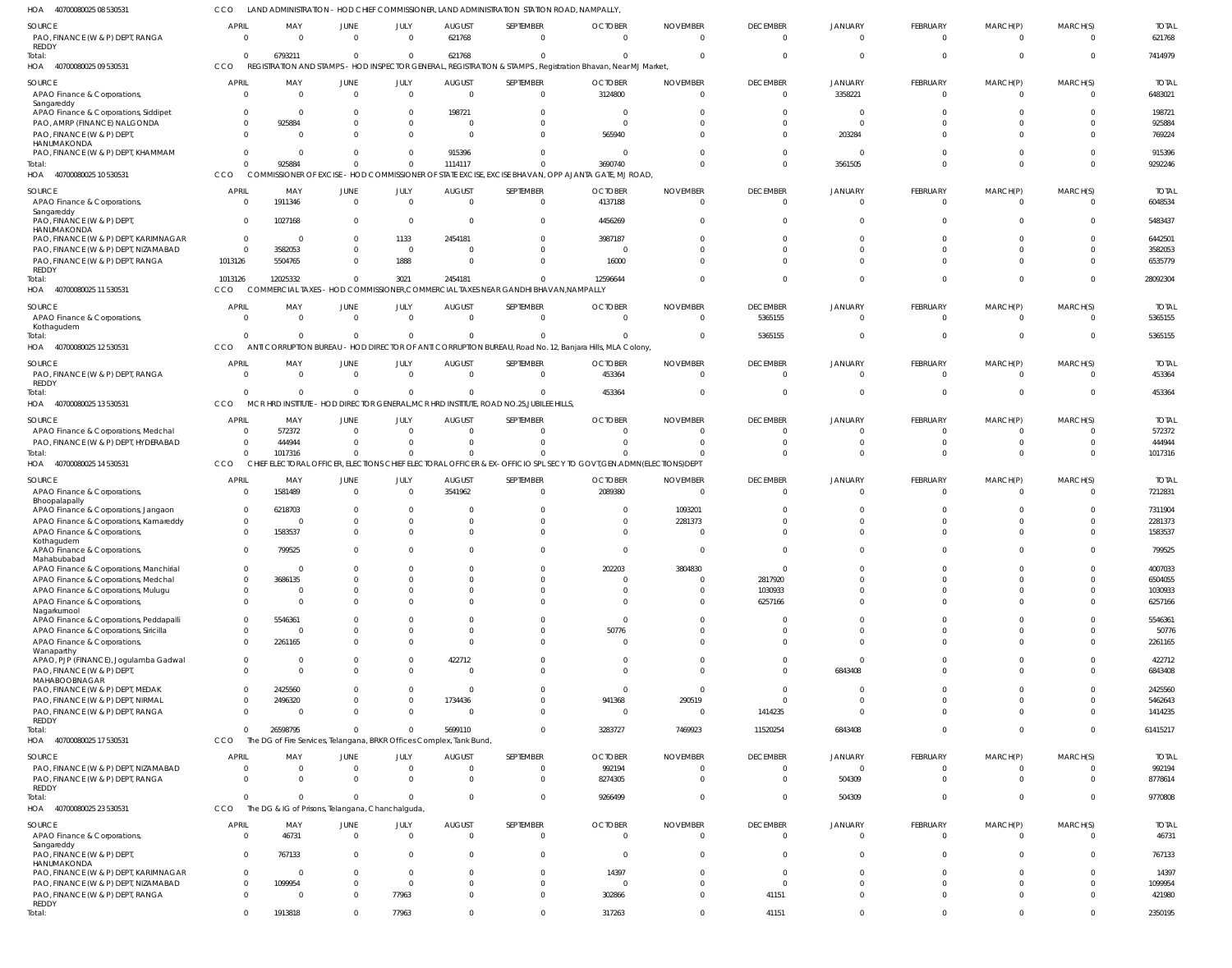LAND ADMINISTRATION - HOD CHIEF COMMISSIONER, LAND ADMINISTRATION STATION ROAD, NAMPALLY, CCO

| HOA<br>40700080025 08 53053                                                          |                                  |                      | LAND ADMINISTRATION - HOD CHIEF                              |                               |                                                                      |                                                                                               | COMMISSIONER, LAND ADMINISTRATION STATION ROAD, NAMPALLY                                                              |                                   |                             |                            |                         |                           |                      |                         |
|--------------------------------------------------------------------------------------|----------------------------------|----------------------|--------------------------------------------------------------|-------------------------------|----------------------------------------------------------------------|-----------------------------------------------------------------------------------------------|-----------------------------------------------------------------------------------------------------------------------|-----------------------------------|-----------------------------|----------------------------|-------------------------|---------------------------|----------------------|-------------------------|
| SOURCE<br>PAO, FINANCE (W & P) DEPT, RANGA<br>REDDY                                  | <b>APRIL</b><br>$\Omega$         | MAY<br>$\Omega$      | JUNE<br>$\cap$                                               | JULY<br>$\Omega$              | <b>AUGUST</b><br>621768                                              | SEPTEMBER<br>$\mathbf{0}$                                                                     | <b>OCTOBER</b><br>$\Omega$                                                                                            | <b>NOVEMBER</b><br>$\Omega$       | <b>DECEMBER</b><br>$\Omega$ | <b>JANUARY</b><br>$\Omega$ | FEBRUARY<br>$\Omega$    | MARCH(P)<br>$\Omega$      | MARCH(S)             | <b>TOTAL</b><br>621768  |
| Total:<br>40700080025 09 530531<br>HOA                                               | $\Omega$<br>CCO                  | 6793211              | $\Omega$                                                     | $\mathbf 0$                   | 621768                                                               | $\Omega$                                                                                      | REGISTRATION AND STAMPS - HOD INSPECTOR GENERAL, REGISTRATION & STAMPS, Registration Bhavan, Near MJ Market,          | $\Omega$                          | $\Omega$                    | $\cap$                     |                         | $\Omega$                  | $\Omega$             | 7414979                 |
|                                                                                      |                                  |                      |                                                              |                               |                                                                      |                                                                                               |                                                                                                                       |                                   |                             |                            |                         |                           |                      |                         |
| SOURCE<br>APAO Finance & Corporations,<br>Sangareddy                                 | <b>APRIL</b><br>$\overline{0}$   | MAY<br>$\Omega$      | JUNE<br>$\Omega$                                             | JULY<br>$\overline{0}$        | <b>AUGUST</b><br>$\Omega$                                            | SEPTEMBER<br>$\overline{0}$                                                                   | <b>OCTOBER</b><br>3124800                                                                                             | <b>NOVEMBER</b><br>$\overline{0}$ | <b>DECEMBER</b><br>$\Omega$ | <b>JANUARY</b><br>3358221  | FEBRUARY<br>$\mathbf 0$ | MARCH(P)<br>$^{\circ}$    | MARCH(S)<br>$\Omega$ | <b>TOTAL</b><br>6483021 |
| APAO Finance & Corporations, Siddipet<br>PAO, AMRP (FINANCE) NALGONDA                | $\overline{0}$<br>$\Omega$       | -0<br>925884         |                                                              | 0<br>$\Omega$                 | 198721<br>$\Omega$                                                   | $\mathbf{0}$<br>$\Omega$                                                                      | - 0<br>$\overline{0}$                                                                                                 | 0<br>$\Omega$                     | $\Omega$                    | $\Omega$<br>$\Omega$       |                         |                           | $\Omega$<br>$\Omega$ | 198721<br>925884        |
| PAO, FINANCE (W & P) DEPT,<br>HANUMAKONDA                                            | $\Omega$                         |                      |                                                              | $\Omega$                      | $\sqrt{ }$                                                           | $\Omega$                                                                                      | 565940                                                                                                                | $\Omega$                          | $\Omega$                    | 203284                     |                         |                           | $\Omega$             | 769224                  |
| PAO, FINANCE (W & P) DEPT, KHAMMAM                                                   | $\Omega$                         | -0                   |                                                              | $\Omega$                      | 915396                                                               | $\Omega$<br>$\Omega$                                                                          | - 0                                                                                                                   | $\Omega$                          |                             | $\Omega$                   |                         |                           | $\Omega$             | 915396                  |
| Total:<br>HOA 40700080025 10 530531                                                  | $\Omega$<br>CCO                  | 925884               | $\Omega$                                                     | $\Omega$                      | 1114117                                                              |                                                                                               | 3690740<br>COMMISSIONER OF EXCISE - HOD COMMISSIONER OF STATE EXCISE, EXCISE BHAVAN, OPP AJANTA GATE, MJ ROAD,        | $\Omega$                          | $\Omega$                    | 3561505                    |                         | $\Omega$                  | $\Omega$             | 9292246                 |
| SOURCE<br>APAO Finance & Corporations,                                               | <b>APRIL</b><br>- 0              | MAY<br>1911346       | JUNE<br>$\Omega$                                             | JULY<br>$\Omega$              | <b>AUGUST</b><br>$\Omega$                                            | SEPTEMBER<br>$\mathbf{0}$                                                                     | <b>OCTOBER</b><br>4137188                                                                                             | <b>NOVEMBER</b><br>$\overline{0}$ | <b>DECEMBER</b><br>$\Omega$ | <b>JANUARY</b><br>$\Omega$ | FEBRUARY<br>0           | MARCH(P)<br>$\Omega$      | MARCH(S)<br>$\Omega$ | <b>TOTAL</b><br>6048534 |
| Sangareddy<br>PAO, FINANCE (W & P) DEPT,<br>HANUMAKONDA                              | $\Omega$                         | 1027168              | $\Omega$                                                     | $\Omega$                      | $\Omega$                                                             | $\mathbf{0}$                                                                                  | 4456269                                                                                                               | $\Omega$                          | $\Omega$                    |                            |                         |                           |                      | 5483437                 |
| PAO, FINANCE (W & P) DEPT, KARIMNAGAR                                                | $\overline{0}$                   | - 0                  | $\Omega$                                                     | 1133                          | 2454181                                                              | $\Omega$                                                                                      | 3987187                                                                                                               | $\Omega$                          | $\Omega$                    |                            |                         |                           | $\Omega$             | 6442501                 |
| PAO, FINANCE (W & P) DEPT, NIZAMABAD<br>PAO, FINANCE (W & P) DEPT, RANGA             | $\overline{0}$<br>1013126        | 3582053<br>5504765   |                                                              | $\overline{0}$<br>1888        | $\Omega$<br>$\cap$                                                   | $\Omega$<br>$\Omega$                                                                          | $\overline{0}$<br>16000                                                                                               | $\Omega$<br>$\Omega$              | $\Omega$<br>$\Omega$        | $\Omega$                   |                         |                           | $\Omega$             | 3582053<br>6535779      |
| REDDY<br>Total:                                                                      | 1013126                          | 12025332             | $\Omega$                                                     | 3021                          | 2454181                                                              | $\Omega$                                                                                      | 12596644                                                                                                              | $\Omega$                          | $\Omega$                    | $\cap$                     |                         | $\Omega$                  | $\Omega$             | 28092304                |
| HOA 40700080025 11 530531                                                            | CCO                              |                      |                                                              |                               |                                                                      | COMMERCIAL TAXES - HOD COMMISSIONER, COMMERCIAL TAXES NEAR GANDHI BHAVAN, NAMPALLY            |                                                                                                                       |                                   |                             |                            |                         |                           |                      |                         |
| SOURCE<br>APAO Finance & Corporations,                                               | <b>APRIL</b><br>$\Omega$         | MAY<br>$\Omega$      | JUNE<br>$\Omega$                                             | JULY<br>$\Omega$              | <b>AUGUST</b><br>$\Omega$                                            | SEPTEMBER<br>$\mathbf{0}$                                                                     | <b>OCTOBER</b><br>$\Omega$                                                                                            | <b>NOVEMBER</b><br>$\Omega$       | <b>DECEMBER</b><br>5365155  | <b>JANUARY</b><br>$\cap$   | FEBRUARY<br>0           | MARCH(P)<br>$\Omega$      | MARCH(S)<br>- 0      | <b>TOTAL</b><br>5365155 |
| Kothagudem<br>Total:                                                                 | $\Omega$                         | $\Omega$             | $\Omega$                                                     | $\mathbf 0$                   | $\Omega$                                                             | $\mathbf{0}$                                                                                  | -0                                                                                                                    | $\overline{0}$                    | 5365155                     | $\cap$                     | 0                       | $\Omega$                  | $\Omega$             | 5365155                 |
| HOA 40700080025 12 530531<br>SOURCE                                                  | CCO<br><b>APRIL</b>              | ANT<br>MAY           | JUNE                                                         | JULY                          | <b>AUGUST</b>                                                        | SEPTEMBER                                                                                     | CORRUPTION BUREAU - HOD DIRECTOR OF ANTI CORRUPTION BUREAU, Road No. 12, Banjara Hills, MLA Colony,<br><b>OCTOBER</b> | <b>NOVEMBER</b>                   | <b>DECEMBER</b>             | <b>JANUARY</b>             | FEBRUARY                | MARCH(P)                  | MARCH(S)             | <b>TOTAL</b>            |
| PAO, FINANCE (W & P) DEPT, RANGA<br>REDDY                                            | $\Omega$                         | $\Omega$             | $\Omega$                                                     | $\Omega$                      | $\Omega$                                                             | $\mathbf{0}$                                                                                  | 453364                                                                                                                | $\Omega$                          | $\Omega$                    |                            | $\Omega$                | $\Omega$                  |                      | 453364                  |
| Total:<br>40700080025 13 530531<br>HOA                                               | $\Omega$<br>CCO                  | <b>MCR</b>           | $\Omega$                                                     | $\Omega$                      |                                                                      | $\Omega$<br>hrd institute - hod director general,MCR hrd institute, ROAD NO.25,JUBILEE HILLS, | 453364                                                                                                                | $\Omega$                          | $\Omega$                    | $\Omega$                   | $\Omega$                | $\Omega$                  | $\Omega$             | 453364                  |
| SOURCE                                                                               | <b>APRIL</b>                     | MAY                  | JUNE                                                         | JULY                          | <b>AUGUST</b>                                                        | SEPTEMBER                                                                                     | <b>OCTOBER</b>                                                                                                        | <b>NOVEMBER</b>                   | <b>DECEMBER</b>             | JANUARY                    | FEBRUARY                | MARCH(P)                  | MARCH(S)             | <b>TOTAL</b>            |
| APAO Finance & Corporations, Medchal                                                 | $\overline{0}$                   | 572372               |                                                              | $\Omega$                      | $\Omega$                                                             | $\mathbf{0}$                                                                                  | $\Omega$                                                                                                              | - 0                               | $\Omega$                    |                            |                         | $\Omega$                  | $\Omega$             | 572372                  |
| PAO, FINANCE (W & P) DEPT, HYDERABAD                                                 | $\overline{0}$                   | 444944               | $\Omega$                                                     | 0                             |                                                                      | $\mathbf{0}$                                                                                  | - 0                                                                                                                   | $\Omega$                          | $\Omega$                    | - 0                        |                         |                           | $\Omega$             | 444944                  |
| Total:<br>HOA 40700080025 14 530531                                                  | $\Omega$<br>CCO                  | 1017316              | $\Omega$                                                     | $\mathbf 0$                   |                                                                      | $\mathbf{0}$                                                                                  | CHIEF ELECTORAL OFFICER, ELECTIONS CHIEF ELECTORAL OFFICER & EX-OFFICIO SPL SECY TO GOVT, GEN.ADMN(ELECTIONS) DEPT    | 0                                 | $\Omega$                    | $\cap$                     | $\Omega$                |                           | $\Omega$             | 1017316                 |
| SOURCE                                                                               | <b>APRIL</b>                     | MAY                  | JUNE                                                         | JULY                          | <b>AUGUST</b>                                                        | SEPTEMBER                                                                                     | <b>OCTOBER</b>                                                                                                        | <b>NOVEMBER</b>                   | <b>DECEMBER</b>             | <b>JANUARY</b>             | FEBRUARY                | MARCH(P)                  | MARCH(S)             | <b>TOTAL</b>            |
| APAO Finance & Corporations,<br>Bhoopalapally                                        | $\Omega$                         | 1581489              | $\Omega$                                                     | $\Omega$                      | 3541962                                                              | $\Omega$                                                                                      | 2089380                                                                                                               | $\Omega$                          | $\Omega$                    |                            | U                       | $\Omega$                  |                      | 7212831                 |
| APAO Finance & Corporations, Jangaon                                                 | $\overline{0}$<br>$\overline{0}$ | 6218703              |                                                              | $\Omega$<br>$\Omega$          |                                                                      | $\Omega$<br>$\Omega$                                                                          | $\Omega$<br>$^{\circ}$                                                                                                | 1093201                           | $\Omega$                    |                            |                         |                           |                      | 7311904                 |
| APAO Finance & Corporations, Kamareddy<br>APAO Finance & Corporations,<br>Kothagudem | $\Omega$                         | 1583537              |                                                              |                               |                                                                      | $\Omega$                                                                                      | $\Omega$                                                                                                              | 2281373<br>$\Omega$               | $\Omega$                    |                            |                         |                           |                      | 2281373<br>1583537      |
| APAO Finance & Corporations<br>Mahabubabad                                           | $\Omega$                         | 799525               | $\Omega$                                                     |                               |                                                                      |                                                                                               |                                                                                                                       | $\Omega$                          |                             |                            |                         |                           |                      | 799525                  |
| APAO Finance & Corporations, Manchirial<br>APAO Finance & Corporations, Medchal      | $\overline{0}$<br>$\overline{0}$ | $\Omega$<br>3686135  |                                                              | $\Omega$                      |                                                                      | $\Omega$<br>$\Omega$                                                                          | 202203<br>$\overline{0}$                                                                                              | 3804830<br>$\Omega$               | $\Omega$<br>2817920         | $\Omega$                   | $\Omega$                | $\Omega$                  |                      | 4007033<br>6504055      |
| APAO Finance & Corporations, Mulugu                                                  | $\mathbf 0$                      | -0                   |                                                              | $\Omega$                      |                                                                      | $\Omega$                                                                                      | $\Omega$                                                                                                              | $\Omega$                          | 1030933                     | $\Omega$                   | $\Omega$                | $\Omega$                  |                      | 1030933                 |
| APAO Finance & Corporations,<br>Nagarkurnool                                         | $\Omega$                         | $\Omega$             |                                                              |                               |                                                                      | $\Omega$                                                                                      | $\Omega$                                                                                                              | $\Omega$                          | 6257166                     | $\Omega$                   | $\Omega$                | $\Omega$                  |                      | 6257166                 |
| APAO Finance & Corporations, Peddapalli                                              | $\mathbf 0$                      | 5546361              |                                                              |                               |                                                                      | $\Omega$                                                                                      | $\Omega$                                                                                                              | $\Omega$                          | $\Omega$                    | $\Omega$                   |                         | $\Omega$                  |                      | 5546361                 |
| APAO Finance & Corporations, Siricilla<br>APAO Finance & Corporations,               | $\overline{0}$<br>$\Omega$       | - 0<br>2261165       | $\Omega$                                                     | <sup>0</sup><br>$\Omega$      | $\Omega$                                                             | $\Omega$<br>$\Omega$                                                                          | 50776<br>$\Omega$                                                                                                     | $\Omega$<br>$\Omega$              | $\Omega$<br>$\Omega$        | $\Omega$<br>$\Omega$       | $\Omega$                | U<br>$\Omega$             | $\Omega$             | 50776<br>2261165        |
| Wanaparthy<br>APAO, PJP (FINANCE), Jogulamba Gadwal<br>PAO, FINANCE (W & P) DEPT,    | $\overline{0}$<br>$\Omega$       | $\Omega$             | $\Omega$                                                     | $\Omega$<br>$\Omega$          | 422712<br>$\Omega$                                                   | $\Omega$<br>$\Omega$                                                                          | - 0<br>$\Omega$                                                                                                       | $\Omega$<br>$\Omega$              | $\Omega$<br>$\Omega$        | $\Omega$<br>6843408        |                         | $\Omega$<br>$\Omega$      | $\Omega$             | 422712<br>6843408       |
| MAHABOOBNAGAR<br>PAO, FINANCE (W & P) DEPT, MEDAK                                    | $\overline{0}$                   | 2425560              |                                                              | $\Omega$                      | $\Omega$                                                             | $\Omega$                                                                                      | $\overline{0}$                                                                                                        | $\Omega$                          | $\Omega$                    | $\Omega$                   |                         |                           |                      | 2425560                 |
| PAO, FINANCE (W & P) DEPT, NIRMAL                                                    | $\Omega$                         | 2496320              | $\Omega$                                                     | $\Omega$                      | 1734436                                                              | $\Omega$                                                                                      | 941368                                                                                                                | 290519                            | $\Omega$                    | $\Omega$                   |                         | $\Omega$                  |                      | 5462643                 |
| PAO, FINANCE (W & P) DEPT, RANGA<br>REDDY<br>Total:                                  | $\Omega$<br>$\Omega$             | $\Omega$<br>26598795 | $\Omega$<br>$\Omega$                                         | $\Omega$<br>$\Omega$          | $\Omega$<br>5699110                                                  | $\Omega$<br>$\Omega$                                                                          | $\overline{0}$<br>3283727                                                                                             | $\Omega$<br>7469923               | 1414235<br>11520254         | $\Omega$<br>6843408        | U<br>$\Omega$           | $\Omega$<br>$\Omega$      | $\Omega$<br>$\Omega$ | 1414235<br>61415217     |
| HOA 40700080025 17 530531                                                            | CCO                              |                      |                                                              |                               | The DG of Fire Services, Telangana, BRKR Offices Complex, Tank Bund, |                                                                                               |                                                                                                                       |                                   |                             |                            |                         |                           |                      |                         |
| SOURCE                                                                               | <b>APRIL</b>                     | MAY                  | JUNE                                                         | JULY                          | <b>AUGUST</b>                                                        | SEPTEMBER                                                                                     | <b>OCTOBER</b>                                                                                                        | <b>NOVEMBER</b>                   | <b>DECEMBER</b>             | <b>JANUARY</b>             | FEBRUARY                | MARCH(P)                  | MARCH(S)             | <b>TOTAL</b>            |
| PAO, FINANCE (W & P) DEPT, NIZAMABAD<br>PAO, FINANCE (W & P) DEPT, RANGA             | $\overline{0}$<br>$\Omega$       | $\Omega$<br>$\Omega$ | $\Omega$<br>$\Omega$                                         | $\mathbf 0$<br>$\overline{0}$ | $\Omega$<br>$\Omega$                                                 | $\mathbf{0}$<br>$\mathbf 0$                                                                   | 992194<br>8274305                                                                                                     | $\overline{0}$<br>$\Omega$        | $\Omega$<br>$\Omega$        | $\Omega$<br>504309         | $\mathbf 0$<br>$\Omega$ | $^{\circ}$<br>$\mathbf 0$ | $\Omega$<br>$\Omega$ | 992194<br>8778614       |
| REDDY                                                                                |                                  |                      |                                                              |                               |                                                                      |                                                                                               |                                                                                                                       |                                   |                             |                            |                         |                           |                      |                         |
| Total:<br>HOA 40700080025 23 530531                                                  | $\Omega$<br>CCO                  | $\Omega$             | $\Omega$<br>The DG & IG of Prisons, Telangana, Chanchalguda, | $\Omega$                      | $\Omega$                                                             | $\mathbf 0$                                                                                   | 9266499                                                                                                               | $\Omega$                          | $\Omega$                    | 504309                     | $\Omega$                | $\mathbf 0$               | $\Omega$             | 9770808                 |
| SOURCE                                                                               | <b>APRIL</b>                     | MAY                  | JUNE                                                         | JULY                          | <b>AUGUST</b>                                                        | SEPTEMBER                                                                                     | <b>OCTOBER</b>                                                                                                        | <b>NOVEMBER</b>                   | <b>DECEMBER</b>             | <b>JANUARY</b>             | FEBRUARY                | MARCH(P)                  | MARCH(S)             | <b>TOTAL</b>            |
| APAO Finance & Corporations,<br>Sangareddy                                           | $\Omega$                         | 46731                | $\Omega$                                                     | $\Omega$                      | $\Omega$                                                             | $\mathbf{0}$                                                                                  | $\overline{0}$                                                                                                        | $\Omega$                          | $\overline{0}$              | $\Omega$                   | $\mathbf 0$             | $\overline{0}$            | $\Omega$             | 46731                   |
| PAO, FINANCE (W & P) DEPT,<br>HANUMAKONDA                                            | $\overline{0}$                   | 767133               | $\Omega$                                                     | $\Omega$                      | $\Omega$                                                             | $\mathbf{0}$                                                                                  | $\overline{0}$                                                                                                        | $\Omega$                          | $\Omega$                    | $\Omega$                   | $\Omega$                | $\Omega$                  | $\Omega$             | 767133                  |
| PAO, FINANCE (W & P) DEPT, KARIMNAGAR<br>PAO, FINANCE (W & P) DEPT, NIZAMABAD        | $\mathbf 0$<br>$\mathbf 0$       | $\Omega$<br>1099954  | $\Omega$                                                     | $\Omega$<br>$\Omega$          | $\Omega$                                                             | $\Omega$<br>$\Omega$                                                                          | 14397<br>$\overline{0}$                                                                                               | $\Omega$<br>$\Omega$              | $\Omega$<br>$\Omega$        | $\Omega$<br>$\Omega$       | $\Omega$                | $\Omega$                  | $\Omega$<br>$\Omega$ | 14397<br>1099954        |
| PAO, FINANCE (W & P) DEPT, RANGA                                                     | $\mathbf 0$                      |                      | $\Omega$                                                     | 77963                         |                                                                      | $\Omega$                                                                                      | 302866                                                                                                                | $\Omega$                          | 41151                       | $\Omega$                   | $\Omega$                | $\Omega$                  |                      | 421980                  |
| REDDY<br>Total:                                                                      | $\mathbf 0$                      | 1913818              | $\Omega$                                                     | 77963                         | $\Omega$                                                             | $\mathbf 0$                                                                                   | 317263                                                                                                                | $\mathbf{0}$                      | 41151                       | $\Omega$                   | $\mathbf 0$             | $\mathbf 0$               | $\mathbf{0}$         | 2350195                 |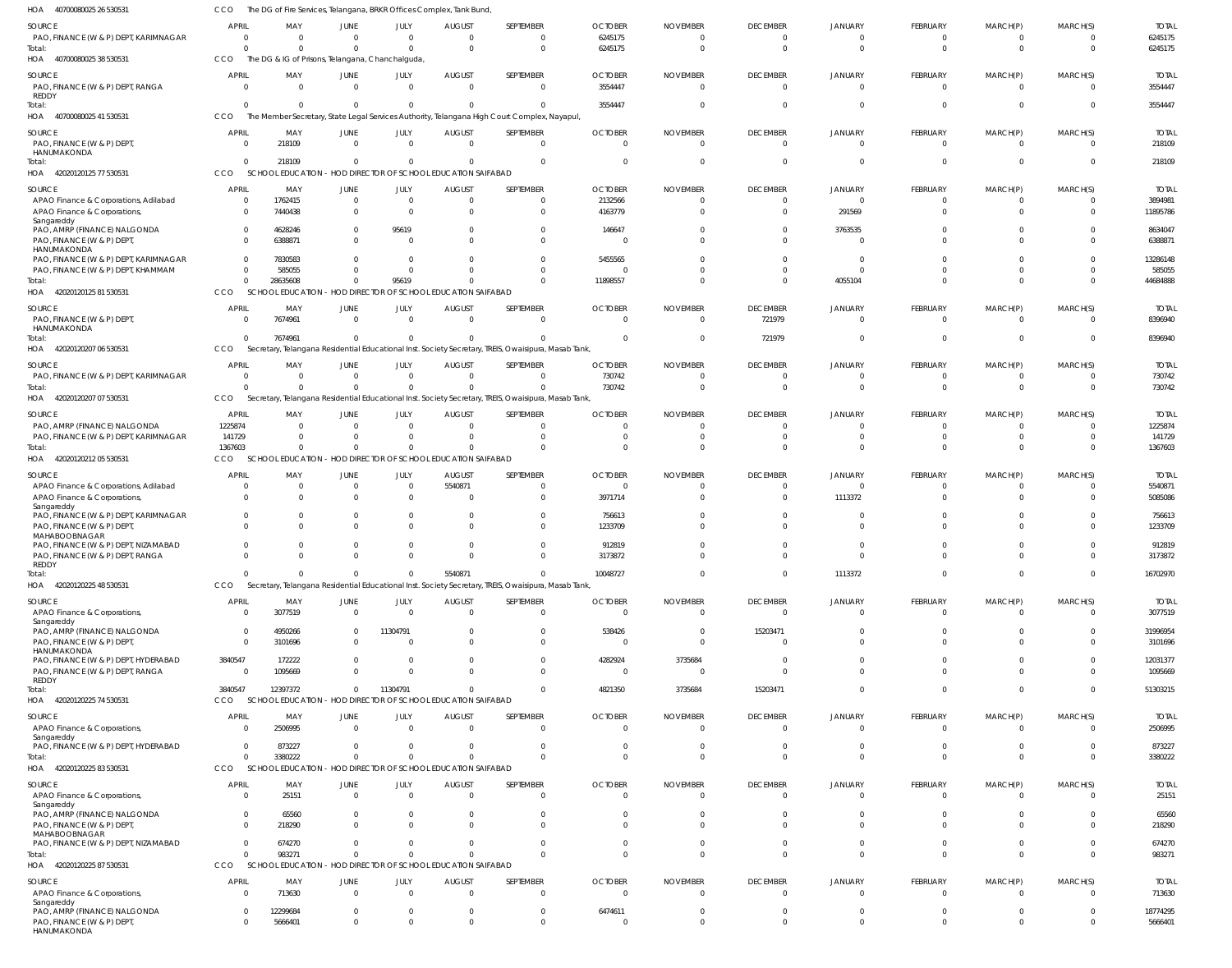| HOA<br>40700080025 26 530531                                                              | <b>CCO</b>                    | The DG of Fire Services, Telangana, BRKR Offices Complex, Tank Bund |                                  |                                                         |                                           |                                                                                                      |                                      |                                                     |                                         |                                        |                                 |                                              |                                       |                                    |
|-------------------------------------------------------------------------------------------|-------------------------------|---------------------------------------------------------------------|----------------------------------|---------------------------------------------------------|-------------------------------------------|------------------------------------------------------------------------------------------------------|--------------------------------------|-----------------------------------------------------|-----------------------------------------|----------------------------------------|---------------------------------|----------------------------------------------|---------------------------------------|------------------------------------|
| SOURCE<br>PAO, FINANCE (W & P) DEPT, KARIMNAGAR                                           | APRIL<br>$\Omega$<br>$\Omega$ | MAY<br>$\Omega$<br>$\Omega$                                         | JUNE<br>$\Omega$<br>$\Omega$     | JULY<br>$\Omega$<br>$\Omega$                            | AUGUST<br>$\Omega$<br>$\Omega$            | SEPTEMBER<br>$\Omega$<br>$\Omega$                                                                    | <b>OCTOBER</b><br>6245175<br>6245175 | <b>NOVEMBER</b><br>$\overline{0}$<br>$\overline{0}$ | <b>DECEMBER</b><br>$\Omega$<br>$\Omega$ | <b>JANUARY</b><br>$\Omega$<br>$\Omega$ | FEBRUARY<br>0<br>$\overline{0}$ | MARCH(P)<br>$\overline{0}$<br>$\overline{0}$ | MARCH(S)<br>$^{\circ}$<br>$\mathbf 0$ | <b>TOTAL</b><br>6245175<br>6245175 |
| Total:<br>HOA 40700080025 38 530531                                                       | <b>CCO</b>                    | The DG & IG of Prisons, Telangana, Chanchalguda,                    |                                  |                                                         |                                           |                                                                                                      |                                      |                                                     |                                         |                                        |                                 |                                              |                                       |                                    |
| SOURCE<br>PAO, FINANCE (W & P) DEPT, RANGA<br>REDDY                                       | <b>APRIL</b><br>$\Omega$      | MAY<br>$\overline{0}$                                               | JUNE<br>$\overline{0}$           | JULY<br>$\Omega$                                        | <b>AUGUST</b><br>$\Omega$                 | SEPTEMBER<br>$\Omega$                                                                                | <b>OCTOBER</b><br>3554447            | <b>NOVEMBER</b><br>$\Omega$                         | <b>DECEMBER</b><br>$\Omega$             | <b>JANUARY</b>                         | FEBRUARY<br>$\Omega$            | MARCH(P)<br>$\overline{0}$                   | MARCH(S)<br>$\Omega$                  | <b>TOTAL</b><br>3554447            |
| Total:<br>HOA 4070008002541530531                                                         | $\Omega$<br>CCO               | $\Omega$                                                            | $\Omega$                         | $\Omega$                                                | $\Omega$                                  | The Member Secretary, State Legal Services Authority, Telangana High Court Complex, Nayapul,         | 3554447                              | $\Omega$                                            |                                         |                                        | $\Omega$                        | $\Omega$                                     | $\mathbf 0$                           | 3554447                            |
| SOURCE<br>PAO, FINANCE (W & P) DEPT,<br>HANUMAKONDA                                       | <b>APRIL</b><br>$\Omega$      | MAY<br>218109                                                       | JUNE<br>$\overline{\mathbf{0}}$  | JULY<br>$\overline{0}$                                  | <b>AUGUST</b><br>$\overline{\mathbf{0}}$  | SEPTEMBER<br>$\Omega$                                                                                | <b>OCTOBER</b><br>$\overline{0}$     | <b>NOVEMBER</b><br>$\Omega$                         | <b>DECEMBER</b><br>$\Omega$             | <b>JANUARY</b>                         | FEBRUARY<br>$\overline{0}$      | MARCH(P)<br>$\overline{0}$                   | MARCH(S)<br>$^{\circ}$                | <b>TOTAL</b><br>218109             |
| Total:<br>HOA 42020120125 77 530531                                                       | $\Omega$<br>CCO               | 218109<br><b>SCHOOL EDUCATION</b>                                   | $\Omega$                         | $\Omega$<br>- HOD DIRECTOR OF SCHOOL EDUCATION SAIFABAD | $\overline{0}$                            | $\Omega$                                                                                             | $\Omega$                             | $\overline{0}$                                      | $\Omega$                                |                                        | $\mathbf 0$                     | $\overline{0}$                               | $\mathbf 0$                           | 218109                             |
| SOURCE                                                                                    | <b>APRIL</b>                  | MAY                                                                 | JUNE                             | JULY                                                    | <b>AUGUST</b>                             | SEPTEMBER                                                                                            | <b>OCTOBER</b>                       | <b>NOVEMBER</b>                                     | <b>DECEMBER</b>                         | <b>JANUARY</b>                         | FEBRUARY                        | MARCH(P)                                     | MARCH(S)                              | <b>TOTAL</b>                       |
| APAO Finance & Corporations, Adilabad<br>APAO Finance & Corporations,<br>Sangareddy       | $\Omega$<br>$\Omega$          | 1762415<br>7440438                                                  | $\overline{0}$<br>$\Omega$       | $\overline{0}$<br>$\Omega$                              | $\overline{0}$<br>$\Omega$                | $\Omega$                                                                                             | 2132566<br>4163779                   | $\Omega$<br>$\Omega$                                |                                         | 291569                                 | $\Omega$<br>$\Omega$            | $\Omega$<br>$\Omega$                         | $\Omega$<br>$\Omega$                  | 3894981<br>11895786                |
| PAO, AMRP (FINANCE) NALGONDA<br>PAO, FINANCE (W & P) DEPT,<br>HANUMAKONDA                 |                               | 4628246<br>6388871                                                  | $\Omega$<br>$\Omega$             | 95619<br>$\Omega$                                       | $\Omega$<br>$\Omega$                      | $\Omega$                                                                                             | 146647<br>$\Omega$                   | $\Omega$<br>$\Omega$                                |                                         | 3763535                                | $\Omega$                        | <sup>0</sup>                                 | $\Omega$<br>$\Omega$                  | 8634047<br>6388871                 |
| PAO, FINANCE (W & P) DEPT, KARIMNAGAR                                                     |                               | 7830583                                                             | $\Omega$                         | $\Omega$                                                | $\Omega$                                  |                                                                                                      | 5455565                              |                                                     |                                         |                                        |                                 |                                              | $\Omega$                              | 13286148                           |
| PAO, FINANCE (W & P) DEPT, KHAMMAM<br>Total:                                              | $\Omega$<br>$\Omega$          | 585055<br>28635608                                                  | $\Omega$<br>$\Omega$             | $\Omega$<br>95619                                       | $\Omega$<br>$\Omega$                      |                                                                                                      | $\Omega$<br>11898557                 | $\Omega$<br>$\Omega$                                |                                         | 4055104                                | $\Omega$<br>$\Omega$            | $\Omega$<br>$\Omega$                         | $\Omega$<br>$\Omega$                  | 585055<br>44684888                 |
| HOA 42020120125 81 530531                                                                 | <b>CCO</b>                    | SCHOOL EDUCATION - HOD DIRECTOR OF SCHOOL EDUCATION SAIFABAD        |                                  |                                                         |                                           |                                                                                                      |                                      |                                                     |                                         |                                        |                                 |                                              |                                       |                                    |
| SOURCE<br>PAO, FINANCE (W & P) DEPT,                                                      | APRIL<br>$\Omega$             | MAY<br>7674961                                                      | JUNE<br>$\Omega$                 | JULY<br>$\Omega$                                        | <b>AUGUST</b><br>$\overline{\mathbf{0}}$  | SEPTEMBER<br>$\Omega$                                                                                | <b>OCTOBER</b><br>$\Omega$           | <b>NOVEMBER</b><br>$\Omega$                         | <b>DECEMBER</b><br>721979               | <b>JANUARY</b>                         | FEBRUARY<br>$\overline{0}$      | MARCH(P)<br>$\overline{0}$                   | MARCH(S)<br>$\Omega$                  | <b>TOTAL</b><br>8396940            |
| HANUMAKONDA<br>Total:                                                                     | $\Omega$                      | 7674961                                                             | $\overline{0}$                   | $\Omega$                                                | $\Omega$                                  |                                                                                                      | $\Omega$                             | $\Omega$                                            | 721979                                  |                                        | $\Omega$                        | $\overline{0}$                               | $\mathbf 0$                           | 8396940                            |
| HOA 42020120207 06 530531                                                                 | CCO                           |                                                                     |                                  |                                                         |                                           | Secretary, Telangana Residential Educational Inst. Society Secretary, TREIS, Owaisipura, Masab Tank, |                                      |                                                     |                                         |                                        |                                 |                                              |                                       |                                    |
| SOURCE                                                                                    | <b>APRIL</b>                  | MAY                                                                 | JUNE                             | JULY                                                    | <b>AUGUST</b>                             | SEPTEMBER                                                                                            | <b>OCTOBER</b>                       | <b>NOVEMBER</b>                                     | <b>DECEMBER</b>                         | <b>JANUARY</b>                         | FEBRUARY                        | MARCH(P)                                     | MARCH(S)                              | <b>TOTAL</b>                       |
| PAO, FINANCE (W & P) DEPT, KARIMNAGAR<br>Total:                                           | $\Omega$<br>$\Omega$          | $\Omega$<br>$\Omega$                                                | $\Omega$<br>$\Omega$             | $\Omega$                                                | $\Omega$<br>$\Omega$                      |                                                                                                      | 730742<br>730742                     | $\Omega$<br>$\Omega$                                |                                         |                                        | $\Omega$<br>$\Omega$            | $\Omega$<br>$\Omega$                         | $\Omega$<br>$\Omega$                  | 730742<br>730742                   |
| HOA 42020120207 07 530531                                                                 | <b>CCO</b>                    | Secretary,                                                          |                                  |                                                         |                                           | Telangana Residential Educational Inst. Society Secretary, TREIS, Owaisipura, Masab Tank             |                                      |                                                     |                                         |                                        |                                 |                                              |                                       |                                    |
| SOURCE                                                                                    | APRIL                         | MAY                                                                 | JUNE                             | JULY                                                    | <b>AUGUST</b>                             | SEPTEMBER                                                                                            | <b>OCTOBER</b>                       | <b>NOVEMBER</b>                                     | <b>DECEMBER</b>                         | <b>JANUARY</b>                         | FEBRUARY                        | MARCH(P)                                     | MARCH(S)                              | <b>TOTAL</b>                       |
| PAO, AMRP (FINANCE) NALGONDA                                                              | 1225874                       | $\Omega$                                                            | $\Omega$                         | $\Omega$                                                | $\overline{0}$                            |                                                                                                      | $\Omega$                             | $\Omega$                                            |                                         |                                        | 0                               | $\Omega$                                     | 0                                     | 1225874                            |
| PAO, FINANCE (W & P) DEPT, KARIMNAGAR<br>Total:                                           | 141729<br>1367603             | $\Omega$<br>$\Omega$                                                | $\Omega$<br>$\Omega$             | $\Omega$<br>$\Omega$                                    | $\overline{0}$<br>$\circ$                 |                                                                                                      | - 0<br>$\Omega$                      | $\Omega$<br>$\Omega$                                |                                         |                                        | $\Omega$<br>$\Omega$            | $\Omega$<br>$\Omega$                         | $\Omega$<br>$\Omega$                  | 141729<br>1367603                  |
| HOA 42020120212 05 530531                                                                 | <b>CCO</b>                    | <b>SCHOOL EDUCATION</b>                                             |                                  | - HOD DIRECTOR OF SCHOOL EDUCATION SAIFABAD             |                                           |                                                                                                      |                                      |                                                     |                                         |                                        |                                 |                                              |                                       |                                    |
| SOURCE                                                                                    | <b>APRIL</b>                  | MAY                                                                 | JUNE                             | JULY                                                    | <b>AUGUST</b>                             | SEPTEMBER                                                                                            | <b>OCTOBER</b>                       | <b>NOVEMBER</b>                                     | <b>DECEMBER</b>                         | JANUARY                                | FEBRUARY                        | MARCH(P)                                     | MARCH(S)                              | <b>TOTAL</b>                       |
| APAO Finance & Corporations, Adilabad<br>APAO Finance & Corporations,                     | $\Omega$                      | $\Omega$<br>$\Omega$                                                | $\overline{0}$<br>$\Omega$       | $\Omega$<br>$\Omega$                                    | 5540871<br>$\Omega$                       | $\Omega$                                                                                             | $\mathbf 0$<br>3971714               | $\Omega$<br>$\Omega$                                |                                         | 1113372                                | $\Omega$<br>$\Omega$            | $\Omega$<br>$\Omega$                         | $\Omega$<br>$\Omega$                  | 5540871<br>5085086                 |
| Sangareddy<br>PAO, FINANCE (W & P) DEPT, KARIMNAGAR<br>PAO, FINANCE (W & P) DEPT,         |                               | $\Omega$<br>$\Omega$                                                | $\Omega$<br>$\Omega$             | $\Omega$                                                | $\overline{0}$<br>$\Omega$                | $\Omega$                                                                                             | 756613<br>1233709                    | $\Omega$                                            |                                         |                                        | $\Omega$                        | <sup>0</sup>                                 | $\Omega$<br>$\Omega$                  | 756613<br>1233709                  |
| MAHABOOBNAGAR<br>PAO, FINANCE (W & P) DEPT, NIZAMABAD<br>PAO, FINANCE (W & P) DEPT, RANGA | $\Omega$<br>$\Omega$          | $\Omega$<br>$\Omega$                                                | $\Omega$<br>$\Omega$             |                                                         | $\Omega$<br>$\Omega$                      | $\Omega$<br>$\Omega$                                                                                 | 912819<br>3173872                    | $\Omega$                                            |                                         |                                        | $\Omega$<br>$^{\circ}$          | $\Omega$                                     | $\Omega$<br>$\Omega$                  | 912819<br>3173872                  |
| <b>REDDY</b><br>Total:                                                                    | $\Omega$                      | $\Omega$                                                            | $\Omega$                         | $\Omega$                                                | 5540871                                   | $\Omega$                                                                                             | 10048727                             | $\mathbf 0$                                         | $\Omega$                                | 1113372                                | $\mathbf 0$                     | $\mathbf 0$                                  | $\mathbf 0$                           | 16702970                           |
| HOA 42020120225 48 530531                                                                 | CCO                           |                                                                     |                                  |                                                         |                                           | Secretary, Telangana Residential Educational Inst. Society Secretary, TREIS, Owaisipura, Masab Tank  |                                      |                                                     |                                         |                                        |                                 |                                              |                                       |                                    |
| SOURCE                                                                                    | APRIL                         | MAY                                                                 | <b>JUNE</b>                      | JULY                                                    | <b>AUGUST</b>                             | SEPTEMBER                                                                                            | <b>OCTOBER</b>                       | <b>NOVEMBER</b>                                     | <b>DECEMBER</b>                         | <b>JANUARY</b>                         | FEBRUARY                        | MARCH(P)                                     | MARCH(S)                              | <b>TOTAL</b>                       |
| APAO Finance & Corporations,<br>Sangareddy                                                | $\Omega$                      | 3077519                                                             | $\overline{0}$                   | $\Omega$                                                | $\overline{0}$                            | $\Omega$                                                                                             | $\overline{0}$                       | $\overline{0}$                                      | $\Omega$                                |                                        | $\overline{0}$                  | $\overline{0}$                               | $\Omega$                              | 3077519                            |
| PAO, AMRP (FINANCE) NALGONDA                                                              | $\Omega$<br>$\Omega$          | 4950266<br>3101696                                                  | $\overline{0}$<br>$\Omega$       | 11304791<br>$\Omega$                                    | $\overline{0}$<br>$\Omega$                | $\Omega$                                                                                             | 538426<br>- 0                        | $\overline{0}$<br>$\Omega$                          | 15203471                                |                                        | $\Omega$<br>$\Omega$            | $\Omega$<br>$\Omega$                         | $\Omega$<br>$\Omega$                  | 31996954<br>3101696                |
| PAO, FINANCE (W & P) DEPT,<br>HANUMAKONDA<br>PAO, FINANCE (W & P) DEPT, HYDERABAD         | 3840547                       | 172222                                                              | $\overline{0}$                   | $\overline{0}$                                          | $\overline{0}$                            | $\Omega$                                                                                             | 4282924                              | 3735684                                             |                                         |                                        | $\Omega$                        | $\Omega$                                     | $\Omega$                              | 12031377                           |
| PAO, FINANCE (W & P) DEPT, RANGA                                                          | $\Omega$                      | 1095669                                                             | $\Omega$                         | $\Omega$                                                | $\Omega$                                  | $\Omega$                                                                                             | - 0                                  | $\overline{0}$                                      |                                         |                                        | $\Omega$                        | $\Omega$                                     | $\Omega$                              | 1095669                            |
| <b>REDDY</b><br>lotal:                                                                    | 3840547                       | 12397372                                                            | $\Omega$                         | 11304791                                                | $\circ$                                   | $\Omega$                                                                                             | 4821350                              | 3735684                                             | 15203471                                | $\Omega$                               | $\Omega$                        | $\mathbf{0}$                                 | $\mathbf 0$                           | 51303215                           |
| HOA 42020120225 74 530531                                                                 | CCO                           | SCHOOL EDUCATION - HOD DIRECTOR OF SCHOOL EDUCATION SAIFABAD        |                                  |                                                         |                                           |                                                                                                      |                                      |                                                     |                                         |                                        |                                 |                                              |                                       |                                    |
| SOURCE<br>APAO Finance & Corporations,                                                    | <b>APRIL</b><br>$\Omega$      | MAY<br>2506995                                                      | <b>JUNE</b><br>$\overline{0}$    | JULY<br>$\Omega$                                        | <b>AUGUST</b><br>$\overline{0}$           | SEPTEMBER                                                                                            | <b>OCTOBER</b><br>$\overline{0}$     | <b>NOVEMBER</b><br>$\overline{0}$                   | <b>DECEMBER</b><br>$\Omega$             | <b>JANUARY</b><br>$\Omega$             | FEBRUARY<br>$\overline{0}$      | MARCH(P)<br>$\overline{0}$                   | MARCH(S)<br>0                         | <b>TOTAL</b><br>2506995            |
| Sangareddy                                                                                |                               |                                                                     |                                  |                                                         |                                           |                                                                                                      |                                      |                                                     |                                         |                                        |                                 |                                              |                                       |                                    |
| PAO, FINANCE (W & P) DEPT, HYDERABAD<br>Total:                                            | $\Omega$<br>$\Omega$          | 873227<br>3380222                                                   | $\overline{0}$<br>$\overline{0}$ | $\Omega$<br>$\Omega$                                    | $\overline{\mathbf{0}}$<br>$\overline{0}$ |                                                                                                      | $\overline{0}$<br>$\Omega$           | $\overline{0}$<br>$\overline{0}$                    | $\Omega$<br>$\Omega$                    | $\Omega$<br>$\Omega$                   | 0<br>$\Omega$                   | $\mathbf{0}$<br>$\Omega$                     | $\Omega$<br>$\mathbf 0$               | 873227<br>3380222                  |
| HOA 42020120225 83 530531                                                                 | CCO                           | SCHOOL EDUCATION - HOD DIRECTOR OF SCHOOL EDUCATION SAIFABAD        |                                  |                                                         |                                           |                                                                                                      |                                      |                                                     |                                         |                                        |                                 |                                              |                                       |                                    |
| SOURCE                                                                                    | <b>APRIL</b>                  | MAY                                                                 | <b>JUNE</b>                      | JULY                                                    | <b>AUGUST</b>                             | SEPTEMBER                                                                                            | <b>OCTOBER</b>                       | <b>NOVEMBER</b>                                     | <b>DECEMBER</b>                         | <b>JANUARY</b>                         | FEBRUARY                        | MARCH(P)                                     | MARCH(S)                              | <b>TOTAL</b>                       |
| APAO Finance & Corporations,<br>Sangareddy                                                | $\Omega$                      | 25151                                                               | $\overline{0}$                   | $\overline{0}$                                          | $\overline{0}$                            | $\overline{0}$                                                                                       | $\overline{0}$                       | $\overline{0}$                                      | $\Omega$                                |                                        | $\overline{\mathbf{0}}$         | $\overline{0}$                               | 0                                     | 25151                              |
| PAO, AMRP (FINANCE) NALGONDA<br>PAO, FINANCE (W & P) DEPT,<br>MAHABOOBNAGAR               | $\Omega$<br>$\Omega$          | 65560<br>218290                                                     | $^{\circ}$<br>$\Omega$           | $^{\circ}$<br>$\Omega$                                  | $\overline{0}$<br>$\Omega$                | $\Omega$<br>$\Omega$                                                                                 | 0<br>$\Omega$                        | 0<br>$\Omega$                                       |                                         |                                        | 0<br>$\Omega$                   | $\Omega$<br>$\Omega$                         | $^{\circ}$<br>$\Omega$                | 65560<br>218290                    |
| PAO, FINANCE (W & P) DEPT, NIZAMABAD                                                      |                               | 674270                                                              | $\Omega$                         |                                                         | $\circ$                                   |                                                                                                      | $\overline{0}$                       | $\overline{0}$                                      |                                         |                                        | $\mathbf 0$                     | $\mathbf{0}$                                 | $\mathbf 0$                           | 674270                             |
| Total:                                                                                    | $\Omega$                      | 983271                                                              | $\overline{0}$                   | $\Omega$                                                | $\Omega$                                  | $\Omega$                                                                                             | $\Omega$                             | $\Omega$                                            | $\Omega$                                | $\Omega$                               | $\Omega$                        | $\overline{0}$                               | $\mathbf 0$                           | 983271                             |
| HOA 42020120225 87 530531                                                                 | <b>CCO</b>                    | <b>SCHOOL EDUCATION</b>                                             |                                  | - HOD DIRECTOR OF SCHOOL EDUCATION SAIFABAD             |                                           |                                                                                                      |                                      |                                                     |                                         |                                        |                                 |                                              |                                       |                                    |
| SOURCE<br>APAO Finance & Corporations,                                                    | <b>APRIL</b><br>$\Omega$      | MAY<br>713630                                                       | <b>JUNE</b><br>$\overline{0}$    | JULY<br>$\Omega$                                        | <b>AUGUST</b><br>$\overline{0}$           | SEPTEMBER<br>- 0                                                                                     | <b>OCTOBER</b><br>- 0                | <b>NOVEMBER</b><br>$\overline{0}$                   | <b>DECEMBER</b><br>$\Omega$             | <b>JANUARY</b>                         | FEBRUARY<br>0                   | MARCH(P)<br>$\overline{0}$                   | MARCH(S)<br>0                         | <b>TOTAL</b><br>713630             |
| Sangareddy<br>PAO, AMRP (FINANCE) NALGONDA<br>PAO, FINANCE (W & P) DEPT,                  | $\Omega$<br>$\Omega$          | 12299684<br>5666401                                                 | $\overline{0}$<br>$\overline{0}$ | $\Omega$<br>$\Omega$                                    | $\overline{\mathbf{0}}$<br>$\overline{0}$ | $\Omega$                                                                                             | 6474611<br>0                         | $\overline{0}$<br>$\overline{0}$                    | $\Omega$                                | $\Omega$<br>$\Omega$                   | 0<br>$\mathbf 0$                | $\mathbf{0}$<br>$\mathbf 0$                  | 0<br>$\mathbf 0$                      | 18774295<br>5666401                |
| HANUMAKONDA                                                                               |                               |                                                                     |                                  |                                                         |                                           |                                                                                                      |                                      |                                                     |                                         |                                        |                                 |                                              |                                       |                                    |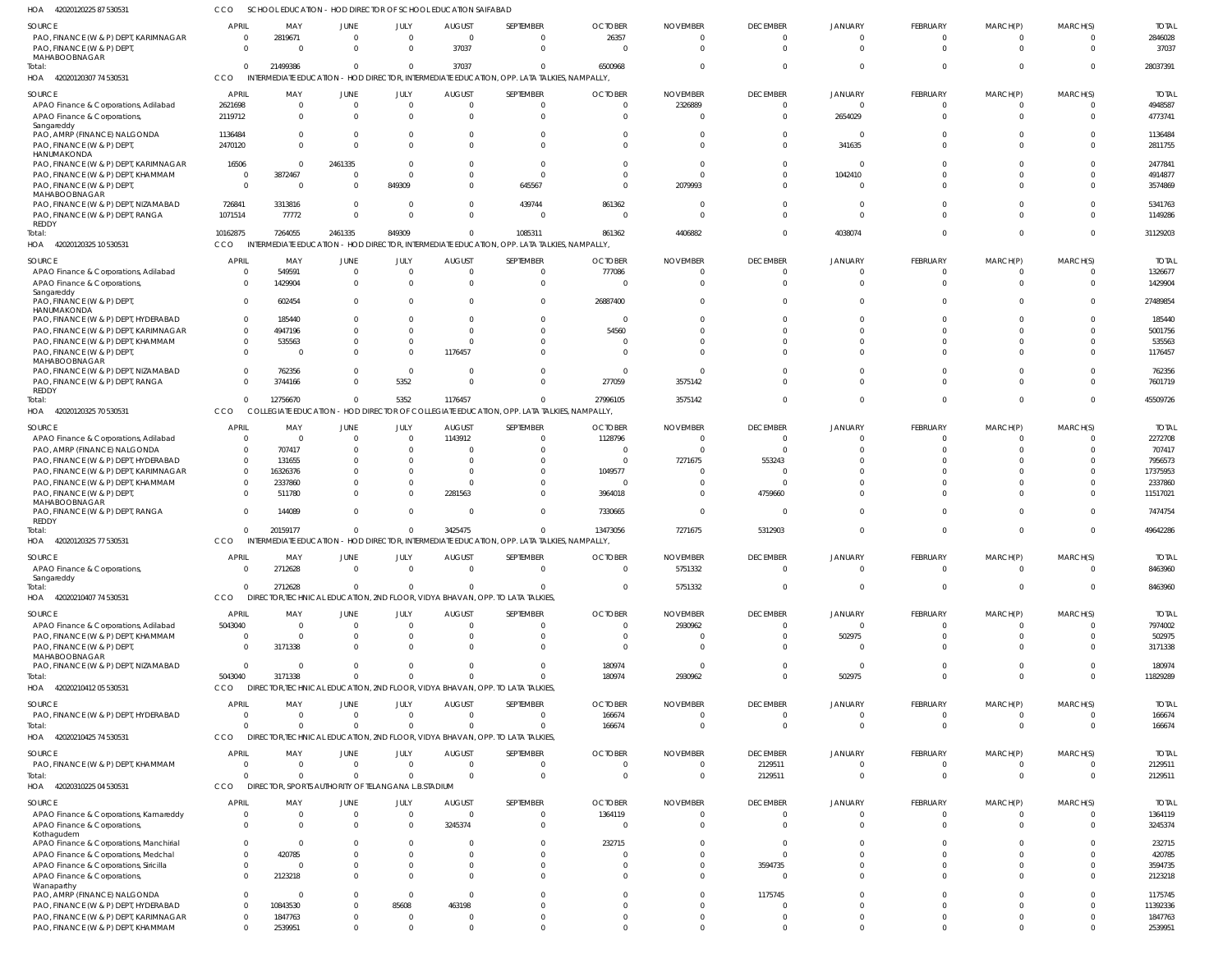42020120225 87 530531 HOA CCO SCHOOL EDUCATION - HOD DIRECTOR OF SCHOOL EDUCATION SAIFABAD

| SOURCE                                                                        | APRIL                            | MAY                                                             | JUNE                 | JULY                     | <b>AUGUST</b>             | SEPTEMBER                                                                                              | <b>OCTOBER</b>            | <b>NOVEMBER</b>             | <b>DECEMBER</b>             | <b>JANUARY</b>             | FEBRUARY                   | MARCH(P)             | MARCH(S)             | <b>TOTAL</b>            |
|-------------------------------------------------------------------------------|----------------------------------|-----------------------------------------------------------------|----------------------|--------------------------|---------------------------|--------------------------------------------------------------------------------------------------------|---------------------------|-----------------------------|-----------------------------|----------------------------|----------------------------|----------------------|----------------------|-------------------------|
| PAO, FINANCE (W & P) DEPT, KARIMNAGAR                                         | $^{\circ}$                       | 2819671                                                         | $\Omega$             | $\overline{0}$           | $\overline{0}$            | $\mathbf{0}$                                                                                           | 26357                     | $\mathbf 0$                 | $\Omega$                    | $\cap$                     | 0                          |                      |                      | 2846028                 |
| PAO, FINANCE (W & P) DEPT<br>MAHABOOBNAGAR<br>Total:                          | $\Omega$<br>$\Omega$             | $\Omega$<br>21499386                                            | $\Omega$<br>$\Omega$ | $\Omega$<br>$\Omega$     | 37037<br>37037            | $\Omega$<br>$\Omega$                                                                                   | 6500968                   | $\Omega$<br>$\Omega$        | $\Omega$<br>$\Omega$        | $\Omega$                   | $\Omega$<br>$\Omega$       |                      | $\Omega$<br>$\Omega$ | 37037<br>28037391       |
| HOA 42020120307 74 530531                                                     | <b>CCO</b>                       |                                                                 |                      |                          |                           | INTERMEDIATE EDUCATION - HOD DIRECTOR, INTERMEDIATE EDUCATION, OPP. LATA TALKIES, NAMPALLY,            |                           |                             |                             |                            |                            |                      |                      |                         |
| SOURCE                                                                        | APRIL                            | MAY                                                             | JUNE                 | JULY                     | <b>AUGUST</b>             | SEPTEMBER                                                                                              | <b>OCTOBER</b>            | <b>NOVEMBER</b>             | <b>DECEMBER</b>             | <b>JANUARY</b>             | FEBRUARY                   | MARCH(P)             | MARCH(S)             | <b>TOTAL</b>            |
| APAO Finance & Corporations, Adilabad                                         | 2621698                          | $\Omega$                                                        |                      | $\mathbf 0$              | - 0                       | $\mathbf{0}$                                                                                           | $\Omega$                  | 2326889                     | $\Omega$                    | $\cap$                     | 0                          |                      | - 0                  | 4948587                 |
| APAO Finance & Corporations,<br>Sangareddy                                    | 2119712                          | $\Omega$                                                        |                      | $\Omega$                 | $\Omega$                  | $\mathbf{0}$                                                                                           | $\Omega$                  | $\Omega$                    | $\Omega$                    | 2654029                    | $\Omega$                   |                      | $\Omega$             | 4773741                 |
| PAO, AMRP (FINANCE) NALGONDA                                                  | 1136484                          |                                                                 |                      | $\Omega$                 |                           | $\mathbf{0}$                                                                                           | -0                        | 0                           | $\Omega$                    | $\Omega$                   |                            |                      | $\Omega$             | 1136484                 |
| PAO, FINANCE (W & P) DEPT<br>HANUMAKONDA                                      | 2470120                          |                                                                 |                      | $\Omega$                 |                           | $\Omega$                                                                                               |                           | $\Omega$                    | $\Omega$                    | 341635                     | $\Omega$                   |                      | $\Omega$             | 2811755                 |
| PAO, FINANCE (W & P) DEPT, KARIMNAGAR                                         | 16506                            | -0                                                              | 2461335              | $\Omega$                 |                           | $\mathbf{0}$                                                                                           |                           | $\Omega$                    | $\Omega$                    | - 0                        |                            |                      | $\Omega$             | 2477841                 |
| PAO, FINANCE (W & P) DEPT, KHAMMAM<br>PAO, FINANCE (W & P) DEPT               | $\overline{0}$<br>$\overline{0}$ | 3872467<br>- 0                                                  | - 0<br>$\Omega$      | $\Omega$<br>849309       |                           | $\Omega$<br>645567                                                                                     | $\Omega$                  | $\Omega$<br>2079993         | $\Omega$                    | 1042410                    |                            |                      | $\Omega$<br>$\Omega$ | 4914877<br>3574869      |
| MAHABOOBNAGAR                                                                 |                                  |                                                                 |                      |                          |                           |                                                                                                        |                           |                             |                             |                            |                            |                      |                      |                         |
| PAO, FINANCE (W & P) DEPT, NIZAMABAD<br>PAO, FINANCE (W & P) DEPT, RANGA      | 726841<br>1071514                | 3313816<br>77772                                                | $\Omega$<br>$\Omega$ | 0<br>$\Omega$            | $\Omega$<br>$\cap$        | 439744<br>$\Omega$                                                                                     | 861362                    | -0<br>$\Omega$              |                             | - 0<br>$\Omega$            |                            |                      | $\Omega$<br>$\Omega$ | 5341763<br>1149286      |
| REDDY                                                                         |                                  |                                                                 |                      |                          |                           |                                                                                                        |                           |                             |                             |                            |                            |                      |                      |                         |
| Total:<br>HOA 42020120325 10 530531                                           | 10162875<br><b>CCO</b>           | 7264055                                                         | 2461335              | 849309                   | - 0                       | 1085311<br>INTERMEDIATE EDUCATION - HOD DIRECTOR, INTERMEDIATE EDUCATION, OPP. LATA TALKIES, NAMPALLY, | 861362                    | 4406882                     | $\Omega$                    | 4038074                    | $\Omega$                   |                      | $\Omega$             | 31129203                |
|                                                                               |                                  |                                                                 |                      |                          |                           |                                                                                                        |                           |                             |                             |                            |                            |                      |                      |                         |
| SOURCE<br>APAO Finance & Corporations, Adilabad                               | <b>APRIL</b><br>$^{\circ}$       | MAY<br>549591                                                   | JUNE<br>$\Omega$     | JULY<br>$\Omega$         | <b>AUGUST</b><br>$\Omega$ | SEPTEMBER<br>$\mathbf{0}$                                                                              | <b>OCTOBER</b><br>777086  | <b>NOVEMBER</b><br>$\Omega$ | <b>DECEMBER</b><br>$\Omega$ | <b>JANUARY</b><br>- 0      | FEBRUARY<br>0              | MARCH(P)             | MARCH(S)             | <b>TOTAL</b><br>1326677 |
| APAO Finance & Corporations                                                   | $\Omega$                         | 1429904                                                         | $\Omega$             | $\Omega$                 | $\Omega$                  | $\mathbf{0}$                                                                                           |                           | $\Omega$                    | $\Omega$                    | $\cap$                     | $\Omega$                   |                      | $\Omega$             | 1429904                 |
| Sangareddy<br>PAO, FINANCE (W & P) DEPT                                       | $\Omega$                         | 602454                                                          | $\Omega$             |                          |                           | $\Omega$                                                                                               | 26887400                  | $\Omega$                    | $\Omega$                    |                            |                            |                      |                      | 27489854                |
| HANUMAKONDA                                                                   |                                  |                                                                 |                      |                          |                           |                                                                                                        |                           |                             |                             |                            |                            |                      |                      |                         |
| PAO, FINANCE (W & P) DEPT, HYDERABAD<br>PAO, FINANCE (W & P) DEPT, KARIMNAGAR | $\mathbf 0$<br>$\overline{0}$    | 185440<br>4947196                                               |                      | $\Omega$                 | $\cap$                    | $\Omega$<br>$\Omega$                                                                                   | -0<br>54560               | $\Omega$<br>$\Omega$        | $\Omega$                    |                            |                            |                      |                      | 185440<br>5001756       |
| PAO, FINANCE (W & P) DEPT, KHAMMAM                                            | $\Omega$                         | 535563                                                          |                      | $\Omega$                 | $\cap$                    | $\Omega$                                                                                               | -0                        | $\Omega$                    |                             | $\cap$                     |                            |                      | - 0                  | 535563                  |
| PAO, FINANCE (W & P) DEPT                                                     | $\Omega$                         |                                                                 |                      | $\Omega$                 | 1176457                   | $\Omega$                                                                                               | $\Omega$                  | $\Omega$                    |                             |                            |                            |                      |                      | 1176457                 |
| MAHABOOBNAGAR<br>PAO, FINANCE (W & P) DEPT, NIZAMABAD                         | $\Omega$                         | 762356                                                          | $\Omega$             | $\Omega$                 | $\Omega$                  | $\Omega$                                                                                               | $\Omega$                  | $\sqrt{ }$                  | $\Omega$                    |                            |                            |                      |                      | 762356                  |
| PAO, FINANCE (W & P) DEPT, RANGA                                              | $\Omega$                         | 3744166                                                         | $\Omega$             | 5352                     | $\Omega$                  | $\Omega$                                                                                               | 277059                    | 3575142                     | $\Omega$                    | $\cap$                     |                            |                      |                      | 7601719                 |
| REDDY<br>Total:                                                               | $\Omega$                         | 12756670                                                        | $\Omega$             | 5352                     | 1176457                   | $\Omega$                                                                                               | 27996105                  | 3575142                     | $\Omega$                    | $\Omega$                   | $\Omega$                   |                      | $\Omega$             | 45509726                |
| HOA 42020120325 70 530531                                                     | CCO                              |                                                                 |                      |                          |                           | COLLEGIATE EDUCATION - HOD DIRECTOR OF COLLEGIATE EDUCATION, OPP. LATA TALKIES, NAMPALLY,              |                           |                             |                             |                            |                            |                      |                      |                         |
| SOURCE                                                                        | <b>APRIL</b>                     | MAY                                                             | JUNE                 | JULY                     | <b>AUGUST</b>             | SEPTEMBER                                                                                              | <b>OCTOBER</b>            | <b>NOVEMBER</b>             | <b>DECEMBER</b>             | <b>JANUARY</b>             | FEBRUARY                   | MARCH(P)             | MARCH(S)             | <b>TOTAL</b>            |
| APAO Finance & Corporations, Adilabad                                         | $\overline{0}$                   | $\Omega$                                                        |                      | $\Omega$                 | 1143912                   | $\mathbf{0}$                                                                                           | 1128796                   | - 0                         | $\Omega$                    | $\cap$                     | $\Omega$                   |                      | $\Omega$             | 2272708                 |
| PAO, AMRP (FINANCE) NALGONDA<br>PAO, FINANCE (W & P) DEPT, HYDERABAD          | $\overline{0}$<br>$\overline{0}$ | 707417<br>131655                                                |                      | $\Omega$<br>$\Omega$     | - 0                       | $\Omega$<br>$\Omega$                                                                                   | - 0                       | - 0<br>7271675              | $\Omega$<br>553243          |                            |                            |                      | $\Omega$<br>$\Omega$ | 707417<br>7956573       |
| PAO, FINANCE (W & P) DEPT, KARIMNAGAR                                         | $\overline{0}$                   | 16326376                                                        |                      | $\Omega$                 | - 0                       | <sup>0</sup>                                                                                           | 1049577                   | $\Omega$                    |                             |                            |                            |                      | $\Omega$             | 17375953                |
| PAO, FINANCE (W & P) DEPT, KHAMMAM                                            | $\Omega$                         | 2337860                                                         |                      | $\Omega$                 | - 0                       | $\Omega$                                                                                               |                           | $\Omega$                    | $\Omega$                    |                            |                            |                      | $\Omega$             | 2337860                 |
| PAO, FINANCE (W & P) DEPT,<br>MAHABOOBNAGAR                                   | $\Omega$                         | 511780                                                          | $\Omega$             | $\Omega$                 | 2281563                   | $\Omega$                                                                                               | 3964018                   | $\Omega$                    | 4759660                     |                            | <sup>0</sup>               |                      | $\Omega$             | 11517021                |
| PAO, FINANCE (W & P) DEPT, RANGA<br><b>REDDY</b>                              | $\Omega$                         | 144089                                                          | $\Omega$             | $\mathbf 0$              | - 0                       | $\Omega$                                                                                               | 7330665                   | $\Omega$                    | $\Omega$                    | $\Omega$                   | <sup>0</sup>               |                      | $\Omega$             | 7474754                 |
| Total:                                                                        | $\Omega$                         | 20159177                                                        | $\Omega$             | $\Omega$                 | 3425475                   | $\Omega$                                                                                               | 13473056                  | 7271675                     | 5312903                     | $\Omega$                   | $\mathbf 0$                | $\Omega$             | $\Omega$             | 49642286                |
| HOA 42020120325 77 530531                                                     | <b>CCO</b>                       |                                                                 |                      |                          |                           | INTERMEDIATE EDUCATION - HOD DIRECTOR, INTERMEDIATE EDUCATION, OPP. LATA TALKIES, NAMPALLY,            |                           |                             |                             |                            |                            |                      |                      |                         |
| SOURCE                                                                        | <b>APRIL</b>                     | MAY                                                             | JUNE                 | JULY                     | <b>AUGUST</b>             | SEPTEMBER                                                                                              | <b>OCTOBER</b>            | <b>NOVEMBER</b>             | <b>DECEMBER</b>             | <b>JANUARY</b>             | <b>FEBRUARY</b>            | MARCH(P)             | MARCH(S)             | <b>TOTAL</b>            |
| APAO Finance & Corporations,<br>Sangareddy                                    | $\Omega$                         | 2712628                                                         | $\Omega$             |                          |                           | $\Omega$                                                                                               | - 0                       | 5751332                     | $\Omega$                    | $\Omega$                   |                            |                      |                      | 8463960                 |
| Total:                                                                        | $\Omega$                         | 2712628                                                         | $\Omega$             | $\Omega$                 | $\Omega$                  | $\Omega$                                                                                               | $\Omega$                  | 5751332                     | $\Omega$                    | $\Omega$                   | $\Omega$                   | $\Omega$             | $\Omega$             | 8463960                 |
| HOA 42020210407 74 530531                                                     | CCO                              |                                                                 |                      |                          |                           | DIRECTOR, TECHNICAL EDUCATION, 2ND FLOOR, VIDYA BHAVAN, OPP. TO LATA TALKIES                           |                           |                             |                             |                            |                            |                      |                      |                         |
| SOURCE                                                                        | APRIL                            | MAY                                                             | JUNE                 | JULY                     | <b>AUGUST</b>             | SEPTEMBER                                                                                              | <b>OCTOBER</b>            | <b>NOVEMBER</b>             | <b>DECEMBER</b>             | <b>JANUARY</b>             | FEBRUARY                   | MARCH(P)             | MARCH(S)             | <b>TOTAL</b>            |
| APAO Finance & Corporations, Adilabad<br>PAO, FINANCE (W & P) DEPT, KHAMMAM   | 5043040<br>$\overline{0}$        | $\Omega$<br>$\Omega$                                            | $\Omega$             | $\mathbf{0}$<br>$\Omega$ | - 0<br>$\Omega$           | $\mathbf{0}$<br>$\mathbf{0}$                                                                           | $\Omega$<br>- 0           | 2930962<br>- 0              | $\Omega$<br>$\Omega$        | $\Omega$<br>502975         | $\mathbf 0$<br>$\mathbf 0$ | $\Omega$             | $\Omega$<br>$\Omega$ | 7974002<br>502975       |
| PAO, FINANCE (W & P) DEPT                                                     | $\overline{0}$                   | 3171338                                                         | $\Omega$             | $\Omega$                 | $\Omega$                  | $\Omega$                                                                                               | $\Omega$                  | $\Omega$                    | $\Omega$                    | $\Omega$                   | $\Omega$                   | <sup>0</sup>         | $\Omega$             | 3171338                 |
| MAHABOOBNAGAR<br>PAO, FINANCE (W & P) DEPT, NIZAMABAD                         | $\overline{0}$                   | - 0                                                             | $\Omega$             | $\Omega$                 | $\Omega$                  | $\mathbf{0}$                                                                                           | 180974                    | - 0                         | $\Omega$                    | $\Omega$                   | $\Omega$                   | $\Omega$             | $\Omega$             | 180974                  |
| Total:                                                                        | 5043040                          | 3171338                                                         | $\Omega$             | $\Omega$                 | $\cap$                    | $\Omega$                                                                                               | 180974                    | 2930962                     | $\Omega$                    | 502975                     | $\Omega$                   | $\Omega$             | $\Omega$             | 11829289                |
| HOA 42020210412 05 530531                                                     | <b>CCO</b>                       |                                                                 |                      |                          |                           | DIRECTOR, TECHNICAL EDUCATION, 2ND FLOOR, VIDYA BHAVAN, OPP. TO LATA TALKIES                           |                           |                             |                             |                            |                            |                      |                      |                         |
| SOURCE                                                                        | APRIL                            | MAY                                                             | JUNE                 | JULY                     | <b>AUGUST</b>             | SEPTEMBER                                                                                              | <b>OCTOBER</b>            | <b>NOVEMBER</b>             | <b>DECEMBER</b>             | <b>JANUARY</b>             | FEBRUARY                   | MARCH(P)             | MARCH(S)             | <b>TOTAL</b>            |
| PAO, FINANCE (W & P) DEPT, HYDERABAD<br>Total:                                | $\Omega$<br>$\Omega$             | $\Omega$<br>$\Omega$                                            | $\Omega$<br>$\Omega$ | $\Omega$<br>$\Omega$     | $\Omega$<br>$\Omega$      | $\Omega$<br>$\Omega$                                                                                   | 166674<br>166674          | 0<br>$\Omega$               | $\Omega$<br>$\Omega$        | $\Omega$<br>$\Omega$       | 0<br>$\Omega$              | $\Omega$             | $\Omega$             | 166674<br>166674        |
| HOA 42020210425 74 530531                                                     | CCO                              |                                                                 |                      |                          |                           | DIRECTOR, TECHNICAL EDUCATION, 2ND FLOOR, VIDYA BHAVAN, OPP. TO LATA TALKIES                           |                           |                             |                             |                            |                            |                      |                      |                         |
| SOURCE                                                                        | <b>APRIL</b>                     | MAY                                                             | JUNE                 | JULY                     | <b>AUGUST</b>             | SEPTEMBER                                                                                              | <b>OCTOBER</b>            | <b>NOVEMBER</b>             | <b>DECEMBER</b>             | <b>JANUARY</b>             | FEBRUARY                   | MARCH(P)             | MARCH(S)             | <b>TOTAL</b>            |
| PAO, FINANCE (W & P) DEPT, KHAMMAM                                            | $\overline{0}$                   | $\Omega$                                                        | $\Omega$             | $\overline{0}$           | $\Omega$                  | $\mathbf{0}$                                                                                           | $\Omega$                  | 0                           | 2129511                     | $\Omega$                   | $\mathbf 0$                | 0                    | $\Omega$             | 2129511                 |
| Total:<br>HOA 42020310225 04 530531                                           | $\Omega$<br>CCO                  | $\Omega$<br>DIRECTOR, SPORTS AUTHORITY OF TELANGANA L.B.STADIUM | $\Omega$             | $\mathbf 0$              | $\cap$                    | $\mathbf{0}$                                                                                           | $\Omega$                  | 0                           | 2129511                     | $\Omega$                   | $\mathbf 0$                | $\mathbf 0$          | $\mathbf{0}$         | 2129511                 |
|                                                                               |                                  |                                                                 |                      |                          |                           |                                                                                                        |                           |                             |                             |                            |                            |                      |                      |                         |
| SOURCE<br>APAO Finance & Corporations, Kamareddy                              | <b>APRIL</b><br>$\overline{0}$   | MAY<br>$\Omega$                                                 | JUNE<br>$\Omega$     | JULY<br>$\mathbf 0$      | <b>AUGUST</b><br>$\Omega$ | SEPTEMBER<br>$\Omega$                                                                                  | <b>OCTOBER</b><br>1364119 | <b>NOVEMBER</b><br>0        | <b>DECEMBER</b><br>$\Omega$ | <b>JANUARY</b><br>$\Omega$ | FEBRUARY<br>$\mathbf 0$    | MARCH(P)<br>$\Omega$ | MARCH(S)             | <b>TOTAL</b><br>1364119 |
| APAO Finance & Corporations,                                                  | $\Omega$                         | $\Omega$                                                        | $\Omega$             | $\Omega$                 | 3245374                   | $\Omega$                                                                                               | $\Omega$                  | $\Omega$                    | $\Omega$                    | $\Omega$                   | $\Omega$                   | $\Omega$             | $\Omega$             | 3245374                 |
| Kothagudem<br>APAO Finance & Corporations, Manchirial                         | $\overline{0}$                   | $\Omega$                                                        |                      | <sup>0</sup>             |                           | $\Omega$                                                                                               | 232715                    | $\Omega$                    | $\Omega$                    |                            |                            |                      |                      | 232715                  |
| APAO Finance & Corporations, Medchal                                          | $\Omega$                         | 420785                                                          | $\cap$               | $\Omega$                 | $\Omega$                  | $\Omega$                                                                                               | - 0                       | $\Omega$                    | $\Omega$                    | $\Omega$                   |                            |                      |                      | 420785                  |
| APAO Finance & Corporations, Siricilla                                        | $\overline{0}$                   | $\Omega$                                                        |                      | $\Omega$                 | $\Omega$                  | $\Omega$                                                                                               | $\Omega$                  | $\Omega$                    | 3594735                     | $\Omega$                   |                            |                      |                      | 3594735                 |
| APAO Finance & Corporations,<br>Wanaparthy                                    | $\Omega$                         | 2123218                                                         | $\Omega$             | $\Omega$                 | $\Omega$                  | $\Omega$                                                                                               | $\Omega$                  | $\Omega$                    | $\Omega$                    | $\Omega$                   | $\Omega$                   |                      |                      | 2123218                 |
| PAO, AMRP (FINANCE) NALGONDA                                                  | $\overline{0}$                   | - 0                                                             |                      | $\Omega$                 | $\Omega$                  | $\Omega$                                                                                               |                           | $\Omega$                    | 1175745                     | $\Omega$                   |                            |                      |                      | 1175745                 |
| PAO, FINANCE (W & P) DEPT, HYDERABAD<br>PAO, FINANCE (W & P) DEPT, KARIMNAGAR | $\Omega$<br>$\mathbf 0$          | 10843530<br>1847763                                             |                      | 85608<br>0               | 463198<br>$\Omega$        | $\Omega$<br>$\mathbf{0}$                                                                               | $\Omega$                  | - 0<br>$\mathbf 0$          | $\Omega$<br>$\Omega$        | $\Omega$<br>$\Omega$       | <sup>0</sup><br>0          |                      |                      | 11392336<br>1847763     |
| PAO, FINANCE (W & P) DEPT, KHAMMAM                                            | $\Omega$                         | 2539951                                                         | $\Omega$             | $\Omega$                 | $\Omega$                  | $\Omega$                                                                                               |                           | $\Omega$                    | $\Omega$                    | $\Omega$                   | $\Omega$                   |                      | $\Omega$             | 2539951                 |
|                                                                               |                                  |                                                                 |                      |                          |                           |                                                                                                        |                           |                             |                             |                            |                            |                      |                      |                         |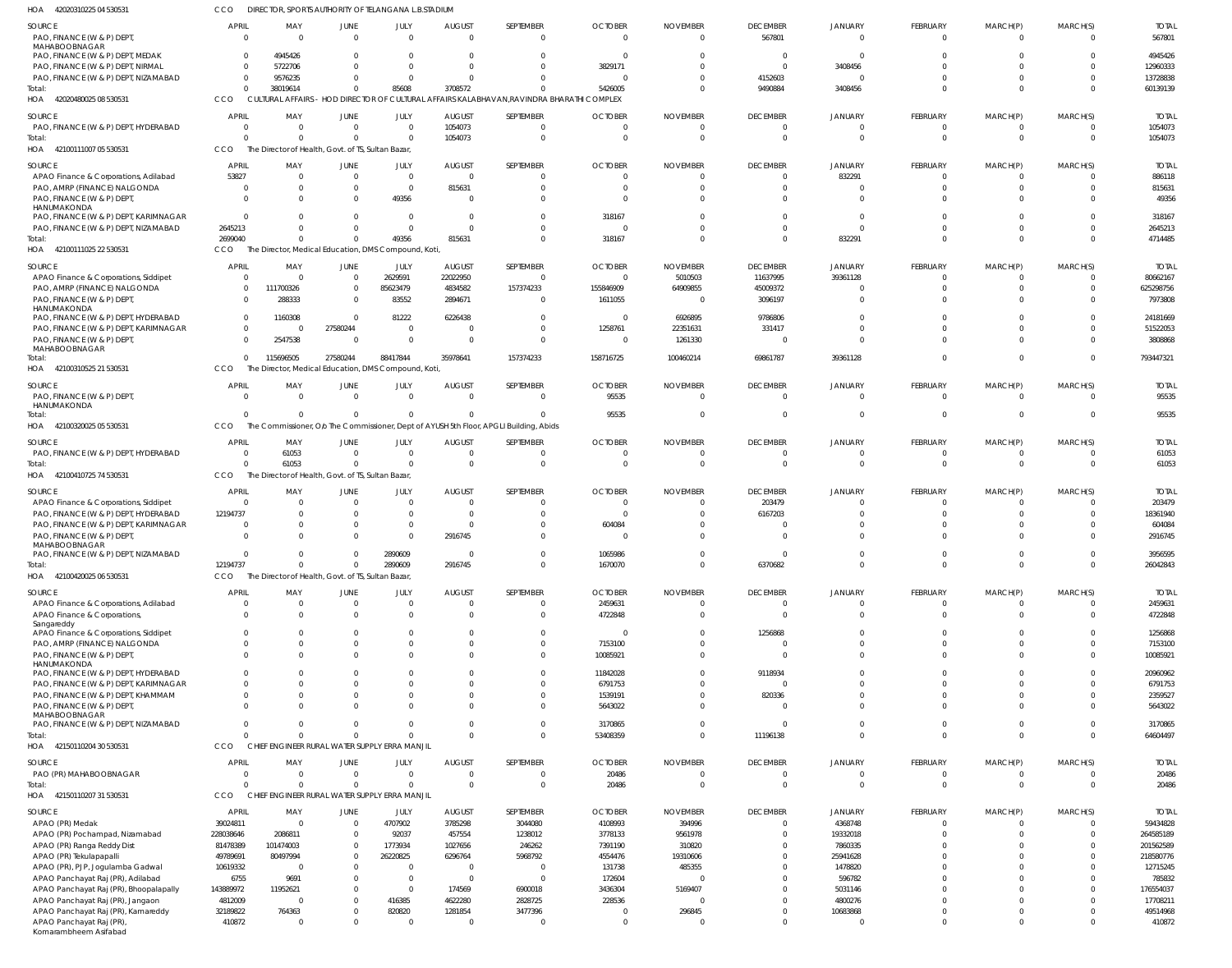42020480025 08 530531 42100111007 05 530531 HOA 42100111025 22 530531 HOA 42100310525 21 530531 HOA 42100320025 05 530531 42100410725 74 530531 HOA 42100420025 06 530531 HOA 42150110204 30 530531 42150110207 31 530531 HOA HOA HOA HOA CULTURAL AFFAIRS - HOD DIRECTOR OF CULTURAL AFFAIRS KALABHAVAN,RAVINDRA BHARATHI COMPLEX The Director of Health, Govt. of TS, Sultan Bazar, The Director, Medical Education, DMS Compound, Koti, The Director, Medical Education, DMS Compound, Koti, The Commissioner, Olo The Commissioner, Dept of AYUSH 5th Floor, APGLI Building, Abids The Director of Health, Govt. of TS, Sultan Bazar, The Director of Health, Govt. of TS, Sultan Bazar, CHIEF ENGINEER RURAL WATER SUPPLY ERRA MANJIL CHIEF ENGINEER RURAL WATER SUPPLY ERRA MANJIL **CCO** CCO CCO CCO. **CCO** CCO **CCO** CCO CCO  $\Omega$ 0 2699040 0  $\sqrt{2}$ 0 12194737 0 0 38019614 0 0 115696505  $\Omega$ 61053  $\Omega$ 0 0  $\Omega$ 0 0 27580244  $\theta$ 0  $\Omega$ 0 0 85608 0 49356 88417844  $\sqrt{2}$ 0 2890609 0 0 3708572 1054073 815631 35978641  $\Omega$ 0 2916745 0  $\Omega$  $\sqrt{2}$ 0 0 157374233  $\sqrt{2}$ 0 0 0 0 5426005 0 318167 158716725 95535 0 1670070 53408359 20486  $\Omega$ 0 0 100460214  $\Omega$ 0  $\Omega$ 0 0 9490884 0 0 69861787  $\Omega$ 0 6370682 11196138 0 3408456 0 832291 39361128  $\Omega$ 0 0 0  $\Omega$  $\sqrt{2}$ 0 0 0  $\bigcap$ 0  $\Omega$ 0 0 0 0 0 0  $\Omega$ 0 0 0 0  $\Omega$ 0 0 0  $\bigcap$ 0  $\Omega$ 0  $\Omega$ 60139139 1054073 4714485 793447321 95535 61053 26042843 64604497 20486 PAO, FINANCE (W & P) DEPT MAHABOOBNAGAR PAO, FINANCE (W & P) DEPT, MEDAK PAO, FINANCE (W & P) DEPT, NIRMAL PAO, FINANCE (W & P) DEPT, NIZAMABAD PAO, FINANCE (W & P) DEPT, HYDERABAD APAO Finance & Corporations, Adilabad PAO, AMRP (FINANCE) NALGONDA PAO, FINANCE (W & P) DEPT, HANUMAKONDA PAO, FINANCE (W & P) DEPT, KARIMNAGAR PAO, FINANCE (W & P) DEPT, NIZAMABAD APAO Finance & Corporations, Siddipet PAO, AMRP (FINANCE) NALGONDA PAO, FINANCE (W & P) DEPT, **HANUMAKONDA** PAO, FINANCE (W & P) DEPT, HYDERABAD PAO, FINANCE (W & P) DEPT, KARIMNAGAR PAO, FINANCE (W & P) DEPT MAHABOOBNAGAR PAO, FINANCE (W & P) DEPT, HANUMAKONDA PAO, FINANCE (W & P) DEPT, HYDERABAD APAO Finance & Corporations, Siddipet PAO, FINANCE (W & P) DEPT, HYDERABAD PAO, FINANCE (W & P) DEPT, KARIMNAGAR PAO, FINANCE (W & P) DEPT, MAHABOOBNAGAR PAO, FINANCE (W & P) DEPT, NIZAMABAD APAO Finance & Corporations, Adilabad APAO Finance & Corporations, Sangareddy APAO Finance & Corporations, Siddipet PAO, AMRP (FINANCE) NALGONDA PAO, FINANCE (W & P) DEPT, **HANUMAKONDA** PAO, FINANCE (W & P) DEPT, HYDERABAD PAO, FINANCE (W & P) DEPT, KARIMNAGAR PAO, FINANCE (W & P) DEPT, KHAMMAM PAO, FINANCE (W & P) DEPT, MAHABOOBNAGAR PAO, FINANCE (W & P) DEPT, NIZAMABAD PAO (PR) MAHABOOBNAGAR APAO (PR) Medak APAO (PR) Pochampad, Nizamabad APAO (PR) Ranga Reddy Dist APAO (PR) Tekulapapalli APAO (PR), PJP, Jogulamba Gadwal APAO Panchayat Raj (PR), Adilabad APAO Panchayat Raj (PR), Bhoopalapally APAO Panchayat Raj (PR), Jangaon APAO Panchayat Raj (PR), Kamareddy APAO Panchayat Raj (PR), SOURCE SOURCE SOURCE **SOURCE** SOURCE SOURCE SOURCE SOURCE SOURCE SOURCE 0 0  $\Omega$ 0  $\Omega$ 53827  $\Omega$  $\Omega$ 0 2645213 0  $\Omega$ 0  $\Omega$ 0 0 0 0 0 12194737  $\mathfrak{g}$  $\Omega$ 0  $\Omega$  $\Omega$ 0  $\mathfrak{g}$ 0  $\mathfrak{g}$  $\Omega$  $\Omega$  $\mathbf{C}$  $\sqrt{2}$ 0 39024811 228038646 81478389 49789691 10619332 6755 143889972 4812009 32189822 410872 APRIL APRIL APRIL **APRIL APRIL** APRIL APRIL APRIL **APRIL APRI**  $\Omega$ 4945426 5722706 9576235  $\Omega$ 0  $\Omega$ 0  $\Omega$  $\Omega$ 0 111700326 288333 1160308 0 2547538 0 61053 0 0  $\Omega$  $\Omega$ 0  $\Omega$  $\Omega$  $\Omega$  $\Omega$ 0  $\Omega$  $\Omega$  $\Omega$ 0  $\Omega$ 0 0 2086811 101474003 80497994 0 9691 11952621 0 764363 0 MAY MAY MAY MAY MAY MAY MAY MAY MAY MAY  $\Omega$ 0  $\Omega$ 0 0 0  $\Omega$ 0 0  $\Omega$ 0  $\Omega$ 0  $\Omega$ 27580244 0 0  $\Omega$ 0 0 0 0 0  $\Omega$ 0  $\Omega$  $\sqrt{2}$ 0  $\sqrt{2}$  $\Omega$  $\Omega$  $\mathbf 0$  $\Omega$ 0 0 0 0  $\Omega$  $\mathbf 0$  $\Omega$ 0 0  $\Omega$ 0 JUNE JUNE JUNE JUNE JUNE JUNE **JUNE** JUNE JUNE JUNE  $\Omega$  $\Omega$  $\bigcap$ 0 0 0  $\Omega$ 49356  $\Omega$  $\sqrt{2}$ 2629591 85623479 83552 81222 0  $\Omega$ 0  $\Omega$ 0  $\Omega$  $\Omega$ 0 2890609  $\Omega$  $\Omega$  $\Omega$ 0 0 0 0  $\bigcap$ 0  $\Omega$ 0 4707902 92037 1773934 26220825 0  $\Omega$ 0 416385 820820 0 JULY JULY JULY JULY JULY JULY JULY JULY JULY JULY 0 0  $\Omega$ 0 1054073 0 815631 0 0  $\Omega$ 22022950 4834582 2894671 6226438 0 0 0 0 0 0  $\Omega$ 2916745 0  $\Omega$ 0 0 0 0 0 0 0 0 0 0 3785298 457554 1027656 6296764 0 0 174569 4622280 1281854 0 AUGUST AUGUST **AUGUST** AUGUST AUGUST AUGUST **AUGUST** AUGUST AUGUST AUGUST  $\Omega$ 0 0 0  $\Omega$ 0  $\Omega$  $\Omega$  $\Omega$ 0 0 157374233 0  $\sqrt{2}$ 0 0 0  $\Omega$ 0 0 0  $\Omega$ 0  $\Omega$  $\Omega$  $\Omega$ 0 0  $\Omega$  $\Omega$  $\Omega$ 0  $\Omega$ 0 3044080 1238012 246262 5968792 0  $\bigcap$ 6900018 2828725 3477396 0 SEPTEMBER SEPTEMBER **SEPTEMBER** SEPTEMBER SEPTEMBER SEPTEMBER **SEPTEMBER** SEPTEMBER SEPTEMBER SEPTEMBER  $\Omega$ 0 3829171 0  $\Omega$ 0  $\Omega$  $\Omega$ 318167 0 0 155846909 1611055  $\Omega$ 1258761 0 95535  $\Omega$ 0  $\Omega$ 604084  $\Omega$ 1065986 2459631 4722848 0 7153100 10085921 11842028 6791753 1539191 5643022 3170865 20486 4108993 3778133 7391190 4554476 131738 172604 3436304 228536 0 0 **OCTOBER OCTOBER** OCTOBER **OCTOBER OCTOBER** OCTOBER **OCTOBER OCTOBER** OCTOBER OCTOBER  $\Omega$ 0 0 0  $\bigcap$ 0  $\Omega$  $\Omega$  $\Omega$ 0 5010503 64909855 0 6926895 22351631 1261330 0 0 0  $\Omega$ 0  $\Omega$ 0 0  $\Omega$  $\Omega$ 0 0 0  $\Omega$ 0 0 0 0 394996 9561978 310820 19310606 485355  $\Omega$ 5169407 0 296845 0 NOVEMBER NOVEMBER NOVEMBER NOVEMBER NOVEMBER NOVEMBER NOVEMBER NOVEMBER NOVEMBER NOVEMBER 567801  $\Omega$  $\bigcap$ 4152603  $\Omega$ 0  $\Omega$ 0  $\Omega$  $\bigcap$ 11637995 45009372 3096197 9786806 331417 0 0  $\Omega$ 203479 6167203 0  $\Omega$ 0  $\Omega$  $\Omega$ 1256868 0 0 9118934  $\Omega$ 820336 0  $\Omega$ 0  $\Omega$ 0  $\Omega$ 0 0 0 0  $\Omega$  $\theta$ 0 DECEMBER DECEMBER **DECEMBER DECEMBER** DECEMBER DECEMBER **DECEMBER** DECEMBER DECEMBER DECEMBER 0 0 3408456  $\mathbf{C}$  $\Omega$ 832291  $\Omega$ 0  $\Omega$  $\sqrt{2}$ 39361128  $\Omega$ 0 0 0 0 0  $\mathfrak{g}$ 0 0 0 0 0  $\Omega$  $\Omega$ 0  $\Omega$ 0  $\Omega$  $\Omega$  $\Omega$ 0  $\Omega$ 0 4368748 19332018 7860335 25941628 1478820 596782 5031146 4800276 10683868 0 JANUARY JANUARY JANUARY JANUARY JANUARY JANUARY JANUARY JANUARY JANUARY **JANUARY** 0  $\Omega$  $\sqrt{2}$ 0  $\Omega$ 0 0 0 0 0 0  $\Omega$ 0 0 0  $\Omega$ 0  $\Omega$ 0 0  $\Omega$  $\Omega$ 0  $\Omega$  $\Omega$  $\Omega$  $\Omega$ 0  $\sqrt{2}$  $\Omega$  $\Omega$ 0  $\Omega$ 0 0 0 0 0 0  $\Omega$ 0  $\Omega$  $\Omega$ 0 FEBRUARY FEBRUARY FEBRUARY FEBRUARY FEBRUARY FEBRUARY FEBRUARY FEBRUARY FEBRUARY FEBRUARY  $\Omega$ 0 0 0  $\Omega$  $\mathbf 0$ 0 0 0  $\Omega$ 0  $\Omega$ 0  $\Omega$ 0 0 0  $\Omega$ 0 0 0 0 0  $\sqrt{2}$  $\Omega$  $\Omega$  $\Omega$ 0  $\Omega$  $\Omega$  $\Omega$ 0  $\Omega$ 0 0 0 0  $\Omega$ 0  $\Omega$ 0 0  $\theta$ 0 MARCH(P) MARCH(P) MARCH(P) MARCH(P) MARCH(P) MARCH(P) MARCH(P) MARCH(P) MARCH(P) MARCH(P)  $\Omega$  $\Omega$ 0 0  $\bigcap$ 0  $\Omega$  $\Omega$  $\Omega$  $\Omega$ 0  $\Omega$ 0  $\Omega$ 0  $\Omega$ 0 0 0  $\Omega$ 0  $\Omega$ 0 0  $\Omega$  $\Omega$ 0 0 0  $\Omega$  $\Omega$ 0  $\Omega$ 0  $\Omega$ 0  $\Omega$ 0 0 0 0  $\Omega$ 0 0 MARCH(S) MARCH(S) MARCH(S) MARCH(S) MARCH(S) MARCH(S) MARCH(S) MARCH(S) MARCH(S) MARCH(S) 567801 4945426 12960333 13728838 1054073 886118 815631 49356 318167 2645213 80662167 625298756 7973808 24181669 51522053 3808868 95535 61053 203479 18361940 604084 2916745 3956595 2459631 4722848 1256868 7153100 10085921 20960962 6791753 2359527 5643022 3170865 20486 59434828 264585189 201562589 218580776 12715245 785832 176554037 17708211 49514968 410872 TOTAL TOTAL TOTAL TOTAL TOTAL TOTAL TOTAL TOTAL TOTAL TOTAL Total: Total: Total: Total: Total: Total: Total: Total: Total:

42020310225 04 530531 HOA

Komarambheem Asifabad

DIRECTOR, SPORTS AUTHORITY OF TELANGANA L.B.STADIUM

CCO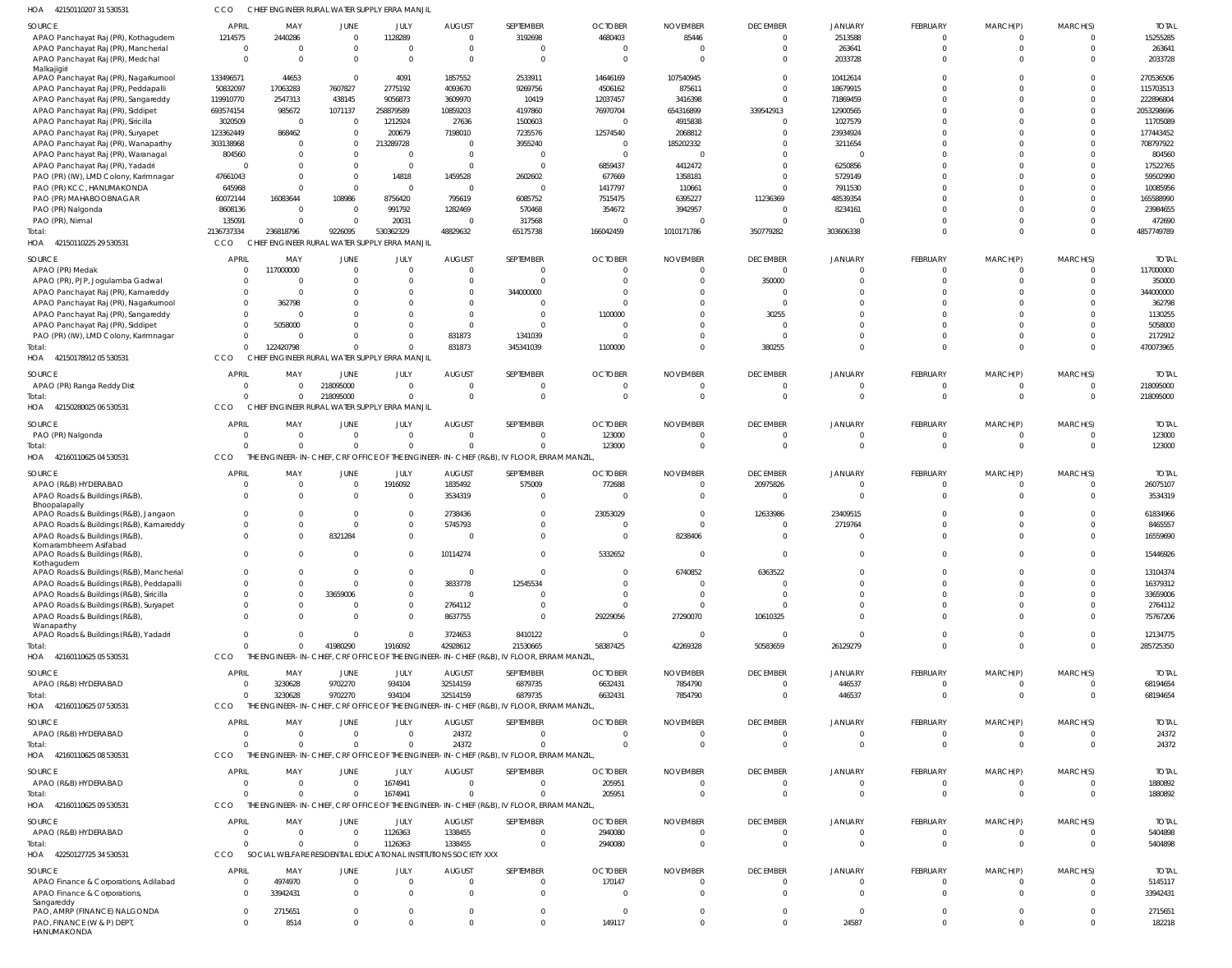| HOA<br>42150110207 31 530531                                                         | CCO                            | CHIEF ENGINEER RURAL WATER SUPPLY ERRA MANJIL                               |                                  |                       |                                  |                                                                                                |                                  |                                |                             |                            |                      |                      |                      |                         |
|--------------------------------------------------------------------------------------|--------------------------------|-----------------------------------------------------------------------------|----------------------------------|-----------------------|----------------------------------|------------------------------------------------------------------------------------------------|----------------------------------|--------------------------------|-----------------------------|----------------------------|----------------------|----------------------|----------------------|-------------------------|
| SOURCE                                                                               | APRIL                          | MAY                                                                         | <b>JUNE</b>                      | JULY                  | <b>AUGUST</b>                    | SEPTEMBER                                                                                      | <b>OCTOBER</b>                   | <b>NOVEMBER</b>                | <b>DECEMBER</b>             | <b>JANUARY</b>             | FEBRUARY             | MARCH(P)             | MARCH(S)             | <b>TOTAI</b>            |
| APAO Panchayat Raj (PR), Kothagudem                                                  | 1214575                        | 2440286                                                                     | $\overline{0}$                   | 1128289               | $\overline{0}$                   | 3192698                                                                                        | 4680403                          | 85446                          | $\Omega$                    | 2513588                    | $\Omega$<br>$\Omega$ | $\Omega$             |                      | 15255285                |
| APAO Panchayat Raj (PR), Mancherial<br>APAO Panchayat Raj (PR), Medchal              | $\overline{0}$<br>$\Omega$     | - 0<br>$\Omega$                                                             | $\mathbf 0$<br>$\Omega$          | $\Omega$<br>$\Omega$  | $\overline{0}$<br>$\overline{0}$ | $\Omega$<br>$\Omega$                                                                           | 0<br>$\Omega$                    | $\overline{0}$<br>$\mathsf{C}$ | $\Omega$<br>$\Omega$        | 263641<br>2033728          |                      | $\Omega$             | $\Omega$<br>$\Omega$ | 263641<br>2033728       |
| Malkajigiri                                                                          |                                |                                                                             |                                  |                       |                                  |                                                                                                |                                  |                                |                             |                            |                      |                      |                      |                         |
| APAO Panchayat Raj (PR), Nagarkurnool<br>APAO Panchayat Raj (PR), Peddapalli         | 133496571<br>50832097          | 44653<br>17063283                                                           | $\overline{0}$<br>7607827        | 4091<br>2775192       | 1857552<br>4093670               | 2533911<br>9269756                                                                             | 14646169<br>4506162              | 107540945<br>875611            | $\Omega$<br>$\Omega$        | 10412614<br>18679915       |                      |                      |                      | 270536506<br>115703513  |
| APAO Panchayat Raj (PR), Sangareddy                                                  | 119910770                      | 2547313                                                                     | 438145                           | 9056873               | 3609970                          | 10419                                                                                          | 12037457                         | 3416398                        | $\Omega$                    | 71869459                   |                      |                      |                      | 222896804               |
| APAO Panchayat Raj (PR), Siddipet                                                    | 693574154                      | 985672                                                                      | 1071137                          | 258879589             | 10859203                         | 4197860                                                                                        | 76970704                         | 654316899                      | 339542913                   | 12900565                   |                      |                      |                      | 2053298696              |
| APAO Panchayat Raj (PR), Siricilla                                                   | 3020509                        | $\overline{\mathbf{0}}$                                                     | $\overline{0}$                   | 1212924               | 27636                            | 1500603                                                                                        | $\Omega$                         | 4915838                        | $\Omega$                    | 1027579                    |                      |                      |                      | 11705089                |
| APAO Panchayat Raj (PR), Suryapet                                                    | 123362449                      | 868462                                                                      | $\overline{0}$                   | 200679                | 7198010                          | 7235576                                                                                        | 12574540                         | 2068812                        | $\Omega$                    | 23934924                   |                      |                      |                      | 177443452               |
| APAO Panchayat Raj (PR), Wanaparthy<br>APAO Panchayat Raj (PR), Waranagal            | 303138968<br>804560            | - 0<br>$\Omega$                                                             | $\overline{0}$<br>$\Omega$       | 213289728<br>$\Omega$ | $\overline{0}$<br>$\overline{0}$ | 3955240<br>$\overline{0}$                                                                      | $\overline{0}$<br>$\overline{0}$ | 185202332<br>$\mathsf{C}$      | $\Omega$<br>$\Omega$        | 3211654<br>$\Omega$        |                      |                      |                      | 708797922<br>804560     |
| APAO Panchayat Raj (PR), Yadadri                                                     | $\Omega$                       | $\Omega$                                                                    | $\overline{0}$                   | - 0                   | $\overline{0}$                   | $\Omega$                                                                                       | 6859437                          | 4412472                        | $\Omega$                    | 6250856                    |                      |                      |                      | 17522765                |
| PAO (PR) (IW), LMD Colony, Karimnagar                                                | 47661043                       | $\Omega$                                                                    | $\mathbf 0$                      | 14818                 | 1459528                          | 2602602                                                                                        | 677669                           | 1358181                        | $\Omega$                    | 5729149                    |                      |                      |                      | 59502990                |
| PAO (PR) KCC, HANUMAKONDA                                                            | 645968                         | $\Omega$                                                                    | $\overline{0}$                   | $\Omega$              | $\overline{0}$                   | $\Omega$                                                                                       | 1417797                          | 110661                         | $\cap$                      | 7911530                    |                      |                      |                      | 10085956                |
| PAO (PR) MAHABOOBNAGAR                                                               | 60072144                       | 16083644                                                                    | 108986                           | 8756420               | 795619                           | 6085752                                                                                        | 7515475                          | 6395227                        | 11236369                    | 48539354                   |                      |                      |                      | 165588990               |
| PAO (PR) Nalgonda<br>PAO (PR), Nirmal                                                | 8608136<br>135091              | $\overline{\mathbf{0}}$<br>- 0                                              | $\overline{0}$<br>$\overline{0}$ | 991792<br>20031       | 1282469<br>$\overline{0}$        | 570468<br>317568                                                                               | 354672<br>$\overline{0}$         | 3942957<br>$\overline{0}$      | $\Omega$<br>$\Omega$        | 8234161                    |                      |                      |                      | 23984655<br>472690      |
| Total:                                                                               | 2136737334                     | 236818796                                                                   | 9226095                          | 530362329             | 48829632                         | 65175738                                                                                       | 166042459                        | 1010171786                     | 350779282                   | 303606338                  | $\Omega$             |                      | $\Omega$             | 4857749789              |
| HOA<br>42150110225 29 530531                                                         | CCO                            | CHIEF ENGINEER RURAL WATER SUPPLY ERRA MANJIL                               |                                  |                       |                                  |                                                                                                |                                  |                                |                             |                            |                      |                      |                      |                         |
| SOURCE                                                                               | <b>APRIL</b>                   | MAY                                                                         | JUNE                             | JULY                  | <b>AUGUST</b>                    | SEPTEMBER                                                                                      | <b>OCTOBER</b>                   | <b>NOVEMBER</b>                | <b>DECEMBER</b>             | <b>JANUARY</b>             | FEBRUARY             | MARCH(P)             | MARCH(S)             | <b>TOTAI</b>            |
| APAO (PR) Medak                                                                      | $\Omega$                       | 117000000                                                                   | $\overline{0}$                   | $\Omega$              | $\overline{0}$                   | $\overline{0}$                                                                                 | $\overline{0}$                   | $\overline{0}$                 | $\Omega$                    | $\Omega$                   | $\mathbf 0$          | $\Omega$             | $\Omega$             | 117000000               |
| APAO (PR), PJP, Jogulamba Gadwal                                                     | $\Omega$                       | - 0                                                                         | 0                                | $\Omega$              | $\overline{0}$                   | $\Omega$                                                                                       | $\Omega$                         | $\Omega$                       | 350000                      | $\Omega$                   |                      |                      | $\Omega$             | 350000                  |
| APAO Panchayat Raj (PR), Kamareddy                                                   | $\Omega$                       | $\overline{0}$                                                              | $\Omega$                         | - 0                   | $\mathbf{0}$                     | 344000000                                                                                      | $\Omega$<br>$\Omega$             | C<br>$\Omega$                  | $\Omega$<br>$\Omega$        | $\Omega$<br>$\cap$         |                      |                      |                      | 344000000               |
| APAO Panchayat Raj (PR), Nagarkurnool<br>APAO Panchayat Raj (PR), Sangareddy         | $\overline{0}$<br>$\Omega$     | 362798<br>- 0                                                               | -0<br>$\Omega$                   |                       | $\overline{0}$<br>$\overline{0}$ | $\Omega$<br>$\Omega$                                                                           | 1100000                          | $\Omega$                       | 30255                       | $\cap$                     |                      |                      |                      | 362798<br>1130255       |
| APAO Panchayat Raj (PR), Siddipet                                                    | $\Omega$                       | 5058000                                                                     | $\Omega$                         | $\Omega$              | $\overline{0}$                   | $\Omega$                                                                                       | $\Omega$                         | $\Omega$                       | $\Omega$                    | $\cap$                     |                      |                      |                      | 5058000                 |
| PAO (PR) (IW), LMD Colony, Karimnagar                                                | $\overline{0}$                 | $\overline{\mathbf{0}}$                                                     | $\Omega$                         |                       | 831873                           | 1341039                                                                                        | $\overline{0}$                   | $\Omega$                       | $\Omega$                    | $\Omega$                   |                      |                      | $\Omega$             | 2172912                 |
| Total:                                                                               | $\Omega$                       | 122420798                                                                   | $\Omega$                         |                       | 831873                           | 345341039                                                                                      | 1100000                          | $\Omega$                       | 380255                      | $\Omega$                   | $\Omega$             | $\Omega$             | $\Omega$             | 470073965               |
| HOA 4215017891205530531                                                              | CCO                            | CHIEF ENGINEER RURAL WATER SUPPLY ERRA MANJIL                               |                                  |                       |                                  |                                                                                                |                                  |                                |                             |                            |                      |                      |                      |                         |
| SOURCE                                                                               | <b>APRIL</b>                   | MAY                                                                         | JUNE                             | JULY                  | <b>AUGUST</b>                    | SEPTEMBER                                                                                      | <b>OCTOBER</b>                   | <b>NOVEMBER</b>                | <b>DECEMBER</b>             | <b>JANUARY</b>             | FEBRUARY             | MARCH(P)             | MARCH(S)             | <b>TOTAI</b>            |
| APAO (PR) Ranga Reddy Dist                                                           | $\overline{0}$<br>$\Omega$     | $\overline{0}$                                                              | 218095000                        | $\Omega$<br>$\Omega$  | $\Omega$<br>$\mathbf 0$          | $\Omega$                                                                                       | $\Omega$                         | $\Omega$<br>$\Omega$           | $\Omega$<br>$\Omega$        | $\Omega$<br>$\Omega$       | 0                    | $\Omega$             | $\Omega$<br>$\Omega$ | 218095000               |
| Total:<br>HOA 42150280025 06 530531                                                  | CCO                            | $\overline{0}$<br>CHIEF ENGINEER RURAL WATER SUPPLY ERRA MANJIL             | 218095000                        |                       |                                  | $\overline{0}$                                                                                 | $\overline{0}$                   |                                |                             |                            | $\mathbf 0$          |                      |                      | 218095000               |
| SOURCE                                                                               | <b>APRIL</b>                   | MAY                                                                         | JUNE                             | JULY                  | <b>AUGUST</b>                    | SEPTEMBER                                                                                      | <b>OCTOBER</b>                   | <b>NOVEMBER</b>                | <b>DECEMBER</b>             | <b>JANUARY</b>             | FEBRUARY             | MARCH(P)             | MARCH(S)             | <b>TOTAL</b>            |
| PAO (PR) Nalgonda                                                                    | $\overline{0}$                 | $\overline{\mathbf{0}}$                                                     | $\overline{0}$                   | $\Omega$              | $\overline{0}$                   | $\mathbf 0$                                                                                    | 123000                           | $\mathbf 0$                    | $\Omega$                    | $\Omega$                   | 0                    | 0                    |                      | 123000                  |
| Total:                                                                               | $\Omega$                       | $\Omega$                                                                    | $\Omega$                         | $\Omega$              | $\Omega$                         | $\Omega$                                                                                       | 123000                           | $\overline{0}$                 | $\Omega$                    | $\Omega$                   | $\mathbf 0$          | $\mathbf 0$          | $\Omega$             | 123000                  |
| HOA 42160110625 04 530531                                                            | CCO                            |                                                                             |                                  |                       |                                  | THE ENGINEER-IN-CHIEF, CRF OFFICE OF THE ENGINEER-IN-CHIEF (R&B), IV FLOOR, ERRAM MANZIL       |                                  |                                |                             |                            |                      |                      |                      |                         |
| SOURCE                                                                               | APRIL                          | MAY                                                                         | JUNE                             | JULY                  | <b>AUGUST</b>                    | SEPTEMBER                                                                                      | <b>OCTOBER</b>                   | <b>NOVEMBER</b>                | <b>DECEMBER</b>             | <b>JANUARY</b>             | FEBRUARY             | MARCH(P)             | MARCH(S)             | <b>TOTAL</b>            |
| APAO (R&B) HYDERABAD                                                                 | $\overline{0}$                 | $\overline{\mathbf{0}}$                                                     | $\overline{0}$                   | 1916092               | 1835492                          | 575009                                                                                         | 772688                           | $\overline{0}$                 | 20975826                    | $\Omega$                   | $\mathbf 0$          |                      |                      | 26075107                |
| APAO Roads & Buildings (R&B)                                                         | $\Omega$                       | $\Omega$                                                                    | $\overline{0}$                   | - 0                   | 3534319                          | $\Omega$                                                                                       | $\Omega$                         | $\Omega$                       | $\Omega$                    | $\Omega$                   | $\Omega$             | $\Omega$             | $\Omega$             | 3534319                 |
| Bhoopalapally<br>APAO Roads & Buildings (R&B), Jangaon                               | $\Omega$                       | $\overline{0}$                                                              | $\overline{0}$                   | $\Omega$              | 2738436                          | $\Omega$                                                                                       | 23053029                         | $\Omega$                       | 12633986                    | 23409515                   |                      |                      |                      | 61834966                |
| APAO Roads & Buildings (R&B), Kamareddy                                              | $\Omega$                       | $\Omega$                                                                    | $\overline{0}$                   | $\Omega$              | 5745793                          | $\Omega$                                                                                       | 0                                | C                              | $\Omega$                    | 2719764                    |                      |                      |                      | 8465557                 |
| APAO Roads & Buildings (R&B)<br>Komarambheem Asifabad                                | $\Omega$                       | $\Omega$                                                                    | 8321284                          | $\Omega$              | $\Omega$                         | $\Omega$                                                                                       | $\Omega$                         | 8238406                        | $\Omega$                    |                            |                      |                      |                      | 16559690                |
| APAO Roads & Buildings (R&B)                                                         | 0                              |                                                                             | 0                                | $\mathbf 0$           | 10114274                         |                                                                                                | 5332652                          |                                |                             |                            |                      |                      |                      | 15446926                |
| Kothagudem                                                                           |                                |                                                                             |                                  |                       |                                  |                                                                                                |                                  |                                |                             |                            |                      |                      |                      |                         |
| APAO Roads & Buildings (R&B), Mancherial<br>APAO Roads & Buildings (R&B), Peddapalli | $\mathbf 0$<br>$\overline{0}$  | 0<br>$\Omega$                                                               | 0<br>0                           | $\Omega$<br>$\Omega$  | $\overline{0}$<br>3833778        | $\mathbf 0$<br>12545534                                                                        | 0<br>$\Omega$                    | 6740852<br>$\Omega$            | 6363522<br>- 0              | $\Omega$                   | $\Omega$             | $\Omega$             |                      | 13104374<br>16379312    |
| APAO Roads & Buildings (R&B), Siricilla                                              | $\mathbf 0$                    | $\overline{0}$                                                              | 33659006                         | $\Omega$              | $\overline{0}$                   | $\Omega$                                                                                       | 0                                | - 0                            | $\Omega$                    | $\cap$                     |                      |                      |                      | 33659006                |
| APAO Roads & Buildings (R&B), Suryapet                                               | $\mathbf 0$                    | $\Omega$                                                                    | $\Omega$                         | $\Omega$              | 2764112                          | $\Omega$                                                                                       | $\Omega$                         | C                              | - 0                         | $\Omega$                   |                      |                      |                      | 2764112                 |
| APAO Roads & Buildings (R&B),                                                        | $\Omega$                       | $\Omega$                                                                    | $\Omega$                         | $\Omega$              | 8637755                          | $\Omega$                                                                                       | 29229056                         | 27290070                       | 10610325                    | $\cap$                     |                      |                      |                      | 75767206                |
| Wanaparthy<br>APAO Roads & Buildings (R&B), Yadadri                                  | $\Omega$                       | $\Omega$                                                                    | $\mathbf 0$                      | $\Omega$              | 3724653                          | 8410122                                                                                        | - 0                              | - 0                            | $\cap$                      |                            |                      | 0                    |                      | 12134775                |
| Total:                                                                               | $\Omega$                       | $\Omega$                                                                    | 41980290                         | 1916092               | 42928612                         | 21530665                                                                                       | 58387425                         | 42269328                       | 50583659                    | 26129279                   | $\Omega$             | $\Omega$             | $\Omega$             | 285725350               |
| HOA 42160110625 05 530531                                                            | CCO                            |                                                                             |                                  |                       |                                  | THE ENGINEER-IN-CHIEF, CRF OFFICE OF THE ENGINEER-IN-CHIEF (R&B), IV FLOOR, ERRAM MANZIL       |                                  |                                |                             |                            |                      |                      |                      |                         |
| SOURCE                                                                               | <b>APRIL</b>                   | MAY                                                                         | JUNE                             | JULY                  | <b>AUGUST</b>                    | SEPTEMBER                                                                                      | <b>OCTOBER</b>                   | <b>NOVEMBER</b>                | <b>DECEMBER</b>             | <b>JANUARY</b>             | FEBRUARY             | MARCH(P)             | MARCH(S)             | <b>TOTAL</b>            |
| APAO (R&B) HYDERABAD                                                                 | $\overline{0}$                 | 3230628                                                                     | 9702270                          | 934104                | 32514159                         | 6879735                                                                                        | 6632431                          | 7854790                        | $\Omega$                    | 446537                     | 0                    |                      |                      | 68194654                |
| Total:<br>HOA 42160110625 07 530531                                                  | $\Omega$<br>CCO                | 3230628<br>THE E                                                            | 9702270                          | 934104                | 32514159                         | 6879735<br>NGINEER-IN-CHIEF, CRF OFFICE OF THE ENGINEER-IN-CHIEF (R&B), IV FLOOR, ERRAM MANZIL | 6632431                          | 7854790                        | $\Omega$                    | 446537                     | $\mathbf 0$          | $\mathbf{0}$         | $\Omega$             | 68194654                |
|                                                                                      |                                |                                                                             |                                  |                       |                                  |                                                                                                |                                  |                                |                             |                            |                      |                      |                      |                         |
| SOURCE<br>APAO (R&B) HYDERABAD                                                       | <b>APRIL</b><br>$\overline{0}$ | MAY<br>$\overline{\mathbf{0}}$                                              | JUNE<br>$\overline{0}$           | JULY<br>$\Omega$      | <b>AUGUST</b><br>24372           | SEPTEMBER<br>$\mathbf 0$                                                                       | <b>OCTOBER</b><br>$\overline{0}$ | <b>NOVEMBER</b><br>0           | <b>DECEMBER</b><br>- 0      | <b>JANUARY</b><br>$\Omega$ | FEBRUARY<br>0        | MARCH(P)<br>$\Omega$ | MARCH(S)             | <b>TOTAL</b><br>24372   |
| Total:                                                                               | $\Omega$                       | $\Omega$                                                                    | $\Omega$                         | $\Omega$              | 24372                            | $\Omega$                                                                                       | $\Omega$                         | $\Omega$                       | $\Omega$                    | $\Omega$                   | $\Omega$             | $\Omega$             | $\Omega$             | 24372                   |
| HOA 42160110625 08 530531                                                            | CCO                            |                                                                             |                                  |                       |                                  | THE ENGINEER-IN-CHIEF, CRF OFFICE OF THE ENGINEER-IN-CHIEF (R&B), IV FLOOR, ERRAM MANZIL       |                                  |                                |                             |                            |                      |                      |                      |                         |
| SOURCE                                                                               | <b>APRIL</b>                   | MAY                                                                         | JUNE                             | JULY                  | <b>AUGUST</b>                    | SEPTEMBER                                                                                      | <b>OCTOBER</b>                   | <b>NOVEMBER</b>                | <b>DECEMBER</b>             | <b>JANUARY</b>             | <b>FEBRUARY</b>      | MARCH(P)             | MARCH(S)             | <b>TOTAL</b>            |
| APAO (R&B) HYDERABAD                                                                 | $\overline{\mathbf{0}}$        | $\overline{\mathbf{0}}$                                                     | $\overline{0}$                   | 1674941               | $\overline{0}$                   | $\overline{0}$                                                                                 | 205951                           | $\overline{0}$                 | $\Omega$                    | $\Omega$                   | $\mathbf 0$          | 0                    | $\Omega$             | 1880892                 |
| Total:                                                                               | $\Omega$                       | - 0                                                                         | $\Omega$                         | 1674941               | $\Omega$                         | $\Omega$                                                                                       | 205951                           | $\Omega$                       | $\Omega$                    | $\Omega$                   | $\mathbf 0$          | $\mathbf{0}$         | $\Omega$             | 1880892                 |
| HOA 42160110625 09 530531                                                            | CCO                            |                                                                             |                                  |                       |                                  | THE ENGINEER-IN-CHIEF, CRF OFFICE OF THE ENGINEER-IN-CHIEF (R&B), IV FLOOR, ERRAM MANZIL       |                                  |                                |                             |                            |                      |                      |                      |                         |
| SOURCE                                                                               | <b>APRIL</b>                   | MAY                                                                         | JUNE                             | JULY                  | <b>AUGUST</b>                    | SEPTEMBER                                                                                      | <b>OCTOBER</b>                   | <b>NOVEMBER</b>                | <b>DECEMBER</b>             | <b>JANUARY</b>             | FEBRUARY             | MARCH(P)             | MARCH(S)             | <b>TOTAL</b>            |
| APAO (R&B) HYDERABAD                                                                 | $\overline{\mathbf{0}}$        | $\overline{\mathbf{0}}$                                                     | $\overline{0}$                   | 1126363               | 1338455                          | $\Omega$                                                                                       | 2940080                          | $\Omega$                       | - 0                         | $\Omega$                   | 0                    | $\Omega$             |                      | 5404898                 |
| Total:<br>HOA 42250127725 34 530531                                                  | $\Omega$<br>CCO                | $\Omega$<br>SOCIAL WELFARE RESIDENTIAL EDUCATIONAL INSTITUTIONS SOCIETY XXX | $\overline{0}$                   | 1126363               | 1338455                          | $\mathbf 0$                                                                                    | 2940080                          | $\overline{0}$                 | $\Omega$                    | $\Omega$                   | $\mathbf 0$          | $\mathbf 0$          | $\Omega$             | 5404898                 |
|                                                                                      |                                |                                                                             |                                  |                       |                                  |                                                                                                |                                  |                                |                             |                            |                      |                      |                      |                         |
| SOURCE<br>APAO Finance & Corporations, Adilabad                                      | <b>APRIL</b><br>$\overline{0}$ | MAY<br>4974970                                                              | JUNE<br>$\mathbf 0$              | JULY<br>$\Omega$      | <b>AUGUST</b><br>$\overline{0}$  | SEPTEMBER<br>0                                                                                 | <b>OCTOBER</b><br>170147         | <b>NOVEMBER</b><br>0           | <b>DECEMBER</b><br>$\Omega$ | <b>JANUARY</b><br>$\Omega$ | FEBRUARY<br>0        | MARCH(P)             | MARCH(S)             | <b>TOTAL</b><br>5145117 |
| APAO Finance & Corporations,                                                         | $\Omega$                       | 33942431                                                                    | $\Omega$                         | $\Omega$              | $\Omega$                         | $\mathbf 0$                                                                                    | $\overline{0}$                   | $\Omega$                       | $\Omega$                    | $\Omega$                   | $\Omega$             | $\Omega$             | $\Omega$             | 33942431                |
| Sangareddy<br>PAO, AMRP (FINANCE) NALGONDA                                           | $\overline{0}$                 |                                                                             |                                  | $\Omega$              | $\overline{0}$                   | $\overline{0}$                                                                                 |                                  |                                | $\Omega$                    | $\Omega$                   |                      |                      | $\Omega$             |                         |
| PAO, FINANCE (W & P) DEPT,<br>HANUMAKONDA                                            | $\Omega$                       | 2715651<br>8514                                                             | 0<br>$\mathbf 0$                 |                       | $\mathbf{0}$                     | $\mathbf 0$                                                                                    | 0<br>149117                      | 0<br>$\overline{0}$            | $\Omega$                    | 24587                      | 0<br>$\mathbf 0$     | 0<br>$\mathbf 0$     | $\Omega$             | 2715651<br>182218       |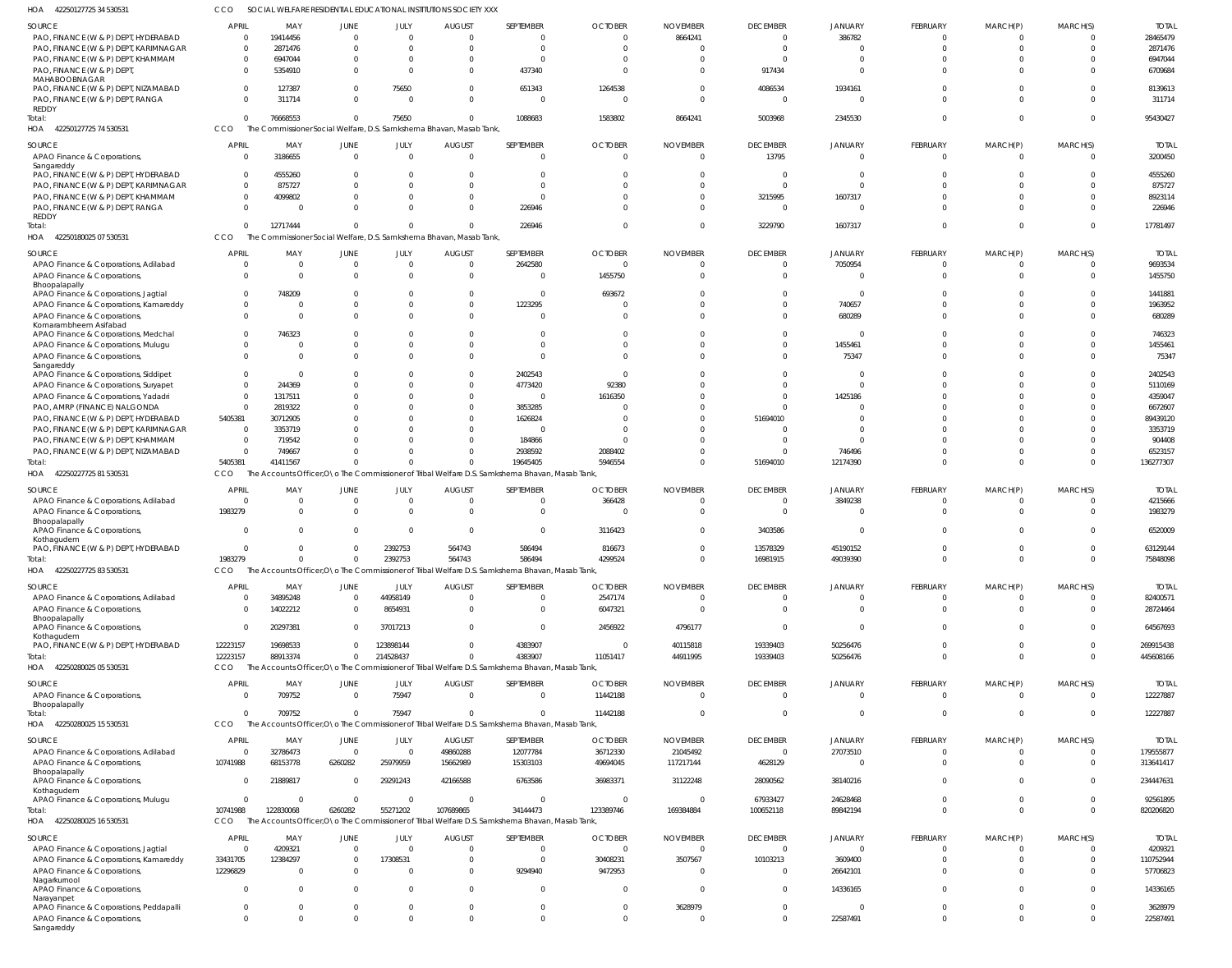42250127725 34 530531 HOA CCO SOCIAL WELFARE RESIDENTIAL EDUCATIONAL INSTITUTIONS SOCIETY XXX

| SOURCE                                                                      | <b>APRIL</b>   | MAY         | JUNE                   |                      | <b>AUGUST</b>                                                       | SEPTEMBER                                                                                        | <b>OCTOBER</b>             | <b>NOVEMBER</b> | <b>DECEMBER</b>          | <b>JANUARY</b>             | <b>FEBRUARY</b>         | MARCH(P)                | MARCH(S)             | <b>TOTAI</b>      |
|-----------------------------------------------------------------------------|----------------|-------------|------------------------|----------------------|---------------------------------------------------------------------|--------------------------------------------------------------------------------------------------|----------------------------|-----------------|--------------------------|----------------------------|-------------------------|-------------------------|----------------------|-------------------|
| PAO, FINANCE (W & P) DEPT, HYDERABAD                                        | $\overline{0}$ | 19414456    | $\mathbf 0$            | JULY<br>$\mathbf{0}$ |                                                                     | $\Omega$                                                                                         | $\Omega$                   | 8664241         |                          | 386782                     | $\mathbf 0$             | $\Omega$                |                      | 28465479          |
| PAO, FINANCE (W & P) DEPT, KARIMNAGAR                                       | $\Omega$       | 2871476     | $\Omega$               | $\Omega$             |                                                                     | $\Omega$                                                                                         | $\Omega$                   |                 | $\Omega$                 | $\Omega$                   | $\Omega$                | $\Omega$                | $\Omega$             | 2871476           |
| PAO, FINANCE (W & P) DEPT, KHAMMAM                                          | $\Omega$       | 6947044     | $\Omega$               | $\Omega$             |                                                                     | $\Omega$                                                                                         | $\cap$                     |                 | $\Omega$                 | $\Omega$                   | $\Omega$                |                         | $\Omega$             | 6947044           |
| PAO, FINANCE (W & P) DEPT,                                                  | $\Omega$       | 5354910     | $\Omega$               | $\Omega$             |                                                                     | 437340                                                                                           | $\Omega$                   |                 | 917434                   | $\Omega$                   | $\Omega$                | $\Omega$                | $\Omega$             | 6709684           |
| MAHABOOBNAGAR<br>PAO, FINANCE (W & P) DEPT, NIZAMABAD                       | $\Omega$       | 127387      | $^{\circ}$             | 75650                |                                                                     | 651343                                                                                           | 1264538                    |                 | 4086534                  | 1934161                    | $\cup$                  |                         |                      | 8139613           |
| PAO, FINANCE (W & P) DEPT, RANGA<br><b>REDDY</b>                            | $\Omega$       | 311714      | $\Omega$               | $\Omega$             | $\Omega$                                                            | $\Omega$                                                                                         | $\Omega$                   |                 | $\Omega$                 | $\Omega$                   | $\Omega$                | $\Omega$                | $\Omega$             | 311714            |
| Total:                                                                      | $\Omega$       | 76668553    | $\Omega$               | 75650                |                                                                     | 1088683                                                                                          | 1583802                    | 8664241         | 5003968                  | 2345530                    | $\Omega$                | $\Omega$                | $\Omega$             | 95430427          |
| 42250127725 74 530531<br>HOA                                                | CCO            |             |                        |                      | The Commissioner Social Welfare, D.S. Samkshema Bhavan, Masab Tank, |                                                                                                  |                            |                 |                          |                            |                         |                         |                      |                   |
| <b>SOURCE</b>                                                               | <b>APRII</b>   | MAY         |                        |                      |                                                                     | SEPTEMBER                                                                                        |                            | <b>NOVEMBER</b> |                          |                            |                         |                         |                      | <b>TOTAL</b>      |
| APAO Finance & Corporations,                                                | - 0            | 3186655     | JUNE<br>$\overline{0}$ | JULY<br>$\mathbf 0$  | <b>AUGUST</b><br>$\Omega$                                           | $\mathbf 0$                                                                                      | <b>OCTOBER</b><br>$\Omega$ | $\cap$          | <b>DECEMBER</b><br>13795 | <b>JANUARY</b><br>$\Omega$ | FEBRUARY<br>$\mathbf 0$ | MARCH(P)<br>$\mathbf 0$ | MARCH(S)<br>$\Omega$ | 3200450           |
| Sangareddy                                                                  |                |             |                        |                      |                                                                     |                                                                                                  |                            |                 |                          |                            |                         |                         |                      |                   |
| PAO, FINANCE (W & P) DEPT, HYDERABAD                                        | $\cap$         | 4555260     | $\Omega$               | $\Omega$             |                                                                     | $\Omega$                                                                                         |                            |                 | $\Omega$                 | $\Omega$                   | $\sqrt{ }$              |                         | $\Omega$             | 4555260           |
| PAO, FINANCE (W & P) DEPT, KARIMNAGAR                                       | $\Omega$       | 875727      | $\Omega$               | $\Omega$             |                                                                     | $\mathbf 0$                                                                                      |                            |                 | $\Omega$                 | $\Omega$                   | $\sqrt{ }$              |                         | $\Omega$             | 875727            |
| PAO, FINANCE (W & P) DEPT, KHAMMAM                                          |                | 4099802     | $\Omega$               | $\Omega$             |                                                                     | $\Omega$                                                                                         |                            |                 | 3215995                  | 1607317                    | $\cup$                  |                         | $\cap$               | 8923114           |
| PAO, FINANCE (W & P) DEPT, RANGA                                            | $\Omega$       |             | $\Omega$               | $\Omega$             |                                                                     | 226946                                                                                           |                            |                 | $\Omega$                 | $\Omega$                   | $\Omega$                | $\Omega$                | $\Omega$             | 226946            |
| <b>REDDY</b>                                                                |                |             |                        |                      |                                                                     |                                                                                                  |                            |                 |                          |                            |                         |                         |                      |                   |
| Total:                                                                      | $\cap$         | 12717444    | $\overline{0}$         | $\mathbf{0}$         | $\Omega$                                                            | 226946                                                                                           |                            |                 | 3229790                  | 1607317                    | $\Omega$                | $\Omega$                | $\Omega$             | 17781497          |
| HOA<br>42250180025 07 530531                                                | <b>CCO</b>     |             |                        |                      | The Commissioner Social Welfare, D.S. Samkshema Bhavan, Masab Tank, |                                                                                                  |                            |                 |                          |                            |                         |                         |                      |                   |
| SOURCE                                                                      | <b>APRIL</b>   | MAY         | <b>JUNE</b>            | JULY                 | <b>AUGUST</b>                                                       | SEPTEMBER                                                                                        | <b>OCTOBER</b>             | <b>NOVEMBER</b> | <b>DECEMBER</b>          | <b>JANUARY</b>             | <b>FEBRUARY</b>         | MARCH(P)                | MARCH(S)             | <b>TOTAI</b>      |
| APAO Finance & Corporations, Adilabad                                       |                | $\Omega$    | $\mathbf 0$            | $\mathbf{0}$         | $\Omega$                                                            | 2642580                                                                                          | $\Omega$                   |                 | $\Omega$                 | 7050954                    | $\mathbf 0$             | 0                       | $\Omega$             | 9693534           |
| APAO Finance & Corporations,                                                | $\Omega$       | $\Omega$    | $\Omega$               | $\mathbf 0$          | $\Omega$                                                            | $\Omega$                                                                                         | 1455750                    |                 | $\Omega$                 | $\Omega$                   | $\mathbf 0$             | $\Omega$                | $\Omega$             | 1455750           |
| Bhoopalapally                                                               |                |             |                        |                      |                                                                     |                                                                                                  |                            |                 |                          |                            |                         |                         |                      |                   |
| APAO Finance & Corporations, Jagtial                                        |                | 748209      | $\Omega$               | $\Omega$             |                                                                     | $\mathbf 0$                                                                                      | 693672                     |                 |                          | $\Omega$                   | $\cup$                  |                         |                      | 1441881           |
| APAO Finance & Corporations, Kamareddy                                      | $\Omega$       | $\Omega$    | $\Omega$               | $\Omega$             | $\Omega$                                                            | 1223295                                                                                          | $\Omega$                   |                 |                          | 740657                     | $\sqrt{ }$              |                         | $\Omega$             | 1963952           |
| APAO Finance & Corporations,                                                | $\Omega$       | $\Omega$    | $\Omega$               | $\Omega$             |                                                                     | $\Omega$                                                                                         | $\Omega$                   |                 |                          | 680289                     | $\Omega$                | U                       | $\Omega$             | 680289            |
| Komarambheem Asifabad                                                       | $\Omega$       |             | $\Omega$               | $\Omega$             |                                                                     | $\Omega$                                                                                         |                            |                 |                          | $\Omega$                   | $\cup$                  |                         | $\cap$               |                   |
| APAO Finance & Corporations, Medchal<br>APAO Finance & Corporations, Mulugu |                | 746323      | $\Omega$               | $\Omega$             |                                                                     | $\mathbf 0$                                                                                      | $\Omega$                   |                 |                          | 1455461                    | $\sqrt{ }$              |                         |                      | 746323<br>1455461 |
| APAO Finance & Corporations,                                                | $\Omega$       | $\Omega$    | $\Omega$               | $\Omega$             |                                                                     | $\Omega$                                                                                         | $\Omega$                   |                 |                          | 75347                      | $\Omega$                | n                       | $\Omega$             | 75347             |
| Sangareddy                                                                  |                |             |                        |                      |                                                                     |                                                                                                  |                            |                 |                          |                            |                         |                         |                      |                   |
| APAO Finance & Corporations, Siddipet                                       | $\Omega$       | $\Omega$    | $\Omega$               | $\Omega$             |                                                                     | 2402543                                                                                          |                            |                 |                          | $\Omega$                   | $\cup$                  |                         |                      | 2402543           |
| APAO Finance & Corporations, Suryapet                                       | $\Omega$       | 244369      | $\Omega$               | $\Omega$             | $\Omega$                                                            | 4773420                                                                                          | 92380                      |                 |                          | $\Omega$                   | n                       |                         | $\cap$               | 5110169           |
| APAO Finance & Corporations, Yadadri                                        | $\Omega$       | 1317511     | $\Omega$               | $\Omega$             |                                                                     | 0                                                                                                | 1616350                    |                 |                          | 1425186                    | $\cup$                  |                         |                      | 4359047           |
| PAO, AMRP (FINANCE) NALGONDA                                                | $\Omega$       | 2819322     | $\Omega$               | $\Omega$             |                                                                     | 3853285                                                                                          |                            |                 |                          | $\Omega$                   | n                       |                         |                      | 6672607           |
| PAO, FINANCE (W & P) DEPT, HYDERABAD                                        | 5405381        | 30712905    | $\Omega$               | $\Omega$             |                                                                     | 1626824                                                                                          |                            |                 | 51694010                 | $\Omega$                   | n                       |                         |                      | 89439120          |
| PAO, FINANCE (W & P) DEPT, KARIMNAGAR                                       | $\Omega$       | 3353719     | $\Omega$               | $\Omega$             |                                                                     | $\Omega$                                                                                         |                            |                 |                          | $\Omega$                   | n                       |                         |                      | 3353719           |
| PAO, FINANCE (W & P) DEPT, KHAMMAM                                          | $\Omega$       | 719542      | $\Omega$               | $\Omega$             |                                                                     | 184866                                                                                           |                            |                 |                          | $\Omega$                   |                         |                         |                      | 904408            |
| PAO, FINANCE (W & P) DEPT, NIZAMABAD                                        | $\Omega$       | 749667      | $\Omega$               | $\Omega$             |                                                                     | 2938592                                                                                          | 2088402                    |                 |                          | 746496                     | $\sqrt{ }$              | $\Omega$                | $\Omega$             | 6523157           |
| Total:                                                                      | 5405381        | 41411567    | $\Omega$               | $\Omega$             |                                                                     | 19645405                                                                                         | 5946554                    |                 | 51694010                 | 12174390                   | $\Omega$                | $\Omega$                | $\Omega$             | 136277307         |
|                                                                             |                |             |                        |                      |                                                                     |                                                                                                  |                            |                 |                          |                            |                         |                         |                      |                   |
| 42250227725 81 530531<br>HOA                                                | CCO            |             |                        |                      |                                                                     | The Accounts Officer, O \o The Commissioner of Tribal Welfare D.S. Samkshema Bhavan, Masab Tank, |                            |                 |                          |                            |                         |                         |                      |                   |
|                                                                             |                |             |                        |                      |                                                                     |                                                                                                  |                            |                 |                          |                            |                         |                         |                      |                   |
| SOURCE                                                                      | <b>APRIL</b>   | MAY         | JUNE                   | JULY                 | <b>AUGUST</b>                                                       | SEPTEMBER                                                                                        | <b>OCTOBER</b>             | <b>NOVEMBER</b> | <b>DECEMBER</b>          | <b>JANUARY</b>             | <b>FEBRUARY</b>         | MARCH(P)                | MARCH(S)             | <b>TOTAL</b>      |
| APAO Finance & Corporations, Adilabad                                       | - 0            |             | $\mathbf 0$            | $\overline{0}$       |                                                                     | $\mathbf 0$                                                                                      | 366428                     |                 | 0                        | 3849238                    | $\mathbf 0$             | $\Omega$                | $\cap$               | 4215666           |
| APAO Finance & Corporations,                                                | 1983279        | $\Omega$    | $\mathbf 0$            | $\mathbf 0$          | $\Omega$                                                            | $\mathbf 0$                                                                                      |                            |                 | $\Omega$                 | $\Omega$                   | $\mathbf 0$             | $\Omega$                | $\Omega$             | 1983279           |
| Bhoopalapally<br>APAO Finance & Corporations,                               |                | $\Omega$    | $\mathbf 0$            | $\mathbf 0$          | $\Omega$                                                            | $\mathbf 0$                                                                                      | 3116423                    |                 | 3403586                  | $\Omega$                   | $\Omega$                | $\Omega$                | $\Omega$             | 6520009           |
| Kothagudem                                                                  |                |             |                        |                      |                                                                     |                                                                                                  |                            |                 |                          |                            |                         |                         |                      |                   |
| PAO, FINANCE (W & P) DEPT, HYDERABAD                                        |                | $\Omega$    | $\Omega$               | 2392753              | 564743                                                              | 586494                                                                                           | 816673                     |                 | 13578329                 | 45190152                   | $\cup$                  |                         | $\Omega$             | 63129144          |
| Total:                                                                      | 1983279        | $\Omega$    | $\Omega$               | 2392753              | 564743                                                              | 586494                                                                                           | 4299524                    |                 | 16981915                 | 49039390                   |                         | $\Omega$                | $\Omega$             | 75848098          |
| HOA<br>42250227725 83 530531                                                | CCO            |             |                        |                      |                                                                     | The Accounts Officer, O \o The Commissioner of Tribal Welfare D.S. Samkshema Bhavan, Masab Tank, |                            |                 |                          |                            |                         |                         |                      |                   |
| SOURCE                                                                      | <b>APRIL</b>   | MAY         | <b>JUNE</b>            | JULY                 | <b>AUGUST</b>                                                       | SEPTEMBER                                                                                        | <b>OCTOBER</b>             | <b>NOVEMBER</b> | <b>DECEMBER</b>          | <b>JANUARY</b>             | <b>FEBRUARY</b>         | MARCH(P)                | MARCH(S)             | <b>TOTAL</b>      |
| APAO Finance & Corporations, Adilabad                                       |                | 34895248    | $\Omega$               | 44958149             | $\Omega$                                                            | $\Omega$                                                                                         | 2547174                    | $\Omega$        | 0                        | $\overline{0}$             | $^{\circ}$              | $\Omega$                | $\Omega$             | 82400571          |
| APAO Finance & Corporations,                                                |                | 14022212    | $\mathbf 0$            | 8654931              | $\Omega$                                                            | $\mathbf 0$                                                                                      | 6047321                    | $\Omega$        | $\Omega$                 | $\Omega$                   | $\Omega$                | $\Omega$                | $\Omega$             | 28724464          |
| Bhoopalapally<br>APAO Finance & Corporations,                               | $\Omega$       | 20297381    | $\mathbf 0$            | 37017213             | $\Omega$                                                            | $\mathbf 0$                                                                                      | 2456922                    | 4796177         | $\Omega$                 | $\Omega$                   | $\Omega$                | $\Omega$                | $\Omega$             | 64567693          |
| Kothagudem                                                                  |                |             |                        |                      |                                                                     |                                                                                                  |                            |                 |                          |                            |                         |                         |                      |                   |
| PAO, FINANCE (W & P) DEPT, HYDERABAD                                        | 12223157       | 19698533    | $\Omega$               | 123898144            | $\Omega$                                                            | 4383907                                                                                          | $\Omega$                   | 40115818        | 19339403                 | 50256476                   | $\Omega$                | $\Omega$                | $\Omega$             | 269915438         |
| Total:                                                                      | 12223157       | 88913374    | $\Omega$               | 214528437            | $\Omega$                                                            | 4383907                                                                                          | 11051417                   | 44911995        | 19339403                 | 50256476                   | $\Omega$                | $\Omega$                | $\Omega$             | 445608166         |
| HOA<br>42250280025 05 530531                                                | CCO            |             |                        |                      |                                                                     | The Accounts Officer, O\o The Commissioner of Tribal Welfare D.S. Samkshema Bhavan, Masab Tank,  |                            |                 |                          |                            |                         |                         |                      |                   |
| SOURCE                                                                      | <b>APRIL</b>   | MAY         | JUNE                   | JULY                 | <b>AUGUST</b>                                                       | SEPTEMBER                                                                                        | <b>OCTOBER</b>             | <b>NOVEMBER</b> | <b>DECEMBER</b>          | <b>JANUARY</b>             | FEBRUARY                | MARCH(P)                | MARCH(S)             | <b>TOTAL</b>      |
| APAO Finance & Corporations,                                                |                | 709752      | $\overline{0}$         | 75947                | $\mathbf 0$                                                         | $\mathbf 0$                                                                                      | 11442188                   | $\Omega$        | $\mathbf 0$              | $\overline{0}$             | $\mathbf 0$             | $\mathbf 0$             | $\Omega$             | 12227887          |
| Bhoopalapally                                                               |                |             |                        |                      |                                                                     |                                                                                                  |                            |                 |                          |                            |                         |                         |                      |                   |
| Total:                                                                      | $\Omega$       | 709752      | $\Omega$               | 75947                | $\Omega$                                                            | $\Omega$                                                                                         | 11442188                   | $\Omega$        | $\Omega$                 | $\overline{0}$             | $\mathbf 0$             | $\mathbf 0$             | $\Omega$             | 12227887          |
| HOA<br>42250280025 15 530531                                                | CCO            |             |                        |                      |                                                                     | The Accounts Officer, O \o The Commissioner of Tribal Welfare D.S. Samkshema Bhavan, Masab Tank, |                            |                 |                          |                            |                         |                         |                      |                   |
| SOURCE                                                                      | <b>APRIL</b>   | MAY         | JUNE                   | JULY                 | <b>AUGUST</b>                                                       | SEPTEMBER                                                                                        | <b>OCTOBER</b>             | <b>NOVEMBER</b> | <b>DECEMBER</b>          | <b>JANUARY</b>             | <b>FEBRUARY</b>         | MARCH(P)                | MARCH(S)             | <b>TOTAL</b>      |
| APAO Finance & Corporations, Adilabad                                       |                | 32786473    | $\mathbf 0$            | $\Omega$             | 49860288                                                            | 12077784                                                                                         | 36712330                   | 21045492        | $\mathbf 0$              | 27073510                   | $\Omega$                | $\Omega$                | $\Omega$             | 179555877         |
| APAO Finance & Corporations,                                                | 10741988       | 68153778    | 6260282                | 25979959             | 15662989                                                            | 15303103                                                                                         | 49694045                   | 117217144       | 4628129                  | $\Omega$                   | $\mathbf 0$             | $\mathbf 0$             | $\Omega$             | 313641417         |
| Bhoopalapally<br>APAO Finance & Corporations,                               |                | 21889817    | $\Omega$               | 29291243             | 42166588                                                            | 6763586                                                                                          | 36983371                   | 31122248        | 28090562                 | 38140216                   | $\Omega$                | $\Omega$                | $\Omega$             | 234447631         |
| Kothagudem                                                                  |                |             |                        |                      |                                                                     |                                                                                                  |                            |                 |                          |                            |                         |                         |                      |                   |
| APAO Finance & Corporations, Mulugu                                         |                | $\Omega$    | $\Omega$               | $\overline{0}$       | $\Omega$                                                            | $\mathbf 0$                                                                                      | $\Omega$                   | - 0             | 67933427                 | 24628468                   | $\Omega$                | $\mathbf 0$             | $\Omega$             | 92561895          |
| Total:                                                                      | 10741988       | 122830068   | 6260282                | 55271202             | 107689865                                                           | 34144473                                                                                         | 123389746                  | 169384884       | 100652118                | 89842194                   | $\Omega$                | $\Omega$                | $\Omega$             | 820206820         |
| HOA<br>42250280025 16 530531                                                | CCO            |             |                        |                      |                                                                     | The Accounts Officer, O \o The Commissioner of Tribal Welfare D.S. Samkshema Bhavan, Masab Tank, |                            |                 |                          |                            |                         |                         |                      |                   |
| SOURCE                                                                      | <b>APRIL</b>   | MAY         | JUNE                   | JULY                 | <b>AUGUST</b>                                                       | SEPTEMBER                                                                                        | <b>OCTOBER</b>             | <b>NOVEMBER</b> | <b>DECEMBER</b>          | <b>JANUARY</b>             | FEBRUARY                | MARCH(P)                | MARCH(S)             | <b>TOTAL</b>      |
| APAO Finance & Corporations, Jagtial                                        | - 0            | 4209321     | $\overline{0}$         | $\mathbf 0$          | $\mathbf 0$                                                         | $\overline{0}$                                                                                   | $\overline{0}$             | $\overline{0}$  | $\overline{0}$           | $\overline{0}$             | $\mathbf 0$             | $\mathbf 0$             | $\Omega$             | 4209321           |
| APAO Finance & Corporations, Kamareddy                                      | 33431705       | 12384297    | $\mathbf 0$            | 17308531             | $\Omega$                                                            | $\mathbf 0$                                                                                      | 30408231                   | 3507567         | 10103213                 | 3609400                    | $\mathbf 0$             | $\mathbf 0$             | $\Omega$             | 110752944         |
| APAO Finance & Corporations,                                                | 12296829       | $\Omega$    | $\mathbf 0$            | $\mathbf{0}$         | $\mathbf 0$                                                         | 9294940                                                                                          | 9472953                    | $\Omega$        | $\mathbf 0$              | 26642101                   | $\mathbf 0$             | $\mathbf 0$             | $\Omega$             | 57706823          |
| Nagarkurnool                                                                |                |             |                        |                      |                                                                     |                                                                                                  |                            |                 |                          |                            |                         |                         |                      |                   |
| APAO Finance & Corporations,                                                | $\Omega$       | $\Omega$    | $\mathbf 0$            | $\Omega$             | 0                                                                   | $\mathbf 0$                                                                                      | $\Omega$                   | $\Omega$        | $\Omega$                 | 14336165                   | $\mathbf 0$             | $\Omega$                | $\Omega$             | 14336165          |
| Narayanpet<br>APAO Finance & Corporations, Peddapalli                       | $\Omega$       | $\mathbf 0$ | $\mathbf 0$            | $\overline{0}$       | $\mathbf 0$                                                         | $\mathbf 0$                                                                                      | $\Omega$                   | 3628979         | $\Omega$                 | $\Omega$                   | $\mathbf 0$             | $\mathbf 0$             | $\Omega$             | 3628979           |
| APAO Finance & Corporations,                                                | $\Omega$       | $\Omega$    | $\mathbf 0$            | $\overline{0}$       | $\Omega$                                                            | $\Omega$                                                                                         | $\Omega$                   |                 | $\Omega$                 | 22587491                   | $\mathbf 0$             | $\mathbf 0$             | $\Omega$             | 22587491          |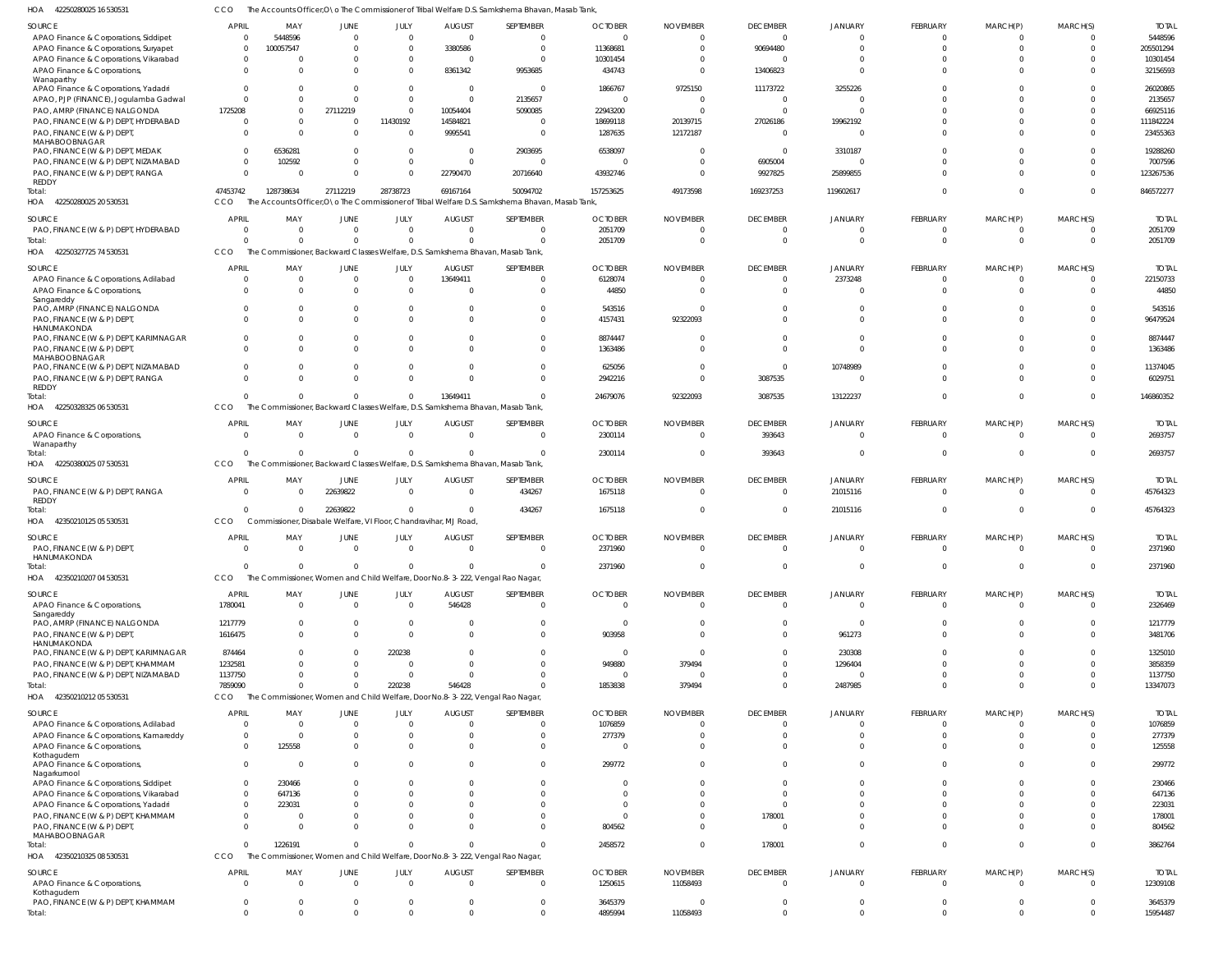42250280025 16 530531 HOA CCO The Accounts Officer, O\o The Commissioner of Tribal Welfare D.S. Samkshema Bhavan, Masab Tank,

| SOURCE                                       | APRIL                | MAY                      | <b>JUNE</b>              | JULY                       | <b>AUGUST</b>                                                                  | SEPTEMBER                                                                                        | <b>OCTOBER</b>     | <b>NOVEMBER</b> | <b>DECEMBER</b>                  | JANUARY                 | FEBRUARY                   | MARCH(P)                   | MARCH(S)                         | <b>TOTAL</b>        |
|----------------------------------------------|----------------------|--------------------------|--------------------------|----------------------------|--------------------------------------------------------------------------------|--------------------------------------------------------------------------------------------------|--------------------|-----------------|----------------------------------|-------------------------|----------------------------|----------------------------|----------------------------------|---------------------|
| APAO Finance & Corporations, Siddipet        | $\Omega$             | 5448596                  | $\mathbf{0}$             | $\mathbf{0}$               | $\Omega$                                                                       | $\Omega$                                                                                         | $\Omega$           | $\Omega$        | $\overline{0}$                   | 0                       | $\overline{0}$             | $\mathbf{0}$               | $\Omega$                         | 5448596             |
| APAO Finance & Corporations, Suryapet        | $\Omega$             | 100057547                | $\Omega$                 | $\Omega$                   | 3380586                                                                        | $\Omega$                                                                                         | 11368681           | $\Omega$        | 90694480                         | $\Omega$                | $\Omega$                   | $\Omega$                   | $\Omega$                         | 205501294           |
|                                              |                      |                          |                          |                            |                                                                                |                                                                                                  |                    |                 |                                  |                         |                            |                            |                                  |                     |
| APAO Finance & Corporations, Vikarabad       | $\Omega$             | $\Omega$                 | $\Omega$                 | $\overline{0}$             |                                                                                | $\Omega$                                                                                         | 10301454           |                 | $\Omega$                         |                         | $\overline{0}$             | $\Omega$                   | $\Omega$                         | 10301454            |
| APAO Finance & Corporations,                 | $\Omega$             | $\Omega$                 | $\Omega$                 | $\Omega$                   | 8361342                                                                        | 9953685                                                                                          | 434743             |                 | 13406823                         | $\Omega$                | $\Omega$                   | $\Omega$                   | $\Omega$                         | 32156593            |
| Wanaparthy                                   |                      |                          |                          |                            |                                                                                |                                                                                                  |                    |                 |                                  |                         |                            |                            |                                  |                     |
| APAO Finance & Corporations, Yadadri         | $\Omega$             | <sup>0</sup>             | $\Omega$                 | $\overline{0}$             | $\Omega$                                                                       | $\Omega$                                                                                         | 1866767            | 9725150         | 11173722                         | 3255226                 | $\Omega$                   | $\Omega$                   | $\Omega$                         | 26020865            |
| APAO, PJP (FINANCE), Jogulamba Gadwal        | $\Omega$             | $\Omega$                 | $\Omega$                 | $\mathbf{0}$               | $\Omega$                                                                       | 2135657                                                                                          | $\Omega$           |                 | $\overline{0}$                   | $\Omega$                | $\Omega$                   | $\Omega$                   | $\Omega$                         | 2135657             |
|                                              |                      |                          |                          |                            |                                                                                |                                                                                                  |                    |                 | $\Omega$                         | $\Omega$                |                            |                            |                                  |                     |
| PAO, AMRP (FINANCE) NALGONDA                 | 1725208              | $\Omega$                 | 27112219                 | $\overline{0}$             | 10054404                                                                       | 5090085                                                                                          | 22943200           |                 |                                  |                         | $\Omega$                   | $\Omega$                   | $\Omega$                         | 66925116            |
| PAO, FINANCE (W & P) DEPT, HYDERABAD         | $\Omega$             | $\Omega$                 | $\Omega$                 | 11430192                   | 14584821                                                                       | $\Omega$                                                                                         | 18699118           | 20139715        | 27026186                         | 19962192                | $\Omega$                   | $\Omega$                   | $\Omega$                         | 111842224           |
| PAO, FINANCE (W & P) DEPT,                   | $\Omega$             | $\Omega$                 | $\Omega$                 | $\mathbf{0}$               | 9995541                                                                        | $\Omega$                                                                                         | 1287635            | 12172187        | $\Omega$                         | $\Omega$                | $\Omega$                   | $\Omega$                   | $\Omega$                         | 23455363            |
| MAHABOOBNAGAR                                |                      |                          |                          |                            |                                                                                |                                                                                                  |                    |                 |                                  |                         |                            |                            |                                  |                     |
| PAO, FINANCE (W & P) DEPT, MEDAK             | $\Omega$             | 6536281                  | $\Omega$                 | $\Omega$                   | $\Omega$                                                                       | 2903695                                                                                          | 6538097            |                 | $\Omega$                         | 3310187                 | $\Omega$                   | $\Omega$                   | $\Omega$                         | 19288260            |
|                                              |                      |                          |                          |                            |                                                                                |                                                                                                  |                    |                 |                                  |                         |                            |                            |                                  |                     |
| PAO, FINANCE (W & P) DEPT, NIZAMABAD         | $\Omega$             | 102592                   | $\Omega$                 | $\overline{0}$             | $\Omega$                                                                       | $\Omega$                                                                                         | $\Omega$           |                 | 6905004                          | $\Omega$                | $\Omega$                   | $\Omega$                   | $\Omega$                         | 7007596             |
| PAO, FINANCE (W & P) DEPT, RANGA             | $\Omega$             | $\Omega$                 | $\Omega$                 | $\Omega$                   | 22790470                                                                       | 20716640                                                                                         | 43932746           |                 | 9927825                          | 25899855                | $\Omega$                   | $\Omega$                   | $\Omega$                         | 123267536           |
| REDDY                                        |                      |                          |                          |                            |                                                                                |                                                                                                  |                    |                 |                                  |                         |                            |                            |                                  |                     |
| Total:                                       | 47453742             | 128738634                | 27112219                 | 28738723                   | 69167164                                                                       | 50094702                                                                                         | 157253625          | 49173598        | 169237253                        | 119602617               | $\Omega$                   | $\mathbf 0$                | $\Omega$                         | 846572277           |
| HOA 42250280025 20 530531                    | CCO                  |                          |                          |                            |                                                                                | The Accounts Officer, O \o The Commissioner of Tribal Welfare D.S. Samkshema Bhavan, Masab Tank, |                    |                 |                                  |                         |                            |                            |                                  |                     |
|                                              |                      |                          |                          |                            |                                                                                |                                                                                                  |                    |                 |                                  |                         |                            |                            |                                  |                     |
| SOURCE                                       | <b>APRIL</b>         | MAY                      | <b>JUNE</b>              | JULY                       | <b>AUGUST</b>                                                                  | SEPTEMBER                                                                                        | <b>OCTOBER</b>     | <b>NOVEMBER</b> | <b>DECEMBER</b>                  | JANUARY                 | FEBRUARY                   | MARCH(P)                   | MARCH(S)                         | <b>TOTAL</b>        |
| PAO, FINANCE (W & P) DEPT, HYDERABAD         | $\Omega$             | $\Omega$                 | $\Omega$                 | $\Omega$                   | $\Omega$                                                                       | $\Omega$                                                                                         | 2051709            |                 | $\Omega$                         | 0                       | $\Omega$                   | $\Omega$                   | $\Omega$                         | 2051709             |
|                                              |                      | $\Omega$                 | $\Omega$                 | $\Omega$                   |                                                                                | $\Omega$                                                                                         | 2051709            | $\Omega$        | $\Omega$                         | $\Omega$                | $\Omega$                   | $\Omega$                   | $\Omega$                         | 2051709             |
| Total:                                       |                      |                          |                          |                            |                                                                                |                                                                                                  |                    |                 |                                  |                         |                            |                            |                                  |                     |
| HOA<br>42250327725 74 530531                 | CCO                  |                          |                          |                            |                                                                                | The Commissioner, Backward Classes Welfare, D.S. Samkshema Bhavan, Masab Tank,                   |                    |                 |                                  |                         |                            |                            |                                  |                     |
|                                              | APRIL                | MAY                      | <b>JUNE</b>              | JULY                       |                                                                                | SEPTEMBER                                                                                        | <b>OCTOBER</b>     |                 | <b>DECEMBER</b>                  |                         |                            |                            | MARCH(S)                         |                     |
| SOURCE                                       |                      |                          |                          |                            | <b>AUGUST</b>                                                                  |                                                                                                  |                    | <b>NOVEMBER</b> |                                  | JANUARY                 | FEBRUARY                   | MARCH(P)                   |                                  | <b>TOTAI</b>        |
| APAO Finance & Corporations, Adilabad        | - 0                  | $\Omega$                 | $\mathbf{0}$             | $\mathbf{0}$               | 13649411                                                                       | $\Omega$                                                                                         | 6128074            |                 | $\overline{0}$                   | 2373248                 | $\overline{0}$             | $\overline{0}$             | $\Omega$                         | 22150733            |
| APAO Finance & Corporations,                 | $\Omega$             | $\Omega$                 | $\Omega$                 | $\Omega$                   |                                                                                | $\Omega$                                                                                         | 44850              |                 | $\Omega$                         | $\Omega$                | $\Omega$                   | $\Omega$                   | $\Omega$                         | 44850               |
| Sangareddy                                   |                      |                          |                          |                            |                                                                                |                                                                                                  |                    |                 |                                  |                         |                            |                            |                                  |                     |
| PAO, AMRP (FINANCE) NALGONDA                 |                      | $\Omega$                 | $\Omega$                 | $\Omega$                   | 0                                                                              | $\Omega$                                                                                         | 543516             |                 | $\Omega$                         | 0                       | 0                          | $\mathbf{0}$               | $\Omega$                         | 543516              |
| PAO, FINANCE (W & P) DEPT,                   | $\Omega$             | $\Omega$                 | $\Omega$                 | $\Omega$                   |                                                                                | $\Omega$                                                                                         | 4157431            | 92322093        | $\Omega$                         | $\Omega$                | $\Omega$                   | $\Omega$                   | $\Omega$                         | 96479524            |
| HANUMAKONDA                                  |                      |                          |                          |                            |                                                                                |                                                                                                  |                    |                 |                                  |                         |                            |                            |                                  |                     |
| PAO, FINANCE (W & P) DEPT, KARIMNAGAR        | $\Omega$             | $\Omega$                 | $\Omega$                 | $\Omega$                   | 0                                                                              | $\Omega$                                                                                         | 8874447            |                 | $\Omega$                         | $\Omega$                | 0                          | $\mathbf{0}$               | $\Omega$                         | 8874447             |
|                                              |                      |                          |                          |                            |                                                                                |                                                                                                  |                    |                 |                                  |                         |                            |                            |                                  |                     |
| PAO, FINANCE (W & P) DEPT,                   | $\Omega$             | $\Omega$                 | $\Omega$                 | $\Omega$                   |                                                                                | $\Omega$                                                                                         | 1363486            |                 | $\Omega$                         | $\Omega$                | $\Omega$                   | $\Omega$                   | $\Omega$                         | 1363486             |
| MAHABOOBNAGAR                                |                      |                          |                          |                            |                                                                                |                                                                                                  |                    |                 |                                  |                         |                            |                            |                                  |                     |
| PAO, FINANCE (W & P) DEPT, NIZAMABAD         | $\Omega$             | $\Omega$                 | $\Omega$                 | $\Omega$                   | $\Omega$                                                                       | $\Omega$                                                                                         | 625056             |                 | $\Omega$                         | 10748989                | $\Omega$                   | $\Omega$                   | $\Omega$                         | 11374045            |
| PAO, FINANCE (W & P) DEPT, RANGA             | $\Omega$             | $\Omega$                 | $\Omega$                 | $\Omega$                   | $\Omega$                                                                       | $\Omega$                                                                                         | 2942216            | $\Omega$        | 3087535                          | $\Omega$                | $\Omega$                   | $\Omega$                   | $\Omega$                         | 6029751             |
| REDDY                                        |                      |                          |                          |                            |                                                                                |                                                                                                  |                    |                 |                                  |                         |                            |                            |                                  |                     |
| Total:                                       |                      | <sup>0</sup>             | $\Omega$                 | $\Omega$                   | 13649411                                                                       | $\Omega$                                                                                         | 24679076           | 92322093        | 3087535                          | 13122237                | $\mathbf 0$                | $\mathbf 0$                | $\Omega$                         | 146860352           |
| HOA<br>42250328325 06 530531                 | CCO                  |                          |                          |                            |                                                                                | The Commissioner, Backward Classes Welfare, D.S. Samkshema Bhavan, Masab Tank,                   |                    |                 |                                  |                         |                            |                            |                                  |                     |
|                                              |                      |                          |                          |                            |                                                                                |                                                                                                  |                    |                 |                                  |                         |                            |                            |                                  |                     |
| SOURCE                                       | APRIL                | MAY                      | <b>JUNE</b>              | JULY                       | <b>AUGUST</b>                                                                  | SEPTEMBER                                                                                        | <b>OCTOBER</b>     | <b>NOVEMBER</b> | <b>DECEMBER</b>                  | JANUARY                 | FEBRUARY                   | MARCH(P)                   | MARCH(S)                         | <b>TOTAI</b>        |
| APAO Finance & Corporations,                 | $\Omega$             | $\Omega$                 | $\Omega$                 | $\Omega$                   | $\Omega$                                                                       | $\Omega$                                                                                         | 2300114            |                 | 393643                           | $\Omega$                | $\Omega$                   | $\Omega$                   | $\Omega$                         | 2693757             |
| Wanaparthy                                   |                      |                          |                          |                            |                                                                                |                                                                                                  |                    |                 |                                  |                         |                            |                            |                                  |                     |
| Total:                                       |                      | $\Omega$                 | $\Omega$                 | $\Omega$                   | $\Omega$                                                                       | $\Omega$                                                                                         | 2300114            |                 | 393643                           | 0                       | $\Omega$                   | $\Omega$                   | $\Omega$                         | 2693757             |
| HOA 42250380025 07 530531                    |                      |                          |                          |                            |                                                                                |                                                                                                  |                    |                 |                                  |                         |                            |                            |                                  |                     |
|                                              |                      |                          |                          |                            |                                                                                |                                                                                                  |                    |                 |                                  |                         |                            |                            |                                  |                     |
|                                              | CCO                  |                          |                          |                            | The Commissioner, Backward Classes Welfare, D.S. Samkshema Bhavan, Masab Tank, |                                                                                                  |                    |                 |                                  |                         |                            |                            |                                  |                     |
| <b>SOURCE</b>                                | APRIL                | MAY                      | <b>JUNE</b>              |                            |                                                                                | SEPTEMBER                                                                                        | <b>OCTOBER</b>     | <b>NOVEMBER</b> | <b>DECEMBER</b>                  | JANUARY                 | FEBRUARY                   |                            |                                  |                     |
|                                              |                      |                          |                          | JULY                       | <b>AUGUST</b>                                                                  |                                                                                                  |                    |                 |                                  |                         |                            | MARCH(P)                   | MARCH(S)                         | <b>TOTAL</b>        |
| PAO, FINANCE (W & P) DEPT, RANGA             | $\Omega$             | $\Omega$                 | 22639822                 | $\mathbf{0}$               | $\Omega$                                                                       | 434267                                                                                           | 1675118            |                 | $\overline{0}$                   | 21015116                | $\overline{0}$             | $\overline{0}$             | $\Omega$                         | 45764323            |
| REDDY                                        |                      |                          |                          |                            |                                                                                |                                                                                                  |                    |                 |                                  |                         |                            |                            |                                  |                     |
| Total:                                       | $\Omega$             | $\Omega$                 | 22639822                 | $\mathbf{0}$               | $\Omega$                                                                       | 434267                                                                                           | 1675118            |                 | $\overline{0}$                   | 21015116                | $\overline{0}$             | $\overline{0}$             | $\overline{0}$                   | 45764323            |
| HOA 42350210125 05 530531                    | CCO                  |                          |                          |                            | Commissioner, Disabale Welfare, VI Floor, Chandravihar, MJ Road,               |                                                                                                  |                    |                 |                                  |                         |                            |                            |                                  |                     |
|                                              |                      |                          |                          |                            |                                                                                |                                                                                                  |                    |                 |                                  |                         |                            |                            |                                  |                     |
| <b>SOURCE</b>                                | APRIL                | MAY                      | <b>JUNE</b>              | JULY                       | <b>AUGUST</b>                                                                  | SEPTEMBER                                                                                        | <b>OCTOBER</b>     | <b>NOVEMBER</b> | <b>DECEMBER</b>                  | JANUARY                 | FEBRUARY                   | MARCH(P)                   | MARCH(S)                         | <b>TOTAL</b>        |
| PAO, FINANCE (W & P) DEPT,                   | $\Omega$             | $\Omega$                 | $\mathbf 0$              | $\mathbf{0}$               | $\Omega$                                                                       | $\Omega$                                                                                         | 2371960            | $\Omega$        | $\overline{0}$                   | $\Omega$                | $\overline{0}$             | $\overline{0}$             | $\overline{0}$                   | 2371960             |
| HANUMAKONDA                                  |                      |                          |                          |                            |                                                                                |                                                                                                  |                    |                 |                                  |                         |                            |                            |                                  |                     |
| Total:                                       |                      | $\Omega$                 | $\Omega$                 | $^{\circ}$                 |                                                                                | $\Omega$                                                                                         | 2371960            | $\Omega$        | $\mathbf{0}$                     | $\Omega$                | $^{\circ}$                 | $^{\circ}$                 | $\overline{0}$                   | 2371960             |
| HOA<br>42350210207 04 530531                 | CCO                  |                          |                          |                            |                                                                                | The Commissioner, Women and Child Welfare, Door No.8-3-222, Vengal Rao Nagar,                    |                    |                 |                                  |                         |                            |                            |                                  |                     |
|                                              |                      |                          |                          |                            |                                                                                |                                                                                                  |                    |                 |                                  |                         |                            |                            |                                  |                     |
| SOURCE                                       | APRIL                | MAY                      | <b>JUNE</b>              | JULY                       | <b>AUGUST</b>                                                                  | SEPTEMBER                                                                                        | <b>OCTOBER</b>     | <b>NOVEMBER</b> | <b>DECEMBER</b>                  | JANUARY                 | FEBRUARY                   | MARCH(P)                   | MARCH(S)                         | <b>TOTAL</b>        |
|                                              | 1780041              | $\Omega$                 | $\Omega$                 | $\overline{0}$             | 546428                                                                         | $\mathbf 0$                                                                                      | $\Omega$           | $\Omega$        | $\overline{0}$                   | $\Omega$                | $\overline{0}$             | $\overline{0}$             | $\Omega$                         | 2326469             |
| APAO Finance & Corporations,                 |                      |                          |                          |                            |                                                                                |                                                                                                  |                    |                 |                                  |                         |                            |                            |                                  |                     |
| Sangareddy                                   |                      | $\Omega$                 | $\mathbf{0}$             | $\mathbf{0}$               | 0                                                                              | $\mathbf{0}$                                                                                     | $\overline{0}$     |                 | $\mathbf{0}$                     | $\mathbf 0$             | 0                          | $\mathbf{0}$               | $\Omega$                         |                     |
| PAO, AMRP (FINANCE) NALGONDA                 | 1217779              |                          |                          |                            |                                                                                |                                                                                                  |                    |                 |                                  |                         |                            |                            |                                  | 1217779             |
| PAO, FINANCE (W & P) DEPT,                   | 1616475              | $\Omega$                 | $\Omega$                 | $\mathbf{0}$               | $\Omega$                                                                       | $\Omega$                                                                                         | 903958             |                 | $\Omega$                         | 961273                  | $\overline{0}$             | $\mathbf{0}$               | $\Omega$                         | 3481706             |
| <b>HANUMAKONDA</b>                           |                      |                          |                          |                            |                                                                                |                                                                                                  |                    |                 |                                  |                         |                            |                            |                                  |                     |
| PAO, FINANCE (W & P) DEPT, KARIMNAGAR        | 874464               | $\Omega$                 | $\mathbf{0}$             | 220238                     |                                                                                | $\Omega$                                                                                         | $\Omega$           | $\Omega$        | $\Omega$                         | 230308                  | $^{\circ}$                 | $\Omega$                   | $\Omega$                         | 1325010             |
| PAO, FINANCE (W & P) DEPT, KHAMMAM           | 1232581              | $\Omega$                 | $\Omega$                 | $\overline{0}$             | $\Omega$                                                                       | $\Omega$                                                                                         | 949880             | 379494          | $\Omega$                         | 1296404                 | $\Omega$                   | $\Omega$                   | $\Omega$                         | 3858359             |
| PAO, FINANCE (W & P) DEPT, NIZAMABAD         | 1137750              | $\Omega$                 | $\Omega$                 | $\mathbf{0}$               | $\Omega$                                                                       | $\Omega$                                                                                         | $\Omega$           |                 | $\Omega$                         | $\Omega$                | $\mathbf 0$                | $\mathbf 0$                | $\Omega$                         | 1137750             |
| Total:                                       | 7859090              | $\Omega$                 | $\Omega$                 | 220238                     | 546428                                                                         | $\Omega$                                                                                         | 1853838            | 379494          | $\Omega$                         | 2487985                 | $\mathbf 0$                | $\mathbf{0}$               | $\Omega$                         | 13347073            |
|                                              |                      |                          |                          |                            |                                                                                |                                                                                                  |                    |                 |                                  |                         |                            |                            |                                  |                     |
| HOA 42350210212 05 530531                    | CCO                  |                          |                          |                            |                                                                                | The Commissioner, Women and Child Welfare, Door No.8-3-222, Vengal Rao Nagar,                    |                    |                 |                                  |                         |                            |                            |                                  |                     |
|                                              | <b>APRIL</b>         | MAY                      | <b>JUNE</b>              | JULY                       |                                                                                | SEPTEMBER                                                                                        | <b>OCTOBER</b>     | <b>NOVEMBER</b> | <b>DECEMBER</b>                  |                         | FEBRUARY                   |                            |                                  | <b>TOTAL</b>        |
| SOURCE                                       |                      |                          |                          |                            | <b>AUGUST</b>                                                                  |                                                                                                  |                    |                 |                                  | JANUARY                 |                            | MARCH(P)                   | MARCH(S)                         |                     |
| APAO Finance & Corporations, Adilabad        | - 0                  | $\Omega$                 | $\Omega$                 | $\Omega$                   | $\Omega$                                                                       | $\Omega$                                                                                         | 1076859            |                 | $\Omega$                         | $\Omega$                | $\overline{0}$             | $\mathbf{0}$               | $\Omega$                         | 1076859             |
| APAO Finance & Corporations, Kamareddy       | $\Omega$             | $\Omega$                 | $\Omega$                 | $\mathbf{0}$               | 0                                                                              | $\Omega$                                                                                         | 277379             |                 | $\Omega$                         | $\Omega$                | $\mathbf{0}$               | $\mathbf 0$                | $\Omega$                         | 277379              |
| APAO Finance & Corporations,                 | $\Omega$             | 125558                   | $\Omega$                 | $\Omega$                   | 0                                                                              | $\Omega$                                                                                         | $\Omega$           |                 | $\Omega$                         | $\Omega$                | $\mathbf 0$                | $\Omega$                   | $\Omega$                         | 125558              |
| Kothagudem                                   |                      |                          |                          |                            |                                                                                |                                                                                                  |                    |                 |                                  |                         |                            |                            |                                  |                     |
| APAO Finance & Corporations,                 | $\Omega$             | $\Omega$                 | $\Omega$                 | $\Omega$                   |                                                                                | $\Omega$                                                                                         | 299772             |                 | $\Omega$                         | $\Omega$                | $\mathbf{0}$               | $\Omega$                   | $\Omega$                         | 299772              |
| Nagarkurnool                                 |                      |                          |                          |                            |                                                                                |                                                                                                  |                    |                 |                                  |                         |                            |                            |                                  |                     |
| APAO Finance & Corporations, Siddipet        | $\Omega$             | 230466                   |                          | $\Omega$                   |                                                                                | $\Omega$                                                                                         | $\Omega$           |                 | $\Omega$                         | 0                       | $\Omega$                   | $\Omega$                   | $\Omega$                         | 230466              |
|                                              |                      |                          | $\Omega$                 | $\Omega$                   |                                                                                | $\Omega$                                                                                         | $\Omega$           |                 | $\Omega$                         | U                       | $\Omega$                   | $\Omega$                   | $\Omega$                         |                     |
| APAO Finance & Corporations, Vikarabad       |                      | 647136                   |                          |                            |                                                                                |                                                                                                  |                    |                 |                                  |                         |                            |                            |                                  | 647136              |
| APAO Finance & Corporations, Yadadri         |                      | 223031                   |                          | $\Omega$                   |                                                                                | $\Omega$                                                                                         | $\Omega$           |                 | $\Omega$                         |                         | $\Omega$                   | $\Omega$                   | $\Omega$                         | 223031              |
| PAO, FINANCE (W & P) DEPT, KHAMMAM           | $\Omega$             |                          | $\Omega$                 | $\Omega$                   |                                                                                | $\Omega$                                                                                         | $\Omega$           |                 | 178001                           | 0                       | $\Omega$                   | $\Omega$                   | $\Omega$                         | 178001              |
| PAO, FINANCE (W & P) DEPT,                   | $\Omega$             | $\Omega$                 | $\Omega$                 | $\Omega$                   |                                                                                | $\Omega$                                                                                         | 804562             |                 | $\Omega$                         | $\Omega$                | $\Omega$                   | $\Omega$                   | $\Omega$                         | 804562              |
| MAHABOOBNAGAR                                |                      |                          |                          |                            |                                                                                |                                                                                                  |                    |                 |                                  |                         |                            |                            |                                  |                     |
|                                              |                      |                          | $\Omega$                 | $\Omega$                   |                                                                                | $\Omega$                                                                                         |                    |                 |                                  | $\Omega$                | $\mathbf{0}$               | $\mathbf{0}$               | $\Omega$                         |                     |
| Total:                                       |                      | 1226191                  |                          |                            |                                                                                |                                                                                                  | 2458572            |                 | 178001                           |                         |                            |                            |                                  | 3862764             |
| 42350210325 08 530531<br>HOA                 | CCO                  |                          |                          |                            |                                                                                | The Commissioner, Women and Child Welfare, Door No.8-3-222, Vengal Rao Nagar,                    |                    |                 |                                  |                         |                            |                            |                                  |                     |
| <b>SOURCE</b>                                | <b>APRIL</b>         | MAY                      | <b>JUNE</b>              |                            |                                                                                | SEPTEMBER                                                                                        | <b>OCTOBER</b>     | <b>NOVEMBER</b> | <b>DECEMBER</b>                  | <b>JANUARY</b>          | FEBRUARY                   |                            |                                  | <b>TOTAL</b>        |
|                                              |                      |                          |                          | JULY                       | <b>AUGUST</b>                                                                  |                                                                                                  |                    |                 |                                  |                         |                            | MARCH(P)                   | MARCH(S)                         |                     |
| APAO Finance & Corporations,                 | $\Omega$             | $\Omega$                 | $\mathbf 0$              | $\overline{0}$             | $\Omega$                                                                       | $\mathbf 0$                                                                                      | 1250615            | 11058493        | $\overline{0}$                   | $\Omega$                | $\overline{0}$             | $\mathbf 0$                | $\Omega$                         | 12309108            |
| Kothagudem                                   |                      |                          |                          |                            |                                                                                |                                                                                                  |                    |                 |                                  |                         |                            |                            |                                  |                     |
| PAO, FINANCE (W & P) DEPT, KHAMMAM<br>Total: | $\Omega$<br>$\Omega$ | $\mathbf{0}$<br>$\Omega$ | $\mathbf{0}$<br>$\Omega$ | $^{\circ}$<br>$\mathbf{0}$ | 0<br>$\Omega$                                                                  | $\mathbf 0$<br>$\Omega$                                                                          | 3645379<br>4895994 | 11058493        | $\overline{0}$<br>$\overline{0}$ | $\mathbf 0$<br>$\Omega$ | $\mathbf 0$<br>$\mathbf 0$ | $\mathbf 0$<br>$\mathbf 0$ | $\overline{0}$<br>$\overline{0}$ | 3645379<br>15954487 |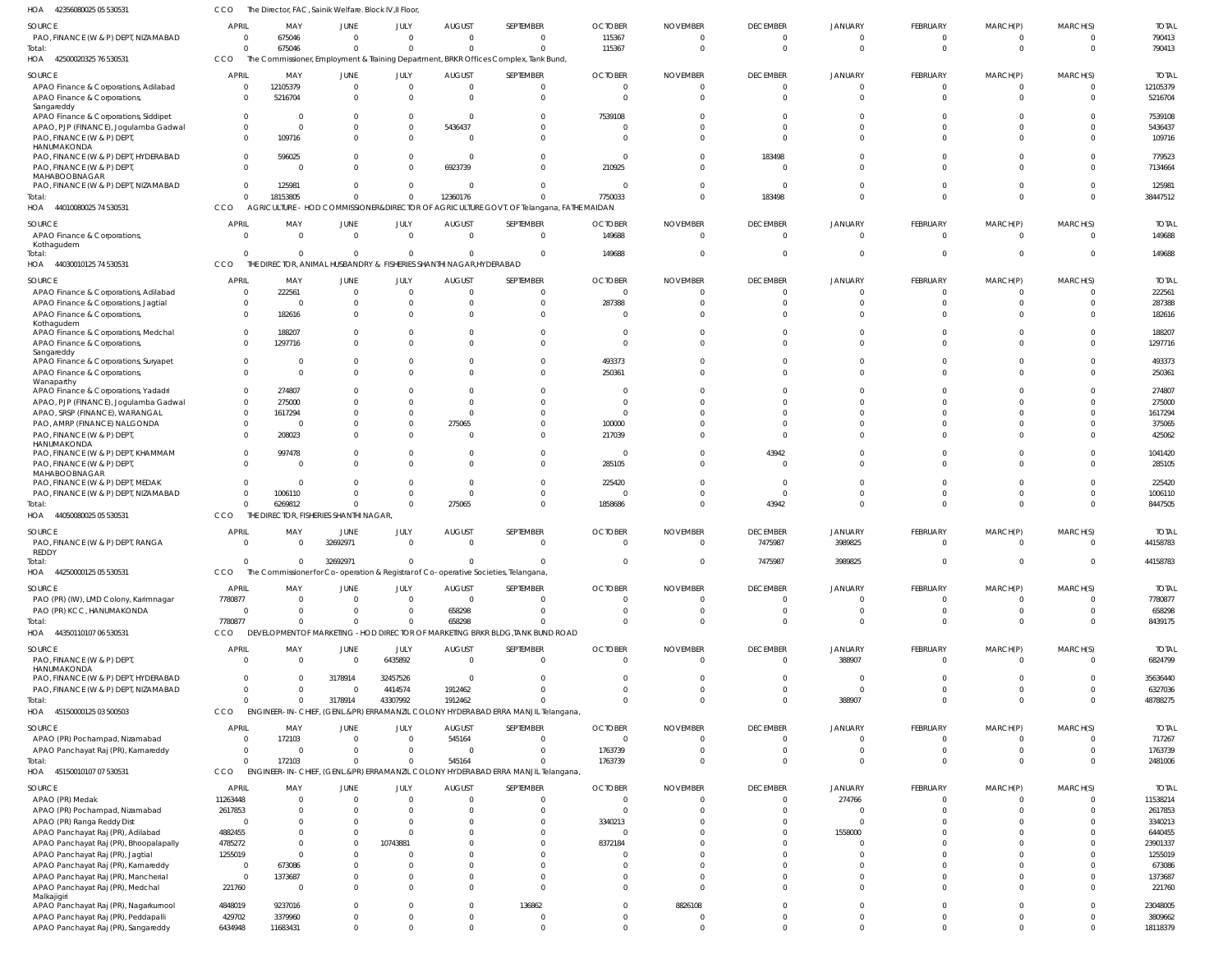42500020325 76 530531 HOA 44010080025 74 530531 44030010125 74 530531 44050080025 05 530531 44250000125 05 530531 44350110107 06 530531 HOA 45150000125 03 500503 45150010107 07 530531 HOA  $H\Omega$ HOA HOA HOA HOA The Commissioner, Employment & Training Department, BRKR Offices Complex, Tank Bund, AGRICULTURE - HOD COMMISSIONER&DIRECTOR OF AGRICULTURE GOVT. OF Telangana, FATHE MAIDAN THE DIRECTOR, ANIMAL HUSBANDRY & FISHERIES SHANTHI NAGAR,HYDERABAD THE DIRECTOR, FISHERIES SHANTHI NAGAR, The Commissioner for Co-operation & Registrar of Co-operative Societies, Telangana, DEVELOPMENT OF MARKETING -HOD DIRECTOR OF MARKETING BRKR BLDG,TANK BUND ROAD ENGINEER-IN-CHIEF, (GENL.&PR) ERRAMANZIL COLONY HYDERABAD ERRA MANJIL Telangana, ENGINEER-IN-CHIEF, (GENL.&PR) ERRAMANZIL COLONY HYDERABAD ERRA MANJIL Telangana, CCO CCO **CCO** CCO CCO CCO CCO CCO 0 0  $\Omega$  $\Omega$ 0 7780877  $\Omega$ 0 675046 18153805  $\sqrt{2}$ 6269812  $\,$  0  $\,$ 0 0 172103 0 0  $\sqrt{2}$  $\Omega$ 32692971 0 3178914 0 0 0  $\sqrt{2}$  $\cap$ 0 0 43307992 0 0 12360176  $\Omega$ 275065  $\,$  0  $\,$ 658298 1912462 545164 0 0  $\sqrt{0}$ 0 0 0 0 0 115367 7750033 149688 1858686 0 0  $\Omega$ 1763739 0 0  $\Omega$ 0 0 0 0 0 0 183498  $\Omega$ 43942 7475987 0  $\Omega$ 0 0  $\mathbf{C}$  $\Omega$  $\Omega$ 3989825  $\mathbf 0$ 388907 0 0 0  $\Omega$  $\Omega$ 0 0 0 0 0 0 0 0 0 0 0 0 0 0  $\Omega$ 0 0 0  $\Omega$ 0 PAO, FINANCE (W & P) DEPT, NIZAMABAD APAO Finance & Corporations, Adilabad APAO Finance & Corporations, Sangareddy APAO Finance & Corporations, Siddipet APAO, PJP (FINANCE), Jogulamba Gadwal PAO, FINANCE (W & P) DEPT, **HANUMAKONDA** PAO, FINANCE (W & P) DEPT, HYDERABAD PAO, FINANCE (W & P) DEPT, MAHABOOBNAGAR PAO, FINANCE (W & P) DEPT, NIZAMABAD APAO Finance & Corporations, Kothagudem APAO Finance & Corporations, Adilabad APAO Finance & Corporations, Jagtial APAO Finance & Corporations, Kothagudem APAO Finance & Corporations, Medchal APAO Finance & Corporations, Sangareddy APAO Finance & Corporations, Suryapet APAO Finance & Corporations, **Wanaparthy** APAO Finance & Corporations, Yadadri APAO, PJP (FINANCE), Jogulamba Gadwal APAO, SRSP (FINANCE), WARANGAL PAO, AMRP (FINANCE) NALGONDA PAO, FINANCE (W & P) DEPT, HANUMAKONDA PAO, FINANCE (W & P) DEPT, KHAMMAM PAO, FINANCE (W & P) DEPT, MAHABOOBNAGAR PAO, FINANCE (W & P) DEPT, MEDAK PAO, FINANCE (W & P) DEPT, NIZAMABAD PAO, FINANCE (W & P) DEPT, RANGA REDDY PAO (PR) (IW), LMD Colony, Karimnagar PAO (PR) KCC, HANUMAKONDA PAO, FINANCE (W & P) DEPT, HANUMAKONDA PAO, FINANCE (W & P) DEPT, HYDERABAD PAO, FINANCE (W & P) DEPT, NIZAMABAD APAO (PR) Pochampad, Nizamabad APAO Panchayat Raj (PR), Kamareddy APAO (PR) Medak APAO (PR) Pochampad, Nizamabad APAO (PR) Ranga Reddy Dist APAO Panchayat Raj (PR), Adilabad APAO Panchayat Raj (PR), Bhoopalapally APAO Panchayat Raj (PR), Jagtial APAO Panchayat Raj (PR), Kamareddy APAO Panchayat Raj (PR), Mancherial APAO Panchayat Raj (PR), Medchal Malkajigiri SOURCE SOURCE SOURCE SOURCE SOURCE SOURCE SOURCE SOURCE 0 0 0  $\,$  0  $\,$  $\Omega$ 0  $\Omega$ 0  $\Omega$  $\mathfrak{c}$ 0 0  $\Omega$ 0  $\Omega$ 0 0 0 0 0  $\Omega$ 0  $\Omega$ 0 0 0 0 7780877  $\overline{0}$  $\mathfrak{c}$  $\Omega$ 0 0  $\Omega$ 11263448 2617853  $\overline{0}$ 4882455 4785272 1255019 0 0 221760 **APRIL APRIL** APRIL APRIL **APRIL APRIL** APRIL **APRIL** 675046 12105379 5216704 0  $\sqrt{2}$ 109716 596025 0 125981 0 222561 0 182616 188207 1297716  $\Omega$  $\Omega$ 274807 275000 1617294  $\Omega$ 208023 997478 0  $\Omega$ 1006110 0 0 0 0 0 0 172103 0 0 0 0 0 0 0 673086 1373687 0 MAY MAY MAY MAY MAY MAY MAY MAY 0 0 0 0  $\Omega$ 0  $\Omega$ 0  $\Omega$ 0 0 0  $\Omega$ 0  $\Omega$  $\Omega$  $\Omega$  $\Omega$  $\Omega$ 0  $\Omega$ 0  $\Omega$ 0  $\Omega$ 0 32692971 0  $\Omega$ 0 3178914 0 0  $\Omega$  $\mathbf 0$  $\Omega$ 0  $\Omega$  $\Omega$ 0  $\Omega$ 0 0 JUNE JUNE JUNE JUNE **JUNE** JUNE JUNE JUNE  $\Omega$ 0 0 0  $\Omega$ 0  $\Omega$ 0  $\Omega$ 0  $\Omega$ 0  $\bigcap$ 0  $\sqrt{2}$ 0 0 0 0 0  $\Omega$ 0 0 0 0 0  $\cap$ 0 0 6435892 32457526 4414574  $\Omega$ 0 0 0 0 0 10743881 0  $\Omega$ 0 0 JULY JULY JULY JULY JULY JULY JULY JULY 0 0 0 0 5436437 0  $\Omega$ 6923739  $\Omega$ 0 0 0  $\Omega$ 0  $\Omega$ 0 0 0  $\Omega$ 0 275065 0  $\Omega$ 0  $\Omega$ 0 0 0 658298 0 0 1912462 545164  $\,$  0  $\,$ 0 0 0 0 0 0  $\Omega$ 0 0 AUGUST AUGUST AUGUST AUGUST AUGUST AUGUST AUGUST AUGUST  $\sqrt{0}$ 0 0 0  $\sqrt{2}$ 0 0 0 0 0  $\Omega$ 0  $\Omega$ 0  $\Omega$  $\Omega$  $\Omega$ 0 0 0  $\Omega$ 0  $\bigcap$ 0  $\Omega$ 0 0 0 0 0 0 0 0 0 0 0 0 0 0 0 0 0 0 **SEPTEMBER** SEPTEMBER SEPTEMBER SEPTEMBER SEPTEMBER SEPTEMBER SEPTEMBER SEPTEMBER 115367 0 0 7539108  $\sqrt{2}$ 0  $\sqrt{2}$ 210925  $\Omega$ 149688  $\Omega$ 287388  $\sqrt{2}$ 0  $\Omega$ 493373 250361 0  $\Omega$ 0 100000 217039 0 285105 225420 0 0 0 0 0  $\Omega$ 0 0 1763739 0  $\Omega$ 3340213 0 8372184 0  $\Omega$ 0  $\Omega$ **OCTOBER OCTOBER** OCTOBER OCTOBER **OCTOBER OCTOBER** OCTOBER OCTOBER  $\Omega$ 0 0 0 0 0  $\cap$ 0 0 0 0 0  $\Omega$ 0  $\Omega$ 0 0 0 0 0  $\sqrt{2}$ 0  $\bigcap$ 0 0 0  $\cap$ 0 0 0 0 0 0 0 0 0 0 0  $\Omega$ 0 0 0 0 NOVEMBER NOVEMBER NOVEMBER NOVEMBER NOVEMBER NOVEMBER NOVEMBER NOVEMBER  $\Omega$ 0 0 0  $\Omega$ 0 183498 0  $\bigcap$ 0  $\Omega$ 0  $\Omega$ 0  $\Omega$  $\Omega$  $\Omega$  $\Omega$  $\bigcap$ 0  $\Omega$ 0 43942 0  $\Omega$ 0 7475987 0  $\Omega$ 0 0 0 0 0 0  $\Omega$ 0  $\Omega$ 0 0 0 0 0 **DECEMBER** DECEMBER DECEMBER DECEMBER **DECEMBER DECEMBER** DECEMBER DECEMBER 0 0 0 0  $\Omega$ 0  $\Omega$ 0  $\mathfrak{g}$ 0 0 0  $\Omega$ 0  $\Omega$  $\Omega$  $\Omega$ 0  $\sqrt{2}$ 0  $\Omega$ 0  $\Omega$ 0  $\Omega$ 0 3989825 0 0 388907  $\Omega$  $\mathfrak{g}$ 0  $\mathfrak{g}$ 274766 0  $\mathfrak{g}$ 1558000  $\theta$ 0 0 0 0 JANUARY JANUARY JANUARY JANUARY JANUARY JANUARY JANUARY JANUARY  $\Omega$ 0 0 0  $\sqrt{2}$ 0 0 0 0 0  $\Omega$ 0  $\sqrt{2}$ 0  $\Omega$ 0  $\Omega$ 0 0 0  $\sqrt{2}$ 0 0 0 0 0  $\Omega$ 0  $\Omega$ 0  $\Omega$ 0 0 0 0 0 0 0 0 0  $\Omega$ 0 0 FEBRUARY FEBRUARY FEBRUARY FEBRUARY FEBRUARY FEBRUARY FEBRUARY FEBRUARY 0 0 0 0  $\Omega$ 0  $\Omega$ 0  $\Omega$ 0 0 0  $\Omega$ 0  $\Omega$  $\Omega$  $\Omega$  $\Omega$  $\Omega$ 0  $\Omega$ 0  $\Omega$ 0 0 0 0 0 0 0 0 0  $\Omega$  $\Omega$ 0 0 0  $\Omega$  $\Omega$ 0  $\Omega$ 0 0 MARCH(P) MARCH(P) MARCH(P) MARCH(P) MARCH(P) MARCH(P) MARCH(P) MARCH(P)  $\Omega$ 0 0 0  $\cap$ 0  $\Omega$ 0  $\Omega$ 0  $\Omega$ 0  $\cap$ 0  $\Omega$  $\Omega$  $\Omega$ 0 0 0  $\cap$ 0  $\Omega$ 0  $\Omega$ 0  $\cap$ 0  $\Omega$ 0 0 0 0 0 0  $\Omega$ 0  $\Omega$  $\Omega$ 0  $\Omega$ 0  $\Omega$ MARCH(S) MARCH(S) MARCH(S) MARCH(S) MARCH(S) MARCH(S) MARCH(S) MARCH(S) Total: Total: Total: Total: Total: Total: Total: Total:

790413

TOTAL

790413

TOTAL

38447512

149688

TOTAL

149688

TOTAL

8447505

44158783

44158783

TOTAL

8439175

6824799 35636440 6327036

TOTAL

7780877 658298

TOTAL

48788275

2481006

TOTAL

717267 1763739

TOTAL

42356080025 05 530531 HOA

SOURCE

APAO Panchayat Raj (PR), Nagarkurnool APAO Panchayat Raj (PR), Peddapalli APAO Panchayat Raj (PR), Sangareddy

4848019 429702 6434948

9237016 3379960 11683431 0 0 0

0  $\Omega$ 0

0 0  $\boldsymbol{0}$  136862 0 0

0 0 0 8826108 0 0 0 0 0

0 0 0

0 0  $\,$  0  $\,$ 

0 0 0

The Director, FAC, Sainik Welfare. Block IV,II Floor,

JUNE

JULY

AUGUST

SEPTEMBER

**OCTOBER** 

NOVEMBER

DECEMBER

JANUARY

FEBRUARY

MARCH(P)

MARCH(S)

MAY

CCO

APRIL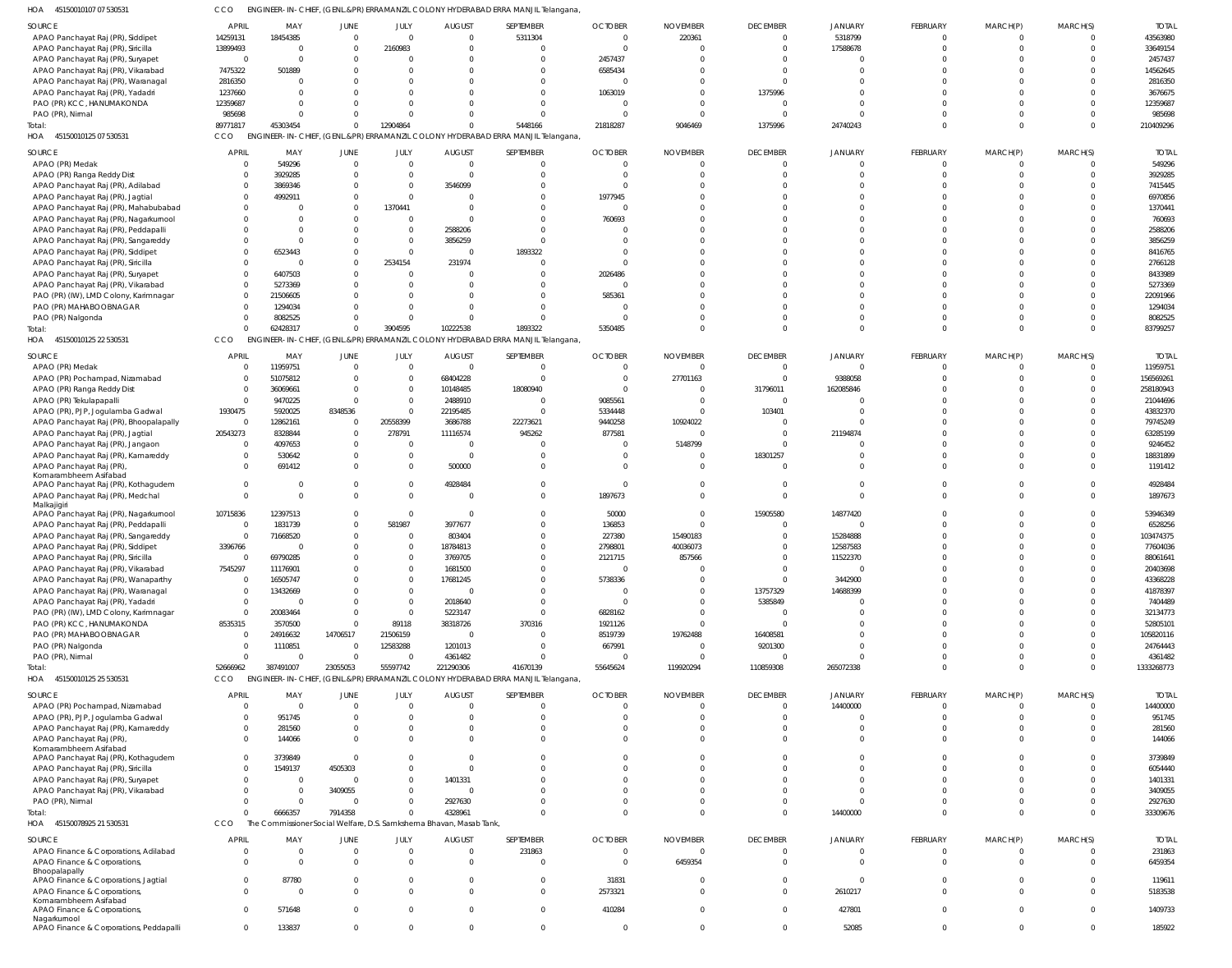45150010107 07 530531 HOA CCO ENGINEER-IN-CHIEF, (GENL.&PR) ERRAMANZIL COLONY HYDERABAD ERRA MANJIL Telangana,

| <b>SOURCE</b>                                           | <b>APRIL</b>   | MAY        | <b>JUNE</b>    | JULY           | <b>AUGUST</b>                                                       | SEPTEMBER                                                                        | <b>OCTOBER</b> | <b>NOVEMBER</b> | <b>DECEMBER</b> | <b>JANUARY</b> | FEBRUARY | MARCH(P) | MARCH(S) | <b>TOTAL</b> |
|---------------------------------------------------------|----------------|------------|----------------|----------------|---------------------------------------------------------------------|----------------------------------------------------------------------------------|----------------|-----------------|-----------------|----------------|----------|----------|----------|--------------|
| APAO Panchayat Raj (PR), Siddipet                       | 14259131       | 18454385   | $\Omega$       | $\Omega$       | $\Omega$                                                            | 5311304                                                                          | $\mathbf 0$    | 220361          |                 | 5318799        | $\Omega$ |          |          | 43563980     |
| APAO Panchayat Raj (PR), Siricilla                      | 13899493       | $\Omega$   | $\Omega$       | 2160983        | $\Omega$                                                            | $\Omega$                                                                         | $\Omega$       | $\Omega$        |                 | 17588678       | $\Omega$ |          |          | 33649154     |
|                                                         |                |            |                |                |                                                                     |                                                                                  |                |                 |                 |                |          |          |          |              |
| APAO Panchayat Raj (PR), Suryapet                       | $\overline{0}$ | $\Omega$   |                |                |                                                                     | $\Omega$                                                                         | 2457437        |                 |                 | $\Omega$       | $\Omega$ |          |          | 2457437      |
| APAO Panchayat Raj (PR), Vikarabad                      | 7475322        | 501889     |                |                |                                                                     | $\Omega$                                                                         | 6585434        |                 |                 |                |          |          |          | 14562645     |
| APAO Panchayat Raj (PR), Waranagal                      | 2816350        | $\Omega$   |                |                |                                                                     |                                                                                  | $\Omega$       |                 |                 |                |          |          |          | 2816350      |
| APAO Panchayat Raj (PR), Yadadri                        | 1237660        | $\Omega$   |                |                |                                                                     |                                                                                  | 1063019        | $\Omega$        | 1375996         |                |          |          |          | 3676675      |
|                                                         |                |            |                |                |                                                                     |                                                                                  |                |                 |                 |                |          |          |          |              |
| PAO (PR) KCC, HANUMAKONDA                               | 12359687       | $\cap$     |                |                |                                                                     | $\Omega$                                                                         | $\Omega$       | $\Omega$        |                 | $\Omega$       |          |          |          | 12359687     |
| PAO (PR), Nirmal                                        | 985698         | $\cap$     |                | $\Omega$       |                                                                     | $\Omega$                                                                         | $\Omega$       | $\Omega$        |                 | $\Omega$       | $\Omega$ |          |          | 985698       |
| Total:                                                  | 89771817       | 45303454   | $\Omega$       | 12904864       | $\Omega$                                                            | 5448166                                                                          | 21818287       | 9046469         | 1375996         | 24740243       | $\Omega$ | $\Omega$ | $\Omega$ | 210409296    |
| 45150010125 07 530531<br>HOA                            | CCO            |            |                |                |                                                                     | ENGINEER-IN-CHIEF, (GENL.&PR) ERRAMANZIL COLONY HYDERABAD ERRA MANJIL Telangana, |                |                 |                 |                |          |          |          |              |
|                                                         |                |            |                |                |                                                                     |                                                                                  |                |                 |                 |                |          |          |          |              |
| SOURCE                                                  | <b>APRIL</b>   | MAY        | <b>JUNE</b>    | JULY           | <b>AUGUST</b>                                                       | SEPTEMBER                                                                        | <b>OCTOBER</b> | <b>NOVEMBER</b> | <b>DECEMBER</b> | JANUARY        | FEBRUARY | MARCH(P) | MARCH(S) | <b>TOTAL</b> |
| APAO (PR) Medak                                         | 0              | 549296     | $\overline{0}$ | $\overline{0}$ | $\overline{0}$                                                      | $\overline{0}$                                                                   | $\mathbf{0}$   | $\Omega$        | - 0             | $\mathbf{0}$   | $\Omega$ |          | $\Omega$ | 549296       |
|                                                         | $\mathbf 0$    | 3929285    | $\Omega$       | $\overline{0}$ | $\Omega$                                                            | $\Omega$                                                                         | $\Omega$       | $\Omega$        |                 |                | $\Omega$ |          |          | 3929285      |
| APAO (PR) Ranga Reddy Dist                              |                |            |                |                |                                                                     |                                                                                  |                |                 |                 |                |          |          |          |              |
| APAO Panchayat Raj (PR), Adilabad                       | $\mathbf 0$    | 3869346    | $\Omega$       | $\overline{0}$ | 3546099                                                             | $\Omega$                                                                         | $\Omega$       | $\Omega$        |                 |                | $\Omega$ |          |          | 7415445      |
| APAO Panchayat Raj (PR), Jagtial                        | $\mathbf 0$    | 4992911    | $\Omega$       | $\overline{0}$ | $\Omega$                                                            | $\Omega$                                                                         | 1977945        |                 |                 |                | $\Omega$ |          |          | 6970856      |
| APAO Panchayat Raj (PR), Mahabubabad                    | $\mathbf 0$    |            | $\Omega$       | 1370441        | $\Omega$                                                            | $\Omega$                                                                         | $\mathbf{0}$   | $\Omega$        |                 |                |          |          |          | 1370441      |
| APAO Panchayat Raj (PR), Nagarkurnool                   | $\mathbf 0$    | $\Omega$   | $\Omega$       | $\overline{0}$ | $\Omega$                                                            | $\Omega$                                                                         | 760693         |                 |                 |                |          |          |          | 760693       |
|                                                         |                | $\Omega$   |                |                |                                                                     | $\Omega$                                                                         |                |                 |                 |                |          |          |          |              |
| APAO Panchayat Raj (PR), Peddapalli                     | $\Omega$       |            |                | $\overline{0}$ | 2588206                                                             |                                                                                  | $\Omega$       |                 |                 |                |          |          |          | 2588206      |
| APAO Panchayat Raj (PR), Sangareddy                     | $\Omega$       | $\Omega$   |                | $\overline{0}$ | 3856259                                                             | $\Omega$                                                                         | $\Omega$       |                 |                 |                |          |          |          | 3856259      |
| APAO Panchayat Raj (PR), Siddipet                       | $\Omega$       | 6523443    |                | $\Omega$       | $\Omega$                                                            | 1893322                                                                          | $\Omega$       | $\Omega$        |                 |                | $\cap$   |          |          | 8416765      |
| APAO Panchayat Raj (PR), Siricilla                      | $\mathbf 0$    | - 0        | $\Omega$       | 2534154        | 231974                                                              |                                                                                  | $\Omega$       |                 |                 |                |          |          |          | 2766128      |
| APAO Panchayat Raj (PR), Suryapet                       | $\Omega$       | 6407503    | $\Omega$       | $\Omega$       | $\Omega$                                                            |                                                                                  | 2026486        |                 |                 |                |          |          |          | 8433989      |
|                                                         |                |            |                |                |                                                                     |                                                                                  |                |                 |                 |                |          |          |          |              |
| APAO Panchayat Raj (PR), Vikarabad                      | $^{\circ}$     | 5273369    | $\Omega$       |                | $\Omega$                                                            |                                                                                  | $\mathbf{0}$   |                 |                 |                |          |          |          | 5273369      |
| PAO (PR) (IW), LMD Colony, Karimnagar                   | $\Omega$       | 21506605   | $\Omega$       |                | $\Omega$                                                            | $\Omega$                                                                         | 585361         | $\Omega$        |                 |                |          |          |          | 22091966     |
| PAO (PR) MAHABOOBNAGAR                                  | 0              | 1294034    | $\Omega$       |                | $\Omega$                                                            | $\Omega$                                                                         | $\Omega$       |                 |                 |                |          |          |          | 1294034      |
| PAO (PR) Nalgonda                                       | $\mathbf 0$    | 8082525    | $\Omega$       | $\Omega$       | $\Omega$                                                            | $\Omega$                                                                         | $\Omega$       | $\Omega$        |                 | $\Omega$       | $\Omega$ |          |          | 8082525      |
|                                                         | $\Omega$       |            | $\Omega$       |                |                                                                     |                                                                                  |                | $\Omega$        |                 | $\Omega$       | $\Omega$ | $\Omega$ | $\Omega$ |              |
| Total:                                                  |                | 62428317   |                | 3904595        | 10222538                                                            | 1893322                                                                          | 5350485        |                 |                 |                |          |          |          | 83799257     |
| HOA<br>45150010125 22 530531                            | <b>CCO</b>     |            |                |                |                                                                     | ENGINEER-IN-CHIEF, (GENL.&PR) ERRAMANZIL COLONY HYDERABAD ERRA MANJIL Telangana, |                |                 |                 |                |          |          |          |              |
| SOURCE                                                  | <b>APRIL</b>   | MAY        | <b>JUNE</b>    | JULY           | <b>AUGUST</b>                                                       | SEPTEMBER                                                                        | <b>OCTOBER</b> | <b>NOVEMBER</b> | <b>DECEMBER</b> | <b>JANUARY</b> | FEBRUARY | MARCH(P) | MARCH(S) | <b>TOTAL</b> |
|                                                         |                |            |                |                |                                                                     |                                                                                  |                |                 |                 |                |          |          |          |              |
| APAO (PR) Medak                                         | $\mathbf 0$    | 11959751   | $\overline{0}$ | $\overline{0}$ | $\Omega$                                                            | $\overline{0}$                                                                   | $\mathbf{0}$   | $\Omega$        |                 | $\mathbf 0$    | $\Omega$ |          | $\Omega$ | 11959751     |
| APAO (PR) Pochampad, Nizamabad                          | $\mathbf 0$    | 51075812   | $\Omega$       | $\overline{0}$ | 68404228                                                            | $\overline{0}$                                                                   | $\mathbf 0$    | 27701163        |                 | 9388058        | $\Omega$ |          |          | 156569261    |
| APAO (PR) Ranga Reddy Dist                              | $\mathbf{0}$   | 36069661   | $\Omega$       | $\overline{0}$ | 10148485                                                            | 18080940                                                                         | $\Omega$       | $\Omega$        | 31796011        | 162085846      |          |          |          | 258180943    |
| APAO (PR) Tekulapapalli                                 | $\mathbf{0}$   | 9470225    | $\Omega$       | $\Omega$       | 2488910                                                             | $\Omega$                                                                         | 9085561        | $\Omega$        | $\Omega$        | $\Omega$       | $\Omega$ |          |          | 21044696     |
|                                                         |                |            |                |                |                                                                     |                                                                                  |                |                 |                 |                |          |          |          |              |
| APAO (PR), PJP, Jogulamba Gadwal                        | 1930475        | 5920025    | 8348536        | $\Omega$       | 22195485                                                            | $\Omega$                                                                         | 5334448        | $\Omega$        | 103401          | $\mathcal{L}$  |          |          |          | 43832370     |
| APAO Panchayat Raj (PR), Bhoopalapally                  | $\mathbf 0$    | 12862161   | $\Omega$       | 20558399       | 3686788                                                             | 22273621                                                                         | 9440258        | 10924022        |                 | $\Omega$       |          |          |          | 79745249     |
| APAO Panchayat Raj (PR), Jagtial                        | 20543273       | 8328844    | $\Omega$       | 278791         | 11116574                                                            | 945262                                                                           | 877581         | $\Omega$        |                 | 21194874       |          |          |          | 63285199     |
| APAO Panchayat Raj (PR), Jangaon                        | $\overline{0}$ | 4097653    | $\Omega$       | $\Omega$       | $\Omega$                                                            | $\Omega$                                                                         | $\overline{0}$ | 5148799         |                 | $\Omega$       | $\Omega$ |          |          | 9246452      |
|                                                         |                |            |                |                |                                                                     |                                                                                  |                |                 |                 |                |          |          |          |              |
| APAO Panchayat Raj (PR), Kamareddy                      | $\mathbf 0$    | 530642     | $\overline{0}$ | $\overline{0}$ | $\Omega$                                                            | U                                                                                | $\Omega$       | $\Omega$        | 18301257        | $\Omega$       | $\Omega$ |          |          | 18831899     |
| APAO Panchayat Raj (PR),                                | $\mathbf 0$    | 691412     | $\Omega$       | $\Omega$       | 500000                                                              | $\Omega$                                                                         | $\Omega$       | $\Omega$        |                 | $\Omega$       | $\Omega$ |          |          | 1191412      |
| Komarambheem Asifabad                                   |                |            |                |                |                                                                     |                                                                                  |                |                 |                 |                |          |          |          |              |
| APAO Panchayat Raj (PR), Kothagudem                     | $\mathbf{0}$   | - 0        | $\Omega$       | $\mathbf 0$    | 4928484                                                             | $\Omega$                                                                         | $\mathbf{0}$   | $\Omega$        |                 | 0              | $\Omega$ |          | $\Omega$ | 4928484      |
| APAO Panchayat Raj (PR), Medchal                        | $\mathbf 0$    | $\Omega$   | $\Omega$       | $\Omega$       | $\Omega$                                                            | $\Omega$                                                                         | 1897673        | $\Omega$        |                 | $\Omega$       | $\Omega$ |          |          | 1897673      |
| Malkajigiri                                             |                |            |                |                |                                                                     |                                                                                  |                |                 |                 |                |          |          |          |              |
| APAO Panchayat Raj (PR), Nagarkurnool                   | 10715836       | 12397513   | $\Omega$       | $\overline{0}$ | $\Omega$                                                            | $\Omega$                                                                         | 50000          | $\Omega$        | 15905580        | 14877420       | $\Omega$ |          |          | 53946349     |
| APAO Panchayat Raj (PR), Peddapalli                     | $\overline{0}$ | 1831739    | $\Omega$       | 581987         | 3977677                                                             | $\Omega$                                                                         | 136853         | $\Omega$        |                 | $\mathbf 0$    | $\cap$   |          |          | 6528256      |
| APAO Panchayat Raj (PR), Sangareddy                     | $\mathbf{0}$   | 71668520   | $\Omega$       | $\Omega$       | 803404                                                              |                                                                                  | 227380         | 15490183        |                 | 15284888       |          |          |          | 103474375    |
|                                                         |                |            |                |                |                                                                     |                                                                                  |                |                 |                 |                |          |          |          |              |
| APAO Panchayat Raj (PR), Siddipet                       | 3396766        | $\sqrt{ }$ | $\Omega$       | $\Omega$       | 18784813                                                            | $\Omega$                                                                         | 2798801        | 40036073        |                 | 12587583       |          |          |          | 77604036     |
| APAO Panchayat Raj (PR), Siricilla                      | $\Omega$       | 69790285   | $\Omega$       | $\Omega$       | 3769705                                                             |                                                                                  | 2121715        | 857566          |                 | 11522370       |          |          |          | 88061641     |
| APAO Panchayat Raj (PR), Vikarabad                      | 7545297        | 11176901   | $\Omega$       | $\Omega$       | 1681500                                                             | $\Omega$                                                                         | $\Omega$       | $\Omega$        |                 | $\Omega$       | $\Omega$ |          |          | 20403698     |
| APAO Panchayat Raj (PR), Wanaparthy                     | $\mathbf 0$    | 16505747   | $\Omega$       | $\overline{0}$ | 17681245                                                            | $\Omega$                                                                         | 5738336        | $\Omega$        |                 | 3442900        | $\Omega$ |          |          | 43368228     |
| APAO Panchayat Raj (PR), Waranagal                      | $\mathbf{0}$   | 13432669   |                | $\Omega$       | $\Omega$                                                            | $\Omega$                                                                         | $\overline{0}$ | $\Omega$        | 13757329        | 14688399       | $\Omega$ |          |          | 41878397     |
|                                                         |                |            |                |                |                                                                     |                                                                                  |                |                 |                 |                |          |          |          |              |
| APAO Panchayat Raj (PR), Yadadri                        | $\mathbf{0}$   | $\Omega$   | $\Omega$       | $\Omega$       | 2018640                                                             | $\Omega$                                                                         | $\Omega$       | $\Omega$        | 5385849         | $\Omega$       | $\Omega$ |          |          | 7404489      |
| PAO (PR) (IW), LMD Colony, Karimnagar                   | $\mathbf 0$    | 20083464   | $\Omega$       | $\overline{0}$ | 5223147                                                             | $\Omega$                                                                         | 6828162        | $\Omega$        |                 | $\Omega$       | $\Omega$ |          |          | 32134773     |
| PAO (PR) KCC, HANUMAKONDA                               | 8535315        | 3570500    | $\Omega$       | 89118          | 38318726                                                            | 370316                                                                           | 1921126        | $\Omega$        |                 | $\Omega$       | $\Omega$ |          |          | 52805101     |
| PAO (PR) MAHABOOBNAGAR                                  | $\overline{0}$ | 24916632   | 14706517       | 21506159       | $\Omega$                                                            | $\Omega$                                                                         | 8519739        | 19762488        | 16408581        | $\Omega$       | $\Omega$ |          |          | 105820116    |
| PAO (PR) Nalgonda                                       | $\mathbf{0}$   | 1110851    | $\Omega$       | 12583288       | 1201013                                                             | $\Omega$                                                                         | 667991         | $\Omega$        | 9201300         | $\Omega$       | $\Omega$ |          |          | 24764443     |
|                                                         |                |            |                |                |                                                                     |                                                                                  |                |                 |                 |                |          |          |          |              |
| PAO (PR), Nirmal                                        | $\mathbf 0$    | $\sqrt{ }$ | $\Omega$       | $\Omega$       | 4361482                                                             | $\Omega$                                                                         | $\overline{0}$ | $\Omega$        | $\mathsf{C}$    | $\Omega$       | $\Omega$ | $\Omega$ |          | 4361482      |
| Total:                                                  | 52666962       | 387491007  | 23055053       | 55597742       | 221290306                                                           | 41670139                                                                         | 55645624       | 119920294       | 110859308       | 265072338      | $\Omega$ | $\Omega$ | $\Omega$ | 1333268773   |
| 45150010125 25 530531<br>HOA                            | <b>CCO</b>     |            |                |                |                                                                     | ENGINEER-IN-CHIEF, (GENL.&PR) ERRAMANZIL COLONY HYDERABAD ERRA MANJIL Telangana, |                |                 |                 |                |          |          |          |              |
| <b>SOURCE</b>                                           | <b>APRIL</b>   | MAY        | JUNE           | JULY           | <b>AUGUST</b>                                                       | SEPTEMBER                                                                        | <b>OCTOBER</b> | <b>NOVEMBER</b> | <b>DECEMBER</b> | JANUARY        | FEBRUARY | MARCH(P) | MARCH(S) | <b>TOTAL</b> |
|                                                         |                |            |                |                |                                                                     |                                                                                  |                |                 |                 |                |          |          |          |              |
| APAO (PR) Pochampad, Nizamabad                          | $\mathbf{0}$   | $\Omega$   | $\Omega$       | $\overline{0}$ | $\Omega$                                                            | $\Omega$                                                                         | $\mathbf{0}$   | $\Omega$        | $\Omega$        | 14400000       | $\Omega$ | - 0      | $\Omega$ | 14400000     |
| APAO (PR), PJP, Jogulamba Gadwal                        | $\mathbf 0$    | 951745     | $\overline{0}$ | $\Omega$       | $\Omega$                                                            | $\overline{0}$                                                                   | $\mathbf 0$    | $\Omega$        | $\Omega$        | $\mathbf{0}$   | $\Omega$ | $\Omega$ | $\Omega$ | 951745       |
| APAO Panchayat Raj (PR), Kamareddy                      | $\mathbf 0$    | 281560     | $\overline{0}$ | $\Omega$       | $\Omega$                                                            | $\Omega$                                                                         | $\mathbf 0$    | $\Omega$        | $\Omega$        | $\mathbf{0}$   | $\Omega$ | $\Omega$ |          | 281560       |
| APAO Panchayat Raj (PR),                                | $\mathbf 0$    | 144066     | $\Omega$       |                | $\Omega$                                                            | $\Omega$                                                                         | $\Omega$       | $\Omega$        | $\Omega$        | $\Omega$       | $\Omega$ | $\Omega$ |          | 144066       |
| Komarambheem Asifabad                                   |                |            |                |                |                                                                     |                                                                                  |                |                 |                 |                |          |          |          |              |
| APAO Panchayat Raj (PR), Kothagudem                     | $\mathbf 0$    | 3739849    | $\Omega$       | $\Omega$       | $\Omega$                                                            | $\Omega$                                                                         | $\Omega$       | $\Omega$        |                 | $\Omega$       | $\Omega$ |          |          | 3739849      |
| APAO Panchayat Raj (PR), Siricilla                      | $\mathbf 0$    | 1549137    | 4505303        | $\Omega$       | $\Omega$                                                            | $\Omega$                                                                         | $\Omega$       | $\Omega$        |                 | $\Omega$       | $\Omega$ |          |          | 6054440      |
| APAO Panchayat Raj (PR), Suryapet                       | $\mathbf 0$    | - 0        | $\Omega$       | $\Omega$       | 1401331                                                             | $\Omega$                                                                         | $\Omega$       | $\Omega$        |                 | $\Omega$       | $\Omega$ |          |          | 1401331      |
|                                                         | $\mathbf 0$    | $\Omega$   |                | $\mathbf 0$    | $\Omega$                                                            | $\Omega$                                                                         | $\Omega$       | $\Omega$        |                 | $\Omega$       | $\Omega$ |          |          |              |
| APAO Panchayat Raj (PR), Vikarabad                      |                |            | 3409055        |                |                                                                     |                                                                                  |                |                 |                 |                |          |          |          | 3409055      |
| PAO (PR), Nirmal                                        | $\mathbf 0$    | $\Omega$   | $\Omega$       | $\mathbf 0$    | 2927630                                                             | $\Omega$                                                                         | $\Omega$       | $\Omega$        | $\Omega$        | $\Omega$       | $\Omega$ | $\Omega$ |          | 2927630      |
| Total:                                                  | $\Omega$       | 6666357    | 7914358        | $\Omega$       | 4328961                                                             | $\Omega$                                                                         | $\Omega$       | $\Omega$        | $\Omega$        | 14400000       | $\Omega$ | $\Omega$ | $\Omega$ | 33309676     |
| HOA<br>45150078925 21 530531                            | CCO            |            |                |                | The Commissioner Social Welfare, D.S. Samkshema Bhavan, Masab Tank, |                                                                                  |                |                 |                 |                |          |          |          |              |
|                                                         |                |            |                |                |                                                                     |                                                                                  |                |                 |                 |                |          |          |          |              |
| SOURCE                                                  | <b>APRIL</b>   | MAY        | <b>JUNE</b>    | JULY           | <b>AUGUST</b>                                                       | SEPTEMBER                                                                        | <b>OCTOBER</b> | <b>NOVEMBER</b> | <b>DECEMBER</b> | JANUARY        | FEBRUARY | MARCH(P) | MARCH(S) | <b>TOTAL</b> |
| APAO Finance & Corporations, Adilabad                   | $\overline{0}$ | $\Omega$   | $\overline{0}$ | $\overline{0}$ | $\Omega$                                                            | 231863                                                                           | $\mathbf{0}$   | $\Omega$        |                 | $\mathbf{0}$   | $\Omega$ |          |          | 231863       |
| APAO Finance & Corporations,                            | $\overline{0}$ | $\Omega$   | $\Omega$       | $\Omega$       | $\Omega$                                                            | $\overline{0}$                                                                   | $\mathbf{0}$   | 6459354         | $\Omega$        | $\mathbf{0}$   | $\Omega$ | $\Omega$ | $\Omega$ | 6459354      |
| Bhoopalapally                                           |                |            |                |                |                                                                     |                                                                                  |                |                 |                 |                |          |          |          |              |
| APAO Finance & Corporations, Jagtial                    | $\mathbf 0$    | 87780      | $\Omega$       | $\Omega$       | $\Omega$                                                            | $\Omega$                                                                         | 31831          | $\Omega$        |                 | $\overline{0}$ | $\Omega$ | $\Omega$ | $\Omega$ | 119611       |
| APAO Finance & Corporations,                            | $\mathbf 0$    | $\Omega$   | $\Omega$       | $\Omega$       | $\Omega$                                                            | $\Omega$                                                                         | 2573321        | $\Omega$        |                 | 2610217        | $\Omega$ | $\Omega$ | $\Omega$ | 5183538      |
| Komarambheem Asifabad                                   |                |            |                |                |                                                                     |                                                                                  |                |                 |                 |                |          |          |          |              |
| APAO Finance & Corporations,                            | $\mathbf 0$    | 571648     | $\Omega$       | $\Omega$       | $\Omega$                                                            | $\Omega$                                                                         | 410284         | $\Omega$        | $\Omega$        | 427801         | $\Omega$ | $\Omega$ | $\Omega$ | 1409733      |
|                                                         |                |            |                |                |                                                                     |                                                                                  |                |                 |                 |                |          |          |          |              |
|                                                         |                |            |                |                |                                                                     |                                                                                  |                |                 |                 |                |          |          |          |              |
| Nagarkurnool<br>APAO Finance & Corporations, Peddapalli | $\mathbf{0}$   | 133837     | $\overline{0}$ | $\Omega$       | $\Omega$                                                            | $\Omega$                                                                         | $\mathbf 0$    | $\Omega$        | $\Omega$        | 52085          | $\Omega$ | $\Omega$ | $\Omega$ | 185922       |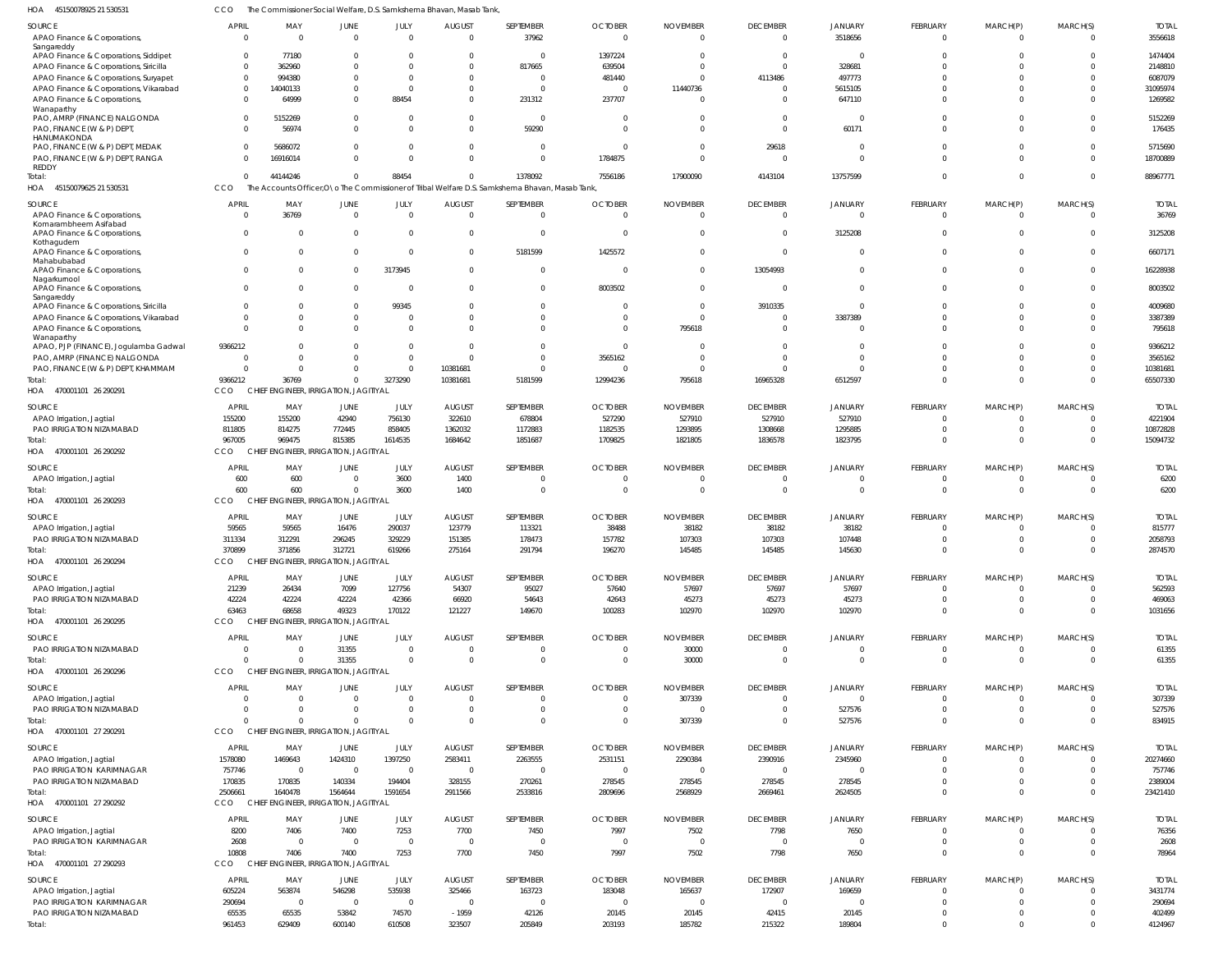| HOA<br>45150078925 21 530531                                             |                          |                                                 |                        |                      | The Commissioner Social Welfare, D.S. Samkshema Bhavan, Masab Tank, |                                                                                                  |                                  |                             |                                   |                            |                                |                            |                      |                         |
|--------------------------------------------------------------------------|--------------------------|-------------------------------------------------|------------------------|----------------------|---------------------------------------------------------------------|--------------------------------------------------------------------------------------------------|----------------------------------|-----------------------------|-----------------------------------|----------------------------|--------------------------------|----------------------------|----------------------|-------------------------|
| SOURCE<br>APAO Finance & Corporations,                                   | <b>APRIL</b><br>$\Omega$ | MAY<br>$\overline{0}$                           | JUNE<br>$\Omega$       | JULY<br>$\Omega$     | <b>AUGUST</b><br>$\Omega$                                           | SEPTEMBER<br>37962                                                                               | <b>OCTOBER</b><br>$\Omega$       | <b>NOVEMBER</b><br>$\Omega$ | <b>DECEMBER</b><br>$\overline{0}$ | <b>JANUARY</b><br>3518656  | <b>FEBRUARY</b><br>$\mathbf 0$ | MARCH(P)<br>$\mathbf 0$    | MARCH(S)<br>$\Omega$ | <b>TOTAI</b><br>3556618 |
| Sangareddy<br>APAO Finance & Corporations, Siddipet                      | $\Omega$                 | 77180                                           | $\Omega$               | $\Omega$             | 0                                                                   | $\Omega$                                                                                         | 1397224                          | $\Omega$                    | $\Omega$                          |                            | $\Omega$                       | $\Omega$                   |                      | 1474404                 |
| APAO Finance & Corporations, Siricilla                                   | $\Omega$                 | 362960                                          | $\Omega$               | - 0                  | $\overline{0}$                                                      | 817665                                                                                           | 639504                           | $\Omega$                    | $\Omega$                          | 328681                     | $\Omega$                       |                            |                      | 2148810                 |
| APAO Finance & Corporations, Suryapet                                    | $\Omega$                 | 994380                                          | $\Omega$               | $\Omega$             | $\Omega$                                                            | $\Omega$                                                                                         | 481440                           | $\Omega$                    | 4113486                           | 497773                     | $\Omega$                       | $\Omega$                   | $\Omega$             | 6087079                 |
| APAO Finance & Corporations, Vikarabad                                   | $\Omega$                 | 14040133                                        | $\mathbf{0}$           | $\Omega$             | 0                                                                   | $\Omega$                                                                                         | $\overline{0}$                   | 11440736                    | - 0                               | 5615105                    | $\Omega$                       | $\Omega$                   |                      | 31095974                |
| APAO Finance & Corporations,                                             | $\Omega$                 | 64999                                           | $\Omega$               | 88454                | $\Omega$                                                            | 231312                                                                                           | 237707                           | $\Omega$                    | $\Omega$                          | 647110                     | $\Omega$                       | $\Omega$                   | $\Omega$             | 1269582                 |
| Wanaparthy<br>PAO, AMRP (FINANCE) NALGONDA<br>PAO, FINANCE (W & P) DEPT, | $\Omega$<br>$\Omega$     | 5152269<br>56974                                | $\Omega$<br>$\Omega$   | - 0<br>$\Omega$      | $\overline{0}$<br>$\Omega$                                          | $\overline{0}$<br>59290                                                                          | $\overline{0}$<br>$\Omega$       | $\Omega$<br>$\Omega$        | $\Omega$<br>$\Omega$              | $\Omega$<br>60171          | $\Omega$<br>$\Omega$           | $\Omega$<br>$\Omega$       | $\Omega$<br>$\Omega$ | 5152269<br>176435       |
| HANUMAKONDA                                                              |                          |                                                 |                        |                      |                                                                     |                                                                                                  |                                  |                             |                                   |                            |                                |                            |                      |                         |
| PAO, FINANCE (W & P) DEPT, MEDAK                                         | $\Omega$                 | 5686072                                         | $\mathbf{0}$           | - 0                  | $\overline{0}$                                                      | $\overline{0}$                                                                                   | $\overline{0}$                   | $\overline{0}$              | 29618                             | $\Omega$                   | $\Omega$                       | $\Omega$                   | $\Omega$             | 5715690                 |
| PAO, FINANCE (W & P) DEPT, RANGA<br><b>REDDY</b>                         |                          | 16916014                                        | $\Omega$               | $\Omega$             | $\Omega$                                                            | $\Omega$                                                                                         | 1784875                          | $\Omega$                    | $\Omega$                          | $\Omega$                   | $\Omega$                       | $\Omega$                   | $\Omega$             | 18700889                |
| Total:                                                                   | $\Omega$                 | 44144246                                        | $\Omega$               | 88454                | $\Omega$                                                            | 1378092                                                                                          | 7556186                          | 17900090                    | 4143104                           | 13757599                   | $\Omega$                       | $\Omega$                   | $\Omega$             | 88967771                |
| HOA 45150079625 21 530531                                                | CCO                      |                                                 |                        |                      |                                                                     | The Accounts Officer, O \o The Commissioner of Tribal Welfare D.S. Samkshema Bhavan, Masab Tank, |                                  |                             |                                   |                            |                                |                            |                      |                         |
| SOURCE                                                                   | <b>APRIL</b>             | MAY                                             | JUNE                   | JULY                 | <b>AUGUST</b>                                                       | SEPTEMBER                                                                                        | <b>OCTOBER</b>                   | <b>NOVEMBER</b>             | <b>DECEMBER</b>                   | <b>JANUARY</b>             | FEBRUARY                       | MARCH(P)                   | MARCH(S)             | <b>TOTAI</b>            |
| APAO Finance & Corporations,                                             | $\Omega$                 | 36769                                           | $\overline{0}$         | $\Omega$             | $\overline{0}$                                                      | $\overline{0}$                                                                                   | $\overline{0}$                   | $\overline{0}$              | $\Omega$                          |                            | $\mathbf 0$                    | $\mathbf 0$                | $\Omega$             | 36769                   |
| Komarambheem Asifabad                                                    |                          |                                                 |                        |                      |                                                                     |                                                                                                  |                                  |                             |                                   |                            |                                |                            |                      |                         |
| APAO Finance & Corporations,                                             | $\Omega$                 | $\overline{0}$                                  | $\overline{0}$         | $\Omega$             | $\overline{0}$                                                      | $\overline{0}$                                                                                   | $\overline{0}$                   | $\overline{0}$              | $\Omega$                          | 3125208                    | $\mathbf 0$                    | $\mathbf 0$                | $\Omega$             | 3125208                 |
| Kothagudem<br>APAO Finance & Corporations,                               | $\Omega$                 | $\Omega$                                        | $\Omega$               |                      | $\mathbf{0}$                                                        | 5181599                                                                                          | 1425572                          | $\Omega$                    | $\Omega$                          | $\Omega$                   | $\mathbf 0$                    | $\mathbf 0$                | $\Omega$             | 6607171                 |
| Mahabubabad                                                              |                          |                                                 |                        |                      |                                                                     |                                                                                                  |                                  |                             |                                   |                            |                                |                            |                      |                         |
| APAO Finance & Corporations,                                             | $\Omega$                 | $\Omega$                                        | $^{\circ}$             | 3173945              | $\mathbf{0}$                                                        | $\overline{0}$                                                                                   | $\overline{0}$                   | $\Omega$                    | 13054993                          | $\Omega$                   | $\mathbf 0$                    | $\mathbf 0$                | $\Omega$             | 16228938                |
| Nagarkurnool<br>APAO Finance & Corporations,                             | $\Omega$                 | $\Omega$                                        | $\overline{0}$         | - 0                  | $\Omega$                                                            | $\mathbf{0}$                                                                                     | 8003502                          | $\Omega$                    | $\Omega$                          | $\Omega$                   | $\mathbf 0$                    | $\mathbf 0$                | $\Omega$             | 8003502                 |
| Sangareddy                                                               |                          |                                                 |                        |                      |                                                                     |                                                                                                  |                                  |                             |                                   |                            |                                |                            |                      |                         |
| APAO Finance & Corporations, Siricilla                                   | $\Omega$                 | $\mathbf 0$                                     | $\Omega$               | 99345                | $\Omega$                                                            | $\overline{0}$                                                                                   | 0                                | $\overline{0}$              | 3910335                           | $\Omega$                   | $\Omega$                       | $\Omega$                   | $\Omega$             | 4009680                 |
| APAO Finance & Corporations, Vikarabad                                   | $\Omega$<br>$\Omega$     | $\mathbf 0$                                     | $\Omega$<br>$\Omega$   | - 0                  | $\Omega$                                                            | $\mathbf 0$                                                                                      | $\Omega$                         | $\Omega$                    | $\Omega$                          | 3387389                    | $\Omega$                       | $\Omega$                   | $\Omega$             | 3387389                 |
| APAO Finance & Corporations,<br>Wanaparthy                               |                          | $\Omega$                                        |                        | $\Omega$             | $\Omega$                                                            | $\Omega$                                                                                         | $\overline{0}$                   | 795618                      | $\Omega$                          | $\Omega$                   | $\Omega$                       | $\Omega$                   | $\Omega$             | 795618                  |
| APAO, PJP (FINANCE), Jogulamba Gadwal                                    | 9366212                  | $\Omega$                                        | $\Omega$               | $\Omega$             | $\overline{0}$                                                      | $\Omega$                                                                                         | $\Omega$                         | $\Omega$                    | $\Omega$                          | $\Omega$                   | $\Omega$                       | $\Omega$                   | $\Omega$             | 9366212                 |
| PAO, AMRP (FINANCE) NALGONDA                                             | $\Omega$                 | $\Omega$                                        | $\Omega$               | $\Omega$             | $\Omega$                                                            | $\Omega$                                                                                         | 3565162                          | $\Omega$                    | $\Omega$                          | $\Omega$                   | $\Omega$                       | $\Omega$                   | $\Omega$             | 3565162                 |
| PAO, FINANCE (W & P) DEPT, KHAMMAM                                       | $\Omega$                 | $\mathbf{0}$                                    | $\Omega$               | $\Omega$             | 10381681                                                            | $\Omega$                                                                                         | 0                                | - 0                         | $\Omega$                          | $\Omega$                   | $\Omega$                       | $\Omega$                   | $\Omega$             | 10381681                |
| Total:                                                                   | 9366212                  | 36769                                           | $\Omega$               | 3273290              | 10381681                                                            | 5181599                                                                                          | 12994236                         | 795618                      | 16965328                          | 6512597                    | $\Omega$                       | $\Omega$                   | $\Omega$             | 65507330                |
| HOA 470001101 26 290291                                                  | CCO                      | CHIEF ENGINEER, IRRIGATION, JAGITIYAL           |                        |                      |                                                                     |                                                                                                  |                                  |                             |                                   |                            |                                |                            |                      |                         |
| SOURCE                                                                   | APRIL                    | MAY                                             | JUNE                   | JULY                 | <b>AUGUST</b>                                                       | SEPTEMBER                                                                                        | <b>OCTOBER</b>                   | <b>NOVEMBER</b>             | <b>DECEMBER</b>                   | <b>JANUARY</b>             | <b>FEBRUARY</b>                | MARCH(P)                   | MARCH(S)             | <b>TOTA</b>             |
| APAO Irrigation, Jagtial                                                 | 155200                   | 155200                                          | 42940                  | 756130               | 322610                                                              | 678804                                                                                           | 527290                           | 527910                      | 527910                            | 527910                     | $\Omega$                       | $\Omega$                   | $\Omega$             | 4221904                 |
| PAO IRRIGATION NIZAMABAD                                                 | 811805                   | 814275                                          | 772445                 | 858405               | 1362032                                                             | 1172883                                                                                          | 1182535                          | 1293895                     | 1308668                           | 1295885                    | $\Omega$                       | $\Omega$                   | $\Omega$             | 10872828                |
| Total:                                                                   | 967005<br><b>CCO</b>     | 969475                                          | 815385                 | 1614535              | 1684642                                                             | 1851687                                                                                          | 1709825                          | 1821805                     | 1836578                           | 1823795                    | $\Omega$                       | $\Omega$                   | $\Omega$             | 15094732                |
| HOA 470001101 26 290292                                                  |                          | CHIEF ENGINEER, IRRIGATION, JAGITIYAL           |                        |                      |                                                                     |                                                                                                  |                                  |                             |                                   |                            |                                |                            |                      |                         |
| SOURCE                                                                   | APRIL                    | MAY                                             | JUNE                   | JULY                 | <b>AUGUST</b>                                                       | SEPTEMBER                                                                                        | <b>OCTOBER</b>                   | <b>NOVEMBER</b>             | <b>DECEMBER</b>                   | <b>JANUARY</b>             | FEBRUARY                       | MARCH(P)                   | MARCH(S)             | <b>TOTAL</b>            |
| APAO Irrigation, Jagtial                                                 | 600                      | 600                                             | 0                      | 3600                 | 1400                                                                | 0                                                                                                | 0                                | 0                           | $\Omega$                          |                            | $\mathbf 0$                    | 0                          | $\Omega$             | 6200                    |
| lotal:                                                                   | 600<br>CCO               | 600<br>CHIEF ENGINEER, IRRIGATION, JAGITIYAL    | $\Omega$               | 3600                 | 1400                                                                | $\mathbf{0}$                                                                                     | $\overline{0}$                   | $\Omega$                    | $\overline{0}$                    | $\Omega$                   | $\mathbf 0$                    | $\mathbf 0$                | $\Omega$             | 6200                    |
| HOA 470001101 26 290293                                                  |                          |                                                 |                        |                      |                                                                     |                                                                                                  |                                  |                             |                                   |                            |                                |                            |                      |                         |
| SOURCE                                                                   | APRIL                    | MAY                                             | JUNE                   | JULY                 | <b>AUGUST</b>                                                       | SEPTEMBER                                                                                        | <b>OCTOBER</b>                   | <b>NOVEMBER</b>             | <b>DECEMBER</b>                   | <b>JANUARY</b>             | FEBRUARY                       | MARCH(P)                   | MARCH(S)             | <b>TOTAI</b>            |
| APAO Irrigation, Jagtial                                                 | 59565                    | 59565                                           | 16476                  | 290037               | 123779                                                              | 113321                                                                                           | 38488                            | 38182                       | 38182                             | 38182                      | $\Omega$                       | $\Omega$                   |                      | 815777                  |
| PAO IRRIGATION NIZAMABAD                                                 | 311334                   | 312291                                          | 296245                 | 329229               | 151385<br>275164                                                    | 178473<br>291794                                                                                 | 157782                           | 107303<br>145485            | 107303<br>145485                  | 107448                     | $\Omega$<br>$\Omega$           | $\Omega$<br>$\Omega$       | $\Omega$<br>$\Omega$ | 2058793                 |
| Total:<br>HOA 470001101 26 290294                                        | 370899<br>CCO            | 371856<br>CHIEF ENGINEER, IRRIGATION, JAGITIYAL | 312721                 | 619266               |                                                                     |                                                                                                  | 196270                           |                             |                                   | 145630                     |                                |                            |                      | 2874570                 |
|                                                                          |                          |                                                 |                        |                      |                                                                     |                                                                                                  |                                  |                             |                                   |                            |                                |                            |                      |                         |
| SOURCE                                                                   | APRIL                    | MAY                                             | JUNE                   | JULY                 | <b>AUGUST</b>                                                       | SEPTEMBER                                                                                        | <b>OCTOBER</b>                   | <b>NOVEMBER</b>             | <b>DECEMBER</b>                   | <b>JANUARY</b>             | FEBRUARY                       | MARCH(P)                   | MARCH(S)             | <b>TOTAL</b>            |
| APAO Irrigation, Jagtial                                                 | 21239                    | 26434                                           | 7099                   | 127756               | 54307                                                               | 95027                                                                                            | 57640                            | 57697                       | 57697                             | 57697                      | $\mathbf 0$                    | $\mathbf 0$                |                      | 562593                  |
| PAO IRRIGATION NIZAMABAD<br>Total:                                       | 42224<br>63463           | 42224<br>68658                                  | 42224<br>49323         | 42366<br>170122      | 66920<br>121227                                                     | 54643<br>149670                                                                                  | 42643<br>100283                  | 45273<br>102970             | 45273<br>102970                   | 45273<br>102970            | $\mathbf 0$<br>$\mathbf 0$     | $\mathbf 0$<br>$\mathbf 0$ | $\Omega$<br>$\Omega$ | 469063<br>1031656       |
| HOA 470001101 26 290295                                                  | CCO                      | CHIEF ENGINEER, IRRIGATION, JAGITIYAL           |                        |                      |                                                                     |                                                                                                  |                                  |                             |                                   |                            |                                |                            |                      |                         |
|                                                                          |                          |                                                 |                        |                      |                                                                     |                                                                                                  |                                  |                             |                                   |                            |                                |                            |                      |                         |
| SOURCE                                                                   | APRIL                    | MAY                                             | JUNE                   | JULY                 | <b>AUGUST</b>                                                       | SEPTEMBER                                                                                        | <b>OCTOBER</b>                   | <b>NOVEMBER</b>             | <b>DECEMBER</b>                   | <b>JANUARY</b>             | FEBRUARY                       | MARCH(P)                   | MARCH(S)             | <b>TOTAL</b>            |
| PAO IRRIGATION NIZAMABAD<br>Total:                                       | $\Omega$<br>$\Omega$     | $\overline{0}$<br>$\Omega$                      | 31355<br>31355         | $\Omega$<br>$\Omega$ | 0<br>$\overline{0}$                                                 | $\mathbf{0}$<br>$\overline{0}$                                                                   | 0<br>$\overline{0}$              | 30000<br>30000              | $\Omega$<br>$\Omega$              | $\Omega$<br>$\Omega$       | 0<br>$\mathbf 0$               | 0<br>$\overline{0}$        | $\Omega$<br>$\Omega$ | 61355<br>61355          |
| HOA 470001101 26 290296                                                  | CCO                      | CHIEF ENGINEER, IRRIGATION, JAGITIYAL           |                        |                      |                                                                     |                                                                                                  |                                  |                             |                                   |                            |                                |                            |                      |                         |
|                                                                          |                          |                                                 |                        |                      |                                                                     |                                                                                                  |                                  |                             |                                   |                            |                                |                            |                      |                         |
| SOURCE                                                                   | APRIL<br>$\Omega$        | MAY<br>$\overline{0}$                           | JUNE<br>$\overline{0}$ | JULY<br>$\Omega$     | <b>AUGUST</b><br>$\overline{0}$                                     | SEPTEMBER                                                                                        | <b>OCTOBER</b><br>$\overline{0}$ | <b>NOVEMBER</b>             | <b>DECEMBER</b><br>$\Omega$       | <b>JANUARY</b><br>$\Omega$ | FEBRUARY<br>$\mathbf 0$        | MARCH(P)<br>$\mathbf 0$    | MARCH(S)<br>$\Omega$ | <b>TOTAL</b>            |
| APAO Irrigation, Jagtial<br>PAO IRRIGATION NIZAMABAD                     | $\Omega$                 | $\overline{0}$                                  | $\Omega$               | $\Omega$             | $\overline{0}$                                                      | $\overline{0}$<br>$\overline{0}$                                                                 | $\overline{0}$                   | 307339<br>$\overline{0}$    | $\overline{0}$                    | 527576                     | $\mathbf 0$                    | $\mathbf 0$                | $\Omega$             | 307339<br>527576        |
| Total:                                                                   | $\Omega$                 | $\Omega$                                        | $\Omega$               | $\Omega$             | $\Omega$                                                            | $\mathbf 0$                                                                                      | $\overline{0}$                   | 307339                      | $\Omega$                          | 527576                     | $\mathbf 0$                    | $\mathbf 0$                | $\Omega$             | 834915                  |
| HOA 470001101 27 290291                                                  | CCO                      | CHIEF ENGINEER, IRRIGATION, JAGITIYAL           |                        |                      |                                                                     |                                                                                                  |                                  |                             |                                   |                            |                                |                            |                      |                         |
| SOURCE                                                                   | APRIL                    | MAY                                             |                        | JULY                 | <b>AUGUST</b>                                                       | SEPTEMBER                                                                                        | <b>OCTOBER</b>                   | <b>NOVEMBER</b>             | <b>DECEMBER</b>                   | <b>JANUARY</b>             | FEBRUARY                       | MARCH(P)                   | MARCH(S)             | <b>TOTAI</b>            |
| APAO Irrigation, Jagtial                                                 | 1578080                  | 1469643                                         | JUNE<br>1424310        | 1397250              | 2583411                                                             | 2263555                                                                                          | 2531151                          | 2290384                     | 2390916                           | 2345960                    | $\Omega$                       | $\Omega$                   | $\Omega$             | 20274660                |
| PAO IRRIGATION KARIMNAGAR                                                | 757746                   | $\overline{0}$                                  | $\mathbf{0}$           | $\overline{0}$       | $\overline{0}$                                                      | $\overline{0}$                                                                                   | $\overline{0}$                   | $\overline{0}$              | $\Omega$                          |                            | $\Omega$                       | $\mathbf 0$                | $\Omega$             | 757746                  |
| PAO IRRIGATION NIZAMABAD                                                 | 170835                   | 170835                                          | 140334                 | 194404               | 328155                                                              | 270261                                                                                           | 278545                           | 278545                      | 278545                            | 278545                     | $\Omega$                       | $\mathbf 0$                | $\Omega$             | 2389004                 |
| Total:                                                                   | 2506661                  | 1640478                                         | 1564644                | 1591654              | 2911566                                                             | 2533816                                                                                          | 2809696                          | 2568929                     | 2669461                           | 2624505                    | $\Omega$                       | $\mathbf 0$                | $\Omega$             | 23421410                |
| HOA 470001101 27 290292                                                  | CCO                      | CHIEF ENGINEER, IRRIGATION, JAGITIYAL           |                        |                      |                                                                     |                                                                                                  |                                  |                             |                                   |                            |                                |                            |                      |                         |
| SOURCE                                                                   | APRIL                    | MAY                                             | JUNE                   | JULY                 | <b>AUGUST</b>                                                       | SEPTEMBER                                                                                        | <b>OCTOBER</b>                   | <b>NOVEMBER</b>             | <b>DECEMBER</b>                   | <b>JANUARY</b>             | FEBRUARY                       | MARCH(P)                   | MARCH(S)             | <b>TOTAL</b>            |
| APAO Irrigation, Jagtial                                                 | 8200                     | 7406                                            | 7400                   | 7253                 | 7700                                                                | 7450                                                                                             | 7997                             | 7502                        | 7798                              | 7650                       | $\mathbf 0$                    | 0                          | $\Omega$             | 76356                   |
| PAO IRRIGATION KARIMNAGAR                                                | 2608                     | $\overline{0}$                                  | $\overline{0}$         | $\overline{0}$       | $\overline{0}$                                                      | $\overline{0}$                                                                                   | $\overline{0}$                   | $\overline{0}$              | $\overline{0}$                    | - 0                        | $\mathbf 0$                    | $\mathbf 0$                | $\Omega$             | 2608                    |
| Total:                                                                   | 10808                    | 7406                                            | 7400                   | 7253                 | 7700                                                                | 7450                                                                                             | 7997                             | 7502                        | 7798                              | 7650                       | $\mathbf 0$                    | $\mathbf 0$                | $\Omega$             | 78964                   |
| HOA 470001101 27 290293                                                  | CCO                      | CHIEF ENGINEER, IRRIGATION, JAGITIYAL           |                        |                      |                                                                     |                                                                                                  |                                  |                             |                                   |                            |                                |                            |                      |                         |
| SOURCE                                                                   | <b>APRIL</b>             | MAY                                             | JUNE                   | JULY                 | <b>AUGUST</b>                                                       | SEPTEMBER                                                                                        | <b>OCTOBER</b>                   | <b>NOVEMBER</b>             | <b>DECEMBER</b>                   | <b>JANUARY</b>             | FEBRUARY                       | MARCH(P)                   | MARCH(S)             | <b>TOTAI</b>            |
| APAO Irrigation, Jagtial                                                 | 605224                   | 563874                                          | 546298                 | 535938               | 325466                                                              | 163723                                                                                           | 183048                           | 165637                      | 172907                            | 169659                     | $\Omega$                       | $\Omega$                   | $\Omega$             | 3431774                 |
| PAO IRRIGATION KARIMNAGAR                                                | 290694                   | $\overline{0}$                                  | $\overline{0}$         | $\overline{0}$       | $\mathbf 0$                                                         | $\overline{0}$                                                                                   | $\overline{0}$                   | $\overline{0}$              | $\Omega$                          |                            | 0                              | $\mathbf 0$                | $\Omega$             | 290694                  |
| PAO IRRIGATION NIZAMABAD                                                 | 65535                    | 65535                                           | 53842                  | 74570                | $-1959$                                                             | 42126                                                                                            | 20145                            | 20145                       | 42415                             | 20145                      | $\mathbf 0$                    | $\mathbf 0$                | $\Omega$             | 402499                  |
| Total:                                                                   | 961453                   | 629409                                          | 600140                 | 610508               | 323507                                                              | 205849                                                                                           | 203193                           | 185782                      | 215322                            | 189804                     | $\mathbf 0$                    | $\mathbf 0$                | $\overline{0}$       | 4124967                 |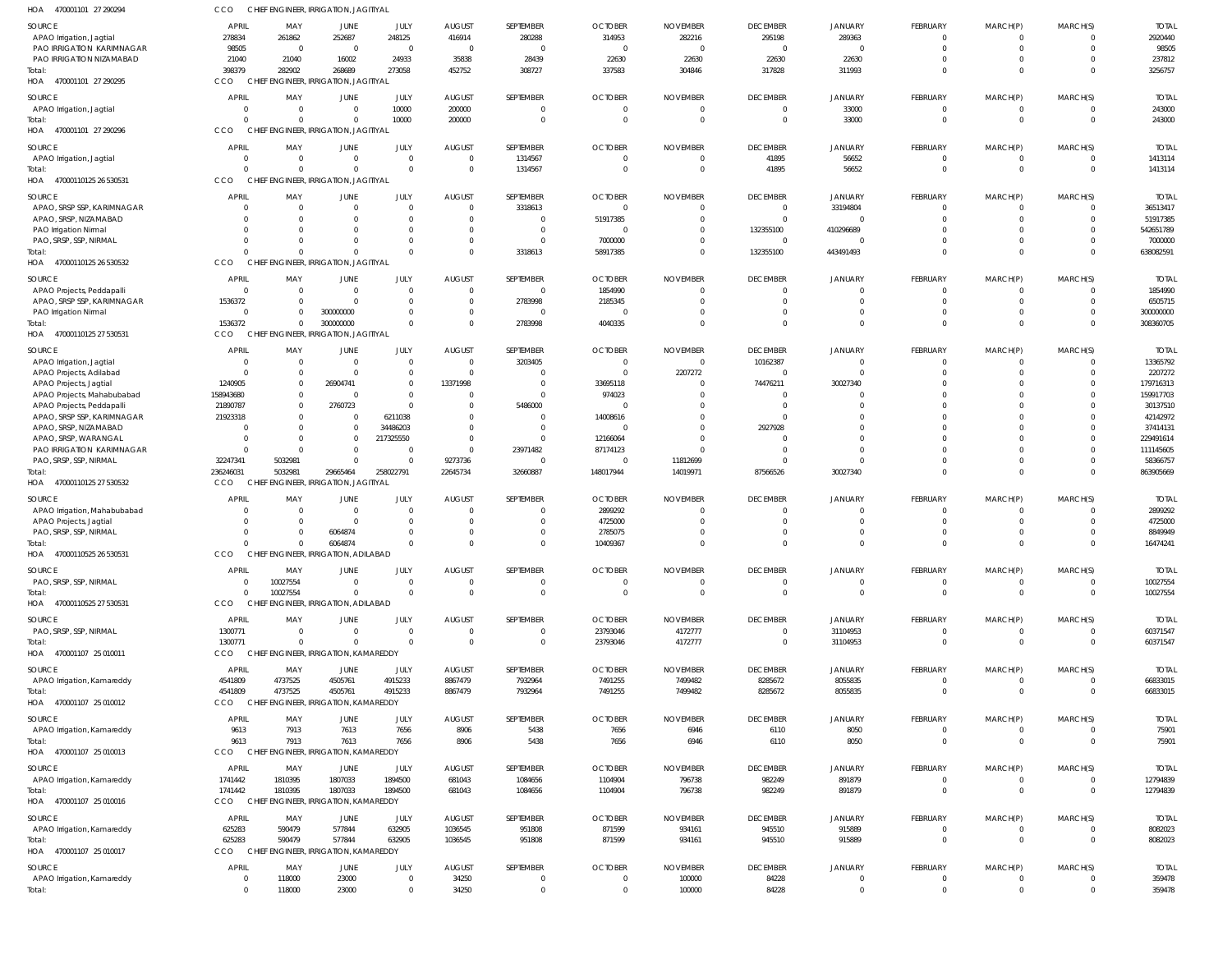| HOA<br>470001101 27 290294                          | CCO                  | CHIEF ENGINEER, IRRIGATION, JAGITIYAL             |                                |                      |                                 |                      |                                  |                                |                                   |                            |                                |                            |                            |                          |
|-----------------------------------------------------|----------------------|---------------------------------------------------|--------------------------------|----------------------|---------------------------------|----------------------|----------------------------------|--------------------------------|-----------------------------------|----------------------------|--------------------------------|----------------------------|----------------------------|--------------------------|
| <b>SOURCE</b>                                       | <b>APRIL</b>         | MAY                                               | <b>JUNE</b>                    | JULY                 | <b>AUGUST</b>                   | SEPTEMBER            | <b>OCTOBER</b>                   | <b>NOVEMBER</b>                | <b>DECEMBER</b>                   | <b>JANUARY</b>             | <b>FEBRUARY</b>                | MARCH(P)                   | MARCH(S)                   | <b>TOTAL</b>             |
| APAO Irrigation, Jagtial                            | 278834               | 261862                                            | 252687                         | 248125               | 416914                          | 280288               | 314953                           | 282216                         | 295198                            | 289363                     | $\mathbf 0$                    | 0                          | $\Omega$                   | 2920440                  |
| PAO IRRIGATION KARIMNAGAR                           | 98505                | $\overline{0}$                                    | $\overline{0}$                 | $\overline{0}$       | $\overline{0}$                  | $\overline{0}$       | $\overline{0}$                   | $\overline{0}$                 | $\Omega$                          | $\Omega$                   | $\overline{0}$                 | $\mathbf 0$                | $\Omega$                   | 98505                    |
| PAO IRRIGATION NIZAMABAD                            | 21040<br>398379      | 21040<br>282902                                   | 16002<br>268689                | 24933<br>273058      | 35838<br>452752                 | 28439<br>308727      | 22630<br>337583                  | 22630<br>304846                | 22630<br>317828                   | 22630<br>311993            | $\mathbf 0$<br>$\Omega$        | $\mathbf 0$<br>$\mathbf 0$ | $\Omega$<br>$\Omega$       | 237812<br>3256757        |
| Total:<br>HOA 470001101 27 290295                   | CCO                  | CHIEF ENGINEER, IRRIGATION, JAGITIYAL             |                                |                      |                                 |                      |                                  |                                |                                   |                            |                                |                            |                            |                          |
| SOURCE                                              | <b>APRIL</b>         | MAY                                               | JUNE                           | JULY                 | <b>AUGUST</b>                   | SEPTEMBER            | <b>OCTOBER</b>                   | <b>NOVEMBER</b>                | <b>DECEMBER</b>                   | <b>JANUARY</b>             | <b>FEBRUARY</b>                | MARCH(P)                   | MARCH(S)                   | <b>TOTAL</b>             |
| APAO Irrigation, Jagtial                            | $\Omega$             | $\overline{0}$                                    | $\mathbf{0}$                   | 10000                | 200000                          | $\overline{0}$       | $\overline{0}$                   | $\overline{0}$                 | $\overline{0}$                    | 33000                      | $\overline{0}$                 | $\mathbf 0$                | $\overline{0}$             | 243000                   |
| lotal:                                              | $\Omega$             | $\Omega$                                          | $\overline{0}$                 | 10000                | 200000                          | $\mathbf 0$          | $\overline{0}$                   | $\overline{0}$                 | $\overline{0}$                    | 33000                      | $\mathbf 0$                    | $\mathbf 0$                | $\overline{0}$             | 243000                   |
| 470001101 27 290296<br>HOA                          | CCO                  | CHIEF ENGINEER, IRRIGATION, JAGITIYAI             |                                |                      |                                 |                      |                                  |                                |                                   |                            |                                |                            |                            |                          |
| SOURCE                                              | APRIL                | MAY                                               | <b>JUNE</b>                    | JULY                 | <b>AUGUST</b>                   | SEPTEMBER            | <b>OCTOBER</b>                   | <b>NOVEMBER</b>                | <b>DECEMBER</b>                   | JANUARY                    | FEBRUARY                       | MARCH(P)                   | MARCH(S)                   | <b>TOTAL</b>             |
| APAO Irrigation, Jagtial                            | $\Omega$<br>$\Omega$ | $\overline{0}$                                    | $\overline{0}$                 | $\Omega$             | $\overline{0}$                  | 1314567              | $\overline{0}$                   | $\overline{0}$                 | 41895                             | 56652                      | $\mathbf 0$                    | 0                          | $\overline{0}$             | 1413114                  |
| Total:<br>HOA 47000110125 26 530531                 | CCO                  | $\Omega$<br>CHIEF ENGINEER, IRRIGATION, JAGITIYAL | $\Omega$                       | $\Omega$             | $\mathbf{0}$                    | 1314567              | $\overline{0}$                   | $\overline{0}$                 | 41895                             | 56652                      | $\overline{0}$                 | $\mathbf 0$                | $\overline{0}$             | 1413114                  |
|                                                     |                      |                                                   |                                |                      |                                 |                      |                                  |                                |                                   |                            |                                |                            |                            |                          |
| SOURCE<br>APAO, SRSP SSP, KARIMNAGAR                | APRIL<br>$\Omega$    | MAY<br>$\overline{0}$                             | <b>JUNE</b><br>$\mathbf{0}$    | JULY<br>$\Omega$     | <b>AUGUST</b><br>$\overline{0}$ | SEPTEMBER<br>3318613 | <b>OCTOBER</b><br>$\overline{0}$ | <b>NOVEMBER</b><br>$\mathbf 0$ | <b>DECEMBER</b><br>$\overline{0}$ | <b>JANUARY</b><br>33194804 | <b>FEBRUARY</b><br>$\mathbf 0$ | MARCH(P)<br>O              | MARCH(S)<br>$\Omega$       | <b>TOTAL</b><br>36513417 |
| APAO, SRSP, NIZAMABAD                               |                      | $\overline{0}$                                    | $\Omega$                       | $\Omega$             | $\overline{0}$                  | $\overline{0}$       | 51917385                         | $\mathbf 0$                    | $\overline{0}$                    | $\Omega$                   | $\mathbf 0$                    | $\mathbf 0$                | $\Omega$                   | 51917385                 |
| PAO Irrigation Nirmal                               | $\Omega$             | $\Omega$                                          | $\Omega$                       | $\Omega$             | $\mathbf 0$                     | $\mathbf 0$          | $\Omega$                         | 0                              | 132355100                         | 410296689                  | $\Omega$                       | $\Omega$                   | $\Omega$                   | 542651789                |
| PAO, SRSP, SSP, NIRMAL                              |                      | $\Omega$                                          | $\Omega$                       |                      | $\mathbf 0$                     | $\Omega$             | 7000000                          | $\Omega$                       | $\overline{0}$                    |                            | $\Omega$                       | $\mathbf 0$                | $\Omega$                   | 7000000                  |
| Total:                                              | $\Omega$             | $\Omega$                                          | $\Omega$                       | $\cap$               | $\mathbf{0}$                    | 3318613              | 58917385                         | $\Omega$                       | 132355100                         | 443491493                  | $\mathbf 0$                    | $\mathbf 0$                | $\Omega$                   | 638082591                |
| HOA 47000110125 26 530532                           | CCO                  | CHIEF ENGINEER, IRRIGATION, JAGITIYAL             |                                |                      |                                 |                      |                                  |                                |                                   |                            |                                |                            |                            |                          |
| SOURCE                                              | <b>APRIL</b>         | MAY                                               | <b>JUNE</b>                    | JULY                 | <b>AUGUST</b>                   | SEPTEMBER            | <b>OCTOBER</b>                   | <b>NOVEMBER</b>                | <b>DECEMBER</b>                   | <b>JANUARY</b>             | FEBRUARY                       | MARCH(P)                   | MARCH(S)                   | <b>TOTAL</b>             |
| APAO Projects, Peddapalli                           | $\Omega$             | $\overline{0}$                                    | $\overline{0}$                 | - 0                  | $\overline{0}$                  | $\Omega$             | 1854990                          | 0                              | $\Omega$                          | $\Omega$                   | 0                              | 0                          | $\overline{0}$             | 1854990                  |
| APAO, SRSP SSP, KARIMNAGAR                          | 1536372              | $\Omega$                                          | $\Omega$                       | - 0                  | $\overline{0}$                  | 2783998              | 2185345                          | $\Omega$                       | $\Omega$                          | $\Omega$                   | $\Omega$                       | $\mathbf 0$                | $\Omega$                   | 6505715                  |
| PAO Irrigation Nirmal                               | $\Omega$<br>1536372  | $\Omega$<br>$\mathbf 0$                           | 300000000<br>300000000         | $\Omega$<br>$\Omega$ | $\overline{0}$<br>$\mathbf 0$   | $\Omega$<br>2783998  | $\Omega$<br>4040335              | $\Omega$<br>$\Omega$           | $\Omega$<br>$\Omega$              | $\Omega$<br>$\Omega$       | $\mathbf 0$<br>$\mathbf 0$     | $\Omega$<br>$\mathbf 0$    | $\Omega$<br>$\overline{0}$ | 300000000<br>308360705   |
| Total:<br>HOA 47000110125 27 530531                 | CCO                  | CHIEF ENGINEER, IRRIGATION, JAGITIYAL             |                                |                      |                                 |                      |                                  |                                |                                   |                            |                                |                            |                            |                          |
| SOURCE                                              | APRIL                | MAY                                               | JUNE                           | JULY                 | <b>AUGUST</b>                   | SEPTEMBER            | <b>OCTOBER</b>                   | <b>NOVEMBER</b>                | <b>DECEMBER</b>                   | <b>JANUARY</b>             | FEBRUARY                       | MARCH(P)                   | MARCH(S)                   | <b>TOTAL</b>             |
| APAO Irrigation, Jagtial                            |                      | $\overline{0}$                                    | $\overline{0}$                 | $\Omega$             | $\overline{0}$                  | 3203405              | $\overline{0}$                   | $\overline{0}$                 | 10162387                          | $\Omega$                   | $\mathbf 0$                    | 0                          | $\Omega$                   | 13365792                 |
| APAO Projects, Adilabad                             | $\Omega$             | $\overline{0}$                                    | $\overline{0}$                 | $\Omega$             | $\mathbf{0}$                    | $\Omega$             | $\mathbf{0}$                     | 2207272                        | $\overline{0}$                    | $\Omega$                   | $\Omega$                       | $\Omega$                   | $\Omega$                   | 2207272                  |
| APAO Projects, Jagtial                              | 1240905              | $\overline{0}$                                    | 26904741                       | - 0                  | 13371998                        | $\mathbf{0}$         | 33695118                         | $\Omega$                       | 74476211                          | 30027340                   | $\Omega$                       | $\Omega$                   | $\Omega$                   | 179716313                |
| APAO Projects, Mahabubabad                          | 158943680            | $\Omega$                                          | $\overline{0}$                 | $\Omega$             | $\mathbf 0$                     | $\Omega$             | 974023                           | $\Omega$                       | $\Omega$                          |                            | $\Omega$                       | $\Omega$                   | $\Omega$                   | 159917703                |
| APAO Projects, Peddapalli                           | 21890787             | $\overline{0}$                                    | 2760723                        | $\Omega$             | 0                               | 5486000              | $\Omega$                         | $\Omega$                       | $\Omega$                          |                            | $\Omega$                       | $\Omega$                   | $\Omega$                   | 30137510                 |
| APAO, SRSP SSP, KARIMNAGAR<br>APAO, SRSP, NIZAMABAD | 21923318             | $\Omega$<br>$\Omega$                              | $\mathbf{0}$<br>$\overline{0}$ | 6211038<br>34486203  | 0<br>$\Omega$                   | $\Omega$<br>$\Omega$ | 14008616<br>$\Omega$             | $\Omega$<br>$\Omega$           | $\Omega$<br>2927928               | $\Omega$                   | $\Omega$<br>$\Omega$           | $\Omega$<br>$\Omega$       | $\Omega$                   | 42142972<br>37414131     |
| APAO, SRSP, WARANGAL                                |                      | $\overline{0}$                                    | $\mathbf{0}$                   | 217325550            | $\Omega$                        | $\Omega$             | 12166064                         | $\Omega$                       | $\Omega$                          | $\Omega$                   | $\Omega$                       | $\Omega$                   | $\Omega$                   | 229491614                |
| PAO IRRIGATION KARIMNAGAR                           | $\Omega$             | $\Omega$                                          | $\overline{0}$                 |                      | $\Omega$                        | 23971482             | 87174123                         | $\Omega$                       | $\Omega$                          | $\Omega$                   | $\Omega$                       | $\Omega$                   | $\Omega$                   | 111145605                |
| PAO, SRSP, SSP, NIRMAL                              | 32247341             | 5032981                                           | $\Omega$                       |                      | 9273736                         | $\Omega$             | $\mathbf 0$                      | 11812699                       | $\Omega$                          | $\Omega$                   | $\mathbf 0$                    | $\mathbf 0$                | $\Omega$                   | 58366757                 |
| lotal:                                              | 236246031            | 5032981                                           | 29665464                       | 258022791            | 22645734                        | 32660887             | 148017944                        | 14019971                       | 87566526                          | 30027340                   | $\mathbf 0$                    | $\mathbf 0$                | $\Omega$                   | 863905669                |
| HOA 47000110125 27 530532                           | <b>CCO</b>           | CHIEF ENGINEER, IRRIGATION, JAGITIYAL             |                                |                      |                                 |                      |                                  |                                |                                   |                            |                                |                            |                            |                          |
| SOURCE                                              | <b>APRIL</b>         | MAY                                               | <b>JUNE</b>                    | JULY                 | <b>AUGUST</b>                   | SEPTEMBER            | <b>OCTOBER</b>                   | <b>NOVEMBER</b>                | <b>DECEMBER</b>                   | <b>JANUARY</b>             | FEBRUARY                       | MARCH(P)                   | MARCH(S)                   | <b>TOTAL</b>             |
| APAO Irrigation, Mahabubabad                        | $\Omega$             | $\overline{0}$                                    | $\overline{0}$                 | - 0                  | 0                               | $\Omega$             | 2899292                          | $\Omega$                       | $\Omega$                          | $\Omega$                   | $\Omega$                       | $\Omega$                   | $\Omega$                   | 2899292                  |
| APAO Projects, Jagtial                              |                      | $\overline{0}$                                    | $\Omega$                       | - 0                  | $\overline{0}$                  |                      | 4725000                          | $\Omega$                       | $\Omega$                          | $\Omega$                   | $\Omega$                       | 0                          | $\Omega$                   | 4725000                  |
| PAO, SRSP, SSP, NIRMAL<br>Total:                    | $\Omega$             | $\Omega$<br>$\Omega$                              | 6064874<br>6064874             | - 0                  | $\Omega$<br>$\Omega$            | $\Omega$<br>$\Omega$ | 2785075<br>10409367              | $\Omega$<br>$\Omega$           | $\Omega$<br>$\Omega$              | $\Omega$<br>$\Omega$       | $\Omega$<br>$\Omega$           | $\Omega$<br>$\Omega$       | $\Omega$<br>$\Omega$       | 8849949<br>16474241      |
| HOA<br>47000110525 26 530531                        | <b>CCO</b>           | CHIEF ENGINEER, IRRIGATION, ADILABAD              |                                |                      |                                 |                      |                                  |                                |                                   |                            |                                |                            |                            |                          |
| SOURCE                                              | <b>APRIL</b>         | MAY                                               | JUNE                           | JULY                 | <b>AUGUST</b>                   | SEPTEMBER            | <b>OCTOBER</b>                   | <b>NOVEMBER</b>                | <b>DECEMBER</b>                   | <b>JANUARY</b>             | FEBRUARY                       | MARCH(P)                   | MARCH(S)                   | <b>TOTAL</b>             |
| PAO, SRSP, SSP, NIRMAL                              | $\overline{0}$       | 10027554                                          | $\overline{0}$                 | $\Omega$             | $\overline{0}$                  | $\overline{0}$       | $\overline{0}$                   | 0                              | $\overline{0}$                    | $\overline{0}$             | $\mathbf 0$                    | 0                          | $\Omega$                   | 10027554                 |
| Total:                                              | $\Omega$             | 10027554                                          | $\overline{0}$                 | $\Omega$             | $\mathbf 0$                     | $\overline{0}$       | $\mathbf{0}$                     | $\overline{0}$                 | $\overline{0}$                    | $\overline{0}$             | $\mathbf 0$                    | $\mathbf 0$                | $\overline{0}$             | 10027554                 |
| HOA 47000110525 27 530531                           | CCO                  | CHIEF ENGINEER, IRRIGATION, ADILABAD              |                                |                      |                                 |                      |                                  |                                |                                   |                            |                                |                            |                            |                          |
| SOURCE                                              | APRIL                | MAY                                               | JUNE                           | JULY                 | <b>AUGUST</b>                   | SEPTEMBER            | <b>OCTOBER</b>                   | <b>NOVEMBER</b>                | <b>DECEMBER</b>                   | <b>JANUARY</b>             | FEBRUARY                       | MARCH(P)                   | MARCH(S)                   | <b>TOTAL</b>             |
| PAO, SRSP, SSP, NIRMAL                              | 1300771              | $\overline{0}$                                    | $\overline{0}$                 | $\Omega$             | $\overline{0}$                  | $\overline{0}$       | 23793046                         | 4172777                        | $\overline{0}$                    | 31104953                   | $\mathbf 0$                    | 0                          | $\overline{0}$             | 60371547                 |
| Total:                                              | 1300771              | $\overline{0}$                                    | $\overline{0}$                 | $\Omega$             | $\mathbf 0$                     | $\overline{0}$       | 23793046                         | 4172777                        | $\overline{0}$                    | 31104953                   | $\mathbf{0}$                   | $\mathbf 0$                | $\overline{0}$             | 60371547                 |
| HOA 470001107 25 010011                             | CCO                  | CHIEF ENGINEER, IRRIGATION, KAMAREDDY             |                                |                      |                                 |                      |                                  |                                |                                   |                            |                                |                            |                            |                          |
| SOURCE                                              | APRIL                | MAY                                               | JUNE                           | JULY                 | <b>AUGUST</b>                   | SEPTEMBER            | <b>OCTOBER</b>                   | <b>NOVEMBER</b>                | <b>DECEMBER</b>                   | <b>JANUARY</b>             | <b>FEBRUARY</b>                | MARCH(P)                   | MARCH(S)                   | <b>TOTAL</b>             |
| APAO Irrigation, Kamareddy                          | 4541809              | 4737525                                           | 4505761                        | 4915233              | 8867479                         | 7932964              | 7491255                          | 7499482                        | 8285672                           | 8055835                    | $\mathbf 0$                    | $\mathbf 0$                | $\overline{0}$             | 66833015                 |
| Total:                                              | 4541809              | 4737525                                           | 4505761                        | 4915233              | 8867479                         | 7932964              | 7491255                          | 7499482                        | 8285672                           | 8055835                    | $\mathbf{0}$                   | $\mathbf 0$                | $\overline{0}$             | 66833015                 |
| HOA 470001107 25 010012                             | <b>CCO</b>           | CHIEF ENGINEER, IRRIGATION, KAMAREDDY             |                                |                      |                                 |                      |                                  |                                |                                   |                            |                                |                            |                            |                          |
| SOURCE                                              | <b>APRIL</b>         | MAY                                               | JUNE                           | JULY                 | <b>AUGUST</b>                   | SEPTEMBER            | <b>OCTOBER</b>                   | <b>NOVEMBER</b>                | <b>DECEMBER</b>                   | <b>JANUARY</b>             | FEBRUARY                       | MARCH(P)                   | MARCH(S)                   | <b>TOTAL</b>             |
| APAO Irrigation, Kamareddy                          | 9613                 | 7913                                              | 7613                           | 7656                 | 8906                            | 5438                 | 7656                             | 6946                           | 6110                              | 8050                       | $\mathbf 0$                    | 0                          | $\overline{0}$             | 75901                    |
| Total:<br>HOA 470001107 25 010013                   | 9613<br>CCO          | 7913<br>CHIEF ENGINEER, IRRIGATION, KAMAREDDY     | 7613                           | 7656                 | 8906                            | 5438                 | 7656                             | 6946                           | 6110                              | 8050                       | $\mathbf 0$                    | $\mathbf 0$                | $\overline{0}$             | 75901                    |
|                                                     |                      |                                                   |                                |                      |                                 |                      |                                  |                                |                                   |                            |                                |                            |                            |                          |
| SOURCE                                              | APRIL<br>1741442     | MAY<br>1810395                                    | JUNE<br>1807033                | JULY<br>1894500      | <b>AUGUST</b>                   | SEPTEMBER<br>1084656 | <b>OCTOBER</b><br>1104904        | <b>NOVEMBER</b>                | <b>DECEMBER</b>                   | <b>JANUARY</b>             | FEBRUARY<br>$\mathbf 0$        | MARCH(P)                   | MARCH(S)<br>$\overline{0}$ | <b>TOTAL</b><br>12794839 |
| APAO Irrigation, Kamareddy<br>Total:                | 1741442              | 1810395                                           | 1807033                        | 1894500              | 681043<br>681043                | 1084656              | 1104904                          | 796738<br>796738               | 982249<br>982249                  | 891879<br>891879           | $\mathbf 0$                    | 0<br>$\mathbf 0$           | $\overline{0}$             | 12794839                 |
| HOA 470001107 25 010016                             | CCO                  | CHIEF ENGINEER, IRRIGATION, KAMAREDDY             |                                |                      |                                 |                      |                                  |                                |                                   |                            |                                |                            |                            |                          |
|                                                     | APRIL                |                                                   |                                |                      |                                 |                      |                                  |                                |                                   |                            |                                |                            | MARCH(S)                   |                          |
| SOURCE<br>APAO Irrigation, Kamareddy                | 625283               | MAY<br>590479                                     | JUNE<br>577844                 | JULY<br>632905       | <b>AUGUST</b><br>1036545        | SEPTEMBER<br>951808  | <b>OCTOBER</b><br>871599         | <b>NOVEMBER</b><br>934161      | <b>DECEMBER</b><br>945510         | <b>JANUARY</b><br>915889   | FEBRUARY<br>$\mathbf 0$        | MARCH(P)<br>$\mathbf 0$    | $\overline{0}$             | <b>TOTAL</b><br>8082023  |
| Total:                                              | 625283               | 590479                                            | 577844                         | 632905               | 1036545                         | 951808               | 871599                           | 934161                         | 945510                            | 915889                     | $\mathbf{0}$                   | $\mathbf 0$                | $\overline{0}$             | 8082023                  |
| HOA 470001107 25 010017                             | CCO                  | CHIEF ENGINEER, IRRIGATION, KAMAREDDY             |                                |                      |                                 |                      |                                  |                                |                                   |                            |                                |                            |                            |                          |
| SOURCE                                              | APRIL                | MAY                                               | JUNE                           | JULY                 | <b>AUGUST</b>                   | SEPTEMBER            | <b>OCTOBER</b>                   | <b>NOVEMBER</b>                | <b>DECEMBER</b>                   | <b>JANUARY</b>             | FEBRUARY                       | MARCH(P)                   | MARCH(S)                   | <b>TOTAL</b>             |
| APAO Irrigation, Kamareddy                          | $\overline{0}$       | 118000                                            | 23000                          | $\Omega$             | 34250                           | $\overline{0}$       | $\mathbf 0$                      | 100000                         | 84228                             | $\overline{0}$             | $\mathbf 0$                    | $\mathbf 0$                | $\overline{0}$             | 359478                   |
| Total:                                              | $\Omega$             | 118000                                            | 23000                          | $\overline{0}$       | 34250                           | $\mathbf{0}$         | $\mathbf{0}$                     | 100000                         | 84228                             | $\overline{0}$             | $\mathbf 0$                    | $\mathbf 0$                | $\overline{0}$             | 359478                   |
|                                                     |                      |                                                   |                                |                      |                                 |                      |                                  |                                |                                   |                            |                                |                            |                            |                          |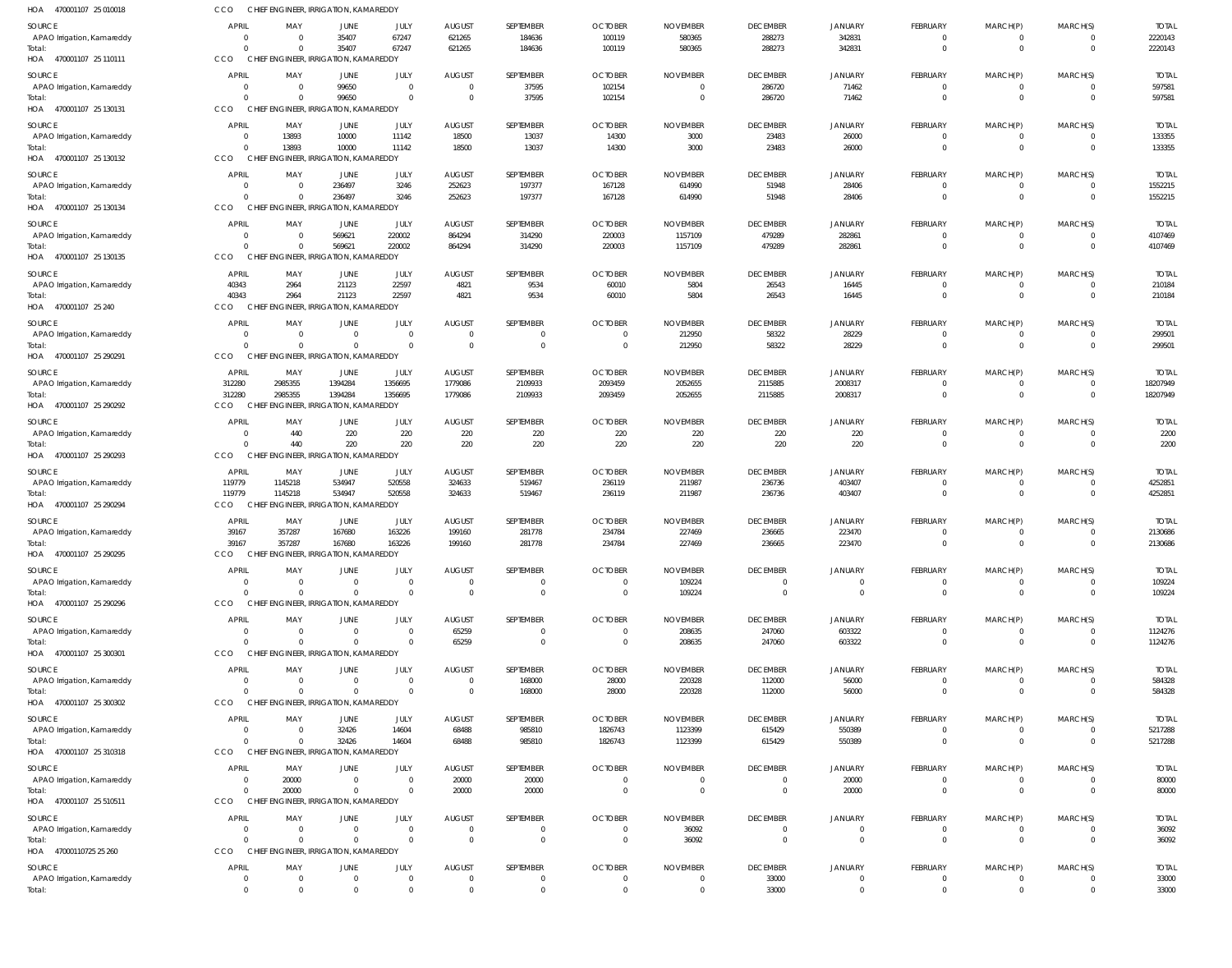| HOA 470001107 25 010018              | CCO                            | CHIEF ENGINEER, IRRIGATION, KAMAREDDY             |                                  |                            |                                  |                     |                                  |                                   |                             |                              |                      |                         |                      |                        |
|--------------------------------------|--------------------------------|---------------------------------------------------|----------------------------------|----------------------------|----------------------------------|---------------------|----------------------------------|-----------------------------------|-----------------------------|------------------------------|----------------------|-------------------------|----------------------|------------------------|
| <b>SOURCE</b>                        | <b>APRIL</b>                   | MAY                                               | JUNE                             | JULY                       | <b>AUGUST</b>                    | SEPTEMBER           | <b>OCTOBER</b>                   | <b>NOVEMBER</b>                   | <b>DECEMBER</b>             | JANUARY                      | FEBRUARY             | MARCH(P)                | MARCH(S)             | <b>TOTAL</b>           |
| APAO Irrigation, Kamareddy           | $\Omega$                       | $\mathbf 0$                                       | 35407                            | 67247                      | 621265                           | 184636              | 100119                           | 580365                            | 288273                      | 342831                       | $\Omega$             | $\overline{0}$          | $\mathbf 0$          | 2220143                |
| Total:<br>HOA 470001107 25 110111    | $\Omega$<br>CCO                | $\Omega$<br>CHIEF ENGINEER, IRRIGATION, KAMAREDDY | 35407                            | 67247                      | 621265                           | 184636              | 100119                           | 580365                            | 288273                      | 342831                       | $\Omega$             | $\Omega$                | $\Omega$             | 2220143                |
|                                      |                                |                                                   |                                  |                            |                                  |                     |                                  |                                   |                             |                              |                      |                         |                      |                        |
| SOURCE<br>APAO Irrigation, Kamareddy | <b>APRIL</b><br>$\Omega$       | MAY<br>$\overline{0}$                             | JUNE<br>99650                    | JULY<br>$\overline{0}$     | <b>AUGUST</b><br>$\overline{0}$  | SEPTEMBER<br>37595  | <b>OCTOBER</b><br>102154         | <b>NOVEMBER</b><br>$\overline{0}$ | <b>DECEMBER</b><br>286720   | <b>JANUARY</b><br>71462      | FEBRUARY<br>$\Omega$ | MARCH(P)<br>-0          | MARCH(S)<br>$\Omega$ | <b>TOTAL</b><br>597581 |
| Total:                               | $\Omega$                       | $\Omega$                                          | 99650                            | $\Omega$                   | $\overline{0}$                   | 37595               | 102154                           | $\overline{0}$                    | 286720                      | 71462                        | $\Omega$             | $\Omega$                | $\Omega$             | 597581                 |
| HOA 470001107 25 130131              | CCO                            | CHIEF ENGINEER, IRRIGATION, KAMAREDDY             |                                  |                            |                                  |                     |                                  |                                   |                             |                              |                      |                         |                      |                        |
| SOURCE                               | APRIL                          | MAY                                               | JUNE                             | JULY                       | <b>AUGUST</b>                    | SEPTEMBER           | <b>OCTOBER</b>                   | <b>NOVEMBER</b>                   | <b>DECEMBER</b>             | JANUARY                      | FEBRUARY             | MARCH(P)                | MARCH(S)             | <b>TOTAL</b>           |
| APAO Irrigation, Kamareddy           | $\Omega$<br>$\Omega$           | 13893<br>13893                                    | 10000<br>10000                   | 11142<br>11142             | 18500<br>18500                   | 13037<br>13037      | 14300<br>14300                   | 3000<br>3000                      | 23483<br>23483              | 26000<br>26000               | $\Omega$             | $^{\circ}$<br>$\Omega$  | $\Omega$<br>$\Omega$ | 133355<br>133355       |
| Total:<br>HOA 470001107 25 130132    | CCO                            | CHIEF ENGINEER, IRRIGATION, KAMAREDDY             |                                  |                            |                                  |                     |                                  |                                   |                             |                              |                      |                         |                      |                        |
| SOURCE                               | <b>APRIL</b>                   | MAY                                               | JUNE                             | JULY                       | <b>AUGUST</b>                    | SEPTEMBER           | <b>OCTOBER</b>                   | <b>NOVEMBER</b>                   | <b>DECEMBER</b>             | JANUARY                      | FEBRUARY             | MARCH(P)                | MARCH(S)             | <b>TOTAL</b>           |
| APAO Irrigation, Kamareddy           | $\Omega$                       | $\overline{0}$                                    | 236497                           | 3246                       | 252623                           | 197377              | 167128                           | 614990                            | 51948                       | 28406                        | $\Omega$             | $\overline{0}$          | $\Omega$             | 1552215                |
| Total:                               | $\Omega$                       | $\Omega$                                          | 236497                           | 3246                       | 252623                           | 197377              | 167128                           | 614990                            | 51948                       | 28406                        | $\Omega$             | $\Omega$                | $\Omega$             | 1552215                |
| HOA 470001107 25 130134              | CCO                            | CHIEF ENGINEER, IRRIGATION, KAMAREDDY             |                                  |                            |                                  |                     |                                  |                                   |                             |                              |                      |                         |                      |                        |
| SOURCE                               | <b>APRIL</b>                   | MAY                                               | JUNE                             | JULY                       | <b>AUGUST</b>                    | SEPTEMBER           | <b>OCTOBER</b>                   | <b>NOVEMBER</b>                   | <b>DECEMBER</b>             | JANUARY                      | FEBRUARY             | MARCH(P)                | MARCH(S)             | <b>TOTAL</b>           |
| APAO Irrigation, Kamareddy<br>Total: | $\Omega$<br>$\Omega$           | $\overline{0}$<br>$\Omega$                        | 569621<br>569621                 | 220002<br>220002           | 864294<br>864294                 | 314290<br>314290    | 220003<br>220003                 | 1157109<br>1157109                | 479289<br>479289            | 282861<br>282861             | - 0<br>$\Omega$      | $^{\circ}$<br>$\Omega$  | $\Omega$<br>$\Omega$ | 4107469<br>4107469     |
| HOA 470001107 25 130135              | CCO                            | CHIEF ENGINEER, IRRIGATION, KAMAREDDY             |                                  |                            |                                  |                     |                                  |                                   |                             |                              |                      |                         |                      |                        |
| SOURCE                               | <b>APRIL</b>                   | MAY                                               | <b>JUNE</b>                      | JULY                       | <b>AUGUST</b>                    | SEPTEMBER           | <b>OCTOBER</b>                   | <b>NOVEMBER</b>                   | <b>DECEMBER</b>             | <b>JANUARY</b>               | FEBRUARY             | MARCH(P)                | MARCH(S)             | <b>TOTAL</b>           |
| APAO Irrigation, Kamareddy           | 40343                          | 2964                                              | 21123                            | 22597                      | 4821                             | 9534                | 60010                            | 5804                              | 26543                       | 16445                        | - 0                  | -0                      | $\Omega$             | 210184                 |
| Total:                               | 40343                          | 2964                                              | 21123                            | 22597                      | 4821                             | 9534                | 60010                            | 5804                              | 26543                       | 16445                        | $\Omega$             | $\Omega$                | $\mathbf 0$          | 210184                 |
| HOA 470001107 25 240                 | CCO                            | CHIEF ENGINEER, IRRIGATION, KAMAREDDY             |                                  |                            |                                  |                     |                                  |                                   |                             |                              |                      |                         |                      |                        |
| SOURCE                               | <b>APRIL</b><br>$\Omega$       | MAY<br>$\overline{0}$                             | JUNE<br>$\overline{0}$           | JULY<br>$\Omega$           | <b>AUGUST</b><br>$\overline{0}$  | SEPTEMBER           | <b>OCTOBER</b><br>$\mathbf{0}$   | <b>NOVEMBER</b><br>212950         | <b>DECEMBER</b><br>58322    | <b>JANUARY</b><br>28229      | FEBRUARY             | MARCH(P)<br>-0          | MARCH(S)             | <b>TOTAL</b><br>299501 |
| APAO Irrigation, Kamareddy<br>Total: | $\Omega$                       | $\Omega$                                          | $\Omega$                         | $\Omega$                   | $\overline{0}$                   | $\Omega$            | $\overline{0}$                   | 212950                            | 58322                       | 28229                        | $\Omega$             | $\Omega$                | $\Omega$             | 299501                 |
| HOA 470001107 25 290291              | CCO                            | CHIEF ENGINEER, IRRIGATION, KAMAREDDY             |                                  |                            |                                  |                     |                                  |                                   |                             |                              |                      |                         |                      |                        |
| SOURCE                               | APRIL                          | MAY                                               | JUNE                             | JULY                       | <b>AUGUST</b>                    | SEPTEMBER           | <b>OCTOBER</b>                   | <b>NOVEMBER</b>                   | <b>DECEMBER</b>             | JANUARY                      | FEBRUARY             | MARCH(P)                | MARCH(S)             | <b>TOTAL</b>           |
| APAO Irrigation, Kamareddy           | 312280                         | 2985355                                           | 1394284                          | 1356695                    | 1779086                          | 2109933             | 2093459                          | 2052655                           | 2115885                     | 2008317                      | $\Omega$             | -0                      |                      | 18207949               |
| Total:<br>HOA 470001107 25 290292    | 312280<br>CCO                  | 2985355<br>CHIEF ENGINEER, IRRIGATION, KAMAREDDY  | 1394284                          | 1356695                    | 1779086                          | 2109933             | 2093459                          | 2052655                           | 2115885                     | 2008317                      | $\Omega$             | $\Omega$                | $\mathbf{0}$         | 18207949               |
|                                      |                                |                                                   |                                  |                            |                                  |                     |                                  |                                   |                             |                              |                      |                         |                      |                        |
| SOURCE<br>APAO Irrigation, Kamareddy | <b>APRIL</b><br>$\Omega$       | MAY<br>440                                        | <b>JUNE</b><br>220               | JULY<br>220                | <b>AUGUST</b><br>220             | SEPTEMBER<br>220    | <b>OCTOBER</b><br>220            | <b>NOVEMBER</b><br>220            | <b>DECEMBER</b><br>220      | JANUARY<br>220               | FEBRUARY<br>$\Omega$ | MARCH(P)<br>$\mathbf 0$ | MARCH(S)<br>$\Omega$ | <b>TOTAL</b><br>2200   |
| Total:                               | $\Omega$                       | 440                                               | 220                              | 220                        | 220                              | 220                 | 220                              | 220                               | 220                         | 220                          | $\Omega$             | $\Omega$                | $\Omega$             | 2200                   |
| HOA 470001107 25 290293              | CCO                            | CHIEF ENGINEER, IRRIGATION, KAMAREDDY             |                                  |                            |                                  |                     |                                  |                                   |                             |                              |                      |                         |                      |                        |
| SOURCE                               | <b>APRIL</b>                   | MAY                                               | JUNE                             | JULY                       | <b>AUGUST</b>                    | SEPTEMBER           | <b>OCTOBER</b>                   | <b>NOVEMBER</b>                   | <b>DECEMBER</b>             | <b>JANUARY</b>               | FEBRUARY             | MARCH(P)                | MARCH(S)             | <b>TOTAL</b>           |
| APAO Irrigation, Kamareddy           | 119779<br>119779               | 1145218                                           | 534947<br>534947                 | 520558<br>520558           | 324633                           | 519467<br>519467    | 236119                           | 211987                            | 236736                      | 403407                       | $\Omega$<br>$\Omega$ | -0<br>$\Omega$          | $\Omega$<br>$\Omega$ | 4252851<br>4252851     |
| Total:<br>HOA 470001107 25 290294    | CCO                            | 1145218<br>CHIEF ENGINEER, IRRIGATION, KAMAREDDY  |                                  |                            | 324633                           |                     | 236119                           | 211987                            | 236736                      | 403407                       |                      |                         |                      |                        |
| <b>SOURCE</b>                        | <b>APRIL</b>                   | MAY                                               | JUNE                             | JULY                       | <b>AUGUST</b>                    | SEPTEMBER           | <b>OCTOBER</b>                   | <b>NOVEMBER</b>                   | <b>DECEMBER</b>             | JANUARY                      | FEBRUARY             | MARCH(P)                | MARCH(S)             | <b>TOTAL</b>           |
| APAO Irrigation, Kamareddy           | 39167                          | 357287                                            | 167680                           | 163226                     | 199160                           | 281778              | 234784                           | 227469                            | 236665                      | 223470                       |                      | -0                      |                      | 2130686                |
| Total:                               | 39167                          | 357287                                            | 167680                           | 163226                     | 199160                           | 281778              | 234784                           | 227469                            | 236665                      | 223470                       | $\Omega$             | $\Omega$                | $\Omega$             | 2130686                |
| HOA 470001107 25 290295              | CCO                            | CHIEF ENGINEER, IRRIGATION, KAMAREDDY             |                                  |                            |                                  |                     |                                  |                                   |                             |                              |                      |                         |                      |                        |
| SOURCE                               | <b>APRIL</b>                   | MAY                                               | JUNE                             | JULY                       | <b>AUGUST</b>                    | SEPTEMBER           | <b>OCTOBER</b>                   | <b>NOVEMBER</b>                   | <b>DECEMBER</b>             | <b>JANUARY</b>               | FEBRUARY             | MARCH(P)                | MARCH(S)             | <b>TOTAL</b>           |
| APAO Irrigation, Kamareddy<br>Total: | $\Omega$<br>$\Omega$           | $\overline{0}$<br>$\Omega$                        | $\overline{0}$<br>$\Omega$       | $\overline{0}$<br>$\Omega$ | $\overline{0}$<br>$\overline{0}$ | - 0<br>$\Omega$     | $\overline{0}$<br>$\overline{0}$ | 109224<br>109224                  | 0<br>$\mathbf 0$            | $^{\circ}$<br>$\overline{0}$ | $\Omega$<br>$\Omega$ | -0<br>$\Omega$          | $\Omega$             | 109224<br>109224       |
| HOA 470001107 25 290296              | CCO                            | CHIEF ENGINEER, IRRIGATION, KAMAREDDY             |                                  |                            |                                  |                     |                                  |                                   |                             |                              |                      |                         |                      |                        |
| SOURCE                               | <b>APRIL</b>                   | MAY                                               | JUNE                             | JULY                       | <b>AUGUST</b>                    | SEPTEMBER           | <b>OCTOBER</b>                   | <b>NOVEMBER</b>                   | <b>DECEMBER</b>             | <b>JANUARY</b>               | FEBRUARY             | MARCH(P)                | MARCH(S)             | <b>TOTAL</b>           |
| APAO Irrigation, Kamareddy           | $\mathbf{0}$                   | $\overline{0}$                                    | $\overline{0}$                   | $\Omega$                   | 65259                            | - 0                 | $\overline{0}$                   | 208635                            | 247060                      | 603322                       |                      | $\mathbf 0$             | $\Omega$             | 1124276                |
| Total:<br>HOA 470001107 25 300301    | $\Omega$<br>CCO                | $\Omega$<br>CHIEF ENGINEER, IRRIGATION, KAMAREDDY | $\Omega$                         | $\Omega$                   | 65259                            | $\Omega$            | $\overline{0}$                   | 208635                            | 247060                      | 603322                       | $\Omega$             | $\Omega$                | $\Omega$             | 1124276                |
|                                      |                                |                                                   |                                  |                            |                                  |                     |                                  |                                   |                             |                              |                      |                         |                      |                        |
| SOURCE<br>APAO Irrigation, Kamareddy | <b>APRIL</b><br>$\overline{0}$ | MAY<br>$\overline{0}$                             | JUNE<br>$\overline{0}$           | JULY<br>$\overline{0}$     | <b>AUGUST</b><br>$\overline{0}$  | SEPTEMBER<br>168000 | <b>OCTOBER</b><br>28000          | <b>NOVEMBER</b><br>220328         | <b>DECEMBER</b><br>112000   | <b>JANUARY</b><br>56000      | FEBRUARY<br>$\Omega$ | MARCH(P)<br>-0          | MARCH(S)<br>$\Omega$ | <b>TOTAL</b><br>584328 |
| Total:                               | $\Omega$                       | $\Omega$                                          | $\overline{0}$                   | $\overline{0}$             | $\overline{0}$                   | 168000              | 28000                            | 220328                            | 112000                      | 56000                        | $\Omega$             | $\overline{0}$          | $\mathbf{0}$         | 584328                 |
| HOA 470001107 25 300302              | CCO                            | CHIEF ENGINEER, IRRIGATION, KAMAREDDY             |                                  |                            |                                  |                     |                                  |                                   |                             |                              |                      |                         |                      |                        |
| SOURCE                               | <b>APRIL</b>                   | MAY                                               | <b>JUNE</b>                      | JULY                       | <b>AUGUST</b>                    | SEPTEMBER           | <b>OCTOBER</b>                   | <b>NOVEMBER</b>                   | <b>DECEMBER</b>             | JANUARY                      | FEBRUARY             | MARCH(P)                | MARCH(S)             | <b>TOTAL</b>           |
| APAO Irrigation, Kamareddy           | 0<br>$\Omega$                  | $\overline{0}$<br>$\Omega$                        | 32426                            | 14604<br>14604             | 68488                            | 985810              | 1826743                          | 1123399                           | 615429                      | 550389                       | $\Omega$             | -0                      |                      | 5217288                |
| Total:<br>HOA 470001107 25 310318    | CCO                            | CHIEF ENGINEER, IRRIGATION, KAMAREDDY             | 32426                            |                            | 68488                            | 985810              | 1826743                          | 1123399                           | 615429                      | 550389                       |                      | $\overline{0}$          | $\mathbf{0}$         | 5217288                |
| SOURCE                               | <b>APRIL</b>                   | MAY                                               | <b>JUNE</b>                      | JULY                       | <b>AUGUST</b>                    | SEPTEMBER           | <b>OCTOBER</b>                   | <b>NOVEMBER</b>                   | <b>DECEMBER</b>             | <b>JANUARY</b>               | FEBRUARY             | MARCH(P)                | MARCH(S)             | <b>TOTAL</b>           |
| APAO Irrigation, Kamareddy           | $\overline{0}$                 | 20000                                             | $\overline{0}$                   | $\overline{0}$             | 20000                            | 20000               | $\overline{0}$                   | $\overline{0}$                    | $\mathbf 0$                 | 20000                        | - 0                  | -0                      |                      | 80000                  |
| Total:                               | $\Omega$                       | 20000                                             | $\mathbf 0$                      | $\Omega$                   | 20000                            | 20000               | $\overline{0}$                   | $\overline{0}$                    | $\mathbf 0$                 | 20000                        | $\Omega$             | $\Omega$                | $\Omega$             | 80000                  |
| HOA 470001107 25 510511              | CCO                            | CHIEF ENGINEER, IRRIGATION, KAMAREDDY             |                                  |                            |                                  |                     |                                  |                                   |                             |                              |                      |                         |                      |                        |
| SOURCE                               | <b>APRIL</b>                   | MAY                                               | JUNE                             | JULY                       | <b>AUGUST</b>                    | SEPTEMBER           | <b>OCTOBER</b>                   | <b>NOVEMBER</b>                   | <b>DECEMBER</b>             | <b>JANUARY</b>               | FEBRUARY             | MARCH(P)                | MARCH(S)             | <b>TOTAL</b>           |
| APAO Irrigation, Kamareddy<br>Total: | $\Omega$<br>$\Omega$           | $\overline{0}$<br>$\Omega$                        | $\overline{0}$<br>$\overline{0}$ | $\Omega$<br>$\Omega$       | $\overline{0}$<br>$\overline{0}$ | - 0<br>$\Omega$     | $\overline{0}$<br>$\overline{0}$ | 36092<br>36092                    | $\mathbf 0$<br>$\mathbf{0}$ | $^{\circ}$<br>$\overline{0}$ | $\Omega$<br>$\Omega$ | $^{\circ}$<br>$\Omega$  | $\Omega$<br>$\Omega$ | 36092<br>36092         |
| HOA 47000110725 25 260               | CCO                            | CHIEF ENGINEER, IRRIGATION, KAMAREDDY             |                                  |                            |                                  |                     |                                  |                                   |                             |                              |                      |                         |                      |                        |
| SOURCE                               | <b>APRIL</b>                   | MAY                                               | JUNE                             | JULY                       | AUGUST                           | SEPTEMBER           | <b>OCTOBER</b>                   | <b>NOVEMBER</b>                   | <b>DECEMBER</b>             | JANUARY                      | FEBRUARY             | MARCH(P)                | MARCH(S)             | <b>TOTAL</b>           |
| APAO Irrigation, Kamareddy           | $\overline{0}$                 | $\overline{0}$                                    | $\overline{0}$                   | $\overline{0}$             | $\overline{0}$                   | $\Omega$            | $\overline{0}$                   | $\overline{0}$                    | 33000                       | $\mathbf 0$                  | $\overline{0}$       | -0                      |                      | 33000                  |
| Total:                               | $\Omega$                       | $\Omega$                                          | $\Omega$                         | $\Omega$                   | $\Omega$                         | $\Omega$            | $\Omega$                         | $\overline{0}$                    | 33000                       | $\overline{0}$               | $\Omega$             | $\Omega$                |                      | 33000                  |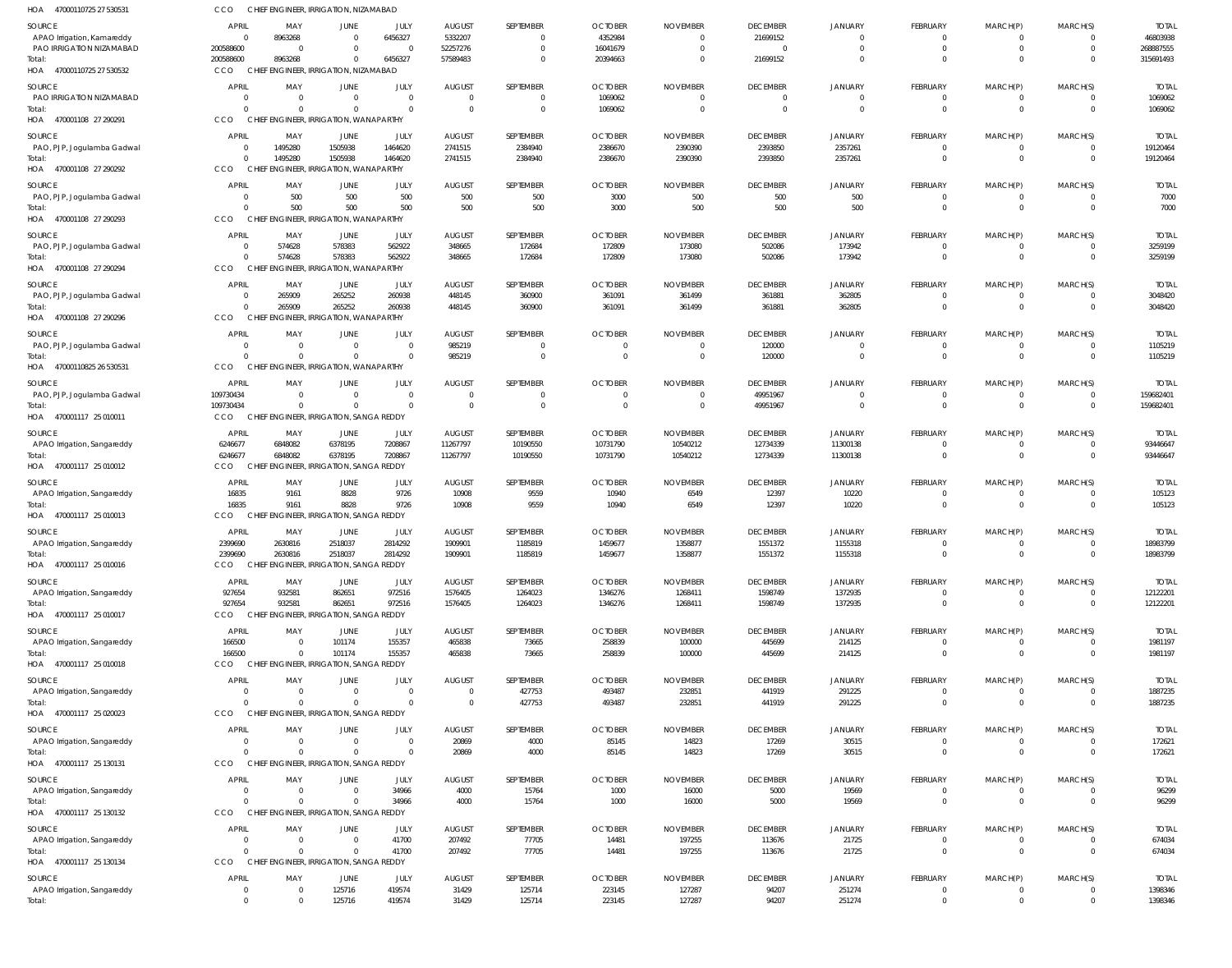| HOA 47000110725 27 530531                    | CCO                    | CHIEF ENGINEER, IRRIGATION, NIZAMABAD               |                                  |                            |                                 |                      |                                  |                               |                            |                           |                            |                            |                              |                          |
|----------------------------------------------|------------------------|-----------------------------------------------------|----------------------------------|----------------------------|---------------------------------|----------------------|----------------------------------|-------------------------------|----------------------------|---------------------------|----------------------------|----------------------------|------------------------------|--------------------------|
| <b>SOURCE</b>                                | APRIL                  | MAY                                                 | JUNE                             | JULY                       | <b>AUGUST</b>                   | SEPTEMBER            | <b>OCTOBER</b>                   | <b>NOVEMBER</b>               | <b>DECEMBER</b>            | <b>JANUARY</b>            | <b>FEBRUARY</b>            | MARCH(P)                   | MARCH(S)                     | <b>TOTAL</b>             |
| APAO Irrigation, Kamareddy                   | - 0                    | 8963268                                             | $\overline{0}$                   | 6456327                    | 5332207                         | $\Omega$             | 4352984                          | $\mathbf 0$                   | 21699152                   | $^{\circ}$                | $\Omega$                   | - 0                        | $\mathbf{0}$                 | 46803938                 |
| PAO IRRIGATION NIZAMABAD                     | 200588600              | - 0                                                 | $\overline{0}$                   | $\Omega$                   | 52257276                        | $\Omega$             | 16041679                         | $\overline{0}$                | $\overline{0}$             | $\mathbf 0$               | $\Omega$                   | $\Omega$                   | $\mathbf{0}$                 | 268887555                |
| Total:<br>HOA 47000110725 27 530532          | 200588600<br>CCO       | 8963268<br>CHIEF ENGINEER, IRRIGATION, NIZAMABAD    | $\overline{0}$                   | 6456327                    | 57589483                        | $\Omega$             | 20394663                         | $\overline{0}$                | 21699152                   | $\mathbf 0$               | $\Omega$                   | $\Omega$                   | $\mathbf{0}$                 | 315691493                |
| <b>SOURCE</b>                                | <b>APRIL</b>           | MAY                                                 | JUNE                             | JULY                       | <b>AUGUST</b>                   | SEPTEMBER            | <b>OCTOBER</b>                   | <b>NOVEMBER</b>               | <b>DECEMBER</b>            | <b>JANUARY</b>            | <b>FEBRUARY</b>            | MARCH(P)                   | MARCH(S)                     | <b>TOTAL</b>             |
| PAO IRRIGATION NIZAMABAD                     | - 0                    | $\overline{0}$                                      | $\overline{0}$                   | $\overline{0}$             | $\overline{0}$                  | $\Omega$             | 1069062                          | $\Omega$                      | $\overline{0}$             | 0                         | $\Omega$                   |                            | 0                            | 1069062                  |
| Total:                                       | $\Omega$               | $\overline{0}$                                      | $\overline{0}$                   | $\Omega$                   | $\overline{0}$                  | $\Omega$             | 1069062                          | $\overline{0}$                | $\mathbf 0$                | $\mathbf 0$               | $\Omega$                   | $\Omega$                   | $\mathbf{0}$                 | 1069062                  |
| HOA 470001108 27 290291                      | CCO                    | CHIEF ENGINEER, IRRIGATION, WANAPARTHY              |                                  |                            |                                 |                      |                                  |                               |                            |                           |                            |                            |                              |                          |
| <b>SOURCE</b>                                | APRIL                  | MAY                                                 | JUNE                             | JULY                       | <b>AUGUST</b>                   | SEPTEMBER            | <b>OCTOBER</b>                   | <b>NOVEMBER</b>               | <b>DECEMBER</b>            | <b>JANUARY</b>            | <b>FEBRUARY</b>            | MARCH(P)                   | MARCH(S)                     | <b>TOTAL</b>             |
| PAO, PJP, Jogulamba Gadwal<br>Total:         | $\Omega$<br>$\Omega$   | 1495280<br>1495280                                  | 1505938<br>1505938               | 1464620<br>1464620         | 2741515<br>2741515              | 2384940<br>2384940   | 2386670<br>2386670               | 2390390<br>2390390            | 2393850<br>2393850         | 2357261<br>2357261        | $\overline{0}$<br>$\Omega$ | $\overline{0}$<br>$\Omega$ | $\mathbf{0}$<br>$\mathbf{0}$ | 19120464<br>19120464     |
| HOA 470001108 27 290292                      | CCO                    | CHIEF ENGINEER, IRRIGATION, WANAPARTHY              |                                  |                            |                                 |                      |                                  |                               |                            |                           |                            |                            |                              |                          |
| SOURCE                                       | APRIL                  | MAY                                                 | JUNE                             | JULY                       | AUGUST                          | SEPTEMBER            | <b>OCTOBER</b>                   | <b>NOVEMBER</b>               | <b>DECEMBER</b>            | <b>JANUARY</b>            | FEBRUARY                   | MARCH(P)                   | MARCH(S)                     | <b>TOTAL</b>             |
| PAO, PJP, Jogulamba Gadwal                   | - 0                    | 500                                                 | 500                              | 500                        | 500                             | 500                  | 3000                             | 500                           | 500                        | 500                       | $\overline{0}$             | $\overline{0}$             | $\mathbf{0}$                 | 7000                     |
| Total:                                       | $\Omega$               | 500                                                 | 500                              | 500                        | 500                             | 500                  | 3000                             | 500                           | 500                        | 500                       | $\Omega$                   | $\Omega$                   | $\mathbf 0$                  | 7000                     |
| HOA 470001108 27 290293                      | CCO                    | CHIEF ENGINEER, IRRIGATION, WANAPARTHY              |                                  |                            |                                 |                      |                                  |                               |                            |                           |                            |                            |                              |                          |
| SOURCE                                       | APRIL                  | MAY                                                 | JUNE                             | JULY                       | <b>AUGUST</b>                   | SEPTEMBER            | <b>OCTOBER</b>                   | <b>NOVEMBER</b>               | <b>DECEMBER</b>            | <b>JANUARY</b>            | <b>FEBRUARY</b>            | MARCH(P)                   | MARCH(S)                     | <b>TOTAL</b>             |
| PAO, PJP, Jogulamba Gadwal                   | $\Omega$<br>$\Omega$   | 574628                                              | 578383<br>578383                 | 562922<br>562922           | 348665                          | 172684               | 172809                           | 173080                        | 502086                     | 173942                    | $\Omega$<br>$\Omega$       | $\Omega$                   | $\mathbf{0}$                 | 3259199<br>3259199       |
| Total:<br>HOA 470001108 27 290294            | CCO                    | 574628<br>CHIEF ENGINEER, IRRIGATION, WANAPARTHY    |                                  |                            | 348665                          | 172684               | 172809                           | 173080                        | 502086                     | 173942                    |                            |                            | $\mathbf{0}$                 |                          |
| SOURCE                                       | APRIL                  | MAY                                                 | JUNE                             | JULY                       | <b>AUGUST</b>                   | SEPTEMBER            | <b>OCTOBER</b>                   | <b>NOVEMBER</b>               | <b>DECEMBER</b>            | <b>JANUARY</b>            | <b>FEBRUARY</b>            | MARCH(P)                   | MARCH(S)                     | <b>TOTAL</b>             |
| PAO, PJP, Jogulamba Gadwal                   |                        | 265909                                              | 265252                           | 260938                     | 448145                          | 360900               | 361091                           | 361499                        | 361881                     | 362805                    | $\overline{0}$             | 0                          | $\mathbf{0}$                 | 3048420                  |
| Total:                                       | $\Omega$               | 265909                                              | 265252                           | 260938                     | 448145                          | 360900               | 361091                           | 361499                        | 361881                     | 362805                    | $\Omega$                   | $\Omega$                   | $\mathbf 0$                  | 3048420                  |
| HOA 470001108 27 290296                      | <b>CCO</b>             | CHIEF ENGINEER, IRRIGATION, WANAPARTHY              |                                  |                            |                                 |                      |                                  |                               |                            |                           |                            |                            |                              |                          |
| SOURCE                                       | <b>APRIL</b>           | MAY                                                 | <b>JUNE</b>                      | JULY                       | <b>AUGUST</b>                   | SEPTEMBER            | <b>OCTOBER</b>                   | <b>NOVEMBER</b>               | <b>DECEMBER</b>            | <b>JANUARY</b>            | FEBRUARY                   | MARCH(P)                   | MARCH(S)                     | <b>TOTAL</b>             |
| PAO, PJP, Jogulamba Gadwal                   | $\Omega$<br>$\Omega$   | $\overline{0}$<br>$\Omega$                          | $\overline{0}$<br>$\overline{0}$ | $\overline{0}$<br>$\Omega$ | 985219                          | $\Omega$<br>$\Omega$ | $\overline{0}$<br>$\overline{0}$ | $\mathbf 0$<br>$\overline{0}$ | 120000                     | 0<br>$\mathbf 0$          | $\Omega$<br>$\Omega$       | $\Omega$<br>$\Omega$       | $\mathbf{0}$<br>$\mathbf{0}$ | 1105219                  |
| Total:<br>HOA 47000110825 26 530531          | CCO                    | CHIEF ENGINEER, IRRIGATION, WANAPARTHY              |                                  |                            | 985219                          |                      |                                  |                               | 120000                     |                           |                            |                            |                              | 1105219                  |
|                                              | APRIL                  |                                                     | JUNE                             | JULY                       | <b>AUGUST</b>                   | SEPTEMBER            | <b>OCTOBER</b>                   | <b>NOVEMBER</b>               | <b>DECEMBER</b>            | JANUARY                   | FEBRUARY                   | MARCH(P)                   | MARCH(S)                     | <b>TOTAL</b>             |
| SOURCE<br>PAO, PJP, Jogulamba Gadwal         | 109730434              | MAY<br>$\overline{0}$                               | $\overline{0}$                   | $\overline{0}$             | $\overline{0}$                  | $\Omega$             | $\overline{0}$                   | $\Omega$                      | 49951967                   | $\mathbf 0$               | $\overline{0}$             | $\overline{0}$             | $\overline{0}$               | 159682401                |
| Total:                                       | 109730434              | $\Omega$                                            | $\Omega$                         | $\Omega$                   | $\overline{0}$                  | $\Omega$             | $\overline{0}$                   | $\Omega$                      | 49951967                   | $\Omega$                  | $\Omega$                   | $\Omega$                   | $\mathbf{0}$                 | 159682401                |
| HOA 470001117 25 010011                      | CCO                    | CHIEF ENGINEER, IRRIGATION, SANGA REDDY             |                                  |                            |                                 |                      |                                  |                               |                            |                           |                            |                            |                              |                          |
| SOURCE                                       | <b>APRIL</b>           | MAY                                                 | JUNE                             | JULY                       | AUGUST                          | SEPTEMBER            | <b>OCTOBER</b>                   | <b>NOVEMBER</b>               | <b>DECEMBER</b>            | JANUARY                   | <b>FEBRUARY</b>            | MARCH(P)                   | MARCH(S)                     | <b>TOTAL</b>             |
| APAO Irrigation, Sangareddy                  | 6246677                | 6848082                                             | 6378195                          | 7208867                    | 11267797                        | 10190550             | 10731790                         | 10540212                      | 12734339                   | 11300138                  | $\Omega$                   | $\Omega$                   | $\mathbf 0$                  | 93446647                 |
| Total:<br>HOA 470001117 25 010012            | 6246677<br>CCO         | 6848082<br>CHIEF ENGINEER, IRRIGATION, SANGA REDDY  | 6378195                          | 7208867                    | 11267797                        | 10190550             | 10731790                         | 10540212                      | 12734339                   | 11300138                  | $\overline{0}$             | $\overline{0}$             | $\mathbf{0}$                 | 93446647                 |
|                                              |                        |                                                     |                                  |                            |                                 |                      |                                  |                               |                            |                           |                            |                            |                              |                          |
| SOURCE<br>APAO Irrigation, Sangareddy        | <b>APRIL</b><br>16835  | MAY<br>9161                                         | <b>JUNE</b><br>8828              | JULY<br>9726               | <b>AUGUST</b><br>10908          | SEPTEMBER<br>9559    | <b>OCTOBER</b><br>10940          | <b>NOVEMBER</b><br>6549       | <b>DECEMBER</b><br>12397   | <b>JANUARY</b><br>10220   | FEBRUARY<br>$\Omega$       | MARCH(P)                   | MARCH(S)<br>0                | <b>TOTAL</b><br>105123   |
| Total:                                       | 16835                  | 9161                                                | 8828                             | 9726                       | 10908                           | 9559                 | 10940                            | 6549                          | 12397                      | 10220                     | $\overline{0}$             | $\Omega$                   | $\mathbf{0}$                 | 105123                   |
| HOA 470001117 25 010013                      | CCO                    | CHIEF ENGINEER, IRRIGATION, SANGA REDDY             |                                  |                            |                                 |                      |                                  |                               |                            |                           |                            |                            |                              |                          |
| <b>SOURCE</b>                                | <b>APRIL</b>           | MAY                                                 | JUNE                             | JULY                       | <b>AUGUST</b>                   | SEPTEMBER            | <b>OCTOBER</b>                   | <b>NOVEMBER</b>               | <b>DECEMBER</b>            | <b>JANUARY</b>            | FEBRUARY                   | MARCH(P)                   | MARCH(S)                     | <b>TOTAL</b>             |
| APAO Irrigation, Sangareddy                  | 2399690                | 2630816                                             | 2518037                          | 2814292                    | 1909901                         | 1185819              | 1459677                          | 1358877                       | 1551372                    | 1155318                   | $\Omega$                   | $\Omega$                   | $\Omega$                     | 18983799                 |
| Total:<br>HOA 470001117 25 010016            | 2399690<br>CCO         | 2630816<br>CHIEF ENGINEER, IRRIGATION, SANGA REDDY  | 2518037                          | 2814292                    | 1909901                         | 1185819              | 1459677                          | 1358877                       | 1551372                    | 1155318                   | $\overline{0}$             | $\mathbf{0}$               | $\overline{0}$               | 18983799                 |
|                                              |                        |                                                     |                                  |                            |                                 |                      |                                  |                               |                            |                           |                            |                            |                              |                          |
| SOURCE<br>APAO Irrigation, Sangareddy        | APRIL<br>927654        | MAY<br>932581                                       | JUNE<br>862651                   | JULY<br>972516             | <b>AUGUST</b><br>1576405        | SEPTEMBER<br>1264023 | <b>OCTOBER</b><br>1346276        | <b>NOVEMBER</b><br>1268411    | <b>DECEMBER</b><br>1598749 | <b>JANUARY</b><br>1372935 | FEBRUARY<br>$\overline{0}$ | MARCH(P)<br>$\overline{0}$ | MARCH(S)<br>$\mathbf{0}$     | <b>TOTAL</b><br>12122201 |
| Total:                                       | 927654                 | 932581                                              | 862651                           | 972516                     | 1576405                         | 1264023              | 1346276                          | 1268411                       | 1598749                    | 1372935                   | $\overline{0}$             | $\Omega$                   | $\mathbf{0}$                 | 12122201                 |
| HOA 470001117 25 010017                      | CCO                    | CHIEF ENGINEER, IRRIGATION, SANGA REDDY             |                                  |                            |                                 |                      |                                  |                               |                            |                           |                            |                            |                              |                          |
| <b>SOURCE</b>                                | APRIL                  | MAY                                                 | JUNE                             | JULY                       | <b>AUGUST</b>                   | SEPTEMBER            | <b>OCTOBER</b>                   | <b>NOVEMBER</b>               | <b>DECEMBER</b>            | JANUARY                   | FEBRUARY                   | MARCH(P)                   | MARCH(S)                     | <b>TOTAL</b>             |
| APAO Irrigation, Sangareddy                  | 166500                 | $\overline{\mathbf{0}}$                             | 101174                           | 155357                     | 465838                          | 73665                | 258839                           | 100000                        | 445699                     | 214125                    | $\overline{0}$             |                            | $\mathbf{0}$                 | 1981197                  |
| Total:<br>HOA 470001117 25 010018            | 166500<br>CCO          | - 0<br>CHIEF ENGINEER, IRRIGATION, SANGA REDDY      | 101174                           | 155357                     | 465838                          | 73665                | 258839                           | 100000                        | 445699                     | 214125                    | $\Omega$                   | $\Omega$                   | $\mathbf{0}$                 | 1981197                  |
|                                              |                        |                                                     |                                  |                            |                                 |                      |                                  |                               |                            |                           |                            |                            |                              |                          |
| SOURCE<br>APAO Irrigation, Sangareddy        | <b>APRIL</b>           | MAY<br>$\overline{0}$                               | JUNE<br>$\overline{0}$           | JULY<br>$\overline{0}$     | <b>AUGUST</b><br>$\overline{0}$ | SEPTEMBER<br>427753  | <b>OCTOBER</b><br>493487         | <b>NOVEMBER</b><br>232851     | <b>DECEMBER</b><br>441919  | <b>JANUARY</b><br>291225  | FEBRUARY<br>$\overline{0}$ | MARCH(P)                   | MARCH(S)<br>0                | <b>TOTAL</b><br>1887235  |
| Total:                                       | $\Omega$               | $\overline{\mathbf{0}}$                             | $\overline{0}$                   | $\Omega$                   | $\overline{0}$                  | 427753               | 493487                           | 232851                        | 441919                     | 291225                    | $\Omega$                   | $\Omega$                   | $\mathbf{0}$                 | 1887235                  |
| HOA 470001117 25 020023                      | CCO                    | CHIEF ENGINEER, IRRIGATION, SANGA REDDY             |                                  |                            |                                 |                      |                                  |                               |                            |                           |                            |                            |                              |                          |
| <b>SOURCE</b>                                | APRIL                  | MAY                                                 | <b>JUNE</b>                      | JULY                       | <b>AUGUST</b>                   | SEPTEMBER            | <b>OCTOBER</b>                   | <b>NOVEMBER</b>               | <b>DECEMBER</b>            | JANUARY                   | FEBRUARY                   | MARCH(P)                   | MARCH(S)                     | <b>TOTAL</b>             |
| APAO Irrigation, Sangareddy                  | $\Omega$               | $\overline{\mathbf{0}}$                             | $\overline{0}$                   | $\overline{0}$             | 20869                           | 4000                 | 85145                            | 14823                         | 17269                      | 30515                     | $\Omega$                   |                            | $\mathbf{0}$                 | 172621                   |
| Total:<br>HOA 470001117 25 130131            | $\Omega$<br><b>CCO</b> | $\Omega$<br>CHIEF ENGINEER, IRRIGATION, SANGA REDDY | $\overline{0}$                   | $\Omega$                   | 20869                           | 4000                 | 85145                            | 14823                         | 17269                      | 30515                     | $\overline{0}$             | $\mathbf{0}$               | $\mathbf{0}$                 | 172621                   |
|                                              |                        |                                                     |                                  |                            |                                 |                      |                                  |                               |                            |                           |                            |                            |                              |                          |
| SOURCE<br>APAO Irrigation, Sangareddy        | APRIL<br>- 0           | MAY<br>$\overline{0}$                               | JUNE<br>$\overline{0}$           | JULY<br>34966              | AUGUST<br>4000                  | SEPTEMBER<br>15764   | <b>OCTOBER</b><br>1000           | <b>NOVEMBER</b><br>16000      | <b>DECEMBER</b><br>5000    | JANUARY<br>19569          | FEBRUARY<br>$\overline{0}$ | MARCH(P)                   | MARCH(S)<br>$\mathbf{0}$     | <b>TOTAL</b><br>96299    |
| Total:                                       | $\Omega$               | $\Omega$                                            | $\Omega$                         | 34966                      | 4000                            | 15764                | 1000                             | 16000                         | 5000                       | 19569                     | $\Omega$                   | $\Omega$                   | $\Omega$                     | 96299                    |
| HOA 470001117 25 130132                      | CCO                    | CHIEF ENGINEER, IRRIGATION, SANGA REDDY             |                                  |                            |                                 |                      |                                  |                               |                            |                           |                            |                            |                              |                          |
| SOURCE                                       | APRIL                  | MAY                                                 | JUNE                             | JULY                       | <b>AUGUST</b>                   | SEPTEMBER            | <b>OCTOBER</b>                   | <b>NOVEMBER</b>               | <b>DECEMBER</b>            | <b>JANUARY</b>            | FEBRUARY                   | MARCH(P)                   | MARCH(S)                     | <b>TOTAL</b>             |
| APAO Irrigation, Sangareddy                  | $\Omega$               | $\overline{0}$                                      | $\overline{0}$                   | 41700                      | 207492                          | 77705                | 14481                            | 197255                        | 113676                     | 21725                     | $\Omega$                   |                            | $\mathbf{0}$                 | 674034                   |
| Total:<br>HOA 470001117 25 130134            | $\Omega$<br><b>CCO</b> | - 0<br>CHIEF ENGINEER, IRRIGATION, SANGA REDDY      | $\overline{0}$                   | 41700                      | 207492                          | 77705                | 14481                            | 197255                        | 113676                     | 21725                     | $\overline{0}$             | $\overline{0}$             | $\mathbf{0}$                 | 674034                   |
|                                              | APRIL                  |                                                     | <b>JUNE</b>                      |                            |                                 |                      |                                  |                               |                            |                           | FEBRUARY                   |                            |                              |                          |
| <b>SOURCE</b><br>APAO Irrigation, Sangareddy | $\Omega$               | MAY<br>$\overline{0}$                               | 125716                           | JULY<br>419574             | <b>AUGUST</b><br>31429          | SEPTEMBER<br>125714  | <b>OCTOBER</b><br>223145         | <b>NOVEMBER</b><br>127287     | <b>DECEMBER</b><br>94207   | <b>JANUARY</b><br>251274  | 0                          | MARCH(P)                   | MARCH(S)<br>0                | <b>TOTAL</b><br>1398346  |
| Total:                                       | $\Omega$               | $\overline{0}$                                      | 125716                           | 419574                     | 31429                           | 125714               | 223145                           | 127287                        | 94207                      | 251274                    | $\Omega$                   | $\Omega$                   | $\Omega$                     | 1398346                  |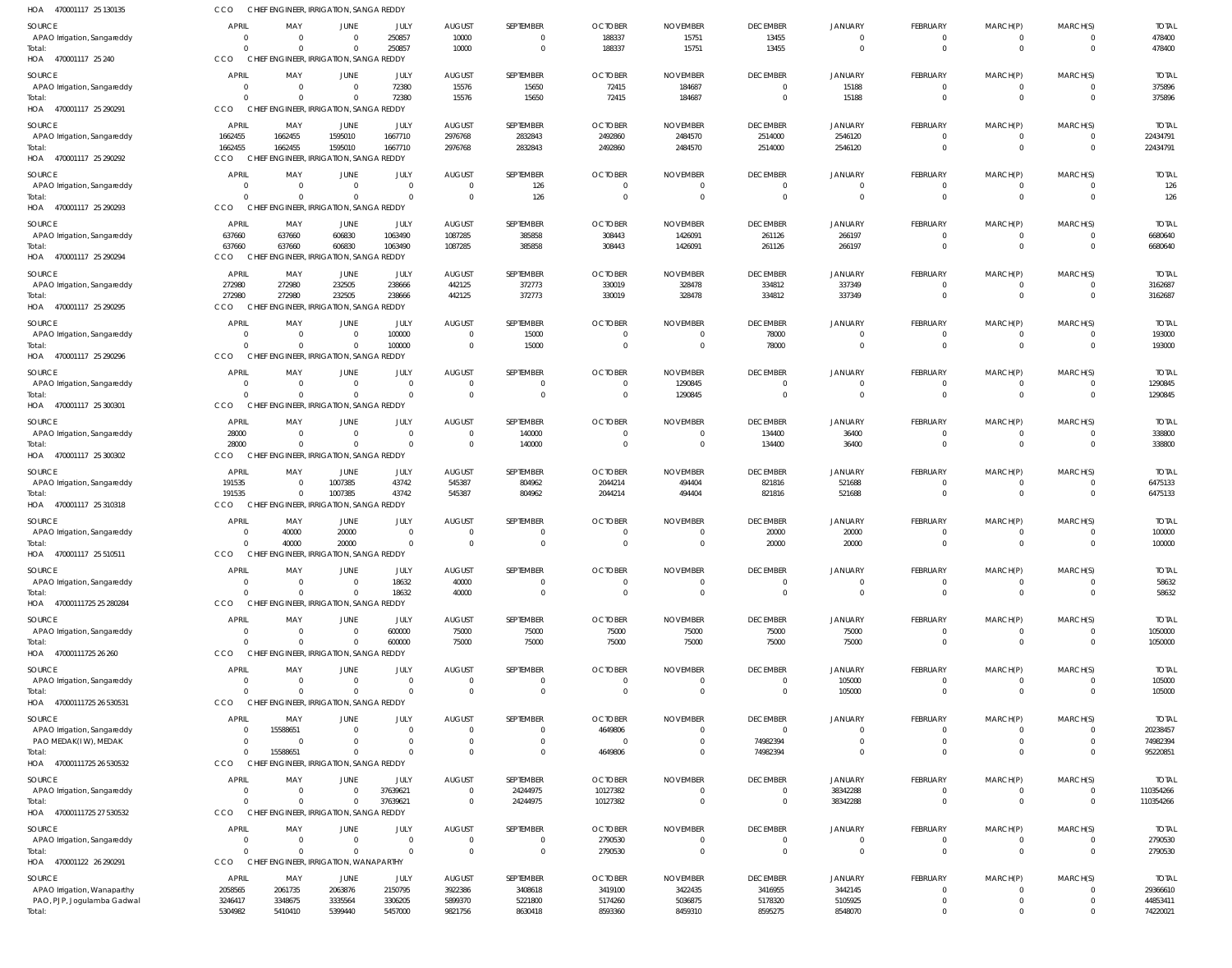| HOA 470001117 25 130135               | CCO                            | CHIEF ENGINEER, IRRIGATION, SANGA REDDY             |                      |                        |                                  |                           |                                  |                               |                                            |                                  |                                  |                               |                                  |                         |
|---------------------------------------|--------------------------------|-----------------------------------------------------|----------------------|------------------------|----------------------------------|---------------------------|----------------------------------|-------------------------------|--------------------------------------------|----------------------------------|----------------------------------|-------------------------------|----------------------------------|-------------------------|
| SOURCE                                | <b>APRIL</b>                   | MAY                                                 | JUNE                 | JULY                   | <b>AUGUST</b>                    | SEPTEMBER                 | <b>OCTOBER</b>                   | <b>NOVEMBER</b>               | <b>DECEMBER</b>                            | <b>JANUARY</b>                   | FEBRUARY                         | MARCH(P)                      | MARCH(S)                         | <b>TOTAL</b>            |
| APAO Irrigation, Sangareddy           | $\overline{0}$                 | $\overline{0}$                                      | $\Omega$             | 250857                 | 10000                            | $\mathbf{0}$              | 188337                           | 15751                         | 13455                                      | $\overline{0}$                   | $\overline{0}$                   | $\overline{0}$                | $\overline{0}$                   | 478400                  |
| Total:<br>HOA 470001117 25 240        | $\Omega$<br>CCO                | $\Omega$<br>CHIEF ENGINEER, IRRIGATION, SANGA REDDY | $\Omega$             | 250857                 | 10000                            | $\mathbf 0$               | 188337                           | 15751                         | 13455                                      | $\overline{0}$                   | $\mathbf 0$                      | $\mathbf{0}$                  | $\overline{0}$                   | 478400                  |
|                                       |                                |                                                     |                      |                        |                                  |                           |                                  |                               |                                            |                                  |                                  |                               |                                  |                         |
| SOURCE<br>APAO Irrigation, Sangareddy | <b>APRIL</b><br>$\overline{0}$ | MAY<br>$\overline{0}$                               | JUNE<br>$\Omega$     | JULY<br>72380          | <b>AUGUST</b><br>15576           | SEPTEMBER<br>15650        | <b>OCTOBER</b><br>72415          | <b>NOVEMBER</b><br>184687     | <b>DECEMBER</b><br>$\overline{0}$          | <b>JANUARY</b><br>15188          | FEBRUARY<br>$\mathbf{0}$         | MARCH(P)<br>$\mathbf 0$       | MARCH(S)<br>$\overline{0}$       | <b>TOTAL</b><br>375896  |
| Total:                                | $\Omega$                       | $\Omega$                                            |                      | 72380                  | 15576                            | 15650                     | 72415                            | 184687                        | $\overline{0}$                             | 15188                            | $\mathbf{0}$                     | $\mathbf 0$                   | $\overline{0}$                   | 375896                  |
| HOA 470001117 25 290291               | CCO                            | CHIEF ENGINEER, IRRIGATION, SANGA REDDY             |                      |                        |                                  |                           |                                  |                               |                                            |                                  |                                  |                               |                                  |                         |
| SOURCE                                | APRIL                          | MAY                                                 | JUNE                 | JULY                   | <b>AUGUST</b>                    | SEPTEMBER                 | <b>OCTOBER</b>                   | <b>NOVEMBER</b>               | <b>DECEMBER</b>                            | <b>JANUARY</b>                   | FEBRUARY                         | MARCH(P)                      | MARCH(S)                         | <b>TOTAL</b>            |
| APAO Irrigation, Sangareddy           | 1662455                        | 1662455                                             | 1595010              | 1667710                | 2976768                          | 2832843                   | 2492860                          | 2484570                       | 2514000                                    | 2546120                          | $\mathbf 0$                      | 0                             | $\overline{0}$                   | 22434791                |
| Total:                                | 1662455                        | 1662455                                             | 1595010              | 1667710                | 2976768                          | 2832843                   | 2492860                          | 2484570                       | 2514000                                    | 2546120                          | $\mathbf{0}$                     | $\mathbf 0$                   | $\overline{0}$                   | 22434791                |
| HOA 470001117 25 290292               | CCO                            | CHIEF ENGINEER, IRRIGATION, SANGA REDDY             |                      |                        |                                  |                           |                                  |                               |                                            |                                  |                                  |                               |                                  |                         |
| SOURCE                                | <b>APRIL</b>                   | MAY                                                 | JUNE                 | JULY                   | <b>AUGUST</b>                    | SEPTEMBER                 | <b>OCTOBER</b>                   | <b>NOVEMBER</b>               | <b>DECEMBER</b>                            | <b>JANUARY</b>                   | FEBRUARY                         | MARCH(P)                      | MARCH(S)                         | <b>TOTAL</b>            |
| APAO Irrigation, Sangareddy<br>Total: | $\overline{0}$<br>$\Omega$     | $\overline{0}$<br>$\Omega$                          |                      | $\Omega$<br>$\Omega$   | 0<br>$\Omega$                    | 126<br>126                | -0<br>$\Omega$                   | -0<br>$\circ$                 | $\overline{0}$<br>$\overline{0}$           | $\overline{0}$<br>$\overline{0}$ | 0<br>$\mathbf{0}$                | $\overline{0}$<br>$\mathbf 0$ | $\overline{0}$<br>$\overline{0}$ | 126<br>126              |
| HOA 470001117 25 290293               | CCO                            | CHIEF ENGINEER, IRRIGATION, SANGA REDDY             |                      |                        |                                  |                           |                                  |                               |                                            |                                  |                                  |                               |                                  |                         |
| SOURCE                                | <b>APRIL</b>                   | MAY                                                 | JUNE                 | JULY                   | <b>AUGUST</b>                    | SEPTEMBER                 | <b>OCTOBER</b>                   | <b>NOVEMBER</b>               | <b>DECEMBER</b>                            | <b>JANUARY</b>                   | FEBRUARY                         | MARCH(P)                      | MARCH(S)                         | <b>TOTAL</b>            |
| APAO Irrigation, Sangareddy           | 637660                         | 637660                                              | 606830               | 1063490                | 1087285                          | 385858                    | 308443                           | 1426091                       | 261126                                     | 266197                           | $\overline{0}$                   | $\overline{0}$                | $\overline{0}$                   | 6680640                 |
| Total:                                | 637660                         | 637660                                              | 606830               | 1063490                | 1087285                          | 385858                    | 308443                           | 1426091                       | 261126                                     | 266197                           | $\mathbf{0}$                     | $\mathbf{0}$                  | $\overline{0}$                   | 6680640                 |
| HOA 470001117 25 290294               | <b>CCO</b>                     | CHIEF ENGINEER, IRRIGATION, SANGA REDDY             |                      |                        |                                  |                           |                                  |                               |                                            |                                  |                                  |                               |                                  |                         |
| SOURCE                                | APRIL                          | MAY                                                 | JUNE                 | JULY                   | <b>AUGUST</b>                    | SEPTEMBER                 | <b>OCTOBER</b>                   | <b>NOVEMBER</b>               | <b>DECEMBER</b>                            | <b>JANUARY</b>                   | FEBRUARY                         | MARCH(P)                      | MARCH(S)                         | <b>TOTAL</b>            |
| APAO Irrigation, Sangareddy           | 272980                         | 272980                                              | 232505               | 238666                 | 442125                           | 372773                    | 330019                           | 328478                        | 334812                                     | 337349                           | $\overline{0}$                   | $\overline{0}$                | $\overline{0}$                   | 3162687                 |
| Total:                                | 272980                         | 272980                                              | 232505               | 238666                 | 442125                           | 372773                    | 330019                           | 328478                        | 334812                                     | 337349                           | $\mathbf{0}$                     | $\mathbf 0$                   | $\overline{0}$                   | 3162687                 |
| HOA 470001117 25 290295               | CCO                            | CHIEF ENGINEER, IRRIGATION, SANGA REDDY             |                      |                        |                                  |                           |                                  |                               |                                            |                                  |                                  |                               |                                  |                         |
| SOURCE                                | <b>APRIL</b>                   | MAY                                                 | JUNE                 | JULY                   | <b>AUGUST</b>                    | SEPTEMBER                 | <b>OCTOBER</b>                   | <b>NOVEMBER</b>               | <b>DECEMBER</b>                            | <b>JANUARY</b>                   | FEBRUARY                         | MARCH(P)                      | MARCH(S)                         | <b>TOTAL</b>            |
| APAO Irrigation, Sangareddy<br>Total: | $\overline{0}$<br>$\Omega$     | $\overline{0}$<br>$\Omega$                          | $\Omega$<br>$\Omega$ | 100000<br>100000       | $\overline{0}$<br>$\overline{0}$ | 15000<br>15000            | $\overline{0}$<br>$\overline{0}$ | $^{\circ}$<br>$\overline{0}$  | 78000<br>78000                             | $\overline{0}$<br>$\overline{0}$ | 0<br>$\mathbf{0}$                | 0<br>$\mathbf{0}$             | $\overline{0}$<br>$\overline{0}$ | 193000<br>193000        |
| HOA 470001117 25 290296               | CCO                            | CHIEF ENGINEER, IRRIGATION, SANGA REDDY             |                      |                        |                                  |                           |                                  |                               |                                            |                                  |                                  |                               |                                  |                         |
| SOURCE                                | <b>APRIL</b>                   | MAY                                                 | JUNE                 | JULY                   | <b>AUGUST</b>                    | SEPTEMBER                 | <b>OCTOBER</b>                   | <b>NOVEMBER</b>               | <b>DECEMBER</b>                            | <b>JANUARY</b>                   | FEBRUARY                         | MARCH(P)                      | MARCH(S)                         | <b>TOTAL</b>            |
| APAO Irrigation, Sangareddy           | $\overline{0}$                 | $\overline{\mathbf{0}}$                             | $\Omega$             | $\overline{0}$         | 0                                | $\overline{0}$            | $^{\circ}$                       | 1290845                       | $\overline{0}$                             | $\overline{0}$                   | $\overline{0}$                   | $\mathbf 0$                   | $\overline{0}$                   | 1290845                 |
| Total:                                | $\Omega$                       | $\overline{0}$                                      | $\Omega$             | $\Omega$               | $\Omega$                         | $\mathbf 0$               | $\overline{0}$                   | 1290845                       | $\overline{0}$                             | $\overline{0}$                   | $\mathbf 0$                      | $\mathbf 0$                   | $\overline{0}$                   | 1290845                 |
| HOA 470001117 25 300301               | CCO                            | CHIEF ENGINEER, IRRIGATION, SANGA REDDY             |                      |                        |                                  |                           |                                  |                               |                                            |                                  |                                  |                               |                                  |                         |
| SOURCE                                | APRIL                          | MAY                                                 | JUNE                 | JULY                   | <b>AUGUST</b>                    | SEPTEMBER                 | <b>OCTOBER</b>                   | <b>NOVEMBER</b>               | <b>DECEMBER</b>                            | <b>JANUARY</b>                   | FEBRUARY                         | MARCH(P)                      | MARCH(S)                         | <b>TOTAL</b>            |
| APAO Irrigation, Sangareddy           | 28000                          | $\overline{\mathbf{0}}$                             | $\Omega$             | $\overline{0}$         | $\mathbf 0$                      | 140000                    | $\mathbf 0$                      | $^{\circ}$                    | 134400                                     | 36400                            | 0                                | 0                             | $\overline{0}$                   | 338800                  |
| Total:                                | 28000                          | $\Omega$                                            | $\Omega$             | $\Omega$               | $\Omega$                         | 140000                    | $\Omega$                         | $\overline{0}$                | 134400                                     | 36400                            | $\mathbf{0}$                     | $\mathbf 0$                   | $\overline{0}$                   | 338800                  |
| HOA 470001117 25 300302               | CCO                            | CHIEF ENGINEER, IRRIGATION, SANGA REDDY             |                      |                        |                                  |                           |                                  |                               |                                            |                                  |                                  |                               |                                  |                         |
| SOURCE                                | APRIL                          | MAY                                                 | JUNE                 | JULY                   | <b>AUGUST</b>                    | SEPTEMBER                 | <b>OCTOBER</b>                   | <b>NOVEMBER</b>               | <b>DECEMBER</b>                            | JANUARY                          | FEBRUARY                         | MARCH(P)                      | MARCH(S)                         | <b>TOTAL</b>            |
| APAO Irrigation, Sangareddy           | 191535<br>191535               | $\overline{0}$<br>$\overline{0}$                    | 1007385              | 43742<br>43742         | 545387                           | 804962                    | 2044214                          | 494404                        | 821816                                     | 521688                           | $\overline{0}$<br>$\overline{0}$ | $\overline{0}$<br>$\mathbf 0$ | $\overline{0}$<br>$\overline{0}$ | 6475133<br>6475133      |
| Total:<br>HOA 470001117 25 310318     | CCO                            | CHIEF ENGINEER, IRRIGATION, SANGA REDDY             | 1007385              |                        | 545387                           | 804962                    | 2044214                          | 494404                        | 821816                                     | 521688                           |                                  |                               |                                  |                         |
|                                       |                                |                                                     |                      |                        |                                  |                           |                                  |                               |                                            |                                  |                                  |                               |                                  |                         |
| SOURCE<br>APAO Irrigation, Sangareddy | <b>APRIL</b><br>$\Omega$       | MAY<br>40000                                        | JUNE<br>20000        | JULY<br>$\Omega$       | <b>AUGUST</b><br>$\Omega$        | SEPTEMBER<br>$\Omega$     | <b>OCTOBER</b><br>$\Omega$       | <b>NOVEMBER</b><br>$\Omega$   | <b>DECEMBER</b><br>20000                   | <b>JANUARY</b><br>20000          | FEBRUARY<br>$\Omega$             | MARCH(P)<br>$\Omega$          | MARCH(S)<br>$\overline{0}$       | <b>TOTAL</b><br>100000  |
| Total:                                | $\Omega$                       | 40000                                               | 20000                | $\Omega$               | $\Omega$                         | $\mathbf 0$               | $\Omega$                         | $\overline{0}$                | 20000                                      | 20000                            | $\mathbf 0$                      | $\mathbf 0$                   | $\overline{0}$                   | 100000                  |
| HOA 470001117 25 510511               | CCO                            | CHIEF ENGINEER, IRRIGATION, SANGA REDDY             |                      |                        |                                  |                           |                                  |                               |                                            |                                  |                                  |                               |                                  |                         |
| SOURCE                                | <b>APRIL</b>                   | MAY                                                 | JUNE                 | JULY                   | <b>AUGUST</b>                    | SEPTEMBER                 | <b>OCTOBER</b>                   | <b>NOVEMBER</b>               | <b>DECEMBER</b>                            | <b>JANUARY</b>                   | FEBRUARY                         | MARCH(P)                      | MARCH(S)                         | <b>TOTAL</b>            |
| APAO Irrigation, Sangareddy           | $\overline{0}$                 | $\overline{0}$                                      | $\Omega$             | 18632                  | 40000                            | $\overline{0}$            | -0                               | -0                            | $\overline{0}$                             | $\overline{0}$                   | 0                                | 0                             | $\overline{0}$                   | 58632                   |
| Total:                                | $\Omega$                       | $\overline{0}$                                      |                      | 18632                  | 40000                            | $\mathbf 0$               |                                  | $\Omega$                      | $\overline{0}$                             | $\overline{0}$                   | $\mathbf 0$                      | $\mathbf 0$                   | $\overline{0}$                   | 58632                   |
| HOA 47000111725 25 280284             | CCO                            | CHIEF ENGINEER, IRRIGATION, SANGA REDDY             |                      |                        |                                  |                           |                                  |                               |                                            |                                  |                                  |                               |                                  |                         |
| SOURCE                                | <b>APRIL</b>                   | MAY                                                 | JUNE                 | JULY                   | <b>AUGUST</b>                    | SEPTEMBER                 | <b>OCTOBER</b>                   | <b>NOVEMBER</b>               | <b>DECEMBER</b>                            | JANUARY                          | FEBRUARY                         | MARCH(P)                      | MARCH(S)                         | <b>TOTAL</b>            |
| APAO Irrigation, Sangareddy<br>Total: | $\Omega$<br>$\Omega$           | $\overline{0}$<br>$\Omega$                          | $\Omega$<br>$\Omega$ | 600000<br>600000       | 75000<br>75000                   | 75000<br>75000            | 75000<br>75000                   | 75000<br>75000                | 75000<br>75000                             | 75000<br>75000                   | $\mathbf 0$<br>$\mathbf{0}$      | 0<br>$\mathbf 0$              | $\overline{0}$<br>$\overline{0}$ | 1050000<br>1050000      |
| HOA 47000111725 26 260                | CCO                            | CHIEF ENGINEER, IRRIGATION, SANGA REDDY             |                      |                        |                                  |                           |                                  |                               |                                            |                                  |                                  |                               |                                  |                         |
|                                       |                                |                                                     |                      |                        |                                  |                           |                                  |                               |                                            |                                  |                                  |                               |                                  |                         |
| SOURCE<br>APAO Irrigation, Sangareddy | <b>APRIL</b><br>$\overline{0}$ | MAY<br>$\overline{0}$                               | JUNE<br>$\Omega$     | JULY<br>$\Omega$       | <b>AUGUST</b><br>0               | SEPTEMBER<br>$\mathbf{0}$ | <b>OCTOBER</b><br>$\overline{0}$ | <b>NOVEMBER</b><br>-0         | <b>DECEMBER</b><br>$\overline{\mathbf{0}}$ | <b>JANUARY</b><br>105000         | FEBRUARY<br>$\overline{0}$       | MARCH(P)<br>$\overline{0}$    | MARCH(S)<br>$\overline{0}$       | <b>TOTAL</b><br>105000  |
| Total:                                | $\Omega$                       | $\Omega$                                            |                      | $\Omega$               | $\mathsf{C}$                     | $\mathbf 0$               | $\Omega$                         | $\Omega$                      | $\overline{0}$                             | 105000                           | $\mathbf{0}$                     | $\mathbf 0$                   | $\overline{0}$                   | 105000                  |
| HOA 47000111725 26 530531             | CCO                            | CHIEF ENGINEER, IRRIGATION, SANGA REDDY             |                      |                        |                                  |                           |                                  |                               |                                            |                                  |                                  |                               |                                  |                         |
| SOURCE                                | <b>APRIL</b>                   | MAY                                                 | JUNE                 | JULY                   | <b>AUGUST</b>                    | SEPTEMBER                 | <b>OCTOBER</b>                   | <b>NOVEMBER</b>               | <b>DECEMBER</b>                            | <b>JANUARY</b>                   | FEBRUARY                         | MARCH(P)                      | MARCH(S)                         | <b>TOTAL</b>            |
| APAO Irrigation, Sangareddy           | $^{\circ}$                     | 15588651                                            | $\Omega$             | $\overline{0}$         | $\mathbf 0$                      | $\mathbf{0}$              | 4649806                          | $\mathbf 0$                   | $\Omega$                                   | $\mathbf 0$                      | 0                                | 0                             | $\overline{0}$                   | 20238457                |
| PAO MEDAK(IW), MEDAK                  | $\Omega$                       | $\Omega$                                            |                      | $\Omega$               | $\mathbf 0$                      | $\mathbf{0}$              | $\overline{0}$                   | $^{\circ}$                    | 74982394                                   | $\Omega$                         | $\mathbf 0$                      | $\mathbf 0$                   | $\overline{0}$                   | 74982394                |
| Total:                                | $\Omega$<br>CCO                | 15588651<br>CHIEF ENGINEER, IRRIGATION, SANGA REDDY | $\Omega$             | $\Omega$               | $\Omega$                         | $\mathbf 0$               | 4649806                          | $\Omega$                      | 74982394                                   | $\Omega$                         | $\mathbf{0}$                     | $\mathbf 0$                   | $\Omega$                         | 95220851                |
| HOA 47000111725 26 530532             |                                |                                                     |                      |                        |                                  |                           |                                  |                               |                                            |                                  |                                  |                               |                                  |                         |
| SOURCE                                | <b>APRIL</b>                   | MAY                                                 | JUNE                 | JULY                   | <b>AUGUST</b>                    | SEPTEMBER                 | <b>OCTOBER</b>                   | <b>NOVEMBER</b>               | <b>DECEMBER</b>                            | <b>JANUARY</b>                   | FEBRUARY                         | MARCH(P)                      | MARCH(S)                         | <b>TOTAL</b>            |
| APAO Irrigation, Sangareddy<br>Total: | $\overline{0}$<br>$\Omega$     | $\overline{0}$<br>$\Omega$                          | $\Omega$<br>$\Omega$ | 37639621<br>37639621   | $\overline{0}$<br>$\Omega$       | 24244975<br>24244975      | 10127382<br>10127382             | $^{\circ}$                    | $\overline{0}$<br>$\overline{0}$           | 38342288<br>38342288             | $\overline{0}$<br>$\mathbf{0}$   | $\overline{0}$<br>$\mathbf 0$ | $\overline{0}$<br>$\overline{0}$ | 110354266<br>110354266  |
| HOA 47000111725 27 530532             | CCO                            | CHIEF ENGINEER, IRRIGATION, SANGA REDDY             |                      |                        |                                  |                           |                                  |                               |                                            |                                  |                                  |                               |                                  |                         |
|                                       | <b>APRIL</b>                   |                                                     |                      |                        |                                  |                           |                                  |                               |                                            |                                  |                                  |                               |                                  |                         |
| SOURCE<br>APAO Irrigation, Sangareddy | $\overline{0}$                 | MAY<br>$\overline{0}$                               | JUNE<br>$\Omega$     | JULY<br>$\overline{0}$ | <b>AUGUST</b><br>0               | SEPTEMBER<br>$\mathbf{0}$ | <b>OCTOBER</b><br>2790530        | <b>NOVEMBER</b><br>$^{\circ}$ | <b>DECEMBER</b><br>$\overline{0}$          | <b>JANUARY</b><br>$\overline{0}$ | FEBRUARY<br>0                    | MARCH(P)<br>0                 | MARCH(S)<br>$\overline{0}$       | <b>TOTAL</b><br>2790530 |
| Total:                                | $\Omega$                       | $\Omega$                                            | $\Omega$             | $\Omega$               | $\Omega$                         | $\mathbf 0$               | 2790530                          | $\Omega$                      | $\overline{0}$                             | $\overline{0}$                   | $\mathbf{0}$                     | $\mathbf{0}$                  | $\overline{0}$                   | 2790530                 |
| HOA 470001122 26 290291               | CCO                            | CHIEF ENGINEER, IRRIGATION, WANAPARTHY              |                      |                        |                                  |                           |                                  |                               |                                            |                                  |                                  |                               |                                  |                         |
| SOURCE                                | APRIL                          | MAY                                                 | JUNE                 | JULY                   | <b>AUGUST</b>                    | SEPTEMBER                 | <b>OCTOBER</b>                   | <b>NOVEMBER</b>               | <b>DECEMBER</b>                            | <b>JANUARY</b>                   | FEBRUARY                         | MARCH(P)                      | MARCH(S)                         | <b>TOTAL</b>            |
| APAO Irrigation, Wanaparthy           | 2058565                        | 2061735                                             | 2063876              | 2150795                | 3922386                          | 3408618                   | 3419100                          | 3422435                       | 3416955                                    | 3442145                          | 0                                | 0                             | $\Omega$                         | 29366610                |
| PAO, PJP, Jogulamba Gadwal            | 3246417                        | 3348675                                             | 3335564              | 3306205                | 5899370                          | 5221800                   | 5174260                          | 5036875                       | 5178320                                    | 5105925                          | $\mathbf{0}$                     | $\mathbf 0$                   | $\overline{0}$                   | 44853411                |
| Total:                                | 5304982                        | 5410410                                             | 5399440              | 5457000                | 9821756                          | 8630418                   | 8593360                          | 8459310                       | 8595275                                    | 8548070                          | $\mathbf 0$                      | $\mathbf 0$                   | $\Omega$                         | 74220021                |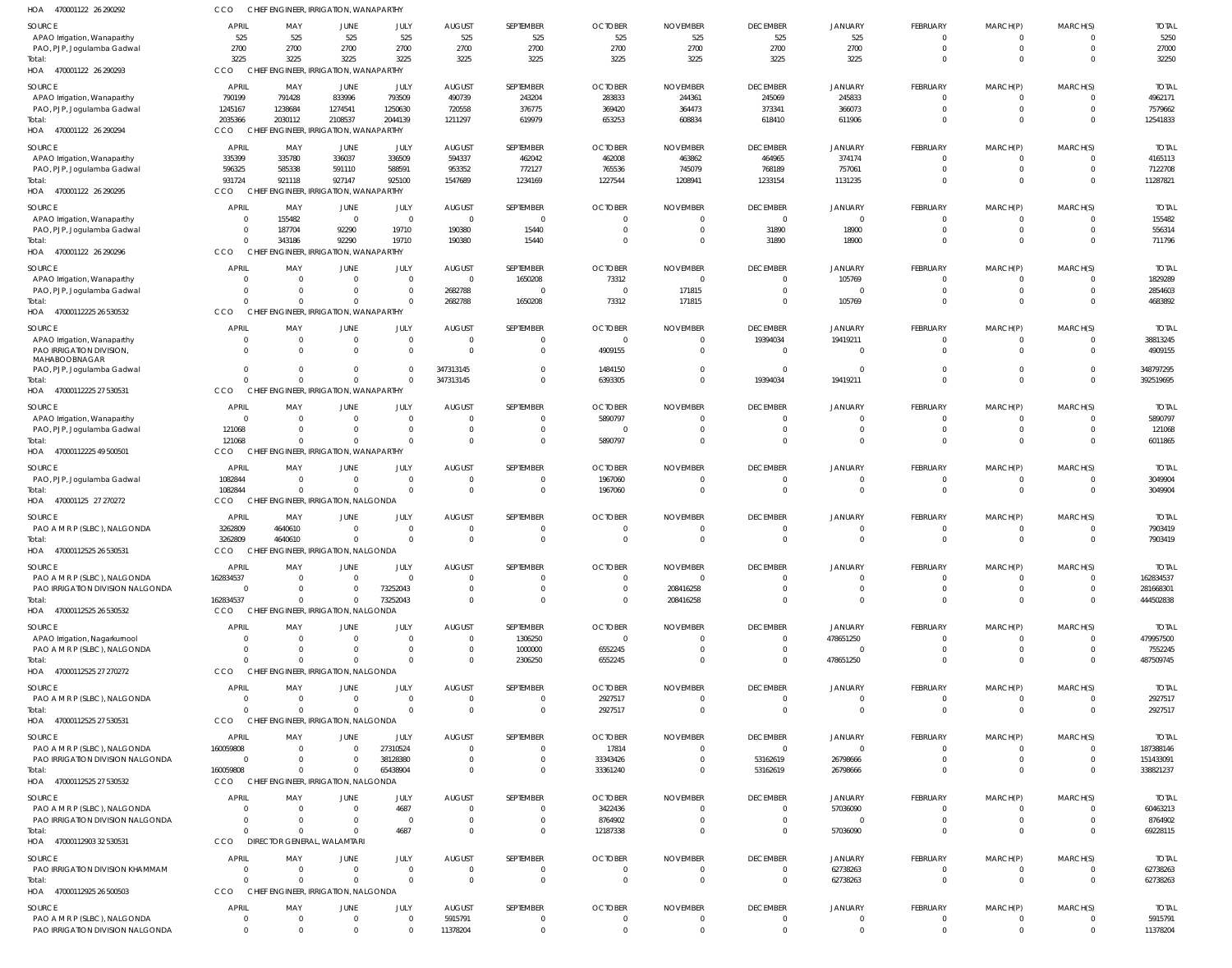| HOA<br>470001122 26 290292                | CCO                       | CHIEF ENGINEER, IRRIGATION, WANAPARTHY             |                                            |                            |                           |                       |                                  |                                 |                                   |                            |                         |                      |                      |                           |
|-------------------------------------------|---------------------------|----------------------------------------------------|--------------------------------------------|----------------------------|---------------------------|-----------------------|----------------------------------|---------------------------------|-----------------------------------|----------------------------|-------------------------|----------------------|----------------------|---------------------------|
| SOURCE                                    | <b>APRIL</b>              | MAY                                                | JUNE                                       | JULY                       | <b>AUGUST</b>             | SEPTEMBER             | <b>OCTOBER</b>                   | <b>NOVEMBER</b>                 | <b>DECEMBER</b>                   | <b>JANUARY</b>             | <b>FEBRUARY</b>         | MARCH(P)             | MARCH(S)             | <b>TOTAL</b>              |
| APAO Irrigation, Wanaparthy               | 525                       | 525                                                | 525                                        | 525                        | 525                       | 525                   | 525                              | 525                             | 525                               | 525                        | $\mathbf 0$             | $\Omega$             | $\Omega$             | 5250                      |
| PAO, PJP, Jogulamba Gadwal                | 2700                      | 2700                                               | 2700                                       | 2700                       | 2700                      | 2700                  | 2700                             | 2700                            | 2700                              | 2700                       | $\mathbf 0$             | 0                    | $\Omega$             | 27000                     |
| Total:                                    | 3225                      | 3225                                               | 3225                                       | 3225                       | 3225                      | 3225                  | 3225                             | 3225                            | 3225                              | 3225                       | $\Omega$                | $\Omega$             | $\Omega$             | 32250                     |
| HOA 470001122 26 290293                   | <b>CCO</b>                | CHIEF ENGINEER, IRRIGATION, WANAPARTHY             |                                            |                            |                           |                       |                                  |                                 |                                   |                            |                         |                      |                      |                           |
| SOURCE                                    | <b>APRIL</b>              | MAY                                                | JUNE                                       | JULY                       | <b>AUGUST</b>             | SEPTEMBER             | <b>OCTOBER</b>                   | <b>NOVEMBER</b>                 | <b>DECEMBER</b>                   | <b>JANUARY</b>             | <b>FEBRUARY</b>         | MARCH(P)             | MARCH(S)             | <b>TOTAI</b>              |
| APAO Irrigation, Wanaparthy               | 790199<br>1245167         | 791428<br>1238684                                  | 833996<br>1274541                          | 793509<br>1250630          | 490739<br>720558          | 243204<br>376775      | 283833<br>369420                 | 244361<br>364473                | 245069<br>373341                  | 245833<br>366073           | $\Omega$<br>$\Omega$    | $\Omega$<br>$\Omega$ |                      | 4962171<br>7579662        |
| PAO, PJP, Jogulamba Gadwal<br>Total:      | 2035366                   | 2030112                                            | 2108537                                    | 2044139                    | 1211297                   | 619979                | 653253                           | 608834                          | 618410                            | 611906                     | $\Omega$                | $\Omega$             | $\Omega$             | 12541833                  |
| HOA 470001122 26 290294                   | CCO                       | CHIEF ENGINEER, IRRIGATION, WANAPARTHY             |                                            |                            |                           |                       |                                  |                                 |                                   |                            |                         |                      |                      |                           |
|                                           | <b>APRIL</b>              | MAY                                                |                                            | JULY                       | <b>AUGUST</b>             | SEPTEMBER             | <b>OCTOBER</b>                   | <b>NOVEMBER</b>                 | <b>DECEMBER</b>                   | <b>JANUARY</b>             | <b>FEBRUARY</b>         | MARCH(P)             | MARCH(S)             | <b>TOTAL</b>              |
| SOURCE<br>APAO Irrigation, Wanaparthy     | 335399                    | 335780                                             | JUNE<br>336037                             | 336509                     | 594337                    | 462042                | 462008                           | 463862                          | 464965                            | 374174                     | 0                       |                      |                      | 4165113                   |
| PAO, PJP, Jogulamba Gadwal                | 596325                    | 585338                                             | 591110                                     | 588591                     | 953352                    | 772127                | 765536                           | 745079                          | 768189                            | 757061                     | $\mathbf 0$             | $\mathbf 0$          | $\Omega$             | 7122708                   |
| Total:                                    | 931724                    | 921118                                             | 927147                                     | 925100                     | 1547689                   | 1234169               | 1227544                          | 1208941                         | 1233154                           | 1131235                    | 0                       | $\Omega$             | $\Omega$             | 11287821                  |
| HOA 470001122 26 290295                   | CCO                       | CHIEF ENGINEER, IRRIGATION, WANAPARTHY             |                                            |                            |                           |                       |                                  |                                 |                                   |                            |                         |                      |                      |                           |
| SOURCE                                    | <b>APRIL</b>              | MAY                                                | JUNE                                       | JULY                       | <b>AUGUST</b>             | SEPTEMBER             | <b>OCTOBER</b>                   | <b>NOVEMBER</b>                 | <b>DECEMBER</b>                   | <b>JANUARY</b>             | <b>FEBRUARY</b>         | MARCH(P)             | MARCH(S)             | <b>TOTAL</b>              |
| APAO Irrigation, Wanaparthy               |                           | 155482<br>$\mathbf{0}$                             | $\Omega$                                   | $\overline{0}$             | $\Omega$                  | $\Omega$              | $\Omega$                         | $\Omega$                        | $\Omega$                          |                            | $\Omega$                |                      |                      | 155482                    |
| PAO, PJP, Jogulamba Gadwal                |                           | $\overline{0}$<br>187704                           | 92290                                      | 19710                      | 190380                    | 15440                 | $\overline{0}$                   | 0                               | 31890                             | 18900                      | 0                       | $\mathbf 0$          |                      | 556314                    |
| Total:                                    |                           | $\Omega$<br>343186                                 | 92290                                      | 19710                      | 190380                    | 15440                 | $\Omega$                         | $\Omega$                        | 31890                             | 18900                      | $\Omega$                | $\Omega$             | $\Omega$             | 711796                    |
| HOA 470001122 26 290296                   | CCO                       | <b>CHIEF</b>                                       | ENGINEER, IRRIGATION, WANAPARTHY           |                            |                           |                       |                                  |                                 |                                   |                            |                         |                      |                      |                           |
| SOURCE                                    | <b>APRIL</b>              | MAY                                                | JUNE                                       | JULY                       | <b>AUGUST</b>             | SEPTEMBER             | <b>OCTOBER</b>                   | <b>NOVEMBER</b>                 | <b>DECEMBER</b>                   | <b>JANUARY</b>             | FEBRUARY                | MARCH(P)             | MARCH(S)             | <b>TOTAI</b>              |
| APAO Irrigation, Wanaparthy               |                           | $\Omega$<br>$\Omega$                               | $\Omega$                                   | $\overline{0}$             | - 0                       | 1650208               | 73312                            | $\overline{0}$                  | $\Omega$                          | 105769                     | $\mathbf 0$             | $\Omega$             | $\Omega$             | 1829289                   |
| PAO, PJP, Jogulamba Gadwal                |                           | $\Omega$<br>- 0                                    | $\Omega$                                   | $\overline{0}$             | 2682788                   | $\overline{0}$        | $\overline{0}$                   | 171815                          | $\Omega$                          | $\Omega$                   | 0                       | $\mathbf 0$          | $\Omega$             | 2854603                   |
| Total:                                    |                           | $\Omega$<br>$\Omega$                               | $\Omega$                                   | $\Omega$                   | 2682788                   | 1650208               | 73312                            | 171815                          | $\Omega$                          | 105769                     | $\mathbf 0$             | $\Omega$             | $\Omega$             | 4683892                   |
| HOA 47000112225 26 530532                 | CCO                       | CHIEF ENGINEER, IRRIGATION, WANAPARTHY             |                                            |                            |                           |                       |                                  |                                 |                                   |                            |                         |                      |                      |                           |
| SOURCE                                    | <b>APRIL</b>              | MAY                                                | JUNE                                       | JULY                       | <b>AUGUST</b>             | SEPTEMBER             | <b>OCTOBER</b>                   | <b>NOVEMBER</b>                 | <b>DECEMBER</b>                   | <b>JANUARY</b>             | FEBRUARY                | MARCH(P)             | MARCH(S)             | <b>TOTAI</b>              |
| APAO Irrigation, Wanaparthy               |                           | $\Omega$<br>$\Omega$                               | $\Omega$                                   | $\overline{0}$             | $\Omega$                  | 0                     | $\overline{0}$                   | $\Omega$                        | 19394034                          | 19419211                   | 0                       | 0                    |                      | 38813245                  |
| PAO IRRIGATION DIVISION,<br>MAHABOOBNAGAR |                           | $\Omega$<br>$\Omega$                               | $\Omega$                                   | $\Omega$                   | $\Omega$                  | $\Omega$              | 4909155                          | $\Omega$                        | $\Omega$                          |                            | $\Omega$                | $\Omega$             | $\Omega$             | 4909155                   |
| PAO, PJP, Jogulamba Gadwal                |                           | $\Omega$<br>$\Omega$                               |                                            | $\Omega$                   | 347313145                 | $\Omega$              | 1484150                          | $\Omega$                        | $\Omega$                          |                            | $\Omega$                | $\Omega$             | $\Omega$             | 348797295                 |
| Total:                                    |                           | $\Omega$<br>$\Omega$                               | $\Omega$                                   | $\Omega$                   | 347313145                 | $\Omega$              | 6393305                          | $\Omega$                        | 19394034                          | 19419211                   | $\Omega$                | $\Omega$             | $\Omega$             | 392519695                 |
| HOA 47000112225 27 530531                 | <b>CCO</b>                | CHIEF ENGINEER, IRRIGATION, WANAPARTHY             |                                            |                            |                           |                       |                                  |                                 |                                   |                            |                         |                      |                      |                           |
| SOURCE                                    | <b>APRIL</b>              | MAY                                                | JUNE                                       | JULY                       | <b>AUGUST</b>             | SEPTEMBER             | <b>OCTOBER</b>                   | <b>NOVEMBER</b>                 | <b>DECEMBER</b>                   | <b>JANUARY</b>             | FEBRUARY                | MARCH(P)             | MARCH(S)             | <b>TOTAL</b>              |
| APAO Irrigation, Wanaparthy               |                           | $\overline{0}$<br>$\Omega$                         | $\Omega$                                   | $\overline{0}$             | 0                         | $\Omega$              | 5890797                          | $\Omega$                        | $\Omega$                          | $\Omega$                   | $\mathbf 0$             | $\Omega$             | $\Omega$             | 5890797                   |
| PAO, PJP, Jogulamba Gadwal                | 121068                    | - 0                                                | $\Omega$                                   | $\overline{0}$             | $\Omega$                  | $\mathbf 0$           | - 0                              | $\overline{0}$                  | $\Omega$                          | $\Omega$                   | $\mathbf 0$             | 0                    | $\Omega$             | 121068                    |
| Total:                                    | 121068                    | $\Omega$                                           |                                            | $\Omega$                   | $\Omega$                  | $\mathbf 0$           | 5890797                          | $\Omega$                        | $\Omega$                          | $\Omega$                   | $\Omega$                | $\Omega$             | $\Omega$             | 6011865                   |
| HOA 47000112225 49 500501                 | CCO                       | CHIEF ENGINEER, IRRIGATION, WANAPARTHY             |                                            |                            |                           |                       |                                  |                                 |                                   |                            |                         |                      |                      |                           |
| SOURCE                                    | <b>APRIL</b>              | MAY                                                | JUNE                                       | JULY                       | <b>AUGUST</b>             | SEPTEMBER             | <b>OCTOBER</b>                   | <b>NOVEMBER</b>                 | <b>DECEMBER</b>                   | <b>JANUARY</b>             | FEBRUARY                | MARCH(P)             | MARCH(S)             | <b>TOTAI</b>              |
| PAO, PJP, Jogulamba Gadwal                | 1082844                   | $\Omega$                                           | $\Omega$                                   | $\overline{0}$             | $\Omega$                  | 0                     | 1967060                          | $\mathbf{0}$                    | $\Omega$                          | $\Omega$                   | $\mathbf 0$             | 0                    | $\Omega$             | 3049904                   |
| Total:                                    | 1082844                   | $\Omega$                                           | $\Omega$<br>ENGINEER, IRRIGATION, NALGONDA | $\mathbf{0}$               | $\Omega$                  | $\Omega$              | 1967060                          | $\Omega$                        | $\Omega$                          | $\Omega$                   | $\Omega$                | $\Omega$             | $\Omega$             | 3049904                   |
| HOA 470001125 27 270272                   | CCO                       | <b>CHIEF</b>                                       |                                            |                            |                           |                       |                                  |                                 |                                   |                            |                         |                      |                      |                           |
| SOURCE                                    | <b>APRIL</b>              | MAY                                                | JUNE                                       | JULY                       | <b>AUGUST</b>             | SEPTEMBER             | <b>OCTOBER</b>                   | <b>NOVEMBER</b>                 | <b>DECEMBER</b>                   | <b>JANUARY</b>             | FEBRUARY                | MARCH(P)             | MARCH(S)             | <b>TOTAL</b>              |
| PAO A M R P (SLBC), NALGONDA              | 3262809                   | 4640610                                            | $\Omega$                                   | $\Omega$<br>$\Omega$       | $\Omega$<br>$\Omega$      | 0<br>$\mathbf 0$      | - 0<br>$\Omega$                  | $\Omega$<br>$\Omega$            | $\Omega$<br>$\Omega$              | $\Omega$<br>$\Omega$       | $\Omega$<br>$\mathbf 0$ | $\Omega$<br>$\Omega$ | $\Omega$<br>$\Omega$ | 7903419                   |
| Total:<br>HOA 47000112525 26 530531       | 3262809<br>CCO            | 4640610<br>CHIFF ENGINEER IRRIGATION NALGONDA      |                                            |                            |                           |                       |                                  |                                 |                                   |                            |                         |                      |                      | 7903419                   |
|                                           |                           |                                                    |                                            |                            |                           |                       |                                  |                                 |                                   |                            |                         |                      |                      |                           |
| SOURCE<br>PAO A M R P (SLBC), NALGONDA    | <b>APRIL</b><br>162834537 | MAY<br>- 0                                         | JUNE<br>$\Omega$                           | JULY<br>$\Omega$           | <b>AUGUST</b><br>$\Omega$ | <b>SEPTEMBER</b><br>0 | <b>OCTOBER</b><br>$\overline{0}$ | <b>NOVEMBER</b><br>$\Omega$     | <b>DECEMBER</b><br>$\Omega$       | <b>JANUARY</b>             | <b>FEBRUARY</b><br>0    | MARCH(P)             | MARCH(S)             | <b>TOTAL</b><br>162834537 |
| PAO IRRIGATION DIVISION NALGONDA          |                           | $\Omega$<br>$\Omega$                               | $\Omega$                                   | 73252043                   | $\cup$                    | $\Omega$              | $\overline{0}$                   | 208416258                       | $\Omega$                          |                            | $\Omega$                | $\Omega$             | $\Omega$             | 281668301                 |
| Total:                                    | 162834537                 | $\Omega$                                           |                                            | 73252043                   |                           | $\Omega$              | $\Omega$                         | 208416258                       | $\Omega$                          | $\Omega$                   | $\Omega$                | $\Omega$             |                      | 444502838                 |
| HOA 47000112525 26 530532                 | <b>CCO</b>                | CHIEF ENGINEER, IRRIGATION, NALGONDA               |                                            |                            |                           |                       |                                  |                                 |                                   |                            |                         |                      |                      |                           |
| SOURCE                                    | <b>APRIL</b>              | MAY                                                | JUNE                                       | JULY                       | <b>AUGUST</b>             | SEPTEMBER             | <b>OCTOBER</b>                   | <b>NOVEMBER</b>                 | <b>DECEMBER</b>                   | JANUARY                    | FEBRUARY                | MARCH(P)             | MARCH(S)             | <b>TOTAL</b>              |
| APAO Irrigation, Nagarkurnool             |                           | $\Omega$<br>$\Omega$                               | $\Omega$                                   | $\Omega$                   | $\Omega$                  | 1306250               | $\overline{0}$                   | $\Omega$                        | $\overline{0}$                    | 478651250                  | $\Omega$                | 0                    | $\Omega$             | 479957500                 |
| PAO A M R P (SLBC), NALGONDA              |                           | $\Omega$<br>- 0                                    | $\Omega$                                   | $\overline{0}$             | $\Omega$                  | 1000000               | 6552245                          | 0                               | $\overline{0}$                    |                            | 0                       | 0                    | $\Omega$             | 7552245                   |
| Total:                                    |                           | $\Omega$<br>$\Omega$                               |                                            | $\Omega$                   | $\Omega$                  | 2306250               | 6552245                          | $\Omega$                        | $\Omega$                          | 478651250                  | $\Omega$                |                      | $\Omega$             | 487509745                 |
| HOA 47000112525 27 270272                 | CCO                       | CHIEF ENGINEER, IRRIGATION, NALGONDA               |                                            |                            |                           |                       |                                  |                                 |                                   |                            |                         |                      |                      |                           |
| SOURCE                                    | <b>APRIL</b>              | MAY                                                | JUNE                                       | JULY                       | <b>AUGUST</b>             | SEPTEMBER             | <b>OCTOBER</b>                   | <b>NOVEMBER</b>                 | <b>DECEMBER</b>                   | <b>JANUARY</b>             | FEBRUARY                | MARCH(P)             | MARCH(S)             | <b>TOTAL</b>              |
| PAO A M R P (SLBC), NALGONDA              |                           | $\Omega$<br>$\Omega$                               | $\Omega$                                   | $\Omega$                   | $\Omega$                  | $\Omega$              | 2927517                          | $\Omega$                        | $\Omega$                          |                            | 0                       | 0                    | $\Omega$             | 2927517                   |
| Total:                                    |                           | $\Omega$<br>$\Omega$                               | $\Omega$                                   | $\Omega$                   | $\Omega$                  | $\Omega$              | 2927517                          | $\Omega$                        | $\Omega$                          | $\Omega$                   | $\Omega$                | $\Omega$             | $\Omega$             | 2927517                   |
| HOA 47000112525 27 530531                 | <b>CCO</b>                | CHIEF ENGINEER, IRRIGATION, NALGONDA               |                                            |                            |                           |                       |                                  |                                 |                                   |                            |                         |                      |                      |                           |
| SOURCE                                    | <b>APRIL</b>              | MAY                                                | JUNE                                       | JULY                       | <b>AUGUST</b>             | SEPTEMBER             | <b>OCTOBER</b>                   | <b>NOVEMBER</b>                 | <b>DECEMBER</b>                   | <b>JANUARY</b>             | FEBRUARY                | MARCH(P)             | MARCH(S)             | <b>TOTAL</b>              |
| PAO A M R P (SLBC), NALGONDA              | 160059808                 | $\Omega$                                           | $\Omega$                                   | 27310524                   | $\Omega$                  | $\Omega$              | 17814                            | $\Omega$                        | $\Omega$                          |                            | $\Omega$                | 0                    | $\Omega$             | 187388146                 |
| PAO IRRIGATION DIVISION NALGONDA          |                           | $\overline{0}$<br>$\Omega$                         | $\Omega$                                   | 38128380                   | $\Omega$                  | $\mathbf 0$           | 33343426                         | $\Omega$                        | 53162619                          | 26798666                   | $\Omega$                | 0                    | $\Omega$             | 151433091                 |
| Total:                                    | 160059808                 | $\Omega$                                           | $\Omega$                                   | 65438904                   | $\Omega$                  | $\Omega$              | 33361240                         | $\Omega$                        | 53162619                          | 26798666                   | $\Omega$                | $\Omega$             | $\Omega$             | 338821237                 |
| HOA 47000112525 27 530532                 | CCO                       | CHIEF ENGINEER, IRRIGATION, NALGONDA               |                                            |                            |                           |                       |                                  |                                 |                                   |                            |                         |                      |                      |                           |
| SOURCE                                    | <b>APRIL</b>              | MAY                                                | JUNE                                       | JULY                       | <b>AUGUST</b>             | SEPTEMBER             | <b>OCTOBER</b>                   | <b>NOVEMBER</b>                 | <b>DECEMBER</b>                   | <b>JANUARY</b>             | FEBRUARY                | MARCH(P)             | MARCH(S)             | <b>TOTAL</b>              |
| PAO A M R P (SLBC), NALGONDA              |                           | $\Omega$<br>$\Omega$                               | $\Omega$                                   | 4687                       | $\Omega$                  | 0                     | 3422436                          | $\Omega$                        | $\Omega$                          | 57036090                   | $\Omega$                | 0                    |                      | 60463213                  |
| PAO IRRIGATION DIVISION NALGONDA          |                           | $\Omega$<br>$\Omega$<br>$\Omega$<br>$\Omega$       |                                            | $\Omega$<br>4687           | $\Omega$<br>$\Omega$      | $\Omega$<br>$\Omega$  | 8764902<br>12187338              | $\Omega$<br>$\Omega$            | $\Omega$<br>$\overline{0}$        | 57036090                   | $\Omega$<br>$\Omega$    | 0<br>0               | $\Omega$             | 8764902<br>69228115       |
| Total:<br>HOA 47000112903 32 530531       | CCO                       | <b>DIRECTOR GENERAL, WALAMTARI</b>                 |                                            |                            |                           |                       |                                  |                                 |                                   |                            |                         |                      |                      |                           |
|                                           |                           |                                                    |                                            |                            |                           |                       |                                  |                                 |                                   |                            |                         |                      |                      |                           |
| SOURCE                                    | <b>APRIL</b>              | MAY                                                | <b>JUNE</b>                                | JULY                       | <b>AUGUST</b>             | SEPTEMBER             | <b>OCTOBER</b>                   | <b>NOVEMBER</b>                 | <b>DECEMBER</b>                   | <b>JANUARY</b>             | FEBRUARY                | MARCH(P)             | MARCH(S)             | <b>TOTAL</b>              |
| PAO IRRIGATION DIVISION KHAMMAM<br>Total: |                           | $\overline{0}$<br>$\Omega$<br>$\Omega$<br>$\Omega$ | $\Omega$<br>$\Omega$                       | $\overline{0}$<br>$\Omega$ | $\Omega$<br>$\Omega$      | 0<br>$\mathbf 0$      | - 0<br>$\Omega$                  | $\Omega$<br>$\Omega$            | $\overline{0}$<br>$\overline{0}$  | 62738263<br>62738263       | 0<br>$\mathbf 0$        | $\mathbf 0$          | $\Omega$             | 62738263<br>62738263      |
| HOA 47000112925 26 500503                 | CCO                       | CHIEF ENGINEER, IRRIGATION, NALGONDA               |                                            |                            |                           |                       |                                  |                                 |                                   |                            |                         |                      |                      |                           |
|                                           |                           |                                                    |                                            |                            |                           |                       |                                  |                                 |                                   |                            |                         |                      |                      |                           |
| SOURCE<br>PAO A M R P (SLBC), NALGONDA    | <b>APRIL</b>              | MAY<br>$\overline{0}$<br>$\overline{0}$            | JUNE<br>$\Omega$                           | JULY<br>$\overline{0}$     | <b>AUGUST</b><br>5915791  | SEPTEMBER<br>0        | <b>OCTOBER</b><br>$\overline{0}$ | <b>NOVEMBER</b><br>$\mathbf{0}$ | <b>DECEMBER</b><br>$\overline{0}$ | <b>JANUARY</b><br>$\Omega$ | FEBRUARY<br>0           | MARCH(P)<br>0        | MARCH(S)<br>$\Omega$ | <b>TOTAL</b><br>5915791   |
| PAO IRRIGATION DIVISION NALGONDA          |                           | $\mathbf 0$<br>$\Omega$                            | $\Omega$                                   | $\mathbf 0$                | 11378204                  | $\mathbf 0$           | $\mathbf 0$                      | $\mathbf{0}$                    | $\overline{0}$                    | $\Omega$                   | $\mathbf{0}$            | $\mathbf 0$          | $\Omega$             | 11378204                  |
|                                           |                           |                                                    |                                            |                            |                           |                       |                                  |                                 |                                   |                            |                         |                      |                      |                           |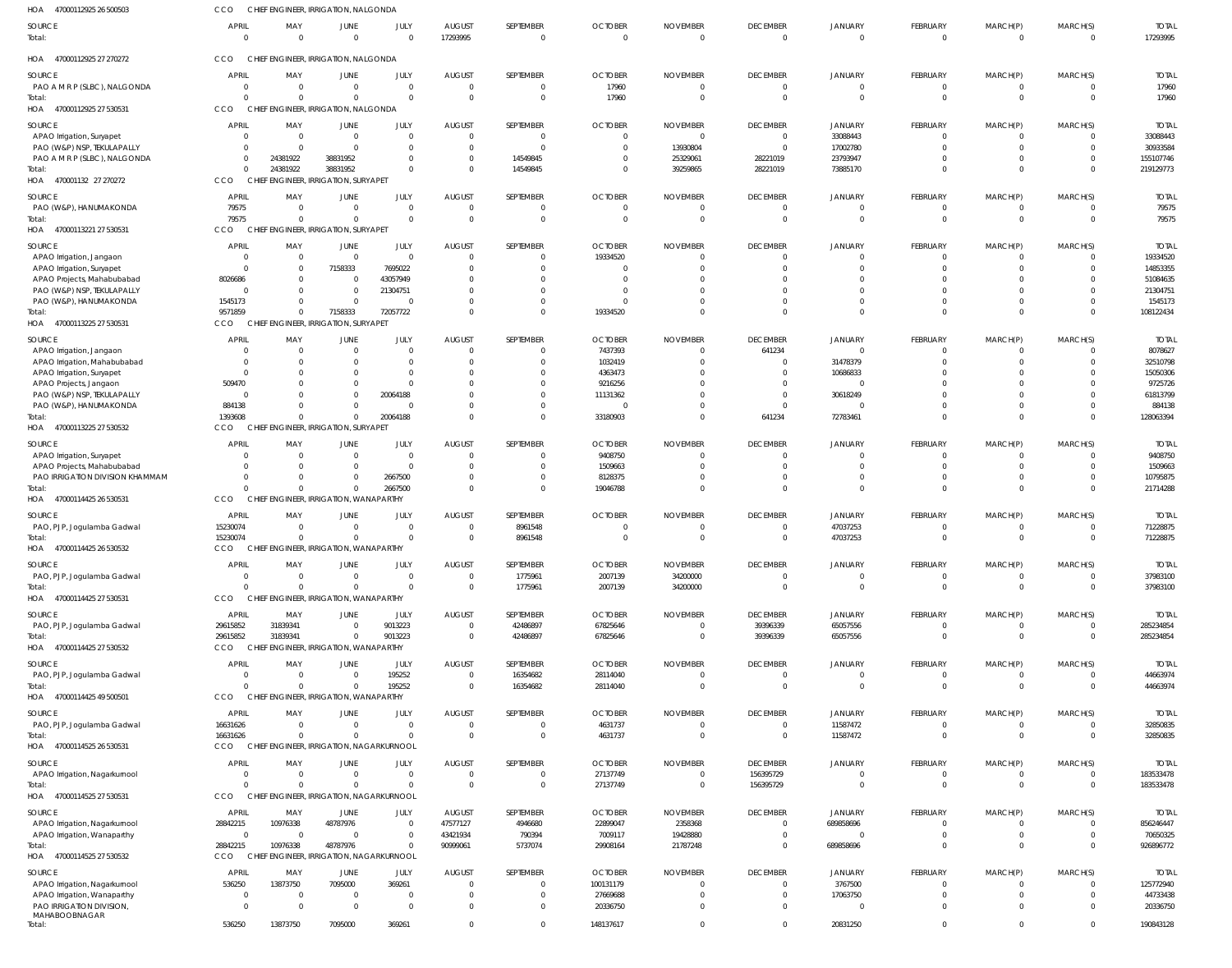| HOA<br>47000112925 26 500503                          | CCO                      | CHIEF ENGINEER, IRRIGATION, NALGONDA                     |                                         |                        |                            |                           |                            |                             |                                   |                                  |                              |                              |                                           |                          |
|-------------------------------------------------------|--------------------------|----------------------------------------------------------|-----------------------------------------|------------------------|----------------------------|---------------------------|----------------------------|-----------------------------|-----------------------------------|----------------------------------|------------------------------|------------------------------|-------------------------------------------|--------------------------|
| <b>SOURCE</b><br>Total:                               | <b>APRIL</b><br>$\Omega$ | MAY<br>$\overline{0}$                                    | JUNE<br>$\Omega$                        | JULY<br>$\Omega$       | <b>AUGUST</b><br>17293995  | SEPTEMBER<br>$\mathbf{0}$ | <b>OCTOBER</b><br>$\Omega$ | <b>NOVEMBER</b><br>$\Omega$ | <b>DECEMBER</b><br>$\overline{0}$ | <b>JANUARY</b><br>$\overline{0}$ | FEBRUARY<br>$\overline{0}$   | MARCH(P)<br>$\overline{0}$   | MARCH(S)<br>$\overline{0}$                | <b>TOTAL</b><br>17293995 |
| HOA 47000112925 27 270272                             | CCO                      | CHIEF ENGINEER, IRRIGATION, NALGONDA                     |                                         |                        |                            |                           |                            |                             |                                   |                                  |                              |                              |                                           |                          |
| SOURCE                                                | <b>APRIL</b>             | MAY                                                      | JUNE                                    | JULY                   | <b>AUGUST</b>              | SEPTEMBER                 | <b>OCTOBER</b>             | <b>NOVEMBER</b>             | <b>DECEMBER</b>                   | <b>JANUARY</b>                   | FEBRUARY                     | MARCH(P)                     | MARCH(S)                                  | <b>TOTAL</b>             |
| PAO A M R P (SLBC), NALGONDA                          | $\overline{0}$           | $\overline{0}$                                           | $\Omega$                                | $\Omega$               | $\Omega$                   | $\mathbf{0}$              | 17960                      | $\Omega$                    | $\overline{0}$                    | $\overline{0}$                   | $\mathbf{0}$                 | $\mathbf{0}$                 | $\overline{0}$                            | 17960                    |
| Total:<br>HOA 47000112925 27 530531                   | $\Omega$<br>CCO          | $\Omega$<br>CHIEF ENGINEER, IRRIGATION, NALGONDA         | $\Omega$                                | $\overline{0}$         | $\Omega$                   | $\mathbf{0}$              | 17960                      | $\Omega$                    | $\overline{0}$                    | $\Omega$                         | $\overline{0}$               | $\mathbf{0}$                 | $\overline{0}$                            | 17960                    |
| SOURCE                                                | <b>APRIL</b>             | MAY                                                      | JUNE                                    | JULY                   | <b>AUGUST</b>              | SEPTEMBER                 | <b>OCTOBER</b>             | <b>NOVEMBER</b>             | <b>DECEMBER</b>                   | JANUARY                          | <b>FEBRUARY</b>              | MARCH(P)                     | MARCH(S)                                  | <b>TOTAL</b>             |
| APAO Irrigation, Suryapet                             | $\Omega$                 | $\overline{0}$                                           | $\Omega$                                | $\Omega$               |                            | 0                         |                            |                             | $\overline{0}$                    | 33088443                         | 0                            | 0                            | $\Omega$                                  | 33088443                 |
| PAO (W&P) NSP, TEKULAPALLY                            | $\Omega$                 | $\overline{0}$                                           |                                         | $\Omega$               |                            | $\Omega$                  | $\Omega$                   | 13930804                    | $\overline{0}$                    | 17002780                         | $\Omega$                     | $\mathbf{0}$                 | $\Omega$                                  | 30933584                 |
| PAO A M R P (SLBC), NALGONDA                          | $\Omega$                 | 24381922                                                 | 38831952                                | 0                      |                            | 14549845                  |                            | 25329061                    | 28221019                          | 23793947                         | $\Omega$                     | $\mathbf{0}$                 | $\Omega$                                  | 155107746                |
| Total:<br>HOA 470001132 27 270272                     | $\Omega$<br><b>CCO</b>   | 24381922<br>CHIEF ENGINEER, IRRIGATION, SURYAPET         | 38831952                                | $\Omega$               |                            | 14549845                  |                            | 39259865                    | 28221019                          | 73885170                         | $\mathbf{0}$                 | $\mathbf{0}$                 | $\Omega$                                  | 219129773                |
|                                                       |                          |                                                          |                                         |                        |                            |                           |                            |                             |                                   |                                  |                              |                              |                                           |                          |
| <b>SOURCE</b>                                         | <b>APRIL</b>             | MAY                                                      | JUNE                                    | JULY                   | <b>AUGUST</b>              | SEPTEMBER                 | <b>OCTOBER</b>             | <b>NOVEMBER</b>             | <b>DECEMBER</b>                   | <b>JANUARY</b>                   | FEBRUARY                     | MARCH(P)                     | MARCH(S)                                  | <b>TOTAL</b>             |
| PAO (W&P), HANUMAKONDA                                | 79575                    | $\overline{0}$<br>$\Omega$                               | $\Omega$                                | $\Omega$<br>$\Omega$   | - 0<br>$\Omega$            | 0<br>$\mathbf{0}$         | $\Omega$<br>$\Omega$       | $\Omega$<br>$\Omega$        | 0<br>$\overline{0}$               | 0<br>$\Omega$                    | $\mathbf{0}$<br>$\mathbf{0}$ | $\mathbf{0}$<br>$\mathbf{0}$ | $\overline{0}$                            | 79575                    |
| Total:<br>HOA 47000113221 27 530531                   | 79575<br>CCO             | CHIEF ENGINEER, IRRIGATION, SURYAPET                     | $\Omega$                                |                        |                            |                           |                            |                             |                                   |                                  |                              |                              | $\overline{0}$                            | 79575                    |
|                                                       |                          |                                                          |                                         |                        |                            |                           |                            |                             |                                   |                                  |                              |                              |                                           |                          |
| SOURCE                                                | <b>APRIL</b><br>$\Omega$ | MAY                                                      | JUNE<br>$\Omega$                        | JULY<br>$\Omega$       | <b>AUGUST</b>              | SEPTEMBER                 | <b>OCTOBER</b>             | <b>NOVEMBER</b>             | <b>DECEMBER</b><br>$\overline{0}$ | JANUARY                          | FEBRUARY                     | MARCH(P)                     | MARCH(S)                                  | <b>TOTAL</b>             |
| APAO Irrigation, Jangaon<br>APAO Irrigation, Suryapet | $\Omega$                 | $\overline{0}$<br>- 0                                    | 7158333                                 | 7695022                | - 0                        | $\mathbf{0}$<br>$\Omega$  | 19334520                   |                             | $\Omega$                          | $\overline{0}$<br>$\Omega$       | $\mathbf{0}$<br>$\Omega$     | $\mathbf{0}$<br>$\Omega$     | $\overline{0}$<br>$\Omega$                | 19334520<br>14853355     |
| APAO Projects, Mahabubabad                            | 8026686                  | $\Omega$                                                 | $\Omega$                                | 43057949               |                            |                           |                            |                             |                                   |                                  | $\Omega$                     | $\Omega$                     |                                           | 51084635                 |
| PAO (W&P) NSP, TEKULAPALLY                            | $\Omega$                 | $\Omega$                                                 |                                         | 21304751               |                            | $\Omega$                  |                            |                             |                                   | $\Omega$                         | $\Omega$                     | $\Omega$                     |                                           | 21304751                 |
| PAO (W&P), HANUMAKONDA                                | 1545173                  | $\Omega$                                                 | $\Omega$                                |                        |                            | $\Omega$                  |                            |                             | $\Omega$                          | $\Omega$                         | $\mathbf{0}$                 | $\mathbf{0}$                 |                                           | 1545173                  |
| Total:                                                | 9571859                  | $\Omega$                                                 | 7158333                                 | 72057722               |                            | $\Omega$                  | 19334520                   |                             | $\Omega$                          | $\Omega$                         | $\Omega$                     | $\Omega$                     | $\Omega$                                  | 108122434                |
| HOA 47000113225 27 530531                             | CCO                      | CHIEF ENGINEER, IRRIGATION, SURYAPET                     |                                         |                        |                            |                           |                            |                             |                                   |                                  |                              |                              |                                           |                          |
| SOURCE                                                | <b>APRIL</b>             | MAY                                                      | JUNE                                    | JULY                   | <b>AUGUST</b>              | SEPTEMBER                 | <b>OCTOBER</b>             | <b>NOVEMBER</b>             | <b>DECEMBER</b>                   | JANUARY                          | FEBRUARY                     | MARCH(P)                     | MARCH(S)                                  | <b>TOTAL</b>             |
| APAO Irrigation, Jangaon                              | $\Omega$                 | $\Omega$                                                 | $\Omega$                                | $\Omega$               | - 0                        | $\Omega$                  | 7437393                    | $\Omega$                    | 641234                            | $\Omega$                         | $\mathbf{0}$                 | $\mathbf{0}$                 | $\Omega$                                  | 8078627                  |
| APAO Irrigation, Mahabubabad                          |                          | - 0                                                      |                                         | $\Omega$               |                            | 0                         | 1032419                    |                             | 0                                 | 31478379                         | $\mathbf{0}$                 | $\mathbf{0}$                 | $\Omega$                                  | 32510798                 |
| APAO Irrigation, Suryapet                             | $\Omega$<br>509470       | $\Omega$<br>$\Omega$                                     | 0                                       | $\Omega$<br>$\Omega$   |                            | $\Omega$<br>$\Omega$      | 4363473<br>9216256         |                             | $\Omega$<br>$\Omega$              | 10686833<br>$\Omega$             | $\Omega$<br>$\Omega$         | $\Omega$<br>$\Omega$         |                                           | 15050306<br>9725726      |
| APAO Projects, Jangaon<br>PAO (W&P) NSP, TEKULAPALLY  | $\Omega$                 | $\Omega$                                                 | $\Omega$                                | 20064188               |                            | $\Omega$                  | 11131362                   |                             | $\overline{0}$                    | 30618249                         | $\Omega$                     | $\Omega$                     | $\Omega$                                  | 61813799                 |
| PAO (W&P), HANUMAKONDA                                | 884138                   | $\Omega$                                                 | $\Omega$                                |                        |                            | $\Omega$                  | $\Omega$                   |                             | $\overline{0}$                    | $\Omega$                         | $\mathbf 0$                  | $\mathbf{0}$                 | $\Omega$                                  | 884138                   |
| Total:                                                | 1393608                  | $\Omega$                                                 | $\Omega$                                | 20064188               | $\Omega$                   | $\mathbf 0$               | 33180903                   | $\Omega$                    | 641234                            | 72783461                         | $\mathbf 0$                  | $\mathbf 0$                  | $\Omega$                                  | 128063394                |
| HOA<br>47000113225 27 530532                          | CCO                      | CHIEF ENGINEER, IRRIGATION, SURYAPET                     |                                         |                        |                            |                           |                            |                             |                                   |                                  |                              |                              |                                           |                          |
| SOURCE                                                | <b>APRIL</b>             | MAY                                                      | JUNE                                    | JULY                   | <b>AUGUST</b>              | SEPTEMBER                 | <b>OCTOBER</b>             | <b>NOVEMBER</b>             | <b>DECEMBER</b>                   | <b>JANUARY</b>                   | FEBRUARY                     | MARCH(P)                     | MARCH(S)                                  | <b>TOTAL</b>             |
| APAO Irrigation, Suryapet                             | $\Omega$                 | $\overline{0}$                                           |                                         | $\Omega$               |                            | $\Omega$                  | 9408750                    |                             | $\overline{0}$                    | $\Omega$                         | 0                            | 0                            | $\Omega$                                  | 9408750                  |
| APAO Projects, Mahabubabad                            | $\Omega$                 | $\Omega$                                                 | $\Omega$                                | $\Omega$               |                            | $\Omega$                  | 1509663                    |                             | $\Omega$                          | $\Omega$                         | $\mathbf{0}$                 | $\mathbf{0}$                 | $\Omega$                                  | 1509663                  |
| PAO IRRIGATION DIVISION KHAMMAM                       |                          | $\Omega$                                                 |                                         | 2667500                |                            | $\Omega$                  | 8128375                    |                             | $\Omega$                          | $\Omega$                         | $\mathbf{0}$                 | $\mathbf{0}$                 | $\Omega$                                  | 10795875                 |
| Total:                                                |                          | $\Omega$                                                 |                                         | 2667500                |                            | $\Omega$                  | 19046788                   |                             | $\Omega$                          | $\Omega$                         | $\mathbf 0$                  | $\mathbf{0}$                 | $\Omega$                                  | 21714288                 |
| HOA 47000114425 26 530531                             | CCO                      | <b>CHIEF</b>                                             | <b>ENGINEER, IRRIGATION, WANAPARTHY</b> |                        |                            |                           |                            |                             |                                   |                                  |                              |                              |                                           |                          |
| SOURCE                                                | <b>APRIL</b>             | MAY                                                      | JUNE                                    | JULY                   | <b>AUGUST</b>              | SEPTEMBER                 | <b>OCTOBER</b>             | <b>NOVEMBER</b>             | <b>DECEMBER</b>                   | JANUARY                          | FEBRUARY                     | MARCH(P)                     | MARCH(S)                                  | <b>TOTAL</b>             |
| PAO, PJP, Jogulamba Gadwal                            | 15230074                 | $\overline{0}$                                           | $\Omega$                                | $\Omega$               |                            | 8961548                   | -0                         | -0                          | $\overline{0}$                    | 47037253                         | $\mathbf{0}$                 | $\Omega$                     | $\overline{0}$                            | 71228875                 |
| Total:                                                | 15230074<br><b>CCO</b>   | $\Omega$<br>CHIFF FNGINFFR. IRRIGATION. WANAPARTHY       |                                         | $\Omega$               | $\Omega$                   | 8961548                   | $\Omega$                   | $\Omega$                    | $\Omega$                          | 47037253                         | $\mathbf 0$                  | $\mathbf{0}$                 | $\Omega$                                  | 71228875                 |
| HOA 47000114425 26 530532                             |                          |                                                          |                                         |                        |                            |                           |                            |                             |                                   |                                  |                              |                              |                                           |                          |
| SOURCE                                                | <b>APRIL</b>             | MAY                                                      | JUNE                                    | JULY                   | <b>AUGUST</b>              | SEPTEMBER                 | <b>OCTOBER</b>             | <b>NOVEMBER</b>             | <b>DECEMBER</b>                   | <b>JANUARY</b>                   | FEBRUARY                     | MARCH(P)                     | MARCH(S)                                  | <b>TOTAL</b>             |
| PAO, PJP, Jogulamba Gadwal                            | $\overline{0}$           | $\overline{0}$                                           | $\Omega$                                | $\overline{0}$         | $\Omega$                   | 1775961                   | 2007139                    | 34200000                    | $\overline{0}$                    | $\overline{0}$                   | $\mathbf{0}$                 | 0                            | $\overline{0}$                            | 37983100                 |
| Total:<br>HOA 47000114425 27 530531                   | $\Omega$<br>CCO          | $\overline{0}$<br>CHIEF ENGINEER, IRRIGATION, WANAPARTHY |                                         | $\Omega$               | $\mathsf{C}$               | 1775961                   | 2007139                    | 34200000                    | $\overline{0}$                    | $\overline{0}$                   | $\mathbf{0}$                 | $\mathbf{0}$                 | $\overline{0}$                            | 37983100                 |
|                                                       |                          |                                                          |                                         |                        |                            |                           |                            |                             |                                   |                                  |                              |                              |                                           |                          |
| SOURCE                                                | <b>APRIL</b>             | MAY                                                      | JUNE                                    | JULY                   | AUGUST                     | SEPTEMBER                 | <b>OCTOBER</b>             | <b>NOVEMBER</b>             | <b>DECEMBER</b>                   | <b>JANUARY</b>                   | FEBRUARY                     | MARCH(P)                     | MARCH(S)                                  | <b>TOTAL</b>             |
| PAO, PJP, Jogulamba Gadwal<br>Total:                  | 29615852<br>29615852     | 31839341<br>31839341                                     | $\Omega$<br>$\Omega$                    | 9013223<br>9013223     | $\Omega$<br>$\overline{0}$ | 42486897<br>42486897      | 67825646<br>67825646       | $\Omega$<br>$\Omega$        | 39396339<br>39396339              | 65057556<br>65057556             | 0<br>$\mathbf{0}$            | 0<br>$\mathbf{0}$            | $\overline{\mathbf{0}}$<br>$\overline{0}$ | 285234854<br>285234854   |
| HOA 47000114425 27 530532                             | CCO                      | CHIEF ENGINEER, IRRIGATION, WANAPARTHY                   |                                         |                        |                            |                           |                            |                             |                                   |                                  |                              |                              |                                           |                          |
|                                                       |                          |                                                          |                                         |                        |                            |                           |                            |                             |                                   |                                  |                              |                              |                                           |                          |
| SOURCE                                                | <b>APRIL</b><br>$\Omega$ | MAY<br>$\overline{0}$                                    | JUNE<br>$\Omega$                        | JULY<br>195252         | <b>AUGUST</b><br>$\Omega$  | SEPTEMBER<br>16354682     | <b>OCTOBER</b><br>28114040 | <b>NOVEMBER</b><br>$\Omega$ | <b>DECEMBER</b><br>$\overline{0}$ | JANUARY<br>$\overline{0}$        | FEBRUARY<br>$\overline{0}$   | MARCH(P)<br>$\overline{0}$   | MARCH(S)<br>$\overline{0}$                | <b>TOTAL</b><br>44663974 |
| PAO, PJP, Jogulamba Gadwal<br>Total:                  | $\Omega$                 | $\Omega$                                                 |                                         | 195252                 | $\mathsf{C}$               | 16354682                  | 28114040                   | $\Omega$                    | $\overline{0}$                    | $\overline{0}$                   | $\mathbf{0}$                 | $\mathbf{0}$                 | $\overline{0}$                            | 44663974                 |
| HOA 47000114425 49 500501                             | CCO                      | CHIEF ENGINEER, IRRIGATION, WANAPARTHY                   |                                         |                        |                            |                           |                            |                             |                                   |                                  |                              |                              |                                           |                          |
|                                                       |                          |                                                          |                                         |                        |                            |                           |                            |                             |                                   |                                  |                              |                              |                                           |                          |
| SOURCE                                                | APRIL<br>16631626        | MAY<br>$\overline{0}$                                    | JUNE<br>$\Omega$                        | JULY<br>$\overline{0}$ | <b>AUGUST</b><br>$\Omega$  | SEPTEMBER<br>$\mathbf{0}$ | <b>OCTOBER</b><br>4631737  | <b>NOVEMBER</b><br>$\Omega$ | <b>DECEMBER</b><br>$\overline{0}$ | <b>JANUARY</b><br>11587472       | FEBRUARY<br>$\mathbf{0}$     | MARCH(P)<br>$\mathbf{0}$     | MARCH(S)<br>$\overline{0}$                | <b>TOTAL</b><br>32850835 |
| PAO, PJP, Jogulamba Gadwal<br>Total:                  | 16631626                 | $\Omega$                                                 | $\Omega$                                | $\overline{0}$         | $\Omega$                   | $\mathbf 0$               | 4631737                    | $\Omega$                    | $\overline{0}$                    | 11587472                         | $\mathbf{0}$                 | $\mathbf{0}$                 | $\overline{0}$                            | 32850835                 |
| HOA 47000114525 26 530531                             | <b>CCO</b>               | CHIEF ENGINEER, IRRIGATION, NAGARKURNOOL                 |                                         |                        |                            |                           |                            |                             |                                   |                                  |                              |                              |                                           |                          |
| SOURCE                                                | <b>APRIL</b>             | MAY                                                      | JUNE                                    | JULY                   | <b>AUGUST</b>              | SEPTEMBER                 | <b>OCTOBER</b>             | <b>NOVEMBER</b>             | <b>DECEMBER</b>                   | <b>JANUARY</b>                   | FEBRUARY                     | MARCH(P)                     | MARCH(S)                                  | <b>TOTAL</b>             |
| APAO Irrigation, Nagarkurnool                         | $\overline{0}$           | $\overline{0}$                                           | $\Omega$                                | $\overline{0}$         | - 0                        | $\mathbf{0}$              | 27137749                   |                             | 156395729                         | 0                                | 0                            | 0                            | $\overline{0}$                            | 183533478                |
| Total:                                                | $\Omega$                 | $\Omega$                                                 |                                         | $\overline{0}$         | $\Omega$                   | $\mathbf 0$               | 27137749                   | $\Omega$                    | 156395729                         | $\overline{0}$                   | $\mathbf{0}$                 | $\mathbf{0}$                 | $\overline{0}$                            | 183533478                |
| HOA 47000114525 27 530531                             | CCO                      | CHIEF ENGINEER, IRRIGATION, NAGARKURNOOL                 |                                         |                        |                            |                           |                            |                             |                                   |                                  |                              |                              |                                           |                          |
| SOURCE                                                | <b>APRIL</b>             | MAY                                                      | JUNE                                    | JULY                   | <b>AUGUST</b>              | SEPTEMBER                 | <b>OCTOBER</b>             | <b>NOVEMBER</b>             | <b>DECEMBER</b>                   | <b>JANUARY</b>                   | FEBRUARY                     | MARCH(P)                     | MARCH(S)                                  | <b>TOTAL</b>             |
| APAO Irrigation, Nagarkurnool                         | 28842215                 | 10976338                                                 | 48787976                                | $\Omega$               | 47577127                   | 4946680                   | 22899047                   | 2358368                     | $\overline{0}$                    | 689858696                        | $\mathbf{0}$                 | $\mathbf{0}$                 | $\overline{0}$                            | 856246447                |
| APAO Irrigation, Wanaparthy                           | $\overline{0}$           | $\overline{0}$                                           | $\Omega$                                | $\Omega$               | 43421934                   | 790394                    | 7009117                    | 19428880                    | $\overline{0}$                    | $\Omega$                         | $\mathbf{0}$                 | $\mathbf 0$                  | $\overline{0}$                            | 70650325                 |
| Total:                                                | 28842215                 | 10976338                                                 | 48787976                                | $\Omega$               | 90999061                   | 5737074                   | 29908164                   | 21787248                    | $\overline{0}$                    | 689858696                        | $\mathbf{0}$                 | $\mathbf{0}$                 | $\overline{0}$                            | 926896772                |
| HOA 47000114525 27 530532                             | <b>CCO</b>               | CHIEF ENGINEER, IRRIGATION, NAGARKURNOOL                 |                                         |                        |                            |                           |                            |                             |                                   |                                  |                              |                              |                                           |                          |
| SOURCE                                                | <b>APRIL</b>             | MAY                                                      | JUNE                                    | JULY                   | <b>AUGUST</b>              | SEPTEMBER                 | <b>OCTOBER</b>             | <b>NOVEMBER</b>             | <b>DECEMBER</b>                   | <b>JANUARY</b>                   | FEBRUARY                     | MARCH(P)                     | MARCH(S)                                  | <b>TOTAL</b>             |
| APAO Irrigation, Nagarkurnool                         | 536250                   | 13873750                                                 | 7095000                                 | 369261                 |                            | $\mathbf{0}$              | 100131179                  |                             | $\overline{0}$                    | 3767500                          | $\overline{0}$               | 0                            | $\Omega$                                  | 125772940                |
| APAO Irrigation, Wanaparthy                           | $\Omega$                 | $\overline{0}$                                           | $\Omega$                                | $\overline{0}$         |                            | $\mathbf 0$               | 27669688                   |                             | $\overline{0}$                    | 17063750                         | $\mathbf{0}$                 | $\mathbf{0}$                 | $\Omega$                                  | 44733438                 |
| PAO IRRIGATION DIVISION,                              | $\Omega$                 | $\Omega$                                                 | $\Omega$                                | $\overline{0}$         |                            | $\Omega$                  | 20336750                   |                             | $\Omega$                          | $\Omega$                         | $\mathbf{0}$                 | $\Omega$                     |                                           | 20336750                 |
| MAHABOOBNAGAR<br>Total:                               | 536250                   | 13873750                                                 | 7095000                                 | 369261                 | $\Omega$                   | $\mathbf 0$               | 148137617                  | $\Omega$                    | $\Omega$                          | 20831250                         | $\mathbf{0}$                 | $\mathbf{0}$                 | $\overline{0}$                            | 190843128                |
|                                                       |                          |                                                          |                                         |                        |                            |                           |                            |                             |                                   |                                  |                              |                              |                                           |                          |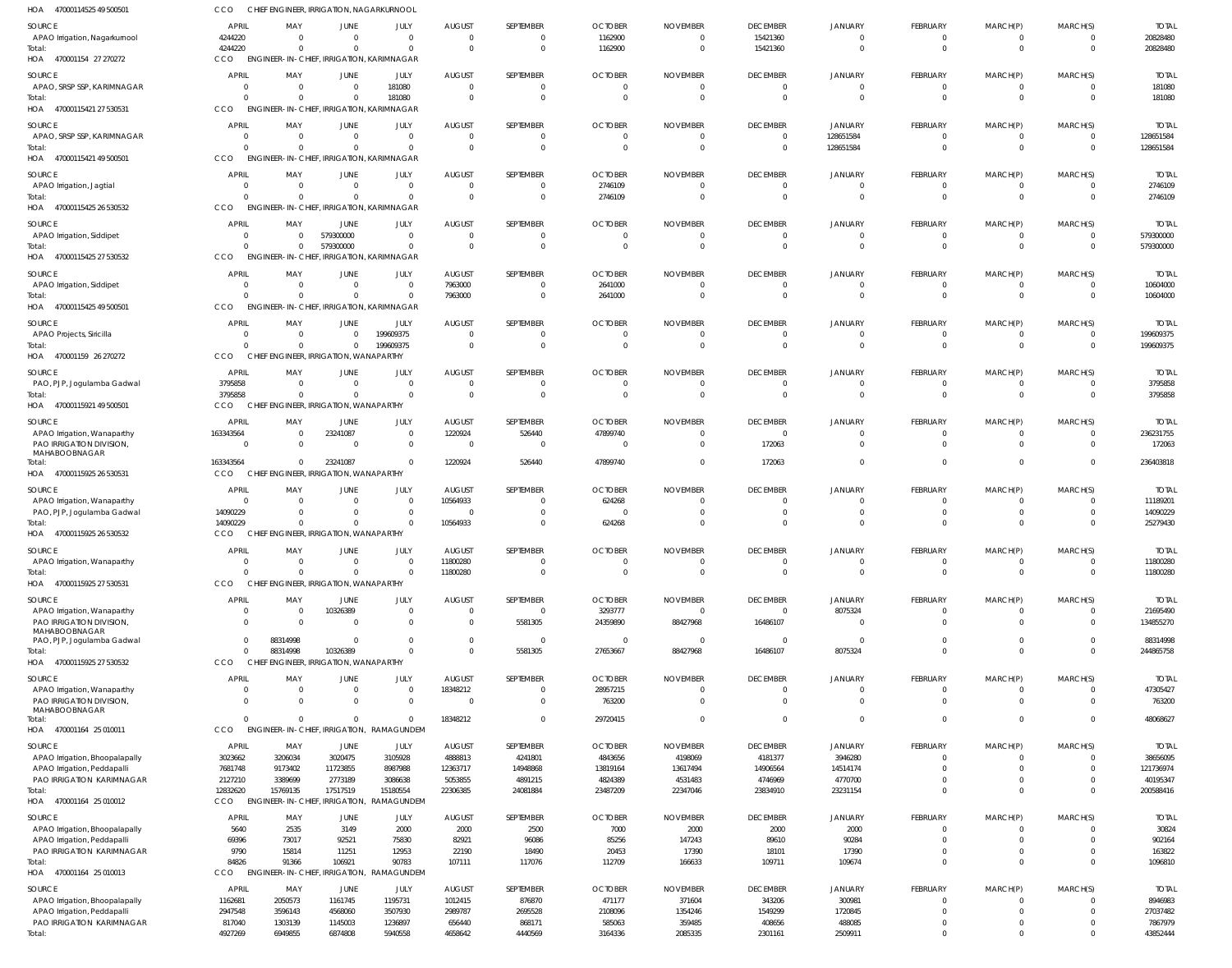| HOA<br>47000114525 49 500501                             | <b>CCO</b>             | CHIEF ENGINEER, IRRIGATION, NAGARKURNOOL                     |                      |                                           |                       |                                  |                            |                             |                             |                            |                               |                            |                                     |                           |
|----------------------------------------------------------|------------------------|--------------------------------------------------------------|----------------------|-------------------------------------------|-----------------------|----------------------------------|----------------------------|-----------------------------|-----------------------------|----------------------------|-------------------------------|----------------------------|-------------------------------------|---------------------------|
| SOURCE                                                   | <b>APRIL</b>           | MAY                                                          | JUNE                 | JULY                                      | <b>AUGUST</b>         | SEPTEMBER                        | <b>OCTOBER</b>             | <b>NOVEMBER</b>             | <b>DECEMBER</b>             | JANUARY                    | FEBRUARY                      | MARCH(P)                   | MARCH(S)                            | <b>TOTAL</b>              |
| APAO Irrigation, Nagarkurnool                            | 4244220                | $\Omega$                                                     | $\Omega$             | $\Omega$                                  | $\overline{0}$        | $\overline{0}$                   | 1162900                    | $\Omega$                    | 15421360                    | $\overline{0}$             | $\mathbf{0}$                  | $\overline{0}$             | $\overline{\mathbf{0}}$             | 20828480                  |
| Total:                                                   | 4244220                | $\Omega$                                                     | $\Omega$             | $\Omega$                                  | $\Omega$              | $\overline{0}$                   | 1162900                    | $\Omega$                    | 15421360                    | $\Omega$                   | $\overline{0}$                | $\overline{0}$             | $\overline{0}$                      | 20828480                  |
| HOA 470001154 27 270272                                  | CCO                    | <b>ENGINEER-IN-CHIEF, IRRIGATION, KARIMNAGAR</b>             |                      |                                           |                       |                                  |                            |                             |                             |                            |                               |                            |                                     |                           |
| <b>SOURCE</b>                                            | APRIL                  | MAY                                                          | JUNE                 | JULY                                      | <b>AUGUST</b>         | SEPTEMBER                        | <b>OCTOBER</b>             | <b>NOVEMBER</b>             | <b>DECEMBER</b>             | <b>JANUARY</b>             | FEBRUARY                      | MARCH(P)                   | MARCH(S)                            | <b>TOTAL</b>              |
| APAO, SRSP SSP, KARIMNAGAR<br>Total:                     | $\Omega$<br>$\Omega$   | $\Omega$<br>$\Omega$                                         | $\Omega$<br>$\Omega$ | 181080<br>181080                          | $\Omega$<br>$\Omega$  | $\Omega$<br>$\Omega$             |                            | $\Omega$                    | 0<br>$\Omega$               | $\Omega$                   | $\Omega$<br>$\overline{0}$    | $\Omega$<br>$\mathbf{0}$   | 0<br>$\overline{0}$                 | 181080<br>181080          |
| HOA 47000115421 27 530531                                | CCO                    | ENGINEER-IN-CHIEF, IRRIGATION, KARIMNAGAR                    |                      |                                           |                       |                                  |                            |                             |                             |                            |                               |                            |                                     |                           |
| SOURCE                                                   | <b>APRIL</b>           | MAY                                                          | JUNE                 | JULY                                      | <b>AUGUST</b>         | SEPTEMBER                        | <b>OCTOBER</b>             | <b>NOVEMBER</b>             | <b>DECEMBER</b>             | JANUARY                    | FEBRUARY                      | MARCH(P)                   | MARCH(S)                            | <b>TOTAL</b>              |
| APAO, SRSP SSP, KARIMNAGAR                               | $\Omega$               | $\Omega$                                                     | $\Omega$             | $\overline{0}$                            | $\Omega$              | $\overline{0}$                   | $\Omega$                   | $\Omega$                    | $\mathbf 0$                 | 128651584                  | $\overline{0}$                | $\overline{0}$             | 0                                   | 128651584                 |
| Total:                                                   | $\Omega$               | $\Omega$                                                     | $\Omega$             | $\Omega$                                  | $\Omega$              | $\overline{0}$                   | $\Omega$                   | $\Omega$                    | $\overline{0}$              | 128651584                  | $\mathbf{0}$                  | $\mathbf 0$                | $\overline{0}$                      | 128651584                 |
| HOA 47000115421 49 500501                                | <b>CCO</b>             | ENGINEER-IN-CHIEF, IRRIGATION, KARIMNAGAR                    |                      |                                           |                       |                                  |                            |                             |                             |                            |                               |                            |                                     |                           |
| <b>SOURCE</b>                                            | <b>APRIL</b>           | MAY                                                          | JUNE                 | JULY                                      | <b>AUGUST</b>         | SEPTEMBER                        | <b>OCTOBER</b>             | <b>NOVEMBER</b>             | <b>DECEMBER</b>             | <b>JANUARY</b>             | FEBRUARY                      | MARCH(P)                   | MARCH(S)                            | <b>TOTAL</b>              |
| APAO Irrigation, Jagtial                                 | $\Omega$               | $\Omega$                                                     | $\Omega$             | $\Omega$                                  | $\Omega$              | $\Omega$                         | 2746109                    |                             | $\Omega$                    | $\Omega$                   | $\Omega$                      | 0                          | $\overline{0}$                      | 2746109                   |
| Total:<br>HOA 47000115425 26 530532                      | $\Omega$<br>CCO        | $\Omega$<br><b>ENGINEER-IN-CHIEF, IRRIGATION, KARIMNAGAR</b> | $\Omega$             | $\Omega$                                  | $\Omega$              | $\Omega$                         | 2746109                    |                             | $\Omega$                    | $\Omega$                   | $\overline{0}$                | $\mathbf{0}$               | $\Omega$                            | 2746109                   |
|                                                          |                        |                                                              |                      |                                           |                       |                                  |                            |                             |                             |                            |                               |                            |                                     |                           |
| SOURCE                                                   | APRIL<br>$\Omega$      | MAY<br>$\Omega$                                              | JUNE<br>579300000    | JULY<br>$\overline{0}$                    | <b>AUGUST</b><br>- 0  | SEPTEMBER<br>$\overline{0}$      | <b>OCTOBER</b><br>$\Omega$ | <b>NOVEMBER</b><br>$\Omega$ | <b>DECEMBER</b><br>0        | <b>JANUARY</b><br>0        | FEBRUARY<br>$\overline{0}$    | MARCH(P)<br>$\overline{0}$ | MARCH(S)<br>$\overline{\mathbf{0}}$ | <b>TOTAL</b><br>579300000 |
| APAO Irrigation, Siddipet<br>Total:                      | $\Omega$               | $\Omega$                                                     | 579300000            | $\Omega$                                  | $\Omega$              | $\overline{0}$                   | $\Omega$                   | $\Omega$                    | $\Omega$                    | $\Omega$                   | $\mathbf{0}$                  | $\mathbf{0}$               | $\overline{0}$                      | 579300000                 |
| HOA 47000115425 27 530532                                | <b>CCO</b>             | ENGINEER-IN-CHIEF, IRRIGATION, KARIMNAGAR                    |                      |                                           |                       |                                  |                            |                             |                             |                            |                               |                            |                                     |                           |
| SOURCE                                                   | APRIL                  | MAY                                                          | JUNE                 | JULY                                      | <b>AUGUST</b>         | SEPTEMBER                        | <b>OCTOBER</b>             | <b>NOVEMBER</b>             | <b>DECEMBER</b>             | JANUARY                    | FEBRUARY                      | MARCH(P)                   | MARCH(S)                            | <b>TOTAL</b>              |
| APAO Irrigation, Siddipet                                | $\Omega$               | $\Omega$                                                     | $\Omega$             | $\Omega$                                  | 7963000               | $\Omega$                         | 2641000                    |                             | $\Omega$                    | $\Omega$                   | $\Omega$                      | 0                          | 0                                   | 10604000                  |
| Total:                                                   | $\Omega$               | $\Omega$                                                     | $\Omega$             | $\Omega$                                  | 7963000               | $\overline{0}$                   | 2641000                    |                             | $\Omega$                    | $\Omega$                   | $\mathbf{0}$                  | $\mathbf{0}$               | $\overline{0}$                      | 10604000                  |
| HOA 47000115425 49 500501                                | CCO                    | ENGINEER-IN-CHIEF, IRRIGATION, KARIMNAGAR                    |                      |                                           |                       |                                  |                            |                             |                             |                            |                               |                            |                                     |                           |
| SOURCE                                                   | APRIL                  | MAY                                                          | JUNE                 | JULY                                      | <b>AUGUST</b>         | SEPTEMBER                        | <b>OCTOBER</b>             | <b>NOVEMBER</b>             | <b>DECEMBER</b>             | JANUARY                    | <b>FEBRUARY</b>               | MARCH(P)                   | MARCH(S)                            | <b>TOTAL</b>              |
| APAO Projects, Siricilla                                 | $\Omega$               | $\overline{0}$                                               | $\Omega$             | 199609375                                 | - 0                   | $\overline{0}$                   | $\Omega$                   | $\Omega$                    | 0                           | 0                          | $\overline{0}$                | $\overline{0}$             | 0                                   | 199609375                 |
| Total:<br>HOA 470001159 26 270272                        | $\Omega$<br>CCO        | $\Omega$<br>CHIEF ENGINEER, IRRIGATION, WANAPARTHY           | $\Omega$             | 199609375                                 | $\Omega$              | $\overline{0}$                   | $\Omega$                   | $\Omega$                    | $\Omega$                    | $\Omega$                   | $\mathbf{0}$                  | $\mathbf{0}$               | $\overline{0}$                      | 199609375                 |
|                                                          |                        |                                                              |                      |                                           |                       |                                  |                            |                             |                             |                            |                               |                            |                                     |                           |
| SOURCE                                                   | APRIL<br>3795858       | MAY<br>$\Omega$                                              | JUNE<br>$\Omega$     | JULY<br>$\Omega$                          | <b>AUGUST</b><br>- 0  | SEPTEMBER<br>$\Omega$            | <b>OCTOBER</b><br>$\Omega$ | <b>NOVEMBER</b><br>$\Omega$ | <b>DECEMBER</b><br>$\Omega$ | <b>JANUARY</b><br>$\Omega$ | FEBRUARY<br>$\overline{0}$    | MARCH(P)<br>0              | MARCH(S)<br>0                       | <b>TOTAL</b><br>3795858   |
| PAO, PJP, Jogulamba Gadwal<br>Total:                     | 3795858                | $\Omega$                                                     | $\Omega$             | $\Omega$                                  | $\Omega$              | $\Omega$                         | $\Omega$                   | $\Omega$                    | $\Omega$                    | $\Omega$                   | $\Omega$                      | $\mathbf{0}$               | $\Omega$                            | 3795858                   |
| HOA 47000115921 49 500501                                | CCO                    | CHIEF ENGINEER, IRRIGATION, WANAPARTHY                       |                      |                                           |                       |                                  |                            |                             |                             |                            |                               |                            |                                     |                           |
| SOURCE                                                   | <b>APRIL</b>           | MAY                                                          | JUNE                 | JULY                                      | <b>AUGUST</b>         | SEPTEMBER                        | <b>OCTOBER</b>             | <b>NOVEMBER</b>             | <b>DECEMBER</b>             | JANUARY                    | FEBRUARY                      | MARCH(P)                   | MARCH(S)                            | <b>TOTAL</b>              |
| APAO Irrigation, Wanaparthy                              | 163343564              | $\overline{0}$                                               | 23241087             | $\overline{0}$                            | 1220924               | 526440                           | 47899740                   | $\Omega$                    | $\overline{0}$              | $\Omega$                   | 0                             | 0                          | $\overline{0}$                      | 236231755                 |
| PAO IRRIGATION DIVISION,                                 | 0                      | - 0                                                          | $\Omega$             | $\overline{0}$                            | - 0                   | $\overline{0}$                   |                            |                             | 172063                      | $\Omega$                   | $\mathbf 0$                   | $\mathbf 0$                | $\overline{0}$                      | 172063                    |
| MAHABOOBNAGAR<br>Total:                                  | 163343564              | $\Omega$                                                     | 23241087             | $\Omega$                                  | 1220924               | 526440                           | 47899740                   | $\Omega$                    | 172063                      | $\Omega$                   | $\mathbf 0$                   | $\mathbf 0$                | $\overline{0}$                      | 236403818                 |
| HOA 47000115925 26 530531                                | CCO                    | CHIEF ENGINEER, IRRIGATION, WANAPARTHY                       |                      |                                           |                       |                                  |                            |                             |                             |                            |                               |                            |                                     |                           |
| SOURCE                                                   | APRIL                  | MAY                                                          | JUNE                 | JULY                                      | <b>AUGUST</b>         | SEPTEMBER                        | <b>OCTOBER</b>             | <b>NOVEMBER</b>             | <b>DECEMBER</b>             | <b>JANUARY</b>             | <b>FEBRUARY</b>               | MARCH(P)                   | MARCH(S)                            | <b>TOTAL</b>              |
| APAO Irrigation, Wanaparthy                              | $\Omega$               | $\Omega$                                                     |                      | $\Omega$                                  | 10564933              | $\Omega$                         | 624268                     |                             | $\Omega$                    | $\Omega$                   | $\Omega$                      | $\Omega$                   | - 0                                 | 11189201                  |
| PAO, PJP, Jogulamba Gadwal                               | 14090229               | $\Omega$                                                     | $\Omega$             | $\Omega$                                  |                       | $\Omega$                         | $\Omega$                   |                             | 0                           | $\Omega$                   | $\Omega$                      | $\Omega$                   | $\Omega$                            | 14090229                  |
| Total:                                                   | 14090229               | $\Omega$                                                     | $\Omega$             |                                           | 10564933              | $\Omega$                         | 624268                     |                             | $\Omega$                    |                            | $\Omega$                      | $\Omega$                   | $\Omega$                            | 25279430                  |
| HOA 47000115925 26 530532                                | CCO                    | CHIEF ENGINEER, IRRIGATION, WANAPARTHY                       |                      |                                           |                       |                                  |                            |                             |                             |                            |                               |                            |                                     |                           |
| <b>SOURCE</b>                                            | <b>APRIL</b>           | MAY                                                          | <b>JUNE</b>          | JULY.                                     | <b>AUGUST</b>         | <b>SFPTFMBFR</b>                 | <b>OCTOBER</b>             | <b>NOVEMBER</b>             | <b>DECEMBER</b>             | <b>JANUARY</b>             | <b>FFBRUARY</b>               | MARCH(P)                   | MARCH(S)                            | <b>TOTAL</b>              |
| APAO Irrigation, Wanaparthy<br>Total:                    | 0<br>$\Omega$          | $\Omega$<br>$\Omega$                                         | - 0                  | $\Omega$<br>$\Omega$                      | 11800280<br>11800280  | $\overline{0}$<br>$\overline{0}$ | $\Omega$<br>$\Omega$       | $\Omega$<br>$\Omega$        | $\Omega$<br>$\Omega$        | $\Omega$<br>$\Omega$       | $\mathbf 0$<br>$\overline{0}$ | 0<br>$\mathbf{0}$          | - 0<br>$\overline{0}$               | 11800280<br>11800280      |
| HOA 47000115925 27 530531                                | CCO                    | CHIEF ENGINEER, IRRIGATION, WANAPARTHY                       |                      |                                           |                       |                                  |                            |                             |                             |                            |                               |                            |                                     |                           |
| SOURCE                                                   | <b>APRIL</b>           | MAY                                                          | JUNE                 | JULY                                      | <b>AUGUST</b>         | SEPTEMBER                        | <b>OCTOBER</b>             | <b>NOVEMBER</b>             | <b>DECEMBER</b>             | JANUARY                    | FEBRUARY                      | MARCH(P)                   | MARCH(S)                            | <b>TOTAL</b>              |
| APAO Irrigation, Wanaparthy                              | $\mathbf 0$            | $\overline{0}$                                               | 10326389             | $\Omega$                                  | $\Omega$              | $\overline{0}$                   | 3293777                    | $\Omega$                    | $\overline{0}$              | 8075324                    | $\mathbf 0$                   | 0                          | $\overline{0}$                      | 21695490                  |
| PAO IRRIGATION DIVISION,                                 | $\Omega$               | $\Omega$                                                     | $\Omega$             | $\Omega$                                  | $\Omega$              | 5581305                          | 24359890                   | 88427968                    | 16486107                    |                            | $\Omega$                      | $\overline{0}$             | $\Omega$                            | 134855270                 |
| MAHABOOBNAGAR<br>PAO, PJP, Jogulamba Gadwal              | $\Omega$               | 88314998                                                     |                      |                                           |                       | $\overline{0}$                   | $\Omega$                   | - 0                         | $\Omega$                    |                            | $\Omega$                      | $\Omega$                   | $\Omega$                            | 88314998                  |
| Total:                                                   | $\Omega$               | 88314998                                                     | 10326389             | $\Omega$                                  | $\Omega$              | 5581305                          | 27653667                   | 88427968                    | 16486107                    | 8075324                    | $\Omega$                      | $\Omega$                   | $\Omega$                            | 244865758                 |
| HOA 47000115925 27 530532                                | CCO                    | CHIEF ENGINEER, IRRIGATION, WANAPARTHY                       |                      |                                           |                       |                                  |                            |                             |                             |                            |                               |                            |                                     |                           |
| SOURCE                                                   | APRIL                  | MAY                                                          | JUNE                 | JULY                                      | <b>AUGUST</b>         | SEPTEMBER                        | <b>OCTOBER</b>             | <b>NOVEMBER</b>             | <b>DECEMBER</b>             | <b>JANUARY</b>             | <b>FEBRUARY</b>               | MARCH(P)                   | MARCH(S)                            | <b>TOTAL</b>              |
| APAO Irrigation, Wanaparthy                              | 0                      | $\overline{0}$                                               | $\Omega$             | $\overline{0}$                            | 18348212              | $\overline{0}$                   | 28957215                   | - 0                         | 0                           | $\Omega$                   | $\mathbf 0$                   | 0                          | 0                                   | 47305427                  |
| PAO IRRIGATION DIVISION,                                 | $\Omega$               | $\Omega$                                                     | $\Omega$             | $\Omega$                                  | $\Omega$              | $\overline{0}$                   | 763200                     |                             | $\Omega$                    |                            | $\Omega$                      | $\Omega$                   | $\Omega$                            | 763200                    |
| MAHABOOBNAGAR<br>Total:                                  | $\Omega$               | $\Omega$                                                     | $\Omega$             | $\Omega$                                  | 18348212              | $\overline{0}$                   | 29720415                   |                             | $\Omega$                    | $\Omega$                   | $\mathbf 0$                   | $\mathbf 0$                | $\Omega$                            | 48068627                  |
| HOA 470001164 25 010011                                  | <b>CCO</b>             | ENGINEER-IN-CHIEF, IRRIGATION,                               |                      | RAMAGUNDEM                                |                       |                                  |                            |                             |                             |                            |                               |                            |                                     |                           |
| SOURCE                                                   | APRIL                  | MAY                                                          | JUNE                 | JULY                                      | <b>AUGUST</b>         | SEPTEMBER                        | <b>OCTOBER</b>             | <b>NOVEMBER</b>             | <b>DECEMBER</b>             | JANUARY                    | FEBRUARY                      | MARCH(P)                   | MARCH(S)                            | <b>TOTAL</b>              |
| APAO Irrigation, Bhoopalapally                           | 3023662                | 3206034                                                      | 3020475              | 3105928                                   | 4888813               | 4241801                          | 4843656                    | 4198069                     | 4181377                     | 3946280                    | $\Omega$                      | $\Omega$                   | $\Omega$                            | 38656095                  |
| APAO Irrigation, Peddapalli                              | 7681748                | 9173402                                                      | 11723855             | 8987988                                   | 12363717              | 14948868                         | 13819164                   | 13617494                    | 14906564                    | 14514174                   | $\Omega$                      | $\Omega$                   | $\Omega$                            | 121736974                 |
| PAO IRRIGATION KARIMNAGAR                                | 2127210                | 3389699<br>15769135                                          | 2773189<br>17517519  | 3086638                                   | 5053855               | 4891215                          | 4824389                    | 4531483                     | 4746969                     | 4770700                    | $\Omega$<br>$\Omega$          | $\mathbf 0$<br>$\Omega$    | $\Omega$<br>$\Omega$                | 40195347                  |
| Total:<br>HOA 470001164 25 010012                        | 12832620<br><b>CCO</b> | ENGINEER-IN-CHIEF, IRRIGATION,                               |                      | 15180554<br>RAMAGUNDEM                    | 22306385              | 24081884                         | 23487209                   | 22347046                    | 23834910                    | 23231154                   |                               |                            |                                     | 200588416                 |
|                                                          |                        |                                                              |                      |                                           |                       |                                  |                            |                             |                             |                            |                               |                            |                                     |                           |
| SOURCE<br>APAO Irrigation, Bhoopalapally                 | APRIL<br>5640          | MAY<br>2535                                                  | JUNE<br>3149         | JULY<br>2000                              | <b>AUGUST</b><br>2000 | SEPTEMBER<br>2500                | <b>OCTOBER</b><br>7000     | <b>NOVEMBER</b><br>2000     | <b>DECEMBER</b><br>2000     | <b>JANUARY</b><br>2000     | FEBRUARY<br>$\mathbf 0$       | MARCH(P)<br>$\Omega$       | MARCH(S)<br>- 0                     | <b>TOTAL</b><br>30824     |
| APAO Irrigation, Peddapalli                              | 69396                  | 73017                                                        | 92521                | 75830                                     | 82921                 | 96086                            | 85256                      | 147243                      | 89610                       | 90284                      | $\mathbf 0$                   | $\mathbf{0}$               | $\Omega$                            | 902164                    |
| PAO IRRIGATION KARIMNAGAR                                | 9790                   | 15814                                                        | 11251                | 12953                                     | 22190                 | 18490                            | 20453                      | 17390                       | 18101                       | 17390                      | $\mathbf 0$                   | $\mathbf 0$                | $\Omega$                            | 163822                    |
| Total:                                                   | 84826                  | 91366                                                        | 106921               | 90783                                     | 107111                | 117076                           | 112709                     | 166633                      | 109711                      | 109674                     | $\mathbf 0$                   | $\mathbf 0$                | $\Omega$                            | 1096810                   |
| HOA 470001164 25 010013                                  | CCO                    |                                                              |                      | ENGINEER-IN-CHIEF, IRRIGATION, RAMAGUNDEM |                       |                                  |                            |                             |                             |                            |                               |                            |                                     |                           |
| SOURCE                                                   | <b>APRIL</b>           | MAY                                                          | JUNE                 | JULY                                      | <b>AUGUST</b>         | SEPTEMBER                        | <b>OCTOBER</b>             | <b>NOVEMBER</b>             | <b>DECEMBER</b>             | <b>JANUARY</b>             | FEBRUARY                      | MARCH(P)                   | MARCH(S)                            | <b>TOTAL</b>              |
| APAO Irrigation, Bhoopalapally                           | 1162681<br>2947548     | 2050573<br>3596143                                           | 1161745<br>4568060   | 1195731<br>3507930                        | 1012415<br>2989787    | 876870<br>2695528                | 471177<br>2108096          | 371604<br>1354246           | 343206<br>1549299           | 300981<br>1720845          | $\Omega$<br>$\Omega$          | -0<br>$\Omega$             | $\Omega$<br>$\Omega$                | 8946983<br>27037482       |
| APAO Irrigation, Peddapalli<br>PAO IRRIGATION KARIMNAGAR | 817040                 | 1303139                                                      | 1145003              | 1236897                                   | 656440                | 868171                           | 585063                     | 359485                      | 408656                      | 488085                     | $\mathbf 0$                   | 0                          | 0                                   | 7867979                   |
| Total:                                                   | 4927269                | 6949855                                                      | 6874808              | 5940558                                   | 4658642               | 4440569                          | 3164336                    | 2085335                     | 2301161                     | 2509911                    | $\Omega$                      | $\Omega$                   | $\Omega$                            | 43852444                  |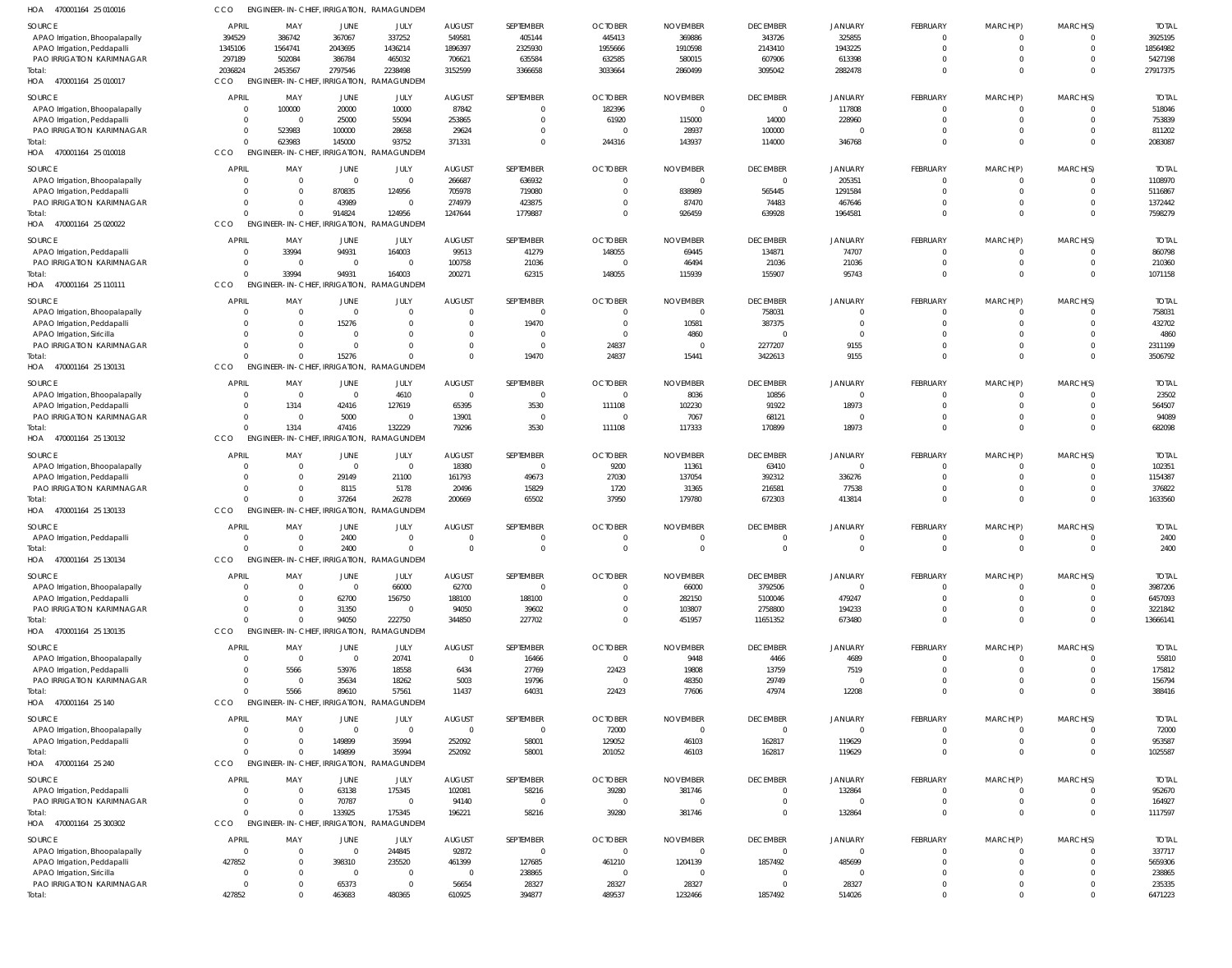| HOA<br>470001164 25 010016          | CCO                 |                           | ENGINEER-IN-CHIEF, IRRIGATION, RAMAGUNDEN |                                           |                      |                       |                         |                    |                                   |                        |                         |                               |                            |                   |
|-------------------------------------|---------------------|---------------------------|-------------------------------------------|-------------------------------------------|----------------------|-----------------------|-------------------------|--------------------|-----------------------------------|------------------------|-------------------------|-------------------------------|----------------------------|-------------------|
| <b>SOURCE</b>                       | APRIL               | MAY                       | JUNE                                      | JULY                                      | <b>AUGUST</b>        | SEPTEMBER             | <b>OCTOBER</b>          | <b>NOVEMBER</b>    | <b>DECEMBER</b>                   | <b>JANUARY</b>         | FEBRUARY                | MARCH(P)                      | MARCH(S)                   | <b>TOTAL</b>      |
| APAO Irrigation, Bhoopalapally      | 394529              | 386742                    | 367067                                    | 337252                                    | 549581               | 405144                | 445413                  | 369886             | 343726                            | 325855                 | $^{\circ}$              | $\overline{0}$                | $\overline{0}$             | 3925195           |
| APAO Irrigation, Peddapalli         | 1345106             | 1564741                   | 2043695                                   | 1436214                                   | 1896397              | 2325930               | 1955666                 | 1910598            | 2143410                           | 1943225                | $\mathbf 0$             | $\overline{0}$                | $\overline{0}$             | 18564982          |
| PAO IRRIGATION KARIMNAGAR           | 297189              | 502084                    | 386784                                    | 465032                                    | 706621               | 635584                | 632585                  | 580015             | 607906                            | 613398                 | $\mathbf 0$             | $\mathbf 0$                   | $\overline{0}$             | 5427198           |
| Total:                              | 2036824             | 2453567                   | 2797546                                   | 2238498                                   | 3152599              | 3366658               | 3033664                 | 2860499            | 3095042                           | 2882478                | $\Omega$                | $\mathbf 0$                   | $\Omega$                   | 27917375          |
| 470001164 25 010017<br>HOA          | CCO                 | <b>ENGINEER-IN-CHIEF,</b> | IRRIGATION,                               | RAMAGUNDEM                                |                      |                       |                         |                    |                                   |                        |                         |                               |                            |                   |
| SOURCE                              | <b>APRI</b>         | MAY                       | JUNE                                      | JULY                                      | <b>AUGUST</b>        | SEPTEMBER             | <b>OCTOBER</b>          | <b>NOVEMBER</b>    | <b>DECEMBER</b>                   | <b>JANUARY</b>         | FEBRUARY                | MARCH(P)                      | MARCH(S)                   | <b>TOTAL</b>      |
| APAO Irrigation, Bhoopalapally      | $\Omega$            | 100000                    | 20000                                     | 10000                                     | 87842                | $\Omega$              | 182396                  | $\Omega$           | $\overline{0}$                    | 117808                 | $\mathbf 0$             | $\overline{0}$                | $\overline{0}$             | 518046            |
| APAO Irrigation, Peddapalli         | $\Omega$            | $\overline{0}$            | 25000                                     | 55094                                     | 253865               | $\Omega$              | 61920                   | 115000             | 14000                             | 228960                 | $\mathbf 0$             | $\overline{0}$                | $\overline{0}$             | 753839            |
| PAO IRRIGATION KARIMNAGAR           | $\Omega$            | 523983                    | 100000                                    | 28658                                     | 29624                | $\Omega$              | $\Omega$                | 28937              | 100000                            | $\mathbf 0$            | $\mathbf 0$             | $\mathbf 0$                   | $\Omega$                   | 811202            |
| Total:                              |                     | 623983                    | 145000                                    | 93752                                     | 371331               | $\Omega$              | 244316                  | 143937             | 114000                            | 346768                 | $\Omega$                | $\overline{0}$                | $\Omega$                   | 2083087           |
| 470001164 25 010018<br>HOA          | CCO                 |                           | <b>ENGINEER-IN-CHIEF. IRRIGATION.</b>     | RAMAGUNDEM                                |                      |                       |                         |                    |                                   |                        |                         |                               |                            |                   |
| SOURCE                              | <b>APRIL</b>        | MAY                       | JUNE                                      | JULY                                      | <b>AUGUST</b>        | SEPTEMBER             | <b>OCTOBER</b>          | <b>NOVEMBER</b>    | <b>DECEMBER</b>                   | <b>JANUARY</b>         | FEBRUARY                | MARCH(P)                      | MARCH(S)                   | <b>TOTAL</b>      |
| APAO Irrigation, Bhoopalapally      | $\Omega$            | $\overline{0}$            | $\overline{0}$                            | $\overline{0}$                            | 266687               | 636932                | $\Omega$                | $\Omega$           | $\overline{0}$                    | 205351                 | $^{\circ}$              | $^{\circ}$                    | $\overline{0}$             | 1108970           |
| APAO Irrigation, Peddapalli         |                     | $\Omega$                  | 870835                                    | 124956                                    | 705978               | 719080                | $\Omega$                | 838989             | 565445                            | 1291584                | $\mathbf 0$             | $\overline{0}$                | $\overline{0}$             | 5116867           |
| PAO IRRIGATION KARIMNAGAR           |                     | $\Omega$                  | 43989                                     | $\overline{0}$                            | 274979               | 423875                | $\Omega$                | 87470              | 74483                             | 467646                 | $\Omega$                | $\mathbf 0$                   | $\Omega$                   | 1372442           |
| Total:                              |                     | $\Omega$                  | 914824                                    | 124956                                    | 1247644              | 1779887               | $\Omega$                | 926459             | 639928                            | 1964581                | $\Omega$                | $\mathbf 0$                   | $\overline{0}$             | 7598279           |
| HOA 470001164 25 020022             | CCO                 | <b>ENGINEER-IN-CHIEF,</b> | IRRIGATION,                               | RAMAGUNDEM                                |                      |                       |                         |                    |                                   |                        |                         |                               |                            |                   |
| SOURCE                              | APRI                | MAY                       | JUNE                                      | JULY                                      | AUGUST               | SEPTEMBER             | <b>OCTOBER</b>          | <b>NOVEMBER</b>    | <b>DECEMBER</b>                   | <b>JANUARY</b>         | FEBRUARY                | MARCH(P)                      | MARCH(S)                   | <b>TOTAL</b>      |
| APAO Irrigation, Peddapalli         | - 0                 | 33994                     | 94931                                     | 164003                                    | 99513                | 41279                 | 148055                  | 69445              | 134871                            | 74707                  | $\mathbf 0$             | $\mathbf 0$                   | $\Omega$                   | 860798            |
| <b>PAO IRRIGATION KARIMNAGAR</b>    | $\Omega$            | $\overline{\mathbf{0}}$   | $\overline{0}$                            | $\mathbf{0}$                              | 100758               | 21036                 | $\overline{0}$          | 46494              | 21036                             | 21036                  | $\mathbf 0$             | $\overline{0}$                | $\overline{0}$             | 210360            |
| Total:                              | $\cap$              | 33994                     | 94931                                     | 164003                                    | 200271               | 62315                 | 148055                  | 115939             | 155907                            | 95743                  | $\Omega$                | $\overline{0}$                | $\Omega$                   | 1071158           |
| 470001164 25 110111<br>HOA          | CCO                 |                           | ENGINEER-IN-CHIEF, IRRIGATION,            | RAMAGUNDEM                                |                      |                       |                         |                    |                                   |                        |                         |                               |                            |                   |
|                                     |                     |                           |                                           |                                           |                      |                       |                         |                    |                                   |                        |                         |                               |                            |                   |
| SOURCE                              | <b>APRIL</b>        | MAY                       | JUNE                                      | JULY                                      | <b>AUGUST</b>        | SEPTEMBER             | <b>OCTOBER</b>          | <b>NOVEMBER</b>    | <b>DECEMBER</b>                   | <b>JANUARY</b>         | FEBRUARY                | MARCH(P)                      | MARCH(S)                   | <b>TOTAL</b>      |
| APAO Irrigation, Bhoopalapally      | $\Omega$            | $\overline{0}$            | $\mathbf{0}$                              | $\mathbf 0$                               |                      | -C                    | $\Omega$                | $\Omega$           | 758031                            | $\mathbf 0$            | $\Omega$                | $^{\circ}$                    | $\Omega$                   | 758031            |
| APAO Irrigation, Peddapalli         |                     | $\overline{0}$            | 15276                                     | $\mathbf 0$                               | $\Omega$             | 19470                 | $\overline{0}$          | 10581              | 387375                            | $\overline{0}$         | $\mathbf 0$             | $\mathbf 0$                   | $\overline{0}$             | 432702            |
| APAO Irrigation, Siricilla          |                     | $\Omega$                  | $\Omega$                                  | $\Omega$                                  | 0                    | $\Omega$              | $\Omega$                | 4860               | $\Omega$                          | $\Omega$               | $\Omega$                | $\mathbf 0$                   | $\Omega$                   | 4860              |
| PAO IRRIGATION KARIMNAGAR           |                     | $\Omega$<br>$\Omega$      | $\mathbf{0}$                              | $\Omega$<br>$\Omega$                      | $\Omega$<br>$\Omega$ | $\mathbf{0}$          | 24837                   | $\Omega$           | 2277207                           | 9155                   | $\mathbf 0$<br>$\Omega$ | $\mathbf 0$                   | $\overline{0}$<br>$\Omega$ | 2311199           |
| Total:                              |                     |                           | 15276                                     |                                           |                      | 19470                 | 24837                   | 15441              | 3422613                           | 9155                   |                         | $\mathbf 0$                   |                            | 3506792           |
| 470001164 25 130131<br>HOA          | CCO                 |                           | ENGINEER-IN-CHIEF, IRRIGATION,            | RAMAGUNDEM                                |                      |                       |                         |                    |                                   |                        |                         |                               |                            |                   |
| SOURCE                              | <b>APRI</b>         | MAY                       | JUNE                                      | JULY                                      | <b>AUGUST</b>        | SEPTEMBER             | <b>OCTOBER</b>          | <b>NOVEMBER</b>    | <b>DECEMBER</b>                   | <b>JANUARY</b>         | FEBRUARY                | MARCH(P)                      | MARCH(S)                   | <b>TOTAL</b>      |
| APAO Irrigation, Bhoopalapally      | - 0                 | $\overline{0}$            | $\overline{0}$                            | 4610                                      | $\overline{0}$       | $\mathbf 0$           | $\overline{\mathbf{0}}$ | 8036               | 10856                             | $\mathbf{0}$           | $\mathbf 0$             | $\overline{0}$                | $\overline{0}$             | 23502             |
| APAO Irrigation, Peddapalli         |                     | 1314                      | 42416                                     | 127619                                    | 65395                | 3530                  | 111108                  | 102230             | 91922                             | 18973                  | $\mathbf 0$             | $\overline{0}$                | $\Omega$                   | 564507            |
| PAO IRRIGATION KARIMNAGAR           |                     | $\Omega$                  | 5000                                      | $\mathbf{0}$                              | 13901                | $\mathbf{0}$          | $\Omega$                | 7067               | 68121                             | $\Omega$               | $\mathbf 0$             | $\overline{0}$                | $\Omega$                   | 94089             |
| Total:                              |                     | 1314                      | 47416                                     | 132229                                    | 79296                | 3530                  | 111108                  | 117333             | 170899                            | 18973                  | $\Omega$                | $\mathbf 0$                   | $\Omega$                   | 682098            |
| 470001164 25 130132<br>HOA          | CCO                 |                           | ENGINEER-IN-CHIEF, IRRIGATION,            | RAMAGUNDEM                                |                      |                       |                         |                    |                                   |                        |                         |                               |                            |                   |
| SOURCE                              | <b>APRI</b>         | MAY                       | JUNE                                      | JULY                                      | <b>AUGUST</b>        | SEPTEMBER             | <b>OCTOBER</b>          | <b>NOVEMBER</b>    | <b>DECEMBER</b>                   | <b>JANUARY</b>         | FEBRUARY                | MARCH(P)                      | MARCH(S)                   | <b>TOTAL</b>      |
| APAO Irrigation, Bhoopalapally      | $\Omega$            | $\Omega$                  | $\overline{0}$                            | $\overline{0}$                            | 18380                | 0                     | 9200                    | 11361              | 63410                             | $\mathbf 0$            | $^{\circ}$              | $^{\circ}$                    | $\Omega$                   | 102351            |
| APAO Irrigation, Peddapall          | $\Omega$            | $\Omega$                  | 29149                                     | 21100                                     | 161793               | 49673                 | 27030                   | 137054             | 392312                            | 336276                 | $\mathbf 0$             | $\mathbf 0$                   | $\overline{0}$             | 1154387           |
| <b>PAO IRRIGATION KARIMNAGAR</b>    |                     | $\Omega$                  | 8115                                      | 5178                                      | 20496                | 15829                 | 1720                    | 31365              | 216581                            | 77538                  | $\mathbf 0$             | $\mathbf 0$                   | $\overline{0}$             | 376822            |
| Total:                              |                     | $\Omega$                  | 37264                                     | 26278                                     | 200669               | 65502                 | 37950                   | 179780             | 672303                            | 413814                 | $\Omega$                | $\Omega$                      | $\Omega$                   | 1633560           |
| HOA 470001164 25 130133             | CCO                 |                           | ENGINEER-IN-CHIEF, IRRIGATION,            | RAMAGUNDEM                                |                      |                       |                         |                    |                                   |                        |                         |                               |                            |                   |
| SOURCE                              | <b>APRI</b>         | MAY                       | JUNE                                      | JULY                                      | <b>AUGUST</b>        | SEPTEMBER             | <b>OCTOBER</b>          | <b>NOVEMBER</b>    | <b>DECEMBER</b>                   | <b>JANUARY</b>         | FEBRUARY                | MARCH(P)                      | MARCH(S)                   | <b>TOTAL</b>      |
| APAO Irrigation, Peddapalli         |                     | $\Omega$                  | 2400                                      | $\overline{0}$                            | 0                    | $\Omega$              | 0                       |                    | $\overline{0}$                    | $\mathbf 0$            | $\mathbf 0$             | $\mathbf 0$                   | $\Omega$                   | 2400              |
| Total:                              | $\Omega$            | $\Omega$                  | 2400                                      | $\mathbf 0$                               | $\Omega$             | $\Omega$              | $\Omega$                | $\Omega$           | $\overline{0}$                    | $\overline{0}$         | $\mathbf 0$             | $\mathbf 0$                   | $\Omega$                   | 2400              |
| HOA<br>470001164 25 130134          | CCO                 |                           |                                           | ENGINEER-IN-CHIEF, IRRIGATION, RAMAGUNDEN |                      |                       |                         |                    |                                   |                        |                         |                               |                            |                   |
|                                     |                     |                           |                                           |                                           |                      |                       |                         |                    |                                   |                        |                         |                               |                            |                   |
| <b>SOURCE</b>                       | <b>APRIL</b>        | MAY                       | JUNE                                      | JULY                                      | <b>AUGUST</b>        | SEPTEMBER             | <b>OCTOBER</b>          | <b>NOVEMBER</b>    | <b>DECEMBER</b>                   | <b>JANUARY</b>         | FEBRUARY                | MARCH(P)                      | MARCH(S)                   | <b>TOTAL</b>      |
| APAO Irrigation, Bhoopalapally      | $\Omega$            | $\Omega$                  | $\overline{0}$                            | 66000                                     | 62700                | $\Omega$              | $\Omega$                | 66000              | 3792506                           | $\mathbf 0$            | $^{\circ}$              | $^{\circ}$                    | $\overline{0}$             | 3987206           |
| APAO Irrigation, Peddapalli         |                     | $\Omega$                  | 62700                                     | 156750                                    | 188100               | 188100                | $\Omega$                | 282150             | 5100046                           | 479247                 | $\mathbf 0$             | $\overline{0}$                | $\overline{0}$             | 6457093           |
| PAO IRRIGATION KARIMNAGAR           |                     | $\Omega$                  | 31350                                     | $\overline{0}$                            | 94050                | 39602                 | $\Omega$                | 103807             | 2758800                           | 194233                 | $\mathbf 0$             | $\mathbf 0$                   | $\overline{0}$             | 3221842           |
| Total:                              |                     | $\Omega$                  | 94050                                     | 222750                                    | 344850               | 227702                | $\Omega$                | 451957             | 11651352                          | 673480                 | $\Omega$                | $\mathbf 0$                   | $\Omega$                   | 13666141          |
| HOA 470001164 25 130135             | CCO                 |                           | ENGINEER-IN-CHIEF, IRRIGATION,            | RAMAGUNDEM                                |                      |                       |                         |                    |                                   |                        |                         |                               |                            |                   |
| SOURCE                              | <b>APRIL</b>        | MAY                       | JUNE                                      | JULY                                      | <b>AUGUST</b>        | SEPTEMBER             | <b>OCTOBER</b>          | <b>NOVEMBER</b>    | <b>DECEMBER</b>                   | <b>JANUARY</b>         | FEBRUARY                | MARCH(P)                      | MARCH(S)                   | <b>TOTAL</b>      |
| APAO Irrigation, Bhoopalapally      | $\Omega$            | $\overline{0}$            | $\overline{0}$                            | 20741                                     | $\mathbf 0$          | 16466                 | $\overline{0}$          | 9448               | 4466                              | 4689                   | $\mathbf 0$             | $\overline{0}$                | $\overline{0}$             | 55810             |
| APAO Irrigation, Peddapalli         |                     | 5566                      | 53976                                     | 18558                                     | 6434                 | 27769                 | 22423                   | 19808              | 13759                             | 7519                   | $\mathbf 0$             | $\overline{0}$                | $\overline{0}$             | 175812            |
| PAO IRRIGATION KARIMNAGAR           |                     | $\overline{0}$            | 35634                                     | 18262                                     | 5003                 | 19796                 | $\overline{\mathbf{0}}$ | 48350              | 29749                             | $\overline{0}$         | $\mathbf 0$             | $\mathbf 0$                   | $\Omega$                   | 156794            |
| Total:                              |                     | 5566                      | 89610                                     | 57561                                     | 11437                | 64031                 | 22423                   | 77606              | 47974                             | 12208                  | $\Omega$                | $\mathbf 0$                   | $\Omega$                   | 388416            |
| HOA<br>470001164 25 140             | CCO                 |                           | <b>ENGINEER-IN-CHIEF. IRRIGATION.</b>     | RAMAGUNDEM                                |                      |                       |                         |                    |                                   |                        |                         |                               |                            |                   |
| SOURCE                              | <b>APRIL</b>        | MAY                       | JUNE                                      | JULY                                      | <b>AUGUST</b>        | SEPTEMBER             | <b>OCTOBER</b>          | <b>NOVEMBER</b>    | <b>DECEMBER</b>                   | <b>JANUARY</b>         | FEBRUARY                | MARCH(P)                      | MARCH(S)                   | <b>TOTAL</b>      |
| APAO Irrigation, Bhoopalapally      | - 0                 | $\overline{0}$            | $\overline{0}$                            | $\overline{0}$                            | $\Omega$             | $\Omega$              | 72000                   | $\Omega$           | $\overline{0}$                    | $\mathbf{0}$           | $^{\circ}$              | $^{\circ}$                    | $\overline{0}$             | 72000             |
| APAO Irrigation, Peddapalli         |                     | $\Omega$                  | 149899                                    | 35994                                     | 252092               | 58001                 | 129052                  | 46103              | 162817                            | 119629                 | $\mathbf 0$             | $\mathbf{0}$                  | $\overline{0}$             | 953587            |
| Total:                              |                     | $\Omega$                  | 149899                                    | 35994                                     | 252092               | 58001                 | 201052                  | 46103              | 162817                            | 119629                 | $\Omega$                | $\mathbf 0$                   | $\Omega$                   | 1025587           |
| HOA 470001164 25 240                | CCO                 |                           | ENGINEER-IN-CHIEF, IRRIGATION,            | RAMAGUNDEM                                |                      |                       |                         |                    |                                   |                        |                         |                               |                            |                   |
|                                     |                     |                           |                                           |                                           |                      |                       |                         |                    |                                   |                        |                         |                               |                            |                   |
| SOURCE                              | <b>APRIL</b><br>- 0 | MAY<br>$\Omega$           | JUNE                                      | JULY                                      | <b>AUGUST</b>        | SEPTEMBER             | <b>OCTOBER</b>          | <b>NOVEMBER</b>    | <b>DECEMBER</b><br>$\overline{0}$ | <b>JANUARY</b>         | FEBRUARY<br>$\mathbf 0$ | MARCH(P)                      | MARCH(S)<br>$\overline{0}$ | <b>TOTAL</b>      |
| APAO Irrigation, Peddapalli         |                     | $\Omega$                  | 63138                                     | 175345<br>$\overline{0}$                  | 102081               | 58216<br>$\mathbf{0}$ | 39280<br>$\overline{0}$ | 381746<br>$\Omega$ | $\overline{0}$                    | 132864<br>$\mathbf{0}$ | $\mathbf 0$             | $\overline{0}$                | $\overline{0}$             | 952670            |
| PAO IRRIGATION KARIMNAGAR<br>Total: |                     | $\mathbf 0$               | 70787<br>133925                           | 175345                                    | 94140<br>196221      | 58216                 | 39280                   | 381746             | $\overline{0}$                    | 132864                 | $\mathbf 0$             | $\overline{0}$<br>$\mathbf 0$ | $\Omega$                   | 164927<br>1117597 |
| HOA 470001164 25 300302             | CCO                 |                           | ENGINEER-IN-CHIEF, IRRIGATION,            | RAMAGUNDEM                                |                      |                       |                         |                    |                                   |                        |                         |                               |                            |                   |
|                                     |                     |                           |                                           |                                           |                      |                       |                         |                    |                                   |                        |                         |                               |                            |                   |
| SOURCE                              | <b>APRIL</b>        | MAY                       | JUNE                                      | JULY                                      | <b>AUGUST</b>        | SEPTEMBER             | <b>OCTOBER</b>          | <b>NOVEMBER</b>    | <b>DECEMBER</b>                   | <b>JANUARY</b>         | FEBRUARY                | MARCH(P)                      | MARCH(S)                   | <b>TOTAL</b>      |
| APAO Irrigation, Bhoopalapally      | $\Omega$            | $\Omega$                  | $\overline{0}$                            | 244845                                    | 92872                | $\mathbf{0}$          | $\overline{0}$          | $\Omega$           | $\overline{0}$                    | $\mathbf{0}$           | $\mathbf 0$             | $\mathbf 0$                   | $\overline{0}$             | 337717            |
| APAO Irrigation, Peddapalli         | 427852              | $\Omega$                  | 398310                                    | 235520                                    | 461399               | 127685                | 461210                  | 1204139            | 1857492                           | 485699                 | $\mathbf 0$             | $\mathbf 0$                   | $\Omega$                   | 5659306           |
| APAO Irrigation, Siricilla          | $\Omega$            | $\mathbf{0}$              | $\overline{0}$                            | $\overline{0}$                            | $\mathbf 0$          | 238865                | $\overline{\mathbf{0}}$ | $\Omega$           | $\overline{0}$                    | $\overline{0}$         | $\mathbf 0$             | $\mathbf 0$                   | $\Omega$                   | 238865            |
| PAO IRRIGATION KARIMNAGAR           |                     | $\Omega$                  | 65373                                     | $\mathbf{0}$                              | 56654                | 28327                 | 28327                   | 28327              | $\overline{0}$                    | 28327                  | $\mathbf 0$             | $\mathbf 0$                   | $\overline{0}$             | 235335            |
| Total:                              | 427852              | $\mathbf 0$               | 463683                                    | 480365                                    | 610925               | 394877                | 489537                  | 1232466            | 1857492                           | 514026                 | $\Omega$                | $\mathbf 0$                   | $\overline{0}$             | 6471223           |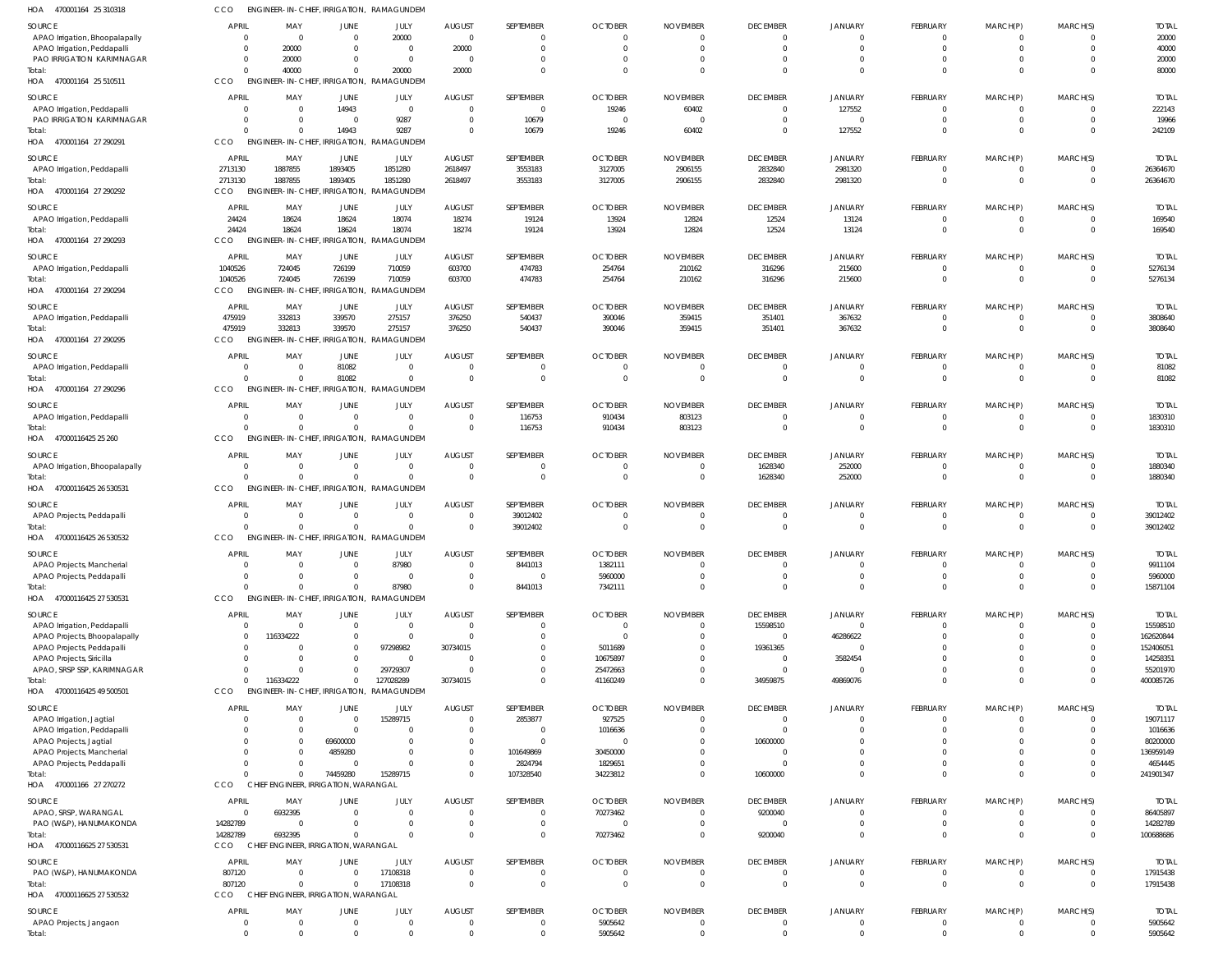| HOA<br>470001164 25 310318                             | CCO                | ENGINEER-IN-CHIEF, IRRIGATION, RAMAGUNDEM                         |                                  |                          |                                  |                         |                                  |                                  |                      |                          |                         |                  |                      |                         |
|--------------------------------------------------------|--------------------|-------------------------------------------------------------------|----------------------------------|--------------------------|----------------------------------|-------------------------|----------------------------------|----------------------------------|----------------------|--------------------------|-------------------------|------------------|----------------------|-------------------------|
| SOURCE                                                 | APRIL              | MAY                                                               | <b>JUNE</b>                      | JULY                     | <b>AUGUST</b>                    | SEPTEMBER               | <b>OCTOBER</b>                   | <b>NOVEMBER</b>                  | <b>DECEMBER</b>      | <b>JANUARY</b>           | FEBRUARY                | MARCH(P)         | MARCH(S)             | <b>TOTAL</b>            |
| APAO Irrigation, Bhoopalapally                         |                    | $\overline{\mathbf{0}}$<br>$\Omega$                               | $\mathbf 0$                      | 20000                    | $\overline{\mathbf{0}}$          | $\Omega$                | $\overline{0}$                   | $\overline{0}$                   | $\Omega$             | $\Omega$                 | $\Omega$                | $\Omega$         |                      | 20000                   |
| APAO Irrigation, Peddapalli                            |                    | 20000                                                             | $\overline{0}$                   | $\overline{0}$           | 20000                            | $\Omega$                | $\overline{0}$                   | $\overline{0}$                   | $\Omega$             | $\Omega$                 | $\Omega$                | $\mathbf 0$      | $\Omega$             | 40000                   |
| PAO IRRIGATION KARIMNAGAR                              |                    | 20000<br>$\Omega$                                                 | $\mathbf 0$                      | $\overline{0}$           | $\overline{\mathbf{0}}$          | $\Omega$                | $\overline{\mathbf{0}}$          | $\overline{0}$                   | $\Omega$             | $\Omega$                 |                         |                  |                      | 20000                   |
| Total:<br>HOA 470001164 25 510511                      | CCO                | 40000<br>$\Omega$<br>ENGINEER-IN-CHIEF, IRRIGATION, RAMAGUNDEM    | $\Omega$                         | 20000                    | 20000                            | $\Omega$                | $\Omega$                         | $\Omega$                         | $\Omega$             | $\Omega$                 | $\Omega$                | $\Omega$         | $\Omega$             | 80000                   |
| SOURCE                                                 | APRIL              | MAY                                                               | <b>JUNE</b>                      | JULY                     | <b>AUGUST</b>                    | SEPTEMBER               | <b>OCTOBER</b>                   | <b>NOVEMBER</b>                  | <b>DECEMBER</b>      | <b>JANUARY</b>           | <b>FEBRUARY</b>         | MARCH(P)         | MARCH(S)             | <b>TOTAL</b>            |
| APAO Irrigation, Peddapalli                            |                    | $\Omega$<br>$\overline{0}$                                        | 14943                            | $\overline{0}$           | $\overline{0}$                   | $\overline{\mathbf{0}}$ | 19246                            | 60402                            | $\Omega$             | 127552                   | $\mathbf 0$             | 0                | $\Omega$             | 222143                  |
| PAO IRRIGATION KARIMNAGAR                              |                    | $\Omega$<br>$\overline{0}$                                        | $\overline{0}$                   | 9287                     | $\overline{0}$                   | 10679                   | $\overline{\mathbf{0}}$          | $\overline{\mathbf{0}}$          | $\Omega$             | $\Omega$                 | 0                       | $\mathbf 0$      | $\Omega$             | 19966                   |
| Total:                                                 |                    | $\Omega$<br>$\Omega$                                              | 14943                            | 9287                     | $\overline{0}$                   | 10679                   | 19246                            | 60402                            | $\Omega$             | 127552                   | $\Omega$                | $\Omega$         | $\Omega$             | 242109                  |
| HOA 470001164 27 290291                                | CCO                | ENGINEER-IN-CHIEF, IRRIGATION, RAMAGUNDEM                         |                                  |                          |                                  |                         |                                  |                                  |                      |                          |                         |                  |                      |                         |
| SOURCE                                                 | APRIL              | MAY                                                               | JUNE                             | JULY                     | <b>AUGUST</b>                    | SEPTEMBER               | <b>OCTOBER</b>                   | <b>NOVEMBER</b>                  | <b>DECEMBER</b>      | <b>JANUARY</b>           | <b>FEBRUARY</b>         | MARCH(P)         | MARCH(S)             | <b>TOTAI</b>            |
| APAO Irrigation, Peddapalli                            | 2713130            | 1887855                                                           | 1893405                          | 1851280                  | 2618497                          | 3553183                 | 3127005                          | 2906155                          | 2832840              | 2981320                  | 0                       | $\mathbf{0}$     |                      | 26364670                |
| Total:                                                 | 2713130            | 1887855                                                           | 1893405                          | 1851280                  | 2618497                          | 3553183                 | 3127005                          | 2906155                          | 2832840              | 2981320                  | $\mathbf 0$             | $\mathbf 0$      | $\Omega$             | 26364670                |
| HOA 470001164 27 290292                                | CCO                | ENGINEER-IN-CHIEF, IRRIGATION,                                    |                                  | RAMAGUNDEM               |                                  |                         |                                  |                                  |                      |                          |                         |                  |                      |                         |
| SOURCE                                                 | <b>APRIL</b>       | MAY                                                               | JUNE                             | JULY                     | <b>AUGUST</b>                    | SEPTEMBER               | <b>OCTOBER</b>                   | <b>NOVEMBER</b>                  | <b>DECEMBER</b>      | JANUARY                  | <b>FEBRUARY</b>         | MARCH(P)         | MARCH(S)             | <b>TOTAL</b>            |
| APAO Irrigation, Peddapalli                            | 24424              | 18624                                                             | 18624                            | 18074                    | 18274                            | 19124                   | 13924                            | 12824                            | 12524                | 13124                    | $\mathbf 0$             | 0                | $\Omega$             | 169540                  |
| Total:<br>HOA 470001164 27 290293                      | 24424<br>CCO       | 18624<br>ENGINEER-IN-CHIEF, IRRIGATION, RAMAGUNDEM                | 18624                            | 18074                    | 18274                            | 19124                   | 13924                            | 12824                            | 12524                | 13124                    | $\mathbf 0$             | $\overline{0}$   | $\Omega$             | 169540                  |
|                                                        |                    |                                                                   |                                  |                          |                                  |                         |                                  |                                  |                      |                          |                         |                  |                      |                         |
| SOURCE                                                 | APRIL              | MAY                                                               | JUNE                             | JULY                     | <b>AUGUST</b>                    | SEPTEMBER               | <b>OCTOBER</b>                   | <b>NOVEMBER</b>                  | <b>DECEMBER</b>      | <b>JANUARY</b>           | <b>FEBRUARY</b>         | MARCH(P)         | MARCH(S)             | <b>TOTAL</b>            |
| APAO Irrigation, Peddapalli<br>Total:                  | 1040526<br>1040526 | 724045<br>724045                                                  | 726199<br>726199                 | 710059<br>710059         | 603700<br>603700                 | 474783<br>474783        | 254764<br>254764                 | 210162<br>210162                 | 316296<br>316296     | 215600<br>215600         | $\Omega$<br>$\mathbf 0$ | $\overline{0}$   | $\Omega$             | 5276134<br>5276134      |
| HOA 470001164 27 290294                                | CCO                | <b>ENGINEER-IN-CHIEF,</b>                                         | IRRIGATION,                      | RAMAGUNDEM               |                                  |                         |                                  |                                  |                      |                          |                         |                  |                      |                         |
|                                                        | APRIL              | MAY                                                               |                                  |                          | <b>AUGUST</b>                    | SEPTEMBER               | <b>OCTOBER</b>                   |                                  | <b>DECEMBER</b>      |                          |                         |                  |                      |                         |
| SOURCE<br>APAO Irrigation, Peddapalli                  | 475919             | 332813                                                            | JUNE<br>339570                   | JULY<br>275157           | 376250                           | 540437                  | 390046                           | <b>NOVEMBER</b><br>359415        | 351401               | <b>JANUARY</b><br>367632 | <b>FEBRUARY</b><br>0    | MARCH(P)<br>0    | MARCH(S)             | <b>TOTAL</b><br>3808640 |
| Total:                                                 | 475919             | 332813                                                            | 339570                           | 275157                   | 376250                           | 540437                  | 390046                           | 359415                           | 351401               | 367632                   | $\mathbf 0$             | $\mathbf 0$      | $\Omega$             | 3808640                 |
| HOA 470001164 27 290295                                | CCO                | ENGINEER-IN-CHIEF, IRRIGATION, RAMAGUNDEM                         |                                  |                          |                                  |                         |                                  |                                  |                      |                          |                         |                  |                      |                         |
| SOURCE                                                 | <b>APRIL</b>       | MAY                                                               | JUNE                             | JULY                     | <b>AUGUST</b>                    | SEPTEMBER               | <b>OCTOBER</b>                   | <b>NOVEMBER</b>                  | <b>DECEMBER</b>      | <b>JANUARY</b>           | <b>FEBRUARY</b>         | MARCH(P)         | MARCH(S)             | <b>TOTAL</b>            |
| APAO Irrigation, Peddapalli                            |                    | $\Omega$<br>$\overline{0}$                                        | 81082                            | $\Omega$                 | $\overline{0}$                   | $\Omega$                | $\overline{0}$                   | $\overline{\mathbf{0}}$          | $\Omega$             | $\Omega$                 | $\mathbf 0$             | $\Omega$         |                      | 81082                   |
| Total:                                                 |                    | $\Omega$<br>$\Omega$                                              | 81082                            | $\Omega$                 | $\overline{0}$                   | $\Omega$                | $\overline{0}$                   | $\overline{0}$                   | $\Omega$             | $\Omega$                 | $\Omega$                | $\overline{0}$   | $\Omega$             | 81082                   |
| HOA 470001164 27 290296                                | CCO                | ENGINEER-IN-CHIEF, IRRIGATION,                                    |                                  | RAMAGUNDEM               |                                  |                         |                                  |                                  |                      |                          |                         |                  |                      |                         |
| SOURCE                                                 | APRIL              | MAY                                                               | JUNE                             | JULY                     | <b>AUGUST</b>                    | SEPTEMBER               | <b>OCTOBER</b>                   | <b>NOVEMBER</b>                  | <b>DECEMBER</b>      | <b>JANUARY</b>           | FEBRUARY                | MARCH(P)         | MARCH(S)             | <b>TOTAL</b>            |
| APAO Irrigation, Peddapalli                            |                    | $\Omega$<br>$\overline{0}$                                        | $\overline{0}$                   | $\Omega$                 | $\overline{0}$                   | 116753                  | 910434                           | 803123                           | $\Omega$             | $\Omega$                 | 0                       | $^{\circ}$       | $\Omega$             | 1830310                 |
| Total:                                                 |                    | $\cap$<br>$\Omega$                                                | $\overline{0}$                   |                          | $\overline{\mathbf{0}}$          | 116753                  | 910434                           | 803123                           | $\Omega$             | $\Omega$                 | $\mathbf 0$             | $\mathbf 0$      | $\Omega$             | 1830310                 |
| HOA 47000116425 25 260                                 | CCO                | ENGINEER-IN-CHIEF, IRRIGATION, RAMAGUNDEM                         |                                  |                          |                                  |                         |                                  |                                  |                      |                          |                         |                  |                      |                         |
| SOURCE                                                 | <b>APRIL</b>       | MAY                                                               | JUNE                             | JULY                     | <b>AUGUST</b>                    | SEPTEMBER               | <b>OCTOBER</b>                   | <b>NOVEMBER</b>                  | <b>DECEMBER</b>      | JANUARY                  | <b>FEBRUARY</b>         | MARCH(P)         | MARCH(S)             | <b>TOTAL</b>            |
| APAO Irrigation, Bhoopalapally                         |                    | $\overline{0}$<br>$\Omega$                                        | $\overline{0}$                   | $\mathbf{0}$             | $\overline{0}$                   | 0                       | $\overline{0}$                   | - 0                              | 1628340              | 252000                   | 0                       |                  |                      | 1880340                 |
| Total:<br>HOA 47000116425 26 530531                    | CCO                | $\Omega$<br>$\Omega$<br>ENGINEER-IN-CHIEF, IRRIGATION, RAMAGUNDEM | $\Omega$                         | $\Omega$                 | $\overline{0}$                   | $\mathbf 0$             | $\overline{0}$                   | $\overline{\mathbf{0}}$          | 1628340              | 252000                   | $\Omega$                | $\overline{0}$   | $\Omega$             | 1880340                 |
|                                                        |                    |                                                                   |                                  |                          |                                  |                         |                                  |                                  |                      |                          |                         |                  |                      |                         |
| SOURCE                                                 | <b>APRIL</b>       | MAY                                                               | JUNE                             | JULY                     | <b>AUGUST</b>                    | SEPTEMBER               | <b>OCTOBER</b>                   | <b>NOVEMBER</b>                  | <b>DECEMBER</b>      | <b>JANUARY</b>           | FEBRUARY                | MARCH(P)         | MARCH(S)             | <b>TOTAL</b>            |
| APAO Projects, Peddapalli<br>Total:                    |                    | $\overline{0}$<br>$\Omega$<br>$\Omega$<br>$\Omega$                | $\overline{0}$<br>$\overline{0}$ | $\Omega$<br>$\Omega$     | $\overline{0}$<br>$\overline{0}$ | 39012402<br>39012402    | $\overline{0}$<br>$\overline{0}$ | $\overline{0}$<br>$\overline{0}$ | $\Omega$<br>$\Omega$ | $\Omega$                 | 0<br>$\mathbf 0$        | $\overline{0}$   | $\Omega$             | 39012402<br>39012402    |
| HOA 47000116425 26 530532                              | CCO                | ENGINEER-IN-CHIEF, IRRIGATION, RAMAGUNDEM                         |                                  |                          |                                  |                         |                                  |                                  |                      |                          |                         |                  |                      |                         |
| SOURCE                                                 | <b>APRIL</b>       | MAY                                                               | JUNE                             | JULY                     | <b>AUGUST</b>                    | SEPTEMBER               | <b>OCTOBER</b>                   | <b>NOVEMBER</b>                  | <b>DECEMBER</b>      | <b>JANUARY</b>           | FEBRUARY                | MARCH(P)         | MARCH(S)             | <b>TOTAL</b>            |
| APAO Projects, Mancherial                              |                    | $\Omega$                                                          | $^{\circ}$                       | 87980                    | $\overline{0}$                   | 8441013                 | 1382111                          | $\Omega$                         |                      |                          |                         |                  |                      | 9911104                 |
| APAO Projects, Peddapalli                              |                    | $\Omega$<br>$\Omega$                                              | $\overline{0}$                   | $\Omega$                 | $\overline{0}$                   | $\Omega$                | 5960000                          | $\overline{0}$                   | $\Omega$             | $\Omega$                 | $\Omega$                | $\Omega$         |                      | 5960000                 |
| Total:                                                 |                    | $\Omega$<br>$\Omega$                                              | $\Omega$                         | 87980                    | $\overline{0}$                   | 8441013                 | 7342111                          | $\overline{0}$                   | $\Omega$             | $\Omega$                 | $\Omega$                | $\Omega$         |                      | 15871104                |
| HOA 47000116425 27 530531                              | CCO                | ENGINEER-IN-CHIEF, IRRIGATION, RAMAGUNDEM                         |                                  |                          |                                  |                         |                                  |                                  |                      |                          |                         |                  |                      |                         |
| SOURCE                                                 | <b>APRIL</b>       | MAY                                                               | JUNE                             | JULY                     | <b>AUGUST</b>                    | SEPTEMBER               | <b>OCTOBER</b>                   | <b>NOVEMBER</b>                  | <b>DECEMBER</b>      | <b>JANUARY</b>           | FEBRUARY                | MARCH(P)         | MARCH(S)             | <b>TOTAL</b>            |
| APAO Irrigation, Peddapalli                            |                    | $\Omega$<br>$\overline{\mathbf{0}}$                               | $\overline{0}$                   | $\overline{0}$           | $\overline{0}$                   | $\Omega$                | $\overline{\mathbf{0}}$          | $\overline{0}$                   | 15598510             | $\Omega$                 |                         |                  |                      | 15598510                |
| APAO Projects, Bhoopalapally                           |                    | 116334222<br>- 0                                                  | $\overline{0}$                   | $\Omega$                 | $\overline{0}$                   | 0                       | $\overline{\phantom{0}}$         | $\overline{0}$                   | $\Omega$             | 46286622                 |                         |                  | $\Omega$             | 162620844               |
| APAO Projects, Peddapalli                              |                    | $\cap$<br>0<br>$\Omega$                                           | $^{\circ}$<br>$\Omega$           | 97298982<br>$\mathsf{C}$ | 30734015<br>$\overline{0}$       |                         | 5011689<br>10675897              | $\circ$<br>$\circ$               | 19361365<br>$\Omega$ | 3582454                  |                         |                  |                      | 152406051<br>14258351   |
| APAO Projects, Siricilla<br>APAO, SRSP SSP, KARIMNAGAR |                    | $\Omega$<br>$\cap$                                                | $\mathbf 0$                      | 29729307                 | $\overline{0}$                   | 0                       | 25472663                         | $\overline{0}$                   | $\Omega$             | $\Omega$                 |                         |                  |                      | 55201970                |
| Total:                                                 |                    | 116334222<br>$\Omega$                                             | $\mathbf 0$                      | 127028289                | 30734015                         | 0                       | 41160249                         | $\overline{0}$                   | 34959875             | 49869076                 | 0                       | 0                | $\Omega$             | 400085726               |
| HOA 47000116425 49 500501                              | CCO                | <b>ENGINEER-IN-CHIEF, IRRIGATION,</b>                             |                                  | RAMAGUNDEM               |                                  |                         |                                  |                                  |                      |                          |                         |                  |                      |                         |
| SOURCE                                                 | <b>APRIL</b>       | MAY                                                               | <b>JUNE</b>                      | JULY                     | <b>AUGUST</b>                    | SEPTEMBER               | <b>OCTOBER</b>                   | <b>NOVEMBER</b>                  | <b>DECEMBER</b>      | JANUARY                  | <b>FEBRUARY</b>         | MARCH(P)         | MARCH(S)             | <b>TOTAI</b>            |
| APAO Irrigation, Jagtial                               |                    | $\overline{0}$                                                    | $\overline{0}$                   | 15289715                 | $\overline{0}$                   | 2853877                 | 927525                           | $\circ$                          | $\Omega$             |                          | $\Omega$                |                  |                      | 19071117                |
| APAO Irrigation, Peddapalli                            |                    | $\Omega$                                                          | $\Omega$                         | - 0                      | $\overline{0}$                   | $\mathbf{0}$            | 1016636                          | $\circ$                          | $\Omega$             |                          |                         |                  |                      | 1016636                 |
| APAO Projects, Jagtial                                 |                    | $\overline{0}$                                                    | 69600000                         |                          | $\overline{0}$                   | $\Omega$                | - 0                              | $\Omega$                         | 10600000             |                          |                         |                  |                      | 80200000                |
| APAO Projects, Mancherial<br>APAO Projects, Peddapalli |                    | $\overline{0}$<br>$\Omega$<br>$\Omega$                            | 4859280<br>$\overline{0}$        |                          | $\overline{0}$<br>$\overline{0}$ | 101649869<br>2824794    | 30450000<br>1829651              | $\Omega$<br>$\circ$              | $\cap$               |                          |                         |                  |                      | 136959149<br>4654445    |
| Total:                                                 |                    | $\Omega$<br>$\Omega$                                              | 74459280                         | 15289715                 | $\Omega$                         | 107328540               | 34223812                         | $\overline{0}$                   | 10600000             | $\Omega$                 | $\Omega$                | $\Omega$         |                      | 241901347               |
| HOA 470001166 27 270272                                | CCO                | CHIEF ENGINEER, IRRIGATION, WARANGAL                              |                                  |                          |                                  |                         |                                  |                                  |                      |                          |                         |                  |                      |                         |
| SOURCE                                                 | APRIL              | MAY                                                               | JUNE                             | JULY                     | <b>AUGUST</b>                    | SEPTEMBER               | <b>OCTOBER</b>                   | <b>NOVEMBER</b>                  | <b>DECEMBER</b>      | <b>JANUARY</b>           | FEBRUARY                | MARCH(P)         | MARCH(S)             | <b>TOTAL</b>            |
| APAO, SRSP, WARANGAL                                   |                    | 6932395<br>$\Omega$                                               | $\overline{0}$                   |                          | $\overline{0}$                   | $\Omega$                | 70273462                         | $\overline{0}$                   | 9200040              | $\Omega$                 | 0                       | 0                |                      | 86405897                |
| PAO (W&P), HANUMAKONDA                                 | 14282789           | $\Omega$                                                          | $\overline{0}$                   | $\Omega$                 | $\overline{0}$                   | 0                       | - 0                              | $\overline{0}$                   | $\Omega$             | $\Omega$                 | 0                       | 0                |                      | 14282789                |
| Total:                                                 | 14282789           | 6932395                                                           | $\Omega$                         |                          | $\overline{0}$                   | 0                       | 70273462                         | $\overline{0}$                   | 9200040              | $\Omega$                 | 0                       | $\Omega$         | $\Omega$             | 100688686               |
| HOA 47000116625 27 530531                              | <b>CCO</b>         | CHIEF ENGINEER, IRRIGATION, WARANGAL                              |                                  |                          |                                  |                         |                                  |                                  |                      |                          |                         |                  |                      |                         |
| SOURCE                                                 | APRIL              | MAY                                                               | <b>JUNE</b>                      | JULY                     | <b>AUGUST</b>                    | SEPTEMBER               | <b>OCTOBER</b>                   | <b>NOVEMBER</b>                  | <b>DECEMBER</b>      | <b>JANUARY</b>           | <b>FEBRUARY</b>         | MARCH(P)         | MARCH(S)             | <b>TOTAL</b>            |
| PAO (W&P), HANUMAKONDA                                 | 807120             | $\overline{0}$                                                    | $\mathbf 0$                      | 17108318                 | $\overline{0}$                   | $\mathbf{0}$            | $\overline{0}$                   | $\overline{0}$                   | $\Omega$             | $\Omega$                 | $\mathbf{0}$            | $\Omega$         |                      | 17915438                |
| Total:                                                 | 807120             | $\overline{0}$                                                    | $\overline{0}$                   | 17108318                 | $\overline{0}$                   | $\mathbf 0$             | $\overline{0}$                   | $\overline{0}$                   | $\Omega$             | $\Omega$                 | $\mathbf 0$             | $\mathbf 0$      | $\Omega$             | 17915438                |
| HOA 47000116625 27 530532                              | CCO                | CHIEF ENGINEER, IRRIGATION, WARANGAL                              |                                  |                          |                                  |                         |                                  |                                  |                      |                          |                         |                  |                      |                         |
| SOURCE                                                 | APRIL              | MAY                                                               | JUNE                             | JULY                     | <b>AUGUST</b>                    | SEPTEMBER               | <b>OCTOBER</b>                   | <b>NOVEMBER</b>                  | <b>DECEMBER</b>      | <b>JANUARY</b>           | FEBRUARY                | MARCH(P)         | MARCH(S)             | <b>TOTAL</b>            |
| APAO Projects, Jangaon                                 |                    | $\overline{0}$<br>$\Omega$<br>$\Omega$<br>$\Omega$                | $\overline{0}$<br>$\Omega$       | $\Omega$<br>$\Omega$     | $\overline{0}$<br>$\overline{0}$ | 0<br>$\Omega$           | 5905642                          | $\overline{0}$<br>$\overline{0}$ | $\Omega$<br>$\Omega$ | $\Omega$<br>$\Omega$     | 0<br>$\mathbf 0$        | 0<br>$\mathbf 0$ | $\Omega$<br>$\Omega$ | 5905642                 |
| Total:                                                 |                    |                                                                   |                                  |                          |                                  |                         | 5905642                          |                                  |                      |                          |                         |                  |                      | 5905642                 |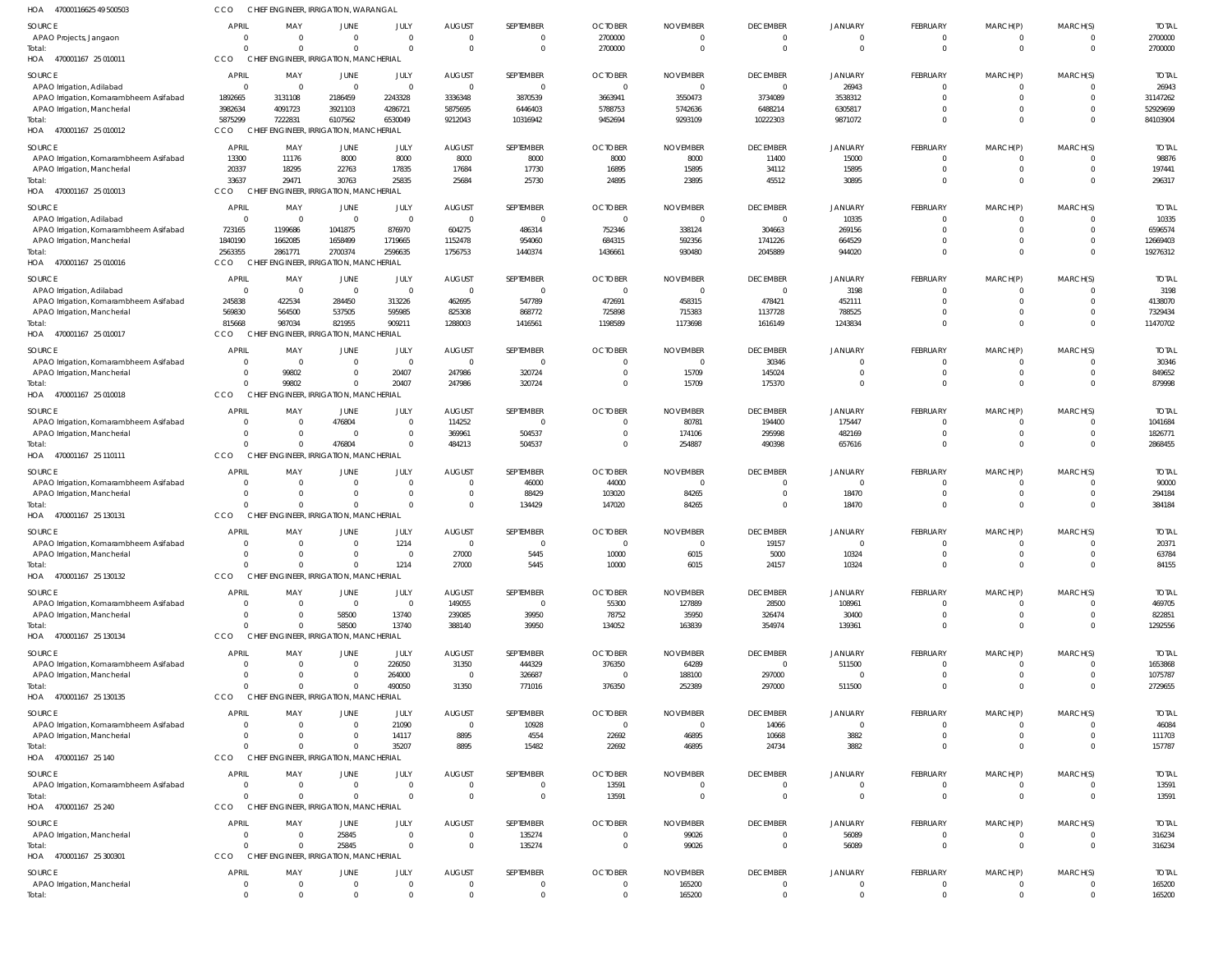| HOA 47000116625 49 500503                                           | CCO                              |                      | CHIEF ENGINEER, IRRIGATION, WARANGAL               |                        |                           |                               |                            |                          |                                |                         |                            |                              |                            |                        |
|---------------------------------------------------------------------|----------------------------------|----------------------|----------------------------------------------------|------------------------|---------------------------|-------------------------------|----------------------------|--------------------------|--------------------------------|-------------------------|----------------------------|------------------------------|----------------------------|------------------------|
| SOURCE                                                              | APRIL                            | MAY                  | JUNE                                               | JULY                   | <b>AUGUST</b>             | SEPTEMBER                     | <b>OCTOBER</b>             | <b>NOVEMBER</b>          | <b>DECEMBER</b>                | <b>JANUARY</b>          | FEBRUARY                   | MARCH(P)                     | MARCH(S)                   | <b>TOTAL</b>           |
| APAO Projects, Jangaon                                              | $\Omega$                         | $\Omega$             | $\Omega$                                           | $\Omega$               | $\Omega$                  | $\Omega$                      | 2700000                    | $\Omega$                 | $\Omega$                       |                         | 0                          | $\mathbf{0}$                 | $\mathbf 0$                | 2700000                |
| Total:                                                              | $\mathsf{C}$<br>CCO              |                      | $\Omega$<br>CHIEF ENGINEER, IRRIGATION, MANCHERIAL | $\Omega$               | $\Omega$                  | $\mathbf{0}$                  | 2700000                    | $\Omega$                 | $\mathbf 0$                    | $\Omega$                | $\mathbf 0$                | $\mathbf 0$                  | $\overline{0}$             | 2700000                |
| HOA 470001167 25 010011                                             |                                  |                      |                                                    |                        |                           |                               |                            |                          |                                |                         |                            |                              |                            |                        |
| SOURCE                                                              | <b>APRIL</b>                     | MAY                  | JUNE                                               | JULY                   | <b>AUGUST</b>             | SEPTEMBER                     | <b>OCTOBER</b>             | <b>NOVEMBER</b>          | <b>DECEMBER</b>                | JANUARY                 | FEBRUARY                   | MARCH(P)                     | MARCH(S)                   | <b>TOTAL</b>           |
| APAO Irrigation, Adilabad<br>APAO Irrigation, Komarambheem Asifabad | $\overline{0}$<br>1892665        | - 0<br>3131108       | - 0<br>2186459                                     | $\mathbf 0$<br>2243328 | $\Omega$<br>3336348       | $\overline{0}$<br>3870539     | - 0<br>3663941             | $\Omega$<br>3550473      | $\mathbf{0}$<br>3734089        | 26943<br>3538312        | $\mathbf 0$<br>$\mathbf 0$ | $\mathbf{0}$<br>$\mathbf 0$  | $\Omega$<br>$\overline{0}$ | 26943<br>31147262      |
| APAO Irrigation, Mancherial                                         | 3982634                          | 4091723              | 3921103                                            | 4286721                | 5875695                   | 6446403                       | 5788753                    | 5742636                  | 6488214                        | 6305817                 | $\mathbf 0$                | $\mathbf 0$                  | $\Omega$                   | 52929699               |
| Total:                                                              | 5875299                          | 7222831              | 6107562                                            | 6530049                | 9212043                   | 10316942                      | 9452694                    | 9293109                  | 10222303                       | 9871072                 | $\mathbf 0$                | $\mathbf 0$                  | $\Omega$                   | 84103904               |
| HOA 470001167 25 010012                                             | CCO                              |                      | CHIEF ENGINEER, IRRIGATION, MANCHERIAL             |                        |                           |                               |                            |                          |                                |                         |                            |                              |                            |                        |
| SOURCE                                                              | <b>APRIL</b>                     | MAY                  | JUNE                                               | JULY                   | <b>AUGUST</b>             | SEPTEMBER                     | <b>OCTOBER</b>             | <b>NOVEMBER</b>          | <b>DECEMBER</b>                | JANUARY                 | FEBRUARY                   | MARCH(P)                     | MARCH(S)                   | <b>TOTAL</b>           |
| APAO Irrigation, Komarambheem Asifabad                              | 13300                            | 11176                | 8000                                               | 8000                   | 8000                      | 8000                          | 8000                       | 8000                     | 11400                          | 15000                   | $\mathbf 0$                | $\mathbf{0}$                 | $\Omega$                   | 98876                  |
| APAO Irrigation, Mancherial                                         | 20337                            | 18295                | 22763                                              | 17835                  | 17684                     | 17730                         | 16895                      | 15895                    | 34112                          | 15895                   | $\mathbf 0$                | $\mathbf{0}$                 | $\Omega$                   | 197441                 |
| Total:                                                              | 33637                            | 29471                | 30763                                              | 25835                  | 25684                     | 25730                         | 24895                      | 23895                    | 45512                          | 30895                   | $\mathbf 0$                | $\mathbf 0$                  | $\overline{0}$             | 296317                 |
| HOA 470001167 25 010013                                             | CCO                              |                      | CHIEF ENGINEER, IRRIGATION, MANCHERIAL             |                        |                           |                               |                            |                          |                                |                         |                            |                              |                            |                        |
| SOURCE                                                              | <b>APRIL</b>                     | MAY                  | JUNE                                               | JULY                   | <b>AUGUST</b>             | SEPTEMBER                     | <b>OCTOBER</b>             | <b>NOVEMBER</b>          | <b>DECEMBER</b>                | <b>JANUARY</b>          | FEBRUARY                   | MARCH(P)                     | MARCH(S)                   | <b>TOTAL</b>           |
| APAO Irrigation, Adilabad                                           | $\overline{0}$                   | - 0                  | - 0                                                | $\mathbf 0$            | $\Omega$                  | $\overline{0}$                | - 0                        | $\Omega$                 | $\mathbf{0}$                   | 10335                   | $\mathbf 0$                | $\mathbf{0}$                 | $\Omega$                   | 10335                  |
| APAO Irrigation, Komarambheem Asifabad                              | 723165                           | 1199686              | 1041875                                            | 876970                 | 604275                    | 486314                        | 752346                     | 338124                   | 304663                         | 269156                  | $\mathbf 0$                | $\overline{0}$               | $\Omega$<br>$\Omega$       | 6596574                |
| APAO Irrigation, Mancherial<br>Total:                               | 1840190<br>2563355               | 1662085<br>2861771   | 1658499<br>2700374                                 | 1719665<br>2596635     | 1152478<br>1756753        | 954060<br>1440374             | 684315<br>1436661          | 592356<br>930480         | 1741226<br>2045889             | 664529<br>944020        | $\mathbf 0$<br>$\mathbf 0$ | $\mathbf 0$<br>$\mathbf 0$   | $\Omega$                   | 12669403<br>19276312   |
| HOA 470001167 25 010016                                             | CCO                              |                      | CHIEF ENGINEER, IRRIGATION, MANCHERIAL             |                        |                           |                               |                            |                          |                                |                         |                            |                              |                            |                        |
| SOURCE                                                              | <b>APRIL</b>                     | MAY                  | JUNE                                               | JULY                   | <b>AUGUST</b>             | SEPTEMBER                     | <b>OCTOBER</b>             | <b>NOVEMBER</b>          | <b>DECEMBER</b>                | JANUARY                 | FEBRUARY                   | MARCH(P)                     | MARCH(S)                   | <b>TOTAL</b>           |
| APAO Irrigation, Adilabad                                           | $\overline{0}$                   | $\Omega$             | $\Omega$                                           | $\mathbf 0$            | $\Omega$                  | $\overline{0}$                | $\Omega$                   | $\Omega$                 | $\mathbf 0$                    | 3198                    | $\mathbf 0$                | $\Omega$                     | $\Omega$                   | 3198                   |
| APAO Irrigation, Komarambheem Asifabad                              | 245838                           | 422534               | 284450                                             | 313226                 | 462695                    | 547789                        | 472691                     | 458315                   | 478421                         | 452111                  | $\Omega$                   | $\Omega$                     | $\Omega$                   | 4138070                |
| APAO Irrigation, Mancherial                                         | 569830                           | 564500               | 537505                                             | 595985                 | 825308                    | 868772                        | 725898                     | 715383                   | 1137728                        | 788525                  | $\mathbf 0$                | $\mathbf{0}$                 | $\Omega$                   | 7329434                |
| Total:                                                              | 815668                           | 987034               | 821955                                             | 909211                 | 1288003                   | 1416561                       | 1198589                    | 1173698                  | 1616149                        | 1243834                 | $\Omega$                   | $\Omega$                     | $\Omega$                   | 11470702               |
| HOA 470001167 25 010017                                             | CCO.                             |                      | CHIEF ENGINEER, IRRIGATION, MANCHERIAL             |                        |                           |                               |                            |                          |                                |                         |                            |                              |                            |                        |
| SOURCE                                                              | <b>APRIL</b>                     | MAY                  | JUNE                                               | JULY                   | <b>AUGUST</b>             | SEPTEMBER                     | <b>OCTOBER</b>             | <b>NOVEMBER</b>          | <b>DECEMBER</b>                | <b>JANUARY</b>          | FEBRUARY                   | MARCH(P)                     | MARCH(S)                   | <b>TOTAL</b>           |
| APAO Irrigation, Komarambheem Asifabad                              | $\overline{0}$                   | $\Omega$             | $\Omega$                                           | $\mathbf 0$            | $\Omega$                  | $\overline{0}$                | $\Omega$                   | $\Omega$                 | 30346                          | $\Omega$                | $\mathbf 0$                | $\mathbf 0$                  | $\Omega$                   | 30346                  |
| APAO Irrigation, Mancherial                                         | $\overline{0}$                   | 99802                | $\mathbf{0}$                                       | 20407                  | 247986                    | 320724                        | $\Omega$                   | 15709                    | 145024                         | $\Omega$                | $\mathbf 0$                | $\mathbf 0$                  | $\overline{0}$             | 849652                 |
| Total:<br>HOA 470001167 25 010018                                   | $\sqrt{2}$<br>CCO                | 99802                | $\Omega$<br>CHIEF ENGINEER, IRRIGATION, MANCHERIAL | 20407                  | 247986                    | 320724                        | $\Omega$                   | 15709                    | 175370                         | $\Omega$                | $\mathbf 0$                | $\mathbf 0$                  | $\Omega$                   | 879998                 |
|                                                                     |                                  |                      |                                                    |                        |                           |                               |                            |                          |                                |                         |                            |                              |                            |                        |
| SOURCE                                                              | <b>APRIL</b>                     | MAY                  | JUNE                                               | JULY                   | <b>AUGUST</b>             | SEPTEMBER                     | <b>OCTOBER</b>             | <b>NOVEMBER</b>          | <b>DECEMBER</b>                | JANUARY                 | FEBRUARY                   | MARCH(P)                     | MARCH(S)                   | <b>TOTAL</b>           |
| APAO Irrigation, Komarambheem Asifabad                              | $\Omega$<br>$\Omega$             | $\Omega$<br>$\Omega$ | 476804<br>$\Omega$                                 | $\Omega$<br>$\Omega$   | 114252<br>369961          | $\overline{0}$<br>504537      | $\Omega$                   | 80781<br>174106          | 194400<br>295998               | 175447<br>482169        | $\mathbf 0$<br>$\mathbf 0$ | $\Omega$<br>$\mathbf{0}$     | $\Omega$<br>$\Omega$       | 1041684<br>1826771     |
| APAO Irrigation, Mancherial<br>Total:                               | $\sqrt{2}$                       |                      | 476804                                             | $\Omega$               | 484213                    | 504537                        | $\Omega$                   | 254887                   | 490398                         | 657616                  | $\mathbf 0$                | $\mathbf 0$                  | $\overline{0}$             | 2868455                |
| HOA 470001167 25 110111                                             | CCO                              |                      | CHIEF ENGINEER, IRRIGATION, MANCHERIAL             |                        |                           |                               |                            |                          |                                |                         |                            |                              |                            |                        |
| SOURCE                                                              | APRIL                            | MAY                  | JUNE                                               | JULY                   | <b>AUGUST</b>             | SEPTEMBER                     | <b>OCTOBER</b>             | <b>NOVEMBER</b>          | <b>DECEMBER</b>                | <b>JANUARY</b>          | FEBRUARY                   | MARCH(P)                     | MARCH(S)                   | <b>TOTAL</b>           |
| APAO Irrigation, Komarambheem Asifabad                              | $\overline{0}$                   | $\Omega$             | $\Omega$                                           | $\mathbf 0$            | $\Omega$                  | 46000                         | 44000                      | $\Omega$                 | $\Omega$                       | $\Omega$                | $\mathbf 0$                | $\mathbf{0}$                 | - 0                        | 90000                  |
| APAO Irrigation, Mancherial                                         | $\mathsf{C}$                     | $\Omega$             | $\Omega$                                           | $\mathbf 0$            | $\Omega$                  | 88429                         | 103020                     | 84265                    | $\mathbf 0$                    | 18470                   | $\mathbf 0$                | $\overline{0}$               | $\overline{0}$             | 294184                 |
| Total:                                                              | $\Omega$                         |                      | $\Omega$                                           | $\Omega$               | $\Omega$                  | 134429                        | 147020                     | 84265                    | $\mathbf 0$                    | 18470                   | $\mathbf 0$                | $\mathbf{0}$                 | $\overline{0}$             | 384184                 |
| HOA 470001167 25 130131                                             | CCO                              |                      | CHIEF ENGINEER, IRRIGATION, MANCHERIAL             |                        |                           |                               |                            |                          |                                |                         |                            |                              |                            |                        |
| SOURCE                                                              | APRIL                            | MAY                  | JUNE                                               | JULY                   | <b>AUGUST</b>             | SEPTEMBER                     | <b>OCTOBER</b>             | <b>NOVEMBER</b>          | <b>DECEMBER</b>                | <b>JANUARY</b>          | FEBRUARY                   | MARCH(P)                     | MARCH(S)                   | <b>TOTAL</b>           |
| APAO Irrigation, Komarambheem Asifabad                              | $\Omega$                         | $\Omega$             | $\Omega$                                           | 1214                   | $\Omega$                  | $\Omega$                      |                            |                          | 19157                          | $\Omega$                | $\Omega$                   | $\Omega$                     | $\Omega$                   | 20371                  |
| APAO Irrigation, Mancherial                                         | $\cap$                           |                      |                                                    |                        | 27000                     | 5445                          | 10000                      | 6015                     | 5000                           | 10324                   | $\mathbf 0$                | $\mathbf 0$                  | $\overline{0}$             | 63784                  |
| Total:                                                              | $\Omega$                         |                      | $\Omega$                                           | 1214                   | 27000                     | 5445                          | 10000                      | 6015                     | 24157                          | 10324                   | $\overline{0}$             | $\mathbf 0$                  | $\Omega$                   | 84155                  |
| HOA 470001167 25 130132                                             | CCO                              |                      | CHIEF ENGINEER, IRRIGATION, MANCHERIAL             |                        |                           |                               |                            |                          |                                |                         |                            |                              |                            |                        |
| SOURCE                                                              | <b>APRIL</b>                     | MAY                  | JUNE                                               | JULY                   | <b>AUGUST</b>             | SEPTEMBER                     | <b>OCTOBER</b>             | <b>NOVEMBER</b>          | <b>DECEMBER</b>                | <b>JANUARY</b>          | FEBRUARY                   | MARCH(P)                     | MARCH(S)                   | <b>TOTAL</b>           |
| APAO Irrigation, Komarambheem Asifabad                              | $\overline{0}$<br>$\overline{0}$ | $\Omega$<br>$\Omega$ | $\Omega$                                           | $\mathbf 0$<br>13740   | 149055                    | $\mathbf 0$                   | 55300                      | 127889                   | 28500                          | 108961                  | $\overline{0}$             | $^{\circ}$                   | $\Omega$<br>$\overline{0}$ | 469705                 |
| APAO Irrigation, Mancherial<br>Total:                               | $\Omega$                         |                      | 58500<br>58500                                     | 13740                  | 239085<br>388140          | 39950<br>39950                | 78752<br>134052            | 35950<br>163839          | 326474<br>354974               | 30400<br>139361         | $\mathbf 0$<br>$\mathbf 0$ | $\mathbf 0$<br>$\mathbf 0$   | $\Omega$                   | 822851<br>1292556      |
| HOA 470001167 25 130134                                             | CCO                              |                      | CHIEF ENGINEER, IRRIGATION, MANCHERIAL             |                        |                           |                               |                            |                          |                                |                         |                            |                              |                            |                        |
| SOURCE                                                              | <b>APRIL</b>                     | MAY                  | JUNE                                               | JULY                   | <b>AUGUST</b>             | SEPTEMBER                     | <b>OCTOBER</b>             | <b>NOVEMBER</b>          | <b>DECEMBER</b>                | <b>JANUARY</b>          | FEBRUARY                   | MARCH(P)                     | MARCH(S)                   | <b>TOTAL</b>           |
| APAO Irrigation, Komarambheem Asifabad                              | $\Omega$                         |                      | $\Omega$                                           | 226050                 | 31350                     | 444329                        | 376350                     | 64289                    | $\mathbf 0$                    | 511500                  | $\mathbf 0$                | $\Omega$                     | $\Omega$                   | 1653868                |
| APAO Irrigation, Mancherial                                         | $\Omega$                         | $\Omega$             | $\Omega$                                           | 264000                 |                           | 326687                        |                            | 188100                   | 297000                         | $\Omega$                | $\mathbf 0$                | $\mathbf 0$                  | $\overline{0}$             | 1075787                |
| Total:                                                              | $\Omega$                         |                      | $\Omega$                                           | 490050                 | 31350                     | 771016                        | 376350                     | 252389                   | 297000                         | 511500                  | $\Omega$                   | $\Omega$                     | $\overline{0}$             | 2729655                |
| HOA 470001167 25 130135                                             | CCO                              |                      | CHIEF ENGINEER, IRRIGATION, MANCHERIAL             |                        |                           |                               |                            |                          |                                |                         |                            |                              |                            |                        |
| SOURCE                                                              | APRIL                            | MAY                  | JUNE                                               | JULY                   | <b>AUGUST</b>             | SEPTEMBER                     | <b>OCTOBER</b>             | <b>NOVEMBER</b>          | <b>DECEMBER</b>                | JANUARY                 | FEBRUARY                   | MARCH(P)                     | MARCH(S)                   | <b>TOTAL</b>           |
| APAO Irrigation, Komarambheem Asifabad                              | $\Omega$                         | $\Omega$             | $\Omega$                                           | 21090                  | $\Omega$                  | 10928                         | $\overline{0}$             | $\overline{0}$           | 14066                          | $\mathbf{0}$            | $\overline{0}$             | $\mathbf 0$                  | $\Omega$                   | 46084                  |
| APAO Irrigation, Mancherial                                         | $\Omega$                         | $\Omega$             | $\Omega$                                           | 14117                  | 8895                      | 4554                          | 22692                      | 46895                    | 10668                          | 3882                    | $\mathbf 0$                | $\overline{0}$               | $\overline{0}$             | 111703                 |
| Total:<br>HOA 470001167 25 140                                      | $\Omega$<br>CCO                  |                      | $\Omega$<br>CHIEF ENGINEER, IRRIGATION, MANCHERIAL | 35207                  | 8895                      | 15482                         | 22692                      | 46895                    | 24734                          | 3882                    | $\mathbf 0$                | $\mathbf{0}$                 | $\Omega$                   | 157787                 |
|                                                                     |                                  |                      |                                                    |                        |                           |                               |                            |                          |                                |                         |                            |                              |                            |                        |
| SOURCE                                                              | APRIL                            | MAY                  | <b>JUNE</b>                                        | JULY                   | <b>AUGUST</b>             | SEPTEMBER                     | <b>OCTOBER</b>             | <b>NOVEMBER</b>          | <b>DECEMBER</b>                | <b>JANUARY</b>          | FEBRUARY                   | MARCH(P)                     | MARCH(S)                   | <b>TOTAL</b>           |
| APAO Irrigation, Komarambheem Asifabad                              | $\Omega$<br>$\Omega$             | $\Omega$             | $\Omega$<br>$\Omega$                               | $\Omega$<br>$\Omega$   | $\Omega$<br>$\Omega$      | $\overline{0}$<br>$\mathbf 0$ | 13591<br>13591             | $\Omega$<br>$\Omega$     | 0<br>$\Omega$                  | 0<br>$\Omega$           | $^{\circ}$<br>$\mathbf{0}$ | $\mathbf{0}$<br>$\mathbf{0}$ | $\Omega$<br>$\overline{0}$ | 13591<br>13591         |
| Total:<br>HOA 470001167 25 240                                      | CCO                              |                      | CHIEF ENGINEER, IRRIGATION, MANCHERIAL             |                        |                           |                               |                            |                          |                                |                         |                            |                              |                            |                        |
|                                                                     |                                  |                      |                                                    |                        |                           |                               |                            |                          |                                |                         |                            |                              |                            |                        |
| SOURCE<br>APAO Irrigation, Mancherial                               | <b>APRIL</b><br>$\Omega$         | MAY<br>$\Omega$      | JUNE<br>25845                                      | JULY<br>$\mathbf 0$    | <b>AUGUST</b><br>$\Omega$ | SEPTEMBER<br>135274           | <b>OCTOBER</b><br>$\Omega$ | <b>NOVEMBER</b><br>99026 | <b>DECEMBER</b><br>$\mathbf 0$ | <b>JANUARY</b><br>56089 | FEBRUARY<br>$\mathbf 0$    | MARCH(P)<br>$\mathbf 0$      | MARCH(S)<br>$\overline{0}$ | <b>TOTAL</b><br>316234 |
| Total:                                                              | $\Omega$                         | $\Omega$             | 25845                                              | $\Omega$               | $\overline{0}$            | 135274                        | $\overline{0}$             | 99026                    | $\mathbf{0}$                   | 56089                   | $\mathbf 0$                | $\mathbf 0$                  | $\overline{0}$             | 316234                 |
| HOA 470001167 25 300301                                             | CCO                              |                      | CHIEF ENGINEER, IRRIGATION, MANCHERIAL             |                        |                           |                               |                            |                          |                                |                         |                            |                              |                            |                        |
| SOURCE                                                              | <b>APRIL</b>                     | MAY                  | <b>JUNE</b>                                        | JULY                   | <b>AUGUST</b>             | SEPTEMBER                     | <b>OCTOBER</b>             | <b>NOVEMBER</b>          | <b>DECEMBER</b>                | <b>JANUARY</b>          | FEBRUARY                   | MARCH(P)                     | MARCH(S)                   | <b>TOTAL</b>           |
| APAO Irrigation, Mancherial                                         | $\overline{0}$                   | $\Omega$             | 0                                                  | 0                      | $\Omega$                  | $\mathbf 0$                   | $\Omega$                   | 165200                   | $\mathbf 0$                    | $\mathbf{0}$            | $\mathbf 0$                | $\mathbf{0}$                 | $\overline{0}$             | 165200                 |
| Total:                                                              | $\Omega$                         |                      | $\Omega$                                           | $\Omega$               | $\Omega$                  | $\mathbf 0$                   | $\Omega$                   | 165200                   | $\mathbf{0}$                   | $\Omega$                | $\mathbf 0$                | $\Omega$                     | $\overline{0}$             | 165200                 |
|                                                                     |                                  |                      |                                                    |                        |                           |                               |                            |                          |                                |                         |                            |                              |                            |                        |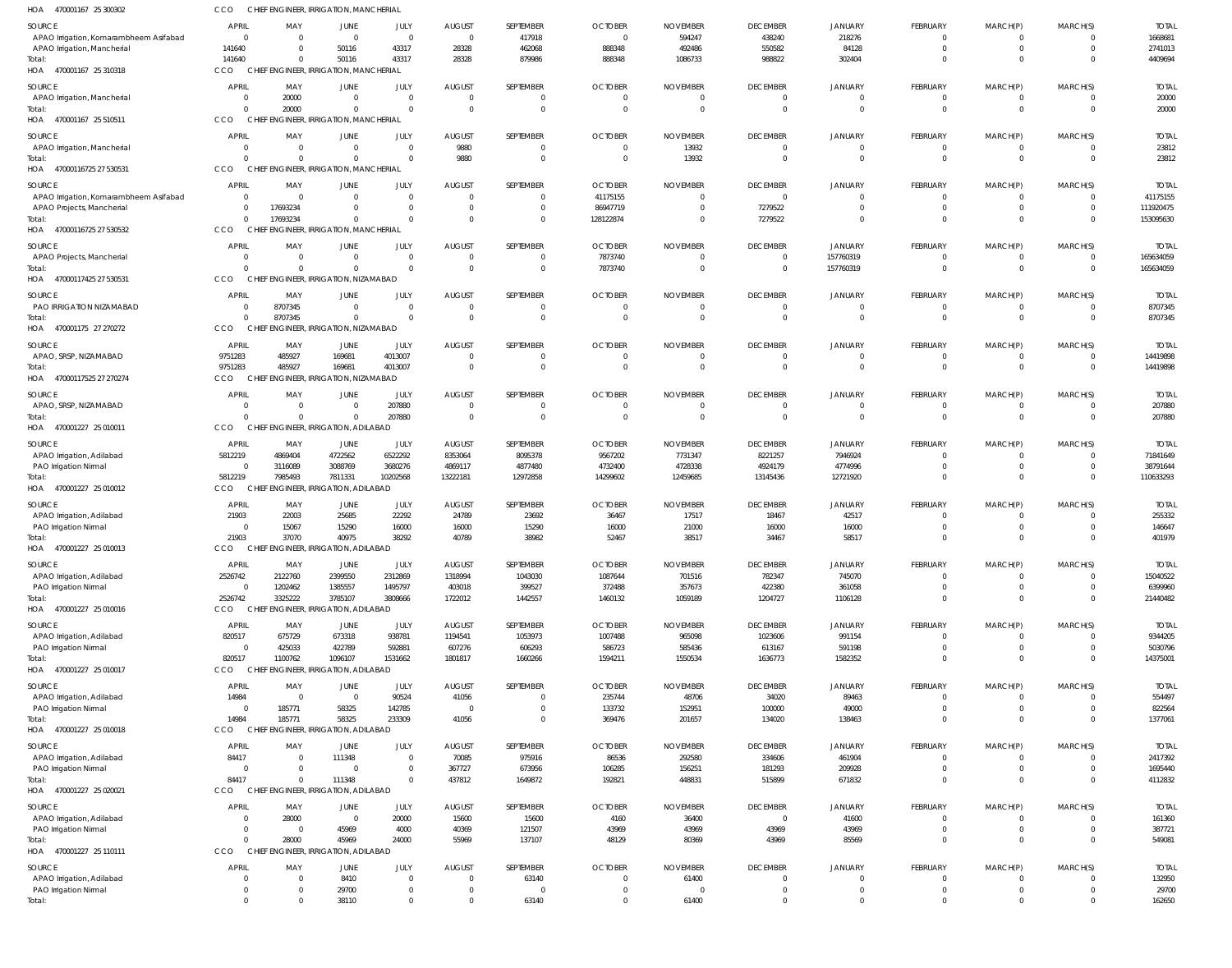| HOA<br>470001167 25 300302                                            | CCO                      | CHIEF ENGINEER, IRRIGATION, MANCHERIAL        |                            |                      |                                  |                                |                                  |                                   |                             |                            |                            |                                  |                         |                          |
|-----------------------------------------------------------------------|--------------------------|-----------------------------------------------|----------------------------|----------------------|----------------------------------|--------------------------------|----------------------------------|-----------------------------------|-----------------------------|----------------------------|----------------------------|----------------------------------|-------------------------|--------------------------|
| SOURCE                                                                | APRIL                    | MAY                                           | <b>JUNE</b>                | JULY                 | <b>AUGUST</b>                    | SEPTEMBER                      | <b>OCTOBER</b>                   | <b>NOVEMBER</b>                   | <b>DECEMBER</b>             | <b>JANUARY</b>             | FEBRUARY                   | MARCH(P)                         | MARCH(S)                | <b>TOTAI</b>             |
| APAO Irrigation, Komarambheem Asifabad<br>APAO Irrigation, Mancherial | $\Omega$<br>141640       | $\overline{0}$<br>$\Omega$                    | $\overline{0}$<br>50116    | $\mathbf 0$<br>43317 | $\overline{0}$<br>28328          | 417918<br>462068               | $\overline{0}$<br>888348         | 594247<br>492486                  | 438240<br>550582            | 218276<br>84128            | $\mathbf 0$<br>$\mathbf 0$ | $\overline{0}$<br>$\overline{0}$ | $\mathbf 0$             | 1668681<br>2741013       |
| Total:                                                                | 141640                   | $\Omega$                                      | 50116                      | 43317                | 28328                            | 879986                         | 888348                           | 1086733                           | 988822                      | 302404                     |                            | $\Omega$                         | $\Omega$                | 4409694                  |
| HOA 470001167 25 310318                                               | CCO                      | CHIEF ENGINEER, IRRIGATION, MANCHERIAL        |                            |                      |                                  |                                |                                  |                                   |                             |                            |                            |                                  |                         |                          |
| SOURCE                                                                | APRIL                    | MAY                                           | JUNE                       | JULY                 | <b>AUGUST</b>                    | SEPTEMBER                      | <b>OCTOBER</b>                   | <b>NOVEMBER</b>                   | <b>DECEMBER</b>             | <b>JANUARY</b>             | FEBRUARY                   | MARCH(P)                         | MARCH(S)                | <b>TOTAL</b>             |
| APAO Irrigation, Mancherial                                           | $\Omega$                 | 20000                                         | $\overline{0}$             | $\mathsf{C}$         | $\overline{0}$                   | 0                              | $\overline{0}$                   | $\overline{0}$                    | $\Omega$                    |                            | 0                          | $^{\circ}$                       | $\Omega$                | 20000                    |
| Total:                                                                | $\Omega$                 | 20000                                         | $\overline{0}$             | $\Omega$             | $\overline{0}$                   | $\mathbf{0}$                   | $\overline{0}$                   | $\overline{0}$                    | $\Omega$                    | $\Omega$                   | $\mathbf 0$                | $\overline{0}$                   | $\Omega$                | 20000                    |
| HOA 470001167 25 510511                                               | CCO                      | CHIEF ENGINEER, IRRIGATION, MANCHERIAL        |                            |                      |                                  |                                |                                  |                                   |                             |                            |                            |                                  |                         |                          |
| SOURCE                                                                | <b>APRIL</b>             | MAY                                           | JUNE                       | JULY                 | <b>AUGUST</b>                    | SEPTEMBER                      | <b>OCTOBER</b>                   | <b>NOVEMBER</b>                   | <b>DECEMBER</b>             | <b>JANUARY</b>             | FEBRUARY                   | MARCH(P)                         | MARCH(S)                | <b>TOTAL</b>             |
| APAO Irrigation, Mancherial                                           | $\Omega$                 | $\overline{0}$                                | $\overline{0}$             | $\Omega$             | 9880                             | $\mathbf{0}$                   | $\overline{0}$                   | 13932                             | $\Omega$                    | $\Omega$                   | $\overline{0}$             | $\overline{0}$                   | -0                      | 23812                    |
| Total:                                                                | $\Omega$                 | $\Omega$                                      | $\Omega$                   | $\Omega$             | 9880                             | $\Omega$                       | $\overline{0}$                   | 13932                             | $\Omega$                    | $\Omega$                   | $\Omega$                   | $\Omega$                         | $\Omega$                | 23812                    |
| HOA 47000116725 27 530531                                             | CCO                      | CHIEF ENGINEER, IRRIGATION, MANCHERIAL        |                            |                      |                                  |                                |                                  |                                   |                             |                            |                            |                                  |                         |                          |
| SOURCE                                                                | APRIL                    | MAY                                           | JUNE                       | JULY                 | <b>AUGUST</b>                    | SEPTEMBER                      | <b>OCTOBER</b>                   | <b>NOVEMBER</b>                   | <b>DECEMBER</b>             | <b>JANUARY</b>             | FEBRUARY                   | MARCH(P)                         | MARCH(S)                | <b>TOTAI</b>             |
| APAO Irrigation, Komarambheem Asifabad                                | $\Omega$                 | $\overline{0}$                                | $\overline{0}$             | $\Omega$             | $\overline{0}$                   | $\mathbf{0}$                   | 41175155                         | $\overline{0}$                    | $\Omega$                    | $\Omega$                   | $\overline{0}$             | $\overline{0}$                   | $\mathbf 0$             | 41175155                 |
| APAO Projects, Mancherial                                             | $\Omega$                 | 17693234                                      | $\overline{0}$             | $\Omega$             | $\overline{0}$                   | $\mathbf{0}$                   | 86947719                         | $\overline{0}$                    | 7279522                     | $\Omega$                   | $\mathbf 0$                | $\mathbf 0$                      | $\mathbf{0}$            | 111920475                |
| Total:                                                                | $\Omega$<br>CCO          | 17693234                                      | $\overline{0}$             |                      | $\overline{0}$                   | $\Omega$                       | 128122874                        | $\overline{0}$                    | 7279522                     | $\Omega$                   | $\Omega$                   | $\Omega$                         | $\Omega$                | 153095630                |
| HOA 47000116725 27 530532                                             |                          | CHIEF ENGINEER, IRRIGATION, MANCHERIAL        |                            |                      |                                  |                                |                                  |                                   |                             |                            |                            |                                  |                         |                          |
| SOURCE                                                                | APRIL                    | MAY                                           | JUNE                       | JULY                 | <b>AUGUST</b>                    | SEPTEMBER                      | <b>OCTOBER</b>                   | <b>NOVEMBER</b>                   | <b>DECEMBER</b>             | JANUARY                    | FEBRUARY                   | MARCH(P)                         | MARCH(S)                | <b>TOTAI</b>             |
| APAO Projects, Mancherial                                             | $\Omega$<br>$\Omega$     | $\overline{0}$<br>$\Omega$                    | $\overline{0}$<br>$\Omega$ | $\Omega$<br>$\Omega$ | $\overline{0}$<br>$\overline{0}$ | $\mathbf{0}$<br>$\overline{0}$ | 7873740                          | $\overline{0}$<br>$\overline{0}$  | $\Omega$<br>$\Omega$        | 157760319                  | $\mathbf 0$<br>$\Omega$    | $\overline{0}$<br>$\mathbf 0$    | 0<br>$\Omega$           | 165634059                |
| Total:<br>HOA 47000117425 27 530531                                   | CCO                      | CHIEF ENGINEER, IRRIGATION, NIZAMABAD         |                            |                      |                                  |                                | 7873740                          |                                   |                             | 157760319                  |                            |                                  |                         | 165634059                |
|                                                                       |                          |                                               |                            |                      |                                  |                                |                                  |                                   |                             |                            |                            |                                  |                         |                          |
| SOURCE                                                                | APRIL<br>$\Omega$        | MAY                                           | JUNE<br>$\overline{0}$     | JULY<br>$\mathsf{C}$ | <b>AUGUST</b><br>$\overline{0}$  | SEPTEMBER                      | <b>OCTOBER</b><br>$\overline{0}$ | <b>NOVEMBER</b><br>$\overline{0}$ | <b>DECEMBER</b><br>$\Omega$ | <b>JANUARY</b><br>$\Omega$ | FEBRUARY                   | MARCH(P)                         | MARCH(S)                | <b>TOTAL</b>             |
| PAO IRRIGATION NIZAMABAD<br>Total:                                    | $\Omega$                 | 8707345<br>8707345                            | $\overline{0}$             | $\Omega$             | $\overline{0}$                   | $\Omega$<br>$\Omega$           | $\overline{0}$                   | $\overline{0}$                    | $\Omega$                    | $\Omega$                   | $\mathbf 0$<br>$\mathbf 0$ | $\overline{0}$<br>$\overline{0}$ | $\mathbf 0$<br>$\Omega$ | 8707345<br>8707345       |
| HOA 470001175 27 270272                                               | CCO                      | CHIEF ENGINEER, IRRIGATION, NIZAMABAD         |                            |                      |                                  |                                |                                  |                                   |                             |                            |                            |                                  |                         |                          |
|                                                                       |                          |                                               |                            |                      |                                  |                                |                                  |                                   |                             |                            |                            |                                  |                         |                          |
| SOURCE<br>APAO, SRSP, NIZAMABAD                                       | APRIL<br>9751283         | MAY<br>485927                                 | JUNE<br>169681             | JULY<br>4013007      | <b>AUGUST</b><br>$\overline{0}$  | SEPTEMBER<br>$\Omega$          | <b>OCTOBER</b><br>$\overline{0}$ | <b>NOVEMBER</b><br>$\overline{0}$ | <b>DECEMBER</b><br>$\Omega$ | <b>JANUARY</b>             | FEBRUARY<br>$\Omega$       | MARCH(P)<br>$^{\circ}$           | MARCH(S)<br>-0          | <b>TOTAL</b><br>14419898 |
| Total:                                                                | 9751283                  | 485927                                        | 169681                     | 4013007              | $\overline{0}$                   | $\Omega$                       | $\overline{0}$                   | $\overline{0}$                    | $\Omega$                    | $\Omega$                   | $\Omega$                   | $\Omega$                         | $\Omega$                | 14419898                 |
| HOA 47000117525 27 270274                                             | CCO                      | CHIEF ENGINEER, IRRIGATION, NIZAMABAD         |                            |                      |                                  |                                |                                  |                                   |                             |                            |                            |                                  |                         |                          |
| SOURCE                                                                | APRIL                    | MAY                                           | JUNE                       | JULY                 | <b>AUGUST</b>                    | SEPTEMBER                      | <b>OCTOBER</b>                   | <b>NOVEMBER</b>                   | <b>DECEMBER</b>             | <b>JANUARY</b>             | FEBRUARY                   | MARCH(P)                         | MARCH(S)                | <b>TOTAL</b>             |
| APAO, SRSP, NIZAMABAD                                                 | $\Omega$                 | $\overline{0}$                                | $\overline{0}$             | 207880               | $\overline{0}$                   | 0                              | $\overline{0}$                   | $\overline{0}$                    | $\Omega$                    | $\Omega$                   | 0                          | $^{\circ}$                       | $\Omega$                | 207880                   |
| Total:                                                                | $\Omega$                 | $\overline{0}$                                | $\overline{0}$             | 207880               | $\overline{0}$                   | $\mathbf{0}$                   | $\overline{0}$                   | $\overline{0}$                    | $\Omega$                    | $\Omega$                   | $\mathbf 0$                | $\overline{0}$                   | $\Omega$                | 207880                   |
| HOA 470001227 25 010011                                               | CCO                      | CHIEF ENGINEER, IRRIGATION, ADILABAD          |                            |                      |                                  |                                |                                  |                                   |                             |                            |                            |                                  |                         |                          |
| SOURCE                                                                | APRIL                    | MAY                                           | JUNE                       | JULY                 | <b>AUGUST</b>                    | SEPTEMBER                      | <b>OCTOBER</b>                   | <b>NOVEMBER</b>                   | <b>DECEMBER</b>             | <b>JANUARY</b>             | FEBRUARY                   | MARCH(P)                         | MARCH(S)                | <b>TOTAI</b>             |
| APAO Irrigation, Adilabad                                             | 5812219                  | 4869404                                       | 4722562                    | 6522292              | 8353064                          | 8095378                        | 9567202                          | 7731347                           | 8221257                     | 7946924                    | $\Omega$                   | $\Omega$                         |                         | 71841649                 |
| PAO Irrigation Nirmal                                                 | $\Omega$                 | 3116089                                       | 3088769                    | 3680276              | 4869117                          | 4877480                        | 4732400                          | 4728338                           | 4924179                     | 4774996                    | $\mathbf 0$                | $\mathbf 0$                      | $\mathbf 0$             | 38791644                 |
| Total:                                                                | 5812219                  | 7985493                                       | 7811331                    | 10202568             | 13222181                         | 12972858                       | 14299602                         | 12459685                          | 13145436                    | 12721920                   | $\Omega$                   | $\Omega$                         | $\Omega$                | 110633293                |
| HOA 470001227 25 010012                                               | CCO                      | CHIEF ENGINEER, IRRIGATION, ADILABAD          |                            |                      |                                  |                                |                                  |                                   |                             |                            |                            |                                  |                         |                          |
| SOURCE                                                                | APRIL                    | MAY                                           | JUNE                       | JULY                 | <b>AUGUST</b>                    | SEPTEMBER                      | <b>OCTOBER</b>                   | <b>NOVEMBER</b>                   | <b>DECEMBER</b>             | <b>JANUARY</b>             | FEBRUARY                   | MARCH(P)                         | MARCH(S)                | <b>TOTAL</b>             |
| APAO Irrigation, Adilabad                                             | 21903                    | 22003                                         | 25685                      | 22292                | 24789                            | 23692                          | 36467                            | 17517                             | 18467                       | 42517                      | 0                          | $\Omega$                         | $\Omega$                | 255332                   |
| PAO Irrigation Nirmal                                                 | $\Omega$                 | 15067                                         | 15290                      | 16000                | 16000                            | 15290                          | 16000                            | 21000                             | 16000                       | 16000                      | $\mathbf 0$                | $\mathbf 0$                      | $\Omega$                | 146647                   |
| lotal:<br>HOA 470001227 25 010013                                     | 21903<br>CCO             | 37070<br>CHIEF ENGINEER, IRRIGATION, ADILABAD | 40975                      | 38292                | 40789                            | 38982                          | 52467                            | 38517                             | 34467                       | 58517                      | $\Omega$                   | $\Omega$                         | $\Omega$                | 401979                   |
|                                                                       |                          |                                               |                            |                      |                                  |                                |                                  |                                   |                             |                            |                            |                                  |                         |                          |
| SOURCE                                                                | <b>APRIL</b>             | MAY                                           | JUNE                       | JULY                 | <b>AUGUST</b>                    | SEPTEMBER                      | <b>OCTOBER</b>                   | <b>NOVEMBER</b>                   | <b>DECEMBER</b>             | <b>JANUARY</b>             | FEBRUARY                   | MARCH(P)                         | MARCH(S)                | <b>TOTAL</b>             |
| APAO Irrigation, Adilabad<br>PAO Irrigation Nirmal                    | 2526742<br>$\Omega$      | 2122760<br>1202462                            | 2399550<br>1385557         | 2312869<br>1495797   | 1318994<br>403018                | 1043030<br>399527              | 1087644<br>372488                | 701516<br>357673                  | 782347<br>422380            | 745070<br>361058           | $\Omega$<br>$\Omega$       | $\mathbf 0$<br>$\overline{0}$    | $\Omega$                | 15040522<br>6399960      |
| Total:                                                                | 2526742                  | 3325222                                       | 3785107                    | 3808666              | 1722012                          | 1442557                        | 1460132                          | 1059189                           | 1204727                     | 1106128                    | $\Omega$                   | $\Omega$                         | $\Omega$                | 21440482                 |
| HOA 470001227 25 010016                                               | CCO                      | CHIEF ENGINEER, IRRIGATION, ADILABAD          |                            |                      |                                  |                                |                                  |                                   |                             |                            |                            |                                  |                         |                          |
| SOURCE                                                                | APRIL                    | MAY                                           | JUNE                       | JULY                 | <b>AUGUST</b>                    | SEPTEMBER                      | <b>OCTOBER</b>                   | <b>NOVEMBER</b>                   | <b>DECEMBER</b>             | JANUARY                    | FEBRUARY                   | MARCH(P)                         | MARCH(S)                | <b>TOTAL</b>             |
| APAO Irrigation, Adilabad                                             | 820517                   | 675729                                        | 673318                     | 938781               | 1194541                          | 1053973                        | 1007488                          | 965098                            | 1023606                     | 991154                     | $\mathbf 0$                | $\overline{0}$                   | $\Omega$                | 9344205                  |
| PAO Irrigation Nirmal                                                 | $\Omega$                 | 425033                                        | 422789                     | 592881               | 607276                           | 606293                         | 586723                           | 585436                            | 613167                      | 591198                     | $\mathbf 0$                | $\mathbf 0$                      | $\Omega$                | 5030796                  |
| Total:                                                                | 820517                   | 1100762                                       | 1096107                    | 1531662              | 1801817                          | 1660266                        | 1594211                          | 1550534                           | 1636773                     | 1582352                    | $\mathbf 0$                | $\mathbf 0$                      | $\Omega$                | 14375001                 |
| HOA 470001227 25 010017                                               | CCO                      | CHIEF ENGINEER, IRRIGATION, ADILABAD          |                            |                      |                                  |                                |                                  |                                   |                             |                            |                            |                                  |                         |                          |
| SOURCE                                                                | APRIL                    | MAY                                           | JUNE                       | JULY                 | <b>AUGUST</b>                    | SEPTEMBER                      | <b>OCTOBER</b>                   | <b>NOVEMBER</b>                   | <b>DECEMBER</b>             | <b>JANUARY</b>             | FEBRUARY                   | MARCH(P)                         | MARCH(S)                | <b>TOTAL</b>             |
| APAO Irrigation, Adilabad                                             | 14984                    | $\overline{\mathbf{0}}$                       | $\overline{0}$             | 90524                | 41056                            | $\mathbf{0}$                   | 235744                           | 48706                             | 34020                       | 89463                      | $\Omega$                   | $\mathbf 0$                      |                         | 554497                   |
| PAO Irrigation Nirmal                                                 |                          | 185771                                        | 58325                      | 142785               | $\overline{0}$                   | $\mathbf 0$                    | 133732                           | 152951                            | 100000                      | 49000                      | $\mathbf 0$                | $\overline{0}$                   | $\Omega$                | 822564                   |
| Total:                                                                | 14984                    | 185771                                        | 58325                      | 233309               | 41056                            | $\mathbf{0}$                   | 369476                           | 201657                            | 134020                      | 138463                     | $\Omega$                   | $\Omega$                         | $\Omega$                | 1377061                  |
| HOA 470001227 25 010018                                               | CCO                      | CHIEF ENGINEER, IRRIGATION, ADILABAD          |                            |                      |                                  |                                |                                  |                                   |                             |                            |                            |                                  |                         |                          |
| SOURCE                                                                | APRIL                    | MAY                                           | JUNE                       | JULY                 | <b>AUGUST</b>                    | SEPTEMBER                      | <b>OCTOBER</b>                   | <b>NOVEMBER</b>                   | <b>DECEMBER</b>             | <b>JANUARY</b>             | FEBRUARY                   | MARCH(P)                         | MARCH(S)                | <b>TOTAL</b>             |
| APAO Irrigation, Adilabad                                             | 84417                    | $\overline{\mathbf{0}}$                       | 111348                     | $\Omega$             | 70085                            | 975916                         | 86536                            | 292580                            | 334606                      | 461904                     | 0                          | 0                                |                         | 2417392                  |
| PAO Irrigation Nirmal<br>lotal:                                       | $\Omega$<br>84417        | $\overline{0}$<br>$\Omega$                    | $\overline{0}$<br>111348   | $\Omega$             | 367727<br>437812                 | 673956<br>1649872              | 106285<br>192821                 | 156251<br>448831                  | 181293<br>515899            | 209928<br>671832           | $\mathbf 0$<br>$\Omega$    | $\overline{0}$<br>$\mathbf{0}$   | $\mathbf 0$<br>$\Omega$ | 1695440<br>4112832       |
| HOA 470001227 25 020021                                               | CCO                      | CHIEF ENGINEER, IRRIGATION, ADILABAD          |                            |                      |                                  |                                |                                  |                                   |                             |                            |                            |                                  |                         |                          |
|                                                                       |                          |                                               |                            |                      |                                  |                                |                                  |                                   |                             |                            |                            |                                  |                         |                          |
| SOURCE<br>APAO Irrigation, Adilabad                                   | <b>APRIL</b><br>$\Omega$ | MAY<br>28000                                  | JUNE<br>$\overline{0}$     | JULY<br>20000        | <b>AUGUST</b><br>15600           | SEPTEMBER<br>15600             | <b>OCTOBER</b><br>4160           | <b>NOVEMBER</b><br>36400          | <b>DECEMBER</b><br>$\Omega$ | <b>JANUARY</b><br>41600    | FEBRUARY<br>$\Omega$       | MARCH(P)<br>$\Omega$             | MARCH(S)<br>-0          | <b>TOTAL</b><br>161360   |
| PAO Irrigation Nirmal                                                 | $\Omega$                 | $\overline{\mathbf{0}}$                       | 45969                      | 4000                 | 40369                            | 121507                         | 43969                            | 43969                             | 43969                       | 43969                      | $\mathbf 0$                | $\overline{0}$                   | $\mathbf 0$             | 387721                   |
| Total:                                                                | $\Omega$                 | 28000                                         | 45969                      | 24000                | 55969                            | 137107                         | 48129                            | 80369                             | 43969                       | 85569                      | $\Omega$                   | $\Omega$                         | $\Omega$                | 549081                   |
| HOA 470001227 25 110111                                               | CCO                      | CHIEF ENGINEER, IRRIGATION, ADILABAD          |                            |                      |                                  |                                |                                  |                                   |                             |                            |                            |                                  |                         |                          |
| SOURCE                                                                | <b>APRIL</b>             | MAY                                           | <b>JUNE</b>                | JULY                 | <b>AUGUST</b>                    | SEPTEMBER                      | <b>OCTOBER</b>                   | <b>NOVEMBER</b>                   | <b>DECEMBER</b>             | JANUARY                    | FEBRUARY                   | MARCH(P)                         | MARCH(S)                | <b>TOTAL</b>             |
| APAO Irrigation, Adilabad                                             | $\Omega$                 | $\overline{0}$                                | 8410                       | $\mathbf{0}$         | $\overline{0}$                   | 63140                          | $\overline{0}$                   | 61400                             | $\mathbf{0}$                | $\Omega$                   | $\overline{0}$             | $\overline{0}$                   | $\mathbf 0$             | 132950                   |
| PAO Irrigation Nirmal                                                 | $\Omega$                 | $\overline{0}$                                | 29700                      | $\Omega$             | $\overline{0}$                   | 0                              | $\overline{\mathbf{0}}$          | $\overline{0}$                    | $\Omega$                    | $\Omega$                   | $\mathbf 0$                | $\mathbf 0$                      | $\mathbf{0}$            | 29700                    |
| Total:                                                                | $\Omega$                 | $\Omega$                                      | 38110                      |                      | $\overline{0}$                   | 63140                          | $\overline{0}$                   | 61400                             | $\Omega$                    | $\Omega$                   | $\Omega$                   | $\mathbf{0}$                     | $\Omega$                | 162650                   |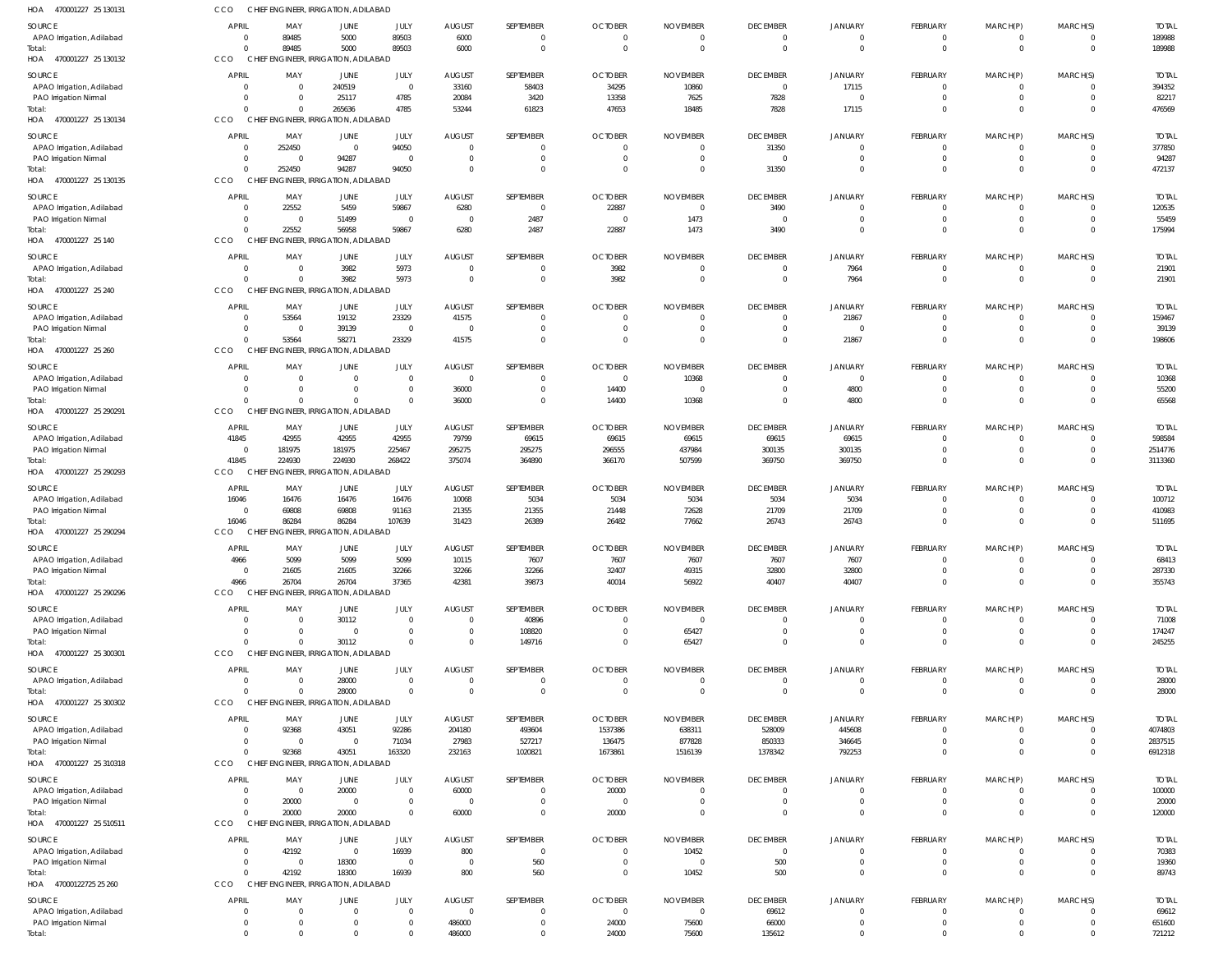| HOA 470001227 25 130131                            | CCO                              | CHIEF ENGINEER, IRRIGATION, ADILABAD             |                                |                            |                                 |                             |                         |                                   |                                   |                            |                                   |                              |                                |                        |
|----------------------------------------------------|----------------------------------|--------------------------------------------------|--------------------------------|----------------------------|---------------------------------|-----------------------------|-------------------------|-----------------------------------|-----------------------------------|----------------------------|-----------------------------------|------------------------------|--------------------------------|------------------------|
| SOURCE                                             | APRIL                            | MAY                                              | JUNE                           | JULY                       | <b>AUGUST</b>                   | SEPTEMBER                   | <b>OCTOBER</b>          | <b>NOVEMBER</b>                   | <b>DECEMBER</b>                   | JANUARY                    | <b>FEBRUARY</b>                   | MARCH(P)                     | MARCH(S)                       | <b>TOTAL</b>           |
| APAO Irrigation, Adilabad                          | $\Omega$                         | 89485                                            | 5000                           | 89503                      | 6000                            | $\Omega$                    | $\overline{0}$          | $\mathbf{0}$                      | -0                                | - 0                        | $\overline{0}$                    | 0                            | $\mathbf{0}$                   | 189988                 |
| Total:                                             | $\Omega$                         | 89485                                            | 5000                           | 89503                      | 6000                            | $\Omega$                    | $\overline{0}$          | $\overline{0}$                    | $\Omega$                          | $\mathbf 0$                | $\mathbf{0}$                      | $\overline{0}$               | $\mathbf{0}$                   | 189988                 |
| HOA 470001227 25 130132                            | CCO                              | CHIEF ENGINEER, IRRIGATION, ADILABAD             |                                |                            |                                 |                             |                         |                                   |                                   |                            |                                   |                              |                                |                        |
| SOURCE                                             | APRIL                            | MAY                                              | JUNE                           | JULY                       | <b>AUGUST</b>                   | SEPTEMBER                   | <b>OCTOBER</b>          | <b>NOVEMBER</b>                   | <b>DECEMBER</b>                   | <b>JANUARY</b>             | <b>FEBRUARY</b>                   | MARCH(P)                     | MARCH(S)                       | <b>TOTAL</b>           |
| APAO Irrigation, Adilabad                          | $\Omega$                         | $\overline{0}$                                   | 240519                         | $\overline{0}$             | 33160                           | 58403                       | 34295                   | 10860                             | $\mathbf 0$                       | 17115                      | $\overline{0}$                    | 0                            | $\mathbf{0}$                   | 394352                 |
| PAO Irrigation Nirmal<br>Total:                    | $\Omega$<br>$\Omega$             | $\mathbf 0$<br>$\Omega$                          | 25117<br>265636                | 4785<br>4785               | 20084<br>53244                  | 3420<br>61823               | 13358<br>47653          | 7625<br>18485                     | 7828<br>7828                      | $\circ$<br>17115           | $\overline{0}$<br>$\overline{0}$  | $\mathbf{0}$<br>$\mathbf{0}$ | $\overline{0}$<br>$\mathbf{0}$ | 82217<br>476569        |
| HOA 470001227 25 130134                            | CCO                              | CHIEF ENGINEER, IRRIGATION, ADILABAD             |                                |                            |                                 |                             |                         |                                   |                                   |                            |                                   |                              |                                |                        |
| SOURCE                                             | <b>APRIL</b>                     | MAY                                              | JUNE                           | JULY                       | <b>AUGUST</b>                   | SEPTEMBER                   | <b>OCTOBER</b>          | <b>NOVEMBER</b>                   | <b>DECEMBER</b>                   | JANUARY                    | <b>FEBRUARY</b>                   | MARCH(P)                     | MARCH(S)                       | <b>TOTAL</b>           |
| APAO Irrigation, Adilabad                          | $\Omega$                         | 252450                                           | $\overline{0}$                 | 94050                      | $\overline{0}$                  | $\Omega$                    | $\overline{0}$          | 0                                 | 31350                             | - 0                        | $\Omega$                          | $\Omega$                     | $\Omega$                       | 377850                 |
| PAO Irrigation Nirmal                              | $\Omega$                         | $\overline{0}$                                   | 94287                          | $\overline{0}$             | $\overline{0}$                  | $\overline{0}$              | $\overline{0}$          | $\overline{0}$                    | $\overline{0}$                    | $\mathbf 0$                | $\overline{0}$                    | $\overline{0}$               | $\overline{0}$                 | 94287                  |
| Total:                                             | $\Omega$                         | 252450                                           | 94287                          | 94050                      | $\overline{0}$                  | $\Omega$                    | $\overline{0}$          | $\overline{0}$                    | 31350                             | $\mathbf 0$                | $\Omega$                          | $\Omega$                     | $\Omega$                       | 472137                 |
| HOA 470001227 25 130135                            | CCO                              | <b>CHIEF</b>                                     | ENGINEER, IRRIGATION, ADILABAD |                            |                                 |                             |                         |                                   |                                   |                            |                                   |                              |                                |                        |
| SOURCE                                             | APRIL                            | MAY                                              | <b>JUNE</b>                    | JULY                       | <b>AUGUST</b>                   | SEPTEMBER                   | <b>OCTOBER</b>          | <b>NOVEMBER</b>                   | <b>DECEMBER</b>                   | JANUARY                    | <b>FEBRUARY</b>                   | MARCH(P)                     | MARCH(S)                       | <b>TOTAL</b>           |
| APAO Irrigation, Adilabad                          | $\Omega$                         | 22552                                            | 5459                           | 59867                      | 6280                            | $\overline{0}$              | 22887                   | $\overline{0}$                    | 3490                              | $\overline{0}$             | $\overline{0}$                    | $\overline{\mathbf{0}}$      | $\overline{0}$                 | 120535                 |
| PAO Irrigation Nirmal                              | $\Omega$                         | $\overline{0}$                                   | 51499                          | $\overline{0}$             | $\overline{\mathbf{0}}$         | 2487                        | $\overline{0}$          | 1473                              | $\mathbf 0$                       | $\mathbf 0$                | $\overline{0}$                    | $\mathbf{0}$                 | $\mathbf{0}$                   | 55459                  |
| Total:<br>HOA 470001227 25 140                     | $\Omega$<br>CCO                  | 22552<br>CHIEF ENGINEER, IRRIGATION, ADILABAD    | 56958                          | 59867                      | 6280                            | 2487                        | 22887                   | 1473                              | 3490                              | $\mathbf 0$                | $\Omega$                          | $\Omega$                     | $\overline{0}$                 | 175994                 |
|                                                    |                                  |                                                  |                                |                            |                                 |                             |                         |                                   |                                   |                            |                                   |                              |                                |                        |
| SOURCE<br>APAO Irrigation, Adilabad                | <b>APRIL</b><br>$\Omega$         | MAY<br>$\overline{0}$                            | JUNE<br>3982                   | JULY<br>5973               | <b>AUGUST</b><br>$\overline{0}$ | SEPTEMBER<br>$\overline{0}$ | <b>OCTOBER</b><br>3982  | <b>NOVEMBER</b><br>$\overline{0}$ | <b>DECEMBER</b><br>$\overline{0}$ | JANUARY<br>7964            | FEBRUARY<br>$\overline{0}$        | MARCH(P)<br>$\overline{0}$   | MARCH(S)<br>$\Omega$           | <b>TOTAL</b><br>21901  |
| Total:                                             | $\Omega$                         | $\Omega$                                         | 3982                           | 5973                       | $\overline{0}$                  | $\Omega$                    | 3982                    | $\overline{0}$                    | $\mathbf{0}$                      | 7964                       | $\Omega$                          | $\overline{0}$               | $\mathbf{0}$                   | 21901                  |
| HOA 470001227 25 240                               | CCO                              | CHIEF ENGINEER, IRRIGATION, ADILABAD             |                                |                            |                                 |                             |                         |                                   |                                   |                            |                                   |                              |                                |                        |
| SOURCE                                             | APRIL                            | MAY                                              | <b>JUNE</b>                    | JULY                       | <b>AUGUST</b>                   | SEPTEMBER                   | <b>OCTOBER</b>          | <b>NOVEMBER</b>                   | <b>DECEMBER</b>                   | JANUARY                    | <b>FEBRUARY</b>                   | MARCH(P)                     | MARCH(S)                       | <b>TOTAL</b>           |
| APAO Irrigation, Adilabad                          | $\overline{0}$                   | 53564                                            | 19132                          | 23329                      | 41575                           | - 0                         | $\overline{0}$          | $\overline{0}$                    | $\mathbf{0}$                      | 21867                      | $\overline{0}$                    | $\overline{\mathbf{0}}$      | $\overline{0}$                 | 159467                 |
| PAO Irrigation Nirmal                              | $\overline{0}$                   | $\overline{0}$                                   | 39139                          | $\overline{0}$             | $\overline{0}$                  | $\Omega$                    | $\overline{0}$          | $\overline{0}$                    | $\mathbf{0}$                      | $\circ$                    | $\overline{0}$                    | $\mathbf{0}$                 | $\overline{0}$                 | 39139                  |
| Total:                                             | $\Omega$                         | 53564                                            | 58271                          | 23329                      | 41575                           | $\Omega$                    | $\overline{0}$          | $\overline{0}$                    | $\mathbf{0}$                      | 21867                      | $\overline{0}$                    | $\mathbf{0}$                 | $\mathbf{0}$                   | 198606                 |
| HOA 470001227 25 260                               | CCO                              | CHIEF ENGINEER, IRRIGATION, ADILABAD             |                                |                            |                                 |                             |                         |                                   |                                   |                            |                                   |                              |                                |                        |
| SOURCE                                             | APRIL                            | MAY                                              | <b>JUNE</b>                    | JULY                       | <b>AUGUST</b>                   | SEPTEMBER                   | <b>OCTOBER</b>          | <b>NOVEMBER</b>                   | <b>DECEMBER</b>                   | JANUARY                    | <b>FEBRUARY</b>                   | MARCH(P)                     | MARCH(S)                       | <b>TOTAL</b>           |
| APAO Irrigation, Adilabad                          | $\Omega$                         | $\mathbf 0$                                      | $\Omega$                       | $\Omega$                   | $\overline{\mathbf{0}}$         | $\Omega$                    | $\overline{0}$          | 10368                             | $\Omega$                          | $\overline{0}$             | $\overline{0}$                    | 0                            | $\Omega$                       | 10368                  |
| PAO Irrigation Nirmal                              | $\Omega$                         | $\mathbf 0$                                      | $\mathbf 0$                    | $\Omega$                   | 36000                           | $\Omega$                    | 14400                   | $\overline{0}$                    | $\Omega$                          | 4800                       | $\mathbf{0}$                      | $\mathbf{0}$                 | $\Omega$                       | 55200                  |
| Total:<br>HOA 470001227 25 290291                  | $\Omega$<br>CCO                  | $\Omega$<br>CHIEF ENGINEER, IRRIGATION, ADILABAD | $\Omega$                       | $\Omega$                   | 36000                           | $\Omega$                    | 14400                   | 10368                             | $\mathbf 0$                       | 4800                       | $\Omega$                          | $\Omega$                     | $\Omega$                       | 65568                  |
|                                                    |                                  |                                                  |                                |                            |                                 |                             |                         |                                   |                                   |                            |                                   |                              |                                |                        |
| SOURCE                                             | <b>APRIL</b>                     | MAY                                              | JUNE                           | JULY                       | <b>AUGUST</b>                   | SEPTEMBER                   | <b>OCTOBER</b>          | <b>NOVEMBER</b>                   | <b>DECEMBER</b>                   | <b>JANUARY</b>             | <b>FEBRUARY</b>                   | MARCH(P)                     | MARCH(S)                       | <b>TOTAL</b>           |
| APAO Irrigation, Adilabad<br>PAO Irrigation Nirmal | 41845<br>$\Omega$                | 42955<br>181975                                  | 42955<br>181975                | 42955<br>225467            | 79799<br>295275                 | 69615<br>295275             | 69615<br>296555         | 69615<br>437984                   | 69615<br>300135                   | 69615<br>300135            | $\overline{0}$<br>$\overline{0}$  | 0<br>$\mathbf{0}$            | $\mathbf{0}$<br>$\overline{0}$ | 598584<br>2514776      |
| Total:                                             | 41845                            | 224930                                           | 224930                         | 268422                     | 375074                          | 364890                      | 366170                  | 507599                            | 369750                            | 369750                     | $\overline{0}$                    | $\mathbf{0}$                 | $\overline{0}$                 | 3113360                |
| HOA 470001227 25 290293                            | CCO                              | CHIEF ENGINEER, IRRIGATION, ADILABAD             |                                |                            |                                 |                             |                         |                                   |                                   |                            |                                   |                              |                                |                        |
| SOURCE                                             | <b>APRIL</b>                     | MAY                                              | JUNE                           | JULY                       | <b>AUGUST</b>                   | SEPTEMBER                   | <b>OCTOBER</b>          | <b>NOVEMBER</b>                   | <b>DECEMBER</b>                   | JANUARY                    | <b>FEBRUARY</b>                   | MARCH(P)                     | MARCH(S)                       | <b>TOTAL</b>           |
| APAO Irrigation, Adilabad                          | 16046                            | 16476                                            | 16476                          | 16476                      | 10068                           | 5034                        | 5034                    | 5034                              | 5034                              | 5034                       | $\Omega$                          | $\Omega$                     | $\Omega$                       | 100712                 |
| PAO Irrigation Nirmal                              | $\Omega$                         | 69808                                            | 69808                          | 91163                      | 21355                           | 21355                       | 21448                   | 72628                             | 21709                             | 21709                      | $\overline{0}$                    | $\mathbf{0}$                 | $\overline{0}$                 | 410983                 |
| Total:                                             | 16046                            | 86284                                            | 86284                          | 107639                     | 31423                           | 26389                       | 26482                   | 77662                             | 26743                             | 26743                      | $\Omega$                          | $\Omega$                     | $\Omega$                       | 511695                 |
| HOA 470001227 25 290294                            | CCO                              | CHIEF ENGINEER, IRRIGATION, ADILABAD             |                                |                            |                                 |                             |                         |                                   |                                   |                            |                                   |                              |                                |                        |
| SOURCE                                             | APRIL                            | MAY                                              | JUNE                           | JULY                       | <b>AUGUST</b>                   | SEPTEMBER                   | <b>OCTOBER</b>          | <b>NOVEMBER</b>                   | <b>DECEMBER</b>                   | JANUARY                    | <b>FEBRUARY</b>                   | MARCH(P)                     | MARCH(S)                       | <b>TOTAL</b>           |
| APAO Irrigation, Adilabad                          | 4966                             | 5099                                             | 5099                           | 5099                       | 10115                           | 7607                        | 7607                    | 7607                              | 7607                              | 7607                       | $\mathbf 0$                       | $\Omega$                     | $\Omega$                       | 68413                  |
| PAO Irrigation Nirmal<br>Total:                    | $\Omega$<br>4966                 | 21605<br>26704                                   | 21605<br>26704                 | 32266<br>37365             | 32266<br>42381                  | 32266<br>39873              | 32407<br>40014          | 49315<br>56922                    | 32800<br>40407                    | 32800<br>40407             | $\mathbf 0$<br>$\Omega$           | 0<br>$\mathbf{0}$            | $\mathbf 0$<br>$\mathbf{0}$    | 287330<br>355743       |
| HOA 470001227 25 290296                            | <b>CCO</b>                       | CHIEF ENGINEER, IRRIGATION, ADILABAD             |                                |                            |                                 |                             |                         |                                   |                                   |                            |                                   |                              |                                |                        |
| SOURCE                                             | <b>APRIL</b>                     | MAY                                              | <b>JUNE</b>                    |                            | <b>AUGUST</b>                   | SEPTEMBER                   | <b>OCTOBER</b>          | <b>NOVEMBER</b>                   | <b>DECEMBER</b>                   | JANUARY                    | FEBRUARY                          | MARCH(P)                     | MARCH(S)                       | <b>TOTAL</b>           |
| APAO Irrigation, Adilabad                          | $\Omega$                         | $\overline{0}$                                   | 30112                          | JULY<br>$\Omega$           | $\overline{0}$                  | 40896                       | $\overline{0}$          | $\overline{0}$                    |                                   | $\Omega$                   | $\overline{0}$                    | 0                            | $\Omega$                       | 71008                  |
| PAO Irrigation Nirmal                              | $\Omega$                         | $\Omega$                                         | $\overline{0}$                 | $\Omega$                   | $\overline{0}$                  | 108820                      | $\overline{0}$          | 65427                             | $\Omega$                          | $\overline{0}$             | $\mathbf{0}$                      | $\Omega$                     | $\Omega$                       | 174247                 |
| Total:                                             | $\Omega$                         | $\Omega$                                         | 30112                          |                            | $\overline{0}$                  | 149716                      | $\overline{0}$          | 65427                             | $\Omega$                          | $\mathbf 0$                | $\Omega$                          | $\Omega$                     | $\mathbf{0}$                   | 245255                 |
| HOA 470001227 25 300301                            | CCO                              | CHIEF ENGINEER, IRRIGATION, ADILABAD             |                                |                            |                                 |                             |                         |                                   |                                   |                            |                                   |                              |                                |                        |
| SOURCE                                             | <b>APRIL</b>                     | MAY                                              | <b>JUNE</b>                    | JULY                       | <b>AUGUST</b>                   | SEPTEMBER                   | <b>OCTOBER</b>          | <b>NOVEMBER</b>                   | <b>DECEMBER</b>                   | <b>JANUARY</b>             | FEBRUARY                          | MARCH(P)                     | MARCH(S)                       | <b>TOTAL</b>           |
| APAO Irrigation, Adilabad                          | $\overline{0}$                   | $\overline{0}$                                   | 28000                          | $\Omega$                   | $\overline{\phantom{0}}$        | $\mathbf{0}$                | $\overline{0}$          | $\overline{0}$                    | $\mathbf 0$                       | $\mathbf{0}$               | 0                                 | 0                            | $\mathbf{0}$                   | 28000                  |
| Total:                                             | $\Omega$                         | $\overline{0}$                                   | 28000                          |                            | $\overline{0}$                  | $\Omega$                    | $\overline{0}$          | $\overline{0}$                    | $\mathbf 0$                       | $\mathbf 0$                | $\mathbf{0}$                      | $\mathbf 0$                  | $\mathbf{0}$                   | 28000                  |
| HOA 470001227 25 300302                            | CCO                              | CHIEF ENGINEER, IRRIGATION, ADILABAD             |                                |                            |                                 |                             |                         |                                   |                                   |                            |                                   |                              |                                |                        |
| SOURCE                                             | <b>APRIL</b>                     | MAY                                              | JUNE                           | JULY                       | <b>AUGUST</b>                   | SEPTEMBER                   | <b>OCTOBER</b>          | <b>NOVEMBER</b>                   | <b>DECEMBER</b>                   | JANUARY                    | FEBRUARY                          | MARCH(P)                     | MARCH(S)                       | <b>TOTAL</b>           |
| APAO Irrigation, Adilabad                          | $\Omega$                         | 92368                                            | 43051                          | 92286                      | 204180                          | 493604                      | 1537386                 | 638311                            | 528009                            | 445608                     | $\Omega$                          | $\mathbf{0}$                 | $\Omega$                       | 4074803                |
| PAO Irrigation Nirmal<br>Total:                    | $\Omega$<br>$\Omega$             | $\overline{0}$<br>92368                          | $\overline{0}$<br>43051        | 71034<br>163320            | 27983<br>232163                 | 527217<br>1020821           | 136475<br>1673861       | 877828<br>1516139                 | 850333<br>1378342                 | 346645<br>792253           | $\Omega$<br>$\Omega$              | $\Omega$<br>$\Omega$         | $\Omega$<br>$\Omega$           | 2837515<br>6912318     |
| HOA 470001227 25 310318                            | CCO                              | CHIEF ENGINEER, IRRIGATION, ADILABAD             |                                |                            |                                 |                             |                         |                                   |                                   |                            |                                   |                              |                                |                        |
|                                                    | <b>APRIL</b>                     |                                                  |                                |                            | <b>AUGUST</b>                   | SEPTEMBER                   | <b>OCTOBER</b>          |                                   | <b>DECEMBER</b>                   |                            |                                   |                              | MARCH(S)                       |                        |
| SOURCE<br>APAO Irrigation, Adilabad                | $\Omega$                         | MAY<br>$\overline{0}$                            | <b>JUNE</b><br>20000           | JULY<br>$\Omega$           | 60000                           |                             | 20000                   | <b>NOVEMBER</b><br>$\overline{0}$ | $\mathbf 0$                       | JANUARY<br>$\overline{0}$  | <b>FEBRUARY</b><br>$\overline{0}$ | MARCH(P)<br>0                | $\mathbf{0}$                   | <b>TOTAL</b><br>100000 |
| PAO Irrigation Nirmal                              | $\Omega$                         | 20000                                            | $\overline{0}$                 | $\Omega$                   | $\overline{\mathbf{0}}$         | $\Omega$                    | $\overline{0}$          | $\overline{0}$                    | $\mathbf 0$                       | $\mathbf 0$                | $\overline{0}$                    | $\mathbf{0}$                 | $\mathbf 0$                    | 20000                  |
| Total:                                             | $\Omega$                         | 20000                                            | 20000                          | $\Omega$                   | 60000                           | $\Omega$                    | 20000                   | $\Omega$                          | $\Omega$                          | $\mathbf 0$                | $\mathbf{0}$                      | $\mathbf{0}$                 | $\mathbf 0$                    | 120000                 |
| HOA 470001227 25 510511                            | <b>CCO</b>                       | CHIEF ENGINEER, IRRIGATION, ADILABAD             |                                |                            |                                 |                             |                         |                                   |                                   |                            |                                   |                              |                                |                        |
| SOURCE                                             | <b>APRIL</b>                     | MAY                                              | <b>JUNE</b>                    | JULY                       | <b>AUGUST</b>                   | SEPTEMBER                   | <b>OCTOBER</b>          | <b>NOVEMBER</b>                   | <b>DECEMBER</b>                   | JANUARY                    | <b>FEBRUARY</b>                   | MARCH(P)                     | MARCH(S)                       | <b>TOTAL</b>           |
| APAO Irrigation, Adilabad                          | $\Omega$                         | 42192                                            | $\overline{0}$                 | 16939                      | 800                             | $\overline{0}$              | $\overline{0}$          | 10452                             | $\overline{0}$                    | $\overline{0}$             | $\Omega$                          | $\Omega$                     | 0                              | 70383                  |
| PAO Irrigation Nirmal                              | $\overline{0}$                   | $\overline{0}$                                   | 18300                          | $\mathsf{C}$               | $\overline{\phantom{0}}$        | 560                         | $\overline{0}$          | $\overline{0}$                    | 500                               | $\mathbf 0$                | $\mathbf{0}$                      | $^{\circ}$                   | $\Omega$                       | 19360                  |
| Total:                                             | $\Omega$                         | 42192                                            | 18300                          | 16939                      | 800                             | 560                         | $\overline{0}$          | 10452                             | 500                               | $\mathbf 0$                | $\Omega$                          | $\Omega$                     | $\Omega$                       | 89743                  |
| HOA 47000122725 25 260                             | CCO                              | CHIEF ENGINEER, IRRIGATION, ADILABAD             |                                |                            |                                 |                             |                         |                                   |                                   |                            |                                   |                              |                                |                        |
| SOURCE                                             | <b>APRIL</b>                     | MAY                                              | <b>JUNE</b>                    | JULY                       | <b>AUGUST</b>                   | SEPTEMBER                   | <b>OCTOBER</b>          | <b>NOVEMBER</b>                   | <b>DECEMBER</b>                   | <b>JANUARY</b>             | FEBRUARY                          | MARCH(P)                     | MARCH(S)                       | <b>TOTAL</b>           |
| APAO Irrigation, Adilabad<br>PAO Irrigation Nirmal | $\overline{0}$<br>$\overline{0}$ | $\mathbf{0}$<br>$\overline{0}$                   | $\mathbf{0}$<br>0              | $\mathbf{0}$<br>$^{\circ}$ | $\overline{0}$<br>486000        | $\mathbf 0$<br>$\mathbf{0}$ | $\overline{0}$<br>24000 | $\overline{0}$<br>75600           | 69612<br>66000                    | $\mathbf 0$<br>$\mathbf 0$ | $\overline{0}$<br>0               | $^{\circ}$<br>$^{\circ}$     | $\mathbf{0}$<br>$\mathbf 0$    | 69612<br>651600        |
| Total:                                             | $\Omega$                         | $\mathbf 0$                                      | $\mathbf 0$                    |                            | 486000                          | $\mathbf 0$                 | 24000                   | 75600                             | 135612                            | $\mathbf 0$                | $\mathbf 0$                       | $\mathbf 0$                  | $\mathbf 0$                    | 721212                 |
|                                                    |                                  |                                                  |                                |                            |                                 |                             |                         |                                   |                                   |                            |                                   |                              |                                |                        |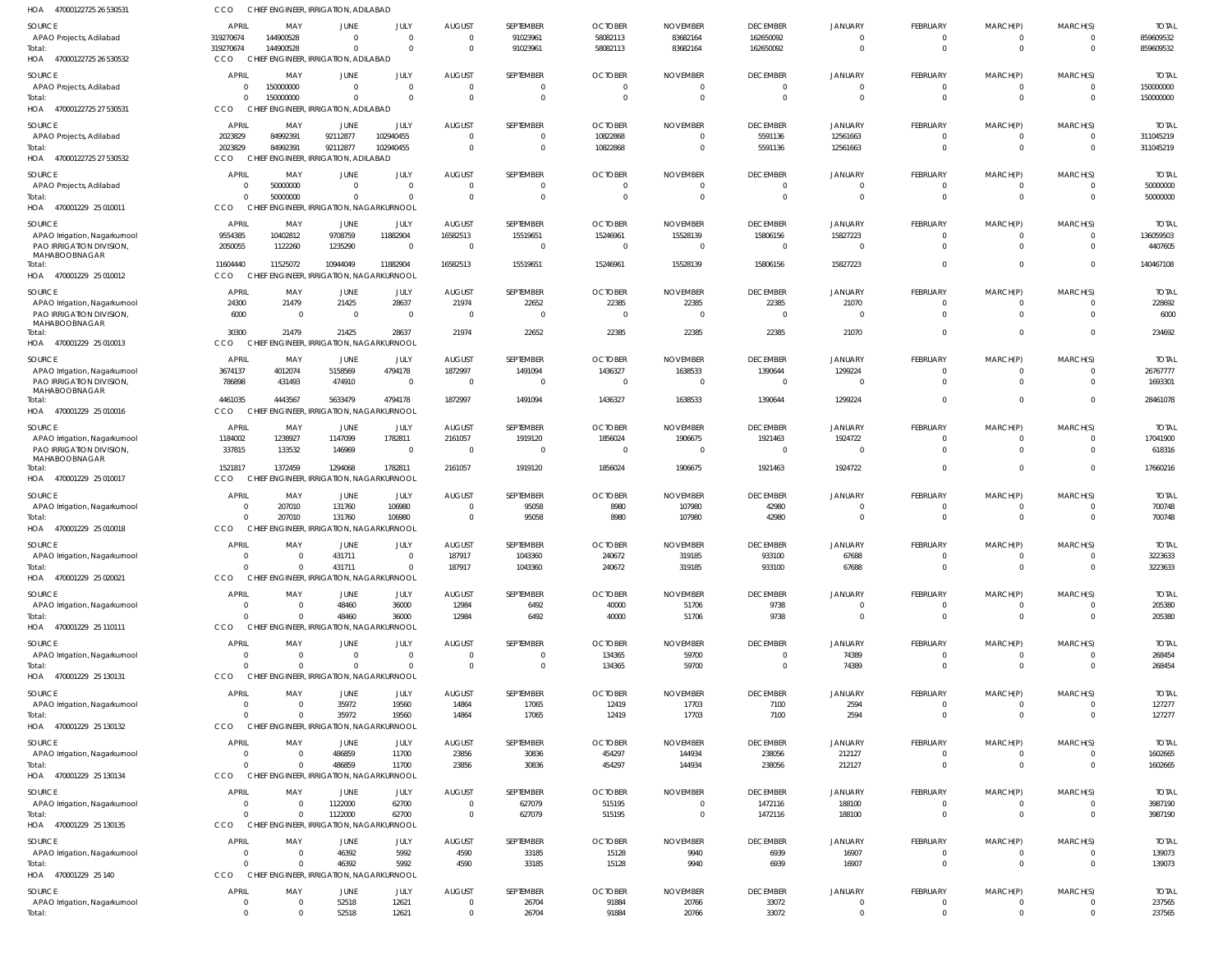| HOA<br>47000122725 26 530531                              | CCO                     | CHIEF ENGINEER, IRRIGATION, ADILABAD                 |                                                |                        |                                           |                            |                            |                                  |                             |                                  |                                |                            |                                  |                           |
|-----------------------------------------------------------|-------------------------|------------------------------------------------------|------------------------------------------------|------------------------|-------------------------------------------|----------------------------|----------------------------|----------------------------------|-----------------------------|----------------------------------|--------------------------------|----------------------------|----------------------------------|---------------------------|
| SOURCE                                                    | <b>APRIL</b>            | MAY                                                  | JUNE                                           | JULY                   | <b>AUGUST</b>                             | SEPTEMBER                  | <b>OCTOBER</b>             | <b>NOVEMBER</b>                  | <b>DECEMBER</b>             | <b>JANUARY</b>                   | <b>FEBRUARY</b>                | MARCH(P)                   | MARCH(S)                         | <b>TOTAL</b>              |
| APAO Projects, Adilabad                                   | 319270674               | 144900528                                            | $\Omega$                                       | $\Omega$               | $\overline{0}$                            | 91023961                   | 58082113                   | 83682164                         | 162650092                   | $\Omega$                         | $\mathbf 0$                    | $\mathbf 0$                | $\Omega$                         | 859609532                 |
| Total:<br>HOA 47000122725 26 530532                       | 319270674<br><b>CCO</b> | 144900528<br>CHIEF ENGINEER, IRRIGATION, ADILABAD    | $\Omega$                                       | $\Omega$               | $\overline{\mathbf{0}}$                   | 91023961                   | 58082113                   | 83682164                         | 162650092                   | $\Omega$                         | $\mathbf{0}$                   | $\overline{0}$             | $\overline{0}$                   | 859609532                 |
| SOURCE                                                    | APRIL                   | MAY                                                  | JUNE                                           | <b>JULY</b>            | <b>AUGUST</b>                             | SEPTEMBER                  | <b>OCTOBER</b>             | <b>NOVEMBER</b>                  | <b>DECEMBER</b>             | <b>JANUARY</b>                   | <b>FEBRUARY</b>                | MARCH(P)                   | MARCH(S)                         | <b>TOTAL</b>              |
| APAO Projects, Adilabad                                   |                         | 150000000                                            | $\Omega$                                       | $\Omega$               | $\overline{0}$                            | $\Omega$                   | $\overline{0}$             | $\Omega$                         | $\Omega$                    |                                  | 0                              | 0                          | $\Omega$                         | 150000000                 |
| Total:                                                    | $\Omega$                | 150000000                                            | $\Omega$                                       | $\Omega$               | $\overline{0}$                            | $\Omega$                   | $\Omega$                   | $\overline{0}$                   | $\Omega$                    | $\Omega$                         | $\mathbf 0$                    | $\mathbf 0$                | $\overline{0}$                   | 150000000                 |
| HOA 47000122725 27 530531                                 | CCO                     | CHIEF ENGINEER, IRRIGATION, ADILABAD                 |                                                |                        |                                           |                            |                            |                                  |                             |                                  |                                |                            |                                  |                           |
| SOURCE                                                    | <b>APRIL</b>            | MAY                                                  | JUNE                                           | <b>JULY</b>            | <b>AUGUST</b>                             | SEPTEMBER                  | <b>OCTOBER</b>             | <b>NOVEMBER</b>                  | <b>DECEMBER</b>             | <b>JANUARY</b>                   | <b>FEBRUARY</b>                | MARCH(P)                   | MARCH(S)                         | <b>TOTAL</b>              |
| APAO Projects, Adilabad<br>Total:                         | 2023829<br>2023829      | 84992391<br>84992391                                 | 92112877<br>92112877                           | 102940455<br>102940455 | $\overline{0}$<br>$\overline{\mathbf{0}}$ | $\Omega$<br>$\overline{0}$ | 10822868<br>10822868       | $\Omega$<br>$\overline{0}$       | 5591136<br>5591136          | 12561663<br>12561663             | $\mathbf 0$<br>$\mathbf 0$     | 0<br>$\overline{0}$        | $\Omega$<br>$\overline{0}$       | 311045219<br>311045219    |
| HOA 47000122725 27 530532                                 | CCO                     | CHIEF ENGINEER, IRRIGATION, ADILABAD                 |                                                |                        |                                           |                            |                            |                                  |                             |                                  |                                |                            |                                  |                           |
| SOURCE                                                    | <b>APRIL</b>            | MAY                                                  | JUNE                                           | <b>JULY</b>            | <b>AUGUST</b>                             | SEPTEMBER                  | <b>OCTOBER</b>             | <b>NOVEMBER</b>                  | <b>DECEMBER</b>             | <b>JANUARY</b>                   | <b>FEBRUARY</b>                | MARCH(P)                   | MARCH(S)                         | <b>TOTAL</b>              |
| APAO Projects, Adilabad                                   |                         | 50000000                                             | $\Omega$                                       | $\overline{0}$         | $\overline{0}$                            | $\Omega$                   | $\overline{0}$             | $\overline{0}$                   | $\Omega$                    | $\Omega$                         | 0                              | 0                          | $\Omega$                         | 50000000                  |
| Total:<br>HOA 470001229 25 010011                         | CCO.                    | 50000000<br><b>CHIEF</b>                             | $\Omega$<br>ENGINEER, IRRIGATION, NAGARKURNOOL | $\Omega$               | $\overline{0}$                            | $\Omega$                   | $\Omega$                   | $\Omega$                         | $\Omega$                    | $\Omega$                         | $\Omega$                       | $\Omega$                   | $\Omega$                         | 50000000                  |
|                                                           |                         |                                                      |                                                |                        |                                           |                            |                            |                                  |                             |                                  |                                |                            |                                  |                           |
| SOURCE<br>APAO Irrigation, Nagarkurnool                   | <b>APRIL</b><br>9554385 | MAY<br>10402812                                      | JUNE<br>9708759                                | JULY<br>11882904       | <b>AUGUST</b><br>16582513                 | SEPTEMBER<br>15519651      | <b>OCTOBER</b><br>15246961 | <b>NOVEMBER</b><br>15528139      | <b>DECEMBER</b><br>15806156 | <b>JANUARY</b><br>15827223       | <b>FEBRUARY</b><br>$\mathbf 0$ | MARCH(P)<br>$\mathbf 0$    | MARCH(S)<br>$\Omega$             | <b>TOTAL</b><br>136059503 |
| PAO IRRIGATION DIVISION,                                  | 2050055                 | 1122260                                              | 1235290                                        | $\overline{0}$         | $\overline{\mathbf{0}}$                   | $\overline{0}$             | $\overline{\mathbf{0}}$    | $\overline{\mathbf{0}}$          | $\Omega$                    | $\Omega$                         | $\mathbf 0$                    | $\mathbf 0$                | $\Omega$                         | 4407605                   |
| MAHABOOBNAGAR<br>Total:                                   | 11604440                | 11525072                                             | 10944049                                       | 11882904               | 16582513                                  | 15519651                   | 15246961                   | 15528139                         | 15806156                    | 15827223                         | $\mathbf{0}$                   | $\mathbf 0$                | $\Omega$                         | 140467108                 |
| HOA 470001229 25 010012                                   | CCO                     | CHIEF ENGINEER, IRRIGATION, NAGARKURNOOL             |                                                |                        |                                           |                            |                            |                                  |                             |                                  |                                |                            |                                  |                           |
| SOURCE                                                    | <b>APRIL</b>            | MAY                                                  | JUNE                                           | <b>JULY</b>            | <b>AUGUST</b>                             | SEPTEMBER                  | <b>OCTOBER</b>             | <b>NOVEMBER</b>                  | <b>DECEMBER</b>             | <b>JANUARY</b>                   | <b>FEBRUARY</b>                | MARCH(P)                   | MARCH(S)                         | <b>TOTAL</b>              |
| APAO Irrigation, Nagarkurnool                             | 24300                   | 21479                                                | 21425                                          | 28637                  | 21974                                     | 22652                      | 22385                      | 22385                            | 22385                       | 21070                            | 0                              | 0                          | $\Omega$                         | 228692                    |
| PAO IRRIGATION DIVISION,<br>MAHABOOBNAGAR                 | 6000                    | $\overline{0}$                                       | $\overline{0}$                                 | $\overline{0}$         | $\overline{0}$                            | $\Omega$                   | $\Omega$                   | $\Omega$                         | $\Omega$                    |                                  | $\Omega$                       | $\Omega$                   | $\Omega$                         | 6000                      |
| Total:                                                    | 30300                   | 21479                                                | 21425                                          | 28637                  | 21974                                     | 22652                      | 22385                      | 22385                            | 22385                       | 21070                            | $\Omega$                       | $\Omega$                   | $\Omega$                         | 234692                    |
| HOA 470001229 25 010013                                   | CCO.                    | CHIEF ENGINEER, IRRIGATION, NAGARKURNOOL             |                                                |                        |                                           |                            |                            |                                  |                             |                                  |                                |                            |                                  |                           |
| SOURCE                                                    | <b>APRIL</b>            | MAY                                                  | JUNE                                           | JULY                   | <b>AUGUST</b>                             | SEPTEMBER                  | <b>OCTOBER</b>             | <b>NOVEMBER</b>                  | <b>DECEMBER</b>             | <b>JANUARY</b>                   | <b>FEBRUARY</b>                | MARCH(P)                   | MARCH(S)                         | <b>TOTAL</b>              |
| APAO Irrigation, Nagarkurnool                             | 3674137                 | 4012074                                              | 5158569                                        | 4794178                | 1872997                                   | 1491094                    | 1436327                    | 1638533                          | 1390644                     | 1299224                          | $\mathbf 0$<br>$\mathbf 0$     | 0<br>$\mathbf 0$           | $\Omega$<br>$\Omega$             | 26767777                  |
| <b>PAO IRRIGATION DIVISION,</b><br>MAHABOOBNAGAR          | 786898                  | 431493                                               | 474910                                         | $\overline{0}$         | $\overline{\phantom{0}}$                  | $\overline{0}$             | $\overline{\phantom{0}}$   | $\overline{\phantom{0}}$         | $\overline{0}$              | $\Omega$                         |                                |                            |                                  | 1693301                   |
| Total:                                                    | 4461035                 | 4443567                                              | 5633479                                        | 4794178                | 1872997                                   | 1491094                    | 1436327                    | 1638533                          | 1390644                     | 1299224                          | $\mathbf{0}$                   | $\mathbf 0$                | $\Omega$                         | 28461078                  |
| HOA 470001229 25 010016                                   | CCO.                    | CHIEF ENGINEER, IRRIGATION, NAGARKURNOOL             |                                                |                        |                                           |                            |                            |                                  |                             |                                  |                                |                            |                                  |                           |
| SOURCE                                                    | <b>APRIL</b><br>1184002 | MAY<br>1238927                                       | JUNE<br>1147099                                | JULY<br>1782811        | <b>AUGUST</b><br>2161057                  | SEPTEMBER<br>1919120       | <b>OCTOBER</b><br>1856024  | <b>NOVEMBER</b><br>1906675       | <b>DECEMBER</b><br>1921463  | <b>JANUARY</b><br>1924722        | <b>FEBRUARY</b><br>$\Omega$    | MARCH(P)<br>0              | MARCH(S)<br>$\Omega$             | <b>TOTAL</b><br>17041900  |
| APAO Irrigation, Nagarkurnool<br>PAO IRRIGATION DIVISION, | 337815                  | 133532                                               | 146969                                         | $\overline{0}$         | $\overline{\mathbf{0}}$                   | $\Omega$                   | $\overline{\mathbf{0}}$    | $\overline{\mathbf{0}}$          | $\Omega$                    | $\Omega$                         | $\Omega$                       | $\Omega$                   | $\Omega$                         | 618316                    |
| MAHABOOBNAGAR                                             | 1521817                 | 1372459                                              | 1294068                                        | 1782811                | 2161057                                   | 1919120                    | 1856024                    | 1906675                          | 1921463                     | 1924722                          | $\Omega$                       | $\mathbf 0$                | $\Omega$                         | 17660216                  |
| Total:<br>HOA 470001229 25 010017                         | CCO                     | CHIEF ENGINEER, IRRIGATION, NAGARKURNOOL             |                                                |                        |                                           |                            |                            |                                  |                             |                                  |                                |                            |                                  |                           |
| SOURCE                                                    | <b>APRIL</b>            | MAY                                                  | JUNE                                           | JULY                   | <b>AUGUST</b>                             | SEPTEMBER                  | <b>OCTOBER</b>             | <b>NOVEMBER</b>                  | <b>DECEMBER</b>             | <b>JANUARY</b>                   | <b>FEBRUARY</b>                | MARCH(P)                   | MARCH(S)                         | <b>TOTAL</b>              |
| APAO Irrigation, Nagarkurnool                             | $\Omega$                | 207010                                               | 131760                                         | 106980                 | $\overline{\mathbf{0}}$                   | 95058                      | 8980                       | 107980                           | 42980                       | $\Omega$                         | $\mathbf 0$                    | 0                          | $\Omega$                         | 700748                    |
| Total:                                                    | $\Omega$                | 207010                                               | 131760                                         | 106980                 | $\overline{\mathbf{0}}$                   | 95058                      | 8980                       | 107980                           | 42980                       | $\Omega$                         | $\mathbf 0$                    | $\overline{0}$             | $\Omega$                         | 700748                    |
| HOA 470001229 25 010018                                   | CCO                     | <b>CHIEF</b>                                         | ENGINEER, IRRIGATION, NAGARKURNOOL             |                        |                                           |                            |                            |                                  |                             |                                  |                                |                            |                                  |                           |
| SOURCE                                                    | APRIL                   | MAY                                                  | JUNE                                           | JULY                   | <b>AUGUST</b>                             | SEPTEMBER                  | <b>OCTOBER</b>             | <b>NOVEMBER</b>                  | <b>DECEMBER</b>             | <b>JANUARY</b>                   | <b>FEBRUARY</b>                | MARCH(P)                   | MARCH(S)                         | <b>TOTAL</b>              |
| APAO Irrigation, Nagarkurnool<br>Total:                   | $\Omega$                | $\Omega$<br>$\Omega$                                 | 431711<br>431711                               | $\Omega$<br>$\Omega$   | 187917<br>187917                          | 1043360<br>1043360         | 240672<br>240672           | 319185<br>319185                 | 933100<br>933100            | 67688<br>67688                   | 0<br>$\mathbf 0$               | 0<br>$\mathbf 0$           | $\overline{0}$<br>$\Omega$       | 3223633<br>3223633        |
| HOA 470001229 25 020021                                   | <b>CCO</b>              | CHIEF ENGINEER, IRRIGATION, NAGARKURNOOL             |                                                |                        |                                           |                            |                            |                                  |                             |                                  |                                |                            |                                  |                           |
| SOURCE                                                    | <b>APRIL</b>            | MAY                                                  | JUNE                                           | JULY                   | <b>AUGUST</b>                             | SEPTEMBER                  | <b>OCTOBER</b>             | <b>NOVEMBER</b>                  | <b>DECEMBER</b>             | <b>JANUARY</b>                   | <b>FEBRUARY</b>                | MARCH(P)                   | MARCH(S)                         | <b>TOTAL</b>              |
| APAO Irrigation, Nagarkurnool                             | $\Omega$                | $\Omega$                                             | 48460                                          | 36000                  | 12984                                     | 6492                       | 40000                      | 51706                            | 9738                        | $\Omega$                         | $\mathbf 0$                    | 0                          | $\Omega$                         | 205380                    |
| Total:                                                    | $\Omega$                | $\Omega$                                             | 48460                                          | 36000                  | 12984                                     | 6492                       | 40000                      | 51706                            | 9738                        | $\Omega$                         | $\overline{0}$                 | $\overline{0}$             | $\overline{0}$                   | 205380                    |
| HOA 470001229 25 110111                                   | CCO                     | CHIEF ENGINEER, IRRIGATION, NAGARKURNOOL             |                                                |                        |                                           |                            |                            |                                  |                             |                                  |                                |                            |                                  |                           |
| SOURCE<br>APAO Irrigation, Nagarkurnool                   | <b>APRIL</b>            | MAY<br>$\overline{0}$                                | JUNE<br>$\overline{0}$                         | JULY<br>$\overline{0}$ | <b>AUGUST</b><br>$\overline{\mathbf{0}}$  | SEPTEMBER<br>$\Omega$      | <b>OCTOBER</b><br>134365   | <b>NOVEMBER</b><br>59700         | <b>DECEMBER</b><br>$\Omega$ | <b>JANUARY</b><br>74389          | <b>FEBRUARY</b><br>$\mathbf 0$ | MARCH(P)<br>$\mathbf 0$    | MARCH(S)<br>$\Omega$             | <b>TOTAL</b><br>268454    |
| Total:                                                    |                         | $\Omega$                                             | $\Omega$                                       | $\Omega$               | $\overline{\mathbf{0}}$                   | $\Omega$                   | 134365                     | 59700                            | $\Omega$                    | 74389                            | $\Omega$                       | $\overline{0}$             | $\Omega$                         | 268454                    |
| HOA 470001229 25 130131                                   | <b>CCO</b>              | CHIEF ENGINEER, IRRIGATION, NAGARKURNOOL             |                                                |                        |                                           |                            |                            |                                  |                             |                                  |                                |                            |                                  |                           |
| SOURCE                                                    | <b>APRIL</b>            | MAY                                                  | JUNE                                           | JULY                   | <b>AUGUST</b>                             | SEPTEMBER                  | <b>OCTOBER</b>             | <b>NOVEMBER</b>                  | <b>DECEMBER</b>             | <b>JANUARY</b>                   | <b>FEBRUARY</b>                | MARCH(P)                   | MARCH(S)                         | <b>TOTAL</b>              |
| APAO Irrigation, Nagarkurnool                             | $\Omega$                | $\overline{0}$                                       | 35972                                          | 19560                  | 14864                                     | 17065                      | 12419                      | 17703                            | 7100                        | 2594                             | $\mathbf 0$                    | 0                          | $\Omega$                         | 127277                    |
| Total:<br>HOA 470001229 25 130132                         | $\Omega$<br>CCO         | $\Omega$<br>CHIEF ENGINEER, IRRIGATION, NAGARKURNOOL | 35972                                          | 19560                  | 14864                                     | 17065                      | 12419                      | 17703                            | 7100                        | 2594                             | $\mathbf 0$                    | $\overline{0}$             | $\overline{0}$                   | 127277                    |
| SOURCE                                                    | <b>APRIL</b>            | MAY                                                  | JUNE                                           | JULY                   | <b>AUGUST</b>                             | SEPTEMBER                  | <b>OCTOBER</b>             | <b>NOVEMBER</b>                  | <b>DECEMBER</b>             | <b>JANUARY</b>                   | <b>FEBRUARY</b>                | MARCH(P)                   | MARCH(S)                         | <b>TOTAL</b>              |
| APAO Irrigation, Nagarkurnool                             |                         | $\Omega$                                             | 486859                                         | 11700                  | 23856                                     | 30836                      | 454297                     | 144934                           | 238056                      | 212127                           | 0                              | 0                          | $\Omega$                         | 1602665                   |
| Total:                                                    | $\Omega$                | $\overline{0}$                                       | 486859                                         | 11700                  | 23856                                     | 30836                      | 454297                     | 144934                           | 238056                      | 212127                           | $\mathbf 0$                    | $\mathbf 0$                | $\Omega$                         | 1602665                   |
| HOA 470001229 25 130134                                   | CCO                     | CHIEF ENGINEER, IRRIGATION, NAGARKURNOOL             |                                                |                        |                                           |                            |                            |                                  |                             |                                  |                                |                            |                                  |                           |
| SOURCE                                                    | <b>APRIL</b>            | MAY                                                  | JUNE                                           | JULY                   | <b>AUGUST</b>                             | SEPTEMBER                  | <b>OCTOBER</b>             | <b>NOVEMBER</b>                  | <b>DECEMBER</b>             | JANUARY                          | FEBRUARY                       | MARCH(P)                   | MARCH(S)                         | <b>TOTAL</b>              |
| APAO Irrigation, Nagarkurnool                             | $\Omega$<br>$\Omega$    | $\Omega$<br>$\Omega$                                 | 1122000<br>1122000                             | 62700<br>62700         | $\overline{\mathbf{0}}$<br>$\overline{0}$ | 627079                     | 515195                     | $\overline{0}$<br>$\overline{0}$ | 1472116                     | 188100                           | $\mathbf 0$<br>$\overline{0}$  | 0<br>$\overline{0}$        | $\Omega$<br>$\overline{0}$       | 3987190<br>3987190        |
| Total:<br>HOA 470001229 25 130135                         | <b>CCO</b>              | CHIEF ENGINEER, IRRIGATION, NAGARKURNOOL             |                                                |                        |                                           | 627079                     | 515195                     |                                  | 1472116                     | 188100                           |                                |                            |                                  |                           |
| SOURCE                                                    | <b>APRIL</b>            | MAY                                                  | JUNE                                           | JULY                   | <b>AUGUST</b>                             | SEPTEMBER                  | <b>OCTOBER</b>             | <b>NOVEMBER</b>                  | <b>DECEMBER</b>             | <b>JANUARY</b>                   | <b>FEBRUARY</b>                | MARCH(P)                   | MARCH(S)                         | <b>TOTAL</b>              |
| APAO Irrigation, Nagarkurnool                             |                         | $\overline{\mathbf{0}}$                              | 46392                                          | 5992                   | 4590                                      | 33185                      | 15128                      | 9940                             | 6939                        | 16907                            | 0                              | 0                          | $\Omega$                         | 139073                    |
| Total:                                                    |                         | $\Omega$                                             | 46392                                          | 5992                   | 4590                                      | 33185                      | 15128                      | 9940                             | 6939                        | 16907                            | $\mathbf 0$                    | $\mathbf 0$                | $\Omega$                         | 139073                    |
| HOA 470001229 25 140                                      | CCO                     | CHIER                                                | ENGINEER, IRRIGATION, NAGARKURNOOL             |                        |                                           |                            |                            |                                  |                             |                                  |                                |                            |                                  |                           |
| SOURCE                                                    | <b>APRIL</b>            | MAY                                                  | JUNE                                           | JULY                   | <b>AUGUST</b>                             | SEPTEMBER                  | <b>OCTOBER</b>             | <b>NOVEMBER</b>                  | <b>DECEMBER</b>             | <b>JANUARY</b>                   | <b>FEBRUARY</b>                | MARCH(P)                   | MARCH(S)                         | <b>TOTAL</b>              |
| APAO Irrigation, Nagarkurnool<br>Total:                   | $\Omega$<br>$\Omega$    | $\overline{0}$<br>$\Omega$                           | 52518<br>52518                                 | 12621<br>12621         | $\overline{0}$<br>$\overline{\mathbf{0}}$ | 26704<br>26704             | 91884<br>91884             | 20766<br>20766                   | 33072<br>33072              | $\overline{0}$<br>$\overline{0}$ | $\mathbf 0$<br>$\mathbf 0$     | $\mathbf 0$<br>$\mathbf 0$ | $\overline{0}$<br>$\overline{0}$ | 237565<br>237565          |
|                                                           |                         |                                                      |                                                |                        |                                           |                            |                            |                                  |                             |                                  |                                |                            |                                  |                           |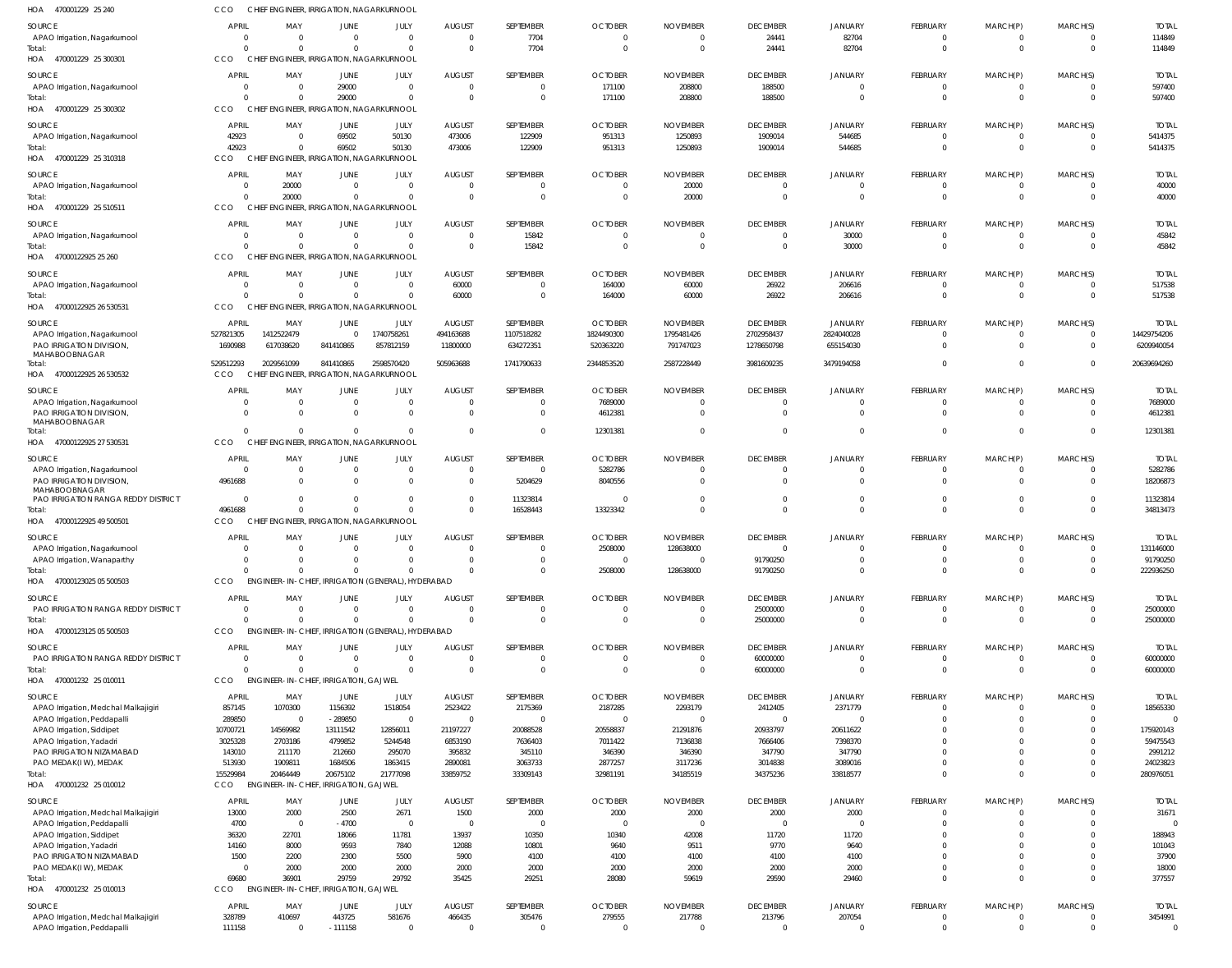| HOA 470001229 25 240                                      | CCO                            | CHIEF ENGINEER, IRRIGATION, NAGARKURNOOL               |                      |                                           |                           |                             |                            |                            |                                   |                                  |                             |                            |                                  |                          |
|-----------------------------------------------------------|--------------------------------|--------------------------------------------------------|----------------------|-------------------------------------------|---------------------------|-----------------------------|----------------------------|----------------------------|-----------------------------------|----------------------------------|-----------------------------|----------------------------|----------------------------------|--------------------------|
| <b>SOURCE</b>                                             | <b>APRIL</b>                   | MAY                                                    | JUNE                 | JULY                                      | <b>AUGUST</b>             | SEPTEMBER                   | <b>OCTOBER</b>             | <b>NOVEMBER</b>            | <b>DECEMBER</b>                   | <b>JANUARY</b>                   | <b>FEBRUARY</b>             | MARCH(P)                   | MARCH(S)                         | <b>TOTAI</b>             |
| APAO Irrigation, Nagarkurnool                             | $\overline{0}$                 | $\overline{0}$                                         | $\Omega$             | $\mathbf 0$                               | $\Omega$                  | 7704                        | $\Omega$                   |                            | 24441                             | 82704                            | $\Omega$                    | $\Omega$                   | $\circ$                          | 114849                   |
| Total:                                                    | $\Omega$                       | $\Omega$                                               | $\Omega$             | $\Omega$                                  | $\Omega$                  | 7704                        | $\Omega$                   | $\overline{0}$             | 24441                             | 82704                            | $\Omega$                    | $\mathbf{0}$               | $\overline{0}$                   | 114849                   |
| HOA 470001229 25 300301                                   | CCO                            | CHIEF ENGINEER, IRRIGATION, NAGARKURNOOL               |                      |                                           |                           |                             |                            |                            |                                   |                                  |                             |                            |                                  |                          |
| <b>SOURCE</b>                                             | <b>APRIL</b>                   | MAY                                                    | JUNE                 | JULY                                      | <b>AUGUST</b>             | SEPTEMBER                   | <b>OCTOBER</b>             | <b>NOVEMBER</b>            | <b>DECEMBER</b>                   | <b>JANUARY</b>                   | FEBRUARY                    | MARCH(P)                   | MARCH(S)                         | <b>TOTAL</b>             |
| APAO Irrigation, Nagarkurnool                             | 0                              | - 0                                                    | 29000                | $\mathbf 0$                               | $\Omega$                  | $\mathbf 0$                 | 171100                     | 208800                     | 188500                            | $\overline{0}$                   | $\Omega$                    | $\Omega$                   | $\overline{0}$                   | 597400                   |
| Total:                                                    | $\Omega$                       | $\Omega$                                               | 29000                | $\Omega$                                  | $\Omega$                  | $\Omega$                    | 171100                     | 208800                     | 188500                            | $\overline{0}$                   | $\Omega$                    | $\Omega$                   | $\overline{0}$                   | 597400                   |
| HOA<br>470001229 25 300302                                | CCO                            | <b>CHIEF</b>                                           |                      | <b>ENGINEER, IRRIGATION, NAGARKURNOOL</b> |                           |                             |                            |                            |                                   |                                  |                             |                            |                                  |                          |
| <b>SOURCE</b>                                             | <b>APRIL</b>                   | MAY                                                    | JUNE                 | JULY                                      | <b>AUGUST</b>             | SEPTEMBER                   | <b>OCTOBER</b>             | <b>NOVEMBER</b>            | <b>DECEMBER</b>                   | JANUARY                          | <b>FEBRUARY</b>             | MARCH(P)                   | MARCH(S)                         | <b>TOTAL</b>             |
| APAO Irrigation, Nagarkurnool                             | 42923                          | $\overline{0}$                                         | 69502                | 50130                                     | 473006                    | 122909                      | 951313                     | 1250893                    | 1909014                           | 544685                           | $\Omega$                    | $\Omega$                   | $\overline{0}$                   | 5414375                  |
| Total:<br>HOA 470001229 25 310318                         | 42923<br>CCO                   | $\Omega$<br>CHIEF ENGINEER, IRRIGATION, NAGARKURNOOL   | 69502                | 50130                                     | 473006                    | 122909                      | 951313                     | 1250893                    | 1909014                           | 544685                           | $\Omega$                    | $\mathbf{0}$               | $\overline{0}$                   | 5414375                  |
|                                                           |                                |                                                        |                      |                                           |                           |                             |                            |                            |                                   |                                  |                             |                            |                                  |                          |
| SOURCE                                                    | <b>APRIL</b>                   | MAY                                                    | JUNE                 | JULY                                      | <b>AUGUST</b>             | SEPTEMBER                   | <b>OCTOBER</b>             | <b>NOVEMBER</b>            | <b>DECEMBER</b>                   | <b>JANUARY</b>                   | <b>FEBRUARY</b>             | MARCH(P)                   | MARCH(S)                         | <b>TOTAL</b>             |
| APAO Irrigation, Nagarkurnool<br>Total:                   | 0<br>$\Omega$                  | 20000<br>20000                                         | $\Omega$<br>$\Omega$ | $\Omega$<br>$\Omega$                      | $\Omega$<br>$\Omega$      | 0<br>$\overline{0}$         | - ( )<br>$\Omega$          | 20000<br>20000             | $\overline{0}$<br>$\overline{0}$  | - 0<br>$\overline{0}$            | $\Omega$<br>$\Omega$        | $\Omega$<br>$\overline{0}$ | $\Omega$<br>$\overline{0}$       | 40000<br>40000           |
| HOA 470001229 25 510511                                   | CCO                            | CHIEF ENGINEER, IRRIGATION, NAGARKURNOOL               |                      |                                           |                           |                             |                            |                            |                                   |                                  |                             |                            |                                  |                          |
|                                                           |                                |                                                        |                      |                                           |                           |                             |                            |                            |                                   |                                  |                             |                            |                                  |                          |
| <b>SOURCE</b><br>APAO Irrigation, Nagarkurnool            | <b>APRIL</b><br>$\overline{0}$ | MAY<br>$\overline{0}$                                  | JUNE<br>$\Omega$     | JULY<br>$\mathbf 0$                       | <b>AUGUST</b><br>$\Omega$ | SEPTEMBER<br>15842          | <b>OCTOBER</b><br>$\Omega$ | <b>NOVEMBER</b>            | <b>DECEMBER</b><br>$\overline{0}$ | <b>JANUARY</b><br>30000          | <b>FEBRUARY</b><br>$\Omega$ | MARCH(P)<br>$\Omega$       | MARCH(S)<br>$\circ$              | <b>TOTAL</b><br>45842    |
| Total:                                                    | $\Omega$                       | $\Omega$                                               | $\Omega$             | $\Omega$                                  | $\Omega$                  | 15842                       | $\Omega$                   | $\Omega$                   | $\overline{0}$                    | 30000                            | $\Omega$                    | $\mathbf{0}$               | $\overline{0}$                   | 45842                    |
| HOA 47000122925 25 260                                    | CCO                            | CHIEF ENGINEER, IRRIGATION, NAGARKURNOOL               |                      |                                           |                           |                             |                            |                            |                                   |                                  |                             |                            |                                  |                          |
| SOURCE                                                    | <b>APRIL</b>                   | MAY                                                    | JUNE                 | JULY                                      | <b>AUGUST</b>             | SEPTEMBER                   | <b>OCTOBER</b>             | <b>NOVEMBER</b>            | <b>DECEMBER</b>                   | <b>JANUARY</b>                   | FEBRUARY                    | MARCH(P)                   | MARCH(S)                         | <b>TOTAL</b>             |
| APAO Irrigation, Nagarkurnool                             | $\Omega$                       | $\Omega$                                               | $\Omega$             | $\Omega$                                  | 60000                     | 0                           | 164000                     | 60000                      | 26922                             | 206616                           | $\Omega$                    | $\Omega$                   | $\overline{0}$                   | 517538                   |
| Total:                                                    | $\Omega$                       | $\Omega$                                               | $\Omega$             | $\Omega$                                  | 60000                     | $\mathbf{0}$                | 164000                     | 60000                      | 26922                             | 206616                           | $\Omega$                    | $\Omega$                   | $\overline{0}$                   | 517538                   |
| HOA<br>47000122925 26 530531                              | CCO                            | CHIEF ENGINEER, IRRIGATION, NAGARKURNOOL               |                      |                                           |                           |                             |                            |                            |                                   |                                  |                             |                            |                                  |                          |
| <b>SOURCE</b>                                             | <b>APRIL</b>                   | MAY                                                    | JUNE                 | JULY                                      | <b>AUGUST</b>             | SEPTEMBER                   | <b>OCTOBER</b>             | <b>NOVEMBER</b>            | <b>DECEMBER</b>                   | <b>JANUARY</b>                   | FEBRUARY                    | MARCH(P)                   | MARCH(S)                         | <b>TOTAI</b>             |
| APAO Irrigation, Nagarkurnool                             | 527821305                      | 1412522479                                             | $\Omega$             | 1740758261                                | 494163688                 | 1107518282                  | 1824490300                 | 1795481426                 | 2702958437                        | 2824040028                       | $\Omega$                    | $\Omega$                   | $\overline{\mathbf{0}}$          | 14429754206              |
| PAO IRRIGATION DIVISION,                                  | 1690988                        | 617038620                                              | 841410865            | 857812159                                 | 11800000                  | 634272351                   | 520363220                  | 791747023                  | 1278650798                        | 655154030                        | $\Omega$                    | $\Omega$                   | $\overline{0}$                   | 6209940054               |
| MAHABOOBNAGAR                                             |                                |                                                        |                      |                                           |                           |                             |                            |                            |                                   | 3479194058                       | $\Omega$                    | $\Omega$                   | $\overline{0}$                   | 20639694260              |
| Total:<br>HOA 47000122925 26 530532                       | 529512293<br><b>CCO</b>        | 2029561099<br>CHIEF ENGINEER, IRRIGATION, NAGARKURNOOL | 841410865            | 2598570420                                | 505963688                 | 1741790633                  | 2344853520                 | 2587228449                 | 3981609235                        |                                  |                             |                            |                                  |                          |
|                                                           |                                |                                                        |                      |                                           |                           |                             |                            |                            |                                   |                                  |                             |                            |                                  |                          |
| <b>SOURCE</b>                                             | <b>APRIL</b><br>$\Omega$       | MAY<br>$\Omega$                                        | JUNE<br>$\Omega$     | JULY<br>$\mathbf{0}$                      | <b>AUGUST</b><br>$\Omega$ | SEPTEMBER<br>$\Omega$       | <b>OCTOBER</b>             | <b>NOVEMBER</b><br>- 0     | <b>DECEMBER</b><br>$\overline{0}$ | <b>JANUARY</b><br>$\overline{0}$ | FEBRUARY<br>$\Omega$        | MARCH(P)<br>$\Omega$       | MARCH(S)                         | <b>TOTAL</b>             |
| APAO Irrigation, Nagarkurnool<br>PAO IRRIGATION DIVISION, | $\Omega$                       | $\Omega$                                               | $\Omega$             | $\mathbf 0$                               | $\Omega$                  | $\Omega$                    | 7689000<br>4612381         | $\Omega$                   | $\overline{0}$                    | $\overline{0}$                   | $\Omega$                    | $\Omega$                   | $\mathbf{0}$<br>$\overline{0}$   | 7689000<br>4612381       |
| MAHABOOBNAGAR                                             |                                |                                                        |                      |                                           |                           |                             |                            |                            |                                   |                                  |                             |                            |                                  |                          |
| Total:                                                    | $\Omega$                       | $\Omega$                                               | $\Omega$             | $\Omega$                                  |                           | $\overline{0}$              | 12301381                   |                            | $\overline{0}$                    | $\overline{0}$                   | $\Omega$                    | $\Omega$                   | $\overline{0}$                   | 12301381                 |
| HOA 47000122925 27 530531                                 | CCO                            | CHIEF ENGINEER, IRRIGATION, NAGARKURNOOL               |                      |                                           |                           |                             |                            |                            |                                   |                                  |                             |                            |                                  |                          |
| SOURCE                                                    | APRIL                          | MAY                                                    | JUNE                 | JULY                                      | <b>AUGUST</b>             | SEPTEMBER                   | <b>OCTOBER</b>             | <b>NOVEMBER</b>            | <b>DECEMBER</b>                   | <b>JANUARY</b>                   | <b>FEBRUARY</b>             | MARCH(P)                   | MARCH(S)                         | <b>TOTAL</b>             |
| APAO Irrigation, Nagarkurnool                             | $\overline{0}$                 | - 0                                                    | - 0                  | $\mathbf{0}$                              | $\Omega$                  | $\overline{0}$              | 5282786                    |                            | $\overline{0}$                    | $\overline{0}$                   | $\Omega$                    | $\Omega$                   | $\circ$                          | 5282786                  |
| PAO IRRIGATION DIVISION,<br>MAHABOOBNAGAR                 | 4961688                        | $\Omega$                                               | $\Omega$             | $\mathbf{0}$                              | $\Omega$                  | 5204629                     | 8040556                    |                            | $\overline{0}$                    | $\overline{0}$                   | $\Omega$                    | $\Omega$                   | $\overline{0}$                   | 18206873                 |
| PAO IRRIGATION RANGA REDDY DISTRICT                       | $\overline{0}$                 | $\Omega$                                               | $\Omega$             | $\mathbf 0$                               | $\Omega$                  | 11323814                    | - 0                        |                            | $\overline{0}$                    | $\overline{0}$                   | $\Omega$                    | $\mathbf{0}$               | $\overline{0}$                   | 11323814                 |
| Total:                                                    | 4961688                        | $\Omega$                                               | $\Omega$             | $\Omega$                                  | $\Omega$                  | 16528443                    | 13323342                   |                            | $\overline{0}$                    | $\overline{0}$                   | $\Omega$                    | $\Omega$                   | $\overline{0}$                   | 34813473                 |
| HOA 47000122925 49 500501                                 | CCO                            |                                                        |                      | CHIEF ENGINEER, IRRIGATION, NAGARKURNOOL  |                           |                             |                            |                            |                                   |                                  |                             |                            |                                  |                          |
| SOURCE                                                    | <b>APRIL</b>                   | MAY                                                    | JUNE                 | JULY                                      | <b>AUGUST</b>             | SEPTEMBER                   | <b>OCTOBER</b>             | <b>NOVEMBER</b>            | <b>DECEMBER</b>                   | <b>JANUARY</b>                   | FEBRUARY                    | MARCH(P)                   | MARCH(S)                         | <b>TOTAI</b>             |
| APAO Irrigation, Nagarkurnool                             | $\Omega$                       | $\Omega$                                               | $\Omega$             | $\Omega$                                  | $\Omega$                  | $\Omega$                    | 2508000                    | 128638000                  | $\Omega$                          | $\Omega$                         | $\Omega$                    | $\Omega$                   | $\Omega$                         | 131146000                |
| APAO Irrigation, Wanaparthy                               | $\mathbf{0}$                   | $\Omega$                                               | $\Omega$             | $\Omega$                                  | $\Omega$                  | $\mathbf 0$                 | $\Omega$                   |                            | 91790250                          | $\overline{0}$                   | $\Omega$                    | $\Omega$                   | $\overline{0}$                   | 91790250                 |
| Total:                                                    | $\Omega$                       | $\Omega$                                               | $\Omega$             | $\Omega$                                  |                           | $\mathbf{0}$                | 2508000                    | 128638000                  | 91790250                          | $\overline{0}$                   | $\Omega$                    | $\Omega$                   | $\overline{0}$                   | 222936250                |
| HOA 47000123025 05 500503                                 | CCO                            | ENGINEER-IN-CHIEF, IRRIGATION (GENERAL), HYDERABAD     |                      |                                           |                           |                             |                            |                            |                                   |                                  |                             |                            |                                  |                          |
| SOURCE                                                    | <b>APRIL</b>                   | MAY                                                    | JUNE                 | JULY                                      | <b>AUGUST</b>             | SEPTEMBER                   | <b>OCTOBER</b>             | <b>NOVEMBER</b>            | <b>DECEMBER</b>                   | <b>JANUARY</b>                   | FEBRUARY                    | MARCH(P)                   | MARCH(S)                         | <b>TOTAL</b>             |
| PAO IRRIGATION RANGA REDDY DISTRICT                       | $\overline{0}$                 | $\overline{0}$                                         | $\Omega$             | $\mathbf 0$                               | $\Omega$                  | $\overline{0}$              | $\Omega$                   |                            | 25000000                          | $\overline{0}$                   | $\Omega$                    | $\Omega$                   | $\overline{0}$                   | 25000000                 |
| Total:                                                    | $\Omega$                       | $\Omega$                                               | $\Omega$             | $\Omega$                                  |                           | $\overline{0}$              | $\Omega$                   |                            | 25000000                          | $\mathbf{0}$                     | $\Omega$                    | $\mathbf{0}$               | $\overline{0}$                   | 25000000                 |
| HOA 47000123125 05 500503                                 | CCO                            | ENGINEER-IN-CHIEF, IRRIGATION (GENERAL), HYDERABAD     |                      |                                           |                           |                             |                            |                            |                                   |                                  |                             |                            |                                  |                          |
| SOURCE                                                    | <b>APRIL</b>                   | MAY                                                    | JUNE                 | JULY                                      | <b>AUGUST</b>             | SEPTEMBER                   | <b>OCTOBER</b>             | <b>NOVEMBER</b>            | <b>DECEMBER</b>                   | <b>JANUARY</b>                   | <b>FEBRUARY</b>             | MARCH(P)                   | MARCH(S)                         | <b>TOTAL</b>             |
| PAO IRRIGATION RANGA REDDY DISTRICT<br>Total:             | $\Omega$<br>$\Omega$           | $\Omega$<br>$\Omega$                                   | $\Omega$<br>$\Omega$ | $\Omega$<br>$\Omega$                      | $\Omega$<br>$\Omega$      | $\mathbf 0$<br>$\mathbf{0}$ | $\Omega$<br>$\Omega$       | $\Omega$<br>$\Omega$       | 60000000<br>60000000              | $\overline{0}$<br>$\overline{0}$ | $\Omega$<br>$\Omega$        | $\Omega$<br>$\Omega$       | $\overline{0}$<br>$\overline{0}$ | 60000000<br>60000000     |
| HOA<br>470001232 25 010011                                | CCO                            | <b>ENGINEER-IN-CHIEF, IRRIGATION, GAJWEL</b>           |                      |                                           |                           |                             |                            |                            |                                   |                                  |                             |                            |                                  |                          |
|                                                           |                                |                                                        |                      |                                           |                           |                             |                            |                            |                                   |                                  |                             |                            |                                  |                          |
| <b>SOURCE</b><br>APAO Irrigation, Medchal Malkajigiri     | <b>APRIL</b>                   | MAY<br>1070300                                         | JUNE<br>1156392      | JULY<br>1518054                           | <b>AUGUST</b><br>2523422  | SEPTEMBER<br>2175369        | <b>OCTOBER</b><br>2187285  | <b>NOVEMBER</b><br>2293179 | <b>DECEMBER</b>                   | <b>JANUARY</b><br>2371779        | <b>FEBRUARY</b><br>$\Omega$ | MARCH(P)<br>$\Omega$       | MARCH(S)<br>$\overline{0}$       | <b>TOTAL</b><br>18565330 |
| APAO Irrigation, Peddapalli                               | 857145<br>289850               | $\overline{0}$                                         | $-289850$            | $\mathbf 0$                               | $\Omega$                  | $\mathbf 0$                 | $\Omega$                   |                            | 2412405<br>$\overline{0}$         | $\overline{0}$                   | $\Omega$                    | $\Omega$                   | $\Omega$                         |                          |
| APAO Irrigation, Siddipet                                 | 10700721                       | 14569982                                               | 13111542             | 12856011                                  | 21197227                  | 20088528                    | 20558837                   | 21291876                   | 20933797                          | 20611622                         | $\Omega$                    | $\Omega$                   | $\overline{0}$                   | 175920143                |
| APAO Irrigation, Yadadri                                  | 3025328                        | 2703186                                                | 4799852              | 5244548                                   | 6853190                   | 7636403                     | 7011422                    | 7136838                    | 7666406                           | 7398370                          | $\Omega$                    | $\Omega$                   | $\Omega$                         | 59475543                 |
| PAO IRRIGATION NIZAMABAD                                  | 143010                         | 211170                                                 | 212660               | 295070                                    | 395832                    | 345110                      | 346390                     | 346390                     | 347790                            | 347790                           |                             | $\Omega$                   | $\Omega$                         | 2991212                  |
| PAO MEDAK(IW), MEDAK                                      | 513930                         | 1909811                                                | 1684506              | 1863415                                   | 2890081                   | 3063733                     | 2877257                    | 3117236                    | 3014838                           | 3089016                          | $\Omega$                    | $\Omega$                   | $\Omega$                         | 24023823                 |
| Total:                                                    | 15529984                       | 20464449                                               | 20675102             | 21777098                                  | 33859752                  | 33309143                    | 32981191                   | 34185519                   | 34375236                          | 33818577                         | $\Omega$                    | $\Omega$                   | $\overline{0}$                   | 280976051                |
| HOA 470001232 25 010012                                   | CCO                            | <b>ENGINEER-IN-CHIEF, IRRIGATION, GAJWEL</b>           |                      |                                           |                           |                             |                            |                            |                                   |                                  |                             |                            |                                  |                          |
| <b>SOURCE</b>                                             | <b>APRIL</b>                   | MAY                                                    | <b>JUNE</b>          | JULY                                      | <b>AUGUST</b>             | SEPTEMBER                   | <b>OCTOBER</b>             | <b>NOVEMBER</b>            | <b>DECEMBER</b>                   | <b>JANUARY</b>                   | <b>FEBRUARY</b>             | MARCH(P)                   | MARCH(S)                         | <b>TOTAL</b>             |
| APAO Irrigation, Medchal Malkajigiri                      | 13000                          | 2000                                                   | 2500                 | 2671                                      | 1500                      | 2000                        | 2000                       | 2000                       | 2000                              | 2000                             | $\Omega$                    | $\Omega$                   | $\Omega$                         | 31671                    |
| APAO Irrigation, Peddapalli                               | 4700                           | $\overline{0}$                                         | $-4700$              | $\overline{0}$                            | $\Omega$<br>13937         | $\overline{0}$              | $\Omega$                   | - 0                        | $\overline{0}$                    | $\Omega$                         | $\Omega$<br>$\Omega$        | $\Omega$<br>$\Omega$       | $\Omega$<br>$\Omega$             | 188943                   |
| APAO Irrigation, Siddipet<br>APAO Irrigation, Yadadri     | 36320<br>14160                 | 22701<br>8000                                          | 18066<br>9593        | 11781<br>7840                             | 12088                     | 10350<br>10801              | 10340<br>9640              | 42008<br>9511              | 11720<br>9770                     | 11720<br>9640                    |                             | $\Omega$                   | $\Omega$                         | 101043                   |
| PAO IRRIGATION NIZAMABAD                                  | 1500                           | 2200                                                   | 2300                 | 5500                                      | 5900                      | 4100                        | 4100                       | 4100                       | 4100                              | 4100                             | $\Omega$                    | $\Omega$                   | $\Omega$                         | 37900                    |
| PAO MEDAK(IW), MEDAK                                      | $\Omega$                       | 2000                                                   | 2000                 | 2000                                      | 2000                      | 2000                        | 2000                       | 2000                       | 2000                              | 2000                             | $\Omega$                    | $\Omega$                   | $\overline{0}$                   | 18000                    |
| Total:                                                    | 69680                          | 36901                                                  | 29759                | 29792                                     | 35425                     | 29251                       | 28080                      | 59619                      | 29590                             | 29460                            | $\Omega$                    | $\Omega$                   | $\overline{0}$                   | 377557                   |
| HOA 470001232 25 010013                                   | CCO                            | ENGINEER-IN-CHIEF, IRRIGATION, GAJWEL                  |                      |                                           |                           |                             |                            |                            |                                   |                                  |                             |                            |                                  |                          |
| SOURCE                                                    | <b>APRIL</b>                   | MAY                                                    | JUNE                 | JULY                                      | <b>AUGUST</b>             | SEPTEMBER                   | <b>OCTOBER</b>             | <b>NOVEMBER</b>            | <b>DECEMBER</b>                   | <b>JANUARY</b>                   | FEBRUARY                    | MARCH(P)                   | MARCH(S)                         | <b>TOTAL</b>             |
| APAO Irrigation, Medchal Malkajigiri                      | 328789                         | 410697                                                 | 443725               | 581676                                    | 466435                    | 305476                      | 279555                     | 217788                     | 213796                            | 207054                           | $\mathbf{0}$                | $\Omega$                   | $\circ$                          | 3454991                  |
| APAO Irrigation, Peddapalli                               | 111158                         | $\overline{0}$                                         | $-111158$            | $\mathbf 0$                               | $\overline{0}$            | $\mathbf 0$                 | $\Omega$                   | $\Omega$                   | $\overline{0}$                    | $\overline{0}$                   | $\Omega$                    | $\Omega$                   | $\overline{0}$                   | $\overline{0}$           |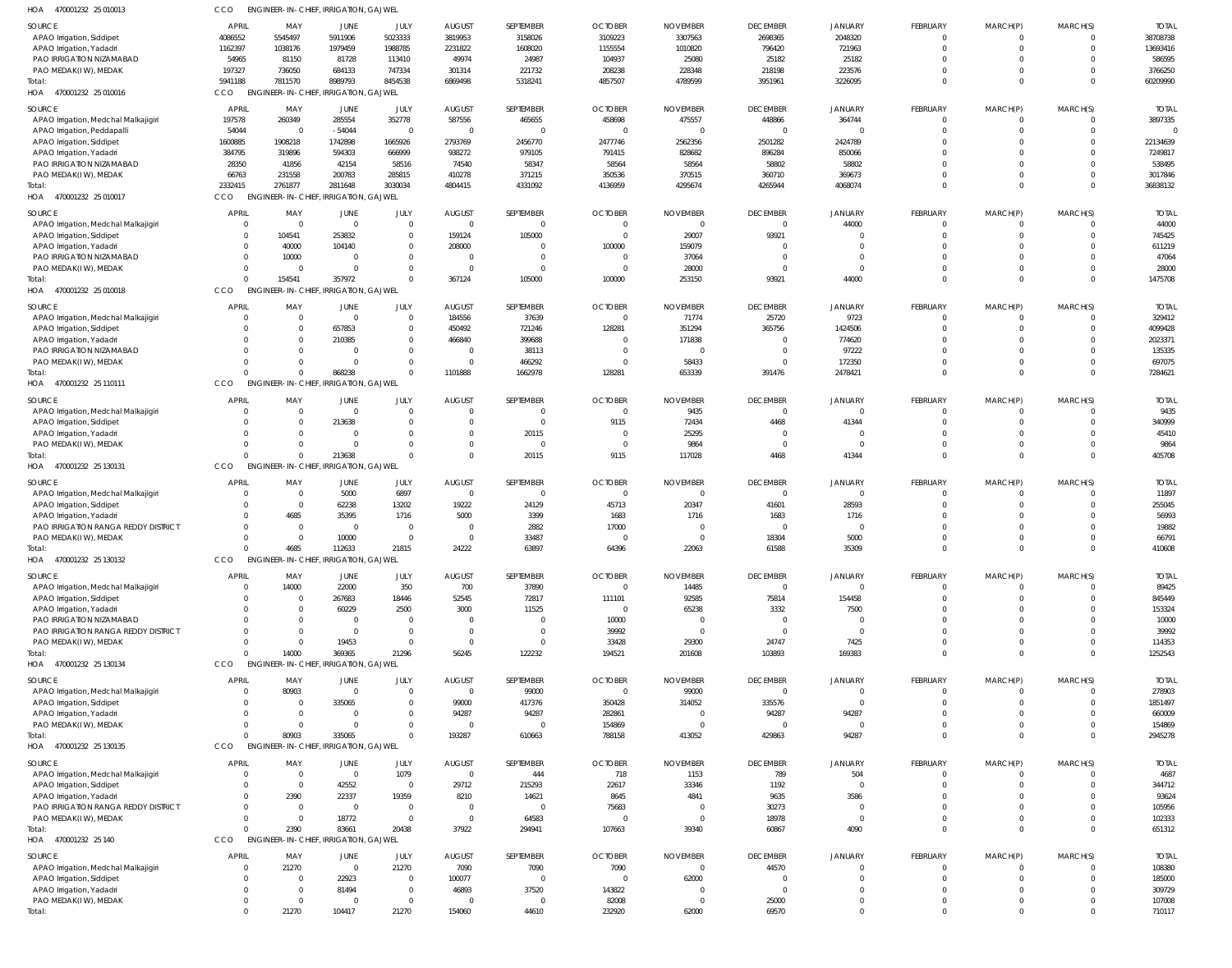| HOA<br>470001232 25 010013           | CCO            | ENGINEER-IN-CHIEF, IRRIGATION, GAJWEL        |                    |                    |                    |                    |                |                 |                 |                    |             |                |                      |                       |
|--------------------------------------|----------------|----------------------------------------------|--------------------|--------------------|--------------------|--------------------|----------------|-----------------|-----------------|--------------------|-------------|----------------|----------------------|-----------------------|
| <b>SOURCE</b>                        | APRIL          | MAY                                          | JUNE               | JULY               | <b>AUGUST</b>      | SEPTEMBER          | <b>OCTOBER</b> | <b>NOVEMBER</b> | <b>DECEMBER</b> | <b>JANUARY</b>     | FEBRUARY    | MARCH(P)       | MARCH(S)             | <b>TOTAL</b>          |
| APAO Irrigation, Siddipet            | 4086552        | 5545497                                      | 5911906            | 5023333            | 3819953            | 3158026            | 3109223        | 3307563         | 2698365         | 2048320            | $\Omega$    | $^{\circ}$     | $\overline{0}$       | 38708738              |
| APAO Irrigation, Yadadri             | 1162397        | 1038176                                      | 1979459            | 1988785            | 2231822            | 1608020            | 1155554        | 1010820         | 796420          | 721963             | $\Omega$    | $\mathbf 0$    | $\Omega$             | 13693416              |
| PAO IRRIGATION NIZAMABAD             | 54965          | 81150                                        | 81728              | 113410             | 49974              | 24987              | 104937         | 25080           | 25182           | 25182              |             | $\Omega$       | $\Omega$             | 586595                |
| PAO MEDAK(IW), MEDAK                 | 197327         | 736050                                       | 684133             | 747334             | 301314             | 221732             | 208238         | 228348          | 218198          | 223576             |             | $\mathbf 0$    | $\Omega$             | 3766250               |
| Total:                               | 5941188        | 7811570                                      | 8989793            | 8454538            | 6869498            | 5318241            | 4857507        | 4789599         | 3951961         | 3226095            | $\Omega$    | $\mathbf 0$    | $\Omega$             | 60209990              |
| HOA 470001232 25 010016              | <b>CCO</b>     | <b>ENGINEER-IN-CHIEF</b>                     | IRRIGATION, GAJWEL |                    |                    |                    |                |                 |                 |                    |             |                |                      |                       |
|                                      | <b>APRIL</b>   |                                              |                    |                    |                    | SEPTEMBER          |                |                 |                 |                    |             |                |                      | <b>TOTAL</b>          |
| SOURCE                               |                | MAY                                          | JUNE               | JULY               | <b>AUGUST</b>      |                    | <b>OCTOBER</b> | <b>NOVEMBER</b> | <b>DECEMBER</b> | <b>JANUARY</b>     | FEBRUARY    | MARCH(P)       | MARCH(S)<br>$\Omega$ |                       |
| APAO Irrigation, Medchal Malkajigiri | 197578         | 260349<br>$\Omega$                           | 285554             | 352778<br>$\Omega$ | 587556<br>$\Omega$ | 465655<br>$\Omega$ | 458698         | 475557          | 448866          | 364744<br>$\Omega$ | $\cup$      | -0<br>$\Omega$ | $\Omega$             | 3897335<br>$\sqrt{ }$ |
| APAO Irrigation, Peddapalli          | 54044          |                                              | $-54044$           |                    |                    |                    |                | $\Omega$        | $\overline{0}$  |                    |             |                |                      |                       |
| APAO Irrigation, Siddipet            | 1600885        | 1908218                                      | 1742898            | 1665926            | 2793769            | 2456770            | 2477746        | 2562356         | 2501282         | 2424789            |             | $\Omega$       | $\Omega$             | 22134639              |
| APAO Irrigation, Yadadri             | 384795         | 319896                                       | 594303             | 666999             | 938272             | 979105             | 791415         | 828682          | 896284          | 850066             |             | $\Omega$       |                      | 7249817               |
| PAO IRRIGATION NIZAMABAD             | 28350          | 41856                                        | 42154              | 58516              | 74540              | 58347              | 58564          | 58564           | 58802           | 58802              |             | $\Omega$       | $\Omega$             | 538495                |
| PAO MEDAK(IW), MEDAK                 | 66763          | 231558                                       | 200783             | 285815             | 410278             | 371215             | 350536         | 370515          | 360710          | 369673             |             | $\mathbf 0$    | $\Omega$             | 3017846               |
| Total:                               | 2332415        | 2761877                                      | 2811648            | 3030034            | 4804415            | 4331092            | 4136959        | 4295674         | 4265944         | 4068074            | $\Omega$    | $\Omega$       | $\Omega$             | 36838132              |
| HOA<br>470001232 25 010017           | CCO            | ENGINEER-IN-CHIEF, IRRIGATION, GAJWEL        |                    |                    |                    |                    |                |                 |                 |                    |             |                |                      |                       |
| SOURCE                               | <b>APRIL</b>   | MAY                                          | JUNE               | JULY               | <b>AUGUST</b>      | SEPTEMBER          | <b>OCTOBER</b> | <b>NOVEMBER</b> | <b>DECEMBER</b> | <b>JANUARY</b>     | FEBRUARY    | MARCH(P)       | MARCH(S)             | <b>TOTAL</b>          |
| APAO Irrigation, Medchal Malkajigiri | $\overline{0}$ | $\overline{0}$                               | $\mathbf{0}$       | $\Omega$           | $\mathbf 0$        | $\Omega$           | 0              | $\Omega$        | $\overline{0}$  | 44000              | $\Omega$    | $^{\circ}$     | $\Omega$             | 44000                 |
| APAO Irrigation, Siddipet            | $\mathbf{0}$   | 104541                                       | 253832             | $\Omega$           | 159124             | 105000             | $\Omega$       | 29007           | 93921           | $\Omega$           | $\Omega$    | $\overline{0}$ | $\Omega$             | 745425                |
| APAO Irrigation, Yadadri             | $\mathbf{0}$   | 40000                                        | 104140             | $\Omega$           | 208000             | $\Omega$           | 100000         | 159079          | $\Omega$        | $\Omega$           |             | $\Omega$       | $\Omega$             | 611219                |
| PAO IRRIGATION NIZAMABAD             | $\mathbf 0$    | 10000                                        | $\overline{0}$     | $\Omega$           | $\Omega$           | $\Omega$           | 0              | 37064           | C               | $\Omega$           |             | $\Omega$       | $\Omega$             | 47064                 |
| PAO MEDAK(IW), MEDAK                 | $\Omega$       | $\Omega$                                     | $\mathbf 0$        | $\Omega$           | $\Omega$           | $\Omega$           | $\Omega$       | 28000           | $\Omega$        | $\Omega$           | $\Omega$    | $\mathbf 0$    | $\Omega$             | 28000                 |
| Total:                               | $\Omega$       | 154541                                       | 357972             | $\Omega$           | 367124             | 105000             | 100000         | 253150          | 93921           | 44000              | $\Omega$    | $\Omega$       | $\Omega$             | 1475708               |
| HOA 470001232 25 010018              | CCO            | ENGINEER-IN-CHIEF, IRRIGATION, GAJWEL        |                    |                    |                    |                    |                |                 |                 |                    |             |                |                      |                       |
|                                      |                |                                              |                    |                    |                    |                    |                |                 |                 |                    |             |                |                      |                       |
| SOURCE                               | <b>APRIL</b>   | MAY                                          | <b>JUNE</b>        | JULY               | <b>AUGUST</b>      | SEPTEMBER          | <b>OCTOBER</b> | <b>NOVEMBER</b> | <b>DECEMBER</b> | JANUARY            | FEBRUARY    | MARCH(P)       | MARCH(S)             | <b>TOTAL</b>          |
| APAO Irrigation, Medchal Malkajigiri | $\Omega$       | 0                                            | $\Omega$           | $\Omega$           | 184556             | 37639              |                | 71774           | 25720           | 9723               |             | -0             | $\Omega$             | 329412                |
| APAO Irrigation, Siddipet            | $\Omega$       | $\Omega$                                     | 657853             | $\Omega$           | 450492             | 721246             | 128281         | 351294          | 365756          | 1424506            |             | $\Omega$       | $\Omega$             | 4099428               |
| APAO Irrigation, Yadadri             | $\Omega$       | $\Omega$                                     | 210385             | $\Omega$           | 466840             | 399688             |                | 171838          | $\Omega$        | 774620             |             | $\Omega$       | $\Omega$             | 2023371               |
| PAO IRRIGATION NIZAMABAD             | U              | $\Omega$                                     | $\Omega$           |                    | 0                  | 38113              |                | $\Omega$        | C               | 97222              |             | $\Omega$       | $\Omega$             | 135335                |
| PAO MEDAK(IW), MEDAK                 | $\Omega$       | $\Omega$                                     | $\Omega$           |                    | $\Omega$           | 466292             |                | 58433           | $\Omega$        | 172350             |             | $\Omega$       | $\Omega$             | 697075                |
| Total:                               | U              | $\Omega$                                     | 868238             |                    | 1101888            | 1662978            | 128281         | 653339          | 391476          | 2478421            | $\Omega$    | $\Omega$       | $\Omega$             | 7284621               |
| HOA 470001232 25 110111              | CCO            | <b>ENGINEER-IN-CHIEF, IRRIGATION, GAJWEL</b> |                    |                    |                    |                    |                |                 |                 |                    |             |                |                      |                       |
| SOURCE                               | <b>APRIL</b>   | MAY                                          | JUNE               | JULY               | <b>AUGUST</b>      | SEPTEMBER          | <b>OCTOBER</b> | <b>NOVEMBER</b> | <b>DECEMBER</b> | <b>JANUARY</b>     | FEBRUARY    | MARCH(P)       | MARCH(S)             | <b>TOTAL</b>          |
| APAO Irrigation, Medchal Malkajigiri | $\overline{0}$ | $\Omega$                                     | $\mathbf{0}$       | $\Omega$           | $\Omega$           | $\Omega$           | $\Omega$       | 9435            | $\overline{0}$  | $^{\circ}$         | $\Omega$    | $^{\circ}$     | $\Omega$             | 9435                  |
| APAO Irrigation, Siddipet            | $\Omega$       | $\Omega$                                     | 213638             | $\Omega$           | $\Omega$           | $\Omega$           | 9115           | 72434           | 4468            | 41344              | $\Omega$    | $\mathbf 0$    | $\overline{0}$       | 340999                |
| APAO Irrigation, Yadadri             | $\Omega$       | $\Omega$                                     | $\Omega$           | $\Omega$           | $\Omega$           | 20115              | 0              | 25295           | $\overline{0}$  | $\Omega$           | $\Omega$    | $\mathbf 0$    | $\Omega$             | 45410                 |
| PAO MEDAK(IW), MEDAK                 | $\Omega$       | $\Omega$                                     | $\overline{0}$     |                    | $\Omega$           | $\Omega$           | $\Omega$       | 9864            | $\Omega$        | $\Omega$           | $\Omega$    | $\mathbf 0$    | $\Omega$             | 9864                  |
| Total:                               | $\Omega$       | $\Omega$                                     | 213638             | $\Omega$           | $\Omega$           | 20115              | 9115           | 117028          | 4468            | 41344              | $\Omega$    | $\Omega$       | $\Omega$             | 405708                |
| HOA 470001232 25 130131              | CCO            | <b>ENGINEER-IN-CHIEF, IRRIGATION, GAJWEL</b> |                    |                    |                    |                    |                |                 |                 |                    |             |                |                      |                       |
|                                      |                |                                              |                    |                    |                    |                    |                |                 |                 |                    |             |                |                      |                       |
| SOURCE                               | <b>APRIL</b>   | MAY                                          | <b>JUNE</b>        | JULY               | <b>AUGUST</b>      | SEPTEMBER          | <b>OCTOBER</b> | <b>NOVEMBER</b> | <b>DECEMBER</b> | <b>JANUARY</b>     | FEBRUARY    | MARCH(P)       | MARCH(S)             | <b>TOTAL</b>          |
| APAO Irrigation, Medchal Malkajigiri | $\Omega$       | $\Omega$                                     | 5000               | 6897               | $\mathbf 0$        | $\Omega$           | 0              | $\Omega$        | $\overline{0}$  | $\mathbf 0$        |             | -0             | $\Omega$             | 11897                 |
| APAO Irrigation, Siddipet            | $\Omega$       | $\mathbf{0}$                                 | 62238              | 13202              | 19222              | 24129              | 45713          | 20347           | 41601           | 28593              |             | $\Omega$       | $\Omega$             | 255045                |
| APAO Irrigation, Yadadri             | $\Omega$       | 4685                                         | 35395              | 1716               | 5000               | 3399               | 1683           | 1716            | 1683            | 1716               |             | $\Omega$       | $\Omega$             | 56993                 |
| PAO IRRIGATION RANGA REDDY DISTRICT  | $\Omega$       | $\Omega$                                     | $\overline{0}$     | - 0                | $\Omega$           | 2882               | 17000          |                 | 0               | $\Omega$           |             | $\Omega$       |                      | 19882                 |
| PAO MEDAK(IW), MEDAK                 | $\Omega$       | $\Omega$                                     | 10000              | $\Omega$           | $\Omega$           | 33487              |                | $\Omega$        | 18304           | 5000               |             | $\Omega$       | $\Omega$             | 66791                 |
| Total:                               | $\Omega$       | 4685                                         | 112633             | 21815              | 24222              | 63897              | 64396          | 22063           | 61588           | 35309              | $\Omega$    | $\Omega$       | $\Omega$             | 410608                |
| HOA<br>470001232 25 130132           | CCO            | ENGINEER-IN-CHIEF, IRRIGATION, GAJWEL        |                    |                    |                    |                    |                |                 |                 |                    |             |                |                      |                       |
| <b>SOURCE</b>                        | <b>APRIL</b>   | MAY                                          | JUNE               | JULY               | <b>AUGUST</b>      | SEPTEMBER          | <b>OCTOBER</b> | <b>NOVEMBER</b> | <b>DECEMBER</b> | <b>JANUARY</b>     | FEBRUARY    | MARCH(P)       | MARCH(S)             | <b>TOTAL</b>          |
| APAO Irrigation, Medchal Malkajigiri | $\Omega$       | 14000                                        | 22000              | 350                | 700                | 37890              | $\mathbf{0}$   | 14485           | $\mathbf 0$     | $\overline{0}$     | $\Omega$    | $^{\circ}$     | $\Omega$             | 89425                 |
| APAO Irrigation, Siddipet            | $\Omega$       | 0                                            | 267683             | 18446              | 52545              | 72817              | 111101         | 92585           | 75814           | 154458             | $\Omega$    | $\mathbf 0$    | $\overline{0}$       | 845449                |
| APAO Irrigation, Yadadri             | $\Omega$       | $\Omega$                                     | 60229              | 2500               | 3000               | 11525              | $\mathbf{0}$   | 65238           | 3332            | 7500               |             | $\Omega$       | $\Omega$             | 153324                |
| PAO IRRIGATION NIZAMABAD             | $\Omega$       | $\Omega$                                     | $\mathbf{0}$       | $\Omega$           | $\mathbf 0$        | $\Omega$           | 10000          | $\overline{0}$  | $\overline{0}$  | $\Omega$           |             | $\Omega$       | $\Omega$             | 10000                 |
| PAO IRRIGATION RANGA REDDY DISTRICT  | $\mathbf 0$    | $\Omega$                                     | $\mathbf{0}$       | $\Omega$           | $\mathbf 0$        | $\Omega$           | 39992          | $\Omega$        | $\Omega$        | $\Omega$           |             | $\Omega$       | $\Omega$             | 39992                 |
| PAO MEDAK(IW), MEDAK                 | $\Omega$       | $\Omega$                                     | 19453              | $\Omega$           | $\Omega$           | $\Omega$           | 33428          | 29300           | 24747           | 7425               | $\Omega$    | $\Omega$       | $\Omega$             | 114353                |
| Total:                               | $\Omega$       | 14000                                        | 369365             | 21296              | 56245              | 122232             | 194521         | 201608          | 103893          | 169383             | $\Omega$    | $\Omega$       | $\Omega$             | 1252543               |
| HOA 470001232 25 130134              | CCO            | ENGINEER-IN-CHIEF, IRRIGATION, GAJWEL        |                    |                    |                    |                    |                |                 |                 |                    |             |                |                      |                       |
|                                      |                |                                              |                    |                    |                    |                    |                |                 |                 |                    |             |                |                      |                       |
| <b>SOURCE</b>                        | <b>APRIL</b>   | MAY                                          | <b>JUNE</b>        | JULY               | <b>AUGUST</b>      | SEPTEMBER          | <b>OCTOBER</b> | <b>NOVEMBER</b> | <b>DECEMBER</b> | <b>JANUARY</b>     | FEBRUARY    | MARCH(P)       | MARCH(S)             | <b>TOTAL</b>          |
| APAO Irrigation, Medchal Malkajigiri | $\Omega$       | 80903                                        | $\Omega$           | $\Omega$           | $\mathbf 0$        | 99000              | 0              | 99000           | $\overline{0}$  | $\Omega$           |             | $\Omega$       | $\Omega$             | 278903                |
| APAO Irrigation, Siddipet            | $\Omega$       | 0                                            | 335065             |                    | 99000              | 417376             | 350428         | 314052          | 335576          | $\Omega$           |             | $\Omega$       | $\Omega$             | 1851497               |
| APAO Irrigation, Yadadri             | $\Omega$       | $\Omega$                                     | $\Omega$           | $\Omega$           | 94287              | 94287              | 282861         | $\Omega$        | 94287           | 94287              |             | $\Omega$       | $\Omega$             | 660009                |
| PAO MEDAK(IW), MEDAK                 | $\Omega$       | $\Omega$                                     | $\Omega$           | $\Omega$           | $\mathbf 0$        | $\Omega$           | 154869         | $\Omega$        | $\overline{0}$  | $\mathbf 0$        | $\Omega$    | $\mathbf 0$    | $\Omega$             | 154869                |
| Total:                               | $\Omega$       | 80903                                        | 335065             | $\Omega$           | 193287             | 610663             | 788158         | 413052          | 429863          | 94287              | $\Omega$    | $\Omega$       | $\Omega$             | 2945278               |
| HOA<br>470001232 25 130135           | <b>CCO</b>     | <b>ENGINEER-IN-CHIEF, IRRIGATION, GAJWEL</b> |                    |                    |                    |                    |                |                 |                 |                    |             |                |                      |                       |
| SOURCE                               | <b>APRIL</b>   | MAY                                          | JUNE               | JULY               | <b>AUGUST</b>      | SEPTEMBER          | <b>OCTOBER</b> | <b>NOVEMBER</b> | <b>DECEMBER</b> | <b>JANUARY</b>     | FEBRUARY    | MARCH(P)       | MARCH(S)             | <b>TOTAL</b>          |
| APAO Irrigation, Medchal Malkajigiri | $\overline{0}$ | $\mathbf{0}$                                 | $\mathbf{0}$       | 1079               | $\overline{0}$     | 444                | 718            | 1153            | 789             | 504                | $\Omega$    | $^{\circ}$     | $\Omega$             | 4687                  |
| APAO Irrigation, Siddipet            | $\mathbf{0}$   | $\mathbf 0$                                  | 42552              | $\mathbf{0}$       | 29712              | 215293             | 22617          | 33346           | 1192            | $\overline{0}$     | $\Omega$    | $\mathbf 0$    | $\Omega$             | 344712                |
| APAO Irrigation, Yadadri             | $\mathbf 0$    | 2390                                         | 22337              | 19359              | 8210               | 14621              | 8645           | 4841            | 9635            | 3586               |             | $\Omega$       | $\Omega$             | 93624                 |
| PAO IRRIGATION RANGA REDDY DISTRICT  | $\mathbf 0$    | $\mathbf{0}$                                 | $\mathbf{0}$       | $\Omega$           | $\mathbf 0$        | $\overline{0}$     | 75683          | $\Omega$        | 30273           | $\overline{0}$     |             | $\Omega$       | $\Omega$             | 105956                |
| PAO MEDAK(IW), MEDAK                 | $\Omega$       | $\Omega$                                     | 18772              | $\Omega$           | $\overline{0}$     | 64583              | $\Omega$       | $\Omega$        | 18978           | $\overline{0}$     | $\Omega$    | $\mathbf 0$    | $\Omega$             | 102333                |
| Total:                               | $\Omega$       | 2390                                         | 83661              | 20438              | 37922              | 294941             | 107663         | 39340           | 60867           | 4090               | $\Omega$    | $\Omega$       | $\Omega$             | 651312                |
| HOA 470001232 25 140                 | CCO            | ENGINEER-IN-CHIEF, IRRIGATION, GAJWEL        |                    |                    |                    |                    |                |                 |                 |                    |             |                |                      |                       |
|                                      |                |                                              |                    |                    |                    |                    |                |                 |                 |                    |             |                |                      |                       |
| <b>SOURCE</b>                        | <b>APRIL</b>   | MAY                                          | <b>JUNE</b>        | JULY               | <b>AUGUST</b>      | SEPTEMBER          | <b>OCTOBER</b> | <b>NOVEMBER</b> | <b>DECEMBER</b> | <b>JANUARY</b>     | FEBRUARY    | MARCH(P)       | MARCH(S)             | <b>TOTAL</b>          |
| APAO Irrigation, Medchal Malkajigiri | $\Omega$       | 21270                                        | $\mathbf{0}$       | 21270              | 7090               | 7090               | 7090           | $\Omega$        | 44570           | $\Omega$           |             | -0             | $\Omega$             | 108380                |
| APAO Irrigation, Siddipet            | $\Omega$       | 0                                            | 22923              | $\Omega$           | 100077             | $\Omega$           | $\Omega$       | 62000           | $\Omega$        | $\Omega$           |             | $\Omega$       | $\Omega$             | 185000                |
| APAO Irrigation, Yadadri             | $\Omega$       | $\Omega$                                     | 81494              | $\Omega$           | 46893              | 37520              | 143822         | $\Omega$        | $\Omega$        | $\Omega$           |             | $\Omega$       | $\Omega$             | 309729                |
|                                      |                |                                              |                    |                    |                    |                    |                |                 |                 |                    |             |                |                      |                       |
| PAO MEDAK(IW), MEDAK                 | $\mathbf 0$    | $\mathbf{0}$                                 | 0                  | $\Omega$           | $\mathbf 0$        | $\Omega$           | 82008          | $\overline{0}$  | 25000           | $\mathbf 0$        | $\mathbf 0$ | $\mathbf 0$    | $\mathbf 0$          | 107008                |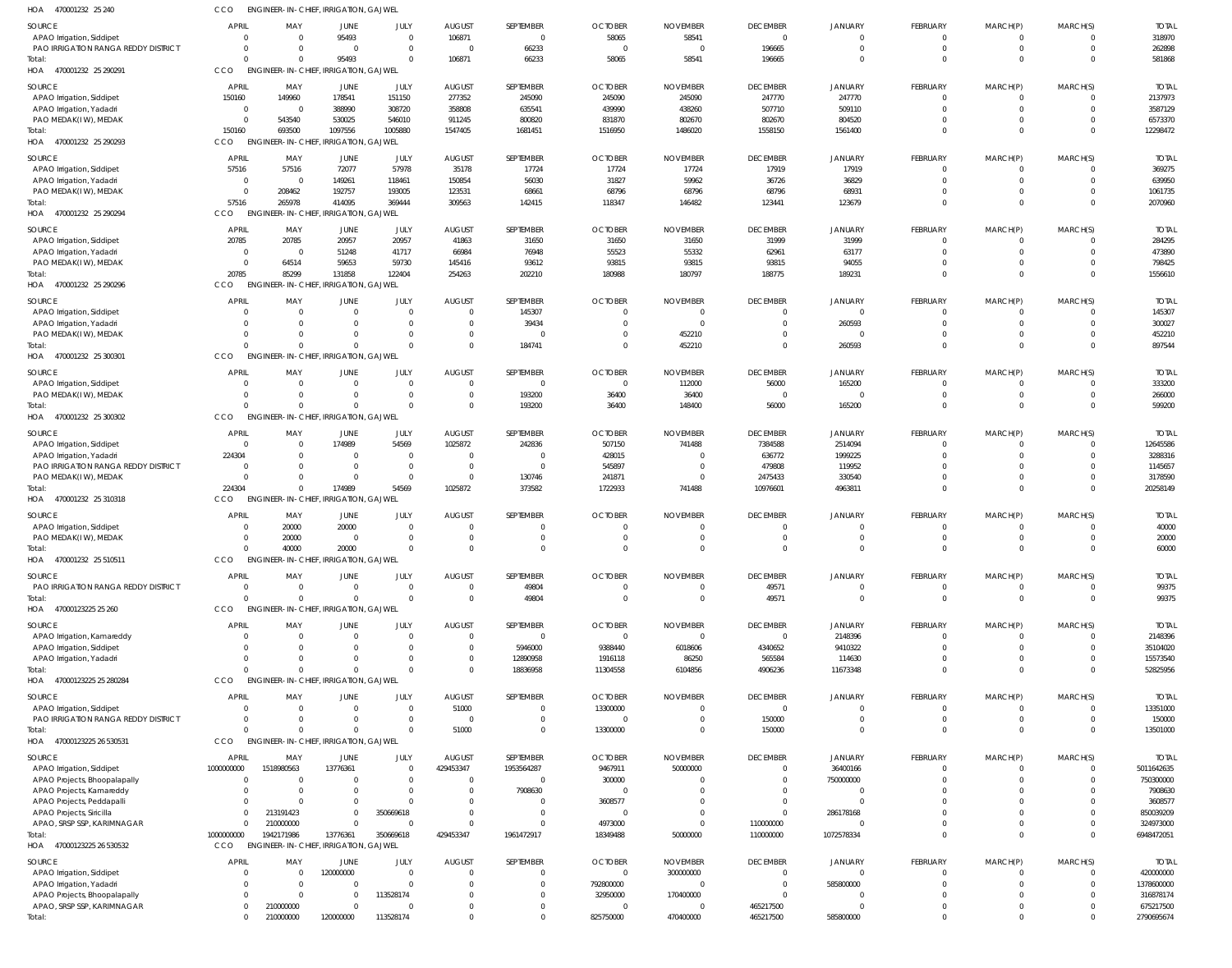| HOA<br>470001232 25 240                    | CCO            | <b>ENGINEER-IN-CHIEF, IRRIGATION, GAJWEL</b> |                           |                |                |                |                |                 |                 |                |              |             |                |              |
|--------------------------------------------|----------------|----------------------------------------------|---------------------------|----------------|----------------|----------------|----------------|-----------------|-----------------|----------------|--------------|-------------|----------------|--------------|
| SOURCE                                     | <b>APRIL</b>   | MAY                                          | <b>JUNE</b>               | JULY           | <b>AUGUST</b>  | SEPTEMBER      | <b>OCTOBER</b> | <b>NOVEMBER</b> | <b>DECEMBER</b> | JANUARY        | FEBRUARY     | MARCH(P)    | MARCH(S)       | <b>TOTAL</b> |
| APAO Irrigation, Siddipet                  | $\Omega$       |                                              | 95493                     | $\Omega$       | 106871         | $\overline{0}$ | 58065          | 58541           | $\overline{0}$  | $\overline{0}$ | $^{\circ}$   | 0           | 0              | 318970       |
| PAO IRRIGATION RANGA REDDY DISTRICT        | $\Omega$       |                                              | $\Omega$                  | $\overline{0}$ | $\overline{0}$ | 66233          | - 0            | $\Omega$        | 196665          | $\Omega$       | $\mathbf 0$  | $\mathbf 0$ | $\Omega$       | 262898       |
| Total:                                     | $\Omega$       |                                              | 95493                     | $\Omega$       | 106871         | 66233          | 58065          | 58541           | 196665          | $\Omega$       | $\mathbf 0$  | $\mathbf 0$ | $\Omega$       | 581868       |
| HOA 470001232 25 290291                    | <b>CCO</b>     | <b>ENGINEER-IN-CHIEF, IRRIGATION, GAJWEL</b> |                           |                |                |                |                |                 |                 |                |              |             |                |              |
| <b>SOURCE</b>                              | <b>APRIL</b>   | MAY                                          | <b>JUNE</b>               | JULY           | <b>AUGUST</b>  | SEPTEMBER      | <b>OCTOBER</b> | <b>NOVEMBER</b> | <b>DECEMBER</b> | JANUARY        | FEBRUARY     | MARCH(P)    | MARCH(S)       | <b>TOTAL</b> |
| APAO Irrigation, Siddipet                  | 150160         | 149960                                       | 178541                    | 151150         | 277352         | 245090         | 245090         | 245090          | 247770          | 247770         | $^{\circ}$   | 0           | $\overline{0}$ | 2137973      |
| APAO Irrigation, Yadadri                   | $\overline{0}$ | $\Omega$                                     | 388990                    | 308720         | 358808         | 635541         | 439990         | 438260          | 507710          | 509110         | $\mathbf 0$  | $\mathbf 0$ | $\Omega$       | 3587129      |
| PAO MEDAK(IW), MEDAK                       | $\sqrt{ }$     | 543540                                       | 530025                    | 546010         | 911245         | 800820         | 831870         | 802670          | 802670          | 804520         | $\mathbf 0$  | $\mathbf 0$ | $\Omega$       | 6573370      |
| Total:                                     | 150160         | 693500                                       | 1097556                   | 1005880        | 1547405        | 1681451        | 1516950        | 1486020         | 1558150         | 1561400        | $\mathbf 0$  | $\mathbf 0$ | $\Omega$       | 12298472     |
| HOA 470001232 25 290293                    | CCO            | <b>ENGINEER-IN-CHIEF,</b>                    | <b>IRRIGATION, GAJWEL</b> |                |                |                |                |                 |                 |                |              |             |                |              |
| <b>SOURCE</b>                              | <b>APRIL</b>   | MAY                                          | <b>JUNE</b>               | JULY           | <b>AUGUST</b>  | SEPTEMBER      | <b>OCTOBER</b> | <b>NOVEMBER</b> | <b>DECEMBER</b> | JANUARY        | FEBRUARY     | MARCH(P)    | MARCH(S)       | <b>TOTAL</b> |
| APAO Irrigation, Siddipet                  | 57516          | 57516                                        | 72077                     | 57978          | 35178          | 17724          | 17724          | 17724           | 17919           | 17919          | $^{\circ}$   | 0           | $\Omega$       | 369275       |
| APAO Irrigation, Yadadri                   | $\overline{0}$ | $\Omega$                                     | 149261                    | 118461         | 150854         | 56030          | 31827          | 59962           | 36726           | 36829          | $\mathbf 0$  | $\mathbf 0$ | $\Omega$       | 639950       |
| PAO MEDAK(IW), MEDAK                       | $\Omega$       | 208462                                       | 192757                    | 193005         | 123531         | 68661          | 68796          | 68796           | 68796           | 68931          | $\mathbf 0$  | $\mathbf 0$ | $\Omega$       | 1061735      |
| Total:                                     | 57516          | 265978                                       | 414095                    | 369444         | 309563         | 142415         | 118347         | 146482          | 123441          | 123679         | $\mathbf 0$  | $\mathbf 0$ | $\Omega$       | 2070960      |
| HOA<br>470001232 25 290294                 | CCO            | <b>ENGINEER-IN-CHIEF,</b>                    | <b>IRRIGATION, GAJWEL</b> |                |                |                |                |                 |                 |                |              |             |                |              |
| <b>SOURCE</b>                              | <b>APRIL</b>   | MAY                                          | <b>JUNE</b>               | JULY           | <b>AUGUST</b>  | SEPTEMBER      | <b>OCTOBER</b> | <b>NOVEMBER</b> | <b>DECEMBER</b> | <b>JANUARY</b> | FEBRUARY     | MARCH(P)    | MARCH(S)       | <b>TOTAL</b> |
| APAO Irrigation, Siddipet                  | 20785          | 20785                                        | 20957                     | 20957          | 41863          | 31650          | 31650          | 31650           | 31999           | 31999          | $^{\circ}$   | 0           | $\overline{0}$ | 284295       |
| APAO Irrigation, Yadadri                   | $\circ$        | - 0                                          | 51248                     | 41717          | 66984          | 76948          | 55523          | 55332           | 62961           | 63177          | $\mathbf 0$  | $\mathbf 0$ | $\Omega$       | 473890       |
| PAO MEDAK(IW), MEDAK                       | $\Omega$       | 64514                                        | 59653                     | 59730          | 145416         | 93612          | 93815          | 93815           | 93815           | 94055          | $\mathbf 0$  | $\mathbf 0$ | $\overline{0}$ | 798425       |
| Total:                                     | 20785          | 85299                                        | 131858                    | 122404         | 254263         | 202210         | 180988         | 180797          | 188775          | 189231         | $\mathbf 0$  | $\mathbf 0$ | $\Omega$       | 1556610      |
| HOA<br>470001232 25 290296                 | CCO            | ENGINEER-IN-CHIEF, IRRIGATION, GAJWEL        |                           |                |                |                |                |                 |                 |                |              |             |                |              |
| SOURCE                                     | <b>APRIL</b>   | MAY                                          | <b>JUNE</b>               | JULY           | <b>AUGUST</b>  | SEPTEMBER      | <b>OCTOBER</b> | <b>NOVEMBER</b> | <b>DECEMBER</b> | JANUARY        | FEBRUARY     | MARCH(P)    | MARCH(S)       | <b>TOTAI</b> |
| APAO Irrigation, Siddipet                  | $\Omega$       |                                              | $\Omega$                  | $\Omega$       | $\mathbf 0$    | 145307         |                | - 0             | $\overline{0}$  | $\overline{0}$ | $\mathbf 0$  | 0           | $\Omega$       | 145307       |
| APAO Irrigation, Yadadri                   | -0             |                                              | $\Omega$                  | $\overline{0}$ | $\Omega$       | 39434          |                | - 0             | $\mathbf{0}$    | 260593         | $\mathbf 0$  | $\mathbf 0$ | $\Omega$       | 300027       |
| PAO MEDAK(IW), MEDAK                       |                |                                              | $\Omega$                  | $\Omega$       | $\Omega$       | $\mathbf 0$    |                | 452210          | $\Omega$        | $\overline{0}$ | $\mathbf 0$  | $\mathbf 0$ | $\Omega$       | 452210       |
| Total:                                     |                |                                              | $\Omega$                  | $\Omega$       | $\Omega$       | 184741         |                | 452210          | $\Omega$        | 260593         | $\mathbf 0$  | $\mathbf 0$ | $\Omega$       | 897544       |
| HOA<br>470001232 25 300301                 | CCO            | ENGINEER-IN-CHIEF, IRRIGATION, GAJWEL        |                           |                |                |                |                |                 |                 |                |              |             |                |              |
| SOURCE                                     | <b>APRIL</b>   | MAY                                          | JUNE                      | JULY           | <b>AUGUST</b>  | SEPTEMBER      | <b>OCTOBER</b> | <b>NOVEMBER</b> | <b>DECEMBER</b> | <b>JANUARY</b> | FEBRUARY     | MARCH(P)    | MARCH(S)       | <b>TOTAL</b> |
| APAO Irrigation, Siddipet                  | $\Omega$       | $\Omega$                                     | $\overline{0}$            | $\overline{0}$ | $\overline{0}$ | $\mathbf 0$    |                | 112000          | 56000           | 165200         | $^{\circ}$   | $^{\circ}$  | $\overline{0}$ | 333200       |
| PAO MEDAK(IW), MEDAK                       | $\Omega$       | $\Omega$                                     | $\overline{0}$            | $\overline{0}$ | $\mathbf{0}$   | 193200         | 36400          | 36400           | $\overline{0}$  | $\overline{0}$ | $\mathbf 0$  | $\mathbf 0$ | $\overline{0}$ | 266000       |
| Total:                                     | $\Omega$       |                                              | $\Omega$                  | $\Omega$       | $\Omega$       | 193200         | 36400          | 148400          | 56000           | 165200         | $\mathbf 0$  | $\mathbf 0$ | $\Omega$       | 599200       |
| 470001232 25 300302<br>HOA                 | CCO            | <b>ENGINEER-IN-CHIEF, IRRIGATION, GAJWEL</b> |                           |                |                |                |                |                 |                 |                |              |             |                |              |
| SOURCE                                     | <b>APRIL</b>   | MAY                                          | <b>JUNE</b>               | JULY           | <b>AUGUST</b>  | SEPTEMBER      | <b>OCTOBER</b> | <b>NOVEMBER</b> | <b>DECEMBER</b> | <b>JANUARY</b> | FEBRUARY     | MARCH(P)    | MARCH(S)       | <b>TOTAL</b> |
| APAO Irrigation, Siddipet                  | $\Omega$       |                                              | 174989                    | 54569          | 1025872        | 242836         | 507150         | 741488          | 7384588         | 2514094        | $\mathbf 0$  | 0           | $\Omega$       | 12645586     |
| APAO Irrigation, Yadadri                   | 224304         |                                              | $\Omega$                  | $\overline{0}$ | $\Omega$       | $\mathbf 0$    | 428015         |                 | 636772          | 1999225        | $\mathbf 0$  | $\mathbf 0$ | $\Omega$       | 3288316      |
| PAO IRRIGATION RANGA REDDY DISTRICT        | $\Omega$       |                                              | $\Omega$                  | $\overline{0}$ | $\overline{0}$ | $\mathbf{0}$   | 545897         |                 | 479808          | 119952         | $\Omega$     | $\mathbf 0$ |                | 1145657      |
| PAO MEDAK(IW), MEDAK                       | $\sqrt{ }$     |                                              | $\Omega$                  | $\overline{0}$ | $\Omega$       | 130746         | 241871         |                 | 2475433         | 330540         | $\mathbf 0$  | $\mathbf 0$ | $\Omega$       | 3178590      |
| Total:                                     | 224304         |                                              | 174989                    | 54569          | 1025872        | 373582         | 1722933        | 741488          | 10976601        | 4963811        | $\mathbf 0$  | $\mathbf 0$ | $\Omega$       | 20258149     |
| HOA 470001232 25 310318                    | <b>CCO</b>     | ENGINEER-IN-CHIEF, IRRIGATION, GAJWEL        |                           |                |                |                |                |                 |                 |                |              |             |                |              |
| SOURCE                                     | <b>APRIL</b>   | MAY                                          | JUNE                      | JULY           | <b>AUGUST</b>  | SEPTEMBER      | <b>OCTOBER</b> | <b>NOVEMBER</b> | <b>DECEMBER</b> | JANUARY        | FEBRUARY     | MARCH(P)    | MARCH(S)       | <b>TOTAL</b> |
| APAO Irrigation, Siddipet                  | $\Omega$       | 20000                                        | 20000                     | $\overline{0}$ | $\Omega$       | 0              |                |                 | $\overline{0}$  | $\Omega$       | $\mathbf 0$  | 0           | $\Omega$       | 40000        |
| PAO MEDAK(IW), MEDAK                       | -0             | 20000                                        | $\Omega$                  | $\Omega$       | $\Omega$       | $\mathbf 0$    |                |                 | $\Omega$        | $\Omega$       | $\mathbf 0$  | $\mathbf 0$ | $\Omega$       | 20000        |
| Total:                                     | $\Omega$       | 40000                                        | 20000                     | $\Omega$       | $\Omega$       | $\Omega$       | $\Omega$       | $\Omega$        | $\Omega$        | $\Omega$       | $\Omega$     | $\Omega$    | $\Omega$       | 60000        |
| 470001232 25 510511<br>HOA                 | CCO            | <b>ENGINEER-IN-CHIEF, IRRIGATION, GAJWEL</b> |                           |                |                |                |                |                 |                 |                |              |             |                |              |
| SOURCE                                     | <b>APRIL</b>   | MAY                                          | <b>JUNE</b>               | JULY           | <b>AUGUST</b>  | SEPTEMBER      | <b>OCTOBER</b> | <b>NOVEMBER</b> | <b>DECEMBER</b> | <b>JANUARY</b> | FEBRUARY     | MARCH(P)    | MARCH(S)       | <b>TOTAL</b> |
| <b>PAO IRRIGATION RANGA REDDY DISTRICT</b> | $\Omega$       | $\Omega$                                     | $\overline{0}$            | $\overline{0}$ | $\mathbf 0$    | 49804          |                |                 | 49571           | $\overline{0}$ | $^{\circ}$   | 0           | 0              | 99375        |
| Total:                                     | $\Omega$       |                                              | $\Omega$                  | $\Omega$       | $\mathbf{0}$   | 49804          | $\Omega$       | $\Omega$        | 49571           | $\Omega$       | $\mathbf{0}$ | $\mathbf 0$ | $\overline{0}$ | 99375        |
| HOA 47000123225 25 260                     | <b>CCO</b>     | ENGINEER-IN-CHIEF, IRRIGATION, GAJWEL        |                           |                |                |                |                |                 |                 |                |              |             |                |              |
| SOURCE                                     | <b>APRIL</b>   | MAY                                          | JUNE                      | JULY           | <b>AUGUST</b>  | SEPTEMBER      | <b>OCTOBER</b> | <b>NOVEMBER</b> | <b>DECEMBER</b> | JANUARY        | FEBRUARY     | MARCH(P)    | MARCH(S)       | <b>TOTAL</b> |
| APAO Irrigation, Kamareddy                 | $\Omega$       | $\Omega$                                     | $\overline{0}$            | $\overline{0}$ | $\Omega$       | $\mathbf{0}$   | $\Omega$       | $\Omega$        | $\overline{0}$  | 2148396        | $\mathbf 0$  | 0           | $\Omega$       | 2148396      |
| APAO Irrigation, Siddipet                  | $\Omega$       | $\Omega$                                     | $\Omega$                  | $\Omega$       | $\mathbf 0$    | 5946000        | 9388440        | 6018606         | 4340652         | 9410322        | $\mathbf 0$  | $\mathbf 0$ | $\overline{0}$ | 35104020     |
| APAO Irrigation, Yadadri                   | $\Omega$       |                                              | $\Omega$                  | $\Omega$       | $\mathbf 0$    | 12890958       | 1916118        | 86250           | 565584          | 114630         | $\mathbf 0$  | $\mathbf 0$ | $\Omega$       | 15573540     |
| Total:                                     | $\Omega$       |                                              | $\Omega$                  | $\Omega$       | $\Omega$       | 18836958       | 11304558       | 6104856         | 4906236         | 11673348       | $\mathbf 0$  | $\mathbf 0$ | $\Omega$       | 52825956     |
| HOA 47000123225 25 280284                  | CCO            | <b>ENGINEER-IN-CHIEF, IRRIGATION, GAJWEL</b> |                           |                |                |                |                |                 |                 |                |              |             |                |              |
| SOURCE                                     | <b>APRIL</b>   | MAY                                          | <b>JUNE</b>               | JULY           | <b>AUGUST</b>  | SEPTEMBER      | <b>OCTOBER</b> | <b>NOVEMBER</b> | <b>DECEMBER</b> | JANUARY        | FEBRUARY     | MARCH(P)    | MARCH(S)       | <b>TOTAL</b> |
| APAO Irrigation, Siddipet                  | $\Omega$       |                                              | $\overline{0}$            | $\Omega$       | 51000          | $\mathbf 0$    | 13300000       |                 | $\overline{0}$  | $\overline{0}$ | $\mathbf 0$  | 0           | $\Omega$       | 13351000     |
| PAO IRRIGATION RANGA REDDY DISTRICT        | $\Omega$       | $\Omega$                                     | 0                         | $\overline{0}$ | $\overline{0}$ | $\mathbf 0$    |                |                 | 150000          | $\Omega$       | $\mathbf 0$  | $\mathbf 0$ | $\Omega$       | 150000       |
| Total:                                     | $\Omega$       |                                              | $\Omega$                  | $\Omega$       | 51000          | $\mathbf 0$    | 13300000       |                 | 150000          | $\Omega$       | $\mathbf 0$  | $\mathbf 0$ | $\overline{0}$ | 13501000     |
| HOA 47000123225 26 530531                  | CCO            | ENGINEER-IN-CHIEF, IRRIGATION, GAJWEL        |                           |                |                |                |                |                 |                 |                |              |             |                |              |
| SOURCE                                     | <b>APRIL</b>   | MAY                                          | JUNE                      | JULY           | <b>AUGUST</b>  | SEPTEMBER      | <b>OCTOBER</b> | <b>NOVEMBER</b> | <b>DECEMBER</b> | JANUARY        | FEBRUARY     | MARCH(P)    | MARCH(S)       | <b>TOTAL</b> |
| APAO Irrigation, Siddipet                  | 1000000000     | 1518980563                                   | 13776361                  | $\overline{0}$ | 429453347      | 1953564287     | 9467911        | 50000000        | $\mathbf{0}$    | 36400166       | $\mathbf 0$  | 0           | $\overline{0}$ | 5011642635   |
| APAO Projects, Bhoopalapally               | $\Omega$       | $\Omega$                                     | $\Omega$                  | $\overline{0}$ | $\overline{0}$ | $\overline{0}$ | 300000         |                 | $\overline{0}$  | 750000000      | $\mathbf 0$  | $\mathbf 0$ | $\overline{0}$ | 750300000    |
| APAO Projects, Kamareddy                   |                | $\Omega$                                     |                           | $\overline{0}$ | $\Omega$       | 7908630        |                |                 | $\overline{0}$  | $\Omega$       | $\mathbf 0$  | 0           |                | 7908630      |
| APAO Projects, Peddapalli                  | $\Omega$       |                                              | $\Omega$                  | $\Omega$       | $\Omega$       | $\mathbf 0$    | 3608577        |                 | $\overline{0}$  | $\Omega$       | $\Omega$     | $\Omega$    |                | 3608577      |
| APAO Projects, Siricilla                   | $\mathbf{0}$   | 213191423                                    | $\mathbf 0$               | 350669618      | $\Omega$       | $\mathbf 0$    |                |                 | $\overline{0}$  | 286178168      | $^{\circ}$   | 0           | $\Omega$       | 850039209    |
| APAO, SRSP SSP, KARIMNAGAR                 |                | 210000000                                    | $\Omega$                  | $\Omega$       | $\Omega$       | $\mathbf 0$    | 4973000        |                 | 110000000       |                | $\mathbf 0$  | $\mathbf 0$ | $\overline{0}$ | 324973000    |
| Total:                                     | 1000000000     | 1942171986                                   | 13776361                  | 350669618      | 429453347      | 1961472917     | 18349488       | 50000000        | 110000000       | 1072578334     | $\mathbf 0$  | $\mathbf 0$ | $\overline{0}$ | 6948472051   |
| HOA 47000123225 26 530532                  | CCO            | ENGINEER-IN-CHIEF, IRRIGATION, GAJWEL        |                           |                |                |                |                |                 |                 |                |              |             |                |              |
| SOURCE                                     | <b>APRIL</b>   | MAY                                          | <b>JUNE</b>               | JULY           | <b>AUGUST</b>  | SEPTEMBER      | <b>OCTOBER</b> | <b>NOVEMBER</b> | <b>DECEMBER</b> | JANUARY        | FEBRUARY     | MARCH(P)    | MARCH(S)       | <b>TOTAL</b> |
| APAO Irrigation, Siddipet                  | $\Omega$       |                                              | 120000000                 | $\Omega$       | $\Omega$       | $\mathbf 0$    |                | 300000000       | $\mathbf{0}$    | $\overline{0}$ | $\mathbf 0$  | $\Omega$    | $\Omega$       | 420000000    |
| APAO Irrigation, Yadadri                   |                | $\Omega$                                     | $\overline{0}$            | $\Omega$       | $\Omega$       | $\mathbf 0$    | 792800000      |                 | $\overline{0}$  | 585800000      | $\mathbf 0$  | $\mathbf 0$ | $\overline{0}$ | 1378600000   |
| APAO Projects, Bhoopalapally               | $\Omega$       |                                              | $\Omega$                  | 113528174      |                | $\mathbf 0$    | 32950000       | 170400000       | $\Omega$        | 0              | $\mathbf 0$  | $\Omega$    | $\Omega$       | 316878174    |
| APAO, SRSP SSP, KARIMNAGAR                 | $\Omega$       | 210000000                                    | $\Omega$                  | $\Omega$       |                | $\mathbf 0$    |                |                 | 465217500       |                | $\mathbf 0$  | $\mathbf 0$ | $\mathbf 0$    | 675217500    |
| Total:                                     | $\mathbf 0$    | 210000000                                    | 120000000                 | 113528174      | $\Omega$       | $\Omega$       | 825750000      | 470400000       | 465217500       | 585800000      | $\mathbf 0$  | $\Omega$    | $\Omega$       | 2790695674   |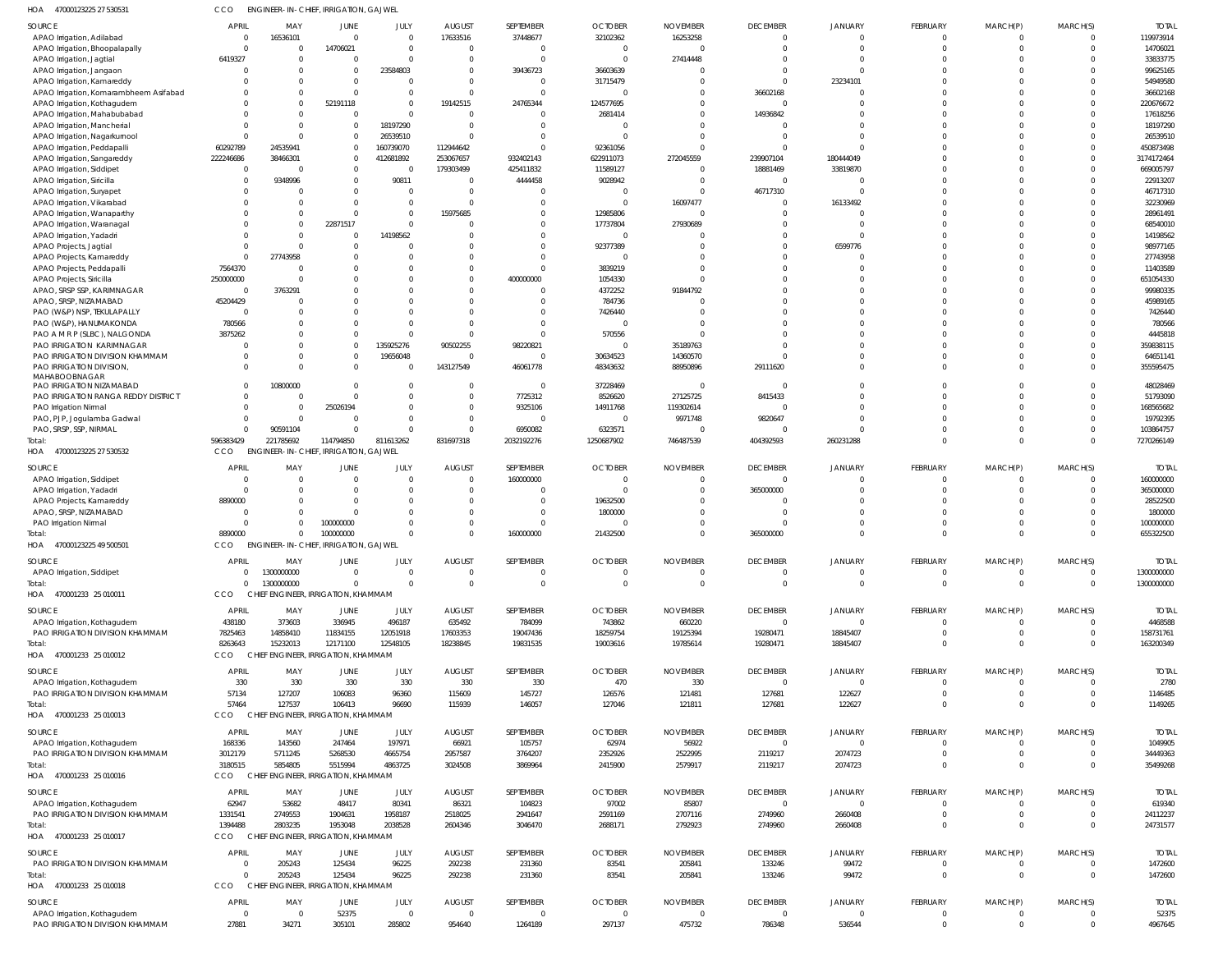47000123225 27 530531 HOA CCO ENGINEER-IN-CHIEF, IRRIGATION, GAJWEL

| SOURCE                                                               | <b>APRIL</b>                   | MAY                                           | JUNE                                | JULY                  | <b>AUGUST</b>             | SEPTEMBER                 | <b>OCTOBER</b>             | <b>NOVEMBER</b>           | <b>DECEMBER</b>           | <b>JANUARY</b>             | FEBRUARY                | MARCH(P)                | MARCH(S)                   | <b>TOTAL</b>            |
|----------------------------------------------------------------------|--------------------------------|-----------------------------------------------|-------------------------------------|-----------------------|---------------------------|---------------------------|----------------------------|---------------------------|---------------------------|----------------------------|-------------------------|-------------------------|----------------------------|-------------------------|
| APAO Irrigation, Adilabad                                            | $\Omega$                       | 16536101                                      | $\Omega$                            | $\Omega$              | 17633516                  | 37448677                  | 32102362                   | 16253258                  | 0                         | $\Omega$                   | $\Omega$                | $\Omega$                | $\Omega$                   | 119973914               |
| APAO Irrigation, Bhoopalapally                                       | $\mathsf{C}$                   |                                               | 14706021                            | $\Omega$              |                           | $\Omega$                  | - 0                        |                           |                           |                            | $\Omega$                | $\Omega$                | $\Omega$                   | 14706021                |
| APAO Irrigation, Jagtial                                             | 6419327                        |                                               |                                     |                       |                           | $\Omega$                  | $\Omega$                   | 27414448                  |                           |                            | $\Omega$                | $\Omega$                |                            | 33833775                |
| APAO Irrigation, Jangaon                                             | C                              |                                               | $\Omega$                            | 23584803              |                           | 39436723                  | 36603639                   |                           |                           |                            | ſ                       | -C                      |                            | 99625165                |
| APAO Irrigation, Kamareddy<br>APAO Irrigation, Komarambheem Asifabad |                                |                                               |                                     | <sup>0</sup>          |                           | $\Omega$<br>$\Omega$      | 31715479                   |                           | 36602168                  | 23234101                   | $\Omega$<br>$\Omega$    | $\Omega$<br>$\Omega$    | $\Omega$                   | 54949580<br>36602168    |
| APAO Irrigation, Kothagudem                                          |                                |                                               | 52191118                            | $\Omega$              | 19142515                  | 24765344                  | 124577695                  |                           | $\Omega$                  |                            | $\Omega$                |                         |                            | 220676672               |
| APAO Irrigation, Mahabubabad                                         |                                |                                               | $\Omega$                            |                       |                           | $\Omega$                  | 2681414                    |                           | 14936842                  |                            | $\Omega$                |                         |                            | 17618256                |
| APAO Irrigation, Mancherial                                          |                                |                                               | $\Omega$                            | 18197290              |                           | $\Omega$                  |                            |                           |                           |                            | $\Omega$                |                         |                            | 18197290                |
| APAO Irrigation, Nagarkurnool                                        |                                |                                               | $\Omega$                            | 26539510              |                           | $\Omega$                  |                            |                           |                           |                            | $\Omega$                |                         | $\Omega$                   | 26539510                |
| APAO Irrigation, Peddapalli                                          | 60292789                       | 24535941                                      | $\Omega$                            | 160739070             | 112944642                 | $\Omega$                  | 92361056                   |                           |                           |                            | $\Omega$                | $\Omega$                | $\Omega$                   | 450873498               |
| APAO Irrigation, Sangareddy                                          | 222246686                      | 38466301                                      | $\Omega$                            | 412681892             | 253067657                 | 932402143                 | 622911073                  | 272045559                 | 239907104                 | 180444049                  | $\Omega$                | $\Omega$                | $\Omega$                   | 3174172464              |
| APAO Irrigation, Siddipet                                            | $\overline{0}$                 |                                               | 0                                   | 0                     | 179303499                 | 425411832                 | 11589127                   |                           | 18881469                  | 33819870                   | $\Omega$                | $\Omega$                | $\Omega$                   | 669005797               |
| APAO Irrigation, Siricilla                                           | C                              | 9348996                                       | <sup>0</sup>                        | 90811                 |                           | 4444458                   | 9028942                    |                           | $\Omega$                  |                            | $\Omega$                |                         |                            | 22913207                |
| APAO Irrigation, Suryapet                                            | C                              |                                               |                                     | 0                     |                           | $\Omega$<br>$\Omega$      |                            | 16097477                  | 46717310<br>0             | 16133492                   | $\Omega$<br>$\Omega$    | $\Omega$<br>$\Omega$    |                            | 46717310<br>32230969    |
| APAO Irrigation, Vikarabad<br>APAO Irrigation, Wanaparthy            |                                |                                               |                                     | $\Omega$              | 15975685                  | C                         | 12985806                   |                           |                           |                            | $\Omega$                | $\Omega$                |                            | 28961491                |
| APAO Irrigation, Waranagal                                           | C                              |                                               | 22871517                            | $\Omega$              |                           | $\Omega$                  | 17737804                   | 27930689                  |                           |                            | $\Omega$                |                         | $\Omega$                   | 68540010                |
| APAO Irrigation, Yadadri                                             |                                |                                               |                                     | 14198562              |                           | $\Omega$                  | - 0                        |                           |                           |                            | $\Omega$                |                         |                            | 14198562                |
| APAO Projects, Jagtial                                               | C                              |                                               |                                     |                       |                           | $\Omega$                  | 92377389                   |                           |                           | 6599776                    | $\Omega$                |                         |                            | 98977165                |
| APAO Projects, Kamareddy                                             | $\Omega$                       | 27743958                                      |                                     |                       |                           | $\Omega$                  | - 0                        |                           |                           |                            | $\Omega$                |                         |                            | 27743958                |
| APAO Projects, Peddapalli                                            | 7564370                        |                                               |                                     |                       |                           | $\Omega$                  | 3839219                    |                           |                           |                            | $\Omega$                |                         | $\Omega$                   | 11403589                |
| APAO Projects, Siricilla                                             | 250000000                      |                                               |                                     |                       |                           | 400000000                 | 1054330                    |                           |                           |                            | $\Omega$                |                         |                            | 651054330               |
| APAO, SRSP SSP, KARIMNAGAR                                           | $\overline{0}$                 | 3763291                                       |                                     |                       |                           | $\Omega$                  | 4372252                    | 91844792                  |                           |                            | $\Omega$                |                         |                            | 99980335                |
| APAO, SRSP, NIZAMABAD<br>PAO (W&P) NSP, TEKULAPALLY                  | 45204429<br>$\Omega$           |                                               |                                     |                       |                           | $\Omega$<br>$\Omega$      | 784736<br>7426440          |                           |                           |                            | $\Omega$<br>$\Omega$    | $\Omega$                |                            | 45989165<br>7426440     |
| PAO (W&P), HANUMAKONDA                                               | 780566                         |                                               |                                     |                       |                           | $\Omega$                  |                            |                           |                           |                            | $\Omega$                | $\Omega$                |                            | 780566                  |
| PAO A M R P (SLBC), NALGONDA                                         | 3875262                        |                                               |                                     |                       |                           | $\Omega$                  | 570556                     |                           |                           |                            | $\Omega$                |                         | $\Omega$                   | 4445818                 |
| PAO IRRIGATION KARIMNAGAR                                            | C                              |                                               | 0                                   | 135925276             | 90502255                  | 98220821                  | - 0                        | 35189763                  |                           |                            | $\Omega$                | $\Omega$                | $\Omega$                   | 359838115               |
| PAO IRRIGATION DIVISION KHAMMAM                                      | C                              |                                               | $\Omega$                            | 19656048              |                           | $\Omega$                  | 30634523                   | 14360570                  |                           |                            | $\Omega$                | $\Omega$                | $\Omega$                   | 64651141                |
| PAO IRRIGATION DIVISION,                                             | C                              |                                               | $\Omega$                            |                       | 143127549                 | 46061778                  | 48343632                   | 88950896                  | 29111620                  |                            | $\Omega$                | $\Omega$                | $\Omega$                   | 355595475               |
| MAHABOOBNAGAR                                                        |                                |                                               |                                     |                       |                           |                           |                            |                           |                           |                            |                         |                         |                            |                         |
| PAO IRRIGATION NIZAMABAD<br>PAO IRRIGATION RANGA REDDY DISTRICT      | $\Omega$                       | 10800000                                      | $\Omega$                            | 0                     |                           | $\overline{0}$<br>7725312 | 37228469<br>8526620        | 27125725                  | 8415433                   |                            | $\Omega$<br>$\Omega$    | $\Omega$<br>$\Omega$    | $\Omega$<br>$\Omega$       | 48028469<br>51793090    |
| PAO Irrigation Nirmal                                                | $\Omega$                       |                                               | 25026194                            | <sup>0</sup>          |                           | 9325106                   | 14911768                   | 119302614                 | <sup>0</sup>              |                            | $\Omega$                | $\Omega$                | $\Omega$                   | 168565682               |
| PAO, PJP, Jogulamba Gadwal                                           | $\Omega$                       |                                               | $\Omega$                            |                       |                           | $\overline{0}$            | - 0                        | 9971748                   | 9820647                   |                            | $\Omega$                | $\Omega$                |                            | 19792395                |
| PAO, SRSP, SSP, NIRMAL                                               | C                              | 90591104                                      |                                     |                       |                           | 6950082                   | 6323571                    |                           |                           |                            | $\Omega$                | $\Omega$                | $\Omega$                   | 103864757               |
| Total:                                                               | 596383429                      | 221785692                                     | 114794850                           | 811613262             | 831697318                 | 2032192276                | 1250687902                 | 746487539                 | 404392593                 | 260231288                  | $\Omega$                | $\Omega$                | $\Omega$                   | 7270266149              |
| HOA 47000123225 27 530532                                            | CCO                            | <b>ENGINEER-IN-CHIEF, IRRIGATION, GAJWEL</b>  |                                     |                       |                           |                           |                            |                           |                           |                            |                         |                         |                            |                         |
| SOURCE                                                               | APRIL                          | MAY                                           | JUNE                                | JULY                  | <b>AUGUST</b>             | SEPTEMBER                 | <b>OCTOBER</b>             | <b>NOVEMBER</b>           | <b>DECEMBER</b>           | <b>JANUARY</b>             | FEBRUARY                | MARCH(P)                | MARCH(S)                   | <b>TOTAL</b>            |
| APAO Irrigation, Siddipet                                            | C                              | - 0                                           | $\Omega$                            | 0                     |                           | 160000000                 | - 0                        |                           | $\mathbf 0$               |                            | 0                       | $\Omega$                | $\Omega$                   | 160000000               |
| APAO Irrigation, Yadadri                                             | $\mathsf{C}$                   |                                               | $\Omega$                            | $\Omega$              |                           | $\overline{0}$            | - 0                        |                           | 365000000                 |                            | $\Omega$                | $\Omega$                | $\Omega$                   | 365000000               |
| APAO Projects, Kamareddy                                             | 8890000                        |                                               | $\Omega$                            | $\Omega$              |                           | $\mathbf 0$               | 19632500                   |                           |                           |                            | $\Omega$                | $\Omega$                | $\Omega$                   | 28522500                |
| APAO, SRSP, NIZAMABAD                                                | C                              |                                               | $\Omega$                            | 0                     |                           | $\overline{0}$            | 1800000                    |                           | $\Omega$                  |                            | $\Omega$                | $\Omega$                | $\Omega$                   | 1800000                 |
| PAO Irrigation Nirmal                                                | $\mathsf{C}$                   |                                               | 100000000                           | 0                     |                           | $\Omega$                  | - 0                        |                           |                           |                            | $\mathbf 0$             | $\Omega$                | $\Omega$                   | 100000000               |
| Total:                                                               | 8890000                        |                                               | 100000000                           | $\Omega$              |                           | 160000000                 | 21432500                   |                           | 365000000                 |                            | $\Omega$                | $\Omega$                | $\Omega$                   | 655322500               |
| HOA 47000123225 49 500501                                            | CCO                            | ENGINEER-IN-CHIEF, IRRIGATION, GAJWEL         |                                     |                       |                           |                           |                            |                           |                           |                            |                         |                         |                            |                         |
| <b>SOURCE</b>                                                        | <b>APRIL</b>                   | MAY                                           | JUNE                                | JULY                  | <b>AUGUST</b>             | <b>SEPTEMBER</b>          | <b>OCTOBER</b>             | <b>NOVEMBER</b>           | <b>DECEMBER</b>           | <b>JANUARY</b>             | FEBRUARY                | MARCH(P)                | MARCH(S)                   | <b>TOTAL</b>            |
| APAO Irrigation, Siddipet                                            | $\Omega$                       | 1300000000                                    | $\Omega$                            |                       |                           | $\mathbf 0$               |                            |                           |                           |                            | $\mathbf 0$             | $\mathbf 0$             | $\Omega$                   | 1300000000              |
| Total:                                                               | $\Omega$                       | 1300000000                                    | $\Omega$                            | $\Omega$              |                           | $\Omega$                  | $\Omega$                   | $\Omega$                  | $\Omega$                  | $\Omega$                   | $\mathbf{0}$            | $\mathbf 0$             | $\Omega$                   | 1300000000              |
| HOA 470001233 25 010011                                              | CCO                            | CHIEF ENGINEER, IRRIGATION, KHAMMAM           |                                     |                       |                           |                           |                            |                           |                           |                            |                         |                         |                            |                         |
| SOURCE                                                               | APRIL                          | MAY                                           | JUNE                                | JULY                  | <b>AUGUST</b>             | SEPTEMBER                 | <b>OCTOBER</b>             | <b>NOVEMBER</b>           | <b>DECEMBER</b>           | JANUARY                    | FEBRUARY                | MARCH(P)                | MARCH(S)                   | <b>TOTAL</b>            |
| APAO Irrigation, Kothagudem                                          | 438180                         | 373603                                        | 336945                              | 496187                | 635492                    | 784099                    | 743862                     | 660220                    | $\mathbf 0$               | $\Omega$                   | $\mathbf{0}$            | $\mathbf 0$             | $\overline{0}$             | 4468588                 |
| PAO IRRIGATION DIVISION KHAMMAM                                      | 7825463                        | 14858410                                      | 11834155                            | 12051918              | 17603353                  | 19047436                  | 18259754                   | 19125394                  | 19280471                  | 18845407                   | $\mathbf 0$             | $\mathbf 0$             | $\overline{0}$             | 158731761               |
| Total:                                                               | 8263643                        | 15232013                                      | 12171100                            | 12548105              | 18238845                  | 19831535                  | 19003616                   | 19785614                  | 19280471                  | 18845407                   | $\mathbf 0$             | $\mathbf 0$             | $\Omega$                   | 163200349               |
| HOA 470001233 25 010012                                              | CCO                            | CHIEF ENGINEER, IRRIGATION, KHAMMAM           |                                     |                       |                           |                           |                            |                           |                           |                            |                         |                         |                            |                         |
| SOURCE                                                               | APRIL                          | MAY                                           | JUNE                                | JULY                  | <b>AUGUST</b>             | SEPTEMBER                 | <b>OCTOBER</b>             | <b>NOVEMBER</b>           | <b>DECEMBER</b>           | JANUARY                    | FEBRUARY                | MARCH(P)                | MARCH(S)                   | <b>TOTAL</b>            |
| APAO Irrigation, Kothagudem                                          | 330                            | 330                                           | 330                                 | 330                   | 330                       | 330                       | 470                        | 330                       | $\mathbf 0$               | $\Omega$                   | $\Omega$                | 0                       | $\Omega$                   | 2780                    |
| PAO IRRIGATION DIVISION KHAMMAM                                      | 57134                          | 127207                                        | 106083                              | 96360                 | 115609                    | 145727                    | 126576                     | 121481                    | 127681                    | 122627                     | $\mathbf 0$             | $\mathbf{0}$            | $\overline{0}$             | 1146485                 |
| Total:<br>HOA 470001233 25 010013                                    | 57464<br><b>CCO</b>            | 127537<br>CHIEF ENGINEER, IRRIGATION, KHAMMAM | 106413                              | 96690                 | 115939                    | 146057                    | 127046                     | 121811                    | 127681                    | 122627                     | $\mathbf 0$             | $\mathbf{0}$            | $\overline{0}$             | 1149265                 |
|                                                                      |                                |                                               |                                     |                       |                           |                           |                            |                           |                           |                            |                         |                         |                            |                         |
| SOURCE                                                               | APRIL                          | MAY                                           | JUNE                                | JULY                  | <b>AUGUST</b>             | SEPTEMBER                 | <b>OCTOBER</b>             | <b>NOVEMBER</b>           | <b>DECEMBER</b>           | <b>JANUARY</b>             | FEBRUARY                | MARCH(P)                | MARCH(S)                   | <b>TOTAL</b>            |
| APAO Irrigation, Kothagudem                                          | 168336                         | 143560<br>5711245                             | 247464<br>5268530                   | 197971<br>4665754     | 66921                     | 105757                    | 62974                      | 56922                     | $\mathbf 0$               | $\mathbf{0}$               | 0<br>$\mathbf 0$        | 0<br>$\mathbf 0$        | 0<br>$\overline{0}$        | 1049905                 |
| PAO IRRIGATION DIVISION KHAMMAM<br>Total:                            | 3012179<br>3180515             | 5854805                                       | 5515994                             | 4863725               | 2957587<br>3024508        | 3764207<br>3869964        | 2352926<br>2415900         | 2522995<br>2579917        | 2119217<br>2119217        | 2074723<br>2074723         | $\mathbf 0$             | $\mathbf 0$             | $\Omega$                   | 34449363<br>35499268    |
| HOA 470001233 25 010016                                              | <b>CCO</b>                     | CHIEF ENGINEER, IRRIGATION, KHAMMAM           |                                     |                       |                           |                           |                            |                           |                           |                            |                         |                         |                            |                         |
|                                                                      |                                |                                               |                                     |                       |                           |                           |                            |                           |                           |                            |                         |                         |                            |                         |
| SOURCE                                                               | APRIL                          | MAY                                           | JUNE                                | JULY                  | <b>AUGUST</b>             | SEPTEMBER                 | <b>OCTOBER</b>             | <b>NOVEMBER</b>           | <b>DECEMBER</b>           | <b>JANUARY</b>             | FEBRUARY                | MARCH(P)                | MARCH(S)                   | <b>TOTAL</b>            |
| APAO Irrigation, Kothagudem<br>PAO IRRIGATION DIVISION KHAMMAM       | 62947<br>1331541               | 53682<br>2749553                              | 48417<br>1904631                    | 80341<br>1958187      | 86321<br>2518025          | 104823<br>2941647         | 97002<br>2591169           | 85807<br>2707116          | $\mathbf 0$<br>2749960    | 2660408                    | $\Omega$<br>$\Omega$    | $\Omega$<br>$\mathbf 0$ | $\Omega$<br>$\overline{0}$ | 619340<br>24112237      |
| Total:                                                               | 1394488                        | 2803235                                       | 1953048                             | 2038528               | 2604346                   | 3046470                   | 2688171                    | 2792923                   | 2749960                   | 2660408                    | $\Omega$                | $\Omega$                | $\Omega$                   | 24731577                |
| HOA 470001233 25 010017                                              | <b>CCO</b>                     | CHIEF ENGINEER, IRRIGATION, KHAMMAM           |                                     |                       |                           |                           |                            |                           |                           |                            |                         |                         |                            |                         |
|                                                                      |                                |                                               |                                     |                       |                           |                           |                            |                           |                           |                            |                         |                         |                            |                         |
| SOURCE<br>PAO IRRIGATION DIVISION KHAMMAM                            | <b>APRIL</b><br>$\overline{0}$ | MAY<br>205243                                 | JUNE<br>125434                      | JULY<br>96225         | <b>AUGUST</b><br>292238   | SEPTEMBER<br>231360       | <b>OCTOBER</b><br>83541    | <b>NOVEMBER</b><br>205841 | <b>DECEMBER</b><br>133246 | JANUARY<br>99472           | FEBRUARY<br>$\mathbf 0$ | MARCH(P)<br>$\mathbf 0$ | MARCH(S)<br>$\overline{0}$ | <b>TOTAL</b><br>1472600 |
| Total:                                                               | $\Omega$                       | 205243                                        | 125434                              | 96225                 | 292238                    | 231360                    | 83541                      | 205841                    | 133246                    | 99472                      | $\mathbf 0$             | $\mathbf 0$             | $\overline{0}$             | 1472600                 |
| HOA 470001233 25 010018                                              | <b>CCO</b>                     |                                               | CHIEF ENGINEER, IRRIGATION, KHAMMAM |                       |                           |                           |                            |                           |                           |                            |                         |                         |                            |                         |
|                                                                      |                                |                                               |                                     |                       |                           |                           |                            |                           |                           |                            |                         |                         |                            |                         |
|                                                                      |                                |                                               |                                     |                       |                           |                           |                            |                           |                           |                            |                         |                         |                            |                         |
| SOURCE                                                               | <b>APRIL</b>                   | MAY<br>- 0                                    | JUNE                                | JULY                  | <b>AUGUST</b><br>$\Omega$ | SEPTEMBER<br>$\Omega$     | <b>OCTOBER</b><br>$\Omega$ | <b>NOVEMBER</b>           | <b>DECEMBER</b>           | <b>JANUARY</b><br>$\Omega$ | FEBRUARY                | MARCH(P)<br>$\Omega$    | MARCH(S)                   | <b>TOTAL</b>            |
| APAO Irrigation, Kothagudem<br>PAO IRRIGATION DIVISION KHAMMAM       | $\overline{0}$<br>27881        | 34271                                         | 52375<br>305101                     | $\mathbf 0$<br>285802 | 954640                    | 1264189                   | 297137                     | 475732                    | $\mathbf 0$<br>786348     | 536544                     | 0<br>$\mathbf 0$        | $\Omega$                | 0<br>$\Omega$              | 52375<br>4967645        |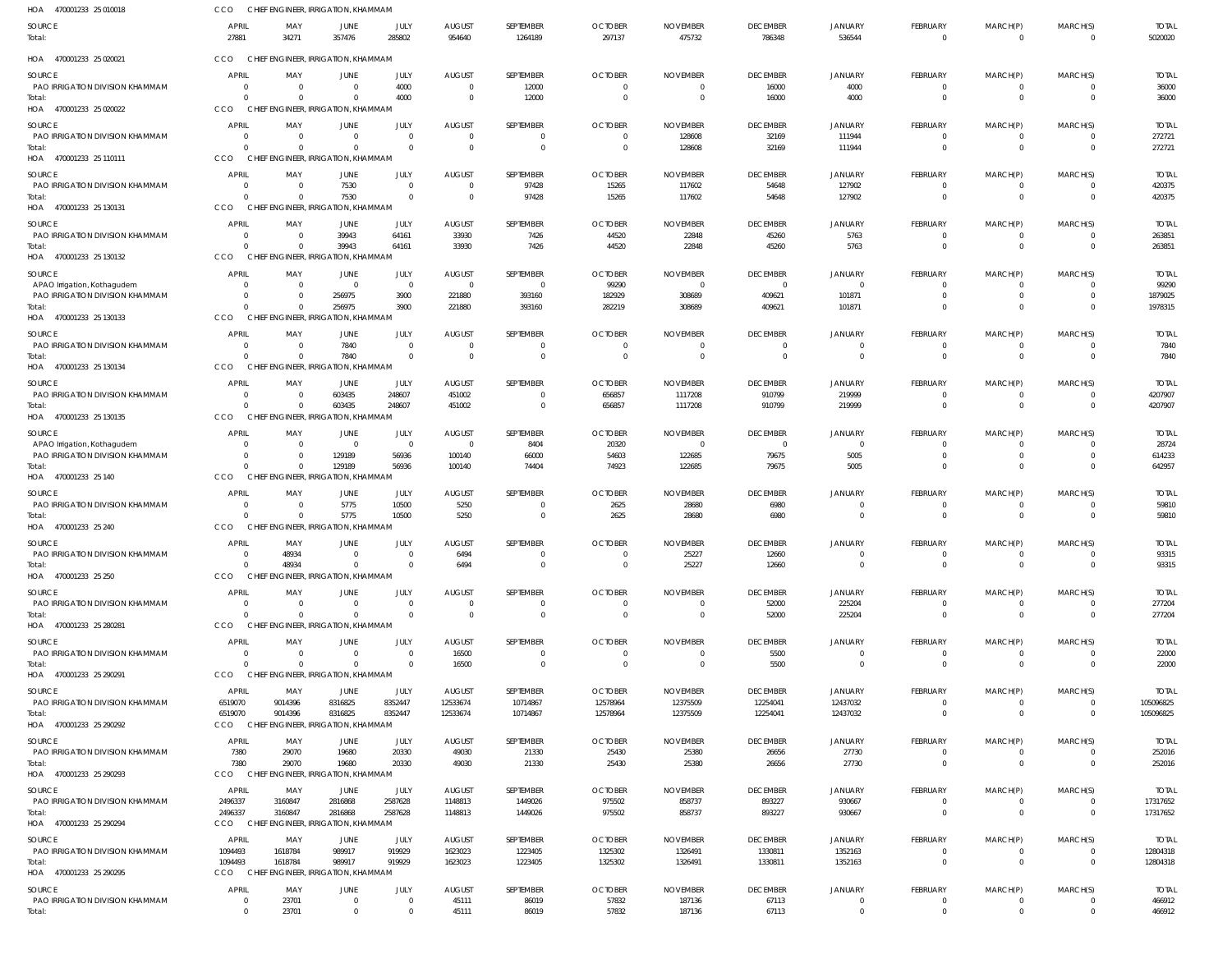| HOA 470001233 25 010018                   | CCO                          |                | CHIEF ENGINEER, IRRIGATION, KHAMMAM             |                      |                         |                               |                          |                           |                           |                          |                                |                                  |                            |                         |
|-------------------------------------------|------------------------------|----------------|-------------------------------------------------|----------------------|-------------------------|-------------------------------|--------------------------|---------------------------|---------------------------|--------------------------|--------------------------------|----------------------------------|----------------------------|-------------------------|
| SOURCE<br>Total:                          | <b>APRIL</b><br>27881        | MAY<br>34271   | JUNE<br>357476                                  | JULY<br>285802       | <b>AUGUST</b><br>954640 | SEPTEMBER<br>1264189          | <b>OCTOBER</b><br>297137 | <b>NOVEMBER</b><br>475732 | <b>DECEMBER</b><br>786348 | <b>JANUARY</b><br>536544 | FEBRUARY<br>$\overline{0}$     | MARCH(P)<br>$\overline{0}$       | MARCH(S)<br>$\overline{0}$ | <b>TOTAL</b><br>5020020 |
| HOA 470001233 25 020021                   | <b>CCO</b>                   |                | CHIEF ENGINEER, IRRIGATION, KHAMMAM             |                      |                         |                               |                          |                           |                           |                          |                                |                                  |                            |                         |
| SOURCE                                    | <b>APRIL</b>                 | MAY            | JUNE                                            | JULY                 | <b>AUGUST</b>           | SEPTEMBER                     | <b>OCTOBER</b>           | <b>NOVEMBER</b>           | <b>DECEMBER</b>           | <b>JANUARY</b>           | FEBRUARY                       | MARCH(P)                         | MARCH(S)                   | <b>TOTAL</b>            |
| PAO IRRIGATION DIVISION KHAMMAM<br>Total: | $\Omega$<br>$\sqrt{2}$       |                | $\Omega$<br>$\Omega$                            | 4000<br>4000         | $\Omega$<br>$\Omega$    | 12000<br>12000                | $\Omega$<br>$\Omega$     | $\Omega$                  | 16000<br>16000            | 4000<br>4000             | $\Omega$<br>$\mathbf 0$        | $\Omega$<br>$\mathbf 0$          | 0<br>$\overline{0}$        | 36000<br>36000          |
| HOA 470001233 25 020022                   | CCO                          |                | CHIEF ENGINEER, IRRIGATION, KHAMMAM             |                      |                         |                               |                          |                           |                           |                          |                                |                                  |                            |                         |
| SOURCE                                    | APRIL                        | MAY            | JUNE                                            | JULY                 | <b>AUGUST</b>           | SEPTEMBER                     | <b>OCTOBER</b>           | <b>NOVEMBER</b>           | <b>DECEMBER</b>           | <b>JANUARY</b>           | FEBRUARY                       | MARCH(P)                         | MARCH(S)                   | <b>TOTAL</b>            |
| PAO IRRIGATION DIVISION KHAMMAM<br>Total: | - 0<br>$\sqrt{2}$            | $\Omega$       | $\Omega$<br>$\Omega$                            | $\Omega$<br>$\Omega$ | $\Omega$<br>$\Omega$    | $\overline{0}$<br>$\mathbf 0$ | $\Omega$<br>$\Omega$     | 128608<br>128608          | 32169<br>32169            | 111944<br>111944         | $\overline{0}$<br>$\mathbf{0}$ | $\overline{0}$<br>$\mathbf 0$    | 0<br>$\overline{0}$        | 272721<br>272721        |
| HOA 470001233 25 110111                   | CCO                          |                | CHIEF ENGINEER, IRRIGATION, KHAMMAM             |                      |                         |                               |                          |                           |                           |                          |                                |                                  |                            |                         |
| SOURCE                                    | <b>APRIL</b>                 | MAY            | JUNE                                            | JULY                 | <b>AUGUST</b>           | SEPTEMBER                     | <b>OCTOBER</b>           | <b>NOVEMBER</b>           | <b>DECEMBER</b>           | JANUARY                  | FEBRUARY                       | MARCH(P)                         | MARCH(S)                   | <b>TOTAL</b>            |
| PAO IRRIGATION DIVISION KHAMMAM           | - 0                          |                | 7530                                            | $\Omega$             | $\Omega$                | 97428                         | 15265                    | 117602                    | 54648                     | 127902                   | $\Omega$                       | 0                                | $\overline{0}$             | 420375                  |
| Total:<br>HOA 470001233 25 130131         | $\sqrt{2}$<br>CCO            |                | 7530<br>CHIEF ENGINEER, IRRIGATION, KHAMMAM     | $\Omega$             | $\Omega$                | 97428                         | 15265                    | 117602                    | 54648                     | 127902                   | $\mathbf 0$                    | $\mathbf{0}$                     | $\Omega$                   | 420375                  |
| SOURCE                                    | <b>APRIL</b>                 | MAY            | JUNE                                            | JULY                 | <b>AUGUST</b>           | SEPTEMBER                     | <b>OCTOBER</b>           | <b>NOVEMBER</b>           | <b>DECEMBER</b>           | <b>JANUARY</b>           | FEBRUARY                       | MARCH(P)                         | MARCH(S)                   | <b>TOTAL</b>            |
| PAO IRRIGATION DIVISION KHAMMAM           | $\Omega$                     | $\Omega$       | 39943                                           | 64161                | 33930                   | 7426                          | 44520                    | 22848                     | 45260                     | 5763                     | $\mathbf{0}$                   | $\overline{0}$                   | $\overline{0}$             | 263851                  |
| Total:<br>HOA 470001233 25 130132         | $\sqrt{2}$<br>CCO            |                | 39943<br>CHIEF ENGINEER, IRRIGATION, KHAMMAM    | 64161                | 33930                   | 7426                          | 44520                    | 22848                     | 45260                     | 5763                     | $\mathbf{0}$                   | $\mathbf{0}$                     | $\Omega$                   | 263851                  |
| SOURCE                                    | <b>APRIL</b>                 | MAY            | JUNE                                            | JULY                 | <b>AUGUST</b>           | SEPTEMBER                     | <b>OCTOBER</b>           | <b>NOVEMBER</b>           | <b>DECEMBER</b>           | <b>JANUARY</b>           | FEBRUARY                       | MARCH(P)                         | MARCH(S)                   | <b>TOTAL</b>            |
| APAO Irrigation, Kothagudem               | - 0                          |                | $\Omega$                                        | $\Omega$             | $\Omega$                | $\Omega$                      | 99290                    | $\Omega$                  | $\Omega$                  | $\Omega$                 | $\Omega$                       | $\Omega$                         | $\Omega$                   | 99290                   |
| PAO IRRIGATION DIVISION KHAMMAM<br>Total: | - 0                          |                | 256975<br>256975                                | 3900<br>3900         | 221880<br>221880        | 393160<br>393160              | 182929<br>282219         | 308689<br>308689          | 409621<br>409621          | 101871<br>101871         | $\Omega$<br>$\Omega$           | $\mathbf 0$<br>$\Omega$          | $\Omega$<br>$\Omega$       | 1879025<br>1978315      |
| HOA 470001233 25 130133                   | CCO                          |                | CHIEF ENGINEER, IRRIGATION, KHAMMAM             |                      |                         |                               |                          |                           |                           |                          |                                |                                  |                            |                         |
| SOURCE                                    | <b>APRIL</b>                 | MAY            | JUNE                                            | JULY                 | <b>AUGUST</b>           | SEPTEMBER                     | <b>OCTOBER</b>           | <b>NOVEMBER</b>           | <b>DECEMBER</b>           | JANUARY                  | FEBRUARY                       | MARCH(P)                         | MARCH(S)                   | <b>TOTAL</b>            |
| PAO IRRIGATION DIVISION KHAMMAM           | - 0<br>$\mathsf{C}$          | - 0            | 7840<br>7840                                    | $\Omega$<br>$\Omega$ | $\Omega$<br>$\Omega$    | $\overline{0}$<br>$\mathbf 0$ | $\Omega$<br>$\Omega$     | $\Omega$<br>$\Omega$      | $\mathbf 0$<br>$\Omega$   | 0<br>$\Omega$            | $\mathbf{0}$<br>$\overline{0}$ | $\overline{0}$<br>$\overline{0}$ | $\overline{0}$<br>$\Omega$ | 7840                    |
| Total:<br>HOA 470001233 25 130134         | CCO                          |                | CHIEF ENGINEER, IRRIGATION, KHAMMAM             |                      |                         |                               |                          |                           |                           |                          |                                |                                  |                            | 7840                    |
| SOURCE                                    | APRIL                        | MAY            | JUNE                                            | JULY                 | <b>AUGUST</b>           | SEPTEMBER                     | <b>OCTOBER</b>           | <b>NOVEMBER</b>           | <b>DECEMBER</b>           | <b>JANUARY</b>           | FEBRUARY                       | MARCH(P)                         | MARCH(S)                   | <b>TOTAL</b>            |
| PAO IRRIGATION DIVISION KHAMMAM           | $\Omega$                     |                | 603435                                          | 248607               | 451002                  | $\Omega$                      | 656857                   | 1117208                   | 910799                    | 219999                   | $\Omega$                       | $\Omega$                         | $\Omega$                   | 4207907                 |
| Total:<br>HOA 470001233 25 130135         | $\mathsf{C}$<br><b>CCO</b>   |                | 603435<br>CHIEF ENGINEER, IRRIGATION, KHAMMAM   | 248607               | 451002                  | $\mathbf 0$                   | 656857                   | 1117208                   | 910799                    | 219999                   | $\mathbf 0$                    | $\mathbf{0}$                     | $\overline{0}$             | 4207907                 |
| SOURCE                                    | APRIL                        | MAY            | JUNE                                            | JULY                 | <b>AUGUST</b>           | SEPTEMBER                     | <b>OCTOBER</b>           | <b>NOVEMBER</b>           | <b>DECEMBER</b>           | <b>JANUARY</b>           | FEBRUARY                       | MARCH(P)                         | MARCH(S)                   | <b>TOTAL</b>            |
| APAO Irrigation, Kothagudem               | C                            |                | $\Omega$                                        | $\mathbf{0}$         | $\Omega$                | 8404                          | 20320                    | - 0                       | $\mathbf{0}$              | 0                        | 0                              | $\overline{0}$                   | 0                          | 28724                   |
| PAO IRRIGATION DIVISION KHAMMAM<br>Total: | $\mathsf{C}$<br>$\mathsf{C}$ | $\Omega$       | 129189<br>129189                                | 56936<br>56936       | 100140<br>100140        | 66000<br>74404                | 54603<br>74923           | 122685<br>122685          | 79675<br>79675            | 5005<br>5005             | $\Omega$<br>$\mathbf 0$        | $\mathbf{0}$<br>$\mathbf 0$      | $\Omega$<br>$\Omega$       | 614233<br>642957        |
| HOA 470001233 25 140                      | CCO                          |                | CHIEF ENGINEER, IRRIGATION, KHAMMAM             |                      |                         |                               |                          |                           |                           |                          |                                |                                  |                            |                         |
| SOURCE                                    | <b>APRIL</b>                 | MAY            | JUNE                                            | JULY                 | <b>AUGUST</b>           | SEPTEMBER                     | <b>OCTOBER</b>           | <b>NOVEMBER</b>           | <b>DECEMBER</b>           | <b>JANUARY</b>           | FEBRUARY                       | MARCH(P)                         | MARCH(S)                   | <b>TOTAL</b>            |
| PAO IRRIGATION DIVISION KHAMMAM<br>Total: | - 0<br>$\mathsf{C}$          |                | 5775<br>5775                                    | 10500<br>10500       | 5250<br>5250            | $\Omega$<br>$\mathbf 0$       | 2625<br>2625             | 28680<br>28680            | 6980<br>6980              | $\Omega$                 | $\Omega$<br>$\mathbf 0$        | $\Omega$<br>$\mathbf 0$          | $\Omega$<br>$\overline{0}$ | 59810<br>59810          |
| HOA 470001233 25 240                      | CCO                          |                | CHIEF ENGINEER, IRRIGATION, KHAMMAM             |                      |                         |                               |                          |                           |                           |                          |                                |                                  |                            |                         |
| SOURCE                                    | <b>APRIL</b>                 | MAY            | JUNE                                            | JULY                 | <b>AUGUST</b>           | SEPTEMBER                     | <b>OCTOBER</b>           | <b>NOVEMBER</b>           | <b>DECEMBER</b>           | <b>JANUARY</b>           | FEBRUARY                       | MARCH(P)                         | MARCH(S)                   | <b>TOTAL</b>            |
| PAO IRRIGATION DIVISION KHAMMAM           | - 0<br>$\Omega$              | 48934<br>48934 | $^{(1)}$<br>$\Omega$                            | $\Omega$             | 6494<br>6494            | $\mathbf{0}$<br>$\mathbf 0$   | $\Omega$                 | 25227<br>25227            | 12660                     | $\Omega$                 | $^{\circ}$<br>$\overline{0}$   | $^{\circ}$<br>$\overline{0}$     | - 0<br>$\Omega$            | 93315                   |
| Total:<br>HOA 470001233 25 250            | CCO                          |                | CHIEF ENGINEER, IRRIGATION, KHAMMAM             |                      |                         |                               |                          |                           | 12660                     |                          |                                |                                  |                            | 93315                   |
| SOURCE                                    | <b>APRIL</b>                 | MAY            | <b>JUNE</b>                                     | JULY                 | <b>AUGUST</b>           | SEPTEMBER                     | <b>OCTOBER</b>           | <b>NOVEMBER</b>           | <b>DECEMBER</b>           | <b>JANUARY</b>           | FEBRUARY                       | MARCH(P)                         | MARCH(S)                   | <b>TOTAL</b>            |
| PAO IRRIGATION DIVISION KHAMMAM           | $\Omega$                     |                | $\Omega$                                        | $\Omega$             | $\Omega$                | $\mathbf 0$                   | $\Omega$                 | $\Omega$                  | 52000                     | 225204                   | $\Omega$                       | $\overline{0}$                   | $\overline{0}$             | 277204                  |
| Total:<br>HOA 470001233 25 280281         | $\Omega$<br><b>CCO</b>       |                | $\Omega$<br>CHIEF ENGINEER, IRRIGATION, KHAMMAM | $\Omega$             | $\Omega$                | $\Omega$                      | $\Omega$                 | $\Omega$                  | 52000                     | 225204                   | $\overline{0}$                 | $\mathbf{0}$                     | $\overline{0}$             | 277204                  |
| SOURCE                                    | <b>APRIL</b>                 | MAY            | JUNE                                            | JULY                 | <b>AUGUST</b>           | SEPTEMBER                     | <b>OCTOBER</b>           | <b>NOVEMBER</b>           | <b>DECEMBER</b>           | <b>JANUARY</b>           | FEBRUARY                       | MARCH(P)                         | MARCH(S)                   | <b>TOTAL</b>            |
| PAO IRRIGATION DIVISION KHAMMAM           | $\overline{0}$               | $\Omega$       | $\Omega$                                        | $\Omega$             | 16500                   | $\overline{0}$                | $\overline{0}$           | $\Omega$                  | 5500                      | 0                        | $\mathbf{0}$                   | $\overline{0}$                   | $\overline{0}$             | 22000                   |
| Total:<br>HOA 470001233 25 290291         | $\Omega$<br>CCO              |                | $\Omega$<br>CHIEF ENGINEER, IRRIGATION, KHAMMAM | $\Omega$             | 16500                   | $\mathbf 0$                   | $\Omega$                 | $\Omega$                  | 5500                      | $\Omega$                 | $\mathbf{0}$                   | $\mathbf{0}$                     | $\overline{0}$             | 22000                   |
| SOURCE                                    | APRIL                        | MAY            | JUNE                                            | JULY                 | <b>AUGUST</b>           | SEPTEMBER                     | <b>OCTOBER</b>           | <b>NOVEMBER</b>           | <b>DECEMBER</b>           | JANUARY                  | FEBRUARY                       | MARCH(P)                         | MARCH(S)                   | <b>TOTAL</b>            |
| PAO IRRIGATION DIVISION KHAMMAM           | 6519070                      | 9014396        | 8316825                                         | 8352447              | 12533674                | 10714867                      | 12578964                 | 12375509                  | 12254041                  | 12437032                 | $\Omega$                       | $\Omega$                         | $\overline{0}$             | 105096825               |
| Total:<br>HOA 470001233 25 290292         | 6519070<br>CCO               | 9014396        | 8316825<br>CHIEF ENGINEER, IRRIGATION, KHAMMAM  | 8352447              | 12533674                | 10714867                      | 12578964                 | 12375509                  | 12254041                  | 12437032                 | $\mathbf 0$                    | $\mathbf 0$                      | $\overline{\mathbf{0}}$    | 105096825               |
| SOURCE                                    | APRIL                        | MAY            | JUNE                                            | JULY                 | <b>AUGUST</b>           | SEPTEMBER                     | <b>OCTOBER</b>           | <b>NOVEMBER</b>           | <b>DECEMBER</b>           | <b>JANUARY</b>           | FEBRUARY                       | MARCH(P)                         | MARCH(S)                   | <b>TOTAL</b>            |
| PAO IRRIGATION DIVISION KHAMMAM           | 7380                         | 29070          | 19680                                           | 20330                | 49030                   | 21330                         | 25430                    | 25380                     | 26656                     | 27730                    | $^{\circ}$                     | 0                                | 0                          | 252016                  |
| Total:<br>HOA 470001233 25 290293         | 7380<br>CCO                  | 29070          | 19680<br>CHIEF ENGINEER, IRRIGATION, KHAMMAM    | 20330                | 49030                   | 21330                         | 25430                    | 25380                     | 26656                     | 27730                    | $\mathbf 0$                    | $\mathbf{0}$                     | $\overline{0}$             | 252016                  |
| SOURCE                                    | APRIL                        | MAY            | JUNE                                            | JULY                 | <b>AUGUST</b>           | SEPTEMBER                     | <b>OCTOBER</b>           | <b>NOVEMBER</b>           | <b>DECEMBER</b>           | JANUARY                  | FEBRUARY                       | MARCH(P)                         | MARCH(S)                   | <b>TOTAL</b>            |
| PAO IRRIGATION DIVISION KHAMMAM           | 2496337                      | 3160847        | 2816868                                         | 2587628              | 1148813                 | 1449026                       | 975502                   | 858737                    | 893227                    | 930667                   | $\mathbf 0$                    | $\overline{0}$                   | $\overline{0}$             | 17317652                |
| Total:<br>HOA 470001233 25 290294         | 2496337<br>CCO               | 3160847        | 2816868<br>CHIEF ENGINEER, IRRIGATION, KHAMMAM  | 2587628              | 1148813                 | 1449026                       | 975502                   | 858737                    | 893227                    | 930667                   | $\mathbf{0}$                   | $\mathbf{0}$                     | $\Omega$                   | 17317652                |
| SOURCE                                    | APRIL                        | MAY            | JUNE                                            | JULY                 | <b>AUGUST</b>           | SEPTEMBER                     | <b>OCTOBER</b>           | <b>NOVEMBER</b>           | <b>DECEMBER</b>           | <b>JANUARY</b>           | FEBRUARY                       | MARCH(P)                         | MARCH(S)                   | <b>TOTAL</b>            |
| PAO IRRIGATION DIVISION KHAMMAM           | 1094493                      | 1618784        | 989917                                          | 919929               | 1623023                 | 1223405                       | 1325302                  | 1326491                   | 1330811                   | 1352163                  | $\overline{0}$                 | $\overline{0}$                   | $\overline{\mathbf{0}}$    | 12804318                |
| Total:                                    | 1094493<br><b>CCO</b>        | 1618784        | 989917<br>CHIEF ENGINEER, IRRIGATION, KHAMMAM   | 919929               | 1623023                 | 1223405                       | 1325302                  | 1326491                   | 1330811                   | 1352163                  | $\mathbf 0$                    | $\mathbf 0$                      | $\overline{0}$             | 12804318                |
| HOA 470001233 25 290295                   | APRIL                        |                |                                                 | JULY                 |                         | SEPTEMBER                     | <b>OCTOBER</b>           | <b>NOVEMBER</b>           | <b>DECEMBER</b>           |                          |                                |                                  | MARCH(S)                   |                         |
| SOURCE<br>PAO IRRIGATION DIVISION KHAMMAM | $^{\circ}$                   | MAY<br>23701   | JUNE<br>$\Omega$                                | $\mathbf 0$          | <b>AUGUST</b><br>45111  | 86019                         | 57832                    | 187136                    | 67113                     | <b>JANUARY</b><br>0      | FEBRUARY<br>$\Omega$           | MARCH(P)<br>$\Omega$             | 0                          | <b>TOTAL</b><br>466912  |
| Total:                                    | $\overline{0}$               | 23701          | $\Omega$                                        | $\Omega$             | 45111                   | 86019                         | 57832                    | 187136                    | 67113                     | $\overline{0}$           | $\mathbf 0$                    | $\mathbf 0$                      | $\overline{0}$             | 466912                  |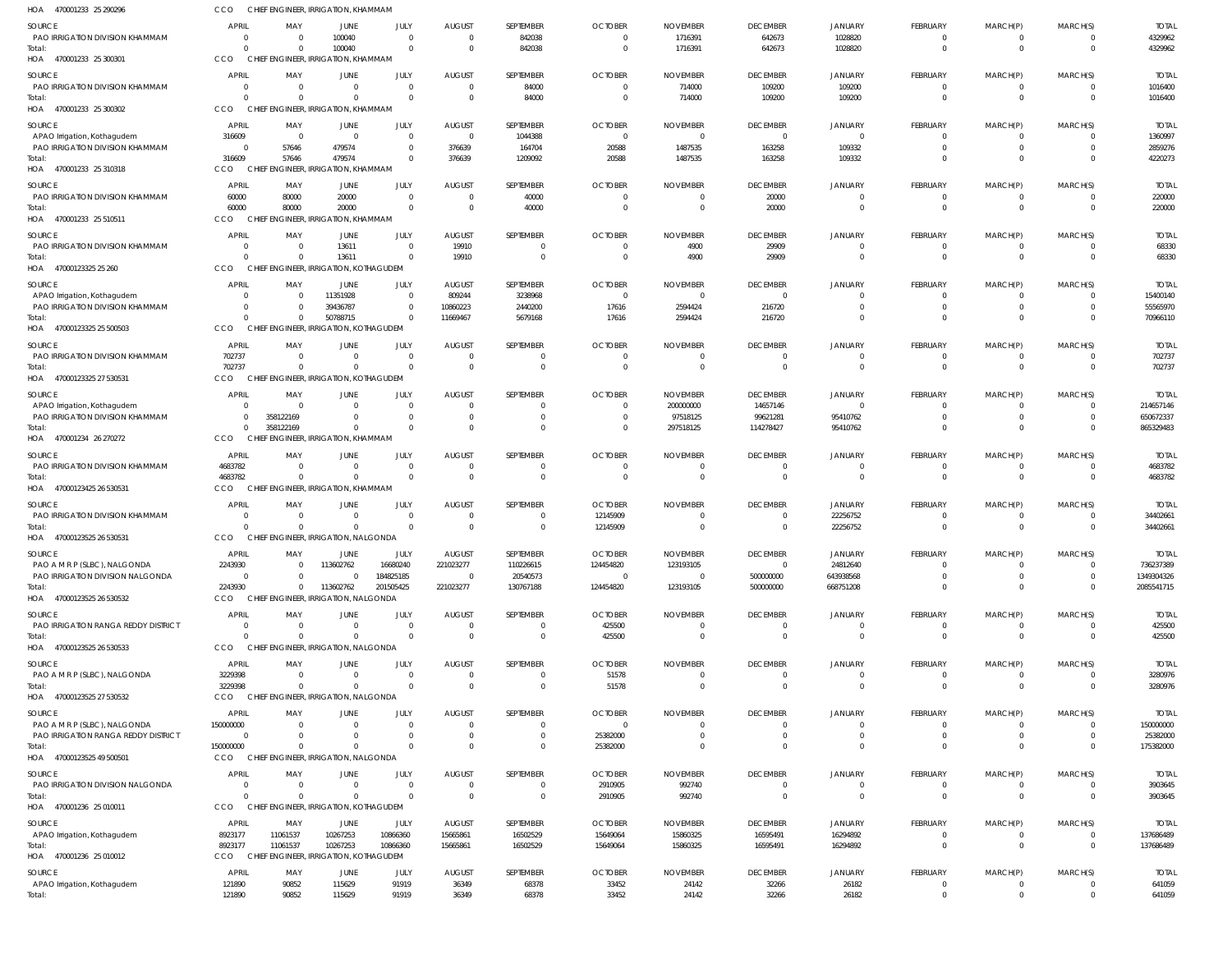| HOA<br>470001233 25 290296                       | CCO                         | CHIEF ENGINEER, IRRIGATION, KHAMMAM                |                         |                        |                         |                          |                                  |                              |                                 |                            |                             |                         |                      |                           |
|--------------------------------------------------|-----------------------------|----------------------------------------------------|-------------------------|------------------------|-------------------------|--------------------------|----------------------------------|------------------------------|---------------------------------|----------------------------|-----------------------------|-------------------------|----------------------|---------------------------|
| <b>SOURCE</b>                                    | <b>APRIL</b>                | MAY                                                | JUNE                    | JULY                   | <b>AUGUST</b>           | SEPTEMBER                | <b>OCTOBER</b>                   | <b>NOVEMBER</b>              | <b>DECEMBER</b>                 | <b>JANUARY</b>             | <b>FEBRUARY</b>             | MARCH(P)                | MARCH(S)             | <b>TOTAL</b>              |
| PAO IRRIGATION DIVISION KHAMMAM                  | $\Omega$                    | - 0                                                | 100040                  | $\overline{0}$         | $\Omega$                | 842038                   | $\overline{0}$                   | 1716391                      | 642673                          | 1028820                    | 0                           | 0                       |                      | 4329962                   |
| Total:                                           | $\Omega$<br>CCO             | $\Omega$<br>CHIEF ENGINEER, IRRIGATION, KHAMMAM    | 100040                  | $\Omega$               | $\Omega$                | 842038                   | $\overline{0}$                   | 1716391                      | 642673                          | 1028820                    | $\mathbf 0$                 | $\mathbf 0$             | $\Omega$             | 4329962                   |
| HOA 470001233 25 300301                          |                             |                                                    |                         |                        |                         |                          |                                  |                              |                                 |                            |                             |                         |                      |                           |
| <b>SOURCE</b><br>PAO IRRIGATION DIVISION KHAMMAM | <b>APRIL</b><br>0           | MAY<br>$\Omega$                                    | JUNE<br>$\Omega$        | JULY<br>$\Omega$       | <b>AUGUST</b><br>- 0    | SEPTEMBER<br>84000       | <b>OCTOBER</b><br>$\overline{0}$ | <b>NOVEMBER</b><br>714000    | <b>DECEMBER</b><br>109200       | <b>JANUARY</b><br>109200   | <b>FEBRUARY</b><br>$\Omega$ | MARCH(P)<br>0           | MARCH(S)             | <b>TOTAL</b><br>1016400   |
| Total:                                           | $\Omega$                    | $\Omega$                                           |                         | $\Omega$               |                         | 84000                    | $\overline{0}$                   | 714000                       | 109200                          | 109200                     | $\mathbf 0$                 | $\mathbf 0$             | $\Omega$             | 1016400                   |
| HOA 470001233 25 300302                          | CCO                         | CHIEF ENGINEER, IRRIGATION, KHAMMAM                |                         |                        |                         |                          |                                  |                              |                                 |                            |                             |                         |                      |                           |
| <b>SOURCE</b>                                    | <b>APRIL</b>                | MAY                                                | JUNE                    | <b>JULY</b>            | <b>AUGUST</b>           | SEPTEMBER                | <b>OCTOBER</b>                   | <b>NOVEMBER</b>              | <b>DECEMBER</b>                 | <b>JANUARY</b>             | <b>FEBRUARY</b>             | MARCH(P)                | MARCH(S)             | <b>TOTAI</b>              |
| APAO Irrigation, Kothagudem                      | 316609                      | $\Omega$                                           | $\Omega$                | $\mathbf{0}$           | $\Omega$                | 1044388                  | $\overline{0}$                   | $\overline{0}$               | $\Omega$                        | $\Omega$                   | $\Omega$                    | $\Omega$                |                      | 1360997                   |
| PAO IRRIGATION DIVISION KHAMMAM                  | $\overline{0}$<br>316609    | 57646                                              | 479574<br>479574        | $\Omega$<br>$\Omega$   | 376639                  | 164704                   | 20588                            | 1487535                      | 163258                          | 109332<br>109332           | $\Omega$<br>$\Omega$        | $\mathbf 0$<br>$\Omega$ | $\Omega$<br>$\Omega$ | 2859276<br>4220273        |
| Total:<br>HOA 470001233 25 310318                | CCO                         | 57646<br>CHIEF ENGINEER, IRRIGATION, KHAMMAM       |                         |                        | 376639                  | 1209092                  | 20588                            | 1487535                      | 163258                          |                            |                             |                         |                      |                           |
| SOURCE                                           | <b>APRIL</b>                | MAY                                                | JUNE                    | JULY                   | <b>AUGUST</b>           | SEPTEMBER                | <b>OCTOBER</b>                   | <b>NOVEMBER</b>              | <b>DECEMBER</b>                 | <b>JANUARY</b>             | <b>FEBRUARY</b>             | MARCH(P)                | MARCH(S)             | <b>TOTAL</b>              |
| PAO IRRIGATION DIVISION KHAMMAM                  | 60000                       | 80000                                              | 20000                   | $\Omega$               | - 0                     | 40000                    | $\circ$                          | 0                            | 20000                           |                            | 0                           | 0                       |                      | 220000                    |
| Total:                                           | 60000                       | 80000                                              | 20000                   | $\Omega$               | - 0                     | 40000                    | $\overline{0}$                   | $\overline{0}$               | 20000                           | $\Omega$                   | $\mathbf 0$                 | $\mathbf 0$             | $\Omega$             | 220000                    |
| HOA 470001233 25 510511                          | CCO                         | CHIEF ENGINEER, IRRIGATION, KHAMMAM                |                         |                        |                         |                          |                                  |                              |                                 |                            |                             |                         |                      |                           |
| <b>SOURCE</b>                                    | <b>APRIL</b>                | MAY                                                | <b>JUNE</b>             | JULY                   | <b>AUGUST</b>           | SEPTEMBER                | <b>OCTOBER</b>                   | <b>NOVEMBER</b>              | <b>DECEMBER</b>                 | <b>JANUARY</b>             | <b>FEBRUARY</b>             | MARCH(P)                | MARCH(S)             | <b>TOTAL</b>              |
| PAO IRRIGATION DIVISION KHAMMAM                  | $\Omega$                    | - 0                                                | 13611                   | $\Omega$               | 19910                   | 0                        | $\overline{0}$                   | 4900                         | 29909                           | $\Omega$                   | $\mathbf 0$                 | $\Omega$                |                      | 68330                     |
| Total:<br>HOA 47000123325 25 260                 | $\Omega$<br>CCO             | $\Omega$<br>CHIEF ENGINEER, IRRIGATION, KOTHAGUDEM | 13611                   | $\Omega$               | 19910                   | $\mathbf 0$              | $\overline{0}$                   | 4900                         | 29909                           | $\Omega$                   | $\mathbf 0$                 | $\mathbf 0$             | $\Omega$             | 68330                     |
|                                                  |                             |                                                    |                         |                        |                         |                          |                                  |                              |                                 |                            |                             |                         |                      |                           |
| <b>SOURCE</b><br>APAO Irrigation, Kothagudem     | <b>APRIL</b><br>$\Omega$    | MAY<br>$\Omega$                                    | JUNE<br>11351928        | JULY<br>$\Omega$       | <b>AUGUST</b><br>809244 | SEPTEMBER<br>3238968     | <b>OCTOBER</b><br>$\overline{0}$ | <b>NOVEMBER</b><br>0         | <b>DECEMBER</b><br>$\Omega$     | <b>JANUARY</b><br>$\Omega$ | <b>FEBRUARY</b><br>0        | MARCH(P)<br>0           | MARCH(S)             | <b>TOTAI</b><br>15400140  |
| PAO IRRIGATION DIVISION KHAMMAM                  | $\Omega$                    | $\Omega$                                           | 39436787                | $\Omega$               | 10860223                | 2440200                  | 17616                            | 2594424                      | 216720                          | $\Omega$                   | $\Omega$                    | $\Omega$                |                      | 55565970                  |
| Total:                                           | $\Omega$                    | $\overline{0}$                                     | 50788715                | $\Omega$               | 11669467                | 5679168                  | 17616                            | 2594424                      | 216720                          |                            | $\Omega$                    | $\Omega$                |                      | 70966110                  |
| HOA 47000123325 25 500503                        | CCO                         | CHIEF ENGINEER, IRRIGATION, KOTHAGUDEM             |                         |                        |                         |                          |                                  |                              |                                 |                            |                             |                         |                      |                           |
| <b>SOURCE</b>                                    | <b>APRIL</b>                | MAY                                                | <b>JUNE</b>             | JULY                   | <b>AUGUST</b>           | SEPTEMBER                | <b>OCTOBER</b>                   | <b>NOVEMBER</b>              | <b>DECEMBER</b>                 | <b>JANUARY</b>             | <b>FEBRUARY</b>             | MARCH(P)                | MARCH(S)             | <b>TOTAL</b>              |
| PAO IRRIGATION DIVISION KHAMMAM<br>Total:        | 702737<br>702737            | $\Omega$<br>$\Omega$                               | $\Omega$<br>$\Omega$    | $\Omega$<br>$\Omega$   | - 0<br>$\Omega$         | 0<br>$\mathbf 0$         | $\overline{0}$<br>$\overline{0}$ | 0<br>$\overline{0}$          | $\overline{0}$                  | $\Omega$                   | 0<br>$\mathbf 0$            | 0<br>$\mathbf 0$        | $\Omega$             | 702737<br>702737          |
| HOA 47000123325 27 530531                        | CCO                         | CHIEF ENGINEER, IRRIGATION, KOTHAGUDEM             |                         |                        |                         |                          |                                  |                              |                                 |                            |                             |                         |                      |                           |
| SOURCE                                           | <b>APRIL</b>                | MAY                                                | <b>JUNE</b>             | JULY                   | <b>AUGUST</b>           | SEPTEMBER                | <b>OCTOBER</b>                   | <b>NOVEMBER</b>              | <b>DECEMBER</b>                 | <b>JANUARY</b>             | FEBRUARY                    | MARCH(P)                | MARCH(S)             | <b>TOTAI</b>              |
| APAO Irrigation, Kothagudem                      | $\overline{0}$              | - 0                                                |                         | $\Omega$               | -C                      | 0                        | $\overline{0}$                   | 200000000                    | 14657146                        | $\Omega$                   | $\Omega$                    | $\Omega$                |                      | 214657146                 |
| PAO IRRIGATION DIVISION KHAMMAM                  | $\Omega$                    | 358122169                                          |                         | $\Omega$               |                         | $\Omega$                 | - 0                              | 97518125                     | 99621281                        | 95410762                   | $\Omega$                    | $\Omega$                | $\Omega$             | 650672337                 |
| Total:                                           | $\Omega$<br>CCO             | 358122169                                          |                         | $\Omega$               | $\Omega$                | $\Omega$                 | $\overline{0}$                   | 297518125                    | 114278427                       | 95410762                   | $\Omega$                    | $\Omega$                | $\Omega$             | 865329483                 |
| HOA 470001234 26 270272                          |                             | CHIEF ENGINEER, IRRIGATION, KHAMMAM                |                         |                        |                         |                          |                                  |                              |                                 |                            |                             |                         |                      |                           |
| <b>SOURCE</b><br>PAO IRRIGATION DIVISION KHAMMAM | <b>APRIL</b><br>4683782     | MAY<br>$\Omega$                                    | <b>JUNE</b><br>$\Omega$ | JULY<br>$\overline{0}$ | <b>AUGUST</b><br>- 0    | SEPTEMBER<br>0           | <b>OCTOBER</b><br>$\overline{0}$ | <b>NOVEMBER</b><br>0         | <b>DECEMBER</b>                 | <b>JANUARY</b><br>$\Omega$ | <b>FEBRUARY</b><br>0        | MARCH(P)                | MARCH(S)             | <b>TOTAL</b><br>4683782   |
| Total:                                           | 4683782                     | $\Omega$                                           | $\Omega$                | $\overline{0}$         | $\Omega$                | $\mathbf 0$              | $\overline{0}$                   | $\overline{0}$               | $\overline{0}$                  | $\Omega$                   | $\mathbf 0$                 | $\mathbf 0$             | $\Omega$             | 4683782                   |
| HOA 47000123425 26 530531                        | CCO                         | CHIEF ENGINEER, IRRIGATION, KHAMMAM                |                         |                        |                         |                          |                                  |                              |                                 |                            |                             |                         |                      |                           |
| <b>SOURCE</b>                                    | <b>APRIL</b>                | MAY                                                | JUNE                    | JULY                   | <b>AUGUST</b>           | SEPTEMBER                | <b>OCTOBER</b>                   | <b>NOVEMBER</b>              | <b>DECEMBER</b>                 | <b>JANUARY</b>             | FEBRUARY                    | MARCH(P)                | MARCH(S)             | <b>TOTAL</b>              |
| PAO IRRIGATION DIVISION KHAMMAM                  | $\Omega$                    | 0                                                  |                         | $\Omega$               | -C                      | 0                        | 12145909                         | 0                            | $\Omega$                        | 22256752                   | 0                           | 0                       |                      | 34402661                  |
| Total:                                           | $\Omega$                    | $\Omega$                                           |                         | $\Omega$               | $\Omega$                | $\Omega$                 | 12145909                         | $\Omega$                     | $\Omega$                        | 22256752                   | $\Omega$                    | $\Omega$                | $\Omega$             | 34402661                  |
| HOA 47000123525 26 530531                        | CCO                         | CHIEF ENGINEER, IRRIGATION, NALGONDA               |                         |                        |                         |                          |                                  |                              |                                 |                            |                             |                         |                      |                           |
| SOURCE<br>PAO A M R P (SLBC), NALGONDA           | APRIL<br>2243930            | MAY<br>$\Omega$                                    | JUNE<br>113602762       | JULY<br>16680240       | AUGUST<br>221023277     | SEPTEMBER<br>110226615   | <b>OCTOBER</b><br>124454820      | <b>NOVEMBER</b><br>123193105 | <b>DECEMBER</b><br>$\Omega$     | <b>JANUARY</b><br>24812640 | FEBRUARY<br>$\Omega$        | MARCH(P                 | MARCH(S)             | <b>TOTAI</b><br>736237389 |
| PAO IRRIGATION DIVISION NALGONDA                 | $\overline{0}$              | $\Omega$                                           | $\Omega$                | 184825185              | $\overline{0}$          | 20540573                 | $\overline{0}$                   | $\mathbf{0}$                 | 500000000                       | 643938568                  |                             |                         | $\Omega$             | 1349304326                |
| Total:                                           | 2243930                     | $\Omega$                                           | 113602762               | 201505425              | 221023277               | 130767188                | 124454820                        | 123193105                    | 500000000                       | 668751208                  | $\Omega$                    | $\Omega$                | $\Omega$             | 2085541715                |
| HOA 47000123525 26 530532                        | CCO                         | CHIEF ENGINEER, IRRIGATION, NALGONDA               |                         |                        |                         |                          |                                  |                              |                                 |                            |                             |                         |                      |                           |
| <b>SOURCE</b>                                    | <b>APRIL</b>                | MAY                                                | <b>JUNE</b>             | JULY                   | <b>AUGUST</b>           | SEPTEMBER                | <b>OCTOBER</b>                   | <b>NOVEMBER</b>              | <b>DECEMBER</b>                 | <b>JANUARY</b>             | <b>FEBRUARY</b>             | MARCH(P)                | MARCH(S)             | <b>TOTAL</b>              |
| <b>PAO IRRIGATION RANGA REDDY DISTRICT</b>       | $\overline{0}$              | $\overline{0}$                                     | $\Omega$                | $\Omega$               | $\Omega$                | 0                        | 425500                           | $\overline{0}$               | $\overline{0}$                  | $\Omega$                   | 0                           | 0                       |                      | 425500                    |
| Total:<br>HOA 47000123525 26 530533              | $\Omega$<br>CCO             | $\Omega$<br>CHIEF ENGINEER, IRRIGATION, NALGONDA   | $\Omega$                | $\overline{0}$         | $\Omega$                | $\mathbf 0$              | 425500                           | $\overline{0}$               | $\Omega$                        | $\Omega$                   | $\mathbf{0}$                | $\mathbf 0$             | $\Omega$             | 425500                    |
|                                                  | <b>APRIL</b>                |                                                    |                         |                        |                         |                          |                                  |                              |                                 |                            |                             |                         |                      |                           |
| SOURCE<br>PAO A M R P (SLBC), NALGONDA           | 3229398                     | MAY<br>$\Omega$                                    | JUNE<br>$\Omega$        | JULY<br>$\overline{0}$ | <b>AUGUST</b><br>0      | SEPTEMBER<br>$\mathbf 0$ | <b>OCTOBER</b><br>51578          | <b>NOVEMBER</b><br>0         | <b>DECEMBER</b><br>$\mathbf{0}$ | <b>JANUARY</b><br>- 0      | FEBRUARY<br>0               | MARCH(P)                | MARCH(S)             | <b>TOTAL</b><br>3280976   |
| Total:                                           | 3229398                     | $\Omega$                                           | $\Omega$                | $\Omega$               | $\Omega$                | $\mathbf 0$              | 51578                            | $\overline{0}$               | $\Omega$                        | $\Omega$                   | $\mathbf 0$                 | $\mathbf 0$             | $\Omega$             | 3280976                   |
| HOA 47000123525 27 530532                        | CCO                         | CHIEF ENGINEER, IRRIGATION, NALGONDA               |                         |                        |                         |                          |                                  |                              |                                 |                            |                             |                         |                      |                           |
| SOURCE                                           | <b>APRIL</b>                | MAY                                                | JUNE                    | JULY                   | <b>AUGUST</b>           | SEPTEMBER                | <b>OCTOBER</b>                   | <b>NOVEMBER</b>              | <b>DECEMBER</b>                 | <b>JANUARY</b>             | FEBRUARY                    | MARCH(P)                | MARCH(S)             | <b>TOTAL</b>              |
| PAO A M R P (SLBC), NALGONDA                     | 150000000                   | - 0                                                |                         | $\Omega$               |                         | 0                        | $\Omega$                         | $\Omega$                     |                                 |                            | $\Omega$                    | 0                       |                      | 150000000                 |
| PAO IRRIGATION RANGA REDDY DISTRICT<br>Total:    | $\overline{0}$<br>150000000 | $\Omega$<br>$\Omega$                               |                         | $\Omega$<br>$\Omega$   | $\Omega$                | $\mathbf 0$<br>$\Omega$  | 25382000<br>25382000             | 0<br>$\Omega$                | $\Omega$                        | $\Omega$<br>$\Omega$       | 0<br>$\Omega$               | $\mathbf 0$<br>$\Omega$ | $\Omega$             | 25382000<br>175382000     |
| HOA 47000123525 49 500501                        | CCO                         | CHIEF ENGINEER, IRRIGATION, NALGONDA               |                         |                        |                         |                          |                                  |                              |                                 |                            |                             |                         |                      |                           |
| SOURCE                                           | <b>APRIL</b>                | MAY                                                | JUNE                    | JULY                   | <b>AUGUST</b>           | SEPTEMBER                | <b>OCTOBER</b>                   | <b>NOVEMBER</b>              | <b>DECEMBER</b>                 | <b>JANUARY</b>             | FEBRUARY                    | MARCH(P)                | MARCH(S)             | <b>TOTAL</b>              |
| PAO IRRIGATION DIVISION NALGONDA                 | $\overline{0}$              | $\overline{0}$                                     | $\Omega$                | $\overline{0}$         | $\Omega$                | $\mathbf 0$              | 2910905                          | 992740                       | $\Omega$                        | $\Omega$                   | 0                           | 0                       | $\Omega$             | 3903645                   |
| Total:                                           | $\Omega$                    | $\Omega$                                           | $\Omega$                | $\overline{0}$         | $\Omega$                | $\mathbf 0$              | 2910905                          | 992740                       | $\Omega$                        | $\Omega$                   | $\mathbf 0$                 | $\mathbf 0$             | $\Omega$             | 3903645                   |
| HOA 470001236 25 010011                          | CCO                         | CHIEF ENGINEER, IRRIGATION, KOTHAGUDEM             |                         |                        |                         |                          |                                  |                              |                                 |                            |                             |                         |                      |                           |
| SOURCE                                           | <b>APRIL</b>                | MAY                                                | JUNE                    | JULY                   | <b>AUGUST</b>           | SEPTEMBER                | <b>OCTOBER</b>                   | <b>NOVEMBER</b>              | <b>DECEMBER</b>                 | <b>JANUARY</b>             | FEBRUARY                    | MARCH(P)                | MARCH(S)             | <b>TOTAL</b>              |
| APAO Irrigation, Kothagudem<br>Total:            | 8923177<br>8923177          | 11061537<br>11061537                               | 10267253<br>10267253    | 10866360<br>10866360   | 15665861<br>15665861    | 16502529<br>16502529     | 15649064<br>15649064             | 15860325<br>15860325         | 16595491<br>16595491            | 16294892<br>16294892       | 0<br>$\mathbf 0$            | 0<br>$\mathbf 0$        | $\Omega$             | 137686489<br>137686489    |
| HOA 470001236 25 010012                          | CCO                         | CHIEF ENGINEER, IRRIGATION, KOTHAGUDEM             |                         |                        |                         |                          |                                  |                              |                                 |                            |                             |                         |                      |                           |
| <b>SOURCE</b>                                    | APRIL                       | MAY                                                | <b>JUNE</b>             | JULY                   | <b>AUGUST</b>           | SEPTEMBER                | <b>OCTOBER</b>                   | <b>NOVEMBER</b>              | <b>DECEMBER</b>                 | <b>JANUARY</b>             | <b>FEBRUARY</b>             | MARCH(P)                | MARCH(S)             | <b>TOTAL</b>              |
| APAO Irrigation, Kothagudem                      | 121890                      | 90852                                              | 115629                  | 91919                  | 36349                   | 68378                    | 33452                            | 24142                        | 32266                           | 26182                      | 0                           | 0                       |                      | 641059                    |
| Total:                                           | 121890                      | 90852                                              | 115629                  | 91919                  | 36349                   | 68378                    | 33452                            | 24142                        | 32266                           | 26182                      | $\mathbf 0$                 | $\mathbf 0$             | $\mathbf{0}$         | 641059                    |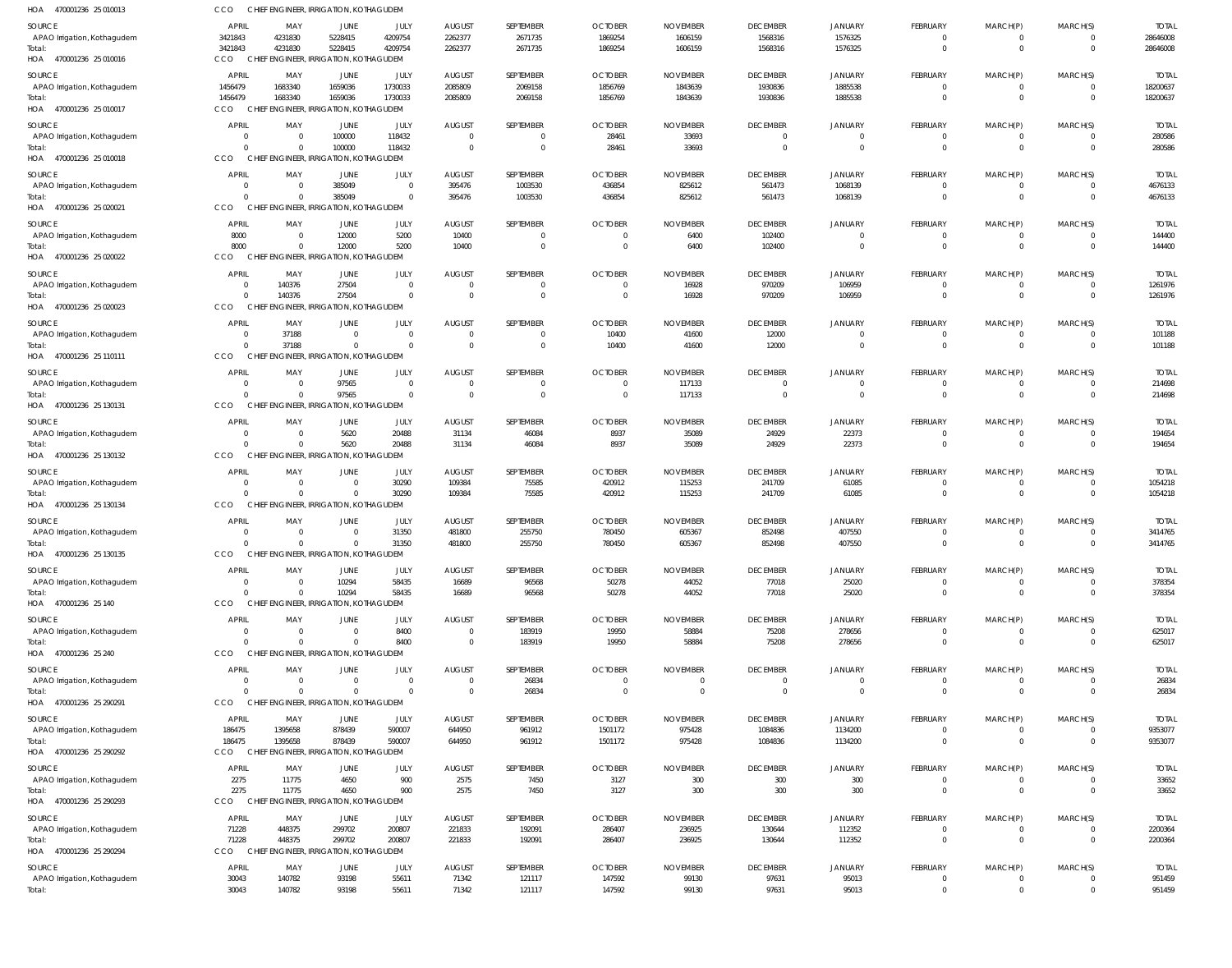| HOA 470001236 25 010013               | CCO                        |                      | CHIEF ENGINEER, IRRIGATION, KOTHAGUDEM             |                            |                      |                                  |                      |                  |                            |                                  |                                |                            |                                  |                    |
|---------------------------------------|----------------------------|----------------------|----------------------------------------------------|----------------------------|----------------------|----------------------------------|----------------------|------------------|----------------------------|----------------------------------|--------------------------------|----------------------------|----------------------------------|--------------------|
| SOURCE                                | APRIL                      | MAY                  | JUNE                                               | JULY                       | <b>AUGUST</b>        | SEPTEMBER                        | <b>OCTOBER</b>       | <b>NOVEMBER</b>  | <b>DECEMBER</b>            | <b>JANUARY</b>                   | <b>FEBRUARY</b>                | MARCH(P)                   | MARCH(S)                         | <b>TOTAI</b>       |
| APAO Irrigation, Kothagudem           | 3421843                    | 4231830              | 5228415                                            | 4209754                    | 2262377              | 2671735                          | 1869254              | 1606159          | 1568316                    | 1576325                          | $\overline{0}$                 | $^{\circ}$                 | $\Omega$                         | 28646008           |
| Total:<br>HOA 470001236 25 010016     | 3421843<br>CCO             | 4231830              | 5228415<br>CHIEF ENGINEER, IRRIGATION, KOTHAGUDEM  | 4209754                    | 2262377              | 2671735                          | 1869254              | 1606159          | 1568316                    | 1576325                          | $\mathbf{0}$                   | $\mathbf 0$                | $\overline{0}$                   | 28646008           |
| SOURCE                                | APRIL                      | MAY                  | <b>JUNE</b>                                        | JULY                       | <b>AUGUST</b>        | SEPTEMBER                        | <b>OCTOBER</b>       | <b>NOVEMBER</b>  | <b>DECEMBER</b>            | <b>JANUARY</b>                   | <b>FEBRUARY</b>                | MARCH(P)                   | MARCH(S)                         | <b>TOTAI</b>       |
| APAO Irrigation, Kothagudem           | 1456479                    | 1683340              | 1659036                                            | 1730033                    | 2085809              | 2069158                          | 1856769              | 1843639          | 1930836                    | 1885538                          | $\overline{0}$                 | $\mathbf 0$                | $\overline{0}$                   | 18200637           |
| Total:<br>HOA 470001236 25 010017     | 1456479<br>CCO             | 1683340              | 1659036<br>CHIEF ENGINEER, IRRIGATION, KOTHAGUDEM  | 1730033                    | 2085809              | 2069158                          | 1856769              | 1843639          | 1930836                    | 1885538                          | $\mathbf{0}$                   | $\mathbf 0$                | $\Omega$                         | 18200637           |
| SOURCE                                | <b>APRIL</b>               | MAY                  | JUNE                                               | JULY                       | <b>AUGUST</b>        | SEPTEMBER                        | <b>OCTOBER</b>       | <b>NOVEMBER</b>  | <b>DECEMBER</b>            | <b>JANUARY</b>                   | <b>FEBRUARY</b>                | MARCH(P)                   | MARCH(S)                         | <b>TOTAL</b>       |
| APAO Irrigation, Kothagudem           | $\overline{0}$             | $\Omega$             | 100000                                             | 118432                     | $\Omega$             | $\overline{0}$                   | 28461                | 33693            | $\overline{0}$             | $\overline{0}$                   | 0                              | $^{\circ}$                 | $\overline{0}$                   | 280586             |
| Total:<br>HOA 470001236 25 010018     | $\Omega$<br><b>CCO</b>     | $\Omega$             | 100000<br>CHIEF ENGINEER, IRRIGATION, KOTHAGUDEM   | 118432                     | $\Omega$             | $\overline{0}$                   | 28461                | 33693            | $\overline{0}$             | $\Omega$                         | $\mathbf{0}$                   | $\mathbf 0$                | $\overline{0}$                   | 280586             |
| SOURCE                                | APRIL                      | MAY                  | JUNE                                               | JULY                       | <b>AUGUST</b>        | SEPTEMBER                        | <b>OCTOBER</b>       | <b>NOVEMBER</b>  | <b>DECEMBER</b>            | <b>JANUARY</b>                   | <b>FEBRUARY</b>                | MARCH(P)                   | MARCH(S)                         | <b>TOTAI</b>       |
| APAO Irrigation, Kothagudem           | $\circ$                    | $\Omega$             | 385049                                             | $\Omega$                   | 395476               | 1003530                          | 436854               | 825612           | 561473                     | 1068139                          | 0                              | $^{\circ}$                 |                                  | 4676133            |
| Total:<br>HOA 470001236 25 020021     | $\Omega$<br>CCO            |                      | 385049<br>CHIEF ENGINEER, IRRIGATION, KOTHAGUDEM   | $\Omega$                   | 395476               | 1003530                          | 436854               | 825612           | 561473                     | 1068139                          | $\mathbf{0}$                   | $\mathbf 0$                | $\overline{0}$                   | 4676133            |
| SOURCE                                | <b>APRIL</b>               | MAY                  | JUNE                                               | JULY                       | <b>AUGUST</b>        | SEPTEMBER                        | <b>OCTOBER</b>       | <b>NOVEMBER</b>  | <b>DECEMBER</b>            | <b>JANUARY</b>                   | FEBRUARY                       | MARCH(P)                   | MARCH(S)                         | <b>TOTAL</b>       |
| APAO Irrigation, Kothagudem           | 8000                       | $\Omega$             | 12000                                              | 5200                       | 10400                | $\overline{0}$                   | $\Omega$             | 6400             | 102400                     | $\overline{0}$                   | $\overline{0}$                 | $^{\circ}$                 | $\Omega$                         | 144400             |
| Total:                                | 8000                       | $\Omega$             | 12000                                              | 5200                       | 10400                | $\overline{0}$                   | $\Omega$             | 6400             | 102400                     | $\overline{0}$                   | $\mathbf{0}$                   | $\mathbf 0$                | $\overline{0}$                   | 144400             |
| HOA 470001236 25 020022               | CCO                        |                      | CHIEF ENGINEER, IRRIGATION, KOTHAGUDEM             |                            |                      |                                  |                      |                  |                            |                                  |                                |                            |                                  |                    |
| SOURCE                                | APRIL                      | MAY                  | <b>JUNE</b>                                        | JULY                       | <b>AUGUST</b>        | SEPTEMBER                        | <b>OCTOBER</b>       | <b>NOVEMBER</b>  | <b>DECEMBER</b>            | <b>JANUARY</b>                   | <b>FEBRUARY</b>                | MARCH(P)                   | MARCH(S)                         | <b>TOTAL</b>       |
| APAO Irrigation, Kothagudem<br>Total: | $\overline{0}$<br>$\Omega$ | 140376<br>140376     | 27504<br>27504                                     | $\Omega$<br>$\overline{0}$ | $\Omega$<br>$\Omega$ | $\overline{0}$<br>$\overline{0}$ | - 0<br>$\Omega$      | 16928<br>16928   | 970209<br>970209           | 106959<br>106959                 | $\overline{0}$<br>$\mathbf{0}$ | $\mathbf 0$<br>$\mathbf 0$ | $\overline{0}$<br>$\overline{0}$ | 1261976<br>1261976 |
| HOA 470001236 25 020023               | CCO                        |                      | CHIEF ENGINEER, IRRIGATION, KOTHAGUDEM             |                            |                      |                                  |                      |                  |                            |                                  |                                |                            |                                  |                    |
| SOURCE                                | <b>APRIL</b>               | MAY                  | JUNE                                               | JULY                       | <b>AUGUST</b>        | SEPTEMBER                        | <b>OCTOBER</b>       | <b>NOVEMBER</b>  | <b>DECEMBER</b>            | JANUARY                          | <b>FEBRUARY</b>                | MARCH(P)                   | MARCH(S)                         | <b>TOTAL</b>       |
| APAO Irrigation, Kothagudem           | - 0                        | 37188                | $\overline{0}$                                     | $\mathbf 0$                | $\Omega$             | $\overline{0}$                   | 10400                | 41600            | 12000                      | $\overline{0}$                   | 0                              | $^{\circ}$                 | $\overline{0}$                   | 101188             |
| Total:<br>HOA 470001236 25 110111     | $\Omega$<br>CCO            | 37188                | $\Omega$<br>CHIEF ENGINEER, IRRIGATION, KOTHAGUDEM | $\Omega$                   | $\Omega$             | $\overline{0}$                   | 10400                | 41600            | 12000                      | $\overline{0}$                   | $\mathbf{0}$                   | $\mathbf 0$                | $\overline{0}$                   | 101188             |
| SOURCE                                | <b>APRIL</b>               | MAY                  | JUNE                                               | JULY                       | <b>AUGUST</b>        | SEPTEMBER                        | <b>OCTOBER</b>       | <b>NOVEMBER</b>  | <b>DECEMBER</b>            | <b>JANUARY</b>                   | FEBRUARY                       | MARCH(P)                   | MARCH(S)                         | <b>TOTAI</b>       |
| APAO Irrigation, Kothagudem           | $\circ$                    | $\Omega$             | 97565                                              | $\Omega$                   |                      | $\overline{0}$                   |                      | 117133           | $\overline{0}$             | $\overline{0}$                   | $\mathbf 0$                    | 0                          | $\Omega$                         | 214698             |
| Total:                                | $\Omega$                   | $\Omega$             | 97565                                              | $\Omega$                   | $\Omega$             | $\overline{0}$                   | $\Omega$             | 117133           | $\overline{0}$             | $\Omega$                         | $\mathbf{0}$                   | $\mathbf 0$                | $\overline{0}$                   | 214698             |
| HOA 470001236 25 130131               | CCO                        |                      | CHIEF ENGINEER, IRRIGATION, KOTHAGUDEM             |                            |                      |                                  |                      |                  |                            |                                  |                                |                            |                                  |                    |
| SOURCE                                | <b>APRIL</b>               | MAY                  | JUNE                                               | JULY                       | <b>AUGUST</b>        | SEPTEMBER                        | <b>OCTOBER</b>       | <b>NOVEMBER</b>  | <b>DECEMBER</b>            | <b>JANUARY</b>                   | FEBRUARY                       | MARCH(P)                   | MARCH(S)                         | <b>TOTAL</b>       |
| APAO Irrigation, Kothagudem           | $\circ$                    | $\Omega$             | 5620                                               | 20488                      | 31134                | 46084                            | 8937                 | 35089            | 24929                      | 22373                            | $\overline{0}$                 | $^{\circ}$                 | $\Omega$                         | 194654             |
| Total:<br>HOA 470001236 25 130132     | $\Omega$<br><b>CCO</b>     | $\Omega$             | 5620<br>CHIEF ENGINEER, IRRIGATION, KOTHAGUDEM     | 20488                      | 31134                | 46084                            | 8937                 | 35089            | 24929                      | 22373                            | $\mathbf{0}$                   | $\mathbf 0$                | $\overline{0}$                   | 194654             |
| SOURCE                                | <b>APRIL</b>               | MAY                  | JUNE                                               | JULY                       | <b>AUGUST</b>        | SEPTEMBER                        | <b>OCTOBER</b>       | <b>NOVEMBER</b>  | <b>DECEMBER</b>            | <b>JANUARY</b>                   | <b>FEBRUARY</b>                | MARCH(P)                   | MARCH(S)                         | <b>TOTAL</b>       |
| APAO Irrigation, Kothagudem           | $\circ$                    | $\Omega$             | $\Omega$                                           | 30290                      | 109384               | 75585                            | 420912               | 115253           | 241709                     | 61085                            | $\overline{0}$                 | $^{\circ}$                 | $\overline{0}$                   | 1054218            |
| Total:                                | $\Omega$                   |                      | $\Omega$                                           | 30290                      | 109384               | 75585                            | 420912               | 115253           | 241709                     | 61085                            | $\mathbf{0}$                   | $\mathbf 0$                | $\Omega$                         | 1054218            |
| HOA 470001236 25 130134               | CCO                        |                      | CHIEF ENGINEER, IRRIGATION, KOTHAGUDEM             |                            |                      |                                  |                      |                  |                            |                                  |                                |                            |                                  |                    |
| SOURCE                                | <b>APRIL</b>               | MAY                  | JUNE                                               | JULY                       | <b>AUGUST</b>        | SEPTEMBER                        | <b>OCTOBER</b>       | <b>NOVEMBER</b>  | <b>DECEMBER</b>            | <b>JANUARY</b>                   | FEBRUARY                       | MARCH(P)                   | MARCH(S)                         | <b>TOTAL</b>       |
| APAO Irrigation, Kothagudem<br>Total: | $\Omega$<br>$\Omega$       | $\Omega$<br>$\Omega$ | $\Omega$<br>$\Omega$                               | 31350<br>31350             | 481800<br>481800     | 255750<br>255750                 | 780450<br>780450     | 605367<br>605367 | 852498<br>852498           | 407550<br>407550                 | $\overline{0}$<br>$\mathbf{0}$ | $^{\circ}$<br>$\mathbf 0$  | $\Omega$<br>$\Omega$             | 3414765<br>3414765 |
| HOA 470001236 25 130135               | <b>CCO</b>                 |                      | CHIEF ENGINEER, IRRIGATION, KOTHAGI                | JDEM                       |                      |                                  |                      |                  |                            |                                  |                                |                            |                                  |                    |
| SOURCE                                | <b>APRIL</b>               | MAY                  | JUNE                                               | JULY                       | <b>AUGUST</b>        | SEPTEMBER                        | <b>OCTOBER</b>       | <b>NOVEMBER</b>  | <b>DECEMBER</b>            | <b>JANUARY</b>                   | FEBRUARY                       | MARCH(P)                   | MARCH(S)                         | <b>TOTAL</b>       |
| APAO Irrigation, Kothagudem           | $\overline{0}$             |                      | 10294                                              | 58435                      | 16689                | 96568                            | 50278                | 44052            | 77018                      | 25020                            | 0                              | 0                          |                                  | 378354             |
| Total:<br>HOA 470001236 25 140        | $\Omega$<br>CCO            |                      | 10294<br>CHIEF ENGINEER, IRRIGATION, KOTHAGUDEM    | 58435                      | 16689                | 96568                            | 50278                | 44052            | 77018                      | 25020                            | $\mathbf{0}$                   | $\mathbf 0$                | $\overline{0}$                   | 378354             |
| <b>SOURCE</b>                         | APRIL                      | MAY                  | <b>JUNE</b>                                        | JULY                       | <b>AUGUST</b>        | SEPTEMBER                        | <b>OCTOBER</b>       | <b>NOVEMBER</b>  | <b>DECEMBER</b>            | <b>JANUARY</b>                   | <b>FEBRUARY</b>                | MARCH(P)                   | MARCH(S)                         | <b>TOTAL</b>       |
| APAO Irrigation, Kothagudem           | $\overline{0}$             | $\Omega$             | $\Omega$                                           | 8400                       | $\Omega$             | 183919                           | 19950                | 58884            | 75208                      | 278656                           | 0                              | $^{\circ}$                 |                                  | 625017             |
| Total:                                | $\Omega$                   | $\Omega$             | $\Omega$                                           | 8400                       | $\overline{0}$       | 183919                           | 19950                | 58884            | 75208                      | 278656                           | $\mathbf{0}$                   | $\mathbf 0$                | $\overline{0}$                   | 625017             |
| HOA 470001236 25 240                  | <b>CCO</b>                 |                      | CHIEF ENGINEER, IRRIGATION, KOTHAGUDEM             |                            |                      |                                  |                      |                  |                            |                                  |                                |                            |                                  |                    |
| SOURCE                                | <b>APRIL</b>               | MAY                  | JUNE                                               | JULY                       | <b>AUGUST</b>        | SEPTEMBER                        | <b>OCTOBER</b>       | <b>NOVEMBER</b>  | <b>DECEMBER</b>            | <b>JANUARY</b>                   | <b>FEBRUARY</b>                | MARCH(P)                   | MARCH(S)                         | <b>TOTAL</b>       |
| APAO Irrigation, Kothagudem<br>Total: | $\overline{0}$<br>$\Omega$ |                      | $\Omega$                                           | $\mathbf 0$<br>$\Omega$    | $\Omega$<br>$\Omega$ | 26834<br>26834                   | $\Omega$<br>$\Omega$ | - 0<br>$\Omega$  | $\overline{0}$<br>$\Omega$ | $\overline{0}$<br>$\overline{0}$ | $\overline{0}$<br>$\mathbf{0}$ | $^{\circ}$<br>$\mathbf 0$  | $\Omega$<br>$\Omega$             | 26834<br>26834     |
| HOA 470001236 25 290291               | CCO                        |                      | CHIEF ENGINEER, IRRIGATION, KOTHAGUDEM             |                            |                      |                                  |                      |                  |                            |                                  |                                |                            |                                  |                    |
| SOURCE                                | APRIL                      | MAY                  | JUNE                                               | JULY                       | <b>AUGUST</b>        | SEPTEMBER                        | <b>OCTOBER</b>       | <b>NOVEMBER</b>  | <b>DECEMBER</b>            | <b>JANUARY</b>                   | <b>FEBRUARY</b>                | MARCH(P)                   | MARCH(S)                         | <b>TOTAL</b>       |
| APAO Irrigation, Kothagudem           | 186475                     | 1395658              | 878439                                             | 590007                     | 644950               | 961912                           | 1501172              | 975428           | 1084836                    | 1134200                          | $\overline{0}$                 | $^{\circ}$                 | $\overline{0}$                   | 9353077            |
| Total:<br>HOA 470001236 25 290292     | 186475<br>CCO              | 1395658              | 878439<br>CHIEF ENGINEER, IRRIGATION, KOTHAGUDEM   | 590007                     | 644950               | 961912                           | 1501172              | 975428           | 1084836                    | 1134200                          | $\mathbf 0$                    | $\mathbf 0$                | $\overline{0}$                   | 9353077            |
| SOURCE                                | <b>APRIL</b>               | MAY                  | JUNE                                               | JULY                       | <b>AUGUST</b>        | SEPTEMBER                        | <b>OCTOBER</b>       | <b>NOVEMBER</b>  | <b>DECEMBER</b>            | <b>JANUARY</b>                   | <b>FEBRUARY</b>                | MARCH(P)                   | MARCH(S)                         | <b>TOTAL</b>       |
| APAO Irrigation, Kothagudem           | 2275                       | 11775                | 4650                                               | 900                        | 2575                 | 7450                             | 3127                 | 300              | 300                        | 300                              | 0                              | 0                          |                                  | 33652              |
| Total:                                | 2275                       | 11775                | 4650                                               | 900                        | 2575                 | 7450                             | 3127                 | 300              | 300                        | 300                              | $\mathbf 0$                    | $\mathbf 0$                | $\overline{0}$                   | 33652              |
| HOA 470001236 25 290293               | <b>CCO</b>                 |                      | CHIEF ENGINEER, IRRIGATION, KOTHAGUDEM             |                            |                      |                                  |                      |                  |                            |                                  |                                |                            |                                  |                    |
| SOURCE                                | <b>APRIL</b>               | MAY                  | JUNE<br>299702                                     | JULY                       | <b>AUGUST</b>        | SEPTEMBER                        | <b>OCTOBER</b>       | <b>NOVEMBER</b>  | <b>DECEMBER</b>            | <b>JANUARY</b>                   | FEBRUARY                       | MARCH(P)                   | MARCH(S)                         | <b>TOTAL</b>       |
| APAO Irrigation, Kothagudem<br>Total: | 71228<br>71228             | 448375<br>448375     | 299702                                             | 200807<br>200807           | 221833<br>221833     | 192091<br>192091                 | 286407<br>286407     | 236925<br>236925 | 130644<br>130644           | 112352<br>112352                 | $\overline{0}$<br>$\mathbf{0}$ | $^{\circ}$<br>$\mathbf 0$  | $\overline{0}$                   | 2200364<br>2200364 |
| HOA 470001236 25 290294               | CCO                        |                      | CHIEF ENGINEER, IRRIGATION, KOTHAGUDEM             |                            |                      |                                  |                      |                  |                            |                                  |                                |                            |                                  |                    |
| SOURCE                                | APRIL                      | MAY                  | <b>JUNE</b>                                        | JULY                       | <b>AUGUST</b>        | SEPTEMBER                        | <b>OCTOBER</b>       | <b>NOVEMBER</b>  | <b>DECEMBER</b>            | JANUARY                          | FEBRUARY                       | MARCH(P)                   | MARCH(S)                         | <b>TOTAL</b>       |
| APAO Irrigation, Kothagudem           | 30043                      | 140782               | 93198                                              | 55611                      | 71342                | 121117                           | 147592               | 99130            | 97631                      | 95013                            | $\overline{0}$                 | $\mathbf 0$                | $\overline{0}$                   | 951459             |
| Total:                                | 30043                      | 140782               | 93198                                              | 55611                      | 71342                | 121117                           | 147592               | 99130            | 97631                      | 95013                            | $\mathbf{0}$                   | $\mathbf 0$                | $\overline{0}$                   | 951459             |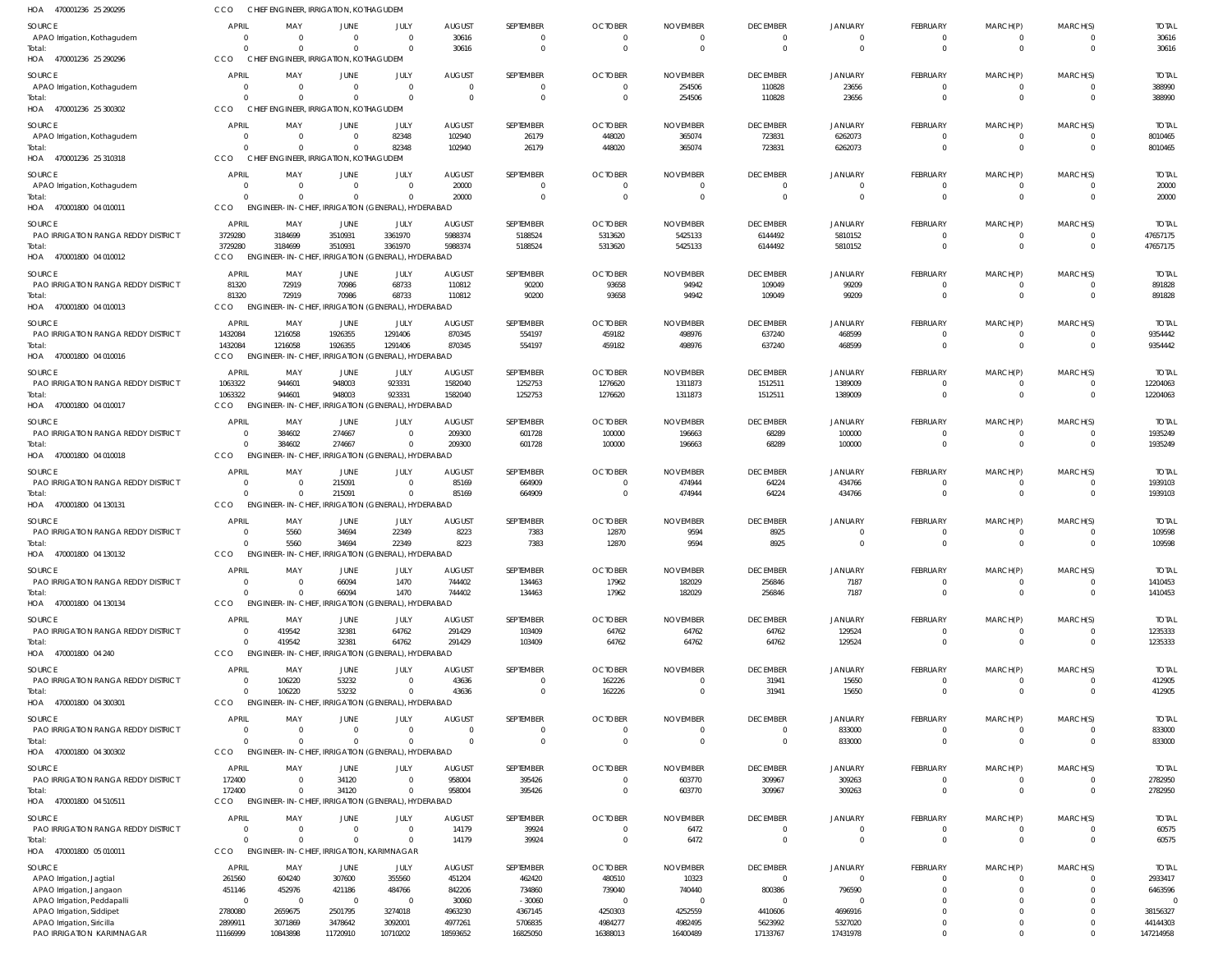| HOA 470001236 25 290295                                 | CCO                      | CHIEF ENGINEER. IRRIGATION. KOTHAGUDEM                         |                      |                                           |                                 |                     |                                  |                                  |                            |                          |                               |                      |                      |                         |
|---------------------------------------------------------|--------------------------|----------------------------------------------------------------|----------------------|-------------------------------------------|---------------------------------|---------------------|----------------------------------|----------------------------------|----------------------------|--------------------------|-------------------------------|----------------------|----------------------|-------------------------|
| SOURCE                                                  | <b>APRIL</b>             | MAY                                                            | JUNE                 | JULY                                      | <b>AUGUST</b>                   | SEPTEMBER           | <b>OCTOBER</b>                   | <b>NOVEMBER</b>                  | <b>DECEMBER</b>            | <b>JANUARY</b>           | FEBRUARY                      | MARCH(P)             | MARCH(S)             | <b>TOTAL</b>            |
| APAO Irrigation, Kothagudem                             | $\Omega$                 | $\Omega$                                                       | $\Omega$             | $\Omega$                                  | 30616                           | $\Omega$            | $\overline{0}$                   | $\Omega$                         | $\Omega$                   | $\Omega$                 | $\mathbf{0}$                  | 0                    |                      | 30616                   |
| Total:                                                  | $\Omega$                 | $\Omega$                                                       |                      |                                           | 30616                           | $\Omega$            | $\Omega$                         | $\Omega$                         | $\Omega$                   | $\Omega$                 | $\mathbf 0$                   | $\Omega$             | $\Omega$             | 30616                   |
| HOA 470001236 25 290296                                 | CCO                      | CHIEF ENGINEER, IRRIGATION, KOTHAGUDEM                         |                      |                                           |                                 |                     |                                  |                                  |                            |                          |                               |                      |                      |                         |
| SOURCE<br>APAO Irrigation, Kothagudem                   | <b>APRIL</b><br>$\Omega$ | MAY<br>$\Omega$                                                | JUNE                 | JULY<br>$\Omega$                          | <b>AUGUST</b><br>$\overline{0}$ | SEPTEMBER<br>0      | <b>OCTOBER</b><br>$\Omega$       | <b>NOVEMBER</b><br>254506        | <b>DECEMBER</b><br>110828  | <b>JANUARY</b><br>23656  | <b>FEBRUARY</b><br>$\Omega$   | MARCH(P)<br>$\Omega$ | MARCH(S)             | <b>TOTAL</b><br>388990  |
| Total:                                                  |                          | $\Omega$                                                       |                      | $\Omega$                                  | $\Omega$                        | $\Omega$            | $\overline{0}$                   | 254506                           | 110828                     | 23656                    | $\Omega$                      | $\Omega$             | $\Omega$             | 388990                  |
| HOA 470001236 25 300302                                 | CCO                      | CHIEF ENGINEER, IRRIGATION, KOTHAGUDEM                         |                      |                                           |                                 |                     |                                  |                                  |                            |                          |                               |                      |                      |                         |
| SOURCE                                                  | <b>APRIL</b>             | MAY                                                            | <b>JUNE</b>          | JULY                                      | <b>AUGUST</b>                   | SEPTEMBER           | <b>OCTOBER</b>                   | <b>NOVEMBER</b>                  | <b>DECEMBER</b>            | <b>JANUARY</b>           | <b>FEBRUARY</b>               | MARCH(P)             | MARCH(S)             | <b>TOTAL</b>            |
| APAO Irrigation, Kothagudem                             | $\Omega$                 | $\Omega$                                                       | $\Omega$             | 82348                                     | 102940                          | 26179               | 448020                           | 365074                           | 723831                     | 6262073                  | 0                             | 0                    | $\Omega$             | 8010465                 |
| Total:<br>HOA 470001236 25 310318                       | $\Omega$<br>CCO          | $\Omega$<br>CHIEF ENGINEER. IRRIGATION. KOTHAGUDEM             |                      | 82348                                     | 102940                          | 26179               | 448020                           | 365074                           | 723831                     | 6262073                  | $\overline{0}$                | $\mathbf 0$          | $\Omega$             | 8010465                 |
|                                                         | APRIL                    | MAY                                                            | JUNE                 | JULY                                      | <b>AUGUST</b>                   | SEPTEMBER           | <b>OCTOBER</b>                   | <b>NOVEMBER</b>                  | <b>DECEMBER</b>            | <b>JANUARY</b>           | <b>FEBRUARY</b>               |                      | MARCH(S)             | <b>TOTAL</b>            |
| SOURCE<br>APAO Irrigation, Kothagudem                   | $\Omega$                 | $\Omega$                                                       | $\Omega$             | $\Omega$                                  | 20000                           |                     | $\Omega$                         | $\Omega$                         | $\Omega$                   |                          | 0                             | MARCH(P)             |                      | 20000                   |
| Total:                                                  | $\Omega$                 | $\Omega$                                                       |                      | $\Omega$                                  | 20000                           | 0                   | $\Omega$                         | $\overline{0}$                   | $\Omega$                   | $\Omega$                 | $\mathbf{0}$                  | $\Omega$             | $\Omega$             | 20000                   |
| HOA 470001800 04 010011                                 | CCO                      | ENGINEER-IN-CHIEF, IRRIGATION (GENERAL), HYDERABAD             |                      |                                           |                                 |                     |                                  |                                  |                            |                          |                               |                      |                      |                         |
| SOURCE                                                  | APRIL                    | MAY                                                            | JUNE                 | JULY                                      | <b>AUGUST</b>                   | SEPTEMBER           | <b>OCTOBER</b>                   | <b>NOVEMBER</b>                  | <b>DECEMBER</b>            | <b>JANUARY</b>           | FEBRUARY                      | MARCH(P)             | MARCH(S)             | <b>TOTAL</b>            |
| PAO IRRIGATION RANGA REDDY DISTRICT<br>Total:           | 3729280<br>3729280       | 3184699<br>3184699                                             | 3510931<br>3510931   | 3361970<br>3361970                        | 5988374<br>5988374              | 5188524<br>5188524  | 5313620<br>5313620               | 5425133<br>5425133               | 6144492<br>6144492         | 5810152<br>5810152       | $\overline{0}$<br>$\mathbf 0$ | 0<br>$\mathbf 0$     | $\Omega$             | 47657175<br>47657175    |
| HOA 470001800 04 010012                                 | CCO                      | ENGINEER-IN-CHIEF, IRRIGATION (GENERAL), HYDERABAD             |                      |                                           |                                 |                     |                                  |                                  |                            |                          |                               |                      |                      |                         |
| <b>SOURCE</b>                                           | <b>APRIL</b>             | MAY                                                            | JUNE                 | JULY                                      | <b>AUGUST</b>                   | SEPTEMBER           | <b>OCTOBER</b>                   | <b>NOVEMBER</b>                  | <b>DECEMBER</b>            | <b>JANUARY</b>           | <b>FEBRUARY</b>               | MARCH(P)             | MARCH(S)             | <b>TOTAL</b>            |
| PAO IRRIGATION RANGA REDDY DISTRICT                     | 81320                    | 72919                                                          | 70986                | 68733                                     | 110812                          | 90200               | 93658                            | 94942                            | 109049                     | 99209                    | 0                             | $\Omega$             |                      | 891828                  |
| Total:                                                  | 81320                    | 72919                                                          | 70986                | 68733                                     | 110812                          | 90200               | 93658                            | 94942                            | 109049                     | 99209                    | $\Omega$                      | $\Omega$             | $\Omega$             | 891828                  |
| HOA 470001800 04 010013                                 | <b>CCO</b>               | <b>ENGINEER-IN-CHIEF</b>                                       |                      | IRRIGATION (GENERAL), HYDERABAD           |                                 |                     |                                  |                                  |                            |                          |                               |                      |                      |                         |
| SOURCE<br>PAO IRRIGATION RANGA REDDY DISTRICT           | APRIL<br>1432084         | MAY<br>1216058                                                 | JUNE<br>1926355      | JULY<br>1291406                           | <b>AUGUST</b><br>870345         | SEPTEMBER<br>554197 | <b>OCTOBER</b><br>459182         | <b>NOVEMBER</b><br>498976        | <b>DECEMBER</b><br>637240  | <b>JANUARY</b><br>468599 | FEBRUARY<br>$\mathbf{0}$      | MARCH(P)<br>$\Omega$ | MARCH(S)<br>$\Omega$ | <b>TOTAL</b><br>9354442 |
| Total:                                                  | 1432084                  | 1216058                                                        | 1926355              | 1291406                                   | 870345                          | 554197              | 459182                           | 498976                           | 637240                     | 468599                   | $\mathbf 0$                   | $\Omega$             | $\Omega$             | 9354442                 |
| HOA 470001800 04 010016                                 | <b>CCO</b>               | ENGINEER-IN-CHIEF, IRRIGATION (GENERAL), HYDERABAD             |                      |                                           |                                 |                     |                                  |                                  |                            |                          |                               |                      |                      |                         |
| SOURCE                                                  | <b>APRIL</b>             | MAY                                                            | JUNE                 | JULY                                      | <b>AUGUST</b>                   | SEPTEMBER           | <b>OCTOBER</b>                   | <b>NOVEMBER</b>                  | <b>DECEMBER</b>            | <b>JANUARY</b>           | <b>FEBRUARY</b>               | MARCH(P)             | MARCH(S)             | <b>TOTAI</b>            |
| PAO IRRIGATION RANGA REDDY DISTRICT                     | 1063322                  | 944601                                                         | 948003               | 923331                                    | 1582040                         | 1252753             | 1276620                          | 1311873                          | 1512511                    | 1389009                  | 0                             | 0                    |                      | 12204063                |
| Total:<br>HOA 470001800 04 010017                       | 1063322<br>CCO           | 944601<br><b>ENGINEER-IN-CHIEF</b>                             | 948003               | 923331<br>IRRIGATION (GENERAL), HYDERABAD | 1582040                         | 1252753             | 1276620                          | 1311873                          | 1512511                    | 1389009                  | $\mathbf{0}$                  | $\mathbf 0$          | $\Omega$             | 12204063                |
|                                                         | APRIL                    |                                                                |                      |                                           |                                 | SEPTEMBER           | <b>OCTOBER</b>                   | <b>NOVEMBER</b>                  |                            |                          |                               |                      |                      |                         |
| SOURCE<br>PAO IRRIGATION RANGA REDDY DISTRICT           | $\Omega$                 | MAY<br>384602                                                  | JUNE<br>274667       | JULY<br>$\Omega$                          | <b>AUGUST</b><br>209300         | 601728              | 100000                           | 196663                           | <b>DECEMBER</b><br>68289   | <b>JANUARY</b><br>100000 | FEBRUARY<br>0                 | MARCH(P)<br>0        | MARCH(S)             | <b>TOTAL</b><br>1935249 |
| Total:                                                  | $\Omega$                 | 384602                                                         | 274667               | $\mathbf 0$                               | 209300                          | 601728              | 100000                           | 196663                           | 68289                      | 100000                   | $\mathbf 0$                   | $\mathbf 0$          | $\Omega$             | 1935249                 |
| HOA 470001800 04 010018                                 | CCO                      | <b>ENGINEER-IN-CHIEF</b>                                       |                      | IRRIGATION (GENERAL), HYDERABAD           |                                 |                     |                                  |                                  |                            |                          |                               |                      |                      |                         |
| SOURCE                                                  | APRIL                    | MAY                                                            | JUNE                 | JULY                                      | <b>AUGUST</b>                   | SEPTEMBER           | <b>OCTOBER</b>                   | <b>NOVEMBER</b>                  | <b>DECEMBER</b>            | <b>JANUARY</b>           | <b>FEBRUARY</b>               | MARCH(P)             | MARCH(S)             | <b>TOTAI</b>            |
| PAO IRRIGATION RANGA REDDY DISTRICT<br>Total:           | $\Omega$<br>$\Omega$     | $\overline{0}$<br>$\Omega$                                     | 215091<br>215091     | $\Omega$                                  | 85169<br>85169                  | 664909<br>664909    | $\Omega$<br>$\overline{0}$       | 474944<br>474944                 | 64224<br>64224             | 434766<br>434766         | 0<br>$\Omega$                 | $\Omega$<br>$\Omega$ | $\Omega$             | 1939103<br>1939103      |
| HOA 470001800 04 130131                                 | CCO                      | ENGINEER-IN-CHIEF, IRRIGATION (GENERAL), HYDERABAD             |                      |                                           |                                 |                     |                                  |                                  |                            |                          |                               |                      |                      |                         |
| SOURCE                                                  | <b>APRIL</b>             | MAY                                                            | JUNE                 | JULY                                      | <b>AUGUST</b>                   | SEPTEMBER           | <b>OCTOBER</b>                   | <b>NOVEMBER</b>                  | <b>DECEMBER</b>            | <b>JANUARY</b>           | <b>FEBRUARY</b>               | MARCH(P)             | MARCH(S)             | <b>TOTAL</b>            |
| <b>PAO IRRIGATION RANGA REDDY DISTRICT</b>              | 0                        | 5560                                                           | 34694                | 22349                                     | 8223                            | 7383                | 12870                            | 9594                             | 8925                       | $\Omega$                 | 0                             |                      |                      | 109598                  |
| Total:                                                  | $\Omega$                 | 5560                                                           | 34694                | 22349                                     | 8223                            | 7383                | 12870                            | 9594                             | 8925                       | $\Omega$                 | $\Omega$                      |                      | $\Omega$             | 109598                  |
| HOA 470001800 04 130132                                 | CCO                      | ENGINEER-IN-CHIEF, IRRIGATION (GENERAL), HYDERABAD             |                      |                                           |                                 |                     |                                  |                                  |                            |                          |                               |                      |                      |                         |
| SOURCE<br>PAO IRRIGATION RANGA REDDY DISTRICT           | APRIL<br>$\Omega$        | MAY<br>$\Omega$                                                | <b>JUNE</b><br>66094 | JULY<br>1470                              | <b>AUGUST</b><br>744402         | SEPTEMBER<br>134463 | <b>OCTOBER</b><br>17962          | <b>NOVEMBER</b><br>182029        | <b>DECEMBER</b><br>256846  | JANUARY<br>7187          | FEBRUARY<br>0                 | MARCH(P)             | MARCH(S)             | <b>TOTAL</b><br>1410453 |
| Total:                                                  | $\Omega$                 | $\Omega$                                                       | 66094                | 1470                                      | 744402                          | 134463              | 17962                            | 182029                           | 256846                     | 7187                     | $\mathbf{0}$                  | $\mathbf 0$          | $\Omega$             | 1410453                 |
| HOA 470001800 04 130134                                 | CCO                      | <b>ENGINEER-IN-CHIEF</b>                                       |                      | , IRRIGATION (GENERAL), HYDERABAD         |                                 |                     |                                  |                                  |                            |                          |                               |                      |                      |                         |
| <b>SOURCE</b>                                           | APRIL                    | MAY                                                            | JUNE                 | JULY                                      | <b>AUGUST</b>                   | SEPTEMBER           | <b>OCTOBER</b>                   | <b>NOVEMBER</b>                  | <b>DECEMBER</b>            | <b>JANUARY</b>           | FEBRUARY                      | MARCH(P)             | MARCH(S)             | <b>TOTAL</b>            |
| PAO IRRIGATION RANGA REDDY DISTRICT                     | $\overline{0}$           | 419542                                                         | 32381                | 64762                                     | 291429                          | 103409              | 64762                            | 64762                            | 64762                      | 129524                   | $\mathbf{0}$                  | 0                    |                      | 1235333                 |
| Total:<br>HOA 470001800 04 240                          | $\Omega$<br>CCO          | 419542<br>ENGINEER-IN-CHIEF, IRRIGATION (GENERAL), HYDERABAD   | 32381                | 64762                                     | 291429                          | 103409              | 64762                            | 64762                            | 64762                      | 129524                   | $\mathbf 0$                   | $\mathbf 0$          | $\Omega$             | 1235333                 |
| SOURCE                                                  | <b>APRIL</b>             | MAY                                                            | JUNE                 | JULY                                      | <b>AUGUST</b>                   | SEPTEMBER           | <b>OCTOBER</b>                   | <b>NOVEMBER</b>                  | <b>DECEMBER</b>            | <b>JANUARY</b>           | FEBRUARY                      | MARCH(P)             | MARCH(S)             | <b>TOTAL</b>            |
| <b>PAO IRRIGATION RANGA REDDY DISTRICT</b>              | $\Omega$                 | 106220                                                         | 53232                | $\Omega$                                  | 43636                           | 0                   | 162226                           | $\overline{0}$                   | 31941                      | 15650                    | $\mathbf{0}$                  | 0                    |                      | 412905                  |
| Total:                                                  |                          | 106220                                                         | 53232                | $\Omega$                                  | 43636                           | $\Omega$            | 162226                           | $\Omega$                         | 31941                      | 15650                    | $\Omega$                      | $\Omega$             | $\Omega$             | 412905                  |
| HOA 470001800 04 300301                                 | CCO                      | ENGINEER-IN-CHIEF, IRRIGATION (GENERAL), HYDERABAD             |                      |                                           |                                 |                     |                                  |                                  |                            |                          |                               |                      |                      |                         |
| SOURCE                                                  | <b>APRIL</b>             | MAY<br>$\Omega$                                                | JUNE                 | JULY                                      | <b>AUGUST</b>                   | SEPTEMBER           | <b>OCTOBER</b>                   | <b>NOVEMBER</b>                  | <b>DECEMBER</b>            | <b>JANUARY</b>           | FEBRUARY                      | MARCH(P)             | MARCH(S)             | <b>TOTAL</b>            |
| PAO IRRIGATION RANGA REDDY DISTRICT<br>Total:           | $\Omega$<br>$\Omega$     | $\Omega$                                                       | $\Omega$             | $\Omega$<br>$\Omega$                      | $\overline{0}$<br>$\Omega$      | 0<br>$\Omega$       | $\overline{0}$<br>$\overline{0}$ | $\overline{0}$<br>$\overline{0}$ | $\Omega$<br>$\overline{0}$ | 833000<br>833000         | $\mathbf{0}$<br>$\mathbf{0}$  | 0<br>$\mathbf 0$     | $\Omega$<br>$\Omega$ | 833000<br>833000        |
| HOA 470001800 04 300302                                 | CCO                      | ENGINEER-IN-CHIEF, IRRIGATION (GENERAL), HYDERABAD             |                      |                                           |                                 |                     |                                  |                                  |                            |                          |                               |                      |                      |                         |
| <b>SOURCE</b>                                           | APRIL                    | MAY                                                            | <b>JUNE</b>          | JULY                                      | <b>AUGUST</b>                   | SEPTEMBER           | <b>OCTOBER</b>                   | <b>NOVEMBER</b>                  | <b>DECEMBER</b>            | <b>JANUARY</b>           | <b>FEBRUARY</b>               | MARCH(P)             | MARCH(S)             | <b>TOTAL</b>            |
| PAO IRRIGATION RANGA REDDY DISTRICT                     | 172400                   | $\Omega$                                                       | 34120                | $\Omega$                                  | 958004                          | 395426              | $\Omega$                         | 603770                           | 309967                     | 309263                   | 0                             |                      |                      | 2782950                 |
| Total:<br>HOA 470001800 04 510511                       | 172400<br>CCO            | $\Omega$<br>ENGINEER-IN-CHIEF, IRRIGATION (GENERAL), HYDERABAD | 34120                | $\Omega$                                  | 958004                          | 395426              | $\overline{0}$                   | 603770                           | 309967                     | 309263                   | $\mathbf{0}$                  | $\mathbf 0$          | $\Omega$             | 2782950                 |
|                                                         | APRIL                    | MAY                                                            | JUNE                 | JULY                                      | <b>AUGUST</b>                   | SEPTEMBER           | <b>OCTOBER</b>                   | <b>NOVEMBER</b>                  | <b>DECEMBER</b>            | <b>JANUARY</b>           | FEBRUARY                      | MARCH(P)             | MARCH(S)             | <b>TOTAL</b>            |
| SOURCE<br><b>PAO IRRIGATION RANGA REDDY DISTRICT</b>    | $\Omega$                 | $\overline{0}$                                                 | $\Omega$             | $\Omega$                                  | 14179                           | 39924               | 0                                | 6472                             | $\Omega$                   |                          | 0                             | 0                    |                      | 60575                   |
| Total:                                                  | $\Omega$                 | $\Omega$                                                       | $\Omega$             | $\Omega$                                  | 14179                           | 39924               | $\overline{0}$                   | 6472                             | $\overline{0}$             | $\Omega$                 | $\mathbf{0}$                  | $\mathbf 0$          | $\Omega$             | 60575                   |
| HOA 470001800 05 010011                                 | CCO                      | ENGINEER-IN-CHIEF, IRRIGATION, KARIMNAGAR                      |                      |                                           |                                 |                     |                                  |                                  |                            |                          |                               |                      |                      |                         |
| SOURCE                                                  | APRIL                    | MAY                                                            | JUNE                 | JULY                                      | <b>AUGUST</b>                   | SEPTEMBER           | <b>OCTOBER</b>                   | <b>NOVEMBER</b>                  | <b>DECEMBER</b>            | JANUARY                  | <b>FEBRUARY</b>               | MARCH(P)             | MARCH(S)             | <b>TOTAL</b>            |
| APAO Irrigation, Jagtial<br>APAO Irrigation, Jangaon    | 261560<br>451146         | 604240<br>452976                                               | 307600<br>421186     | 355560<br>484766                          | 451204<br>842206                | 462420<br>734860    | 480510<br>739040                 | 10323<br>740440                  | $\Omega$<br>800386         | $\Omega$<br>796590       | 0<br>0                        |                      |                      | 2933417<br>6463596      |
| APAO Irrigation, Peddapalli                             | $\overline{0}$           | $\overline{0}$                                                 | $\overline{0}$       | $\Omega$                                  | 30060                           | $-30060$            | 0                                | - 0                              | $\Omega$                   |                          |                               |                      |                      |                         |
| APAO Irrigation, Siddipet                               | 2780080                  | 2659675                                                        | 2501795              | 3274018                                   | 4963230                         | 4367145             | 4250303                          | 4252559                          | 4410606                    | 4696916                  |                               |                      |                      | 38156327                |
| APAO Irrigation, Siricilla<br>PAO IRRIGATION KARIMNAGAR | 2899911<br>11166999      | 3071869<br>10843898                                            | 3478642<br>11720910  | 3092001<br>10710202                       | 4977261<br>18593652             | 5706835<br>16825050 | 4984277<br>16388013              | 4982495<br>16400489              | 5623992<br>17133767        | 5327020<br>17431978      | 0<br>$\Omega$                 |                      |                      | 44144303<br>147214958   |
|                                                         |                          |                                                                |                      |                                           |                                 |                     |                                  |                                  |                            |                          |                               |                      |                      |                         |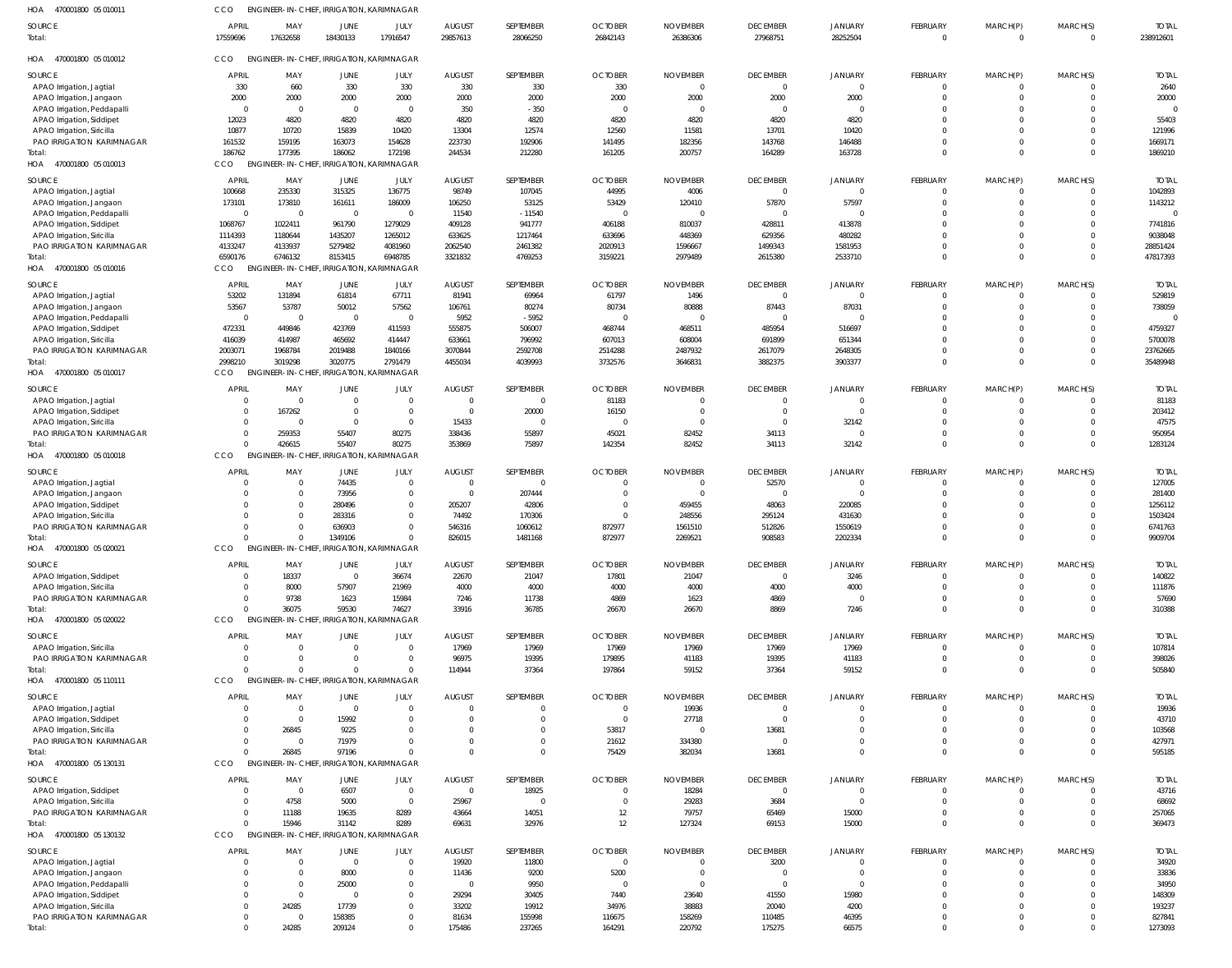| HOA 470001800 05 010011             | CCO                     | ENGINEER-IN-CHIEF, IRRIGATION, KARIMNAGAR |                  |                        |                           |                       |                            |                             |                             |                            |                            |                            |                      |                           |
|-------------------------------------|-------------------------|-------------------------------------------|------------------|------------------------|---------------------------|-----------------------|----------------------------|-----------------------------|-----------------------------|----------------------------|----------------------------|----------------------------|----------------------|---------------------------|
| <b>SOURCE</b><br>Total:             | <b>APRI</b><br>17559696 | MAY<br>17632658                           | JUNE<br>18430133 | JULY<br>17916547       | <b>AUGUST</b><br>29857613 | SEPTEMBER<br>28066250 | <b>OCTOBER</b><br>26842143 | <b>NOVEMBER</b><br>26386306 | <b>DECEMBER</b><br>27968751 | <b>JANUARY</b><br>28252504 | FEBRUARY<br>$\overline{0}$ | MARCH(P)<br>$\overline{0}$ | MARCH(S)<br>$\Omega$ | <b>TOTAI</b><br>238912601 |
| HOA<br>470001800 05 010012          | CCO                     | ENGINEER-IN-CHIEF, IRRIGATION, KARIMNAGAR |                  |                        |                           |                       |                            |                             |                             |                            |                            |                            |                      |                           |
| SOURCE                              | APRIL                   | MAY                                       | <b>JUNE</b>      | JULY                   | <b>AUGUST</b>             | SEPTEMBER             | <b>OCTOBER</b>             | <b>NOVEMBER</b>             | <b>DECEMBER</b>             | JANUARY                    | FEBRUARY                   | MARCH(P)                   | MARCH(S)             | <b>TOTAI</b>              |
| APAO Irrigation, Jagtial            | 330                     | 660                                       | 330              | 330                    | 330                       | 330                   | 330                        | $\overline{0}$              | $\Omega$                    | $\Omega$                   | $\mathbf 0$                | $^{\circ}$                 | $\Omega$             | 2640                      |
| APAO Irrigation, Jangaon            | 2000                    | 2000                                      | 2000             | 2000                   | 2000                      | 2000                  | 2000                       | 2000                        | 2000                        | 2000                       | $\Omega$                   | $\Omega$                   |                      | 20000                     |
| APAO Irrigation, Peddapalli         | $\Omega$                | $\overline{\mathbf{0}}$                   | $\overline{0}$   | $\overline{0}$         | 350                       | $-350$                | $\overline{0}$             | $\overline{0}$              | $\Omega$                    |                            |                            |                            |                      |                           |
| APAO Irrigation, Siddipet           | 12023                   | 4820                                      | 4820             | 4820                   | 4820                      | 4820                  | 4820                       | 4820                        | 4820                        | 4820                       |                            |                            |                      | 55403                     |
| APAO Irrigation, Siricilla          | 10877                   | 10720                                     | 15839            | 10420                  | 13304                     | 12574                 | 12560                      | 11581                       | 13701                       | 10420                      |                            |                            |                      | 121996                    |
| PAO IRRIGATION KARIMNAGAR<br>Total: | 161532<br>186762        | 159195<br>177395                          | 163073<br>186062 | 154628<br>172198       | 223730<br>244534          | 192906<br>212280      | 141495<br>161205           | 182356<br>200757            | 143768<br>164289            | 146488<br>163728           | 0<br>$\Omega$              | $\Omega$<br>$\Omega$       | $\Omega$             | 1669171<br>1869210        |
| HOA 470001800 05 010013             | CCO                     | <b>ENGINEER-IN-CHIEF</b>                  |                  | IRRIGATION, KARIMNAGAR |                           |                       |                            |                             |                             |                            |                            |                            |                      |                           |
| <b>SOURCE</b>                       | <b>APRIL</b>            | MAY                                       | JUNE             | JULY                   | <b>AUGUST</b>             | SEPTEMBER             | <b>OCTOBER</b>             | <b>NOVEMBER</b>             | <b>DECEMBER</b>             | JANUARY                    | FEBRUARY                   | MARCH(P)                   | MARCH(S)             | <b>TOTAI</b>              |
| APAO Irrigation, Jagtial            | 100668                  | 235330                                    | 315325           | 136775                 | 98749                     | 107045                | 44995                      | 4006                        | $\Omega$                    | $\Omega$                   | $\mathbf 0$                | $^{\circ}$                 |                      | 1042893                   |
| APAO Irrigation, Jangaon            | 173101                  | 173810                                    | 161611           | 186009                 | 106250                    | 53125                 | 53429                      | 120410                      | 57870                       | 57597                      | $\Omega$                   | $\Omega$                   | $\Omega$             | 1143212                   |
| APAO Irrigation, Peddapalli         | $\Omega$                | $\overline{0}$                            | $\overline{0}$   | $\Omega$               | 11540                     | $-11540$              | $\overline{0}$             | $\overline{0}$              | $\Omega$                    | - 0                        |                            |                            |                      |                           |
| APAO Irrigation, Siddipet           | 1068767                 | 1022411                                   | 961790           | 1279029                | 409128                    | 941777                | 406188                     | 810037                      | 428811                      | 413878                     |                            |                            |                      | 7741816                   |
| APAO Irrigation, Siricilla          | 1114393                 | 1180644                                   | 1435207          | 1265012                | 633625                    | 1217464               | 633696                     | 448369                      | 629356                      | 480282                     |                            |                            |                      | 9038048                   |
| PAO IRRIGATION KARIMNAGAR           | 4133247                 | 4133937                                   | 5279482          | 4081960                | 2062540                   | 2461382               | 2020913                    | 1596667                     | 1499343                     | 1581953                    | 0                          | $\Omega$                   | $\Omega$             | 28851424                  |
| Total:                              | 6590176                 | 6746132                                   | 8153415          | 6948785                | 3321832                   | 4769253               | 3159221                    | 2979489                     | 2615380                     | 2533710                    | $\Omega$                   | $\Omega$                   | $\Omega$             | 47817393                  |
| HOA 470001800 05 010016             | CCO                     | ENGINEER-IN-CHIEF, IRRIGATION, KARIMNAGAR |                  |                        |                           |                       |                            |                             |                             |                            |                            |                            |                      |                           |
| SOURCE                              | <b>APRIL</b>            | MAY                                       | JUNE             | JULY                   | <b>AUGUST</b>             | SEPTEMBER             | <b>OCTOBER</b>             | <b>NOVEMBER</b>             | <b>DECEMBER</b>             | <b>JANUARY</b>             | FEBRUARY                   | MARCH(P)                   | MARCH(S)             | <b>TOTAI</b>              |
| APAO Irrigation, Jagtial            | 53202                   | 131894                                    | 61814            | 67711                  | 81941                     | 69964                 | 61797                      | 1496                        | $\Omega$                    | $\Omega$                   | 0                          | 0                          |                      | 529819                    |
| APAO Irrigation, Jangaon            | 53567                   | 53787                                     | 50012            | 57562                  | 106761                    | 80274                 | 80734                      | 80888                       | 87443                       | 87031                      | $\Omega$                   |                            |                      | 738059                    |
| APAO Irrigation, Peddapalli         | $\Omega$                | $\overline{\mathbf{0}}$                   | $\overline{0}$   | $\overline{0}$         | 5952                      | $-5952$               | $\overline{0}$             | $\overline{0}$              | $\Omega$                    |                            |                            |                            |                      |                           |
| APAO Irrigation, Siddipet           | 472331                  | 449846                                    | 423769           | 411593                 | 555875                    | 506007                | 468744                     | 468511                      | 485954                      | 516697                     |                            |                            |                      | 4759327                   |
| APAO Irrigation, Siricilla          | 416039                  | 414987                                    | 465692           | 414447                 | 633661                    | 796992                | 607013                     | 608004                      | 691899                      | 651344                     |                            | $\Omega$                   |                      | 5700078                   |
| <b>PAO IRRIGATION KARIMNAGAR</b>    | 2003071                 | 1968784                                   | 2019488          | 1840166                | 3070844                   | 2592708               | 2514288                    | 2487932                     | 2617079                     | 2648305                    |                            | $\Omega$                   |                      | 23762665                  |
| lotal:                              | 2998210                 | 3019298                                   | 3020775          | 2791479                | 4455034                   | 4039993               | 3732576                    | 3646831                     | 3882375                     | 3903377                    | $\Omega$                   | $\Omega$                   |                      | 35489948                  |
| HOA 470001800 05 010017             | CCO                     | <b>ENGINEER-IN-CHIEF</b>                  |                  | IRRIGATION, KARIMNAGAR |                           |                       |                            |                             |                             |                            |                            |                            |                      |                           |
| <b>SOURCE</b>                       | <b>APRIL</b>            | MAY                                       | <b>JUNE</b>      | JULY                   | <b>AUGUST</b>             | SEPTEMBER             | <b>OCTOBER</b>             | <b>NOVEMBER</b>             | <b>DECEMBER</b>             | <b>JANUARY</b>             | <b>FEBRUARY</b>            | MARCH(P)                   | MARCH(S)             | <b>TOTAI</b>              |
| APAO Irrigation, Jagtial            |                         | $\overline{0}$                            | $\overline{0}$   | $\Omega$               | $\overline{0}$            | $\overline{0}$        | 81183                      | $\overline{0}$              | $\Omega$                    | - 0                        | 0                          | $\Omega$                   |                      | 81183                     |
| APAO Irrigation, Siddipet           |                         | 167262                                    | $\overline{0}$   | $\overline{0}$         | $\overline{0}$            | 20000                 | 16150                      | $\overline{0}$              | $\Omega$                    | $\Omega$                   |                            |                            | $\Omega$             | 203412                    |
| APAO Irrigation, Siricilla          |                         | $\Omega$                                  | $\overline{0}$   | $\overline{0}$         | 15433                     | $\Omega$              | $\overline{0}$             | $\overline{0}$              | $\Omega$                    | 32142                      | $\Omega$                   |                            |                      | 47575                     |
| <b>PAO IRRIGATION KARIMNAGAR</b>    | $\Omega$                | 259353                                    | 55407            | 80275                  | 338436                    | 55897                 | 45021                      | 82452                       | 34113                       | $\Omega$                   | $\mathbf 0$                | $\mathbf 0$                | $\Omega$             | 950954                    |
| Total:                              |                         | 426615                                    | 55407            | 80275                  | 353869                    | 75897                 | 142354                     | 82452                       | 34113                       | 32142                      | $\Omega$                   | $\Omega$                   | $\Omega$             | 1283124                   |
| HOA 470001800 05 010018             | CCO                     | <b>ENGINEER-IN-CHIEF,</b>                 |                  | IRRIGATION, KARIMNAGAR |                           |                       |                            |                             |                             |                            |                            |                            |                      |                           |
| SOURCE                              | <b>APRIL</b>            | MAY                                       | <b>JUNE</b>      | JULY                   | <b>AUGUST</b>             | SEPTEMBER             | <b>OCTOBER</b>             | <b>NOVEMBER</b>             | <b>DECEMBER</b>             | JANUARY                    | FEBRUARY                   | MARCH(P)                   | MARCH(S)             | <b>TOTAI</b>              |
| APAO Irrigation, Jagtial            |                         | $\overline{0}$                            | 74435            | $\Omega$               | $\overline{0}$            | $\mathbf{0}$          | $\overline{0}$             | $\overline{0}$              | 52570                       | $\Omega$                   | $\mathbf 0$                | $^{\circ}$                 |                      | 127005                    |
| APAO Irrigation, Jangaon            |                         | $\Omega$                                  | 73956            | $\Omega$               | $\overline{0}$            | 207444                | $\overline{0}$             | $\overline{\phantom{0}}$    | $\Omega$                    | $\Omega$                   | 0                          | $\Omega$                   |                      | 281400                    |
| APAO Irrigation, Siddipet           |                         | $\Omega$                                  | 280496           |                        | 205207                    | 42806                 | $\overline{0}$             | 459455                      | 48063                       | 220085                     |                            |                            |                      | 1256112                   |
| APAO Irrigation, Siricilla          |                         | $\Omega$                                  | 283316           |                        | 74492                     | 170306                | $\Omega$                   | 248556                      | 295124                      | 431630                     |                            |                            |                      | 1503424                   |
| PAO IRRIGATION KARIMNAGAR           |                         |                                           | 636903           |                        | 546316                    | 1060612               | 872977                     | 1561510                     | 512826                      | 1550619                    |                            |                            |                      | 6741763                   |
| Total:                              | $\Omega$                | $\Omega$                                  | 1349106          |                        | 826015                    | 1481168               | 872977                     | 2269521                     | 908583                      | 2202334                    | $\Omega$                   | $\Omega$                   |                      | 9909704                   |
| HOA<br>470001800 05 020021          | CCO                     | ENGINEER-IN-CHIEF, IRRIGATION, KARIMNAGAR |                  |                        |                           |                       |                            |                             |                             |                            |                            |                            |                      |                           |
| SOURCE                              | APRIL                   | MAY                                       | JUNE             | JULY                   | <b>AUGUST</b>             | SEPTEMBER             | <b>OCTOBER</b>             | <b>NOVEMBER</b>             | <b>DECEMBER</b>             | <b>JANUARY</b>             | <b>FEBRUARY</b>            | MARCH(P)                   | MARCH(S)             | <b>TOTAL</b>              |
| APAO Irrigation, Siddipet           | $\Omega$                | 18337                                     | $\overline{0}$   | 36674                  | 22670                     | 21047                 | 17801                      | 21047                       | $\Omega$                    | 3246                       | $^{\circ}$                 | $\Omega$                   |                      | 140822                    |
| APAO Irrigation, Siricilla          |                         | 8000                                      | 57907            | 21969                  | 4000                      | 4000                  | 4000                       | 4000                        | 4000                        | 4000                       | $\Omega$                   | $^{\circ}$                 | $\Omega$             | 111876                    |
| PAO IRRIGATION KARIMNAGAR           | $\Omega$                | 9738                                      | 1623             | 15984                  | 7246                      | 11738                 | 4869                       | 1623                        | 4869                        |                            |                            | $\Omega$                   |                      | 57690                     |
| Total:                              | $\Omega$                | 36075                                     | 59530            | 74627                  | 33916                     | 36785                 | 26670                      | 26670                       | 8869                        | 7246                       | $\Omega$                   | $\Omega$                   | $\Omega$             | 310388                    |
| HOA 470001800 05 020022             | CCO                     | <b>ENGINEER-IN-CHIEF,</b>                 |                  | IRRIGATION, KARIMNAGAR |                           |                       |                            |                             |                             |                            |                            |                            |                      |                           |
| <b>SOURCE</b>                       | <b>APRIL</b>            | MAY                                       | <b>JUNE</b>      | JULY                   | <b>AUGUST</b>             | SEPTEMBER             | <b>OCTOBER</b>             | <b>NOVEMBER</b>             | <b>DECEMBER</b>             | <b>JANUARY</b>             | FEBRUARY                   | MARCH(P)                   | MARCH(S)             | <b>TOTAL</b>              |
| APAO Irrigation, Siricilla          |                         | $\overline{0}$                            | $\overline{0}$   | $\mathsf{C}$           | 17969                     | 17969                 | 17969                      | 17969                       | 17969                       | 17969                      | $\Omega$                   | $\Omega$                   |                      | 107814                    |
| PAO IRRIGATION KARIMNAGAR           | $\Omega$                | $\Omega$                                  | $\Omega$         | $\Omega$               | 96975                     | 19395                 | 179895                     | 41183                       | 19395                       | 41183                      | $\Omega$                   | $\mathbf 0$                | $\Omega$             | 398026                    |
| Total:                              |                         |                                           | $\Omega$         |                        | 114944                    | 37364                 | 197864                     | 59152                       | 37364                       | 59152                      | $\Omega$                   | $\Omega$                   |                      | 505840                    |
| HOA 470001800 05 110111             | CCO                     | ENGINEER-IN-CHIEF, IRRIGATION, KARIMNAGAR |                  |                        |                           |                       |                            |                             |                             |                            |                            |                            |                      |                           |
| SOURCE                              | APRIL                   | MAY                                       | JUNE             | JULY                   | <b>AUGUST</b>             | SEPTEMBER             | <b>OCTOBER</b>             | <b>NOVEMBER</b>             | <b>DECEMBER</b>             | <b>JANUARY</b>             | <b>FEBRUARY</b>            | MARCH(P)                   | MARCH(S)             | <b>TOTAL</b>              |
| APAO Irrigation, Jagtial            | $\Omega$                | $\overline{0}$                            | $\overline{0}$   | $\Omega$               | $\overline{0}$            | $\Omega$              | $\overline{0}$             | 19936                       | $\Omega$                    | $\Omega$                   | $\Omega$                   | $\Omega$                   |                      | 19936                     |
| APAO Irrigation, Siddipet           |                         | $\overline{\mathbf{0}}$                   | 15992            | $\Omega$               | $\overline{0}$            | $\Omega$              | $\overline{0}$             | 27718                       | $\Omega$                    | $\Omega$                   | $\Omega$                   | $^{\circ}$                 |                      | 43710                     |
| APAO Irrigation, Siricilla          |                         | 26845                                     | 9225             | $\Omega$               | $\overline{0}$            | $\Omega$              | 53817                      | $\overline{0}$              | 13681                       | $\Omega$                   |                            |                            |                      | 103568                    |
| <b>PAO IRRIGATION KARIMNAGAR</b>    | $\Omega$                | - 0                                       | 71979            | $\Omega$               | $\overline{0}$            | $\Omega$              | 21612                      | 334380                      | $\Omega$                    | $\Omega$                   | $\Omega$                   | $\Omega$                   |                      | 427971                    |
| Total:                              | $\Omega$                | 26845                                     | 97196            | $\Omega$               | $\Omega$                  | $\Omega$              | 75429                      | 382034                      | 13681                       | $\Omega$                   | $\Omega$                   | $\Omega$                   | $\Omega$             | 595185                    |
| HOA 470001800 05 130131             | CCO                     | ENGINEER-IN-CHIEF, IRRIGATION, KARIMNAGAR |                  |                        |                           |                       |                            |                             |                             |                            |                            |                            |                      |                           |
| SOURCE                              | <b>APRIL</b>            | MAY                                       | <b>JUNE</b>      | JULY                   | <b>AUGUST</b>             | SEPTEMBER             | <b>OCTOBER</b>             | <b>NOVEMBER</b>             | <b>DECEMBER</b>             | <b>JANUARY</b>             | FEBRUARY                   | MARCH(P)                   | MARCH(S)             | <b>TOTAI</b>              |
| APAO Irrigation, Siddipet           | $\Omega$                | $\overline{\mathbf{0}}$                   | 6507             | $\overline{0}$         | $\overline{0}$            | 18925                 | $\overline{0}$             | 18284                       | $\Omega$                    | $\Omega$                   | $\mathbf 0$                | $^{\circ}$                 |                      | 43716                     |
| APAO Irrigation, Siricilla          |                         | 4758                                      | 5000             | $\Omega$               | 25967                     | $\Omega$              | $\overline{0}$             | 29283                       | 3684                        | $\Omega$                   |                            | $\Omega$                   |                      | 68692                     |
| PAO IRRIGATION KARIMNAGAR           | $\Omega$                | 11188                                     | 19635            | 8289                   | 43664                     | 14051                 | 12                         | 79757                       | 65469                       | 15000                      | $\Omega$                   | $\Omega$                   |                      | 257065                    |
| Total:                              | $\Omega$                | 15946                                     | 31142            | 8289                   | 69631                     | 32976                 | 12                         | 127324                      | 69153                       | 15000                      | $\Omega$                   | $\Omega$                   |                      | 369473                    |
| HOA 470001800 05 130132             | CCO                     | <b>ENGINEER-IN-CHIEF,</b>                 |                  | IRRIGATION, KARIMNAGAR |                           |                       |                            |                             |                             |                            |                            |                            |                      |                           |
| SOURCE                              | <b>APRIL</b>            | MAY                                       | JUNE             | JULY                   | <b>AUGUST</b>             | SEPTEMBER             | <b>OCTOBER</b>             | <b>NOVEMBER</b>             | <b>DECEMBER</b>             | <b>JANUARY</b>             | <b>FEBRUARY</b>            | MARCH(P)                   | MARCH(S)             | <b>TOTAL</b>              |
| APAO Irrigation, Jagtial            |                         | $\overline{0}$                            | $\overline{0}$   | $\overline{0}$         | 19920                     | 11800                 | $\overline{0}$             | $\overline{0}$              | 3200                        | $\Omega$                   | 0                          |                            |                      | 34920                     |
| APAO Irrigation, Jangaon            |                         | $\overline{0}$                            | 8000             | $\Omega$               | 11436                     | 9200                  | 5200                       | $\overline{0}$              | $\Omega$                    | $\Omega$                   |                            |                            |                      | 33836                     |
| APAO Irrigation, Peddapalli         |                         | $\Omega$                                  | 25000            | $\Omega$               | $\overline{0}$            | 9950                  | $\overline{0}$             | $\overline{0}$              | $\Omega$                    | $\Omega$                   |                            |                            |                      | 34950                     |
| APAO Irrigation, Siddipet           |                         | $\overline{0}$                            | $\overline{0}$   | $\Omega$               | 29294                     | 30405                 | 7440                       | 23640                       | 41550                       | 15980                      |                            |                            |                      | 148309                    |
| APAO Irrigation, Siricilla          |                         | 24285                                     | 17739            | $\Omega$               | 33202                     | 19912                 | 34976                      | 38883                       | 20040                       | 4200                       |                            |                            |                      | 193237                    |
| PAO IRRIGATION KARIMNAGAR           | $\Omega$                | $\overline{0}$                            | 158385           |                        | 81634                     | 155998                | 116675                     | 158269                      | 110485                      | 46395                      |                            |                            |                      | 827841                    |
| Total:                              | $\Omega$                | 24285                                     | 209124           | $\Omega$               | 175486                    | 237265                | 164291                     | 220792                      | 175275                      | 66575                      | $\Omega$                   | $\Omega$                   | $\Omega$             | 1273093                   |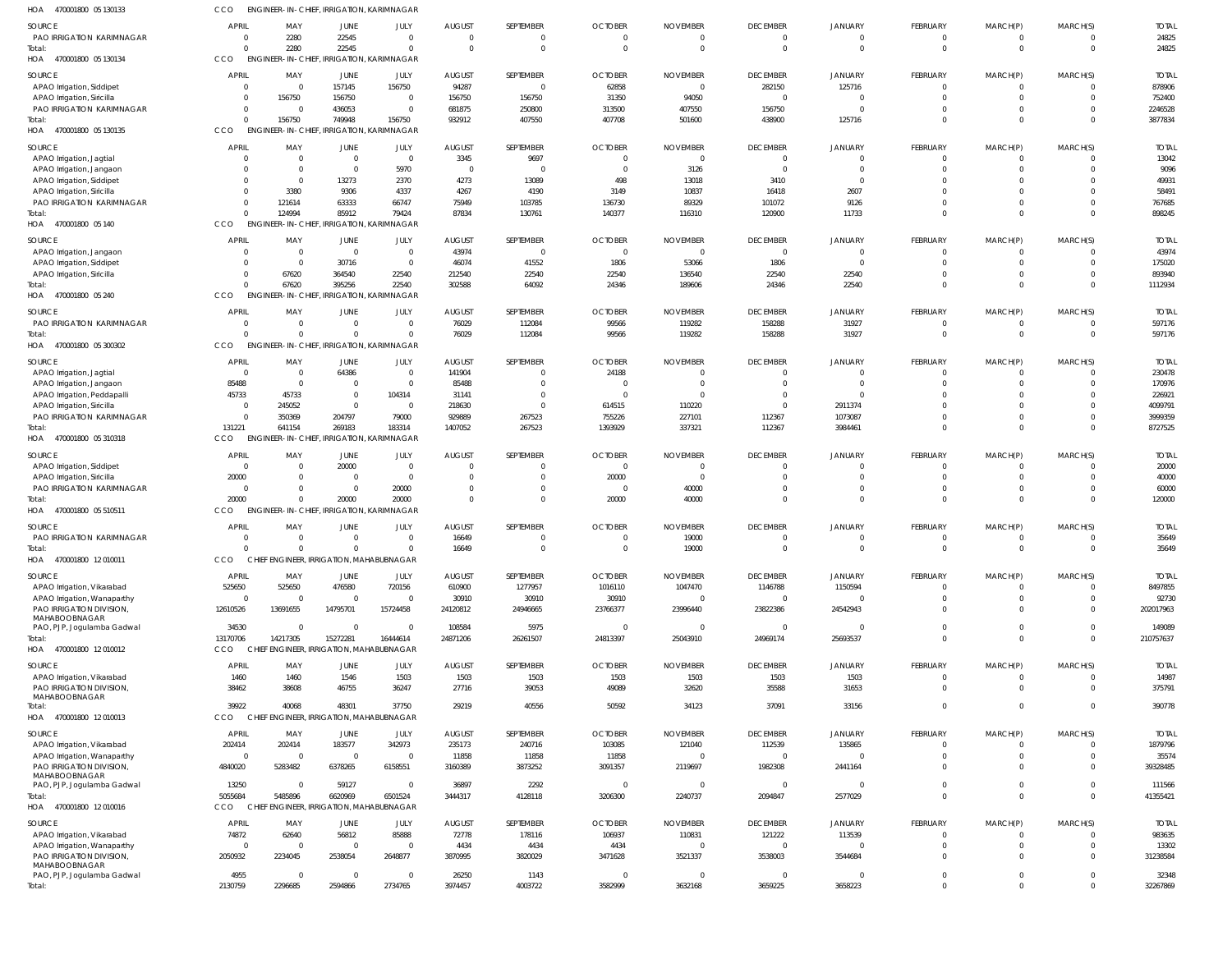| HOA<br>470001800 05 130133                              | CCO                       |                           | ENGINEER-IN-CHIEF, IRRIGATION, KARIMNAGAR |                               |                         |                            |                                  |                                   |                             |                            |                                   |                      |                            |                        |
|---------------------------------------------------------|---------------------------|---------------------------|-------------------------------------------|-------------------------------|-------------------------|----------------------------|----------------------------------|-----------------------------------|-----------------------------|----------------------------|-----------------------------------|----------------------|----------------------------|------------------------|
| <b>SOURCE</b>                                           | <b>APRIL</b>              | MAY                       | JUNE                                      | JULY                          | <b>AUGUST</b>           | SEPTEMBER                  | <b>OCTOBER</b>                   | <b>NOVEMBER</b>                   | <b>DECEMBER</b>             | <b>JANUARY</b>             | <b>FEBRUARY</b>                   | MARCH(P)             | MARCH(S)                   | <b>TOTAL</b>           |
| PAO IRRIGATION KARIMNAGAR                               | $\Omega$                  | 2280                      | 22545                                     | $\mathbf{0}$                  | $\Omega$                | 0                          | - 0                              | 0                                 | $\Omega$                    |                            | $\overline{0}$                    | - 0                  | - 0                        | 24825                  |
| Total:                                                  | $\Omega$                  | 2280                      | 22545                                     | $\Omega$                      | $\Omega$                | $\mathbf 0$                | $\Omega$                         | $\Omega$                          | $\Omega$                    | $\Omega$                   | $\Omega$                          | $\Omega$             | $\Omega$                   | 24825                  |
| HOA 470001800 05 130134                                 | CCO                       | <b>ENGINEER-IN-CHIEF,</b> |                                           | <b>IRRIGATION, KARIMNAGAR</b> |                         |                            |                                  |                                   |                             |                            |                                   |                      |                            |                        |
| <b>SOURCE</b>                                           | <b>APRIL</b>              | MAY                       | <b>JUNE</b>                               | JULY                          | <b>AUGUST</b>           | SEPTEMBER                  | <b>OCTOBER</b>                   | <b>NOVEMBER</b>                   | <b>DECEMBER</b>             | <b>JANUARY</b>             | <b>FEBRUARY</b>                   | MARCH(P)             | MARCH(S)                   | <b>TOTAL</b>           |
| APAO Irrigation, Siddipet                               | $\Omega$                  | $\Omega$                  | 157145                                    | 156750                        | 94287                   | $\overline{0}$             | 62858                            | $\overline{0}$                    | 282150                      | 125716                     | $\Omega$                          |                      |                            | 878906                 |
| APAO Irrigation, Siricilla                              |                           | 156750                    | 156750                                    | $\mathbf 0$                   | 156750                  | 156750                     | 31350                            | 94050                             | $\Omega$                    |                            | $\Omega$                          |                      | $\Omega$                   | 752400                 |
| PAO IRRIGATION KARIMNAGAR<br>Total:                     | $\Omega$                  | 156750                    | 436053<br>749948                          | $\mathbf 0$<br>156750         | 681875<br>932912        | 250800<br>407550           | 313500<br>407708                 | 407550<br>501600                  | 156750<br>438900            | 125716                     | $\Omega$<br>$\Omega$              |                      | $\Omega$<br>$\Omega$       | 2246528<br>3877834     |
| HOA 470001800 05 130135                                 | <b>CCO</b>                | <b>ENGINEER-IN-CHIEF,</b> |                                           | <b>IRRIGATION, KARIMNAGAR</b> |                         |                            |                                  |                                   |                             |                            |                                   |                      |                            |                        |
|                                                         |                           |                           |                                           |                               |                         |                            |                                  |                                   |                             |                            |                                   |                      |                            |                        |
| <b>SOURCE</b>                                           | <b>APRIL</b><br>$\Omega$  | MAY<br>$\Omega$           | JUNE<br>$\overline{0}$                    | JULY<br>$\mathbf 0$           | <b>AUGUST</b><br>3345   | SEPTEMBER<br>9697          | <b>OCTOBER</b><br>$\overline{0}$ | <b>NOVEMBER</b><br>$\overline{0}$ | <b>DECEMBER</b><br>$\Omega$ | <b>JANUARY</b>             | FEBRUARY<br>$\overline{0}$        | MARCH(P)             | MARCH(S)<br>$\Omega$       | <b>TOTAL</b><br>13042  |
| APAO Irrigation, Jagtial<br>APAO Irrigation, Jangaon    |                           | $\Omega$                  | $\Omega$                                  | 5970                          | - 0                     | $\overline{0}$             | $\overline{0}$                   | 3126                              | $\Omega$                    | $\Omega$                   | $\Omega$                          | $\Omega$             | $\Omega$                   | 9096                   |
| APAO Irrigation, Siddipet                               | $\Omega$                  | $\Omega$                  | 13273                                     | 2370                          | 4273                    | 13089                      | 498                              | 13018                             | 3410                        | $\Omega$                   |                                   |                      | $\Omega$                   | 49931                  |
| APAO Irrigation, Siricilla                              |                           | 3380                      | 9306                                      | 4337                          | 4267                    | 4190                       | 3149                             | 10837                             | 16418                       | 2607                       | $\Omega$                          |                      | $\Omega$                   | 58491                  |
| PAO IRRIGATION KARIMNAGAR                               | $\Omega$                  | 121614                    | 63333                                     | 66747                         | 75949                   | 103785                     | 136730                           | 89329                             | 101072                      | 9126                       | $\Omega$                          |                      | $\Omega$                   | 767685                 |
| Total:                                                  |                           | 124994                    | 85912                                     | 79424                         | 87834                   | 130761                     | 140377                           | 116310                            | 120900                      | 11733                      | $\Omega$                          |                      | $\Omega$                   | 898245                 |
| HOA<br>470001800 05 140                                 | CCO                       |                           | ENGINEER-IN-CHIEF, IRRIGATION, KARIMNAGAR |                               |                         |                            |                                  |                                   |                             |                            |                                   |                      |                            |                        |
| SOURCE                                                  | <b>APRIL</b>              | MAY                       | JUNE                                      | JULY                          | <b>AUGUST</b>           | SEPTEMBER                  | <b>OCTOBER</b>                   | <b>NOVEMBER</b>                   | <b>DECEMBER</b>             | JANUARY                    | FEBRUARY                          | MARCH(P)             | MARCH(S)                   | <b>TOTAL</b>           |
| APAO Irrigation, Jangaon                                | $\Omega$                  | $\Omega$                  | $\overline{0}$                            | $\mathbf 0$                   | 43974                   | $\overline{0}$             | $\overline{0}$                   | $\overline{0}$                    | $\Omega$                    |                            | $\overline{0}$                    |                      | $\Omega$                   | 43974                  |
| APAO Irrigation, Siddipet                               |                           | $\Omega$                  | 30716                                     | $\mathbf{0}$                  | 46074                   | 41552                      | 1806                             | 53066                             | 1806                        | $\Omega$                   | $\Omega$                          |                      | $\Omega$                   | 175020                 |
| APAO Irrigation, Siricilla                              |                           | 67620<br>67620            | 364540<br>395256                          | 22540<br>22540                | 212540<br>302588        | 22540<br>64092             | 22540                            | 136540<br>189606                  | 22540<br>24346              | 22540<br>22540             | $\Omega$                          |                      | $\Omega$<br>$\Omega$       | 893940<br>1112934      |
| Total:<br>HOA<br>470001800 05 240                       | CCO                       | <b>ENGINEER-IN-CHIEF.</b> |                                           | <b>IRRIGATION, KARIMNAGAR</b> |                         |                            | 24346                            |                                   |                             |                            |                                   |                      |                            |                        |
|                                                         |                           |                           |                                           |                               |                         |                            |                                  |                                   |                             |                            |                                   |                      |                            |                        |
| SOURCE                                                  | <b>APRIL</b>              | MAY                       | JUNE                                      | JULY                          | <b>AUGUST</b>           | SEPTEMBER                  | <b>OCTOBER</b>                   | <b>NOVEMBER</b>                   | <b>DECEMBER</b>             | <b>JANUARY</b>             | FEBRUARY                          | MARCH(P)             | MARCH(S)                   | <b>TOTAL</b>           |
| PAO IRRIGATION KARIMNAGAR<br>Total:                     | $\Omega$                  | $\Omega$<br>$\Omega$      | $\mathbf{0}$<br>$\Omega$                  | $\mathbf 0$<br>$\mathbf 0$    | 76029<br>76029          | 112084<br>112084           | 99566<br>99566                   | 119282<br>119282                  | 158288<br>158288            | 31927<br>31927             | $\Omega$<br>$\mathbf{0}$          | $\Omega$             | $\Omega$<br>$\overline{0}$ | 597176<br>597176       |
| HOA 470001800 05 300302                                 | CCO                       |                           | ENGINEER-IN-CHIEF, IRRIGATION, KARIMNAGAR |                               |                         |                            |                                  |                                   |                             |                            |                                   |                      |                            |                        |
|                                                         |                           |                           |                                           |                               |                         |                            |                                  |                                   |                             |                            |                                   |                      |                            |                        |
| SOURCE<br>APAO Irrigation, Jagtial                      | <b>APRIL</b><br>$\Omega$  | MAY<br>$\Omega$           | JUNE<br>64386                             | JULY<br>$\mathbf 0$           | <b>AUGUST</b><br>141904 | SEPTEMBER<br>$\Omega$      | <b>OCTOBER</b><br>24188          | <b>NOVEMBER</b><br>0              | <b>DECEMBER</b><br>$\Omega$ | <b>JANUARY</b>             | FEBRUARY<br>$\Omega$              | MARCH(P)             | MARCH(S)<br>$\Omega$       | <b>TOTAL</b><br>230478 |
| APAO Irrigation, Jangaon                                | 85488                     | - 0                       | $\overline{0}$                            | $\mathbf 0$                   | 85488                   | $\Omega$                   | -0                               | $\Omega$                          | $\Omega$                    |                            |                                   |                      | $\Omega$                   | 170976                 |
| APAO Irrigation, Peddapalli                             | 45733                     | 45733                     | $\overline{0}$                            | 104314                        | 31141                   | $\Omega$                   | - 0                              | $\Omega$                          | $\Omega$                    |                            |                                   |                      |                            | 226921                 |
| APAO Irrigation, Siricilla                              | $\Omega$                  | 245052                    | $\overline{0}$                            | $\mathbf{0}$                  | 218630                  | $\Omega$                   | 614515                           | 110220                            | $\Omega$                    | 2911374                    |                                   |                      | $\Omega$                   | 4099791                |
| PAO IRRIGATION KARIMNAGAR                               | $\sqrt{ }$                | 350369                    | 204797                                    | 79000                         | 929889                  | 267523                     | 755226                           | 227101                            | 112367                      | 1073087                    | $\Omega$                          |                      | $\Omega$                   | 3999359                |
| Total:                                                  | 131221                    | 641154                    | 269183                                    | 183314                        | 1407052                 | 267523                     | 1393929                          | 337321                            | 112367                      | 3984461                    | $\Omega$                          |                      | $\Omega$                   | 8727525                |
| HOA 470001800 05 310318                                 | CCO                       | <b>ENGINEER-IN-CHIEF,</b> |                                           | <b>IRRIGATION, KARIMNAGAR</b> |                         |                            |                                  |                                   |                             |                            |                                   |                      |                            |                        |
| <b>SOURCE</b>                                           | <b>APRIL</b>              | MAY                       | JUNE                                      | JULY                          | <b>AUGUST</b>           | SEPTEMBER                  | <b>OCTOBER</b>                   | <b>NOVEMBER</b>                   | <b>DECEMBER</b>             | <b>JANUARY</b>             | FEBRUARY                          | MARCH(P)             | MARCH(S)                   | <b>TOTAL</b>           |
| APAO Irrigation, Siddipet                               | - 0                       | $\Omega$                  | 20000                                     | $\mathbf{0}$                  | $\Omega$                | 0                          | $\overline{0}$                   | 0                                 | $\Omega$                    |                            | $\overline{0}$                    | - 0                  | $\Omega$                   | 20000                  |
| APAO Irrigation, Siricilla                              | 20000                     | $\Omega$                  | $\overline{0}$                            | $\overline{0}$                | $\Omega$                | $\mathbf 0$                | 20000                            | $\overline{0}$                    | $\Omega$                    | $\Omega$                   | $\Omega$                          | $\Omega$             | $\Omega$                   | 40000                  |
| PAO IRRIGATION KARIMNAGAR<br>Total:                     | $\Omega$<br>20000         | $\Omega$<br>$\Omega$      | $\overline{0}$<br>20000                   | 20000<br>20000                | $\Omega$<br>$\Omega$    | $\mathbf 0$<br>$\mathbf 0$ | $\overline{0}$<br>20000          | 40000<br>40000                    | $\Omega$<br>$\Omega$        | $\Omega$<br>$\Omega$       | $\Omega$<br>$\Omega$              | $\Omega$             | $\Omega$<br>$\overline{0}$ | 60000<br>120000        |
| HOA 470001800 05 510511                                 | <b>CCO</b>                |                           | ENGINEER-IN-CHIEF, IRRIGATION, KARIMNAGAR |                               |                         |                            |                                  |                                   |                             |                            |                                   |                      |                            |                        |
|                                                         |                           |                           |                                           |                               |                         |                            |                                  |                                   |                             |                            |                                   |                      |                            |                        |
| <b>SOURCE</b><br><b>PAO IRRIGATION KARIMNAGAR</b>       | <b>APRIL</b><br>$\Omega$  | MAY<br>$\Omega$           | <b>JUNE</b><br>$\overline{0}$             | JULY<br>$\Omega$              | <b>AUGUST</b><br>16649  | SEPTEMBER<br>$\Omega$      | <b>OCTOBER</b><br>$\Omega$       | <b>NOVEMBER</b><br>19000          | <b>DECEMBER</b><br>$\Omega$ | <b>JANUARY</b><br>$\Omega$ | <b>FEBRUARY</b><br>$\Omega$       | MARCH(P)             | MARCH(S)<br>$\Omega$       | <b>TOTAL</b><br>35649  |
| Total:                                                  |                           |                           | $\Omega$                                  | $\Omega$                      | 16649                   | $\Omega$                   |                                  | 19000                             | $\Omega$                    |                            | $\Omega$                          |                      | $\Omega$                   | 35649                  |
| <b>HOA</b><br>470001800 12 010011                       | <b>CCO</b>                |                           | CHIEF ENGINEER, IRRIGATION, MAHABUBNAGAR  |                               |                         |                            |                                  |                                   |                             |                            |                                   |                      |                            |                        |
| <b>SOURCE</b>                                           | <b>APRIL</b>              | MAY                       | JUNE                                      | JULY                          | <b>AUGUST</b>           | SEPTEMBER                  | <b>OCTOBER</b>                   | <b>NOVEMBER</b>                   | <b>DECEMBER</b>             | <b>JANUARY</b>             | <b>FEBRUARY</b>                   | MARCH(P)             | MARCH(S)                   | <b>TOTAL</b>           |
| APAO Irrigation, Vikarabad                              | 525650                    | 525650                    | 476580                                    | 720156                        | 610900                  | 1277957                    | 1016110                          | 1047470                           | 1146788                     | 1150594                    | $\overline{0}$                    | - 0                  | $\Omega$                   | 8497855                |
| APAO Irrigation, Wanaparthy                             | $\overline{0}$            | $\Omega$                  | $\overline{0}$                            | $\mathbf 0$                   | 30910                   | 30910                      | 30910                            | $\overline{0}$                    | $\Omega$                    | $\Omega$                   | $\Omega$                          | $\Omega$             | $\overline{0}$             | 92730                  |
| PAO IRRIGATION DIVISION                                 | 12610526                  | 13691655                  | 14795701                                  | 15724458                      | 24120812                | 24946665                   | 23766377                         | 23996440                          | 23822386                    | 24542943                   | $\Omega$                          | $\Omega$             | $\Omega$                   | 202017963              |
| MAHABOOBNAGAR                                           | 34530                     | $\Omega$                  | $\overline{0}$                            | $\Omega$                      | 108584                  | 5975                       |                                  |                                   | $\Omega$                    |                            | $\Omega$                          | $\Omega$             | $\overline{0}$             | 149089                 |
| PAO, PJP, Jogulamba Gadwal<br>Total:                    | 13170706                  | 14217305                  | 15272281                                  | 16444614                      | 24871206                | 26261507                   | - 0<br>24813397                  | - 0<br>25043910                   | 24969174                    | 25693537                   | $\Omega$                          | $\Omega$             | $\mathbf 0$                | 210757637              |
| HOA 470001800 12010012                                  | <b>CCO</b>                |                           | CHIEF ENGINEER, IRRIGATION, MAHABUBNAGAR  |                               |                         |                            |                                  |                                   |                             |                            |                                   |                      |                            |                        |
|                                                         |                           |                           |                                           |                               |                         |                            |                                  |                                   |                             |                            |                                   |                      |                            |                        |
| <b>SOURCE</b><br>APAO Irrigation, Vikarabad             | <b>APRIL</b><br>1460      | MAY<br>1460               | JUNE<br>1546                              | JULY<br>1503                  | <b>AUGUST</b><br>1503   | SEPTEMBER<br>1503          | <b>OCTOBER</b><br>1503           | <b>NOVEMBER</b><br>1503           | <b>DECEMBER</b><br>1503     | <b>JANUARY</b><br>1503     | <b>FEBRUARY</b><br>$\overline{0}$ | MARCH(P)<br>$\Omega$ | MARCH(S)<br>$\Omega$       | <b>TOTAL</b><br>14987  |
| PAO IRRIGATION DIVISION,                                | 38462                     | 38608                     | 46755                                     | 36247                         | 27716                   | 39053                      | 49089                            | 32620                             | 35588                       | 31653                      | $\mathbf 0$                       | $\Omega$             | $\Omega$                   | 375791                 |
| MAHABOOBNAGAR                                           |                           |                           |                                           |                               |                         |                            |                                  |                                   |                             |                            |                                   |                      |                            |                        |
| Total:                                                  | 39922                     | 40068                     | 48301                                     | 37750                         | 29219                   | 40556                      | 50592                            | 34123                             | 37091                       | 33156                      | $\Omega$                          | $\Omega$             | $\overline{0}$             | 390778                 |
| HOA 470001800 12010013                                  | CCO                       |                           | CHIEF ENGINEER, IRRIGATION, MAHABUBNAGAR  |                               |                         |                            |                                  |                                   |                             |                            |                                   |                      |                            |                        |
| <b>SOURCE</b>                                           | <b>APRIL</b>              | MAY                       | JUNE                                      | JULY                          | <b>AUGUST</b>           | SEPTEMBER                  | <b>OCTOBER</b>                   | <b>NOVEMBER</b>                   | <b>DECEMBER</b>             | <b>JANUARY</b>             | FEBRUARY                          | MARCH(P)             | MARCH(S)                   | <b>TOTAL</b>           |
| APAO Irrigation, Vikarabad                              | 202414                    | 202414                    | 183577                                    | 342973                        | 235173                  | 240716                     | 103085                           | 121040                            | 112539                      | 135865                     | $\overline{0}$                    | $\Omega$             | $\Omega$                   | 1879796                |
| APAO Irrigation, Wanaparthy<br>PAO IRRIGATION DIVISION  | $\overline{0}$<br>4840020 | - 0<br>5283482            | $\overline{0}$<br>6378265                 | $\overline{0}$<br>6158551     | 11858<br>3160389        | 11858<br>3873252           | 11858<br>3091357                 | $\overline{0}$<br>2119697         | $\Omega$<br>1982308         | 2441164                    | $\mathbf{0}$<br>$\Omega$          | $\Omega$<br>$\Omega$ | $\overline{0}$<br>$\Omega$ | 35574<br>39328485      |
| MAHABOOBNAGAR                                           |                           |                           |                                           |                               |                         |                            |                                  |                                   |                             |                            |                                   |                      |                            |                        |
| PAO, PJP, Jogulamba Gadwal                              | 13250                     | - 0                       | 59127                                     | $\Omega$                      | 36897                   | 2292                       | $\overline{0}$                   | - 0                               | $\Omega$                    |                            | $\Omega$                          | $\Omega$             | $\overline{0}$             | 111566                 |
| Total:                                                  | 5055684                   | 5485896                   | 6620969                                   | 6501524                       | 3444317                 | 4128118                    | 3206300                          | 2240737                           | 2094847                     | 2577029                    | $\Omega$                          | $\Omega$             | $\Omega$                   | 41355421               |
| HOA 470001800 12010016                                  | CCO.                      |                           | CHIEF ENGINEER, IRRIGATION, MAHABUBNAGAR  |                               |                         |                            |                                  |                                   |                             |                            |                                   |                      |                            |                        |
| <b>SOURCE</b>                                           | <b>APRIL</b>              | MAY                       | JUNE                                      | JULY                          | <b>AUGUST</b>           | SEPTEMBER                  | <b>OCTOBER</b>                   | <b>NOVEMBER</b>                   | <b>DECEMBER</b>             | <b>JANUARY</b>             | <b>FEBRUARY</b>                   | MARCH(P)             | MARCH(S)                   | <b>TOTAL</b>           |
| APAO Irrigation, Vikarabad                              | 74872                     | 62640                     | 56812                                     | 85888                         | 72778                   | 178116                     | 106937                           | 110831                            | 121222                      | 113539                     | $\mathbf 0$                       |                      | $\Omega$                   | 983635                 |
| APAO Irrigation, Wanaparthy<br>PAO IRRIGATION DIVISION, | $\circ$<br>2050932        | $\Omega$<br>2234045       | $\overline{0}$<br>2538054                 | $\overline{0}$<br>2648877     | 4434<br>3870995         | 4434<br>3820029            | 4434<br>3471628                  | $\overline{0}$<br>3521337         | $\overline{0}$<br>3538003   | $\Omega$<br>3544684        | $\Omega$<br>$\Omega$              | $\Omega$<br>$\Omega$ | $\Omega$<br>$\Omega$       | 13302<br>31238584      |
| MAHABOOBNAGAR                                           |                           |                           |                                           |                               |                         |                            |                                  |                                   |                             |                            |                                   |                      |                            |                        |
| PAO, PJP, Jogulamba Gadwal                              | 4955                      | - 0                       | $\overline{0}$                            | $\Omega$                      | 26250                   | 1143                       | - 0                              | 0                                 | $\Omega$                    | -C                         | $\mathbf 0$                       | $\Omega$             | $\Omega$                   | 32348                  |
| Total:                                                  | 2130759                   | 2296685                   | 2594866                                   | 2734765                       | 3974457                 | 4003722                    | 3582999                          | 3632168                           | 3659225                     | 3658223                    | $\mathbf 0$                       | $\Omega$             | $\Omega$                   | 32267869               |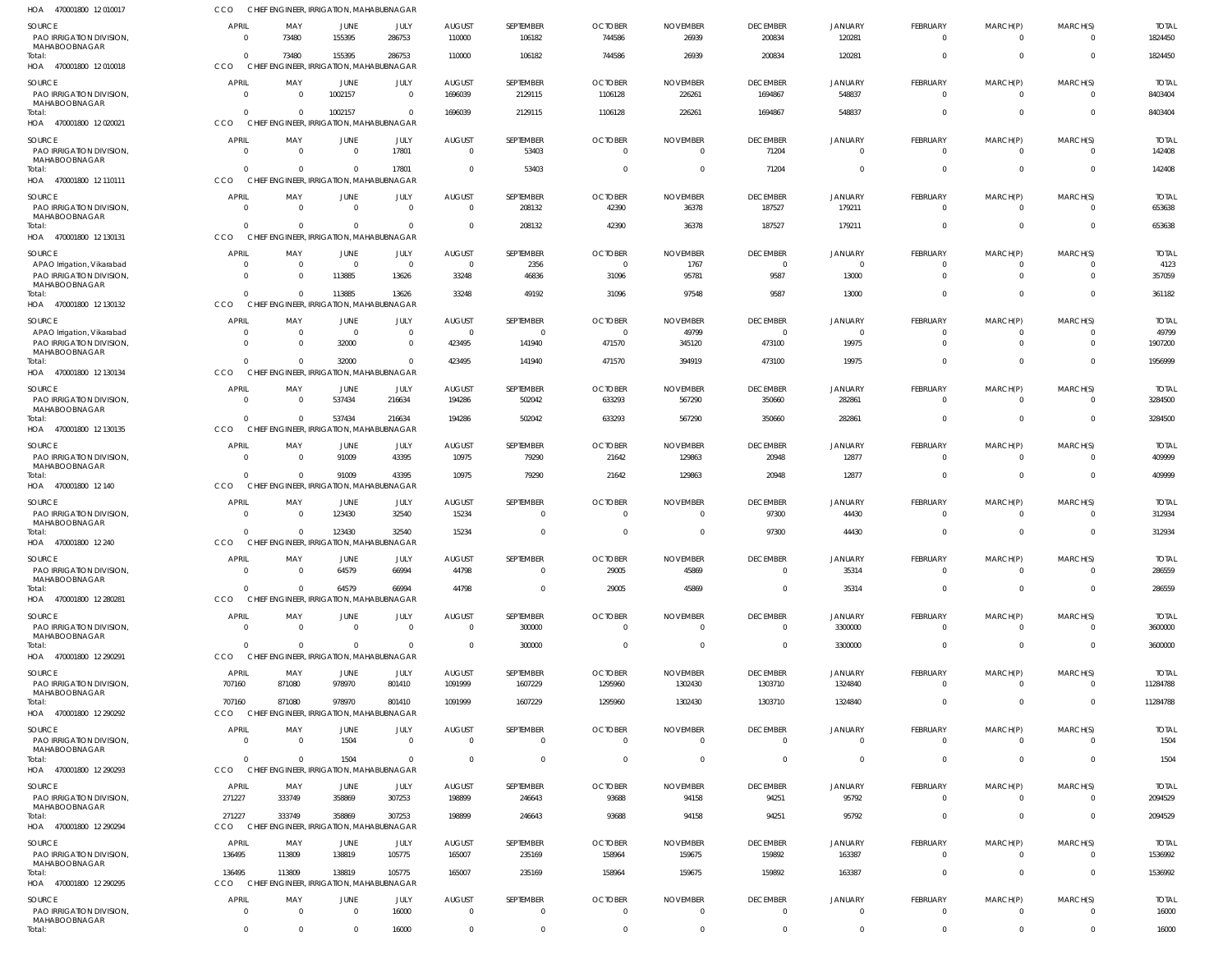| HOA 470001800 12010017                                                         | CCO                                | CHIEF ENGINEER, IRRIGATION, MAHABUBNAGAR                    |                        |                                  |                                 |                             |                                  |                                   |                                   |                            |                                |                            |                      |                         |
|--------------------------------------------------------------------------------|------------------------------------|-------------------------------------------------------------|------------------------|----------------------------------|---------------------------------|-----------------------------|----------------------------------|-----------------------------------|-----------------------------------|----------------------------|--------------------------------|----------------------------|----------------------|-------------------------|
| <b>SOURCE</b><br>PAO IRRIGATION DIVISION,<br>MAHABOOBNAGAR                     | <b>APRIL</b><br>$\Omega$           | MAY<br>73480                                                | <b>JUNE</b><br>155395  | JULY<br>286753                   | <b>AUGUST</b><br>110000         | SEPTEMBER<br>106182         | <b>OCTOBER</b><br>744586         | <b>NOVEMBER</b><br>26939          | <b>DECEMBER</b><br>200834         | <b>JANUARY</b><br>120281   | <b>FEBRUARY</b><br>$\mathbf 0$ | MARCH(P)<br>$\overline{0}$ | MARCH(S)<br>$\Omega$ | <b>TOTAL</b><br>1824450 |
| Total:<br>HOA 470001800 12 010018                                              | $\Omega$<br><b>CCO</b>             | 73480<br>CHIEF ENGINEER, IRRIGATION, MAHABUBNAGAR           | 155395                 | 286753                           | 110000                          | 106182                      | 744586                           | 26939                             | 200834                            | 120281                     | $\Omega$                       | $\mathbf 0$                | $\Omega$             | 1824450                 |
| <b>SOURCE</b><br><b>PAO IRRIGATION DIVISION.</b><br>MAHABOOBNAGAR              | <b>APRIL</b><br>$\Omega$           | MAY<br>$\Omega$                                             | <b>JUNE</b><br>1002157 | JULY<br>$\overline{0}$           | <b>AUGUST</b><br>1696039        | SEPTEMBER<br>2129115        | <b>OCTOBER</b><br>1106128        | <b>NOVEMBER</b><br>226261         | <b>DECEMBER</b><br>1694867        | <b>JANUARY</b><br>548837   | <b>FEBRUARY</b><br>$\mathbf 0$ | MARCH(P)<br>0              | MARCH(S)<br>$\Omega$ | <b>TOTAI</b><br>8403404 |
| Total:<br>HOA 470001800 12020021                                               | $\Omega$<br><b>CCO</b>             | $\Omega$<br>CHIEF ENGINEER, IRRIGATION, MAHABUBNAGAR        | 1002157                | $\Omega$                         | 1696039                         | 2129115                     | 1106128                          | 226261                            | 1694867                           | 548837                     | $\Omega$                       | $\mathbf 0$                | $\Omega$             | 8403404                 |
| <b>SOURCE</b><br>PAO IRRIGATION DIVISION,<br><b>MAHABOOBNAGAR</b>              | <b>APRIL</b><br>$\Omega$           | MAY<br>$\overline{0}$                                       | JUNE<br>$\Omega$       | <b>JULY</b><br>17801             | <b>AUGUST</b><br>$\Omega$       | SEPTEMBER<br>53403          | <b>OCTOBER</b><br>$\overline{0}$ | <b>NOVEMBER</b><br>$\overline{0}$ | <b>DECEMBER</b><br>71204          | <b>JANUARY</b><br>$\Omega$ | <b>FEBRUARY</b><br>$\mathbf 0$ | MARCH(P)<br>0              | MARCH(S)<br>$\Omega$ | <b>TOTAL</b><br>142408  |
| Total:<br>HOA 470001800 12 110111                                              | $\Omega$<br><b>CCO</b>             | $\Omega$<br>CHIEF ENGINEER, IRRIGATION, MAHABUBNAGAR        | $\Omega$               | 17801                            | $\Omega$                        | 53403                       | $\Omega$                         | $\overline{0}$                    | 71204                             | $\Omega$                   | $\Omega$                       | $\mathbf 0$                | $\Omega$             | 142408                  |
| <b>SOURCE</b><br>PAO IRRIGATION DIVISION,                                      | <b>APRIL</b><br>$\Omega$           | MAY<br>$\Omega$                                             | JUNE<br>$\overline{0}$ | JULY<br>$\overline{0}$           | <b>AUGUST</b><br>$\Omega$       | SEPTEMBER<br>208132         | <b>OCTOBER</b><br>42390          | <b>NOVEMBER</b><br>36378          | <b>DECEMBER</b><br>187527         | <b>JANUARY</b><br>179211   | <b>FEBRUARY</b><br>$\mathbf 0$ | MARCH(P)<br>$\mathbf 0$    | MARCH(S)<br>$\Omega$ | <b>TOTAL</b><br>653638  |
| MAHABOOBNAGAR<br>Total:<br>HOA 470001800 12 130131                             | $\Omega$<br><b>CCO</b>             | $\Omega$<br>CHIEF ENGINEER, IRRIGATION, MAHABUBNAGAR        | $\Omega$               | $\Omega$                         | $\Omega$                        | 208132                      | 42390                            | 36378                             | 187527                            | 179211                     | $\mathbf{0}$                   | $\mathbf 0$                | $\Omega$             | 653638                  |
| <b>SOURCE</b>                                                                  | <b>APRIL</b>                       | MAY                                                         | JUNE                   | <b>JULY</b>                      | <b>AUGUST</b>                   | SEPTEMBER                   | <b>OCTOBER</b>                   | <b>NOVEMBER</b>                   | <b>DECEMBER</b>                   | <b>JANUARY</b>             | <b>FEBRUARY</b>                | MARCH(P)                   | MARCH(S)             | <b>TOTAL</b>            |
| APAO Irrigation, Vikarabad<br>PAO IRRIGATION DIVISION,<br>MAHABOOBNAGAR        | - 0<br>$\Omega$                    | $\overline{0}$<br>$\Omega$                                  | $\Omega$<br>113885     | $\overline{\mathbf{0}}$<br>13626 | $\Omega$<br>33248               | 2356<br>46836               | $\overline{0}$<br>31096          | 1767<br>95781                     | $\overline{0}$<br>9587            | $\Omega$<br>13000          | 0<br>$\mathbf 0$               | 0<br>$\mathbf 0$           | $\Omega$             | 4123<br>357059          |
| Total:<br>HOA 470001800 12 130132                                              | $\Omega$<br><b>CCO</b>             | $\Omega$<br>CHIEF ENGINEER, IRRIGATION, MAHABUBNAGAR        | 113885                 | 13626                            | 33248                           | 49192                       | 31096                            | 97548                             | 9587                              | 13000                      | $\mathbf{0}$                   | $\mathbf 0$                | $\Omega$             | 361182                  |
| <b>SOURCE</b>                                                                  | <b>APRIL</b>                       | MAY                                                         | JUNE                   | JULY                             | <b>AUGUST</b>                   | SEPTEMBER                   | <b>OCTOBER</b>                   | <b>NOVEMBER</b>                   | <b>DECEMBER</b>                   | <b>JANUARY</b>             | <b>FEBRUARY</b>                | MARCH(P)                   | MARCH(S)             | <b>TOTAL</b>            |
| APAO Irrigation, Vikarabad<br><b>PAO IRRIGATION DIVISION.</b>                  | - 0<br>$\Omega$                    | - 0<br>$\Omega$                                             | $\Omega$<br>32000      | $\overline{0}$<br>$\overline{0}$ | $\Omega$<br>423495              | $\mathbf{0}$<br>141940      | $\Omega$<br>471570               | 49799<br>345120                   | $\overline{0}$<br>473100          | $\Omega$<br>19975          | 0<br>$\Omega$                  | 0<br>$\Omega$              | $\Omega$<br>$\Omega$ | 49799<br>1907200        |
| MAHABOOBNAGAR<br>Total:<br>HOA 470001800 12 130134                             | $\Omega$<br><b>CCO</b>             | $\Omega$<br>CHIEF ENGINEER, IRRIGATION, MAHABUBNAGAR        | 32000                  | $\Omega$                         | 423495                          | 141940                      | 471570                           | 394919                            | 473100                            | 19975                      | $\Omega$                       | $\Omega$                   | $\Omega$             | 1956999                 |
| SOURCE                                                                         | <b>APRIL</b>                       | MAY                                                         | JUNE                   | JULY                             | <b>AUGUST</b>                   | SEPTEMBER                   | <b>OCTOBER</b>                   | <b>NOVEMBER</b>                   | <b>DECEMBER</b>                   | <b>JANUARY</b>             | FEBRUARY                       | MARCH(P)                   | MARCH(S)             | <b>TOTAI</b>            |
| PAO IRRIGATION DIVISION,<br>MAHABOOBNAGAR<br>Total:<br>HOA 470001800 12 130135 | $\Omega$<br>$\Omega$<br><b>CCO</b> | - 0<br>$\Omega$<br>CHIEF ENGINEER, IRRIGATION, MAHABUBNAGAR | 537434<br>537434       | 216634<br>216634                 | 194286<br>194286                | 502042<br>502042            | 633293<br>633293                 | 567290<br>567290                  | 350660<br>350660                  | 282861<br>282861           | $\mathbf 0$<br>$\mathbf{0}$    | $\mathbf 0$<br>$\mathbf 0$ | $\Omega$<br>$\Omega$ | 3284500<br>3284500      |
| SOURCE                                                                         | <b>APRIL</b>                       | MAY                                                         | JUNE                   | JULY                             | <b>AUGUST</b>                   | SEPTEMBER                   | <b>OCTOBER</b>                   | <b>NOVEMBER</b>                   | <b>DECEMBER</b>                   | <b>JANUARY</b>             | FEBRUARY                       | MARCH(P)                   | MARCH(S)             | <b>TOTAL</b>            |
| PAO IRRIGATION DIVISION,<br>MAHABOOBNAGAR<br>Total:                            | $\Omega$<br>$\Omega$               | $\overline{0}$<br>$\Omega$                                  | 91009<br>91009         | 43395<br>43395                   | 10975<br>10975                  | 79290<br>79290              | 21642<br>21642                   | 129863<br>129863                  | 20948<br>20948                    | 12877<br>12877             | $\mathbf 0$<br>$\mathbf{0}$    | $\Omega$<br>$\mathbf 0$    | $\Omega$<br>$\Omega$ | 409999<br>409999        |
| HOA 470001800 12 140<br>SOURCE                                                 | <b>CCO</b><br><b>APRIL</b>         | CHIEF ENGINEER, IRRIGATION, MAHABUBNAGAR<br>MAY             | JUNE                   | JULY                             | <b>AUGUST</b>                   | SEPTEMBER                   | <b>OCTOBER</b>                   | <b>NOVEMBER</b>                   | <b>DECEMBER</b>                   | <b>JANUARY</b>             | <b>FEBRUARY</b>                | MARCH(P)                   | MARCH(S)             | <b>TOTAL</b>            |
| PAO IRRIGATION DIVISION,<br>MAHABOOBNAGAR                                      | $\overline{0}$                     | - 0                                                         | 123430                 | 32540                            | 15234                           | $\overline{0}$              | $\Omega$                         | $\Omega$                          | 97300                             | 44430                      | $\mathbf 0$                    | $\mathbf 0$                | $\Omega$             | 312934                  |
| Total:<br>HOA 470001800 12 240                                                 | $\Omega$<br>CCO                    | $\Omega$<br>CHIEF ENGINEER, IRRIGATION, MAHABUBNAGAR        | 123430                 | 32540                            | 15234                           | $\mathbf 0$                 | $\Omega$                         | $\overline{0}$                    | 97300                             | 44430                      | $\mathbf 0$                    | $\mathbf 0$                | $\Omega$             | 312934                  |
| SOURCE<br><b>PAO IRRIGATION DIVISION.</b><br>MAHABOOBNAGAR                     | <b>APRIL</b><br>$\overline{0}$     | MAY<br>$\Omega$                                             | JUNE<br>64579          | JULY<br>66994                    | <b>AUGUST</b><br>44798          | SEPTEMBER<br>$\mathbf{0}$   | <b>OCTOBER</b><br>29005          | <b>NOVEMBER</b><br>45869          | <b>DECEMBER</b><br>$\Omega$       | <b>JANUARY</b><br>35314    | FEBRUARY<br>$\mathbf 0$        | MARCH(P)<br>$\Omega$       | MARCH(S)<br>$\Omega$ | <b>TOTAL</b><br>286559  |
| Total:<br>HOA 470001800 12 280281                                              | $\Omega$<br>CCO                    | $\Omega$<br>CHIEF ENGINEER, IRRIGATION, MAHABUBNAGAR        | 64579                  | 66994                            | 44798                           | $\mathbf 0$                 | 29005                            | 45869                             | $\overline{0}$                    | 35314                      | $\mathbf 0$                    | $\mathbf 0$                | $\Omega$             | 286559                  |
| SOURCE<br>PAO IRRIGATION DIVISION,                                             | APRIL<br>$\overline{0}$            | MAY<br>$\overline{0}$                                       | JUNE<br>$\Omega$       | JULY<br>$\overline{0}$           | <b>AUGUST</b><br>$\overline{0}$ | SEPTEMBER<br>300000         | <b>OCTOBER</b><br>$\overline{0}$ | <b>NOVEMBER</b><br>$\overline{0}$ | <b>DECEMBER</b><br>$\overline{0}$ | <b>JANUARY</b><br>3300000  | FEBRUARY<br>$\mathbf{0}$       | MARCH(P)<br>$\mathbf 0$    | MARCH(S)<br>$\Omega$ | <b>TOTAL</b><br>3600000 |
| MAHABOOBNAGAR<br>Total:                                                        | $\Omega$                           | $\Omega$                                                    | $\Omega$               | $\overline{0}$                   | $\Omega$                        | 300000                      | $\Omega$                         | $\overline{0}$                    | $\overline{0}$                    | 3300000                    | $\mathbf 0$                    | $\mathbf 0$                | $\Omega$             | 3600000                 |
| HOA 470001800 12 290291<br>SOURCE                                              | CCO<br>APRIL                       | CHIEF ENGINEER, IRRIGATION, MAHABUBNAGAR<br>MAY             | JUNE                   | JULY                             | <b>AUGUST</b>                   | SEPTEMBER                   | <b>OCTOBER</b>                   | <b>NOVEMBER</b>                   | <b>DECEMBER</b>                   | <b>JANUARY</b>             | FEBRUARY                       | MARCH(P)                   | MARCH(S)             | <b>TOTAL</b>            |
| <b>PAO IRRIGATION DIVISION.</b><br>MAHABOOBNAGAR                               | 707160                             | 871080                                                      | 978970                 | 801410                           | 1091999                         | 1607229                     | 1295960                          | 1302430                           | 1303710                           | 1324840                    | $\mathbf 0$                    | $\Omega$                   | $\Omega$             | 11284788                |
| Total:<br>HOA 470001800 12 290292                                              | 707160<br>CCO                      | 871080<br>CHIEF ENGINEER, IRRIGATION, MAHABUBNAGAR          | 978970                 | 801410                           | 1091999                         | 1607229                     | 1295960                          | 1302430                           | 1303710                           | 1324840                    | $\mathbf{0}$                   | $\mathbf 0$                | $\Omega$             | 11284788                |
| SOURCE<br>PAO IRRIGATION DIVISION,<br>MAHABOOBNAGAR                            | <b>APRIL</b><br>$\overline{0}$     | MAY<br>$\overline{0}$                                       | JUNE<br>1504           | JULY<br>$\overline{0}$           | <b>AUGUST</b><br>$\Omega$       | SEPTEMBER<br>$\overline{0}$ | <b>OCTOBER</b><br>$\Omega$       | <b>NOVEMBER</b><br>$\Omega$       | <b>DECEMBER</b><br>$\overline{0}$ | <b>JANUARY</b><br>$\Omega$ | FEBRUARY<br>$\overline{0}$     | MARCH(P)<br>$\mathbf 0$    | MARCH(S)<br>$\Omega$ | <b>TOTAL</b><br>1504    |
| Total:<br>HOA 470001800 12 290293                                              | $\Omega$<br>CCO                    | $\Omega$<br>CHIEF ENGINEER, IRRIGATION, MAHABUBNAGAR        | 1504                   | $\Omega$                         | $\Omega$                        | $\mathbf 0$                 | $\overline{0}$                   | $\overline{0}$                    | $\overline{0}$                    | $\Omega$                   | $\mathbf 0$                    | $\mathbf 0$                | $\Omega$             | 1504                    |
| <b>SOURCE</b><br>PAO IRRIGATION DIVISION,                                      | <b>APRIL</b><br>271227             | MAY<br>333749                                               | JUNE<br>358869         | JULY<br>307253                   | <b>AUGUST</b><br>198899         | SEPTEMBER<br>246643         | <b>OCTOBER</b><br>93688          | <b>NOVEMBER</b><br>94158          | <b>DECEMBER</b><br>94251          | <b>JANUARY</b><br>95792    | FEBRUARY<br>$\mathbf 0$        | MARCH(P)<br>$\mathbf 0$    | MARCH(S)<br>$\Omega$ | <b>TOTAL</b><br>2094529 |
| MAHABOOBNAGAR<br>Total:<br>HOA 470001800 12 290294                             | 271227<br>CCO                      | 333749<br>CHIEF ENGINEER, IRRIGATION, MAHABUBNAGAR          | 358869                 | 307253                           | 198899                          | 246643                      | 93688                            | 94158                             | 94251                             | 95792                      | $\mathbf 0$                    | $\mathbf 0$                | $\Omega$             | 2094529                 |
| SOURCE                                                                         | APRIL                              | MAY                                                         | JUNE                   | JULY                             | <b>AUGUST</b>                   | SEPTEMBER                   | <b>OCTOBER</b>                   | <b>NOVEMBER</b>                   | <b>DECEMBER</b>                   | <b>JANUARY</b>             | FEBRUARY                       | MARCH(P)                   | MARCH(S)             | <b>TOTAL</b>            |
| PAO IRRIGATION DIVISION,<br>MAHABOOBNAGAR                                      | 136495                             | 113809                                                      | 138819                 | 105775                           | 165007                          | 235169                      | 158964                           | 159675                            | 159892                            | 163387                     | $\overline{0}$                 | $\overline{0}$             | $\Omega$             | 1536992                 |
| Total:<br>HOA 470001800 12 290295                                              | 136495<br>CCO                      | 113809<br>CHIEF ENGINEER, IRRIGATION, MAHABUBNAGAR          | 138819                 | 105775                           | 165007                          | 235169                      | 158964                           | 159675                            | 159892                            | 163387                     | $\mathbf 0$                    | $\mathbf 0$                | $\Omega$             | 1536992                 |
| <b>SOURCE</b><br>PAO IRRIGATION DIVISION,<br>MAHABOOBNAGAR                     | <b>APRIL</b><br>$\overline{0}$     | MAY<br>$\Omega$                                             | JUNE<br>$\Omega$       | JULY<br>16000                    | <b>AUGUST</b><br>$\Omega$       | SEPTEMBER<br>$\mathbf{0}$   | <b>OCTOBER</b><br>$\Omega$       | <b>NOVEMBER</b><br>$\overline{0}$ | <b>DECEMBER</b><br>$\overline{0}$ | <b>JANUARY</b><br>$\Omega$ | <b>FEBRUARY</b><br>$\mathbf 0$ | MARCH(P)<br>$\mathbf 0$    | MARCH(S)<br>$\Omega$ | <b>TOTAL</b><br>16000   |
| Total:                                                                         | $\overline{0}$                     | $\overline{0}$                                              | $\Omega$               | 16000                            | $\overline{0}$                  | $\mathbf 0$                 | $\overline{0}$                   | $\overline{0}$                    | $\overline{0}$                    | $\overline{0}$             | $\mathbf 0$                    | $\mathbf 0$                | $\overline{0}$       | 16000                   |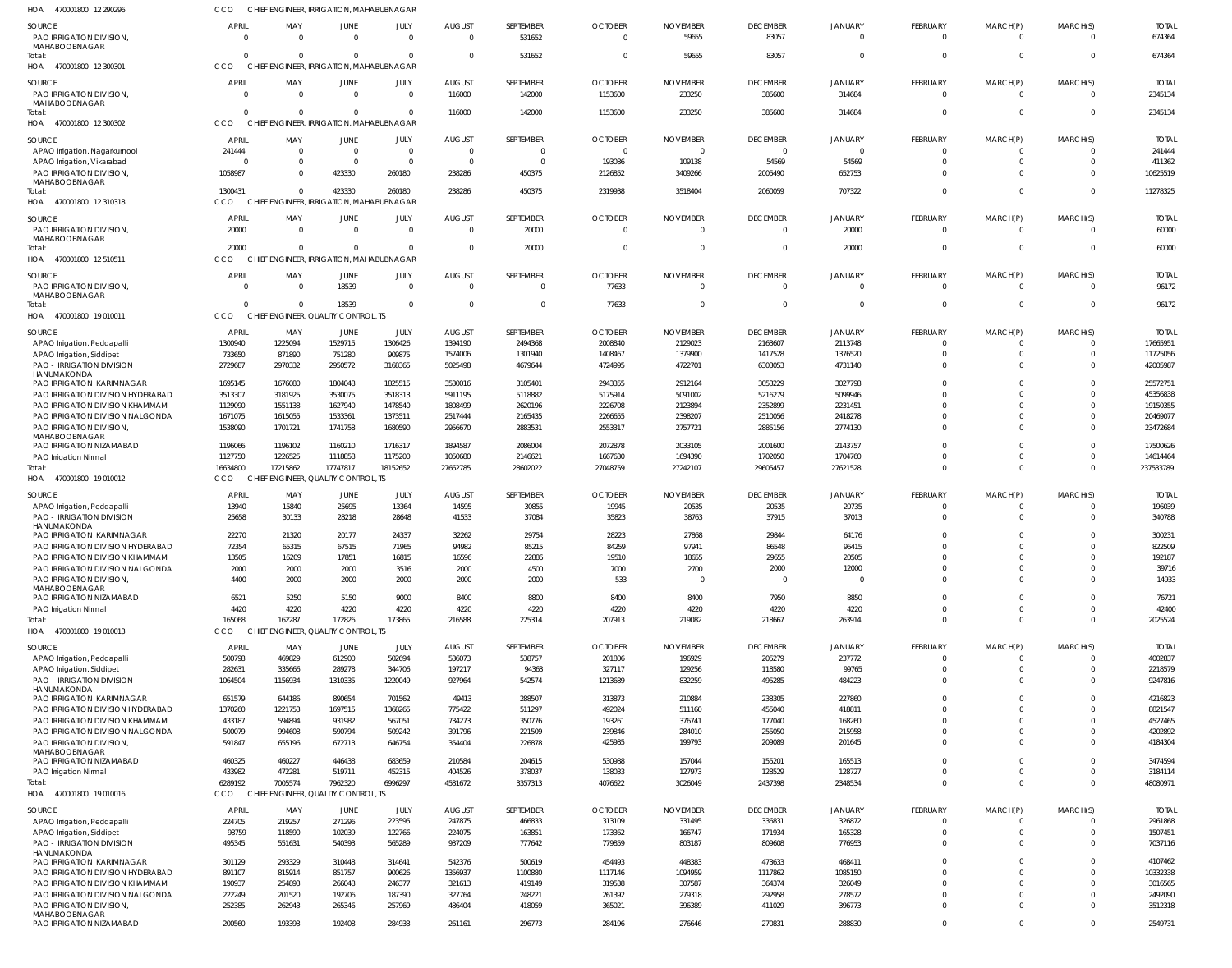| 470001800 12 290296<br>HOA                                            | <b>CCO</b>               |                    | CHIEF ENGINEER, IRRIGATION, MAHABUBNAGAR             |                                  |                                  |                                  |                            |                             |                                   |                                  |                            |                          |                                     |                         |
|-----------------------------------------------------------------------|--------------------------|--------------------|------------------------------------------------------|----------------------------------|----------------------------------|----------------------------------|----------------------------|-----------------------------|-----------------------------------|----------------------------------|----------------------------|--------------------------|-------------------------------------|-------------------------|
| SOURCE<br><b>PAO IRRIGATION DIVISION.</b><br>MAHABOOBNAGAR            | <b>APRIL</b><br>$\Omega$ | MAY<br>$\cap$      | <b>JUNE</b><br>$\Omega$                              | JULY<br>$\overline{0}$           | <b>AUGUST</b><br>$\overline{0}$  | SEPTEMBER<br>531652              | <b>OCTOBER</b>             | <b>NOVEMBER</b><br>59655    | <b>DECEMBER</b><br>83057          | <b>JANUARY</b><br>$\overline{0}$ | FEBRUARY<br>$\mathbf 0$    | MARCH(P)<br>$\mathbf{0}$ | MARCH(S)<br>$\overline{\mathbf{0}}$ | <b>TOTAL</b><br>674364  |
| Total:<br>470001800 12 300301<br>HOA                                  | $\Omega$<br>CCO          | $\Omega$           | $\Omega$<br>CHIEF ENGINEER, IRRIGATION, MAHABUBNAGAR | $\overline{0}$                   | $\Omega$                         | 531652                           | $\Omega$                   | 59655                       | 83057                             | $\overline{0}$                   | $\mathbf 0$                | $\mathbf 0$              | $\Omega$                            | 674364                  |
| SOURCE<br>PAO IRRIGATION DIVISION,<br>MAHABOOBNAGAR                   | <b>APRIL</b><br>$\Omega$ | MAY<br>$\Omega$    | JUNE<br>$\Omega$                                     | JULY<br>$\overline{0}$           | <b>AUGUST</b><br>116000          | SEPTEMBER<br>142000              | <b>OCTOBER</b><br>1153600  | <b>NOVEMBER</b><br>233250   | <b>DECEMBER</b><br>385600         | JANUARY<br>314684                | FEBRUARY<br>$\mathbf 0$    | MARCH(P)<br>$\mathbf 0$  | MARCH(S)<br>$\Omega$                | <b>TOTAL</b><br>2345134 |
| Total:<br>HOA 470001800 12 300302                                     | $\Omega$<br>CCO          | $\Omega$           | $\Omega$<br>CHIEF ENGINEER, IRRIGATION, MAHABUBNAGAR | $\Omega$                         | 116000                           | 142000                           | 1153600                    | 233250                      | 385600                            | 314684                           | $\mathbf 0$                | $\mathbf 0$              | $\overline{0}$                      | 2345134                 |
| SOURCE                                                                | <b>APRIL</b>             | MAY                | <b>JUNE</b>                                          | JULY                             | <b>AUGUST</b>                    | SEPTEMBER                        | <b>OCTOBER</b>             | <b>NOVEMBER</b>             | <b>DECEMBER</b>                   | JANUARY                          | FEBRUARY                   | MARCH(P)                 | MARCH(S)                            | <b>TOTAL</b>            |
| APAO Irrigation, Nagarkurnool<br>APAO Irrigation, Vikarabad           | 241444<br>$\Omega$       | $\Omega$<br>- 0    | $\overline{0}$<br>$\Omega$                           | $\overline{0}$<br>$\overline{0}$ | $\overline{0}$<br>$\overline{0}$ | $\overline{0}$<br>$\overline{0}$ | - 0<br>193086              | - 0<br>109138               | $\overline{0}$<br>54569           | $\overline{0}$<br>54569          | $\mathbf 0$<br>$\mathbf 0$ | 0<br>$\mathbf 0$         | $\Omega$<br>$\Omega$                | 241444<br>411362        |
| PAO IRRIGATION DIVISION,                                              | 1058987                  |                    | 423330                                               | 260180                           | 238286                           | 450375                           | 2126852                    | 3409266                     | 2005490                           | 652753                           | $\mathbf 0$                | $\mathbf 0$              | $\Omega$                            | 10625519                |
| MAHABOOBNAGAR<br>Total:<br>HOA 470001800 12 310318                    | 1300431<br>CCO           | $\cap$             | 423330<br>CHIEF ENGINEER, IRRIGATION, MAHABUBNAGAR   | 260180                           | 238286                           | 450375                           | 2319938                    | 3518404                     | 2060059                           | 707322                           | $\mathbf 0$                | $\mathbf 0$              | $\overline{0}$                      | 11278325                |
|                                                                       |                          |                    |                                                      |                                  |                                  |                                  |                            |                             |                                   |                                  |                            |                          |                                     |                         |
| <b>SOURCE</b><br>PAO IRRIGATION DIVISION,<br>MAHABOOBNAGAR            | <b>APRIL</b><br>20000    | MAY<br>$\Omega$    | <b>JUNE</b><br>$\Omega$                              | JULY<br>$\overline{0}$           | <b>AUGUST</b><br>$\overline{0}$  | SEPTEMBER<br>20000               | <b>OCTOBER</b><br>$\Omega$ | <b>NOVEMBER</b><br>$\Omega$ | <b>DECEMBER</b><br>$\overline{0}$ | <b>JANUARY</b><br>20000          | FEBRUARY<br>$\overline{0}$ | MARCH(P)<br>$\mathbf{0}$ | MARCH(S)<br>$\overline{0}$          | <b>TOTAL</b><br>60000   |
| Total:<br>HOA 470001800 12 510511                                     | 20000<br>CCO             | $\Omega$           | $\Omega$<br>CHIEF ENGINEER, IRRIGATION, MAHABUBNAGAR | $\Omega$                         | $\Omega$                         | 20000                            | $\Omega$                   | - 0                         | $\overline{0}$                    | 20000                            | $\mathbf 0$                | $\mathbf 0$              | $\overline{0}$                      | 60000                   |
| <b>SOURCE</b>                                                         | <b>APRIL</b>             | MAY                |                                                      |                                  |                                  | SEPTEMBER                        |                            | <b>NOVEMBER</b>             | <b>DECEMBER</b>                   |                                  | FEBRUARY                   | MARCH(P)                 | MARCH(S)                            | <b>TOTAL</b>            |
| PAO IRRIGATION DIVISION,                                              | $\Omega$                 | - 0                | <b>JUNE</b><br>18539                                 | JULY<br>$\overline{0}$           | <b>AUGUST</b><br>$\overline{0}$  | $\overline{0}$                   | <b>OCTOBER</b><br>77633    | $\Omega$                    | $\overline{0}$                    | JANUARY<br>$\overline{0}$        | $\mathbf 0$                | $\mathbf{0}$             | $\Omega$                            | 96172                   |
| MAHABOOBNAGAR<br>Total:                                               | $\Omega$                 | $\cap$             | 18539                                                | $\overline{0}$                   | $\Omega$                         | $\overline{0}$                   | 77633                      |                             | $\overline{0}$                    | $\overline{0}$                   | $\mathbf{0}$               | $\mathbf 0$              | $\Omega$                            | 96172                   |
| HOA 470001800 19 010011                                               | CCO                      |                    | CHIEF ENGINEER, QUALITY CONTROL, TS                  |                                  |                                  |                                  |                            |                             |                                   |                                  |                            |                          |                                     |                         |
| SOURCE                                                                | <b>APRIL</b>             | MAY                | JUNE                                                 | JULY                             | AUGUST                           | SEPTEMBER                        | <b>OCTOBER</b>             | <b>NOVEMBER</b>             | <b>DECEMBER</b>                   | JANUARY                          | FEBRUARY                   | MARCH(P)                 | MARCH(S)                            | <b>TOTAL</b>            |
| APAO Irrigation, Peddapalli<br>APAO Irrigation, Siddipet              | 1300940<br>733650        | 1225094<br>871890  | 1529715<br>751280                                    | 1306426<br>909875                | 1394190<br>1574006               | 2494368<br>1301940               | 2008840<br>1408467         | 2129023<br>1379900          | 2163607<br>1417528                | 2113748<br>1376520               | $\Omega$<br>-0             | $\Omega$<br>0            | $\Omega$<br>$\Omega$                | 17665951<br>11725056    |
| <b>PAO - IRRIGATION DIVISION</b>                                      | 2729687                  | 2970332            | 2950572                                              | 3168365                          | 5025498                          | 4679644                          | 4724995                    | 4722701                     | 6303053                           | 4731140                          | $\mathbf 0$                | $\Omega$                 | $\Omega$                            | 42005987                |
| HANUMAKONDA                                                           |                          |                    |                                                      |                                  |                                  |                                  |                            | 2912164                     |                                   | 3027798                          | $\Omega$                   | $\Omega$                 | $\Omega$                            | 25572751                |
| PAO IRRIGATION KARIMNAGAR<br>PAO IRRIGATION DIVISION HYDERABAD        | 1695145<br>3513307       | 1676080<br>3181925 | 1804048<br>3530075                                   | 1825515<br>3518313               | 3530016<br>5911195               | 3105401<br>5118882               | 2943355<br>5175914         | 5091002                     | 3053229<br>5216279                | 5099946                          | $\Omega$                   | $\Omega$                 | $\Omega$                            | 45356838                |
| PAO IRRIGATION DIVISION KHAMMAM                                       | 1129090                  | 1551138            | 1627940                                              | 1478540                          | 1808499                          | 2620196                          | 2226708                    | 2123894                     | 2352899                           | 2231451                          | $\Omega$                   | $\Omega$                 | $\Omega$                            | 19150355                |
| PAO IRRIGATION DIVISION NALGONDA                                      | 1671075                  | 1615055            | 1533361                                              | 1373511                          | 2517444                          | 2165435                          | 2266655                    | 2398207                     | 2510056                           | 2418278                          | $\Omega$                   | $\Omega$                 | $\Omega$                            | 20469077                |
| PAO IRRIGATION DIVISION,<br>MAHABOOBNAGAR                             | 1538090                  | 1701721            | 1741758                                              | 1680590                          | 2956670                          | 2883531                          | 2553317                    | 2757721                     | 2885156                           | 2774130                          | $\Omega$                   | $\Omega$                 | $\Omega$                            | 23472684                |
| PAO IRRIGATION NIZAMABAD                                              | 1196066<br>1127750       | 1196102<br>1226525 | 1160210<br>1118858                                   | 1716317<br>1175200               | 1894587<br>1050680               | 2086004<br>2146621               | 2072878<br>1667630         | 2033105<br>1694390          | 2001600<br>1702050                | 2143757<br>1704760               | $\Omega$<br>$\mathbf 0$    | $\Omega$<br>$\mathbf 0$  | $\Omega$<br>$\mathbf 0$             | 17500626<br>14614464    |
| PAO Irrigation Nirmal<br>Total:                                       | 16634800                 | 17215862           | 17747817                                             | 18152652                         | 27662785                         | 28602022                         | 27048759                   | 27242107                    | 29605457                          | 27621528                         | $\mathbf 0$                | $\mathbf 0$              | $\Omega$                            | 237533789               |
| HOA 470001800 19 010012                                               | CCO                      |                    | CHIEF ENGINEER, QUALITY CONTROL, TS                  |                                  |                                  |                                  |                            |                             |                                   |                                  |                            |                          |                                     |                         |
| SOURCE                                                                | <b>APRIL</b>             | MAY                | JUNE                                                 | JULY                             | <b>AUGUST</b>                    | SEPTEMBER                        | <b>OCTOBER</b>             | <b>NOVEMBER</b>             | <b>DECEMBER</b>                   | JANUARY                          | FEBRUARY                   | MARCH(P)                 | MARCH(S)                            | <b>TOTAL</b>            |
| APAO Irrigation, Peddapalli                                           | 13940                    | 15840              | 25695                                                | 13364                            | 14595                            | 30855                            | 19945                      | 20535                       | 20535                             | 20735                            | $\overline{0}$             | $\mathbf 0$              | $\Omega$                            | 196039                  |
| <b>PAO - IRRIGATION DIVISION</b><br><b>HANUMAKONDA</b>                | 25658                    | 30133              | 28218                                                | 28648                            | 41533                            | 37084                            | 35823                      | 38763                       | 37915                             | 37013                            | $\mathbf{0}$               | $\mathbf 0$              | $\Omega$                            | 340788                  |
| PAO IRRIGATION KARIMNAGAR                                             | 22270                    | 21320              | 20177                                                | 24337                            | 32262                            | 29754                            | 28223                      | 27868                       | 29844                             | 64176                            | $\Omega$                   | $\Omega$                 | $\Omega$                            | 300231                  |
| PAO IRRIGATION DIVISION HYDERABAD<br>PAO IRRIGATION DIVISION KHAMMAM  | 72354                    | 65315              | 67515                                                | 71965                            | 94982                            | 85215                            | 84259<br>19510             | 97941                       | 86548                             | 96415                            | $\Omega$<br>$\mathbf{0}$   | $\Omega$<br>$\Omega$     | $\Omega$<br>$\Omega$                | 822509                  |
| PAO IRRIGATION DIVISION NALGONDA                                      | 13505<br>2000            | 16209<br>2000      | 17851<br>2000                                        | 16815<br>3516                    | 16596<br>2000                    | 22886<br>4500                    | 7000                       | 18655<br>2700               | 29655<br>2000                     | 20505<br>12000                   | $\mathbf 0$                | $\mathbf{0}$             | $\overline{0}$                      | 192187<br>39716         |
| PAO IRRIGATION DIVISION,                                              | 4400                     | 2000               | 2000                                                 | 2000                             | 2000                             | 2000                             | 533                        | $\Omega$                    | $\overline{0}$                    | $\overline{0}$                   | $\mathbf 0$                | $\mathbf 0$              | $\Omega$                            | 14933                   |
| MAHABOOBNAGAR<br>PAO IRRIGATION NIZAMABAD                             | 6521                     | 5250               | 5150                                                 | 9000                             | 8400                             | 8800                             | 8400                       | 8400                        | 7950                              | 8850                             | $\mathbf{0}$               | $\mathbf 0$              | $\overline{0}$                      | 76721                   |
| PAO Irrigation Nirmal                                                 | 4420                     | 4220               | 4220                                                 | 4220                             | 4220                             | 4220                             | 4220                       | 4220                        | 4220                              | 4220                             | $\mathbf 0$                | $\mathbf{0}$             | $\Omega$                            | 42400                   |
| Total:                                                                | 165068                   | 162287             | 172826                                               | 173865                           | 216588                           | 225314                           | 207913                     | 219082                      | 218667                            | 263914                           | $\mathbf 0$                | $\Omega$                 | $\Omega$                            | 2025524                 |
| HOA<br>470001800 19 010013                                            | CCO                      |                    | CHIEF ENGINEER, QUALITY CONTROL, TS                  |                                  |                                  |                                  |                            |                             |                                   |                                  |                            |                          |                                     |                         |
| SOURCE                                                                | <b>APRIL</b>             | MAY                | JUNE                                                 | JULY                             | <b>AUGUST</b>                    | SEPTEMBER                        | <b>OCTOBER</b>             | <b>NOVEMBER</b>             | <b>DECEMBER</b>                   | JANUARY                          | <b>FEBRUARY</b>            | MARCH(P)                 | MARCH(S)                            | <b>TOTAL</b>            |
| APAO Irrigation, Peddapalli                                           | 500798                   | 469829             | 612900                                               | 502694                           | 536073                           | 538757<br>94363                  | 201806                     | 196929                      | 205279                            | 237772                           | $^{\circ}$<br>$\mathbf 0$  | $\Omega$<br>$\mathbf 0$  | $\Omega$<br>$\Omega$                | 4002837                 |
| APAO Irrigation, Siddipet<br><b>PAO - IRRIGATION DIVISION</b>         | 282631<br>1064504        | 335666<br>1156934  | 289278<br>1310335                                    | 344706<br>1220049                | 197217<br>927964                 | 542574                           | 327117<br>1213689          | 129256<br>832259            | 118580<br>495285                  | 99765<br>484223                  | $\Omega$                   | $\Omega$                 | $\Omega$                            | 2218579<br>9247816      |
| HANUMAKONDA                                                           |                          |                    |                                                      |                                  |                                  |                                  |                            |                             |                                   |                                  |                            |                          |                                     |                         |
| <b>PAO IRRIGATION KARIMNAGAR</b><br>PAO IRRIGATION DIVISION HYDERABAD | 651579<br>1370260        | 644186<br>1221753  | 890654<br>1697515                                    | 701562<br>1368265                | 49413<br>775422                  | 288507<br>511297                 | 313873<br>492024           | 210884<br>511160            | 238305<br>455040                  | 227860<br>418811                 | $\Omega$<br>$\Omega$       | $\Omega$<br>$\Omega$     | $\Omega$<br>$\Omega$                | 4216823<br>8821547      |
| PAO IRRIGATION DIVISION KHAMMAM                                       | 433187                   | 594894             | 931982                                               | 567051                           | 734273                           | 350776                           | 193261                     | 376741                      | 177040                            | 168260                           | $\Omega$                   | $\Omega$                 | $\Omega$                            | 4527465                 |
| PAO IRRIGATION DIVISION NALGONDA                                      | 500079                   | 994608             | 590794                                               | 509242                           | 391796                           | 221509                           | 239846                     | 284010                      | 255050                            | 215958                           | $\Omega$                   | $\Omega$                 | $\Omega$                            | 4202892                 |
| PAO IRRIGATION DIVISION,<br>MAHABOOBNAGAR                             | 591847                   | 655196             | 672713                                               | 646754                           | 354404                           | 226878                           | 425985                     | 199793                      | 209089                            | 201645                           | $\Omega$                   | $\Omega$                 | $\Omega$                            | 4184304                 |
| PAO IRRIGATION NIZAMABAD                                              | 460325                   | 460227             | 446438                                               | 683659                           | 210584                           | 204615                           | 530988                     | 157044                      | 155201                            | 165513                           | $\Omega$                   | $\Omega$                 | $\Omega$                            | 3474594                 |
| PAO Irrigation Nirmal<br>Total:                                       | 433982<br>6289192        | 472281<br>7005574  | 519711<br>7962320                                    | 452315<br>6996297                | 404526<br>4581672                | 378037<br>3357313                | 138033<br>4076622          | 127973<br>3026049           | 128529<br>2437398                 | 128727<br>2348534                | $\mathbf 0$<br>$\Omega$    | $\mathbf 0$<br>$\Omega$  | $\overline{0}$<br>$\Omega$          | 3184114<br>48080971     |
| HOA 470001800 19 010016                                               | CCO                      |                    | CHIEF ENGINEER, QUALITY CONTROL, TS                  |                                  |                                  |                                  |                            |                             |                                   |                                  |                            |                          |                                     |                         |
| SOURCE                                                                | <b>APRIL</b>             | MAY                | JUNE                                                 | JULY                             | <b>AUGUST</b>                    | SEPTEMBER                        | <b>OCTOBER</b>             | <b>NOVEMBER</b>             | <b>DECEMBER</b>                   | JANUARY                          | FEBRUARY                   | MARCH(P)                 | MARCH(S)                            | <b>TOTAL</b>            |
| APAO Irrigation, Peddapalli                                           | 224705                   | 219257             | 271296                                               | 223595                           | 247875                           | 466833                           | 313109                     | 331495                      | 336831                            | 326872                           | $\overline{0}$             | $\mathbf 0$              | $\overline{\mathbf{0}}$             | 2961868                 |
| APAO Irrigation, Siddipet                                             | 98759                    | 118590             | 102039                                               | 122766                           | 224075                           | 163851                           | 173362                     | 166747                      | 171934                            | 165328                           | $\mathbf 0$                | $\mathbf{0}$             | $\overline{0}$                      | 1507451                 |
| <b>PAO - IRRIGATION DIVISION</b><br>HANUMAKONDA                       | 495345                   | 551631             | 540393                                               | 565289                           | 937209                           | 777642                           | 779859                     | 803187                      | 809608                            | 776953                           | $\mathbf 0$                | $\mathbf 0$              | $\Omega$                            | 7037116                 |
| PAO IRRIGATION KARIMNAGAR                                             | 301129                   | 293329             | 310448                                               | 314641                           | 542376                           | 500619                           | 454493                     | 448383                      | 473633                            | 468411                           | $\mathbf 0$                | $\mathbf{0}$             | $\Omega$                            | 4107462                 |
| PAO IRRIGATION DIVISION HYDERABAD                                     | 891107<br>190937         | 815914<br>254893   | 851757<br>266048                                     | 900626<br>246377                 | 1356937<br>321613                | 1100880<br>419149                | 1117146<br>319538          | 1094959<br>307587           | 1117862<br>364374                 | 1085150<br>326049                | $\mathbf 0$<br>$\mathbf 0$ | $\Omega$<br>$\mathbf{0}$ | $\Omega$<br>$\Omega$                | 10332338<br>3016565     |
| PAO IRRIGATION DIVISION KHAMMAM<br>PAO IRRIGATION DIVISION NALGONDA   | 222249                   | 201520             | 192706                                               | 187390                           | 327764                           | 248221                           | 261392                     | 279318                      | 292958                            | 278572                           | $\mathbf 0$                | $\mathbf 0$              | $\Omega$                            | 2492090                 |
| PAO IRRIGATION DIVISION,                                              | 252385                   | 262943             | 265346                                               | 257969                           | 486404                           | 418059                           | 365021                     | 396389                      | 411029                            | 396773                           | $\Omega$                   | $\Omega$                 | $\Omega$                            | 3512318                 |
| MAHABOOBNAGAR<br>PAO IRRIGATION NIZAMABAD                             | 200560                   | 193393             | 192408                                               | 284933                           | 261161                           | 296773                           | 284196                     | 276646                      | 270831                            | 288830                           | $\mathbf 0$                | $\mathbf 0$              | $\overline{0}$                      | 2549731                 |
|                                                                       |                          |                    |                                                      |                                  |                                  |                                  |                            |                             |                                   |                                  |                            |                          |                                     |                         |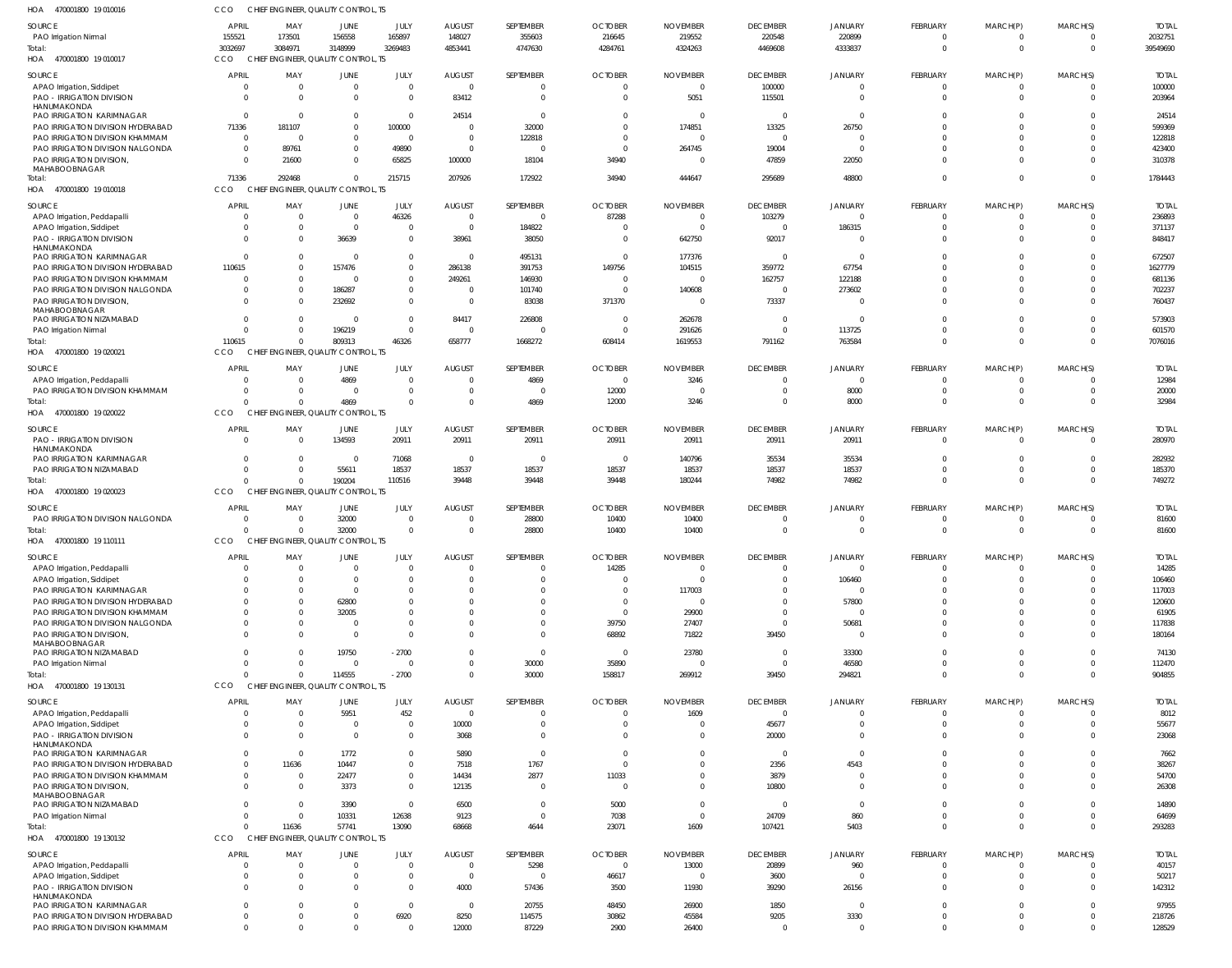470001800 19 010016 HOA CCO CHIEF ENGINEER, QUALITY CONTROL, TS

| HUA<br>470001800 19 010010                                           |                            |                 | EINGINEER, QUALII Y COINTROL, 13    |                        |                |                  |                            |                 |                          |                     |                            |                         |                            |                  |
|----------------------------------------------------------------------|----------------------------|-----------------|-------------------------------------|------------------------|----------------|------------------|----------------------------|-----------------|--------------------------|---------------------|----------------------------|-------------------------|----------------------------|------------------|
| SOURCE                                                               | <b>APRIL</b>               | MAY             | JUNE                                | JULY                   | <b>AUGUST</b>  | SEPTEMBER        | <b>OCTOBER</b>             | <b>NOVEMBER</b> | <b>DECEMBER</b>          | JANUARY             | FEBRUARY                   | MARCH(P)                | MARCH(S)                   | <b>TOTAL</b>     |
| PAO Irrigation Nirmal                                                | 155521                     | 173501          | 156558                              | 165897                 | 148027         | 355603           | 216645                     | 219552          | 220548                   | 220899              | $\mathbf 0$                | $\mathbf 0$             | $\overline{0}$             | 2032751          |
| Total:                                                               | 3032697                    | 3084971         | 3148999                             | 3269483                | 4853441        | 4747630          | 4284761                    | 4324263         | 4469608                  | 4333837             | $\overline{0}$             | $\mathbf 0$             | $\overline{0}$             | 39549690         |
| HOA 470001800 19 010017                                              | CCO                        |                 | CHIEF ENGINEER, QUALITY CONTROL, TS |                        |                |                  |                            |                 |                          |                     |                            |                         |                            |                  |
|                                                                      |                            |                 |                                     |                        |                |                  |                            |                 |                          |                     |                            |                         |                            |                  |
| SOURCE                                                               | <b>APRIL</b>               | MAY             | JUNE                                | JULY                   | <b>AUGUST</b>  | SEPTEMBER        | <b>OCTOBER</b>             | <b>NOVEMBER</b> | <b>DECEMBER</b>          | <b>JANUARY</b>      | FEBRUARY                   | MARCH(P)                | MARCH(S)                   | <b>TOTAL</b>     |
| APAO Irrigation, Siddipet                                            | $\Omega$                   | $\Omega$        | $\overline{0}$                      | $\overline{0}$         | $\overline{0}$ | $\Omega$         |                            | $\Omega$        | 100000                   |                     | $^{\circ}$                 | $\Omega$                | 0                          | 100000           |
| PAO - IRRIGATION DIVISION                                            | $\Omega$                   |                 | $\Omega$                            | $\Omega$               | 83412          | $\Omega$         | $\Omega$                   | 5051            | 115501                   | U                   | $\Omega$                   | $\Omega$                | $\Omega$                   | 203964           |
| HANUMAKONDA                                                          |                            |                 |                                     |                        |                |                  |                            |                 |                          |                     |                            |                         |                            |                  |
| <b>PAO IRRIGATION KARIMNAGAR</b>                                     | $\Omega$                   | $\Omega$        | $\Omega$                            | $\Omega$               | 24514          | $\Omega$         | <sup>0</sup>               |                 | $\overline{0}$           | $\Omega$            | $\Omega$                   | $\Omega$                | $\Omega$                   | 24514            |
| PAO IRRIGATION DIVISION HYDERABAD                                    | 71336                      | 181107          | $\Omega$                            | 100000                 | $\Omega$       | 32000            |                            | 174851          | 13325                    | 26750               | $\Omega$                   | $\Omega$                | $\Omega$                   | 599369           |
| PAO IRRIGATION DIVISION KHAMMAM                                      | $\Omega$                   | $\Omega$        | $\Omega$                            | $\Omega$               | $\Omega$       | 122818           |                            |                 | $\Omega$                 |                     | $\Omega$                   | $\Omega$                | $\Omega$                   | 122818           |
| PAO IRRIGATION DIVISION NALGONDA                                     | $\Omega$                   | 89761           | $\Omega$                            | 49890                  | $\overline{0}$ | - 0              |                            | 264745          | 19004                    | $\Omega$            | $\Omega$                   | $\Omega$                | $\Omega$                   | 423400           |
| PAO IRRIGATION DIVISION,                                             | $\Omega$                   | 21600           | $\Omega$                            | 65825                  | 100000         | 18104            | 34940                      |                 | 47859                    | 22050               | $\Omega$                   | $\Omega$                | $\Omega$                   | 310378           |
| MAHABOOBNAGAR                                                        |                            |                 |                                     |                        |                |                  |                            |                 |                          |                     |                            |                         |                            |                  |
| Total:                                                               | 71336                      | 292468          | $\Omega$                            | 215715                 | 207926         | 172922           | 34940                      | 444647          | 295689                   | 48800               | $\Omega$                   | $\mathbf 0$             | $\Omega$                   | 1784443          |
| HOA 470001800 19 010018                                              | CCO                        |                 | CHIEF ENGINEER, QUALITY CONTROL, TS |                        |                |                  |                            |                 |                          |                     |                            |                         |                            |                  |
| SOURCE                                                               | APRIL                      | MAY             | JUNE                                | JULY                   | <b>AUGUST</b>  | SEPTEMBER        | <b>OCTOBER</b>             | <b>NOVEMBER</b> | <b>DECEMBER</b>          | JANUARY             | FEBRUARY                   | MARCH(P)                | MARCH(S)                   | <b>TOTAL</b>     |
| APAO Irrigation, Peddapalli                                          | - 0                        | $\Omega$        | $\overline{0}$                      | 46326                  | $\overline{0}$ | $\overline{0}$   | 87288                      | $\Omega$        | 103279                   | $\mathbf 0$         | $\overline{0}$             | $^{\circ}$              | $\overline{0}$             | 236893           |
|                                                                      | $\Omega$                   | $\Omega$        | $\Omega$                            | $\overline{0}$         | $\overline{0}$ | 184822           | $\Omega$                   | - 0             | $\overline{0}$           | 186315              | $\overline{0}$             | $\mathbf{0}$            | $\Omega$                   | 371137           |
| APAO Irrigation, Siddipet                                            |                            |                 |                                     |                        |                |                  |                            |                 |                          |                     |                            |                         |                            |                  |
| PAO - IRRIGATION DIVISION<br>HANUMAKONDA                             | $\Omega$                   |                 | 36639                               | $\overline{0}$         | 38961          | 38050            | $\Omega$                   | 642750          | 92017                    | $\Omega$            | $\Omega$                   | $\mathbf 0$             | $\Omega$                   | 848417           |
| PAO IRRIGATION KARIMNAGAR                                            | - 0                        | $\Omega$        | - 0                                 | $\mathbf 0$            | $\Omega$       | 495131           | $\Omega$                   | 177376          | $\overline{0}$           | $\Omega$            | $\Omega$                   | $\Omega$                | $\Omega$                   | 672507           |
| PAO IRRIGATION DIVISION HYDERABAD                                    | 110615                     | $\Omega$        | 157476                              | $\overline{0}$         | 286138         | 391753           | 149756                     | 104515          | 359772                   | 67754               | $\Omega$                   | $\Omega$                | $\Omega$                   | 1627779          |
| PAO IRRIGATION DIVISION KHAMMAM                                      | $\Omega$                   | $\Omega$        | $\Omega$                            | $\Omega$               | 249261         | 146930           | $\Omega$                   | - 0             |                          | 122188              | $\Omega$                   | $\Omega$                | $\Omega$                   | 681136           |
|                                                                      | $\Omega$                   | $\Omega$        |                                     | $\overline{0}$         | $\Omega$       | 101740           | $\Omega$                   |                 | 162757<br>$\overline{0}$ |                     | $\mathbf 0$                | $\mathbf 0$             | $\Omega$                   |                  |
| PAO IRRIGATION DIVISION NALGONDA                                     |                            |                 | 186287                              |                        |                |                  |                            | 140608          |                          | 273602              |                            |                         |                            | 702237           |
| PAO IRRIGATION DIVISION,                                             | $\Omega$                   |                 | 232692                              | $\Omega$               | $\overline{0}$ | 83038            | 371370                     | $\Omega$        | 73337                    | $\Omega$            | $\Omega$                   | $\Omega$                | $\Omega$                   | 760437           |
| MAHABOOBNAGAR<br>PAO IRRIGATION NIZAMABAD                            | $\Omega$                   | $\Omega$        | $\Omega$                            | $\Omega$               | 84417          | 226808           | $\Omega$                   | 262678          | $\overline{0}$           | $\Omega$            | $\Omega$                   | $\Omega$                | $\Omega$                   | 573903           |
|                                                                      | $\Omega$                   |                 | 196219                              | $\Omega$               | $\overline{0}$ | 0                | $\Omega$                   | 291626          | $\Omega$                 | 113725              | $\mathbf 0$                | $\mathbf{0}$            | $\overline{0}$             | 601570           |
| PAO Irrigation Nirmal                                                |                            |                 |                                     |                        |                |                  |                            |                 |                          |                     |                            |                         | $\Omega$                   |                  |
| Total:                                                               | 110615                     | $\Omega$        | 809313                              | 46326                  | 658777         | 1668272          | 608414                     | 1619553         | 791162                   | 763584              | $\Omega$                   | $\Omega$                |                            | 7076016          |
| HOA 470001800 19 020021                                              | CCO                        |                 | CHIEF ENGINEER, QUALITY CONTROL, TS |                        |                |                  |                            |                 |                          |                     |                            |                         |                            |                  |
| SOURCE                                                               | APRIL                      | MAY             | JUNE                                | JULY                   | <b>AUGUST</b>  | SEPTEMBER        | <b>OCTOBER</b>             | <b>NOVEMBER</b> | <b>DECEMBER</b>          | <b>JANUARY</b>      | FEBRUARY                   | MARCH(P)                | MARCH(S)                   | <b>TOTAL</b>     |
| APAO Irrigation, Peddapalli                                          | -0                         |                 | 4869                                | $\Omega$               | $\Omega$       | 4869             | $\Omega$                   | 3246            | $\Omega$                 | 0                   | $\Omega$                   | $\Omega$                | $\Omega$                   | 12984            |
| PAO IRRIGATION DIVISION KHAMMAM                                      | $\Omega$                   | $\Omega$        | $\Omega$                            | $\Omega$               | $\Omega$       | - 0              | 12000                      | - 0             | $\Omega$                 | 8000                | $\Omega$                   | $\Omega$                | $\Omega$                   | 20000            |
|                                                                      |                            |                 |                                     | $\Omega$               | $\Omega$       | 4869             |                            |                 | $\Omega$                 | 8000                | $\Omega$                   | $\Omega$                | $\Omega$                   | 32984            |
| Total:                                                               |                            |                 | 4869                                |                        |                |                  | 12000                      | 3246            |                          |                     |                            |                         |                            |                  |
| HOA 470001800 19 020022                                              | CCO                        |                 | CHIEF ENGINEER, QUALITY CONTROL, TS |                        |                |                  |                            |                 |                          |                     |                            |                         |                            |                  |
| SOURCE                                                               | <b>APRIL</b>               | MAY             | JUNE                                | JULY                   | <b>AUGUST</b>  | SEPTEMBER        | <b>OCTOBER</b>             | <b>NOVEMBER</b> | <b>DECEMBER</b>          | JANUARY             | FEBRUARY                   | MARCH(P)                | MARCH(S)                   | <b>TOTAL</b>     |
| <b>PAO - IRRIGATION DIVISION</b>                                     | - 0                        | $\Omega$        | 134593                              | 20911                  | 20911          | 20911            | 20911                      | 20911           | 20911                    | 20911               | $\overline{0}$             | $\mathbf{0}$            | $\Omega$                   | 280970           |
| HANUMAKONDA                                                          |                            |                 |                                     |                        |                |                  |                            |                 |                          |                     |                            |                         |                            |                  |
| <b>PAO IRRIGATION KARIMNAGAR</b>                                     | $\Omega$                   | $\Omega$        | $\overline{0}$                      | 71068                  | $\overline{0}$ | $\mathbf 0$      | $\overline{\mathbf{0}}$    | 140796          | 35534                    | 35534               | $^{\circ}$                 | $^{\circ}$              | $\overline{0}$             | 282932           |
| PAO IRRIGATION NIZAMABAD                                             | $\Omega$                   | $\Omega$        | 55611                               | 18537                  | 18537          | 18537            | 18537                      | 18537           | 18537                    | 18537               | $\mathbf 0$                | $\mathbf{0}$            | $\Omega$                   | 185370           |
| Total:                                                               | $\Omega$                   |                 | 190204                              | 110516                 | 39448          | 39448            | 39448                      | 180244          | 74982                    | 74982               | $\Omega$                   | $\overline{0}$          | $\Omega$                   | 749272           |
| HOA 470001800 19 020023                                              | CCO                        |                 | CHIEF ENGINEER, QUALITY CONTROL, TS |                        |                |                  |                            |                 |                          |                     |                            |                         |                            |                  |
|                                                                      |                            |                 |                                     |                        |                |                  |                            |                 |                          |                     |                            |                         |                            |                  |
| SOURCE                                                               | APRIL                      | MAY             | JUNE                                | JULY                   | <b>AUGUST</b>  | SEPTEMBER        | <b>OCTOBER</b>             | <b>NOVEMBER</b> | <b>DECEMBER</b>          | <b>JANUARY</b>      | FEBRUARY                   | MARCH(P)                | MARCH(S)                   | <b>TOTAL</b>     |
| PAO IRRIGATION DIVISION NALGONDA                                     | $\Omega$                   | $\Omega$        | 32000                               | $\Omega$               | $\Omega$       | 28800            | 10400                      | 10400           | $\Omega$                 |                     | $\Omega$                   | $\Omega$                | $\Omega$                   | 81600            |
| Total:                                                               |                            |                 | 32000                               | $\Omega$               | $\Omega$       | 28800            | 10400                      | 10400           | $\mathbf{0}$             | $\Omega$            | $\mathbf 0$                | $\mathbf 0$             | $\Omega$                   | 81600            |
| HOA 470001800 19 110111                                              | CCO                        |                 | CHIEF ENGINEER, QUALITY CONTROL, TS |                        |                |                  |                            |                 |                          |                     |                            |                         |                            |                  |
| <b>SOURCE</b>                                                        | <b>APRIL</b>               |                 |                                     | JULY.                  |                | <b>SFPTFMBFR</b> |                            | <b>NOVEMBER</b> |                          |                     |                            |                         |                            |                  |
|                                                                      |                            | MAY             | <b>JUNF</b>                         |                        | <b>AUGUST</b>  |                  | <b>OCTOBER</b>             |                 | <b>DECEMBER</b>          | <b>JANUARY</b>      | <b>FFBRUARY</b>            | MARCH(P)                | MARCH(S)                   | <b>TOTAL</b>     |
| APAO Irrigation, Peddapalli                                          | $\Omega$                   | $\Omega$        | $\Omega$                            | $\Omega$               | $\Omega$       | $\mathbf 0$      | 14285                      | $\Omega$        | $\mathbf{0}$             | $\mathbf 0$         | $\overline{0}$             | $^{\circ}$              | $\Omega$                   | 14285            |
| APAO Irrigation, Siddipet                                            | $\Omega$                   | $\Omega$        | $\Omega$                            | $\Omega$               | $\Omega$       | $\mathbf 0$      | $\Omega$                   | $\Omega$        | $\overline{0}$           | 106460              | $\mathbf 0$                | $\mathbf 0$             | $\Omega$                   | 106460           |
| PAO IRRIGATION KARIMNAGAR                                            | - 0                        | $\Omega$        | $\Omega$                            | $\Omega$               | $\Omega$       | $\mathbf 0$      | $\Omega$                   | 117003          | $\Omega$                 | $\Omega$            | $\mathbf 0$                | $\Omega$                | $\Omega$                   | 117003           |
| PAO IRRIGATION DIVISION HYDERABAD                                    | - 0                        |                 | 62800                               | $\Omega$               | <sup>0</sup>   | $\Omega$         | $\Omega$                   | $\Omega$        | $\Omega$                 | 57800               | $\Omega$                   | $\Omega$                | $\Omega$                   | 120600           |
| PAO IRRIGATION DIVISION KHAMMAM                                      | $\Omega$                   | $\Omega$        | 32005                               | $\Omega$               | $\Omega$       | $\Omega$         | $\Omega$                   | 29900           | $\Omega$                 | $\Omega$            | $\Omega$                   | $\Omega$                | $\Omega$                   | 61905            |
| PAO IRRIGATION DIVISION NALGONDA                                     | $\Omega$                   |                 | $\overline{0}$                      | $\Omega$               | $\Omega$       | $\mathbf 0$      | 39750                      | 27407           | $\overline{0}$           | 50681               | $\mathbf 0$                | $\Omega$                | $\Omega$                   | 117838           |
| PAO IRRIGATION DIVISION.                                             | $\Omega$                   |                 | $\Omega$                            | $\Omega$               | $\Omega$       | $\Omega$         | 68892                      | 71822           | 39450                    | $\Omega$            | $\Omega$                   | $\Omega$                | $\Omega$                   | 180164           |
| MAHABOOBNAGAR                                                        |                            |                 |                                     |                        |                |                  |                            |                 |                          |                     |                            |                         |                            |                  |
| PAO IRRIGATION NIZAMABAD                                             | $\Omega$                   |                 |                                     |                        |                |                  |                            |                 |                          |                     |                            |                         |                            |                  |
| PAO Irrigation Nirmal                                                |                            | $\Omega$        | 19750                               | $-2700$                | $\Omega$       | $\overline{0}$   | $\Omega$                   | 23780           | $\Omega$                 | 33300               | $\Omega$                   | $\Omega$                | $\Omega$                   | 74130            |
| Total:                                                               | $\Omega$                   | $\Omega$        | $\overline{0}$                      | $\overline{0}$         | $\Omega$       | 30000            | 35890                      | $\Omega$        | $\overline{0}$           | 46580               | $\overline{0}$             | $\mathbf{0}$            | $\overline{0}$             | 112470           |
|                                                                      | $\Omega$                   |                 | 114555                              | $-2700$                | $\Omega$       | 30000            | 158817                     | 269912          | 39450                    | 294821              | $\mathbf 0$                | $\mathbf 0$             | $\Omega$                   | 904855           |
| HOA 470001800 19 130131                                              | CCO                        |                 | CHIEF ENGINEER, QUALITY CONTROL, TS |                        |                |                  |                            |                 |                          |                     |                            |                         |                            |                  |
|                                                                      |                            |                 |                                     |                        |                |                  |                            |                 |                          |                     |                            |                         |                            |                  |
| SOURCE                                                               | <b>APRIL</b>               | MAY             | <b>JUNE</b>                         | JULY                   | AUGUST         | SEPTEMBER        | <b>OCTOBER</b>             | <b>NOVEMBER</b> | <b>DECEMBER</b>          | <b>JANUARY</b>      | FEBRUARY                   | MARCH(P)                | MARCH(S)                   | <b>TOTAL</b>     |
| APAO Irrigation, Peddapalli                                          | $\Omega$                   |                 | 5951                                | 452                    | $\overline{0}$ | 0                | $\Omega$                   | 1609            | $\mathbf 0$              | 0                   | $\overline{0}$             | $\Omega$                | $\Omega$                   | 8012             |
| APAO Irrigation, Siddipet                                            | $\Omega$                   |                 | $\Omega$                            | $\Omega$               | 10000          | $\Omega$         |                            |                 | 45677                    | 0                   | $\Omega$                   | $\Omega$                | $\mathbf 0$                | 55677            |
| PAO - IRRIGATION DIVISION                                            | $\Omega$                   |                 | $\Omega$                            | $\overline{0}$         | 3068           | $\Omega$         | $\Omega$                   |                 | 20000                    | 0                   | $\Omega$                   | $\Omega$                | $\Omega$                   | 23068            |
| HANUMAKONDA                                                          |                            |                 |                                     |                        |                |                  |                            |                 |                          |                     |                            |                         |                            |                  |
| <b>PAO IRRIGATION KARIMNAGAR</b>                                     | $\Omega$                   | $\Omega$        | 1772                                | $\Omega$               | 5890           | $\overline{0}$   | $\Omega$                   |                 | $\overline{0}$           | $\Omega$            | $\Omega$                   | $\Omega$                | $\Omega$                   | 7662             |
| PAO IRRIGATION DIVISION HYDERABAD                                    | $\Omega$                   | 11636           | 10447                               | $\Omega$               | 7518           | 1767             | $\Omega$                   |                 | 2356                     | 4543                | $\Omega$                   | $\Omega$                | $\Omega$                   | 38267            |
| PAO IRRIGATION DIVISION KHAMMAM                                      | $\Omega$                   | $\Omega$        | 22477                               | $\overline{0}$         | 14434          | 2877             | 11033                      |                 | 3879                     | 0                   | $\Omega$                   | $\Omega$                | $\Omega$                   | 54700            |
| PAO IRRIGATION DIVISION,                                             | $\Omega$                   |                 | 3373                                | $\overline{0}$         | 12135          | $\overline{0}$   | $\Omega$                   |                 | 10800                    | $\Omega$            | $\Omega$                   | $\Omega$                | $\Omega$                   | 26308            |
| MAHABOOBNAGAR                                                        |                            |                 |                                     |                        |                |                  |                            |                 |                          |                     |                            |                         |                            |                  |
| PAO IRRIGATION NIZAMABAD                                             | $\Omega$                   |                 | 3390                                | $\overline{0}$         | 6500           | $\overline{0}$   | 5000                       |                 | $\overline{0}$           | $\mathbf{0}$        | $\Omega$                   | $\Omega$                | $\Omega$                   | 14890            |
| PAO Irrigation Nirmal                                                | $\Omega$                   | $\Omega$        | 10331                               | 12638                  | 9123           | $\mathbf{0}$     | 7038                       | $\Omega$        | 24709                    | 860                 | $\Omega$                   | $\Omega$                | $\Omega$                   | 64699            |
| Total:                                                               | $\Omega$                   | 11636           | 57741                               | 13090                  | 68668          | 4644             | 23071                      | 1609            | 107421                   | 5403                | $\Omega$                   | $\Omega$                | $\Omega$                   | 293283           |
| HOA 470001800 19 130132                                              | CCO                        | <b>CHIEF</b>    | ENGINEER, QUALITY CONTROL, TS       |                        |                |                  |                            |                 |                          |                     |                            |                         |                            |                  |
|                                                                      |                            |                 |                                     |                        |                |                  |                            |                 |                          |                     |                            |                         |                            |                  |
| SOURCE                                                               | <b>APRIL</b><br>- 0        | MAY<br>$\Omega$ | JUNE                                | JULY<br>$\Omega$       | <b>AUGUST</b>  | SEPTEMBER        | <b>OCTOBER</b><br>$\Omega$ | <b>NOVEMBER</b> | <b>DECEMBER</b>          | JANUARY             | FEBRUARY                   | MARCH(P)                | MARCH(S)                   | <b>TOTAL</b>     |
| APAO Irrigation, Peddapalli                                          |                            |                 | $\mathbf 0$                         |                        | $\overline{0}$ | 5298             |                            | 13000           | 20899                    | 960                 | $\overline{0}$             | $^{\circ}$              | $\overline{0}$             | 40157            |
| APAO Irrigation, Siddipet                                            | $\Omega$                   | $\Omega$        | 0                                   | $\overline{0}$         | $\overline{0}$ | $\mathbf 0$      | 46617                      | $\Omega$        | 3600                     | $\Omega$            | $\mathbf 0$                | $\mathbf 0$             | $\overline{0}$             | 50217            |
| PAO - IRRIGATION DIVISION                                            | $\Omega$                   | $\Omega$        | $\Omega$                            | $\Omega$               | 4000           | 57436            | 3500                       | 11930           | 39290                    | 26156               | $\Omega$                   | $\Omega$                | $\Omega$                   | 142312           |
| HANUMAKONDA                                                          | $\Omega$                   | - 0             | $\Omega$                            | $\Omega$               | $\overline{0}$ |                  |                            |                 |                          | $\mathbf 0$         | $\overline{0}$             | $\mathbf 0$             | $\Omega$                   |                  |
| PAO IRRIGATION KARIMNAGAR                                            |                            | $\Omega$        | $\Omega$                            |                        |                | 20755            | 48450                      | 26900           | 1850                     |                     |                            |                         |                            | 97955            |
| PAO IRRIGATION DIVISION HYDERABAD<br>PAO IRRIGATION DIVISION KHAMMAM | $\overline{0}$<br>$\Omega$ |                 | $\Omega$                            | 6920<br>$\overline{0}$ | 8250<br>12000  | 114575<br>87229  | 30862<br>2900              | 45584<br>26400  | 9205<br>$\overline{0}$   | 3330<br>$\mathbf 0$ | $\overline{0}$<br>$\Omega$ | $\mathbf 0$<br>$\Omega$ | $\overline{0}$<br>$\Omega$ | 218726<br>128529 |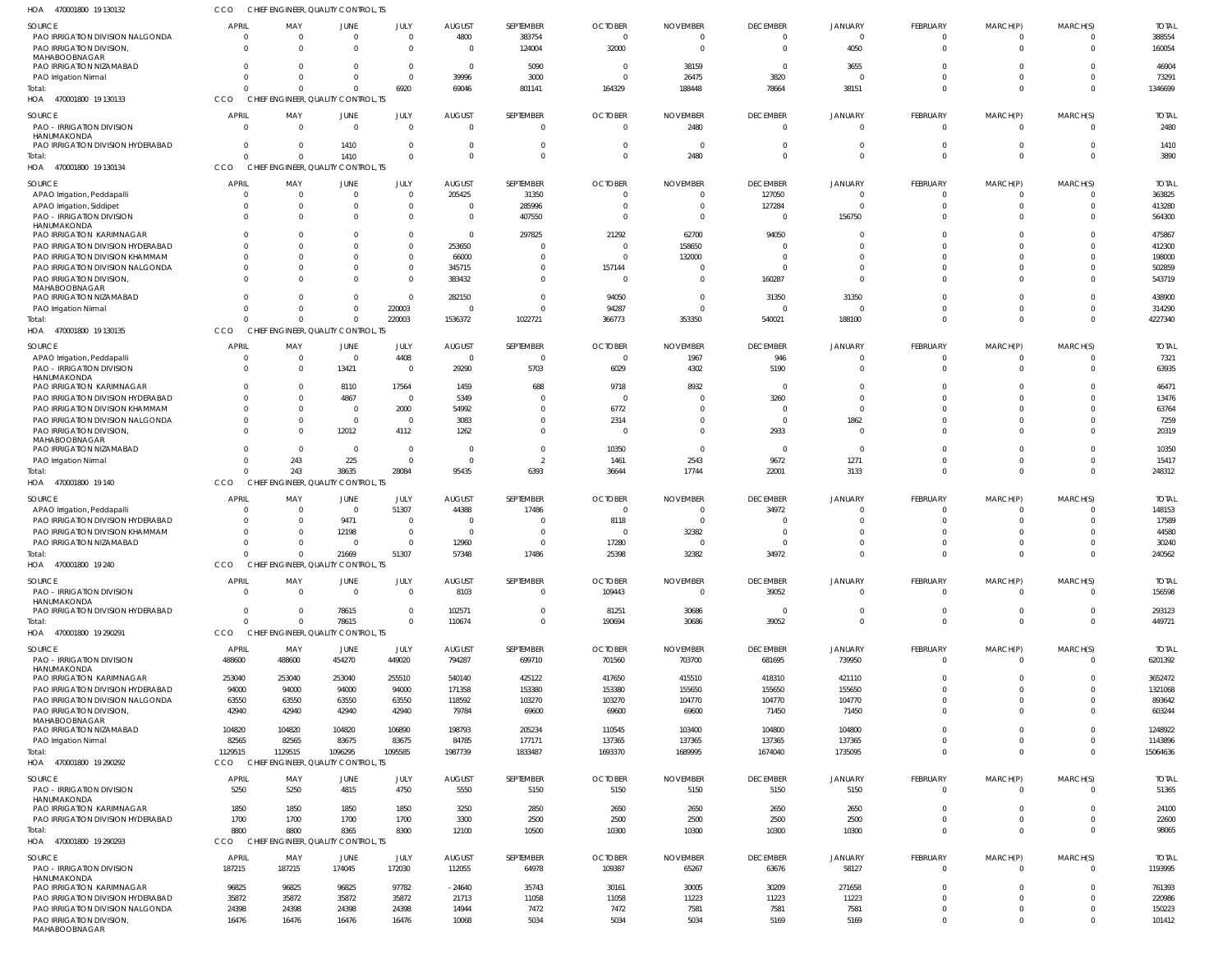470001800 19 130132 HOA 470001800 19 130133 HOA 470001800 19 130134 470001800 19 130135 HOA 470001800 19 140 HOA 470001800 19 240 HOA 470001800 19 290291 HOA 470001800 19 290292 HOA 470001800 19 290293 HOA HOA CHIEF ENGINEER, QUALITY CONTROL, TS CHIEF ENGINEER, QUALITY CONTROL, TS CHIEF ENGINEER, QUALITY CONTROL, TS CHIEF ENGINEER, OUALITY CONTROL, TS CHIEF ENGINEER, QUALITY CONTROL, TS CHIEF ENGINEER, QUALITY CONTROL, TS CHIEF ENGINEER, QUALITY CONTROL, TS CHIEF ENGINEER, QUALITY CONTROL, TS CCO CHIEF ENGINEER, QUALITY CONTROL, TS CCO **CCO CCO** CCO. **CCO** CCO CCO CCO  $\Omega$  $\Omega$   $\Omega$   $\Omega$  $\Omega$   $\Omega$   $\Omega$   $\Omega$   $\Omega$   $\Omega$   $\Omega$   $\mathbf 0$   $\Omega$   $\theta$  $\Omega$  $\Omega$   $\Omega$  $\Omega$  PAO IRRIGATION DIVISION NALGONDA PAO IRRIGATION DIVISION, MAHABOOBNAGAR PAO IRRIGATION NIZAMABAD PAO Irrigation Nirmal PAO - IRRIGATION DIVISION HANUMAKONDA PAO IRRIGATION DIVISION HYDERABAD APAO Irrigation, Peddapalli APAO Irrigation, Siddipet PAO - IRRIGATION DIVISION HANUMAKONDA PAO IRRIGATION KARIMNAGAR PAO IRRIGATION DIVISION HYDERABAD PAO IRRIGATION DIVISION KHAMMAM PAO IRRIGATION DIVISION NALGONDA PAO IRRIGATION DIVISION, MAHABOOBNAGAR PAO IRRIGATION NIZAMABAD PAO Irrigation Nirmal APAO Irrigation, Peddapalli PAO - IRRIGATION DIVISION HANUMAKONDA PAO IRRIGATION KARIMNAGAR PAO IRRIGATION DIVISION HYDERABAD PAO IRRIGATION DIVISION KHAMMAM PAO IRRIGATION DIVISION NALGONDA PAO IRRIGATION DIVISION, MAHABOOBNAGAR PAO IRRIGATION NIZAMABAD PAO Irrigation Nirmal APAO Irrigation, Peddapalli PAO IRRIGATION DIVISION HYDERABAD PAO IRRIGATION DIVISION KHAMMAM PAO IRRIGATION NIZAMABAD PAO - IRRIGATION DIVISION HANUMAKONDA PAO IRRIGATION DIVISION HYDERABAD PAO - IRRIGATION DIVISION HANUMAKONDA PAO IRRIGATION KARIMNAGAR PAO IRRIGATION DIVISION HYDERABAD PAO IRRIGATION DIVISION NALGONDA PAO IRRIGATION DIVISION, MAHABOOBNAGAR PAO IRRIGATION NIZAMABAD PAO Irrigation Nirmal PAO - IRRIGATION DIVISION HANUMAKONDA PAO IRRIGATION KARIMNAGAR PAO IRRIGATION DIVISION HYDERABAD PAO - IRRIGATION DIVISION HANUMAKONDA PAO IRRIGATION KARIMNAGAR PAO IRRIGATION DIVISION HYDERABAD PAO IRRIGATION DIVISION NALGONDA PAO IRRIGATION DIVISION, MAHABOOBNAGAR SOURCE SOURCE SOURCE SOURCE SOURCE SOURCE SOURCE SOURCE SOURCE  $\Omega$   $\Omega$   $\mathbf 0$   $\Omega$   $\Omega$  $\Omega$   $\Omega$   $\Omega$  $\Omega$   $\mathbf 0$   $\Omega$  APRIL APRIL APRIL **APRIL** APRIL APRIL **APRIL** APRIL APRIL  $\Omega$  MAY MAY MAY MAY MAY MAY MAY MAY MAY  $\Omega$   $\Omega$   $\Omega$   $\mathbf 0$  $\Omega$  $\mathbf 0$  $\Omega$   $\Omega$   $\Omega$  $\mathbf 0$  JUNE JUNE JUNE JUNE JUNE JUNE JUNE **JUNE** JUNE  $\Omega$   $\Omega$   $\Omega$   $\Omega$   $\Omega$   $\Omega$  JULY JULY JULY JULY JULY JULY JULY JULY JULY  $\Omega$  $\Omega$  -24640 AUGUST AUGUST AUGUST AUGUST AUGUST AUGUST AUGUST **AUGUST** AUGUST SEPTEMBER SEPTEMBER SEPTEMBER SEPTEMBER SEPTEMBER SEPTEMBER SEPTEMBER **SEPTEMBER** SEPTEMBER  $\Omega$   $\Omega$   $\Omega$   $\Omega$  OCTOBER OCTOBER OCTOBER **OCTOBER** OCTOBER OCTOBER **OCTOBER** OCTOBER **OCTOBER**  $\Omega$   $\Omega$   $\Omega$   $\Omega$   $\Omega$  NOVEMBER NOVEMBER NOVEMBER NOVEMBER NOVEMBER NOVEMBER NOVEMBER NOVEMBER NOVEMBER  $\Omega$   $\Omega$   $\Omega$   $\Omega$   $\Omega$   $\Omega$   $\cap$  DECEMBER DECEMBER DECEMBER **DECEMBER** DECEMBER DECEMBER **DECEMBER DECEMBER** DECEMBER  $\Omega$   $\Omega$   $\mathbf 0$   $\Omega$  $\theta$   $\sqrt{2}$   $\Omega$   $\mathbf 0$   $\Omega$  JANUARY JANUARY JANUARY JANUARY JANUARY JANUARY JANUARY JANUARY JANUARY  $\Omega$   $\Omega$   $\Omega$   $\Omega$   $\Omega$   $\Omega$   $\Omega$  $\Omega$   $\sqrt{2}$   $\Omega$   $\Omega$   $\Omega$  $\Omega$  FEBRUARY FEBRUARY FEBRUARY FEBRUARY FEBRUARY FEBRUARY FEBRUARY FEBRUARY FEBRUARY  $\Omega$   $\theta$   $\Omega$  $\Omega$   $\theta$   $\Omega$   $\overline{0}$  $\theta$   $\Omega$  $\Omega$  $\Omega$  $\mathfrak{g}$  $\Omega$  $\Omega$   $\Omega$  $\Omega$  MARCH(P) MARCH(P) MARCH(P) MARCH(P) MARCH(P) MARCH(P) MARCH(P) MARCH(P) MARCH(P)  $\Omega$   $\Omega$   $\Omega$   $\Omega$   $\Omega$   $\cap$   $\Omega$  $\Omega$   $\Omega$  $\theta$  $\Omega$   $\Omega$  $\theta$  $\cap$   $\Omega$   $\Omega$ MARCH(S) MARCH(S) MARCH(S) MARCH(S) MARCH(S) MARCH(S) MARCH(S) MARCH(S) MARCH(S) TOTAL TOTAL TOTAL TOTAL TOTAL TOTAL TOTAL TOTAL TOTAL Total: Total: Total: Total: Total: Total: Total: Total: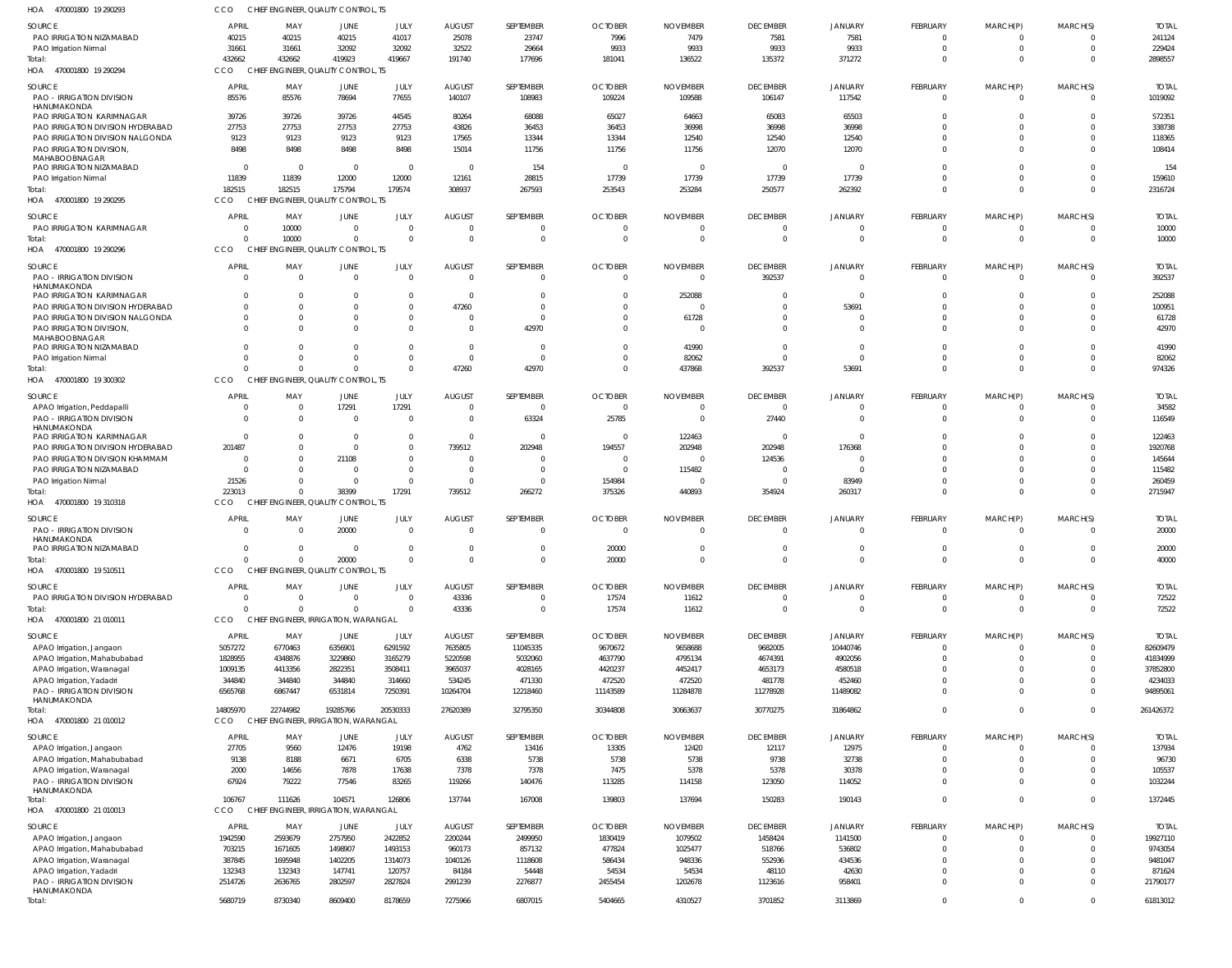| HOA<br>470001800 19 290293                                     | CCO                     | CHIEF ENGINEER, QUALITY CONTROL, TS  |                 |                      |               |                   |                |                 |                                  |                      |                   |                   |                            |                  |
|----------------------------------------------------------------|-------------------------|--------------------------------------|-----------------|----------------------|---------------|-------------------|----------------|-----------------|----------------------------------|----------------------|-------------------|-------------------|----------------------------|------------------|
| <b>SOURCE</b>                                                  | <b>APRIL</b>            | MAY                                  | JUNE            | JULY                 | <b>AUGUST</b> | SEPTEMBER         | <b>OCTOBER</b> | <b>NOVEMBER</b> | <b>DECEMBER</b>                  | JANUARY              | <b>FEBRUARY</b>   | MARCH(P)          | MARCH(S)                   | <b>TOTAL</b>     |
| PAO IRRIGATION NIZAMABAD                                       | 40215                   | 40215                                | 40215           | 41017                | 25078         | 23747             | 7996           | 7479            | 7581                             | 7581                 | 0                 | 0                 | $\Omega$                   | 241124           |
| PAO Irrigation Nirmal                                          | 31661                   | 31661                                | 32092           | 32092                | 32522         | 29664             | 9933           | 9933            | 9933                             | 9933                 | $\overline{0}$    | $\mathbf 0$       | $\overline{0}$             | 229424           |
| Total:                                                         | 432662                  | 432662                               | 419923          | 419667               | 191740        | 177696            | 181041         | 136522          | 135372                           | 371272               | $\Omega$          | $\mathbf{0}$      | $\Omega$                   | 2898557          |
| HOA 470001800 19 290294                                        | CCO                     | CHIEF ENGINEER, QUALITY CONTROL, TS  |                 |                      |               |                   |                |                 |                                  |                      |                   |                   |                            |                  |
| SOURCE                                                         | <b>APRIL</b>            | MAY                                  | JUNE            | JULY                 | <b>AUGUST</b> | SEPTEMBER         | <b>OCTOBER</b> | <b>NOVEMBER</b> | <b>DECEMBER</b>                  | JANUARY              | <b>FEBRUARY</b>   | MARCH(P)          | MARCH(S)                   | <b>TOTAL</b>     |
| <b>PAO - IRRIGATION DIVISION</b>                               | 85576                   | 85576                                | 78694           | 77655                | 140107        | 108983            | 109224         | 109588          | 106147                           | 117542               | $\mathbf{0}$      | $\overline{0}$    | $\Omega$                   | 1019092          |
| HANUMAKONDA                                                    |                         |                                      |                 |                      |               |                   |                |                 |                                  |                      |                   |                   |                            |                  |
| PAO IRRIGATION KARIMNAGAR                                      | 39726                   | 39726                                | 39726           | 44545                | 80264         | 68088             | 65027          | 64663           | 65083                            | 65503                | $\Omega$          | $\Omega$          | $\Omega$                   | 572351           |
| PAO IRRIGATION DIVISION HYDERABAD                              | 27753                   | 27753                                | 27753           | 27753                | 43826         | 36453             | 36453          | 36998           | 36998                            | 36998                | $\Omega$          | $\mathbf 0$       | $\Omega$                   | 338738           |
| PAO IRRIGATION DIVISION NALGONDA                               | 9123                    | 9123                                 | 9123            | 9123                 | 17565         | 13344             | 13344          | 12540           | 12540                            | 12540                | $\Omega$          | $\mathbf 0$       | $\Omega$                   | 118365           |
| PAO IRRIGATION DIVISION,<br>MAHABOOBNAGAR                      | 8498                    | 8498                                 | 8498            | 8498                 | 15014         | 11756             | 11756          | 11756           | 12070                            | 12070                | $\Omega$          | $\mathbf 0$       | $\Omega$                   | 108414           |
| PAO IRRIGATION NIZAMABAD                                       | $\overline{\mathbf{0}}$ | $\overline{\mathbf{0}}$              | $\Omega$        | $\overline{0}$       | - 0           | 154               | - 0            | - 0             | $\overline{0}$                   | $\Omega$             | $\Omega$          | $\Omega$          | $\Omega$                   | 154              |
| PAO Irrigation Nirmal                                          | 11839                   | 11839                                | 12000           | 12000                | 12161         | 28815             | 17739          | 17739           | 17739                            | 17739                | $\mathbf 0$       | $\mathbf 0$       | $\Omega$                   | 159610           |
| Total:                                                         | 182515                  | 182515                               | 175794          | 179574               | 308937        | 267593            | 253543         | 253284          | 250577                           | 262392               | $\mathbf 0$       | $\overline{0}$    | $\Omega$                   | 2316724          |
| HOA 470001800 19 290295                                        | CCO                     | CHIEF ENGINEER, QUALITY CONTROL, TS  |                 |                      |               |                   |                |                 |                                  |                      |                   |                   |                            |                  |
|                                                                |                         |                                      |                 |                      |               |                   |                |                 |                                  |                      |                   |                   |                            |                  |
| SOURCE                                                         | <b>APRIL</b>            | MAY                                  | JUNE            | JULY                 | <b>AUGUST</b> | SEPTEMBER         | <b>OCTOBER</b> | <b>NOVEMBER</b> | <b>DECEMBER</b>                  | JANUARY              | <b>FEBRUARY</b>   | MARCH(P)          | MARCH(S)                   | <b>TOTAL</b>     |
| PAO IRRIGATION KARIMNAGAR                                      | $\Omega$<br>$\Omega$    | 10000                                | - 0<br>$\Omega$ | $\Omega$<br>$\Omega$ | 0             | 0<br>$\mathbf{0}$ | -0             | -0              | $\overline{0}$<br>$\overline{0}$ | $\Omega$<br>$\Omega$ | 0<br>$\mathbf{0}$ | 0<br>$\mathbf{0}$ | $\Omega$<br>$\overline{0}$ | 10000            |
| Total:<br>470001800 19 290296                                  | CCO                     | 10000                                |                 |                      | $\mathbf 0$   |                   | $\mathbf 0$    | $\overline{0}$  |                                  |                      |                   |                   |                            | 10000            |
| HOA                                                            |                         | CHIEF ENGINEER, QUALITY CONTROL, TS  |                 |                      |               |                   |                |                 |                                  |                      |                   |                   |                            |                  |
| SOURCE                                                         | <b>APRIL</b>            | MAY                                  | JUNE            | JULY                 | <b>AUGUST</b> | SEPTEMBER         | <b>OCTOBER</b> | <b>NOVEMBER</b> | <b>DECEMBER</b>                  | JANUARY              | <b>FEBRUARY</b>   | MARCH(P)          | MARCH(S)                   | <b>TOTAL</b>     |
| <b>PAO - IRRIGATION DIVISION</b>                               | $\Omega$                | $\overline{0}$                       | $\Omega$        | $\overline{0}$       | - 0           | $\mathbf 0$       | $\mathbf 0$    | $\overline{0}$  | 392537                           | $\overline{0}$       | $\overline{0}$    | $\overline{0}$    | $\overline{0}$             | 392537           |
| HANUMAKONDA                                                    | $\Omega$                |                                      |                 | $\Omega$             |               |                   |                |                 | $\overline{0}$                   | $\Omega$             | $\mathbf 0$       |                   | $\Omega$                   |                  |
| PAO IRRIGATION KARIMNAGAR<br>PAO IRRIGATION DIVISION HYDERABAD | $\Omega$                | $\overline{0}$<br>$\Omega$           |                 | $\Omega$             | - 0<br>47260  | 0<br>$\Omega$     | -0<br>$\Omega$ | 252088<br>-0    | $\Omega$                         | 53691                | $\Omega$          | 0<br>$\Omega$     | $\Omega$                   | 252088<br>100951 |
| PAO IRRIGATION DIVISION NALGONDA                               | $\mathbf{0}$            | $\overline{0}$                       |                 | $\Omega$             | 0             | $\Omega$          | $\Omega$       | 61728           | $\Omega$                         | $\Omega$             | $\mathbf 0$       | $\mathbf 0$       | $\Omega$                   | 61728            |
| PAO IRRIGATION DIVISION,                                       |                         | $\Omega$                             |                 |                      | $\Omega$      | 42970             | -0             | $\Omega$        | $\Omega$                         | $\Omega$             | $\mathbf 0$       | $\mathbf 0$       | $\Omega$                   | 42970            |
| MAHABOOBNAGAR                                                  |                         |                                      |                 |                      |               |                   |                |                 |                                  |                      |                   |                   |                            |                  |
| PAO IRRIGATION NIZAMABAD                                       | $\Omega$                | $\Omega$                             |                 | $\Omega$             | 0             | $\mathbf 0$       | $\Omega$       | 41990           | $\Omega$                         | $\Omega$             | $\mathbf 0$       | $\mathbf 0$       | $\Omega$                   | 41990            |
| PAO Irrigation Nirmal                                          | $\Omega$                | $\Omega$                             |                 | $\Omega$             | $\mathbf 0$   | $\mathbf 0$       | $^{\circ}$     | 82062           | $\overline{0}$                   | $\Omega$             | $\mathbf 0$       | $\mathbf{0}$      | $\Omega$                   | 82062            |
| Total:                                                         | $\Omega$                | $\Omega$                             |                 | $\Omega$             | 47260         | 42970             | $\Omega$       | 437868          | 392537                           | 53691                | $\mathbf 0$       | $\mathbf 0$       | $\Omega$                   | 974326           |
| HOA 470001800 19 300302                                        | CCO                     | CHIEF ENGINEER, QUALITY CONTROL, TS  |                 |                      |               |                   |                |                 |                                  |                      |                   |                   |                            |                  |
| SOURCE                                                         | <b>APRIL</b>            | MAY                                  | JUNE            | JULY                 | <b>AUGUST</b> | SEPTEMBER         | <b>OCTOBER</b> | <b>NOVEMBER</b> | <b>DECEMBER</b>                  | JANUARY              | <b>FEBRUARY</b>   | MARCH(P)          | MARCH(S)                   | <b>TOTAL</b>     |
| APAO Irrigation, Peddapalli                                    | $\overline{0}$          | $\overline{0}$                       | 17291           | 17291                | 0             | $\mathbf 0$       | $\overline{0}$ | -0              | $\overline{0}$                   | $\Omega$             | 0                 | 0                 | $\Omega$                   | 34582            |
| <b>PAO - IRRIGATION DIVISION</b>                               | $\Omega$                | $\Omega$                             | $\Omega$        | $\Omega$             | $\mathbf 0$   | 63324             | 25785          | - 0             | 27440                            | $\Omega$             | $\Omega$          | $\Omega$          | $\Omega$                   | 116549           |
| HANUMAKONDA                                                    |                         |                                      |                 |                      |               |                   |                |                 |                                  |                      |                   |                   |                            |                  |
| PAO IRRIGATION KARIMNAGAR                                      | $\Omega$                | $\Omega$                             | $\Omega$        | $\Omega$             | 0             | $\Omega$          | - 0            | 122463          | $\Omega$                         | $\Omega$             | $\Omega$          | $\Omega$          | $\Omega$                   | 122463           |
| PAO IRRIGATION DIVISION HYDERABAD                              | 201487                  | $\overline{0}$                       | $\Omega$        | $\Omega$             | 739512        | 202948            | 194557         | 202948          | 202948                           | 176368               | $\Omega$          | $\Omega$          | $\Omega$                   | 1920768          |
| PAO IRRIGATION DIVISION KHAMMAM                                | $\Omega$                | $\Omega$                             | 21108           | $\Omega$             | $\Omega$      |                   | -0             | $\Omega$        | 124536                           | $\Omega$             | $\Omega$          | $\Omega$          | $\Omega$                   | 145644           |
| PAO IRRIGATION NIZAMABAD                                       | $\Omega$                | $\Omega$                             | - 0             | $\Omega$             | 0             | 0                 | $\overline{0}$ | 115482          | - 0                              | $\Omega$             | $\Omega$          | $\Omega$          | $\Omega$                   | 115482           |
| PAO Irrigation Nirmal                                          | 21526                   | $\Omega$                             | $\Omega$        | $\Omega$             | 0             | $\Omega$          | 154984         | $\Omega$        | $\Omega$                         | 83949                | $\Omega$          | $\mathbf 0$       | $\Omega$                   | 260459           |
| Total:                                                         | 223013                  | $\Omega$                             | 38399           | 17291                | 739512        | 266272            | 375326         | 440893          | 354924                           | 260317               | $\Omega$          | $\mathbf{0}$      | $\Omega$                   | 2715947          |
| HOA 470001800 19 310318                                        | CCO                     | CHIEF ENGINEER, QUALITY CONTROL, TS  |                 |                      |               |                   |                |                 |                                  |                      |                   |                   |                            |                  |
| SOURCE                                                         | <b>APRIL</b>            | MAY                                  | JUNE            | JULY                 | <b>AUGUST</b> | SEPTEMBER         | <b>OCTOBER</b> | <b>NOVEMBER</b> | <b>DECEMBER</b>                  | <b>JANUARY</b>       | FEBRUARY          | MARCH(P)          | MARCH(S)                   | <b>TOTAL</b>     |
| <b>PAO - IRRIGATION DIVISION</b>                               | $\Omega$                | $\Omega$                             | 20000           | $\overline{0}$       | 0             | $\mathbf 0$       | $\Omega$       | $\Omega$        | $\overline{0}$                   | $\Omega$             | $\overline{0}$    | $\overline{0}$    | $\Omega$                   | 20000            |
| HANUMAKONDA                                                    |                         |                                      |                 |                      |               |                   |                |                 |                                  |                      |                   |                   |                            |                  |
| PAO IRRIGATION NIZAMABAD                                       | $\Omega$                | $\overline{0}$                       | $\Omega$        | $\Omega$             | $\Omega$      | $\mathbf 0$       | 20000          | $\Omega$        | $\Omega$                         | $\Omega$             | $\overline{0}$    | $\mathbf{0}$      | $\overline{0}$             | 20000            |
| Total:                                                         |                         |                                      | 20000           | $\Omega$             |               | $\Omega$          | 20000          |                 | $\Omega$                         | $\Omega$             | $\Omega$          | $\Omega$          | $\Omega$                   | 40000            |
| HOA<br>470001800 19 510511                                     | CCO                     | CHIEF ENGINEER, QUALITY CONTROL, TS  |                 |                      |               |                   |                |                 |                                  |                      |                   |                   |                            |                  |
| SOURCE                                                         | <b>APRIL</b>            | MAY                                  | JUNE            | JULY                 | <b>AUGUST</b> | SEPTEMBER         | <b>OCTOBER</b> | <b>NOVEMBER</b> | <b>DECEMBER</b>                  | <b>JANUARY</b>       | FEBRUARY          | MARCH(P)          | MARCH(S)                   | <b>TOTAL</b>     |
| PAO IRRIGATION DIVISION HYDERABAD                              | $\overline{0}$          | $\overline{0}$                       | $\Omega$        | $\overline{0}$       | 43336         | $\mathbf 0$       | 17574          | 11612           | $\overline{0}$                   | $\overline{0}$       | $\overline{0}$    | 0                 | $\overline{0}$             | 72522            |
| Total:                                                         | $\Omega$                | $\Omega$                             | $\Omega$        | $\Omega$             | 43336         | $\mathbf 0$       | 17574          | 11612           | $\overline{0}$                   | $\Omega$             | $\mathbf{0}$      | $\mathbf{0}$      | $\overline{0}$             | 72522            |
| HOA 470001800 21 010011                                        | CCO                     | CHIEF ENGINEER, IRRIGATION, WARANGAL |                 |                      |               |                   |                |                 |                                  |                      |                   |                   |                            |                  |
| SOURCE                                                         | APRIL                   | MAY                                  | JUNE            | JULY                 | <b>AUGUST</b> | SEPTEMBER         | <b>OCTOBER</b> | <b>NOVEMBER</b> | <b>DECEMBER</b>                  | <b>JANUARY</b>       | FEBRUARY          | MARCH(P)          | MARCH(S)                   | <b>TOTAL</b>     |
| APAO Irrigation, Jangaon                                       | 5057272                 | 6770463                              | 6356901         | 6291592              | 7635805       | 11045335          | 9670672        | 9658688         | 9682005                          | 10440746             | $\mathbf 0$       | 0                 | $\Omega$                   | 82609479         |
| APAO Irrigation, Mahabubabad                                   | 1828955                 | 4348876                              | 3229860         | 3165279              | 5220598       | 5032060           | 4637790        | 4795134         | 4674391                          | 4902056              | $\mathbf 0$       | $\mathbf 0$       | $\Omega$                   | 41834999         |
| APAO Irrigation, Waranagal                                     | 1009135                 | 4413356                              | 2822351         | 3508411              | 3965037       | 4028165           | 4420237        | 4452417         | 4653173                          | 4580518              | $\Omega$          | $\mathbf 0$       | $\Omega$                   | 37852800         |
| APAO Irrigation, Yadadri                                       | 344840                  | 344840                               | 344840          | 314660               | 534245        | 471330            | 472520         | 472520          | 481778                           | 452460               | $\mathbf 0$       | $\mathbf 0$       | $\Omega$                   | 4234033          |
| PAO - IRRIGATION DIVISION                                      | 6565768                 | 6867447                              | 6531814         | 7250391              | 10264704      | 12218460          | 11143589       | 11284878        | 11278928                         | 11489082             | $\mathbf 0$       | $\mathbf 0$       | $\Omega$                   | 94895061         |
| HANUMAKONDA                                                    |                         |                                      |                 |                      |               |                   |                |                 |                                  |                      |                   |                   |                            |                  |
| Total:                                                         | 14805970                | 22744982                             | 19285766        | 20530333             | 27620389      | 32795350          | 30344808       | 30663637        | 30770275                         | 31864862             | $\mathbf 0$       | $\mathbf 0$       | $\overline{0}$             | 261426372        |
| HOA 470001800 21 010012                                        | CCO                     | CHIEF ENGINEER, IRRIGATION, WARANGAL |                 |                      |               |                   |                |                 |                                  |                      |                   |                   |                            |                  |
| SOURCE                                                         | <b>APRIL</b>            | MAY                                  | JUNE            | JULY                 | <b>AUGUST</b> | SEPTEMBER         | <b>OCTOBER</b> | <b>NOVEMBER</b> | <b>DECEMBER</b>                  | <b>JANUARY</b>       | FEBRUARY          | MARCH(P)          | MARCH(S)                   | <b>TOTAL</b>     |
| APAO Irrigation, Jangaon                                       | 27705                   | 9560                                 | 12476           | 19198                | 4762          | 13416             | 13305          | 12420           | 12117                            | 12975                | $\mathbf 0$       | 0                 | $\Omega$                   | 137934           |
| APAO Irrigation, Mahabubabad                                   | 9138                    | 8188                                 | 6671            | 6705                 | 6338          | 5738              | 5738           | 5738            | 9738                             | 32738                | $\Omega$          | $\mathbf 0$       | $\Omega$                   | 96730            |
| APAO Irrigation, Waranagal                                     | 2000                    | 14656                                | 7878            | 17638                | 7378          | 7378              | 7475           | 5378            | 5378                             | 30378                | $\mathbf 0$       | $\mathbf 0$       | $\Omega$                   | 105537           |
| <b>PAO - IRRIGATION DIVISION</b>                               | 67924                   | 79222                                | 77546           | 83265                | 119266        | 140476            | 113285         | 114158          | 123050                           | 114052               | $\Omega$          | $\Omega$          | $\Omega$                   | 1032244          |
| HANUMAKONDA                                                    |                         |                                      |                 |                      |               |                   |                |                 |                                  |                      |                   |                   |                            |                  |
| Total:                                                         | 106767                  | 111626                               | 104571          | 126806               | 137744        | 167008            | 139803         | 137694          | 150283                           | 190143               | $\mathbf 0$       | $\mathbf{0}$      | $\mathbf{0}$               | 1372445          |
| HOA 470001800 21 010013                                        | CCO                     | CHIEF ENGINEER, IRRIGATION, WARANGAL |                 |                      |               |                   |                |                 |                                  |                      |                   |                   |                            |                  |
| SOURCE                                                         | APRIL                   | MAY                                  | JUNE            | JULY                 | <b>AUGUST</b> | SEPTEMBER         | <b>OCTOBER</b> | <b>NOVEMBER</b> | <b>DECEMBER</b>                  | <b>JANUARY</b>       | FEBRUARY          | MARCH(P)          | MARCH(S)                   | <b>TOTAL</b>     |
| APAO Irrigation, Jangaon                                       | 1942590                 | 2593679                              | 2757950         | 2422852              | 2200244       | 2499950           | 1830419        | 1079502         | 1458424                          | 1141500              | $\mathbf 0$       | 0                 | $\Omega$                   | 19927110         |
| APAO Irrigation, Mahabubabad                                   | 703215                  | 1671605                              | 1498907         | 1493153              | 960173        | 857132            | 477824         | 1025477         | 518766                           | 536802               | $\mathbf 0$       | $\mathbf 0$       | $\Omega$                   | 9743054          |
| APAO Irrigation, Waranagal                                     | 387845                  | 1695948                              | 1402205         | 1314073              | 1040126       | 1118608           | 586434         | 948336          | 552936                           | 434536               | $\mathbf 0$       | $\mathbf 0$       | $\Omega$                   | 9481047          |
| APAO Irrigation, Yadadri                                       | 132343                  | 132343                               | 147741          | 120757               | 84184         | 54448             | 54534          | 54534           | 48110                            | 42630                | $\mathbf 0$       | $\mathbf 0$       | $\Omega$                   | 871624           |
| PAO - IRRIGATION DIVISION                                      | 2514726                 | 2636765                              | 2802597         | 2827824              | 2991239       | 2276877           | 2455454        | 1202678         | 1123616                          | 958401               | $\mathbf 0$       | $\mathbf 0$       | $\Omega$                   | 21790177         |
| HANUMAKONDA                                                    |                         |                                      |                 |                      |               |                   |                |                 |                                  |                      |                   |                   |                            |                  |
|                                                                |                         |                                      | 8609400         | 8178659              | 7275966       | 6807015           | 5404665        | 4310527         | 3701852                          | 3113869              | $\mathbf 0$       | $\mathbf 0$       | $\mathbf{0}$               | 61813012         |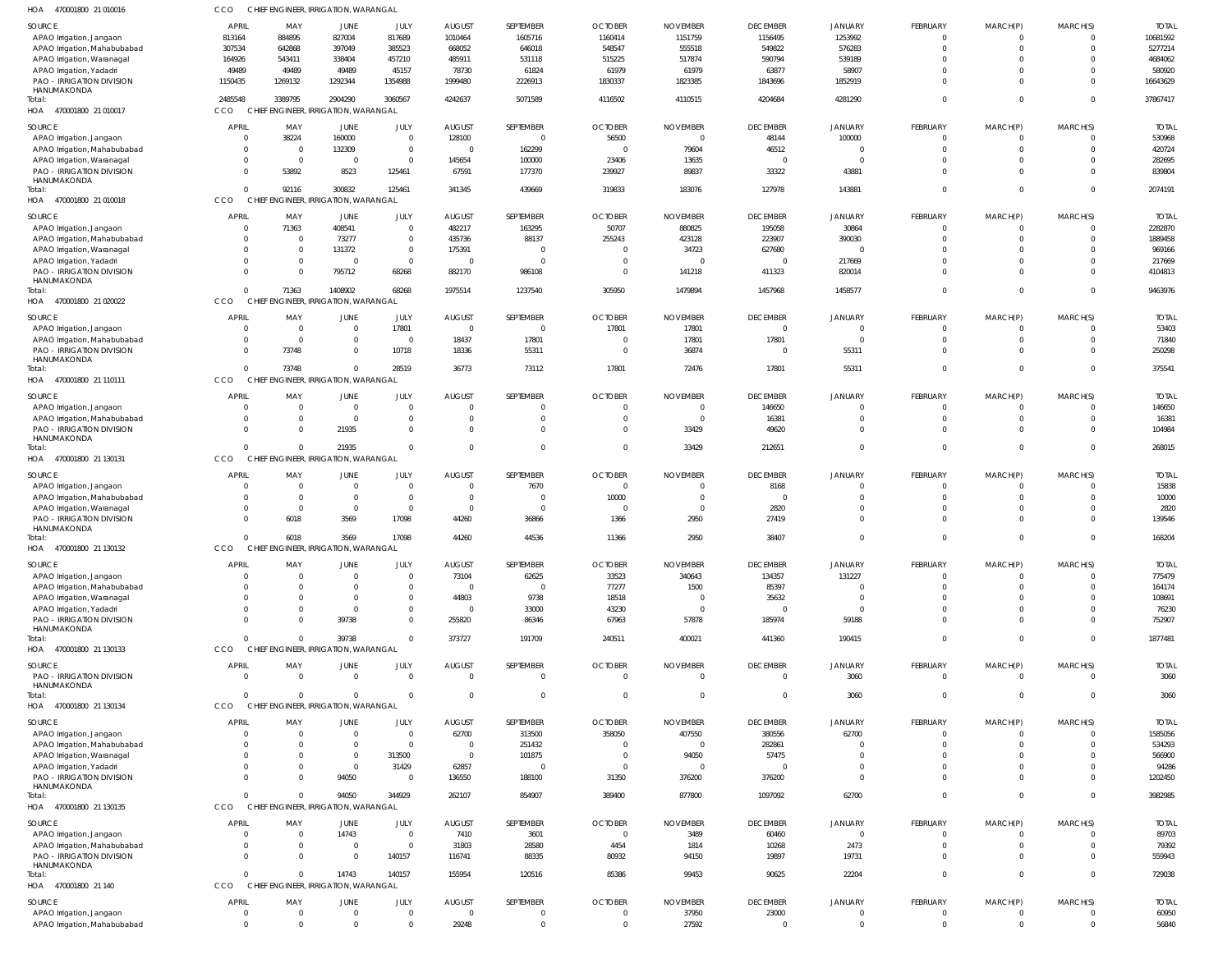| HOA 470001800 21 010016                                    | ссо                  |                      | CHIEF ENGINEER, IRRIGATION, WARANGAL |                                  |                                   |                            |                      |                 |                         |                      |                                |                              |                            |                  |
|------------------------------------------------------------|----------------------|----------------------|--------------------------------------|----------------------------------|-----------------------------------|----------------------------|----------------------|-----------------|-------------------------|----------------------|--------------------------------|------------------------------|----------------------------|------------------|
| SOURCE                                                     | APRIL                | MAY                  | JUNE                                 | JULY                             | <b>AUGUST</b>                     | SEPTEMBER                  | <b>OCTOBER</b>       | <b>NOVEMBER</b> | <b>DECEMBER</b>         | <b>JANUARY</b>       | FEBRUARY                       | MARCH(P)                     | MARCH(S)                   | <b>TOTAL</b>     |
| APAO Irrigation, Jangaon                                   | 813164               | 884895               | 827004                               | 817689                           | 1010464                           | 1605716                    | 1160414              | 1151759         | 1156495                 | 1253992              | $\overline{0}$                 | $\mathbf{0}$                 | $\overline{0}$             | 10681592         |
| APAO Irrigation, Mahabubabad                               | 307534               | 642868               | 397049                               | 385523                           | 668052                            | 646018                     | 548547               | 555518          | 549822                  | 576283               | $\overline{0}$                 | $\mathbf 0$                  | $\overline{0}$             | 5277214          |
| APAO Irrigation, Waranagal                                 | 164926               | 543411               | 338404                               | 457210                           | 485911                            | 531118                     | 515225               | 517874          | 590794                  | 539189               | $\Omega$                       | $\mathbf 0$                  | $\Omega$                   | 4684062          |
| APAO Irrigation, Yadadri                                   | 49489                | 49489                | 49489                                | 45157                            | 78730                             | 61824                      | 61979                | 61979           | 63877                   | 58907                | $\Omega$                       | $\mathbf 0$                  | $\Omega$                   | 580920           |
| <b>PAO - IRRIGATION DIVISION</b>                           | 1150435              | 1269132              | 1292344                              | 1354988                          | 1999480                           | 2226913                    | 1830337              | 1823385         | 1843696                 | 1852919              | $\Omega$                       | $\Omega$                     | $\Omega$                   | 16643629         |
| HANUMAKONDA<br>Total:                                      | 2485548              | 3389795              | 2904290                              | 3060567                          | 4242637                           | 5071589                    | 4116502              | 4110515         | 4204684                 | 4281290              | $\mathbf 0$                    | $\overline{0}$               | $\Omega$                   | 37867417         |
| HOA 470001800 21 010017                                    | CCO                  |                      | CHIEF ENGINEER, IRRIGATION, WARANGAL |                                  |                                   |                            |                      |                 |                         |                      |                                |                              |                            |                  |
|                                                            |                      |                      |                                      |                                  |                                   |                            |                      |                 |                         |                      |                                |                              |                            |                  |
| SOURCE                                                     | <b>APRIL</b>         | MAY                  | JUNE                                 | JULY                             | <b>AUGUST</b>                     | SEPTEMBER                  | <b>OCTOBER</b>       | <b>NOVEMBER</b> | <b>DECEMBER</b>         | <b>JANUARY</b>       | FEBRUARY                       | MARCH(P)                     | MARCH(S)                   | <b>TOTAL</b>     |
| APAO Irrigation, Jangaon                                   | $\overline{0}$       | 38224<br>- 0         | 160000                               | $\overline{0}$<br>$\overline{0}$ | 128100                            | $\mathbf{0}$               | 56500<br>$\Omega$    | $\Omega$        | 48144                   | 100000<br>$\Omega$   | $\mathbf{0}$<br>$\overline{0}$ | $\mathbf{0}$<br>$\mathbf{0}$ | $\overline{0}$<br>$\Omega$ | 530968           |
| APAO Irrigation, Mahabubabad<br>APAO Irrigation, Waranagal | 0<br>$\mathbf 0$     | $\Omega$             | 132309<br>$\overline{0}$             | $\overline{0}$                   | $\overline{\mathbf{0}}$<br>145654 | 162299<br>100000           | 23406                | 79604<br>13635  | 46512<br>$\overline{0}$ | $\Omega$             | $\mathbf 0$                    | $\mathbf 0$                  | $\Omega$                   | 420724<br>282695 |
| PAO - IRRIGATION DIVISION                                  | $\Omega$             | 53892                | 8523                                 | 125461                           | 67591                             | 177370                     | 239927               | 89837           | 33322                   | 43881                | $\mathbf 0$                    | $\mathbf{0}$                 | $\Omega$                   | 839804           |
| HANUMAKONDA                                                |                      |                      |                                      |                                  |                                   |                            |                      |                 |                         |                      |                                |                              |                            |                  |
| Total:                                                     | $\Omega$             | 92116                | 300832                               | 125461                           | 341345                            | 439669                     | 319833               | 183076          | 127978                  | 143881               | $\overline{0}$                 | $\overline{0}$               | $\Omega$                   | 2074191          |
| HOA 470001800 21 010018                                    | CCO                  |                      | CHIEF ENGINEER, IRRIGATION, WARANGAL |                                  |                                   |                            |                      |                 |                         |                      |                                |                              |                            |                  |
| SOURCE                                                     | <b>APRIL</b>         | MAY                  | JUNE                                 | JULY                             | <b>AUGUST</b>                     | SEPTEMBER                  | <b>OCTOBER</b>       | <b>NOVEMBER</b> | <b>DECEMBER</b>         | <b>JANUARY</b>       | FEBRUARY                       | MARCH(P)                     | MARCH(S)                   | <b>TOTAL</b>     |
| APAO Irrigation, Jangaon                                   | $\Omega$             | 71363                | 408541                               | $\mathbf 0$                      | 482217                            | 163295                     | 50707                | 880825          | 195058                  | 30864                | $\overline{0}$                 | $\mathbf{0}$                 | $^{\circ}$                 | 2282870          |
| APAO Irrigation, Mahabubabad                               | $\Omega$             | $\Omega$             | 73277                                | $\mathbf 0$                      | 435736                            | 88137                      | 255243               | 423128          | 223907                  | 390030               | $\mathbf 0$                    | $\mathbf 0$                  | $\overline{0}$             | 1889458          |
| APAO Irrigation, Waranagal                                 | $\mathbf{0}$         | $\Omega$             | 131372                               | $\mathbf 0$                      | 175391                            | $\overline{0}$             | $\Omega$             | 34723           | 627680                  | $\overline{0}$       | $\mathbf 0$                    | $\mathbf 0$                  | $\Omega$                   | 969166           |
| APAO Irrigation, Yadadri                                   | $\Omega$             | $\Omega$             | $\Omega$                             | $\mathbf 0$                      | $\Omega$                          | $\overline{0}$             | $\Omega$             | ſ               | $\overline{0}$          | 217669               | $\Omega$                       | $\mathbf 0$                  | $\Omega$                   | 217669           |
| PAO - IRRIGATION DIVISION                                  | $\Omega$             | $\Omega$             | 795712                               | 68268                            | 882170                            | 986108                     | $\Omega$             | 141218          | 411323                  | 820014               | $\mathbf 0$                    | $\mathbf 0$                  | $\overline{0}$             | 4104813          |
| HANUMAKONDA                                                |                      |                      |                                      |                                  |                                   |                            |                      |                 |                         |                      |                                |                              |                            |                  |
| Total:                                                     | $\Omega$<br>CCO      | 71363                | 1408902                              | 68268                            | 1975514                           | 1237540                    | 305950               | 1479894         | 1457968                 | 1458577              | $\mathbf 0$                    | $\overline{0}$               | $\Omega$                   | 9463976          |
| HOA 470001800 21 020022                                    |                      |                      | CHIEF ENGINEER, IRRIGATION, WARANGAL |                                  |                                   |                            |                      |                 |                         |                      |                                |                              |                            |                  |
| SOURCE                                                     | <b>APRIL</b>         | MAY                  | JUNE                                 | JULY                             | <b>AUGUST</b>                     | SEPTEMBER                  | <b>OCTOBER</b>       | <b>NOVEMBER</b> | <b>DECEMBER</b>         | JANUARY              | FEBRUARY                       | MARCH(P)                     | MARCH(S)                   | <b>TOTAL</b>     |
| APAO Irrigation, Jangaon                                   | $\overline{0}$       | $\Omega$             | $\overline{0}$                       | 17801                            | $\overline{0}$                    | $\overline{0}$             | 17801                | 17801           | $\overline{0}$          | $\overline{0}$       | $\overline{0}$                 | $\mathbf{0}$                 | $\overline{0}$             | 53403            |
| APAO Irrigation, Mahabubabad                               | $\mathbf{0}$         | $\Omega$             | $\overline{0}$                       | $\overline{0}$                   | 18437                             | 17801                      |                      | 17801           | 17801                   | $\Omega$             | $\mathbf{0}$                   | $\mathbf{0}$                 | $\overline{0}$             | 71840            |
| PAO - IRRIGATION DIVISION<br>HANUMAKONDA                   | $\Omega$             | 73748                | $\overline{0}$                       | 10718                            | 18336                             | 55311                      | $\Omega$             | 36874           | $\overline{0}$          | 55311                | $\overline{0}$                 | $\mathbf{0}$                 | $\Omega$                   | 250298           |
| Total:                                                     | $\Omega$             | 73748                | $\Omega$                             | 28519                            | 36773                             | 73112                      | 17801                | 72476           | 17801                   | 55311                | $\overline{0}$                 | $\overline{0}$               | $\Omega$                   | 375541           |
| HOA 470001800 21 110111                                    | CCO                  |                      | CHIEF ENGINEER, IRRIGATION, WARANGAL |                                  |                                   |                            |                      |                 |                         |                      |                                |                              |                            |                  |
|                                                            |                      |                      |                                      |                                  |                                   |                            |                      |                 |                         |                      |                                |                              |                            |                  |
| SOURCE                                                     | <b>APRIL</b>         | MAY                  | JUNE                                 | JULY                             | <b>AUGUST</b>                     | SEPTEMBER                  | <b>OCTOBER</b>       | <b>NOVEMBER</b> | <b>DECEMBER</b>         | <b>JANUARY</b>       | FEBRUARY                       | MARCH(P)                     | MARCH(S)                   | <b>TOTAL</b>     |
| APAO Irrigation, Jangaon                                   | $\overline{0}$       | $\Omega$             | $\overline{0}$                       | $\mathbf{0}$                     | $\Omega$                          | $\mathbf 0$                |                      | $\Omega$        | 146650                  | $\Omega$             | $\mathbf 0$                    | $^{\circ}$                   | $\Omega$                   | 146650           |
| APAO Irrigation, Mahabubabad                               | $\Omega$<br>$\Omega$ | $\Omega$<br>$\Omega$ | $\overline{0}$<br>21935              | $\mathbf{0}$<br>$\Omega$         | $\Omega$<br>$\Omega$              | $\mathbf 0$<br>$\mathbf 0$ | $\Omega$<br>$\Omega$ | $\Omega$        | 16381                   | $\Omega$<br>$\Omega$ | $\mathbf 0$<br>$\mathbf 0$     | $\mathbf 0$                  | $\overline{0}$<br>$\Omega$ | 16381            |
| <b>PAO - IRRIGATION DIVISION</b><br>HANUMAKONDA            |                      |                      |                                      |                                  |                                   |                            |                      | 33429           | 49620                   |                      |                                | $\mathbf{0}$                 |                            | 104984           |
| Total:                                                     | $\Omega$             |                      | 21935                                | $\Omega$                         | $\Omega$                          | $\mathbf 0$                | $\Omega$             | 33429           | 212651                  | $\Omega$             | $\mathbf 0$                    | $\mathbf{0}$                 | $\overline{0}$             | 268015           |
| HOA 470001800 21 130131                                    | CCO                  |                      | CHIEF ENGINEER, IRRIGATION, WARANGAL |                                  |                                   |                            |                      |                 |                         |                      |                                |                              |                            |                  |
| SOURCE                                                     | APRIL                | MAY                  | <b>JUNE</b>                          | JULY                             | <b>AUGUST</b>                     | SEPTEMBER                  | <b>OCTOBER</b>       | <b>NOVEMBER</b> | <b>DECEMBER</b>         | JANUARY              | FEBRUARY                       | MARCH(P)                     | MARCH(S)                   | <b>TOTAL</b>     |
| APAO Irrigation, Jangaon                                   | 0                    | $\Omega$             | $\overline{0}$                       | $\mathbf 0$                      | $\overline{0}$                    | 7670                       | $\Omega$             | - 0             | 8168                    | $\Omega$             | $\overline{0}$                 | $\mathbf 0$                  | $\Omega$                   | 15838            |
| APAO Irrigation, Mahabubabad                               | $\mathbf{0}$         | $\Omega$             | $\overline{0}$                       | $\mathbf{0}$                     | $\Omega$                          | $\overline{0}$             | 10000                | $\Omega$        | $\overline{0}$          | $\Omega$             | $\overline{0}$                 | $\mathbf{0}$                 | $\Omega$                   | 10000            |
| APAO Irrigation, Waranagal                                 | $\mathbf{0}$         | $\overline{0}$       | $\overline{0}$                       | $\mathbf{0}$                     | $\overline{0}$                    | $\mathbf{0}$               | $\Omega$             | $\Omega$        | 2820                    | $\Omega$             | $\mathbf{0}$                   | $\mathbf 0$                  | $\Omega$                   | 2820             |
| PAO - IRRIGATION DIVISION                                  | $\Omega$             | 6018                 | 3569                                 | 17098                            | 44260                             | 36866                      | 1366                 | 2950            | 27419                   | $\Omega$             | $\mathbf 0$                    | $\mathbf 0$                  | $\Omega$                   | 139546           |
| HANUMAKONDA                                                |                      |                      |                                      |                                  |                                   |                            |                      |                 |                         |                      |                                |                              |                            |                  |
| Total:                                                     | $\Omega$             | 6018                 | 3569                                 | 17098                            | 44260                             | 44536                      | 11366                | 2950            | 38407                   | $\Omega$             | $\mathbf 0$                    | $\mathbf 0$                  | $\Omega$                   | 168204           |
| HOA 470001800 21 130132                                    | CCO                  |                      | CHIEF ENGINEER, IRRIGATION, WARANGAL |                                  |                                   |                            |                      |                 |                         |                      |                                |                              |                            |                  |
| SOURCE                                                     | APRIL                | MAY                  | <b>JUNE</b>                          | JULY                             | <b>AUGUST</b>                     | SEPTEMBER                  | <b>OCTOBER</b>       | <b>NOVEMBER</b> | <b>DECEMBER</b>         | <b>JANUARY</b>       | FEBRUARY                       | MARCH(P)                     | MARCH(S)                   | <b>TOTAL</b>     |
| APAO Irrigation, Jangaon                                   | $\overline{0}$       | $\Omega$             | $\overline{0}$                       | $\mathbf 0$                      | 73104                             | 62625                      | 33523                | 340643          | 134357                  | 131227               | $\overline{0}$                 | $^{\circ}$                   | $\Omega$                   | 775479           |
| APAO Irrigation, Mahabubabad                               | $\Omega$             | $\Omega$             | $\Omega$                             | $\Omega$                         | $\Omega$                          | $\overline{0}$             | 77277                | 1500            | 85397                   | $\Omega$             | $\mathbf 0$                    | $\mathbf 0$                  | $\Omega$                   | 164174           |
| APAO Irrigation, Waranagal                                 | $\Omega$             |                      | $\Omega$                             | $\Omega$                         | 44803                             | 9738                       | 18518                | $\Omega$        | 35632                   | $\overline{0}$       | $\Omega$                       | $\Omega$                     | $\Omega$                   | 108691           |
| APAO Irrigation, Yadadri                                   | $\Omega$             | $\Omega$             | $\overline{0}$                       | $\mathbf 0$                      | $\overline{0}$                    | 33000                      | 43230                | $\Omega$        | $\overline{0}$          | $\Omega$             | $\mathbf 0$                    | $\mathbf 0$                  | $\Omega$                   | 76230            |
| PAO - IRRIGATION DIVISION                                  | $\Omega$             |                      | 39738                                | $\mathbf{0}$                     | 255820                            | 86346                      | 67963                | 57878           | 185974                  | 59188                | $\Omega$                       | $\Omega$                     | $\Omega$                   | 752907           |
| HANUMAKONDA                                                | $\Omega$             | $\Omega$             | 39738                                | $\mathbf 0$                      | 373727                            | 191709                     | 240511               | 400021          | 441360                  | 190415               | $\mathbf 0$                    | $\overline{0}$               | $\mathbf{0}$               | 1877481          |
| Total:<br>HOA 470001800 21 130133                          | <b>CCO</b>           |                      | CHIEF ENGINEER, IRRIGATION, WARANGAL |                                  |                                   |                            |                      |                 |                         |                      |                                |                              |                            |                  |
|                                                            |                      |                      |                                      |                                  |                                   |                            |                      |                 |                         |                      |                                |                              |                            |                  |
| SOURCE                                                     | APRIL                | MAY                  | <b>JUNE</b>                          | JULY                             | <b>AUGUST</b>                     | SEPTEMBER                  | <b>OCTOBER</b>       | <b>NOVEMBER</b> | <b>DECEMBER</b>         | JANUARY              | <b>FEBRUARY</b>                | MARCH(P)                     | MARCH(S)                   | <b>TOTAL</b>     |
| PAO - IRRIGATION DIVISION                                  | $\Omega$             | $\Omega$             | $\overline{0}$                       | $\overline{0}$                   | $\Omega$                          | $\overline{0}$             | $\Omega$             | $\Omega$        | $\overline{0}$          | 3060                 | $\overline{0}$                 | $\mathbf{0}$                 | $\Omega$                   | 3060             |
| HANUMAKONDA<br>Total:                                      | $\Omega$             | $\Omega$             | $\mathbf{0}$                         | $\mathbf 0$                      | $\Omega$                          | $\mathbf{0}$               | $\Omega$             | $\Omega$        | $\overline{0}$          | 3060                 | $\overline{0}$                 | $\mathbf{0}$                 | $\overline{0}$             | 3060             |
| HOA 470001800 21 130134                                    | CCO                  |                      | CHIEF ENGINEER, IRRIGATION, WARANGAL |                                  |                                   |                            |                      |                 |                         |                      |                                |                              |                            |                  |
|                                                            |                      |                      |                                      |                                  |                                   |                            |                      |                 |                         |                      |                                |                              |                            |                  |
| SOURCE                                                     | APRIL                | MAY                  | JUNE                                 | JULY                             | <b>AUGUST</b>                     | SEPTEMBER                  | <b>OCTOBER</b>       | <b>NOVEMBER</b> | <b>DECEMBER</b>         | <b>JANUARY</b>       | FEBRUARY                       | MARCH(P)                     | MARCH(S)                   | <b>TOTAL</b>     |
| APAO Irrigation, Jangaon                                   | $\Omega$             | $\Omega$             | $\overline{0}$                       | $\Omega$                         | 62700                             | 313500                     | 358050               | 407550          | 380556                  | 62700                | $\mathbf 0$                    | $\Omega$                     | $\Omega$                   | 1585056          |
| APAO Irrigation, Mahabubabad                               | $\Omega$             | $\Omega$             | $\Omega$                             | $\Omega$                         | $\Omega$                          | 251432                     |                      | $\Omega$        | 282861                  |                      | $\Omega$                       | $\Omega$                     | $\Omega$                   | 534293           |
| APAO Irrigation, Waranagal                                 | $\Omega$<br>$\Omega$ | $\Omega$             | $\overline{0}$<br>$\Omega$           | 313500                           | $\overline{0}$                    | 101875<br>$\Omega$         | $\Omega$<br>$\Omega$ | 94050<br>ſ      | 57475<br>$\Omega$       | $\Omega$<br>$\Omega$ | $\Omega$<br>$\Omega$           | $\Omega$<br>$\Omega$         | $\Omega$<br>$\Omega$       | 566900           |
| APAO Irrigation, Yadadri<br>PAO - IRRIGATION DIVISION      | $\Omega$             |                      | 94050                                | 31429<br>$\Omega$                | 62857<br>136550                   | 188100                     |                      | 376200          |                         | $\Omega$             | $\Omega$                       | $\Omega$                     | $\Omega$                   | 94286<br>1202450 |
| HANUMAKONDA                                                |                      |                      |                                      |                                  |                                   |                            | 31350                |                 | 376200                  |                      |                                |                              |                            |                  |
| Total:                                                     | $\Omega$             |                      | 94050                                | 344929                           | 262107                            | 854907                     | 389400               | 877800          | 1097092                 | 62700                | $\overline{0}$                 | $\mathbf{0}$                 | $\mathbf{0}$               | 3982985          |
| HOA 470001800 21 130135                                    | CCO                  |                      | CHIEF ENGINEER, IRRIGATION, WARANGAL |                                  |                                   |                            |                      |                 |                         |                      |                                |                              |                            |                  |
| SOURCE                                                     | <b>APRIL</b>         | MAY                  | JUNE                                 | JULY                             | <b>AUGUST</b>                     | SEPTEMBER                  | <b>OCTOBER</b>       | <b>NOVEMBER</b> | <b>DECEMBER</b>         | <b>JANUARY</b>       | FEBRUARY                       | MARCH(P)                     | MARCH(S)                   | <b>TOTAL</b>     |
| APAO Irrigation, Jangaon                                   | $\Omega$             | $\Omega$             | 14743                                | $\overline{0}$                   | 7410                              | 3601                       | $\Omega$             | 3489            | 60460                   | $\mathbf 0$          | $\overline{0}$                 | $\mathbf{0}$                 | $\Omega$                   | 89703            |
| APAO Irrigation, Mahabubabad                               | $\Omega$             | $\Omega$             | $\overline{0}$                       | $\overline{0}$                   | 31803                             | 28580                      | 4454                 | 1814            | 10268                   | 2473                 | $\mathbf 0$                    | $\mathbf 0$                  | $\overline{0}$             | 79392            |
| <b>PAO - IRRIGATION DIVISION</b>                           | $\Omega$             | $\Omega$             | $\Omega$                             | 140157                           | 116741                            | 88335                      | 80932                | 94150           | 19897                   | 19731                | $\overline{0}$                 | $\mathbf 0$                  | $\Omega$                   | 559943           |
| HANUMAKONDA                                                |                      |                      |                                      |                                  |                                   |                            |                      |                 |                         |                      |                                |                              |                            |                  |
| Total:                                                     | $\Omega$             | $\Omega$             | 14743                                | 140157                           | 155954                            | 120516                     | 85386                | 99453           | 90625                   | 22204                | $\overline{0}$                 | $\overline{0}$               | $\Omega$                   | 729038           |
| HOA 470001800 21 140                                       | CCO                  |                      | CHIEF ENGINEER, IRRIGATION, WARANGAL |                                  |                                   |                            |                      |                 |                         |                      |                                |                              |                            |                  |
| SOURCE                                                     | <b>APRIL</b>         | MAY                  | JUNE                                 | JULY                             | <b>AUGUST</b>                     | SEPTEMBER                  | <b>OCTOBER</b>       | <b>NOVEMBER</b> | <b>DECEMBER</b>         | <b>JANUARY</b>       | FEBRUARY                       | MARCH(P)                     | MARCH(S)                   | <b>TOTAL</b>     |
| APAO Irrigation, Jangaon                                   | $\overline{0}$       | $\Omega$             | $\overline{0}$                       | $\mathbf{0}$                     | $\Omega$                          | $\mathbf{0}$               |                      | 37950           | 23000                   | $\mathbf 0$          | $\mathbf 0$                    | 0                            | $\overline{0}$             | 60950            |
| APAO Irrigation, Mahabubabad                               | $\Omega$             | $\Omega$             | $\Omega$                             | $\mathbf 0$                      | 29248                             | $\mathbf 0$                | $\Omega$             | 27592           | $\overline{0}$          | $\Omega$             | $\mathbf 0$                    | $\Omega$                     | $\mathbf 0$                | 56840            |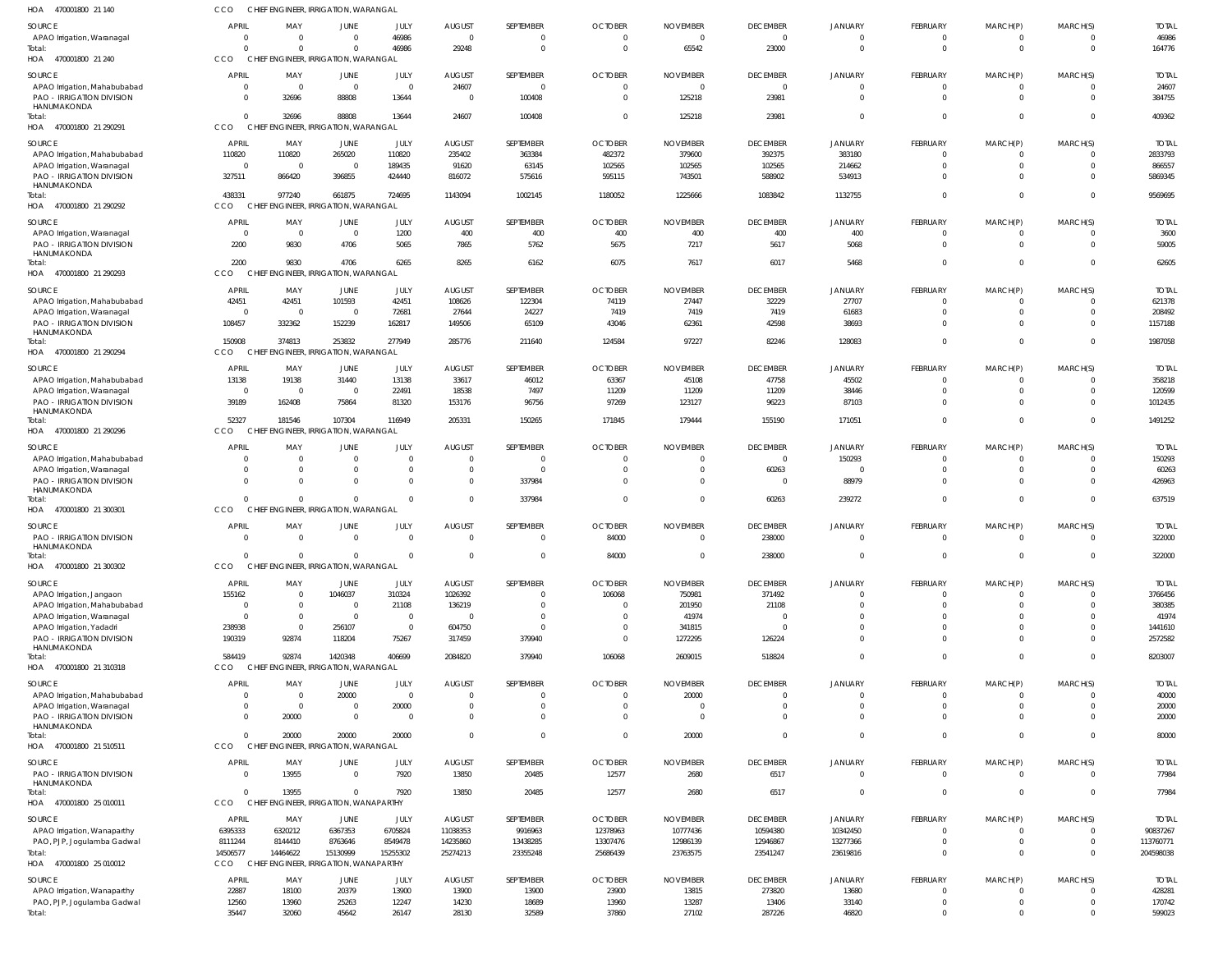| HOA 470001800 21 140                                           | CCO                                        |                                            | CHIEF ENGINEER, IRRIGATION, WARANGAL            |                         |                                          |                                          |                                 |                                            |                                            |                                             |                                          |                                         |                                           |                                 |
|----------------------------------------------------------------|--------------------------------------------|--------------------------------------------|-------------------------------------------------|-------------------------|------------------------------------------|------------------------------------------|---------------------------------|--------------------------------------------|--------------------------------------------|---------------------------------------------|------------------------------------------|-----------------------------------------|-------------------------------------------|---------------------------------|
| SOURCE<br>APAO Irrigation, Waranagal<br>Total:                 | <b>APRIL</b><br>$\overline{0}$<br>$\Omega$ | MAY<br>$\overline{\mathbf{0}}$<br>$\Omega$ | JUNE<br>$\overline{0}$<br>$\Omega$              | JULY<br>46986<br>46986  | <b>AUGUST</b><br>$\overline{0}$<br>29248 | SEPTEMBER<br>$\mathbf{0}$<br>$\mathbf 0$ | <b>OCTOBER</b><br>0<br>$\Omega$ | <b>NOVEMBER</b><br>$\overline{0}$<br>65542 | <b>DECEMBER</b><br>$\overline{0}$<br>23000 | JANUARY<br>$\overline{0}$<br>$\overline{0}$ | FEBRUARY<br>$\mathbf{0}$<br>$\mathbf{0}$ | MARCH(P)<br>$\mathbf 0$<br>$\mathbf{0}$ | MARCH(S)<br>$\mathbf 0$<br>$\overline{0}$ | <b>TOTAL</b><br>46986<br>164776 |
| HOA 470001800 21 240                                           | CCO                                        |                                            | CHIEF ENGINEER, IRRIGATION, WARANGAL            |                         |                                          |                                          |                                 |                                            |                                            |                                             |                                          |                                         |                                           |                                 |
| SOURCE                                                         | <b>APRIL</b>                               | MAY                                        | JUNE                                            | JULY                    | <b>AUGUST</b>                            | <b>SEPTEMBER</b>                         | <b>OCTOBER</b>                  | <b>NOVEMBER</b>                            | <b>DECEMBER</b>                            | JANUARY                                     | FEBRUARY                                 | MARCH(P)                                | MARCH(S)                                  | <b>TOTAL</b>                    |
| APAO Irrigation, Mahabubabad<br>PAO - IRRIGATION DIVISION      | $\overline{0}$<br>$\overline{0}$           | $\overline{\mathbf{0}}$<br>32696           | $\overline{0}$<br>88808                         | $\Omega$<br>13644       | 24607<br>$\overline{0}$                  | $\mathbf{0}$<br>100408                   | $\mathbf 0$<br>$\Omega$         | $\overline{0}$<br>125218                   | $\overline{0}$<br>23981                    | $\mathbf 0$<br>$\Omega$                     | $\mathbf 0$<br>$\Omega$                  | $\mathbf{0}$<br>$\Omega$                | $\Omega$<br>$\Omega$                      | 24607<br>384755                 |
| HANUMAKONDA<br>Total:                                          | $\Omega$                                   | 32696                                      | 88808                                           | 13644                   | 24607                                    | 100408                                   | $\Omega$                        | 125218                                     | 23981                                      | $\Omega$                                    | $\Omega$                                 | $\overline{0}$                          | $\Omega$                                  | 409362                          |
| HOA 470001800 21 290291                                        | CCO                                        |                                            | CHIEF ENGINEER, IRRIGATION, WARANGAL            |                         |                                          |                                          |                                 |                                            |                                            |                                             |                                          |                                         |                                           |                                 |
| SOURCE<br>APAO Irrigation, Mahabubabad                         | <b>APRIL</b><br>110820                     | MAY<br>110820                              | JUNE<br>265020                                  | JULY<br>110820          | <b>AUGUST</b><br>235402                  | SEPTEMBER<br>363384                      | <b>OCTOBER</b><br>482372        | <b>NOVEMBER</b><br>379600                  | <b>DECEMBER</b><br>392375                  | JANUARY<br>383180                           | FEBRUARY<br>$\mathbf{0}$                 | MARCH(P)<br>$\mathbf 0$                 | MARCH(S)<br>$\overline{0}$                | <b>TOTAI</b><br>2833793         |
| APAO Irrigation, Waranagal<br><b>PAO - IRRIGATION DIVISION</b> | $\overline{0}$<br>327511                   | $\overline{\mathbf{0}}$<br>866420          | $\overline{0}$<br>396855                        | 189435<br>424440        | 91620<br>816072                          | 63145<br>575616                          | 102565<br>595115                | 102565<br>743501                           | 102565<br>588902                           | 214662<br>534913                            | $\mathbf 0$<br>$\mathbf 0$               | $\mathbf{0}$<br>$\mathbf{0}$            | $\Omega$<br>$\Omega$                      | 866557<br>5869345               |
| HANUMAKONDA<br>Total:<br>HOA 470001800 21 290292               | 438331<br>CCO                              | 977240                                     | 661875<br>CHIEF ENGINEER, IRRIGATION, WARANGAL  | 724695                  | 1143094                                  | 1002145                                  | 1180052                         | 1225666                                    | 1083842                                    | 1132755                                     | $\mathbf 0$                              | $\mathbf 0$                             | $\overline{0}$                            | 9569695                         |
|                                                                |                                            |                                            |                                                 |                         |                                          |                                          |                                 |                                            |                                            |                                             |                                          |                                         |                                           |                                 |
| SOURCE<br>APAO Irrigation, Waranagal                           | <b>APRIL</b><br>$\overline{0}$             | MAY<br>$\overline{\mathbf{0}}$             | JUNE<br>$\overline{0}$                          | JULY<br>1200            | <b>AUGUST</b><br>400                     | <b>SEPTEMBER</b><br>400                  | <b>OCTOBER</b><br>400           | <b>NOVEMBER</b><br>400                     | <b>DECEMBER</b><br>400                     | JANUARY<br>400                              | FEBRUARY<br>$\mathbf{0}$                 | MARCH(P)<br>$\overline{0}$              | MARCH(S)<br>$\Omega$                      | <b>TOTAL</b><br>3600            |
| <b>PAO - IRRIGATION DIVISION</b>                               | 2200                                       | 9830                                       | 4706                                            | 5065                    | 7865                                     | 5762                                     | 5675                            | 7217                                       | 5617                                       | 5068                                        | $\Omega$                                 | $\Omega$                                | $\Omega$                                  | 59005                           |
| HANUMAKONDA                                                    |                                            |                                            |                                                 |                         |                                          |                                          |                                 |                                            |                                            |                                             |                                          |                                         |                                           |                                 |
| Total:<br>HOA 470001800 21 290293                              | 2200<br>CCO                                | 9830                                       | 4706<br>CHIEF ENGINEER, IRRIGATION, WARANGAL    | 6265                    | 8265                                     | 6162                                     | 6075                            | 7617                                       | 6017                                       | 5468                                        | $\Omega$                                 | $\overline{0}$                          | $\Omega$                                  | 62605                           |
| SOURCE                                                         | <b>APRIL</b>                               | MAY                                        | JUNE                                            | JULY                    | <b>AUGUST</b>                            | SEPTEMBER                                | <b>OCTOBER</b>                  | <b>NOVEMBER</b>                            | <b>DECEMBER</b>                            | JANUARY                                     | <b>FEBRUARY</b>                          | MARCH(P)                                | MARCH(S)                                  | <b>TOTAL</b>                    |
| APAO Irrigation, Mahabubabad                                   | 42451                                      | 42451                                      | 101593                                          | 42451                   | 108626                                   | 122304                                   | 74119                           | 27447                                      | 32229                                      | 27707                                       | $\mathbf{0}$                             | $\mathbf 0$                             | $\overline{0}$                            | 621378                          |
| APAO Irrigation, Waranagal                                     | $\overline{0}$                             | $\overline{\mathbf{0}}$                    | $\overline{0}$                                  | 72681                   | 27644                                    | 24227                                    | 7419                            | 7419                                       | 7419                                       | 61683                                       | $\mathbf 0$                              | $\mathbf 0$                             | $\Omega$                                  | 208492                          |
| <b>PAO - IRRIGATION DIVISION</b><br>HANUMAKONDA                | 108457                                     | 332362                                     | 152239                                          | 162817                  | 149506                                   | 65109                                    | 43046                           | 62361                                      | 42598                                      | 38693                                       | $\mathbf 0$                              | $\overline{0}$                          | $\Omega$                                  | 1157188                         |
| Total:<br>HOA 470001800 21 290294                              | 150908<br>CCO                              | 374813                                     | 253832<br>CHIEF ENGINEER, IRRIGATION, WARANGAL  | 277949                  | 285776                                   | 211640                                   | 124584                          | 97227                                      | 82246                                      | 128083                                      | $\mathbf 0$                              | $\mathbf 0$                             | $\overline{0}$                            | 1987058                         |
|                                                                |                                            |                                            |                                                 |                         |                                          |                                          |                                 |                                            |                                            |                                             |                                          |                                         |                                           |                                 |
| SOURCE<br>APAO Irrigation, Mahabubabad                         | <b>APRIL</b><br>13138                      | MAY<br>19138                               | JUNE<br>31440                                   | JULY<br>13138           | <b>AUGUST</b><br>33617                   | SEPTEMBER<br>46012                       | <b>OCTOBER</b><br>63367         | <b>NOVEMBER</b><br>45108                   | <b>DECEMBER</b><br>47758                   | <b>JANUARY</b><br>45502                     | FEBRUARY<br>$\Omega$                     | MARCH(P)<br>0                           | MARCH(S)<br>$\Omega$                      | <b>TOTAL</b><br>358218          |
| APAO Irrigation, Waranagal                                     | $\overline{0}$                             | $\overline{\mathbf{0}}$                    | $\overline{0}$                                  | 22491                   | 18538                                    | 7497                                     | 11209                           | 11209                                      | 11209                                      | 38446                                       | $\mathbf 0$                              | $\mathbf{0}$                            | $\Omega$                                  | 120599                          |
| PAO - IRRIGATION DIVISION                                      | 39189                                      | 162408                                     | 75864                                           | 81320                   | 153176                                   | 96756                                    | 97269                           | 123127                                     | 96223                                      | 87103                                       | $\Omega$                                 | $\Omega$                                | $\Omega$                                  | 1012435                         |
| HANUMAKONDA<br>Total:                                          | 52327                                      | 181546                                     | 107304                                          | 116949                  | 205331                                   | 150265                                   | 171845                          | 179444                                     | 155190                                     | 171051                                      | $\Omega$                                 | $\Omega$                                | $\Omega$                                  | 1491252                         |
| HOA 470001800 21 290296                                        | CCO                                        |                                            | CHIEF ENGINEER, IRRIGATION, WARANGAL            |                         |                                          |                                          |                                 |                                            |                                            |                                             |                                          |                                         |                                           |                                 |
| SOURCE                                                         | <b>APRIL</b>                               | MAY                                        | JUNE                                            | JULY                    | <b>AUGUST</b>                            | <b>SEPTEMBER</b>                         | <b>OCTOBER</b>                  | <b>NOVEMBER</b>                            | <b>DECEMBER</b>                            | JANUARY                                     | FEBRUARY                                 | MARCH(P)                                | MARCH(S)                                  | <b>TOTAL</b>                    |
| APAO Irrigation, Mahabubabad                                   | $\Omega$                                   | $\overline{0}$                             | $\Omega$                                        | $\Omega$                | $\overline{0}$                           | $\mathbf{0}$                             | 0                               | $\Omega$                                   | $\overline{0}$                             | 150293                                      | $\mathbf{0}$                             | $\mathbf{0}$                            | $\Omega$                                  | 150293                          |
| APAO Irrigation, Waranagal                                     | $\overline{0}$                             | $\overline{\mathbf{0}}$                    | $\overline{0}$                                  | $\Omega$                | $\overline{0}$                           | $\mathbf{0}$                             | 0                               | 0                                          | 60263                                      | $\overline{0}$                              | $\mathbf 0$                              | $\mathbf 0$                             | $\overline{0}$                            | 60263                           |
| <b>PAO - IRRIGATION DIVISION</b>                               | $\Omega$                                   | $\Omega$                                   | $\Omega$                                        | $\Omega$                | $\overline{0}$                           | 337984                                   | $\Omega$                        | $\Omega$                                   | $\overline{\mathbf{0}}$                    | 88979                                       | $\mathbf 0$                              | $\mathbf{0}$                            | $\Omega$                                  | 426963                          |
| HANUMAKONDA<br>Total:                                          | $\Omega$                                   | $\Omega$                                   | $\Omega$                                        | $\Omega$                | $\Omega$                                 | 337984                                   |                                 | $\Omega$                                   | 60263                                      | 239272                                      | $\mathbf 0$                              | $\mathbf{0}$                            | $\Omega$                                  | 637519                          |
| HOA 470001800 21 300301                                        | CCO                                        |                                            | CHIEF ENGINEER, IRRIGATION, WARANGAL            |                         |                                          |                                          |                                 |                                            |                                            |                                             |                                          |                                         |                                           |                                 |
| SOURCE                                                         | <b>APRIL</b>                               | MAY                                        | JUNE                                            | JULY                    | <b>AUGUST</b>                            | SEPTEMBER                                | <b>OCTOBER</b>                  | <b>NOVEMBER</b>                            | <b>DECEMBER</b>                            | JANUARY                                     | FEBRUARY                                 | MARCH(P)                                | MARCH(S)                                  | <b>TOTAL</b>                    |
| <b>PAO - IRRIGATION DIVISION</b>                               | $\Omega$                                   | - 0                                        | $\Omega$                                        | $\Omega$                | $\Omega$                                 | $\Omega$                                 | 84000                           | $\Omega$                                   | 238000                                     | $\Omega$                                    | $\Omega$                                 | $\Omega$                                | $\Omega$                                  | 322000                          |
| HANUMAKONDA<br>Total                                           | $\overline{0}$                             | $\overline{0}$                             |                                                 | $\overline{0}$          |                                          |                                          | 84000                           | $\mathbf{0}$                               | 238000                                     |                                             |                                          |                                         |                                           | 322000                          |
| HOA 470001800 21 300302                                        | CCO                                        |                                            | CHIEF ENGINEER, IRRIGATION, WARANGAL            |                         |                                          |                                          |                                 |                                            |                                            |                                             |                                          |                                         |                                           |                                 |
| SOURCE                                                         | <b>APRIL</b>                               | MAY                                        | JUNE                                            | JULY                    | <b>AUGUST</b>                            | SEPTEMBER                                | <b>OCTOBER</b>                  | <b>NOVEMBER</b>                            | <b>DECEMBER</b>                            | JANUARY                                     | FEBRUARY                                 | MARCH(P)                                | MARCH(S)                                  | <b>TOTAL</b>                    |
| APAO Irrigation, Jangaon                                       | 155162                                     | $\overline{\mathbf{0}}$                    | 1046037                                         | 310324                  | 1026392                                  | $\mathbf{0}$                             | 106068                          | 750981                                     | 371492                                     | $\mathbf{0}$                                | $\mathbf{0}$                             | 0                                       | $\Omega$                                  | 3766456                         |
| APAO Irrigation, Mahabubabad                                   | $\overline{0}$                             | $\overline{0}$                             | $\overline{0}$                                  | 21108                   | 136219                                   | $\mathbf{0}$                             | 0                               | 201950                                     | 21108                                      | $\Omega$                                    | $\mathbf 0$                              | $\mathbf 0$                             | $\Omega$                                  | 380385                          |
| APAO Irrigation, Waranagal                                     | $\overline{0}$                             | $\overline{\mathbf{0}}$                    | $\overline{0}$                                  | $\overline{0}$          | $\overline{0}$                           | $\mathbf{0}$                             | 0                               | 41974                                      | $\Omega$                                   | $\Omega$                                    | $\mathbf 0$                              | $\mathbf 0$                             | $\Omega$                                  | 41974                           |
| APAO Irrigation, Yadadri<br><b>PAO - IRRIGATION DIVISION</b>   | 238938<br>190319                           | $\overline{\mathbf{0}}$<br>92874           | 256107<br>118204                                | $\overline{0}$<br>75267 | 604750<br>317459                         | $\mathbf{0}$<br>379940                   | $\overline{0}$<br>$\Omega$      | 341815<br>1272295                          | $\Omega$                                   | $\Omega$<br>$\Omega$                        | $\Omega$<br>$\Omega$                     | $\Omega$<br>$\Omega$                    | $\Omega$<br>$\Omega$                      | 1441610<br>2572582              |
| HANUMAKONDA                                                    |                                            |                                            |                                                 |                         |                                          |                                          |                                 |                                            | 126224                                     |                                             |                                          |                                         |                                           |                                 |
| Total:<br>HOA 470001800 21 310318                              | 584419<br>CCO                              | 92874                                      | 1420348<br>CHIEF ENGINEER, IRRIGATION, WARANGAL | 406699                  | 2084820                                  | 379940                                   | 106068                          | 2609015                                    | 518824                                     | $\overline{0}$                              | $\mathbf 0$                              | $\mathbf 0$                             | $\Omega$                                  | 8203007                         |
| SOURCE                                                         | <b>APRIL</b>                               | MAY                                        | JUNE                                            | JULY                    | <b>AUGUST</b>                            | SEPTEMBER                                | <b>OCTOBER</b>                  | <b>NOVEMBER</b>                            | <b>DECEMBER</b>                            | JANUARY                                     | FEBRUARY                                 | MARCH(P)                                | MARCH(S)                                  | <b>TOTAL</b>                    |
| APAO Irrigation, Mahabubabad                                   | $\overline{0}$                             | $\overline{\mathbf{0}}$                    | 20000                                           | $\Omega$                | $\overline{0}$                           | 0                                        | $\mathbf 0$                     | 20000                                      | $\Omega$                                   | $\Omega$                                    | $\mathbf 0$                              | 0                                       | $\Omega$                                  | 40000                           |
| APAO Irrigation, Waranagal                                     | $\overline{0}$                             | $\overline{0}$                             | $\overline{0}$                                  | 20000                   | $\Omega$                                 | $\Omega$                                 | $\mathbf 0$                     | 0                                          | $\overline{0}$                             | $\Omega$                                    | $\mathbf 0$                              | $\mathbf 0$                             | $\Omega$                                  | 20000                           |
| PAO - IRRIGATION DIVISION<br>HANUMAKONDA                       | $\Omega$<br>$\Omega$                       | 20000                                      | $\Omega$                                        | $\Omega$                | $\Omega$                                 | $\Omega$<br>$\Omega$                     | $\Omega$                        | $\Omega$                                   | $\Omega$<br>$\Omega$                       | $\Omega$<br>$\Omega$                        | $\Omega$<br>$\Omega$                     | $\Omega$                                | $\Omega$<br>$\Omega$                      | 20000                           |
| Total:<br>HOA 470001800 21 510511                              | CCO                                        | 20000                                      | 20000<br>CHIEF ENGINEER, IRRIGATION, WARANGAL   | 20000                   | $\Omega$                                 |                                          | $\Omega$                        | 20000                                      |                                            |                                             |                                          | $\mathbf 0$                             |                                           | 80000                           |
| SOURCE                                                         | <b>APRIL</b>                               | MAY                                        | JUNE                                            | JULY                    | <b>AUGUST</b>                            | <b>SEPTEMBER</b>                         | <b>OCTOBER</b>                  | <b>NOVEMBER</b>                            | <b>DECEMBER</b>                            | JANUARY                                     | FEBRUARY                                 | MARCH(P)                                | MARCH(S)                                  | <b>TOTAL</b>                    |
| PAO - IRRIGATION DIVISION                                      | $\Omega$                                   | 13955                                      | $\overline{0}$                                  | 7920                    | 13850                                    | 20485                                    | 12577                           | 2680                                       | 6517                                       | $\overline{0}$                              | $\mathbf{0}$                             | $\mathbf{0}$                            | $\Omega$                                  | 77984                           |
| HANUMAKONDA<br>Total:                                          | $\Omega$                                   | 13955                                      | $\Omega$                                        | 7920                    | 13850                                    | 20485                                    | 12577                           | 2680                                       | 6517                                       | $\overline{0}$                              | $\mathbf 0$                              | $\mathbf 0$                             | $\overline{0}$                            | 77984                           |
| HOA 470001800 25 010011                                        | CCO                                        |                                            | CHIEF ENGINEER, IRRIGATION, WANAPARTHY          |                         |                                          |                                          |                                 |                                            |                                            |                                             |                                          |                                         |                                           |                                 |
| SOURCE                                                         | <b>APRIL</b>                               | MAY                                        | JUNE                                            | JULY                    | <b>AUGUST</b>                            | SEPTEMBER                                | <b>OCTOBER</b>                  | <b>NOVEMBER</b>                            | <b>DECEMBER</b>                            | JANUARY                                     | FEBRUARY                                 | MARCH(P)                                | MARCH(S)                                  | <b>TOTAL</b>                    |
| APAO Irrigation, Wanaparthy                                    | 6395333                                    | 6320212<br>8144410                         | 6367353<br>8763646                              | 6705824<br>8549478      | 11038353<br>14235860                     | 9916963                                  | 12378963<br>13307476            | 10777436<br>12986139                       | 10594380<br>12946867                       | 10342450<br>13277366                        | $\Omega$<br>$\mathbf 0$                  | $\Omega$<br>$\overline{0}$              | $\Omega$<br>$\Omega$                      | 90837267<br>113760771           |
| PAO, PJP, Jogulamba Gadwal<br>Total:                           | 8111244<br>14506577                        | 14464622                                   | 15130999                                        | 15255302                | 25274213                                 | 13438285<br>23355248                     | 25686439                        | 23763575                                   | 23541247                                   | 23619816                                    | $\mathbf{0}$                             | $\Omega$                                | $\Omega$                                  | 204598038                       |
| HOA 470001800 25 010012                                        | CCO                                        |                                            | CHIEF ENGINEER, IRRIGATION, WANAPARTHY          |                         |                                          |                                          |                                 |                                            |                                            |                                             |                                          |                                         |                                           |                                 |
| SOURCE                                                         | <b>APRIL</b>                               | MAY                                        | JUNE                                            | JULY                    | <b>AUGUST</b>                            | <b>SEPTEMBER</b>                         | <b>OCTOBER</b>                  | <b>NOVEMBER</b>                            | <b>DECEMBER</b>                            | JANUARY                                     | FEBRUARY                                 | MARCH(P)                                | MARCH(S)                                  | <b>TOTAL</b>                    |
| APAO Irrigation, Wanaparthy                                    | 22887                                      | 18100                                      | 20379                                           | 13900                   | 13900                                    | 13900                                    | 23900                           | 13815                                      | 273820                                     | 13680                                       | $\mathbf{0}$                             | $\mathbf{0}$                            | $\Omega$                                  | 428281                          |
| PAO, PJP, Jogulamba Gadwal                                     | 12560                                      | 13960                                      | 25263                                           | 12247                   | 14230                                    | 18689                                    | 13960                           | 13287                                      | 13406                                      | 33140                                       | $\mathbf 0$                              | $\mathbf 0$                             | $\overline{0}$                            | 170742                          |
| Total:                                                         | 35447                                      | 32060                                      | 45642                                           | 26147                   | 28130                                    | 32589                                    | 37860                           | 27102                                      | 287226                                     | 46820                                       | $\mathbf 0$                              | $\Omega$                                | $\Omega$                                  | 599023                          |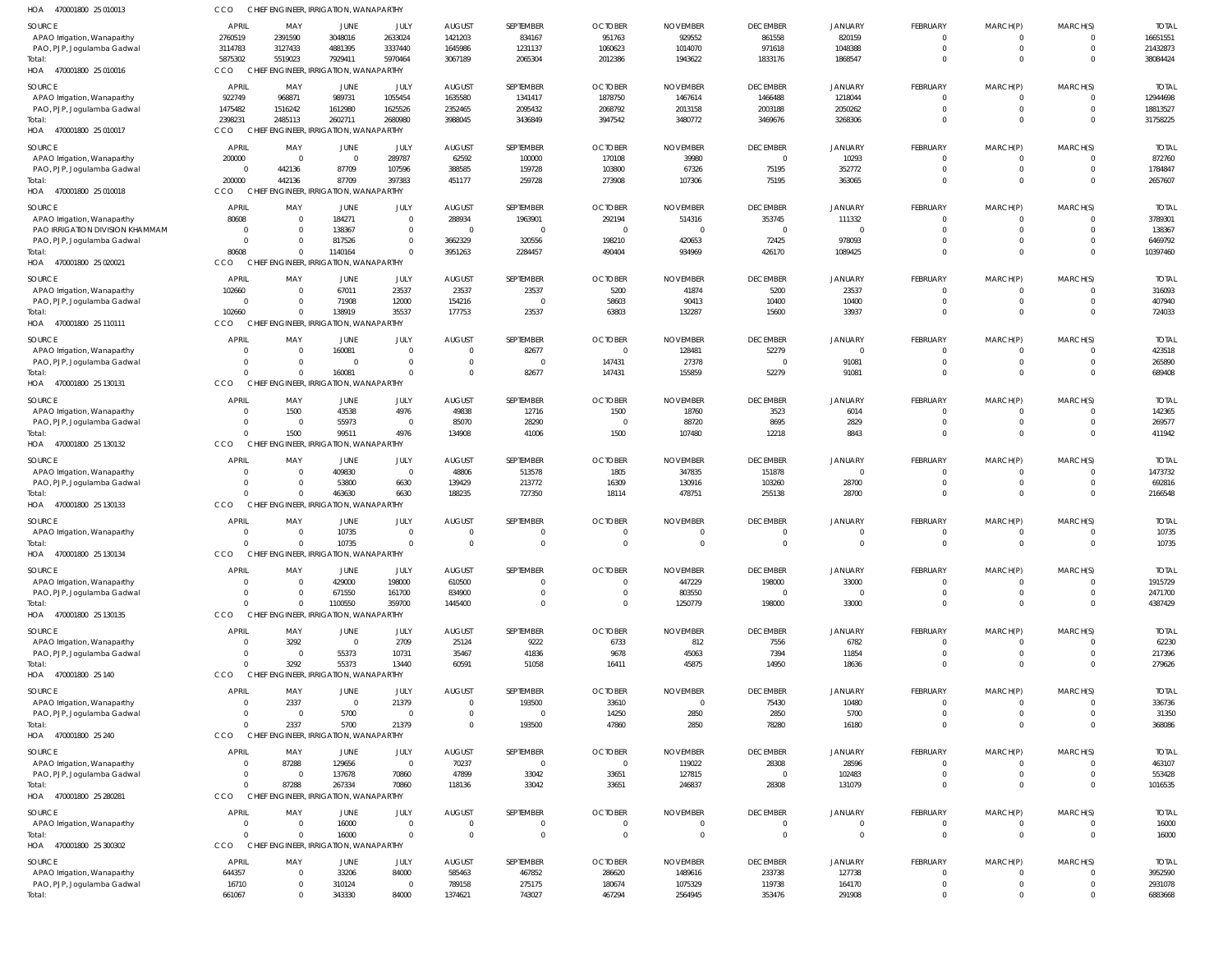| HOA<br>470001800 25 010013                                | <b>CCO</b>                     | CHIEF ENGINEER, IRRIGATION, WANAPARTHY           |                                        |                            |                           |                          |                                  |                                   |                                |                            |                                |                         |                      |                         |
|-----------------------------------------------------------|--------------------------------|--------------------------------------------------|----------------------------------------|----------------------------|---------------------------|--------------------------|----------------------------------|-----------------------------------|--------------------------------|----------------------------|--------------------------------|-------------------------|----------------------|-------------------------|
| SOURCE                                                    | APRIL                          | MAY                                              | JUNE                                   | JULY                       | <b>AUGUST</b>             | SEPTEMBER                | <b>OCTOBER</b>                   | <b>NOVEMBER</b>                   | <b>DECEMBER</b>                | JANUARY                    | <b>FEBRUARY</b>                | MARCH(P)                | MARCH(S)             | <b>TOTAI</b>            |
| APAO Irrigation, Wanaparthy                               | 2760519                        | 2391590                                          | 3048016                                | 2633024                    | 1421203                   | 834167                   | 951763                           | 929552                            | 861558                         | 820159                     | $\Omega$                       | 0                       |                      | 16651551                |
| PAO, PJP, Jogulamba Gadwal                                | 3114783                        | 3127433                                          | 4881395                                | 3337440                    | 1645986                   | 1231137                  | 1060623                          | 1014070                           | 971618                         | 1048388                    | $\Omega$                       | $\mathbf 0$             |                      | 21432873                |
| Total:                                                    | 5875302                        | 5519023                                          | 7929411                                | 5970464                    | 3067189                   | 2065304                  | 2012386                          | 1943622                           | 1833176                        | 1868547                    | $\Omega$                       | $\Omega$                | $\Omega$             | 38084424                |
| HOA 470001800 25 010016                                   | <b>CCO</b>                     | CHIEF ENGINEER, IRRIGATION, WANAPARTHY           |                                        |                            |                           |                          |                                  |                                   |                                |                            |                                |                         |                      |                         |
| SOURCE                                                    | <b>APRIL</b>                   | MAY                                              | JUNE                                   | JULY                       | <b>AUGUST</b>             | SEPTEMBER                | <b>OCTOBER</b>                   | <b>NOVEMBER</b>                   | <b>DECEMBER</b>                | <b>JANUARY</b>             | <b>FEBRUARY</b>                | MARCH(P)                | MARCH(S)             | <b>TOTAI</b>            |
| APAO Irrigation, Wanaparthy                               | 922749                         | 968871                                           | 989731                                 | 1055454                    | 1635580                   | 1341417                  | 1878750                          | 1467614                           | 1466488                        | 1218044                    | $\mathbf 0$                    | 0                       | $\Omega$             | 12944698                |
| PAO, PJP, Jogulamba Gadwal                                | 1475482                        | 1516242                                          | 1612980                                | 1625526                    | 2352465                   | 2095432                  | 2068792                          | 2013158                           | 2003188                        | 2050262                    | 0                              | $\mathbf 0$             | $\Omega$             | 18813527                |
| Total:                                                    | 2398231                        | 2485113                                          | 2602711                                | 2680980                    | 3988045                   | 3436849                  | 3947542                          | 3480772                           | 3469676                        | 3268306                    | $\mathbf 0$                    | $\mathbf 0$             | $\Omega$             | 31758225                |
| HOA 470001800 25 010017                                   | CCO                            | CHIEF ENGINEER, IRRIGATION, WANAPARTHY           |                                        |                            |                           |                          |                                  |                                   |                                |                            |                                |                         |                      |                         |
| SOURCE                                                    | <b>APRIL</b>                   | MAY                                              | JUNE                                   | JULY                       | <b>AUGUST</b>             | SEPTEMBER                | <b>OCTOBER</b>                   | <b>NOVEMBER</b>                   | <b>DECEMBER</b>                | <b>JANUARY</b>             | <b>FEBRUARY</b>                | MARCH(P)                | MARCH(S)             | <b>TOTAI</b>            |
| APAO Irrigation, Wanaparthy                               | 200000                         | 0                                                | $\Omega$                               | 289787                     | 62592                     | 100000                   | 170108                           | 39980                             | $\overline{0}$                 | 10293                      | $\Omega$                       | 0                       |                      | 872760                  |
| PAO, PJP, Jogulamba Gadwal                                | $\Omega$                       | 442136                                           | 87709                                  | 107596                     | 388585                    | 159728                   | 103800                           | 67326                             | 75195                          | 352772                     | $\Omega$                       | $\Omega$                |                      | 1784847                 |
| Total:<br>HOA 470001800 25 010018                         | 200000<br>CCO                  | 442136<br>CHIEF ENGINEER, IRRIGATION, WANAPARTHY | 87709                                  | 397383                     | 451177                    | 259728                   | 273908                           | 107306                            | 75195                          | 363065                     | $\mathbf 0$                    | $\Omega$                | $\Omega$             | 2657607                 |
|                                                           |                                |                                                  |                                        |                            |                           |                          |                                  |                                   |                                |                            |                                |                         |                      |                         |
| SOURCE                                                    | <b>APRIL</b>                   | MAY                                              | JUNE                                   | JULY                       | <b>AUGUST</b>             | SEPTEMBER                | <b>OCTOBER</b>                   | <b>NOVEMBER</b>                   | <b>DECEMBER</b>                | <b>JANUARY</b>             | <b>FEBRUARY</b>                | MARCH(P)                | MARCH(S)             | <b>TOTAI</b>            |
| APAO Irrigation, Wanaparthy                               | 80608                          | $\Omega$                                         | 184271                                 | $\overline{0}$             | 288934                    | 1963901                  | 292194                           | 514316                            | 353745                         | 111332                     | $\mathbf 0$                    |                         |                      | 3789301                 |
| PAO IRRIGATION DIVISION KHAMMAM                           | $\Omega$<br>$\Omega$           | - 0<br>- 0                                       | 138367                                 | $\Omega$<br>$\Omega$       | $\mathsf{C}$<br>3662329   | $\mathbf 0$              | $\overline{0}$<br>198210         | $\overline{0}$                    | $\Omega$                       | $\Omega$                   | 0<br>$\Omega$                  | $\mathbf 0$<br>$\Omega$ | $\Omega$<br>$\Omega$ | 138367<br>6469792       |
| PAO, PJP, Jogulamba Gadwal<br>Total:                      | 80608                          | $\Omega$                                         | 817526<br>1140164                      | $\Omega$                   | 3951263                   | 320556<br>2284457        | 490404                           | 420653<br>934969                  | 72425<br>426170                | 978093<br>1089425          | $\Omega$                       | $\mathbf 0$             | $\Omega$             | 10397460                |
| HOA 470001800 25 020021                                   | <b>CCO</b>                     | CHIEF ENGINEER, IRRIGATION, WANAPARTHY           |                                        |                            |                           |                          |                                  |                                   |                                |                            |                                |                         |                      |                         |
|                                                           |                                |                                                  |                                        |                            |                           |                          |                                  |                                   |                                |                            |                                |                         |                      |                         |
| SOURCE                                                    | <b>APRIL</b>                   | MAY                                              | JUNE                                   | JULY                       | <b>AUGUST</b>             | SEPTEMBER                | <b>OCTOBER</b>                   | <b>NOVEMBER</b>                   | <b>DECEMBER</b>                | <b>JANUARY</b>             | FEBRUARY                       | MARCH(P)                | MARCH(S)             | <b>TOTAL</b>            |
| APAO Irrigation, Wanaparthy<br>PAO, PJP, Jogulamba Gadwal | 102660<br>$\Omega$             | - 0<br>$\Omega$                                  | 67011<br>71908                         | 23537<br>12000             | 23537<br>154216           | 23537<br>$\Omega$        | 5200<br>58603                    | 41874<br>90413                    | 5200<br>10400                  | 23537<br>10400             | $\Omega$<br>0                  | $\Omega$<br>$\mathbf 0$ |                      | 316093<br>407940        |
| Total:                                                    | 102660                         | $\Omega$                                         | 138919                                 | 35537                      | 177753                    | 23537                    | 63803                            | 132287                            | 15600                          | 33937                      | $\Omega$                       | $\Omega$                | $\Omega$             | 724033                  |
| HOA 470001800 25 110111                                   | <b>CCO</b>                     | CHIEF ENGINEER, IRRIGATION, WANAPARTHY           |                                        |                            |                           |                          |                                  |                                   |                                |                            |                                |                         |                      |                         |
|                                                           |                                |                                                  |                                        |                            |                           |                          |                                  |                                   |                                |                            |                                |                         |                      |                         |
| SOURCE                                                    | <b>APRIL</b>                   | MAY<br>$\Omega$                                  | JUNE                                   | JULY                       | <b>AUGUST</b>             | SEPTEMBER                | <b>OCTOBER</b>                   | <b>NOVEMBER</b>                   | <b>DECEMBER</b>                | <b>JANUARY</b><br>$\Omega$ | <b>FEBRUARY</b>                | MARCH(P)                | MARCH(S)             | <b>TOTAL</b>            |
| APAO Irrigation, Wanaparthy<br>PAO, PJP, Jogulamba Gadwal | $\overline{0}$<br>$\Omega$     | $\Omega$                                         | 160081<br>$\Omega$                     | $\overline{0}$<br>$\Omega$ | $\Omega$<br>$\Omega$      | 82677<br>$\mathbf 0$     | $\overline{0}$<br>147431         | 128481<br>27378                   | 52279<br>$\Omega$              | 91081                      | $\mathbf 0$<br>$\mathbf 0$     | $\Omega$<br>$\mathbf 0$ | $\Omega$             | 423518<br>265890        |
| Total:                                                    | $\Omega$                       | $\Omega$                                         | 160081                                 | $\Omega$                   | $\Omega$                  | 82677                    | 147431                           | 155859                            | 52279                          | 91081                      | $\mathbf 0$                    | $\mathbf 0$             | $\Omega$             | 689408                  |
| HOA 470001800 25 130131                                   | CCO                            | CHIEF ENGINEER, IRRIGATION, WANAPARTHY           |                                        |                            |                           |                          |                                  |                                   |                                |                            |                                |                         |                      |                         |
|                                                           |                                |                                                  |                                        |                            |                           |                          |                                  |                                   |                                |                            |                                |                         |                      |                         |
| SOURCE                                                    | <b>APRIL</b>                   | MAY                                              | JUNE<br>43538                          | JULY                       | <b>AUGUST</b><br>49838    | SEPTEMBER                | <b>OCTOBER</b>                   | <b>NOVEMBER</b>                   | <b>DECEMBER</b>                | <b>JANUARY</b><br>6014     | <b>FEBRUARY</b><br>$\Omega$    | MARCH(P)                | MARCH(S)             | <b>TOTAI</b>            |
| APAO Irrigation, Wanaparthy<br>PAO, PJP, Jogulamba Gadwal | 0<br>$\Omega$                  | 1500<br>$\Omega$                                 | 55973                                  | 4976<br>$\overline{0}$     | 85070                     | 12716<br>28290           | 1500<br>$\overline{0}$           | 18760<br>88720                    | 3523<br>8695                   | 2829                       | $\mathbf 0$                    | $\mathbf 0$             |                      | 142365<br>269577        |
| Total:                                                    | $\Omega$                       | 1500                                             | 99511                                  | 4976                       | 134908                    | 41006                    | 1500                             | 107480                            | 12218                          | 8843                       | $\Omega$                       | $\Omega$                |                      | 411942                  |
| HOA<br>470001800 25 130132                                | CCO<br><b>CHIEF</b>            |                                                  | <b>IGINEER, IRRIGATION, WANAPARTHY</b> |                            |                           |                          |                                  |                                   |                                |                            |                                |                         |                      |                         |
|                                                           | <b>APRIL</b>                   |                                                  |                                        |                            |                           |                          |                                  |                                   |                                |                            |                                |                         |                      |                         |
| SOURCE                                                    | $\Omega$                       | MAY<br>- 0                                       | JUNE<br>409830                         | JULY<br>$\overline{0}$     | <b>AUGUST</b><br>48806    | SEPTEMBER<br>513578      | <b>OCTOBER</b><br>1805           | <b>NOVEMBER</b><br>347835         | <b>DECEMBER</b><br>151878      | <b>JANUARY</b><br>$\Omega$ | FEBRUARY<br>$\mathbf 0$        | MARCH(P)<br>0           | MARCH(S)<br>$\Omega$ | <b>TOTAI</b><br>1473732 |
| APAO Irrigation, Wanaparthy<br>PAO, PJP, Jogulamba Gadwal | $\Omega$                       | $\Omega$                                         | 53800                                  | 6630                       | 139429                    | 213772                   | 16309                            | 130916                            | 103260                         | 28700                      | $\mathbf 0$                    | $\mathbf 0$             | $\Omega$             | 692816                  |
| Total:                                                    | $\Omega$                       | $\Omega$                                         | 463630                                 | 6630                       | 188235                    | 727350                   | 18114                            | 478751                            | 255138                         | 28700                      | $\mathbf 0$                    | $\Omega$                | $\Omega$             | 2166548                 |
| HOA 470001800 25 130133                                   | CCO                            | CHIEF ENGINEER, IRRIGATION, WANAPARTHY           |                                        |                            |                           |                          |                                  |                                   |                                |                            |                                |                         |                      |                         |
|                                                           | <b>APRIL</b>                   |                                                  |                                        | JULY                       |                           | SEPTEMBER                | <b>OCTOBER</b>                   |                                   | <b>DECEMBER</b>                |                            | FEBRUARY                       | MARCH(P)                | MARCH(S)             | <b>TOTAI</b>            |
| SOURCE<br>APAO Irrigation, Wanaparthy                     | $\Omega$                       | MAY<br>0                                         | JUNE<br>10735                          | $\Omega$                   | <b>AUGUST</b>             | 0                        | $\Omega$                         | <b>NOVEMBER</b><br>$\Omega$       | $\Omega$                       | <b>JANUARY</b><br>$\Omega$ | $\Omega$                       | $\Omega$                |                      | 10735                   |
| Total:                                                    | $\Omega$                       | $\Omega$                                         | 10735                                  | $\Omega$                   | $\Omega$                  | $\Omega$                 | $\Omega$                         | $\Omega$                          | $\Omega$                       | $\Omega$                   | $\Omega$                       | $\Omega$                | $\Omega$             | 10735                   |
| HOA 470001800 25 130134                                   | CCO                            | CHIEF ENGINEER, IRRIGATION, WANAPARTHY           |                                        |                            |                           |                          |                                  |                                   |                                |                            |                                |                         |                      |                         |
|                                                           |                                |                                                  |                                        |                            |                           |                          |                                  |                                   |                                |                            |                                |                         |                      |                         |
| SOURCE                                                    | <b>APRIL</b><br>$\Omega$       | MAY<br>$\Omega$                                  | JUNE<br>429000                         | JULY                       | <b>AUGUST</b>             | SEPTEMBER<br>$\mathbf 0$ | <b>OCTOBER</b><br>$\overline{0}$ | <b>NOVEMBER</b>                   | <b>DECEMBER</b>                | <b>JANUARY</b>             | FEBRUARY<br>$\mathbf 0$        | MARCH(P)                | MARCH(S)             | <b>TOTAL</b>            |
| APAO Irrigation, Wanaparthy<br>PAO, PJP, Jogulamba Gadwal | $\Omega$                       | - 0                                              | 671550                                 | 198000<br>161700           | 610500<br>834900          | $\overline{0}$           | $\overline{0}$                   | 447229<br>803550                  | 198000<br>$\overline{0}$       | 33000<br>$\Omega$          | $\mathbf 0$                    | 0<br>$\mathbf 0$        | $\Omega$             | 1915729<br>2471700      |
| Total:                                                    | $\Omega$                       | $\Omega$                                         | 1100550                                | 359700                     | 1445400                   | $\Omega$                 | $\overline{0}$                   | 1250779                           | 198000                         | 33000                      | $\Omega$                       | $\Omega$                | $\Omega$             | 4387429                 |
| HOA 470001800 25 130135                                   | <b>CCO</b>                     | CHIEF ENGINEER, IRRIGATION, WANAPARTHY           |                                        |                            |                           |                          |                                  |                                   |                                |                            |                                |                         |                      |                         |
|                                                           | <b>APRIL</b>                   |                                                  |                                        |                            |                           |                          |                                  |                                   |                                |                            |                                |                         |                      |                         |
| SOURCE<br>APAO Irrigation, Wanaparthy                     | $\Omega$                       | MAY<br>3292                                      | JUNE<br>$\Omega$                       | JULY<br>2709               | <b>AUGUST</b><br>25124    | SEPTEMBER<br>9222        | <b>OCTOBER</b><br>6733           | <b>NOVEMBER</b><br>812            | <b>DECEMBER</b><br>7556        | <b>JANUARY</b><br>6782     | FEBRUARY<br>$\Omega$           | MARCH(P)<br>$\Omega$    | MARCH(S)             | <b>TOTAL</b><br>62230   |
| PAO, PJP, Jogulamba Gadwal                                | $\Omega$                       | $\Omega$                                         | 55373                                  | 10731                      | 35467                     | 41836                    | 9678                             | 45063                             | 7394                           | 11854                      | $\Omega$                       | $\mathbf 0$             |                      | 217396                  |
| Total:                                                    | $\Omega$                       | 3292                                             | 55373                                  | 13440                      | 60591                     | 51058                    | 16411                            | 45875                             | 14950                          | 18636                      | $\Omega$                       | $\Omega$                | $\Omega$             | 279626                  |
| HOA 470001800 25 140                                      | CCO                            | <b>CHIEF</b>                                     | <b>IGINEER, IRRIGATION, WANAPARTHY</b> |                            |                           |                          |                                  |                                   |                                |                            |                                |                         |                      |                         |
|                                                           | <b>APRIL</b>                   |                                                  |                                        |                            |                           |                          |                                  | <b>NOVEMBER</b>                   |                                |                            |                                |                         |                      |                         |
| SOURCE<br>APAO Irrigation, Wanaparthy                     | $\Omega$                       | MAY<br>2337                                      | JUNE<br>$\overline{0}$                 | JULY<br>21379              | <b>AUGUST</b><br>$\Omega$ | SEPTEMBER<br>193500      | <b>OCTOBER</b><br>33610          | $\overline{0}$                    | <b>DECEMBER</b><br>75430       | <b>JANUARY</b><br>10480    | <b>FEBRUARY</b><br>$\mathbf 0$ | MARCH(P)<br>0           | MARCH(S)             | <b>TOTAL</b><br>336736  |
| PAO, PJP, Jogulamba Gadwal                                | $\Omega$                       | - 0                                              | 5700                                   | $\overline{0}$             | $\Omega$                  | $\mathbf 0$              | 14250                            | 2850                              | 2850                           | 5700                       | $\Omega$                       | $\mathbf 0$             | $\Omega$             | 31350                   |
| Total:                                                    | $\Omega$                       | 2337                                             | 5700                                   | 21379                      | $\Omega$                  | 193500                   | 47860                            | 2850                              | 78280                          | 16180                      | $\Omega$                       | $\Omega$                | $\Omega$             | 368086                  |
| HOA 470001800 25 240                                      | CCO                            | CHIEF ENGINEER, IRRIGATION, WANAPARTHY           |                                        |                            |                           |                          |                                  |                                   |                                |                            |                                |                         |                      |                         |
| SOURCE                                                    | <b>APRIL</b>                   | MAY                                              | JUNE                                   | JULY                       | <b>AUGUST</b>             | SEPTEMBER                | <b>OCTOBER</b>                   | <b>NOVEMBER</b>                   | <b>DECEMBER</b>                | <b>JANUARY</b>             | <b>FEBRUARY</b>                | MARCH(P)                | MARCH(S)             | <b>TOTAL</b>            |
| APAO Irrigation, Wanaparthy                               | 0                              | 87288                                            | 129656                                 | $\Omega$                   | 70237                     | $\mathbf 0$              | $\overline{0}$                   | 119022                            | 28308                          | 28596                      | 0                              |                         |                      | 463107                  |
| PAO, PJP, Jogulamba Gadwal                                | $\mathbf 0$                    | $\Omega$                                         | 137678                                 | 70860                      | 47899                     | 33042                    | 33651                            | 127815                            | $\Omega$                       | 102483                     | $\Omega$                       | $\Omega$                |                      | 553428                  |
| Total:                                                    | $\Omega$                       | 87288                                            | 267334                                 | 70860                      | 118136                    | 33042                    | 33651                            | 246837                            | 28308                          | 131079                     | $\Omega$                       | $\Omega$                |                      | 1016535                 |
| HOA 470001800 25 280281                                   | CCO                            | CHIEF ENGINEER, IRRIGATION, WANAPARTHY           |                                        |                            |                           |                          |                                  |                                   |                                |                            |                                |                         |                      |                         |
|                                                           |                                |                                                  |                                        |                            |                           |                          |                                  |                                   |                                |                            |                                |                         |                      |                         |
| SOURCE                                                    | <b>APRIL</b><br>$\overline{0}$ | MAY<br>- 0                                       | JUNE<br>16000                          | JULY<br>$\overline{0}$     | <b>AUGUST</b><br>$\Omega$ | SEPTEMBER<br>$\mathbf 0$ | <b>OCTOBER</b><br>$\overline{0}$ | <b>NOVEMBER</b><br>$\overline{0}$ | <b>DECEMBER</b><br>$\mathbf 0$ | <b>JANUARY</b><br>$\Omega$ | FEBRUARY<br>$\mathbf 0$        | MARCH(P)<br>0           | MARCH(S)             | <b>TOTAL</b>            |
| APAO Irrigation, Wanaparthy<br>Total:                     | $\Omega$                       | $\Omega$                                         | 16000                                  | $\Omega$                   | $\Omega$                  | $\mathbf 0$              | $\overline{0}$                   | $\overline{0}$                    | $\overline{0}$                 | $\Omega$                   | $\mathbf 0$                    | $\mathbf 0$             | $\Omega$             | 16000<br>16000          |
| HOA 470001800 25 300302                                   | CCO                            | CHIEF ENGINEER, IRRIGATION, WANAPARTHY           |                                        |                            |                           |                          |                                  |                                   |                                |                            |                                |                         |                      |                         |
|                                                           |                                |                                                  |                                        |                            |                           |                          |                                  |                                   |                                |                            |                                |                         |                      |                         |
| SOURCE                                                    | <b>APRIL</b>                   | MAY                                              | JUNE                                   | JULY                       | <b>AUGUST</b>             | SEPTEMBER                | <b>OCTOBER</b>                   | <b>NOVEMBER</b>                   | <b>DECEMBER</b>                | <b>JANUARY</b>             | <b>FEBRUARY</b>                | MARCH(P)                | MARCH(S)             | <b>TOTAL</b>            |
| APAO Irrigation, Wanaparthy                               | 644357                         | - 0                                              | 33206                                  | 84000                      | 585463                    | 467852                   | 286620                           | 1489616                           | 233738                         | 127738                     | 0                              |                         |                      | 3952590                 |
| PAO, PJP, Jogulamba Gadwal                                | 16710<br>661067                | $\Omega$<br>$\Omega$                             | 310124<br>343330                       | $\overline{0}$<br>84000    | 789158<br>1374621         | 275175<br>743027         | 180674<br>467294                 | 1075329<br>2564945                | 119738<br>353476               | 164170<br>291908           | 0<br>$\mathbf 0$               | $\mathbf 0$<br>$\Omega$ |                      | 2931078<br>6883668      |
| Total:                                                    |                                |                                                  |                                        |                            |                           |                          |                                  |                                   |                                |                            |                                |                         |                      |                         |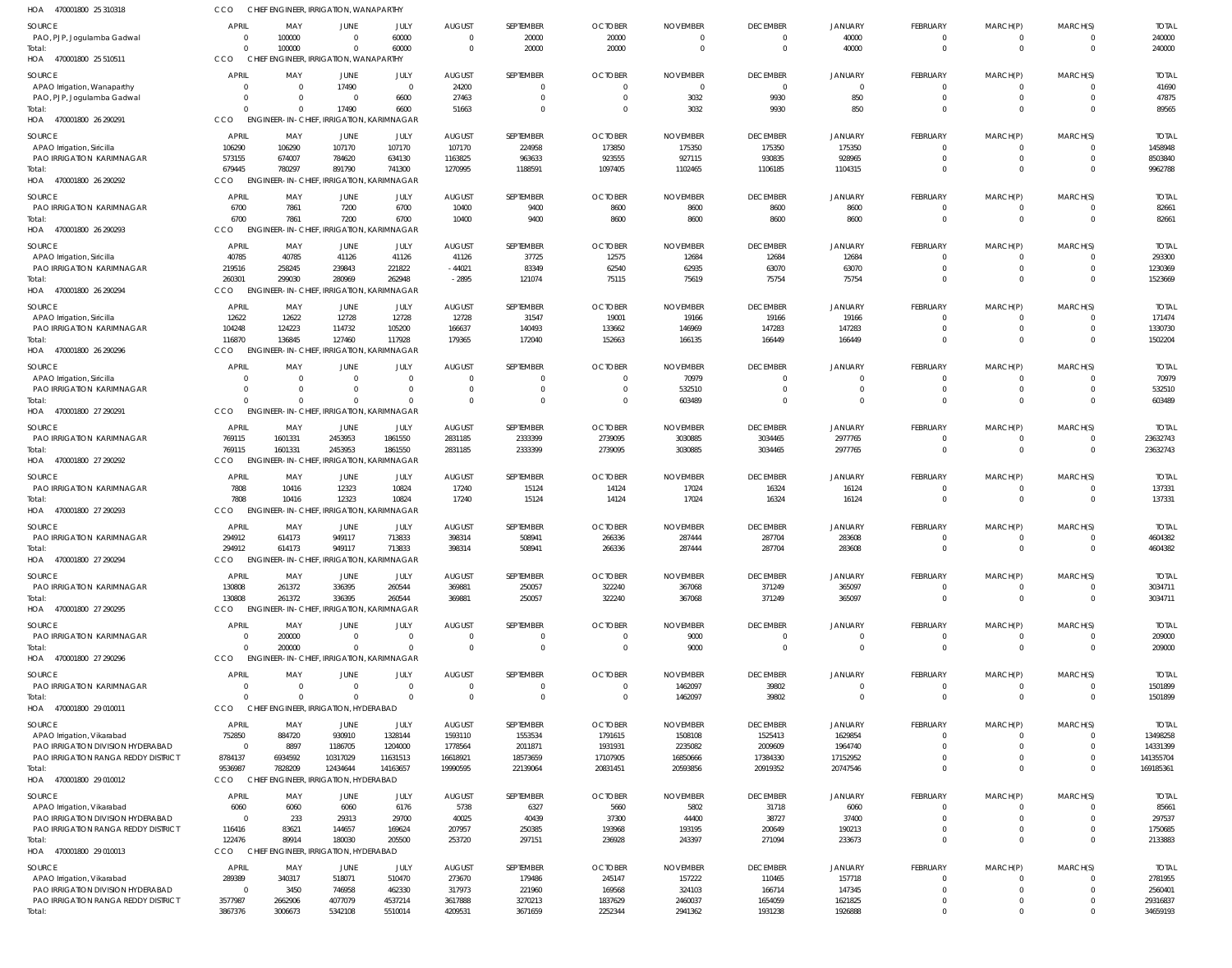| 470001800 25 310318<br>HOA                                      | CCO                      | CHIEF ENGINEER, IRRIGATION, WANAPARTHY                       |                         |                        |                           |                           |                            |                          |                             |                            |                            |                            |                            |                         |
|-----------------------------------------------------------------|--------------------------|--------------------------------------------------------------|-------------------------|------------------------|---------------------------|---------------------------|----------------------------|--------------------------|-----------------------------|----------------------------|----------------------------|----------------------------|----------------------------|-------------------------|
| <b>SOURCE</b>                                                   | <b>APRIL</b>             | MAY                                                          | JUNE                    | JULY                   | <b>AUGUST</b>             | SEPTEMBER                 | <b>OCTOBER</b>             | <b>NOVEMBER</b>          | <b>DECEMBER</b>             | JANUARY                    | FEBRUARY                   | MARCH(P)                   | MARCH(S)                   | <b>TOTAL</b>            |
| PAO, PJP, Jogulamba Gadwal                                      | $\overline{0}$           | 100000                                                       | $\Omega$                | 60000                  | $\Omega$                  | 20000                     | 20000                      | $\Omega$                 | $\overline{0}$              | 40000                      | 0                          | 0                          | $\overline{0}$             | 240000                  |
| Total:                                                          | $\Omega$                 | 100000                                                       | $\Omega$                | 60000                  | $\Omega$                  | 20000                     | 20000                      | $\mathbf 0$              | $\overline{0}$              | 40000                      | $\mathbf 0$                | $\mathbf 0$                | $\overline{0}$             | 240000                  |
| HOA 470001800 25 510511                                         | CCO                      | CHIEF ENGINEER, IRRIGATION, WANAPARTHY                       |                         |                        |                           |                           |                            |                          |                             |                            |                            |                            |                            |                         |
| SOURCE                                                          | <b>APRIL</b>             | MAY                                                          | <b>JUNE</b>             | JULY                   | <b>AUGUST</b>             | SEPTEMBER                 | <b>OCTOBER</b>             | <b>NOVEMBER</b>          | <b>DECEMBER</b>             | JANUARY                    | <b>FEBRUARY</b>            | MARCH(P)                   | MARCH(S)                   | <b>TOTAL</b>            |
| APAO Irrigation, Wanaparthy                                     | 0                        | 0                                                            | 17490                   | $\overline{0}$         | 24200                     | 0                         |                            | 0                        | $\overline{\mathbf{0}}$     | $\overline{0}$             | 0                          | 0                          | $\Omega$                   | 41690                   |
| PAO, PJP, Jogulamba Gadwal                                      | $\Omega$<br>$\Omega$     | $\Omega$                                                     | $\Omega$                | 6600                   | 27463                     | $\mathbf 0$               |                            | 3032                     | 9930                        | 850                        | $\mathbf 0$                | $\mathbf 0$                | $\Omega$<br>$\Omega$       | 47875                   |
| Total:<br>HOA 470001800 26 290291                               | CCO                      | $\Omega$<br><b>ENGINEER-IN-CHIEF, IRRIGATION, KARIMNAGAR</b> | 17490                   | 6600                   | 51663                     | $\mathbf 0$               |                            | 3032                     | 9930                        | 850                        | $\mathbf 0$                | $\mathbf 0$                |                            | 89565                   |
|                                                                 |                          |                                                              |                         |                        |                           |                           |                            |                          |                             |                            |                            |                            |                            |                         |
| <b>SOURCE</b>                                                   | <b>APRIL</b>             | MAY                                                          | JUNE                    | JULY                   | <b>AUGUST</b>             | SEPTEMBER                 | <b>OCTOBER</b>             | <b>NOVEMBER</b>          | <b>DECEMBER</b>             | JANUARY                    | FEBRUARY<br>$\Omega$       | MARCH(P)<br>$\Omega$       | MARCH(S)<br>$\overline{0}$ | <b>TOTAL</b><br>1458948 |
| APAO Irrigation, Siricilla<br>PAO IRRIGATION KARIMNAGAR         | 106290<br>573155         | 106290<br>674007                                             | 107170<br>784620        | 107170<br>634130       | 107170<br>1163825         | 224958<br>963633          | 173850<br>923555           | 175350<br>927115         | 175350<br>930835            | 175350<br>928965           | $\mathbf 0$                | $\mathbf 0$                | $\overline{0}$             | 8503840                 |
| Total:                                                          | 679445                   | 780297                                                       | 891790                  | 741300                 | 1270995                   | 1188591                   | 1097405                    | 1102465                  | 1106185                     | 1104315                    | $\Omega$                   | $\Omega$                   | $\Omega$                   | 9962788                 |
| 470001800 26 290292<br>HOA                                      | CCO                      | ENGINEER-IN-CHIEF, IRRIGATION, KARIMNAGAR                    |                         |                        |                           |                           |                            |                          |                             |                            |                            |                            |                            |                         |
| <b>SOURCE</b>                                                   | <b>APRIL</b>             | MAY                                                          | JUNE                    | JULY                   | <b>AUGUST</b>             | SEPTEMBER                 | <b>OCTOBER</b>             | <b>NOVEMBER</b>          | <b>DECEMBER</b>             | JANUARY                    | FEBRUARY                   | MARCH(P)                   | MARCH(S)                   | <b>TOTAL</b>            |
| PAO IRRIGATION KARIMNAGAR                                       | 6700                     | 7861                                                         | 7200                    | 6700                   | 10400                     | 9400                      | 8600                       | 8600                     | 8600                        | 8600                       | $\overline{0}$             | $\overline{0}$             | $\overline{0}$             | 82661                   |
| Total:                                                          | 6700                     | 7861                                                         | 7200                    | 6700                   | 10400                     | 9400                      | 8600                       | 8600                     | 8600                        | 8600                       | $\mathbf 0$                | $\mathbf 0$                | $\overline{0}$             | 82661                   |
| 470001800 26 290293<br>HOA                                      | CCO                      | ENGINEER-IN-CHIEF, IRRIGATION, KARIMNAGAR                    |                         |                        |                           |                           |                            |                          |                             |                            |                            |                            |                            |                         |
| <b>SOURCE</b>                                                   | <b>APRIL</b>             | MAY                                                          | JUNE                    | JULY                   | <b>AUGUST</b>             | SEPTEMBER                 | <b>OCTOBER</b>             | <b>NOVEMBER</b>          | <b>DECEMBER</b>             | JANUARY                    | FEBRUARY                   | MARCH(P)                   | MARCH(S)                   | <b>TOTAL</b>            |
| APAO Irrigation, Siricilla                                      | 40785                    | 40785                                                        | 41126                   | 41126                  | 41126                     | 37725                     | 12575                      | 12684                    | 12684                       | 12684                      | 0                          | 0                          | $\overline{0}$             | 293300                  |
| PAO IRRIGATION KARIMNAGAR                                       | 219516                   | 258245                                                       | 239843                  | 221822                 | $-44021$                  | 83349                     | 62540                      | 62935                    | 63070                       | 63070                      | $\mathbf 0$                | $\overline{0}$             | $\overline{0}$             | 1230369                 |
| Total:                                                          | 260301                   | 299030                                                       | 280969                  | 262948                 | $-2895$                   | 121074                    | 75115                      | 75619                    | 75754                       | 75754                      | $\Omega$                   | $\mathbf 0$                | $\Omega$                   | 1523669                 |
| HOA 470001800 26 290294                                         | CCO                      | ENGINEER-IN-CHIEF, IRRIGATION, KARIMNAGAR                    |                         |                        |                           |                           |                            |                          |                             |                            |                            |                            |                            |                         |
| SOURCE                                                          | <b>APRIL</b>             | MAY                                                          | JUNE                    | JULY                   | <b>AUGUST</b>             | SEPTEMBER                 | <b>OCTOBER</b>             | <b>NOVEMBER</b>          | <b>DECEMBER</b>             | JANUARY                    | FEBRUARY                   | MARCH(P)                   | MARCH(S)                   | <b>TOTAL</b>            |
| APAO Irrigation, Siricilla                                      | 12622                    | 12622                                                        | 12728                   | 12728                  | 12728                     | 31547                     | 19001                      | 19166                    | 19166                       | 19166                      | $\mathbf 0$                | $\overline{0}$             | $\Omega$                   | 171474                  |
| PAO IRRIGATION KARIMNAGAR<br>Total:                             | 104248<br>116870         | 124223<br>136845                                             | 114732<br>127460        | 105200<br>117928       | 166637<br>179365          | 140493<br>172040          | 133662<br>152663           | 146969<br>166135         | 147283<br>166449            | 147283<br>166449           | $\mathbf 0$<br>$\mathbf 0$ | $\mathbf 0$<br>$\mathbf 0$ | $\overline{0}$<br>$\Omega$ | 1330730<br>1502204      |
| HOA 470001800 26 290296                                         | CCO                      | ENGINEER-IN-CHIEF, IRRIGATION, KARIMNAGAR                    |                         |                        |                           |                           |                            |                          |                             |                            |                            |                            |                            |                         |
|                                                                 |                          |                                                              |                         |                        |                           |                           |                            |                          |                             |                            |                            |                            |                            |                         |
| SOURCE<br>APAO Irrigation, Siricilla                            | <b>APRIL</b><br>$\Omega$ | MAY<br>- 0                                                   | <b>JUNE</b><br>$\Omega$ | JULY<br>$\overline{0}$ | <b>AUGUST</b><br>$\Omega$ | SEPTEMBER<br>$\mathbf{0}$ | <b>OCTOBER</b><br>$\Omega$ | <b>NOVEMBER</b><br>70979 | <b>DECEMBER</b><br>$\Omega$ | <b>JANUARY</b><br>$\Omega$ | FEBRUARY<br>0              | MARCH(P)<br>0              | MARCH(S)<br>$\overline{0}$ | <b>TOTAL</b><br>70979   |
| PAO IRRIGATION KARIMNAGAR                                       | $\Omega$                 | $\Omega$                                                     | $\Omega$                | $\overline{0}$         | $\Omega$                  | $\mathbf 0$               | $\Omega$                   | 532510                   | $\overline{0}$              | $\overline{0}$             | $\mathbf 0$                | $\mathbf{0}$               | $\overline{0}$             | 532510                  |
| Total:                                                          | $\Omega$                 | $\Omega$                                                     |                         | $\Omega$               | $\Omega$                  | $\mathbf 0$               | $\Omega$                   | 603489                   | $\Omega$                    | $\Omega$                   | $\mathbf 0$                | $\mathbf 0$                | $\overline{0}$             | 603489                  |
| HOA 470001800 27 290291                                         | CCO                      | ENGINEER-IN-CHIEF, IRRIGATION, KARIMNAGAR                    |                         |                        |                           |                           |                            |                          |                             |                            |                            |                            |                            |                         |
| <b>SOURCE</b>                                                   | <b>APRIL</b>             | MAY                                                          | JUNE                    | JULY                   | <b>AUGUST</b>             | SEPTEMBER                 | <b>OCTOBER</b>             | <b>NOVEMBER</b>          | <b>DECEMBER</b>             | JANUARY                    | FEBRUARY                   | MARCH(P)                   | MARCH(S)                   | <b>TOTAL</b>            |
| PAO IRRIGATION KARIMNAGAR                                       | 769115                   | 1601331                                                      | 2453953                 | 1861550                | 2831185                   | 2333399                   | 2739095                    | 3030885                  | 3034465                     | 2977765                    | $\mathbf 0$                | 0                          | $\Omega$                   | 23632743                |
| Total:                                                          | 769115                   | 1601331                                                      | 2453953                 | 1861550                | 2831185                   | 2333399                   | 2739095                    | 3030885                  | 3034465                     | 2977765                    | $\mathbf 0$                | $\mathbf 0$                | $\overline{0}$             | 23632743                |
| HOA 470001800 27 290292                                         | CCO                      | ENGINEER-IN-CHIEF, IRRIGATION, KARIMNAGAR                    |                         |                        |                           |                           |                            |                          |                             |                            |                            |                            |                            |                         |
| <b>SOURCE</b>                                                   | <b>APRIL</b>             | MAY                                                          | JUNE                    | JULY                   | <b>AUGUST</b>             | SEPTEMBER                 | <b>OCTOBER</b>             | <b>NOVEMBER</b>          | <b>DECEMBER</b>             | <b>JANUARY</b>             | FEBRUARY                   | MARCH(P)                   | MARCH(S)                   | <b>TOTAL</b>            |
| <b>PAO IRRIGATION KARIMNAGAR</b>                                | 7808                     | 10416                                                        | 12323                   | 10824                  | 17240                     | 15124                     | 14124                      | 17024                    | 16324                       | 16124                      | 0                          | 0                          | $\overline{0}$             | 137331                  |
| Total                                                           | 7808                     | 10416                                                        | 12323                   | 10824                  | 17240                     | 15124                     | 14124                      | 17024                    | 16324                       | 16124                      | $\mathbf 0$                | $\mathbf 0$                | $\overline{0}$             | 137331                  |
| HOA<br>470001800 27 290293                                      | CCO                      | ENGINEER-IN-CHIEF, IRRIGATION, KARIMNAGAR                    |                         |                        |                           |                           |                            |                          |                             |                            |                            |                            |                            |                         |
| <b>SOURCE</b>                                                   | <b>APRIL</b>             | MAY                                                          | JUNE                    | JULY                   | <b>AUGUST</b>             | SEPTEMBER                 | <b>OCTOBER</b>             | <b>NOVEMBER</b>          | <b>DECEMBER</b>             | <b>JANUARY</b>             | FEBRUARY                   | MARCH(P)                   | MARCH(S)                   | <b>TOTAL</b>            |
| PAO IRRIGATION KARIMNAGAR                                       | 294912                   | 614173                                                       | 949117                  | 713833                 | 398314                    | 508941                    | 266336                     | 287444                   | 287704                      | 283608                     | $\overline{0}$<br>$\Omega$ | 0                          | $\Omega$                   | 4604382                 |
| Total:<br>HOA 470001800 27 290294                               | 294912<br><b>CCO</b>     | 614173<br>ENGINEER-IN-CHIEF, IRRIGATION, KARIMNAGAR          | 949117                  | 713833                 | 398314                    | 508941                    | 266336                     | 287444                   | 287704                      | 283608                     |                            | $\Omega$                   | $\Omega$                   | 4604382                 |
|                                                                 |                          |                                                              |                         |                        |                           |                           |                            |                          |                             |                            |                            |                            |                            |                         |
| <b>SOURCE</b><br>PAO IRRIGATION KARIMNAGAR                      | <b>APRIL</b>             | MAY                                                          | JUNE                    | JULY                   | <b>AUGUST</b>             | SEPTEMBER                 | <b>OCTOBER</b>             | <b>NOVEMBER</b>          | <b>DECEMBER</b>             | JANUARY                    | FEBRUARY                   | MARCH(P)                   | MARCH(S)<br>$\overline{0}$ | <b>TOTAL</b>            |
| Total:                                                          | 130808<br>130808         | 261372<br>261372                                             | 336395<br>336395        | 260544<br>260544       | 369881<br>369881          | 250057<br>250057          | 322240<br>322240           | 367068<br>367068         | 371249<br>371249            | 365097<br>365097           | 0<br>$\mathbf 0$           | 0<br>$\mathbf 0$           | $\overline{0}$             | 3034711<br>3034711      |
| HOA 470001800 27 290295                                         | CCO                      | ENGINEER-IN-CHIEF, IRRIGATION, KARIMNAGAR                    |                         |                        |                           |                           |                            |                          |                             |                            |                            |                            |                            |                         |
| <b>SOURCE</b>                                                   | <b>APRIL</b>             | MAY                                                          | <b>JUNE</b>             | JULY                   | <b>AUGUST</b>             | SEPTEMBER                 | <b>OCTOBER</b>             | <b>NOVEMBER</b>          | <b>DECEMBER</b>             | JANUARY                    | FEBRUARY                   | MARCH(P)                   | MARCH(S)                   | <b>TOTAL</b>            |
| PAO IRRIGATION KARIMNAGAR                                       | $\overline{0}$           | 200000                                                       | $\Omega$                | $\overline{0}$         | $\bigcap$                 | 0                         |                            | 9000                     | $\overline{0}$              | $\Omega$                   | 0                          | 0                          | $\overline{0}$             | 209000                  |
| Total:                                                          | $\Omega$                 | 200000                                                       | $\Omega$                | $\Omega$               | $\Omega$                  | $\mathbf 0$               |                            | 9000                     | $\overline{0}$              | $\Omega$                   | $\mathbf 0$                | $\mathbf 0$                | $\overline{0}$             | 209000                  |
| HOA 470001800 27 290296                                         | CCO                      | <b>ENGINEER-IN-CHIEF, IRRIGATION, KARIMNAGAR</b>             |                         |                        |                           |                           |                            |                          |                             |                            |                            |                            |                            |                         |
| SOURCE                                                          | <b>APRIL</b>             | MAY                                                          | JUNE                    | JULY                   | <b>AUGUST</b>             | SEPTEMBER                 | <b>OCTOBER</b>             | <b>NOVEMBER</b>          | <b>DECEMBER</b>             | <b>JANUARY</b>             | FEBRUARY                   | MARCH(P)                   | MARCH(S)                   | <b>TOTAL</b>            |
| PAO IRRIGATION KARIMNAGAR                                       | $\Omega$                 | $\overline{0}$                                               | $\Omega$                | $\overline{0}$         | $\Omega$                  | $\mathbf{0}$              | $\Omega$                   | 1462097                  | 39802                       | $\Omega$                   | $\mathbf 0$                | $\mathbf 0$                | $\overline{0}$             | 1501899                 |
| Total:                                                          | $\Omega$                 | $\Omega$                                                     | $\Omega$                | $\Omega$               | $\Omega$                  | $\mathbf{0}$              | $\Omega$                   | 1462097                  | 39802                       | $\Omega$                   | $\mathbf 0$                | $\mathbf 0$                | $\overline{0}$             | 1501899                 |
| HOA 470001800 29 010011                                         | CCO                      | CHIEF ENGINEER, IRRIGATION, HYDERABAD                        |                         |                        |                           |                           |                            |                          |                             |                            |                            |                            |                            |                         |
| SOURCE                                                          | <b>APRIL</b>             | MAY                                                          | JUNE                    | JULY                   | <b>AUGUST</b>             | SEPTEMBER                 | <b>OCTOBER</b>             | <b>NOVEMBER</b>          | <b>DECEMBER</b>             | <b>JANUARY</b>             | FEBRUARY                   | MARCH(P)                   | MARCH(S)                   | <b>TOTAL</b>            |
| APAO Irrigation, Vikarabad                                      | 752850                   | 884720                                                       | 930910                  | 1328144                | 1593110                   | 1553534                   | 1791615                    | 1508108                  | 1525413                     | 1629854                    | $\mathbf 0$                | 0                          | $\overline{0}$             | 13498258                |
| PAO IRRIGATION DIVISION HYDERABAD                               | $\overline{0}$           | 8897                                                         | 1186705                 | 1204000                | 1778564                   | 2011871                   | 1931931                    | 2235082                  | 2009609                     | 1964740                    | $\mathbf 0$                | $\mathbf 0$                | $\Omega$                   | 14331399                |
| PAO IRRIGATION RANGA REDDY DISTRICT                             | 8784137<br>9536987       | 6934592<br>7828209                                           | 10317029<br>12434644    | 11631513<br>14163657   | 16618921<br>19990595      | 18573659<br>22139064      | 17107905<br>20831451       | 16850666<br>20593856     | 17384330<br>20919352        | 17152952<br>20747546       | $\mathbf 0$<br>$\mathbf 0$ | $\mathbf 0$<br>$\mathbf 0$ | $\overline{0}$<br>$\Omega$ | 141355704<br>169185361  |
| Total:<br>HOA 470001800 29 010012                               | CCO                      | CHIEF ENGINEER, IRRIGATION, HYDERABAD                        |                         |                        |                           |                           |                            |                          |                             |                            |                            |                            |                            |                         |
|                                                                 |                          |                                                              |                         |                        |                           |                           |                            |                          |                             |                            |                            |                            |                            |                         |
| SOURCE                                                          | <b>APRIL</b>             | MAY                                                          | JUNE                    | JULY                   | <b>AUGUST</b>             | SEPTEMBER                 | <b>OCTOBER</b>             | <b>NOVEMBER</b>          | <b>DECEMBER</b>             | JANUARY                    | FEBRUARY<br>$\Omega$       | MARCH(P)                   | MARCH(S)<br>$\Omega$       | <b>TOTAL</b>            |
| APAO Irrigation, Vikarabad<br>PAO IRRIGATION DIVISION HYDERABAD | 6060<br>$\overline{0}$   | 6060<br>233                                                  | 6060<br>29313           | 6176<br>29700          | 5738<br>40025             | 6327<br>40439             | 5660<br>37300              | 5802<br>44400            | 31718<br>38727              | 6060<br>37400              | $\Omega$                   | $\Omega$<br>$\Omega$       | $\Omega$                   | 85661<br>297537         |
| PAO IRRIGATION RANGA REDDY DISTRICT                             | 116416                   | 83621                                                        | 144657                  | 169624                 | 207957                    | 250385                    | 193968                     | 193195                   | 200649                      | 190213                     | $\mathbf 0$                | $\mathbf 0$                | $\overline{0}$             | 1750685                 |
| Total:                                                          | 122476                   | 89914                                                        | 180030                  | 205500                 | 253720                    | 297151                    | 236928                     | 243397                   | 271094                      | 233673                     | $\mathbf 0$                | $\mathbf 0$                | $\Omega$                   | 2133883                 |
| HOA 470001800 29 010013                                         | CCO                      | CHIEF ENGINEER, IRRIGATION, HYDERABAD                        |                         |                        |                           |                           |                            |                          |                             |                            |                            |                            |                            |                         |
| SOURCE                                                          | <b>APRIL</b>             | MAY                                                          | JUNE                    | JULY                   | <b>AUGUST</b>             | SEPTEMBER                 | <b>OCTOBER</b>             | <b>NOVEMBER</b>          | <b>DECEMBER</b>             | <b>JANUARY</b>             | FEBRUARY                   | MARCH(P)                   | MARCH(S)                   | <b>TOTAL</b>            |
| APAO Irrigation, Vikarabad                                      | 289389                   | 340317                                                       | 518071                  | 510470                 | 273670                    | 179486                    | 245147                     | 157222                   | 110465                      | 157718                     | 0                          | 0                          | $\Omega$                   | 2781955                 |
| PAO IRRIGATION DIVISION HYDERABAD                               | $\overline{0}$           | 3450                                                         | 746958                  | 462330                 | 317973                    | 221960                    | 169568                     | 324103                   | 166714                      | 147345                     | $\mathbf 0$                | $\mathbf 0$                | $\Omega$                   | 2560401                 |
| PAO IRRIGATION RANGA REDDY DISTRICT                             | 3577987                  | 2662906                                                      | 4077079                 | 4537214                | 3617888                   | 3270213                   | 1837629                    | 2460037                  | 1654059                     | 1621825                    | $\mathbf 0$                | $\mathbf 0$                | $\overline{0}$             | 29316837                |
| Total:                                                          | 3867376                  | 3006673                                                      | 5342108                 | 5510014                | 4209531                   | 3671659                   | 2252344                    | 2941362                  | 1931238                     | 1926888                    | $\mathbf 0$                | $\mathbf 0$                | $\Omega$                   | 34659193                |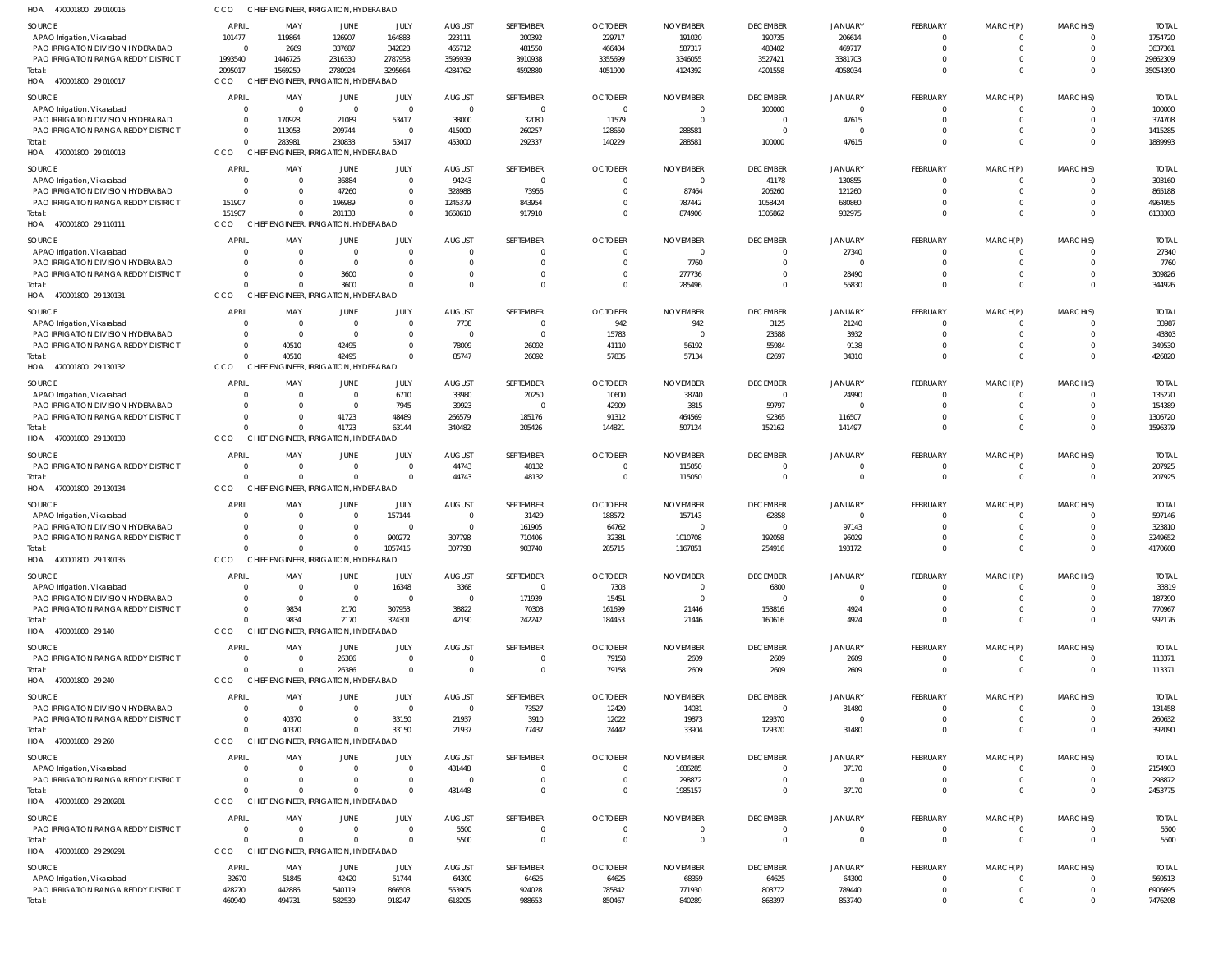| HOA<br>470001800 29 010016                                               |                                | CHIEF ENGINEER, IRRIGATION, HYDERABAD           |                    |                                   |                           |                            |                         |                         |                                  |                        |                                |                               |                      |                        |
|--------------------------------------------------------------------------|--------------------------------|-------------------------------------------------|--------------------|-----------------------------------|---------------------------|----------------------------|-------------------------|-------------------------|----------------------------------|------------------------|--------------------------------|-------------------------------|----------------------|------------------------|
| <b>SOURCE</b>                                                            | <b>APRIL</b>                   | MAY                                             | <b>JUNE</b>        | JULY                              | <b>AUGUST</b>             | SEPTEMBER                  | <b>OCTOBER</b>          | <b>NOVEMBER</b>         | <b>DECEMBER</b>                  | <b>JANUARY</b>         | <b>FEBRUARY</b>                | MARCH(P)                      | MARCH(S)             | <b>TOTAI</b>           |
| APAO Irrigation, Vikarabad                                               | 101477                         | 119864                                          | 126907             | 164883                            | 223111                    | 200392                     | 229717                  | 191020                  | 190735                           | 206614                 | 0                              | $^{\circ}$                    | $\Omega$             | 1754720                |
| PAO IRRIGATION DIVISION HYDERABAD                                        | - 0                            | 2669                                            | 337687             | 342823                            | 465712                    | 481550                     | 466484                  | 587317                  | 483402                           | 469717                 | $\overline{0}$                 | $\mathbf 0$                   | $\Omega$             | 3637361                |
| PAO IRRIGATION RANGA REDDY DISTRICT<br>Total:                            | 1993540<br>2095017             | 1446726<br>1569259                              | 2316330<br>2780924 | 2787958<br>3295664                | 3595939<br>4284762        | 3910938<br>4592880         | 3355699<br>4051900      | 3346055<br>4124392      | 3527421<br>4201558               | 3381703<br>4058034     | $\mathbf 0$<br>$\mathbf 0$     | $\mathbf 0$<br>$\mathbf{0}$   | $\Omega$<br>$\Omega$ | 29662309<br>35054390   |
| HOA 470001800 29 010017                                                  | CCO                            | CHIEF ENGINEER. IRRIGATION. HYDERABAD           |                    |                                   |                           |                            |                         |                         |                                  |                        |                                |                               |                      |                        |
| <b>SOURCE</b>                                                            | <b>APRIL</b>                   | MAY                                             | JUNE               | JULY                              | <b>AUGUST</b>             | SEPTEMBER                  | <b>OCTOBER</b>          | <b>NOVEMBER</b>         | <b>DECEMBER</b>                  | <b>JANUARY</b>         | <b>FEBRUARY</b>                | MARCH(P)                      | MARCH(S)             | <b>TOTAI</b>           |
| APAO Irrigation, Vikarabad                                               | 0                              | - 0                                             | $\Omega$           | $\overline{0}$                    | $\Omega$                  | $\overline{0}$             | $\Omega$                | 0                       | 100000                           | $\Omega$               | $\mathbf 0$                    | $^{\circ}$                    | $\Omega$             | 100000                 |
| PAO IRRIGATION DIVISION HYDERABAD                                        | 0                              | 170928                                          | 21089              | 53417                             | 38000                     | 32080                      | 11579                   | - (                     | $\overline{0}$                   | 47615                  | $\mathbf 0$                    | $\mathbf 0$                   | $\Omega$             | 374708                 |
| PAO IRRIGATION RANGA REDDY DISTRICT                                      | $\overline{0}$                 | 113053                                          | 209744             | $\overline{\mathbf{0}}$           | 415000                    | 260257                     | 128650                  | 288581                  | $\overline{0}$                   | $\Omega$               | $\mathbf 0$                    | $\mathbf 0$                   |                      | 1415285                |
| Total:<br>HOA 470001800 29 010018                                        | $\Omega$<br>CCO                | 283981<br>CHIEF ENGINEER, IRRIGATION, HYDERABAD | 230833             | 53417                             | 453000                    | 292337                     | 140229                  | 288581                  | 100000                           | 47615                  | $\mathbf 0$                    | $\overline{0}$                | $\Omega$             | 1889993                |
|                                                                          |                                |                                                 |                    |                                   |                           |                            |                         |                         |                                  |                        |                                |                               |                      |                        |
| SOURCE                                                                   | <b>APRIL</b>                   | MAY                                             | JUNE               | JULY                              | <b>AUGUST</b>             | SEPTEMBER                  | <b>OCTOBER</b>          | <b>NOVEMBER</b>         | <b>DECEMBER</b>                  | <b>JANUARY</b>         | <b>FEBRUARY</b>                | MARCH(P)                      | MARCH(S)             | <b>TOTAI</b>           |
| APAO Irrigation, Vikarabad<br>PAO IRRIGATION DIVISION HYDERABAD          | 0<br>0                         | 0<br>0                                          | 36884<br>47260     | $\overline{0}$<br>$\overline{0}$  | 94243<br>328988           | $\Omega$<br>73956          |                         | $\Omega$<br>87464       | 41178<br>206260                  | 130855<br>121260       | 0<br>0                         | 0<br>$\mathbf 0$              | $\Omega$<br>$\Omega$ | 303160<br>865188       |
| <b>PAO IRRIGATION RANGA REDDY DISTRICT</b>                               | 151907                         | $\Omega$                                        | 196989             | $\Omega$                          | 1245379                   | 843954                     |                         | 787442                  | 1058424                          | 680860                 | $\mathbf 0$                    | $\mathbf 0$                   | $\Omega$             | 4964955                |
| Total:                                                                   | 151907                         | $\Omega$                                        | 281133             | $\Omega$                          | 1668610                   | 917910                     | $\Omega$                | 874906                  | 1305862                          | 932975                 | $\mathbf 0$                    | $\overline{0}$                | $\Omega$             | 6133303                |
| HOA 470001800 29 110111                                                  | CCO                            | CHIEF ENGINEER, IRRIGATION, HYDERABAD           |                    |                                   |                           |                            |                         |                         |                                  |                        |                                |                               |                      |                        |
| <b>SOURCE</b>                                                            | <b>APRIL</b>                   | MAY                                             | JUNE               | JULY                              | <b>AUGUST</b>             | SEPTEMBER                  | <b>OCTOBER</b>          | <b>NOVEMBER</b>         | <b>DECEMBER</b>                  | <b>JANUARY</b>         | FEBRUARY                       | MARCH(P)                      | MARCH(S)             | <b>TOTAI</b>           |
| APAO Irrigation, Vikarabad                                               | 0                              | - 0                                             | - 0                | $\mathbf 0$                       | $\bigcap$                 | 0                          |                         | - (                     | $^{\circ}$                       | 27340                  | $\mathbf 0$                    | 0                             |                      | 27340                  |
| PAO IRRIGATION DIVISION HYDERABAD                                        | $\Omega$                       | 0                                               | - 0                | $\Omega$                          |                           | $\mathbf 0$                |                         | 7760                    | $\Omega$                         | $\Omega$               | $\mathbf 0$                    | $\mathbf 0$                   | $\Omega$             | 7760                   |
| PAO IRRIGATION RANGA REDDY DISTRICT<br>Total:                            | $\overline{0}$<br>$\Omega$     | $\Omega$<br>$\Omega$                            | 3600<br>3600       | $\Omega$<br>$\Omega$              |                           | $\mathbf 0$<br>$\mathbf 0$ |                         | 277736<br>285496        | $\Omega$<br>$\Omega$             | 28490<br>55830         | $\mathbf 0$<br>$\mathbf 0$     | $\mathbf 0$<br>$\overline{0}$ | $\Omega$<br>$\Omega$ | 309826<br>344926       |
| HOA 470001800 29 130131                                                  | CCO                            | CHIEF ENGINEER, IRRIGATION, HYDERABAD           |                    |                                   |                           |                            |                         |                         |                                  |                        |                                |                               |                      |                        |
| <b>SOURCE</b>                                                            | <b>APRIL</b>                   | MAY                                             | JUNE               | JULY                              | <b>AUGUST</b>             | SEPTEMBER                  | <b>OCTOBER</b>          | <b>NOVEMBER</b>         | <b>DECEMBER</b>                  | <b>JANUARY</b>         | <b>FEBRUARY</b>                | MARCH(P)                      | MARCH(S)             | <b>TOTAI</b>           |
| APAO Irrigation, Vikarabad                                               | 0                              | 0                                               | - 0                | $\Omega$                          | 7738                      | 0                          | 942                     | 942                     | 3125                             | 21240                  | $\mathbf 0$                    | -0                            | $\Omega$             | 33987                  |
| PAO IRRIGATION DIVISION HYDERABAD                                        | 0                              | - 0                                             | - 0                | $\overline{0}$                    | - 0                       | $\mathbf 0$                | 15783                   | - 0                     | 23588                            | 3932                   | $\mathbf 0$                    | $\mathbf 0$                   | $\Omega$             | 43303                  |
| PAO IRRIGATION RANGA REDDY DISTRICT                                      | $\mathbf 0$                    | 40510                                           | 42495              | $\Omega$                          | 78009                     | 26092                      | 41110                   | 56192                   | 55984                            | 9138                   | $\mathbf 0$                    | $\mathbf 0$                   | $\Omega$             | 349530                 |
| Total:                                                                   | $\Omega$                       | 40510                                           | 42495              | $\Omega$                          | 85747                     | 26092                      | 57835                   | 57134                   | 82697                            | 34310                  | $\mathbf 0$                    | $\overline{0}$                | $\Omega$             | 426820                 |
| HOA 470001800 29 130132                                                  | CCO                            | CHIEF ENGINEER, IRRIGATION, HYDERABAD           |                    |                                   |                           |                            |                         |                         |                                  |                        |                                |                               |                      |                        |
| <b>SOURCE</b>                                                            | <b>APRIL</b>                   | MAY                                             | JUNE               | JULY                              | <b>AUGUST</b>             | SEPTEMBER                  | <b>OCTOBER</b>          | <b>NOVEMBER</b>         | <b>DECEMBER</b>                  | <b>JANUARY</b>         | <b>FEBRUARY</b>                | MARCH(P)                      | MARCH(S)             | <b>TOTAI</b>           |
| APAO Irrigation, Vikarabad                                               | 0                              | 0                                               | - 0                | 6710                              | 33980                     | 20250                      | 10600                   | 38740                   | $\overline{0}$                   | 24990                  | $\mathbf 0$                    | -0                            | $\Omega$             | 135270                 |
| PAO IRRIGATION DIVISION HYDERABAD<br>PAO IRRIGATION RANGA REDDY DISTRICT | $\mathbf 0$<br>$\Omega$        | 0<br>$\Omega$                                   | - 0<br>41723       | 7945<br>48489                     | 39923<br>266579           | $\mathbf 0$<br>185176      | 42909<br>91312          | 3815<br>464569          | 59797<br>92365                   | 116507                 | $\mathbf 0$<br>$\mathbf 0$     | $\mathbf 0$<br>$\mathbf 0$    | $\Omega$<br>$\Omega$ | 154389<br>1306720      |
| Total:                                                                   | $\Omega$                       | $\Omega$                                        | 41723              | 63144                             | 340482                    | 205426                     | 144821                  | 507124                  | 152162                           | 141497                 | $\mathbf 0$                    | $\overline{0}$                | $\Omega$             | 1596379                |
| HOA 470001800 29 130133                                                  | CCO                            | CHIEF ENGINEER, IRRIGATION, HYDERABAD           |                    |                                   |                           |                            |                         |                         |                                  |                        |                                |                               |                      |                        |
| <b>SOURCE</b>                                                            | <b>APRIL</b>                   | MAY                                             | JUNE               | JULY                              | <b>AUGUST</b>             | SEPTEMBER                  | <b>OCTOBER</b>          | <b>NOVEMBER</b>         | <b>DECEMBER</b>                  | <b>JANUARY</b>         | FEBRUARY                       | MARCH(P)                      | MARCH(S)             | <b>TOTAI</b>           |
| PAO IRRIGATION RANGA REDDY DISTRICT                                      | $\mathbf 0$                    | $\overline{0}$                                  | $\Omega$           | $\overline{0}$                    | 44743                     | 48132                      | - 0                     | 115050                  | $^{\circ}$                       | $\Omega$               | 0                              | -0                            | $\Omega$             | 207925                 |
| Total:                                                                   | $\Omega$                       | $\Omega$                                        | $\Omega$           | $\Omega$                          | 44743                     | 48132                      | $\overline{0}$          | 115050                  | $\overline{0}$                   | $\Omega$               | $\overline{0}$                 | $\overline{0}$                | $\Omega$             | 207925                 |
| HOA 470001800 29 130134                                                  | CCO                            | CHIEF ENGINEER, IRRIGATION, HYDERABAD           |                    |                                   |                           |                            |                         |                         |                                  |                        |                                |                               |                      |                        |
| <b>SOURCE</b>                                                            | <b>APRIL</b>                   | MAY                                             | JUNE               | JULY                              | <b>AUGUST</b>             | SEPTEMBER                  | <b>OCTOBER</b>          | <b>NOVEMBER</b>         | <b>DECEMBER</b>                  | <b>JANUARY</b>         | FEBRUARY                       | MARCH(P)                      | MARCH(S)             | <b>TOTAI</b>           |
| APAO Irrigation, Vikarabad                                               | 0                              | 0                                               | $\Omega$           | 157144                            | $\Omega$                  | 31429                      | 188572                  | 157143                  | 62858                            | $\Omega$               | 0                              | 0                             |                      | 597146                 |
| PAO IRRIGATION DIVISION HYDERABAD<br>PAO IRRIGATION RANGA REDDY DISTRICT | $\Omega$<br>$\mathbf 0$        | 0<br>-0                                         | - 0<br>$\Omega$    | $\overline{\mathbf{0}}$<br>900272 | $\Omega$<br>307798        | 161905<br>710406           | 64762<br>32381          | - 0<br>1010708          | $\overline{0}$<br>192058         | 97143<br>96029         | $\mathbf 0$<br>$\Omega$        | $\Omega$<br>$\Omega$          |                      | 323810<br>3249652      |
| Total:                                                                   | $\Omega$                       | $\Omega$                                        | $\cap$             | 1057416                           | 307798                    | 903740                     | 285715                  | 1167851                 | 254916                           | 193172                 | $\Omega$                       | $\Omega$                      | $\Omega$             | 4170608                |
| HOA 470001800 29 130135                                                  | CCO                            | CHIEF ENGINEER, IRRIGATION, HYDERABAD           |                    |                                   |                           |                            |                         |                         |                                  |                        |                                |                               |                      |                        |
| <b>SOURCE</b>                                                            | <b>APRIL</b>                   | MAY                                             | JUNE               | JULY                              | <b>AUGUST</b>             | SEPTEMBER                  | <b>OCTOBER</b>          | <b>NOVEMBER</b>         | <b>DECEMBER</b>                  | <b>JANUARY</b>         | <b>FEBRUARY</b>                | MARCH(P)                      | MARCH(S)             | <b>TOTAL</b>           |
| APAO Irrigation, Vikarabad                                               | $\Omega$                       | $\overline{0}$                                  | $\Omega$           | 16348                             | 3368                      | $\overline{0}$             | 7303                    | $\Omega$                | 6800                             | $\Omega$               | 0                              | $^{\circ}$                    | $\Omega$             | 33819                  |
| PAO IRRIGATION DIVISION HYDERABAD                                        | $\Omega$                       | $\overline{0}$                                  | $\Omega$           | $\overline{0}$                    | $\overline{0}$            | 171939                     | 15451                   | - 0                     | $\overline{0}$                   | $\Omega$               | $\overline{0}$                 | $\mathbf 0$                   | $\Omega$             | 187390                 |
| PAO IRRIGATION RANGA REDDY DISTRICT                                      | $\Omega$                       | 9834                                            | 2170               | 307953                            | 38822                     | 70303                      | 161699                  | 21446                   | 153816                           | 4924                   | $\mathbf 0$                    | $\mathbf 0$                   | $\Omega$             | 770967                 |
| Total:<br>HOA 470001800 29 140                                           | $\Omega$<br>CCO                | 9834<br>CHIEF ENGINEER, IRRIGATION, HYDERABAD   | 2170               | 324301                            | 42190                     | 242242                     | 184453                  | 21446                   | 160616                           | 4924                   | $\mathbf 0$                    | $\mathbf 0$                   | $\Omega$             | 992176                 |
|                                                                          |                                |                                                 |                    |                                   |                           |                            |                         |                         |                                  |                        |                                |                               |                      |                        |
| <b>SOURCE</b><br>PAO IRRIGATION RANGA REDDY DISTRICT                     | <b>APRIL</b><br>$\overline{0}$ | MAY<br>$\overline{0}$                           | JUNE<br>26386      | JULY<br>$\overline{0}$            | <b>AUGUST</b><br>$\Omega$ | SEPTEMBER<br>$\mathbf 0$   | <b>OCTOBER</b><br>79158 | <b>NOVEMBER</b><br>2609 | <b>DECEMBER</b><br>2609          | <b>JANUARY</b><br>2609 | <b>FEBRUARY</b><br>$\mathbf 0$ | MARCH(P)<br>$\mathbf 0$       | MARCH(S)<br>$\Omega$ | <b>TOTAL</b><br>113371 |
| Total:                                                                   | $\Omega$                       | $\Omega$                                        | 26386              | $\overline{0}$                    | $\Omega$                  | $\mathbf 0$                | 79158                   | 2609                    | 2609                             | 2609                   | $\mathbf 0$                    | $\mathbf 0$                   | $\overline{0}$       | 113371                 |
| HOA 470001800 29 240                                                     | CCO                            | CHIEF ENGINEER, IRRIGATION, HYDERABAD           |                    |                                   |                           |                            |                         |                         |                                  |                        |                                |                               |                      |                        |
| <b>SOURCE</b>                                                            | <b>APRIL</b>                   | MAY                                             | JUNE               | JULY                              | <b>AUGUST</b>             | SEPTEMBER                  | <b>OCTOBER</b>          | <b>NOVEMBER</b>         | <b>DECEMBER</b>                  | <b>JANUARY</b>         | <b>FEBRUARY</b>                | MARCH(P)                      | MARCH(S)             | <b>TOTAL</b>           |
| PAO IRRIGATION DIVISION HYDERABAD                                        | 0                              | 0                                               | $\Omega$           | $\overline{0}$                    | $\Omega$                  | 73527                      | 12420                   | 14031                   | $\overline{0}$                   | 31480                  | 0                              | $\Omega$                      | $\Omega$             | 131458                 |
| PAO IRRIGATION RANGA REDDY DISTRICT                                      | $\overline{0}$                 | 40370                                           | $\Omega$           | 33150                             | 21937                     | 3910                       | 12022                   | 19873                   | 129370                           | $\Omega$               | $\mathbf 0$                    | $^{\circ}$                    | $\Omega$             | 260632                 |
| Total:                                                                   | $\Omega$                       | 40370                                           | $\Omega$           | 33150                             | 21937                     | 77437                      | 24442                   | 33904                   | 129370                           | 31480                  | $\mathbf 0$                    | $\overline{0}$                | $\Omega$             | 392090                 |
| HOA 470001800 29 260                                                     | CCO                            | CHIEF ENGINEER, IRRIGATION, HYDERABAD           |                    |                                   |                           |                            |                         |                         |                                  |                        |                                |                               |                      |                        |
| SOURCE                                                                   | <b>APRIL</b>                   | MAY                                             | JUNE               | JULY                              | <b>AUGUST</b>             | SEPTEMBER                  | <b>OCTOBER</b>          | <b>NOVEMBER</b>         | <b>DECEMBER</b>                  | <b>JANUARY</b>         | FEBRUARY                       | MARCH(P)                      | MARCH(S)             | <b>TOTAL</b>           |
| APAO Irrigation, Vikarabad<br>PAO IRRIGATION RANGA REDDY DISTRICT        | 0<br>$\overline{0}$            | 0<br>0                                          | $\Omega$<br>- 0    | $\overline{0}$<br>$\overline{0}$  | 431448<br>$\Omega$        | $\mathbf 0$<br>$\mathbf 0$ | - 0                     | 1686285<br>298872       | $\overline{0}$<br>$\overline{0}$ | 37170<br>$\Omega$      | $\mathbf 0$<br>$\mathbf 0$     | $^{\circ}$<br>$\mathbf 0$     | $\Omega$<br>$\Omega$ | 2154903<br>298872      |
| Total:                                                                   | $\Omega$                       | $\Omega$                                        | $\Omega$           | $\Omega$                          | 431448                    | $\mathbf 0$                | 0                       | 1985157                 | $\overline{0}$                   | 37170                  | $\mathbf 0$                    | $\mathbf 0$                   | $\overline{0}$       | 2453775                |
| HOA 470001800 29 280281                                                  | CCO                            | CHIEF ENGINEER, IRRIGATION, HYDERABAD           |                    |                                   |                           |                            |                         |                         |                                  |                        |                                |                               |                      |                        |
| <b>SOURCE</b>                                                            | <b>APRIL</b>                   | MAY                                             | JUNE               | JULY                              | <b>AUGUST</b>             | SEPTEMBER                  | <b>OCTOBER</b>          | <b>NOVEMBER</b>         | <b>DECEMBER</b>                  | <b>JANUARY</b>         | FEBRUARY                       | MARCH(P)                      | MARCH(S)             | <b>TOTAL</b>           |
| PAO IRRIGATION RANGA REDDY DISTRICT                                      | 0                              | $\overline{0}$                                  | $\Omega$           | $\overline{0}$                    | 5500                      | $\mathbf 0$                | 0                       | $\mathbf 0$             | $\overline{0}$                   | $\mathbf{0}$           | $\mathbf 0$                    | $^{\circ}$                    | $\Omega$             | 5500                   |
| Total:                                                                   | $\Omega$                       | $\Omega$                                        | $\Omega$           | $\Omega$                          | 5500                      | $\mathbf 0$                | $\Omega$                | $\Omega$                | $\overline{0}$                   | $\Omega$               | $\mathbf 0$                    | $\overline{0}$                | $\Omega$             | 5500                   |
| HOA 470001800 29 290291                                                  | CCO                            | CHIEF ENGINEER, IRRIGATION, HYDERABAD           |                    |                                   |                           |                            |                         |                         |                                  |                        |                                |                               |                      |                        |
| <b>SOURCE</b>                                                            | <b>APRIL</b>                   | MAY                                             | JUNE               | JULY                              | <b>AUGUST</b>             | SEPTEMBER                  | <b>OCTOBER</b>          | <b>NOVEMBER</b>         | <b>DECEMBER</b>                  | <b>JANUARY</b>         | FEBRUARY                       | MARCH(P)                      | MARCH(S)             | <b>TOTAL</b>           |
| APAO Irrigation, Vikarabad                                               | 32670                          | 51845                                           | 42420              | 51744                             | 64300                     | 64625                      | 64625                   | 68359                   | 64625                            | 64300                  | $\mathbf 0$                    | $\mathbf 0$                   | $\overline{0}$       | 569513                 |
| PAO IRRIGATION RANGA REDDY DISTRICT                                      | 428270                         | 442886                                          | 540119             | 866503                            | 553905                    | 924028                     | 785842                  | 771930                  | 803772                           | 789440                 | $\mathbf 0$                    | $\mathbf 0$                   | $\overline{0}$       | 6906695                |
| Total:                                                                   | 460940                         | 494731                                          | 582539             | 918247                            | 618205                    | 988653                     | 850467                  | 840289                  | 868397                           | 853740                 | $\mathbf 0$                    | $\mathbf 0$                   | $\Omega$             | 7476208                |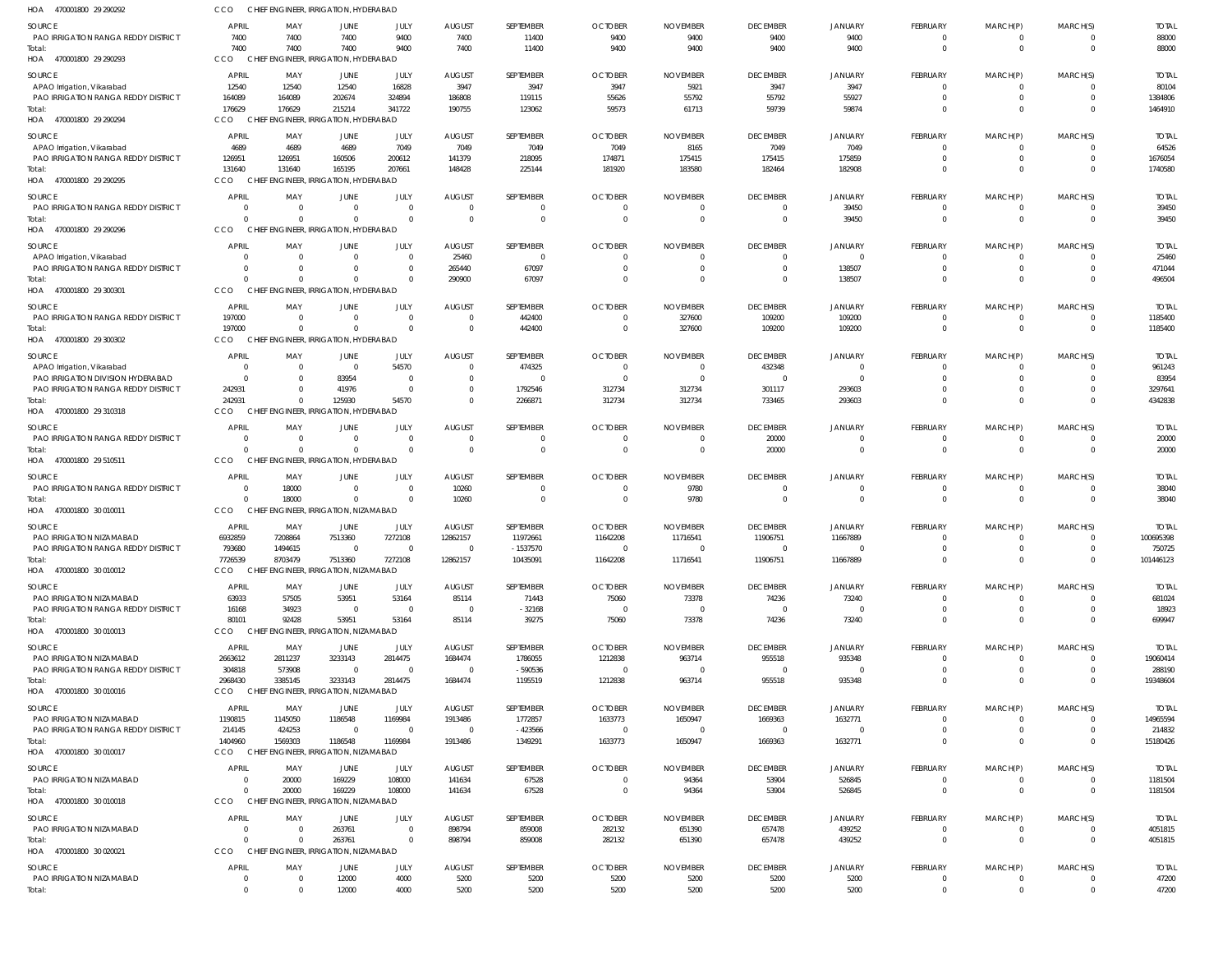| HOA 470001800 29 290292                                                  | CCO                         | CHIEF ENGINEER, IRRIGATION, HYDERABAD             |                                        |                            |                                  |                       |                               |                         |                              |                            |                             |                      |                          |                       |
|--------------------------------------------------------------------------|-----------------------------|---------------------------------------------------|----------------------------------------|----------------------------|----------------------------------|-----------------------|-------------------------------|-------------------------|------------------------------|----------------------------|-----------------------------|----------------------|--------------------------|-----------------------|
| SOURCE                                                                   | APRIL                       | MAY                                               | JUNE                                   | JULY                       | <b>AUGUST</b>                    | SEPTEMBER             | <b>OCTOBER</b>                | <b>NOVEMBER</b>         | <b>DECEMBER</b>              | JANUARY                    | <b>FEBRUARY</b>             | MARCH(P)             | MARCH(S)                 | <b>TOTAL</b>          |
| PAO IRRIGATION RANGA REDDY DISTRICT                                      | 7400                        | 7400                                              | 7400                                   | 9400                       | 7400                             | 11400                 | 9400                          | 9400                    | 9400                         | 9400                       | $\Omega$                    | $\Omega$             | $\Omega$                 | 88000                 |
| Total:<br>HOA 470001800 29 290293                                        | 7400<br>CCO<br><b>CHIEF</b> | 7400                                              | 7400<br>NGINEER, IRRIGATION, HYDERABAD | 9400                       | 7400                             | 11400                 | 9400                          | 9400                    | 9400                         | 9400                       | $\Omega$                    | $\Omega$             | $\Omega$                 | 88000                 |
|                                                                          |                             |                                                   |                                        |                            |                                  |                       |                               |                         |                              |                            |                             |                      |                          |                       |
| SOURCE<br>APAO Irrigation, Vikarabad                                     | APRIL<br>12540              | MAY<br>12540                                      | JUNE<br>12540                          | JULY<br>16828              | <b>AUGUST</b><br>3947            | SEPTEMBER<br>3947     | <b>OCTOBER</b><br>3947        | <b>NOVEMBER</b><br>5921 | <b>DECEMBER</b><br>3947      | JANUARY<br>3947            | <b>FEBRUARY</b><br>$\Omega$ | MARCH(P)             | MARCH(S)<br>$\Omega$     | <b>TOTAL</b><br>80104 |
| PAO IRRIGATION RANGA REDDY DISTRICT                                      | 164089                      | 164089                                            | 202674                                 | 324894                     | 186808                           | 119115                | 55626                         | 55792                   | 55792                        | 55927                      | $\Omega$                    | $\Omega$             | $\mathbf{0}$             | 1384806               |
| Total:                                                                   | 176629                      | 176629                                            | 215214                                 | 341722                     | 190755                           | 123062                | 59573                         | 61713                   | 59739                        | 59874                      | $\Omega$                    | $\Omega$             | $\Omega$                 | 1464910               |
| HOA 470001800 29 290294                                                  | CCO                         | CHIEF ENGINEER, IRRIGATION, HYDERABAD             |                                        |                            |                                  |                       |                               |                         |                              |                            |                             |                      |                          |                       |
| SOURCE                                                                   | APRIL                       | MAY                                               | JUNE                                   | JULY                       | <b>AUGUST</b>                    | SEPTEMBER             | <b>OCTOBER</b>                | <b>NOVEMBER</b>         | <b>DECEMBER</b>              | <b>JANUARY</b>             | FEBRUARY                    | MARCH(P)             | MARCH(S)                 | <b>TOTAL</b>          |
| APAO Irrigation, Vikarabad<br><b>PAO IRRIGATION RANGA REDDY DISTRICT</b> | 4689<br>126951              | 4689<br>126951                                    | 4689<br>160506                         | 7049<br>200612             | 7049<br>141379                   | 7049<br>218095        | 7049<br>174871                | 8165<br>175415          | 7049<br>175415               | 7049<br>175859             | $\Omega$                    |                      | $\Omega$<br>$\Omega$     | 64526<br>1676054      |
| Total:                                                                   | 131640                      | 131640                                            | 165195                                 | 207661                     | 148428                           | 225144                | 181920                        | 183580                  | 182464                       | 182908                     | 0                           | $\Omega$             | $\Omega$                 | 1740580               |
| HOA 470001800 29 290295                                                  | CCO                         | CHIEF ENGINEER, IRRIGATION, HYDERABAD             |                                        |                            |                                  |                       |                               |                         |                              |                            |                             |                      |                          |                       |
| SOURCE                                                                   | APRIL                       | MAY                                               | JUNE                                   | JULY                       | <b>AUGUST</b>                    | SEPTEMBER             | <b>OCTOBER</b>                | <b>NOVEMBER</b>         | <b>DECEMBER</b>              | <b>JANUARY</b>             | FEBRUARY                    | MARCH(P)             | MARCH(S)                 | <b>TOTAL</b>          |
| PAO IRRIGATION RANGA REDDY DISTRICT                                      | $\Omega$                    | - 0                                               | $\Omega$                               | $\overline{0}$             | $\overline{0}$                   |                       | $\mathbf 0$                   | $\Omega$                | $\mathbf{0}$                 | 39450                      | $\Omega$                    |                      | 0                        | 39450                 |
| Total:<br>HOA 470001800 29 290296                                        | $\Omega$<br>CCO             | $\Omega$<br>CHIEF ENGINEER, IRRIGATION, HYDERABAD | $\Omega$                               | $\Omega$                   | $\overline{0}$                   | $\Omega$              | $\overline{0}$                | $\overline{0}$          | $\overline{0}$               | 39450                      | $\overline{0}$              | $\mathbf 0$          | $\mathbf 0$              | 39450                 |
|                                                                          |                             |                                                   |                                        |                            |                                  |                       |                               |                         |                              |                            |                             |                      |                          |                       |
| SOURCE<br>APAO Irrigation, Vikarabad                                     | <b>APRIL</b><br>- 0         | MAY<br>$\Omega$                                   | JUNE<br>$\Omega$                       | JULY<br>$\Omega$           | <b>AUGUST</b><br>25460           | SEPTEMBER<br>$\Omega$ | <b>OCTOBER</b><br>$\Omega$    | <b>NOVEMBER</b><br>0    | <b>DECEMBER</b><br>$\Omega$  | <b>JANUARY</b><br>$\Omega$ | FEBRUARY                    | MARCH(P)             | MARCH(S)<br>$\Omega$     | <b>TOTAL</b><br>25460 |
| <b>PAO IRRIGATION RANGA REDDY DISTRICT</b>                               | $\Omega$                    | $\Omega$                                          | $\Omega$                               | $\Omega$                   | 265440                           | 67097                 | $\Omega$                      | $\Omega$                | $\Omega$                     | 138507                     | $\Omega$                    |                      | $\Omega$                 | 471044                |
| Total:                                                                   | $\cap$                      | $\Omega$                                          | $\Omega$                               | $\Omega$                   | 290900                           | 67097                 | $\Omega$                      | $\Omega$                | $\Omega$                     | 138507                     | 0                           | $\Omega$             | $\Omega$                 | 496504                |
| HOA 470001800 29 300301                                                  | CCO                         | CHIEF ENGINEER, IRRIGATION, HYDERABAD             |                                        |                            |                                  |                       |                               |                         |                              |                            |                             |                      |                          |                       |
| <b>SOURCE</b>                                                            | APRIL                       | MAY                                               | JUNE                                   | JULY                       | <b>AUGUST</b>                    | SEPTEMBER             | <b>OCTOBER</b>                | <b>NOVEMBER</b>         | <b>DECEMBER</b>              | <b>JANUARY</b>             | <b>FEBRUARY</b>             | MARCH(P)             | MARCH(S)                 | <b>TOTAL</b>          |
| <b>PAO IRRIGATION RANGA REDDY DISTRICT</b><br>Total:                     | 197000<br>197000            | $\overline{\mathbf{0}}$<br>$\Omega$               | $\Omega$<br>$\overline{0}$             | $\overline{0}$<br>$\Omega$ | $\overline{0}$<br>$\overline{0}$ | 442400<br>442400      | $\mathbf 0$<br>$\overline{0}$ | 327600<br>327600        | 109200<br>109200             | 109200<br>109200           | $\Omega$<br>$\overline{0}$  | $\mathbf 0$          | 0<br>$\mathbf 0$         | 1185400<br>1185400    |
| HOA 470001800 29 300302                                                  | CCO                         | CHIEF ENGINEER. IRRIGATION. HYDERABAD             |                                        |                            |                                  |                       |                               |                         |                              |                            |                             |                      |                          |                       |
| SOURCE                                                                   | APRIL                       | MAY                                               | JUNE                                   | JULY                       | AUGUST                           | SEPTEMBER             | <b>OCTOBER</b>                | <b>NOVEMBER</b>         | <b>DECEMBER</b>              | <b>JANUARY</b>             | FEBRUARY                    | MARCH(P)             | MARCH(S)                 | <b>TOTAL</b>          |
| APAO Irrigation, Vikarabad                                               |                             | $\overline{0}$                                    | $\overline{\mathbf{0}}$                | 54570                      | $\mathbf 0$                      | 474325                | $\Omega$                      | 0                       | 432348                       | $\Omega$                   | $\Omega$                    |                      | $\Omega$                 | 961243                |
| PAO IRRIGATION DIVISION HYDERABAD                                        | $\Omega$                    | $\Omega$                                          | 83954                                  | $\Omega$                   | $\overline{0}$                   | $\Omega$              | $\Omega$                      | $\Omega$                | $\Omega$                     | $\Omega$                   |                             | $\Omega$             | $\Omega$                 | 83954                 |
| PAO IRRIGATION RANGA REDDY DISTRICT<br>Total:                            | 242931<br>242931            | $\Omega$<br>$\Omega$                              | 41976<br>125930                        | $\overline{0}$<br>54570    | $\mathbf 0$<br>$\Omega$          | 1792546<br>2266871    | 312734<br>312734              | 312734<br>312734        | 301117<br>733465             | 293603<br>293603           | $\Omega$                    | $\Omega$             | $\Omega$<br>$\Omega$     | 3297641<br>4342838    |
| HOA 470001800 29310318                                                   | CCO                         | CHIEF ENGINEER, IRRIGATION, HYDERABAD             |                                        |                            |                                  |                       |                               |                         |                              |                            |                             |                      |                          |                       |
| SOURCE                                                                   | APRIL                       | MAY                                               | JUNE                                   | JULY                       | <b>AUGUST</b>                    | SEPTEMBER             | <b>OCTOBER</b>                | <b>NOVEMBER</b>         | <b>DECEMBER</b>              | <b>JANUARY</b>             | FEBRUARY                    | MARCH(P)             | MARCH(S)                 | <b>TOTAL</b>          |
| <b>PAO IRRIGATION RANGA REDDY DISTRICT</b>                               | $\Omega$                    | $\Omega$                                          | $\Omega$                               | $\Omega$                   | $\overline{0}$                   | - 0                   | $\Omega$                      | $\Omega$                | 20000                        | 0                          | $\Omega$                    | - 0                  | 0                        | 20000                 |
| Total:                                                                   | $\Omega$                    | $\Omega$                                          | $\Omega$                               | $\Omega$                   | $\overline{0}$                   | $\Omega$              | $\overline{0}$                | $\mathbf 0$             | 20000                        | $\mathbf 0$                | $\overline{0}$              | $\mathbf 0$          | $\mathbf 0$              | 20000                 |
| HOA 470001800 29 510511                                                  | CCO                         | CHIEF ENGINEER, IRRIGATION, HYDERABAD             |                                        |                            |                                  |                       |                               |                         |                              |                            |                             |                      |                          |                       |
| SOURCE                                                                   | <b>APRIL</b>                | MAY                                               | JUNE                                   | JULY                       | <b>AUGUST</b>                    | SEPTEMBER             | <b>OCTOBER</b>                | <b>NOVEMBER</b>         | <b>DECEMBER</b>              | JANUARY                    | <b>FEBRUARY</b>             | MARCH(P)             | MARCH(S)                 | <b>TOTAL</b>          |
| PAO IRRIGATION RANGA REDDY DISTRICT<br>Total:                            | $\Omega$                    | 18000<br>18000                                    | $\Omega$<br>$\Omega$                   | $\Omega$<br>$\Omega$       | 10260<br>10260                   | $\Omega$              | $\Omega$<br>$\overline{0}$    | 9780<br>9780            | $\mathbf{0}$<br>$\mathbf{0}$ | $\Omega$<br>$\mathbf 0$    | $\Omega$<br>$\overline{0}$  | $\mathbf 0$          | 0<br>$\mathbf{0}$        | 38040<br>38040        |
| HOA 470001800 30 010011                                                  | CCO                         | CHIEF ENGINEER, IRRIGATION, NIZAMABAD             |                                        |                            |                                  |                       |                               |                         |                              |                            |                             |                      |                          |                       |
| SOURCE                                                                   | APRIL                       | MAY                                               | JUNE                                   | JULY                       | <b>AUGUST</b>                    | SEPTEMBER             | <b>OCTOBER</b>                | <b>NOVEMBER</b>         | <b>DECEMBER</b>              | <b>JANUARY</b>             | FEBRUARY                    | MARCH(P)             | MARCH(S)                 | <b>TOTAL</b>          |
| PAO IRRIGATION NIZAMABAD                                                 | 6932859                     | 7208864                                           | 7513360                                | 7272108                    | 12862157                         | 11972661              | 11642208                      | 11716541                | 11906751                     | 11667889                   | $\Omega$                    |                      | $\Omega$                 | 100695398             |
| PAO IRRIGATION RANGA REDDY DISTRICT                                      | 793680                      | 1494615                                           | $\Omega$                               | $\Omega$                   | $\Omega$                         | $-1537570$            |                               |                         |                              |                            |                             |                      |                          | 750725                |
| Total:<br>HOA 470001800 30 010012                                        | 7726539<br>CCO              | 8703479<br>CHIEF ENGINEER, IRRIGATION, NIZAMABAD  | 7513360                                | 7272108                    | 12862157                         | 10435091              | 11642208                      | 11716541                | 11906751                     | 11667889                   | $\overline{0}$              | $\mathbf 0$          | $\overline{0}$           | 101446123             |
|                                                                          | APRIL                       | MAY                                               | <b>JUNE</b>                            | JULY                       |                                  | SEPTEMBER             | <b>OCTOBER</b>                | <b>NOVEMBER</b>         | <b>DECEMBER</b>              |                            | <b>FEBRUARY</b>             | MARCH(P)             | MARCH(S)                 | <b>TOTAL</b>          |
| SOURCE<br>PAO IRRIGATION NIZAMABAD                                       | 63933                       | 57505                                             | 53951                                  | 53164                      | <b>AUGUST</b><br>85114           | 71443                 | 75060                         | 73378                   | 74236                        | JANUARY<br>73240           |                             |                      | 0                        | 681024                |
| <b>PAO IRRIGATION RANGA REDDY DISTRICT</b>                               | 16168                       | 34923                                             | $\overline{0}$                         | $\Omega$                   | $\overline{0}$                   | $-32168$              | $\overline{0}$                | $\overline{\mathbf{0}}$ | $\Omega$                     | $\Omega$                   | $\Omega$                    | - 0                  | $\Omega$                 | 18923                 |
| Total:                                                                   | 80101                       | 92428                                             | 53951                                  | 53164                      | 85114                            | 39275                 | 75060                         | 73378                   | 74236                        | 73240                      | $\Omega$                    | $\Omega$             | $\Omega$                 | 699947                |
| HOA 470001800 30 010013                                                  | CCO                         | CHIEF ENGINEER, IRRIGATION, NIZAMABAD             |                                        |                            |                                  |                       |                               |                         |                              |                            |                             |                      |                          |                       |
| SOURCE                                                                   | APRIL                       | MAY                                               | JUNE                                   | JULY                       | <b>AUGUST</b>                    | SEPTEMBER             | <b>OCTOBER</b>                | <b>NOVEMBER</b>         | <b>DECEMBER</b>              | JANUARY                    | <b>FEBRUARY</b>             | MARCH(P)             | MARCH(S)                 | TOTAL                 |
| PAO IRRIGATION NIZAMABAD<br><b>PAO IRRIGATION RANGA REDDY DISTRICT</b>   | 2663612<br>304818           | 2811237<br>573908                                 | 3233143<br>$\overline{\mathbf{0}}$     | 2814475<br>$\Omega$        | 1684474<br>$\overline{0}$        | 1786055<br>$-590536$  | 1212838<br>- 0                | 963714<br>- 0           | 955518<br>$\overline{0}$     | 935348<br>$\Omega$         | $\Omega$<br>$\Omega$        | $\Omega$             | $\Omega$<br>$\mathbf{0}$ | 19060414<br>288190    |
| Total:                                                                   | 2968430                     | 3385145                                           | 3233143                                | 2814475                    | 1684474                          | 1195519               | 1212838                       | 963714                  | 955518                       | 935348                     | $\Omega$                    | $\Omega$             | $\Omega$                 | 19348604              |
| HOA 470001800 30 010016                                                  | CCO                         | CHIEF ENGINEER, IRRIGATION, NIZAMABAD             |                                        |                            |                                  |                       |                               |                         |                              |                            |                             |                      |                          |                       |
| SOURCE                                                                   | APRIL                       | MAY                                               | JUNE                                   | JULY                       | <b>AUGUST</b>                    | SEPTEMBER             | <b>OCTOBER</b>                | <b>NOVEMBER</b>         | <b>DECEMBER</b>              | <b>JANUARY</b>             | FEBRUARY                    | MARCH(P)             | MARCH(S)                 | TOTAL                 |
| PAO IRRIGATION NIZAMABAD                                                 | 1190815                     | 1145050                                           | 1186548                                | 1169984                    | 1913486                          | 1772857               | 1633773                       | 1650947                 | 1669363                      | 1632771                    | $\Omega$                    | $\Omega$             | $\Omega$                 | 14965594              |
| <b>PAO IRRIGATION RANGA REDDY DISTRICT</b><br>Total:                     | 214145<br>1404960           | 424253<br>1569303                                 | $\overline{\mathbf{0}}$<br>1186548     | $\Omega$<br>1169984        | $\overline{0}$<br>1913486        | $-423566$<br>1349291  | $\Omega$<br>1633773           | $\Omega$<br>1650947     | $\Omega$<br>1669363          | $\Omega$<br>1632771        | $\Omega$                    | $\Omega$             | $\Omega$<br>$\Omega$     | 214832<br>15180426    |
| HOA 470001800 30 010017                                                  | CCO                         | CHIEF ENGINEER, IRRIGATION, NIZAMABAD             |                                        |                            |                                  |                       |                               |                         |                              |                            |                             |                      |                          |                       |
| SOURCE                                                                   | APRIL                       | MAY                                               | JUNE                                   | JULY                       | <b>AUGUST</b>                    | SEPTEMBER             | <b>OCTOBER</b>                | <b>NOVEMBER</b>         | <b>DECEMBER</b>              | JANUARY                    | FEBRUARY                    | MARCH(P)             | MARCH(S)                 | TOTAL                 |
| PAO IRRIGATION NIZAMABAD                                                 | $\Omega$                    | 20000                                             | 169229                                 | 108000                     | 141634                           | 67528                 | $\overline{0}$                | 94364                   | 53904                        | 526845                     | $\Omega$                    |                      | $\Omega$                 | 1181504               |
| Total:                                                                   | $\Omega$                    | 20000                                             | 169229                                 | 108000                     | 141634                           | 67528                 | $\overline{0}$                | 94364                   | 53904                        | 526845                     | $\Omega$                    | $\Omega$             | $\overline{0}$           | 1181504               |
| HOA 470001800 30 010018                                                  | CCO                         | CHIEF ENGINEER, IRRIGATION, NIZAMABAD             |                                        |                            |                                  |                       |                               |                         |                              |                            |                             |                      |                          |                       |
| SOURCE                                                                   | APRIL                       | MAY                                               | JUNE                                   | JULY                       | <b>AUGUST</b>                    | SEPTEMBER             | <b>OCTOBER</b>                | <b>NOVEMBER</b>         | <b>DECEMBER</b>              | <b>JANUARY</b>             | FEBRUARY                    | MARCH(P)             | MARCH(S)                 | <b>TOTAL</b>          |
| PAO IRRIGATION NIZAMABAD<br>Total:                                       | $\Omega$<br>$\Omega$        | $\Omega$<br>$\Omega$                              | 263761<br>263761                       | $\Omega$<br>$\Omega$       | 898794<br>898794                 | 859008<br>859008      | 282132<br>282132              | 651390<br>651390        | 657478<br>657478             | 439252<br>439252           | $\Omega$<br>$\Omega$        | $\Omega$<br>$\Omega$ | $\Omega$<br>$\Omega$     | 4051815<br>4051815    |
| HOA 470001800 30 020021                                                  | CCO                         | CHIEF ENGINEER, IRRIGATION, NIZAMABAD             |                                        |                            |                                  |                       |                               |                         |                              |                            |                             |                      |                          |                       |
| <b>SOURCE</b>                                                            | APRIL                       | MAY                                               | JUNE                                   | JULY                       | <b>AUGUST</b>                    | SEPTEMBER             | <b>OCTOBER</b>                | <b>NOVEMBER</b>         | <b>DECEMBER</b>              | JANUARY                    | <b>FEBRUARY</b>             | MARCH(P)             | MARCH(S)                 | <b>TOTAL</b>          |
| PAO IRRIGATION NIZAMABAD                                                 | $\Omega$                    | $\overline{\mathbf{0}}$                           | 12000                                  | 4000                       | 5200                             | 5200                  | 5200                          | 5200                    | 5200                         | 5200                       | $\overline{0}$              | - 0                  | $\mathbf{0}$             | 47200                 |
| Total:                                                                   | $\Omega$                    | $\Omega$                                          | 12000                                  | 4000                       | 5200                             | 5200                  | 5200                          | 5200                    | 5200                         | 5200                       | $\overline{0}$              | $\Omega$             | $\Omega$                 | 47200                 |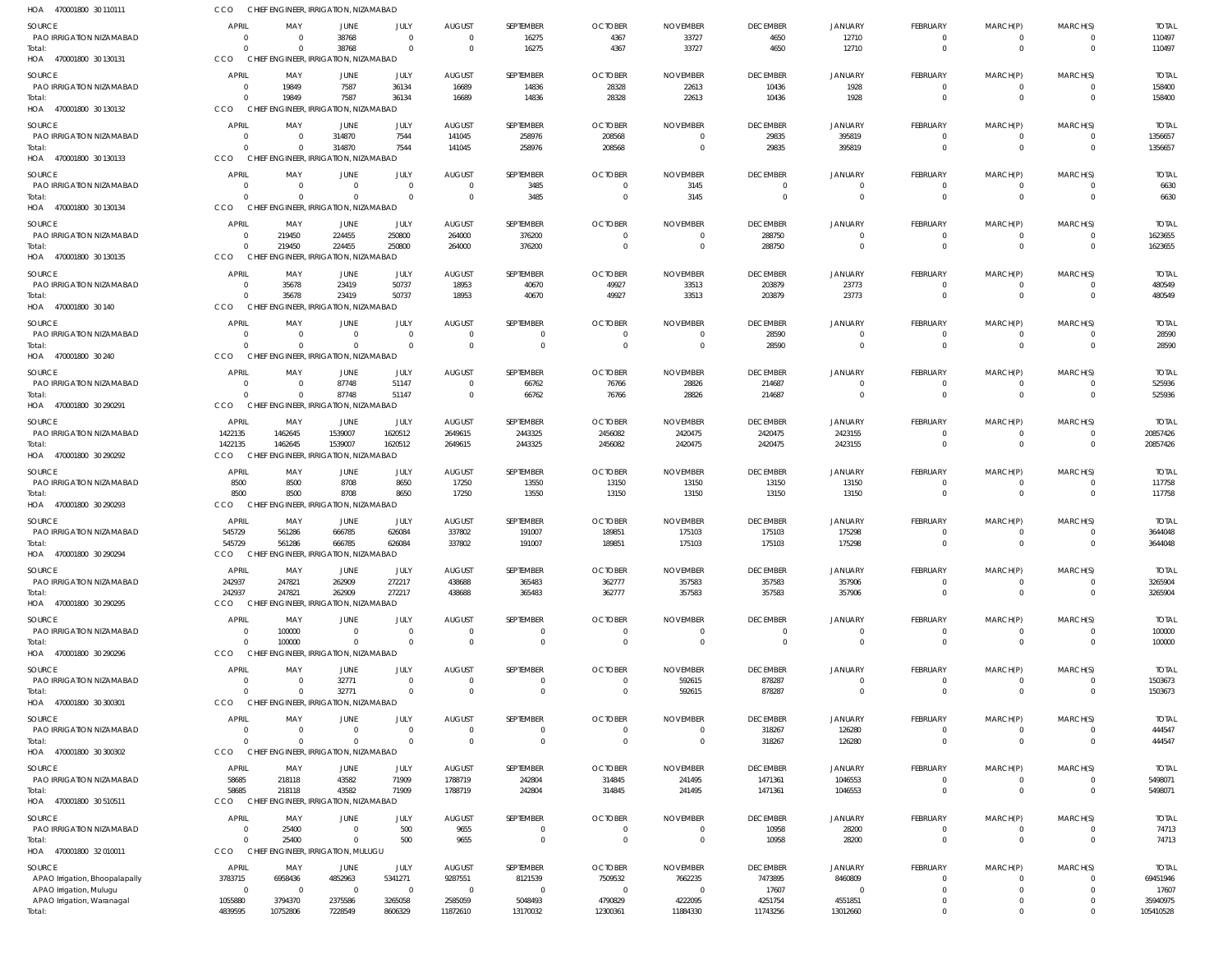| HOA 470001800 30 110111                                   | CCO                            | CHIEF ENGINEER, IRRIGATION, NIZAMABAD             |                            |                            |                                  |                               |                                  |                                     |                          |                          |                             |                         |                      |                         |
|-----------------------------------------------------------|--------------------------------|---------------------------------------------------|----------------------------|----------------------------|----------------------------------|-------------------------------|----------------------------------|-------------------------------------|--------------------------|--------------------------|-----------------------------|-------------------------|----------------------|-------------------------|
| SOURCE                                                    | APRIL                          | MAY                                               | JUNE                       | JULY                       | <b>AUGUST</b>                    | SEPTEMBER                     | <b>OCTOBER</b>                   | <b>NOVEMBER</b>                     | <b>DECEMBER</b>          | <b>JANUARY</b>           | FEBRUARY                    | MARCH(P)                | MARCH(S)             | <b>TOTAL</b>            |
| PAO IRRIGATION NIZAMABAD<br>Total:                        | $\Omega$<br>$\Omega$           | $\Omega$<br>$\Omega$                              | 38768<br>38768             | $\Omega$<br>$\Omega$       | $\Omega$<br>$\overline{0}$       | 16275<br>16275                | 4367<br>4367                     | 33727<br>33727                      | 4650<br>4650             | 12710<br>12710           | 0<br>$\mathbf 0$            | 0<br>$\mathbf 0$        | $\Omega$             | 110497<br>110497        |
| HOA 470001800 30 130131                                   | <b>CCO</b>                     | CHIEF ENGINEER, IRRIGATION, NIZAMABAD             |                            |                            |                                  |                               |                                  |                                     |                          |                          |                             |                         |                      |                         |
| <b>SOURCE</b><br>PAO IRRIGATION NIZAMABAD                 | <b>APRIL</b><br>$\overline{0}$ | MAY<br>19849                                      | JUNE<br>7587               | JULY<br>36134              | <b>AUGUST</b><br>16689           | SEPTEMBER<br>14836            | <b>OCTOBER</b><br>28328          | <b>NOVEMBER</b><br>22613            | <b>DECEMBER</b><br>10436 | <b>JANUARY</b><br>1928   | <b>FEBRUARY</b><br>0        | MARCH(P)<br>$\Omega$    | MARCH(S)             | <b>TOTAL</b><br>158400  |
| Total:                                                    | $\Omega$                       | 19849                                             | 7587                       | 36134                      | 16689                            | 14836                         | 28328                            | 22613                               | 10436                    | 1928                     | $\mathbf 0$                 | $\Omega$                | $\Omega$             | 158400                  |
| HOA 470001800 30 130132                                   | CCO                            | CHIEF ENGINEER, IRRIGATION, NIZAMABAD             |                            |                            |                                  |                               |                                  |                                     |                          |                          |                             |                         |                      |                         |
| SOURCE<br>PAO IRRIGATION NIZAMABAD                        | <b>APRIL</b><br>$\Omega$       | MAY<br>$\Omega$                                   | JUNE<br>314870             | JULY<br>7544               | <b>AUGUST</b><br>141045          | SEPTEMBER<br>258976           | <b>OCTOBER</b><br>208568         | <b>NOVEMBER</b><br>$\overline{0}$   | <b>DECEMBER</b><br>29835 | <b>JANUARY</b><br>395819 | <b>FEBRUARY</b><br>$\Omega$ | MARCH(P)<br>$^{\circ}$  | MARCH(S)             | <b>TOTAL</b><br>1356657 |
| Total:<br>HOA 470001800 30 130133                         | $\Omega$<br>CCO                | $\Omega$<br>CHIEF ENGINEER, IRRIGATION, NIZAMABAD | 314870                     | 7544                       | 141045                           | 258976                        | 208568                           | $\Omega$                            | 29835                    | 395819                   | $\Omega$                    | $\Omega$                | $\Omega$             | 1356657                 |
| <b>SOURCE</b>                                             | APRIL                          | MAY                                               | JUNE                       | JULY                       | <b>AUGUST</b>                    | SEPTEMBER                     | <b>OCTOBER</b>                   | <b>NOVEMBER</b>                     | <b>DECEMBER</b>          | <b>JANUARY</b>           | <b>FEBRUARY</b>             | MARCH(P)                | MARCH(S)             | <b>TOTAL</b>            |
| PAO IRRIGATION NIZAMABAD<br>Total:                        | $\Omega$<br>$\Omega$           | $\Omega$<br>- 0                                   | $\Omega$<br>$\Omega$       | $\Omega$<br>$\Omega$       | $\overline{0}$<br>$\Omega$       | 3485<br>3485                  | $\overline{0}$<br>$\overline{0}$ | 3145<br>3145                        | $\Omega$<br>$\Omega$     | $\Omega$<br>$\Omega$     | 0<br>$\Omega$               | 0<br>$\Omega$           | $\Omega$<br>$\Omega$ | 6630<br>6630            |
| HOA 470001800 30 130134                                   | <b>CCO</b>                     | CHIEF ENGINEER, IRRIGATION, NIZAMABAD             |                            |                            |                                  |                               |                                  |                                     |                          |                          |                             |                         |                      |                         |
| SOURCE                                                    | <b>APRIL</b>                   | MAY                                               | JUNE                       | JULY                       | <b>AUGUST</b>                    | SEPTEMBER                     | <b>OCTOBER</b>                   | <b>NOVEMBER</b>                     | <b>DECEMBER</b>          | <b>JANUARY</b>           | <b>FEBRUARY</b>             | MARCH(P)                | MARCH(S)             | <b>TOTAL</b>            |
| PAO IRRIGATION NIZAMABAD<br>Total:                        | $^{\circ}$<br>$\Omega$         | 219450<br>219450                                  | 224455<br>224455           | 250800<br>250800           | 264000<br>264000                 | 376200<br>376200              | $\Omega$<br>$\overline{0}$       | $\Omega$<br>$\overline{0}$          | 288750<br>288750         | $\Omega$<br>$\Omega$     | 0<br>$\Omega$               | $\Omega$<br>$\Omega$    | $\Omega$             | 1623655<br>1623655      |
| HOA 470001800 30 130135                                   | CCO                            | CHIEF ENGINEER, IRRIGATION, NIZAMABAD             |                            |                            |                                  |                               |                                  |                                     |                          |                          |                             |                         |                      |                         |
| SOURCE                                                    | <b>APRIL</b>                   | MAY                                               | JUNE                       | JULY                       | <b>AUGUST</b>                    | SEPTEMBER                     | <b>OCTOBER</b>                   | <b>NOVEMBER</b>                     | <b>DECEMBER</b>          | <b>JANUARY</b>           | <b>FEBRUARY</b>             | MARCH(P)                | MARCH(S)             | <b>TOTAL</b>            |
| PAO IRRIGATION NIZAMABAD<br>Total:                        | $\Omega$<br>$\Omega$           | 35678<br>35678                                    | 23419<br>23419             | 50737<br>50737             | 18953<br>18953                   | 40670<br>40670                | 49927<br>49927                   | 33513<br>33513                      | 203879<br>203879         | 23773<br>23773           | 0<br>$\mathbf 0$            | 0<br>$\mathbf 0$        | $\Omega$             | 480549<br>480549        |
| HOA 470001800 30 140                                      | CCO                            | CHIEF ENGINEER, IRRIGATION, NIZAMABAD             |                            |                            |                                  |                               |                                  |                                     |                          |                          |                             |                         |                      |                         |
| <b>SOURCE</b>                                             | APRIL                          | MAY                                               | JUNE                       | JULY                       | <b>AUGUST</b>                    | SEPTEMBER                     | <b>OCTOBER</b>                   | <b>NOVEMBER</b>                     | <b>DECEMBER</b>          | <b>JANUARY</b>           | FEBRUARY                    | MARCH(P)                | MARCH(S)             | <b>TOTAL</b>            |
| PAO IRRIGATION NIZAMABAD<br>Total:                        | $\Omega$<br>$\Omega$           | $\Omega$<br>$\Omega$                              | $\Omega$<br>$\Omega$       | $\Omega$<br>$\Omega$       | $\overline{0}$<br>$\Omega$       | $\overline{0}$<br>$\Omega$    | $\overline{0}$<br>$\Omega$       | $\mathbf 0$<br>$\Omega$             | 28590<br>28590           | $\Omega$<br>$\Omega$     | 0<br>$\Omega$               | $\Omega$<br>$\Omega$    |                      | 28590<br>28590          |
| HOA 470001800 30 240                                      | CCO                            | CHIEF ENGINEER, IRRIGATION, NIZAMABAD             |                            |                            |                                  |                               |                                  |                                     |                          |                          |                             |                         |                      |                         |
| SOURCE                                                    | APRIL                          | MAY                                               | JUNE                       | JULY                       | <b>AUGUST</b>                    | SEPTEMBER                     | <b>OCTOBER</b>                   | <b>NOVEMBER</b>                     | <b>DECEMBER</b>          | <b>JANUARY</b>           | <b>FEBRUARY</b>             | MARCH(P)                | MARCH(S)             | <b>TOTAL</b>            |
| PAO IRRIGATION NIZAMABAD<br>Total:                        | $\Omega$<br>$\Omega$           | $\Omega$<br>- 0                                   | 87748<br>87748             | 51147<br>51147             | $\overline{0}$<br>$\overline{0}$ | 66762<br>66762                | 76766<br>76766                   | 28826<br>28826                      | 214687<br>214687         | $\Omega$<br>$\Omega$     | 0<br>$\mathbf 0$            | $\Omega$<br>$\Omega$    | $\Omega$<br>$\Omega$ | 525936<br>525936        |
| HOA 470001800 30 290291                                   | CCO                            | CHIEF ENGINEER, IRRIGATION, NIZAMABAD             |                            |                            |                                  |                               |                                  |                                     |                          |                          |                             |                         |                      |                         |
| SOURCE                                                    | APRIL                          | MAY                                               | JUNE                       | JULY                       | <b>AUGUST</b>                    | SEPTEMBER                     | <b>OCTOBER</b>                   | <b>NOVEMBER</b>                     | <b>DECEMBER</b>          | <b>JANUARY</b>           | <b>FEBRUARY</b>             | MARCH(P)                | MARCH(S)             | <b>TOTAL</b>            |
| PAO IRRIGATION NIZAMABAD<br>Total:                        | 1422135<br>1422135             | 1462645<br>1462645                                | 1539007<br>1539007         | 1620512<br>1620512         | 2649615<br>2649615               | 2443325<br>2443325            | 2456082<br>2456082               | 2420475<br>2420475                  | 2420475<br>2420475       | 2423155<br>2423155       | 0<br>$\Omega$               | $\Omega$<br>$\Omega$    | $\Omega$             | 20857426<br>20857426    |
| HOA 470001800 30 290292                                   | CCO                            | CHIEF ENGINEER, IRRIGATION, NIZAMABAD             |                            |                            |                                  |                               |                                  |                                     |                          |                          |                             |                         |                      |                         |
| SOURCE                                                    | <b>APRIL</b>                   | MAY                                               | JUNE                       | JULY                       | <b>AUGUST</b>                    | <b>SEPTEMBER</b>              | <b>OCTOBER</b>                   | <b>NOVEMBER</b>                     | <b>DECEMBER</b>          | <b>JANUARY</b>           | <b>FEBRUARY</b>             | MARCH(P)                | MARCH(S)             | <b>TOTAL</b>            |
| PAO IRRIGATION NIZAMABAD<br>Total:                        | 8500<br>8500                   | 8500<br>8500                                      | 8708<br>8708               | 8650<br>8650               | 17250<br>17250                   | 13550<br>13550                | 13150<br>13150                   | 13150<br>13150                      | 13150<br>13150           | 13150<br>13150           | 0<br>$\mathbf 0$            | $\Omega$                | $\Omega$             | 117758<br>117758        |
| HOA 470001800 30 290293                                   | CCO                            | CHIEF ENGINEER, IRRIGATION, NIZAMABAD             |                            |                            |                                  |                               |                                  |                                     |                          |                          |                             |                         |                      |                         |
| SOURCE                                                    | APRIL                          | MAY                                               | JUNE                       | JULY                       | <b>AUGUST</b>                    | SEPTEMBER                     | <b>OCTOBER</b>                   | <b>NOVEMBER</b>                     | <b>DECEMBER</b>          | JANUARY                  | <b>FEBRUARY</b>             | MARCH(P)                | MARCH(S)             | <b>TOTAL</b>            |
| PAO IRRIGATION NIZAMABAD<br>Total:                        | 545729<br>545729               | 561286<br>561286                                  | 666785<br>666785           | 626084<br>626084           | 337802<br>337802                 | 191007<br>191007              | 189851<br>189851                 | 175103<br>175103                    | 175103<br>175103         | 175298<br>175298         | $\Omega$<br>$\Omega$        | $\Omega$<br>$\Omega$    |                      | 3644048<br>3644048      |
| HOA 470001800 30 290294                                   | CCO                            | CHIEF ENGINEER, IRRIGATION, NIZAMABAD             |                            |                            |                                  |                               |                                  |                                     |                          |                          |                             |                         |                      |                         |
| <b>SOURCE</b>                                             | APRIL                          | MAY                                               | JUNE                       | JULY                       | <b>AUGUST</b>                    | SEPTEMBER                     | <b>OCTOBER</b>                   | <b>NOVEMBER</b>                     | <b>DECEMBER</b>          | JANUARY                  | <b>FEBRUARY</b>             | MARCH(P)                | MARCH(S)             | <b>TOTAL</b>            |
| PAO IRRIGATION NIZAMABAD<br>Total:                        | 242937<br>242937               | 247821<br>247821                                  | 262909<br>262909           | 272217<br>272217           | 438688<br>438688                 | 365483<br>365483              | 362777<br>362777                 | 357583<br>357583                    | 357583<br>357583         | 357906<br>357906         | 0<br>$\mathbf 0$            | 0<br>$\mathbf 0$        | $\Omega$             | 3265904<br>3265904      |
| HOA 470001800 30 290295                                   | CCO                            | CHIEF ENGINEER, IRRIGATION, NIZAMABAD             |                            |                            |                                  |                               |                                  |                                     |                          |                          |                             |                         |                      |                         |
| SOURCE                                                    | <b>APRIL</b>                   | MAY                                               | JUNE                       | JULY                       | <b>AUGUST</b>                    | SEPTEMBER                     | <b>OCTOBER</b>                   | <b>NOVEMBER</b>                     | <b>DECEMBER</b>          | <b>JANUARY</b>           | <b>FEBRUARY</b>             | MARCH(P)                | MARCH(S)             | <b>TOTAL</b>            |
| PAO IRRIGATION NIZAMABAD<br>Total:                        | $\overline{0}$<br>$\Omega$     | 100000<br>100000                                  | $\overline{0}$<br>$\Omega$ | $\Omega$                   | $\overline{0}$<br>$\overline{0}$ | 0<br>$\mathbf 0$              | 0<br>$\overline{0}$              | 0<br>$\overline{0}$                 | $\Omega$<br>$\Omega$     | $\Omega$                 | 0<br>$\Omega$               | $\Omega$                | $\Omega$             | 100000<br>100000        |
| HOA 470001800 30 290296                                   | CCO                            | CHIEF ENGINEER, IRRIGATION, NIZAMABAD             |                            |                            |                                  |                               |                                  |                                     |                          |                          |                             |                         |                      |                         |
| <b>SOURCE</b>                                             | <b>APRIL</b>                   | MAY                                               | <b>JUNE</b>                | JULY                       | <b>AUGUST</b>                    | SEPTEMBER                     | <b>OCTOBER</b>                   | <b>NOVEMBER</b>                     | <b>DECEMBER</b>          | <b>JANUARY</b>           | FEBRUARY                    | MARCH(P)                | MARCH(S)             | <b>TOTAL</b>            |
| PAO IRRIGATION NIZAMABAD<br>Total:                        | $\Omega$<br>$\Omega$           | $\overline{0}$<br>$\overline{0}$                  | 32771<br>32771             | $\overline{0}$<br>$\Omega$ | $\overline{0}$<br>$\overline{0}$ | $\overline{0}$<br>$\mathbf 0$ | $\overline{0}$<br>$\overline{0}$ | 592615<br>592615                    | 878287<br>878287         | $\Omega$                 | 0<br>$\mathbf 0$            | $\mathbf 0$             | $\Omega$             | 1503673<br>1503673      |
| HOA 470001800 30 300301                                   | CCO                            | CHIEF ENGINEER, IRRIGATION, NIZAMABAD             |                            |                            |                                  |                               |                                  |                                     |                          |                          |                             |                         |                      |                         |
| SOURCE                                                    | APRIL                          | MAY                                               | JUNE                       | JULY                       | AUGUST                           | SEPTEMBER                     | <b>OCTOBER</b>                   | <b>NOVEMBER</b>                     | <b>DECEMBER</b>          | <b>JANUARY</b>           | FEBRUARY                    | MARCH(P)                | MARCH(S)             | <b>TOTAL</b>            |
| PAO IRRIGATION NIZAMABAD<br>Total:                        | $^{\circ}$<br>$\Omega$         | $^{\circ}$<br>$\Omega$                            | $\overline{0}$<br>$\Omega$ | $\Omega$<br>$\Omega$       | $\mathbf{0}$<br>$\Omega$         | 0<br>$\Omega$                 | $\overline{0}$<br>$\Omega$       | $\mathbf 0$<br>$\Omega$             | 318267<br>318267         | 126280<br>126280         | 0<br>$\Omega$               | 0<br>$\Omega$           | $\Omega$             | 444547<br>444547        |
| HOA 470001800 30 300302                                   | <b>CCO</b>                     | CHIEF ENGINEER, IRRIGATION, NIZAMABAD             |                            |                            |                                  |                               |                                  |                                     |                          |                          |                             |                         |                      |                         |
| SOURCE                                                    | APRIL                          | MAY                                               | JUNE                       | <b>JULY</b>                | <b>AUGUST</b>                    | SEPTEMBER                     | <b>OCTOBER</b>                   | <b>NOVEMBER</b>                     | <b>DECEMBER</b>          | <b>JANUARY</b>           | FEBRUARY                    | MARCH(P)                | MARCH(S)             | <b>TOTAL</b>            |
| PAO IRRIGATION NIZAMABAD<br>Total:                        | 58685<br>58685                 | 218118<br>218118                                  | 43582<br>43582             | 71909<br>71909             | 1788719<br>1788719               | 242804<br>242804              | 314845<br>314845                 | 241495<br>241495                    | 1471361<br>1471361       | 1046553<br>1046553       | 0<br>$\mathbf 0$            | $\Omega$<br>$\mathbf 0$ | $\Omega$             | 5498071<br>5498071      |
| HOA 470001800 30 510511                                   | CCO                            | CHIEF ENGINEER, IRRIGATION, NIZAMABAD             |                            |                            |                                  |                               |                                  |                                     |                          |                          |                             |                         |                      |                         |
| SOURCE                                                    | <b>APRIL</b>                   | MAY                                               | JUNE                       | JULY                       | <b>AUGUST</b>                    | SEPTEMBER                     | <b>OCTOBER</b>                   | <b>NOVEMBER</b>                     | <b>DECEMBER</b>          | <b>JANUARY</b>           | FEBRUARY                    | MARCH(P)                | MARCH(S)             | <b>TOTAL</b>            |
| PAO IRRIGATION NIZAMABAD<br>Total:                        | $^{\circ}$<br>$\Omega$         | 25400<br>25400                                    | $\Omega$<br>$\Omega$       | 500<br>500                 | 9655<br>9655                     | $\Omega$<br>$\mathbf 0$       | $\Omega$<br>$\overline{0}$       | $\Omega$<br>$\overline{0}$          | 10958<br>10958           | 28200<br>28200           | 0<br>$\mathbf 0$            | $\Omega$                | $\Omega$             | 74713<br>74713          |
| HOA 470001800 32 010011                                   | CCO                            | CHIEF ENGINEER, IRRIGATION, MULUGU                |                            |                            |                                  |                               |                                  |                                     |                          |                          |                             |                         |                      |                         |
| SOURCE                                                    | APRIL                          | MAY                                               | JUNE                       | JULY                       | <b>AUGUST</b>                    | SEPTEMBER                     | <b>OCTOBER</b>                   | <b>NOVEMBER</b>                     | <b>DECEMBER</b>          | <b>JANUARY</b>           | FEBRUARY                    | MARCH(P)                | MARCH(S)             | <b>TOTAL</b>            |
| APAO Irrigation, Bhoopalapally<br>APAO Irrigation, Mulugu | 3783715<br>$\Omega$            | 6958436<br>$\overline{0}$                         | 4852963<br>$\overline{0}$  | 5341271<br>$\overline{0}$  | 9287551<br>$\mathbf 0$           | 8121539<br>$\overline{0}$     | 7509532<br>$\overline{0}$        | 7662235<br>$\overline{\phantom{0}}$ | 7473895<br>17607         | 8460809                  |                             |                         |                      | 69451946<br>17607       |
| APAO Irrigation, Waranagal                                | 1055880                        | 3794370                                           | 2375586                    | 3265058                    | 2585059                          | 5048493                       | 4790829                          | 4222095                             | 4251754                  | 4551851                  |                             |                         |                      | 35940975                |
| Total:                                                    | 4839595                        | 10752806                                          | 7228549                    | 8606329                    | 11872610                         | 13170032                      | 12300361                         | 11884330                            | 11743256                 | 13012660                 |                             |                         |                      | 105410528               |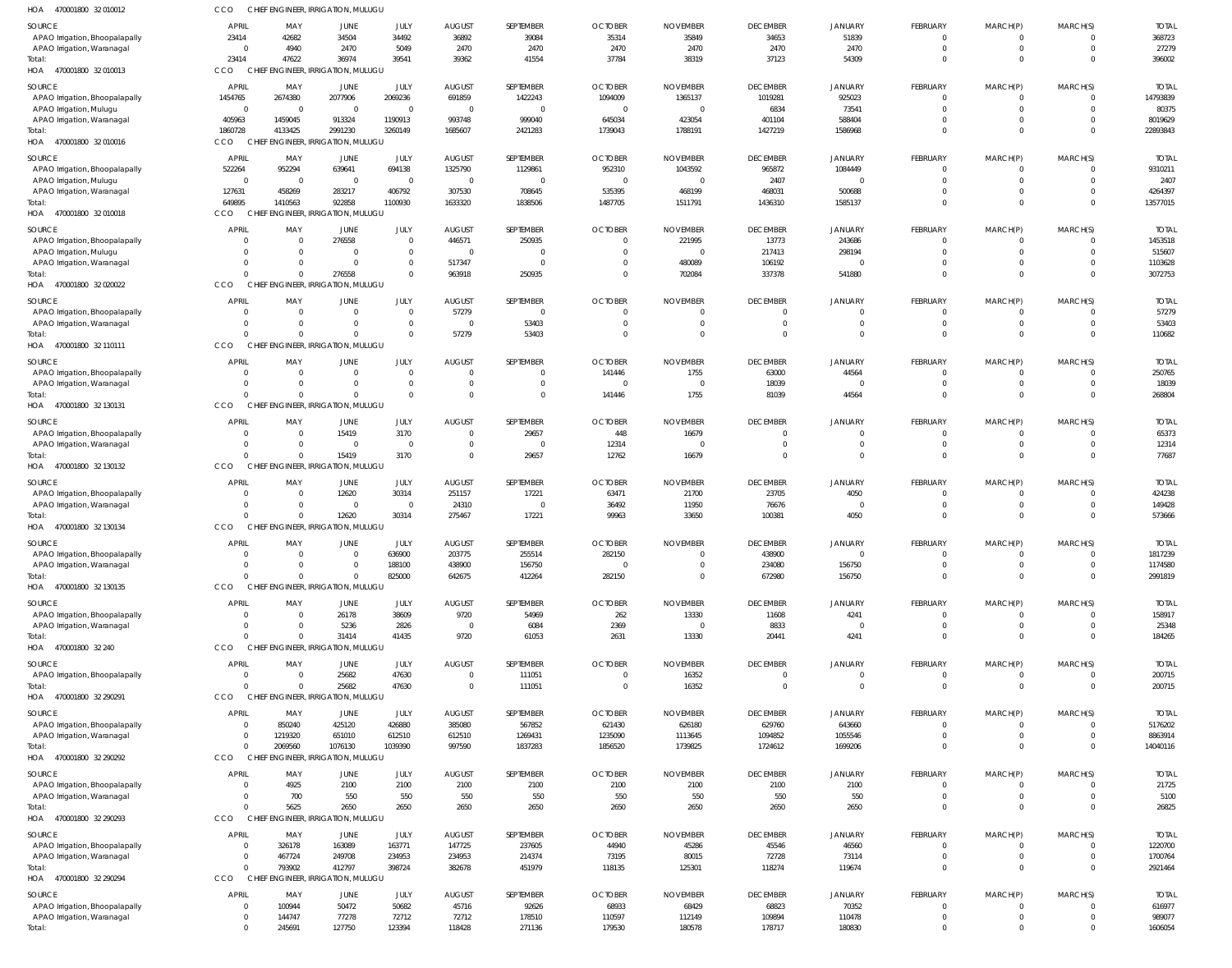| 470001800 32 010012<br>HOA                            | CCO                     |                                    | CHIEF ENGINEER, IRRIGATION, MULUGU          |                             |                          |                            |                           |                            |                            |                          |                               |                                |                                  |                          |
|-------------------------------------------------------|-------------------------|------------------------------------|---------------------------------------------|-----------------------------|--------------------------|----------------------------|---------------------------|----------------------------|----------------------------|--------------------------|-------------------------------|--------------------------------|----------------------------------|--------------------------|
| SOURCE                                                | <b>APRIL</b>            | MAY                                | JUNE                                        | JULY                        | <b>AUGUST</b>            | SEPTEMBER                  | <b>OCTOBER</b>            | <b>NOVEMBER</b>            | <b>DECEMBER</b>            | <b>JANUARY</b>           | FEBRUARY                      | MARCH(P)                       | MARCH(S)                         | <b>TOTAL</b>             |
| APAO Irrigation, Bhoopalapally                        | 23414                   | 42682                              | 34504                                       | 34492                       | 36892                    | 39084                      | 35314                     | 35849                      | 34653                      | 51839                    | $^{\circ}$                    | 0                              | $\overline{0}$                   | 368723                   |
| APAO Irrigation, Waranagal                            |                         | 4940<br>$\Omega$                   | 2470                                        | 5049                        | 2470                     | 2470                       | 2470                      | 2470                       | 2470                       | 2470                     | $\mathbf 0$                   | $\mathbf 0$                    | $\overline{0}$                   | 27279                    |
| Total:<br>HOA<br>470001800 32 010013                  | 23414<br>CCO            | 47622                              | 36974<br>CHIEF ENGINEER, IRRIGATION, MULUGU | 39541                       | 39362                    | 41554                      | 37784                     | 38319                      | 37123                      | 54309                    | $\mathbf 0$                   | $\mathbf 0$                    | $\Omega$                         | 396002                   |
|                                                       |                         |                                    |                                             |                             |                          |                            |                           |                            |                            |                          |                               |                                |                                  |                          |
| SOURCE<br>APAO Irrigation, Bhoopalapally              | <b>APRIL</b><br>1454765 | MAY<br>2674380                     | JUNE<br>2077906                             | JULY<br>2069236             | <b>AUGUST</b><br>691859  | SEPTEMBER<br>1422243       | <b>OCTOBER</b><br>1094009 | <b>NOVEMBER</b><br>1365137 | <b>DECEMBER</b><br>1019281 | <b>JANUARY</b><br>925023 | FEBRUARY<br>$\mathbf{0}$      | MARCH(P)<br>$\mathbf 0$        | MARCH(S)<br>$\overline{0}$       | <b>TOTAL</b><br>14793839 |
| APAO Irrigation, Mulugu                               |                         | $\overline{0}$<br>$\Omega$         | $\overline{0}$                              | $\mathbf{0}$                | $\overline{0}$           | $\overline{0}$             | $\Omega$                  | - 0                        | 6834                       | 73541                    | $\mathbf 0$                   | $\mathbf 0$                    | $\Omega$                         | 80375                    |
| APAO Irrigation, Waranagal                            | 405963                  | 1459045                            | 913324                                      | 1190913                     | 993748                   | 999040                     | 645034                    | 423054                     | 401104                     | 588404                   | $\mathbf 0$                   | $\mathbf 0$                    | $\Omega$                         | 8019629                  |
| Total:                                                | 1860728                 | 4133425                            | 2991230                                     | 3260149                     | 1685607                  | 2421283                    | 1739043                   | 1788191                    | 1427219                    | 1586968                  | $\mathbf 0$                   | $\mathbf 0$                    | $\Omega$                         | 22893843                 |
| 470001800 32 010016<br>HOA                            | CCO                     | <b>CHIEF</b>                       | <b>ENGINEER, IRRIGATION, MULUGU</b>         |                             |                          |                            |                           |                            |                            |                          |                               |                                |                                  |                          |
| SOURCE                                                | <b>APRIL</b>            | MAY                                | JUNE                                        | JULY                        | <b>AUGUST</b>            | SEPTEMBER                  | <b>OCTOBER</b>            | <b>NOVEMBER</b>            | <b>DECEMBER</b>            | <b>JANUARY</b>           | FEBRUARY                      | MARCH(P)                       | MARCH(S)                         | <b>TOTAL</b>             |
| APAO Irrigation, Bhoopalapally                        | 522264                  | 952294                             | 639641                                      | 694138                      | 1325790                  | 1129861                    | 952310                    | 1043592                    | 965872                     | 1084449                  | $^{\circ}$                    | 0                              | $\overline{0}$                   | 9310211                  |
| APAO Irrigation, Mulugu<br>APAO Irrigation, Waranagal | 127631                  | $\Omega$<br>$\Omega$<br>458269     | $\overline{0}$<br>283217                    | $\mathbf{0}$<br>406792      | $\overline{0}$<br>307530 | $\overline{0}$<br>708645   | $\Omega$<br>535395        | - 0<br>468199              | 2407<br>468031             | $\mathbf 0$<br>500688    | $\mathbf 0$<br>$\mathbf 0$    | $\mathbf 0$<br>$\mathbf 0$     | $\overline{0}$<br>$\overline{0}$ | 2407<br>4264397          |
| Total:                                                | 649895                  | 1410563                            | 922858                                      | 1100930                     | 1633320                  | 1838506                    | 1487705                   | 1511791                    | 1436310                    | 1585137                  | $\mathbf 0$                   | $\mathbf 0$                    | $\Omega$                         | 13577015                 |
| HOA 470001800 32 010018                               | CCO                     |                                    | CHIEF ENGINEER, IRRIGATION, MULUGU          |                             |                          |                            |                           |                            |                            |                          |                               |                                |                                  |                          |
| SOURCE                                                | <b>APRIL</b>            | MAY                                | JUNE                                        | JULY                        | <b>AUGUST</b>            | SEPTEMBER                  | <b>OCTOBER</b>            | <b>NOVEMBER</b>            | <b>DECEMBER</b>            | <b>JANUARY</b>           | FEBRUARY                      | MARCH(P)                       | MARCH(S)                         | <b>TOTAL</b>             |
| APAO Irrigation, Bhoopalapally                        |                         |                                    | 276558                                      | $\mathbf 0$                 | 446571                   | 250935                     |                           | 221995                     | 13773                      | 243686                   | $\mathbf 0$                   | 0                              | $\overline{0}$                   | 1453518                  |
| APAO Irrigation, Mulugu                               |                         | $\Omega$                           | $\Omega$                                    | $\mathbf 0$                 | $\Omega$                 | $\overline{0}$             | $\Omega$                  |                            | 217413                     | 298194                   | $\mathbf 0$                   | $\mathbf 0$                    | $\Omega$                         | 515607                   |
| APAO Irrigation, Waranagal<br>Total:                  |                         | $\Omega$<br>$\Omega$               | $\mathbf 0$<br>276558                       | $\mathbf 0$<br>$\mathbf 0$  | 517347<br>963918         | $\mathbf{0}$<br>250935     | $\Omega$<br>$\Omega$      | 480089<br>702084           | 106192<br>337378           | $\mathbf 0$<br>541880    | $\mathbf 0$<br>$\mathbf 0$    | $\mathbf 0$<br>$\mathbf 0$     | $\overline{0}$<br>$\Omega$       | 1103628<br>3072753       |
| HOA 470001800 32 020022                               | CCO                     |                                    | CHIEF ENGINEER, IRRIGATION, MULUGU          |                             |                          |                            |                           |                            |                            |                          |                               |                                |                                  |                          |
| SOURCE                                                | <b>APRIL</b>            | MAY                                | JUNE                                        | JULY                        | <b>AUGUST</b>            | SEPTEMBER                  | <b>OCTOBER</b>            | <b>NOVEMBER</b>            | <b>DECEMBER</b>            | <b>JANUARY</b>           | FEBRUARY                      | MARCH(P)                       | MARCH(S)                         | <b>TOTAL</b>             |
| APAO Irrigation, Bhoopalapally                        |                         | $\Omega$                           | $\Omega$                                    | $\mathbf 0$                 | 57279                    | $\overline{0}$             | $\Omega$                  |                            | $\mathbf 0$                | $\Omega$                 | $\mathbf 0$                   | 0                              | $\overline{0}$                   | 57279                    |
| APAO Irrigation, Waranagal                            |                         | $\Omega$                           | $\Omega$                                    | $\mathbf 0$                 | $\Omega$                 | 53403                      | $\Omega$                  | $\Omega$                   | $\overline{0}$             | $\Omega$                 | $\mathbf 0$                   | $\mathbf 0$                    | $\overline{0}$                   | 53403                    |
| Total:                                                |                         | $\Omega$                           | $\Omega$                                    | $\mathbf 0$                 | 57279                    | 53403                      | $\Omega$                  | $\Omega$                   | $\overline{0}$             | $\Omega$                 | $\mathbf 0$                   | $\mathbf 0$                    | $\Omega$                         | 110682                   |
| HOA 470001800 32 110111                               | CCO                     |                                    | CHIEF ENGINEER, IRRIGATION, MULUGU          |                             |                          |                            |                           |                            |                            |                          |                               |                                |                                  |                          |
| SOURCE                                                | <b>APRIL</b>            | MAY                                | <b>JUNE</b>                                 | JULY                        | <b>AUGUST</b>            | SEPTEMBER                  | <b>OCTOBER</b>            | <b>NOVEMBER</b>            | <b>DECEMBER</b>            | <b>JANUARY</b>           | FEBRUARY                      | MARCH(P)                       | MARCH(S)                         | <b>TOTAL</b>             |
| APAO Irrigation, Bhoopalapally                        |                         | $\Omega$                           | 0                                           | $\overline{0}$              | $^{\circ}$               | $\mathbf 0$                | 141446                    | 1755                       | 63000                      | 44564                    | $\mathbf 0$                   | 0                              | $\overline{0}$                   | 250765                   |
| APAO Irrigation, Waranagal<br>Total:                  |                         | $\Omega$<br>$\Omega$               | $\Omega$<br>$\Omega$                        | $\mathbf{0}$<br>$\mathbf 0$ | $\Omega$<br>$\Omega$     | $\mathbf 0$<br>$\mathbf 0$ | $\Omega$<br>141446        | - 0<br>1755                | 18039<br>81039             | $\Omega$<br>44564        | $\mathbf 0$<br>$\mathbf 0$    | $\overline{0}$<br>$\mathbf{0}$ | $\Omega$<br>$\Omega$             | 18039<br>268804          |
| HOA<br>470001800 32 130131                            | CCO                     |                                    | CHIEF ENGINEER, IRRIGATION, MULUGU          |                             |                          |                            |                           |                            |                            |                          |                               |                                |                                  |                          |
| SOURCE                                                | <b>APRIL</b>            | MAY                                | JUNE                                        | JULY                        | <b>AUGUST</b>            | SEPTEMBER                  | <b>OCTOBER</b>            | <b>NOVEMBER</b>            | <b>DECEMBER</b>            | <b>JANUARY</b>           | FEBRUARY                      | MARCH(P)                       | MARCH(S)                         | <b>TOTAL</b>             |
| APAO Irrigation, Bhoopalapally                        |                         | $\Omega$                           | 15419                                       | 3170                        | $\overline{0}$           | 29657                      | 448                       | 16679                      | $\mathbf 0$                | 0                        | $^{\circ}$                    | 0                              | $\overline{0}$                   | 65373                    |
| APAO Irrigation, Waranagal                            |                         | $\Omega$                           | $\mathbf 0$                                 | $\overline{0}$              | $\mathbf 0$              | $\mathbf 0$                | 12314                     | - 0                        | $\mathbf 0$                | $\mathbf 0$              | $\mathbf 0$                   | $\mathbf 0$                    | $\overline{0}$                   | 12314                    |
| Total:                                                |                         | $\Omega$                           | 15419                                       | 3170                        | $\Omega$                 | 29657                      | 12762                     | 16679                      | $\Omega$                   | $\Omega$                 | $\mathbf 0$                   | $\mathbf 0$                    | $\Omega$                         | 77687                    |
| HOA 470001800 32 130132                               | CCO                     | CHIEF ENGINEER, IRRIGATION, MULUGU |                                             |                             |                          |                            |                           |                            |                            |                          |                               |                                |                                  |                          |
| SOURCE                                                | <b>APRIL</b>            | MAY                                | JUNE                                        | JULY                        | <b>AUGUST</b>            | SEPTEMBER                  | <b>OCTOBER</b>            | <b>NOVEMBER</b>            | <b>DECEMBER</b>            | <b>JANUARY</b>           | FEBRUARY                      | MARCH(P)                       | MARCH(S)                         | <b>TOTAL</b>             |
| APAO Irrigation, Bhoopalapally                        |                         | $\Omega$                           | 12620                                       | 30314                       | 251157                   | 17221                      | 63471                     | 21700                      | 23705                      | 4050                     | $\overline{0}$                | $\mathbf 0$                    | $\overline{0}$                   | 424238                   |
| APAO Irrigation, Waranagal<br>Total:                  |                         | 0<br>$\Omega$                      | 0<br>12620                                  | $\overline{0}$<br>30314     | 24310<br>275467          | $\overline{0}$<br>17221    | 36492<br>99963            | 11950<br>33650             | 76676<br>100381            | $\Omega$<br>4050         | $\overline{0}$<br>$\mathbf 0$ | $\overline{0}$<br>$\mathbf 0$  | $\overline{0}$<br>$\overline{0}$ | 149428<br>573666         |
| HOA 470001800 32 130134                               | CCO                     |                                    | CHIEF ENGINEER, IRRIGATION, MULUGU          |                             |                          |                            |                           |                            |                            |                          |                               |                                |                                  |                          |
| SOURCE                                                | <b>APRIL</b>            | MAY                                | <b>JUNE</b>                                 | JULY                        | <b>AUGUST</b>            | SEPTEMBER                  | <b>OCTOBER</b>            | <b>NOVEMBER</b>            | <b>DECEMBER</b>            | <b>JANUARY</b>           | FEBRUARY                      | MARCH(P)                       | MARCH(S)                         | <b>TOTAL</b>             |
| APAO Irrigation, Bhoopalapally                        |                         |                                    |                                             | 636900                      | 203775                   | 255514                     | 282150                    |                            | 438900                     |                          |                               |                                |                                  | 1817239                  |
| APAO Irrigation, Waranagal                            |                         | $\Omega$                           | $\Omega$                                    | 188100                      | 438900                   | 156750                     | $\Omega$                  | $\Omega$                   | 234080                     | 156750                   | $\mathbf 0$                   | $\mathbf{0}$                   | $\overline{0}$                   | 1174580                  |
| Total:                                                |                         | $\Omega$                           | $\mathbf 0$                                 | 825000                      | 642675                   | 412264                     | 282150                    | $\mathbf{0}$               | 672980                     | 156750                   | $\mathbf 0$                   | $\mathbf{0}$                   | $\overline{0}$                   | 2991819                  |
| HOA 470001800 32 130135                               | <b>CCO</b>              |                                    | CHIEF ENGINEER, IRRIGATION, MULUGU          |                             |                          |                            |                           |                            |                            |                          |                               |                                |                                  |                          |
| SOURCE                                                | <b>APRIL</b>            | MAY                                | JUNE                                        | JULY                        | <b>AUGUST</b>            | SEPTEMBER                  | <b>OCTOBER</b>            | <b>NOVEMBER</b>            | <b>DECEMBER</b>            | <b>JANUARY</b>           | FEBRUARY                      | MARCH(P)                       | MARCH(S)                         | <b>TOTAL</b>             |
| APAO Irrigation, Bhoopalapally                        |                         | $\Omega$<br>$\Omega$               | 26178<br>5236                               | 38609<br>2826               | 9720<br>$\overline{0}$   | 54969<br>6084              | 262<br>2369               | 13330<br>$\Omega$          | 11608<br>8833              | 4241<br>$\overline{0}$   | $\mathbf 0$<br>$\mathbf 0$    | 0<br>$\mathbf{0}$              | $\Omega$<br>$\overline{0}$       | 158917<br>25348          |
| APAO Irrigation, Waranagal<br>Total:                  |                         | $\Omega$                           | 31414                                       | 41435                       | 9720                     | 61053                      | 2631                      | 13330                      | 20441                      | 4241                     | $\mathbf 0$                   | $\mathbf{0}$                   | $\Omega$                         | 184265                   |
| HOA 470001800 32 240                                  | CCO                     |                                    | CHIEF ENGINEER, IRRIGATION, MULUGU          |                             |                          |                            |                           |                            |                            |                          |                               |                                |                                  |                          |
| SOURCE                                                | <b>APRIL</b>            | MAY                                | JUNE                                        | JULY                        | <b>AUGUST</b>            | SEPTEMBER                  | <b>OCTOBER</b>            | <b>NOVEMBER</b>            | <b>DECEMBER</b>            | <b>JANUARY</b>           | FEBRUARY                      | MARCH(P)                       | MARCH(S)                         | <b>TOTAL</b>             |
| APAO Irrigation, Bhoopalapally                        |                         | $\Omega$                           | 25682                                       | 47630                       | $\overline{0}$           | 111051                     | $\overline{0}$            | 16352                      | $\mathbf 0$                | $\mathbf 0$              | $^{\circ}$                    | 0                              | $\overline{0}$                   | 200715                   |
| Total:                                                |                         | $\Omega$                           | 25682                                       | 47630                       | $\overline{0}$           | 111051                     | $\overline{0}$            | 16352                      | $\overline{0}$             | $\overline{0}$           | $\mathbf{0}$                  | $\mathbf{0}$                   | $\overline{0}$                   | 200715                   |
| HOA 470001800 32 290291                               | CCO                     | CHIEF ENGINEER, IRRIGATION, MULUGU |                                             |                             |                          |                            |                           |                            |                            |                          |                               |                                |                                  |                          |
| SOURCE                                                | <b>APRIL</b>            | MAY                                | <b>JUNE</b>                                 | JULY                        | <b>AUGUST</b>            | SEPTEMBER                  | <b>OCTOBER</b>            | <b>NOVEMBER</b>            | <b>DECEMBER</b>            | <b>JANUARY</b>           | FEBRUARY                      | MARCH(P)                       | MARCH(S)                         | <b>TOTAL</b>             |
| APAO Irrigation, Bhoopalapally                        |                         | 850240<br>$\Omega$                 | 425120                                      | 426880                      | 385080                   | 567852                     | 621430                    | 626180                     | 629760                     | 643660                   | $\mathbf 0$                   | 0                              | $\Omega$                         | 5176202                  |
| APAO Irrigation, Waranagal<br>Total:                  |                         | 1219320<br>2069560                 | 651010<br>1076130                           | 612510<br>1039390           | 612510<br>997590         | 1269431<br>1837283         | 1235090<br>1856520        | 1113645<br>1739825         | 1094852<br>1724612         | 1055546<br>1699206       | $\mathbf 0$<br>$\mathbf 0$    | $\mathbf{0}$<br>$\mathbf{0}$   | $\overline{0}$<br>$\Omega$       | 8863914<br>14040116      |
| HOA 470001800 32 290292                               | CCO                     | CHIEF ENGINEER, IRRIGATION, MULUGU |                                             |                             |                          |                            |                           |                            |                            |                          |                               |                                |                                  |                          |
| SOURCE                                                | <b>APRIL</b>            | MAY                                | JUNE                                        | JULY                        | <b>AUGUST</b>            | SEPTEMBER                  | <b>OCTOBER</b>            | <b>NOVEMBER</b>            | <b>DECEMBER</b>            | <b>JANUARY</b>           | FEBRUARY                      | MARCH(P)                       | MARCH(S)                         | <b>TOTAL</b>             |
| APAO Irrigation, Bhoopalapally                        |                         | 4925                               | 2100                                        | 2100                        | 2100                     | 2100                       | 2100                      | 2100                       | 2100                       | 2100                     | $^{\circ}$                    | 0                              | $\overline{0}$                   | 21725                    |
| APAO Irrigation, Waranagal                            |                         | 700                                | 550                                         | 550                         | 550                      | 550                        | 550                       | 550                        | 550                        | 550                      | $\mathbf 0$                   | $\mathbf 0$                    | $\overline{0}$                   | 5100                     |
| Total:                                                |                         | 5625                               | 2650                                        | 2650                        | 2650                     | 2650                       | 2650                      | 2650                       | 2650                       | 2650                     | $\mathbf 0$                   | $\mathbf 0$                    | $\Omega$                         | 26825                    |
| HOA 470001800 32 290293                               | CCO                     |                                    | CHIEF ENGINEER, IRRIGATION, MULUGU          |                             |                          |                            |                           |                            |                            |                          |                               |                                |                                  |                          |
| SOURCE                                                | <b>APRIL</b>            | MAY                                | JUNE                                        | JULY                        | <b>AUGUST</b>            | SEPTEMBER                  | <b>OCTOBER</b>            | <b>NOVEMBER</b>            | <b>DECEMBER</b>            | JANUARY                  | FEBRUARY                      | MARCH(P)                       | MARCH(S)                         | <b>TOTAL</b>             |
| APAO Irrigation, Bhoopalapally                        |                         | 326178                             | 163089                                      | 163771                      | 147725                   | 237605                     | 44940                     | 45286                      | 45546                      | 46560                    | $\mathbf 0$                   | $\overline{0}$                 | $\overline{0}$                   | 1220700                  |
| APAO Irrigation, Waranagal<br>Total:                  |                         | 467724<br>793902                   | 249708<br>412797                            | 234953<br>398724            | 234953<br>382678         | 214374<br>451979           | 73195<br>118135           | 80015<br>125301            | 72728<br>118274            | 73114<br>119674          | $\mathbf 0$<br>$\mathbf 0$    | $\mathbf 0$<br>$\mathbf{0}$    | $\overline{0}$<br>$\overline{0}$ | 1700764<br>2921464       |
| HOA 470001800 32 290294                               | CCO                     |                                    | CHIEF ENGINEER, IRRIGATION, MULUGU          |                             |                          |                            |                           |                            |                            |                          |                               |                                |                                  |                          |
| SOURCE                                                | <b>APRIL</b>            | MAY                                | JUNE                                        | JULY                        | <b>AUGUST</b>            | SEPTEMBER                  | <b>OCTOBER</b>            | <b>NOVEMBER</b>            | <b>DECEMBER</b>            | <b>JANUARY</b>           | FEBRUARY                      | MARCH(P)                       | MARCH(S)                         | <b>TOTAL</b>             |
| APAO Irrigation, Bhoopalapally                        |                         | 100944                             | 50472                                       | 50682                       | 45716                    | 92626                      | 68933                     | 68429                      | 68823                      | 70352                    | $\mathbf 0$                   | 0                              | $\overline{0}$                   | 616977                   |
| APAO Irrigation, Waranagal                            |                         | 144747                             | 77278                                       | 72712                       | 72712                    | 178510                     | 110597                    | 112149                     | 109894                     | 110478                   | $\mathbf 0$                   | $\mathbf 0$                    | $\overline{0}$                   | 989077                   |
|                                                       |                         | 245691                             | 127750                                      | 123394                      | 118428                   | 271136                     | 179530                    | 180578                     | 178717                     | 180830                   | $\mathbf 0$                   | $\mathbf 0$                    | $\overline{0}$                   | 1606054                  |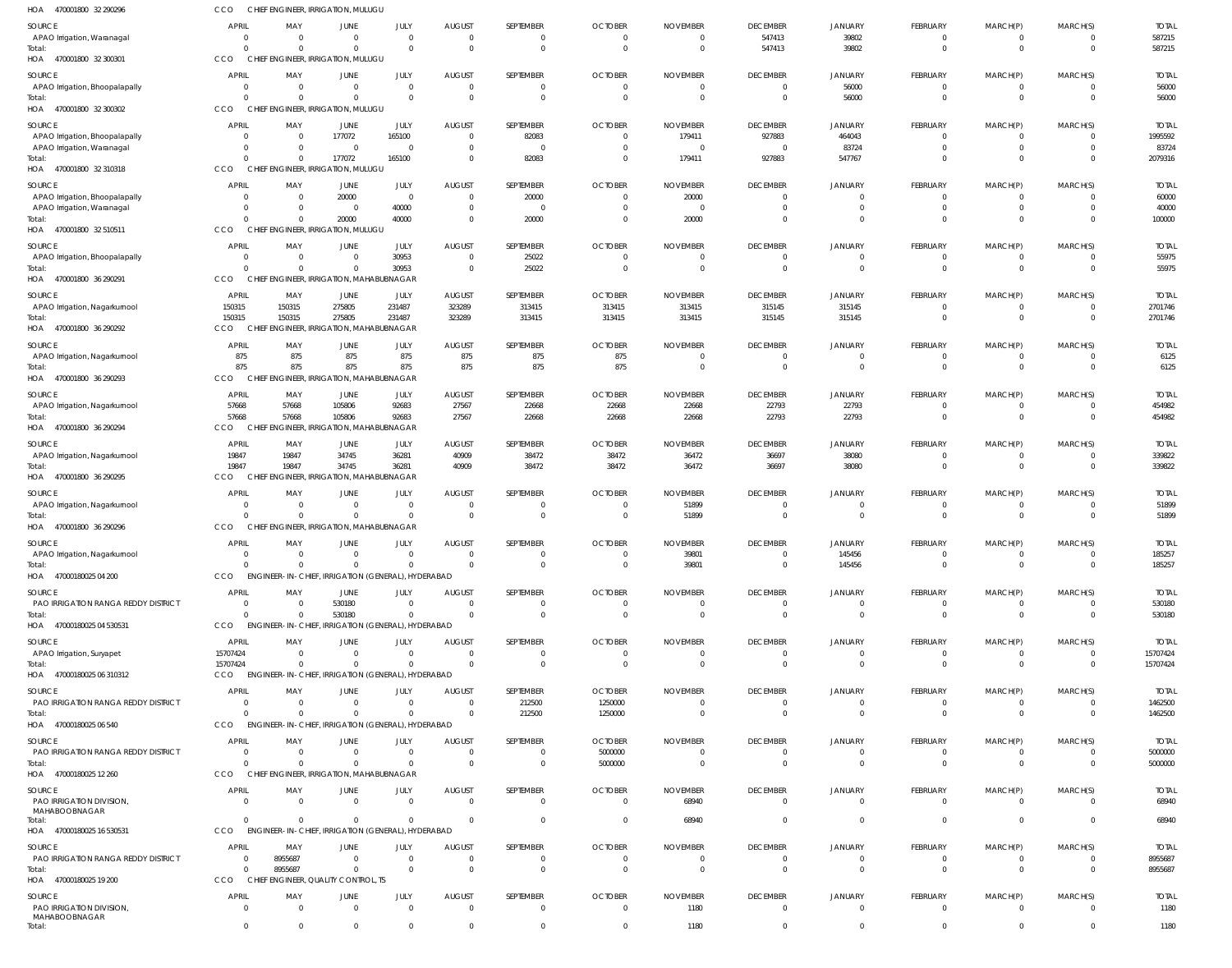| 470001800 32 290296<br>HOA                                   | CCO                            |                      | CHIEF ENGINEER, IRRIGATION, MULUGU                   |                          |                                 |                                  |                            |                             |                                   |                                  |                                  |                           |                                  |                         |
|--------------------------------------------------------------|--------------------------------|----------------------|------------------------------------------------------|--------------------------|---------------------------------|----------------------------------|----------------------------|-----------------------------|-----------------------------------|----------------------------------|----------------------------------|---------------------------|----------------------------------|-------------------------|
| SOURCE<br>APAO Irrigation, Waranagal                         | APRIL<br>$\overline{0}$        | MAY<br>$\Omega$      | JUNE<br>$\Omega$                                     | JULY<br>$\mathbf 0$      | <b>AUGUST</b><br>$\Omega$       | SEPTEMBER<br>$\overline{0}$      | <b>OCTOBER</b><br>$\Omega$ | <b>NOVEMBER</b><br>$\Omega$ | <b>DECEMBER</b><br>547413         | JANUARY<br>39802                 | FEBRUARY<br>$\overline{0}$       | MARCH(P)<br>$^{\circ}$    | MARCH(S)<br>$\overline{0}$       | <b>TOTAL</b><br>587215  |
| Total:<br>HOA 470001800 32 300301                            | $\Omega$<br>CCO                | $\Omega$             | $\Omega$<br>CHIEF ENGINEER, IRRIGATION, MULUGU       | $\mathbf 0$              | $\Omega$                        | $\overline{0}$                   | $\Omega$                   | $\Omega$                    | 547413                            | 39802                            | $\mathbf{0}$                     | $\mathbf 0$               | $\overline{0}$                   | 587215                  |
| SOURCE                                                       | <b>APRIL</b>                   | MAY                  | JUNE                                                 | <b>JULY</b>              | <b>AUGUST</b>                   | SEPTEMBER                        | <b>OCTOBER</b>             | <b>NOVEMBER</b>             | <b>DECEMBER</b>                   | JANUARY                          | FEBRUARY                         | MARCH(P)                  | MARCH(S)                         | <b>TOTAL</b>            |
| APAO Irrigation, Bhoopalapally                               | $\overline{0}$                 | $\Omega$             | $\Omega$                                             | $\mathbf 0$              | $\Omega$                        | $\overline{0}$                   | $\Omega$                   |                             | $\overline{0}$                    | 56000                            | $\overline{0}$                   | $^{\circ}$                | $\Omega$                         | 56000                   |
| Total:                                                       | $\Omega$                       | $\Omega$             | $\Omega$                                             | $\Omega$                 | $\Omega$                        | $\overline{0}$                   | $\Omega$                   | $\Omega$                    | $\overline{0}$                    | 56000                            | $\mathbf{0}$                     | $\mathbf 0$               | $\overline{0}$                   | 56000                   |
| HOA 470001800 32 300302                                      | CCO                            |                      | CHIEF ENGINEER, IRRIGATION, MULUGU                   |                          |                                 |                                  |                            |                             |                                   |                                  |                                  |                           |                                  |                         |
| SOURCE                                                       | <b>APRIL</b>                   | MAY                  | JUNE                                                 | JULY                     | <b>AUGUST</b>                   | SEPTEMBER                        | <b>OCTOBER</b>             | <b>NOVEMBER</b>             | <b>DECEMBER</b>                   | <b>JANUARY</b>                   | FEBRUARY                         | MARCH(P)                  | MARCH(S)                         | <b>TOTAI</b>            |
| APAO Irrigation, Bhoopalapally<br>APAO Irrigation, Waranagal | $\circ$<br>$\Omega$            | $\Omega$<br>$\Omega$ | 177072<br>$\Omega$                                   | 165100<br>$\Omega$       | $\Omega$<br>$\Omega$            | 82083<br>$\overline{0}$          | $\Omega$<br>$\Omega$       | 179411<br>- 0               | 927883<br>$\overline{0}$          | 464043<br>83724                  | $\overline{0}$<br>$\overline{0}$ | $^{\circ}$<br>$\mathbf 0$ | 0<br>$\Omega$                    | 1995592<br>83724        |
| Total:                                                       | $\Omega$                       | $\Omega$             | 177072                                               | 165100                   | $\Omega$                        | 82083                            | $\Omega$                   | 179411                      | 927883                            | 547767                           | $\mathbf 0$                      | $\mathbf 0$               | $\Omega$                         | 2079316                 |
| HOA 470001800 32 310318                                      | CCO                            |                      | CHIEF ENGINEER, IRRIGATION, MULUGU                   |                          |                                 |                                  |                            |                             |                                   |                                  |                                  |                           |                                  |                         |
| SOURCE                                                       | <b>APRIL</b>                   | MAY                  | JUNE                                                 | JULY                     | <b>AUGUST</b>                   | SEPTEMBER                        | <b>OCTOBER</b>             | <b>NOVEMBER</b>             | <b>DECEMBER</b>                   | JANUARY                          | <b>FEBRUARY</b>                  | MARCH(P)                  | MARCH(S)                         | <b>TOTAI</b>            |
| APAO Irrigation, Bhoopalapally                               | - 0<br>$\circ$                 | $\Omega$<br>$\Omega$ | 20000<br>$\overline{0}$                              | $\overline{0}$<br>40000  | $\Omega$<br>$\Omega$            | 20000<br>$\overline{0}$          | $\Omega$                   | 20000<br>- 0                | $\overline{0}$<br>$\Omega$        | $\overline{0}$<br>$\overline{0}$ | 0<br>$\mathbf{0}$                | $^{\circ}$<br>$\mathbf 0$ | $\Omega$<br>$\Omega$             | 60000<br>40000          |
| APAO Irrigation, Waranagal<br>Total:                         | $\Omega$                       |                      | 20000                                                | 40000                    | $\Omega$                        | 20000                            | $\Omega$                   | 20000                       | $\Omega$                          | $\Omega$                         | $\mathbf{0}$                     | $\mathbf 0$               | $\Omega$                         | 100000                  |
| HOA 470001800 32 510511                                      | CCO                            |                      | CHIEF ENGINEER, IRRIGATION, MULUGU                   |                          |                                 |                                  |                            |                             |                                   |                                  |                                  |                           |                                  |                         |
| SOURCE                                                       | APRIL                          | MAY                  | JUNE                                                 | JULY                     | <b>AUGUST</b>                   | SEPTEMBER                        | <b>OCTOBER</b>             | <b>NOVEMBER</b>             | <b>DECEMBER</b>                   | JANUARY                          | FEBRUARY                         | MARCH(P)                  | MARCH(S)                         | <b>TOTAL</b>            |
| APAO Irrigation, Bhoopalapally                               | $\overline{0}$                 | $\Omega$             | $\Omega$                                             | 30953                    | $\Omega$                        | 25022                            | $\Omega$                   | $\Omega$                    | $\overline{0}$                    | $\overline{0}$                   | $\overline{0}$                   | $^{\circ}$                | $\mathbf{0}$                     | 55975                   |
| Total:<br>HOA 470001800 36 290291                            | $\Omega$<br>CCO                | $\Omega$             | $\Omega$<br>CHIEF ENGINEER, IRRIGATION, MAHABUBNAGAR | 30953                    | $\Omega$                        | 25022                            | $\Omega$                   | $\Omega$                    | $\overline{0}$                    | $\overline{0}$                   | $\mathbf{0}$                     | $\mathbf 0$               | $\overline{0}$                   | 55975                   |
|                                                              |                                |                      |                                                      |                          |                                 |                                  |                            |                             |                                   |                                  |                                  |                           |                                  |                         |
| SOURCE<br>APAO Irrigation, Nagarkurnool                      | APRIL<br>150315                | MAY<br>150315        | JUNE<br>275805                                       | JULY<br>231487           | <b>AUGUST</b><br>323289         | SEPTEMBER<br>313415              | <b>OCTOBER</b><br>313415   | <b>NOVEMBER</b><br>313415   | <b>DECEMBER</b><br>315145         | JANUARY<br>315145                | FEBRUARY<br>$\overline{0}$       | MARCH(P)<br>$^{\circ}$    | MARCH(S)<br>$\Omega$             | <b>TOTAL</b><br>2701746 |
| Total:                                                       | 150315                         | 150315               | 275805                                               | 231487                   | 323289                          | 313415                           | 313415                     | 313415                      | 315145                            | 315145                           | $\mathbf{0}$                     | $\mathbf 0$               | $\overline{0}$                   | 2701746                 |
| HOA 470001800 36 290292                                      | CCO                            |                      | CHIEF ENGINEER, IRRIGATION, MAHABUBNAGAR             |                          |                                 |                                  |                            |                             |                                   |                                  |                                  |                           |                                  |                         |
| SOURCE                                                       | APRIL                          | MAY                  | JUNE                                                 | JULY                     | <b>AUGUST</b>                   | SEPTEMBER                        | <b>OCTOBER</b>             | <b>NOVEMBER</b>             | <b>DECEMBER</b>                   | <b>JANUARY</b>                   | FEBRUARY                         | MARCH(P)                  | MARCH(S)                         | <b>TOTAL</b>            |
| APAO Irrigation, Nagarkurnool                                | 875                            | 875                  | 875                                                  | 875                      | 875                             | 875                              | 875                        | $\Omega$                    | $\overline{0}$                    | $\overline{0}$                   | $\mathbf 0$                      | $\mathbf 0$               | $\overline{0}$                   | 6125                    |
| Total:<br>HOA 470001800 36 290293                            | 875<br>CCO                     | 875                  | 875<br>CHIEF ENGINEER, IRRIGATION, MAHABUBNAGAR      | 875                      | 875                             | 875                              | 875                        | $\Omega$                    | $\overline{0}$                    | $\Omega$                         | $\mathbf{0}$                     | $\mathbf 0$               | $\Omega$                         | 6125                    |
|                                                              |                                |                      |                                                      |                          |                                 |                                  |                            |                             |                                   |                                  |                                  |                           |                                  |                         |
| SOURCE<br>APAO Irrigation, Nagarkurnool                      | APRIL<br>57668                 | MAY<br>57668         | <b>JUNE</b><br>105806                                | JULY<br>92683            | <b>AUGUST</b><br>27567          | SEPTEMBER<br>22668               | <b>OCTOBER</b><br>22668    | <b>NOVEMBER</b><br>22668    | <b>DECEMBER</b><br>22793          | JANUARY<br>22793                 | FEBRUARY<br>$\overline{0}$       | MARCH(P)<br>$\mathbf 0$   | MARCH(S)<br>$\overline{0}$       | <b>TOTAL</b><br>454982  |
| Total:                                                       | 57668                          | 57668                | 105806                                               | 92683                    | 27567                           | 22668                            | 22668                      | 22668                       | 22793                             | 22793                            | $\overline{0}$                   | $\mathbf 0$               | $\Omega$                         | 454982                  |
| HOA 470001800 36 290294                                      | CCO                            | <b>CHIEF EN</b>      | <b>IGINEER, IRRIGATION, MAHABUBNAGAR</b>             |                          |                                 |                                  |                            |                             |                                   |                                  |                                  |                           |                                  |                         |
| SOURCE                                                       | APRIL                          | MAY                  | JUNE                                                 | JULY                     | <b>AUGUST</b>                   | SEPTEMBER                        | <b>OCTOBER</b>             | <b>NOVEMBER</b>             | <b>DECEMBER</b>                   | JANUARY                          | FEBRUARY                         | MARCH(P)                  | MARCH(S)                         | <b>TOTAL</b>            |
| APAO Irrigation, Nagarkurnool                                | 19847                          | 19847                | 34745                                                | 36281                    | 40909                           | 38472                            | 38472                      | 36472                       | 36697                             | 38080                            | 0                                | $^{\circ}$                | $\Omega$                         | 339822                  |
| Total:<br>HOA 470001800 36 290295                            | 19847<br>CCO                   | 19847                | 34745<br>CHIEF ENGINEER, IRRIGATION, MAHABUBNAGAR    | 36281                    | 40909                           | 38472                            | 38472                      | 36472                       | 36697                             | 38080                            | $\mathbf{0}$                     | $\mathbf 0$               | $\overline{0}$                   | 339822                  |
|                                                              |                                |                      |                                                      |                          |                                 |                                  |                            |                             |                                   |                                  |                                  |                           |                                  |                         |
| SOURCE<br>APAO Irrigation, Nagarkurnool                      | <b>APRIL</b><br>$\circ$        | MAY<br>-0            | JUNE<br>$\overline{0}$                               | JULY<br>$\mathbf 0$      | <b>AUGUST</b><br>$\Omega$       | SEPTEMBER<br>$\overline{0}$      | <b>OCTOBER</b>             | <b>NOVEMBER</b><br>51899    | <b>DECEMBER</b><br>$\overline{0}$ | JANUARY<br>$\overline{0}$        | FEBRUARY<br>$\overline{0}$       | MARCH(P)<br>$^{\circ}$    | MARCH(S)<br>$\Omega$             | <b>TOTAL</b><br>51899   |
| Total:                                                       | $\Omega$                       | $\Omega$             | $\Omega$                                             | $\mathbf 0$              | $\Omega$                        | $\overline{0}$                   | $\overline{0}$             | 51899                       | $\overline{0}$                    | $\overline{0}$                   | $\mathbf{0}$                     | $\mathbf 0$               | $\overline{0}$                   | 51899                   |
| HOA 470001800 36 290296                                      | CCO                            |                      | CHIEF ENGINEER, IRRIGATION, MAHABUBNAGAR             |                          |                                 |                                  |                            |                             |                                   |                                  |                                  |                           |                                  |                         |
| SOURCE                                                       | <b>APRIL</b>                   | MAY                  | JUNE                                                 | JULY                     | <b>AUGUST</b>                   | SEPTEMBER                        | <b>OCTOBER</b>             | <b>NOVEMBER</b>             | <b>DECEMBER</b>                   | JANUARY                          | FEBRUARY                         | MARCH(P)                  | MARCH(S)                         | <b>TOTAL</b>            |
| APAO Irrigation, Nagarkurnool                                | $\Omega$                       | $\Omega$             | $\Omega$                                             | $\Omega$                 | $\cap$                          | $\Omega$                         | $\Omega$                   | 39801                       | $\Omega$                          | 145456                           | 0<br>$\mathbf{0}$                | - C<br>$\mathbf 0$        | $\Omega$                         | 185257                  |
| Total:<br>HOA 47000180025 04 200                             | CCO                            |                      | ENGINEER-IN-CHIEF, IRRIGATION (GENERAL), HYDERABAD   |                          |                                 |                                  |                            | 39801                       |                                   | 145456                           |                                  |                           |                                  | 185257                  |
| SOURCE                                                       | <b>APRIL</b>                   | MAY                  | JUNE                                                 | JULY                     | <b>AUGUST</b>                   | SEPTEMBER                        | <b>OCTOBER</b>             | <b>NOVEMBER</b>             | <b>DECEMBER</b>                   | JANUARY                          | FEBRUARY                         | MARCH(P)                  | MARCH(S)                         | <b>TOTAL</b>            |
| PAO IRRIGATION RANGA REDDY DISTRICT                          | $\overline{0}$                 | -0                   | 530180                                               | $\mathbf{0}$             | $\Omega$                        | $\overline{0}$                   | $\Omega$                   | - 0                         | $\overline{0}$                    | $\overline{\mathbf{0}}$          | $\overline{0}$                   | $\mathbf 0$               | $\Omega$                         | 530180                  |
| Total:                                                       | $\Omega$                       |                      | 530180                                               | $\mathbf 0$              | $\cap$                          | $\overline{0}$                   | - 0                        |                             | $\Omega$                          | $\overline{0}$                   | $\overline{0}$                   | $\mathbf 0$               | $\Omega$                         | 530180                  |
| HOA 47000180025 04 530531                                    | CCO                            |                      | ENGINEER-IN-CHIEF, IRRIGATION (GENERAL), HYDERABAD   |                          |                                 |                                  |                            |                             |                                   |                                  |                                  |                           |                                  |                         |
| SOURCE                                                       | APRIL                          | MAY                  | JUNE                                                 | JULY                     | <b>AUGUST</b>                   | SEPTEMBER                        | <b>OCTOBER</b>             | <b>NOVEMBER</b>             | <b>DECEMBER</b>                   | <b>JANUARY</b>                   | FEBRUARY                         | MARCH(P)                  | MARCH(S)                         | <b>TOTAL</b>            |
| APAO Irrigation, Suryapet<br>Total:                          | 15707424<br>15707424           | $\Omega$<br>$\Omega$ | $\Omega$<br>$\Omega$                                 | $\mathbf 0$<br>$\Omega$  | $\Omega$<br>$\Omega$            | $\overline{0}$<br>$\overline{0}$ | $\Omega$<br>$\Omega$       | $\Omega$<br>$\Omega$        | $\overline{0}$<br>$\Omega$        | $\overline{0}$<br>$\Omega$       | 0<br>$\overline{0}$              | $^{\circ}$<br>$\mathbf 0$ | $\overline{0}$<br>$\overline{0}$ | 15707424<br>15707424    |
| HOA 47000180025 06 310312                                    | CCO                            |                      | ENGINEER-IN-CHIEF, IRRIGATION (GENERAL), HYDERABAD   |                          |                                 |                                  |                            |                             |                                   |                                  |                                  |                           |                                  |                         |
| SOURCE                                                       | <b>APRIL</b>                   | MAY                  | JUNE                                                 | JULY                     | <b>AUGUST</b>                   | SEPTEMBER                        | <b>OCTOBER</b>             | <b>NOVEMBER</b>             | <b>DECEMBER</b>                   | JANUARY                          | FEBRUARY                         | MARCH(P)                  | MARCH(S)                         | <b>TOTAL</b>            |
| PAO IRRIGATION RANGA REDDY DISTRICT                          | $\circ$                        | $\Omega$             | $\Omega$                                             | $\mathbf{0}$             | $\Omega$                        | 212500                           | 1250000                    |                             | $\overline{0}$                    | $\overline{0}$                   | 0                                | $^{\circ}$                | $\Omega$                         | 1462500                 |
| Total:                                                       | $\Omega$                       | - 0                  | $\Omega$                                             | $\Omega$                 | $\Omega$                        | 212500                           | 1250000                    | - 0                         | $\Omega$                          | $\Omega$                         | $\mathbf{0}$                     | $\mathbf 0$               | $\Omega$                         | 1462500                 |
| HOA 47000180025 06 540                                       | CCO                            |                      | ENGINEER-IN-CHIEF, IRRIGATION (GENERAL), HYDERABAD   |                          |                                 |                                  |                            |                             |                                   |                                  |                                  |                           |                                  |                         |
| SOURCE                                                       | <b>APRIL</b>                   | MAY                  | JUNE                                                 | JULY                     | <b>AUGUST</b>                   | SEPTEMBER                        | <b>OCTOBER</b>             | <b>NOVEMBER</b>             | <b>DECEMBER</b>                   | JANUARY                          | FEBRUARY                         | MARCH(P)                  | MARCH(S)                         | <b>TOTAL</b>            |
| PAO IRRIGATION RANGA REDDY DISTRICT<br>Total:                | $\Omega$<br>$\Omega$           | $\Omega$<br>$\Omega$ | $\Omega$<br>$\Omega$                                 | $\mathbf{0}$<br>$\Omega$ | $\Omega$<br>$\Omega$            | $\overline{0}$<br>$\overline{0}$ | 5000000<br>5000000         | $\Omega$<br>$\Omega$        | $\overline{0}$<br>$\Omega$        | $\overline{0}$<br>$\Omega$       | $\overline{0}$<br>$\overline{0}$ | $^{\circ}$<br>$\mathbf 0$ | $\Omega$<br>$\overline{0}$       | 5000000<br>5000000      |
| HOA 47000180025 12 260                                       | CCO                            |                      | CHIEF ENGINEER, IRRIGATION, MAHABUBNAGAR             |                          |                                 |                                  |                            |                             |                                   |                                  |                                  |                           |                                  |                         |
| SOURCE                                                       | APRIL                          | MAY                  | <b>JUNE</b>                                          | JULY                     | <b>AUGUST</b>                   | SEPTEMBER                        | <b>OCTOBER</b>             | <b>NOVEMBER</b>             | <b>DECEMBER</b>                   | JANUARY                          | FEBRUARY                         | MARCH(P)                  | MARCH(S)                         | <b>TOTAL</b>            |
| PAO IRRIGATION DIVISION,                                     | $\overline{0}$                 | $\Omega$             | $\Omega$                                             | $\mathbf 0$              | $\overline{0}$                  | $\overline{0}$                   | $\Omega$                   | 68940                       | $\overline{0}$                    | $\overline{\mathbf{0}}$          | $\overline{0}$                   | $\mathbf 0$               | $\overline{0}$                   | 68940                   |
| MAHABOOBNAGAR<br>Total:                                      | $\Omega$                       | $\Omega$             | $\Omega$                                             | $\mathbf 0$              | $\cap$                          | $\overline{0}$                   | $\Omega$                   | 68940                       | $\overline{0}$                    | $\overline{0}$                   | $\overline{0}$                   | $\mathbf 0$               | $\Omega$                         | 68940                   |
| HOA 47000180025 16 530531                                    | CCO                            |                      | ENGINEER-IN-CHIEF, IRRIGATION (GENERAL), HYDERABAD   |                          |                                 |                                  |                            |                             |                                   |                                  |                                  |                           |                                  |                         |
| SOURCE                                                       | <b>APRIL</b>                   | MAY                  | JUNE                                                 | JULY                     | <b>AUGUST</b>                   | SEPTEMBER                        | <b>OCTOBER</b>             | <b>NOVEMBER</b>             | <b>DECEMBER</b>                   | JANUARY                          | FEBRUARY                         | MARCH(P)                  | MARCH(S)                         | <b>TOTAL</b>            |
| PAO IRRIGATION RANGA REDDY DISTRICT                          | $\mathbf{0}$                   | 8955687              | $\Omega$                                             | $\Omega$                 | $\Omega$                        | $\overline{0}$                   | $\Omega$                   | $\Omega$                    | $\overline{0}$                    | $\overline{0}$                   | 0                                | $^{\circ}$                | $\overline{0}$                   | 8955687                 |
| Total:                                                       | $\overline{0}$                 | 8955687              | $\Omega$                                             | $\Omega$                 | $\Omega$                        | $\overline{0}$                   | $\Omega$                   | $\Omega$                    | $\overline{0}$                    | $\Omega$                         | $\overline{0}$                   | $\mathbf 0$               | $\overline{0}$                   | 8955687                 |
| HOA 47000180025 19 200                                       | CCO                            |                      | CHIEF ENGINEER, QUALITY CONTROL, TS                  |                          |                                 |                                  |                            |                             |                                   |                                  |                                  |                           |                                  |                         |
| SOURCE<br>PAO IRRIGATION DIVISION,                           | <b>APRIL</b><br>$\overline{0}$ | MAY<br>$\Omega$      | JUNE<br>$\Omega$                                     | JULY<br>$\mathbf 0$      | <b>AUGUST</b><br>$\overline{0}$ | SEPTEMBER<br>$\overline{0}$      | <b>OCTOBER</b><br>$\Omega$ | <b>NOVEMBER</b><br>1180     | <b>DECEMBER</b><br>$\overline{0}$ | JANUARY<br>$\overline{0}$        | FEBRUARY<br>$\overline{0}$       | MARCH(P)<br>$^{\circ}$    | MARCH(S)<br>$\Omega$             | <b>TOTAL</b><br>1180    |
| MAHABOOBNAGAR                                                |                                |                      |                                                      |                          |                                 |                                  |                            |                             |                                   |                                  |                                  |                           |                                  |                         |
| Total:                                                       | $\overline{0}$                 | $\mathbf{0}$         | $\overline{0}$                                       | $\mathbf 0$              | $\Omega$                        | $\mathbf 0$                      | $\Omega$                   | 1180                        | $\overline{0}$                    | $\overline{0}$                   | $\overline{0}$                   | $\mathbf 0$               | $\overline{0}$                   | 1180                    |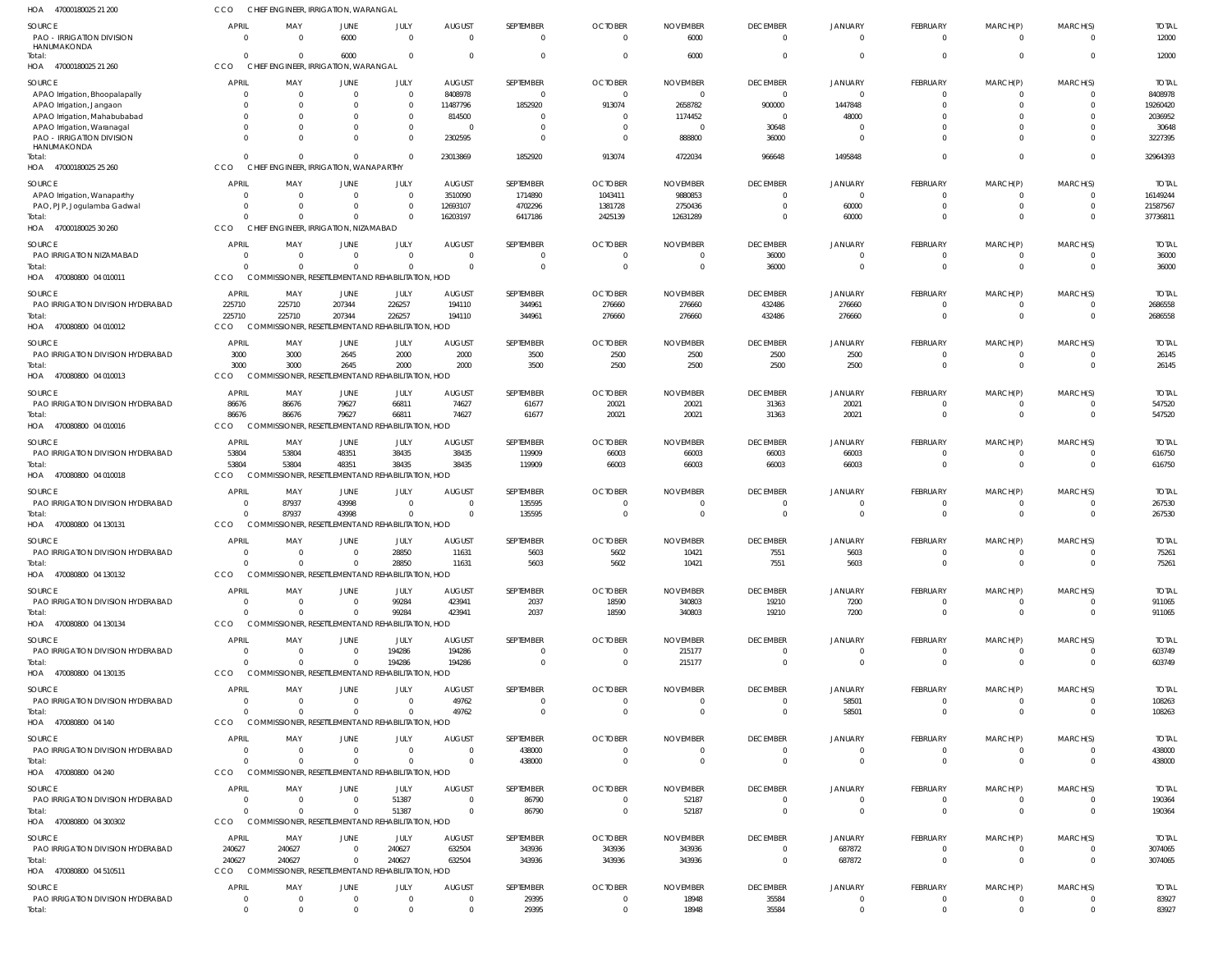| HOA 47000180025 21 200                                     | ссо                              | CHIEF ENGINEER, IRRIGATION, WARANGAL                        |                                              |                            |                            |                           |                                  |                                   |                             |                            |                      |                            |                          |                         |
|------------------------------------------------------------|----------------------------------|-------------------------------------------------------------|----------------------------------------------|----------------------------|----------------------------|---------------------------|----------------------------------|-----------------------------------|-----------------------------|----------------------------|----------------------|----------------------------|--------------------------|-------------------------|
| <b>SOURCE</b><br><b>PAO - IRRIGATION DIVISION</b>          | <b>APRIL</b><br>$\Omega$         | MAY<br>$\Omega$                                             | JUNE<br>6000                                 | JULY<br>$\Omega$           | <b>AUGUST</b><br>$\Omega$  | SEPTEMBER<br>0            | <b>OCTOBER</b><br>$\overline{0}$ | <b>NOVEMBER</b><br>6000           | <b>DECEMBER</b><br>$\Omega$ | <b>JANUARY</b><br>$\Omega$ | FEBRUARY<br>0        | MARCH(P)<br>$\overline{0}$ | MARCH(S)<br>$\Omega$     | <b>TOTAL</b><br>12000   |
| HANUMAKONDA<br>Total:<br>HOA 47000180025 21 260            | $\Omega$<br>CCO                  | - 0<br>CHIEF ENGINEER, IRRIGATION, WARANGAL                 | 6000                                         | $\overline{0}$             | $\Omega$                   | $\Omega$                  | $\overline{0}$                   | 6000                              | $\Omega$                    | $\Omega$                   | $\Omega$             | $\Omega$                   | $\Omega$                 | 12000                   |
|                                                            |                                  |                                                             |                                              |                            |                            |                           |                                  |                                   |                             |                            |                      |                            |                          |                         |
| <b>SOURCE</b>                                              | <b>APRIL</b><br>$\Omega$         | MAY<br>0                                                    | JUNE                                         | JULY<br>$\overline{0}$     | <b>AUGUST</b><br>8408978   | SEPTEMBER<br>$\mathbf{0}$ | <b>OCTOBER</b><br>$\overline{0}$ | <b>NOVEMBER</b><br>$\overline{0}$ | <b>DECEMBER</b><br>$\Omega$ | <b>JANUARY</b><br>$\Omega$ | FEBRUARY<br>$\Omega$ | MARCH(P)<br>$\overline{0}$ | MARCH(S)<br>$\Omega$     | <b>TOTAL</b><br>8408978 |
| APAO Irrigation, Bhoopalapally<br>APAO Irrigation, Jangaon |                                  | $\Omega$                                                    |                                              | $\Omega$                   | 11487796                   | 1852920                   | 913074                           | 2658782                           | 900000                      | 1447848                    | 0                    | $\Omega$                   | $\Omega$                 | 19260420                |
| APAO Irrigation, Mahabubabad                               |                                  |                                                             |                                              |                            | 814500                     |                           | 0                                | 1174452                           | $\Omega$                    | 48000                      |                      |                            | $\Omega$                 | 2036952                 |
| APAO Irrigation, Waranagal                                 | 0                                | $\Omega$                                                    |                                              | $\Omega$                   | $\Omega$                   |                           | 0                                | 0                                 | 30648                       |                            |                      |                            | $\Omega$                 | 30648                   |
| <b>PAO - IRRIGATION DIVISION</b><br>HANUMAKONDA            | 0                                | $\Omega$                                                    |                                              | $\Omega$                   | 2302595                    | 0                         | $\mathbf{0}$                     | 888800                            | 36000                       | - 0                        |                      |                            | $\Omega$                 | 3227395                 |
| Total:<br>HOA 47000180025 25 260                           | $\Omega$<br>CCO                  | $\Omega$<br><b>CHIEF</b>                                    | <b>ENGINEER, IRRIGATION, WANAPARTHY</b>      | $\Omega$                   | 23013869                   | 1852920                   | 913074                           | 4722034                           | 966648                      | 1495848                    | $\Omega$             | $\Omega$                   | $\Omega$                 | 32964393                |
| SOURCE                                                     | <b>APRIL</b>                     | MAY                                                         | JUNE                                         | JULY                       | <b>AUGUST</b>              | SEPTEMBER                 | <b>OCTOBER</b>                   | <b>NOVEMBER</b>                   | <b>DECEMBER</b>             | <b>JANUARY</b>             | <b>FEBRUARY</b>      | MARCH(P)                   | MARCH(S)                 | <b>TOTAL</b>            |
| APAO Irrigation, Wanaparthy                                | $\Omega$                         | $\Omega$                                                    | $\Omega$                                     | $\Omega$                   | 3510090                    | 1714890                   | 1043411                          | 9880853                           | $\Omega$                    | $\Omega$                   | 0                    |                            | $\Omega$                 | 16149244                |
| PAO, PJP, Jogulamba Gadwal                                 | $\Omega$                         | - 0                                                         | $\Omega$                                     | $\overline{0}$             | 12693107                   | 4702296                   | 1381728                          | 2750436                           | $\Omega$                    | 60000                      | 0                    | $\overline{0}$             | $\mathbf 0$              | 21587567                |
| Total:                                                     |                                  | $\Omega$                                                    | $\Omega$                                     | $\Omega$                   | 16203197                   | 6417186                   | 2425139                          | 12631289                          | $\Omega$                    | 60000                      | $\Omega$             | $\Omega$                   | $\Omega$                 | 37736811                |
| HOA 47000180025 30 260                                     | CCO                              | CHIEF ENGINEER, IRRIGATION, NIZAMABAD                       |                                              |                            |                            |                           |                                  |                                   |                             |                            |                      |                            |                          |                         |
|                                                            | <b>APRIL</b>                     | MAY                                                         | <b>JUNE</b>                                  | JULY                       | <b>AUGUST</b>              | SEPTEMBER                 | <b>OCTOBER</b>                   | <b>NOVEMBER</b>                   | <b>DECEMBER</b>             | <b>JANUARY</b>             | FEBRUARY             | MARCH(P)                   | MARCH(S)                 | <b>TOTAL</b>            |
| <b>SOURCE</b><br>PAO IRRIGATION NIZAMABAD                  | $\Omega$                         | $\Omega$                                                    |                                              | $\Omega$                   | $\Omega$                   | 0                         | $\overline{0}$                   | 0                                 | 36000                       | $\Omega$                   | 0                    | $\overline{0}$             | $\overline{0}$           | 36000                   |
| Total:                                                     | $\Omega$                         | - 0                                                         |                                              | $\Omega$                   | $\Omega$                   | $\Omega$                  | $\overline{0}$                   | $\overline{0}$                    | 36000                       | $\Omega$                   | $\Omega$             | $\Omega$                   | $\Omega$                 | 36000                   |
| HOA 470080800 04 010011                                    | CCO                              | COMMISSIONER, RESETTLEMENT AND REHABILITATION, HOD          |                                              |                            |                            |                           |                                  |                                   |                             |                            |                      |                            |                          |                         |
| <b>SOURCE</b>                                              | <b>APRIL</b>                     | MAY                                                         | JUNE                                         | JULY                       | <b>AUGUST</b>              | SEPTEMBER                 | <b>OCTOBER</b>                   | <b>NOVEMBER</b>                   | <b>DECEMBER</b>             | <b>JANUARY</b>             | <b>FEBRUARY</b>      | MARCH(P)                   | MARCH(S)                 | <b>TOTAL</b>            |
| PAO IRRIGATION DIVISION HYDERABAD                          | 225710                           | 225710                                                      | 207344                                       | 226257                     | 194110                     | 344961                    | 276660                           | 276660                            | 432486                      | 276660                     | $\Omega$             | $\Omega$                   | $\overline{0}$           | 2686558                 |
| Total:                                                     | 225710                           | 225710                                                      | 207344                                       | 226257                     | 194110                     | 344961                    | 276660                           | 276660                            | 432486                      | 276660                     | $\Omega$             | $\overline{0}$             | $\mathbf 0$              | 2686558                 |
| HOA 470080800 04 010012                                    | <b>CCO</b>                       | COMMISSIONER, RESETTLEMENT AND REHABILITATION, HOD          |                                              |                            |                            |                           |                                  |                                   |                             |                            |                      |                            |                          |                         |
| <b>SOURCE</b>                                              | <b>APRIL</b>                     | MAY                                                         | JUNE                                         | JULY                       | <b>AUGUST</b>              | SEPTEMBER                 | <b>OCTOBER</b>                   | <b>NOVEMBER</b>                   | <b>DECEMBER</b>             | <b>JANUARY</b>             | <b>FEBRUARY</b>      | MARCH(P)                   | MARCH(S)                 | <b>TOTAL</b>            |
| PAO IRRIGATION DIVISION HYDERABAD                          | 3000                             | 3000                                                        | 2645                                         | 2000                       | 2000                       | 3500                      | 2500                             | 2500                              | 2500                        | 2500                       | 0                    |                            | $\Omega$                 | 26145                   |
| Total:<br>HOA 470080800 04 010013                          | 3000<br>CCO                      | 3000<br>COMMISSIONER, RESETTLEMENT AND REHABILITATION, HOD  | 2645                                         | 2000                       | 2000                       | 3500                      | 2500                             | 2500                              | 2500                        | 2500                       | $\mathbf 0$          | $\Omega$                   | $\Omega$                 | 26145                   |
| <b>SOURCE</b>                                              | <b>APRIL</b>                     | MAY                                                         | JUNE                                         | JULY                       | <b>AUGUST</b>              | SEPTEMBER                 | <b>OCTOBER</b>                   | <b>NOVEMBER</b>                   | <b>DECEMBER</b>             | <b>JANUARY</b>             | <b>FEBRUARY</b>      | MARCH(P)                   | MARCH(S)                 | <b>TOTAL</b>            |
| PAO IRRIGATION DIVISION HYDERABAD                          | 86676                            | 86676                                                       | 79627                                        | 66811                      | 74627                      | 61677                     | 20021                            | 20021                             | 31363                       | 20021                      | 0                    | $\overline{0}$             | $\overline{0}$           | 547520                  |
| Total:                                                     | 86676                            | 86676                                                       | 79627                                        | 66811                      | 74627                      | 61677                     | 20021                            | 20021                             | 31363                       | 20021                      | $\Omega$             | $\Omega$                   | $\mathbf 0$              | 547520                  |
| HOA 470080800 04 010016                                    | CCO                              | COMMISSIONER, RESETTLEMENT AND REHABILITATION, HOD          |                                              |                            |                            |                           |                                  |                                   |                             |                            |                      |                            |                          |                         |
| <b>SOURCE</b>                                              | <b>APRIL</b>                     |                                                             |                                              | JULY                       |                            |                           | <b>OCTOBER</b>                   |                                   |                             |                            | FEBRUARY             |                            |                          |                         |
| PAO IRRIGATION DIVISION HYDERABAD                          | 53804                            | MAY<br>53804                                                | JUNE<br>48351                                | 38435                      | <b>AUGUST</b><br>38435     | SEPTEMBER<br>119909       | 66003                            | <b>NOVEMBER</b><br>66003          | <b>DECEMBER</b><br>66003    | <b>JANUARY</b><br>66003    | 0                    | MARCH(P)<br>$\overline{0}$ | MARCH(S)<br>$\Omega$     | <b>TOTAL</b><br>616750  |
| Total:                                                     | 53804                            | 53804                                                       | 48351                                        | 38435                      | 38435                      | 119909                    | 66003                            | 66003                             | 66003                       | 66003                      | $\Omega$             | $\overline{0}$             | $\Omega$                 | 616750                  |
| HOA 470080800 04 010018                                    | CCO                              | <b>COMM</b>                                                 | SIONER, RESETTLEMENT AND REHABILITATION, HOD |                            |                            |                           |                                  |                                   |                             |                            |                      |                            |                          |                         |
|                                                            |                                  |                                                             |                                              |                            |                            |                           |                                  |                                   |                             |                            |                      |                            |                          |                         |
| <b>SOURCE</b>                                              | <b>APRIL</b>                     | MAY                                                         | JUNE                                         | JULY                       | <b>AUGUST</b>              | SEPTEMBER                 | <b>OCTOBER</b>                   | <b>NOVEMBER</b>                   | <b>DECEMBER</b>             | <b>JANUARY</b>             | <b>FEBRUARY</b>      | MARCH(P)                   | MARCH(S)                 | <b>TOTAL</b>            |
| PAO IRRIGATION DIVISION HYDERABAD                          | $\overline{0}$                   | 87937                                                       | 43998                                        | $\overline{0}$             | $\Omega$                   | 135595                    | 0                                | $\Omega$                          | - 0                         | $\Omega$                   | 0                    |                            | $\Omega$                 | 267530                  |
| Total:                                                     | $\Omega$<br>CCO                  | 87937<br>COMMISSIONER, RESETTLEMENT AND REHABILITATION, HOD | 43998                                        | $\mathbf{0}$               | $\overline{0}$             | 135595                    | $\overline{0}$                   | $\overline{0}$                    | $\Omega$                    | $\Omega$                   | $\mathbf 0$          | $\Omega$                   | $\mathbf 0$              | 267530                  |
| HOA 470080800 04 130131                                    |                                  |                                                             |                                              |                            |                            |                           |                                  |                                   |                             |                            |                      |                            |                          |                         |
| <b>SOURCE</b>                                              | <b>APRIL</b>                     | MAY                                                         | JUNE                                         | JULY                       | <b>AUGUST</b>              | SEPTEMBER                 | <b>OCTOBER</b>                   | <b>NOVEMBER</b>                   | <b>DECEMBER</b>             | <b>JANUARY</b>             | <b>FEBRUARY</b>      | MARCH(P)                   | MARCH(S)                 | <b>TOTAL</b>            |
| PAO IRRIGATION DIVISION HYDERABAD                          | $\Omega$                         | $\Omega$                                                    | $\Omega$                                     | 28850                      | 11631                      | 5603                      | 5602                             | 10421                             | 7551                        | 5603                       | $\Omega$             | $\Omega$                   | $\Omega$                 | 75261                   |
| Total:                                                     | $\Omega$                         | $\Omega$                                                    | $\Omega$                                     | 28850                      | 11631                      | 5603                      | 5602                             | 10421                             | 7551                        | 5603                       | $\mathbf 0$          | $\overline{0}$             | $\Omega$                 | 75261                   |
| HOA 470080800 04 130132                                    | <b>CCO</b>                       | <b>COMMISSIONER, RESETTLEMENT AND REHABILITATION, HOD</b>   |                                              |                            |                            |                           |                                  |                                   |                             |                            |                      |                            |                          |                         |
| <b>SOURCE</b>                                              | <b>APRIL</b>                     | MAY                                                         | <b>JUNE</b>                                  | JULY                       | <b>AUGUST</b>              | SEPTEMBER                 | <b>OCTOBER</b>                   | <b>NOVEMBER</b>                   | <b>DECEMBER</b>             | <b>JANUARY</b>             | <b>FEBRUARY</b>      | MARCH(P)                   | MARCH(S)                 | <b>TOTAL</b>            |
| PAO IRRIGATION DIVISION HYDERABAD                          | $\Omega$                         | $\Omega$                                                    | $\Omega$                                     | 99284                      | 423941                     | 2037                      | 18590                            | 340803                            | 19210                       | 7200                       | 0                    | $\mathbf{0}$               | $\Omega$                 | 911065                  |
| Total:                                                     | $\Omega$                         | $\Omega$                                                    | $\Omega$                                     | 99284                      | 423941                     | 2037                      | 18590                            | 340803                            | 19210                       | 7200                       | $\overline{0}$       | $\overline{0}$             | $\mathbf 0$              | 911065                  |
| HOA 470080800 04 130134                                    | CCO                              | COMMISSIONER, RESETTLEMENT AND REHABILITATION, HOD          |                                              |                            |                            |                           |                                  |                                   |                             |                            |                      |                            |                          |                         |
| <b>SOURCE</b>                                              | <b>APRIL</b>                     | MAY                                                         | JUNE                                         | JULY                       | <b>AUGUST</b>              | SEPTEMBER                 | <b>OCTOBER</b>                   | <b>NOVEMBER</b>                   | <b>DECEMBER</b>             | <b>JANUARY</b>             | <b>FEBRUARY</b>      | MARCH(P)                   | MARCH(S)                 | <b>TOTAL</b>            |
| PAO IRRIGATION DIVISION HYDERABAD                          | $\Omega$                         | - 0                                                         | $\Omega$                                     | 194286                     | 194286                     | 0                         | $\overline{0}$                   | 215177                            | $\Omega$                    | $\Omega$                   | $\Omega$             | $\mathbf{0}$               | $\mathbf 0$              | 603749                  |
| Total:                                                     | $\Omega$                         | - 0                                                         |                                              | 194286                     | 194286                     | $\Omega$                  | $\overline{0}$                   | 215177                            | $\Omega$                    | $\Omega$                   | $\Omega$             | $\overline{0}$             | $\Omega$                 | 603749                  |
| HOA 470080800 04 130135                                    | CCO                              | COMMISSIONER, RESETTLEMENT AND REHABILITATION, HOD          |                                              |                            |                            |                           |                                  |                                   |                             |                            |                      |                            |                          |                         |
| <b>SOURCE</b>                                              | <b>APRIL</b>                     | MAY                                                         | JUNE                                         | JULY                       | <b>AUGUST</b>              | SEPTEMBER                 | <b>OCTOBER</b>                   | <b>NOVEMBER</b>                   | <b>DECEMBER</b>             | <b>JANUARY</b>             | <b>FEBRUARY</b>      | MARCH(P)                   | MARCH(S)                 | <b>TOTAL</b>            |
| PAO IRRIGATION DIVISION HYDERABAD                          | $\overline{0}$                   | $\Omega$                                                    | $\Omega$                                     | $\Omega$                   | 49762                      | $\Omega$                  | $\overline{0}$                   | 0                                 | $\Omega$                    | 58501                      | 0                    | -0                         | $\mathbf{0}$             | 108263                  |
| Total:                                                     | $\Omega$                         | $\Omega$                                                    | $\Omega$                                     | $\Omega$                   | 49762                      | $\Omega$                  | $\Omega$                         | $\overline{0}$                    | $\Omega$                    | 58501                      | $\mathbf 0$          | $\overline{0}$             | $\mathbf{0}$             | 108263                  |
| HOA 470080800 04 140                                       | CCO                              | COMMISSIONER, RESETTLEMENT AND REHABILITATION, HOD          |                                              |                            |                            |                           |                                  |                                   |                             |                            |                      |                            |                          |                         |
| SOURCE                                                     | <b>APRIL</b>                     | MAY                                                         | JUNE                                         | <b>JULY</b>                | <b>AUGUST</b>              | SEPTEMBER                 | <b>OCTOBER</b>                   | <b>NOVEMBER</b>                   | <b>DECEMBER</b>             | <b>JANUARY</b>             | <b>FEBRUARY</b>      | MARCH(P)                   | MARCH(S)                 | <b>TOTAL</b>            |
| PAO IRRIGATION DIVISION HYDERABAD                          | $\Omega$                         | $\Omega$                                                    |                                              | $\Omega$                   | $\Omega$                   | 438000                    | $\overline{0}$                   | 0                                 | $\Omega$                    |                            | 0                    | 0                          | $\Omega$                 | 438000                  |
| Total:                                                     | $\Omega$                         | $\Omega$                                                    | $\Omega$                                     | $\Omega$                   | $\Omega$                   | 438000                    | $\overline{0}$                   | $\overline{0}$                    | $\Omega$                    | $\Omega$                   | $\Omega$             | $\overline{0}$             | $\Omega$                 | 438000                  |
| HOA 470080800 04 240                                       | CCO                              | COMMISSIONER, RESETTLEMENT AND REHABILITATION, HOD          |                                              |                            |                            |                           |                                  |                                   |                             |                            |                      |                            |                          |                         |
| <b>SOURCE</b>                                              | <b>APRIL</b>                     | MAY                                                         | <b>JUNE</b>                                  | JULY                       | <b>AUGUST</b>              | SEPTEMBER                 | <b>OCTOBER</b>                   | <b>NOVEMBER</b>                   | <b>DECEMBER</b>             | <b>JANUARY</b>             | <b>FEBRUARY</b>      | MARCH(P)                   | MARCH(S)                 | <b>TOTAL</b>            |
| PAO IRRIGATION DIVISION HYDERABAD                          | - 0                              | $\Omega$                                                    | $\Omega$                                     | 51387                      | $\Omega$                   | 86790                     | $\overline{0}$                   | 52187                             | $\Omega$                    | $\Omega$                   | 0                    | $\Omega$                   | $\Omega$                 | 190364                  |
| Total:                                                     | $\Omega$                         | $\Omega$                                                    | $\Omega$                                     | 51387                      | $\Omega$                   | 86790                     | $\overline{0}$                   | 52187                             | $\Omega$                    | $\Omega$                   | $\overline{0}$       | $\overline{0}$             | $\mathbf 0$              | 190364                  |
| HOA 470080800 04 300302                                    | CCO                              | COMMISSIONER, RESETTLEMENT AND REHABILITATION, HOD          |                                              |                            |                            |                           |                                  |                                   |                             |                            |                      |                            |                          |                         |
| <b>SOURCE</b>                                              | APRIL                            | MAY                                                         | JUNE                                         | JULY                       | <b>AUGUST</b>              | SEPTEMBER                 | <b>OCTOBER</b>                   | <b>NOVEMBER</b>                   | <b>DECEMBER</b>             | <b>JANUARY</b>             | <b>FEBRUARY</b>      | MARCH(P)                   | MARCH(S)                 | <b>TOTAL</b>            |
| PAO IRRIGATION DIVISION HYDERABAD                          | 240627                           | 240627                                                      | $\Omega$                                     | 240627                     | 632504                     | 343936                    | 343936                           | 343936                            | $\Omega$                    | 687872                     | 0                    | $\overline{0}$             | $\overline{0}$           | 3074065                 |
| Total:                                                     | 240627                           | 240627                                                      | $\Omega$                                     | 240627                     | 632504                     | 343936                    | 343936                           | 343936                            | $\Omega$                    | 687872                     | $\Omega$             | $\overline{0}$             | $\Omega$                 | 3074065                 |
| HOA 470080800 04 510511                                    | CCO                              | COMMISSIONER, RESETTLEMENT AND REHABILITATION, HOD          |                                              |                            |                            |                           |                                  |                                   |                             |                            |                      |                            |                          |                         |
|                                                            |                                  |                                                             |                                              |                            |                            |                           |                                  |                                   |                             |                            |                      |                            |                          |                         |
| <b>SOURCE</b>                                              | <b>APRIL</b>                     | MAY                                                         | JUNE                                         | JULY                       | <b>AUGUST</b>              | SEPTEMBER                 | <b>OCTOBER</b>                   | <b>NOVEMBER</b>                   | <b>DECEMBER</b>             | <b>JANUARY</b>             | <b>FEBRUARY</b>      | MARCH(P)                   | MARCH(S)                 | <b>TOTAL</b>            |
| PAO IRRIGATION DIVISION HYDERABAD                          | $\overline{0}$<br>$\overline{0}$ | 0<br>$\Omega$                                               | $\Omega$<br>$\Omega$                         | $\overline{0}$<br>$\Omega$ | $\overline{0}$<br>$\Omega$ | 29395<br>29395            | $\overline{0}$<br>$\overline{0}$ | 18948<br>18948                    | 35584<br>35584              | $\mathbf 0$<br>$\Omega$    | 0<br>$\Omega$        | 0<br>$\Omega$              | $\mathbf{0}$<br>$\Omega$ | 83927<br>83927          |
| Total:                                                     |                                  |                                                             |                                              |                            |                            |                           |                                  |                                   |                             |                            |                      |                            |                          |                         |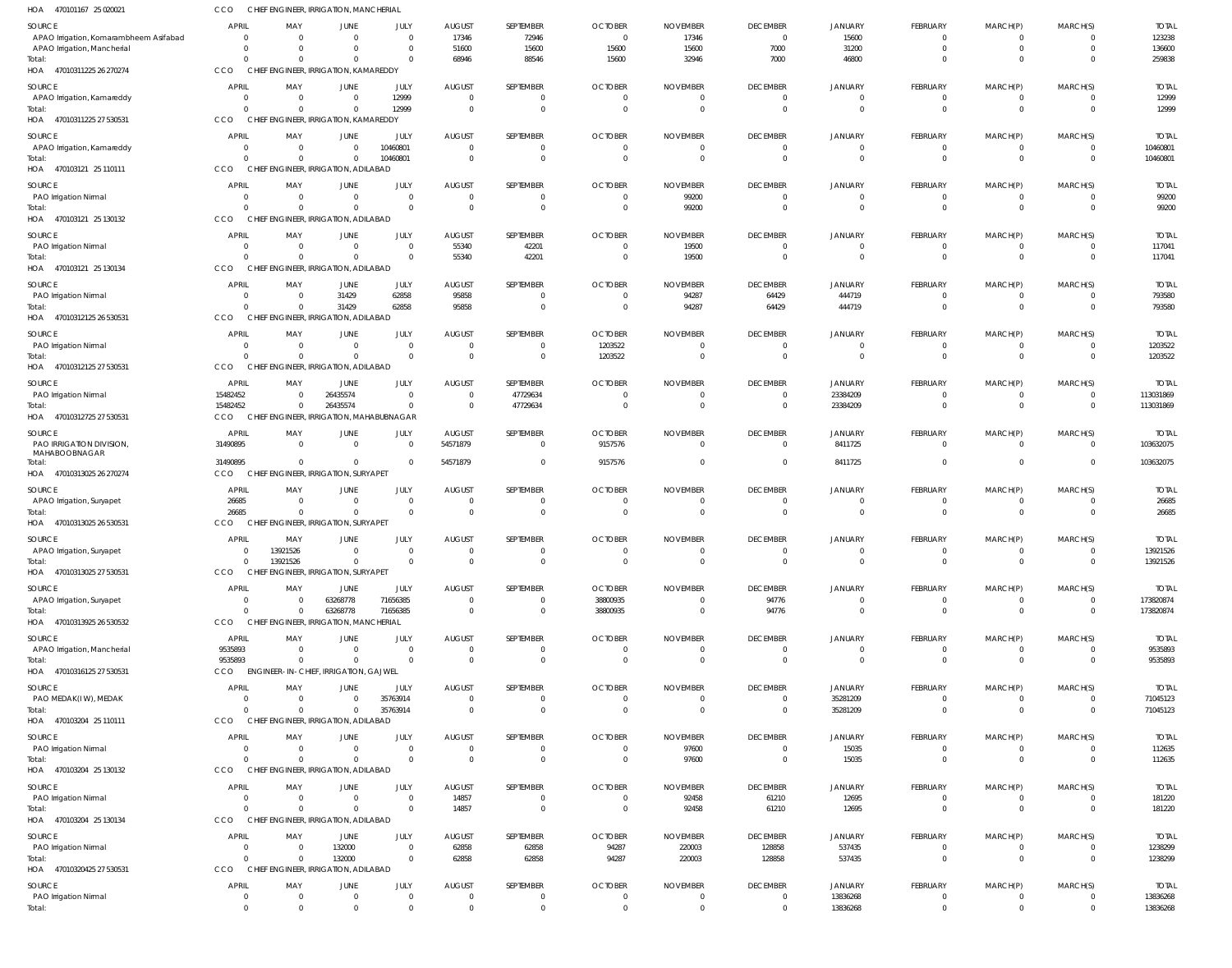| HOA 470101167 25 020021                                               | CCO                            | CHIEF ENGINEER, IRRIGATION, MANCHERIAL                 |                      |                                  |                                 |                                  |                            |                             |                                   |                                  |                                 |                                  |                                           |                           |
|-----------------------------------------------------------------------|--------------------------------|--------------------------------------------------------|----------------------|----------------------------------|---------------------------------|----------------------------------|----------------------------|-----------------------------|-----------------------------------|----------------------------------|---------------------------------|----------------------------------|-------------------------------------------|---------------------------|
| <b>SOURCE</b>                                                         | <b>APRIL</b>                   | MAY                                                    | JUNE                 | JULY                             | <b>AUGUST</b>                   | SEPTEMBER                        | <b>OCTOBER</b>             | <b>NOVEMBER</b>             | <b>DECEMBER</b>                   | <b>JANUARY</b>                   | FEBRUARY                        | MARCH(P)                         | MARCH(S)                                  | <b>TOTAL</b>              |
| APAO Irrigation, Komarambheem Asifabad<br>APAO Irrigation, Mancherial | $\overline{0}$<br>$\Omega$     | $\overline{0}$<br>$\Omega$                             | $\Omega$<br>$\Omega$ | $\overline{0}$<br>$\overline{0}$ | 17346<br>51600                  | 72946<br>15600                   | $\Omega$<br>15600          | 17346<br>15600              | $\overline{0}$<br>7000            | 15600<br>31200                   | $^{\circ}$<br>$\mathbf 0$       | $^{\circ}$<br>$\mathbf 0$        | $\overline{0}$<br>$\overline{0}$          | 123238<br>136600          |
| Total:                                                                | $\Omega$                       | $\Omega$                                               | $\Omega$             | $\Omega$                         | 68946                           | 88546                            | 15600                      | 32946                       | 7000                              | 46800                            | $\mathbf 0$                     | $\mathbf 0$                      | $\Omega$                                  | 259838                    |
| HOA 47010311225 26 270274                                             | CCO                            | CHIEF ENGINEER, IRRIGATION, KAMAREDDY                  |                      |                                  |                                 |                                  |                            |                             |                                   |                                  |                                 |                                  |                                           |                           |
| <b>SOURCE</b>                                                         | APRIL                          | MAY                                                    | JUNE                 | JULY                             | <b>AUGUST</b>                   | SEPTEMBER                        | <b>OCTOBER</b>             | <b>NOVEMBER</b>             | <b>DECEMBER</b>                   | JANUARY                          | FEBRUARY                        | MARCH(P)                         | MARCH(S)                                  | <b>TOTAL</b>              |
| APAO Irrigation, Kamareddy<br>Total:                                  | $\overline{0}$<br>$\Omega$     | $\overline{0}$<br>$\Omega$                             | $\Omega$<br>$\Omega$ | 12999<br>12999                   | $\Omega$<br>$\Omega$            | $\overline{0}$<br>$\overline{0}$ | $\Omega$                   | $\Omega$                    | $\mathbf{0}$<br>$\overline{0}$    | $\mathbf{0}$<br>$\Omega$         | $\mathbf{0}$<br>$\overline{0}$  | $\overline{0}$<br>$\overline{0}$ | $\overline{0}$<br>$\overline{0}$          | 12999<br>12999            |
| HOA 47010311225 27 530531                                             | CCO                            | CHIEF ENGINEER, IRRIGATION, KAMAREDDY                  |                      |                                  |                                 |                                  |                            |                             |                                   |                                  |                                 |                                  |                                           |                           |
| <b>SOURCE</b>                                                         | <b>APRIL</b>                   | MAY                                                    | JUNE                 | JULY                             | <b>AUGUST</b>                   | SEPTEMBER                        | <b>OCTOBER</b>             | <b>NOVEMBER</b>             | <b>DECEMBER</b>                   | <b>JANUARY</b>                   | FEBRUARY                        | MARCH(P)                         | MARCH(S)                                  | <b>TOTAL</b>              |
| APAO Irrigation, Kamareddy                                            | $\overline{0}$                 | $\overline{0}$                                         | $\Omega$             | 10460801                         | $\Omega$                        | $\overline{0}$                   | $\Omega$                   | $\Omega$                    | $\mathbf{0}$                      | $\overline{0}$                   | $\mathbf{0}$                    | $\overline{0}$                   | $\overline{\mathbf{0}}$                   | 10460801                  |
| Total:                                                                | $\Omega$                       | $\Omega$                                               | $\Omega$             | 10460801                         | $\Omega$                        | $\overline{0}$                   | $\Omega$                   | $\Omega$                    | $\Omega$                          | $\Omega$                         | $\mathbf{0}$                    | $\mathbf{0}$                     | $\overline{0}$                            | 10460801                  |
| HOA 470103121 25 110111                                               | CCO                            | CHIEF ENGINEER, IRRIGATION, ADILABAD                   |                      |                                  |                                 |                                  |                            |                             |                                   |                                  |                                 |                                  |                                           |                           |
| <b>SOURCE</b><br>PAO Irrigation Nirmal                                | APRIL<br>$\overline{0}$        | MAY<br>$\overline{0}$                                  | JUNE<br>$\Omega$     | JULY<br>$\overline{0}$           | <b>AUGUST</b><br>$\Omega$       | SEPTEMBER<br>$\overline{0}$      | <b>OCTOBER</b><br>$\Omega$ | <b>NOVEMBER</b><br>99200    | <b>DECEMBER</b><br>$\overline{0}$ | JANUARY<br>$\overline{0}$        | <b>FEBRUARY</b><br>$\mathbf{0}$ | MARCH(P)<br>$\mathbf 0$          | MARCH(S)<br>$\overline{0}$                | <b>TOTAL</b><br>99200     |
| Total:                                                                | $\Omega$                       | $\Omega$                                               | $\Omega$             | $\overline{0}$                   | $\Omega$                        | $\overline{0}$                   | $\Omega$                   | 99200                       | $\overline{0}$                    | $\Omega$                         | $\overline{0}$                  | $\overline{0}$                   | $\overline{0}$                            | 99200                     |
| HOA 470103121 25 130132                                               | CCO                            | CHIEF ENGINEER, IRRIGATION, ADILABAD                   |                      |                                  |                                 |                                  |                            |                             |                                   |                                  |                                 |                                  |                                           |                           |
| <b>SOURCE</b>                                                         | <b>APRIL</b>                   | MAY                                                    | JUNE                 | JULY                             | <b>AUGUST</b>                   | SEPTEMBER                        | <b>OCTOBER</b>             | <b>NOVEMBER</b>             | <b>DECEMBER</b>                   | JANUARY                          | FEBRUARY                        | MARCH(P)                         | MARCH(S)                                  | <b>TOTAL</b>              |
| PAO Irrigation Nirmal                                                 | $\overline{0}$<br>$\Omega$     | $\overline{0}$<br>$\Omega$                             | $\Omega$<br>$\Omega$ | $\overline{0}$<br>$\Omega$       | 55340<br>55340                  | 42201<br>42201                   | $\Omega$<br>$\Omega$       | 19500<br>19500              | 0<br>$\overline{0}$               | $\Omega$<br>$\Omega$             | $^{\circ}$<br>$\mathbf{0}$      | $\overline{0}$<br>$\mathbf{0}$   | $\overline{\mathbf{0}}$<br>$\overline{0}$ | 117041<br>117041          |
| Total:<br>HOA 470103121 25 130134                                     | CCO                            | CHIEF ENGINEER, IRRIGATION, ADILABAD                   |                      |                                  |                                 |                                  |                            |                             |                                   |                                  |                                 |                                  |                                           |                           |
| <b>SOURCE</b>                                                         | <b>APRIL</b>                   | MAY                                                    | JUNE                 | JULY                             | <b>AUGUST</b>                   | SEPTEMBER                        | <b>OCTOBER</b>             | <b>NOVEMBER</b>             | <b>DECEMBER</b>                   | JANUARY                          | <b>FEBRUARY</b>                 | MARCH(P)                         | MARCH(S)                                  | <b>TOTAL</b>              |
| PAO Irrigation Nirmal                                                 | 0                              | $\overline{0}$                                         | 31429                | 62858                            | 95858                           | $\overline{0}$                   |                            | 94287                       | 64429                             | 444719                           | $\mathbf{0}$                    | $\overline{0}$                   | $\overline{0}$                            | 793580                    |
| Total:                                                                | $\Omega$                       | $\overline{0}$                                         | 31429                | 62858                            | 95858                           | $\overline{0}$                   | $\Omega$                   | 94287                       | 64429                             | 444719                           | $\overline{0}$                  | $\overline{0}$                   | $\overline{0}$                            | 793580                    |
| HOA 47010312125 26 530531                                             | CCO                            | CHIEF ENGINEER, IRRIGATION, ADILABAD                   |                      |                                  |                                 |                                  |                            |                             |                                   |                                  |                                 |                                  |                                           |                           |
| <b>SOURCE</b><br>PAO Irrigation Nirmal                                | APRIL<br>0                     | MAY<br>$\overline{0}$                                  | JUNE<br>$\Omega$     | JULY<br>$\Omega$                 | <b>AUGUST</b><br>$\Omega$       | SEPTEMBER<br>$\overline{0}$      | <b>OCTOBER</b><br>1203522  | <b>NOVEMBER</b><br>$\Omega$ | <b>DECEMBER</b><br>$\mathbf{0}$   | <b>JANUARY</b><br>$\mathbf{0}$   | FEBRUARY<br>$\overline{0}$      | MARCH(P)<br>$\mathbf{0}$         | MARCH(S)<br>$\overline{\mathbf{0}}$       | <b>TOTAL</b><br>1203522   |
| Total:                                                                | $\Omega$                       | $\Omega$                                               | $\Omega$             | $\Omega$                         | $\Omega$                        | $\overline{0}$                   | 1203522                    | $\Omega$                    | $\overline{0}$                    | $\Omega$                         | $\mathbf{0}$                    | $\overline{0}$                   | $\overline{0}$                            | 1203522                   |
| HOA 47010312125 27 530531                                             | CCO                            | CHIEF ENGINEER, IRRIGATION, ADILABAD                   |                      |                                  |                                 |                                  |                            |                             |                                   |                                  |                                 |                                  |                                           |                           |
| <b>SOURCE</b>                                                         | APRIL                          | MAY                                                    | JUNE                 | JULY                             | <b>AUGUST</b>                   | SEPTEMBER                        | <b>OCTOBER</b>             | <b>NOVEMBER</b>             | <b>DECEMBER</b>                   | JANUARY                          | FEBRUARY                        | MARCH(P)                         | MARCH(S)                                  | <b>TOTAL</b>              |
| PAO Irrigation Nirmal<br>Total:                                       | 15482452<br>15482452           | $\overline{0}$<br>$\Omega$                             | 26435574<br>26435574 | $\overline{0}$<br>$\overline{0}$ | $\overline{0}$<br>$\Omega$      | 47729634<br>47729634             | $\Omega$<br>$\Omega$       | $\Omega$                    | $\overline{0}$<br>$\overline{0}$  | 23384209<br>23384209             | $\mathbf{0}$<br>$\mathbf{0}$    | $\mathbf 0$<br>$\overline{0}$    | $\overline{0}$<br>$\overline{0}$          | 113031869<br>113031869    |
| HOA 47010312725 27 530531                                             | CCO                            | CHIEF ENGINEER, IRRIGATION, MAHABUBNAGAR               |                      |                                  |                                 |                                  |                            |                             |                                   |                                  |                                 |                                  |                                           |                           |
| <b>SOURCE</b>                                                         | <b>APRIL</b>                   | MAY                                                    | JUNE                 | JULY                             | <b>AUGUST</b>                   | SEPTEMBER                        | <b>OCTOBER</b>             | <b>NOVEMBER</b>             | <b>DECEMBER</b>                   | <b>JANUARY</b>                   | FEBRUARY                        | MARCH(P)                         | MARCH(S)                                  | <b>TOTAL</b>              |
| PAO IRRIGATION DIVISION,                                              | 31490895                       | $\overline{0}$                                         | $\Omega$             | $\overline{0}$                   | 54571879                        | $\overline{0}$                   | 9157576                    | $\Omega$                    | $\mathbf 0$                       | 8411725                          | $\mathbf{0}$                    | $\mathbf{0}$                     | $\overline{0}$                            | 103632075                 |
| MAHABOOBNAGAR<br>Total:                                               | 31490895                       | $\Omega$                                               | $\Omega$             | $\Omega$                         | 54571879                        | $\overline{0}$                   | 9157576                    |                             | $\overline{0}$                    | 8411725                          | $\overline{0}$                  | $\mathbf{0}$                     | $\overline{0}$                            | 103632075                 |
| HOA 47010313025 26 270274                                             | CCO                            | CHIEF ENGINEER, IRRIGATION, SURYAPET                   |                      |                                  |                                 |                                  |                            |                             |                                   |                                  |                                 |                                  |                                           |                           |
| <b>SOURCE</b>                                                         | APRIL                          | MAY                                                    | JUNE                 | JULY                             | <b>AUGUST</b>                   | SEPTEMBER                        | <b>OCTOBER</b>             | <b>NOVEMBER</b>             | <b>DECEMBER</b>                   | JANUARY                          | <b>FEBRUARY</b>                 | MARCH(P)                         | MARCH(S)                                  | <b>TOTAL</b>              |
| APAO Irrigation, Suryapet                                             | 26685                          | $\overline{0}$                                         | $\Omega$             | $\overline{0}$                   | - 0                             | $\overline{0}$                   |                            |                             | $\mathbf{0}$                      | $\Omega$                         | $\mathbf{0}$                    | $\mathbf{0}$                     | $\overline{0}$                            | 26685                     |
| Total:<br>HOA 47010313025 26 530531                                   | 26685<br>CCO                   | $\overline{0}$<br>CHIEF ENGINEER, IRRIGATION, SURYAPET | $\Omega$             | $\overline{0}$                   | $\Omega$                        | $\overline{0}$                   | $\Omega$                   | $\Omega$                    | $\overline{0}$                    | $\Omega$                         | $\overline{0}$                  | $\overline{0}$                   | $\overline{0}$                            | 26685                     |
| SOURCE                                                                | <b>APRIL</b>                   | MAY                                                    | JUNE                 | JULY                             | <b>AUGUST</b>                   | SEPTEMBER                        | <b>OCTOBER</b>             | <b>NOVEMBER</b>             | <b>DECEMBER</b>                   | JANUARY                          | FEBRUARY                        | MARCH(P)                         | MARCH(S)                                  | <b>TOTAL</b>              |
| APAO Irrigation, Suryapet                                             | $\overline{0}$                 | 13921526                                               | $\Omega$             | $\Omega$                         | $\Omega$                        | $\Omega$                         | $\cap$                     | $\Omega$                    | $\Omega$                          | $\Omega$                         | $\Omega$                        | $\mathbf{0}$                     | $\overline{0}$                            | 13921526                  |
| Total:                                                                | $\overline{0}$                 | 13921526                                               | $\Omega$             | $\Omega$                         | $\Omega$                        | $\mathbf 0$                      | $\Omega$                   | $\Omega$                    | $\overline{0}$                    | $\overline{0}$                   | $\mathbf 0$                     | $\mathbf 0$                      | $\overline{0}$                            | 13921526                  |
| HOA 47010313025 27 530531                                             | CCO                            | CHIEF ENGINEER, IRRIGATION, SURYAPET                   |                      |                                  |                                 |                                  |                            |                             |                                   |                                  |                                 |                                  |                                           |                           |
| SOURCE<br>APAO Irrigation, Suryapet                                   | APRIL<br>$\overline{0}$        | MAY<br>$\overline{0}$                                  | JUNE<br>63268778     | JULY<br>71656385                 | <b>AUGUST</b><br>$\overline{0}$ | SEPTEMBER<br>$\overline{0}$      | <b>OCTOBER</b><br>38800935 | <b>NOVEMBER</b><br>$\Omega$ | <b>DECEMBER</b><br>94776          | <b>JANUARY</b><br>$\overline{0}$ | FEBRUARY<br>$\mathbf 0$         | MARCH(P)<br>$\mathbf 0$          | MARCH(S)<br>$\overline{0}$                | <b>TOTAL</b><br>173820874 |
| Total:                                                                | $\Omega$                       | $\Omega$                                               | 63268778             | 71656385                         | $\Omega$                        | $\overline{0}$                   | 38800935                   | $\Omega$                    | 94776                             | $\Omega$                         | $\overline{0}$                  | $\mathbf 0$                      | $\overline{0}$                            | 173820874                 |
| HOA 47010313925 26 530532                                             | CCO                            | CHIEF ENGINEER, IRRIGATION, MANCHERIAL                 |                      |                                  |                                 |                                  |                            |                             |                                   |                                  |                                 |                                  |                                           |                           |
| SOURCE                                                                | APRIL                          | MAY                                                    | JUNE                 | JULY                             | <b>AUGUST</b>                   | SEPTEMBER                        | <b>OCTOBER</b>             | <b>NOVEMBER</b>             | <b>DECEMBER</b>                   | <b>JANUARY</b>                   | FEBRUARY                        | MARCH(P)                         | MARCH(S)                                  | <b>TOTAL</b>              |
| APAO Irrigation, Mancherial                                           | 9535893<br>9535893             | $\Omega$<br>$\Omega$                                   | $\Omega$<br>$\Omega$ | $\overline{0}$<br>$\Omega$       | $\Omega$<br>$\overline{0}$      | $\overline{0}$<br>$\mathbf 0$    | $\Omega$<br>$\Omega$       | $\Omega$<br>$\Omega$        | 0<br>$\overline{0}$               | $\overline{0}$<br>$\overline{0}$ | $^{\circ}$<br>$\mathbf{0}$      | 0<br>$\overline{0}$              | $\overline{\mathbf{0}}$<br>$\overline{0}$ | 9535893<br>9535893        |
| Total:<br>HOA 47010316125 27 530531                                   | CCO                            | ENGINEER-IN-CHIEF, IRRIGATION, GAJWEL                  |                      |                                  |                                 |                                  |                            |                             |                                   |                                  |                                 |                                  |                                           |                           |
| SOURCE                                                                | APRIL                          | MAY                                                    | <b>JUNE</b>          | JULY                             | <b>AUGUST</b>                   | SEPTEMBER                        | <b>OCTOBER</b>             | <b>NOVEMBER</b>             | <b>DECEMBER</b>                   | <b>JANUARY</b>                   | <b>FEBRUARY</b>                 | MARCH(P)                         | MARCH(S)                                  | <b>TOTAL</b>              |
| PAO MEDAK(IW), MEDAK                                                  | $\overline{0}$                 | $\overline{0}$                                         | $\Omega$             | 35763914                         | $\Omega$                        | $\overline{0}$                   | $\Omega$                   |                             | $\mathbf 0$                       | 35281209                         | $\mathbf{0}$                    | 0                                | $\overline{\mathbf{0}}$                   | 71045123                  |
| Total:<br>HOA 470103204 25 110111                                     | $\Omega$<br>CCO                | $\Omega$<br>CHIEF ENGINEER, IRRIGATION, ADILABAD       | $\Omega$             | 35763914                         | $\Omega$                        | $\overline{0}$                   | $\Omega$                   | $\Omega$                    | $\overline{0}$                    | 35281209                         | $\overline{0}$                  | $\overline{0}$                   | $\overline{0}$                            | 71045123                  |
|                                                                       |                                |                                                        |                      |                                  |                                 |                                  |                            |                             |                                   |                                  |                                 |                                  |                                           |                           |
| SOURCE<br>PAO Irrigation Nirmal                                       | <b>APRIL</b><br>$\overline{0}$ | MAY<br>$\overline{0}$                                  | JUNE<br>$\Omega$     | JULY<br>$\overline{0}$           | <b>AUGUST</b><br>$\Omega$       | SEPTEMBER<br>$\overline{0}$      | <b>OCTOBER</b><br>$\Omega$ | <b>NOVEMBER</b><br>97600    | <b>DECEMBER</b><br>$\mathbf 0$    | <b>JANUARY</b><br>15035          | <b>FEBRUARY</b><br>$\mathbf{0}$ | MARCH(P)<br>$\mathbf{0}$         | MARCH(S)<br>$\overline{\mathbf{0}}$       | <b>TOTAL</b><br>112635    |
| Total:                                                                | $\Omega$                       | $\Omega$                                               | $\Omega$             | $\Omega$                         | $\Omega$                        | $\overline{0}$                   | $\Omega$                   | 97600                       | $\overline{0}$                    | 15035                            | $\overline{0}$                  | $\overline{0}$                   | $\overline{0}$                            | 112635                    |
| HOA 470103204 25 130132                                               | CCO                            | CHIEF ENGINEER, IRRIGATION, ADILABAD                   |                      |                                  |                                 |                                  |                            |                             |                                   |                                  |                                 |                                  |                                           |                           |
| SOURCE                                                                | APRIL                          | MAY                                                    | JUNE                 | JULY                             | <b>AUGUST</b>                   | SEPTEMBER                        | <b>OCTOBER</b>             | <b>NOVEMBER</b>             | <b>DECEMBER</b>                   | <b>JANUARY</b>                   | <b>FEBRUARY</b>                 | MARCH(P)                         | MARCH(S)                                  | <b>TOTAL</b>              |
| PAO Irrigation Nirmal<br>Total:                                       | $\overline{0}$<br>$\Omega$     | $\overline{0}$<br>$\Omega$                             | $\Omega$<br>$\Omega$ | $\overline{0}$<br>$\overline{0}$ | 14857<br>14857                  | $\overline{0}$<br>$\overline{0}$ | $\Omega$<br>$\Omega$       | 92458<br>92458              | 61210<br>61210                    | 12695<br>12695                   | $\mathbf{0}$<br>$\overline{0}$  | $\mathbf 0$<br>$\overline{0}$    | $\overline{0}$<br>$\overline{0}$          | 181220<br>181220          |
| HOA 470103204 25 130134                                               | CCO                            | CHIEF ENGINEER, IRRIGATION, ADILABAD                   |                      |                                  |                                 |                                  |                            |                             |                                   |                                  |                                 |                                  |                                           |                           |
| SOURCE                                                                | APRIL                          | MAY                                                    | JUNE                 | JULY                             | <b>AUGUST</b>                   | SEPTEMBER                        | <b>OCTOBER</b>             | <b>NOVEMBER</b>             | <b>DECEMBER</b>                   | <b>JANUARY</b>                   | FEBRUARY                        | MARCH(P)                         | MARCH(S)                                  | <b>TOTAL</b>              |
| PAO Irrigation Nirmal                                                 | $\overline{0}$                 | $\overline{0}$                                         | 132000               | $\overline{0}$                   | 62858                           | 62858                            | 94287                      | 220003                      | 128858                            | 537435                           | $^{\circ}$                      | 0                                | $\overline{0}$                            | 1238299                   |
| Total:<br>HOA 47010320425 27 530531                                   | $\Omega$<br>CCO                | $\overline{0}$<br>CHIEF ENGINEER, IRRIGATION, ADILABAD | 132000               | $\mathbf 0$                      | 62858                           | 62858                            | 94287                      | 220003                      | 128858                            | 537435                           | $\mathbf{0}$                    | $\overline{0}$                   | $\overline{0}$                            | 1238299                   |
| SOURCE                                                                | APRIL                          | MAY                                                    | JUNE                 | JULY                             | <b>AUGUST</b>                   | SEPTEMBER                        | <b>OCTOBER</b>             | <b>NOVEMBER</b>             | <b>DECEMBER</b>                   | <b>JANUARY</b>                   | <b>FEBRUARY</b>                 | MARCH(P)                         | MARCH(S)                                  | <b>TOTAL</b>              |
| PAO Irrigation Nirmal                                                 | $\overline{0}$                 | $\overline{0}$                                         | $\overline{0}$       | $\mathbf 0$                      | $\overline{0}$                  | $\overline{0}$                   | $\Omega$                   | $\Omega$                    | $\mathbf 0$                       | 13836268                         | $\mathbf{0}$                    | $\mathbf 0$                      | $\overline{\mathbf{0}}$                   | 13836268                  |
| Total:                                                                | $\overline{0}$                 | $\overline{0}$                                         | $\Omega$             | $\mathbf 0$                      | $\Omega$                        | $\mathbf{0}$                     | $\Omega$                   | $\Omega$                    | $\overline{0}$                    | 13836268                         | $\overline{0}$                  | $\overline{0}$                   | $\overline{0}$                            | 13836268                  |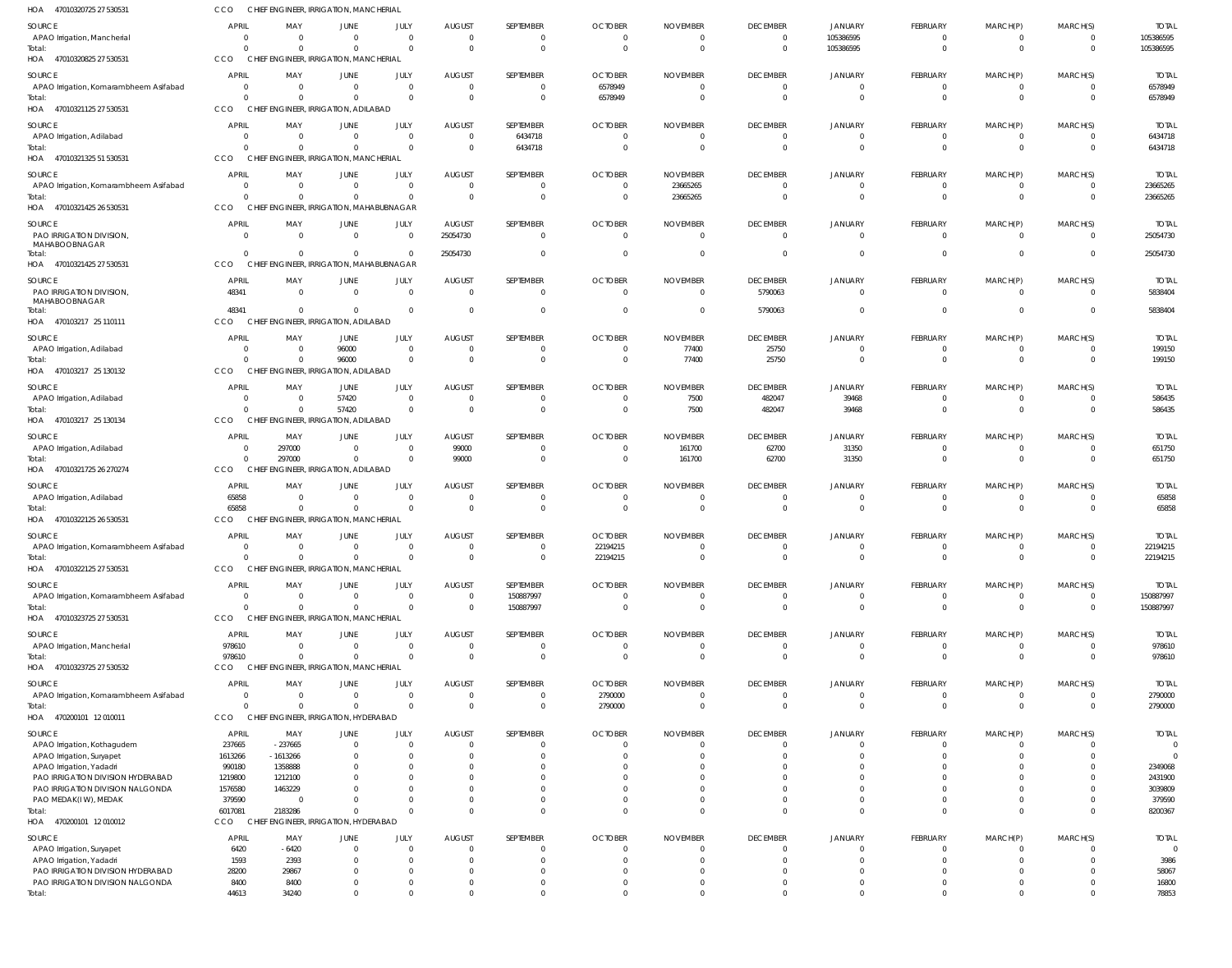| 47010320725 27 530531<br>HOA                          | CCO                            |                       | CHIEF ENGINEER, IRRIGATION, MANCHERIAL                   |                             |                           |                                  |                            |                             |                                  |                                  |                               |                             |                      |                         |
|-------------------------------------------------------|--------------------------------|-----------------------|----------------------------------------------------------|-----------------------------|---------------------------|----------------------------------|----------------------------|-----------------------------|----------------------------------|----------------------------------|-------------------------------|-----------------------------|----------------------|-------------------------|
| SOURCE                                                | <b>APRIL</b>                   | MAY                   | <b>JUNE</b>                                              | JULY                        | <b>AUGUST</b>             | SEPTEMBER                        | <b>OCTOBER</b>             | <b>NOVEMBER</b>             | <b>DECEMBER</b>                  | JANUARY                          | FEBRUARY                      | MARCH(P)                    | MARCH(S)             | <b>TOTAL</b>            |
| APAO Irrigation, Mancherial                           | 0                              | - 0                   | $\mathbf{0}$                                             | $\mathbf 0$                 | $\Omega$                  | $\overline{0}$                   | $\Omega$                   | $\Omega$                    | $\overline{0}$                   | 105386595                        | $\overline{0}$                | $\mathbf 0$                 | $\mathbf{0}$         | 105386595               |
| Total:                                                | $\Omega$<br>CCO                | $\cap$                | $\overline{0}$                                           | $\mathbf{0}$                | $\Omega$                  | $\overline{0}$                   | $\Omega$                   |                             | $\overline{0}$                   | 105386595                        | $\mathbf 0$                   | $\mathbf 0$                 | $\Omega$             | 105386595               |
| 47010320825 27 530531<br>HOA                          |                                |                       | CHIEF ENGINEER, IRRIGATION, MANCHERIAL                   |                             |                           |                                  |                            |                             |                                  |                                  |                               |                             |                      |                         |
| SOURCE                                                | <b>APRIL</b><br>$\overline{0}$ | MAY<br>$\Omega$       | JUNE<br>$\overline{0}$                                   | JULY<br>$\mathbf{0}$        | <b>AUGUST</b><br>$\Omega$ | SEPTEMBER<br>$\overline{0}$      | <b>OCTOBER</b>             | <b>NOVEMBER</b><br>$\Omega$ | <b>DECEMBER</b>                  | JANUARY<br>$\Omega$              | FEBRUARY                      | MARCH(P)                    | MARCH(S)<br>$\Omega$ | <b>TOTAL</b>            |
| APAO Irrigation, Komarambheem Asifabad<br>Total:      | $\overline{0}$                 | $\Omega$              | $\overline{0}$                                           | $\mathbf 0$                 | $\Omega$                  | $\mathbf{0}$                     | 6578949<br>6578949         | $\Omega$                    | $\overline{0}$<br>$\overline{0}$ | $\overline{0}$                   | 0<br>$\overline{0}$           | $\mathbf{0}$<br>$\mathbf 0$ | $\Omega$             | 6578949<br>6578949      |
| HOA 47010321125 27 530531                             | CCO                            |                       | CHIEF ENGINEER, IRRIGATION, ADILABAD                     |                             |                           |                                  |                            |                             |                                  |                                  |                               |                             |                      |                         |
| SOURCE                                                | <b>APRIL</b>                   | MAY                   | <b>JUNE</b>                                              | JULY                        | <b>AUGUST</b>             | SEPTEMBER                        | <b>OCTOBER</b>             | <b>NOVEMBER</b>             | <b>DECEMBER</b>                  | <b>JANUARY</b>                   | FEBRUARY                      | MARCH(P)                    | MARCH(S)             | <b>TOTAL</b>            |
| APAO Irrigation, Adilabad                             | 0                              | $\Omega$              | $\overline{0}$                                           | $\mathbf{0}$                | $\Omega$                  | 6434718                          | $\Omega$                   |                             | $\overline{0}$                   | $\overline{0}$                   | 0                             | $\mathbf 0$                 | $\Omega$             | 6434718                 |
| Total:                                                | $\Omega$                       | $\cap$                | $\mathbf{0}$                                             | $\mathbf 0$                 | $\Omega$                  | 6434718                          | $\Omega$                   |                             | $\overline{0}$                   | $\Omega$                         | $\overline{0}$                | $\mathbf 0$                 | $\Omega$             | 6434718                 |
| HOA 47010321325 51 530531                             | CCO                            |                       | CHIEF ENGINEER, IRRIGATION, MANCHERIAL                   |                             |                           |                                  |                            |                             |                                  |                                  |                               |                             |                      |                         |
| SOURCE                                                | <b>APRIL</b>                   | MAY                   | <b>JUNE</b>                                              | JULY                        | <b>AUGUST</b>             | SEPTEMBER                        | <b>OCTOBER</b>             | <b>NOVEMBER</b>             | <b>DECEMBER</b>                  | JANUARY                          | <b>FEBRUARY</b>               | MARCH(P)                    | MARCH(S)             | <b>TOTAL</b>            |
| APAO Irrigation, Komarambheem Asifabad<br>Total:      | $\overline{0}$<br>$\Omega$     | $\Omega$<br>$\cap$    | $\overline{0}$<br>$\mathbf{0}$                           | $\mathbf{0}$<br>$\mathbf 0$ | $\Omega$<br>$\Omega$      | $\overline{0}$<br>$\overline{0}$ | $\Omega$<br>$\Omega$       | 23665265<br>23665265        | $\overline{0}$<br>$\overline{0}$ | $\overline{0}$<br>$\Omega$       | $\overline{0}$<br>$\mathbf 0$ | $\mathbf{0}$<br>$\mathbf 0$ | $\Omega$<br>$\Omega$ | 23665265<br>23665265    |
| HOA 47010321425 26 530531                             | CCO                            |                       | CHIEF ENGINEER, IRRIGATION, MAHABUBNAGAR                 |                             |                           |                                  |                            |                             |                                  |                                  |                               |                             |                      |                         |
| SOURCE                                                | <b>APRIL</b>                   | MAY                   | JUNE                                                     | JULY                        | <b>AUGUST</b>             | SEPTEMBER                        | <b>OCTOBER</b>             | <b>NOVEMBER</b>             | <b>DECEMBER</b>                  | JANUARY                          | FEBRUARY                      | MARCH(P)                    | MARCH(S)             | <b>TOTAL</b>            |
| PAO IRRIGATION DIVISION,                              | $\overline{0}$                 | $\Omega$              | $\overline{0}$                                           | $\mathbf{0}$                | 25054730                  | $\overline{0}$                   | $\Omega$                   | $\mathsf{C}$                | $\overline{0}$                   | $\overline{0}$                   | $\overline{0}$                | $\overline{0}$              | $\Omega$             | 25054730                |
| MAHABOOBNAGAR                                         |                                |                       |                                                          |                             |                           |                                  |                            |                             |                                  |                                  |                               |                             |                      |                         |
| Total:<br>HOA<br>47010321425 27 530531                | $\Omega$<br>CCO                | $\Omega$              | $\mathbf{0}$<br>CHIEF ENGINEER, IRRIGATION, MAHABUBNAGAR | $\mathbf{0}$                | 25054730                  | $\overline{0}$                   | $\Omega$                   |                             | $\overline{0}$                   | $\overline{0}$                   | $\mathbf 0$                   | $\mathbf 0$                 | $\Omega$             | 25054730                |
|                                                       |                                |                       |                                                          |                             |                           |                                  |                            |                             |                                  |                                  |                               |                             |                      |                         |
| SOURCE<br>PAO IRRIGATION DIVISION                     | <b>APRIL</b><br>48341          | MAY<br>$\overline{0}$ | JUNE<br>$\overline{0}$                                   | JULY<br>$\overline{0}$      | <b>AUGUST</b><br>$\Omega$ | SEPTEMBER<br>$\overline{0}$      | <b>OCTOBER</b><br>$\Omega$ | <b>NOVEMBER</b><br>$\Omega$ | <b>DECEMBER</b><br>5790063       | JANUARY<br>$\overline{0}$        | FEBRUARY<br>$\overline{0}$    | MARCH(P)<br>$\mathbf{0}$    | MARCH(S)<br>$\Omega$ | <b>TOTAL</b><br>5838404 |
| MAHABOOBNAGAR                                         |                                |                       |                                                          |                             |                           |                                  |                            |                             |                                  |                                  |                               |                             |                      |                         |
| Total:<br>HOA 470103217 25 110111                     | 48341<br>CCO                   | $\Omega$              | $\overline{0}$<br>CHIEF ENGINEER, IRRIGATION, ADILABAD   | $\mathbf{0}$                | $\Omega$                  | $\overline{0}$                   | $\Omega$                   | 0                           | 5790063                          | $\overline{0}$                   | $\mathbf 0$                   | $\mathbf{0}$                | $\Omega$             | 5838404                 |
|                                                       |                                |                       |                                                          |                             |                           |                                  |                            |                             |                                  |                                  |                               |                             |                      |                         |
| SOURCE<br>APAO Irrigation, Adilabad                   | <b>APRIL</b><br>0              | MAY<br>$\Omega$       | JUNE<br>96000                                            | JULY<br>$\mathbf{0}$        | <b>AUGUST</b><br>$\Omega$ | SEPTEMBER<br>$\overline{0}$      | <b>OCTOBER</b><br>$\Omega$ | <b>NOVEMBER</b><br>77400    | <b>DECEMBER</b><br>25750         | <b>JANUARY</b><br>$\overline{0}$ | FEBRUARY<br>0                 | MARCH(P)<br>$\mathbf{0}$    | MARCH(S)<br>$\Omega$ | <b>TOTAL</b><br>199150  |
| Total:                                                | $\Omega$                       | $\Omega$              | 96000                                                    | $\mathbf 0$                 | $\Omega$                  | $\mathbf 0$                      | $\Omega$                   | 77400                       | 25750                            | $\Omega$                         | $\mathbf 0$                   | $\mathbf 0$                 | $\Omega$             | 199150                  |
| HOA 470103217 25 130132                               | CCO                            |                       | CHIEF ENGINEER, IRRIGATION, ADILABAD                     |                             |                           |                                  |                            |                             |                                  |                                  |                               |                             |                      |                         |
| SOURCE                                                | <b>APRIL</b>                   | MAY                   | JUNE                                                     | JULY                        | <b>AUGUST</b>             | SEPTEMBER                        | <b>OCTOBER</b>             | <b>NOVEMBER</b>             | <b>DECEMBER</b>                  | JANUARY                          | FEBRUARY                      | MARCH(P)                    | MARCH(S)             | <b>TOTAL</b>            |
| APAO Irrigation, Adilabad                             | 0                              | $\Omega$              | 57420                                                    | $\mathbf{0}$                | $\Omega$                  | $\overline{0}$                   | $\Omega$                   | 7500                        | 482047                           | 39468                            | $\mathbf 0$                   | $\mathbf{0}$                | $\Omega$             | 586435                  |
| Total:                                                | $\Omega$                       | $\cap$                | 57420                                                    | $\Omega$                    | $\Omega$                  | $\mathbf 0$                      | $\Omega$                   | 7500                        | 482047                           | 39468                            | $\mathbf 0$                   | $\mathbf 0$                 | $\Omega$             | 586435                  |
| HOA 470103217 25 130134                               | CCO                            |                       | CHIEF ENGINEER, IRRIGATION, ADILABAD                     |                             |                           |                                  |                            |                             |                                  |                                  |                               |                             |                      |                         |
| SOURCE                                                | <b>APRIL</b>                   | MAY                   | JUNE                                                     | JULY                        | <b>AUGUST</b>             | SEPTEMBER                        | <b>OCTOBER</b>             | <b>NOVEMBER</b>             | <b>DECEMBER</b>                  | <b>JANUARY</b>                   | FEBRUARY                      | MARCH(P)                    | MARCH(S)             | <b>TOTAL</b>            |
| APAO Irrigation, Adilabad<br>Total:                   | 0<br>$\Omega$                  | 297000<br>297000      | $\overline{0}$<br>$\overline{0}$                         | $\mathbf 0$<br>$\mathbf{0}$ | 99000<br>99000            | $\overline{0}$<br>$\overline{0}$ | $\Omega$<br>$\Omega$       | 161700<br>161700            | 62700<br>62700                   | 31350<br>31350                   | $\overline{0}$<br>$\mathbf 0$ | $\mathbf{0}$<br>$\mathbf 0$ | $\Omega$<br>$\Omega$ | 651750<br>651750        |
| 47010321725 26 270274<br>HOA                          | CCO                            |                       | CHIEF ENGINEER, IRRIGATION, ADILABAD                     |                             |                           |                                  |                            |                             |                                  |                                  |                               |                             |                      |                         |
| SOURCE                                                | <b>APRIL</b>                   | MAY                   | JUNE                                                     | JULY                        | <b>AUGUST</b>             | SEPTEMBER                        | <b>OCTOBER</b>             | <b>NOVEMBER</b>             | <b>DECEMBER</b>                  | <b>JANUARY</b>                   | FEBRUARY                      | MARCH(P)                    | MARCH(S)             | <b>TOTAL</b>            |
| APAO Irrigation, Adilabad                             | 65858                          | $\Omega$              | $\overline{0}$                                           | $\mathbf{0}$                |                           | $\overline{0}$                   | $\Omega$                   | - 0                         | $\overline{0}$                   | $\Omega$                         | 0                             | 0                           | $\Omega$             | 65858                   |
| Total:                                                | 65858                          | $\Omega$              | $\overline{0}$                                           | $\mathbf 0$                 | $\Omega$                  | $\mathbf 0$                      | $\Omega$                   | $\mathbf{0}$                | $\overline{0}$                   | $\Omega$                         | $\overline{0}$                | $\mathbf 0$                 | $\Omega$             | 65858                   |
| HOA 47010322125 26 530531                             | CCO                            |                       | CHIEF ENGINEER, IRRIGATION, MANCHERIAL                   |                             |                           |                                  |                            |                             |                                  |                                  |                               |                             |                      |                         |
| <b>SOURCE</b>                                         | <b>APRIL</b>                   | MAY                   | <b>JUNE</b>                                              | JULY                        | <b>AUGUST</b>             | SEPTEMBER                        | <b>OCTOBER</b>             | <b>NOVEMBER</b>             | <b>DECEMBER</b>                  | <b>JANUARY</b>                   | <b>FEBRUARY</b>               | MARCH(P)                    | MARCH(S)             | <b>TOTAL</b>            |
| APAO Irrigation, Komarambheem Asifabad<br>Total:      | $\Omega$<br>$\mathbf{0}$       | $\Omega$<br>$\Omega$  | $\overline{0}$<br>$\mathbf{0}$                           | $\Omega$<br>$\mathbf 0$     | $\Omega$<br>$\Omega$      | $\Omega$<br>$\mathbf 0$          | 22194215<br>22194215       | $\cap$<br>$\Omega$          | $\overline{0}$<br>$\overline{0}$ | $\Omega$<br>$\overline{0}$       | $\Omega$<br>$\overline{0}$    | $\Omega$<br>$\mathbf 0$     | $\cap$<br>$\Omega$   | 22194215<br>22194215    |
| HOA<br>47010322125 27 530531                          | CCO                            |                       | CHIEF ENGINEER, IRRIGATION, MANCHERIAL                   |                             |                           |                                  |                            |                             |                                  |                                  |                               |                             |                      |                         |
| SOURCE                                                | <b>APRIL</b>                   | MAY                   | <b>JUNE</b>                                              | JULY                        | <b>AUGUST</b>             | SEPTEMBER                        | <b>OCTOBER</b>             | <b>NOVEMBER</b>             | <b>DECEMBER</b>                  | JANUARY                          | <b>FEBRUARY</b>               | MARCH(P)                    | MARCH(S)             | <b>TOTAL</b>            |
| APAO Irrigation, Komarambheem Asifabad                | $\mathbf 0$                    | $\Omega$              | $\overline{0}$                                           | $\mathbf{0}$                | $\Omega$                  | 150887997                        | $\Omega$                   | - 0                         | $\overline{0}$                   | $\Omega$                         | 0                             | $\mathbf{0}$                | $\Omega$             | 150887997               |
| Total:                                                | $\Omega$                       | $\cap$                | $\mathbf{0}$                                             | $\Omega$                    | $\Omega$                  | 150887997                        | $\Omega$                   | $\Omega$                    | $\overline{0}$                   | $\Omega$                         | $\overline{0}$                | $\mathbf 0$                 | $\Omega$             | 150887997               |
| 47010323725 27 530531<br>HOA                          | CCO                            |                       | CHIEF ENGINEER, IRRIGATION, MANCHERIAL                   |                             |                           |                                  |                            |                             |                                  |                                  |                               |                             |                      |                         |
| SOURCE                                                | <b>APRIL</b>                   | MAY                   | <b>JUNE</b>                                              | JULY                        | <b>AUGUST</b>             | SEPTEMBER                        | <b>OCTOBER</b>             | <b>NOVEMBER</b>             | <b>DECEMBER</b>                  | <b>JANUARY</b>                   | FEBRUARY                      | MARCH(P)                    | MARCH(S)             | <b>TOTAL</b>            |
| APAO Irrigation, Mancherial<br>Total:                 | 978610<br>978610               | - 0<br>$\Omega$       | $\overline{0}$<br>$\mathbf 0$                            | $\mathbf{0}$<br>$\mathbf 0$ | $\Omega$<br>$\Omega$      | $\overline{0}$<br>$\overline{0}$ | - 0<br>$\Omega$            |                             | $\overline{0}$<br>$\overline{0}$ | $\overline{0}$<br>$\Omega$       | $\overline{0}$<br>$\mathbf 0$ | $\mathbf{0}$<br>$\mathbf 0$ | $\Omega$<br>$\Omega$ | 978610<br>978610        |
| 47010323725 27 530532<br>HOA                          | CCO                            |                       | CHIEF ENGINEER, IRRIGATION, MANCHERIAL                   |                             |                           |                                  |                            |                             |                                  |                                  |                               |                             |                      |                         |
| SOURCE                                                | <b>APRIL</b>                   | MAY                   | JUNE                                                     | JULY                        | <b>AUGUST</b>             | SEPTEMBER                        | <b>OCTOBER</b>             | <b>NOVEMBER</b>             | <b>DECEMBER</b>                  | <b>JANUARY</b>                   | FEBRUARY                      | MARCH(P)                    | MARCH(S)             | <b>TOTAL</b>            |
| APAO Irrigation, Komarambheem Asifabad                | $\overline{0}$                 | $\Omega$              | $\mathbf{0}$                                             | $\mathbf 0$                 | $\Omega$                  | $\overline{0}$                   | 2790000                    | - 0                         | $\overline{0}$                   | $\Omega$                         | 0                             | 0                           | $\Omega$             | 2790000                 |
| Total:                                                | $\Omega$                       | $\Omega$              | $\overline{0}$                                           | $\mathbf 0$                 | $\Omega$                  | $\overline{0}$                   | 2790000                    | - 0                         | $\overline{0}$                   | $\Omega$                         | $\mathbf 0$                   | $\mathbf 0$                 | $\Omega$             | 2790000                 |
| HOA 470200101 12 010011                               | CCO                            |                       | CHIEF ENGINEER, IRRIGATION, HYDERABAD                    |                             |                           |                                  |                            |                             |                                  |                                  |                               |                             |                      |                         |
| SOURCE                                                | <b>APRIL</b>                   | MAY                   | JUNE                                                     | JULY                        | <b>AUGUST</b>             | SEPTEMBER                        | <b>OCTOBER</b>             | <b>NOVEMBER</b>             | <b>DECEMBER</b>                  | <b>JANUARY</b>                   | FEBRUARY                      | MARCH(P)                    | MARCH(S)             | <b>TOTAL</b>            |
| APAO Irrigation, Kothagudem                           | 237665                         | $-237665$             | $\overline{0}$                                           | $\overline{0}$<br>$\Omega$  |                           | 0<br>$\Omega$                    |                            |                             | $\overline{0}$<br>$\Omega$       | 0<br>$\Omega$                    | 0<br>$\Omega$                 | 0<br>$\Omega$               | $\Omega$             | $\Omega$<br>$\Omega$    |
| APAO Irrigation, Suryapet<br>APAO Irrigation, Yadadri | 1613266<br>990180              | $-1613266$<br>1358888 | $\Omega$<br>$\Omega$                                     | $\Omega$                    |                           | $\Omega$                         |                            |                             | $\Omega$                         |                                  | $\Omega$                      |                             |                      | 2349068                 |
| PAO IRRIGATION DIVISION HYDERABAD                     | 1219800                        | 1212100               |                                                          |                             |                           | $\Omega$                         |                            |                             | $\Omega$                         | $\Omega$                         | $\Omega$                      |                             |                      | 2431900                 |
| PAO IRRIGATION DIVISION NALGONDA                      | 1576580                        | 1463229               |                                                          |                             |                           | $\Omega$                         |                            |                             | $\Omega$                         | $\Omega$                         | $\Omega$                      |                             |                      | 3039809                 |
| PAO MEDAK(IW), MEDAK                                  | 379590                         | - 0                   | $\Omega$<br>$\Omega$                                     | $\Omega$                    |                           | $\Omega$<br>$\Omega$             |                            |                             | $\Omega$<br>$\Omega$             | $\Omega$<br>$\Omega$             | $\Omega$<br>$\Omega$          | $\Omega$<br>$\Omega$        | $\Omega$<br>$\Omega$ | 379590                  |
| Total:<br>470200101 12 010012<br>HOA                  | 6017081<br>CCO                 | 2183286               | CHIEF ENGINEER, IRRIGATION, HYDERABAD                    |                             |                           |                                  |                            |                             |                                  |                                  |                               |                             |                      | 8200367                 |
| SOURCE                                                | <b>APRIL</b>                   | MAY                   | JUNE                                                     | JULY                        | <b>AUGUST</b>             | SEPTEMBER                        | <b>OCTOBER</b>             | <b>NOVEMBER</b>             | <b>DECEMBER</b>                  | JANUARY                          | FEBRUARY                      | MARCH(P)                    | MARCH(S)             | <b>TOTAL</b>            |
| APAO Irrigation, Suryapet                             | 6420                           | $-6420$               | $\overline{0}$                                           | $\Omega$                    |                           | $\Omega$                         |                            |                             | $\overline{0}$                   | $\Omega$                         | $\Omega$                      |                             |                      |                         |
| APAO Irrigation, Yadadri                              | 1593                           | 2393                  | $\Omega$                                                 | $\Omega$                    |                           | $\Omega$                         |                            |                             | $\Omega$                         | $\Omega$                         | $\Omega$                      |                             |                      | 3986                    |
| PAO IRRIGATION DIVISION HYDERABAD                     | 28200                          | 29867                 | $\Omega$                                                 | $\Omega$                    |                           | $\Omega$                         |                            |                             | $\Omega$                         | $\Omega$                         | $\Omega$                      |                             |                      | 58067                   |
| PAO IRRIGATION DIVISION NALGONDA<br>Total:            | 8400<br>44613                  | 8400<br>34240         | 0<br>$\Omega$                                            | $\Omega$<br>$\mathbf 0$     | $\Omega$<br>$\Omega$      | $\overline{0}$<br>$\Omega$       |                            |                             | $\overline{0}$<br>$\Omega$       | $\Omega$<br>$\Omega$             | $\mathbf 0$<br>$\mathbf 0$    | $\Omega$<br>$\Omega$        | $\Omega$<br>$\Omega$ | 16800<br>78853          |
|                                                       |                                |                       |                                                          |                             |                           |                                  |                            |                             |                                  |                                  |                               |                             |                      |                         |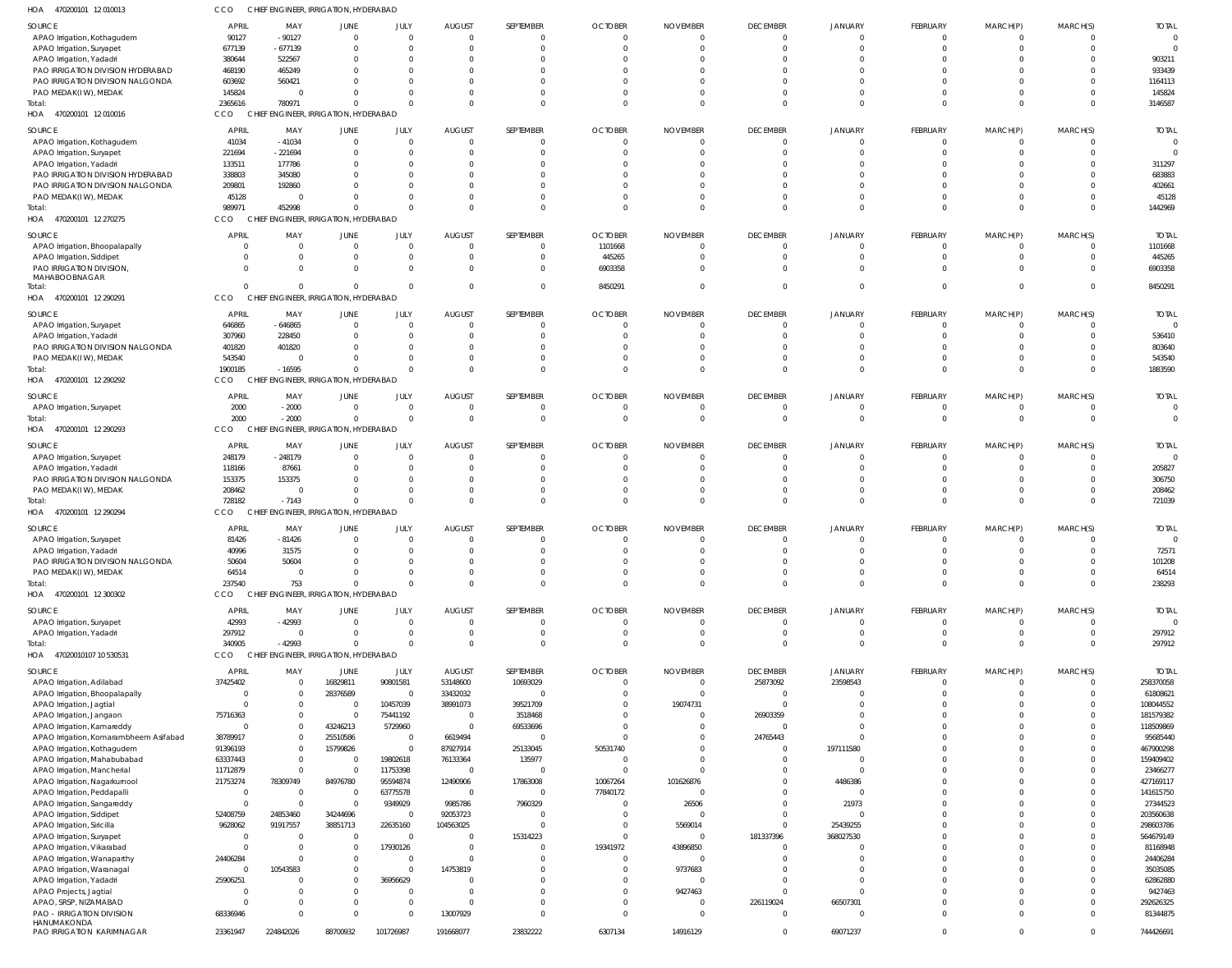| HOA<br>470200101 12 010013               | CCO          | CHIEF ENGINEER, IRRIGATION, HYDERABAD |                                        |                |               |                |                |                 |                 |                |                 |                |                |                |
|------------------------------------------|--------------|---------------------------------------|----------------------------------------|----------------|---------------|----------------|----------------|-----------------|-----------------|----------------|-----------------|----------------|----------------|----------------|
| SOURCE                                   | APRIL        | MAY                                   | JUNE                                   | JULY           | <b>AUGUST</b> | SEPTEMBER      | <b>OCTOBER</b> | <b>NOVEMBER</b> | <b>DECEMBER</b> | <b>JANUARY</b> | FEBRUARY        | MARCH(P)       | MARCH(S)       | <b>TOTAL</b>   |
| APAO Irrigation, Kothagudem              | 90127        | $-90127$                              | $\overline{0}$                         | $\mathbf 0$    | $\Omega$      | $\Omega$       | $\Omega$       |                 | $\mathbf{0}$    | $\overline{0}$ | $\Omega$        | $\Omega$       | $\overline{0}$ |                |
| APAO Irrigation, Suryapet                | 677139       | $-677139$                             | $\Omega$                               | $\mathbf 0$    | $\Omega$      | $\Omega$       |                |                 | $\Omega$        | $\Omega$       | $\Omega$        | $\Omega$       | $\Omega$       |                |
| APAO Irrigation, Yadadri                 | 380644       | 522567                                | $\Omega$                               | $^{\circ}$     |               | $\Omega$       |                |                 | $\Omega$        | $\Omega$       |                 |                |                | 903211         |
| PAO IRRIGATION DIVISION HYDERABAD        | 468190       | 465249                                | $\Omega$                               | $\Omega$       |               | $\Omega$       |                |                 | $\Omega$        | $\Omega$       |                 |                |                | 933439         |
| PAO IRRIGATION DIVISION NALGONDA         | 603692       | 560421                                | $\Omega$                               | $\Omega$       |               | $\Omega$       |                |                 | $\Omega$        | $\Omega$       |                 | $\Omega$       | $\Omega$       | 1164113        |
| PAO MEDAK(IW), MEDAK                     | 145824       | $\Omega$                              | $\Omega$                               | $\Omega$       |               | $\Omega$       |                |                 | $\Omega$        | $\Omega$       |                 | $\Omega$       | $\Omega$       | 145824         |
| Total:                                   | 2365616      | 780971                                | $\Omega$                               | $\Omega$       | $\Omega$      | $\Omega$       |                |                 | $\Omega$        | $\Omega$       | $\Omega$        | $\Omega$       | $\Omega$       | 3146587        |
| HOA 470200101 12 010016                  | CCO          | CHIEF ENGINEER, IRRIGATION, HYDERABAD |                                        |                |               |                |                |                 |                 |                |                 |                |                |                |
| <b>SOURCE</b>                            | <b>APRIL</b> | MAY                                   | JUNE                                   | JULY           | <b>AUGUST</b> | SEPTEMBER      | <b>OCTOBER</b> | <b>NOVEMBER</b> | <b>DECEMBER</b> | <b>JANUARY</b> | <b>FEBRUARY</b> | MARCH(P)       | MARCH(S)       | <b>TOTAL</b>   |
| APAO Irrigation, Kothagudem              | 41034        | $-41034$                              | $\Omega$                               | $\mathbf 0$    | $\Omega$      | $\Omega$       |                |                 | $\mathbf{0}$    | 0              | $\Omega$        | - 0            | 0              |                |
| APAO Irrigation, Suryapet                | 221694       | $-221694$                             | $\Omega$                               | $\Omega$       | $\Omega$      | $\Omega$       |                |                 | $\Omega$        | $\Omega$       | $\Omega$        | $\Omega$       | $\Omega$       |                |
| APAO Irrigation, Yadadri                 | 133511       | 177786                                | $\Omega$                               | $\Omega$       |               |                |                |                 | -0              |                |                 |                | C              | 311297         |
| PAO IRRIGATION DIVISION HYDERABAD        | 338803       | 345080                                | $\Omega$                               | $\Omega$       |               | $\Omega$       |                |                 | $\Omega$        | $\Omega$       |                 |                | C              | 683883         |
| PAO IRRIGATION DIVISION NALGONDA         | 209801       | 192860                                | $\Omega$                               | $\Omega$       |               | $\Omega$       |                |                 | $\Omega$        | $\Omega$       |                 | $\Omega$       | $\Omega$       | 402661         |
| PAO MEDAK(IW), MEDAK                     | 45128        | $\Omega$                              | $\Omega$                               | $\Omega$       |               | $\Omega$       |                |                 | $\Omega$        | $\Omega$       | $\Omega$        | $\Omega$       | $\Omega$       | 45128          |
| Total:                                   | 989971       | 452998                                | $\Omega$                               | $\Omega$       | $\Omega$      | $\Omega$       |                |                 | $\Omega$        | $\Omega$       | $\Omega$        | $\Omega$       | $\Omega$       | 1442969        |
| HOA 470200101 12 270275                  | CCO          | <b>CHIEF</b>                          | <b>ENGINEER, IRRIGATION, HYDERABAD</b> |                |               |                |                |                 |                 |                |                 |                |                |                |
| SOURCE                                   | <b>APRIL</b> | MAY                                   | <b>JUNE</b>                            | JULY           | <b>AUGUST</b> | SEPTEMBER      | <b>OCTOBER</b> | <b>NOVEMBER</b> | <b>DECEMBER</b> | <b>JANUARY</b> | FEBRUARY        | MARCH(P)       | MARCH(S)       | <b>TOTAL</b>   |
| APAO Irrigation, Bhoopalapally           | - 0          | $\Omega$                              | $\mathbf{0}$                           | $\mathbf 0$    | $\Omega$      | $\Omega$       | 1101668        | $\Omega$        | $\mathbf{0}$    | $\mathbf{0}$   | $\Omega$        | - 0            | $\Omega$       | 1101668        |
| APAO Irrigation, Siddipet                |              | $\Omega$                              | $\mathbf{0}$                           | $\mathbf 0$    | $\Omega$      | $\Omega$       | 445265         |                 | $\Omega$        | $\Omega$       | $\Omega$        | $\Omega$       | $^{\circ}$     | 445265         |
| PAO IRRIGATION DIVISION                  |              | $\Omega$                              | $\mathbf 0$                            | $\mathbf 0$    | $\Omega$      | $\Omega$       | 6903358        |                 | $\Omega$        | $\Omega$       | $\Omega$        | $\Omega$       | $\Omega$       | 6903358        |
| MAHABOOBNAGAR                            |              |                                       |                                        |                |               |                |                |                 |                 |                |                 |                |                |                |
| Total:                                   |              | $\Omega$                              | $\Omega$                               | $\mathbf{0}$   | $\Omega$      | $\Omega$       | 8450291        |                 | $\overline{0}$  | $\overline{0}$ | $\Omega$        | $\Omega$       | $\overline{0}$ | 8450291        |
| HOA 470200101 12 290291                  | CCO          | CHIEF ENGINEER, IRRIGATION, HYDERABAD |                                        |                |               |                |                |                 |                 |                |                 |                |                |                |
| SOURCE                                   | <b>APRIL</b> | MAY                                   | <b>JUNE</b>                            | JULY           | <b>AUGUST</b> | SEPTEMBER      | <b>OCTOBER</b> | <b>NOVEMBER</b> | <b>DECEMBER</b> | JANUARY        | FEBRUARY        | MARCH(P)       | MARCH(S)       | <b>TOTAL</b>   |
| APAO Irrigation, Suryapet                | 646865       | $-646865$                             | $\Omega$                               | $\mathbf 0$    | $\Omega$      |                |                |                 | 0               | 0              | $\Omega$        |                | C              |                |
| APAO Irrigation, Yadadri                 | 307960       | 228450                                | $\Omega$                               | $\Omega$       | $\Omega$      | $\Omega$       |                |                 | $\Omega$        | $\Omega$       | $\Omega$        | $\Omega$       | $\Omega$       | 536410         |
| PAO IRRIGATION DIVISION NALGONDA         | 401820       | 401820                                | $\Omega$                               | $\Omega$       | $\Omega$      | $\Omega$       |                |                 | $\Omega$        | 0              | $\Omega$        | $\Omega$       | C              | 803640         |
| PAO MEDAK(IW), MEDAK                     | 543540       | $\Omega$                              | $\Omega$                               | $\Omega$       |               | $\Omega$       |                |                 | $\Omega$        | $\Omega$       | $\Omega$        | $\Omega$       | C              | 543540         |
| Total:                                   | 1900185      | $-16595$                              | $\Omega$                               | $\Omega$       | $\Omega$      | $\Omega$       |                |                 | $\Omega$        | $\Omega$       | $\Omega$        | $\Omega$       | $\Omega$       | 1883590        |
| 470200101 12 290292<br>HOA               | CCO          | CHIEF ENGINEER, IRRIGATION, HYDERABAD |                                        |                |               |                |                |                 |                 |                |                 |                |                |                |
| <b>SOURCE</b>                            | <b>APRIL</b> | MAY                                   | JUNE                                   | JULY           | <b>AUGUST</b> | SEPTEMBER      | <b>OCTOBER</b> | <b>NOVEMBER</b> | <b>DECEMBER</b> | JANUARY        | <b>FEBRUARY</b> | MARCH(P)       | MARCH(S)       | <b>TOTAL</b>   |
| APAO Irrigation, Suryapet                | 2000         | $-2000$                               | $\mathbf{0}$                           | $\mathbf 0$    | $\mathbf 0$   | $\Omega$       | 0              | $\Omega$        | $\mathbf{0}$    | 0              | $\Omega$        | $\Omega$       | C              |                |
| Total:                                   | 2000         | $-2000$                               | $\mathbf 0$                            | $\mathbf 0$    | $\Omega$      | $\Omega$       | $\Omega$       | $\Omega$        | $\overline{0}$  | $\overline{0}$ | $\Omega$        | $\Omega$       | $\Omega$       | $\overline{0}$ |
| HOA 470200101 12 290293                  | CCO          | CHIEF ENGINEER, IRRIGATION, HYDERABAD |                                        |                |               |                |                |                 |                 |                |                 |                |                |                |
|                                          |              |                                       |                                        |                |               |                |                |                 |                 |                |                 |                |                |                |
| SOURCE                                   | <b>APRIL</b> | MAY                                   | <b>JUNE</b>                            | JULY           | <b>AUGUST</b> | SEPTEMBER      | <b>OCTOBER</b> | <b>NOVEMBER</b> | <b>DECEMBER</b> | JANUARY        | FEBRUARY        | MARCH(P)       | MARCH(S)       | <b>TOTAL</b>   |
| APAO Irrigation, Suryapet                | 248179       | $-248179$                             | $\mathbf{0}$                           | $\mathbf 0$    | $\Omega$      |                |                |                 | 0               | $\Omega$       | $\Omega$        |                | C              |                |
| APAO Irrigation, Yadadri                 | 118166       | 87661                                 | $\Omega$                               | $\Omega$       | $\Omega$      | $\Omega$       |                |                 | $\Omega$        | $\Omega$       | $\Omega$        | $\Omega$       | $\Omega$       | 205827         |
| PAO IRRIGATION DIVISION NALGONDA         | 153375       | 153375                                | $\Omega$                               | $\Omega$       | $\Omega$      | $\Omega$       |                |                 | $\Omega$        | 0              | $\Omega$        | $\Omega$       | C              | 306750         |
| PAO MEDAK(IW), MEDAK                     | 208462       | $\Omega$                              | $\Omega$                               | $\Omega$       |               | $\Omega$       |                |                 | $\Omega$        | $\Omega$       | $\Omega$        | $\Omega$       | C              | 208462         |
| Total:                                   | 728182       | $-7143$                               | $\Omega$                               | $\mathbf 0$    | $\Omega$      | $\Omega$       |                |                 | $\Omega$        | $\Omega$       | $\Omega$        | $\Omega$       | $\Omega$       | 721039         |
| HOA 470200101 12 290294                  | CCO          | CHIEF ENGINEER, IRRIGATION, HYDERABAD |                                        |                |               |                |                |                 |                 |                |                 |                |                |                |
| <b>SOURCE</b>                            | <b>APRIL</b> | MAY                                   | JUNE                                   | JULY           | <b>AUGUST</b> | SEPTEMBER      | <b>OCTOBER</b> | <b>NOVEMBER</b> | <b>DECEMBER</b> | <b>JANUARY</b> | <b>FEBRUARY</b> | MARCH(P)       | MARCH(S)       | <b>TOTAL</b>   |
| APAO Irrigation, Suryapet                | 81426        | $-81426$                              | $\mathbf{0}$                           | $\mathbf 0$    | $\Omega$      | $\Omega$       |                |                 | $\Omega$        | $\Omega$       | $\Omega$        |                | C              |                |
| APAO Irrigation, Yadadri                 | 40996        | 31575                                 | $\Omega$                               | $\Omega$       | $\Omega$      | $\Omega$       |                |                 | $\Omega$        | $\Omega$       | $\Omega$        | $\Omega$       | $\Omega$       | 72571          |
| PAO IRRIGATION DIVISION NALGONDA         | 50604        | 50604                                 | $\Omega$                               | $\Omega$       | $\Omega$      | $\Omega$       |                |                 | $\mathbf 0$     | $\Omega$       | $\Omega$        | $\Omega$       | $\mathbf{0}$   | 101208         |
| PAO MEDAK(IW), MEDAK                     | 64514        | $\overline{0}$                        | $\mathbf 0$                            | $\mathbf 0$    | $\Omega$      | $\mathbf{0}$   | $\Omega$       | $\Omega$        | $\mathbf{0}$    | $\mathbf{0}$   | $\mathbf{0}$    | $\mathbf{0}$   | $\overline{0}$ | 64514          |
| Total:                                   | 237540       | 753                                   | $\Omega$                               | $\mathbf 0$    | $\Omega$      | $\Omega$       | $\Omega$       | $\Omega$        | $\Omega$        | $\Omega$       | $\Omega$        | $\Omega$       | $\Omega$       | 238293         |
| HOA 470200101 12 300302                  | CCO          | CHIEF ENGINEER, IRRIGATION, HYDERABAD |                                        |                |               |                |                |                 |                 |                |                 |                |                |                |
| <b>SOURCE</b>                            | <b>APRIL</b> | MAY                                   | JUNE                                   | JULY           | <b>AUGUST</b> | SEPTEMBER      | <b>OCTOBER</b> | <b>NOVEMBER</b> | <b>DECEMBER</b> | <b>JANUARY</b> | FEBRUARY        | MARCH(P)       | MARCH(S)       | <b>TOTAL</b>   |
| APAO Irrigation, Suryapet                | 42993        | $-42993$                              | $\overline{0}$                         | $\mathbf{0}$   | $\mathbf 0$   | $\Omega$       | $\Omega$       | $\mathbf 0$     | $\mathbf{0}$    | $\mathbf{0}$   | $\mathbf{0}$    | $\overline{0}$ | $\overline{0}$ | $\Omega$       |
| APAO Irrigation, Yadadri                 | 297912       | $\overline{0}$                        | $\mathbf 0$                            | $\mathbf{0}$   | $\Omega$      | $\Omega$       | $\Omega$       | $\Omega$        | $\mathbf{0}$    | $\overline{0}$ | $\Omega$        | $\Omega$       | $\overline{0}$ | 297912         |
| Total:                                   | 340905       | $-42993$                              | $\mathbf 0$                            | $\mathbf 0$    | $\Omega$      | $\Omega$       | $\Omega$       | $\Omega$        | $\Omega$        | $\mathbf{0}$   | $\overline{0}$  | $\Omega$       | $\overline{0}$ | 297912         |
| HOA 47020010107 10 530531                | CCO          | CHIEF ENGINEER, IRRIGATION, HYDERABAD |                                        |                |               |                |                |                 |                 |                |                 |                |                |                |
|                                          |              |                                       |                                        |                |               |                |                |                 |                 |                |                 |                |                |                |
| <b>SOURCE</b>                            | <b>APRIL</b> | MAY                                   | JUNE                                   | JULY           | <b>AUGUST</b> | SEPTEMBER      | <b>OCTOBER</b> | <b>NOVEMBER</b> | <b>DECEMBER</b> | JANUARY        | FEBRUARY        | MARCH(P)       | MARCH(S)       | <b>TOTAL</b>   |
| APAO Irrigation, Adilabad                | 37425402     | $\overline{0}$                        | 16829811                               | 90801581       | 53148600      | 10693029       | $\Omega$       | $\Omega$        | 25873092        | 23598543       | $\mathbf{0}$    | $\Omega$       | $\overline{0}$ | 258370058      |
| APAO Irrigation, Bhoopalapally           | $\Omega$     | $\overline{0}$                        | 28376589                               | $\overline{0}$ | 33432032      | $\Omega$       | $\Omega$       |                 | $\overline{0}$  | $\mathbf{0}$   | $\Omega$        | $\Omega$       | $\overline{0}$ | 61808621       |
| APAO Irrigation, Jagtial                 | $\Omega$     | $\Omega$                              | $\overline{0}$                         | 10457039       | 38991073      | 39521709       | $\Omega$       | 19074731        | $\overline{0}$  | $\Omega$       | $\Omega$        | $\Omega$       | $\Omega$       | 108044552      |
| APAO Irrigation, Jangaon                 | 75716363     | $\Omega$                              | $\mathbf 0$                            | 75441192       | $\mathbf 0$   | 3518468        |                |                 | 26903359        | $\Omega$       | $\Omega$        | $\Omega$       | $\Omega$       | 181579382      |
| APAO Irrigation, Kamareddy               | $\Omega$     | $\Omega$                              | 43246213                               | 5729960        | $\mathbf 0$   | 69533696       | $\Omega$       |                 | $\overline{0}$  | $\overline{0}$ | $\Omega$        | $\Omega$       | $\Omega$       | 118509869      |
| APAO Irrigation, Komarambheem Asifabad   | 38789917     | $\mathbf 0$                           | 25510586                               | $\mathbf{0}$   | 6619494       | $\Omega$       |                | $\Omega$        | 24765443        | $\Omega$       | $\Omega$        | $\Omega$       | $\Omega$       | 95685440       |
| APAO Irrigation, Kothagudem              | 91396193     | $\Omega$                              | 15799826                               | $\mathbf 0$    | 87927914      | 25133045       | 50531740       |                 | $\overline{0}$  | 197111580      | $\Omega$        | $\Omega$       | $\Omega$       | 467900298      |
| APAO Irrigation, Mahabubabad             | 63337443     | $\Omega$                              | $\mathbf{0}$                           | 19802618       | 76133364      | 135977         | $\Omega$       |                 | $\mathbf{0}$    | $\overline{0}$ | $\Omega$        | $\Omega$       | $\Omega$       | 159409402      |
| APAO Irrigation, Mancherial              | 11712879     | $\Omega$                              | $\overline{0}$                         | 11753398       | $\mathbf 0$   | $\mathbf{0}$   | $\Omega$       |                 | $\Omega$        | $\overline{0}$ | $\Omega$        | $\Omega$       | $\Omega$       | 23466277       |
| APAO Irrigation, Nagarkurnool            | 21753274     | 78309749                              | 84976780                               | 95594874       | 12490906      | 17863008       | 10067264       | 101626876       | $\Omega$        | 4486386        | $\Omega$        | $\Omega$       | $\Omega$       | 427169117      |
| APAO Irrigation, Peddapalli              | - 0          | $\Omega$                              | $\overline{0}$                         | 63775578       | $\mathbf 0$   | $\overline{0}$ | 77840172       |                 | $\Omega$        | $\overline{0}$ | $\Omega$        | $\Omega$       | $\Omega$       | 141615750      |
| APAO Irrigation, Sangareddy              | - 0          | $\Omega$                              | $\overline{0}$                         | 9349929        | 9985786       | 7960329        | $\Omega$       | 26506           | $\Omega$        | 21973          | $\Omega$        | $\Omega$       | $\Omega$       | 27344523       |
| APAO Irrigation, Siddipet                | 52408759     | 24853460                              | 34244696                               | $\overline{0}$ | 92053723      | $\Omega$       | $\Omega$       | $\Omega$        | $\mathbf{0}$    | $\overline{0}$ | $\Omega$        | $\Omega$       | $\Omega$       | 203560638      |
| APAO Irrigation, Siricilla               | 9628062      | 91917557                              | 38851713                               | 22635160       | 104563025     | $\Omega$       | $\Omega$       | 5569014         | $\mathbf{0}$    | 25439255       | $\Omega$        | $\Omega$       | $\Omega$       | 298603786      |
| APAO Irrigation, Suryapet                | - 0          | $\Omega$                              | $\overline{0}$                         | $\overline{0}$ | $\Omega$      | 15314223       | $\Omega$       |                 | 181337396       | 368027530      | $\Omega$        | $\Omega$       | $\Omega$       | 564679149      |
| APAO Irrigation, Vikarabad               | - 0          | $\Omega$                              | $\mathbf 0$                            | 17930126       | $\Omega$      | $\Omega$       | 19341972       | 43896850        | $\overline{0}$  | $\overline{0}$ | $\Omega$        | $\Omega$       | $\Omega$       | 81168948       |
| APAO Irrigation, Wanaparthy              | 24406284     | $\Omega$                              | $\mathbf{0}$                           | $^{\circ}$     | $\Omega$      | $\Omega$       |                | $\Omega$        | $\mathbf{0}$    | $\overline{0}$ | $\Omega$        | $\Omega$       | $\Omega$       | 24406284       |
| APAO Irrigation, Waranagal               | $\Omega$     | 10543583                              | $\mathbf 0$                            | $\mathbf 0$    | 14753819      | $\Omega$       | $\Omega$       | 9737683         | $\Omega$        | $\Omega$       | $\Omega$        | $\Omega$       | $\Omega$       | 35035085       |
| APAO Irrigation, Yadadri                 | 25906251     |                                       | $\mathbf 0$                            | 36956629       | $\Omega$      | $\Omega$       | 0              |                 | $\mathbf{0}$    | $\overline{0}$ | $\Omega$        | $\Omega$       | $\Omega$       | 62862880       |
| APAO Projects, Jagtial                   | $\Omega$     | $\Omega$                              | $\Omega$                               | $\overline{0}$ | $\Omega$      | $\Omega$       | $\Omega$       | 9427463         | $\mathbf 0$     | $\Omega$       | $\Omega$        | $\Omega$       | $\Omega$       | 9427463        |
| APAO, SRSP, NIZAMABAD                    | $\Omega$     | $\mathbf 0$                           | $\mathbf 0$                            | $\overline{0}$ | $\Omega$      | $\Omega$       | $\Omega$       | $\Omega$        | 226119024       | 66507301       | $\Omega$        | $\Omega$       | $\Omega$       | 292626325      |
| PAO - IRRIGATION DIVISION<br>HANUMAKONDA | 68336946     | $\Omega$                              | $\mathbf 0$                            | $\mathbf 0$    | 13007929      | $\Omega$       | $\Omega$       | $\Omega$        | $\overline{0}$  | $\overline{0}$ | $\Omega$        | $\Omega$       | $\Omega$       | 81344875       |
| PAO IRRIGATION KARIMNAGAR                | 23361947     | 224842026                             | 88700932                               | 101726987      | 191668077     | 23832222       | 6307134        | 14916129        | $\overline{0}$  | 69071237       | $\overline{0}$  | $\mathbf{0}$   | $\mathbf 0$    | 744426691      |
|                                          |              |                                       |                                        |                |               |                |                |                 |                 |                |                 |                |                |                |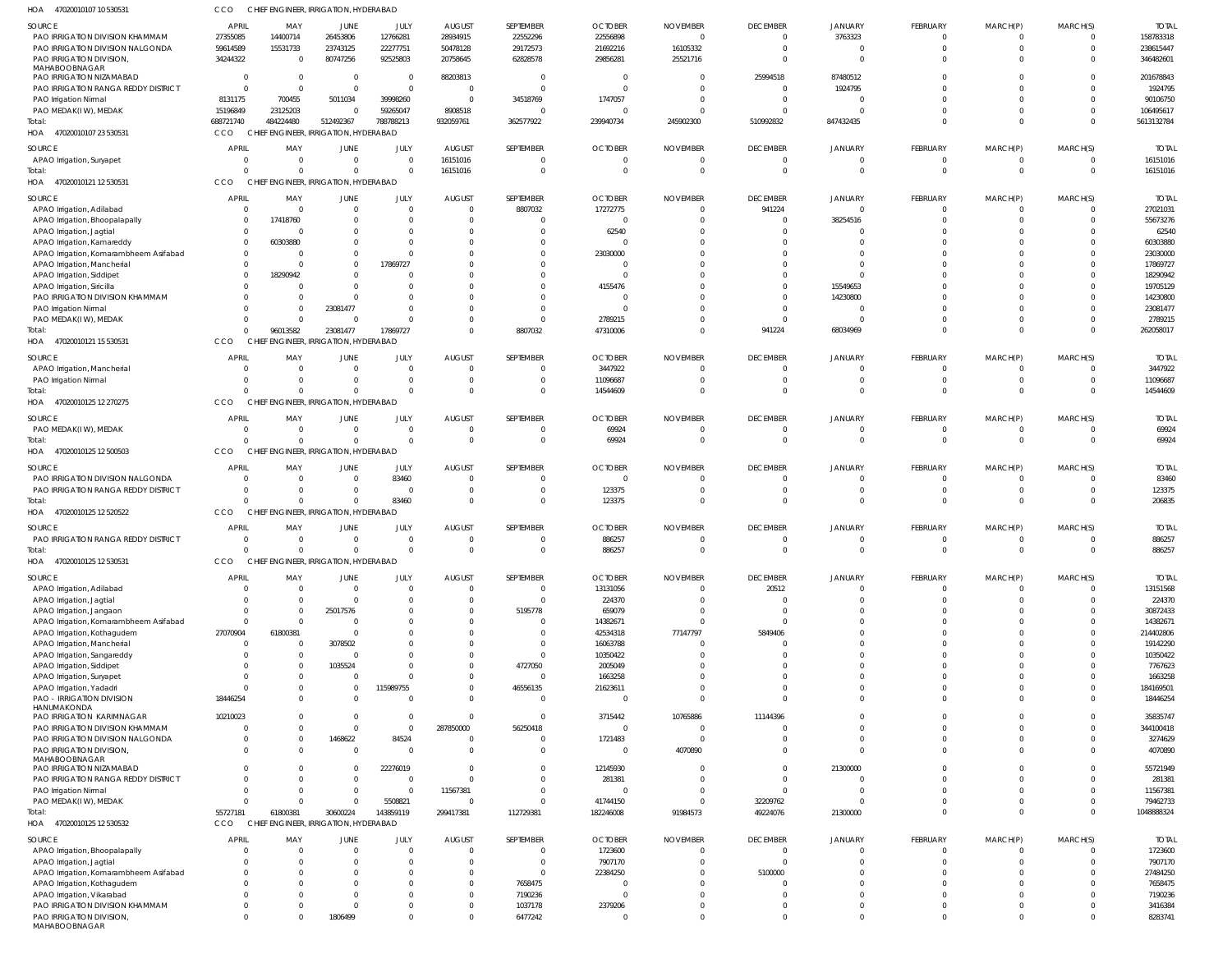| HOA 47020010107 10 530531                                            | CCO                    | CHIEF ENGINEER, IRRIGATION, HYDERABAD |                                        |                 |                                  |                                |                           |                            |                             |                      |                            |                            |                            |                       |
|----------------------------------------------------------------------|------------------------|---------------------------------------|----------------------------------------|-----------------|----------------------------------|--------------------------------|---------------------------|----------------------------|-----------------------------|----------------------|----------------------------|----------------------------|----------------------------|-----------------------|
| SOURCE                                                               | APRIL                  | MAY                                   | JUNE                                   | JULY            | <b>AUGUST</b>                    | SEPTEMBER                      | <b>OCTOBER</b>            | <b>NOVEMBER</b>            | <b>DECEMBER</b>             | JANUARY              | <b>FEBRUARY</b>            | MARCH(P)                   | MARCH(S)                   | <b>TOTAI</b>          |
| PAO IRRIGATION DIVISION KHAMMAM                                      | 27355085               | 14400714                              | 26453806                               | 12766281        | 28934915                         | 22552296                       | 22556898                  | $\Omega$                   | 0                           | 3763323              | $\mathbf 0$                | 0                          | $\overline{0}$             | 158783318             |
| PAO IRRIGATION DIVISION NALGONDA                                     | 59614589               | 15531733                              | 23743125                               | 22277751        | 50478128                         | 29172573                       | 21692216                  | 16105332                   | $\Omega$                    | $\overline{0}$       | $\mathbf 0$                | $\mathbf 0$                | $\overline{0}$             | 238615447             |
| PAO IRRIGATION DIVISION,<br>MAHABOOBNAGAR                            | 34244322               | $\overline{\mathbf{0}}$               | 80747256                               | 92525803        | 20758645                         | 62828578                       | 29856281                  | 25521716                   | $\Omega$                    | $\Omega$             | $\Omega$                   | $\Omega$                   | $\Omega$                   | 346482601             |
| PAO IRRIGATION NIZAMABAD                                             | - 0                    | $\overline{0}$                        | 0                                      | - 0             | 88203813                         | $\overline{0}$                 | 0                         | 0                          | 25994518                    | 87480512             | $\Omega$                   | $\Omega$                   | $\Omega$                   | 201678843             |
| PAO IRRIGATION RANGA REDDY DISTRICT                                  | $\Omega$               | $\Omega$                              | $\overline{0}$                         | $\Omega$        | $\overline{0}$                   | $\Omega$                       | $\overline{0}$            | $\Omega$                   | $\Omega$                    | 1924795              | $\Omega$                   | $\Omega$                   | $\Omega$                   | 1924795               |
| PAO Irrigation Nirmal                                                | 8131175                | 700455                                | 5011034                                | 39998260        | $\Omega$                         | 34518769                       | 1747057                   | $\Omega$                   | $\Omega$                    | $\Omega$             | $\Omega$                   | $\Omega$                   | $\Omega$                   | 90106750              |
| PAO MEDAK(IW), MEDAK                                                 | 15196849               | 23125203                              | $\mathbf 0$                            | 59265047        | 8908518                          | $\overline{0}$                 | 0                         | 0                          | $\Omega$                    |                      | $\mathbf 0$                | $\mathbf 0$                | $\Omega$                   | 106495617             |
| Total:                                                               | 688721740              | 484224480                             | 512492367                              | 788788213       | 932059761                        | 362577922                      | 239940734                 | 245902300                  | 510992832                   | 847432435            | $\Omega$                   | $\Omega$                   | $\Omega$                   | 5613132784            |
| 47020010107 23 530531<br>HOA                                         | CCO                    | CHIEF ENGINEER, IRRIGATION, HYDERABAD |                                        |                 |                                  |                                |                           |                            |                             |                      |                            |                            |                            |                       |
| SOURCE                                                               | APRIL                  | MAY                                   | JUNE                                   | JULY            | <b>AUGUST</b>                    | SEPTEMBER                      | <b>OCTOBER</b>            | <b>NOVEMBER</b>            | <b>DECEMBER</b>             | JANUARY              | <b>FEBRUARY</b>            | MARCH(P)                   | MARCH(S)                   | <b>TOTAL</b>          |
| APAO Irrigation, Suryapet                                            | $\Omega$               | $\overline{0}$                        | $\overline{0}$                         | - 0             | 16151016                         | $\mathbf{0}$                   | $\overline{0}$            | $\overline{0}$             | $\Omega$                    | $\Omega$             | $\mathbf 0$                | $\mathbf 0$                | $\overline{0}$             | 16151016              |
| Total:                                                               |                        | $\Omega$                              | $\Omega$                               |                 | 16151016                         | $\Omega$                       | $\Omega$                  | $\Omega$                   | $\Omega$                    | $\Omega$             | $\overline{0}$             | $\mathbf 0$                | $\Omega$                   | 16151016              |
| HOA 47020010121 12 530531                                            | CCO                    | <b>CHIEF</b>                          | <b>ENGINEER, IRRIGATION, HYDERABAD</b> |                 |                                  |                                |                           |                            |                             |                      |                            |                            |                            |                       |
| SOURCE                                                               | <b>APRIL</b>           | MAY                                   | JUNE                                   | JULY            | <b>AUGUST</b>                    | SEPTEMBER                      | <b>OCTOBER</b>            | <b>NOVEMBER</b>            | <b>DECEMBER</b>             | JANUARY              | <b>FEBRUARY</b>            | MARCH(P)                   | MARCH(S)                   | <b>TOTAL</b>          |
| APAO Irrigation, Adilabad                                            | $\Omega$               | $\overline{0}$                        | $\overline{0}$                         | $\Omega$        | $\overline{0}$                   | 8807032                        | 17272775                  | $\Omega$                   | 941224                      | $\Omega$             | $^{\circ}$                 | 0                          | $\overline{0}$             | 27021031              |
| APAO Irrigation, Bhoopalapally                                       | $\Omega$               | 17418760                              | $\Omega$                               | - 0             | $\overline{0}$                   | $\mathbf{0}$                   | $\overline{0}$            | $\Omega$                   | $\Omega$                    | 38254516             | $^{\circ}$                 | $\mathbf 0$                | $\Omega$                   | 55673276              |
| APAO Irrigation, Jagtial                                             | $\Omega$<br>$\Omega$   | $\Omega$<br>60303880                  | $\Omega$<br>$\Omega$                   | $\Omega$        | $\Omega$<br>C                    | $\Omega$<br>$\Omega$           | 62540<br>$\Omega$         | 0<br>-C                    | $\Omega$                    |                      | $\Omega$<br>$\Omega$       | $\Omega$<br>$\cup$         | $\Omega$                   | 62540<br>60303880     |
| APAO Irrigation, Kamareddy<br>APAO Irrigation, Komarambheem Asifabad | $\Omega$               | $\Omega$                              | $\Omega$                               |                 | $\Omega$                         | $\Omega$                       | 23030000                  | $\Omega$                   | $\cap$                      | $\Omega$             | $\Omega$                   | $\Omega$                   | $\Omega$                   | 23030000              |
| APAO Irrigation, Mancherial                                          | $\Omega$               | $\Omega$                              | $\mathbf 0$                            | 17869727        | C                                |                                | $\Omega$                  | -0                         | $\Omega$                    | $\Omega$             | $\Omega$                   | $\Omega$                   | $\Omega$                   | 17869727              |
| APAO Irrigation, Siddipet                                            | $\Omega$               | 18290942                              | $\Omega$                               |                 | -C                               | $\Omega$                       | -C                        | $\Omega$                   | $\Omega$                    | $\Omega$             | $\Omega$                   | $\Omega$                   | $\Omega$                   | 18290942              |
| APAO Irrigation, Siricilla                                           |                        | $\Omega$                              | $\Omega$                               |                 | C                                |                                | 4155476                   | -0                         | $\Omega$                    | 15549653             | $\Omega$                   | $\Omega$                   | $\Omega$                   | 19705129              |
| PAO IRRIGATION DIVISION KHAMMAM                                      |                        | $\Omega$                              | $\Omega$                               |                 | $\Omega$                         |                                | 0                         | $\Omega$                   | $\Omega$                    | 14230800             | $\Omega$                   | $\Omega$                   | $\Omega$                   | 14230800              |
| PAO Irrigation Nirmal                                                |                        | $\overline{0}$                        | 23081477                               |                 | $\Omega$                         | $\Omega$                       | - 0                       | 0                          | $\Omega$                    |                      | $\Omega$                   | $\Omega$                   | $\Omega$                   | 23081477              |
| PAO MEDAK(IW), MEDAK                                                 |                        | $\Omega$                              | $\mathsf{C}$                           |                 | $\Omega$                         | $\Omega$                       | 2789215                   | 0                          | $\Omega$                    |                      | $\Omega$                   | $\Omega$                   | $\Omega$                   | 2789215               |
| Total:                                                               | $\Omega$               | 96013582                              | 23081477                               | 17869727        | $\Omega$                         | 8807032                        | 47310006                  | $\Omega$                   | 941224                      | 68034969             | $\overline{0}$             | $\mathbf 0$                | $\overline{0}$             | 262058017             |
| HOA 47020010121 15 530531                                            | CCO                    | CHIEI                                 | <b>ENGINEER, IRRIGATION, HYDERABAD</b> |                 |                                  |                                |                           |                            |                             |                      |                            |                            |                            |                       |
| SOURCE                                                               | <b>APRIL</b>           | MAY                                   | JUNE                                   | JULY            | <b>AUGUST</b>                    | SEPTEMBER                      | <b>OCTOBER</b>            | <b>NOVEMBER</b>            | <b>DECEMBER</b>             | JANUARY              | <b>FEBRUARY</b>            | MARCH(P)                   | MARCH(S)                   | <b>TOTAL</b>          |
| APAO Irrigation, Mancherial                                          | $\Omega$               | $\overline{0}$                        | 0                                      | - 0             | $\overline{0}$                   | $\overline{0}$                 | 3447922                   | $\Omega$                   | $\Omega$                    | $\Omega$             | $^{\circ}$                 | O                          | $\Omega$                   | 3447922               |
| PAO Irrigation Nirmal                                                | $\Omega$               | $\Omega$                              | 0                                      | $\Omega$        | $\overline{0}$                   | $\mathbf{0}$                   | 11096687                  | 0                          | $\Omega$                    | $\Omega$             | $\mathbf 0$                | $\mathbf 0$                | $\overline{0}$             | 11096687              |
| iotal:                                                               |                        | $\Omega$                              | $\Omega$                               | $\Omega$        | $\Omega$                         | $\Omega$                       | 14544609                  | $\Omega$                   | $\Omega$                    | $\Omega$             | $\overline{0}$             | $\mathbf 0$                | $\Omega$                   | 14544609              |
| HOA 47020010125 12 270275                                            | CCO                    | CHIEI                                 | <b>ENGINEER, IRRIGATION, HYDERABAD</b> |                 |                                  |                                |                           |                            |                             |                      |                            |                            |                            |                       |
| SOURCE                                                               | APRIL                  | MAY                                   | JUNE                                   | JULY            | <b>AUGUST</b>                    | SEPTEMBER                      | <b>OCTOBER</b>            | <b>NOVEMBER</b>            | <b>DECEMBER</b>             | JANUARY              | <b>FEBRUARY</b>            | MARCH(P)                   | MARCH(S)                   | <b>TOTAL</b>          |
| PAO MEDAK(IW), MEDAK                                                 | $\Omega$               | $\overline{0}$                        | $\overline{0}$                         | $\Omega$        | 0                                | $\Omega$                       | 69924                     | $\Omega$                   | $\Omega$                    | $\Omega$             | $^{\circ}$                 | -0                         | $\overline{0}$             | 69924                 |
| Total:                                                               | $\Omega$               | $\Omega$                              | $\Omega$                               | $\Omega$        | $\overline{0}$                   | $\overline{0}$                 | 69924                     | 0                          | $\Omega$                    | $\Omega$             | $\overline{0}$             | $\mathbf 0$                | $\overline{0}$             | 69924                 |
| HOA 47020010125 12 500503                                            | CCO                    | CHIEF ENGINEER, IRRIGATION, HYDERABAD |                                        |                 |                                  |                                |                           |                            |                             |                      |                            |                            |                            |                       |
| SOURCE                                                               | <b>APRIL</b>           | MAY                                   | JUNE                                   | JULY            | <b>AUGUST</b>                    | SEPTEMBER                      | <b>OCTOBER</b>            | <b>NOVEMBER</b>            | <b>DECEMBER</b>             | JANUARY              | <b>FEBRUARY</b>            | MARCH(P)                   | MARCH(S)                   | <b>TOTAL</b>          |
| PAO IRRIGATION DIVISION NALGONDA                                     | $\Omega$               | $\overline{0}$                        | $\overline{0}$                         | 83460           | 0                                | $\mathbf{0}$                   | $\overline{0}$            | 0                          | $\Omega$                    | $\Omega$             | $\mathbf 0$                | O                          | $\Omega$                   | 83460                 |
| PAO IRRIGATION RANGA REDDY DISTRICT                                  | $\Omega$               | $\Omega$                              | 0                                      | $\sqrt{ }$      | $\overline{0}$                   | $\Omega$                       | 123375                    | $\Omega$                   | $\Omega$                    | $\Omega$             | $\mathbf 0$                | $\mathbf 0$                | $\Omega$                   | 123375                |
| Total:                                                               |                        | $\Omega$                              | $\Omega$                               | 83460           | $\Omega$                         | $\Omega$                       | 123375                    | $\Omega$                   | $\Omega$                    | $\Omega$             | $\Omega$                   | $\mathbf 0$                | $\Omega$                   | 206835                |
| HOA 47020010125 12 520522                                            | CCO                    | CHIEF ENGINEER, IRRIGATION, HYDERABAD |                                        |                 |                                  |                                |                           |                            |                             |                      |                            |                            |                            |                       |
| SOURCE                                                               | <b>APRIL</b>           | MAY                                   | JUNE                                   | JULY            | <b>AUGUST</b>                    | SEPTEMBER                      | <b>OCTOBER</b>            | <b>NOVEMBER</b>            | <b>DECEMBER</b>             | JANUARY              | <b>FEBRUARY</b>            | MARCH(P)                   | MARCH(S)                   | <b>TOTAL</b>          |
| PAO IRRIGATION RANGA REDDY DISTRICT                                  | $\Omega$               | $\overline{0}$                        | $\overline{0}$                         | - 0             | $\Omega$                         | $\Omega$                       | 886257                    | $\Omega$                   | $\Omega$                    | $\Omega$             | $\Omega$                   | O                          | $\Omega$                   | 886257                |
| Total:                                                               | $\Omega$               | $\Omega$                              | $\Omega$                               | $\Omega$        | $\Omega$                         | $\Omega$                       | 886257                    | $\Omega$                   | $\Omega$                    | $\Omega$             | $\Omega$                   | $\Omega$                   | $\Omega$                   | 886257                |
| HOA 47020010125 12 530531                                            | CCO                    | CHIEF ENGINEER, IRRIGATION, HYDERABAD |                                        |                 |                                  |                                |                           |                            |                             |                      |                            |                            |                            |                       |
| SOURCE                                                               | APRIL                  | MAY                                   | <b>JUNE</b>                            | JULY            | <b>AUGUST</b>                    | SEPTEMBER                      | <b>OCTOBER</b>            | <b>NOVEMBER</b>            | <b>DECEMBER</b>             | <b>JANUARY</b>       | <b>FEBRUARY</b>            | MARCH(P)                   | MARCH(S)                   | <b>TOTAL</b>          |
| APAO Irrigation, Adilabad                                            | $\cap$                 | $\overline{0}$                        | $\overline{0}$                         | - 0             | $\overline{0}$                   | $\overline{0}$                 | 13131056                  | 0                          | 20512                       | $\Omega$             | $\mathbf 0$                | O                          | $\overline{0}$             | 13151568              |
| APAO Irrigation, Jagtial                                             | $\cap$                 | $\overline{0}$                        | $\overline{0}$                         | - 0             | $\overline{0}$                   | $\overline{0}$                 | 224370                    | $\overline{0}$             | $\Omega$                    | $\Omega$             | $\mathbf 0$                | $\mathbf 0$                | $\Omega$                   | 224370                |
| APAO Irrigation, Jangaon                                             | $\Omega$               | $\overline{0}$                        | 25017576                               |                 | 0                                | 5195778                        | 659079                    | 0                          | $\Omega$                    |                      | $\Omega$                   | $\Omega$                   | $\Omega$                   | 30872433              |
| APAO Irrigation, Komarambheem Asifabad                               | $\Omega$               | $\overline{0}$                        | $\overline{0}$                         |                 | 0                                | $\overline{0}$                 | 14382671                  | 0                          | $\Omega$                    | $\Omega$             | $\Omega$                   | $\Omega$                   | $\Omega$                   | 14382671              |
| APAO Irrigation, Kothagudem                                          | 27070904<br>$\Omega$   | 61800381                              | $\overline{0}$                         |                 | $\Omega$                         | $\Omega$<br>$\Omega$           | 42534318                  | 77147797<br>$\Omega$       | 5849406<br>$\Omega$         | $\Omega$<br>$\Omega$ | $\Omega$<br>$\Omega$       | $\Omega$<br>$\Omega$       | $\Omega$<br>$\Omega$       | 214402806             |
| APAO Irrigation, Mancherial<br>APAO Irrigation, Sangareddy           | $\Omega$               | $\Omega$<br>$\overline{0}$            | 3078502<br>$\overline{0}$              |                 | $\Omega$<br>$\Omega$             | $\mathbf{0}$                   | 16063788<br>10350422      | C.                         |                             | $\Omega$             | $\Omega$                   | $\Omega$                   | $\Omega$                   | 19142290<br>10350422  |
| APAO Irrigation, Siddipet                                            | - 0                    | $\Omega$                              | 1035524                                |                 | $\Omega$                         | 4727050                        | 2005049                   | $\Omega$                   |                             | $\Omega$             | $\Omega$                   | $\Omega$                   | $\Omega$                   | 7767623               |
| APAO Irrigation, Suryapet                                            | $\Omega$               | $\Omega$                              | $\overline{0}$                         |                 | 0                                | $\overline{0}$                 | 1663258                   | $\Omega$                   | $\Omega$                    | $\Omega$             | $\Omega$                   | $\Omega$                   | $\Omega$                   | 1663258               |
| APAO Irrigation, Yadadri                                             | $\cap$                 | $\Omega$                              | 0                                      | 115989755       | $\Omega$                         | 46556135                       | 21623611                  | $\Omega$                   | $\Omega$                    | $\Omega$             | $\Omega$                   | $\Omega$                   | $\Omega$                   | 184169501             |
| PAO - IRRIGATION DIVISION                                            | 18446254               | $\Omega$                              | $\overline{0}$                         |                 | $\mathbf 0$                      | $\overline{0}$                 | 0                         | $\Omega$                   | $\Omega$                    | $\Omega$             | $\Omega$                   | $\Omega$                   | $\Omega$                   | 18446254              |
| HANUMAKONDA                                                          |                        |                                       |                                        |                 |                                  |                                |                           |                            |                             |                      |                            |                            | $\Omega$                   |                       |
| PAO IRRIGATION KARIMNAGAR<br>PAO IRRIGATION DIVISION KHAMMAM         | 10210023<br>$\cap$     | $\Omega$<br>$\Omega$                  | $\overline{0}$<br>$\overline{0}$       | - 0<br>$\Omega$ | $\overline{0}$<br>287850000      | $\overline{0}$<br>56250418     | 3715442<br>$\overline{0}$ | 10765886<br>$\Omega$       | 11144396<br>$\Omega$        | $\Omega$<br>$\Omega$ | $\Omega$<br>$\Omega$       | $\Omega$<br>$\Omega$       | $\Omega$                   | 35835747<br>344100418 |
| PAO IRRIGATION DIVISION NALGONDA                                     | $\Omega$               | $\overline{0}$                        | 1468622                                | 84524           | $\overline{0}$                   | $\overline{0}$                 | 1721483                   | 0                          | $\Omega$                    | $\Omega$             | $\mathbf 0$                | $\Omega$                   | $\Omega$                   | 3274629               |
| PAO IRRIGATION DIVISION,                                             | $\Omega$               | $\Omega$                              | $\overline{0}$                         | $\sqrt{ }$      | $\Omega$                         | $\mathbf{0}$                   | $\overline{0}$            | 4070890                    |                             | $\Omega$             | $\Omega$                   | $\Omega$                   | $\Omega$                   | 4070890               |
| MAHABOOBNAGAR                                                        |                        |                                       |                                        |                 |                                  |                                |                           |                            |                             |                      |                            |                            |                            |                       |
| PAO IRRIGATION NIZAMABAD                                             | $\Omega$               | $\Omega$                              | $\overline{0}$                         | 22276019        | $\overline{0}$                   | $\Omega$                       | 12145930                  | 0                          | $\Omega$                    | 21300000             | $\Omega$                   | $\Omega$                   | $\Omega$                   | 55721949              |
| PAO IRRIGATION RANGA REDDY DISTRICT                                  | $\Omega$               | $\Omega$                              | $\overline{0}$                         | $\sqrt{ }$      | $\Omega$                         | $\mathbf 0$                    | 281381                    | $\Omega$                   | $\Omega$                    | $\Omega$             | $\Omega$                   | $\Omega$                   | $\Omega$                   | 281381                |
| PAO Irrigation Nirmal<br>PAO MEDAK(IW), MEDAK                        | $\Omega$<br>$\Omega$   | $\Omega$<br>$\Omega$                  | $\overline{0}$<br>$\Omega$             | - 0<br>5508821  | 11567381<br>$\overline{0}$       | $\mathbf{0}$<br>$\Omega$       | 0<br>41744150             | 0<br>0                     | $\Omega$<br>32209762        | $\Omega$<br>$\Omega$ | $\Omega$<br>$\Omega$       | $\Omega$<br>$\mathbf 0$    | $\Omega$<br>$\Omega$       | 11567381<br>79462733  |
| Total:                                                               | 55727181               | 61800381                              | 30600224                               | 143859119       | 299417381                        | 112729381                      | 182246008                 | 91984573                   | 49224076                    | 21300000             | $\overline{0}$             | $\mathbf 0$                | $\Omega$                   | 1048888324            |
| HOA 47020010125 12 530532                                            | CCO                    | CHIEF ENGINEER, IRRIGATION, HYDERABAD |                                        |                 |                                  |                                |                           |                            |                             |                      |                            |                            |                            |                       |
|                                                                      |                        |                                       |                                        |                 |                                  |                                |                           |                            |                             |                      |                            |                            |                            |                       |
| SOURCE                                                               | <b>APRIL</b><br>$\cap$ | MAY<br>$\Omega$                       | JUNE<br>$\Omega$                       | JULY            | <b>AUGUST</b>                    | SEPTEMBER                      | <b>OCTOBER</b>            | <b>NOVEMBER</b>            | <b>DECEMBER</b><br>$\Omega$ | JANUARY<br>$\Omega$  | <b>FEBRUARY</b>            | MARCH(P)                   | MARCH(S)                   | <b>TOTAL</b>          |
| APAO Irrigation, Bhoopalapally<br>APAO Irrigation, Jagtial           | $\cap$                 | $\Omega$                              | $\Omega$                               | $\Omega$        | $\overline{0}$<br>$\overline{0}$ | $\overline{0}$<br>$\mathbf{0}$ | 1723600<br>7907170        | $\overline{0}$<br>$\Omega$ | $\Omega$                    | $\Omega$             | $\mathbf 0$<br>$\mathbf 0$ | $\mathbf 0$<br>$\mathbf 0$ | $\overline{0}$<br>$\Omega$ | 1723600<br>7907170    |
| APAO Irrigation, Komarambheem Asifabad                               | $\Omega$               | $\Omega$                              | $\Omega$                               |                 | $\mathbf 0$                      | $\mathbf{0}$                   | 22384250                  | $\Omega$                   | 5100000                     | $\Omega$             | $\Omega$                   | $\Omega$                   | $\Omega$                   | 27484250              |
| APAO Irrigation, Kothagudem                                          | $\Omega$               | $\Omega$                              | $\Omega$                               |                 | $\Omega$                         | 7658475                        | $\Omega$                  | $\Omega$                   | $\Omega$                    | $\Omega$             | $\Omega$                   | $\Omega$                   | $\Omega$                   | 7658475               |
| APAO Irrigation, Vikarabad                                           |                        |                                       | $\Omega$                               |                 | $\mathbf 0$                      | 7190236                        | $\overline{0}$            | $\Omega$                   | $\Omega$                    | $\Omega$             | $\Omega$                   | $\Omega$                   | $\Omega$                   | 7190236               |
| PAO IRRIGATION DIVISION KHAMMAM                                      | $\cap$                 |                                       | $\Omega$                               |                 | $\Omega$                         | 1037178                        | 2379206                   | $\Omega$                   | $\Omega$                    | $\Omega$             | $\Omega$                   | $\Omega$                   | $\Omega$                   | 3416384               |
| PAO IRRIGATION DIVISION,<br>MAHABOOBNAGAR                            | $\Omega$               | $\Omega$                              | 1806499                                |                 | $\mathbf 0$                      | 6477242                        | $\overline{0}$            | $\Omega$                   | $\Omega$                    | $\overline{0}$       | $\mathbf 0$                | $\Omega$                   | $\Omega$                   | 8283741               |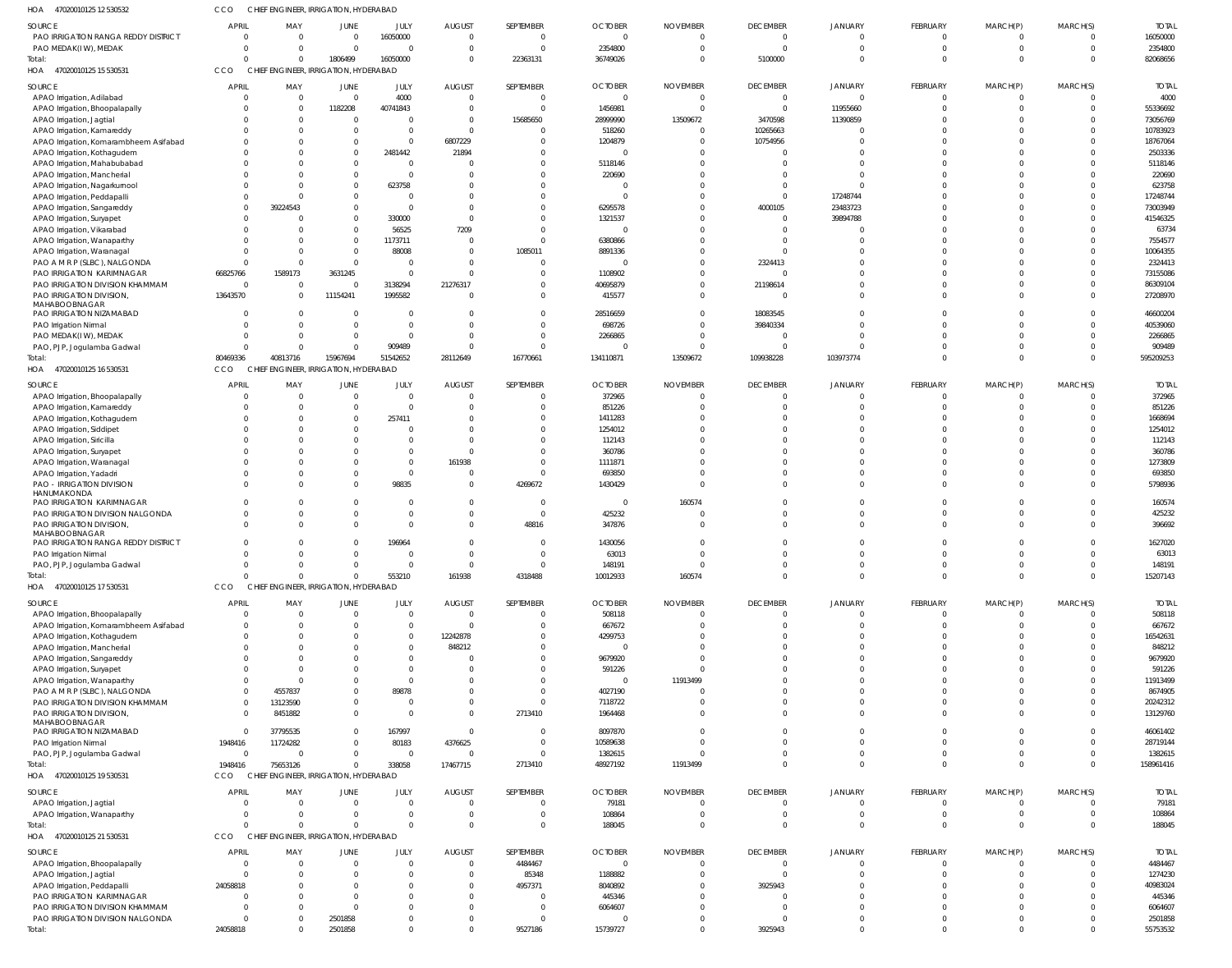| 47020010125 12 530532<br>HOA                    | CCO          | CHIEF ENGINEER, IRRIGATION, HYDERABAD |                                        |                |               |                |                |                 |                 |                |                 |              |              |              |
|-------------------------------------------------|--------------|---------------------------------------|----------------------------------------|----------------|---------------|----------------|----------------|-----------------|-----------------|----------------|-----------------|--------------|--------------|--------------|
| SOURCE                                          | <b>APRIL</b> | MAY                                   | JUNE                                   | JULY           | <b>AUGUST</b> | SEPTEMBER      | <b>OCTOBER</b> | <b>NOVEMBER</b> | <b>DECEMBER</b> | <b>JANUARY</b> | FEBRUARY        | MARCH(P)     | MARCH(S)     | <b>TOTAI</b> |
| PAO IRRIGATION RANGA REDDY DISTRICT             | - 0          | $\Omega$                              | $\overline{0}$                         | 16050000       | $\mathbf{0}$  | $\Omega$       | $\Omega$       | $\Omega$        | $\overline{0}$  | $\overline{0}$ | $\Omega$        | $\Omega$     | $\mathbf 0$  | 16050000     |
| PAO MEDAK(IW), MEDAK                            |              | $\Omega$                              | $\overline{0}$                         | $\overline{0}$ | $\mathbf 0$   | $\Omega$       | 2354800        | $\Omega$        | $\overline{0}$  | $\overline{0}$ | $\Omega$        | $\Omega$     | $\mathbf 0$  | 2354800      |
| Total:                                          | $\Omega$     | $\overline{0}$                        | 1806499                                | 16050000       | $\mathbf 0$   | 22363131       | 36749026       | $\Omega$        | 5100000         | $\Omega$       | $\Omega$        | $\Omega$     | $\Omega$     | 82068656     |
| HOA 47020010125 15 530531                       | <b>CCO</b>   | CHIEF ENGINEER, IRRIGATION, HYDERABAD |                                        |                |               |                |                |                 |                 |                |                 |              |              |              |
|                                                 |              |                                       |                                        |                |               |                |                |                 |                 |                |                 |              |              |              |
| SOURCE                                          | <b>APRIL</b> | MAY                                   | JUNE                                   | JULY           | <b>AUGUST</b> | SEPTEMBER      | <b>OCTOBER</b> | <b>NOVEMBER</b> | <b>DECEMBER</b> | JANUARY        | FEBRUARY        | MARCH(P)     | MARCH(S)     | <b>TOTAL</b> |
| APAO Irrigation, Adilabad                       |              | $\overline{0}$                        | $\overline{0}$                         | 4000           | $\mathbf{0}$  | $\overline{0}$ | $\Omega$       | $\Omega$        | $\overline{0}$  | $\overline{0}$ | $\Omega$        | $\Omega$     | $\mathbf 0$  | 4000         |
| APAO Irrigation, Bhoopalapally                  |              | 0                                     | 1182208                                | 40741843       | $\mathbf 0$   | $\mathbf{0}$   | 1456981        | $\Omega$        | $\overline{0}$  | 11955660       | $\Omega$        | $\Omega$     | $\Omega$     | 55336692     |
| APAO Irrigation, Jagtial                        |              | $\mathbf 0$                           | $\mathbf 0$                            | $\overline{0}$ | $\mathbf 0$   | 15685650       | 28999990       | 13509672        | 3470598         | 11390859       |                 |              | $\Omega$     | 73056769     |
| APAO Irrigation, Kamareddy                      |              | $\Omega$                              | $\Omega$                               | $\overline{0}$ | $\mathbf 0$   | $\Omega$       | 518260         |                 | 10265663        | $\Omega$       | $\Omega$        |              |              | 10783923     |
| APAO Irrigation, Komarambheem Asifabad          |              | $\Omega$                              | $\mathbf 0$                            | $\overline{0}$ | 6807229       | $\Omega$       | 1204879        |                 | 10754956        | $\Omega$       | $\cap$          |              | U            | 18767064     |
| APAO Irrigation, Kothagudem                     |              |                                       | $\mathbf 0$                            | 2481442        | 21894         | $\Omega$       |                |                 | $\mathbf 0$     | $\Omega$       | $\cap$          |              |              | 2503336      |
| APAO Irrigation, Mahabubabad                    |              | $\Omega$                              | $\Omega$                               | $\overline{0}$ |               | $\Omega$       | 5118146        |                 | C               | $\Omega$       | $\cap$          |              | $\Omega$     | 5118146      |
| APAO Irrigation, Mancherial                     |              |                                       | $\Omega$                               | $\mathbf{0}$   | $\Omega$      | $\Omega$       | 220690         |                 | C               | $\Omega$       | $\cap$          |              |              | 220690       |
| APAO Irrigation, Nagarkurnool                   |              | $\Omega$                              | $\mathbf 0$                            | 623758         | 0             | $\Omega$       |                |                 | $\Omega$        | $\Omega$       | $\cap$          |              | $\Omega$     | 623758       |
| APAO Irrigation, Peddapalli                     |              | $\Omega$                              | $\Omega$                               | $\overline{0}$ | $\Omega$      | $\Omega$       |                | $\Omega$        | $\overline{0}$  | 17248744       | $\cap$          |              | $\Omega$     | 17248744     |
| APAO Irrigation, Sangareddy                     | $\Omega$     | 39224543                              | $\mathbf 0$                            | $\mathbf{0}$   | $\Omega$      | $\Omega$       | 6295578        | $\Omega$        | 4000105         | 23483723       | $\cap$          |              | $\Omega$     | 73003949     |
| APAO Irrigation, Suryapet                       |              |                                       | $\Omega$                               | 330000         | $\Omega$      | $\Omega$       | 1321537        | $\Omega$        | $\overline{0}$  | 39894788       | $\cap$          |              |              | 41546325     |
| APAO Irrigation, Vikarabad                      |              |                                       | $\mathbf 0$                            | 56525          | 7209          | $\Omega$       |                |                 | $\Omega$        | $\circ$        | $\cap$          |              | $\Omega$     | 63734        |
| APAO Irrigation, Wanaparthy                     |              |                                       | $\Omega$                               | 1173711        | $\Omega$      | $\Omega$       | 6380866        |                 | $\Omega$        | $\Omega$       | $\cap$          |              | $\Omega$     | 7554577      |
| APAO Irrigation, Waranagal                      |              | $\Omega$                              | $\mathbf 0$                            | 88008          | 0             | 1085011        | 8891336        |                 | $\Omega$        | $\Omega$       | $\cap$          |              | $\Omega$     | 10064355     |
| PAO A M R P (SLBC), NALGONDA                    | $\Omega$     | $\Omega$                              | $\mathbf 0$                            | $\overline{0}$ | $\Omega$      | $\Omega$       |                | $\Omega$        | 2324413         | $\Omega$       | $\Omega$        |              |              | 2324413      |
| PAO IRRIGATION KARIMNAGAR                       | 66825766     | 1589173                               | 3631245                                | $\mathbf{0}$   | $\Omega$      | $\Omega$       | 1108902        | $\Omega$        | $\overline{0}$  | $\Omega$       | $\cap$          |              | $\Omega$     | 73155086     |
| PAO IRRIGATION DIVISION KHAMMAM                 | $\Omega$     | $\overline{0}$                        | $\mathbf 0$                            | 3138294        | 21276317      | $\Omega$       | 40695879       | $\Omega$        | 21198614        | $\Omega$       | $\Omega$        |              | $\Omega$     | 86309104     |
|                                                 |              |                                       |                                        |                | $\Omega$      | $\Omega$       |                | $\Omega$        |                 | $\Omega$       | $\Omega$        | $\Omega$     | $\Omega$     |              |
| PAO IRRIGATION DIVISION,<br>MAHABOOBNAGAR       | 13643570     | $\Omega$                              | 11154241                               | 1995582        |               |                | 415577         |                 | $\overline{0}$  |                |                 |              |              | 27208970     |
| PAO IRRIGATION NIZAMABAD                        |              | $\Omega$                              | $\Omega$                               | $\overline{0}$ | $\Omega$      | $\Omega$       | 28516659       | $\Omega$        | 18083545        | $\Omega$       | $\cap$          |              | $\Omega$     | 46600204     |
| PAO Irrigation Nirmal                           |              | $\Omega$                              | $\mathbf 0$                            | $\mathbf{0}$   | $\Omega$      | $\Omega$       | 698726         | $\Omega$        | 39840334        | $\Omega$       |                 |              | <sup>0</sup> | 40539060     |
| PAO MEDAK(IW), MEDAK                            |              | $\Omega$                              | $\mathbf 0$                            | $\mathbf{0}$   | $\Omega$      | $\Omega$       | 2266865        |                 | $\overline{0}$  | $\Omega$       | $\Omega$        | $\Omega$     | $\Omega$     | 2266865      |
| PAO, PJP, Jogulamba Gadwal                      |              | $\Omega$                              | $\mathbf 0$                            | 909489         | $\Omega$      | $\Omega$       |                | $\Omega$        | $\overline{0}$  | $\Omega$       | $\cap$          |              | $\Omega$     | 909489       |
|                                                 | 80469336     | 40813716                              | 15967694                               | 51542652       |               | 16770661       | 134110871      |                 |                 | 103973774      | $\Omega$        | $\Omega$     | $\Omega$     | 595209253    |
| Total:                                          |              |                                       |                                        |                | 28112649      |                |                | 13509672        | 109938228       |                |                 |              |              |              |
| HOA 47020010125 16 530531                       | <b>CCO</b>   | CHIEF ENGINEER, IRRIGATION, HYDERABAD |                                        |                |               |                |                |                 |                 |                |                 |              |              |              |
| SOURCE                                          | <b>APRI</b>  | MAY                                   | JUNE                                   | JULY           | <b>AUGUST</b> | SEPTEMBER      | <b>OCTOBER</b> | <b>NOVEMBER</b> | <b>DECEMBER</b> | <b>JANUARY</b> | FEBRUARY        | MARCH(P)     | MARCH(S)     | <b>TOTAI</b> |
| APAO Irrigation, Bhoopalapally                  |              | $\Omega$                              | $\mathbf 0$                            | $\mathbf{0}$   | $\Omega$      | $\Omega$       | 372965         |                 | $\overline{0}$  | $\overline{0}$ | $\Omega$        | $\Omega$     | $\Omega$     | 372965       |
| APAO Irrigation, Kamareddy                      |              | $\Omega$                              | $\mathbf 0$                            | $\overline{0}$ | $\Omega$      | $\Omega$       | 851226         |                 | $\Omega$        | $\Omega$       | $\Omega$        |              | $\Omega$     | 851226       |
| APAO Irrigation, Kothagudem                     |              | $\Omega$                              | $\mathbf 0$                            | 257411         |               | $\Omega$       | 1411283        |                 | $\Omega$        | $\Omega$       | $\Omega$        |              |              | 1668694      |
| APAO Irrigation, Siddipet                       |              | $\Omega$                              | $\Omega$                               | $\mathbf 0$    |               | $\Omega$       | 1254012        |                 | $\Omega$        | $\Omega$       |                 |              |              | 1254012      |
| APAO Irrigation, Siricilla                      |              | $\Omega$                              | $\Omega$                               | $\mathbf 0$    | $\Omega$      | $\Omega$       | 112143         |                 | $\Omega$        | $\Omega$       |                 |              |              | 112143       |
| APAO Irrigation, Suryapet                       |              | $\Omega$                              | $\Omega$                               | $\mathbf 0$    | $\Omega$      | $\Omega$       | 360786         |                 | $\Omega$        | $\Omega$       |                 |              |              | 360786       |
| APAO Irrigation, Waranagal                      |              | $\Omega$                              | $\Omega$                               | $\mathbf 0$    | 161938        | $\Omega$       | 1111871        |                 | $\Omega$        | $\Omega$       |                 |              | $\Omega$     | 1273809      |
|                                                 |              | $\Omega$                              | $\Omega$                               | $\mathbf{0}$   | $\Omega$      | $\Omega$       |                |                 | $\Omega$        | $\Omega$       | $\cap$          |              | $\Omega$     |              |
| APAO Irrigation, Yadadri                        |              | $\Omega$                              |                                        |                | $\Omega$      |                | 693850         | $\Omega$        | $\Omega$        | $\Omega$       | $\Omega$        | $\Omega$     |              | 693850       |
| <b>PAO - IRRIGATION DIVISION</b><br>HANUMAKONDA |              |                                       | $\Omega$                               | 98835          |               | 4269672        | 1430429        |                 |                 |                |                 |              | $\Omega$     | 5798936      |
| PAO IRRIGATION KARIMNAGAR                       |              | $\Omega$                              | $\Omega$                               | $\mathbf 0$    | $\Omega$      | $\Omega$       |                | 160574          | $\Omega$        | $\Omega$       |                 |              | $\Omega$     | 160574       |
| PAO IRRIGATION DIVISION NALGONDA                |              | $\Omega$                              | $\Omega$                               | $\mathbf 0$    | 0             | $\overline{0}$ | 425232         |                 | $\Omega$        | $\Omega$       | $\Omega$        |              |              | 425232       |
| PAO IRRIGATION DIVISION                         |              | $\Omega$                              | $\Omega$                               | $\mathbf 0$    | $\Omega$      | 48816          | 347876         | $\Omega$        | $\Omega$        | $\Omega$       | $\Omega$        |              | $\Omega$     | 396692       |
| MAHABOOBNAGAR                                   |              |                                       |                                        |                |               |                |                |                 |                 |                |                 |              |              |              |
| PAO IRRIGATION RANGA REDDY DISTRICT             | $\Omega$     | $\Omega$                              | $\mathbf 0$                            | 196964         | $\Omega$      | $\Omega$       | 1430056        |                 | $\Omega$        | $\Omega$       |                 |              | $\Omega$     | 1627020      |
| PAO Irrigation Nirmal                           | $\Omega$     | $\Omega$                              | $\Omega$                               | $\cap$         | $\mathbf 0$   | $\overline{0}$ | 63013          |                 | $\Omega$        | $\cap$         |                 |              | $\mathbf 0$  | 63013        |
| PAO, PJP, Jogulamba Gadwal                      | $\Omega$     | $\Omega$                              | $\mathbf 0$                            | $\overline{0}$ | $\mathbf 0$   | $\overline{0}$ | 148191         | $\overline{0}$  | $\overline{0}$  | $\Omega$       | $\Omega$        | $\Omega$     | $\Omega$     | 148191       |
| Total:                                          | $\Omega$     | $\Omega$                              | $\mathbf 0$                            | 553210         | 161938        | 4318488        | 10012933       | 160574          | $\overline{0}$  | $\overline{0}$ | $\Omega$        | $\mathbf 0$  | $\mathbf 0$  | 15207143     |
| HOA 47020010125 17 530531                       | CCO          | CHIEF ENGINEER, IRRIGATION, HYDERABAD |                                        |                |               |                |                |                 |                 |                |                 |              |              |              |
|                                                 |              |                                       |                                        |                |               |                |                |                 |                 |                |                 |              |              |              |
| SOURCE                                          | <b>APRIL</b> | MAY                                   | JUNE                                   | JULY           | <b>AUGUST</b> | SEPTEMBER      | <b>OCTOBER</b> | <b>NOVEMBER</b> | <b>DECEMBER</b> | <b>JANUARY</b> | FEBRUARY        | MARCH(P)     | MARCH(S)     | <b>TOTAL</b> |
| APAO Irrigation, Bhoopalapally                  | $\Omega$     | $\overline{0}$                        | $\overline{0}$                         | $\overline{0}$ | $\mathbf 0$   | $\Omega$       | 508118         | $\overline{0}$  | $\overline{0}$  | $\overline{0}$ | $\Omega$        | $\mathbf{0}$ | $\mathbf 0$  | 508118       |
| APAO Irrigation, Komarambheem Asifabad          |              | 0                                     | $\mathbf 0$                            | $\overline{0}$ | $\mathbf 0$   | $\Omega$       | 667672         | $\Omega$        | $\overline{0}$  | $\overline{0}$ | $\Omega$        | $\Omega$     | $\mathbf 0$  | 667672       |
| APAO Irrigation, Kothagudem                     |              | $\Omega$                              | $\Omega$                               | $\overline{0}$ | 12242878      | $\Omega$       | 4299753        | $\Omega$        | $\Omega$        | $\overline{0}$ | $\Omega$        | $\Omega$     | $\Omega$     | 16542631     |
| APAO Irrigation, Mancherial                     |              | $\Omega$                              | $\Omega$                               | $\overline{0}$ | 848212        | $\Omega$       | $\Omega$       | $\Omega$        | $\Omega$        | $\Omega$       | $\Omega$        | $\Omega$     | <sup>0</sup> | 848212       |
| APAO Irrigation, Sangareddy                     |              | $\Omega$                              | $\Omega$                               | $\overline{0}$ | 0             | $\Omega$       | 9679920        | $\Omega$        | $\Omega$        | $\Omega$       | $\Omega$        | $\Omega$     | U            | 9679920      |
| APAO Irrigation, Suryapet                       |              | $\Omega$                              | $\Omega$                               | $\overline{0}$ | $\Omega$      | $\Omega$       | 591226         | $\Omega$        | $\Omega$        | $\Omega$       | $\Omega$        | $\Omega$     | $\Omega$     | 591226       |
| APAO Irrigation, Wanaparthy                     |              | $\Omega$                              | $\Omega$                               | $\overline{0}$ | $\Omega$      | $\Omega$       | 0              | 11913499        | $\Omega$        | $\Omega$       | $\Omega$        | $\Omega$     |              | 11913499     |
| PAO A M R P (SLBC), NALGONDA                    | $\Omega$     | 4557837                               | $\mathbf 0$                            | 89878          | $\Omega$      | $\Omega$       | 4027190        |                 | $\Omega$        | $\Omega$       | $\Omega$        | $\Omega$     | $\Omega$     | 8674905      |
| PAO IRRIGATION DIVISION KHAMMAM                 | - 0          | 13123590                              | $\mathbf 0$                            | $\overline{0}$ | 0             | $\Omega$       | 7118722        | $\Omega$        | $\Omega$        | $\Omega$       | $\Omega$        | $\Omega$     | $\Omega$     | 20242312     |
| PAO IRRIGATION DIVISION,                        | $\Omega$     | 8451882                               | $\mathbf 0$                            | $\overline{0}$ | $\mathbf 0$   | 2713410        | 1964468        | $\Omega$        | $\Omega$        | $\Omega$       | $\Omega$        | $\Omega$     | $\Omega$     | 13129760     |
| MAHABOOBNAGAR                                   |              |                                       |                                        |                |               |                |                |                 |                 |                |                 |              |              |              |
| PAO IRRIGATION NIZAMABAD                        | $\Omega$     | 37795535                              | $\Omega$                               | 167997         | $\mathbf 0$   | $\Omega$       | 8097870        | $\Omega$        | $\Omega$        | $\Omega$       | $\Omega$        | $\Omega$     | $\Omega$     | 46061402     |
| PAO Irrigation Nirmal                           | 1948416      | 11724282                              | $\mathbf 0$                            | 80183          | 4376625       | $\mathbf{0}$   | 10589638       | $\Omega$        | $\Omega$        | $\overline{0}$ | $\Omega$        | $\Omega$     | $\Omega$     | 28719144     |
| PAO, PJP, Jogulamba Gadwal                      | $\Omega$     | - 0                                   | $\mathbf 0$                            | $\mathbf{0}$   | $\mathbf{0}$  | $\mathbf{0}$   | 1382615        | $\Omega$        | $\Omega$        | $\overline{0}$ | $\Omega$        | $\Omega$     | $\Omega$     | 1382615      |
| Total:                                          | 1948416      | 75653126                              | $\Omega$                               | 338058         | 17467715      | 2713410        | 48927192       | 11913499        | $\Omega$        | $\overline{0}$ | $\Omega$        | $\Omega$     | $\Omega$     | 158961416    |
| HOA<br>47020010125 19 530531                    | CCO          | <b>CHIEF</b>                          | <b>ENGINEER, IRRIGATION, HYDERABAD</b> |                |               |                |                |                 |                 |                |                 |              |              |              |
|                                                 |              |                                       |                                        |                |               |                |                |                 |                 |                |                 |              |              |              |
| SOURCE                                          | <b>APRIL</b> | MAY                                   | JUNE                                   | <b>JULY</b>    | AUGUST        | SEPTEMBER      | <b>OCTOBER</b> | <b>NOVEMBER</b> | <b>DECEMBER</b> | <b>JANUARY</b> | <b>FEBRUARY</b> | MARCH(P)     | MARCH(S)     | <b>TOTAL</b> |
| APAO Irrigation, Jagtial                        | - 0          | $\overline{0}$                        | $\mathbf 0$                            | $\overline{0}$ | $\mathbf{0}$  | $\Omega$       | 79181          | $\Omega$        | $\mathbf 0$     | $\overline{0}$ | $\Omega$        |              | $\Omega$     | 79181        |
| APAO Irrigation, Wanaparthy                     | $\Omega$     | $\Omega$                              | $\mathbf 0$                            | $\mathbf{0}$   | $\mathbf 0$   | $\overline{0}$ | 108864         | $\Omega$        | $\overline{0}$  | $\overline{0}$ | $\overline{0}$  | $\mathbf{0}$ | $\mathbf 0$  | 108864       |
| Total:                                          |              | $\Omega$                              | $\mathbf 0$                            | $\mathbf 0$    | $\Omega$      | $\Omega$       | 188045         | $\Omega$        | $\Omega$        | $\Omega$       | $\Omega$        | $\Omega$     | $\Omega$     | 188045       |
| HOA 47020010125 21 530531                       | CCO          | CHIEF ENGINEER, IRRIGATION, HYDERABAD |                                        |                |               |                |                |                 |                 |                |                 |              |              |              |
|                                                 |              |                                       |                                        |                |               |                |                |                 |                 |                |                 |              |              |              |
| SOURCE                                          | <b>APRIL</b> | MAY                                   | JUNE                                   | JULY           | <b>AUGUST</b> | SEPTEMBER      | <b>OCTOBER</b> | <b>NOVEMBER</b> | <b>DECEMBER</b> | <b>JANUARY</b> | <b>FEBRUARY</b> | MARCH(P)     | MARCH(S)     | <b>TOTAL</b> |
| APAO Irrigation, Bhoopalapally                  | $\Omega$     | $\overline{0}$                        | $\mathbf 0$                            | $\overline{0}$ | $\mathbf 0$   | 4484467        | $\overline{0}$ | $\overline{0}$  | $\overline{0}$  | $\overline{0}$ | $\Omega$        | $\Omega$     | $\mathbf 0$  | 4484467      |
| APAO Irrigation, Jagtial                        | $\Omega$     | $\mathbf 0$                           | $\mathbf 0$                            | $\overline{0}$ | $\mathbf{0}$  | 85348          | 1188882        | $\Omega$        | $\overline{0}$  | $\overline{0}$ | $\Omega$        | $\Omega$     | $\mathbf 0$  | 1274230      |
| APAO Irrigation, Peddapalli                     | 24058818     | $\Omega$                              | $\Omega$                               | $\mathbf 0$    | 0             | 4957371        | 8040892        | $\Omega$        | 3925943         | $\overline{0}$ | $\Omega$        | $\Omega$     | $\Omega$     | 40983024     |
| PAO IRRIGATION KARIMNAGAR                       |              | $\Omega$                              | $\Omega$                               | $\mathbf 0$    | 0             | $\Omega$       | 445346         | $\Omega$        | $\Omega$        | $\Omega$       | $\Omega$        | $\cap$       | $\Omega$     | 445346       |
| PAO IRRIGATION DIVISION KHAMMAM                 |              | $\Omega$                              | $\Omega$                               | $\mathbf 0$    | $\Omega$      | $\Omega$       | 6064607        | $\Omega$        | 0               | $\Omega$       | $\Omega$        | $\Omega$     |              | 6064607      |
| PAO IRRIGATION DIVISION NALGONDA                | - 0          | $\Omega$                              | 2501858                                | $\mathbf{0}$   | $\Omega$      | $\Omega$       |                | $\Omega$        | 0               | $\overline{0}$ | $\Omega$        | $\Omega$     | $\mathbf 0$  | 2501858      |
| Total:                                          | 24058818     | $\Omega$                              | 2501858                                | $\Omega$       | $\Omega$      | 9527186        | 15739727       | 0               | 3925943         | $\overline{0}$ | $\Omega$        | $\Omega$     | $\Omega$     | 55753532     |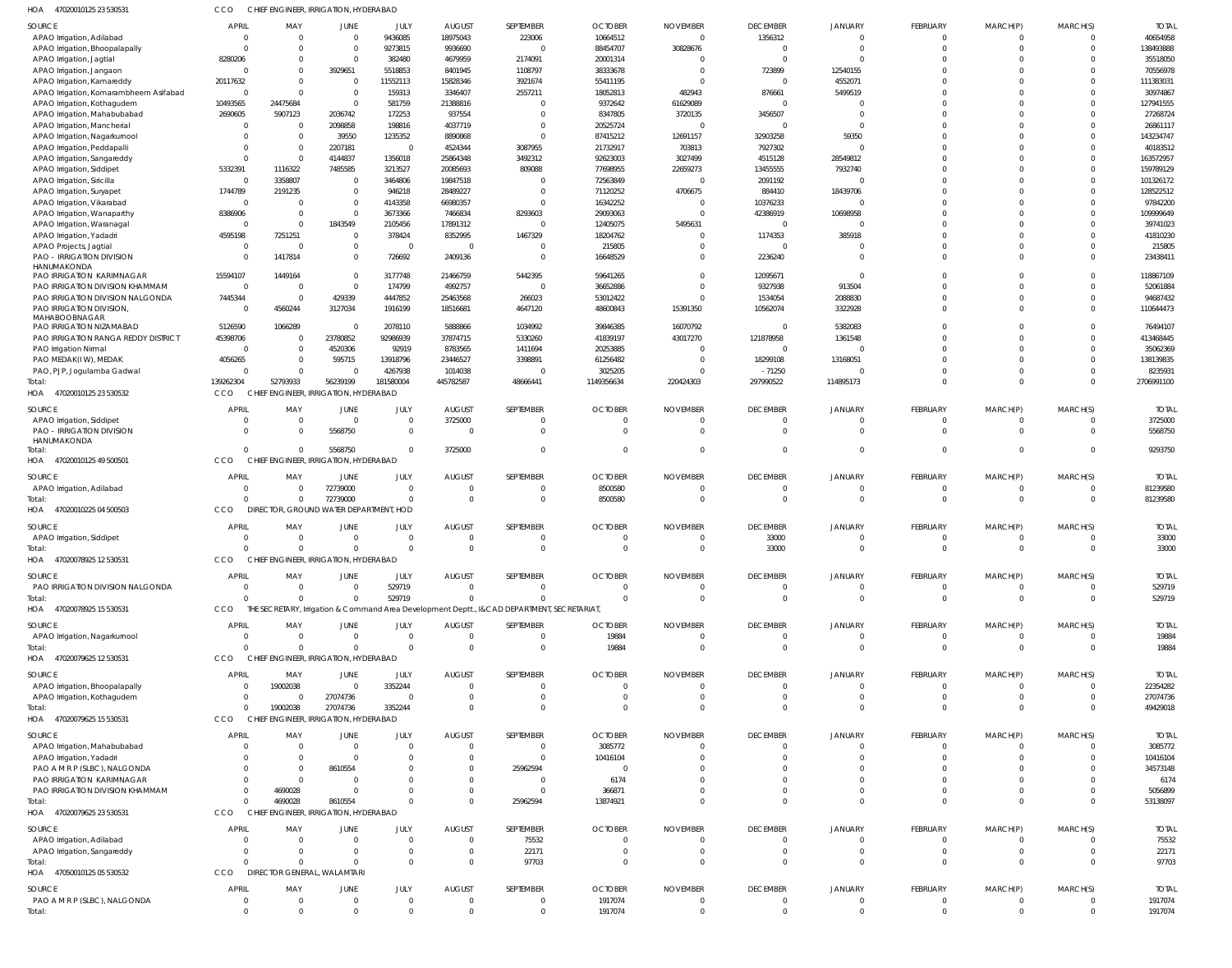| HOA<br>47020010125 23 530531                                          | CCO                     | CHIEF ENGINEER, IRRIGATION, HYDERABAD             |                                  |                      |                                  |                                                                                             |                                |                       |                                           |                            |                              |                                |                      |                       |
|-----------------------------------------------------------------------|-------------------------|---------------------------------------------------|----------------------------------|----------------------|----------------------------------|---------------------------------------------------------------------------------------------|--------------------------------|-----------------------|-------------------------------------------|----------------------------|------------------------------|--------------------------------|----------------------|-----------------------|
| SOURCE                                                                | <b>APRIL</b>            | MAY                                               | <b>JUNE</b>                      | JULY                 | <b>AUGUST</b>                    | SEPTEMBER                                                                                   | <b>OCTOBER</b>                 | <b>NOVEMBER</b>       | <b>DECEMBER</b>                           | <b>JANUARY</b>             | FEBRUARY                     | MARCH(P)                       | MARCH(S)             | <b>TOTAI</b>          |
| APAO Irrigation, Adilabad                                             | $\Omega$                | $\overline{0}$                                    | $\overline{0}$                   | 9436085              | 18975043                         | 223006                                                                                      | 10664512                       | $\overline{0}$        | 1356312                                   | $\Omega$                   | $\mathbf 0$                  | $^{\circ}$                     | $\Omega$             | 40654958              |
| APAO Irrigation, Bhoopalapally                                        |                         | $\Omega$<br>$\Omega$                              | $\overline{0}$                   | 9273815              | 9936690                          | $\Omega$                                                                                    | 88454707                       | 30828676              | $\overline{0}$                            | $\Omega$                   | $\mathbf 0$                  | $\mathbf 0$                    | $\Omega$             | 138493888             |
| APAO Irrigation, Jagtial                                              | 8280206                 | $\mathbf{0}$                                      | $\overline{0}$                   | 382480               | 4679959                          | 2174091                                                                                     | 20001314                       | - 0                   | $\overline{0}$                            | $\Omega$                   | $\Omega$                     | $\Omega$                       |                      | 35518050              |
| APAO Irrigation, Jangaon                                              |                         | $\Omega$<br>$\Omega$                              | 3929651                          | 5518853              | 8401945                          | 1108797                                                                                     | 38333678                       | $\Omega$              | 723899                                    | 12540155                   | $\Omega$                     | $\Omega$                       |                      | 70556978              |
| APAO Irrigation, Kamareddy                                            | 20117632<br>$\Omega$    | $\Omega$<br>$\Omega$                              | $\overline{0}$<br>$\overline{0}$ | 11552113             | 15828346                         | 3921674                                                                                     | 55411195                       | $\Omega$              | $\overline{\mathbf{0}}$                   | 4552071                    | $\Omega$<br>$\Omega$         | $\Omega$<br>$\Omega$           | $\Omega$             | 111383031             |
| APAO Irrigation, Komarambheem Asifabad<br>APAO Irrigation, Kothagudem | 10493565                | 24475684                                          | $\overline{0}$                   | 159313<br>581759     | 3346407<br>21388816              | 2557211                                                                                     | 18052813<br>9372642            | 482943<br>61629089    | 876661<br>$\overline{0}$                  | 5499519                    | $\Omega$                     | $\Omega$                       |                      | 30974867<br>127941555 |
| APAO Irrigation, Mahabubabad                                          | 2690605                 | 5907123                                           | 2036742                          | 172253               | 937554                           | $\Omega$                                                                                    | 8347805                        | 3720135               | 3456507                                   | $\Omega$                   | $\Omega$                     | $\Omega$                       |                      | 27268724              |
| APAO Irrigation, Mancherial                                           |                         | $\Omega$<br>$\overline{0}$                        | 2098858                          | 198816               | 4037719                          |                                                                                             | 20525724                       | $\Omega$              | $\overline{0}$                            | $\Omega$                   | $\Omega$                     | $\Omega$                       |                      | 26861117              |
| APAO Irrigation, Nagarkurnool                                         |                         | $\Omega$<br>$\Omega$                              | 39550                            | 1235352              | 8890868                          | $\Omega$                                                                                    | 87415212                       | 12691157              | 32903258                                  | 59350                      | $\Omega$                     | $\Omega$                       | $\Omega$             | 143234747             |
| APAO Irrigation, Peddapalli                                           |                         | $\overline{0}$<br>$\Omega$                        | 2207181                          | - 0                  | 4524344                          | 3087955                                                                                     | 21732917                       | 703813                | 7927302                                   | $\Omega$                   | $\Omega$                     | $\Omega$                       |                      | 40183512              |
| APAO Irrigation, Sangareddy                                           |                         | $\Omega$<br>$\overline{0}$                        | 4144837                          | 1356018              | 25864348                         | 3492312                                                                                     | 92623003                       | 3027499               | 4515128                                   | 28549812                   | $\Omega$                     | $\Omega$                       | $\Omega$             | 163572957             |
| APAO Irrigation, Siddipet                                             | 5332391                 | 1116322                                           | 7485585                          | 3213527              | 20085693                         | 809088                                                                                      | 77698955                       | 22659273              | 13455555                                  | 7932740                    | $\Omega$                     | $\Omega$                       | $\Omega$             | 159789129             |
| APAO Irrigation, Siricilla                                            |                         | 3358807<br>$\Omega$                               | $\overline{0}$                   | 3464806              | 19847518                         |                                                                                             | 72563849                       | $\Omega$              | 2091192                                   | $\Omega$                   | $\Omega$                     | $\Omega$                       | $\Omega$             | 101326172             |
| APAO Irrigation, Suryapet                                             | 1744789                 | 2191235                                           | $\mathbf 0$                      | 946218               | 28489227                         | $\Omega$                                                                                    | 71120252                       | 4706675               | 884410                                    | 18439706                   | $\mathbf 0$                  | $\Omega$                       |                      | 128522512             |
| APAO Irrigation, Vikarabad                                            | $\Omega$                | $\Omega$                                          | $\overline{0}$                   | 4143358              | 66980357                         | $\Omega$                                                                                    | 16342252                       | $\Omega$              | 10376233                                  |                            | $\Omega$                     | $\Omega$                       |                      | 97842200              |
| APAO Irrigation, Wanaparthy                                           | 8386906                 | $\overline{0}$                                    | $\overline{0}$                   | 3673366              | 7466834                          | 8293603                                                                                     | 29093063                       | $\Omega$              | 42386919                                  | 10698958                   | $\Omega$                     | $\Omega$                       |                      | 109999649             |
| APAO Irrigation, Waranagal                                            |                         | $\Omega$<br>$\Omega$                              | 1843549                          | 2105456              | 17891312                         | $\Omega$                                                                                    | 12405075                       | 5495631               | $\overline{0}$                            |                            | $\Omega$                     | $\Omega$                       |                      | 39741023              |
| APAO Irrigation, Yadadri                                              | 4595198                 | 7251251                                           | $\overline{0}$                   | 378424               | 8352995                          | 1467329                                                                                     | 18204762                       | $\Omega$              | 1174353                                   | 385918                     | $\Omega$                     | $\Omega$                       |                      | 41810230              |
| APAO Projects, Jagtial                                                | $\Omega$                | $\Omega$                                          | $\mathbf{0}$                     | $\Omega$             | $\Omega$                         |                                                                                             | 215805                         | $\Omega$              | $\Omega$                                  |                            | $\Omega$                     | $\Omega$                       | $\Omega$             | 215805                |
| PAO - IRRIGATION DIVISION                                             | $\Omega$                | 1417814                                           | $\mathbf{0}$                     | 726692               | 2409136                          | $\Omega$                                                                                    | 16648529                       | $\Omega$              | 2236240                                   | - 0                        | $\Omega$                     | $\Omega$                       | $\Omega$             | 23438411              |
| HANUMAKONDA<br>PAO IRRIGATION KARIMNAGAR                              | 15594107                | 1449164                                           | $\mathbf{0}$                     | 3177748              | 21466759                         | 5442395                                                                                     | 59641265                       | $\Omega$              | 12095671                                  | $\Omega$                   | $\Omega$                     | $\Omega$                       | $\Omega$             | 118867109             |
| PAO IRRIGATION DIVISION KHAMMAM                                       | $\Omega$                | $\overline{0}$                                    | $\mathbf{0}$                     | 174799               | 4992757                          | $\mathbf{0}$                                                                                | 36652886                       | $\Omega$              | 9327938                                   | 913504                     | $\Omega$                     | $\Omega$                       | $\Omega$             | 52061884              |
| PAO IRRIGATION DIVISION NALGONDA                                      | 7445344                 | - 0                                               | 429339                           | 4447852              | 25463568                         | 266023                                                                                      | 53012422                       | $\Omega$              | 1534054                                   | 2088830                    | $\Omega$                     | $\Omega$                       | $\Omega$             | 94687432              |
| PAO IRRIGATION DIVISION,                                              | $\Omega$                | 4560244                                           | 3127034                          | 1916199              | 18516681                         | 4647120                                                                                     | 48600843                       | 15391350              | 10562074                                  | 3322928                    | $\Omega$                     | $\Omega$                       | $\Omega$             | 110644473             |
| MAHABOOBNAGAR                                                         |                         |                                                   |                                  |                      |                                  |                                                                                             |                                |                       |                                           |                            |                              |                                |                      |                       |
| PAO IRRIGATION NIZAMABAD                                              | 5126590                 | 1066289                                           | $\mathbf 0$                      | 2078110              | 5888866                          | 1034992                                                                                     | 39846385                       | 16070792              | $\Omega$                                  | 5382083                    | $\Omega$                     | $\Omega$                       | $\Omega$             | 76494107              |
| PAO IRRIGATION RANGA REDDY DISTRICT                                   | 45398706                | $\overline{0}$                                    | 23780852                         | 92986939             | 37874715                         | 5330260                                                                                     | 41839197                       | 43017270              | 121878958                                 | 1361548                    | $\Omega$                     | $\Omega$                       |                      | 413468445             |
| PAO Irrigation Nirmal                                                 | $\Omega$                | $\overline{0}$                                    | 4520306                          | 92919                | 8783565                          | 1411694                                                                                     | 20253885                       | $\Omega$              | $\Omega$                                  |                            | $\Omega$                     | $\Omega$                       | $\Omega$             | 35062369              |
| PAO MEDAK(IW), MEDAK                                                  | 4056265                 | $\overline{0}$                                    | 595715                           | 13918796             | 23446527                         | 3398891                                                                                     | 61256482                       | $\Omega$              | 18299108                                  | 13168051                   | $\Omega$                     | $\Omega$                       |                      | 138139835             |
| PAO, PJP, Jogulamba Gadwal                                            | 139262304               | $\overline{0}$<br>$\Omega$<br>52793933            | $\Omega$<br>56239199             | 4267938<br>181580004 | 1014038<br>445782587             | $\Omega$<br>48666441                                                                        | 3025205<br>1149356634          | $\Omega$<br>220424303 | $-71250$<br>297990522                     | 114895173                  | $\Omega$<br>$\Omega$         | $\Omega$<br>$\Omega$           | $\Omega$<br>$\Omega$ | 8235931<br>2706991100 |
| Total:<br>HOA 47020010125 23 530532                                   | CCO                     | CHIEF ENGINEER, IRRIGATION, HYDERABAD             |                                  |                      |                                  |                                                                                             |                                |                       |                                           |                            |                              |                                |                      |                       |
| SOURCE                                                                | APRIL                   | MAY                                               | JUNE                             | JULY                 | <b>AUGUST</b>                    | SEPTEMBER                                                                                   | <b>OCTOBER</b>                 | <b>NOVEMBER</b>       | <b>DECEMBER</b>                           | <b>JANUARY</b>             | FEBRUARY                     | MARCH(P)                       | MARCH(S)             | <b>TOTAL</b>          |
| APAO Irrigation, Siddipet                                             |                         | $\overline{0}$                                    | 0                                | $\Omega$             | 3725000                          | 0                                                                                           | - 0                            | $\Omega$              | $\overline{0}$                            | $\mathbf 0$                | $\overline{0}$               | $\mathbf 0$                    | $\Omega$             | 3725000               |
| PAO - IRRIGATION DIVISION<br>HANUMAKONDA                              |                         | $\Omega$<br>$\overline{0}$                        | 5568750                          | $\Omega$             | $\mathbf 0$                      | $\Omega$                                                                                    | $\overline{0}$                 | $\Omega$              | $\Omega$                                  | $\Omega$                   | $\mathbf 0$                  | $\mathbf{0}$                   | $\Omega$             | 5568750               |
| lotal:                                                                |                         | $\Omega$<br>$\overline{0}$                        | 5568750                          |                      | 3725000                          | $\Omega$                                                                                    | $\Omega$                       | $\Omega$              | $\Omega$                                  | $\overline{0}$             | $\mathbf{0}$                 | $\overline{0}$                 | $\Omega$             | 9293750               |
| HOA 47020010125 49 500501                                             | CCO                     | CHIEF ENGINEER, IRRIGATION, HYDERABAD             |                                  |                      |                                  |                                                                                             |                                |                       |                                           |                            |                              |                                |                      |                       |
| SOURCE                                                                | <b>APRIL</b>            | MAY                                               | <b>JUNE</b>                      | JULY                 | <b>AUGUST</b>                    | SEPTEMBER                                                                                   | <b>OCTOBER</b>                 | <b>NOVEMBER</b>       | <b>DECEMBER</b>                           | <b>JANUARY</b>             | FEBRUARY                     | MARCH(P)                       | MARCH(S)             | <b>TOTAL</b>          |
| APAO Irrigation, Adilabad                                             |                         | $\Omega$<br>$\overline{0}$                        | 72739000                         | $\Omega$             | $\Omega$                         |                                                                                             | 8500580                        | $\Omega$              | $\overline{0}$                            | $\Omega$                   | 0                            | 0                              | $\Omega$             | 81239580              |
| Total:                                                                |                         | $\Omega$<br>$\overline{0}$                        | 72739000                         | $\Omega$             | $\overline{0}$                   | $\mathbf 0$                                                                                 | 8500580                        | $\Omega$              | $\overline{0}$                            | $\Omega$                   | $\mathbf{0}$                 | $\overline{0}$                 | $\Omega$             | 81239580              |
| HOA 47020010225 04 500503                                             | CCO                     | DIRECTOR, GROUND WATER DEPARTMENT, HOD            |                                  |                      |                                  |                                                                                             |                                |                       |                                           |                            |                              |                                |                      |                       |
| SOURCE                                                                | <b>APRIL</b>            | MAY                                               | JUNE                             | JULY                 | <b>AUGUST</b>                    | SEPTEMBER                                                                                   | <b>OCTOBER</b>                 | <b>NOVEMBER</b>       | <b>DECEMBER</b>                           | <b>JANUARY</b>             | FEBRUARY                     | MARCH(P)                       | MARCH(S)             | <b>TOTAL</b>          |
| APAO Irrigation, Siddipet                                             |                         | $\overline{0}$                                    | 0                                | $\Omega$             | $\mathbf 0$                      |                                                                                             | $\Omega$                       | - 0                   | 33000                                     | $\Omega$                   | $\mathbf 0$                  | 0                              | $\Omega$             | 33000                 |
| Total:                                                                | $\Omega$                | $\overline{0}$                                    | $\Omega$                         | $\Omega$             | $\mathbf 0$                      | $\Omega$                                                                                    | $\Omega$                       | $\Omega$              | 33000                                     | $\Omega$                   | $\mathbf 0$                  | $\mathbf 0$                    | $\Omega$             | 33000                 |
| HOA<br>47020078925 12 530531                                          | CCO                     | CHIEF ENGINEER, IRRIGATION, HYDERABAD             |                                  |                      |                                  |                                                                                             |                                |                       |                                           |                            |                              |                                |                      |                       |
| SOURCE                                                                | <b>APRIL</b>            | MAY                                               | <b>JUNE</b>                      | JULY                 | <b>AUGUST</b>                    | SEPTEMBER                                                                                   | <b>OCTOBER</b>                 | <b>NOVEMBER</b>       | <b>DECEMBER</b>                           | <b>JANUARY</b>             | FEBRUARY                     | MARCH(P)                       | MARCH(S)             | <b>TOTAL</b>          |
| PAO IRRIGATION DIVISION NALGONDA                                      | $\Omega$                | $\overline{0}$                                    | $\mathbf 0$                      | 529719               | $\overline{0}$                   | 0                                                                                           | $\overline{0}$                 | $^{\circ}$            | $\overline{0}$                            | $\overline{0}$             | 0                            | $^{\circ}$                     | $\Omega$             | 529719                |
| Total:                                                                |                         | $\Omega$<br>$\Omega$                              | $\Omega$                         | 529719               | $\Omega$                         | $\Omega$                                                                                    | $\Omega$                       | $\Omega$              | $\overline{0}$                            | $\Omega$                   | $\mathbf{0}$                 | $\overline{0}$                 | $\Omega$             | 529719                |
| HOA 47020078925 15 530531                                             | <b>CCO</b>              |                                                   |                                  |                      |                                  | THE SECRETARY, Irrigation & Command Area Development Deptt., I&CAD DEPARTMENT, SECRETARIAT, |                                |                       |                                           |                            |                              |                                |                      |                       |
|                                                                       |                         |                                                   |                                  |                      |                                  |                                                                                             |                                |                       |                                           |                            |                              |                                |                      |                       |
| SOURCE                                                                | APRIL                   | MAY<br>$\overline{0}$                             | JUNE                             | JULY                 | <b>AUGUST</b><br>$\overline{0}$  | SEPTEMBER                                                                                   | <b>OCTOBER</b>                 | <b>NOVEMBER</b>       | <b>DECEMBER</b>                           | <b>JANUARY</b>             | FEBRUARY                     | MARCH(P)                       | MARCH(S)             | <b>TOTAL</b>          |
| APAO Irrigation, Nagarkurnool                                         | $\overline{\mathbf{0}}$ | $\Omega$<br>$\Omega$                              | $\overline{0}$<br>$\mathbf 0$    | $\Omega$<br>$\Omega$ | $\Omega$                         | 0<br>$\mathbf{0}$                                                                           | 19884<br>19884                 | $\circ$<br>$\Omega$   | $\overline{\mathbf{0}}$<br>$\overline{0}$ | $\overline{0}$<br>$\Omega$ | $\mathbf{0}$<br>$\mathbf{0}$ | $\mathbf{0}$<br>$\overline{0}$ | $\Omega$<br>$\Omega$ | 19884<br>19884        |
| Total:<br>HOA 47020079625 12 530531                                   | CCO                     | CHIEF ENGINEER, IRRIGATION, HYDERABAD             |                                  |                      |                                  |                                                                                             |                                |                       |                                           |                            |                              |                                |                      |                       |
|                                                                       |                         |                                                   |                                  |                      |                                  |                                                                                             |                                |                       |                                           |                            |                              |                                |                      |                       |
| SOURCE                                                                | <b>APRIL</b>            | MAY                                               | JUNE                             | JULY                 | <b>AUGUST</b>                    | SEPTEMBER                                                                                   | <b>OCTOBER</b>                 | <b>NOVEMBER</b>       | <b>DECEMBER</b>                           | JANUARY                    | FEBRUARY                     | MARCH(P)                       | MARCH(S)             | <b>TOTAL</b>          |
| APAO Irrigation, Bhoopalapally                                        |                         | 19002038<br>$\Omega$<br>$\Omega$                  | $\mathbf{0}$                     | 3352244<br>$\Omega$  | $\overline{0}$<br>$\overline{0}$ | 0<br>$\mathbf{0}$                                                                           | $\mathbf{0}$<br>$\overline{0}$ | $\Omega$<br>$\circ$   | $\overline{0}$<br>$\overline{\mathbf{0}}$ | $\Omega$<br>$\overline{0}$ | $\Omega$<br>$\mathbf 0$      | $\Omega$<br>$\mathbf{0}$       | $\Omega$<br>$\Omega$ | 22354282<br>27074736  |
| APAO Irrigation, Kothagudem<br>Total:                                 |                         | 0<br>19002038<br>$\Omega$                         | 27074736<br>27074736             | 3352244              | $\Omega$                         | $\Omega$                                                                                    | $\Omega$                       | $\Omega$              | $\Omega$                                  | $\Omega$                   | $\mathbf 0$                  | $\mathbf 0$                    | $\Omega$             | 49429018              |
| HOA 47020079625 15 530531                                             | CCO                     | CHIEF ENGINEER, IRRIGATION, HYDERABAD             |                                  |                      |                                  |                                                                                             |                                |                       |                                           |                            |                              |                                |                      |                       |
|                                                                       |                         |                                                   |                                  |                      |                                  |                                                                                             |                                |                       |                                           |                            |                              |                                |                      |                       |
| SOURCE                                                                | APRIL                   | MAY                                               | JUNE                             | JULY                 | <b>AUGUST</b>                    | SEPTEMBER                                                                                   | <b>OCTOBER</b>                 | <b>NOVEMBER</b>       | <b>DECEMBER</b>                           | JANUARY                    | FEBRUARY                     | MARCH(P)                       | MARCH(S)             | <b>TOTAL</b>          |
| APAO Irrigation, Mahabubabad                                          |                         | $\overline{0}$<br>$\Omega$                        | $\overline{0}$                   | $\Omega$             | $\overline{0}$                   | 0                                                                                           | 3085772                        | $\Omega$              | $\overline{0}$                            | $\Omega$                   | $\mathbf 0$                  | $\mathbf 0$                    | $\Omega$             | 3085772               |
| APAO Irrigation, Yadadri                                              |                         | $\overline{0}$                                    | $\overline{0}$                   | - 0                  | 0                                | $\mathbf{0}$                                                                                | 10416104                       |                       | $\Omega$                                  | $\Omega$                   | $\mathbf 0$                  | $\mathbf 0$                    |                      | 10416104              |
| PAO A M R P (SLBC), NALGONDA                                          |                         | $\overline{0}$                                    | 8610554                          |                      | 0                                | 25962594                                                                                    | - 0                            |                       | $\Omega$<br>$\Omega$                      | $\Omega$<br>$\Omega$       | $\Omega$                     | $\Omega$                       |                      | 34573148              |
| PAO IRRIGATION KARIMNAGAR<br>PAO IRRIGATION DIVISION KHAMMAM          |                         | $\overline{0}$<br>$\Omega$<br>4690028<br>$\Omega$ | 0<br>0                           |                      | 0<br>$\mathbf 0$                 | 0<br>0                                                                                      | 6174<br>366871                 |                       | $\Omega$                                  | $\Omega$                   | $\Omega$<br>$\mathbf 0$      | 0<br>$\mathbf 0$               |                      | 6174<br>5056899       |
| lotal:                                                                | $\Omega$                | 4690028                                           | 8610554                          |                      | $\Omega$                         | 25962594                                                                                    | 13874921                       |                       | $\Omega$                                  | $\Omega$                   | $\mathbf 0$                  | $\mathbf 0$                    | $\Omega$             | 53138097              |
| HOA 47020079625 23 530531                                             | <b>CCO</b>              | CHIEF ENGINEER, IRRIGATION, HYDERABAD             |                                  |                      |                                  |                                                                                             |                                |                       |                                           |                            |                              |                                |                      |                       |
|                                                                       | <b>APRIL</b>            |                                                   | <b>JUNE</b>                      |                      | <b>AUGUST</b>                    | SEPTEMBER                                                                                   |                                | <b>NOVEMBER</b>       |                                           |                            |                              |                                |                      |                       |
| SOURCE<br>APAO Irrigation, Adilabad                                   |                         | MAY<br>$\overline{0}$<br>$\Omega$                 | $\overline{0}$                   | JULY<br>$\Omega$     | $\overline{0}$                   | 75532                                                                                       | <b>OCTOBER</b><br>-0           | -0                    | <b>DECEMBER</b><br>0                      | JANUARY<br>$\overline{0}$  | FEBRUARY<br>0                | MARCH(P)<br>0                  | MARCH(S)             | <b>TOTAL</b><br>75532 |
| APAO Irrigation, Sangareddy                                           |                         | $\Omega$<br>$\overline{0}$                        | $\mathbf{0}$                     | $\Omega$             | $\overline{0}$                   | 22171                                                                                       | $\overline{0}$                 | $\Omega$              | $\overline{0}$                            | $\Omega$                   | $\mathbf 0$                  | $\mathbf 0$                    |                      | 22171                 |
| Total:                                                                |                         | $\Omega$<br>$\Omega$                              | $\mathbf 0$                      | $\Omega$             | $\overline{0}$                   | 97703                                                                                       | $\Omega$                       | $\Omega$              | $\Omega$                                  | $\Omega$                   | $\mathbf 0$                  | $\mathbf 0$                    | $\Omega$             | 97703                 |
| HOA 47050010125 05 530532                                             | <b>CCO</b>              | DIRECTOR GENERAL, WALAMTARI                       |                                  |                      |                                  |                                                                                             |                                |                       |                                           |                            |                              |                                |                      |                       |
| SOURCE                                                                | APRIL                   | MAY                                               | JUNE                             | JULY                 | <b>AUGUST</b>                    | SEPTEMBER                                                                                   | <b>OCTOBER</b>                 | <b>NOVEMBER</b>       | <b>DECEMBER</b>                           | <b>JANUARY</b>             | FEBRUARY                     | MARCH(P)                       | MARCH(S)             | <b>TOTAL</b>          |
| PAO A M R P (SLBC), NALGONDA                                          | $\overline{\mathbf{0}}$ | $\overline{0}$                                    | $\mathbf 0$                      | $\Omega$             | $\overline{0}$                   | 0                                                                                           | 1917074                        | - 0                   | $\overline{0}$                            | $\overline{0}$             | $\overline{0}$               | $\mathbf 0$                    | $\overline{0}$       | 1917074               |
| Total:                                                                |                         | $\overline{0}$<br>$\Omega$                        | $\Omega$                         | $\Omega$             | $\mathbf 0$                      | 0                                                                                           | 1917074                        | $\Omega$              | $\overline{0}$                            | $\overline{0}$             | $\mathbf 0$                  | $\mathbf 0$                    | $\Omega$             | 1917074               |
|                                                                       |                         |                                                   |                                  |                      |                                  |                                                                                             |                                |                       |                                           |                            |                              |                                |                      |                       |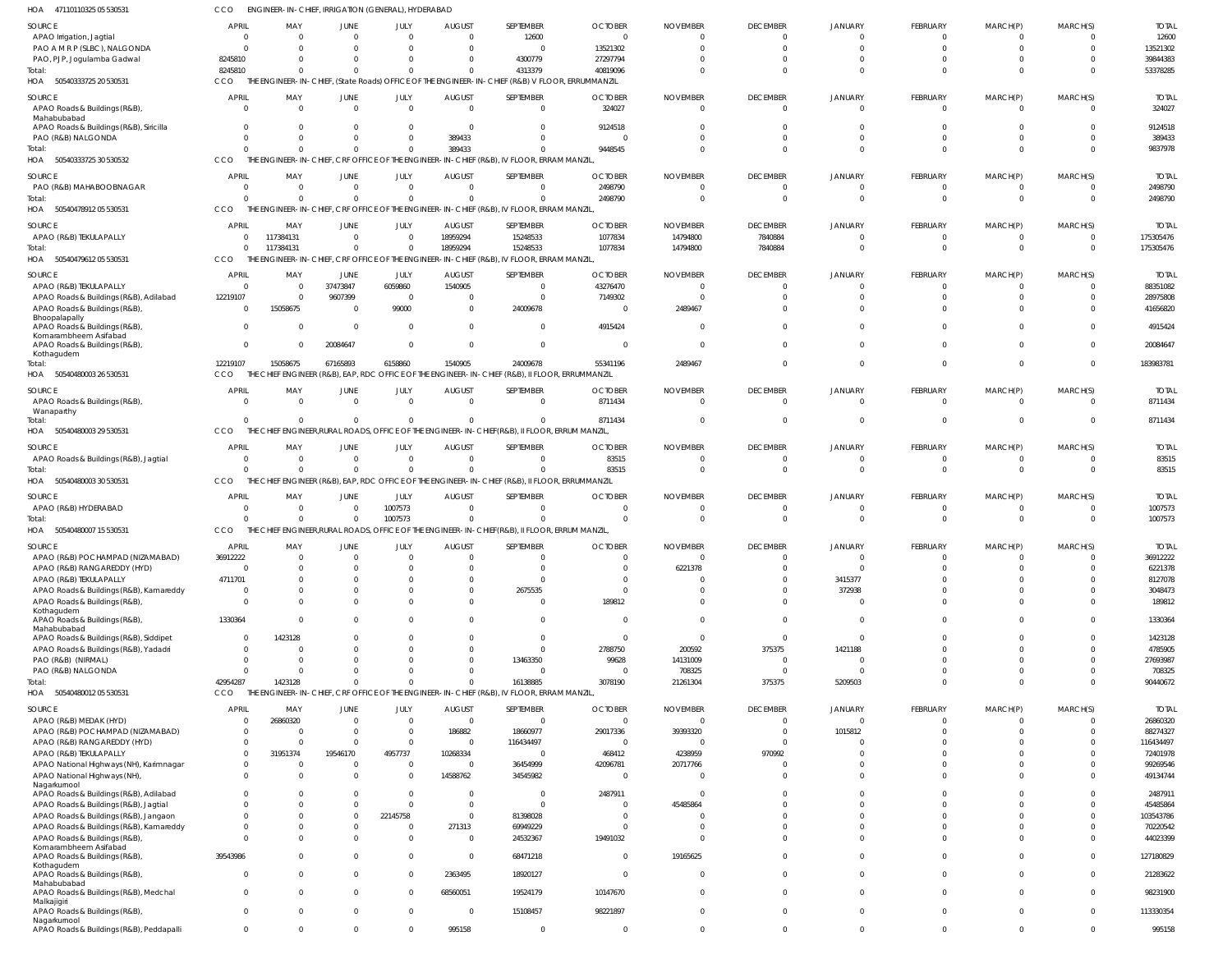50540333725 20 530531 HOA 50540333725 30 530532 50540478912 05 530531 50540479612 05 530531 50540480003 26 530531 50540480003 29 530531 50540480003 30 530531 HOA 50540480007 15 530531 HOA 50540480012 05 530531 HOA HOA HOA HOA HOA HOA APRIL THE ENGINEER-IN-CHIEF, (State Roads) OFFICE OF THE ENGINEER-IN-CHIEF (R&B) V FLOOR, ERRUMMANZIL THE ENGINEER-IN-CHIEF, CRF OFFICE OF THE ENGINEER-IN-CHIEF (R&B), IV FLOOR, ERRAM MANZIL, THE ENGINEER-IN-CHIEF, CRF OFFICE OF THE ENGINEER-IN-CHIEF (R&B), IV FLOOR, ERRAM MANZIL THE ENGINEER-IN-CHIEF, CRF OFFICE OF THE ENGINEER-IN-CHIEF (R&B), IV FLOOR, ERRAM MANZIL, THE CHIEF ENGINEER (R&B), EAP, RDC OFFICE OF THE ENGINEER-IN-CHIEF (R&B), II FLOOR, ERRUMMANZIL THE CHIEF ENGINEER,RURAL ROADS, OFFICE OF THE ENGINEER-IN-CHIEF(R&B), II FLOOR, ERRUM MANZIL, THE CHIEF ENGINEER (R&B), EAP, RDC OFFICE OF THE ENGINEER-IN-CHIEF (R&B), II FLOOR, ERRUMMANZIL THE CHIEF ENGINEER RURAL ROADS, OFFICE OF THE ENGINEER-IN-CHIEF(R&B), ILELOOR, ERRUM MANZIL, THE ENGINEER-IN-CHIEF, CRF OFFICE OF THE ENGINEER-IN-CHIEF (R&B), IV FLOOR, ERRAM MANZIL CCO **CCO CCO CCO CCO** CCO CCO CCO. CCO 8245810 0  $\Omega$ 0 12219107 0  $\Omega$ 0 42954287 0 0 0 117384131 15058675 0 0 0 1423128 0  $\Omega$  $\Omega$ 0 67165893 0  $\Omega$ 0  $\Omega$  $\Omega$  $\Omega$  $\Omega$ 0 6158860 0  $\Omega$ 1007573 0 0 389433 0 18959294 1540905 0 0 0  $\theta$ 4313379 0 0 15248533 24009678 0 0 0 16138885 40819096 9448545 2498790 1077834 55341196 8711434 83515 0 3078190 0  $\Omega$  $\Omega$ 14794800 2489467 0 0 0 21261304 0 0  $\Omega$ 7840884 0 0 0 0 375375 0 0 0 0  $\Omega$ 0 0 0 5209503 0  $\Omega$  $\Omega$ 0  $\Omega$ 0 0 0 0 0 0 0 0 0 0 0 0 0 0 0 0 0 0 0 0 0 0 53378285 9837978 2498790 175305476 183983781 8711434 83515 1007573 90440672 APAO Irrigation, Jagtial PAO A M R P (SLBC), NALGONDA PAO, PJP, Jogulamba Gadwal APAO Roads & Buildings (R&B), Mahabubabad APAO Roads & Buildings (R&B), Siricilla PAO (R&B) NALGONDA PAO (R&B) MAHABOOBNAGAR APAO (R&B) TEKULAPALLY APAO (R&B) TEKULAPALLY APAO Roads & Buildings (R&B), Adilabad APAO Roads & Buildings (R&B), Bhoopalapally APAO Roads & Buildings (R&B), Komarambheem Asifabad APAO Roads & Buildings (R&B), Kothagudem APAO Roads & Buildings (R&B), Wanaparthy APAO Roads & Buildings (R&B), Jagtial APAO (R&B) HYDERABAD APAO (R&B) POCHAMPAD (NIZAMABAD) APAO (R&B) RANGAREDDY (HYD) APAO (R&B) TEKULAPALLY APAO Roads & Buildings (R&B), Kamareddy APAO Roads & Buildings (R&B), Kothagudem APAO Roads & Buildings (R&B), Mahabubabad APAO Roads & Buildings (R&B), Siddipet APAO Roads & Buildings (R&B), Yadadri PAO (R&B) (NIRMAL) PAO (R&B) NALGONDA APAO (R&B) MEDAK (HYD) APAO (R&B) POCHAMPAD (NIZAMABAD) APAO (R&B) RANGAREDDY (HYD) APAO (R&B) TEKULAPALLY APAO National Highways (NH), Karimnagar APAO National Highways (NH), Nagarkurnool APAO Roads & Buildings (R&B), Adilabad APAO Roads & Buildings (R&B), Jagtial APAO Roads & Buildings (R&B), Jangaon APAO Roads & Buildings (R&B), Kamareddy APAO Roads & Buildings (R&B), Komarambheem Asifabad APAO Roads & Buildings (R&B), Kothagudem APAO Roads & Buildings (R&B), Mahabubabad APAO Roads & Buildings (R&B), Medchal Malkajigiri APAO Roads & Buildings (R&B), Nagarkurnool APAO Roads & Buildings (R&B), Peddapalli SOURCE SOURCE SOURCE SOURCE SOURCE SOURCE SOURCE SOURCE SOURCE SOURCE 0 0 8245810 0 0 0 0 0 0 12219107 0  $\mathfrak{g}$ 0 0 0 0 36912222 0 4711701 0  $\Omega$ 1330364 0  $\Omega$ 0  $\Omega$ 0 0 0  $\,$  0  $\,$ 0  $\Omega$ 0 0 0  $\Omega$  $\mathbf 0$ 39543986 0  $\overline{0}$ 0  $\Omega$ APRIL APRIL APRIL **APRIL** APRIL APRIL APRIL **APRIL** APRIL  $\Omega$ 0  $\Omega$  $\,$  0  $\,$ 0 0 0 117384131 0 0 15058675 0 0 0 0 0 0 0 0 0 0  $\Omega$ 1423128 0  $\Omega$ 0 26860320 0 0 31951374 0 0 0 0 0 0 0  $\Omega$  $\theta$  $\Omega$  $\theta$  $\theta$ MAY MAY MAY MAY MAY MAY MAY MAY MAY MAY  $\Omega$ 0  $\Omega$ 0  $\Omega$ 0 0 0 37473847 9607399 0  $\Omega$ 20084647 0 0 0 0  $\Omega$ 0  $\Omega$ 0 0 0  $\Omega$  $\mathbf 0$  $\Omega$  $\Omega$  $\mathbf 0$ 0 19546170  $\Omega$  $\Omega$ 0 0 0  $\Omega$ 0  $\theta$  $\overline{0}$  $\Omega$  $\theta$  $\theta$ JUNE JUNE JUNE JUNE JUNE JUNE JUNE JUNE JUNE JUNE  $\Omega$ 0  $\Omega$ 0 0 0 0 0 6059860 0 99000 0 0 0 0 1007573 0 0 0 0 0 0 0 0 0  $\Omega$  $\Omega$ 0 0 4957737 0 0  $\Omega$  $\Omega$ 22145758 0 0  $\Omega$  $\Omega$  $\sqrt{2}$  $\theta$ JULY JULY JULY JULY JULY JULY JULY JULY JULY JULY 0 0  $\Omega$ 0 0 389433 0 18959294 1540905 0 0  $\Omega$ 0 0 0 0 0  $\Omega$ 0 0 0 0 0  $\Omega$ 0 0 0 186882 0 10268334 0 14588762 0 0 0 271313 0  $\overline{0}$ 2363495 68560051  $\theta$ 995158 AUGUST AUGUST AUGUST AUGUST AUGUST AUGUST AUGUST AUGUST AUGUST AUGUST 12600 0 4300779 0 0 0 0 15248533  $\Omega$ 0 24009678 0 0  $\sqrt{2}$ 0 0 0 0 0 2675535 0 0 0 0 13463350 0 0 18660977 116434497 0 36454999 34545982 0  $\Omega$ 81398028 69949229 24532367 68471218 18920127 19524179 15108457 0 SEPTEMBER SEPTEMBER SEPTEMBER SEPTEMBER SEPTEMBER SEPTEMBER SEPTEMBER SEPTEMBER SEPTEMBER SEPTEMBER  $\Omega$ 13521302 27297794 324027 9124518 0 2498790 1077834 43276470 7149302 0 4915424 0 8711434 83515 0 0 0 0 0 189812  $\Omega$ 0 2788750 99628 0 0 29017336 0 468412 42096781 0 2487911 0 0  $\Omega$ 19491032  $\Omega$ 0 10147670 98221897 **OCTOBER** OCTOBER OCTOBER OCTOBER **OCTOBER** OCTOBER OCTOBER OCTOBER OCTOBER OCTOBER  $\Omega$ 0  $\Omega$ 0  $\Omega$ 0  $\Omega$ 14794800 0  $\Omega$ 2489467  $\Omega$ 0  $\Omega$  $\Omega$  $\Omega$ 0 6221378 0  $\Omega$ 0 0 0 200592 14131009 708325  $\Omega$ 39393320  $\Omega$ 4238959 20717766  $\Omega$ 0 45485864 0  $\Omega$ 0 19165625 0  $\Omega$  $\theta$  $\theta$ NOVEMBER NOVEMBER NOVEMBER NOVEMBER NOVEMBER NOVEMBER NOVEMBER NOVEMBER NOVEMBER NOVEMBER  $\Omega$ 0  $\Omega$ 0 0 0  $\Omega$ 7840884 0 0 0 0 0 0 0 0 0 0 0  $\Omega$ 0 0 0 375375 0  $\Omega$  $\Omega$ 0 0 970992 0 0 0 0 0 0 0  $\Omega$ 0  $\sqrt{2}$  $\theta$  $\Omega$ DECEMBER DECEMBER DECEMBER DECEMBER **DECEMBER** DECEMBER DECEMBER DECEMBER DECEMBER DECEMBER 0 0  $\Omega$ 0 0  $\mathbf 0$ 0 0  $\mathbf 0$ 0 0  $\mathfrak{g}$ 0 0 0 0 0 0 3415377 372938 0 0 0 1421188 0 0  $\overline{0}$ 1015812 0 0  $\Omega$  $\Omega$ 0  $\theta$ 0  $\Omega$ 0  $\sqrt{2}$  $\overline{0}$  $\sqrt{2}$  $\Omega$  $\theta$ JANUARY JANUARY JANUARY JANUARY JANUARY JANUARY JANUARY JANUARY JANUARY JANUARY 0 0  $\Omega$ 0  $\Omega$ 0 0  $\Omega$ 0 0 0 0 0 0 0  $\Omega$ 0  $\Omega$ 0 0 0 0 0 0 0  $\Omega$ 0 0 0 0 0  $\Omega$  $\Omega$  $\Omega$ 0  $\Omega$ 0  $\Omega$  $\Omega$  $\sqrt{2}$  $\Omega$  $\Omega$ FEBRUARY FEBRUARY FEBRUARY FEBRUARY FEBRUARY FEBRUARY FEBRUARY FEBRUARY FEBRUARY FEBRUARY  $\Omega$ 0  $\Omega$ 0  $\Omega$ 0 0 0 0 0 0 0 0 0 0 0 0  $\Omega$ 0 0 0 0 0 0 0 0 0 0 0 0  $\Omega$  $\Omega$  $\Omega$  $\Omega$ 0  $\Omega$ 0  $\Omega$  $\Omega$  $\sqrt{2}$  $\Omega$  $\Omega$ MARCH(P) MARCH(P) MARCH(P) MARCH(P) MARCH(P) MARCH(P) MARCH(P) MARCH(P) MARCH(P) MARCH(P)  $\Omega$ 0  $\Omega$ 0 0 0 0  $\Omega$ 0 0 0 0 0  $\Omega$  $\Omega$ 0 0 0 0  $\Omega$ 0  $\Omega$ 0  $\Omega$ 0  $\Omega$ 0 0 0 0 0 0 0  $\Omega$ 0  $\Omega$ 0  $\Omega$ 0  $\Omega$  $\theta$  $\Omega$ MARCH(S) MARCH(S) MARCH(S) MARCH(S) MARCH(S) MARCH(S) MARCH(S) MARCH(S) MARCH(S) MARCH(S) 12600 13521302 39844383 324027 9124518 389433 2498790 175305476 88351082 28975808 41656820 4915424 20084647 8711434 83515 1007573 36912222 6221378 8127078 3048473 189812 1330364 1423128 4785905 27693987 708325 26860320 88274327 116434497 72401978 99269546 49134744 2487911 45485864 103543786 70220542 44023399 127180829 21283622 98231900 113330354 995158 TOTAL TOTAL TOTAL TOTAL TOTAL TOTAL TOTAL TOTAL TOTAL TOTAL Total: Total: Total: Total: Total: Total: Total: Total: Total:

0

47110110325 05 530531 HOA

ENGINEER-IN-CHIEF, IRRIGATION (GENERAL), HYDERABAD

0

CCO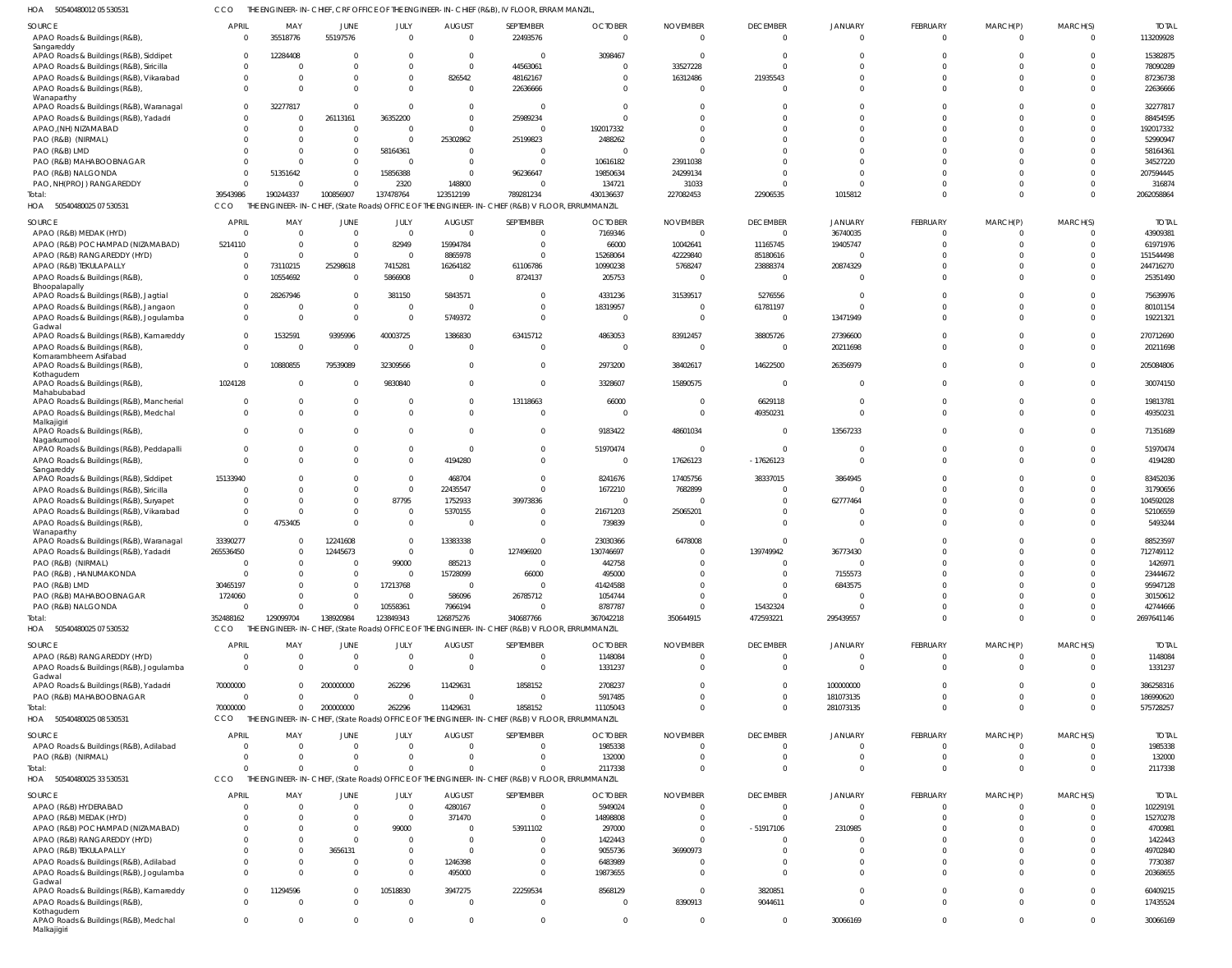50540480012 05 530531 HOA CCO THE ENGINEER-IN-CHIEF, CRF OFFICE OF THE ENGINEER-IN-CHIEF (R&B), IV FLOOR, ERRAM MANZIL,

| <b>SOURCE</b>                                                                     | APRIL                            | MAY                  | JUNE                 | JULY                 | <b>AUGUST</b>             | SEPTEMBER                                                                                                   | <b>OCTOBER</b>            | <b>NOVEMBER</b>        | <b>DECEMBER</b>             | <b>JANUARY</b>      | FEBRUARY                | MARCH(P)             | MARCH(S)             | <b>TOTAL</b>          |
|-----------------------------------------------------------------------------------|----------------------------------|----------------------|----------------------|----------------------|---------------------------|-------------------------------------------------------------------------------------------------------------|---------------------------|------------------------|-----------------------------|---------------------|-------------------------|----------------------|----------------------|-----------------------|
| APAO Roads & Buildings (R&B),                                                     | $\Omega$                         | 35518776             | 55197576             | $\Omega$             | $\Omega$                  | 22493576                                                                                                    | $\Omega$                  | $\Omega$               | $\Omega$                    | $\Omega$            | $\overline{0}$          | $\overline{0}$       | $\overline{0}$       | 113209928             |
| Sangareddy                                                                        |                                  |                      |                      |                      |                           |                                                                                                             |                           |                        |                             |                     |                         |                      |                      |                       |
| APAO Roads & Buildings (R&B), Siddipet                                            | $\Omega$                         | 12284408             |                      | $\Omega$             | - 0                       | $\Omega$                                                                                                    | 3098467                   |                        | $\Omega$                    |                     | $\Omega$                | $\Omega$             | $\Omega$             | 15382875              |
| APAO Roads & Buildings (R&B), Siricilla                                           | $\Omega$                         | $\Omega$             |                      | $\Omega$             | $\Omega$                  | 44563061                                                                                                    |                           | 33527228               | $\Omega$                    |                     | $\Omega$                | $\Omega$             |                      | 78090289              |
| APAO Roads & Buildings (R&B), Vikarabad<br>APAO Roads & Buildings (R&B)           | $\mathbf 0$<br>$\Omega$          | $\Omega$<br>$\Omega$ |                      | $\Omega$<br>$\Omega$ | 826542<br>$\Omega$        | 48162167<br>22636666                                                                                        |                           | 16312486               | 21935543                    |                     | $\Omega$<br>$\Omega$    | $\Omega$<br>$\Omega$ | $\Omega$<br>$\Omega$ | 87236738<br>22636666  |
| Wanaparthy                                                                        |                                  |                      |                      |                      |                           |                                                                                                             |                           |                        |                             |                     |                         |                      |                      |                       |
| APAO Roads & Buildings (R&B), Waranagal                                           | $\Omega$                         | 32277817             | $\Omega$             | $\Omega$             | $\Omega$                  | $\Omega$                                                                                                    |                           |                        |                             |                     | $\Omega$                | $\Omega$             | $\Omega$             | 32277817              |
| APAO Roads & Buildings (R&B), Yadadri                                             | $\Omega$                         | $\Omega$             | 26113161             | 36352200             |                           | 25989234                                                                                                    |                           |                        |                             |                     | $\Omega$                | $\Omega$             |                      | 88454595              |
| APAO, (NH) NIZAMABAD                                                              | $\Omega$                         | $\Omega$             | $\Omega$             | $\Omega$             |                           | $\Omega$                                                                                                    | 192017332                 |                        |                             |                     | $\Omega$                | $\Omega$             | $\Omega$             | 192017332             |
| PAO (R&B) (NIRMAL)                                                                | $\Omega$                         | $\Omega$             |                      |                      | 25302862                  | 25199823                                                                                                    | 2488262                   |                        |                             |                     | $\Omega$                | $\Omega$             |                      | 52990947              |
| PAO (R&B) LMD                                                                     | $\Omega$<br>$\Omega$             | $\Omega$<br>$\Omega$ | $\Omega$             | 58164361             | $\Omega$                  | $\Omega$<br>$\Omega$                                                                                        |                           |                        |                             |                     | $\Omega$<br>$\Omega$    | $\Omega$             |                      | 58164361<br>34527220  |
| PAO (R&B) MAHABOOBNAGAR<br>PAO (R&B) NALGONDA                                     | $\Omega$                         | 51351642             |                      | 15856388             |                           | 96236647                                                                                                    | 10616182<br>19850634      | 23911038<br>24299134   |                             |                     | $\Omega$                | $\Omega$             |                      | 207594445             |
| PAO, NH(PROJ) RANGAREDDY                                                          | $\Omega$                         | $\Omega$             |                      | 2320                 | 148800                    | $\Omega$                                                                                                    | 134721                    | 31033                  |                             | $\Omega$            | $\Omega$                | $\Omega$             |                      | 316874                |
| Total:                                                                            | 39543986                         | 190244337            | 100856907            | 137478764            | 123512199                 | 789281234                                                                                                   | 430136637                 | 227082453              | 22906535                    | 1015812             | $\Omega$                | $\Omega$             | $\Omega$             | 2062058864            |
| HOA 50540480025 07 530531                                                         | CCO                              |                      |                      |                      |                           | THE ENGINEER-IN-CHIEF, (State Roads) OFFICE OF THE ENGINEER-IN-CHIEF (R&B) V FLOOR, ERRUMMANZIL             |                           |                        |                             |                     |                         |                      |                      |                       |
|                                                                                   |                                  |                      |                      |                      |                           |                                                                                                             |                           |                        |                             |                     |                         |                      |                      | <b>TOTAL</b>          |
| SOURCE<br>APAO (R&B) MEDAK (HYD)                                                  | APRIL<br>$\Omega$                | MAY<br>$\Omega$      | JUNE<br>$\Omega$     | JULY<br>$\Omega$     | <b>AUGUST</b><br>$\Omega$ | SEPTEMBER<br>$\overline{0}$                                                                                 | <b>OCTOBER</b><br>7169346 | <b>NOVEMBER</b><br>- 0 | <b>DECEMBER</b><br>$\Omega$ | JANUARY<br>36740035 | FEBRUARY<br>$\Omega$    | MARCH(P)<br>$\Omega$ | MARCH(S)<br>$\Omega$ | 43909381              |
| APAO (R&B) POCHAMPAD (NIZAMABAD)                                                  | 5214110                          | - 0                  | $\Omega$             | 82949                | 15994784                  | $\Omega$                                                                                                    | 66000                     | 10042641               | 11165745                    | 19405747            | $\Omega$                | $\Omega$             | $\Omega$             | 61971976              |
| APAO (R&B) RANGAREDDY (HYD)                                                       | $\Omega$                         | $\Omega$             | $\Omega$             | $\Omega$             | 8865978                   | $\Omega$                                                                                                    | 15268064                  | 42229840               | 85180616                    |                     | $\Omega$                | $\Omega$             | $\Omega$             | 151544498             |
| APAO (R&B) TEKULAPALLY                                                            | $\Omega$                         | 73110215             | 25298618             | 7415281              | 16264182                  | 61106786                                                                                                    | 10990238                  | 5768247                | 23888374                    | 20874329            | $\Omega$                | $\Omega$             | $\Omega$             | 244716270             |
| APAO Roads & Buildings (R&B)                                                      | $\Omega$                         | 10554692             | $\Omega$             | 5866908              | $\Omega$                  | 8724137                                                                                                     | 205753                    |                        | $\overline{0}$              |                     | $\Omega$                | $\Omega$             | $\Omega$             | 25351490              |
| Bhoopalapally                                                                     |                                  |                      |                      |                      |                           |                                                                                                             |                           |                        |                             |                     |                         |                      |                      |                       |
| APAO Roads & Buildings (R&B), Jagtial<br>APAO Roads & Buildings (R&B), Jangaon    | $\overline{0}$<br>$\overline{0}$ | 28267946<br>$\Omega$ | $\Omega$<br>$\Omega$ | 381150<br>$\Omega$   | 5843571<br>$\Omega$       | $\Omega$<br>$\Omega$                                                                                        | 4331236<br>18319957       | 31539517               | 5276556<br>61781197         |                     | $\Omega$<br>$\Omega$    | $\Omega$<br>$\Omega$ | $\Omega$<br>$\Omega$ | 75639976<br>80101154  |
| APAO Roads & Buildings (R&B), Jogulamba                                           | $\Omega$                         | $\Omega$             | $\Omega$             | $\Omega$             | 5749372                   | $\Omega$                                                                                                    | - 0                       |                        | $\overline{0}$              | 13471949            | $\Omega$                | $\Omega$             | $\Omega$             | 19221321              |
| Gadwal                                                                            |                                  |                      |                      |                      |                           |                                                                                                             |                           |                        |                             |                     |                         |                      |                      |                       |
| APAO Roads & Buildings (R&B), Kamareddy                                           | $\Omega$                         | 1532591              | 9395996              | 40003725             | 1386830                   | 63415712                                                                                                    | 4863053                   | 83912457               | 38805726                    | 27396600            | $\Omega$                | $\Omega$             | $\Omega$             | 270712690             |
| APAO Roads & Buildings (R&B),                                                     | $\Omega$                         | $\Omega$             | $\Omega$             | $\Omega$             | - 0                       | $\Omega$                                                                                                    | - 0                       |                        | $\overline{0}$              | 20211698            | $\Omega$                | $\Omega$             | $\Omega$             | 20211698              |
| Komarambheem Asifabad<br>APAO Roads & Buildings (R&B),                            | $\Omega$                         | 10880855             | 79539089             | 32309566             | $\Omega$                  | $\Omega$                                                                                                    | 2973200                   | 38402617               | 14622500                    | 26356979            | $\Omega$                | $\Omega$             | $\Omega$             | 205084806             |
| Kothagudem                                                                        |                                  |                      |                      |                      |                           |                                                                                                             |                           |                        |                             |                     |                         |                      |                      |                       |
| APAO Roads & Buildings (R&B),                                                     | 1024128                          | $\Omega$             |                      | 9830840              | $\Omega$                  | $\overline{0}$                                                                                              | 3328607                   | 15890575               | $\Omega$                    | $\Omega$            | $\Omega$                | $\mathbf 0$          | $\Omega$             | 30074150              |
| Mahabubabad<br>APAO Roads & Buildings (R&B), Mancherial                           | $\overline{0}$                   | $\Omega$             | $\Omega$             |                      | - 0                       | 13118663                                                                                                    | 66000                     |                        | 6629118                     |                     | $\Omega$                | $\Omega$             | $\Omega$             | 19813781              |
| APAO Roads & Buildings (R&B), Medchal                                             | $\overline{0}$                   | $\Omega$             | $\Omega$             | $\Omega$             | $\Omega$                  | $\overline{0}$                                                                                              | - 0                       | $\Omega$               | 49350231                    | $\Omega$            | $\Omega$                | $\mathbf 0$          | $\Omega$             | 49350231              |
| Malkajigiri                                                                       |                                  |                      |                      |                      |                           |                                                                                                             |                           |                        |                             |                     |                         |                      |                      |                       |
| APAO Roads & Buildings (R&B),                                                     | $\Omega$                         | $\Omega$             | $\Omega$             | $\Omega$             | - 0                       | $^{\circ}$                                                                                                  | 9183422                   | 48601034               | $\Omega$                    | 13567233            | $\Omega$                | $\Omega$             | $\mathbf{0}$         | 71351689              |
| Nagarkurnool<br>APAO Roads & Buildings (R&B), Peddapalli                          | $\overline{0}$                   | 0                    |                      | 0                    | - 0                       | $\overline{0}$                                                                                              | 51970474                  | - 0                    | $\Omega$                    |                     | $^{\circ}$              | $^{\circ}$           | $\mathbf 0$          | 51970474              |
| APAO Roads & Buildings (R&B)                                                      | $\Omega$                         | $\Omega$             |                      | $\Omega$             | 4194280                   | $\Omega$                                                                                                    | - 0                       | 17626123               | $-17626123$                 | $\Omega$            | $\Omega$                | $\Omega$             | $\Omega$             | 4194280               |
| Sangareddy                                                                        |                                  |                      |                      |                      |                           |                                                                                                             |                           |                        |                             |                     |                         |                      |                      |                       |
| APAO Roads & Buildings (R&B), Siddipet                                            | 15133940                         | $\Omega$             |                      | $\Omega$             | 468704                    | $\overline{0}$                                                                                              | 8241676                   | 17405756               | 38337015                    | 3864945             | $\Omega$                | $\Omega$             | $\Omega$             | 83452036              |
| APAO Roads & Buildings (R&B), Siricilla                                           | $\Omega$                         | $\Omega$             |                      | $\Omega$             | 22435547                  | $\Omega$                                                                                                    | 1672210                   | 7682899                | $\Omega$                    |                     | $\Omega$                | $\Omega$             | $\Omega$             | 31790656              |
| APAO Roads & Buildings (R&B), Suryapet<br>APAO Roads & Buildings (R&B), Vikarabad | $\Omega$<br>$\overline{0}$       | $\Omega$<br>$\Omega$ |                      | 87795<br>$\Omega$    | 1752933<br>5370155        | 39973836<br>$\Omega$                                                                                        | - 0<br>21671203           | 25065201               |                             | 62777464            | $\Omega$<br>$\Omega$    | $\Omega$<br>$\Omega$ | $\Omega$<br>$\Omega$ | 104592028<br>52106559 |
| APAO Roads & Buildings (R&B),                                                     | $\Omega$                         | 4753405              | $\Omega$             | $\Omega$             | - 0                       | $\overline{0}$                                                                                              | 739839                    |                        |                             |                     | $\Omega$                | $\Omega$             | $\Omega$             | 5493244               |
| Wanaparthy                                                                        |                                  |                      |                      |                      |                           |                                                                                                             |                           |                        |                             |                     |                         |                      |                      |                       |
| APAO Roads & Buildings (R&B), Waranagal                                           | 33390277                         |                      | 12241608             | $\Omega$             | 13383338                  | $\Omega$                                                                                                    | 23030366                  | 6478008                |                             |                     | $\Omega$                | $\Omega$             | $\Omega$             | 88523597              |
| APAO Roads & Buildings (R&B), Yadadri                                             | 265536450                        | $\Omega$             | 12445673             | $\mathbf{0}$         | $\Omega$                  | 127496920                                                                                                   | 130746697                 |                        | 139749942                   | 36773430            | $\Omega$                | $\Omega$             | $\Omega$             | 712749112             |
| PAO (R&B) (NIRMAL)                                                                | $\Omega$                         | $\Omega$             |                      | 99000                | 885213                    | $\Omega$                                                                                                    | 442758                    | $\Omega$               | $\Omega$                    |                     | $\Omega$                | $\Omega$             | $\overline{0}$       | 1426971               |
| PAO (R&B), HANUMAKONDA                                                            | $\Omega$                         | $\Omega$<br>$\Omega$ |                      | $\Omega$             | 15728099<br>- 0           | 66000<br>$\overline{0}$                                                                                     | 495000                    |                        |                             | 7155573             | $\mathbf 0$<br>$\Omega$ | $\Omega$<br>$\Omega$ |                      | 23444672              |
| PAO (R&B) LMD<br>PAO (R&B) MAHABOOBNAGAR                                          | 30465197<br>1724060              | $\Omega$             |                      | 17213768<br>$\Omega$ | 586096                    | 26785712                                                                                                    | 41424588<br>1054744       |                        |                             | 6843575             | $\Omega$                | $\Omega$             |                      | 95947128<br>30150612  |
| PAO (R&B) NALGONDA                                                                | $\mathbf 0$                      | $\Omega$             |                      | 10558361             | 7966194                   | $\Omega$                                                                                                    | 8787787                   |                        | 15432324                    |                     | $\Omega$                | $\Omega$             | $\Omega$             | 42744666              |
| Total:                                                                            | 352488162                        | 129099704            | 138920984            | 123849343            | 126875276                 | 340687766                                                                                                   | 367042218                 | 350644915              | 472593221                   | 295439557           | $\mathbf 0$             | $\mathbf 0$          | $\Omega$             | 2697641146            |
| HOA 50540480025 07 530532                                                         | CCO                              |                      |                      |                      |                           | THE ENGINEER-IN-CHIEF, (State Roads) OFFICE OF THE ENGINEER-IN-CHIEF (R&B) V FLOOR, ERRUMMANZIL             |                           |                        |                             |                     |                         |                      |                      |                       |
| SOURCE                                                                            | <b>APRIL</b>                     | MAY                  | JUNE                 | JULY                 | <b>AUGUST</b>             | SEPTEMBER                                                                                                   | <b>OCTOBER</b>            | <b>NOVEMBER</b>        | <b>DECEMBER</b>             | JANUARY             | FEBRUARY                | MARCH(P)             | MARCH(S)             | <b>TOTAL</b>          |
| APAO (R&B) RANGAREDDY (HYD)                                                       | 0                                | 0                    |                      | $\overline{0}$       | - 0                       | $\overline{0}$                                                                                              | 1148084                   |                        | 0                           |                     | $\mathbf{0}$            | 0                    | 0                    | 1148084               |
| APAO Roads & Buildings (R&B), Jogulamba                                           | $\Omega$                         | $\Omega$             | $\Omega$             | $\Omega$             | $\Omega$                  | $\overline{0}$                                                                                              | 1331237                   |                        | $\Omega$                    | $\Omega$            | $\mathbf 0$             | $\mathbf 0$          | $\Omega$             | 1331237               |
| Gadwal                                                                            |                                  |                      |                      |                      |                           |                                                                                                             |                           |                        |                             |                     |                         |                      |                      |                       |
| APAO Roads & Buildings (R&B), Yadadri                                             | 70000000                         | $\Omega$             | 200000000            | 262296               | 11429631                  | 1858152                                                                                                     | 2708237                   |                        | $\mathbf{0}$                | 100000000           | $\mathbf 0$             | $\mathbf{0}$         | $\Omega$             | 386258316             |
| PAO (R&B) MAHABOOBNAGAR                                                           | $\overline{0}$                   | $\Omega$             | $\Omega$             | $\overline{0}$       | $\Omega$                  | $\overline{0}$                                                                                              | 5917485                   |                        | $\Omega$                    | 181073135           | $\mathbf 0$             | $\mathbf 0$          | $\Omega$             | 186990620             |
| Total:                                                                            | 70000000                         | $\Omega$             | 200000000            | 262296               | 11429631                  | 1858152<br>THE ENGINEER-IN-CHIEF, (State Roads) OFFICE OF THE ENGINEER-IN-CHIEF (R&B) V FLOOR, ERRUMMANZIL  | 11105043                  |                        | $\Omega$                    | 281073135           | $\mathbf 0$             | $\Omega$             | $\Omega$             | 575728257             |
| HOA 50540480025 08 530531                                                         | CCO                              |                      |                      |                      |                           |                                                                                                             |                           |                        |                             |                     |                         |                      |                      |                       |
| SOURCE                                                                            | <b>APRIL</b>                     | MAY                  | JUNE                 | JULY                 | <b>AUGUST</b>             | SEPTEMBER                                                                                                   | <b>OCTOBER</b>            | <b>NOVEMBER</b>        | <b>DECEMBER</b>             | JANUARY             | FEBRUARY                | MARCH(P)             | MARCH(S)             | <b>TOTAL</b>          |
| APAO Roads & Buildings (R&B), Adilabad                                            | 0                                | $\Omega$             | $\Omega$             | $\overline{0}$       | - 0                       | $\overline{0}$                                                                                              | 1985338                   |                        | $\Omega$                    | 0                   | $^{\circ}$              | $\mathbf{0}$         | $\overline{0}$       | 1985338               |
| PAO (R&B) (NIRMAL)                                                                | $\overline{0}$                   | $\Omega$             | $\Omega$             | $\Omega$             | - 0                       | $\overline{0}$                                                                                              | 132000                    |                        | $\Omega$                    |                     | $\mathbf 0$             | $\mathbf{0}$         | $\overline{0}$       | 132000                |
| Total:<br>HOA 50540480025 33 530531                                               | $\Omega$<br>CCO                  | $\Omega$             | $\Omega$             | $\Omega$             |                           | $\Omega$<br>THE ENGINEER-IN-CHIEF, (State Roads) OFFICE OF THE ENGINEER-IN-CHIEF (R&B) V FLOOR, ERRUMMANZIL | 2117338                   |                        | $\Omega$                    | $\Omega$            | $\mathbf 0$             | $\mathbf 0$          | $\Omega$             | 2117338               |
|                                                                                   |                                  |                      |                      |                      |                           |                                                                                                             |                           |                        |                             |                     |                         |                      |                      |                       |
| SOURCE                                                                            | <b>APRIL</b>                     | MAY                  | JUNE                 | JULY                 | <b>AUGUST</b>             | SEPTEMBER                                                                                                   | <b>OCTOBER</b>            | <b>NOVEMBER</b>        | <b>DECEMBER</b>             | JANUARY             | FEBRUARY                | MARCH(P)             | MARCH(S)             | <b>TOTAL</b>          |
| APAO (R&B) HYDERABAD                                                              | 0                                | 0                    | $\Omega$             | $\overline{0}$       | 4280167                   | $\overline{0}$                                                                                              | 5949024                   |                        | $\overline{0}$              | $\Omega$            | $\mathbf{0}$            | $\mathbf{0}$         | $\Omega$             | 10229191              |
| APAO (R&B) MEDAK (HYD)                                                            | $\Omega$                         | $\Omega$             |                      | $\Omega$             | 371470                    | $\overline{0}$                                                                                              | 14898808                  |                        |                             |                     | $\Omega$                | $\Omega$             |                      | 15270278              |
| APAO (R&B) POCHAMPAD (NIZAMABAD)<br>APAO (R&B) RANGAREDDY (HYD)                   | $\Omega$<br>$\Omega$             | $\Omega$<br>$\Omega$ |                      | 99000<br>$\Omega$    | - 0                       | 53911102<br>$\Omega$                                                                                        | 297000<br>1422443         |                        | $-51917106$                 | 2310985             | $\Omega$<br>$\Omega$    | $\Omega$<br>$\Omega$ |                      | 4700981<br>1422443    |
| APAO (R&B) TEKULAPALLY                                                            | $\Omega$                         | $\Omega$             | 3656131              | $\Omega$             | $\Omega$                  | $\Omega$                                                                                                    | 9055736                   | 36990973               |                             |                     | $\Omega$                | $\Omega$             |                      | 49702840              |
| APAO Roads & Buildings (R&B), Adilabad                                            | $\mathbf 0$                      | $\Omega$             |                      | $\Omega$             | 1246398                   | $\Omega$                                                                                                    | 6483989                   |                        |                             |                     | $\Omega$                | $\Omega$             |                      | 7730387               |
| APAO Roads & Buildings (R&B), Jogulamba                                           | $\Omega$                         | $\Omega$             |                      | $\Omega$             | 495000                    | $\Omega$                                                                                                    | 19873655                  |                        |                             |                     | $\Omega$                | $\Omega$             |                      | 20368655              |
| Gadwal                                                                            |                                  |                      |                      |                      |                           |                                                                                                             |                           |                        |                             |                     |                         |                      |                      |                       |
| APAO Roads & Buildings (R&B), Kamareddy                                           | $\mathbf 0$                      | 11294596             | $\Omega$             | 10518830             | 3947275                   | 22259534                                                                                                    | 8568129                   |                        | 3820851                     | $\Omega$            | $\mathbf 0$             | $\mathbf 0$          | $\Omega$             | 60409215              |
| APAO Roads & Buildings (R&B),<br>Kothagudem                                       | $\Omega$                         | $\Omega$             |                      | $\Omega$             | $\Omega$                  | $\overline{0}$                                                                                              | - 0                       | 8390913                | 9044611                     | $\Omega$            | $\mathbf 0$             | $\Omega$             | $\Omega$             | 17435524              |
| APAO Roads & Buildings (R&B), Medchal<br>Malkajigiri                              | $\overline{0}$                   | 0                    | $\Omega$             | 0                    | - 0                       | $\overline{0}$                                                                                              | $\Omega$                  |                        | $\mathbf 0$                 | 30066169            | $\mathbf{0}$            | $\mathbf 0$          | $\overline{0}$       | 30066169              |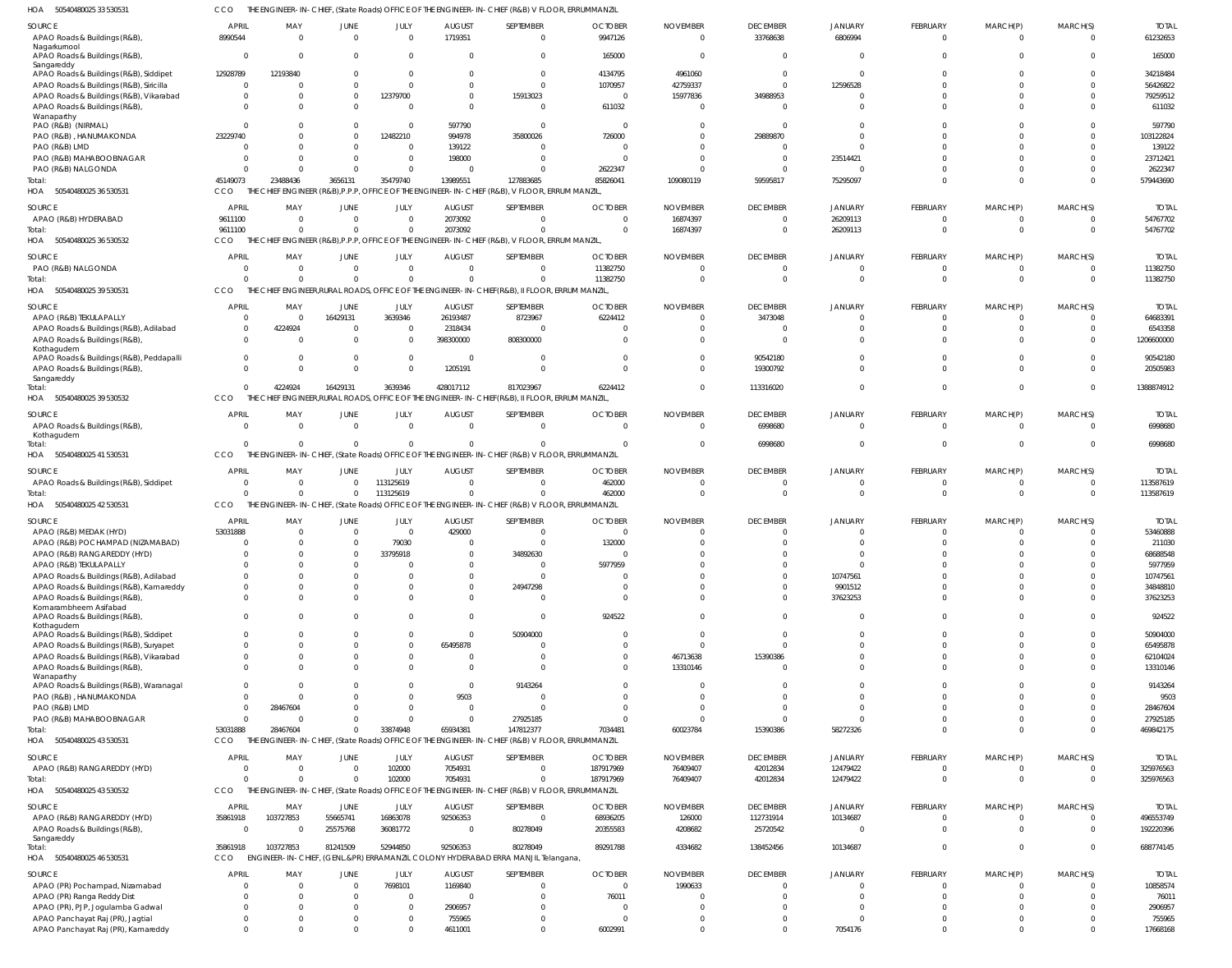50540480025 33 530531 HOA CCO THE ENGINEER-IN-CHIEF, (State Roads) OFFICE OF THE ENGINEER-IN-CHIEF (R&B) V FLOOR, ERRUMMANZIL

| SOURCE                                                                            | <b>APRIL</b>               | MAY             | JUNE                   | JULY                       | <b>AUGUST</b>                   | SEPTEMBER                                                                                                    | <b>OCTOBER</b>             | <b>NOVEMBER</b> | <b>DECEMBER</b>                   | JANUARY                          | FEBRUARY                    | MARCH(P)                | MARCH(S)                   | <b>TOTAL</b>             |
|-----------------------------------------------------------------------------------|----------------------------|-----------------|------------------------|----------------------------|---------------------------------|--------------------------------------------------------------------------------------------------------------|----------------------------|-----------------|-----------------------------------|----------------------------------|-----------------------------|-------------------------|----------------------------|--------------------------|
| APAO Roads & Buildings (R&B),                                                     | 8990544                    | $\Omega$        | $\overline{0}$         | $\overline{0}$             | 1719351                         | $\overline{0}$                                                                                               | 9947126                    |                 | 33768638                          | 6806994                          | $\overline{0}$              | $\mathbf{0}$            | $\overline{0}$             | 61232653                 |
| Nagarkurnool<br>APAO Roads & Buildings (R&B),                                     | $\Omega$                   | - 0             | $\Omega$               | $\overline{0}$             | $\Omega$                        | $\mathbf 0$                                                                                                  | 165000                     |                 | $\overline{0}$                    | $\overline{0}$                   | $\mathbf 0$                 | $\mathbf 0$             | $\Omega$                   | 165000                   |
| Sangareddy<br>APAO Roads & Buildings (R&B), Siddipet                              | 12928789                   | 12193840        | $\Omega$               | $\overline{0}$             | $\mathbf{0}$                    | $\overline{0}$                                                                                               | 4134795                    | 4961060         | $\overline{0}$                    | $\overline{0}$                   | $\Omega$                    | $\Omega$                | $\Omega$                   | 34218484                 |
| APAO Roads & Buildings (R&B), Siricilla                                           | $\Omega$                   |                 | $\Omega$               | $\overline{0}$             | $\Omega$                        | $\overline{0}$                                                                                               | 1070957                    | 42759337        | $\overline{0}$                    | 12596528                         | $\Omega$                    | $\Omega$                | $\Omega$                   | 56426822                 |
| APAO Roads & Buildings (R&B), Vikarabad                                           | -0                         |                 | $\mathbf 0$            | 12379700                   | $\overline{0}$                  | 15913023                                                                                                     | $\overline{\mathbf{0}}$    | 15977836        | 34988953                          | $\overline{0}$                   | $\mathbf 0$                 | $\Omega$                | $\Omega$                   | 79259512                 |
| APAO Roads & Buildings (R&B)<br>Wanaparthy                                        | $\Omega$                   |                 | $\Omega$               | $\overline{0}$             | $\Omega$                        | $\mathbf 0$                                                                                                  | 611032                     |                 | $\overline{0}$                    | $\Omega$                         | $\mathbf 0$                 | $\Omega$                | $\Omega$                   | 611032                   |
| PAO (R&B) (NIRMAL)                                                                | $\Omega$                   |                 | 0                      | $\Omega$                   | 597790                          | $\overline{0}$                                                                                               | $\Omega$                   |                 | $\overline{0}$                    | $\Omega$                         | $\Omega$                    | $\Omega$                | $\Omega$                   | 597790                   |
| PAO (R&B), HANUMAKONDA<br>PAO (R&B) LMD                                           | 23229740<br>$\Omega$       |                 | $\Omega$<br>$\Omega$   | 12482210<br>- 0            | 994978<br>139122                | 35800026<br>0                                                                                                | 726000                     |                 | 29889870<br>0                     | $\Omega$<br>$\Omega$             | $\Omega$<br>$\Omega$        | $\Omega$<br>$\Omega$    | $\Omega$<br>$\Omega$       | 103122824<br>139122      |
| PAO (R&B) MAHABOOBNAGAR                                                           | -0                         |                 |                        | $\overline{0}$             | 198000                          | $\Omega$                                                                                                     |                            |                 | $\overline{0}$                    | 23514421                         | $\Omega$                    | $\Omega$                | $\Omega$                   | 23712421                 |
| PAO (R&B) NALGONDA                                                                | - 0                        |                 | $\Omega$               | $\Omega$                   | $\overline{0}$                  | $\Omega$                                                                                                     | 2622347                    |                 | $\overline{0}$                    | $\overline{0}$                   | $\Omega$                    | $\Omega$                | $\Omega$                   | 2622347                  |
| Total:                                                                            | 45149073                   | 23488436        | 3656131                | 35479740                   | 13989551                        | 127883685                                                                                                    | 85826041                   | 109080119       | 59595817                          | 75295097                         | $\mathbf 0$                 | $\mathbf 0$             | $\Omega$                   | 579443690                |
| HOA<br>50540480025 36 530531                                                      | <b>CCO</b>                 |                 |                        |                            |                                 | CHIEF ENGINEER (R&B), P.P.P, OFFICE OF THE ENGINEER-IN-CHIEF (R&B), V FLOOR, ERRUM MANZIL                    |                            |                 |                                   |                                  |                             |                         |                            |                          |
| SOURCE                                                                            | <b>APRIL</b>               | MAY             | JUNE                   | JULY                       | <b>AUGUST</b>                   | SEPTEMBER                                                                                                    | <b>OCTOBER</b>             | <b>NOVEMBER</b> | <b>DECEMBER</b>                   | JANUARY                          | FEBRUARY                    | MARCH(P)                | MARCH(S)                   | <b>TOTAI</b>             |
| APAO (R&B) HYDERABAD                                                              | 9611100                    | $\Omega$        | $\Omega$               | $\Omega$                   | 2073092                         | $\Omega$                                                                                                     | $\Omega$                   | 16874397        | 0                                 | 26209113                         | -0                          | 0                       | $\Omega$                   | 54767702                 |
| Total:<br>50540480025 36 530532<br>HOA                                            | 9611100<br>CCO             | $\Omega$        | $\Omega$               | $\overline{0}$             | 2073092                         | $\Omega$<br>THE CHIEF ENGINEER (R&B), P.P.P, OFFICE OF THE ENGINEER-IN-CHIEF (R&B), V FLOOR, ERRUM MANZIL    | $\Omega$                   | 16874397        | $\mathbf{0}$                      | 26209113                         | $\overline{0}$              | $\mathbf{0}$            | $\Omega$                   | 54767702                 |
|                                                                                   |                            |                 |                        |                            |                                 |                                                                                                              |                            |                 |                                   |                                  |                             |                         |                            |                          |
| SOURCE                                                                            | <b>APRIL</b>               | MAY<br>- 0      | JUNE<br>$\overline{0}$ | JULY<br>$\overline{0}$     | <b>AUGUST</b><br>$\overline{0}$ | SEPTEMBER<br>$\overline{0}$                                                                                  | <b>OCTOBER</b>             | <b>NOVEMBER</b> | <b>DECEMBER</b><br>$\overline{0}$ | <b>JANUARY</b><br>$\overline{0}$ | FEBRUARY                    | MARCH(P)<br>$^{\circ}$  | MARCH(S)<br>$\overline{0}$ | <b>TOTAL</b>             |
| PAO (R&B) NALGONDA<br>Total:                                                      | - 0<br>$\sqrt{ }$          |                 | $\Omega$               | $\Omega$                   | $\Omega$                        | $\Omega$                                                                                                     | 11382750<br>11382750       |                 | $\overline{0}$                    | $\overline{0}$                   | $\mathbf 0$<br>$\mathbf{0}$ | $\mathbf{0}$            | $\Omega$                   | 11382750<br>11382750     |
| HOA<br>50540480025 39 530531                                                      | CCO                        |                 |                        |                            |                                 | THE CHIEF ENGINEER, RURAL ROADS, OFFICE OF THE ENGINEER-IN-CHIEF (R&B), II FLOOR, ERRUM MANZIL,              |                            |                 |                                   |                                  |                             |                         |                            |                          |
| SOURCE                                                                            | APRIL                      | MAY             | JUNE                   | <b>JULY</b>                | <b>AUGUST</b>                   | SEPTEMBER                                                                                                    | <b>OCTOBER</b>             | <b>NOVEMBER</b> | <b>DECEMBER</b>                   | <b>JANUARY</b>                   | FEBRUARY                    | MARCH(P)                | MARCH(S)                   | <b>TOTAI</b>             |
| APAO (R&B) TEKULAPALLY                                                            | $\overline{0}$             | - 0             | 16429131               | 3639346                    | 26193487                        | 8723967                                                                                                      | 6224412                    |                 | 3473048                           | 0                                | $\Omega$                    | $\Omega$                | $\Omega$                   | 64683391                 |
| APAO Roads & Buildings (R&B), Adilabad                                            | - 0                        | 4224924         | $\Omega$               | - 0                        | 2318434                         | $\mathbf 0$                                                                                                  |                            |                 | 0                                 | 0                                | $^{\circ}$                  | $\Omega$                | $\Omega$                   | 6543358                  |
| APAO Roads & Buildings (R&B)                                                      | $\Omega$                   |                 | $\Omega$               | $\overline{0}$             | 398300000                       | 808300000                                                                                                    |                            |                 | $\Omega$                          | <sup>0</sup>                     | $\Omega$                    | $\Omega$                | $\Omega$                   | 1206600000               |
| Kothagudem<br>APAO Roads & Buildings (R&B), Peddapalli                            | $\Omega$                   |                 | $\Omega$               | $\overline{0}$             | $\overline{0}$                  | $\mathbf 0$                                                                                                  |                            |                 | 90542180                          | 0                                | $\Omega$                    | $\Omega$                |                            | 90542180                 |
| APAO Roads & Buildings (R&B)                                                      | $\Omega$                   | $\cap$          | $\Omega$               | $\Omega$                   | 1205191                         | $\Omega$                                                                                                     | $\Omega$                   |                 | 19300792                          | $\Omega$                         | $\Omega$                    | $\Omega$                | $\Omega$                   | 20505983                 |
| Sangareddy                                                                        |                            |                 |                        |                            |                                 |                                                                                                              |                            |                 |                                   |                                  |                             |                         |                            |                          |
| Total:<br>HOA<br>50540480025 39 530532                                            | $\Omega$<br><b>CCO</b>     | 4224924         | 16429131               | 3639346                    | 428017112                       | 817023967<br>THE CHIEF ENGINEER, RURAL ROADS, OFFICE OF THE ENGINEER-IN-CHIEF (R&B), II FLOOR, ERRUM MANZIL, | 6224412                    |                 | 113316020                         | $\Omega$                         | $\Omega$                    | $\Omega$                | $\Omega$                   | 1388874912               |
|                                                                                   |                            |                 |                        |                            |                                 |                                                                                                              |                            |                 |                                   |                                  |                             |                         |                            |                          |
| SOURCE<br>APAO Roads & Buildings (R&B),                                           | <b>APRIL</b><br>$\Omega$   | MAY<br>$\Omega$ | JUNE<br>$\overline{0}$ | JULY<br>$\overline{0}$     | <b>AUGUST</b><br>$\Omega$       | SEPTEMBER<br>$\overline{0}$                                                                                  | <b>OCTOBER</b><br>$\Omega$ | <b>NOVEMBER</b> | <b>DECEMBER</b><br>6998680        | <b>JANUARY</b><br>$\overline{0}$ | FEBRUARY<br>$\overline{0}$  | MARCH(P)<br>$^{\circ}$  | MARCH(S)<br>$\overline{0}$ | Total<br>6998680         |
| Kothagudem                                                                        |                            |                 |                        |                            |                                 |                                                                                                              |                            |                 |                                   |                                  |                             |                         |                            |                          |
| Total:                                                                            | $\Omega$                   |                 | $\mathbf 0$            | $\overline{0}$             | $\Omega$                        | $\mathbf 0$                                                                                                  |                            |                 | 6998680                           | $\overline{0}$                   | $\mathbf 0$                 | $\overline{0}$          | $\overline{0}$             | 6998680                  |
| HOA<br>50540480025 41 530531                                                      | CCO                        |                 |                        |                            |                                 | THE ENGINEER-IN-CHIEF, (State Roads) OFFICE OF THE ENGINEER-IN-CHIEF (R&B) V FLOOR, ERRUMMANZIL              |                            |                 |                                   |                                  |                             |                         |                            |                          |
| SOURCE                                                                            | <b>APRIL</b>               | MAY             | JUNE                   | JULY                       | <b>AUGUST</b>                   | SEPTEMBER                                                                                                    | <b>OCTOBER</b>             | <b>NOVEMBER</b> | <b>DECEMBER</b>                   | <b>JANUARY</b>                   | FEBRUARY                    | MARCH(P)                | MARCH(S)                   | <b>TOTAI</b>             |
| APAO Roads & Buildings (R&B), Siddipet<br>Total:                                  | $\Omega$<br>$\Omega$       | $\Omega$        | $\Omega$<br>$\Omega$   | 113125619<br>113125619     | $\Omega$<br>$\Omega$            | $\mathbf 0$<br>$\Omega$                                                                                      | 462000<br>462000           |                 | 0<br>$\mathbf{0}$                 | 0<br>$\Omega$                    | $^{\circ}$<br>$\mathbf 0$   | 0<br>$\mathbf{0}$       | $\overline{0}$<br>$\Omega$ | 113587619<br>113587619   |
| HOA<br>50540480025 42 530531                                                      | CCO                        |                 |                        |                            |                                 | THE ENGINEER-IN-CHIEF, (State Roads) OFFICE OF THE ENGINEER-IN-CHIEF (R&B) V FLOOR, ERRUMMANZIL              |                            |                 |                                   |                                  |                             |                         |                            |                          |
|                                                                                   |                            |                 |                        |                            |                                 |                                                                                                              |                            |                 |                                   |                                  |                             |                         |                            |                          |
| SOURCE<br>APAO (R&B) MEDAK (HYD)                                                  | <b>APRIL</b><br>53031888   | MAY<br>- 0      | JUNE<br>$\overline{0}$ | JULY<br>$\overline{0}$     | <b>AUGUST</b><br>429000         | SEPTEMBER<br>$\overline{0}$                                                                                  | <b>OCTOBER</b>             | <b>NOVEMBER</b> | <b>DECEMBER</b><br>$\mathbf{0}$   | <b>JANUARY</b><br>$\overline{0}$ | FEBRUARY<br>$\mathbf 0$     | MARCH(P)<br>$\Omega$    | MARCH(S)<br>$\Omega$       | <b>TOTAL</b><br>53460888 |
| APAO (R&B) POCHAMPAD (NIZAMABAD)                                                  | -0                         |                 | 0                      | 79030                      | $\Omega$                        | $^{\circ}$                                                                                                   | 132000                     |                 | $\Omega$                          | 0                                | $\mathbf 0$                 | 0                       | $\Omega$                   | 211030                   |
| APAO (R&B) RANGAREDDY (HYD)                                                       | $\Omega$                   |                 | $\Omega$               | 33795918                   | $\Omega$                        | 34892630                                                                                                     | $\Omega$                   |                 | $\Omega$                          | $\Omega$                         | $\Omega$                    | $\Omega$                | $\Omega$                   | 68688548                 |
| APAO (R&B) TEKULAPALLY                                                            |                            |                 |                        |                            |                                 | $\Omega$                                                                                                     | 5977959                    |                 |                                   |                                  | $\Omega$                    | - ( )                   |                            | 5977959                  |
| APAO Roads & Buildings (R&B), Adilabad<br>APAO Roads & Buildings (R&B), Kamareddy | $\Omega$                   |                 | O<br>0                 | $\Omega$<br>$\Omega$       | $\Omega$<br>$\mathbf 0$         | $\overline{0}$                                                                                               | 0<br>$\Omega$              |                 | $\Omega$<br>$\Omega$              | 10747561<br>9901512              | $\mathbf 0$<br>$\mathbf 0$  | $\Omega$<br>$\mathbf 0$ | $\Omega$<br>$\Omega$       | 10747561<br>34848810     |
| APAO Roads & Buildings (R&B)                                                      | $\overline{0}$<br>$\Omega$ |                 | $\Omega$               | $\Omega$                   | $\Omega$                        | 24947298<br>$\overline{0}$                                                                                   | $\Omega$                   |                 | $\Omega$                          | 37623253                         | $\mathbf{0}$                | $\Omega$                | $\Omega$                   | 37623253                 |
| Komarambheem Asifabad                                                             |                            |                 |                        |                            |                                 |                                                                                                              |                            |                 |                                   |                                  |                             |                         |                            |                          |
| APAO Roads & Buildings (R&B),<br>Kothagudem                                       | $\Omega$                   |                 | $\Omega$               | $\Omega$                   | $\Omega$                        | $\overline{0}$                                                                                               | 924522                     |                 | $\Omega$                          | $\mathbf{0}$                     | $\mathbf 0$                 | $\overline{0}$          | $\Omega$                   | 924522                   |
| APAO Roads & Buildings (R&B), Siddipet                                            | $\Omega$                   |                 |                        | $\Omega$                   | $\Omega$                        | 50904000                                                                                                     | $\Omega$                   |                 | $\Omega$                          | $\Omega$                         | $\Omega$                    | $\Omega$                | $\Omega$                   | 50904000                 |
| APAO Roads & Buildings (R&B), Suryapet                                            | $\Omega$                   |                 |                        | $\Omega$                   | 65495878                        | 0                                                                                                            | 0                          |                 | $\Omega$                          | $\Omega$                         | $\Omega$                    | $\Omega$                | $\Omega$                   | 65495878                 |
| APAO Roads & Buildings (R&B), Vikarabad                                           | $\Omega$<br>$\Omega$       |                 |                        | $\overline{0}$<br>$\Omega$ | $\mathbf{0}$<br>$\Omega$        | $\mathbf 0$<br>$\Omega$                                                                                      | $\Omega$<br>$\Omega$       | 46713638        | 15390386<br>$\Omega$              | $\Omega$<br>$\Omega$             | $\Omega$<br>$\Omega$        | $\Omega$<br>$\Omega$    | $\Omega$<br>$\Omega$       | 62104024                 |
| APAO Roads & Buildings (R&B),<br>Wanaparthy                                       |                            |                 |                        |                            |                                 |                                                                                                              |                            | 13310146        |                                   |                                  |                             |                         |                            | 13310146                 |
| APAO Roads & Buildings (R&B), Waranagal                                           | $\Omega$                   |                 |                        | $\Omega$                   | $\Omega$                        | 9143264                                                                                                      |                            |                 | $\Omega$                          | $\Omega$                         | $\Omega$                    | $\Omega$                | $\Omega$                   | 9143264                  |
| PAO (R&B), HANUMAKONDA                                                            | $\Omega$                   |                 |                        | $\Omega$                   | 9503                            | $\overline{0}$                                                                                               |                            |                 | $\Omega$                          | $\Omega$                         | $\Omega$                    | $\Omega$                | $\Omega$                   | 9503                     |
| PAO (R&B) LMD<br>PAO (R&B) MAHABOOBNAGAR                                          | $\Omega$<br>$\Omega$       | 28467604        | $\Omega$               | $\Omega$<br>$\Omega$       | $\Omega$<br>$\Omega$            | $\mathbf 0$<br>27925185                                                                                      |                            |                 | $\Omega$<br>$\Omega$              | $\Omega$<br>$\Omega$             | $\Omega$<br>$\mathbf 0$     | $\Omega$<br>$\mathbf 0$ | $\Omega$<br>$\Omega$       | 28467604<br>27925185     |
| Total:                                                                            | 53031888                   | 28467604        | $\Omega$               | 33874948                   | 65934381                        | 147812377                                                                                                    | 7034481                    | 60023784        | 15390386                          | 58272326                         | $\Omega$                    | $\Omega$                | $\Omega$                   | 469842175                |
| HOA<br>50540480025 43 530531                                                      | CCO                        |                 |                        |                            |                                 | THE ENGINEER-IN-CHIEF, (State Roads) OFFICE OF THE ENGINEER-IN-CHIEF (R&B) V FLOOR, ERRUMMANZIL              |                            |                 |                                   |                                  |                             |                         |                            |                          |
| SOURCE                                                                            | <b>APRIL</b>               | MAY             | <b>JUNE</b>            | JULY                       | <b>AUGUST</b>                   | SEPTEMBER                                                                                                    | <b>OCTOBER</b>             | <b>NOVEMBER</b> | <b>DECEMBER</b>                   | JANUARY                          | FEBRUARY                    | MARCH(P)                | MARCH(S)                   | <b>TOTAL</b>             |
| APAO (R&B) RANGAREDDY (HYD)                                                       | $\Omega$                   |                 | $\Omega$               | 102000                     | 7054931                         | $\Omega$                                                                                                     | 187917969                  | 76409407        | 42012834                          | 12479422                         | $\overline{0}$              | $^{\circ}$              | $\Omega$                   | 325976563                |
| Total:                                                                            |                            |                 | $\Omega$               | 102000                     | 7054931                         | $\Omega$                                                                                                     | 187917969                  | 76409407        | 42012834                          | 12479422                         | $\Omega$                    | $\Omega$                | $\Omega$                   | 325976563                |
| HOA<br>50540480025 43 530532                                                      | <b>CCO</b>                 |                 |                        |                            |                                 | THE ENGINEER-IN-CHIEF, (State Roads) OFFICE OF THE ENGINEER-IN-CHIEF (R&B) V FLOOR, ERRUMMANZIL              |                            |                 |                                   |                                  |                             |                         |                            |                          |
| SOURCE                                                                            | <b>APRIL</b>               | MAY             | JUNE                   | JULY                       | <b>AUGUST</b>                   | SEPTEMBER                                                                                                    | <b>OCTOBER</b>             | <b>NOVEMBER</b> | <b>DECEMBER</b>                   | JANUARY                          | FEBRUARY                    | MARCH(P)                | MARCH(S)                   | <b>TOTAL</b>             |
| APAO (R&B) RANGAREDDY (HYD)                                                       | 35861918                   | 103727853       | 55665741               | 16863078                   | 92506353                        | $\overline{0}$                                                                                               | 68936205                   | 126000          | 112731914                         | 10134687                         | $\overline{0}$              | $^{\circ}$              | $\Omega$                   | 496553749                |
| APAO Roads & Buildings (R&B),<br>Sangareddy                                       | $\Omega$                   |                 | 25575768               | 36081772                   | $\Omega$                        | 80278049                                                                                                     | 20355583                   | 4208682         | 25720542                          | $\Omega$                         | $\mathbf 0$                 | $\mathbf{0}$            | $\Omega$                   | 192220396                |
| Total:                                                                            | 35861918                   | 103727853       | 81241509               | 52944850                   | 92506353                        | 80278049                                                                                                     | 89291788                   | 4334682         | 138452456                         | 10134687                         | $\mathbf 0$                 | $\mathbf 0$             | $\Omega$                   | 688774145                |
| HOA<br>50540480025 46 530531                                                      | <b>CCO</b>                 |                 |                        |                            |                                 | ENGINEER-IN-CHIEF, (GENL.&PR) ERRAMANZIL COLONY HYDERABAD ERRA MANJIL Telangana,                             |                            |                 |                                   |                                  |                             |                         |                            |                          |
| SOURCE                                                                            | <b>APRIL</b>               | MAY             | <b>JUNE</b>            | JULY                       | <b>AUGUST</b>                   | SEPTEMBER                                                                                                    | <b>OCTOBER</b>             | <b>NOVEMBER</b> | <b>DECEMBER</b>                   | <b>JANUARY</b>                   | FEBRUARY                    | MARCH(P)                | MARCH(S)                   | <b>TOTAL</b>             |
| APAO (PR) Pochampad, Nizamabad                                                    | $\sqrt{ }$                 |                 | $\Omega$               | 7698101                    | 1169840                         | $\Omega$                                                                                                     | $\Omega$                   | 1990633         | $\Omega$                          | $\Omega$                         | $\Omega$                    | $\Omega$                | $\Omega$                   | 10858574                 |
| APAO (PR) Ranga Reddy Dist                                                        | - 0                        |                 | $\Omega$               | $\Omega$                   | $\Omega$                        | $\Omega$                                                                                                     | 76011                      |                 | $\Omega$                          | $\Omega$                         | $\Omega$                    | $\Omega$                |                            | 76011                    |
| APAO (PR), PJP, Jogulamba Gadwal<br>APAO Panchayat Raj (PR), Jagtial              | - 0<br>$\Omega$            |                 | 0                      | $\Omega$<br>$\Omega$       | 2906957<br>755965               | $\Omega$<br>$\mathbf 0$                                                                                      |                            |                 | $\Omega$<br>$\Omega$              | $\Omega$<br>$\Omega$             | $\Omega$<br>$\mathbf 0$     | $\Omega$<br>$\Omega$    | $\Omega$                   | 2906957<br>755965        |
| APAO Panchayat Raj (PR), Kamareddy                                                | $\Omega$                   |                 | O                      | $\Omega$                   | 4611001                         | $\Omega$                                                                                                     | 6002991                    |                 | $\Omega$                          | 7054176                          | $\Omega$                    | $\Omega$                | $\Omega$                   | 17668168                 |
|                                                                                   |                            |                 |                        |                            |                                 |                                                                                                              |                            |                 |                                   |                                  |                             |                         |                            |                          |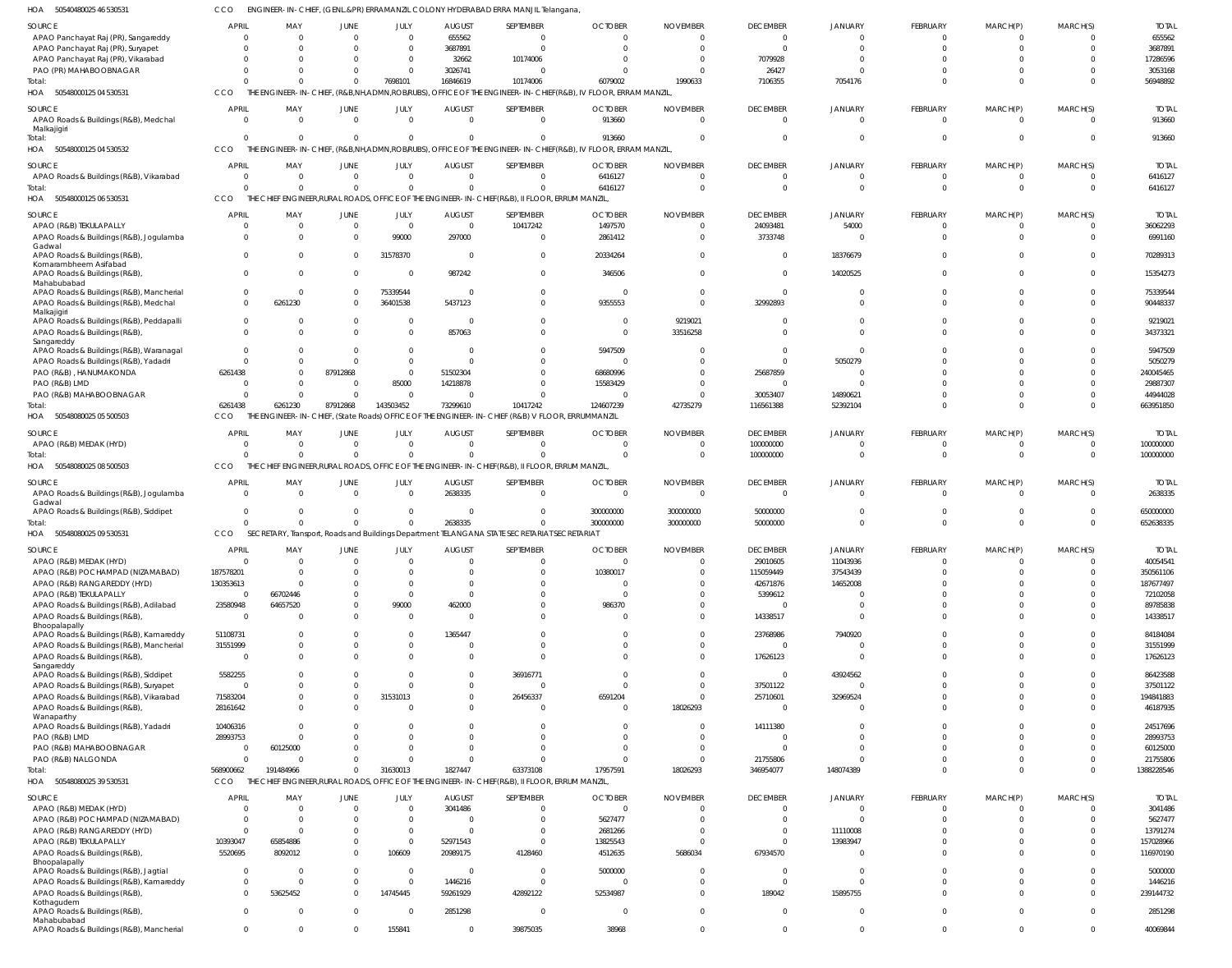| SOURCE                                                  | <b>APRIL</b>         | MAY                                            | JUNE                 | JULY           | <b>AUGUST</b>           | SEPTEMBER                                                                                                   | <b>OCTOBER</b>      | <b>NOVEMBER</b>      | <b>DECEMBER</b>      | <b>JANUARY</b>          | FEBRUARY        | MARCH(P)             | MARCH(S)             | <b>TOTAL</b> |
|---------------------------------------------------------|----------------------|------------------------------------------------|----------------------|----------------|-------------------------|-------------------------------------------------------------------------------------------------------------|---------------------|----------------------|----------------------|-------------------------|-----------------|----------------------|----------------------|--------------|
| APAO Panchayat Raj (PR), Sangareddy                     |                      | $\Omega$                                       | $\Omega$             | $\overline{0}$ | 655562                  | - 0                                                                                                         |                     | $\Omega$             | $\Omega$             | C                       |                 |                      | $\Omega$             | 655562       |
|                                                         |                      | $\Omega$                                       | $\Omega$             | $\Omega$       |                         | C                                                                                                           |                     | $\Omega$             |                      | C                       |                 |                      | $\Omega$             | 3687891      |
| APAO Panchayat Raj (PR), Suryapet                       |                      | $\Omega$                                       | $\Omega$             |                | 3687891                 |                                                                                                             |                     |                      |                      |                         |                 |                      |                      |              |
| APAO Panchayat Raj (PR), Vikarabad                      |                      |                                                |                      | - 0            | 32662                   | 10174006                                                                                                    |                     | $\Omega$<br>C        | 7079928              |                         |                 |                      | $\Omega$             | 17286596     |
| PAO (PR) MAHABOOBNAGAR                                  |                      |                                                | $\Omega$             | $\Omega$       | 3026741                 | $\Omega$                                                                                                    |                     |                      | 26427                |                         |                 |                      | $\Omega$             | 3053168      |
| Total:                                                  | CCO                  | $\Omega$                                       | $\Omega$             | 7698101        | 16846619                | 10174006<br>OFFICE OF THE ENGINEER-IN-CHIEF (R&B), IV FLOOR, ERRAM MANZIL                                   | 6079002             | 1990633              | 7106355              | 7054176                 |                 | C                    | $\Omega$             | 56948892     |
| HOA 50548000125 04 530531                               |                      | THE ENGINEER-IN-CHIEF, (R&B,NH,ADMN,ROB/RUBS), |                      |                |                         |                                                                                                             |                     |                      |                      |                         |                 |                      |                      |              |
| SOURCE                                                  | APRIL                | MAY                                            | JUNE                 | <b>JULY</b>    | <b>AUGUST</b>           | SEPTEMBER                                                                                                   | <b>OCTOBER</b>      | <b>NOVEMBER</b>      | <b>DECEMBER</b>      | <b>JANUARY</b>          | FEBRUARY        | MARCH(P)             | MARCH(S)             | <b>TOTAL</b> |
| APAO Roads & Buildings (R&B), Medchal                   |                      | $\Omega$                                       | $\Omega$             | $\overline{0}$ | $\overline{0}$          | $\overline{0}$                                                                                              | 913660              | $\overline{0}$       | $\Omega$             | C                       | $\Omega$        |                      | $\Omega$             | 913660       |
| Malkajigiri                                             |                      |                                                |                      |                |                         |                                                                                                             |                     |                      |                      |                         |                 |                      |                      |              |
| Total:                                                  | $\Omega$             | $\Omega$                                       | $\Omega$             | $\overline{0}$ | $\overline{0}$          | $\Omega$                                                                                                    | 913660              | $\mathbf 0$          |                      | C                       | $\Omega$        | $\Omega$             | $\Omega$             | 913660       |
| HOA<br>50548000125 04 530532                            | CCO                  |                                                |                      |                |                         | THE ENGINEER-IN-CHIEF, (R&B,NH,ADMN,ROBIRUBS), OFFICE OF THE ENGINEER-IN-CHIEF(R&B), IV FLOOR, ERRAM MANZIL |                     |                      |                      |                         |                 |                      |                      |              |
| SOURCE                                                  | <b>APRIL</b>         | MAY                                            | JUNE                 | JULY           | <b>AUGUST</b>           | SEPTEMBER                                                                                                   | <b>OCTOBER</b>      | <b>NOVEMBER</b>      | <b>DECEMBER</b>      | <b>JANUARY</b>          | <b>FEBRUARY</b> | MARCH(P)             | MARCH(S)             | <b>TOTAL</b> |
|                                                         | $\Omega$             | $\overline{0}$                                 | $\Omega$             | $\overline{0}$ | $\Omega$                | $\Omega$                                                                                                    |                     | $\Omega$             |                      | - 0                     | $\Omega$        | C                    | $\Omega$             |              |
| APAO Roads & Buildings (R&B), Vikarabad                 | $\Omega$             | $\Omega$                                       | $\Omega$             |                | $\Omega$                |                                                                                                             | 6416127             | $\Omega$             |                      |                         | $\Omega$        |                      | $\Omega$             | 6416127      |
| Total:                                                  |                      |                                                |                      | $\Omega$       |                         | $\Omega$                                                                                                    | 6416127             |                      | $\Omega$             | $\Omega$                |                 | $\Omega$             |                      | 6416127      |
| HOA 50548000125 06 530531                               | CCO                  |                                                |                      |                |                         | THE CHIEF ENGINEER, RURAL ROADS, OFFICE OF THE ENGINEER-IN-CHIEF (R&B), II FLOOR, ERRUM MANZIL,             |                     |                      |                      |                         |                 |                      |                      |              |
| SOURCE                                                  | <b>APRIL</b>         | MAY                                            | JUNE                 | JULY           | <b>AUGUST</b>           | SEPTEMBER                                                                                                   | <b>OCTOBER</b>      | <b>NOVEMBER</b>      | <b>DECEMBER</b>      | <b>JANUARY</b>          | FEBRUARY        | MARCH(P)             | MARCH(S)             | <b>TOTAL</b> |
| APAO (R&B) TEKULAPALLY                                  | $\Omega$             | $\overline{0}$                                 | $\overline{0}$       | $\overline{0}$ | $\overline{\mathbf{0}}$ | 10417242                                                                                                    | 1497570             | $\Omega$             | 24093481             | 54000                   | $\Omega$        | C                    | $\Omega$             | 36062293     |
| APAO Roads & Buildings (R&B), Jogulamba                 | $\Omega$             | $\Omega$                                       | $\Omega$             | 99000          | 297000                  | $\overline{0}$                                                                                              | 2861412             | $\Omega$             | 3733748              | $\mathsf{C}$            | $\Omega$        | C                    | $\Omega$             | 6991160      |
| Gadwal                                                  |                      |                                                |                      |                |                         |                                                                                                             |                     |                      |                      |                         |                 |                      |                      |              |
| APAO Roads & Buildings (R&B)                            | $\Omega$             | $\Omega$                                       | $\Omega$             | 31578370       | $\overline{\mathbf{0}}$ | $\Omega$                                                                                                    | 20334264            | $\mathbf{0}$         | $\Omega$             | 18376679                | - 0             | $\Omega$             | $\Omega$             | 70289313     |
| Komarambheem Asifabad                                   |                      |                                                |                      |                |                         |                                                                                                             |                     |                      |                      |                         |                 |                      |                      |              |
| APAO Roads & Buildings (R&B),                           | $\Omega$             | $\Omega$                                       | $\Omega$             | $\overline{0}$ | 987242                  | $\Omega$                                                                                                    | 346506              | $\mathbf 0$          | $\Omega$             | 14020525                | $\Omega$        | $\Omega$             | $\Omega$             | 15354273     |
| Mahabubabad                                             |                      |                                                |                      |                |                         |                                                                                                             |                     |                      |                      |                         |                 |                      |                      |              |
| APAO Roads & Buildings (R&B), Mancherial                | $\Omega$<br>$\Omega$ | $\overline{0}$                                 | $\Omega$<br>$\Omega$ | 75339544       | $\overline{\mathbf{0}}$ | $\Omega$                                                                                                    | $\Omega$<br>9355553 | $\Omega$<br>$\Omega$ | $\Omega$             | C<br>$\sqrt{2}$         |                 | $\Omega$<br>$\Omega$ | $\Omega$<br>$\Omega$ | 75339544     |
| APAO Roads & Buildings (R&B), Medchal                   |                      | 6261230                                        |                      | 36401538       | 5437123                 | $\Omega$                                                                                                    |                     |                      | 32992893             |                         |                 |                      |                      | 90448337     |
| Malkajigiri<br>APAO Roads & Buildings (R&B), Peddapalli | $\Omega$             | $\Omega$                                       | $\Omega$             | 0              | $\overline{\mathbf{0}}$ | $\Omega$                                                                                                    | $\Omega$            | 9219021              |                      | C                       |                 | C                    | $\Omega$             | 9219021      |
| APAO Roads & Buildings (R&B),                           | $\Omega$             | $\Omega$                                       | $\Omega$             | $\Omega$       | 857063                  | $\Omega$                                                                                                    | $\Omega$            | 33516258             |                      |                         |                 | C                    | $\Omega$             | 34373321     |
| Sangareddy                                              |                      |                                                |                      |                |                         |                                                                                                             |                     |                      |                      |                         |                 |                      |                      |              |
| APAO Roads & Buildings (R&B), Waranagal                 | $\Omega$             | $\Omega$                                       | $\Omega$             | $\overline{0}$ | - 0                     | $\Omega$                                                                                                    | 5947509             | $\Omega$             |                      | C                       |                 |                      | $\Omega$             | 5947509      |
| APAO Roads & Buildings (R&B), Yadadri                   | $\Omega$             | $\Omega$                                       | $\Omega$             | $\Omega$       | $\Omega$                | -C                                                                                                          | $\Omega$            | $\Omega$             |                      | 5050279                 |                 |                      | $\Omega$             | 5050279      |
| PAO (R&B), HANUMAKONDA                                  | 6261438              | $\Omega$                                       | 87912868             | $\overline{0}$ | 51502304                | -C                                                                                                          | 68680996            | $\Omega$             | 25687859             | - 0                     |                 | C                    | $\Omega$             | 240045465    |
| PAO (R&B) LMD                                           |                      | $\Omega$                                       | $\Omega$             | 85000          | 14218878                | $\Omega$                                                                                                    | 15583429            | $\Omega$             |                      | C                       |                 | C                    | $\Omega$             | 29887307     |
| PAO (R&B) MAHABOOBNAGAR                                 |                      | $\Omega$                                       | $\Omega$             | $\Omega$       | $\Omega$                | C                                                                                                           |                     | $\Omega$             | 30053407             | 14890621                |                 | $\sqrt{2}$           | $\Omega$             | 44944028     |
| Total:                                                  | 6261438              | 6261230                                        | 87912868             | 143503452      | 73299610                | 10417242                                                                                                    | 124607239           | 42735279             | 116561388            | 52392104                |                 | $\Omega$             | $\Omega$             | 663951850    |
|                                                         |                      |                                                |                      |                |                         |                                                                                                             |                     |                      |                      |                         |                 |                      |                      |              |
| HOA 50548080025 05 500503                               | CCO                  |                                                |                      |                |                         | THE ENGINEER-IN-CHIEF, (State Roads) OFFICE OF THE ENGINEER-IN-CHIEF (R&B) V FLOOR, ERRUMMANZIL             |                     |                      |                      |                         |                 |                      |                      |              |
| SOURCE                                                  | APRIL                | MAY                                            | JUNE                 | JULY           | <b>AUGUST</b>           | SEPTEMBER                                                                                                   | <b>OCTOBER</b>      | <b>NOVEMBER</b>      | <b>DECEMBER</b>      | <b>JANUARY</b>          | <b>FEBRUARY</b> | MARCH(P              | MARCH(S)             | <b>TOTAL</b> |
| APAO (R&B) MEDAK (HYD)                                  | 0                    | $\Omega$                                       | $\Omega$             | $\overline{0}$ | $\overline{0}$          | $\Omega$                                                                                                    |                     | $\Omega$             | 100000000            | C                       |                 | C                    | $\Omega$             | 100000000    |
| Total:                                                  |                      | $\Omega$                                       | $\Omega$             | $\Omega$       | $\Omega$                | $\Omega$                                                                                                    |                     | $\Omega$             | 100000000            | C                       | $\Omega$        | $\mathsf{C}$         | $\Omega$             | 100000000    |
| HOA 50548080025 08 500503                               | CCO                  |                                                |                      |                |                         | THE CHIEF ENGINEER, RURAL ROADS, OFFICE OF THE ENGINEER-IN-CHIEF (R&B), II FLOOR, ERRUM MANZIL              |                     |                      |                      |                         |                 |                      |                      |              |
|                                                         |                      |                                                |                      |                |                         |                                                                                                             |                     |                      |                      |                         |                 |                      |                      |              |
|                                                         |                      |                                                |                      |                |                         |                                                                                                             |                     |                      |                      |                         |                 |                      |                      |              |
| SOURCE                                                  | APRIL                | MAY                                            | JUNE                 | JULY           | <b>AUGUST</b>           | SEPTEMBER                                                                                                   | <b>OCTOBER</b>      | <b>NOVEMBER</b>      | <b>DECEMBER</b>      | <b>JANUARY</b>          | FEBRUARY        | MARCH(P)             | MARCH(S)             | <b>TOTAL</b> |
| APAO Roads & Buildings (R&B), Jogulamba                 | $\Omega$             | $\Omega$                                       | $\Omega$             | $\overline{0}$ | 2638335                 | $\overline{0}$                                                                                              | $\overline{0}$      | $\overline{0}$       |                      | C                       | $\Omega$        | C                    | $\Omega$             | 2638335      |
| Gadwal                                                  |                      |                                                |                      |                |                         |                                                                                                             |                     |                      |                      |                         |                 |                      |                      |              |
| APAO Roads & Buildings (R&B), Siddipet                  | $\overline{0}$       | $\Omega$                                       | $\Omega$             | $\overline{0}$ | $\Omega$                | $\Omega$                                                                                                    | 300000000           | 300000000            | 50000000             | C                       | $\Omega$        | C                    | $\Omega$             | 650000000    |
| Total:                                                  | $\Omega$             | $\Omega$                                       | $\Omega$             | $\overline{0}$ | 2638335                 | $\Omega$                                                                                                    | 300000000           | 300000000            | 50000000             | $\mathsf{C}$            | $\Omega$        | $\Omega$             | $\Omega$             | 652638335    |
| HOA 50548080025 09 530531                               | CCO                  |                                                |                      |                |                         | SECRETARY, Transport, Roads and Buildings Department TELANGANA STATE SECRETARIAT SECRETARIAT                |                     |                      |                      |                         |                 |                      |                      |              |
|                                                         |                      |                                                |                      |                |                         |                                                                                                             |                     |                      |                      |                         |                 |                      |                      |              |
| SOURCE                                                  | APRIL                | MAY                                            | <b>JUNE</b>          | JULY           | <b>AUGUST</b>           | SEPTEMBER                                                                                                   | <b>OCTOBER</b>      | <b>NOVEMBER</b>      | <b>DECEMBER</b>      | <b>JANUARY</b>          | <b>FEBRUARY</b> | MARCH(P)             | MARCH(S)             | <b>TOTAL</b> |
| APAO (R&B) MEDAK (HYD)                                  | $\Omega$             | $\Omega$                                       | $\Omega$             | $\Omega$       | $\Omega$                | $\Omega$                                                                                                    | $\Omega$            | $\Omega$             | 29010605             | 11043936                | $\Omega$        | $\Omega$             | $\Omega$             | 40054541     |
| APAO (R&B) POCHAMPAD (NIZAMABAD)                        | 187578201            | $\Omega$                                       |                      | $\Omega$       | $\Omega$                | $\Omega$                                                                                                    | 10380017            | $\Omega$             | 115059449            | 37543439                |                 | C                    | $\Omega$             | 350561106    |
| APAO (R&B) RANGAREDDY (HYD)                             | 130353613            | $\Omega$                                       | $\Omega$             | $\Omega$       | $\Omega$                | $\Omega$                                                                                                    |                     | $\Omega$             | 42671876             | 14652008                |                 | $\Omega$             | $\Omega$             | 187677497    |
| APAO (R&B) TEKULAPALLY                                  | $\overline{0}$       | 66702446                                       | $\Omega$             | $\Omega$       | $\Omega$                | $\Omega$                                                                                                    | $\Omega$            | $\Omega$             | 5399612              | $\mathsf{C}$            |                 | $\Omega$             | $\Omega$             | 72102058     |
| APAO Roads & Buildings (R&B), Adilabad                  | 23580948             | 64657520                                       | $\Omega$             | 99000          | 462000                  | $\Omega$                                                                                                    | 986370              | $\Omega$             |                      | C                       |                 | $\Omega$             | $\Omega$             | 89785838     |
| APAO Roads & Buildings (R&B),                           | $\Omega$             | $\Omega$                                       | $\Omega$             | $\overline{0}$ | $\Omega$                | $\Omega$                                                                                                    | $\Omega$            | $\Omega$             | 14338517             | C                       |                 | $\Omega$             | $\Omega$             | 14338517     |
| Bhoopalapally                                           |                      | $\Omega$                                       | $\Omega$             | $\Omega$       |                         | $\Omega$                                                                                                    | $\Omega$            | $\Omega$             |                      |                         | $\Omega$        | $\Omega$             | $\Omega$             |              |
| APAO Roads & Buildings (R&B), Kamareddy                 | 51108731             | $\Omega$                                       | $\Omega$             |                | 1365447                 | $\Omega$                                                                                                    | $\Omega$            | $\Omega$             | 23768986<br>$\Omega$ | 7940920<br>$\mathsf{C}$ | $\Omega$        | $\Omega$             | $\Omega$             | 84184084     |
| APAO Roads & Buildings (R&B), Mancherial                | 31551999             |                                                |                      | $\mathbf{0}$   | $\overline{0}$          |                                                                                                             |                     |                      |                      |                         | $\Omega$        |                      |                      | 31551999     |
| APAO Roads & Buildings (R&B),<br>Sangareddy             | $\Omega$             | $\Omega$                                       | $\Omega$             | $\Omega$       | $\Omega$                | $\Omega$                                                                                                    | $\Omega$            | $\mathbf 0$          | 17626123             | $\mathsf{C}$            |                 | $\Omega$             | $\Omega$             | 17626123     |
| APAO Roads & Buildings (R&B), Siddipet                  | 5582255              | $\Omega$                                       | $\Omega$             | $\Omega$       | $\Omega$                | 36916771                                                                                                    | $\Omega$            | $\Omega$             | $\Omega$             | 43924562                | $\Omega$        | $\Omega$             | $\Omega$             | 86423588     |
| APAO Roads & Buildings (R&B), Suryapet                  | $\Omega$             | $\Omega$                                       | $\Omega$             | $\Omega$       | $\overline{0}$          | $\overline{0}$                                                                                              | $\Omega$            | $\mathbf 0$          | 37501122             | $\mathsf{C}$            | $\Omega$        | $\Omega$             | $\Omega$             | 37501122     |
| APAO Roads & Buildings (R&B), Vikarabad                 | 71583204             | $\Omega$                                       | $\Omega$             | 31531013       | $\overline{0}$          | 26456337                                                                                                    | 6591204             | $\mathbf 0$          | 25710601             | 32969524                | $\Omega$        | $\Omega$             | $\Omega$             | 194841883    |
| APAO Roads & Buildings (R&B),                           | 28161642             | $\Omega$                                       | $\Omega$             | $\Omega$       | $\Omega$                | $\Omega$                                                                                                    | $\Omega$            | 18026293             | $\Omega$             | C                       | $\Omega$        | $\Omega$             | $\Omega$             | 46187935     |
| Wanaparthy                                              |                      |                                                |                      |                |                         |                                                                                                             |                     |                      |                      |                         |                 |                      |                      |              |
| APAO Roads & Buildings (R&B), Yadadri                   | 10406316             | $\Omega$                                       | $\Omega$             | $\Omega$       | $\Omega$                | $\Omega$                                                                                                    | $\Omega$            | $\Omega$             | 14111380             | C                       | $\Omega$        | $\Omega$             | $\Omega$             | 24517696     |
| PAO (R&B) LMD                                           | 28993753             | $\Omega$                                       | $\Omega$             | $\Omega$       | $\Omega$                | $\Omega$                                                                                                    | $\Omega$            | $\Omega$             | $\sqrt{ }$           | C                       | $\Omega$        | $\Omega$             | $\Omega$             | 28993753     |
| PAO (R&B) MAHABOOBNAGAR                                 | $\overline{0}$       | 60125000                                       | $\Omega$             | $\Omega$       | $\Omega$                | $\Omega$                                                                                                    | $\Omega$            | $\mathbf 0$          | $\Omega$             | $\mathsf{C}$            | $\Omega$        | $\Omega$             | $\Omega$             | 60125000     |
| PAO (R&B) NALGONDA                                      | $\Omega$             | $\Omega$                                       | $\Omega$             | $\Omega$       | $\Omega$                | $\Omega$                                                                                                    | $\Omega$            | $\Omega$             | 21755806             | C                       | $\Omega$        | $\Omega$             | $\Omega$             | 21755806     |
| Total:                                                  | 568900662            | 191484966                                      | $\mathbf 0$          | 31630013       | 1827447                 | 63373108                                                                                                    | 17957591            | 18026293             | 346954077            | 148074389               | $\Omega$        | $\Omega$             | $\Omega$             | 1388228546   |
| HOA 50548080025 39 530531                               | CCO                  |                                                |                      |                |                         | THE CHIEF ENGINEER, RURAL ROADS, OFFICE OF THE ENGINEER-IN-CHIEF (R&B), II FLOOR, ERRUM MANZIL,             |                     |                      |                      |                         |                 |                      |                      |              |
|                                                         |                      |                                                |                      |                |                         |                                                                                                             |                     |                      |                      |                         |                 |                      |                      |              |
| SOURCE                                                  | <b>APRIL</b>         | MAY                                            | JUNE                 | JULY           | <b>AUGUST</b>           | SEPTEMBER                                                                                                   | <b>OCTOBER</b>      | <b>NOVEMBER</b>      | <b>DECEMBER</b>      | <b>JANUARY</b>          | FEBRUARY        | MARCH(P)             | MARCH(S)             | <b>TOTAL</b> |
| APAO (R&B) MEDAK (HYD)                                  | $\Omega$             | $\Omega$                                       | $\overline{0}$       | $\overline{0}$ | 3041486                 | $\overline{0}$                                                                                              | $\overline{0}$      | $\mathbf 0$          | $\Omega$             | $\Omega$                | $\Omega$        | C                    | $\Omega$             | 3041486      |
| APAO (R&B) POCHAMPAD (NIZAMABAD)                        | $\Omega$             | $\Omega$                                       | $\Omega$             | $\overline{0}$ | $\Omega$                | $\Omega$                                                                                                    | 5627477             | $\overline{0}$       | $\Omega$             | $\mathsf{C}$            | $\Omega$        | $\Omega$             | $\Omega$             | 5627477      |
| APAO (R&B) RANGAREDDY (HYD)                             | $\Omega$             | $\Omega$                                       | $\Omega$             | $\overline{0}$ | $\Omega$                | $\Omega$                                                                                                    | 2681266             | $\mathbf 0$          | $\Omega$             | 11110008                | $\Omega$        | $\Omega$             | $\mathbf{0}$         | 13791274     |
| APAO (R&B) TEKULAPALLY                                  | 10393047             | 65854886                                       | $\Omega$             | $\overline{0}$ | 52971543                | $\Omega$                                                                                                    | 13825543            | $\mathbf 0$          | $\Omega$             | 13983947                | $\Omega$        | $\Omega$             | $\Omega$             | 157028966    |
| APAO Roads & Buildings (R&B),                           | 5520695              | 8092012                                        | $\Omega$             | 106609         | 20989175                | 4128460                                                                                                     | 4512635             | 5686034              | 67934570             | C                       | $\Omega$        | $\Omega$             | $\Omega$             | 116970190    |
| Bhoopalapally                                           |                      |                                                |                      |                |                         |                                                                                                             |                     |                      |                      |                         |                 |                      |                      |              |
| APAO Roads & Buildings (R&B), Jagtial                   | $\Omega$             | - 0                                            | $\Omega$             | $\overline{0}$ | $\Omega$                | $\Omega$                                                                                                    | 5000000             | $\Omega$             | $\Omega$             | - 0                     | $\Omega$        | $\Omega$             | $\Omega$             | 5000000      |
| APAO Roads & Buildings (R&B), Kamareddy                 | $\overline{0}$       | $\Omega$                                       | $\overline{0}$       | $\overline{0}$ | 1446216                 | $\overline{0}$                                                                                              | $\Omega$            | $\mathbf 0$          | $\Omega$             | $\Omega$                | $\Omega$        | $\Omega$             | $\mathbf{0}$         | 1446216      |
| APAO Roads & Buildings (R&B),                           | $\Omega$             | 53625452                                       | $\Omega$             | 14745445       | 59261929                | 42892122                                                                                                    | 52534987            | $\mathbf 0$          | 189042               | 15895755                | $\Omega$        | $\Omega$             | $\mathbf{0}$         | 239144732    |
| Kothagudem                                              |                      |                                                |                      |                |                         |                                                                                                             |                     |                      |                      |                         |                 |                      |                      |              |
| APAO Roads & Buildings (R&B),<br>Mahabubabad            | $\Omega$             | - 0                                            | $\Omega$             | 0              | 2851298                 | $\overline{0}$                                                                                              | $^{\circ}$          | $\mathbf{0}$         | $\Omega$             | $\Omega$                | $\Omega$        | $\mathbf 0$          | $\overline{0}$       | 2851298      |

CCO ENGINEER-IN-CHIEF, (GENL.&PR) ERRAMANZIL COLONY HYDERABAD ERRA MANJIL Telangana,

50540480025 46 530531 HOA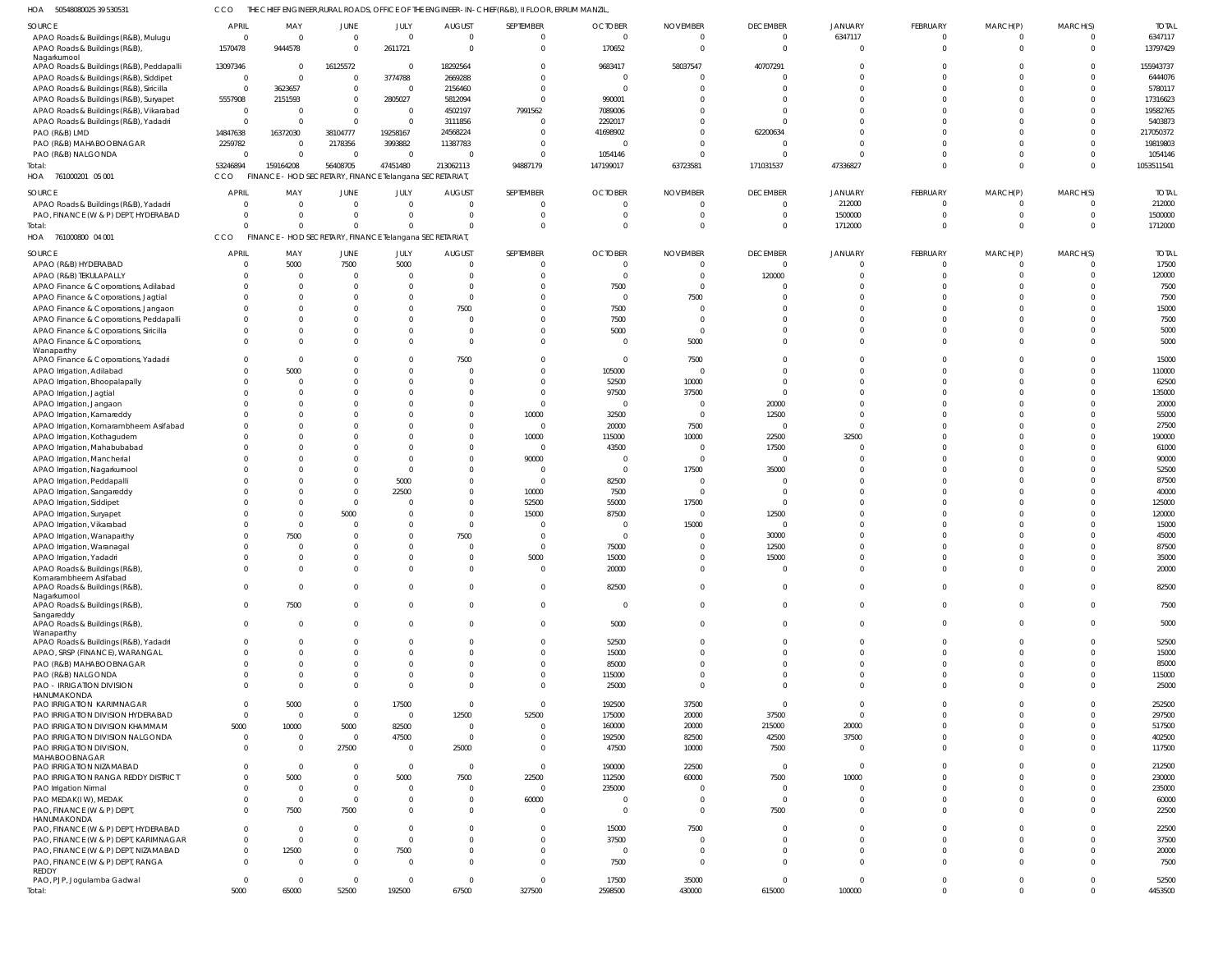50548080025 39 530531 HOA CCO THE CHIEF ENGINEER,RURAL ROADS, OFFICE OF THE ENGINEER-IN-CHIEF(R&B), II FLOOR, ERRUM MANZIL,

| SOURCE                                   |                  |                |                                                         |                |                |                |                |                          |                 |                |                |                |          |              |
|------------------------------------------|------------------|----------------|---------------------------------------------------------|----------------|----------------|----------------|----------------|--------------------------|-----------------|----------------|----------------|----------------|----------|--------------|
|                                          | <b>APRIL</b>     | MAY            | JUNE                                                    | JULY           | <b>AUGUST</b>  | SEPTEMBER      | <b>OCTOBER</b> | <b>NOVEMBER</b>          | <b>DECEMBER</b> | <b>JANUARY</b> | FEBRUARY       | MARCH(P)       | MARCH(S) | <b>TOTAL</b> |
| APAO Roads & Buildings (R&B), Mulugu     | $\overline{0}$   | $\mathbf{0}$   | $\mathbf 0$                                             | $\mathbf{0}$   | $\overline{0}$ | $\overline{0}$ | $\circ$        | $\overline{0}$           | $\mathbf 0$     | 6347117        | $\overline{0}$ | $\overline{0}$ |          | 6347117      |
|                                          |                  |                |                                                         |                |                |                |                |                          |                 |                |                |                |          |              |
| APAO Roads & Buildings (R&B),            | 1570478          | 9444578        | $\mathbf 0$                                             | 2611721        | $\Omega$       | $\mathbf{0}$   | 170652         | $\overline{0}$           | $\mathbf 0$     | $\mathbf 0$    | $\overline{0}$ | $\overline{0}$ | $\Omega$ | 13797429     |
| Nagarkurnool                             |                  |                |                                                         |                |                |                |                |                          |                 |                |                |                |          |              |
| APAO Roads & Buildings (R&B), Peddapalli | 13097346         | $\overline{0}$ | 16125572                                                | $\overline{0}$ | 18292564       | $\mathbf{0}$   | 9683417        | 58037547                 | 40707291        | $\Omega$       | $\Omega$       | $\Omega$       | $\Omega$ | 155943737    |
|                                          | $\overline{0}$   | $\mathbf 0$    | $\overline{0}$                                          | 3774788        | 2669288        | $\overline{0}$ | $\circ$        | C                        | $\circ$         | $\Omega$       | $\Omega$       | $\Omega$       |          | 6444076      |
| APAO Roads & Buildings (R&B), Siddipet   |                  |                |                                                         |                |                |                |                |                          |                 |                |                |                |          |              |
| APAO Roads & Buildings (R&B), Siricilla  | $\mathbf 0$      | 3623657        | $\mathbf 0$                                             | $\mathbf{0}$   | 2156460        | $\overline{0}$ | - (            | C                        | $\Omega$        | $\Omega$       | $\Omega$       | $\Omega$       |          | 5780117      |
| APAO Roads & Buildings (R&B), Suryapet   | 5557908          | 2151593        | $\mathbf 0$                                             | 2805027        | 5812094        | $\mathbf{0}$   | 990001         | C                        | $\Omega$        | $\Omega$       | $\Omega$       | $\Omega$       |          | 17316623     |
|                                          |                  |                |                                                         |                |                |                |                |                          |                 |                |                |                |          |              |
| APAO Roads & Buildings (R&B), Vikarabad  | $\overline{0}$   | $\Omega$       | $\mathbf 0$                                             | $\mathbf{0}$   | 4502197        | 7991562        | 7089006        |                          | $\Omega$        | $\Omega$       | $\Omega$       | $\Omega$       |          | 19582765     |
| APAO Roads & Buildings (R&B), Yadadri    | $\mathbf 0$      | $\Omega$       | $\mathbf 0$                                             | $\mathbf{0}$   | 3111856        | $\overline{0}$ | 2292017        | C                        | $\Omega$        | $\Omega$       | $\Omega$       | $\Omega$       |          | 5403873      |
|                                          |                  |                |                                                         |                |                |                |                |                          |                 |                |                |                |          |              |
| PAO (R&B) LMD                            | 14847638         | 16372030       | 38104777                                                | 19258167       | 24568224       | $\overline{0}$ | 41698902       | $\Omega$                 | 62200634        | $\Omega$       | $\Omega$       | $\Omega$       |          | 217050372    |
| PAO (R&B) MAHABOOBNAGAR                  | 2259782          | $\mathbf{0}$   | 2178356                                                 | 3993882        | 11387783       | $\mathbf{0}$   |                | $\Omega$                 | $\overline{0}$  | $\Omega$       | $\Omega$       | $\Omega$       | $\Omega$ | 19819803     |
|                                          |                  |                |                                                         |                |                |                |                |                          | $\Omega$        | $\Omega$       | $\Omega$       | $\Omega$       |          |              |
| PAO (R&B) NALGONDA                       | $\mathbf{0}$     | $\mathbf 0$    | $\mathbf 0$                                             | $\overline{0}$ |                | $\overline{0}$ | 1054146        | $\Omega$                 |                 |                |                |                |          | 1054146      |
| Total:                                   | 53246894         | 159164208      | 56408705                                                | 47451480       | 213062113      | 94887179       | 147199017      | 63723581                 | 171031537       | 47336827       | $\Omega$       | $\Omega$       | $\Omega$ | 1053511541   |
| HOA 761000201 05 001                     | CCO              |                | FINANCE - HOD SECRETARY, FINANCE Telangana SECRETARIAT, |                |                |                |                |                          |                 |                |                |                |          |              |
|                                          |                  |                |                                                         |                |                |                |                |                          |                 |                |                |                |          |              |
| SOURCE                                   | <b>APRIL</b>     | MAY            | <b>JUNE</b>                                             | JULY           | <b>AUGUST</b>  | SEPTEMBER      | <b>OCTOBER</b> | <b>NOVEMBER</b>          | <b>DECEMBER</b> | <b>JANUARY</b> | FEBRUARY       | MARCH(P)       | MARCH(S) | <b>TOTAL</b> |
|                                          |                  |                |                                                         |                |                |                |                |                          |                 |                |                |                |          |              |
| APAO Roads & Buildings (R&B), Yadadri    |                  | $\Omega$       | $\overline{0}$                                          | $\mathbf{0}$   | $\Omega$       | $\overline{0}$ | $\Omega$       | $\overline{0}$           | $\mathbf 0$     | 212000         | $\overline{0}$ | $\overline{0}$ | $\Omega$ | 212000       |
| PAO, FINANCE (W & P) DEPT, HYDERABAD     | $\Omega$         | $\Omega$       | $\mathbf 0$                                             | $\mathbf{0}$   | $\Omega$       | $\overline{0}$ | $\Omega$       | $\Omega$                 | $\mathbf 0$     | 1500000        | $^{\circ}$     | $\overline{0}$ | $\Omega$ | 1500000      |
|                                          |                  |                |                                                         |                |                |                |                |                          |                 |                |                |                |          |              |
| Total:                                   |                  | $\Omega$       | $\mathbf 0$                                             | $\mathbf 0$    |                | $\overline{0}$ | $\Omega$       | $\Omega$                 | $\mathbf 0$     | 1712000        | $\Omega$       | $\Omega$       | $\Omega$ | 1712000      |
| HOA 761000800 04 001                     | <b>CCO</b>       |                | FINANCE - HOD SECRETARY, FINANCE Telangana SECRETARIAT  |                |                |                |                |                          |                 |                |                |                |          |              |
|                                          |                  |                |                                                         |                |                |                |                |                          |                 |                |                |                |          |              |
| SOURCE                                   | <b>APRIL</b>     | MAY            | <b>JUNE</b>                                             | JULY           | <b>AUGUST</b>  | SEPTEMBER      | <b>OCTOBER</b> | <b>NOVEMBER</b>          | <b>DECEMBER</b> | JANUARY        | FEBRUARY       | MARCH(P)       | MARCH(S) | <b>TOTAL</b> |
|                                          |                  |                |                                                         |                |                |                |                |                          |                 |                |                |                |          |              |
| APAO (R&B) HYDERABAD                     |                  | 5000           | 7500                                                    | 5000           |                | $\overline{0}$ | - 0            | $\overline{0}$           | $\mathbf 0$     | $\Omega$       | $\overline{0}$ | $^{\circ}$     | $\Omega$ | 17500        |
| APAO (R&B) TEKULAPALLY                   |                  | $\Omega$       | $\overline{0}$                                          | $\overline{0}$ | $\Omega$       | $\mathbf 0$    | $\Omega$       | $\Omega$                 | 120000          | $\Omega$       | $\Omega$       | $\Omega$       | $\Omega$ | 120000       |
|                                          |                  | $\Omega$       | $\mathbf 0$                                             | $\mathbf{0}$   | $\Omega$       | $\mathbf{0}$   | 7500           | $\Omega$                 | $\Omega$        | $\Omega$       | $\Omega$       | $\Omega$       |          | 7500         |
| APAO Finance & Corporations, Adilabad    |                  |                |                                                         |                |                |                |                |                          |                 |                |                |                |          |              |
| APAO Finance & Corporations, Jagtial     |                  | $\Omega$       | $\Omega$                                                | $\overline{0}$ | $\Omega$       | $\mathbf{0}$   | $\overline{0}$ | 7500                     | $\Omega$        | $\Omega$       | $\Omega$       | $\Omega$       | $\Omega$ | 7500         |
| APAO Finance & Corporations, Jangaon     |                  | $\Omega$       | $\Omega$                                                | $\mathbf 0$    | 7500           | $\mathbf{0}$   | 7500           | - 0                      | $\Omega$        | $\Omega$       | $\Omega$       | $\Omega$       |          | 15000        |
|                                          |                  |                |                                                         |                |                |                |                |                          |                 |                |                |                |          |              |
| APAO Finance & Corporations, Peddapalli  |                  | $\Omega$       | $\Omega$                                                | $\Omega$       |                | $\Omega$       | 7500           | $\Omega$                 | $\Omega$        | $\Omega$       | $\Omega$       | $\Omega$       |          | 7500         |
| APAO Finance & Corporations, Siricilla   |                  | $\Omega$       | $\Omega$                                                | $\mathbf 0$    |                | $\mathbf 0$    | 5000           | - 0                      | $\Omega$        | $\Omega$       | $\Omega$       | $\Omega$       |          | 5000         |
|                                          |                  |                |                                                         |                |                |                |                |                          |                 |                |                |                |          |              |
| APAO Finance & Corporations,             |                  | $\Omega$       | $\Omega$                                                | $\mathbf 0$    | $\Omega$       | $\mathbf 0$    | - 0            | 5000                     | $\Omega$        | $\Omega$       | $\Omega$       | $\Omega$       | $\Omega$ | 5000         |
| Wanaparthy                               |                  |                |                                                         |                |                |                |                |                          |                 |                |                |                |          |              |
| APAO Finance & Corporations, Yadadri     |                  | $\mathbf{0}$   | $\Omega$                                                | $\mathbf 0$    | 7500           | $\mathbf{0}$   | $\overline{0}$ | 7500                     | $\Omega$        | $\Omega$       | $\Omega$       | $\Omega$       |          | 15000        |
| APAO Irrigation, Adilabad                |                  | 5000           | $\Omega$                                                | $\mathbf{0}$   |                | $\Omega$       | 105000         | $\overline{0}$           | $\Omega$        | $\Omega$       | $\Omega$       | $\Omega$       |          | 110000       |
|                                          |                  |                |                                                         |                |                |                |                |                          |                 |                |                |                |          |              |
| APAO Irrigation, Bhoopalapally           |                  | $\Omega$       | $\Omega$                                                | $\mathbf{0}$   |                | $\Omega$       | 52500          | 10000                    | $\Omega$        | $\Omega$       | $\Omega$       | $\Omega$       |          | 62500        |
| APAO Irrigation, Jagtial                 |                  | $\Omega$       | $\Omega$                                                | $\Omega$       |                | $\Omega$       | 97500          | 37500                    | $\mathbf 0$     | $\Omega$       | $\Omega$       | $\Omega$       |          | 135000       |
|                                          |                  |                |                                                         |                |                |                |                |                          |                 |                |                |                |          |              |
| APAO Irrigation, Jangaon                 |                  | $\Omega$       | $\Omega$                                                | $\Omega$       |                | $\mathbf{0}$   | $\overline{0}$ | $\Omega$                 | 20000           | $\Omega$       | $\Omega$       | $\Omega$       |          | 20000        |
| APAO Irrigation, Kamareddy               |                  | $\Omega$       | $\Omega$                                                | $\Omega$       |                | 10000          | 32500          | $\overline{\phantom{0}}$ | 12500           | $\Omega$       | $\Omega$       | $\Omega$       |          | 55000        |
|                                          |                  |                |                                                         |                |                |                |                |                          |                 |                |                |                |          |              |
| APAO Irrigation, Komarambheem Asifabad   |                  | $\Omega$       | $\Omega$                                                | $\Omega$       |                | $\overline{0}$ | 20000          | 7500                     | $\overline{0}$  | $\Omega$       | $\Omega$       | $\Omega$       |          | 27500        |
| APAO Irrigation, Kothagudem              |                  | $\Omega$       | $\Omega$                                                | $\Omega$       |                | 10000          | 115000         | 10000                    | 22500           | 32500          | $\Omega$       | $\Omega$       |          | 190000       |
|                                          |                  | $\Omega$       | $\Omega$                                                | $\Omega$       |                | $\overline{0}$ | 43500          | $\Omega$                 |                 | $\Omega$       | $\Omega$       | $\Omega$       |          | 61000        |
| APAO Irrigation, Mahabubabad             |                  |                |                                                         |                |                |                |                |                          | 17500           |                |                |                |          |              |
| APAO Irrigation, Mancherial              |                  | $\Omega$       | $\Omega$                                                | $\mathbf 0$    |                | 90000          | - 0            | $\overline{\phantom{0}}$ | $\overline{0}$  | $\Omega$       | $\Omega$       | $\Omega$       |          | 90000        |
| APAO Irrigation, Nagarkurnool            |                  | $\Omega$       | $\Omega$                                                | $\mathbf{0}$   |                | $\overline{0}$ | $\overline{0}$ | 17500                    | 35000           | $\Omega$       | $\Omega$       | $\Omega$       |          | 52500        |
|                                          |                  |                |                                                         |                |                |                |                |                          |                 |                |                |                |          |              |
| APAO Irrigation, Peddapalli              |                  | $\Omega$       | $\Omega$                                                | 5000           |                | $\overline{0}$ | 82500          | $\Omega$                 | $\Omega$        | $\Omega$       | $\Omega$       | $\Omega$       |          | 87500        |
| APAO Irrigation, Sangareddy              |                  | $\Omega$       | $\Omega$                                                | 22500          |                | 10000          | 7500           | - 0                      | $\mathbf 0$     | $\Omega$       | $\Omega$       | $\Omega$       |          | 40000        |
|                                          |                  |                |                                                         |                |                |                |                |                          |                 |                |                |                |          |              |
| APAO Irrigation, Siddipet                |                  | $\Omega$       | $\mathbf 0$                                             | $\mathbf 0$    |                | 52500          | 55000          | 17500                    | $\mathbf 0$     | $\Omega$       | $\Omega$       | $\Omega$       |          | 125000       |
| APAO Irrigation, Suryapet                |                  | $\mathbf{0}$   | 5000                                                    | $\mathbf 0$    | $\Omega$       | 15000          | 87500          | $\overline{0}$           | 12500           | $\Omega$       | $\Omega$       | $\Omega$       |          | 120000       |
| APAO Irrigation, Vikarabad               |                  | $\Omega$       | $\Omega$                                                | $\overline{0}$ | $\Omega$       | $\overline{0}$ |                |                          | $\overline{0}$  |                |                |                |          |              |
|                                          |                  |                |                                                         |                |                |                |                |                          |                 |                |                |                |          |              |
| APAO Irrigation, Wanaparthy              |                  |                |                                                         |                |                |                | $\Omega$       | 15000                    |                 | $\Omega$       | $\Omega$       | $\Omega$       |          | 15000        |
| APAO Irrigation, Waranagal               |                  | 7500           | $\Omega$                                                | $\mathbf 0$    | 7500           | $\mathbf{0}$   | $\overline{0}$ | C                        | 30000           | $\Omega$       | - 0            | $\Omega$       |          | 45000        |
|                                          |                  |                |                                                         |                |                |                |                |                          |                 |                | $\Omega$       | $\Omega$       |          |              |
|                                          |                  | $\Omega$       | $\Omega$                                                | $\mathbf 0$    | $\Omega$       | $\mathbf{0}$   | 75000          | $\mathsf{C}$             | 12500           | $\Omega$       |                |                |          | 87500        |
| APAO Irrigation, Yadadri                 |                  | $\Omega$       | $\Omega$                                                | $\Omega$       |                | 5000           | 15000          |                          | 15000           |                |                | $\Omega$       |          | 35000        |
|                                          | $\Omega$         | $\mathbf{0}$   | $\mathbf 0$                                             |                | $\Omega$       |                |                | $\Omega$                 | $\mathbf 0$     | $\Omega$       | $\overline{0}$ | $\overline{0}$ | $\Omega$ |              |
| APAO Roads & Buildings (R&B),            |                  |                |                                                         | $\overline{0}$ |                | $\mathbf{0}$   | 20000          |                          |                 |                |                |                |          | 20000        |
| Komarambheem Asifabad                    |                  |                |                                                         |                |                |                |                |                          |                 |                |                |                |          |              |
| APAO Roads & Buildings (R&B),            | $\mathbf 0$      | $\overline{0}$ | $\mathbf{0}$                                            | $\overline{0}$ | $\mathbf 0$    | $\mathbf{0}$   | 82500          | $\overline{0}$           | $\mathbf{0}$    | $\overline{0}$ | $\overline{0}$ | $\overline{0}$ | $\Omega$ | 82500        |
| Nagarkurnool                             |                  |                |                                                         |                |                |                |                |                          |                 |                |                |                |          |              |
| APAO Roads & Buildings (R&B),            | $\Omega$         | 7500           | $\mathbf{0}$                                            | $\overline{0}$ | $\mathbf{0}$   | $\mathbf{0}$   | $\overline{0}$ | $\mathbf 0$              | $\mathbf{0}$    | $\mathbf{0}$   | $\overline{0}$ | $\overline{0}$ | $\Omega$ | 7500         |
| Sangareddy                               |                  |                |                                                         |                |                |                |                |                          |                 |                |                |                |          |              |
|                                          | $\mathbf 0$      | $\mathbf{0}$   | $\mathbf{0}$                                            | $\overline{0}$ | $\Omega$       | $\overline{0}$ | 5000           | $\mathbf 0$              | $\mathbf{0}$    | $\mathbf 0$    | $\overline{0}$ | $\overline{0}$ | $\Omega$ | 5000         |
| APAO Roads & Buildings (R&B),            |                  |                |                                                         |                |                |                |                |                          |                 |                |                |                |          |              |
| Wanaparthy                               |                  |                |                                                         |                |                |                |                |                          |                 |                |                |                |          |              |
| APAO Roads & Buildings (R&B), Yadadri    | $\Omega$         | $\mathbf{0}$   | $\Omega$                                                | $\overline{0}$ | $\Omega$       | $\overline{0}$ | 52500          | $\overline{0}$           | $\Omega$        | $\overline{0}$ | $\overline{0}$ | $\overline{0}$ | $\Omega$ | 52500        |
| APAO, SRSP (FINANCE), WARANGAL           | 0                | $\mathbf{0}$   | $\mathbf 0$                                             | $\overline{0}$ | $\Omega$       | $\overline{0}$ | 15000          | $\Omega$                 | $\mathbf{0}$    | $\mathbf{0}$   | $\mathbf 0$    | $\mathbf 0$    | $\Omega$ | 15000        |
| PAO (R&B) MAHABOOBNAGAR                  | $\Omega$         | $\mathbf{0}$   | $\Omega$                                                | $\overline{0}$ | $\Omega$       | $\mathbf{0}$   |                | $\Omega$                 | $\mathbf{0}$    | $\overline{0}$ | $\overline{0}$ | $\overline{0}$ | $\Omega$ |              |
|                                          |                  |                |                                                         |                |                |                | 85000          |                          |                 |                |                |                |          | 85000        |
| PAO (R&B) NALGONDA                       | 0                | $\mathbf{0}$   | $\mathbf 0$                                             | $\overline{0}$ | $\Omega$       | $\mathbf{0}$   | 115000         | $\Omega$                 | $\Omega$        | $\overline{0}$ | $\Omega$       | $\overline{0}$ | $\Omega$ | 115000       |
| PAO - IRRIGATION DIVISION                | $\Omega$         | $\mathbf{0}$   | $\mathbf 0$                                             | $\overline{0}$ | $\mathbf{0}$   | $\mathbf{0}$   | 25000          | $\overline{0}$           | $\mathbf{0}$    | $\overline{0}$ | $\Omega$       | $\overline{0}$ | $\Omega$ | 25000        |
|                                          |                  |                |                                                         |                |                |                |                |                          |                 |                |                |                |          |              |
| HANUMAKONDA                              |                  |                |                                                         |                |                |                |                |                          |                 |                |                |                |          |              |
| PAO IRRIGATION KARIMNAGAR                | $\mathbf 0$      | 5000           | $\mathbf{0}$                                            | 17500          | $\overline{0}$ | $\mathbf{0}$   | 192500         | 37500                    | $\overline{0}$  | $\mathbf 0$    | $\Omega$       | $\mathbf 0$    | $\Omega$ | 252500       |
| PAO IRRIGATION DIVISION HYDERABAD        | $\mathbf 0$      | $\overline{0}$ | $\mathbf 0$                                             | $\mathbf 0$    | 12500          | 52500          | 175000         | 20000                    | 37500           | $\overline{0}$ | $\Omega$       | $\mathbf 0$    | $\Omega$ | 297500       |
|                                          |                  |                |                                                         |                | $\overline{0}$ |                |                |                          |                 |                | $\Omega$       | $\overline{0}$ | $\Omega$ |              |
| PAO IRRIGATION DIVISION KHAMMAM          | 5000             | 10000          | 5000                                                    | 82500          |                | $\mathbf 0$    | 160000         | 20000                    | 215000          | 20000          |                |                |          | 517500       |
| PAO IRRIGATION DIVISION NALGONDA         | $\mathbf 0$      | $\mathbf{0}$   | $\mathbf 0$                                             | 47500          | $\overline{0}$ | $\mathbf{0}$   | 192500         | 82500                    | 42500           | 37500          | $^{\circ}$     | $\overline{0}$ | $\Omega$ | 402500       |
|                                          | $\mathbf 0$      | $\mathbf{0}$   |                                                         |                |                | $\overline{0}$ |                |                          |                 | $\overline{0}$ | $\Omega$       | $\overline{0}$ | $\Omega$ |              |
| PAO IRRIGATION DIVISION,                 |                  |                | 27500                                                   | $\overline{0}$ | 25000          |                | 47500          | 10000                    | 7500            |                |                |                |          | 117500       |
| MAHABOOBNAGAR                            |                  |                |                                                         |                |                |                |                |                          |                 |                |                |                |          |              |
| PAO IRRIGATION NIZAMABAD                 | $\Omega$         | $\overline{0}$ | $\mathbf 0$                                             | $\overline{0}$ | $\overline{0}$ | $\mathbf{0}$   | 190000         | 22500                    | $\overline{0}$  | $\overline{0}$ | $\Omega$       | $\overline{0}$ | $\Omega$ | 212500       |
| PAO IRRIGATION RANGA REDDY DISTRICT      | 0                | 5000           | $\mathbf 0$                                             | 5000           | 7500           | 22500          | 112500         | 60000                    | 7500            | 10000          | $\Omega$       | $\mathbf 0$    |          | 230000       |
|                                          |                  |                |                                                         |                |                |                |                |                          |                 |                |                |                |          |              |
| PAO Irrigation Nirmal                    | 0                | $\mathbf{0}$   | $\mathbf 0$                                             | $\overline{0}$ | $\overline{0}$ | $\mathbf 0$    | 235000         | $\overline{0}$           | $\overline{0}$  | $\overline{0}$ | $^{\circ}$     | $\overline{0}$ | $\Omega$ | 235000       |
| PAO MEDAK(IW), MEDAK                     | 0                | $\overline{0}$ | $\mathbf 0$                                             | $\overline{0}$ | $\Omega$       | 60000          | - (            | $\Omega$                 | $\overline{0}$  | $\overline{0}$ | $\Omega$       | $\overline{0}$ | $\Omega$ | 60000        |
|                                          | $\mathbf 0$      |                |                                                         | $\overline{0}$ | $\Omega$       | $\mathbf 0$    | $\overline{0}$ | $\overline{0}$           |                 | $\overline{0}$ | $\Omega$       | $\overline{0}$ | $\Omega$ |              |
| PAO, FINANCE (W & P) DEPT,               |                  | 7500           | 7500                                                    |                |                |                |                |                          | 7500            |                |                |                |          | 22500        |
| HANUMAKONDA                              |                  |                |                                                         |                |                |                |                |                          |                 |                |                |                |          |              |
| PAO, FINANCE (W & P) DEPT, HYDERABAD     | 0                | $\mathbf{0}$   | $\mathbf 0$                                             | $\overline{0}$ | $\Omega$       | $\mathbf 0$    | 15000          | 7500                     | $\Omega$        | $\overline{0}$ | $\Omega$       | $\mathbf 0$    | $\Omega$ | 22500        |
| PAO, FINANCE (W & P) DEPT, KARIMNAGAR    | $\bf 0$          | $\mathbf 0$    | $\mathbf 0$                                             | $\overline{0}$ | $\Omega$       | $\mathbf{0}$   | 37500          | $\overline{0}$           | $\mathbf 0$     | $\overline{0}$ | $\overline{0}$ | $\overline{0}$ | $\Omega$ | 37500        |
|                                          |                  |                |                                                         |                |                |                |                |                          |                 |                |                |                | $\Omega$ |              |
| PAO, FINANCE (W & P) DEPT, NIZAMABAD     | $\boldsymbol{0}$ | 12500          | $\mathbf{0}$                                            | 7500           | $\Omega$       | $\mathbf{0}$   | $\overline{0}$ | $\overline{0}$           | $\mathbf{0}$    | $\overline{0}$ | $\overline{0}$ | $\overline{0}$ |          | 20000        |
| PAO, FINANCE (W & P) DEPT, RANGA         | $\mathbf 0$      | $\mathbf{0}$   | $\mathbf{0}$                                            | $\overline{0}$ | $\Omega$       | $\overline{0}$ | 7500           | $\overline{0}$           | $\mathbf{0}$    | $\overline{0}$ | $\Omega$       | $\overline{0}$ | $\Omega$ | 7500         |
| REDDY                                    |                  |                |                                                         |                |                |                |                |                          |                 |                |                |                |          |              |
| PAO, PJP, Jogulamba Gadwal               | 0                | $\overline{0}$ | $\mathbf 0$                                             | $\overline{0}$ | $\mathbf 0$    | $\overline{0}$ | 17500          | 35000                    | $\overline{0}$  | $\overline{0}$ | $\overline{0}$ | $\overline{0}$ | $\Omega$ | 52500        |
| Total:                                   | 5000             | 65000          | 52500                                                   | 192500         | 67500          | 327500         | 2598500        | 430000                   | 615000          | 100000         | $\overline{0}$ | $\overline{0}$ | $\Omega$ | 4453500      |